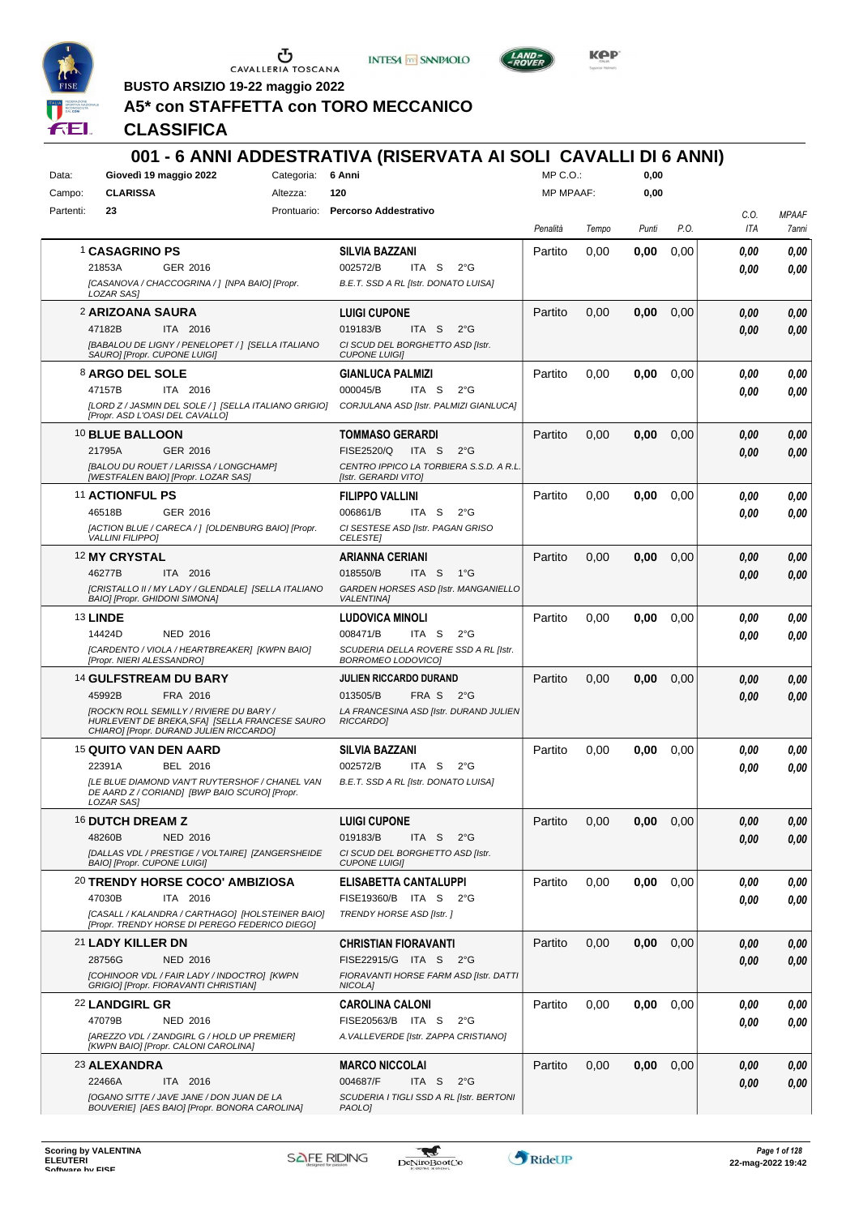

CAVALLERIA TOSCANA



**001 - 6 ANNI ADDESTRATIVA (RISERVATA AI SOLI CAVALLI DI 6 ANNI)**



**BUSTO ARSIZIO 19-22 maggio 2022**

# **A5\* con STAFFETTA con TORO MECCANICO**

**CLASSIFICA**

#### Data: **Giovedì 19 maggio 2022** Categoria: 6 Anni Prontuario: **Percorso Addestrativo** Campo: **CLARISSA** Partenti: **23** Altezza: **120**  $MP \cap \bigcap$ MP MPAAF: **0,00 0,00** *Penalità Tempo Punti P.O. C.O. ITA MPAAF 7anni* 1 **CASAGRINO PS** GER 2016 **SILVIA BAZZANI** *[CASANOVA / CHACCOGRINA / ] [NPA BAIO] [Propr. LOZAR SAS] B.E.T. SSD A RL [Istr. DONATO LUISA]* ITA S 2°G Partito 0,00 **0,00** 0,00 *0,00 0,00 0,00* 21853A 002572/B *0,00* 2 **ARIZOANA SAURA** ITA 2016 **LUIGI CUPONE** *[BABALOU DE LIGNY / PENELOPET / ] [SELLA ITALIANO SAURO] [Propr. CUPONE LUIGI] CI SCUD DEL BORGHETTO ASD [Istr. CUPONE LUIGI]* ITA S 2°G Partito 0,00 **0,00** 0,00 *0,00 0,00 0,00* 47182B 019183/B *0,00* 8 **ARGO DEL SOLE** ITA 2016 **GIANLUCA PALMIZI** *[LORD Z / JASMIN DEL SOLE / ] [SELLA ITALIANO GRIGIO] [Propr. ASD L'OASI DEL CAVALLO] CORJULANA ASD [Istr. PALMIZI GIANLUCA]* ITA S 2°G Partito 0,00 **0,00** 0,00 *0,00 0,00 0,00* 47157B 000045/B *0,00* 10 **BLUE BALLOON** GER 2016 **TOMMASO GERARDI** *[BALOU DU ROUET / LARISSA / LONGCHAMP] [WESTFALEN BAIO] [Propr. LOZAR SAS] CENTRO IPPICO LA TORBIERA S.S.D. A R.L. [Istr. GERARDI VITO]* ITA S 2°G 21795A FISE2520/Q *0,00* Partito 0,00 **0,00** 0,00 *0,00 0,00 0,00* 11 **ACTIONFUL PS** GER 2016 **FILIPPO VALLINI** *[ACTION BLUE / CARECA / ] [OLDENBURG BAIO] [Propr. VALLINI FILIPPO] CI SESTESE ASD [Istr. PAGAN GRISO CELESTE]* ITA S 2°G Partito 0,00 **0,00** 0,00 *0,00 0,00 0,00* 46518B 006861/B *0,00* 12 **MY CRYSTAL** ITA 2016 **ARIANNA CERIANI** *[CRISTALLO II / MY LADY / GLENDALE] [SELLA ITALIANO BAIO] [Propr. GHIDONI SIMONA] GARDEN HORSES ASD [Istr. MANGANIELLO VALENTINA]* ITA S 1°G Partito 0,00 **0,00** 0,00 *0,00 0,00 0,00* 46277B 018550/B *0,00* 13 **LINDE** NED 2016 **LUDOVICA MINOLI** *[CARDENTO / VIOLA / HEARTBREAKER] [KWPN BAIO] [Propr. NIERI ALESSANDRO] SCUDERIA DELLA ROVERE SSD A RL [Istr. BORROMEO LODOVICO]* ITA S 2°G Partito 0,00 **0,00** 0,00 *0,00 0,00 0,00* 14424D 008471/B *0,00* 14 **GULFSTREAM DU BARY** FRA 2016 **JULIEN RICCARDO DURAND** *[ROCK'N ROLL SEMILLY / RIVIERE DU BARY / HURLEVENT DE BREKA,SFA] [SELLA FRANCESE SAURO CHIARO] [Propr. DURAND JULIEN RICCARDO] LA FRANCESINA ASD [Istr. DURAND JULIEN RICCARDO]* FRA S 2°G Partito 0,00 **0,00** 0,00 *0,00 0,00 0,00* 45992B 013505/B *0,00* 15 **QUITO VAN DEN AARD** BEL 2016 **SILVIA BAZZANI** *[LE BLUE DIAMOND VAN'T RUYTERSHOF / CHANEL VAN DE AARD Z / CORIAND] [BWP BAIO SCURO] [Propr. LOZAR SAS] B.E.T. SSD A RL [Istr. DONATO LUISA]* ITA S 2°G Partito 0,00 **0,00** 0,00 *0,00 0,00 0,00* 22391A BEL 2016 002572/B ITA S 2°G <mark> *0,00 0,00*</mark> 16 **DUTCH DREAM Z** NED 2016 **LUIGI CUPONE** *[DALLAS VDL / PRESTIGE / VOLTAIRE] [ZANGERSHEIDE BAIO] [Propr. CUPONE LUIGI] CI SCUD DEL BORGHETTO ASD [Istr. CUPONE LUIGI]* ITA S 2°G Partito 0,00 **0,00** 0,00 *0,00 0,00 0,00* 48260B 019183/B *0,00* 20 **TRENDY HORSE COCO' AMBIZIOSA** ITA 2016 **ELISABETTA CANTALUPPI** *[CASALL / KALANDRA / CARTHAGO] [HOLSTEINER BAIO] [Propr. TRENDY HORSE DI PEREGO FEDERICO DIEGO] TRENDY HORSE ASD [Istr. ]* ITA S 2°G 47030B FISE19360/B *0,00* Partito 0,00 **0,00** 0,00 *0,00 0,00 0,00* 21 **LADY KILLER DN** NED 2016 **CHRISTIAN FIORAVANTI** *[COHINOOR VDL / FAIR LADY / INDOCTRO] [KWPN GRIGIO] [Propr. FIORAVANTI CHRISTIAN] FIORAVANTI HORSE FARM ASD [Istr. DATTI NICOLA]* ITA S 2°G 28756G FISE22915/G *0,00* Partito 0,00 **0,00** 0,00 *0,00 0,00 0,00* 22 **LANDGIRL GR** NED 2016 **CAROLINA CALONI** *[AREZZO VDL / ZANDGIRL G / HOLD UP PREMIER] [KWPN BAIO] [Propr. CALONI CAROLINA] A.VALLEVERDE [Istr. ZAPPA CRISTIANO]* 47079B NED 2016 FISE20563/B ITA S 2°G **0,00 0,00** Partito 0,00 **0,00** 0,00 *0,00 0,00 0,00* 23 **ALEXANDRA** ITA 2016 **MARCO NICCOLAI** *[OGANO SITTE / JAVE JANE / DON JUAN DE LA BOUVERIE] [AES BAIO] [Propr. BONORA CAROLINA] SCUDERIA I TIGLI SSD A RL [Istr. BERTONI PAOLO]* ITA S 2°G Partito 0,00 **0,00** 0,00 *0,00 0,00 0,00* 22466A 004687/F *0,00*

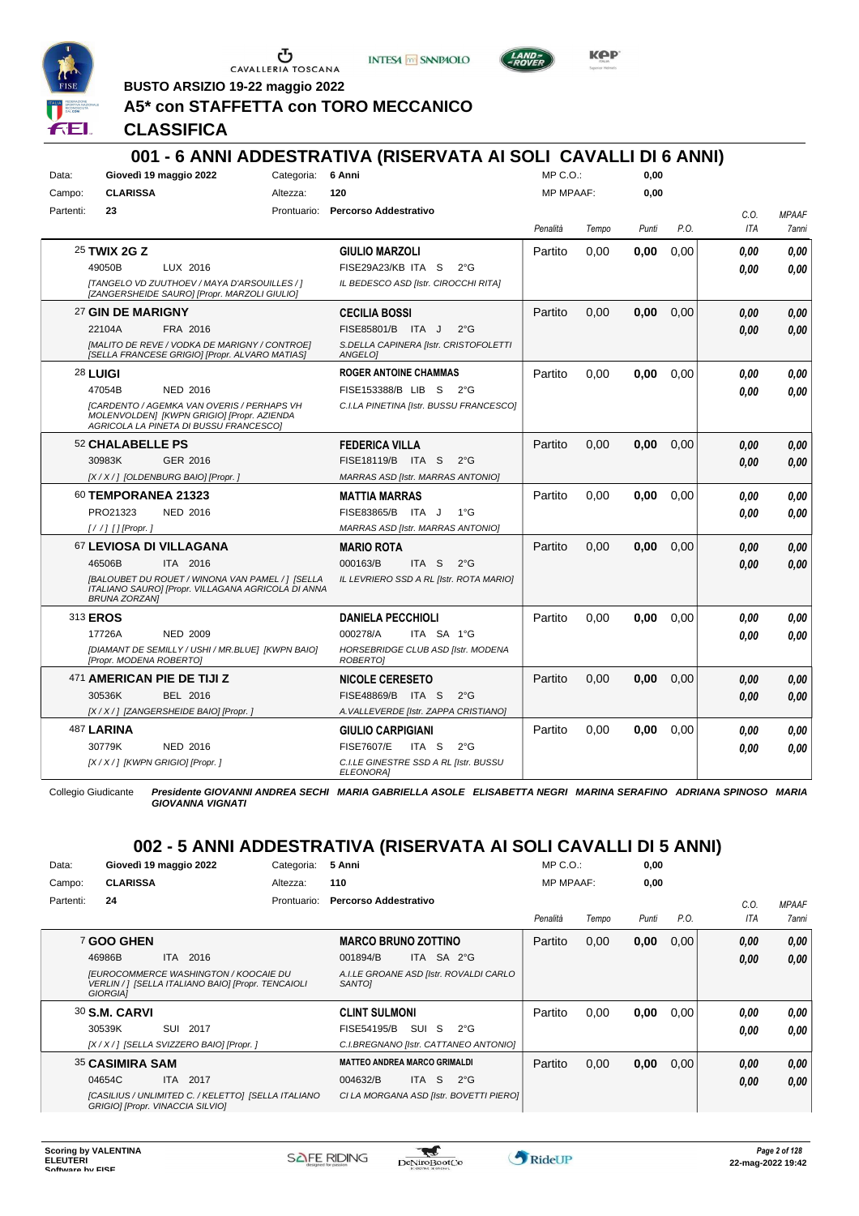

**INTESA** M SANPAOLO



**Kep** 

**BUSTO ARSIZIO 19-22 maggio 2022**

# **A5\* con STAFFETTA con TORO MECCANICO**

**CLASSIFICA**

| Data:<br>Campo: | <b>CLARISSA</b>                                                                                                                                                                                                                                                                                                                                                                                                                                | Giovedì 19 maggio 2022                                                                                                                                       | Categoria:<br>Altezza: | 6 Anni<br>120                                                                                                                 | $MP C. O.$ :<br><b>MP MPAAF:</b> |       | 0.00<br>0.00 |      |                    |                       |
|-----------------|------------------------------------------------------------------------------------------------------------------------------------------------------------------------------------------------------------------------------------------------------------------------------------------------------------------------------------------------------------------------------------------------------------------------------------------------|--------------------------------------------------------------------------------------------------------------------------------------------------------------|------------------------|-------------------------------------------------------------------------------------------------------------------------------|----------------------------------|-------|--------------|------|--------------------|-----------------------|
| Partenti:       | 23                                                                                                                                                                                                                                                                                                                                                                                                                                             |                                                                                                                                                              |                        | Prontuario: Percorso Addestrativo                                                                                             | Penalità                         | Tempo | Punti        | P.O. | C.O.<br><b>ITA</b> | <b>MPAAF</b><br>7anni |
|                 | 25 TWIX 2G Z<br>49050B                                                                                                                                                                                                                                                                                                                                                                                                                         | LUX 2016<br>[TANGELO VD ZUUTHOEV / MAYA D'ARSOUILLES / ]<br>[ZANGERSHEIDE SAURO] [Propr. MARZOLI GIULIO]                                                     |                        | <b>GIULIO MARZOLI</b><br>FISE29A23/KB ITA S<br>$2^{\circ}G$<br>IL BEDESCO ASD [Istr. CIROCCHI RITA]                           | Partito                          | 0,00  | 0,00         | 0,00 | 0.00<br>0.00       | 0.00<br>0.00          |
|                 | 27 GIN DE MARIGNY<br>22104A                                                                                                                                                                                                                                                                                                                                                                                                                    | FRA 2016<br>[MALITO DE REVE / VODKA DE MARIGNY / CONTROE]<br>[SELLA FRANCESE GRIGIO] [Propr. ALVARO MATIAS]                                                  |                        | <b>CECILIA BOSSI</b><br>FISE85801/B ITA J<br>$2^{\circ}$ G<br>S.DELLA CAPINERA [Istr. CRISTOFOLETTI<br><b>ANGELOI</b>         | Partito                          | 0.00  | 0.00         | 0,00 | 0.00<br>0.00       | 0.00<br>0.00          |
|                 | <b>28 LUIGI</b><br>47054B                                                                                                                                                                                                                                                                                                                                                                                                                      | <b>NED 2016</b><br><b>ICARDENTO / AGEMKA VAN OVERIS / PERHAPS VH</b><br>MOLENVOLDENI [KWPN GRIGIO] [Propr. AZIENDA<br>AGRICOLA LA PINETA DI BUSSU FRANCESCOI |                        | <b>ROGER ANTOINE CHAMMAS</b><br>FISE153388/B LIB S<br>$2^{\circ}G$<br>C.I.LA PINETINA [Istr. BUSSU FRANCESCO]                 | Partito                          | 0.00  | 0.00         | 0.00 | 0.00<br>0.00       | 0.00<br>0.00          |
|                 | <b>52 CHALABELLE PS</b><br>30983K                                                                                                                                                                                                                                                                                                                                                                                                              | GER 2016<br>[X / X / ] [OLDENBURG BAIO] [Propr. ]                                                                                                            |                        | <b>FEDERICA VILLA</b><br>FISE18119/B ITA S<br>$2^{\circ}$ G<br>MARRAS ASD [Istr. MARRAS ANTONIO]                              | Partito                          | 0.00  | 0.00         | 0.00 | 0.00<br>0.00       | 0.00<br>0.00          |
|                 | 60 TEMPORANEA 21323<br>PRO21323<br>$\left[ \frac{1}{1} \right]$ $\left[$ $\right]$ $\left[$ $\right]$ $\left[$ $\right]$ $\left[$ $\right]$ $\left[ \right]$ $\left[$ $\right]$ $\left[ \right]$ $\left[ \right]$ $\left[ \right]$ $\left[ \right]$ $\left[ \right]$ $\left[ \right]$ $\left[ \right]$ $\left[ \right]$ $\left[ \right]$ $\left[ \right]$ $\left[ \right]$ $\left[ \right]$ $\left[ \right]$ $\left[ \right]$ $\left[ \right]$ | <b>NED 2016</b>                                                                                                                                              |                        | <b>MATTIA MARRAS</b><br>FISE83865/B ITA J<br>$1^{\circ}G$<br><b>MARRAS ASD [Istr. MARRAS ANTONIO]</b>                         | Partito                          | 0.00  | 0.00         | 0.00 | 0.00<br>0.00       | 0,00<br>0.00          |
|                 | 46506B<br><b>BRUNA ZORZANI</b>                                                                                                                                                                                                                                                                                                                                                                                                                 | 67 LEVIOSA DI VILLAGANA<br>ITA 2016<br>[BALOUBET DU ROUET / WINONA VAN PAMEL / ] [SELLA<br>ITALIANO SAURO] [Propr. VILLAGANA AGRICOLA DI ANNA                |                        | <b>MARIO ROTA</b><br>000163/B<br>ITA S<br>$2^{\circ}$ G<br>IL LEVRIERO SSD A RL [Istr. ROTA MARIO]                            | Partito                          | 0.00  | 0.00         | 0.00 | 0.00<br>0.00       | 0.00<br>0.00          |
|                 | 313 <b>EROS</b><br>17726A<br>[Propr. MODENA ROBERTO]                                                                                                                                                                                                                                                                                                                                                                                           | <b>NED 2009</b><br>[DIAMANT DE SEMILLY / USHI / MR.BLUE] [KWPN BAIO]                                                                                         |                        | <b>DANIELA PECCHIOLI</b><br>000278/A<br>ITA SA 1°G<br>HORSEBRIDGE CLUB ASD [Istr. MODENA<br><b>ROBERTOI</b>                   | Partito                          | 0.00  | 0,00         | 0,00 | 0.00<br>0.00       | 0,00<br>0.00          |
|                 | 30536K                                                                                                                                                                                                                                                                                                                                                                                                                                         | 471 AMERICAN PIE DE TIJI Z<br><b>BEL 2016</b><br>[X / X / ] [ZANGERSHEIDE BAIO] [Propr. ]                                                                    |                        | <b>NICOLE CERESETO</b><br>FISE48869/B<br>ITA S<br>$2^{\circ}G$<br>A. VALLEVERDE [Istr. ZAPPA CRISTIANO]                       | Partito                          | 0.00  | 0.00         | 0.00 | 0.00<br>0.00       | 0.00<br>0.00          |
|                 | 487 LARINA<br>30779K                                                                                                                                                                                                                                                                                                                                                                                                                           | <b>NED 2016</b><br>[X / X / ] [KWPN GRIGIO] [Propr. ]                                                                                                        |                        | <b>GIULIO CARPIGIANI</b><br><b>FISE7607/E</b><br>ITA S<br>$2^{\circ}$ G<br>C.I.LE GINESTRE SSD A RL [Istr. BUSSU<br>ELEONORA] | Partito                          | 0.00  | 0.00         | 0,00 | 0.00<br>0.00       | 0,00<br>0.00          |

Collegio Giudicante *Presidente GIOVANNI ANDREA SECHI MARIA GABRIELLA ASOLE ELISABETTA NEGRI MARINA SERAFINO ADRIANA SPINOSO MARIA GIOVANNA VIGNATI*

# **002 - 5 ANNI ADDESTRATIVA (RISERVATA AI SOLI CAVALLI DI 5 ANNI)**

| Data:     | Giovedì 19 maggio 2022                                                                                         | Categoria:  | 5 Anni                                                  | $MP C. O.$ :     |       | 0,00  |      |      |                     |
|-----------|----------------------------------------------------------------------------------------------------------------|-------------|---------------------------------------------------------|------------------|-------|-------|------|------|---------------------|
| Campo:    | <b>CLARISSA</b>                                                                                                | Altezza:    | 110                                                     | <b>MP MPAAF:</b> |       | 0,00  |      |      |                     |
| Partenti: | 24                                                                                                             | Prontuario: | Percorso Addestrativo                                   |                  |       |       |      | C.0  | <b>MPAAF</b>        |
|           |                                                                                                                |             |                                                         | Penalità         | Tempo | Punti | P.O. | ITA  | <i><b>7anni</b></i> |
|           | 7 GOO GHEN                                                                                                     |             | <b>MARCO BRUNO ZOTTINO</b>                              | Partito          | 0,00  | 0,00  | 0,00 | 0,00 | 0,00                |
|           | ITA 2016<br>46986B                                                                                             |             | ITA SA 2°G<br>001894/B                                  |                  |       |       |      | 0.00 | 0.00                |
|           | <b>IEUROCOMMERCE WASHINGTON / KOOCAIE DU</b><br>VERLIN / 1 [SELLA ITALIANO BAIO] [Propr. TENCAIOLI<br>GIORGIA] |             | A.I.LE GROANE ASD [Istr. ROVALDI CARLO<br><b>SANTOI</b> |                  |       |       |      |      |                     |
|           | 30 S.M. CARVI                                                                                                  |             | <b>CLINT SULMONI</b>                                    | Partito          | 0,00  | 0,00  | 0,00 | 0.00 | 0.00                |
|           | 30539K<br>SUI 2017                                                                                             |             | SUI S<br>FISE54195/B<br>$2^{\circ}G$                    |                  |       |       |      | 0.00 | 0.00                |
|           | [X / X / ] [SELLA SVIZZERO BAIO] [Propr. ]                                                                     |             | C.I.BREGNANO [Istr. CATTANEO ANTONIO]                   |                  |       |       |      |      |                     |
|           | <b>35 CASIMIRA SAM</b>                                                                                         |             | <b>MATTEO ANDREA MARCO GRIMALDI</b>                     | Partito          | 0,00  | 0,00  | 0,00 | 0,00 | 0.00                |
|           | 04654C<br>ITA 2017                                                                                             |             | ITA S<br>$2^{\circ}$ G<br>004632/B                      |                  |       |       |      | 0,00 | 0.00                |
|           | [CASILIUS / UNLIMITED C. / KELETTO] [SELLA ITALIANO<br><b>GRIGIO] [Propr. VINACCIA SILVIO]</b>                 |             | CI LA MORGANA ASD [Istr. BOVETTI PIERO]                 |                  |       |       |      |      |                     |

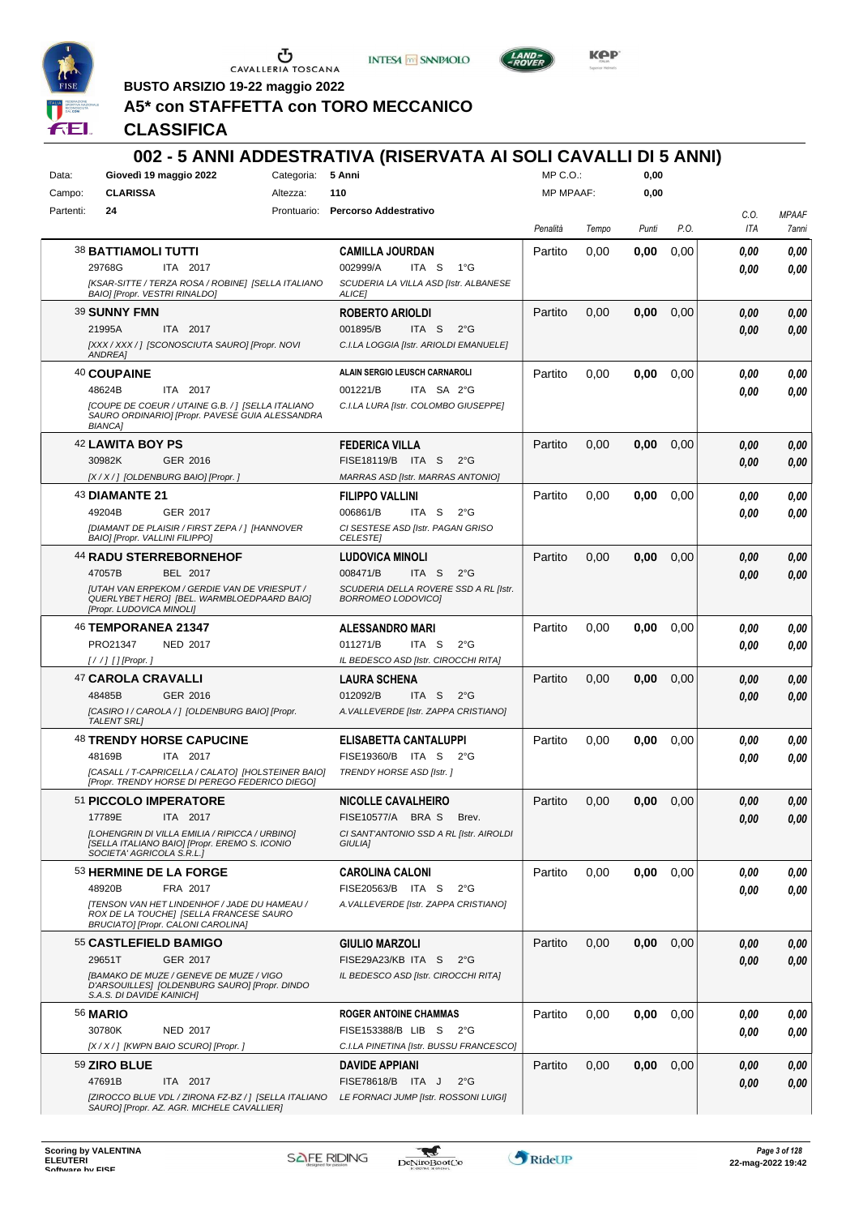

**INTESA M** SANPAOLO



**Kep** 

**BUSTO ARSIZIO 19-22 maggio 2022**

# **A5\* con STAFFETTA con TORO MECCANICO**

| Data:<br>Campo: | Giovedì 19 maggio 2022<br><b>CLARISSA</b>                                                                                     | Categoria:<br>Altezza: | 5 Anni<br>110                                                               | MP C.O.:<br><b>MP MPAAF:</b> |       | 0,00<br>0,00 |      |      |              |
|-----------------|-------------------------------------------------------------------------------------------------------------------------------|------------------------|-----------------------------------------------------------------------------|------------------------------|-------|--------------|------|------|--------------|
| Partenti:       | 24                                                                                                                            |                        | Prontuario: Percorso Addestrativo                                           |                              |       |              |      | C.O. | <b>MPAAF</b> |
|                 |                                                                                                                               |                        |                                                                             | Penalità                     | Tempo | Punti        | P.O. | ITA  | 7anni        |
|                 | <b>38 BATTIAMOLI TUTTI</b>                                                                                                    |                        | <b>CAMILLA JOURDAN</b>                                                      | Partito                      | 0,00  | 0,00         | 0,00 | 0,00 | 0,00         |
|                 | 29768G<br>ITA 2017                                                                                                            |                        | 002999/A<br>ITA S<br>$1^{\circ}G$                                           |                              |       |              |      | 0.00 | 0.00         |
|                 | [KSAR-SITTE / TERZA ROSA / ROBINE] [SELLA ITALIANO<br>BAIO] [Propr. VESTRI RINALDO]                                           |                        | SCUDERIA LA VILLA ASD [Istr. ALBANESE<br>ALICE]                             |                              |       |              |      |      |              |
|                 | 39 SUNNY FMN                                                                                                                  |                        | <b>ROBERTO ARIOLDI</b>                                                      | Partito                      | 0,00  | 0,00         | 0,00 | 0,00 | 0,00         |
|                 | 21995A<br>ITA 2017                                                                                                            |                        | 001895/B<br>ITA S<br>$2^{\circ}$ G                                          |                              |       |              |      | 0.00 | 0.00         |
|                 | [XXX / XXX / ] [SCONOSCIUTA SAURO] [Propr. NOVI<br>ANDREA]                                                                    |                        | C.I.LA LOGGIA [Istr. ARIOLDI EMANUELE]                                      |                              |       |              |      |      |              |
|                 | 40 COUPAINE                                                                                                                   |                        | ALAIN SERGIO LEUSCH CARNAROLI                                               | Partito                      | 0,00  | 0,00         | 0,00 | 0,00 | 0,00         |
|                 | 48624B<br><b>ITA 2017</b>                                                                                                     |                        | 001221/B<br>ITA SA 2°G                                                      |                              |       |              |      | 0.00 | 0.00         |
|                 | [COUPE DE COEUR / UTAINE G.B. / ] [SELLA ITALIANO<br>SAURO ORDINARIO] [Propr. PAVESE GUIA ALESSANDRA<br><b>BIANCA]</b>        |                        | C.I.LA LURA [Istr. COLOMBO GIUSEPPE]                                        |                              |       |              |      |      |              |
|                 | 42 LAWITA BOY PS                                                                                                              |                        | <b>FEDERICA VILLA</b>                                                       | Partito                      | 0,00  | 0,00         | 0,00 | 0.00 | 0,00         |
|                 | 30982K<br>GER 2016                                                                                                            |                        | FISE18119/B ITA S<br>$2^{\circ}$ G                                          |                              |       |              |      | 0,00 | 0,00         |
|                 | [X / X / ] [OLDENBURG BAIO] [Propr. ]                                                                                         |                        | <b>MARRAS ASD [Istr. MARRAS ANTONIO]</b>                                    |                              |       |              |      |      |              |
|                 | 43 DIAMANTE 21                                                                                                                |                        | <b>FILIPPO VALLINI</b>                                                      | Partito                      | 0,00  | 0,00         | 0,00 | 0,00 | 0,00         |
|                 | 49204B<br>GER 2017<br>[DIAMANT DE PLAISIR / FIRST ZEPA / ] [HANNOVER                                                          |                        | 006861/B<br>ITA S<br>$2^{\circ}$ G<br>CI SESTESE ASD [Istr. PAGAN GRISO     |                              |       |              |      | 0.00 | 0.00         |
|                 | BAIO] [Propr. VALLINI FILIPPO]                                                                                                |                        | <b>CELESTEI</b>                                                             |                              |       |              |      |      |              |
|                 | <b>44 RADU STERREBORNEHOF</b>                                                                                                 |                        | <b>LUDOVICA MINOLI</b>                                                      | Partito                      | 0,00  | 0,00         | 0,00 | 0,00 | 0,00         |
|                 | BEL 2017<br>47057B                                                                                                            |                        | 008471/B<br>ITA S<br>$2^{\circ}$ G                                          |                              |       |              |      | 0.00 | 0,00         |
|                 | <b>JUTAH VAN ERPEKOM / GERDIE VAN DE VRIESPUT /</b><br>QUERLYBET HERO] [BEL. WARMBLOEDPAARD BAIO]<br>[Propr. LUDOVICA MINOLI] |                        | SCUDERIA DELLA ROVERE SSD A RL [Istr.<br><b>BORROMEO LODOVICO]</b>          |                              |       |              |      |      |              |
|                 | 46 TEMPORANEA 21347                                                                                                           |                        | ALESSANDRO MARI                                                             | Partito                      | 0,00  | 0,00         | 0,00 | 0,00 | 0,00         |
|                 | PRO21347<br><b>NED 2017</b>                                                                                                   |                        | ITA S<br>011271/B<br>$2^{\circ}G$                                           |                              |       |              |      | 0,00 | 0.00         |
|                 | [//] [] [Propr. ]                                                                                                             |                        | IL BEDESCO ASD [Istr. CIROCCHI RITA]                                        |                              |       |              |      |      |              |
|                 | 47 CAROLA CRAVALLI                                                                                                            |                        | <b>LAURA SCHENA</b>                                                         | Partito                      | 0,00  | 0,00         | 0,00 | 0,00 | 0,00         |
|                 | 48485B<br>GER 2016<br>[CASIRO I / CAROLA / ] [OLDENBURG BAIO] [Propr.                                                         |                        | 012092/B<br>ITA S<br>$2^{\circ}$ G<br>A. VALLEVERDE [Istr. ZAPPA CRISTIANO] |                              |       |              |      | 0,00 | 0,00         |
|                 | <b>TALENT SRL1</b>                                                                                                            |                        |                                                                             |                              |       |              |      |      |              |
|                 | <b>48 TRENDY HORSE CAPUCINE</b>                                                                                               |                        | ELISABETTA CANTALUPPI                                                       | Partito                      | 0,00  | 0,00         | 0,00 | 0,00 | 0,00         |
|                 | ITA 2017<br>48169B                                                                                                            |                        | FISE19360/B<br>ITA S<br>$2^{\circ}$ G                                       |                              |       |              |      | 0,00 | 0,00         |
|                 | [CASALL / T-CAPRICELLA / CALATO] [HOLSTEINER BAIO]<br>[Propr. TRENDY HORSE DI PEREGO FEDERICO DIEGO]                          |                        | TRENDY HORSE ASD [Istr.]                                                    |                              |       |              |      |      |              |
|                 | 51 PICCOLO IMPERATORE                                                                                                         |                        | <b>NICOLLE CAVALHEIRO</b>                                                   | Partito                      | 0,00  | 0,00         | 0,00 | 0,00 | 0,00         |
|                 | 17789E<br>ITA 2017                                                                                                            |                        | FISE10577/A BRAS<br>Brev.                                                   |                              |       |              |      | 0,00 | 0,00         |
|                 | [LOHENGRIN DI VILLA EMILIA / RIPICCA / URBINO]<br>[SELLA ITALIANO BAIO] [Propr. EREMO S. ICONIO<br>SOCIETA' AGRICOLA S.R.L.]  |                        | CI SANT'ANTONIO SSD A RL [Istr. AIROLDI<br>GIULIA]                          |                              |       |              |      |      |              |
|                 | 53 HERMINE DE LA FORGE                                                                                                        |                        | <b>CAROLINA CALONI</b>                                                      | Partito                      | 0,00  | 0,00         | 0,00 | 0.00 | 0,00         |
|                 | 48920B<br>FRA 2017                                                                                                            |                        | FISE20563/B ITA S<br>$2^{\circ}$ G                                          |                              |       |              |      | 0,00 | 0,00         |
|                 | [TENSON VAN HET LINDENHOF / JADE DU HAMEAU /<br>ROX DE LA TOUCHE] [SELLA FRANCESE SAURO<br>BRUCIATO] [Propr. CALONI CAROLINA] |                        | A. VALLEVERDE [Istr. ZAPPA CRISTIANO]                                       |                              |       |              |      |      |              |
|                 | 55 CASTLEFIELD BAMIGO                                                                                                         |                        | <b>GIULIO MARZOLI</b>                                                       | Partito                      | 0,00  | 0,00         | 0,00 | 0,00 | 0,00         |
|                 | 29651T<br>GER 2017                                                                                                            |                        | FISE29A23/KB ITA S<br>$2^{\circ}$ G                                         |                              |       |              |      | 0,00 | 0,00         |
|                 | [BAMAKO DE MUZE / GENEVE DE MUZE / VIGO<br>D'ARSOUILLES] [OLDENBURG SAURO] [Propr. DINDO<br>S.A.S. DI DAVIDE KAINICH]         |                        | IL BEDESCO ASD [Istr. CIROCCHI RITA]                                        |                              |       |              |      |      |              |
|                 | <b>56 MARIO</b>                                                                                                               |                        | <b>ROGER ANTOINE CHAMMAS</b>                                                | Partito                      | 0,00  | 0,00         | 0,00 | 0,00 | 0,00         |
|                 | 30780K<br><b>NED 2017</b>                                                                                                     |                        | FISE153388/B LIB S 2°G                                                      |                              |       |              |      | 0,00 | 0,00         |
|                 | [X / X / ] [KWPN BAIO SCURO] [Propr. ]                                                                                        |                        | C.I.LA PINETINA [Istr. BUSSU FRANCESCO]                                     |                              |       |              |      |      |              |
|                 | 59 ZIRO BLUE                                                                                                                  |                        | DAVIDE APPIANI                                                              | Partito                      | 0,00  | 0,00         | 0,00 | 0,00 | 0,00         |
|                 | 47691B<br>ITA 2017                                                                                                            |                        | FISE78618/B ITA J<br>$2^{\circ}$ G                                          |                              |       |              |      | 0,00 | 0,00         |
|                 | [ZIROCCO BLUE VDL / ZIRONA FZ-BZ / ] [SELLA ITALIANO<br>SAURO] [Propr. AZ. AGR. MICHELE CAVALLIER]                            |                        | LE FORNACI JUMP [Istr. ROSSONI LUIGI]                                       |                              |       |              |      |      |              |

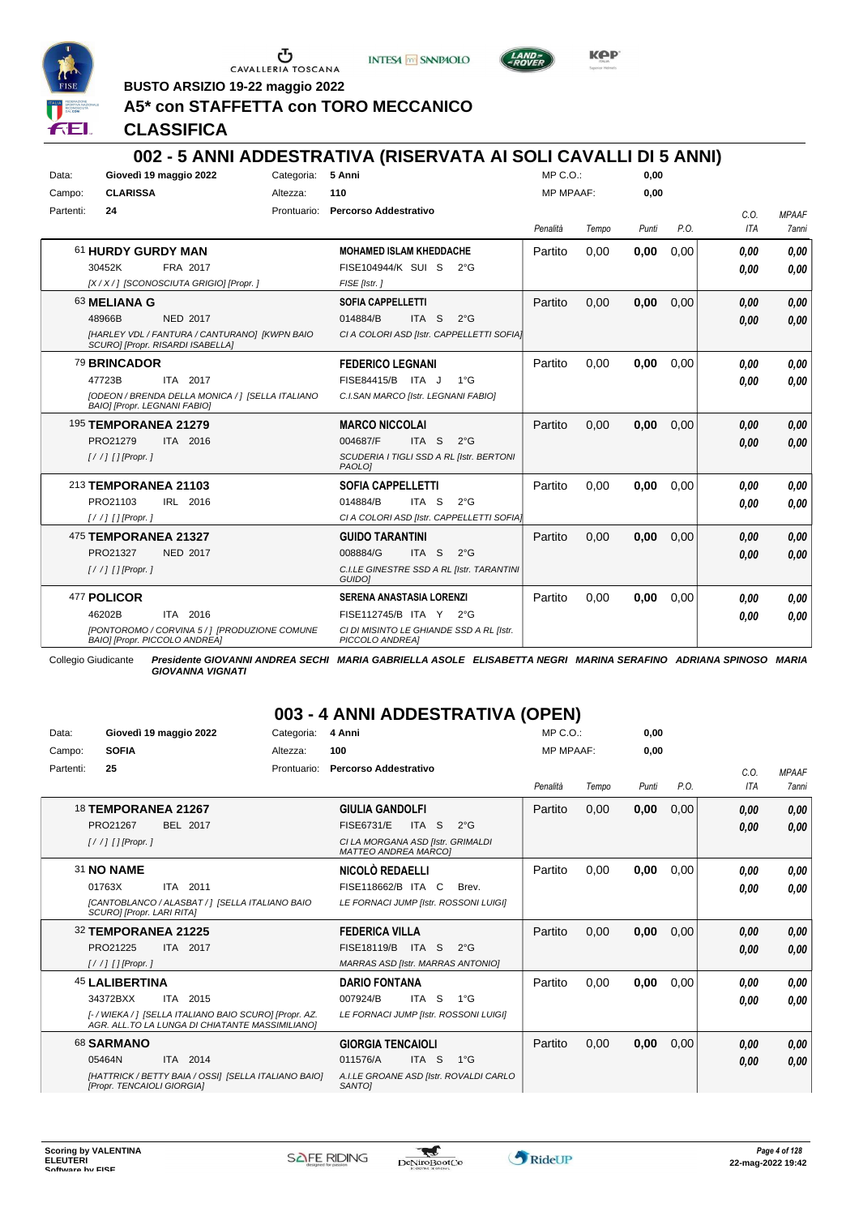

Ⴠ CAVALLERIA TOSCANA

**INTESA** M SANPAOLO



**Kep** 

**BUSTO ARSIZIO 19-22 maggio 2022**

# **A5\* con STAFFETTA con TORO MECCANICO**

**CLASSIFICA**

# **002 - 5 ANNI ADDESTRATIVA (RISERVATA AI SOLI CAVALLI DI 5 ANNI)**

| Data:     |                              | Giovedì 19 maggio 2022                                                            | Categoria:  | 5 Anni                                                      | $MP C. O.$ :     |       | 0,00  |      |            |              |
|-----------|------------------------------|-----------------------------------------------------------------------------------|-------------|-------------------------------------------------------------|------------------|-------|-------|------|------------|--------------|
| Campo:    | <b>CLARISSA</b>              |                                                                                   | Altezza:    | 110                                                         | <b>MP MPAAF:</b> |       | 0,00  |      |            |              |
| Partenti: | 24                           |                                                                                   | Prontuario: | <b>Percorso Addestrativo</b>                                |                  |       |       |      | C.O.       | <b>MPAAF</b> |
|           |                              |                                                                                   |             |                                                             | Penalità         | Tempo | Punti | P.O. | <b>ITA</b> | 7anni        |
|           | 61 HURDY GURDY MAN           |                                                                                   |             | <b>MOHAMED ISLAM KHEDDACHE</b>                              | Partito          | 0.00  | 0,00  | 0,00 | 0.00       | 0.00         |
|           | 30452K                       | FRA 2017                                                                          |             | <b>FISE104944/K SUI S</b><br>$2^{\circ}$ G                  |                  |       |       |      | 0.00       | 0.00         |
|           |                              | [X / X / ] [SCONOSCIUTA GRIGIO] [Propr. ]                                         |             | FISE [Istr.]                                                |                  |       |       |      |            |              |
|           | 63 MELIANA G                 |                                                                                   |             | <b>SOFIA CAPPELLETTI</b>                                    | Partito          | 0,00  | 0,00  | 0,00 | 0,00       | 0.00         |
|           | 48966B                       | <b>NED 2017</b>                                                                   |             | 014884/B<br>ITA <sub>S</sub><br>$2^{\circ}$ G               |                  |       |       |      | 0.00       | 0.00         |
|           |                              | [HARLEY VDL / FANTURA / CANTURANO] [KWPN BAIO<br>SCURO] [Propr. RISARDI ISABELLA] |             | CI A COLORI ASD [Istr. CAPPELLETTI SOFIA]                   |                  |       |       |      |            |              |
|           | 79 BRINCADOR                 |                                                                                   |             | <b>FEDERICO LEGNANI</b>                                     | Partito          | 0,00  | 0,00  | 0,00 | 0.00       | 0.00         |
|           | 47723B                       | ITA 2017                                                                          |             | FISE84415/B ITA J<br>1°G                                    |                  |       |       |      | 0.00       | 0.00         |
|           | BAIO] [Propr. LEGNANI FABIO] | [ODEON / BRENDA DELLA MONICA / 1 [SELLA ITALIANO                                  |             | C.I.SAN MARCO [Istr. LEGNANI FABIO]                         |                  |       |       |      |            |              |
|           | <b>195 TEMPORANEA 21279</b>  |                                                                                   |             | <b>MARCO NICCOLAI</b>                                       | Partito          | 0,00  | 0,00  | 0,00 | 0,00       | 0,00         |
|           | PRO21279                     | ITA 2016                                                                          |             | 004687/F<br>ITA S<br>$2^{\circ}$ G                          |                  |       |       |      | 0.00       | 0.00         |
|           | $1/$ / $1$ $1$ [Propr. 1]    |                                                                                   |             | SCUDERIA I TIGLI SSD A RL [Istr. BERTONI<br>PAOLO]          |                  |       |       |      |            |              |
|           | 213 TEMPORANEA 21103         |                                                                                   |             | <b>SOFIA CAPPELLETTI</b>                                    | Partito          | 0.00  | 0,00  | 0,00 | 0.00       | 0.00         |
|           | PRO21103                     | IRL 2016                                                                          |             | 014884/B<br>ITA S<br>$2^{\circ}$ G                          |                  |       |       |      | 0.00       | 0.00         |
|           | $[!//]$ [] [Propr.]          |                                                                                   |             | CI A COLORI ASD [Istr. CAPPELLETTI SOFIA]                   |                  |       |       |      |            |              |
|           | 475 TEMPORANEA 21327         |                                                                                   |             | <b>GUIDO TARANTINI</b>                                      | Partito          | 0.00  | 0,00  | 0,00 | 0,00       | 0,00         |
|           | PRO21327                     | <b>NED 2017</b>                                                                   |             | ITA <sub>S</sub><br>008884/G<br>$2^{\circ}$ G               |                  |       |       |      | 0.00       | 0.00         |
|           | $[!//]$ [] [Propr.]          |                                                                                   |             | C.I.LE GINESTRE SSD A RL [Istr. TARANTINI<br>GUIDO]         |                  |       |       |      |            |              |
|           | 477 POLICOR                  |                                                                                   |             | <b>SERENA ANASTASIA LORENZI</b>                             | Partito          | 0,00  | 0,00  | 0,00 | 0.00       | 0.00         |
|           | 46202B                       | ITA 2016                                                                          |             | FISE112745/B ITA Y 2°G                                      |                  |       |       |      | 0.00       | 0.00         |
|           |                              | [PONTOROMO / CORVINA 5 / ] [PRODUZIONE COMUNE<br>BAIO] [Propr. PICCOLO ANDREA]    |             | CI DI MISINTO LE GHIANDE SSD A RL [Istr.<br>PICCOLO ANDREA] |                  |       |       |      |            |              |

Collegio Giudicante *Presidente GIOVANNI ANDREA SECHI MARIA GABRIELLA ASOLE ELISABETTA NEGRI MARINA SERAFINO ADRIANA SPINOSO MARIA GIOVANNA VIGNATI*

# **003 - 4 ANNI ADDESTRATIVA (OPEN)**

| Data:     | Giovedì 19 maggio 2022                                                                                     | Categoria:  | 4 Anni                                                           | MP C. O.         |       | 0,00  |      |      |              |
|-----------|------------------------------------------------------------------------------------------------------------|-------------|------------------------------------------------------------------|------------------|-------|-------|------|------|--------------|
| Campo:    | <b>SOFIA</b>                                                                                               | Altezza:    | 100                                                              | <b>MP MPAAF:</b> |       | 0,00  |      |      |              |
| Partenti: | 25                                                                                                         | Prontuario: | <b>Percorso Addestrativo</b>                                     |                  |       |       |      | C.0. | <b>MPAAF</b> |
|           |                                                                                                            |             |                                                                  | Penalità         | Tempo | Punti | P.O. | ITA  | 7anni        |
|           | <b>18 TEMPORANEA 21267</b>                                                                                 |             | <b>GIULIA GANDOLFI</b>                                           | Partito          | 0,00  | 0,00  | 0,00 | 0,00 | 0,00         |
|           | PRO21267<br>BEL 2017                                                                                       |             | <b>FISE6731/E</b><br>ITA <sub>S</sub><br>$2^{\circ}$ G           |                  |       |       |      | 0,00 | 0,00         |
|           | $\left[ \frac{1}{1} \right]$ $\left[$ $\right]$ $\left[$ $\right]$ $\left[$ $\right]$ $\left[$ $\right]$   |             | CI LA MORGANA ASD [Istr. GRIMALDI<br><b>MATTEO ANDREA MARCOI</b> |                  |       |       |      |      |              |
|           | <b>31 NO NAME</b>                                                                                          |             | NICOLÒ REDAELLI                                                  | Partito          | 0,00  | 0,00  | 0,00 | 0.00 | 0,00         |
|           | ITA 2011<br>01763X                                                                                         |             | FISE118662/B ITA C<br>Brev.                                      |                  |       |       |      | 0,00 | 0,00         |
|           | [CANTOBLANCO / ALASBAT / 1 [SELLA ITALIANO BAIO<br>SCUROI [Propr. LARI RITA]                               |             | LE FORNACI JUMP [Istr. ROSSONI LUIGI]                            |                  |       |       |      |      |              |
|           | 32 TEMPORANEA 21225                                                                                        |             | <b>FEDERICA VILLA</b>                                            | Partito          | 0,00  | 0,00  | 0,00 | 0,00 | 0,00         |
|           | PRO21225<br>ITA 2017                                                                                       |             | FISE18119/B<br>ITA S<br>$2^{\circ}G$                             |                  |       |       |      | 0,00 | 0,00         |
|           | $1/$ / $1$ $1$ [Propr. 1                                                                                   |             | <b>MARRAS ASD [Istr. MARRAS ANTONIO]</b>                         |                  |       |       |      |      |              |
|           | <b>45 LALIBERTINA</b>                                                                                      |             | <b>DARIO FONTANA</b>                                             | Partito          | 0,00  | 0,00  | 0,00 | 0.00 | 0,00         |
|           | 34372BXX<br>ITA 2015                                                                                       |             | 007924/B<br>ITA S<br>$1^{\circ}G$                                |                  |       |       |      | 0.00 | 0.00         |
|           | [- / WIEKA / ] [SELLA ITALIANO BAIO SCURO] [Propr. AZ.<br>AGR. ALL. TO LA LUNGA DI CHIATANTE MASSIMILIANO] |             | LE FORNACI JUMP [Istr. ROSSONI LUIGI]                            |                  |       |       |      |      |              |
|           | 68 SARMANO                                                                                                 |             | <b>GIORGIA TENCAIOLI</b>                                         | Partito          | 0,00  | 0,00  | 0,00 | 0,00 | 0,00         |
|           | ITA 2014<br>05464N                                                                                         |             | ITA <sub>S</sub><br>$1^{\circ}$ G<br>011576/A                    |                  |       |       |      | 0,00 | 0,00         |
|           | [HATTRICK / BETTY BAIA / OSSI] [SELLA ITALIANO BAIO]<br>[Propr. TENCAIOLI GIORGIA]                         |             | A.I.LE GROANE ASD [Istr. ROVALDI CARLO<br>SANTO <sub>I</sub>     |                  |       |       |      |      |              |

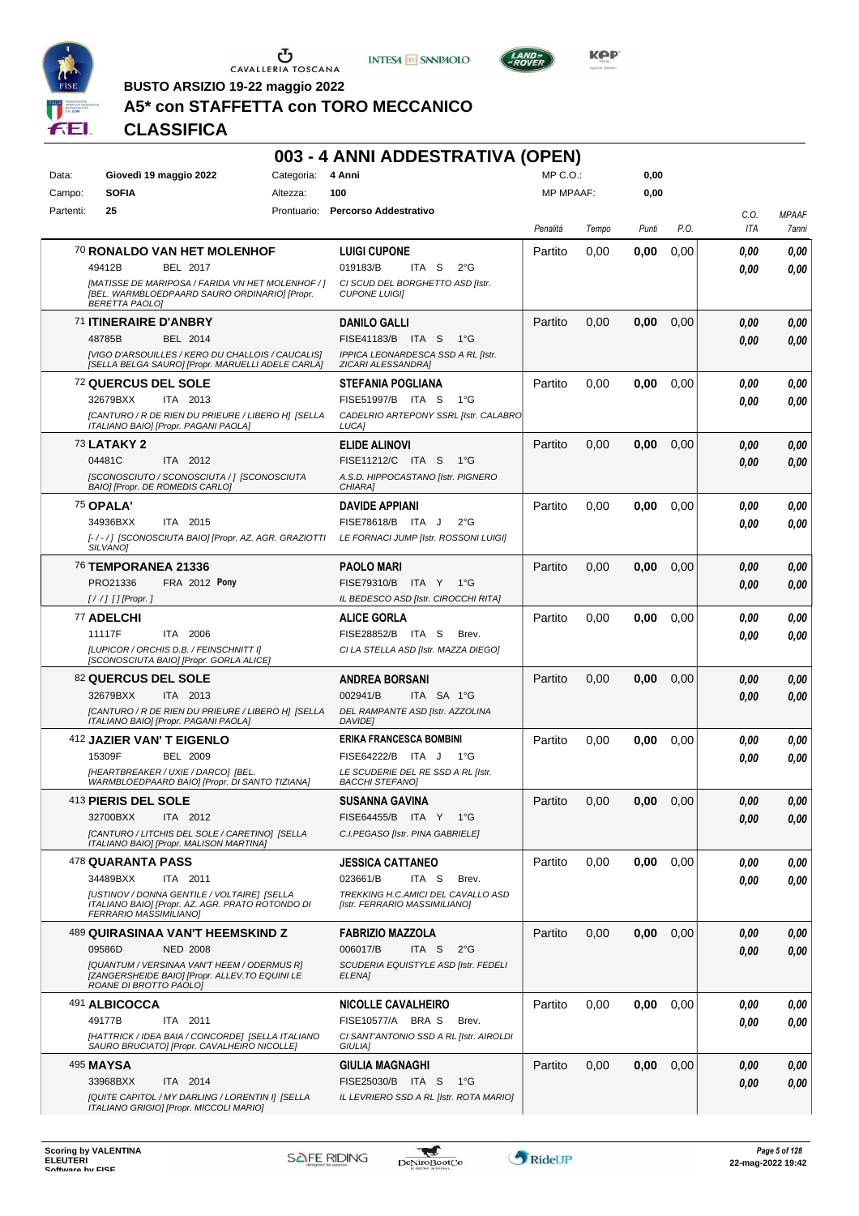





**BUSTO ARSIZIO 19-22 maggio 2022**

# **A5\* con STAFFETTA con TORO MECCANICO**

|           |                                                                                                                             |            | 003 - 4 ANNI ADDESTRATIVA (OPEN)                                    |                  |       |       |      |             |                       |
|-----------|-----------------------------------------------------------------------------------------------------------------------------|------------|---------------------------------------------------------------------|------------------|-------|-------|------|-------------|-----------------------|
| Data:     | Giovedì 19 maggio 2022                                                                                                      | Categoria: | 4 Anni                                                              | $MP C. O.$ :     |       | 0,00  |      |             |                       |
| Campo:    | <b>SOFIA</b>                                                                                                                | Altezza:   | 100                                                                 | <b>MP MPAAF:</b> |       | 0,00  |      |             |                       |
| Partenti: | 25                                                                                                                          |            | Prontuario: Percorso Addestrativo                                   | Penalità         | Tempo | Punti | P.O. | C.O.<br>ITA | <b>MPAAF</b><br>7anni |
|           | 70 RONALDO VAN HET MOLENHOF                                                                                                 |            | <b>LUIGI CUPONE</b>                                                 | Partito          | 0,00  | 0,00  | 0,00 | 0.00        | 0,00                  |
|           | 49412B<br>BEL 2017                                                                                                          |            | 019183/B<br>ITA S<br>$2^{\circ}$ G                                  |                  |       |       |      | 0.00        | 0.00                  |
|           | [MATISSE DE MARIPOSA / FARIDA VN HET MOLENHOF / ]<br>[BEL. WARMBLOEDPAARD SAURO ORDINARIO] [Propr.<br><b>BERETTA PAOLO]</b> |            | CI SCUD DEL BORGHETTO ASD [Istr.<br><b>CUPONE LUIGII</b>            |                  |       |       |      |             |                       |
|           | 71 ITINERAIRE D'ANBRY                                                                                                       |            | <b>DANILO GALLI</b>                                                 | Partito          | 0,00  | 0,00  | 0,00 | 0,00        | 0,00                  |
|           | 48785B<br>BEL 2014                                                                                                          |            | FISE41183/B ITA S<br>$1^{\circ}G$                                   |                  |       |       |      | 0.00        | 0,00                  |
|           | [VIGO D'ARSOUILLES / KERO DU CHALLOIS / CAUCALIS]<br>[SELLA BELGA SAURO] [Propr. MARUELLI ADELE CARLA]                      |            | IPPICA LEONARDESCA SSD A RL [Istr.<br>ZICARI ALESSANDRA]            |                  |       |       |      |             |                       |
|           | <b>72 QUERCUS DEL SOLE</b>                                                                                                  |            | <b>STEFANIA POGLIANA</b>                                            | Partito          | 0,00  | 0,00  | 0,00 | 0.00        | 0,00                  |
|           | 32679BXX<br>ITA 2013                                                                                                        |            | FISE51997/B ITA S<br>1°G                                            |                  |       |       |      | 0.00        | 0,00                  |
|           | [CANTURO / R DE RIEN DU PRIEURE / LIBERO H] [SELLA<br>ITALIANO BAIO] [Propr. PAGANI PAOLA]                                  |            | CADELRIO ARTEPONY SSRL [Istr. CALABRO<br>LUCA]                      |                  |       |       |      |             |                       |
|           | <b>73 LATAKY 2</b>                                                                                                          |            | <b>ELIDE ALINOVI</b>                                                | Partito          | 0,00  | 0,00  | 0,00 | 0,00        | 0,00                  |
|           | 04481C<br>ITA 2012                                                                                                          |            | FISE11212/C ITA S<br>1°G                                            |                  |       |       |      | 0.00        | 0,00                  |
|           | [SCONOSCIUTO / SCONOSCIUTA / ] [SCONOSCIUTA<br>BAIO] [Propr. DE ROMEDIS CARLO]                                              |            | A.S.D. HIPPOCASTANO [Istr. PIGNERO<br>CHIARA1                       |                  |       |       |      |             |                       |
|           | 75 OPALA'                                                                                                                   |            | <b>DAVIDE APPIANI</b>                                               | Partito          | 0,00  | 0,00  | 0,00 | 0.00        | 0,00                  |
|           | ITA 2015<br>34936BXX                                                                                                        |            | FISE78618/B ITA J<br>$2^{\circ}$ G                                  |                  |       |       |      | 0.00        | 0,00                  |
|           | [-/-/] [SCONOSCIUTA BAIO] [Propr. AZ. AGR. GRAZIOTTI<br>SILVANO <sub>1</sub>                                                |            | LE FORNACI JUMP [Istr. ROSSONI LUIGI]                               |                  |       |       |      |             |                       |
|           | <sup>76</sup> TEMPORANEA 21336                                                                                              |            | <b>PAOLO MARI</b>                                                   | Partito          | 0,00  | 0,00  | 0,00 | 0,00        | 0,00                  |
|           | PRO21336<br><b>FRA 2012 Pony</b>                                                                                            |            | FISE79310/B<br>ITA Y<br>1°G                                         |                  |       |       |      | 0,00        | 0,00                  |
|           | $[!//]$ [] [Propr.]                                                                                                         |            | IL BEDESCO ASD [Istr. CIROCCHI RITA]                                |                  |       |       |      |             |                       |
|           | 77 ADELCHI                                                                                                                  |            | <b>ALICE GORLA</b>                                                  | Partito          | 0,00  | 0,00  | 0,00 | 0.00        | 0,00                  |
|           | 11117F<br>ITA 2006<br>[LUPICOR / ORCHIS D.B. / FEINSCHNITT I]                                                               |            | FISE28852/B ITA S<br>Brev.<br>CI LA STELLA ASD [Istr. MAZZA DIEGO]  |                  |       |       |      | 0.00        | 0,00                  |
|           | [SCONOSCIUTA BAIO] [Propr. GORLA ALICE]                                                                                     |            |                                                                     |                  |       |       |      |             |                       |
|           | <b>82 QUERCUS DEL SOLE</b>                                                                                                  |            | <b>ANDREA BORSANI</b>                                               | Partito          | 0,00  | 0,00  | 0,00 | 0,00        | 0,00                  |
|           | 32679BXX<br>ITA 2013                                                                                                        |            | 002941/B<br>ITA SA 1°G                                              |                  |       |       |      | 0,00        | 0,00                  |
|           | [CANTURO / R DE RIEN DU PRIEURE / LIBERO H] [SELLA<br>ITALIANO BAIO] [Propr. PAGANI PAOLA]                                  |            | DEL RAMPANTE ASD [Istr. AZZOLINA<br><b>DAVIDE</b>                   |                  |       |       |      |             |                       |
|           | 412 JAZIER VAN'T EIGENLO                                                                                                    |            | ERIKA FRANCESCA BOMBINI                                             | Partito          | 0,00  | 0,00  | 0,00 | 0,00        | 0,00                  |
|           | 15309F<br>BEL 2009                                                                                                          |            | FISE64222/B ITA J<br>1°G                                            |                  |       |       |      | 0.00        | 0.00                  |
|           | [HEARTBREAKER / UXIE / DARCO] [BEL.<br>WARMBLOEDPAARD BAIO] [Propr. DI SANTO TIZIANA]                                       |            | LE SCUDERIE DEL RE SSD A RL [Istr.<br><b>BACCHI STEFANO]</b>        |                  |       |       |      |             |                       |
|           | <sup>413</sup> PIERIS DEL SOLE                                                                                              |            | <b>SUSANNA GAVINA</b>                                               | Partito          | 0,00  | 0,00  | 0,00 | 0,00        | 0,00                  |
|           | 32700BXX<br>ITA 2012                                                                                                        |            | FISE64455/B ITA Y<br>1°G                                            |                  |       |       |      | 0.00        | 0.00                  |
|           | [CANTURO / LITCHIS DEL SOLE / CARETINO] [SELLA<br>ITALIANO BAIO] [Propr. MALISON MARTINA]                                   |            | C.I.PEGASO [Istr. PINA GABRIELE]                                    |                  |       |       |      |             |                       |
|           | 478 QUARANTA PASS                                                                                                           |            | <b>JESSICA CATTANEO</b>                                             | Partito          | 0,00  | 0,00  | 0,00 | 0.00        | 0,00                  |
|           | 34489BXX<br>ITA 2011                                                                                                        |            | 023661/B<br>ITA S<br>Brev.                                          |                  |       |       |      | 0.00        | 0.00                  |
|           | [USTINOV / DONNA GENTILE / VOLTAIRE] [SELLA<br>ITALIANO BAIO] [Propr. AZ. AGR. PRATO ROTONDO DI<br>FERRARIO MASSIMILIANO]   |            | TREKKING H.C.AMICI DEL CAVALLO ASD<br>[Istr. FERRARIO MASSIMILIANO] |                  |       |       |      |             |                       |
|           | <sup>489</sup> QUIRASINAA VAN'T HEEMSKIND Z                                                                                 |            | <b>FABRIZIO MAZZOLA</b>                                             | Partito          | 0,00  | 0,00  | 0,00 | 0.00        | 0,00                  |
|           | 09586D<br><b>NED 2008</b>                                                                                                   |            | 006017/B<br>ITA S<br>$2^{\circ}$ G                                  |                  |       |       |      | 0,00        | 0,00                  |
|           | [QUANTUM / VERSINAA VAN'T HEEM / ODERMUS R]<br>[ZANGERSHEIDE BAIO] [Propr. ALLEV.TO EQUINI LE<br>ROANE DI BROTTO PAOLO]     |            | SCUDERIA EQUISTYLE ASD [Istr. FEDELI<br>ELENA]                      |                  |       |       |      |             |                       |
|           | 491 ALBICOCCA                                                                                                               |            | <b>NICOLLE CAVALHEIRO</b>                                           | Partito          | 0,00  | 0,00  | 0,00 | 0.00        | 0,00                  |
|           | 49177B<br>ITA 2011                                                                                                          |            | FISE10577/A BRA S<br>Brev.                                          |                  |       |       |      | 0.00        | 0,00                  |
|           | [HATTRICK / IDEA BAIA / CONCORDE] [SELLA ITALIANO<br>SAURO BRUCIATO] [Propr. CAVALHEIRO NICOLLE]                            |            | CI SANT'ANTONIO SSD A RL [Istr. AIROLDI<br><b>GIULIAI</b>           |                  |       |       |      |             |                       |
|           | 495 MAYSA                                                                                                                   |            | <b>GIULIA MAGNAGHI</b>                                              | Partito          | 0,00  | 0,00  | 0,00 | 0,00        | 0,00                  |
|           | 33968BXX<br>ITA 2014                                                                                                        |            | FISE25030/B ITA S<br>— 1°G                                          |                  |       |       |      | 0.00        | 0,00                  |
|           | [QUITE CAPITOL / MY DARLING / LORENTIN I] [SELLA<br>ITALIANO GRIGIO] [Propr. MICCOLI MARIO]                                 |            | IL LEVRIERO SSD A RL [Istr. ROTA MARIO]                             |                  |       |       |      |             |                       |

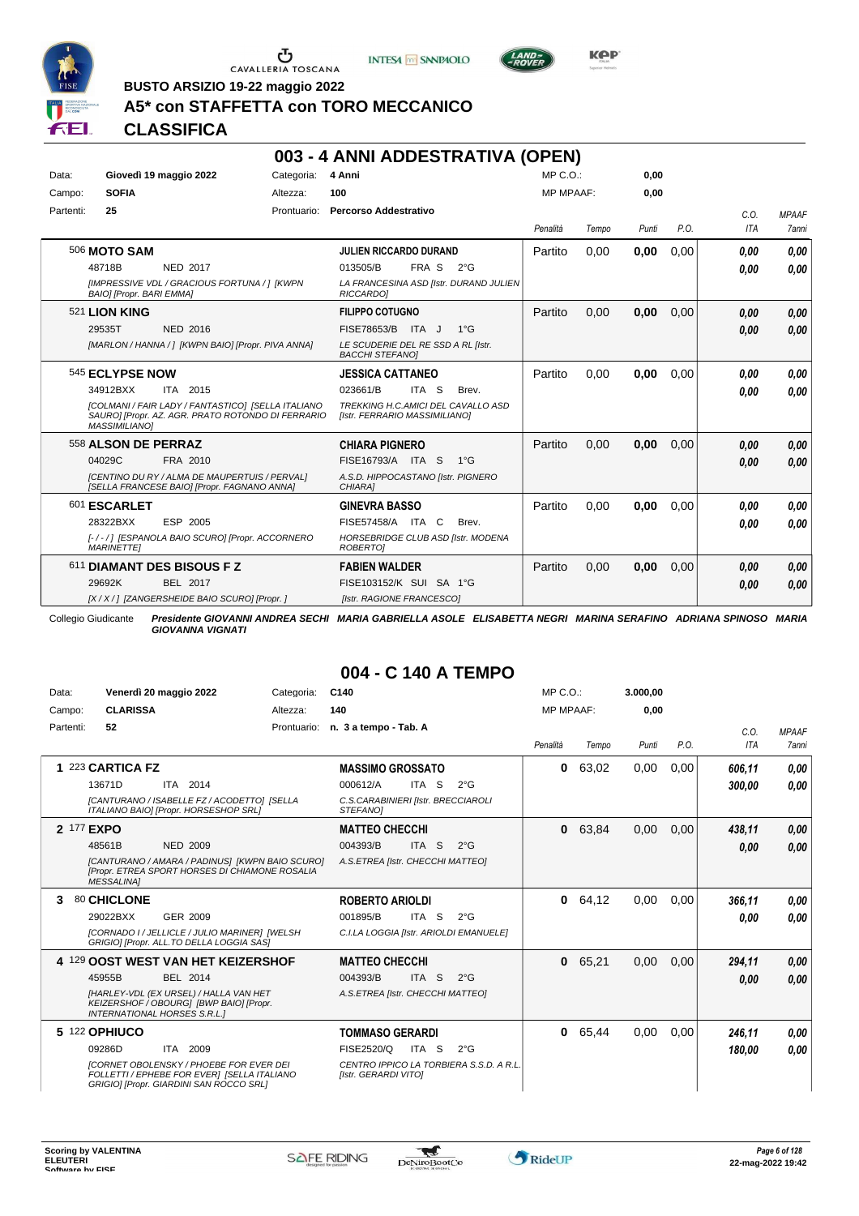





**BUSTO ARSIZIO 19-22 maggio 2022**

# **A5\* con STAFFETTA con TORO MECCANICO**

# **CLASSIFICA**

|           |                                                                                                                                        |            | 003 - 4 ANNI ADDESTRATIVA (OPEN)                                    |                  |       |       |      |            |              |
|-----------|----------------------------------------------------------------------------------------------------------------------------------------|------------|---------------------------------------------------------------------|------------------|-------|-------|------|------------|--------------|
| Data:     | Giovedì 19 maggio 2022                                                                                                                 | Categoria: | 4 Anni                                                              | $MP C. O.$ :     |       | 0.00  |      |            |              |
| Campo:    | <b>SOFIA</b>                                                                                                                           | Altezza:   | 100                                                                 | <b>MP MPAAF:</b> |       | 0,00  |      |            |              |
| Partenti: | 25                                                                                                                                     |            | Prontuario: Percorso Addestrativo                                   |                  |       |       |      | C.O.       | <b>MPAAF</b> |
|           |                                                                                                                                        |            |                                                                     | Penalità         | Tempo | Punti | P.O. | <b>ITA</b> | 7anni        |
|           | 506 MOTO SAM                                                                                                                           |            | <b>JULIEN RICCARDO DURAND</b>                                       | Partito          | 0,00  | 0,00  | 0,00 | 0,00       | 0,00         |
|           | <b>NED 2017</b><br>48718B                                                                                                              |            | FRA S<br>013505/B<br>$2^{\circ}G$                                   |                  |       |       |      | 0.00       | 0,00         |
|           | [IMPRESSIVE VDL / GRACIOUS FORTUNA / ] [KWPN<br>BAIO] [Propr. BARI EMMA]                                                               |            | LA FRANCESINA ASD [Istr. DURAND JULIEN<br>RICCARDOI                 |                  |       |       |      |            |              |
|           | 521 LION KING                                                                                                                          |            | <b>FILIPPO COTUGNO</b>                                              | Partito          | 0.00  | 0.00  | 0.00 | 0.00       | 0,00         |
|           | 29535T<br><b>NED 2016</b>                                                                                                              |            | FISE78653/B<br>ITA J<br>$1^{\circ}G$                                |                  |       |       |      | 0.00       | 0,00         |
|           | [MARLON / HANNA / ] [KWPN BAIO] [Propr. PIVA ANNA]                                                                                     |            | LE SCUDERIE DEL RE SSD A RL [Istr.<br><b>BACCHI STEFANOI</b>        |                  |       |       |      |            |              |
|           | 545 ECLYPSE NOW                                                                                                                        |            | <b>JESSICA CATTANEO</b>                                             | Partito          | 0,00  | 0.00  | 0.00 | 0.00       | 0.00         |
|           | 34912BXX<br>ITA 2015                                                                                                                   |            | ITA <sub>S</sub><br>023661/B<br>Brev.                               |                  |       |       |      | 0.00       | 0,00         |
|           | <b>[COLMANI / FAIR LADY / FANTASTICO] [SELLA ITALIANO</b><br>SAURO] [Propr. AZ. AGR. PRATO ROTONDO DI FERRARIO<br><b>MASSIMILIANO1</b> |            | TREKKING H.C.AMICI DEL CAVALLO ASD<br>[Istr. FERRARIO MASSIMILIANO] |                  |       |       |      |            |              |
|           | 558 ALSON DE PERRAZ                                                                                                                    |            | <b>CHIARA PIGNERO</b>                                               | Partito          | 0.00  | 0.00  | 0.00 | 0.00       | 0,00         |
|           | 04029C<br>FRA 2010                                                                                                                     |            | FISE16793/A ITA S<br>$1^{\circ}G$                                   |                  |       |       |      | 0.00       | 0,00         |
|           | <b>[CENTINO DU RY / ALMA DE MAUPERTUIS / PERVAL]</b><br>[SELLA FRANCESE BAIO] [Propr. FAGNANO ANNA]                                    |            | A.S.D. HIPPOCASTANO [Istr. PIGNERO<br>CHIARA1                       |                  |       |       |      |            |              |
|           | 601 ESCARLET                                                                                                                           |            | <b>GINEVRA BASSO</b>                                                | Partito          | 0,00  | 0,00  | 0.00 | 0.00       | 0,00         |
|           | 28322BXX<br>ESP 2005                                                                                                                   |            | FISE57458/A ITA C<br>Brev.                                          |                  |       |       |      | 0.00       | 0,00         |
|           | [-/-/] [ESPANOLA BAIO SCURO] [Propr. ACCORNERO<br><b>MARINETTEI</b>                                                                    |            | HORSEBRIDGE CLUB ASD [Istr. MODENA<br>ROBERTOI                      |                  |       |       |      |            |              |
|           | 611 DIAMANT DES BISOUS F Z                                                                                                             |            | <b>FABIEN WALDER</b>                                                | Partito          | 0,00  | 0,00  | 0,00 | 0.00       | 0,00         |
|           | 29692K<br>BEL 2017                                                                                                                     |            | FISE103152/K SUI SA 1°G                                             |                  |       |       |      | 0.00       | 0,00         |
|           | [X / X / ] [ZANGERSHEIDE BAIO SCURO] [Propr. ]                                                                                         |            | [Istr. RAGIONE FRANCESCO]                                           |                  |       |       |      |            |              |

Collegio Giudicante *Presidente GIOVANNI ANDREA SECHI MARIA GABRIELLA ASOLE ELISABETTA NEGRI MARINA SERAFINO ADRIANA SPINOSO MARIA GIOVANNA VIGNATI*

| Data:      | Venerdì 20 maggio 2022                                                                                                                   | Categoria:  | C140                                                            | $MP C. O.$ :     |       | 3.000,00 |      |            |              |
|------------|------------------------------------------------------------------------------------------------------------------------------------------|-------------|-----------------------------------------------------------------|------------------|-------|----------|------|------------|--------------|
| Campo:     | <b>CLARISSA</b>                                                                                                                          | Altezza:    | 140                                                             | <b>MP MPAAF:</b> |       | 0.00     |      |            |              |
| Partenti:  | 52                                                                                                                                       | Prontuario: | n. 3 a tempo - Tab. A                                           |                  |       |          |      | C.0.       | <b>MPAAF</b> |
|            |                                                                                                                                          |             |                                                                 | Penalità         | Tempo | Punti    | P.O. | <b>ITA</b> | <b>7anni</b> |
| 1          | 223 CARTICA FZ                                                                                                                           |             | <b>MASSIMO GROSSATO</b>                                         | 0                | 63,02 | 0,00     | 0,00 | 606,11     | 0,00         |
|            | 13671D<br>ITA 2014                                                                                                                       |             | 000612/A<br>ITA S<br>$2^{\circ}$ G                              |                  |       |          |      | 300.00     | 0,00         |
|            | [CANTURANO / ISABELLE FZ / ACODETTO] [SELLA<br>ITALIANO BAIOI [Propr. HORSESHOP SRL]                                                     |             | C.S.CARABINIERI [Istr. BRECCIAROLI<br>STEFANOI                  |                  |       |          |      |            |              |
| 2 177 EXPO |                                                                                                                                          |             | <b>MATTEO CHECCHI</b>                                           | $\mathbf{0}$     | 63,84 | 0.00     | 0.00 | 438,11     | 0,00         |
|            | 48561B<br><b>NED 2009</b>                                                                                                                |             | 004393/B<br>ITA <sub>S</sub><br>$2^{\circ}$ G                   |                  |       |          |      | 0.00       | 0,00         |
|            | [CANTURANO / AMARA / PADINUS] [KWPN BAIO SCURO]<br>[Propr. ETREA SPORT HORSES DI CHIAMONE ROSALIA<br><b>MESSALINA1</b>                   |             | A.S.ETREA [Istr. CHECCHI MATTEO]                                |                  |       |          |      |            |              |
| 3          | 80 CHICLONE                                                                                                                              |             | <b>ROBERTO ARIOLDI</b>                                          | $\mathbf{0}$     | 64,12 | 0.00     | 0.00 | 366.11     | 0.00         |
|            | 29022BXX<br>GER 2009                                                                                                                     |             | 001895/B<br>ITA S<br>$2^{\circ}$ G                              |                  |       |          |      | 0.00       | 0.00         |
|            | [CORNADO I / JELLICLE / JULIO MARINER] [WELSH<br>GRIGIO] [Propr. ALL.TO DELLA LOGGIA SAS]                                                |             | C.I.LA LOGGIA [Istr. ARIOLDI EMANUELE]                          |                  |       |          |      |            |              |
|            | 4 129 OOST WEST VAN HET KEIZERSHOF                                                                                                       |             | <b>MATTEO CHECCHI</b>                                           | $\bf{0}$         | 65,21 | 0,00     | 0,00 | 294,11     | 0,00         |
|            | <b>BEL 2014</b><br>45955B                                                                                                                |             | ITA S<br>004393/B<br>$2^{\circ}$ G                              |                  |       |          |      | 0.00       | 0,00         |
|            | [HARLEY-VDL (EX URSEL) / HALLA VAN HET<br>KEIZERSHOF / OBOURG1 [BWP BAIO] [Propr.<br><b>INTERNATIONAL HORSES S.R.L.1</b>                 |             | A.S.ETREA [Istr. CHECCHI MATTEO]                                |                  |       |          |      |            |              |
|            | 5 122 OPHIUCO                                                                                                                            |             | <b>TOMMASO GERARDI</b>                                          | $\mathbf 0$      | 65,44 | 0.00     | 0,00 | 246.11     | 0,00         |
|            | 09286D<br>ITA 2009                                                                                                                       |             | FISE2520/Q<br>ITA S<br>$2^{\circ}$ G                            |                  |       |          |      | 180.00     | 0.00         |
|            | <b>ICORNET OBOLENSKY / PHOEBE FOR EVER DEI</b><br>FOLLETTI / EPHEBE FOR EVER] [SELLA ITALIANO<br>GRIGIO] [Propr. GIARDINI SAN ROCCO SRL] |             | CENTRO IPPICO LA TORBIERA S.S.D. A R.L.<br>[Istr. GERARDI VITO] |                  |       |          |      |            |              |

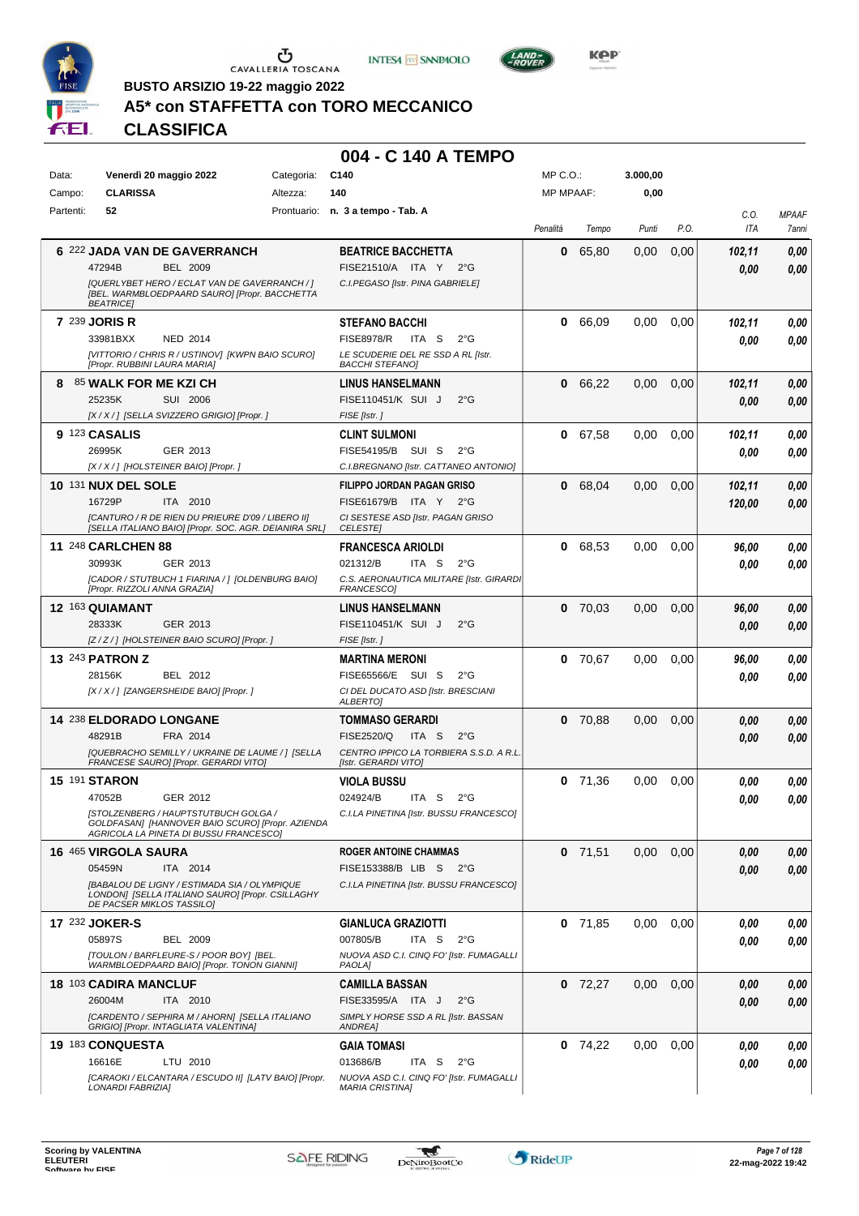





LAND-<br>BOVER

**BUSTO ARSIZIO 19-22 maggio 2022**

# **A5\* con STAFFETTA con TORO MECCANICO**

**CLASSIFICA**

| Data:     | Venerdì 20 maggio 2022                                                                                                             | Categoria: | C140                                                            | MP C.O.:         |           | 3.000,00 |      |                    |                       |
|-----------|------------------------------------------------------------------------------------------------------------------------------------|------------|-----------------------------------------------------------------|------------------|-----------|----------|------|--------------------|-----------------------|
| Campo:    | <b>CLARISSA</b>                                                                                                                    | Altezza:   | 140                                                             | <b>MP MPAAF:</b> |           | 0,00     |      |                    |                       |
| Partenti: | 52                                                                                                                                 |            | Prontuario: n. 3 a tempo - Tab. A                               | Penalità         | Tempo     | Punti    | P.O. | C.O.<br><b>ITA</b> | <b>MPAAF</b><br>7anni |
|           |                                                                                                                                    |            |                                                                 |                  |           |          |      |                    |                       |
|           | 6 222 JADA VAN DE GAVERRANCH<br><b>BEL 2009</b><br>47294B                                                                          |            | <b>BEATRICE BACCHETTA</b><br>FISE21510/A ITA Y 2°G              | 0                | 65,80     | 0,00     | 0,00 | 102,11             | 0,00                  |
|           | [QUERLYBET HERO / ECLAT VAN DE GAVERRANCH / ]                                                                                      |            | C.I.PEGASO [Istr. PINA GABRIELE]                                |                  |           |          |      | 0.00               | 0,00                  |
|           | [BEL. WARMBLOEDPAARD SAURO] [Propr. BACCHETTA<br><b>BEATRICE</b>                                                                   |            |                                                                 |                  |           |          |      |                    |                       |
|           | <b>7 239 JORIS R</b>                                                                                                               |            | <b>STEFANO BACCHI</b>                                           | 0                | 66,09     | 0,00     | 0,00 | 102,11             | 0,00                  |
|           | 33981BXX<br><b>NED 2014</b>                                                                                                        |            | <b>FISE8978/R</b><br>ITA S<br>$2^{\circ}$ G                     |                  |           |          |      | 0,00               | 0,00                  |
|           | [VITTORIO / CHRIS R / USTINOV] [KWPN BAIO SCURO]<br>[Propr. RUBBINI LAURA MARIA]                                                   |            | LE SCUDERIE DEL RE SSD A RL [Istr.<br><b>BACCHI STEFANOI</b>    |                  |           |          |      |                    |                       |
|           | 8 85 WALK FOR ME KZI CH                                                                                                            |            | <b>LINUS HANSELMANN</b>                                         | 0                | 66,22     | 0,00     | 0,00 | 102,11             | 0,00                  |
|           | 25235K<br>SUI 2006                                                                                                                 |            | FISE110451/K SUI J<br>$2^{\circ}$ G                             |                  |           |          |      | 0.00               | 0,00                  |
|           | [X / X / ] [SELLA SVIZZERO GRIGIO] [Propr. ]                                                                                       |            | FISE [Istr.]                                                    |                  |           |          |      |                    |                       |
|           | 9 123 CASALIS                                                                                                                      |            | <b>CLINT SULMONI</b>                                            | 0                | 67,58     | 0,00     | 0,00 | 102,11             | 0,00                  |
|           | 26995K<br>GER 2013                                                                                                                 |            | FISE54195/B SUI S<br>$2^{\circ}$ G                              |                  |           |          |      | 0.00               | 0,00                  |
|           | [X / X / ] [HOLSTEINER BAIO] [Propr. ]                                                                                             |            | C.I.BREGNANO [Istr. CATTANEO ANTONIO]                           |                  |           |          |      |                    |                       |
|           | <b>10 131 NUX DEL SOLE</b>                                                                                                         |            | <b>FILIPPO JORDAN PAGAN GRISO</b>                               | 0                | 68,04     | 0.00     | 0.00 | 102,11             | 0,00                  |
|           | 16729P<br>ITA 2010                                                                                                                 |            | FISE61679/B ITA Y 2°G                                           |                  |           |          |      | 120,00             | 0,00                  |
|           | [CANTURO / R DE RIEN DU PRIEURE D'09 / LIBERO II]<br>[SELLA ITALIANO BAIO] [Propr. SOC. AGR. DEIANIRA SRL]                         |            | CI SESTESE ASD [Istr. PAGAN GRISO<br><b>CELESTEI</b>            |                  |           |          |      |                    |                       |
|           | 11 248 CARLCHEN 88                                                                                                                 |            | <b>FRANCESCA ARIOLDI</b>                                        | 0                | 68,53     | 0,00     | 0,00 | 96,00              | 0,00                  |
|           | 30993K<br>GER 2013                                                                                                                 |            | 021312/B<br>ITA S<br>$2^{\circ}$ G                              |                  |           |          |      | 0.00               | 0,00                  |
|           | [CADOR / STUTBUCH 1 FIARINA / ] [OLDENBURG BAIO]<br>[Propr. RIZZOLI ANNA GRAZIA]                                                   |            | C.S. AERONAUTICA MILITARE [Istr. GIRARDI<br><b>FRANCESCOI</b>   |                  |           |          |      |                    |                       |
|           | 12 163 QUIAMANT                                                                                                                    |            | <b>LINUS HANSELMANN</b>                                         | 0                | 70,03     | 0,00     | 0,00 | 96,00              | 0,00                  |
|           | 28333K<br>GER 2013                                                                                                                 |            | FISE110451/K SUI J<br>$2^{\circ}$ G                             |                  |           |          |      | 0,00               | 0,00                  |
|           | [Z/Z/] [HOLSTEINER BAIO SCURO] [Propr.]                                                                                            |            | FISE [Istr.]                                                    |                  |           |          |      |                    |                       |
|           | <b>13 243 PATRON Z</b>                                                                                                             |            | <b>MARTINA MERONI</b>                                           | 0                | 70,67     | 0,00     | 0.00 | 96,00              | 0,00                  |
|           | 28156K<br>BEL 2012                                                                                                                 |            | FISE65566/E SUI S<br>$2^{\circ}$ G                              |                  |           |          |      | 0.00               | 0.00                  |
|           | [X / X / ] [ZANGERSHEIDE BAIO] [Propr. ]                                                                                           |            | CI DEL DUCATO ASD [Istr. BRESCIANI<br>ALBERTO]                  |                  |           |          |      |                    |                       |
|           | 14 238 ELDORADO LONGANE                                                                                                            |            | <b>TOMMASO GERARDI</b>                                          | 0                | 70,88     | 0,00     | 0,00 | 0.00               | 0,00                  |
|           | 48291B<br>FRA 2014                                                                                                                 |            | <b>FISE2520/Q</b><br>ITA S<br>$2^{\circ}$ G                     |                  |           |          |      | 0.00               | 0,00                  |
|           | [QUEBRACHO SEMILLY / UKRAINE DE LAUME / ] [SELLA<br>FRANCESE SAURO] [Propr. GERARDI VITO]                                          |            | CENTRO IPPICO LA TORBIERA S.S.D. A R.L.<br>[Istr. GERARDI VITO] |                  |           |          |      |                    |                       |
|           | <b>15 191 STARON</b>                                                                                                               |            | <b>VIOLA BUSSU</b>                                              | 0                | 71.36     | 0.00     | 0,00 | 0.00               | 0,00                  |
|           | 47052B<br>GER 2012                                                                                                                 |            | 024924/B<br>ITA <sub>S</sub><br>$2^{\circ}$ G                   |                  |           |          |      | 0.00               | 0,00                  |
|           | [STOLZENBERG / HAUPTSTUTBUCH GOLGA /<br>GOLDFASAN] [HANNOVER BAIO SCURO] [Propr. AZIENDA<br>AGRICOLA LA PINETA DI BUSSU FRANCESCOI |            | C.I.LA PINETINA [Istr. BUSSU FRANCESCO]                         |                  |           |          |      |                    |                       |
|           | <b>16 465 VIRGOLA SAURA</b>                                                                                                        |            | <b>ROGER ANTOINE CHAMMAS</b>                                    |                  | $0$ 71,51 | 0,00     | 0,00 | 0,00               | 0,00                  |
|           | 05459N<br>ITA 2014                                                                                                                 |            | FISE153388/B LIB S 2°G                                          |                  |           |          |      | 0.00               | 0,00                  |
|           | [BABALOU DE LIGNY / ESTIMADA SIA / OLYMPIQUE<br>LONDON] [SELLA ITALIANO SAURO] [Propr. CSILLAGHY<br>DE PACSER MIKLOS TASSILO]      |            | C.I.LA PINETINA [Istr. BUSSU FRANCESCO]                         |                  |           |          |      |                    |                       |
|           | 17 232 JOKER-S                                                                                                                     |            | <b>GIANLUCA GRAZIOTTI</b>                                       |                  | $0$ 71,85 | 0,00     | 0,00 | 0.00               | 0,00                  |
|           | 05897S<br><b>BEL 2009</b>                                                                                                          |            | 007805/B<br>ITA S<br>2°G                                        |                  |           |          |      | 0.00               | 0.00                  |
|           | ITOULON / BARFLEURE-S / POOR BOYI IBEL.<br>WARMBLOEDPAARD BAIO] [Propr. TONON GIANNI]                                              |            | NUOVA ASD C.I. CINQ FO' [Istr. FUMAGALLI<br>PAOLA]              |                  |           |          |      |                    |                       |
|           | 18 103 CADIRA MANCLUF                                                                                                              |            | <b>CAMILLA BASSAN</b>                                           |                  | $0$ 72,27 | 0,00     | 0,00 | 0.00               | 0,00                  |
|           | 26004M<br>ITA 2010                                                                                                                 |            | FISE33595/A ITA J<br>$2^{\circ}$ G                              |                  |           |          |      | 0.00               | 0,00                  |
|           | [CARDENTO / SEPHIRA M / AHORN] [SELLA ITALIANO<br>GRIGIO] [Propr. INTAGLIATA VALENTINA]                                            |            | SIMPLY HORSE SSD A RL [Istr. BASSAN<br>ANDREA]                  |                  |           |          |      |                    |                       |
|           | 19 183 CONQUESTA                                                                                                                   |            | <b>GAIA TOMASI</b>                                              |                  | $0$ 74,22 | 0,00     | 0,00 | 0.00               | 0,00                  |
|           | 16616E<br>LTU 2010                                                                                                                 |            | 013686/B<br>ITA S<br>$2^{\circ}G$                               |                  |           |          |      | 0,00               | 0,00                  |
|           | [CARAOKI / ELCANTARA / ESCUDO II] [LATV BAIO] [Propr.                                                                              |            | NUOVA ASD C.I. CINQ FO' [Istr. FUMAGALLI                        |                  |           |          |      |                    |                       |
|           | LONARDI FABRIZIA]                                                                                                                  |            | <b>MARIA CRISTINA]</b>                                          |                  |           |          |      |                    |                       |

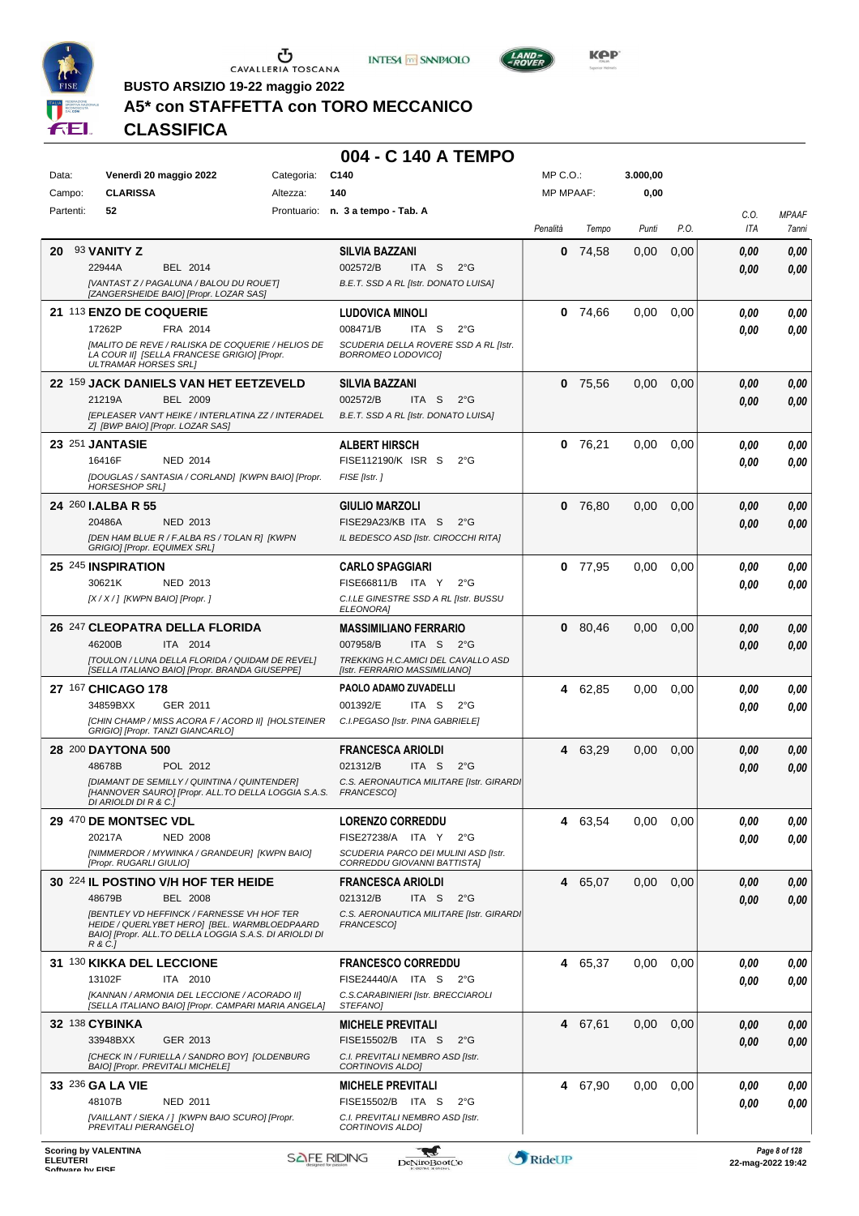





 $L$ AND<sub>=</sub>

**BUSTO ARSIZIO 19-22 maggio 2022**

# **A5\* con STAFFETTA con TORO MECCANICO**

**CLASSIFICA**

| Data:                               | Venerdì 20 maggio 2022                                                                              | Categoria: | C140                                                                      | $MP C. O.$ :     |           | 3.000,00 |      |                   |                       |
|-------------------------------------|-----------------------------------------------------------------------------------------------------|------------|---------------------------------------------------------------------------|------------------|-----------|----------|------|-------------------|-----------------------|
| Campo:                              | <b>CLARISSA</b>                                                                                     | Altezza:   | 140                                                                       | <b>MP MPAAF:</b> |           | 0,00     |      |                   |                       |
| Partenti:                           | 52                                                                                                  |            | Prontuario: n. 3 a tempo - Tab. A                                         | Penalità         | Tempo     | Punti    | P.O. | C.O.<br>ITA       | <b>MPAAF</b><br>7anni |
| 20                                  | 93 <b>VANITY Z</b>                                                                                  |            | <b>SILVIA BAZZANI</b>                                                     | 0                | 74,58     | 0,00     | 0,00 | 0,00              | 0,00                  |
|                                     | 22944A<br>BEL 2014                                                                                  |            | 002572/B<br>ITA <sub>S</sub><br>$2^{\circ}$ G                             |                  |           |          |      | 0,00              | 0,00                  |
|                                     | [VANTAST Z / PAGALUNA / BALOU DU ROUET]<br>[ZANGERSHEIDE BAIO] [Propr. LOZAR SAS]                   |            | B.E.T. SSD A RL [Istr. DONATO LUISA]                                      |                  |           |          |      |                   |                       |
|                                     | 21 113 ENZO DE COQUERIE                                                                             |            | <b>LUDOVICA MINOLI</b>                                                    | 0                | 74,66     | 0,00     | 0.00 | 0.00              | 0,00                  |
|                                     | 17262P<br>FRA 2014                                                                                  |            | 008471/B<br>ITA S<br>$2^{\circ}$ G                                        |                  |           |          |      | 0,00              | 0,00                  |
|                                     | [MALITO DE REVE / RALISKA DE COQUERIE / HELIOS DE                                                   |            | SCUDERIA DELLA ROVERE SSD A RL [Istr.                                     |                  |           |          |      |                   |                       |
|                                     | LA COUR II] [SELLA FRANCESE GRIGIO] [Propr.<br><b>ULTRAMAR HORSES SRLI</b>                          |            | BORROMEO LODOVICO]                                                        |                  |           |          |      |                   |                       |
|                                     | 22 159 JACK DANIELS VAN HET EETZEVELD                                                               |            | <b>SILVIA BAZZANI</b>                                                     |                  | $0$ 75,56 | 0,00     | 0,00 | 0,00              | 0,00                  |
|                                     | <b>BEL 2009</b><br>21219A                                                                           |            | 002572/B<br>ITA S<br>$2^{\circ}$ G                                        |                  |           |          |      | 0.00              | 0,00                  |
|                                     | [EPLEASER VAN'T HEIKE / INTERLATINA ZZ / INTERADEL<br>Z] [BWP BAIO] [Propr. LOZAR SAS]              |            | B.E.T. SSD A RL [Istr. DONATO LUISA]                                      |                  |           |          |      |                   |                       |
|                                     | 23 251 JANTASIE                                                                                     |            | <b>ALBERT HIRSCH</b>                                                      | 0                | 76,21     | 0,00     | 0.00 | 0.00              | 0,00                  |
|                                     | 16416F<br><b>NED 2014</b>                                                                           |            | FISE112190/K ISR S<br>$2^{\circ}$ G                                       |                  |           |          |      | 0.00              | 0,00                  |
|                                     | [DOUGLAS / SANTASIA / CORLAND] [KWPN BAIO] [Propr.<br><b>HORSESHOP SRLI</b>                         |            | FISE [Istr.]                                                              |                  |           |          |      |                   |                       |
|                                     | 24 260 <b>I.ALBA R 55</b>                                                                           |            | <b>GIULIO MARZOLI</b>                                                     |                  | 0, 76.80  | 0,00     | 0,00 | 0,00              |                       |
|                                     | 20486A<br>NED 2013                                                                                  |            | FISE29A23/KB ITA S<br>$2^{\circ}$ G                                       |                  |           |          |      | 0.00              | 0,00<br>0,00          |
|                                     | [DEN HAM BLUE R / F.ALBA RS / TOLAN R] [KWPN                                                        |            | IL BEDESCO ASD [Istr. CIROCCHI RITA]                                      |                  |           |          |      |                   |                       |
|                                     | GRIGIO] [Propr. EQUIMEX SRL]                                                                        |            |                                                                           |                  |           |          |      |                   |                       |
|                                     | 25 245 INSPIRATION<br>30621K<br>NED 2013                                                            |            | <b>CARLO SPAGGIARI</b><br>FISE66811/B ITA Y<br>$2^{\circ}G$               | 0                | 77,95     | 0,00     | 0,00 | 0.00              | 0,00                  |
|                                     | $[X/X']$ [KWPN BAIO] [Propr.]                                                                       |            | C.I.LE GINESTRE SSD A RL [Istr. BUSSU                                     |                  |           |          |      | 0.00              | 0,00                  |
|                                     |                                                                                                     |            | <b>ELEONORA</b>                                                           |                  |           |          |      |                   |                       |
|                                     | 26 247 CLEOPATRA DELLA FLORIDA                                                                      |            | <b>MASSIMILIANO FERRARIO</b>                                              | 0                | 80,46     | 0,00     | 0,00 | 0,00              | 0,00                  |
|                                     | 46200B<br>ITA 2014                                                                                  |            | 007958/B<br>ITA S<br>2°G<br>TREKKING H.C.AMICI DEL CAVALLO ASD            |                  |           |          |      | 0.00              | 0,00                  |
|                                     | [TOULON / LUNA DELLA FLORIDA / QUIDAM DE REVEL]<br>[SELLA ITALIANO BAIO] [Propr. BRANDA GIUSEPPE]   |            | [Istr. FERRARIO MASSIMILIANO]                                             |                  |           |          |      |                   |                       |
|                                     | 27 167 CHICAGO 178                                                                                  |            | PAOLO ADAMO ZUVADELLI                                                     | 4                | 62,85     | 0,00     | 0,00 | 0.00              | 0,00                  |
|                                     | 34859BXX<br>GER 2011                                                                                |            | 001392/E<br>ITA S<br>$2^{\circ}G$                                         |                  |           |          |      | 0.00              | 0.00                  |
|                                     | [CHIN CHAMP / MISS ACORA F / ACORD II] [HOLSTEINER<br>GRIGIO] [Propr. TANZI GIANCARLO]              |            | C.I.PEGASO [Istr. PINA GABRIELE]                                          |                  |           |          |      |                   |                       |
|                                     | 28 200 DAYTONA 500                                                                                  |            | <b>FRANCESCA ARIOLDI</b>                                                  | 4                | 63,29     | 0,00     | 0,00 | 0,00              | 0,00                  |
|                                     | 48678B<br>POL 2012                                                                                  |            | 021312/B<br>ITA S<br>$2^{\circ}G$                                         |                  |           |          |      | 0,00              | 0,00                  |
|                                     | [DIAMANT DE SEMILLY / QUINTINA / QUINTENDER]<br>[HANNOVER SAURO] [Propr. ALL.TO DELLA LOGGIA S.A.S. |            | C.S. AERONAUTICA MILITARE [Istr. GIRARDI<br><b>FRANCESCOI</b>             |                  |           |          |      |                   |                       |
|                                     | DI ARIOLDI DI R & C.]                                                                               |            |                                                                           |                  |           |          |      |                   |                       |
|                                     | 29 470 DE MONTSEC VDL                                                                               |            | <b>LORENZO CORREDDU</b>                                                   | 4                | 63,54     | 0,00     | 0,00 | 0,00              | 0,00                  |
|                                     | 20217A<br><b>NED 2008</b><br>[NIMMERDOR / MYWINKA / GRANDEUR] [KWPN BAIO]                           |            | FISE27238/A ITA Y<br>$2^{\circ}G$<br>SCUDERIA PARCO DEI MULINI ASD [Istr. |                  |           |          |      | 0.00              | 0,00                  |
|                                     | [Propr. RUGARLI GIULIO]                                                                             |            | CORREDDU GIOVANNI BATTISTAI                                               |                  |           |          |      |                   |                       |
|                                     | 30 224 IL POSTINO V/H HOF TER HEIDE                                                                 |            | <b>FRANCESCA ARIOLDI</b>                                                  | 4                | 65,07     | 0,00     | 0,00 | 0,00              | 0,00                  |
|                                     | 48679B<br><b>BEL 2008</b>                                                                           |            | 021312/B<br>ITA S<br>$2^{\circ}$ G                                        |                  |           |          |      | 0.00              | 0,00                  |
|                                     | <b>IBENTLEY VD HEFFINCK / FARNESSE VH HOF TER</b><br>HEIDE / QUERLYBET HERO] [BEL. WARMBLOEDPAARD   |            | C.S. AERONAUTICA MILITARE [Istr. GIRARDI<br>FRANCESCO]                    |                  |           |          |      |                   |                       |
|                                     | BAIO] [Propr. ALL.TO DELLA LOGGIA S.A.S. DI ARIOLDI DI<br>R & C.1                                   |            |                                                                           |                  |           |          |      |                   |                       |
|                                     | 31 130 KIKKA DEL LECCIONE                                                                           |            | <b>FRANCESCO CORREDDU</b>                                                 |                  | 4 65,37   | 0,00     | 0.00 | 0,00              | 0,00                  |
|                                     | 13102F<br>ITA 2010                                                                                  |            | FISE24440/A ITA S<br>$2^{\circ}G$                                         |                  |           |          |      | 0,00              | 0,00                  |
|                                     | [KANNAN / ARMONIA DEL LECCIONE / ACORADO II]<br>[SELLA ITALIANO BAIO] [Propr. CAMPARI MARIA ANGELA] |            | C.S.CARABINIERI [Istr. BRECCIAROLI<br>STEFANO]                            |                  |           |          |      |                   |                       |
|                                     | 32 138 CYBINKA                                                                                      |            | <b>MICHELE PREVITALI</b>                                                  |                  | 4 67,61   | 0,00     | 0,00 | 0,00              | 0,00                  |
|                                     | 33948BXX<br>GER 2013                                                                                |            | FISE15502/B ITA S<br>$2^{\circ}$ G                                        |                  |           |          |      | 0,00              | 0,00                  |
|                                     | [CHECK IN / FURIELLA / SANDRO BOY] [OLDENBURG<br>BAIO] [Propr. PREVITALI MICHELE]                   |            | C.I. PREVITALI NEMBRO ASD [Istr.<br><b>CORTINOVIS ALDO]</b>               |                  |           |          |      |                   |                       |
|                                     | 33 236 GA LA VIE                                                                                    |            | <b>MICHELE PREVITALI</b>                                                  | 4                | 67,90     | 0,00     | 0,00 | 0,00              | 0,00                  |
|                                     | 48107B<br>NED 2011                                                                                  |            | FISE15502/B ITA S<br>$2^{\circ}$ G                                        |                  |           |          |      | 0.00              | 0,00                  |
|                                     | [VAILLANT / SIEKA / ] [KWPN BAIO SCURO] [Propr.<br>PREVITALI PIERANGELOJ                            |            | C.I. PREVITALI NEMBRO ASD [Istr.<br>CORTINOVIS ALDO]                      |                  |           |          |      |                   |                       |
|                                     |                                                                                                     |            |                                                                           |                  |           |          |      |                   |                       |
| <b>ELEUTERI</b><br>Coffware by EICE | <b>Scoring by VALENTINA</b>                                                                         |            | <b>SAFE RIDING</b><br><b>DeNiroBootCo</b>                                 | RideUP           |           |          |      | 22-mag-2022 19:42 | Page 8 of 128         |

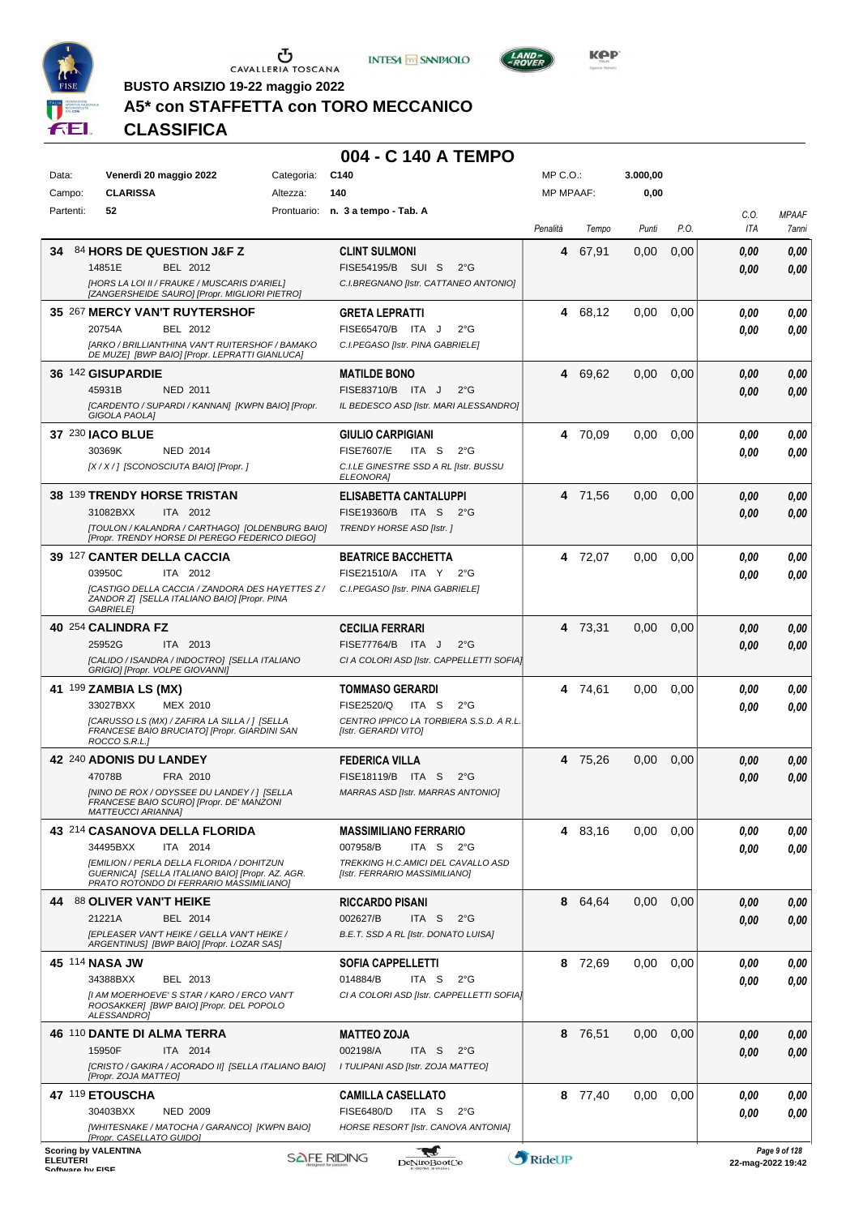





**KOP** 

**BUSTO ARSIZIO 19-22 maggio 2022**

# **A5\* con STAFFETTA con TORO MECCANICO**

**CLASSIFICA**

#### **004 - C 140 A TEMPO**

| Data:           |           | Venerdì 20 maggio 2022                                                                        | Categoria: | C140                                                                           | MP C. O.         |         | 3.000,00 |      |              |                       |
|-----------------|-----------|-----------------------------------------------------------------------------------------------|------------|--------------------------------------------------------------------------------|------------------|---------|----------|------|--------------|-----------------------|
|                 | Campo:    | <b>CLARISSA</b>                                                                               | Altezza:   | 140                                                                            | <b>MP MPAAF:</b> |         | 0,00     |      |              |                       |
|                 | Partenti: | 52                                                                                            |            | Prontuario: n. 3 a tempo - Tab. A                                              | Penalità         | Tempo   | Punti    | P.O. | C.O.<br>ITA  | <b>MPAAF</b><br>7anni |
| 34              |           | 84 HORS DE QUESTION J&F Z                                                                     |            | <b>CLINT SULMONI</b>                                                           | 4                | 67,91   | 0,00     | 0,00 | 0,00         | 0,00                  |
|                 |           | 14851E<br>BEL 2012                                                                            |            | FISE54195/B SUI S<br>$2^{\circ}G$                                              |                  |         |          |      | 0,00         | 0,00                  |
|                 |           | [HORS LA LOI II / FRAUKE / MUSCARIS D'ARIEL]<br>[ZANGERSHEIDE SAURO] [Propr. MIGLIORI PIETRO] |            | C.I.BREGNANO [Istr. CATTANEO ANTONIO]                                          |                  |         |          |      |              |                       |
|                 |           | 35 267 MERCY VAN'T RUYTERSHOF                                                                 |            | <b>GRETA LEPRATTI</b>                                                          | 4                | 68,12   | 0,00     | 0,00 |              | 0,00                  |
|                 |           | 20754A<br>BEL 2012                                                                            |            | FISE65470/B ITA J<br>$2^{\circ}$ G                                             |                  |         |          |      | 0.00<br>0.00 | 0,00                  |
|                 |           | [ARKO / BRILLIANTHINA VAN'T RUITERSHOF / BAMAKO                                               |            | C.I.PEGASO [Istr. PINA GABRIELE]                                               |                  |         |          |      |              |                       |
|                 |           | DE MUZE] [BWP BAIO] [Propr. LEPRATTI GIANLUCA]                                                |            |                                                                                |                  |         |          |      |              |                       |
|                 |           | 36 142 GISUPARDIE                                                                             |            | <b>MATILDE BONO</b>                                                            | 4                | 69,62   | 0,00     | 0,00 | 0,00         | 0,00                  |
|                 |           | 45931B<br><b>NED 2011</b>                                                                     |            | FISE83710/B ITA J<br>$2^{\circ}$ G                                             |                  |         |          |      | 0.00         | 0,00                  |
|                 |           | [CARDENTO / SUPARDI / KANNAN] [KWPN BAIO] [Propr.<br><b>GIGOLA PAOLA]</b>                     |            | IL BEDESCO ASD [Istr. MARI ALESSANDRO]                                         |                  |         |          |      |              |                       |
|                 |           | <b>37 230 IACO BLUE</b>                                                                       |            | <b>GIULIO CARPIGIANI</b>                                                       | 4                | 70,09   | 0,00     | 0.00 | 0.00         | 0,00                  |
|                 |           | 30369K<br><b>NED 2014</b>                                                                     |            | <b>FISE7607/E</b><br>ITA S<br>$2^{\circ}$ G                                    |                  |         |          |      | 0.00         | 0,00                  |
|                 |           | [X / X / ] [SCONOSCIUTA BAIO] [Propr. ]                                                       |            | C.I.LE GINESTRE SSD A RL [Istr. BUSSU<br><b>ELEONORAI</b>                      |                  |         |          |      |              |                       |
|                 |           | 38 139 TRENDY HORSE TRISTAN                                                                   |            | ELISABETTA CANTALUPPI                                                          |                  | 4 71.56 | 0,00     | 0,00 | 0,00         | 0,00                  |
|                 |           | 31082BXX<br>ITA 2012                                                                          |            | FISE19360/B ITA S 2°G                                                          |                  |         |          |      | 0.00         | 0,00                  |
|                 |           | [TOULON / KALANDRA / CARTHAGO] [OLDENBURG BAIO]                                               |            | <b>TRENDY HORSE ASD [Istr. ]</b>                                               |                  |         |          |      |              |                       |
|                 |           | [Propr. TRENDY HORSE DI PEREGO FEDERICO DIEGO]                                                |            |                                                                                |                  |         |          |      |              |                       |
|                 |           | 39 127 CANTER DELLA CACCIA<br>03950C<br>ITA 2012                                              |            | <b>BEATRICE BACCHETTA</b><br>FISE21510/A ITA Y<br>$2^{\circ}G$                 |                  | 4 72,07 | 0,00     | 0.00 | 0,00         | 0,00                  |
|                 |           | <b>[CASTIGO DELLA CACCIA / ZANDORA DES HAYETTES Z/</b>                                        |            | C.I.PEGASO [Istr. PINA GABRIELE]                                               |                  |         |          |      | 0.00         | 0.00                  |
|                 |           | ZANDOR Z] [SELLA ITALIANO BAIO] [Propr. PINA<br>GABRIELE)                                     |            |                                                                                |                  |         |          |      |              |                       |
|                 |           | 40 254 CALINDRA FZ                                                                            |            | <b>CECILIA FERRARI</b>                                                         |                  | 4 73,31 | 0,00     | 0,00 | 0,00         | 0,00                  |
|                 |           | 25952G<br>ITA 2013                                                                            |            | FISE77764/B ITA J<br>$2^{\circ}$ G                                             |                  |         |          |      | 0.00         | 0,00                  |
|                 |           | [CALIDO / ISANDRA / INDOCTRO] [SELLA ITALIANO                                                 |            | CI A COLORI ASD [Istr. CAPPELLETTI SOFIA]                                      |                  |         |          |      |              |                       |
|                 |           | GRIGIO] [Propr. VOLPE GIOVANNI]                                                               |            |                                                                                |                  |         |          |      |              |                       |
|                 |           | 41 199 ZAMBIA LS (MX)                                                                         |            | <b>TOMMASO GERARDI</b>                                                         |                  | 4 74,61 | 0,00     | 0.00 | 0.00         | 0,00                  |
|                 |           | 33027BXX<br>MEX 2010<br>[CARUSSO LS (MX) / ZAFIRA LA SILLA / ] [SELLA                         |            | FISE2520/Q<br>ITA S<br>$2^{\circ}G$<br>CENTRO IPPICO LA TORBIERA S.S.D. A R.L. |                  |         |          |      | 0.00         | 0,00                  |
|                 |           | FRANCESE BAIO BRUCIATO] [Propr. GIARDINI SAN<br>ROCCO S.R.L.]                                 |            | [Istr. GERARDI VITO]                                                           |                  |         |          |      |              |                       |
|                 |           | 42 240 ADONIS DU LANDEY                                                                       |            | <b>FEDERICA VILLA</b>                                                          | 4                | 75,26   | 0,00     | 0,00 | 0,00         | 0,00                  |
|                 |           | 47078B<br>FRA 2010                                                                            |            | FISE18119/B ITA S<br>$2^{\circ}$ G                                             |                  |         |          |      | 0.00         | 0,00                  |
|                 |           | [NINO DE ROX / ODYSSEE DU LANDEY / ] [SELLA                                                   |            | MARRAS ASD [Istr. MARRAS ANTONIO]                                              |                  |         |          |      |              |                       |
|                 |           | FRANCESE BAIO SCURO] [Propr. DE' MANZONI<br><b>MATTEUCCI ARIANNA1</b>                         |            |                                                                                |                  |         |          |      |              |                       |
|                 |           | 43 214 CASANOVA DELLA FLORIDA                                                                 |            | <b>MASSIMILIANO FERRARIO</b>                                                   | 4                | 83,16   | 0,00     | 0,00 | 0,00         | 0,00                  |
|                 |           | 34495BXX<br>ITA 2014                                                                          |            | 007958/B<br>ITA S<br>2°G                                                       |                  |         |          |      | 0,00         | 0,00                  |
|                 |           | [EMILION / PERLA DELLA FLORIDA / DOHITZUN<br>GUERNICA] [SELLA ITALIANO BAIO] [Propr. AZ. AGR. |            | TREKKING H.C.AMICI DEL CAVALLO ASD<br>[Istr. FERRARIO MASSIMILIANO]            |                  |         |          |      |              |                       |
|                 |           | PRATO ROTONDO DI FERRARIO MASSIMILIANO]                                                       |            |                                                                                |                  |         |          |      |              |                       |
|                 |           | 44 88 OLIVER VAN'T HEIKE                                                                      |            | <b>RICCARDO PISANI</b>                                                         | 8                | 64,64   | 0,00     | 0,00 | 0,00         | 0,00                  |
|                 |           | 21221A<br>BEL 2014                                                                            |            | 002627/B<br>$2^{\circ}$ G<br>ITA S                                             |                  |         |          |      | 0.00         | 0,00                  |
|                 |           | [EPLEASER VAN'T HEIKE / GELLA VAN'T HEIKE /<br>ARGENTINUS] [BWP BAIO] [Propr. LOZAR SAS]      |            | B.E.T. SSD A RL [Istr. DONATO LUISA]                                           |                  |         |          |      |              |                       |
|                 |           | 45 114 NASA JW                                                                                |            | <b>SOFIA CAPPELLETTI</b>                                                       |                  | 8 72,69 | 0,00     | 0.00 | 0.00         | 0,00                  |
|                 |           | 34388BXX<br>BEL 2013                                                                          |            | 014884/B<br>ITA S<br>$2^{\circ}G$                                              |                  |         |          |      | 0,00         | 0,00                  |
|                 |           | [I AM MOERHOEVE' S STAR / KARO / ERCO VAN'T<br>ROOSAKKER] [BWP BAIO] [Propr. DEL POPOLO       |            | CI A COLORI ASD [Istr. CAPPELLETTI SOFIA]                                      |                  |         |          |      |              |                       |
|                 |           | ALESSANDRO]                                                                                   |            |                                                                                |                  |         |          |      |              |                       |
|                 |           | 46 110 DANTE DI ALMA TERRA                                                                    |            | <b>MATTEO ZOJA</b>                                                             |                  | 8 76,51 | 0,00     | 0,00 | 0,00         | 0,00                  |
|                 |           | 15950F<br>ITA 2014                                                                            |            | 002198/A<br>ITA S<br>$2^{\circ}G$                                              |                  |         |          |      | 0,00         | 0,00                  |
|                 |           | [CRISTO / GAKIRA / ACORADO II] [SELLA ITALIANO BAIO]<br>[Propr. ZOJA MATTEO]                  |            | I TULIPANI ASD [Istr. ZOJA MATTEO]                                             |                  |         |          |      |              |                       |
|                 |           | 47 119 ETOUSCHA                                                                               |            | <b>CAMILLA CASELLATO</b>                                                       |                  | 8 77,40 | 0,00     | 0,00 | 0,00         | 0,00                  |
|                 |           | 30403BXX<br><b>NED 2009</b>                                                                   |            | <b>FISE6480/D</b><br>ITA S<br>$2^{\circ}$ G                                    |                  |         |          |      | 0.00         | 0,00                  |
|                 |           | [WHITESNAKE / MATOCHA / GARANCO] [KWPN BAIO]<br>[Propr. CASELLATO GUIDO]                      |            | HORSE RESORT [Istr. CANOVA ANTONIA]                                            |                  |         |          |      |              |                       |
|                 |           | <b>Scoring by VALENTINA</b>                                                                   |            | <b>SAFE RIDING</b>                                                             | RideUP           |         |          |      |              | Page 9 of 128         |
| <b>ELEUTERI</b> |           |                                                                                               |            | DeNiroBoot('o                                                                  |                  |         |          |      |              | $22$ -man-2022 19:42  |

ELEUTERI SOFTWARE SOFTWARE DENITOBOOTCO **DENITOBOOTCO DENITOBOOTCO 22-mag-2022 19:42**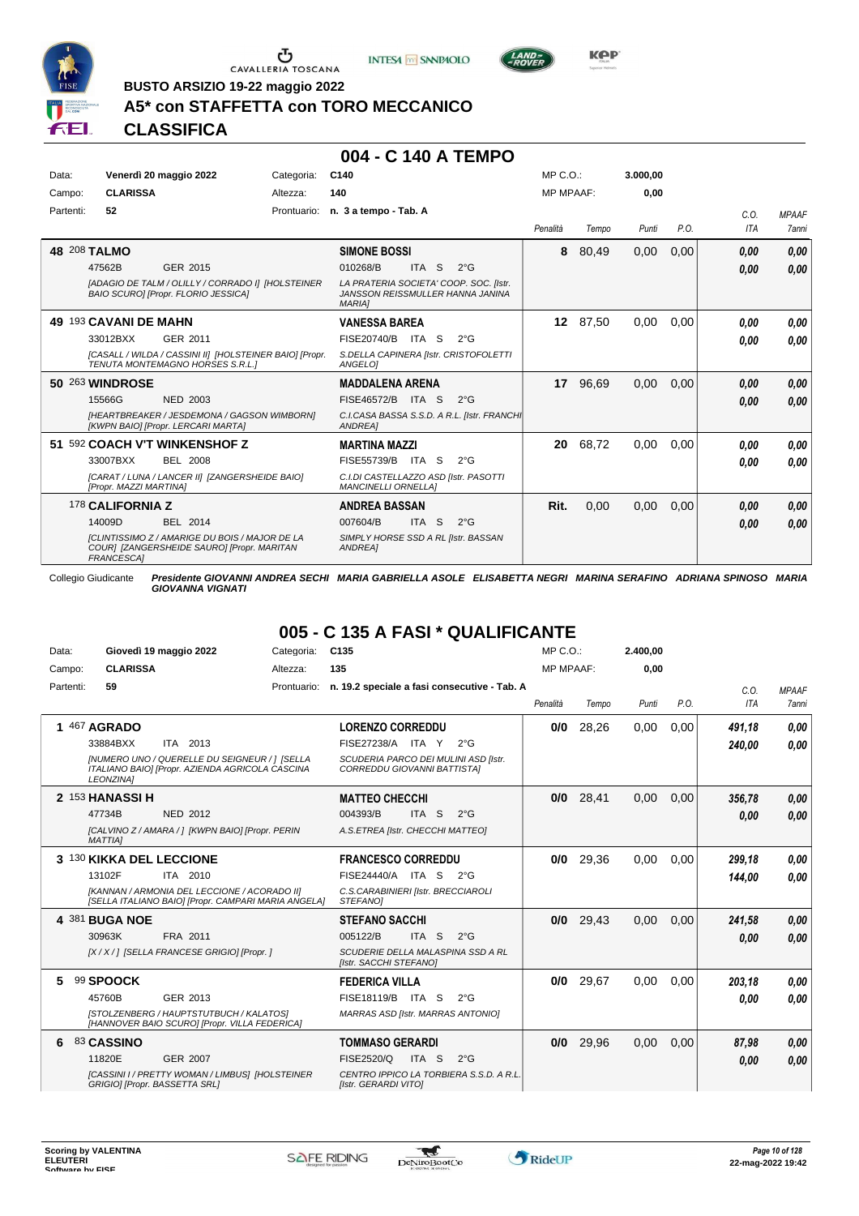

 $\sigma$  cavalleria toscana





**BUSTO ARSIZIO 19-22 maggio 2022**

# **A5\* con STAFFETTA con TORO MECCANICO**

**CLASSIFICA**

#### **004 - C 140 A TEMPO**

| Data:     | Venerdì 20 maggio 2022 |                                                                                                     | Categoria:  | C140                                                                                        |                  |                               | MP C. O.         |       | 3.000.00 |      |            |              |
|-----------|------------------------|-----------------------------------------------------------------------------------------------------|-------------|---------------------------------------------------------------------------------------------|------------------|-------------------------------|------------------|-------|----------|------|------------|--------------|
| Campo:    | <b>CLARISSA</b>        |                                                                                                     | Altezza:    | 140                                                                                         |                  |                               | <b>MP MPAAF:</b> |       | 0.00     |      |            |              |
| Partenti: | 52                     |                                                                                                     | Prontuario: | n. 3 a tempo - Tab. A                                                                       |                  |                               |                  |       |          |      | C.O.       | <b>MPAAF</b> |
|           |                        |                                                                                                     |             |                                                                                             |                  |                               | Penalità         | Tempo | Punti    | P.O. | <b>ITA</b> | <b>7anni</b> |
|           | 48 208 TALMO           |                                                                                                     |             | <b>SIMONE BOSSI</b>                                                                         |                  |                               | 8                | 80,49 | 0,00     | 0,00 | 0.00       | 0,00         |
|           | 47562B                 | GER 2015                                                                                            |             | 010268/B                                                                                    | <b>ITA</b>       | <sub>S</sub><br>$2^{\circ}$ G |                  |       |          |      | 0.00       | 0.00         |
|           |                        | [ADAGIO DE TALM / OLILLY / CORRADO I] [HOLSTEINER<br>BAIO SCURO] [Propr. FLORIO JESSICA]            |             | LA PRATERIA SOCIETA' COOP. SOC. [Istr.<br>JANSSON REISSMULLER HANNA JANINA<br><b>MARIAI</b> |                  |                               |                  |       |          |      |            |              |
|           | 49 193 CAVANI DE MAHN  |                                                                                                     |             | <b>VANESSA BAREA</b>                                                                        |                  |                               | 12 <sup>12</sup> | 87,50 | 0,00     | 0,00 | 0.00       | 0,00         |
|           | 33012BXX               | GER 2011                                                                                            |             | FISE20740/B                                                                                 | ITA S            | $2^{\circ}$ G                 |                  |       |          |      | 0.00       | 0,00         |
|           |                        | [CASALL / WILDA / CASSINI II] [HOLSTEINER BAIO] [Propr.<br>TENUTA MONTEMAGNO HORSES S.R.L.1         |             | S.DELLA CAPINERA [Istr. CRISTOFOLETTI<br>ANGELOI                                            |                  |                               |                  |       |          |      |            |              |
|           | <b>50 263 WINDROSE</b> |                                                                                                     |             | <b>MADDALENA ARENA</b>                                                                      |                  |                               | 17               | 96,69 | 0,00     | 0,00 | 0.00       | 0,00         |
|           | 15566G                 | <b>NED 2003</b>                                                                                     |             | <b>FISE46572/B</b>                                                                          | ITA S            | $2^{\circ}$ G                 |                  |       |          |      | 0.00       | 0.00         |
|           |                        | <b>IHEARTBREAKER / JESDEMONA / GAGSON WIMBORNI</b><br>[KWPN BAIO] [Propr. LERCARI MARTA]            |             | C.I.CASA BASSA S.S.D. A R.L. [Istr. FRANCHI<br>ANDREA]                                      |                  |                               |                  |       |          |      |            |              |
|           |                        | 51 592 COACH V'T WINKENSHOF Z                                                                       |             | <b>MARTINA MAZZI</b>                                                                        |                  |                               | 20               | 68,72 | 0.00     | 0,00 | 0.00       | 0,00         |
|           | 33007BXX               | <b>BEL 2008</b>                                                                                     |             | FISE55739/B                                                                                 | ITA S            | $2^{\circ}$ G                 |                  |       |          |      | 0.00       | 0.00         |
|           | [Propr. MAZZI MARTINA] | [CARAT / LUNA / LANCER II] [ZANGERSHEIDE BAIO]                                                      |             | C.I.DI CASTELLAZZO ASD [Istr. PASOTTI<br><b>MANCINELLI ORNELLAI</b>                         |                  |                               |                  |       |          |      |            |              |
|           | 178 CALIFORNIA Z       |                                                                                                     |             | <b>ANDREA BASSAN</b>                                                                        |                  |                               | Rit.             | 0,00  | 0,00     | 0,00 | 0.00       | 0,00         |
|           | 14009D                 | BEL 2014                                                                                            |             | 007604/B                                                                                    | ITA <sub>S</sub> | $2^{\circ}$ G                 |                  |       |          |      | 0.00       | 0.00         |
|           | <b>FRANCESCA1</b>      | <b>ICLINTISSIMO Z / AMARIGE DU BOIS / MAJOR DE LA</b><br>COURI [ZANGERSHEIDE SAURO] [Propr. MARITAN |             | SIMPLY HORSE SSD A RL [Istr. BASSAN<br><b>ANDREA1</b>                                       |                  |                               |                  |       |          |      |            |              |

Collegio Giudicante *Presidente GIOVANNI ANDREA SECHI MARIA GABRIELLA ASOLE ELISABETTA NEGRI MARINA SERAFINO ADRIANA SPINOSO MARIA GIOVANNA VIGNATI*

# **005 - C 135 A FASI \* QUALIFICANTE**

| Data:     | Giovedì 19 maggio 2022                                                                                               | Categoria:  | C <sub>135</sub>                                                    | $MP C. O.$ :     |       | 2.400,00 |      |        |              |
|-----------|----------------------------------------------------------------------------------------------------------------------|-------------|---------------------------------------------------------------------|------------------|-------|----------|------|--------|--------------|
| Campo:    | <b>CLARISSA</b>                                                                                                      | Altezza:    | 135                                                                 | <b>MP MPAAF:</b> |       | 0.00     |      |        |              |
| Partenti: | 59                                                                                                                   | Prontuario: | n. 19.2 speciale a fasi consecutive - Tab. A                        |                  |       |          |      | C.O.   | <b>MPAAF</b> |
|           |                                                                                                                      |             |                                                                     | Penalità         | Tempo | Punti    | P.O. | ITA    | 7anni        |
|           | 1 467 AGRADO                                                                                                         |             | <b>LORENZO CORREDDU</b>                                             | 0/0              | 28,26 | 0,00     | 0,00 | 491,18 | 0.00         |
|           | 33884BXX<br>ITA 2013                                                                                                 |             | FISE27238/A ITA Y<br>$2^{\circ}G$                                   |                  |       |          |      | 240,00 | 0.00         |
|           | [NUMERO UNO / QUERELLE DU SEIGNEUR / ] [SELLA<br>ITALIANO BAIO] [Propr. AZIENDA AGRICOLA CASCINA<br><b>LEONZINAI</b> |             | SCUDERIA PARCO DEI MULINI ASD [Istr.<br>CORREDDU GIOVANNI BATTISTAI |                  |       |          |      |        |              |
|           | 2 153 HANASSI H                                                                                                      |             | <b>MATTEO CHECCHI</b>                                               | 0/0              | 28,41 | 0.00     | 0.00 | 356,78 | 0,00         |
|           | 47734B<br><b>NED 2012</b>                                                                                            |             | ITA <sub>S</sub><br>004393/B<br>$2^{\circ}$ G                       |                  |       |          |      | 0.00   | 0,00         |
|           | [CALVINO Z / AMARA / ] [KWPN BAIO] [Propr. PERIN<br><b>MATTIA1</b>                                                   |             | A.S.ETREA [Istr. CHECCHI MATTEO]                                    |                  |       |          |      |        |              |
|           | 3 130 KIKKA DEL LECCIONE                                                                                             |             | <b>FRANCESCO CORREDDU</b>                                           | 0/0              | 29.36 | 0.00     | 0.00 | 299.18 | 0,00         |
|           | 13102F<br>ITA 2010                                                                                                   |             | FISE24440/A ITA S<br>$2^{\circ}G$                                   |                  |       |          |      | 144,00 | 0.00         |
|           | [KANNAN / ARMONIA DEL LECCIONE / ACORADO II]<br>[SELLA ITALIANO BAIO] [Propr. CAMPARI MARIA ANGELA]                  |             | C.S.CARABINIERI [Istr. BRECCIAROLI<br>STEFANOI                      |                  |       |          |      |        |              |
|           | 4 381 BUGA NOE                                                                                                       |             | <b>STEFANO SACCHI</b>                                               | 0/0              | 29.43 | 0.00     | 0.00 | 241.58 | 0,00         |
|           | 30963K<br>FRA 2011                                                                                                   |             | 005122/B<br>ITA S<br>$2^{\circ}$ G                                  |                  |       |          |      | 0.00   | 0,00         |
|           | [X / X / ] [SELLA FRANCESE GRIGIO] [Propr. ]                                                                         |             | SCUDERIE DELLA MALASPINA SSD A RL<br>[Istr. SACCHI STEFANO]         |                  |       |          |      |        |              |
| 5         | 99 SPOOCK                                                                                                            |             | <b>FEDERICA VILLA</b>                                               | 0/0              | 29.67 | 0.00     | 0.00 | 203.18 | 0.00         |
|           | 45760B<br>GER 2013                                                                                                   |             | FISE18119/B<br>ITA S<br>$2^{\circ}$ G                               |                  |       |          |      | 0.00   | 0.00         |
|           | [STOLZENBERG / HAUPTSTUTBUCH / KALATOS]<br>[HANNOVER BAIO SCURO] [Propr. VILLA FEDERICA]                             |             | <b>MARRAS ASD [Istr. MARRAS ANTONIO]</b>                            |                  |       |          |      |        |              |
| 6         | 83 CASSINO                                                                                                           |             | <b>TOMMASO GERARDI</b>                                              | 0/0              | 29.96 | 0.00     | 0.00 | 87,98  | 0,00         |
|           | 11820E<br><b>GER 2007</b>                                                                                            |             | FISE2520/Q<br>ITA <sub>S</sub><br>$2^{\circ}$ G                     |                  |       |          |      | 0.00   | 0.00         |
|           | [CASSINI I / PRETTY WOMAN / LIMBUS] [HOLSTEINER<br>GRIGIO] [Propr. BASSETTA SRL]                                     |             | CENTRO IPPICO LA TORBIERA S.S.D. A R.L.<br>[Istr. GERARDI VITO]     |                  |       |          |      |        |              |

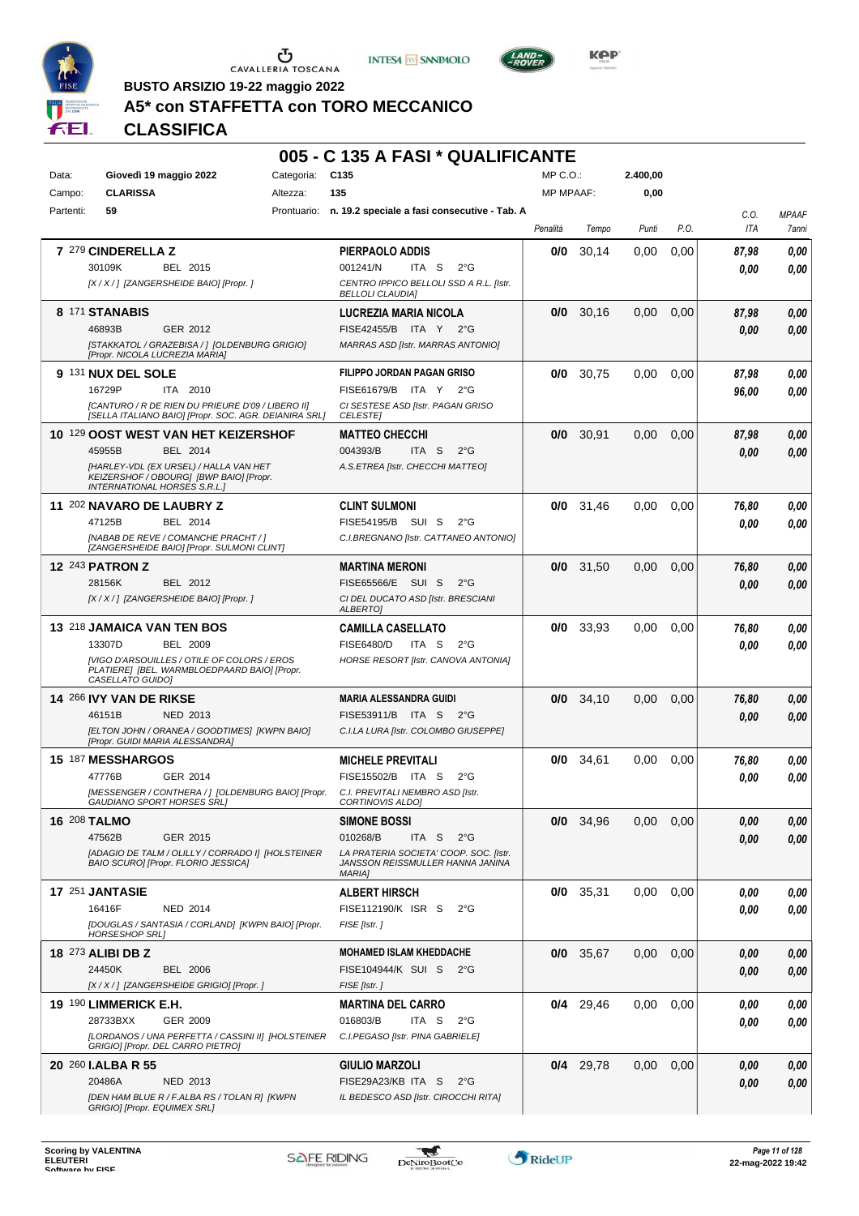





**Kep** 

**BUSTO ARSIZIO 19-22 maggio 2022**

# **A5\* con STAFFETTA con TORO MECCANICO**

|              |                                                                                                                          |            | 005 - C 135 A FASI * QUALIFICANTE                                                           |                  |             |          |      |             |                       |
|--------------|--------------------------------------------------------------------------------------------------------------------------|------------|---------------------------------------------------------------------------------------------|------------------|-------------|----------|------|-------------|-----------------------|
| Data:        | Giovedì 19 maggio 2022                                                                                                   | Categoria: | C <sub>135</sub>                                                                            | $MP C. O.$ :     |             | 2.400,00 |      |             |                       |
| Campo:       | <b>CLARISSA</b>                                                                                                          | Altezza:   | 135                                                                                         | <b>MP MPAAF:</b> |             | 0,00     |      |             |                       |
| Partenti:    | 59                                                                                                                       |            | Prontuario: n. 19.2 speciale a fasi consecutive - Tab. A                                    | Penalità         | Tempo       | Punti    | P.O. | C.O.<br>ITA | <b>MPAAF</b><br>7anni |
|              | 7 279 CINDERELLA Z                                                                                                       |            | PIERPAOLO ADDIS                                                                             | 0/0              | 30,14       | 0,00     | 0,00 | 87,98       | 0,00                  |
|              | 30109K<br>BEL 2015                                                                                                       |            | 001241/N<br>ITA S<br>$2^{\circ}G$                                                           |                  |             |          |      | 0.00        | 0,00                  |
|              | [X / X / ] [ZANGERSHEIDE BAIO] [Propr. ]                                                                                 |            | CENTRO IPPICO BELLOLI SSD A R.L. [Istr.<br><b>BELLOLI CLAUDIA]</b>                          |                  |             |          |      |             |                       |
|              | 8 171 STANABIS                                                                                                           |            | LUCREZIA MARIA NICOLA                                                                       | 0/0              | 30,16       | 0,00     | 0,00 | 87,98       | 0,00                  |
|              | 46893B<br>GER 2012                                                                                                       |            | FISE42455/B ITA Y<br>$2^{\circ}G$                                                           |                  |             |          |      | 0.00        | 0,00                  |
|              | [STAKKATOL / GRAZEBISA / ] [OLDENBURG GRIGIO]<br>[Propr. NICOLA LUCREZIA MARIA]                                          |            | MARRAS ASD [Istr. MARRAS ANTONIO]                                                           |                  |             |          |      |             |                       |
|              | 9 131 NUX DEL SOLE                                                                                                       |            | FILIPPO JORDAN PAGAN GRISO                                                                  | 0/0              | 30.75       | 0,00     | 0,00 | 87,98       | 0,00                  |
|              | 16729P<br>ITA 2010                                                                                                       |            | FISE61679/B ITA Y<br>$2^{\circ}G$                                                           |                  |             |          |      | 96,00       | 0,00                  |
|              | [CANTURO / R DE RIEN DU PRIEURE D'09 / LIBERO II]<br>[SELLA ITALIANO BAIO] [Propr. SOC. AGR. DEIANIRA SRL]               |            | CI SESTESE ASD [Istr. PAGAN GRISO<br><b>CELESTE</b>                                         |                  |             |          |      |             |                       |
|              | 10 129 OOST WEST VAN HET KEIZERSHOF                                                                                      |            | <b>MATTEO CHECCHI</b>                                                                       | 0/0              | 30,91       | 0,00     | 0,00 | 87,98       | 0,00                  |
|              | BEL 2014<br>45955B                                                                                                       |            | 004393/B<br>ITA S<br>$2^{\circ}$ G                                                          |                  |             |          |      | 0.00        | 0,00                  |
|              | [HARLEY-VDL (EX URSEL) / HALLA VAN HET<br>KEIZERSHOF / OBOURG] [BWP BAIO] [Propr.<br><b>INTERNATIONAL HORSES S.R.L.]</b> |            | A.S.ETREA [Istr. CHECCHI MATTEO]                                                            |                  |             |          |      |             |                       |
|              | 11 202 NAVARO DE LAUBRY Z                                                                                                |            | <b>CLINT SULMONI</b>                                                                        | 0/0              | 31,46       | 0,00     | 0,00 | 76,80       | 0,00                  |
|              | 47125B<br>BEL 2014                                                                                                       |            | FISE54195/B SUI S<br>$2^{\circ}$ G                                                          |                  |             |          |      | 0.00        | 0.00                  |
|              | [NABAB DE REVE / COMANCHE PRACHT / ]<br>[ZANGERSHEIDE BAIO] [Propr. SULMONI CLINT]                                       |            | C.I.BREGNANO [Istr. CATTANEO ANTONIO]                                                       |                  |             |          |      |             |                       |
|              | <b>12 243 PATRON Z</b>                                                                                                   |            | <b>MARTINA MERONI</b>                                                                       | 0/0              | 31,50       | 0.00     | 0.00 | 76,80       | 0,00                  |
|              | BEL 2012<br>28156K                                                                                                       |            | FISE65566/E SUI S<br>$2^{\circ}G$                                                           |                  |             |          |      | 0.00        | 0.00                  |
|              | [X / X / ] [ZANGERSHEIDE BAIO] [Propr. ]                                                                                 |            | CI DEL DUCATO ASD [Istr. BRESCIANI<br>ALBERTO]                                              |                  |             |          |      |             |                       |
|              | 13 218 JAMAICA VAN TEN BOS                                                                                               |            | <b>CAMILLA CASELLATO</b>                                                                    | 0/0              | 33,93       | 0,00     | 0,00 | 76,80       | 0,00                  |
|              | 13307D<br><b>BEL 2009</b>                                                                                                |            | <b>FISE6480/D</b><br>ITA S<br>$2^{\circ}G$                                                  |                  |             |          |      | 0.00        | 0.00                  |
|              | [VIGO D'ARSOUILLES / OTILE OF COLORS / EROS<br>PLATIERE] [BEL. WARMBLOEDPAARD BAIO] [Propr.<br>CASELLATO GUIDO]          |            | HORSE RESORT [Istr. CANOVA ANTONIA]                                                         |                  |             |          |      |             |                       |
|              | 14 266 IVY VAN DE RIKSE                                                                                                  |            | <b>MARIA ALESSANDRA GUIDI</b>                                                               | 0/0              | 34,10       | 0,00     | 0,00 | 76,80       | 0,00                  |
|              | 46151B<br><b>NED 2013</b>                                                                                                |            | FISE53911/B ITA S<br>$2^{\circ}G$                                                           |                  |             |          |      | 0.00        | 0.00                  |
|              | [ELTON JOHN / ORANEA / GOODTIMES] [KWPN BAIO]<br>[Propr. GUIDI MARIA ALESSANDRA]                                         |            | C.I.LA LURA [Istr. COLOMBO GIUSEPPE]                                                        |                  |             |          |      |             |                       |
|              | 15 187 MESSHARGOS                                                                                                        |            | <b>MICHELE PREVITALI</b>                                                                    | 0/0              | 34,61       | 0,00     | 0,00 | 76,80       | 0,00                  |
|              | 47776B<br>GER 2014                                                                                                       |            | FISE15502/B ITA S<br>$2^{\circ}G$                                                           |                  |             |          |      | 0.00        | 0,00                  |
|              | [MESSENGER / CONTHERA / ] [OLDENBURG BAIO] [Propr.<br>GAUDIANO SPORT HORSES SRL]                                         |            | C.I. PREVITALI NEMBRO ASD [Istr.<br>CORTINOVIS ALDOI                                        |                  |             |          |      |             |                       |
| 16 208 TALMO |                                                                                                                          |            | <b>SIMONE BOSSI</b>                                                                         | 0/0              | 34,96       | 0,00     | 0,00 | 0,00        | 0,00                  |
|              | 47562B<br>GER 2015                                                                                                       |            | 010268/B<br>ITA S<br>$2^{\circ}G$                                                           |                  |             |          |      | 0.00        | 0,00                  |
|              | [ADAGIO DE TALM / OLILLY / CORRADO I] [HOLSTEINER<br>BAIO SCURO] [Propr. FLORIO JESSICA]                                 |            | LA PRATERIA SOCIETA' COOP. SOC. [Istr.<br>JANSSON REISSMULLER HANNA JANINA<br><b>MARIAI</b> |                  |             |          |      |             |                       |
|              | 17 251 JANTASIE                                                                                                          |            | <b>ALBERT HIRSCH</b>                                                                        |                  | $0/0$ 35,31 | 0,00     | 0,00 | 0,00        | 0,00                  |
|              | 16416F<br><b>NED 2014</b>                                                                                                |            | FISE112190/K ISR S<br>$2^{\circ}G$                                                          |                  |             |          |      | 0.00        | 0,00                  |
|              | [DOUGLAS / SANTASIA / CORLAND] [KWPN BAIO] [Propr.<br><b>HORSESHOP SRL1</b>                                              |            | FISE [Istr.]                                                                                |                  |             |          |      |             |                       |
|              | 18 273 ALIBI DB Z                                                                                                        |            | <b>MOHAMED ISLAM KHEDDACHE</b>                                                              |                  | $0/0$ 35,67 | 0,00     | 0,00 | 0,00        | 0,00                  |
|              | 24450K<br><b>BEL 2006</b>                                                                                                |            | FISE104944/K SUI S<br>$2^{\circ}G$                                                          |                  |             |          |      | 0,00        | 0,00                  |
|              | [X / X / ] [ZANGERSHEIDE GRIGIO] [Propr. ]                                                                               |            | FISE [Istr.]                                                                                |                  |             |          |      |             |                       |
|              | <b>19 190 LIMMERICK E.H.</b>                                                                                             |            | <b>MARTINA DEL CARRO</b>                                                                    |                  | $0/4$ 29,46 | 0,00     | 0,00 | 0,00        | 0,00                  |
|              | 28733BXX<br>GER 2009                                                                                                     |            | 016803/B<br>ITA S<br>$2^{\circ}G$                                                           |                  |             |          |      | 0,00        | 0,00                  |
|              | [LORDANOS / UNA PERFETTA / CASSINI II] [HOLSTEINER<br>GRIGIO] [Propr. DEL CARRO PIETRO]                                  |            | C.I.PEGASO [Istr. PINA GABRIELE]                                                            |                  |             |          |      |             |                       |
|              | 20 260 I.ALBA R 55                                                                                                       |            | <b>GIULIO MARZOLI</b>                                                                       |                  | $0/4$ 29,78 | 0,00     | 0,00 | 0,00        | 0,00                  |
|              | 20486A<br>NED 2013                                                                                                       |            | FISE29A23/KB ITA S<br>$2^{\circ}$ G                                                         |                  |             |          |      | 0,00        | 0,00                  |
|              | [DEN HAM BLUE R / F.ALBA RS / TOLAN R] [KWPN<br>GRIGIO] [Propr. EQUIMEX SRL]                                             |            | IL BEDESCO ASD [Istr. CIROCCHI RITA]                                                        |                  |             |          |      |             |                       |

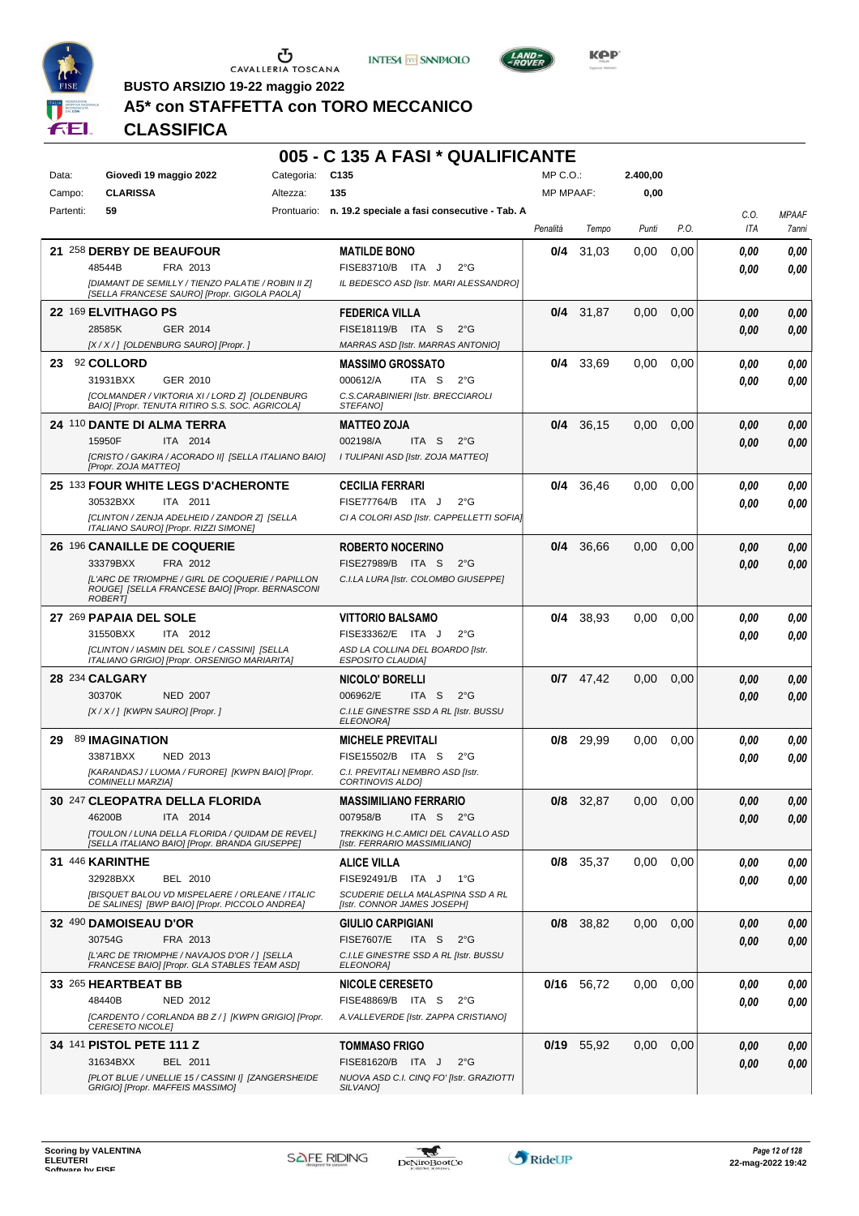





**Kep** 

**BUSTO ARSIZIO 19-22 maggio 2022 A5\* con STAFFETTA con TORO MECCANICO**

| Data:  |           | Giovedì 19 maggio 2022                                                                             |          | Categoria: | C135                                                                | MP C.O.:         |              | 2.400,00 |      |             |                       |
|--------|-----------|----------------------------------------------------------------------------------------------------|----------|------------|---------------------------------------------------------------------|------------------|--------------|----------|------|-------------|-----------------------|
| Campo: |           | <b>CLARISSA</b>                                                                                    | Altezza: |            | 135                                                                 | <b>MP MPAAF:</b> |              | 0,00     |      |             |                       |
|        | Partenti: | 59                                                                                                 |          |            | Prontuario: n. 19.2 speciale a fasi consecutive - Tab. A            |                  |              |          |      |             |                       |
|        |           |                                                                                                    |          |            |                                                                     | Penalità         | Tempo        | Punti    | P.O. | C.O.<br>ITA | <b>MPAAF</b><br>7anni |
|        |           | 21 258 DERBY DE BEAUFOUR                                                                           |          |            | <b>MATILDE BONO</b>                                                 | 0/4              | 31,03        | 0,00     | 0,00 | 0.00        | 0,00                  |
|        |           | 48544B<br>FRA 2013                                                                                 |          |            | FISE83710/B ITA J<br>$2^{\circ}G$                                   |                  |              |          |      | 0.00        | 0,00                  |
|        |           | [DIAMANT DE SEMILLY / TIENZO PALATIE / ROBIN II Z]<br>[SELLA FRANCESE SAURO] [Propr. GIGOLA PAOLA] |          |            | IL BEDESCO ASD [Istr. MARI ALESSANDRO]                              |                  |              |          |      |             |                       |
|        |           | 22 169 ELVITHAGO PS                                                                                |          |            | <b>FEDERICA VILLA</b>                                               | 0/4              | 31.87        | 0,00     | 0,00 | 0.00        | 0,00                  |
|        |           | 28585K<br>GER 2014                                                                                 |          |            | FISE18119/B ITA S<br>$2^{\circ}$ G                                  |                  |              |          |      | 0.00        | 0,00                  |
|        |           | [X / X / ] [OLDENBURG SAURO] [Propr. ]                                                             |          |            | MARRAS ASD [Istr. MARRAS ANTONIO]                                   |                  |              |          |      |             |                       |
| 23     |           | 92 COLLORD                                                                                         |          |            | <b>MASSIMO GROSSATO</b>                                             | 0/4              | 33,69        | 0,00     | 0,00 | 0,00        | 0,00                  |
|        |           | 31931BXX<br>GER 2010                                                                               |          |            | 000612/A<br>ITA S<br>$2^{\circ}G$                                   |                  |              |          |      | 0.00        | 0,00                  |
|        |           | [COLMANDER / VIKTORIA XI / LORD Z] [OLDENBURG<br>BAIO] [Propr. TENUTA RITIRO S.S. SOC. AGRICOLA]   |          |            | C.S.CARABINIERI [Istr. BRECCIAROLI<br>STEFANO]                      |                  |              |          |      |             |                       |
|        |           | 24 110 DANTE DI ALMA TERRA                                                                         |          |            | <b>MATTEO ZOJA</b>                                                  | 0/4              | 36,15        | 0,00     | 0,00 | 0.00        | 0,00                  |
|        |           | 15950F<br>ITA 2014                                                                                 |          |            | 002198/A<br>ITA S<br>$2^{\circ}$ G                                  |                  |              |          |      | 0.00        | 0,00                  |
|        |           | [CRISTO / GAKIRA / ACORADO II] [SELLA ITALIANO BAIO]<br>[Propr. ZOJA MATTEO]                       |          |            | I TULIPANI ASD [Istr. ZOJA MATTEO]                                  |                  |              |          |      |             |                       |
|        |           | <b>25 133 FOUR WHITE LEGS D'ACHERONTE</b>                                                          |          |            | <b>CECILIA FERRARI</b>                                              | 0/4              | 36.46        | 0,00     | 0,00 | 0.00        | 0,00                  |
|        |           | 30532BXX<br>ITA 2011                                                                               |          |            | FISE77764/B ITA J<br>$2^{\circ}G$                                   |                  |              |          |      | 0.00        | 0.00                  |
|        |           | [CLINTON / ZENJA ADELHEID / ZANDOR Z] [SELLA<br>ITALIANO SAURO] [Propr. RIZZI SIMONE]              |          |            | CI A COLORI ASD [Istr. CAPPELLETTI SOFIA]                           |                  |              |          |      |             |                       |
|        |           | <b>26 196 CANAILLE DE COQUERIE</b>                                                                 |          |            | <b>ROBERTO NOCERINO</b>                                             | 0/4              | 36,66        | 0,00     | 0,00 | 0,00        | 0,00                  |
|        |           | 33379BXX<br>FRA 2012                                                                               |          |            | FISE27989/B ITA S<br>$2^{\circ}$ G                                  |                  |              |          |      | 0.00        | 0,00                  |
|        |           | IL'ARC DE TRIOMPHE / GIRL DE COQUERIE / PAPILLON                                                   |          |            | C.I.LA LURA [Istr. COLOMBO GIUSEPPE]                                |                  |              |          |      |             |                       |
|        |           | ROUGE] [SELLA FRANCESE BAIO] [Propr. BERNASCONI<br><b>ROBERT</b>                                   |          |            |                                                                     |                  |              |          |      |             |                       |
|        |           | 27 269 PAPAIA DEL SOLE                                                                             |          |            | <b>VITTORIO BALSAMO</b>                                             | 0/4              | 38,93        | 0,00     | 0,00 | 0,00        | 0,00                  |
|        |           | 31550BXX<br>ITA 2012                                                                               |          |            | FISE33362/E ITA J<br>$2^{\circ}$ G                                  |                  |              |          |      | 0,00        | 0.00                  |
|        |           | [CLINTON / IASMIN DEL SOLE / CASSINI] [SELLA<br>ITALIANO GRIGIO] [Propr. ORSENIGO MARIARITA]       |          |            | ASD LA COLLINA DEL BOARDO [Istr.<br><b>ESPOSITO CLAUDIA]</b>        |                  |              |          |      |             |                       |
|        |           | 28 234 CALGARY                                                                                     |          |            | <b>NICOLO' BORELLI</b>                                              |                  | $0/7$ 47,42  | 0,00     | 0,00 | 0,00        | 0,00                  |
|        |           | 30370K<br><b>NED 2007</b>                                                                          |          |            | 006962/E<br>ITA S<br>$2^{\circ}$ G                                  |                  |              |          |      | 0,00        | 0,00                  |
|        |           | [X / X / ] [KWPN SAURO] [Propr. ]                                                                  |          |            | C.I.LE GINESTRE SSD A RL [Istr. BUSSU<br><b>ELEONORAI</b>           |                  |              |          |      |             |                       |
| 29     |           | 89 IMAGINATION                                                                                     |          |            | <b>MICHELE PREVITALI</b>                                            | 0/8              | 29.99        | 0,00     | 0,00 | 0,00        | 0,00                  |
|        |           | 33871BXX<br>NED 2013                                                                               |          |            | FISE15502/B ITA S<br>$2^{\circ}G$                                   |                  |              |          |      | 0,00        | 0,00                  |
|        |           | [KARANDASJ / LUOMA / FURORE] [KWPN BAIO] [Propr.<br><b>COMINELLI MARZIAI</b>                       |          |            | C.I. PREVITALI NEMBRO ASD [Istr.<br>CORTINOVIS ALDO]                |                  |              |          |      |             |                       |
|        |           | 30 247 CLEOPATRA DELLA FLORIDA                                                                     |          |            | <b>MASSIMILIANO FERRARIO</b>                                        |                  | $0/8$ 32,87  | 0,00     | 0,00 | 0.00        | 0.00                  |
|        |           | 46200B<br>ITA 2014                                                                                 |          |            | 007958/B<br>ITA S $2^{\circ}G$                                      |                  |              |          |      | 0.00        | 0,00                  |
|        |           | [TOULON / LUNA DELLA FLORIDA / QUIDAM DE REVEL]<br>[SELLA ITALIANO BAIO] [Propr. BRANDA GIUSEPPE]  |          |            | TREKKING H.C.AMICI DEL CAVALLO ASD<br>[Istr. FERRARIO MASSIMILIANO] |                  |              |          |      |             |                       |
|        |           | 31 446 KARINTHE                                                                                    |          |            | <b>ALICE VILLA</b>                                                  |                  | $0/8$ 35,37  | 0.00     | 0,00 | 0.00        | 0,00                  |
|        |           | 32928BXX<br>BEL 2010                                                                               |          |            | FISE92491/B ITA J<br>1°G                                            |                  |              |          |      | 0.00        | 0.00                  |
|        |           | [BISQUET BALOU VD MISPELAERE / ORLEANE / ITALIC                                                    |          |            | SCUDERIE DELLA MALASPINA SSD A RL                                   |                  |              |          |      |             |                       |
|        |           | DE SALINES] [BWP BAIO] [Propr. PICCOLO ANDREA]                                                     |          |            | [Istr. CONNOR JAMES JOSEPH]                                         |                  |              |          |      |             |                       |
|        |           | 32 490 DAMOISEAU D'OR                                                                              |          |            | GIULIO CARPIGIANI                                                   |                  | 0/8 38,82    | 0,00     | 0,00 | 0,00        | 0,00                  |
|        |           | 30754G<br>FRA 2013                                                                                 |          |            | <b>FISE7607/E</b><br>ITA S<br>$2^{\circ}$ G                         |                  |              |          |      | 0,00        | 0,00                  |
|        |           | [L'ARC DE TRIOMPHE / NAVAJOS D'OR / ] [SELLA<br>FRANCESE BAIO] [Propr. GLA STABLES TEAM ASD]       |          |            | C.I.LE GINESTRE SSD A RL [Istr. BUSSU<br>ELEONORA]                  |                  |              |          |      |             |                       |
|        |           | 33 265 HEARTBEAT BB                                                                                |          |            | <b>NICOLE CERESETO</b>                                              |                  | $0/16$ 56,72 | 0.00     | 0,00 | 0,00        | 0,00                  |
|        |           | 48440B<br>NED 2012                                                                                 |          |            | FISE48869/B ITA S<br>$2^{\circ}G$                                   |                  |              |          |      | 0.00        | 0.00                  |
|        |           | [CARDENTO / CORLANDA BB Z / ] [KWPN GRIGIO] [Propr.<br>CERESETO NICOLE]                            |          |            | A. VALLEVERDE [Istr. ZAPPA CRISTIANO]                               |                  |              |          |      |             |                       |
|        |           | 34 141 PISTOL PETE 111 Z                                                                           |          |            | <b>TOMMASO FRIGO</b>                                                |                  | $0/19$ 55,92 | 0,00     | 0,00 | 0.00        | 0,00                  |
|        |           | 31634BXX<br>BEL 2011                                                                               |          |            | FISE81620/B ITA J<br>$2^{\circ}$ G                                  |                  |              |          |      | 0,00        | 0,00                  |
|        |           | [PLOT BLUE / UNELLIE 15 / CASSINI I] [ZANGERSHEIDE<br>GRIGIO] [Propr. MAFFEIS MASSIMO]             |          |            | NUOVA ASD C.I. CINQ FO' [Istr. GRAZIOTTI<br>SILVANO]                |                  |              |          |      |             |                       |

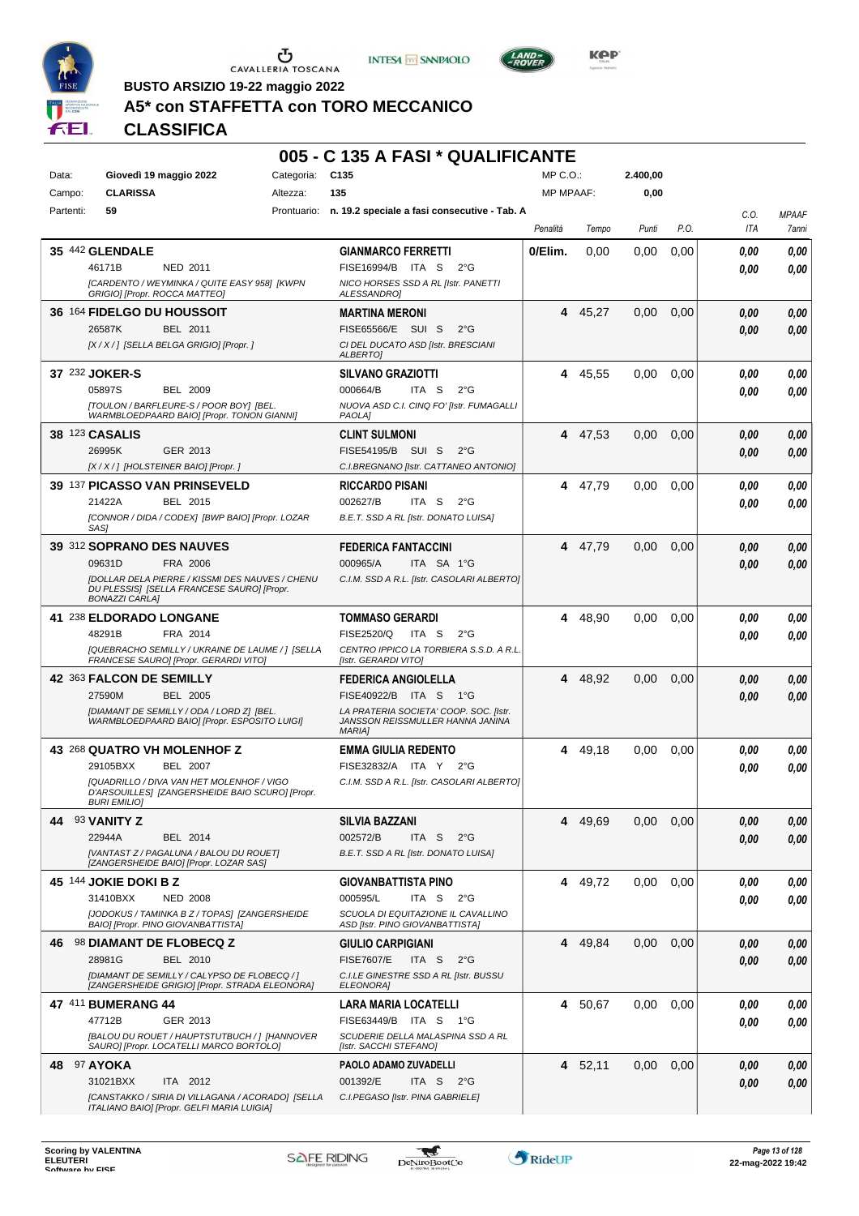

CAVALLERIA TOSCANA





KOP

**BUSTO ARSIZIO 19-22 maggio 2022**

#### **A5\* con STAFFETTA con TORO MECCANICO**

# **CLASSIFICA**

#### **005 - C 135 A FASI \* QUALIFICANTE** Data: **Giovedì 19 maggio 2022** Categoria: C135 Prontuario: **n. 19.2 speciale a fasi consecutive - Tab. A** Campo: **CLARISSA** Partenti: **59** Altezza: **135**  $MP \cap O$ MP MPAAF: **2.400,00 0,00** *Penalità Tempo Punti P.O. C.O. ITA MPAAF 7anni* **35** 442 **GLENDALE** NED 2011 **GIANMARCO FERRETTI** *[CARDENTO / WEYMINKA / QUITE EASY 958] [KWPN GRIGIO] [Propr. ROCCA MATTEO] NICO HORSES SSD A RL [Istr. PANETTI ALESSANDRO]* ITA S 2°G 46171B FISE16994/B *0,00* **0/Elim.** 0,00 0,00 0,00 *0,00 0,00 0,00* **36** 164 **FIDELGO DU HOUSSOIT** BEL 2011 **MARTINA MERONI** *[X / X / ] [SELLA BELGA GRIGIO] [Propr. ] CI DEL DUCATO ASD [Istr. BRESCIANI ALBERTO]* 26587K BEL 2011 FISE65566/E SUI S 2°G **0,00 0,00 4** 45,27 0,00 0,00 *0,00 0,00 0,00* **37** 232 **JOKER-S** BEL 2009 **SILVANO GRAZIOTTI** *[TOULON / BARFLEURE-S / POOR BOY] [BEL. WARMBLOEDPAARD BAIO] [Propr. TONON GIANNI] NUOVA ASD C.I. CINQ FO' [Istr. FUMAGALLI PAOLA]* ITA S 2°G **4** 45,55 0,00 0,00 *0,00 0,00 0,00* 05897S 000664/B *0,00* **38** 123 **CASALIS** GER 2013 **CLINT SULMONI** *[X / X / ] [HOLSTEINER BAIO] [Propr. ] C.I.BREGNANO [Istr. CATTANEO ANTONIO]* 26995K GER\_2013 FISE54195/B SUI S 2°G *0,00 0,00* **4** 47,53 0,00 0,00 *0,00 0,00 0,00* **39** 137 **PICASSO VAN PRINSEVELD** BEL 2015 **RICCARDO PISANI** *[CONNOR / DIDA / CODEX] [BWP BAIO] [Propr. LOZAR SAS] B.E.T. SSD A RL [Istr. DONATO LUISA]* ITA S 2°G **4** 47,79 0,00 0,00 *0,00 0,00 0,00* 21422A BEL 2015 002627/B ITA S 2°G <mark> 0,00 0,00</mark> **39** 312 **SOPRANO DES NAUVES** FRA 2006 **FEDERICA FANTACCINI** *[DOLLAR DELA PIERRE / KISSMI DES NAUVES / CHENU DU PLESSIS] [SELLA FRANCESE SAURO] [Propr. BONAZZI CARLA] C.I.M. SSD A R.L. [Istr. CASOLARI ALBERTO]* ITA SA 1°G **4** 47,79 0,00 0,00 *0,00 0,00 0,00* 09631D FRA 2006 000965/A ITA SA 1°G <mark> *0,00 0,00*</mark> **41** 238 **ELDORADO LONGANE** FRA 2014 **TOMMASO GERARDI** *[QUEBRACHO SEMILLY / UKRAINE DE LAUME / ] [SELLA FRANCESE SAURO] [Propr. GERARDI VITO] CENTRO IPPICO LA TORBIERA S.S.D. A R.L. [Istr. GERARDI VITO]* ITA S 2°G **4** 48,90 0,00 0,00 *0,00 0,00 0,00* 48291B FISE2520/Q *0,00* **42** 363 **FALCON DE SEMILLY** BEL 2005 **FEDERICA ANGIOLELLA** *[DIAMANT DE SEMILLY / ODA / LORD Z] [BEL. WARMBLOEDPAARD BAIO] [Propr. ESPOSITO LUIGI] LA PRATERIA SOCIETA' COOP. SOC. [Istr. JANSSON REISSMULLER HANNA JANINA MARIA]*  $FISFA0922/R$  ITA S 1°G **4** 48,92 0,00 0,00 *0,00 0,00 0,00* 27590M BEL 2005 FISE40922/B ITA S 1°G **0,00 0,00 43** 268 **QUATRO VH MOLENHOF Z** BEL 2007 **EMMA GIULIA REDENTO** *[QUADRILLO / DIVA VAN HET MOLENHOF / VIGO D'ARSOUILLES] [ZANGERSHEIDE BAIO SCURO] [Propr. BURI EMILIO] C.I.M. SSD A R.L. [Istr. CASOLARI ALBERTO]* 29105BXX BEL 2007 FISE32832/A ITA Y 2°G **0,00 0,00 4** 49,18 0,00 0,00 *0,00 0,00 0,00* **44** 93 **VANITY Z** BEL 2014 **SILVIA BAZZANI** *[VANTAST Z / PAGALUNA / BALOU DU ROUET] [ZANGERSHEIDE BAIO] [Propr. LOZAR SAS] B.E.T. SSD A RL [Istr. DONATO LUISA]* ITA S 2°G **4** 49,69 0,00 0,00 *0,00 0,00 0,00* 22944A BEL 2014 002572/B ITA S 2°G <mark>0 ,00 0,00</mark> **45** 144 **JOKIE DOKI B Z** NED 2008 **GIOVANBATTISTA PINO** *[JODOKUS / TAMINKA B Z / TOPAS] [ZANGERSHEIDE BAIO] [Propr. PINO GIOVANBATTISTA] SCUOLA DI EQUITAZIONE IL CAVALLINO ASD [Istr. PINO GIOVANBATTISTA]* ITA S 2°G **4** 49,72 0,00 0,00 *0,00 0,00 0,00* 31410BXX 000595/L *0,00* **46** 98 **DIAMANT DE FLOBECQ Z** BEL 2010 **GIULIO CARPIGIANI** *[DIAMANT DE SEMILLY / CALYPSO DE FLOBECQ / ] [ZANGERSHEIDE GRIGIO] [Propr. STRADA ELEONORA] C.I.LE GINESTRE SSD A RL [Istr. BUSSU ELEONORA]* 28981G BEL 2010 FISE7607/E ITA S 2°G **0,00 0,00 4** 49,84 0,00 0,00 *0,00 0,00 0,00* **47** 411 **BUMERANG 44** GER 2013 **LARA MARIA LOCATELLI** *[BALOU DU ROUET / HAUPTSTUTBUCH / ] [HANNOVER SAURO] [Propr. LOCATELLI MARCO BORTOLO] SCUDERIE DELLA MALASPINA SSD A RL [Istr. SACCHI STEFANO]* ITA S 1°G 47712B FISE63449/B *0,00* **4** 50,67 0,00 0,00 *0,00 0,00 0,00* **48** 97 **AYOKA** ITA 2012 **PAOLO ADAMO ZUVADELLI** *[CANSTAKKO / SIRIA DI VILLAGANA / ACORADO] [SELLA ITALIANO BAIO] [Propr. GELFI MARIA LUIGIA] C.I.PEGASO [Istr. PINA GABRIELE]* ITA S 2°G **4** 52,11 0,00 0,00 *0,00 0,00 0,00* 31021BXX ITA 2012 001392/E ITA S 2°G <mark> 0,00 0,00</mark>

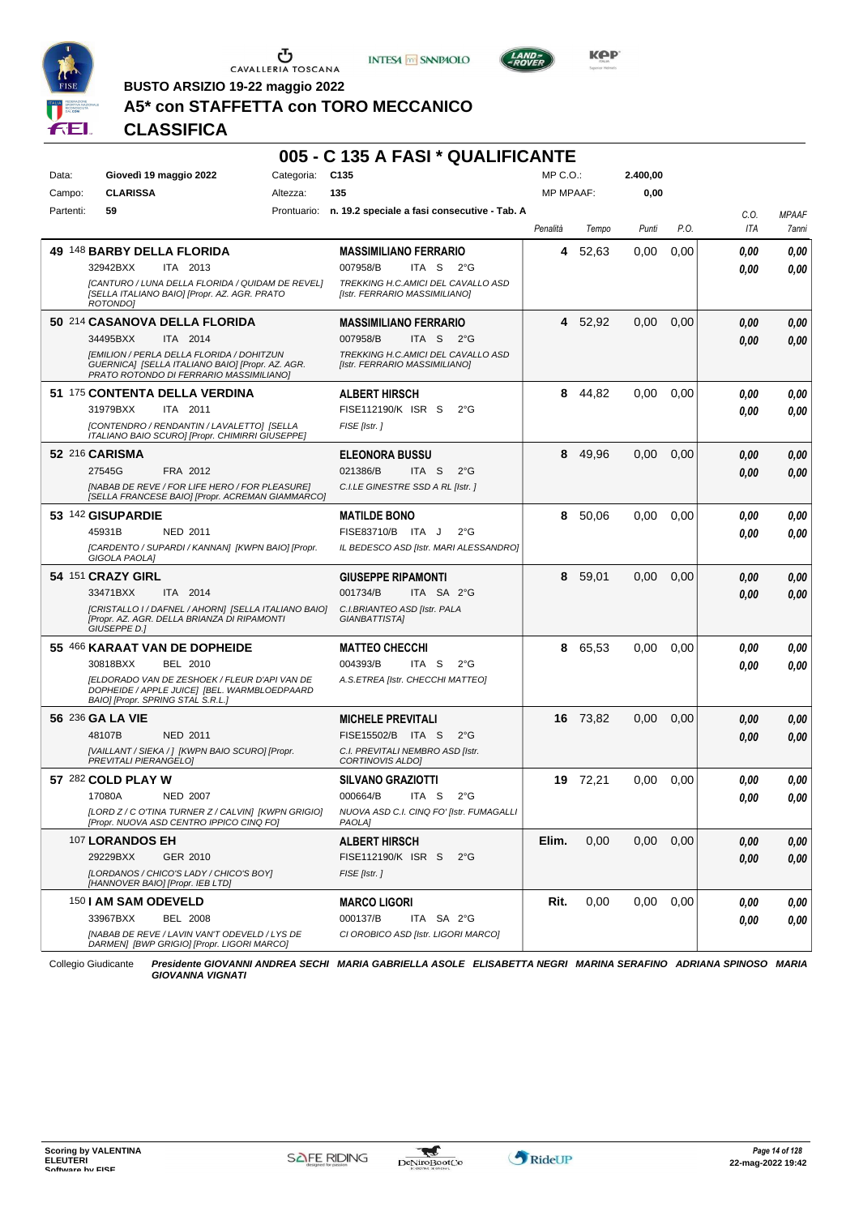





**Kep** 

**BUSTO ARSIZIO 19-22 maggio 2022**

# **A5\* con STAFFETTA con TORO MECCANICO**

## **CLASSIFICA**

#### **005 - C 135 A FASI \* QUALIFICANTE**

| Data:     | Giovedì 19 maggio 2022                                                                                                                   | Categoria:  | C <sub>135</sub>                                                    | MP C.O.:         |          | 2.400.00 |      |      |              |
|-----------|------------------------------------------------------------------------------------------------------------------------------------------|-------------|---------------------------------------------------------------------|------------------|----------|----------|------|------|--------------|
| Campo:    | <b>CLARISSA</b>                                                                                                                          | Altezza:    | 135                                                                 | <b>MP MPAAF:</b> |          | 0,00     |      |      |              |
| Partenti: | 59                                                                                                                                       | Prontuario: | n. 19.2 speciale a fasi consecutive - Tab. A                        |                  |          |          |      | C.0. | <b>MPAAF</b> |
|           |                                                                                                                                          |             |                                                                     | Penalità         | Tempo    | Punti    | P.O. | ITA  | 7anni        |
|           | 49 148 BARBY DELLA FLORIDA                                                                                                               |             | <b>MASSIMILIANO FERRARIO</b>                                        | 4                | 52,63    | 0.00     | 0,00 | 0.00 | 0,00         |
|           | 32942BXX<br>ITA 2013                                                                                                                     |             | 007958/B<br>ITA S<br>$2^{\circ}G$                                   |                  |          |          |      | 0.00 | 0.00         |
|           | [CANTURO / LUNA DELLA FLORIDA / QUIDAM DE REVEL]<br>[SELLA ITALIANO BAIO] [Propr. AZ. AGR. PRATO<br>ROTONDO1                             |             | TREKKING H.C.AMICI DEL CAVALLO ASD<br>[Istr. FERRARIO MASSIMILIANO] |                  |          |          |      |      |              |
|           | 50 214 CASANOVA DELLA FLORIDA                                                                                                            |             | <b>MASSIMILIANO FERRARIO</b>                                        | 4                | 52,92    | 0,00     | 0,00 | 0.00 | 0,00         |
|           | 34495BXX<br>ITA 2014                                                                                                                     |             | 007958/B<br>ITA S<br>$2^{\circ}G$                                   |                  |          |          |      | 0.00 | 0,00         |
|           | [EMILION / PERLA DELLA FLORIDA / DOHITZUN<br>GUERNICA] [SELLA ITALIANO BAIO] [Propr. AZ. AGR.<br>PRATO ROTONDO DI FERRARIO MASSIMILIANOJ |             | TREKKING H.C.AMICI DEL CAVALLO ASD<br>[Istr. FERRARIO MASSIMILIANO] |                  |          |          |      |      |              |
|           | 51 175 CONTENTA DELLA VERDINA                                                                                                            |             | <b>ALBERT HIRSCH</b>                                                | 8                | 44,82    | 0,00     | 0.00 | 0.00 | 0,00         |
|           | 31979BXX<br>ITA 2011                                                                                                                     |             | FISE112190/K ISR S<br>$2^{\circ}$ G                                 |                  |          |          |      | 0.00 | 0.00         |
|           | [CONTENDRO / RENDANTIN / LAVALETTO] [SELLA<br>ITALIANO BAIO SCURO] [Propr. CHIMIRRI GIUSEPPE]                                            |             | FISE [Istr.]                                                        |                  |          |          |      |      |              |
|           | 52 216 CARISMA                                                                                                                           |             | <b>ELEONORA BUSSU</b>                                               | 8                | 49,96    | 0,00     | 0,00 | 0.00 | 0,00         |
|           | 27545G<br>FRA 2012                                                                                                                       |             | 021386/B<br>ITA <sub>S</sub><br>$2^{\circ}$ G                       |                  |          |          |      | 0.00 | 0,00         |
|           | [NABAB DE REVE / FOR LIFE HERO / FOR PLEASURE]<br>[SELLA FRANCESE BAIO] [Propr. ACREMAN GIAMMARCO]                                       |             | C.I.LE GINESTRE SSD A RL [Istr. ]                                   |                  |          |          |      |      |              |
|           | 53 142 GISUPARDIE                                                                                                                        |             | <b>MATILDE BONO</b>                                                 | 8                | 50.06    | 0,00     | 0.00 | 0.00 | 0,00         |
|           | 45931B<br><b>NED 2011</b>                                                                                                                |             | FISE83710/B ITA J<br>$2^{\circ}G$                                   |                  |          |          |      | 0.00 | 0.00         |
|           | [CARDENTO / SUPARDI / KANNAN] [KWPN BAIO] [Propr.<br>GIGOLA PAOLA]                                                                       |             | IL BEDESCO ASD [Istr. MARI ALESSANDRO]                              |                  |          |          |      |      |              |
|           | 54 151 CRAZY GIRL                                                                                                                        |             | <b>GIUSEPPE RIPAMONTI</b>                                           | 8                | 59,01    | 0,00     | 0,00 | 0.00 | 0,00         |
|           | 33471BXX<br>ITA 2014                                                                                                                     |             | 001734/B<br>ITA SA 2°G                                              |                  |          |          |      | 0.00 | 0,00         |
|           | [CRISTALLO I / DAFNEL / AHORN] [SELLA ITALIANO BAIO]<br>[Propr. AZ. AGR. DELLA BRIANZA DI RIPAMONTI<br>GIUSEPPE D.]                      |             | C.I.BRIANTEO ASD [Istr. PALA<br>GIANBATTISTA]                       |                  |          |          |      |      |              |
|           | 55 466 KARAAT VAN DE DOPHEIDE                                                                                                            |             | <b>MATTEO CHECCHI</b>                                               | 8                | 65,53    | 0,00     | 0.00 | 0.00 | 0,00         |
|           | 30818BXX<br>BEL 2010                                                                                                                     |             | 004393/B<br>ITA S<br>$2^{\circ}G$                                   |                  |          |          |      | 0.00 | 0.00         |
|           | [ELDORADO VAN DE ZESHOEK / FLEUR D'API VAN DE<br>DOPHEIDE / APPLE JUICE] [BEL. WARMBLOEDPAARD<br>BAIO] [Propr. SPRING STAL S.R.L.]       |             | A.S.ETREA [Istr. CHECCHI MATTEO]                                    |                  |          |          |      |      |              |
|           | 56 236 GA LA VIE                                                                                                                         |             | <b>MICHELE PREVITALI</b>                                            |                  | 16 73,82 | 0,00     | 0,00 | 0.00 | 0,00         |
|           | 48107B<br><b>NED 2011</b>                                                                                                                |             | FISE15502/B ITA S<br>$2^{\circ}$ G                                  |                  |          |          |      | 0.00 | 0.00         |
|           | [VAILLANT / SIEKA / ] [KWPN BAIO SCURO] [Propr.<br>PREVITALI PIERANGELO]                                                                 |             | C.I. PREVITALI NEMBRO ASD [Istr.<br><b>CORTINOVIS ALDOI</b>         |                  |          |          |      |      |              |
|           | 57 282 COLD PLAY W                                                                                                                       |             | <b>SILVANO GRAZIOTTI</b>                                            |                  | 19 72,21 | 0,00     | 0.00 | 0.00 | 0,00         |
|           | 17080A<br><b>NED 2007</b>                                                                                                                |             | 000664/B<br>ITA S<br>$2^{\circ}$ G                                  |                  |          |          |      | 0.00 | $\it 0,00$   |
|           | [LORD Z / C O'TINA TURNER Z / CALVIN] [KWPN GRIGIO]<br>[Propr. NUOVA ASD CENTRO IPPICO CINQ FO]                                          |             | NUOVA ASD C.I. CINQ FO' [Istr. FUMAGALLI<br>PAOLA]                  |                  |          |          |      |      |              |
|           | 107 LORANDOS EH                                                                                                                          |             | <b>ALBERT HIRSCH</b>                                                | Elim.            | 0,00     | 0,00     | 0,00 | 0,00 | 0,00         |
|           | 29229BXX<br>GER 2010                                                                                                                     |             | FISE112190/K ISR S<br>$2^{\circ}$ G                                 |                  |          |          |      | 0,00 | 0,00         |
|           | [LORDANOS / CHICO'S LADY / CHICO'S BOY]<br>[HANNOVER BAIO] [Propr. IEB LTD]                                                              |             | FISE [Istr.]                                                        |                  |          |          |      |      |              |
|           | 150   AM SAM ODEVELD                                                                                                                     |             | <b>MARCO LIGORI</b>                                                 | Rit.             | 0,00     | 0,00     | 0,00 | 0,00 | 0,00         |
|           | 33967BXX<br><b>BEL 2008</b>                                                                                                              |             | 000137/B<br>ITA SA 2°G                                              |                  |          |          |      | 0,00 | 0,00         |
|           | [NABAB DE REVE / LAVIN VAN'T ODEVELD / LYS DE<br>DARMEN] [BWP GRIGIO] [Propr. LIGORI MARCO]                                              |             | CI OROBICO ASD [Istr. LIGORI MARCO]                                 |                  |          |          |      |      |              |

Collegio Giudicante *Presidente GIOVANNI ANDREA SECHI MARIA GABRIELLA ASOLE ELISABETTA NEGRI MARINA SERAFINO ADRIANA SPINOSO MARIA GIOVANNA VIGNATI*

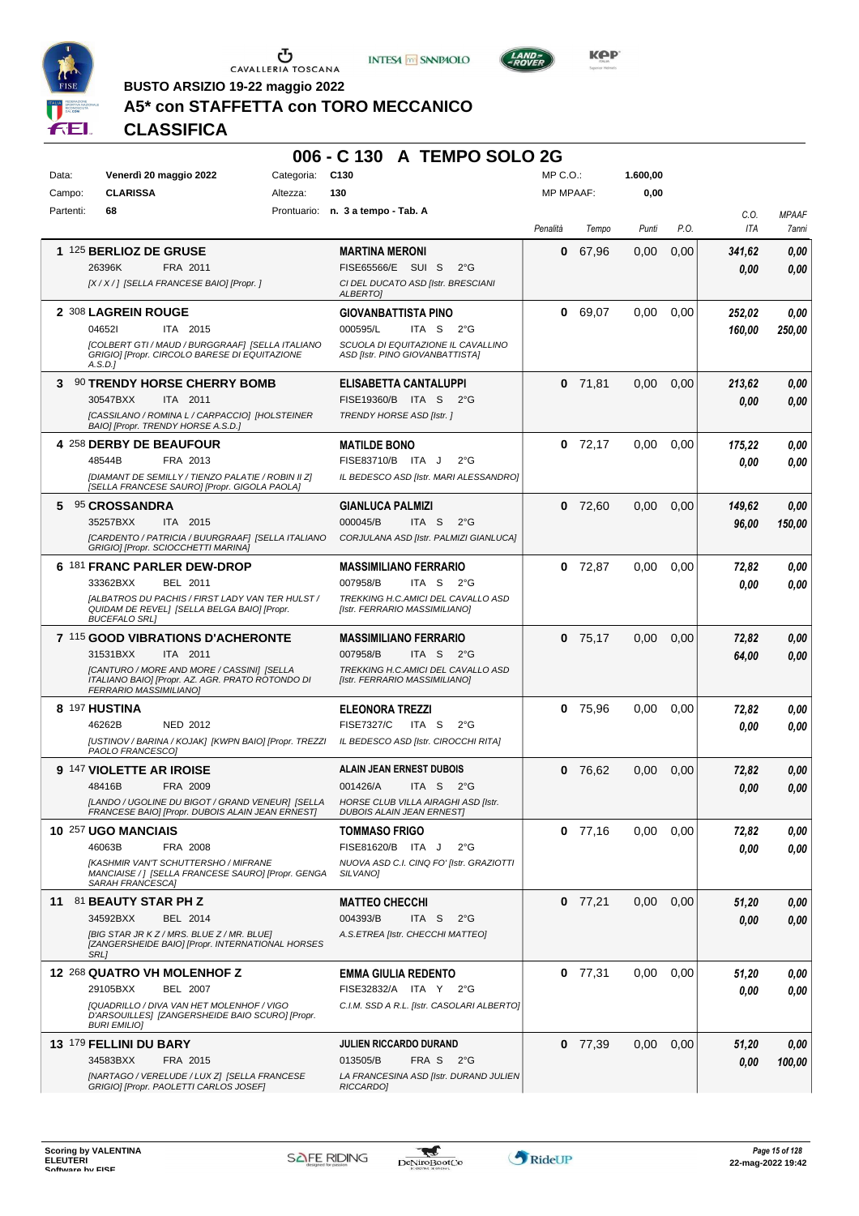





LAND<sub>E</sub>

**BUSTO ARSIZIO 19-22 maggio 2022**

#### **A5\* con STAFFETTA con TORO MECCANICO**

| <b>FEI.</b> | <b>CLASSIFICA</b>                                                                                                        |            |                                   |                                     |                                                        |                  |           |               |      |        |              |
|-------------|--------------------------------------------------------------------------------------------------------------------------|------------|-----------------------------------|-------------------------------------|--------------------------------------------------------|------------------|-----------|---------------|------|--------|--------------|
|             |                                                                                                                          |            |                                   |                                     | 006 - C 130 A TEMPO SOLO 2G                            |                  |           |               |      |        |              |
| Data:       | Venerdì 20 maggio 2022                                                                                                   | Categoria: | C <sub>130</sub>                  |                                     |                                                        | MP C.O.:         |           | 1.600,00      |      |        |              |
| Campo:      | <b>CLARISSA</b>                                                                                                          | Altezza:   | 130                               |                                     |                                                        | <b>MP MPAAF:</b> |           | 0,00          |      |        |              |
| Partenti:   | 68                                                                                                                       |            | Prontuario: n. 3 a tempo - Tab. A |                                     |                                                        |                  |           |               |      | C.0.   | <b>MPAAF</b> |
|             |                                                                                                                          |            |                                   |                                     |                                                        | Penalità         | Tempo     | Punti         | P.O. | ITA    | 7anni        |
|             | <b>1 125 BERLIOZ DE GRUSE</b>                                                                                            |            | <b>MARTINA MERONI</b>             |                                     |                                                        | 0                | 67,96     | 0,00          | 0,00 | 341,62 | 0,00         |
|             | 26396K<br>FRA 2011                                                                                                       |            |                                   | FISE65566/E SUI S                   | $2^{\circ}$ G                                          |                  |           |               |      | 0,00   | 0,00         |
|             | [X / X / ] [SELLA FRANCESE BAIO] [Propr. ]                                                                               |            |                                   | CI DEL DUCATO ASD [Istr. BRESCIANI  |                                                        |                  |           |               |      |        |              |
|             | 2 308 LAGREIN ROUGE                                                                                                      |            | ALBERTO]                          | <b>GIOVANBATTISTA PINO</b>          |                                                        |                  | 0 69,07   | 0,00          | 0,00 | 252,02 | 0,00         |
|             | 046521<br><b>ITA 2015</b>                                                                                                |            | 000595/L                          | ITA S                               | $2^{\circ}G$                                           |                  |           |               |      | 160,00 | 250,00       |
|             | [COLBERT GTI / MAUD / BURGGRAAF] [SELLA ITALIANO                                                                         |            |                                   |                                     | SCUOLA DI EQUITAZIONE IL CAVALLINO                     |                  |           |               |      |        |              |
|             | GRIGIO] [Propr. CIRCOLO BARESE DI EQUITAZIONE<br>A.S.D.                                                                  |            |                                   | ASD [Istr. PINO GIOVANBATTISTA]     |                                                        |                  |           |               |      |        |              |
|             | 3 90 TRENDY HORSE CHERRY BOMB                                                                                            |            |                                   | ELISABETTA CANTALUPPI               |                                                        | 0                | 71,81     | 0,00          | 0,00 | 213,62 | 0,00         |
|             | 30547BXX<br>ITA 2011                                                                                                     |            |                                   | FISE19360/B ITA S                   | $2^{\circ}G$                                           |                  |           |               |      | 0,00   | 0,00         |
|             | [CASSILANO / ROMINA L / CARPACCIO] [HOLSTEINER<br>BAIO] [Propr. TRENDY HORSE A.S.D.]                                     |            |                                   | TRENDY HORSE ASD [Istr.]            |                                                        |                  |           |               |      |        |              |
|             | 4 258 DERBY DE BEAUFOUR                                                                                                  |            | <b>MATILDE BONO</b>               |                                     |                                                        |                  | $0$ 72.17 | 0,00          | 0.00 | 175,22 | 0,00         |
|             | FRA 2013<br>48544B                                                                                                       |            |                                   | FISE83710/B ITA J                   | $2^{\circ}G$                                           |                  |           |               |      | 0.00   | 0.00         |
|             | [DIAMANT DE SEMILLY / TIENZO PALATIE / ROBIN II Z]                                                                       |            |                                   |                                     | IL BEDESCO ASD [Istr. MARI ALESSANDRO]                 |                  |           |               |      |        |              |
|             | [SELLA FRANCESE SAURO] [Propr. GIGOLA PAOLA]                                                                             |            |                                   |                                     |                                                        |                  |           |               |      |        |              |
|             | 5 95 CROSSANDRA                                                                                                          |            |                                   | <b>GIANLUCA PALMIZI</b>             |                                                        | 0                | 72,60     | 0,00          | 0,00 | 149,62 | 0,00         |
|             | 35257BXX<br><b>ITA 2015</b><br>[CARDENTO / PATRICIA / BUURGRAAF] [SELLA ITALIANO                                         |            | 000045/B                          | ITA <sub>S</sub>                    | $2^{\circ}G$<br>CORJULANA ASD [Istr. PALMIZI GIANLUCA] |                  |           |               |      | 96,00  | 150,00       |
|             | GRIGIO] [Propr. SCIOCCHETTI MARINA]                                                                                      |            |                                   |                                     |                                                        |                  |           |               |      |        |              |
|             | 6 181 FRANC PARLER DEW-DROP                                                                                              |            |                                   | <b>MASSIMILIANO FERRARIO</b>        |                                                        | 0                | 72,87     | 0,00          | 0,00 | 72,82  | 0,00         |
|             | 33362BXX<br>BEL 2011                                                                                                     |            | 007958/B                          | ITA S                               | $2^{\circ}G$                                           |                  |           |               |      | 0.00   | 0.00         |
|             | [ALBATROS DU PACHIS / FIRST LADY VAN TER HULST /<br>QUIDAM DE REVEL] [SELLA BELGA BAIO] [Propr.<br><b>BUCEFALO SRL1</b>  |            |                                   | [Istr. FERRARIO MASSIMILIANO]       | TREKKING H.C.AMICI DEL CAVALLO ASD                     |                  |           |               |      |        |              |
|             | 7 115 GOOD VIBRATIONS D'ACHERONTE                                                                                        |            |                                   | <b>MASSIMILIANO FERRARIO</b>        |                                                        | 0                | 75,17     | 0,00          | 0,00 | 72,82  | 0,00         |
|             | 31531BXX<br>ITA 2011                                                                                                     |            | 007958/B                          | ITA S 2°G                           |                                                        |                  |           |               |      | 64,00  | 0,00         |
|             | [CANTURO / MORE AND MORE / CASSINI] [SELLA<br>ITALIANO BAIO] [Propr. AZ. AGR. PRATO ROTONDO DI<br>FERRARIO MASSIMILIANO] |            |                                   | [Istr. FERRARIO MASSIMILIANO]       | TREKKING H.C.AMICI DEL CAVALLO ASD                     |                  |           |               |      |        |              |
|             | 8 197 HUSTINA                                                                                                            |            | <b>ELEONORA TREZZI</b>            |                                     |                                                        | 0                | 75,96     | 0,00          | 0.00 | 72,82  | 0,00         |
|             | 46262B<br><b>NED 2012</b>                                                                                                |            | <b>FISE7327/C</b>                 | ITA <sub>S</sub>                    | $2^{\circ}G$                                           |                  |           |               |      | 0.00   | 0,00         |
|             | [USTINOV / BARINA / KOJAK] [KWPN BAIO] [Propr. TREZZI<br>PAOLO FRANCESCOI                                                |            |                                   |                                     | IL BEDESCO ASD [Istr. CIROCCHI RITA]                   |                  |           |               |      |        |              |
|             | 9 147 VIOLETTE AR IROISE                                                                                                 |            |                                   | ALAIN JEAN ERNEST DUBOIS            |                                                        |                  | 0 76,62   | $0,00$ $0,00$ |      | 72,82  | 0,00         |
|             | 48416B<br>FRA 2009                                                                                                       |            | 001426/A                          | ITA S                               | $2^{\circ}$ G                                          |                  |           |               |      | 0.00   | 0,00         |
|             | [LANDO / UGOLINE DU BIGOT / GRAND VENEUR] [SELLA                                                                         |            |                                   | HORSE CLUB VILLA AIRAGHI ASD [Istr. |                                                        |                  |           |               |      |        |              |
|             | FRANCESE BAIO] [Propr. DUBOIS ALAIN JEAN ERNEST]                                                                         |            |                                   | <b>DUBOIS ALAIN JEAN ERNEST]</b>    |                                                        |                  |           |               |      |        |              |
|             | 10 257 UGO MANCIAIS<br>46063B<br>FRA 2008                                                                                |            | <b>TOMMASO FRIGO</b>              | FISE81620/B ITA J                   | $2^{\circ}$ G                                          |                  | $0$ 77,16 | 0,00          | 0,00 | 72,82  | 0,00         |
|             | [KASHMIR VAN'T SCHUTTERSHO / MIFRANE                                                                                     |            |                                   |                                     | NUOVA ASD C.I. CINQ FO' [Istr. GRAZIOTTI               |                  |           |               |      | 0.00   | 0,00         |
|             | MANCIAISE / ] [SELLA FRANCESE SAURO] [Propr. GENGA<br><b>SARAH FRANCESCAI</b>                                            |            | SILVANO]                          |                                     |                                                        |                  |           |               |      |        |              |
|             | 11 81 BEAUTY STAR PH Z                                                                                                   |            | <b>MATTEO CHECCHI</b>             |                                     |                                                        |                  | $0$ 77,21 | 0,00          | 0,00 | 51,20  | 0,00         |
|             | 34592BXX<br>BEL 2014                                                                                                     |            | 004393/B                          | ITA S                               | $2^{\circ}$ G                                          |                  |           |               |      | 0.00   | 0,00         |
|             | [BIG STAR JR KZ / MRS. BLUE Z / MR. BLUE]<br>[ZANGERSHEIDE BAIO] [Propr. INTERNATIONAL HORSES<br><b>SRL1</b>             |            |                                   | A.S.ETREA [Istr. CHECCHI MATTEO]    |                                                        |                  |           |               |      |        |              |
|             | 12 268 QUATRO VH MOLENHOF Z                                                                                              |            |                                   | <b>EMMA GIULIA REDENTO</b>          |                                                        |                  | $0$ 77,31 | 0,00          | 0,00 | 51,20  | 0,00         |
|             | 29105BXX<br><b>BEL 2007</b>                                                                                              |            |                                   | FISE32832/A ITA Y 2°G               |                                                        |                  |           |               |      | 0.00   | 0,00         |
|             | [QUADRILLO / DIVA VAN HET MOLENHOF / VIGO<br>D'ARSOUILLES] [ZANGERSHEIDE BAIO SCURO] [Propr.<br><b>BURI EMILIO]</b>      |            |                                   |                                     | C.I.M. SSD A R.L. [Istr. CASOLARI ALBERTO]             |                  |           |               |      |        |              |

**JULIEN RICCARDO DURAND**

*LA FRANCESINA ASD [Istr. DURAND JULIEN RICCARDO]* FRA S 2°G

34583BXX FRA 2015 013505/B FRA S 2°G <mark> *0,00 100,00*</mark>

*0,00*

*0,00*

**0** 77,39 0,00 0,00 *51,20*

**13** 179 **FELLINI DU BARY**



FRA 2015

*[NARTAGO / VERELUDE / LUX Z] [SELLA FRANCESE GRIGIO] [Propr. PAOLETTI CARLOS JOSEF]*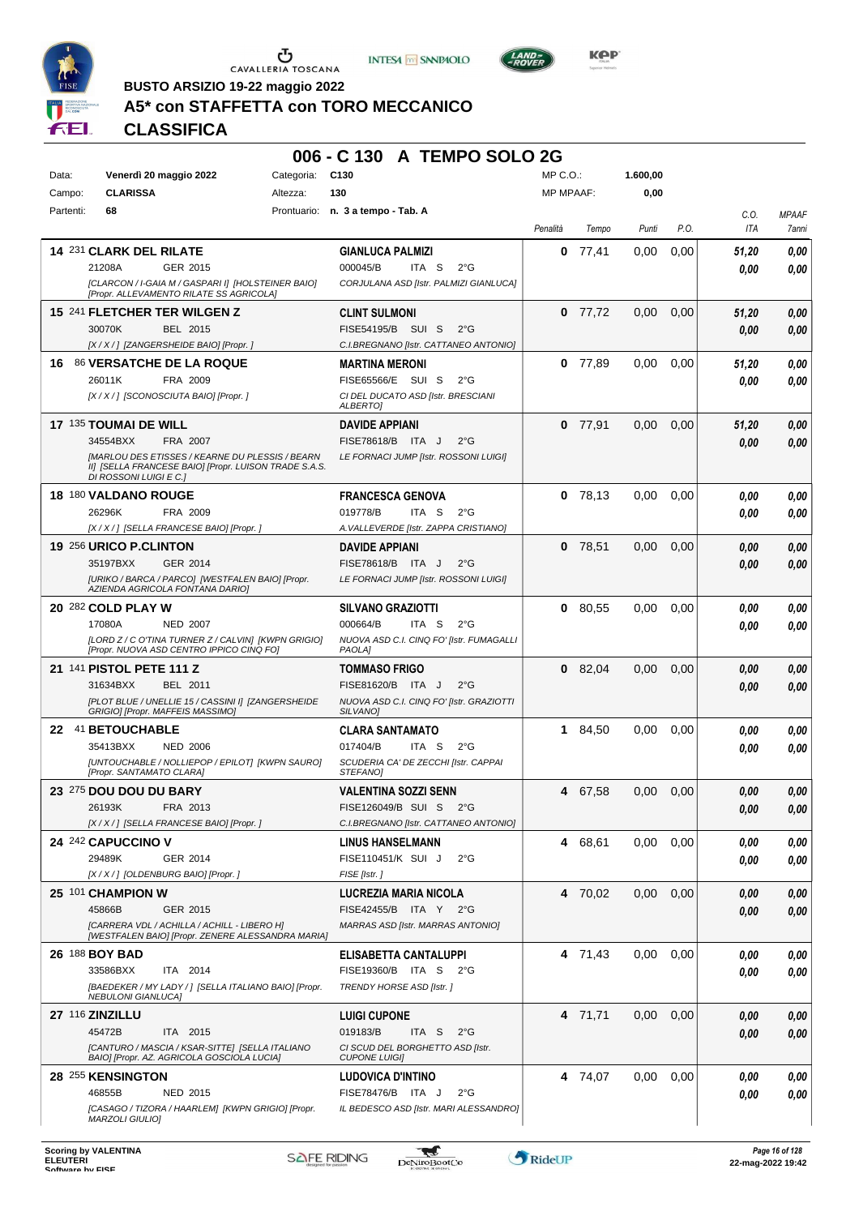





**Kep** 

# **A5\* con STAFFETTA con TORO MECCANICO**

**BUSTO ARSIZIO 19-22 maggio 2022**

|           |                                                                                                                                    |            | 006 - C 130 A TEMPO SOLO 2G                                                                |                  |           |          |               |                    |                       |
|-----------|------------------------------------------------------------------------------------------------------------------------------------|------------|--------------------------------------------------------------------------------------------|------------------|-----------|----------|---------------|--------------------|-----------------------|
| Data:     | Venerdì 20 maggio 2022                                                                                                             | Categoria: | C <sub>130</sub>                                                                           | MP C.O.:         |           | 1.600,00 |               |                    |                       |
| Campo:    | <b>CLARISSA</b>                                                                                                                    | Altezza:   | 130                                                                                        | <b>MP MPAAF:</b> |           | 0,00     |               |                    |                       |
| Partenti: | 68                                                                                                                                 |            | Prontuario: n. 3 a tempo - Tab. A                                                          | Penalità         | Tempo     | Punti    | P.O.          | C.O.<br><b>ITA</b> | <b>MPAAF</b><br>7anni |
|           | 14 231 CLARK DEL RILATE                                                                                                            |            | <b>GIANLUCA PALMIZI</b>                                                                    | 0                | 77,41     | 0,00     | 0,00          | 51,20              | 0.00                  |
|           | 21208A<br>GER 2015<br>[CLARCON / I-GAIA M / GASPARI I] [HOLSTEINER BAIO]                                                           |            | 000045/B<br>ITA S<br>$2^{\circ}G$<br>CORJULANA ASD [Istr. PALMIZI GIANLUCA]                |                  |           |          |               | 0.00               | 0,00                  |
|           | [Propr. ALLEVAMENTO RILATE SS AGRICOLA]                                                                                            |            |                                                                                            |                  |           |          |               |                    |                       |
|           | 15 241 FLETCHER TER WILGEN Z<br>30070K<br>BEL 2015                                                                                 |            | <b>CLINT SULMONI</b><br>FISE54195/B SUI S<br>$2^{\circ}$ G                                 | $\bf{0}$         | 77,72     | 0,00     | 0,00          | 51,20              | 0,00                  |
|           | [X / X / ] [ZANGERSHEIDE BAIO] [Propr. ]                                                                                           |            | C.I.BREGNANO [Istr. CATTANEO ANTONIO]                                                      |                  |           |          |               | 0.00               | 0,00                  |
| 16.       | 86 VERSATCHE DE LA ROQUE                                                                                                           |            | <b>MARTINA MERONI</b>                                                                      |                  | $0$ 77,89 | 0,00     | 0,00          | 51,20              | 0,00                  |
|           | 26011K<br>FRA 2009<br>[X / X / ] [SCONOSCIUTA BAIO] [Propr.]                                                                       |            | FISE65566/E SUI S<br>$2^{\circ}G$<br>CI DEL DUCATO ASD [Istr. BRESCIANI<br><b>ALBERTO]</b> |                  |           |          |               | 0.00               | 0.00                  |
|           | 17 135 TOUMAI DE WILL                                                                                                              |            | <b>DAVIDE APPIANI</b>                                                                      |                  | $0$ 77,91 | 0,00     | 0,00          | 51,20              | 0,00                  |
|           | 34554BXX<br>FRA 2007                                                                                                               |            | FISE78618/B ITA J<br>$2^{\circ}$ G                                                         |                  |           |          |               | 0.00               | 0.00                  |
|           | [MARLOU DES ETISSES / KEARNE DU PLESSIS / BEARN<br>II] [SELLA FRANCESE BAIO] [Propr. LUISON TRADE S.A.S.<br>DI ROSSONI LUIGI E C.] |            | LE FORNACI JUMP [Istr. ROSSONI LUIGI]                                                      |                  |           |          |               |                    |                       |
|           | 18 180 VALDANO ROUGE                                                                                                               |            | <b>FRANCESCA GENOVA</b>                                                                    |                  | 0, 78, 13 | 0,00     | 0,00          | 0.00               | 0,00                  |
|           | 26296K<br>FRA 2009<br>[X / X / ] [SELLA FRANCESE BAIO] [Propr. ]                                                                   |            | 019778/B<br>ITA <sub>S</sub><br>$2^{\circ}G$<br>A. VALLEVERDE [Istr. ZAPPA CRISTIANO]      |                  |           |          |               | 0.00               | 0,00                  |
|           | 19 256 URICO P.CLINTON                                                                                                             |            | <b>DAVIDE APPIANI</b>                                                                      | 0                | 78,51     | 0,00     | 0,00          | 0,00               | 0,00                  |
|           | 35197BXX<br>GER 2014                                                                                                               |            | FISE78618/B ITA J<br>$2^{\circ}$ G                                                         |                  |           |          |               | 0.00               | 0.00                  |
|           | [URIKO / BARCA / PARCO] [WESTFALEN BAIO] [Propr.<br>AZIENDA AGRICOLA FONTANA DARIO]                                                |            | LE FORNACI JUMP [Istr. ROSSONI LUIGI]                                                      |                  |           |          |               |                    |                       |
|           | 20 282 COLD PLAY W                                                                                                                 |            | <b>SILVANO GRAZIOTTI</b>                                                                   |                  | 0 80,55   | 0,00     | 0,00          | 0.00               | 0,00                  |
|           | 17080A<br><b>NED 2007</b><br>[LORD Z / C O'TINA TURNER Z / CALVIN] [KWPN GRIGIO]                                                   |            | 000664/B<br>ITA S<br>$2^{\circ}G$<br>NUOVA ASD C.I. CINQ FO' [Istr. FUMAGALLI              |                  |           |          |               | 0.00               | 0.00                  |
|           | [Propr. NUOVA ASD CENTRO IPPICO CINQ FO]                                                                                           |            | <b>PAOLA</b>                                                                               |                  |           |          |               |                    |                       |
|           | 21 141 PISTOL PETE 111 Z<br>31634BXX<br>BEL 2011                                                                                   |            | <b>TOMMASO FRIGO</b><br>FISE81620/B ITA J<br>$2^{\circ}$ G                                 |                  | 0 82,04   | 0,00     | 0,00          | 0,00               | 0,00                  |
|           | [PLOT BLUE / UNELLIE 15 / CASSINI I] [ZANGERSHEIDE                                                                                 |            | NUOVA ASD C.I. CINQ FO' [Istr. GRAZIOTTI                                                   |                  |           |          |               | 0.00               | 0.00                  |
|           | GRIGIO] [Propr. MAFFEIS MASSIMO]                                                                                                   |            | SILVANO]                                                                                   |                  |           |          |               |                    |                       |
|           | 22 41 BETOUCHABLE<br>35413BXX<br><b>NED 2006</b>                                                                                   |            | <b>CLARA SANTAMATO</b><br>017404/B<br>ITA S<br>$2^{\circ}$ G                               |                  | 1 84,50   | 0,00     | 0,00          | 0,00<br>0.00       | 0,00<br>0.00          |
|           | [UNTOUCHABLE / NOLLIEPOP / EPILOT] [KWPN SAURO]                                                                                    |            | SCUDERIA CA' DE ZECCHI [Istr. CAPPAI                                                       |                  |           |          |               |                    |                       |
|           | [Propr. SANTAMATO CLARA]<br>23 275 DOU DOU DU BARY                                                                                 |            | STEFANO]<br><b>VALENTINA SOZZI SENN</b>                                                    |                  | 4 67,58   |          | $0,00$ $0,00$ | 0,00               | $\it 0,00$            |
|           | 26193K<br>FRA 2013                                                                                                                 |            | FISE126049/B SUI S<br>2°G                                                                  |                  |           |          |               | 0.00               | 0,00                  |
|           | [X / X / ] [SELLA FRANCESE BAIO] [Propr. ]                                                                                         |            | C.I.BREGNANO [Istr. CATTANEO ANTONIO]                                                      |                  |           |          |               |                    |                       |
|           | 24 242 CAPUCCINO V                                                                                                                 |            | <b>LINUS HANSELMANN</b>                                                                    |                  | 4 68,61   | 0.00     | 0,00          | 0.00               | 0,00                  |
|           | 29489K<br>GER 2014<br>[X / X / ] [OLDENBURG BAIO] [Propr. ]                                                                        |            | FISE110451/K SUI J<br>$2^{\circ}$ G<br>FISE [Istr.]                                        |                  |           |          |               | 0,00               | 0,00                  |
|           | 25 101 CHAMPION W                                                                                                                  |            | LUCREZIA MARIA NICOLA                                                                      |                  | 4 70,02   | 0,00     | 0,00          | 0,00               | 0,00                  |
|           | 45866B<br>GER 2015                                                                                                                 |            | FISE42455/B ITA Y 2°G                                                                      |                  |           |          |               | 0,00               | 0,00                  |
|           | [CARRERA VDL / ACHILLA / ACHILL - LIBERO H]<br>[WESTFALEN BAIO] [Propr. ZENERE ALESSANDRA MARIA]                                   |            | <b>MARRAS ASD [Istr. MARRAS ANTONIO]</b>                                                   |                  |           |          |               |                    |                       |
|           | 26 188 BOY BAD                                                                                                                     |            | ELISABETTA CANTALUPPI                                                                      |                  | 4 71,43   | 0.00     | 0,00          | 0,00               | 0,00                  |
|           | 33586BXX<br>ITA 2014<br>[BAEDEKER / MY LADY / ] [SELLA ITALIANO BAIO] [Propr.                                                      |            | FISE19360/B ITA S 2°G<br>TRENDY HORSE ASD [Istr.]                                          |                  |           |          |               | 0.00               | 0,00                  |
|           | <b>NEBULONI GIANLUCA]</b>                                                                                                          |            |                                                                                            |                  |           |          |               |                    |                       |
|           | 27 116 ZINZILLU                                                                                                                    |            | <b>LUIGI CUPONE</b>                                                                        |                  | 4 71,71   | 0,00     | 0,00          | 0,00               | 0,00                  |
|           | 45472B<br>ITA 2015<br>[CANTURO / MASCIA / KSAR-SITTE] [SELLA ITALIANO                                                              |            | 019183/B<br>ITA S<br>$2^{\circ}$ G<br>CI SCUD DEL BORGHETTO ASD [Istr.                     |                  |           |          |               | 0,00               | 0,00                  |
|           | BAIO] [Propr. AZ. AGRICOLA GOSCIOLA LUCIA]                                                                                         |            | <b>CUPONE LUIGI]</b>                                                                       |                  |           |          |               |                    |                       |
|           | 28 255 KENSINGTON<br>46855B<br>NED 2015                                                                                            |            | <b>LUDOVICA D'INTINO</b><br>FISE78476/B ITA J<br>$2^{\circ}$ G                             |                  | 4 74,07   | 0.00     | 0,00          | 0,00               | 0,00                  |
|           |                                                                                                                                    |            |                                                                                            |                  |           |          |               | 0,00               | 0,00                  |

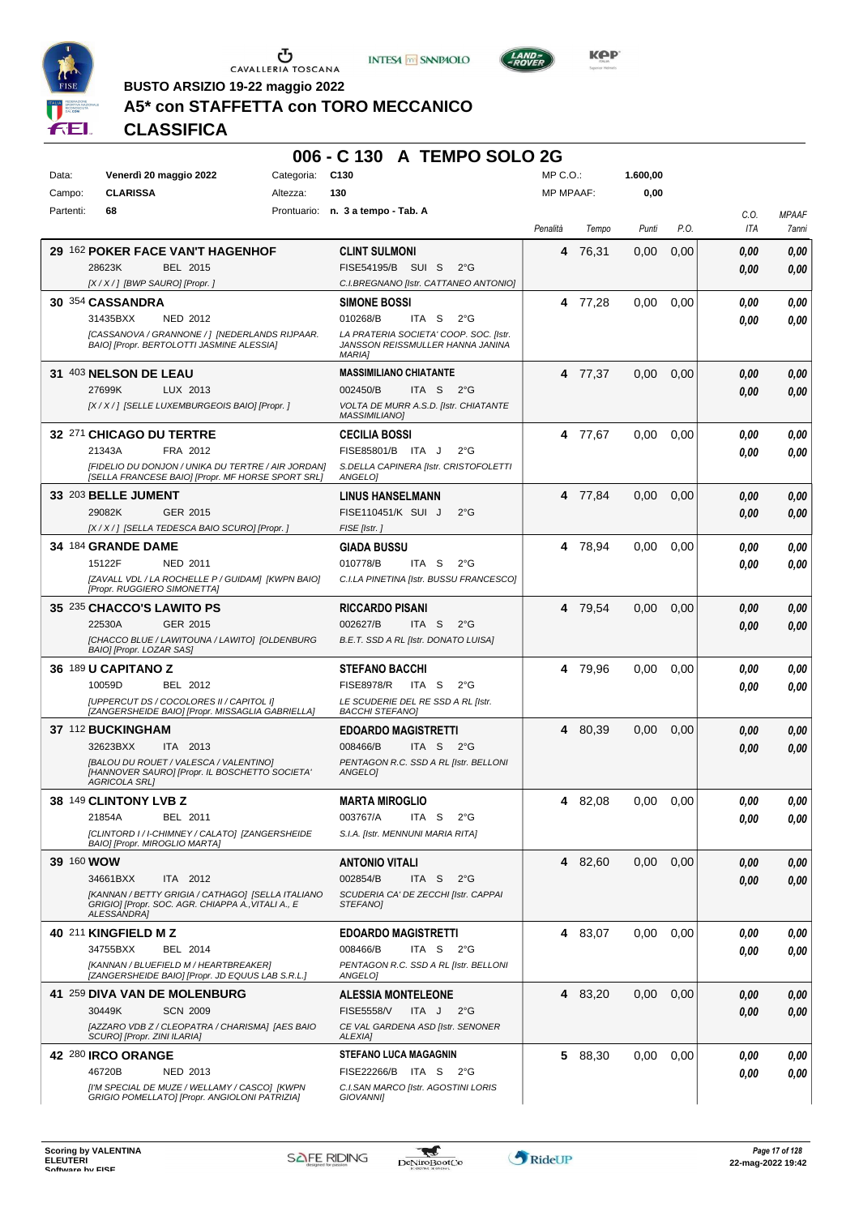

CAVALLERIA TOSCANA





KOP

**BUSTO ARSIZIO 19-22 maggio 2022**

# **A5\* con STAFFETTA con TORO MECCANICO**

#### **006 - C 130 A TEMPO SOLO 2G** Data: Venerdì 20 maggio 2022 Categoria: C130 Prontuario: **n. 3 a tempo - Tab. A** Campo: **CLARISSA** Partenti: **68** Altezza: **130** MP C.O.: MP MPAAF: **1.600,00 0,00** *Penalità Tempo Punti P.O. C.O. ITA* **29** 162 **POKER FACE VAN'T HAGENHOF** BEL 2015 **CLINT SULMONI** *[X / X / ] [BWP SAURO] [Propr. ] C.I.BREGNANO [Istr. CATTANEO ANTONIO]* SUI S 2°G 28623K FISE54195/B *0,00* **4** 76,31 0,00 0,00 *0,00 0,00* **30** 354 **CASSANDRA** NED 2012 **SIMONE BOSSI** *[CASSANOVA / GRANNONE / ] [NEDERLANDS RIJPAAR. BAIO] [Propr. BERTOLOTTI JASMINE ALESSIA] LA PRATERIA SOCIETA' COOP. SOC. [Istr. JANSSON REISSMULLER HANNA JANINA MARIA]* ITA S 2°G **4** 77,28 0,00 0,00 *0,00 0,00* 31435BXX 010268/B *0,00* **31** 403 **NELSON DE LEAU** LUX 2013 **MASSIMILIANO CHIATANTE** *[X / X / ] [SELLE LUXEMBURGEOIS BAIO] [Propr. ] VOLTA DE MURR A.S.D. [Istr. CHIATANTE MASSIMILIANO]* ITA S 2°G **4** 77,37 0,00 0,00 *0,00 0,00* 27699K LUX 2013 002450/B TTA S 2°G <mark> 0,00 0,00</mark> **32** 271 **CHICAGO DU TERTRE** FRA 2012 **CECILIA BOSSI** *[FIDELIO DU DONJON / UNIKA DU TERTRE / AIR JORDAN] [SELLA FRANCESE BAIO] [Propr. MF HORSE SPORT SRL] S.DELLA CAPINERA [Istr. CRISTOFOLETTI ANGELO]* ITA J 2°G 21343A FISE85801/B *0,00* **4** 77,67 0,00 0,00 *0,00 0,00* **33** 203 **BELLE JUMENT** GER 2015 **LINUS HANSELMANN** *[X / X / ] [SELLA TEDESCA BAIO SCURO] [Propr. ] FISE [Istr. ]* SUI J 2°G 29082K FISE110451/K *0,00* **4** 77,84 0,00 0,00 *0,00 0,00* **34** 184 **GRANDE DAME** NED 2011 **GIADA BUSSU** *[ZAVALL VDL / LA ROCHELLE P / GUIDAM] [KWPN BAIO] [Propr. RUGGIERO SIMONETTA] C.I.LA PINETINA [Istr. BUSSU FRANCESCO]* ITA S 2°G **4** 78,94 0,00 0,00 *0,00 0,00* 15122F 010778/B *0,00* **35** 235 **CHACCO'S LAWITO PS** GER 2015 **RICCARDO PISANI** *[CHACCO BLUE / LAWITOUNA / LAWITO] [OLDENBURG BAIO] [Propr. LOZAR SAS] B.E.T. SSD A RL [Istr. DONATO LUISA]* ITA S 2°G **4** 79,54 0,00 0,00 *0,00 0,00* 22530A GER\_2015 002627/B ITA S 2°G **0,00 0,00 36** 189 **U CAPITANO Z** BEL 2012 **STEFANO BACCHI** *[UPPERCUT DS / COCOLORES II / CAPITOL I] [ZANGERSHEIDE BAIO] [Propr. MISSAGLIA GABRIELLA] LE SCUDERIE DEL RE SSD A RL [Istr. BACCHI STEFANO]* 10059D BEL 2012 FISE8978/R ITA S 2°G **0,00 0,00 4** 79,96 0,00 0,00 *0,00 0,00* **37** 112 **BUCKINGHAM** ITA 2013 **EDOARDO MAGISTRETTI** *[BALOU DU ROUET / VALESCA / VALENTINO] [HANNOVER SAURO] [Propr. IL BOSCHETTO SOCIETA' AGRICOLA SRL] PENTAGON R.C. SSD A RL [Istr. BELLONI ANGELO]* ITA S 2°G **4** 80,39 0,00 0,00 *0,00 0,00* 32623BXX ITA 2013 008466/B ITA S 2°G <mark> 0,00 0,00</mark> **38** 149 **CLINTONY LVB Z** BEL 2011 **MARTA MIROGLIO** *[CLINTORD I / I-CHIMNEY / CALATO] [ZANGERSHEIDE BAIO] [Propr. MIROGLIO MARTA] S.I.A. [Istr. MENNUNI MARIA RITA]* ITA S 2°G **4** 82,08 0,00 0,00 *0,00 0,00* 21854A BEL 2011 003767/A ITA S 2°G <mark>0 ,00 0,00</mark> **39** 160 **WOW** ITA 2012 **ANTONIO VITALI** *[KANNAN / BETTY GRIGIA / CATHAGO] [SELLA ITALIANO GRIGIO] [Propr. SOC. AGR. CHIAPPA A.,VITALI A., E ALESSANDRA] SCUDERIA CA' DE ZECCHI [Istr. CAPPAI STEFANO]* ITA S 2°G **4** 82,60 0,00 0,00 *0,00 0,00* 34661BXX ITA 2012 002854/B ITA S 2°G <mark> 0,00 0,00</mark> **40** 211 **KINGFIELD M Z** BEL 2014 **EDOARDO MAGISTRETTI** ITA S 2°G **4** 83,07 0,00 0,00 *0,00* **CLASSIFICA**

| 34755BXX                    | BEL 2014                                                                                       | 008466/B                                                | ITA S $2^{\circ}$ G |                                       |         |      |      | 0.00 | 0.00 |  |
|-----------------------------|------------------------------------------------------------------------------------------------|---------------------------------------------------------|---------------------|---------------------------------------|---------|------|------|------|------|--|
|                             | [KANNAN / BLUEFIELD M / HEARTBREAKER]<br>[ZANGERSHEIDE BAIO] [Propr. JD EQUUS LAB S.R.L.]      | <b>ANGELOI</b>                                          |                     | PENTAGON R.C. SSD A RL [Istr. BELLONI |         |      |      |      |      |  |
|                             | 41  259 DIVA VAN DE MOLENBURG                                                                  | <b>ALESSIA MONTELEONE</b>                               |                     |                                       | 4 83,20 | 0.00 | 0.00 | 0,00 | 0,00 |  |
| 30449K                      | SCN 2009                                                                                       | <b>FISE5558/V</b>                                       | ITA J               | $2^{\circ}G$                          |         |      |      | 0,00 | 0.00 |  |
| SCUROI [Propr. ZINI ILARIA] | [AZZARO VDB Z / CLEOPATRA / CHARISMA] [AES BAIO                                                | CE VAL GARDENA ASD [Istr. SENONER<br><b>ALEXIAI</b>     |                     |                                       |         |      |      |      |      |  |
| <b>42 280 IRCO ORANGE</b>   |                                                                                                | <b>STEFANO LUCA MAGAGNIN</b>                            |                     |                                       | 5 88,30 | 0,00 | 0.00 | 0,00 | 0.00 |  |
| 46720B                      | NED 2013                                                                                       | FISE22266/B                                             | ITA S $2^{\circ}$ G |                                       |         |      |      | 0,00 | 0.00 |  |
|                             | [I'M SPECIAL DE MUZE / WELLAMY / CASCO] [KWPN<br>GRIGIO POMELLATO] [Propr. ANGIOLONI PATRIZIA] | C.I.SAN MARCO [Istr. AGOSTINI LORIS<br><b>GIOVANNII</b> |                     |                                       |         |      |      |      |      |  |



*MPAAF 7anni*

*0,00*

*0,00*

*0,00*

*0,00*

*0,00*

*0,00*

*0,00*

*0,00*

*0,00*

*0,00*

*0,00*

*0,00*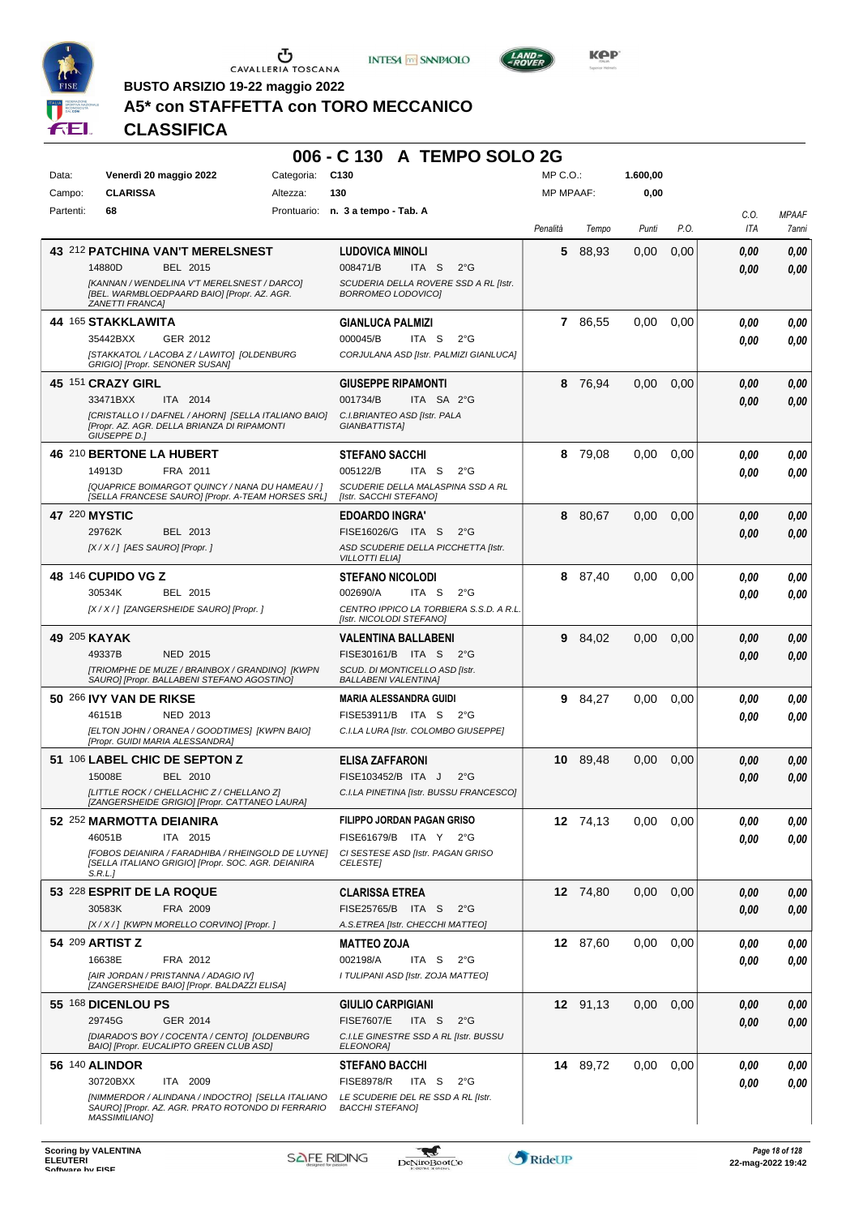





**1.600,00**

**BUSTO ARSIZIO 19-22 maggio 2022**

# **A5\* con STAFFETTA con TORO MECCANICO**

|       |                        |                 | 006 - C 130 A TEMPO SOLO 2G |
|-------|------------------------|-----------------|-----------------------------|
| Data: | Venerdì 20 maggio 2022 | Categoria: C130 | $MP C. O.$ :                |

| Campo:    | <b>CLARISSA</b>                                                                                                     | Altezza:    | 130                                                                     | <b>MP MPAAF:</b> |          | 0,00  |      |      |              |
|-----------|---------------------------------------------------------------------------------------------------------------------|-------------|-------------------------------------------------------------------------|------------------|----------|-------|------|------|--------------|
| Partenti: | 68                                                                                                                  | Prontuario: | n. 3 a tempo - Tab. A                                                   |                  |          |       |      | C.O. | <b>MPAAF</b> |
|           |                                                                                                                     |             |                                                                         | Penalità         | Tempo    | Punti | P.O. | ITA  | 7anni        |
|           | 43 212 PATCHINA VAN'T MERELSNEST                                                                                    |             | <b>LUDOVICA MINOLI</b>                                                  | 5                | 88,93    | 0,00  | 0,00 |      |              |
|           | 14880D<br>BEL 2015                                                                                                  |             | 008471/B<br>$2^{\circ}G$<br>ITA <sub>S</sub>                            |                  |          |       |      | 0.00 | 0,00         |
|           | [KANNAN / WENDELINA V'T MERELSNEST / DARCO]                                                                         |             | SCUDERIA DELLA ROVERE SSD A RL [Istr.                                   |                  |          |       |      | 0.00 | 0,00         |
|           | [BEL. WARMBLOEDPAARD BAIO] [Propr. AZ. AGR.<br>ZANETTI FRANCA]                                                      |             | BORROMEO LODOVICO]                                                      |                  |          |       |      |      |              |
|           | <b>44 165 STAKKLAWITA</b>                                                                                           |             | <b>GIANLUCA PALMIZI</b>                                                 |                  | 7 86,55  | 0,00  | 0.00 | 0.00 | 0,00         |
|           | GER 2012<br>35442BXX                                                                                                |             | 000045/B<br>ITA S<br>$2^{\circ}$ G                                      |                  |          |       |      | 0.00 | 0,00         |
|           | [STAKKATOL / LACOBA Z / LAWITO] [OLDENBURG                                                                          |             | CORJULANA ASD [Istr. PALMIZI GIANLUCA]                                  |                  |          |       |      |      |              |
|           | GRIGIO] [Propr. SENONER SUSAN]                                                                                      |             |                                                                         |                  |          |       |      |      |              |
|           | 45 151 CRAZY GIRL                                                                                                   |             | <b>GIUSEPPE RIPAMONTI</b>                                               | 8                | 76,94    | 0,00  | 0.00 | 0,00 | 0,00         |
|           | ITA 2014<br>33471BXX                                                                                                |             | 001734/B<br>ITA SA 2°G                                                  |                  |          |       |      | 0,00 | 0,00         |
|           | [CRISTALLO I / DAFNEL / AHORN] [SELLA ITALIANO BAIO]<br>[Propr. AZ. AGR. DELLA BRIANZA DI RIPAMONTI<br>GIUSEPPE D.] |             | C.I.BRIANTEO ASD [Istr. PALA<br>GIANBATTISTA]                           |                  |          |       |      |      |              |
|           | 46 210 BERTONE LA HUBERT                                                                                            |             | <b>STEFANO SACCHI</b>                                                   | 8                | 79,08    | 0,00  | 0,00 | 0.00 | 0,00         |
|           | 14913D<br>FRA 2011                                                                                                  |             | 005122/B<br>$2^{\circ}$ G<br>ITA S                                      |                  |          |       |      | 0.00 | 0.00         |
|           | [QUAPRICE BOIMARGOT QUINCY / NANA DU HAMEAU / ]<br>[SELLA FRANCESE SAURO] [Propr. A-TEAM HORSES SRL]                |             | SCUDERIE DELLA MALASPINA SSD A RL<br>[Istr. SACCHI STEFANO]             |                  |          |       |      |      |              |
|           | 47 220 MYSTIC                                                                                                       |             | <b>EDOARDO INGRA'</b>                                                   | 8                | 80,67    | 0,00  | 0,00 | 0,00 | 0,00         |
|           | 29762K<br>BEL 2013                                                                                                  |             | FISE16026/G ITA S<br>$2^{\circ}G$                                       |                  |          |       |      | 0,00 | 0,00         |
|           | [X / X / ] [AES SAURO] [Propr. ]                                                                                    |             | ASD SCUDERIE DELLA PICCHETTA [Istr.                                     |                  |          |       |      |      |              |
|           |                                                                                                                     |             | <b>VILLOTTI ELIA]</b>                                                   |                  |          |       |      |      |              |
|           | 48 146 CUPIDO VG Z                                                                                                  |             | <b>STEFANO NICOLODI</b>                                                 | 8                | 87,40    | 0.00  | 0.00 | 0.00 | 0,00         |
|           | 30534K<br>BEL 2015                                                                                                  |             | 002690/A<br>ITA <sub>S</sub><br>$2^{\circ}G$                            |                  |          |       |      | 0.00 | 0.00         |
|           | [X / X / ] [ZANGERSHEIDE SAURO] [Propr. ]                                                                           |             | CENTRO IPPICO LA TORBIERA S.S.D. A R.L.<br>[Istr. NICOLODI STEFANO]     |                  |          |       |      |      |              |
|           | 49 205 KAYAK                                                                                                        |             | VALENTINA BALLABENI                                                     |                  | 9 84,02  | 0,00  | 0,00 | 0,00 | 0,00         |
|           | 49337B<br><b>NED 2015</b>                                                                                           |             | FISE30161/B ITA S<br>$2^{\circ}G$                                       |                  |          |       |      | 0,00 | 0,00         |
|           | [TRIOMPHE DE MUZE / BRAINBOX / GRANDINO] [KWPN                                                                      |             | SCUD. DI MONTICELLO ASD [Istr.                                          |                  |          |       |      |      |              |
|           | SAURO] [Propr. BALLABENI STEFANO AGOSTINO]                                                                          |             | <b>BALLABENI VALENTINA]</b>                                             |                  |          |       |      |      |              |
|           | 50 266 IVY VAN DE RIKSE                                                                                             |             | <b>MARIA ALESSANDRA GUIDI</b>                                           |                  | 9 84,27  | 0,00  | 0.00 | 0.00 | 0,00         |
|           | 46151B<br>NED 2013                                                                                                  |             | FISE53911/B ITA S<br>$2^{\circ}G$                                       |                  |          |       |      | 0,00 | 0.00         |
|           | [ELTON JOHN / ORANEA / GOODTIMES] [KWPN BAIO]<br>[Propr. GUIDI MARIA ALESSANDRA]                                    |             | C.I.LA LURA [Istr. COLOMBO GIUSEPPE]                                    |                  |          |       |      |      |              |
|           | 51 106 LABEL CHIC DE SEPTON Z                                                                                       |             | ELISA ZAFFARONI                                                         |                  | 10 89,48 | 0,00  | 0,00 | 0,00 | 0,00         |
|           | 15008E<br><b>BEL 2010</b>                                                                                           |             | FISE103452/B ITA J<br>$2^{\circ}G$                                      |                  |          |       |      | 0.00 | 0.00         |
|           | [LITTLE ROCK / CHELLACHIC Z / CHELLANO Z]                                                                           |             | C.I.LA PINETINA [Istr. BUSSU FRANCESCO]                                 |                  |          |       |      |      |              |
|           | [ZANGERSHEIDE GRIGIO] [Propr. CATTANEO LAURA]                                                                       |             |                                                                         |                  |          |       |      |      |              |
|           | 52 252 MARMOTTA DEIANIRA                                                                                            |             | FILIPPO JORDAN PAGAN GRISO                                              |                  | 12 74,13 | 0.00  | 0,00 | 0.00 | 0,00         |
|           | 46051B<br>ITA 2015                                                                                                  |             | FISE61679/B ITA Y<br>$2^{\circ}$ G                                      |                  |          |       |      | 0,00 | 0,00         |
|           | [FOBOS DEIANIRA / FARADHIBA / RHEINGOLD DE LUYNE]<br>[SELLA ITALIANO GRIGIO] [Propr. SOC. AGR. DEIANIRA<br>S.R.L.   |             | CI SESTESE ASD [Istr. PAGAN GRISO<br><b>CELESTEI</b>                    |                  |          |       |      |      |              |
|           | 53 228 ESPRIT DE LA ROQUE                                                                                           |             | <b>CLARISSA ETREA</b>                                                   |                  | 12 74.80 | 0,00  | 0,00 | 0,00 | 0,00         |
|           | 30583K<br>FRA 2009                                                                                                  |             | FISE25765/B ITA S<br>$2^{\circ}G$                                       |                  |          |       |      | 0,00 | 0,00         |
|           | [X / X / ] [KWPN MORELLO CORVINO] [Propr. ]                                                                         |             | A.S.ETREA [Istr. CHECCHI MATTEO]                                        |                  |          |       |      |      |              |
|           | 54 209 ARTIST Z                                                                                                     |             | <b>MATTEO ZOJA</b>                                                      |                  | 12 87,60 | 0,00  | 0,00 | 0.00 | 0,00         |
|           | 16638E<br>FRA 2012                                                                                                  |             | 002198/A<br>ITA S<br>$2^{\circ}$ G                                      |                  |          |       |      | 0.00 | 0,00         |
|           | <b>IAIR JORDAN / PRISTANNA / ADAGIO IVI</b><br>[ZANGERSHEIDE BAIO] [Propr. BALDAZZI ELISA]                          |             | I TULIPANI ASD [Istr. ZOJA MATTEO]                                      |                  |          |       |      |      |              |
|           |                                                                                                                     |             |                                                                         |                  |          |       |      |      |              |
|           | 55 168 DICENLOU PS<br>29745G<br>GER 2014                                                                            |             | <b>GIULIO CARPIGIANI</b><br><b>FISE7607/E</b><br>ITA S<br>$2^{\circ}$ G |                  | 12 91,13 | 0,00  | 0,00 | 0,00 | 0,00         |
|           | [DIARADO'S BOY / COCENTA / CENTO] [OLDENBURG                                                                        |             | C.I.LE GINESTRE SSD A RL [Istr. BUSSU                                   |                  |          |       |      | 0,00 | 0,00         |
|           | BAIO] [Propr. EUCALIPTO GREEN CLUB ASD]                                                                             |             | ELEONORA]                                                               |                  |          |       |      |      |              |
|           | 56 140 ALINDOR                                                                                                      |             | <b>STEFANO BACCHI</b>                                                   |                  | 14 89,72 | 0,00  | 0.00 | 0.00 | 0,00         |
|           | ITA 2009<br>30720BXX                                                                                                |             | <b>FISE8978/R</b><br>ITA S<br>$2^{\circ}G$                              |                  |          |       |      | 0,00 | 0,00         |
|           | [NIMMERDOR / ALINDANA / INDOCTRO] [SELLA ITALIANO<br>SAURO] [Propr. AZ. AGR. PRATO ROTONDO DI FERRARIO              |             | LE SCUDERIE DEL RE SSD A RL [Istr.<br><b>BACCHI STEFANO]</b>            |                  |          |       |      |      |              |
|           | <b>MASSIMILIANO]</b>                                                                                                |             |                                                                         |                  |          |       |      |      |              |

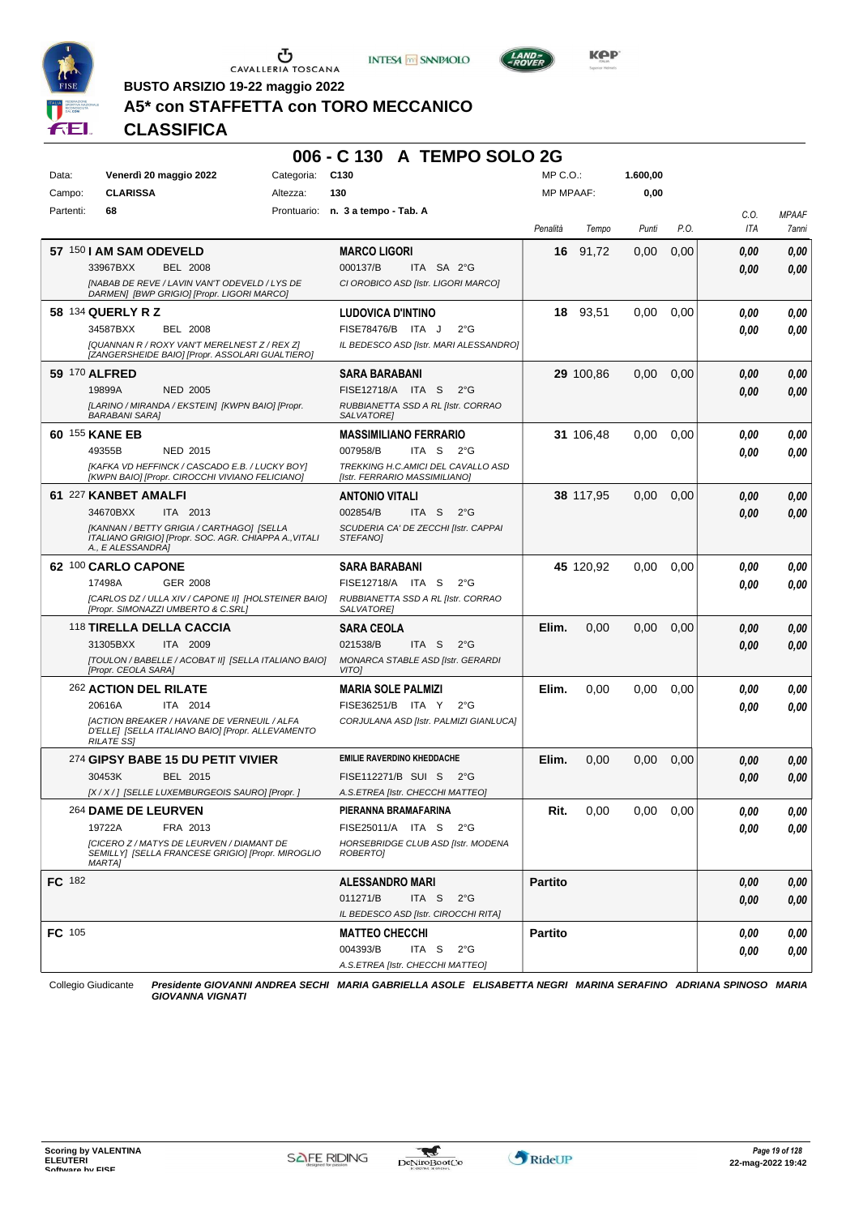





**Kep** 

**BUSTO ARSIZIO 19-22 maggio 2022**

# **A5\* con STAFFETTA con TORO MECCANICO**

# **CLASSIFICA**

|               |                                                                                                                              | 006 - C 130 A TEMPO SOLO 2G                                         |                  |           |          |      |      |              |
|---------------|------------------------------------------------------------------------------------------------------------------------------|---------------------------------------------------------------------|------------------|-----------|----------|------|------|--------------|
| Data:         | Venerdì 20 maggio 2022<br>Categoria:                                                                                         | C <sub>130</sub>                                                    | MP C. O.         |           | 1.600,00 |      |      |              |
| Campo:        | <b>CLARISSA</b><br>Altezza:                                                                                                  | 130                                                                 | <b>MP MPAAF:</b> |           | 0,00     |      |      |              |
| Partenti:     | 68                                                                                                                           | Prontuario: n. 3 a tempo - Tab. A                                   |                  |           |          |      | C.O. | <b>MPAAF</b> |
|               |                                                                                                                              |                                                                     | Penalità         | Tempo     | Punti    | P.O. | ITA  | 7anni        |
|               | 57 150   AM SAM ODEVELD                                                                                                      | <b>MARCO LIGORI</b>                                                 |                  | 16 91,72  | 0,00     | 0,00 | 0,00 | 0,00         |
|               | 33967BXX<br><b>BEL 2008</b>                                                                                                  | 000137/B<br>ITA SA 2°G                                              |                  |           |          |      | 0,00 | 0,00         |
|               | [NABAB DE REVE / LAVIN VAN'T ODEVELD / LYS DE<br>DARMEN] [BWP GRIGIO] [Propr. LIGORI MARCO]                                  | CI OROBICO ASD [Istr. LIGORI MARCO]                                 |                  |           |          |      |      |              |
|               | 58 134 QUERLY R Z                                                                                                            | LUDOVICA D'INTINO                                                   |                  | 18 93,51  | 0.00     | 0.00 | 0.00 | 0,00         |
|               | 34587BXX<br><b>BEL 2008</b>                                                                                                  | FISE78476/B ITA J<br>$2^{\circ}G$                                   |                  |           |          |      | 0.00 | 0.00         |
|               | [QUANNAN R / ROXY VAN'T MERELNEST Z / REX Z]<br>[ZANGERSHEIDE BAIO] [Propr. ASSOLARI GUALTIERO]                              | IL BEDESCO ASD [Istr. MARI ALESSANDRO]                              |                  |           |          |      |      |              |
|               | 59 170 ALFRED                                                                                                                | <b>SARA BARABANI</b>                                                |                  | 29 100,86 | 0,00     | 0,00 | 0,00 | 0,00         |
|               | 19899A<br><b>NED 2005</b>                                                                                                    | FISE12718/A ITA S<br>$2^{\circ}G$                                   |                  |           |          |      | 0.00 | 0.00         |
|               | [LARINO / MIRANDA / EKSTEIN] [KWPN BAIO] [Propr.<br><b>BARABANI SARA]</b>                                                    | RUBBIANETTA SSD A RL [Istr. CORRAO<br>SALVATORE]                    |                  |           |          |      |      |              |
|               | 60 155 KANE EB                                                                                                               | <b>MASSIMILIANO FERRARIO</b>                                        |                  | 31 106,48 | 0,00     | 0.00 | 0.00 | 0,00         |
|               | 49355B<br>NED 2015                                                                                                           | 007958/B<br>ITA S<br>$2^{\circ}G$                                   |                  |           |          |      | 0.00 | 0.00         |
|               | [KAFKA VD HEFFINCK / CASCADO E.B. / LUCKY BOY]<br>[KWPN BAIO] [Propr. CIROCCHI VIVIANO FELICIANO]                            | TREKKING H.C.AMICI DEL CAVALLO ASD<br>[Istr. FERRARIO MASSIMILIANO] |                  |           |          |      |      |              |
|               | 61 227 KANBET AMALFI                                                                                                         | <b>ANTONIO VITALI</b>                                               |                  | 38 117,95 | 0,00     | 0,00 | 0,00 | 0,00         |
|               | 34670BXX<br>ITA 2013                                                                                                         | 002854/B<br>ITA S<br>$2^{\circ}G$                                   |                  |           |          |      | 0.00 | 0.00         |
|               | [KANNAN / BETTY GRIGIA / CARTHAGO] [SELLA<br>ITALIANO GRIGIO] [Propr. SOC. AGR. CHIAPPA A., VITALI<br>A., E ALESSANDRA]      | SCUDERIA CA' DE ZECCHI [Istr. CAPPAI<br><b>STEFANOI</b>             |                  |           |          |      |      |              |
|               |                                                                                                                              |                                                                     |                  |           |          |      |      |              |
|               | 62 100 CARLO CAPONE                                                                                                          | <b>SARA BARABANI</b>                                                |                  | 45 120,92 | 0.00     | 0.00 | 0.00 | 0,00         |
|               | 17498A<br>GER 2008                                                                                                           | FISE12718/A ITA S<br>$2^{\circ}G$                                   |                  |           |          |      | 0.00 | 0.00         |
|               | [CARLOS DZ / ULLA XIV / CAPONE II] [HOLSTEINER BAIO]                                                                         | RUBBIANETTA SSD A RL [Istr. CORRAO                                  |                  |           |          |      |      |              |
|               | [Propr. SIMONAZZI UMBERTO & C.SRL]                                                                                           | SALVATORE]                                                          |                  |           |          |      |      |              |
|               | 118 TIRELLA DELLA CACCIA                                                                                                     | <b>SARA CEOLA</b>                                                   | Elim.            | 0,00      | 0,00     | 0,00 | 0,00 | 0,00         |
|               | 31305BXX<br><b>ITA 2009</b>                                                                                                  | 021538/B<br>ITA S<br>$2^{\circ}G$                                   |                  |           |          |      | 0,00 | 0.00         |
|               | [TOULON / BABELLE / ACOBAT II] [SELLA ITALIANO BAIO]<br>[Propr. CEOLA SARA]                                                  | MONARCA STABLE ASD [Istr. GERARDI<br>VITO]                          |                  |           |          |      |      |              |
|               | 262 ACTION DEL RILATE                                                                                                        | <b>MARIA SOLE PALMIZI</b>                                           | Elim.            | 0,00      | 0,00     | 0.00 | 0.00 | 0,00         |
|               | 20616A<br>ITA 2014                                                                                                           | FISE36251/B ITA Y<br>$2^{\circ}G$                                   |                  |           |          |      | 0.00 | 0.00         |
|               | <b>JACTION BREAKER / HAVANE DE VERNEUIL / ALFA</b><br>D'ELLE] [SELLA ITALIANO BAIO] [Propr. ALLEVAMENTO<br><b>RILATE SSI</b> | CORJULANA ASD [Istr. PALMIZI GIANLUCA]                              |                  |           |          |      |      |              |
|               | 274 GIPSY BABE 15 DU PETIT VIVIER                                                                                            | <b>EMILIE RAVERDINO KHEDDACHE</b>                                   | Elim.            | 0,00      | 0,00     | 0,00 | 0,00 | 0,00         |
|               | BEL 2015<br>30453K                                                                                                           | FISE112271/B SUI S 2°G                                              |                  |           |          |      | 0.00 | 0,00         |
|               | [X / X / ] [SELLE LUXEMBURGEOIS SAURO] [Propr. ]                                                                             | A.S.ETREA [Istr. CHECCHI MATTEO]                                    |                  |           |          |      |      |              |
|               | 264 DAME DE LEURVEN                                                                                                          | PIERANNA BRAMAFARINA                                                | Rit.             | 0,00      | 0,00     | 0.00 | 0.00 | 0,00         |
|               | 19722A<br>FRA 2013                                                                                                           | FISE25011/A ITA S 2°G                                               |                  |           |          |      | 0.00 | 0,00         |
|               | <b>[CICERO Z / MATYS DE LEURVEN / DIAMANT DE</b><br>SEMILLY] [SELLA FRANCESE GRIGIO] [Propr. MIROGLIO<br><b>MARTA1</b>       | HORSEBRIDGE CLUB ASD [Istr. MODENA<br>ROBERTO]                      |                  |           |          |      |      |              |
| <b>FC</b> 182 |                                                                                                                              | <b>ALESSANDRO MARI</b>                                              | <b>Partito</b>   |           |          |      | 0,00 |              |
|               |                                                                                                                              | 011271/B<br>ITA S<br>$2^{\circ}G$                                   |                  |           |          |      |      | 0,00         |
|               |                                                                                                                              | IL BEDESCO ASD [Istr. CIROCCHI RITA]                                |                  |           |          |      | 0,00 | 0,00         |
| FC 105        |                                                                                                                              | <b>MATTEO CHECCHI</b>                                               | <b>Partito</b>   |           |          |      | 0.00 | 0,00         |
|               |                                                                                                                              | 004393/B<br>ITA S<br>$2^{\circ}$ G                                  |                  |           |          |      | 0.00 | 0,00         |

Collegio Giudicante *Presidente GIOVANNI ANDREA SECHI MARIA GABRIELLA ASOLE ELISABETTA NEGRI MARINA SERAFINO ADRIANA SPINOSO MARIA GIOVANNA VIGNATI*

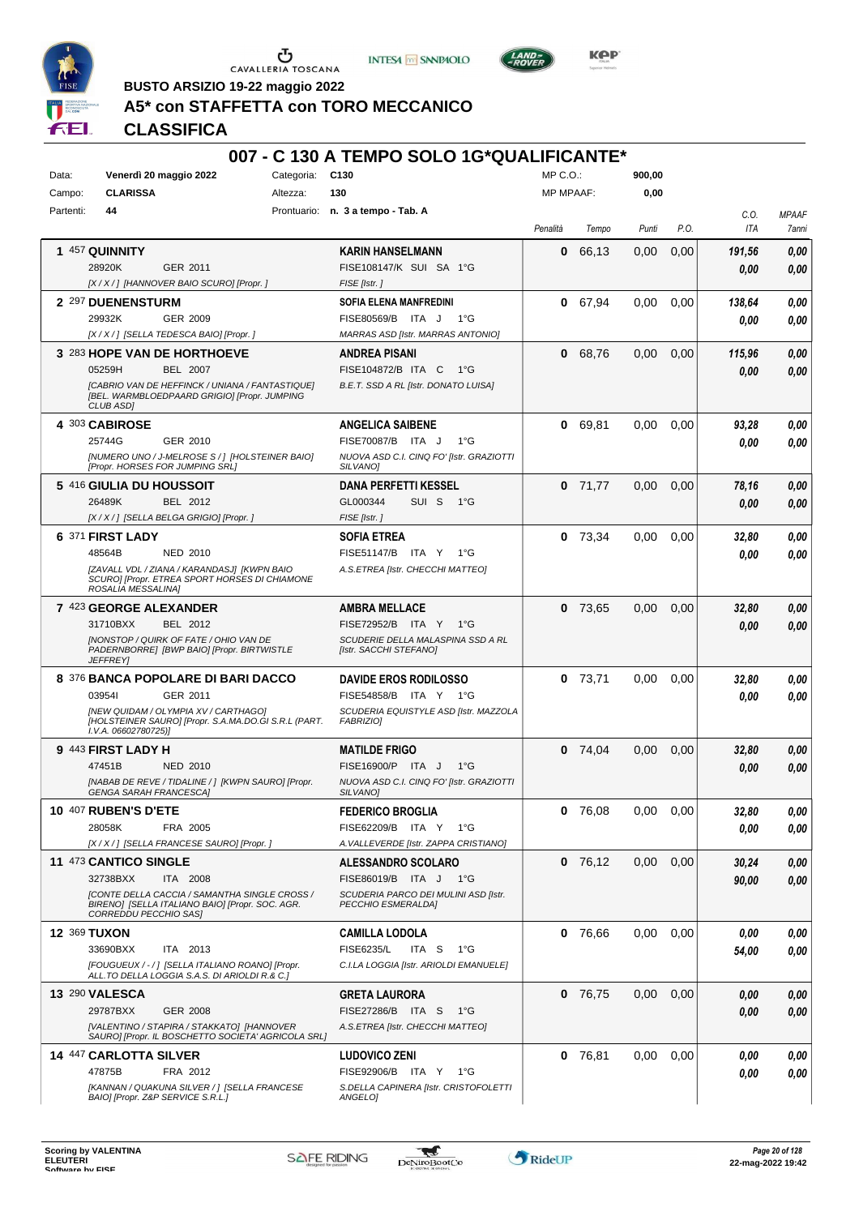





 $LAND =$ 

**BUSTO ARSIZIO 19-22 maggio 2022**

# **A5\* con STAFFETTA con TORO MECCANICO**

|           |                                                                                                                           |                 |            | 007 - C 130 A TEMPO SOLO 1G*QUALIFICANTE*                   |                  |           |        |      |        |              |
|-----------|---------------------------------------------------------------------------------------------------------------------------|-----------------|------------|-------------------------------------------------------------|------------------|-----------|--------|------|--------|--------------|
| Data:     | Venerdì 20 maggio 2022                                                                                                    |                 | Categoria: | C <sub>130</sub>                                            | MP C.O.:         |           | 900,00 |      |        |              |
| Campo:    | <b>CLARISSA</b>                                                                                                           |                 | Altezza:   | 130                                                         | <b>MP MPAAF:</b> |           | 0,00   |      |        |              |
| Partenti: | 44                                                                                                                        |                 |            | Prontuario: n. 3 a tempo - Tab. A                           |                  |           |        |      | C.O.   | <b>MPAAF</b> |
|           |                                                                                                                           |                 |            |                                                             | Penalità         | Tempo     | Punti  | P.O. | ITA    | 7anni        |
|           | 1 457 QUINNITY                                                                                                            |                 |            | <b>KARIN HANSELMANN</b>                                     | 0                | 66,13     | 0,00   | 0,00 | 191,56 | 0,00         |
|           | 28920K<br>GER 2011                                                                                                        |                 |            | FISE108147/K SUI SA 1°G                                     |                  |           |        |      | 0,00   | 0,00         |
|           | [X / X / ] [HANNOVER BAIO SCURO] [Propr. ]                                                                                |                 |            | FISE [Istr.]                                                |                  |           |        |      |        |              |
|           | 2 297 DUENENSTURM                                                                                                         |                 |            | <b>SOFIA ELENA MANFREDINI</b>                               | 0                | 67,94     | 0,00   | 0.00 | 138,64 | 0,00         |
|           | 29932K                                                                                                                    | GER 2009        |            | FISE80569/B ITA J<br>1°G                                    |                  |           |        |      | 0.00   | 0,00         |
|           | [X / X / ] [SELLA TEDESCA BAIO] [Propr. ]                                                                                 |                 |            | <b>MARRAS ASD [Istr. MARRAS ANTONIO]</b>                    |                  |           |        |      |        |              |
|           | 3 283 HOPE VAN DE HORTHOEVE                                                                                               |                 |            | <b>ANDREA PISANI</b>                                        | 0                | 68,76     | 0,00   | 0,00 | 115,96 | 0,00         |
|           | 05259H                                                                                                                    | <b>BEL 2007</b> |            | FISE104872/B ITA C 1°G                                      |                  |           |        |      | 0.00   | 0,00         |
|           | [CABRIO VAN DE HEFFINCK / UNIANA / FANTASTIQUE]<br>[BEL. WARMBLOEDPAARD GRIGIO] [Propr. JUMPING<br><b>CLUB ASDI</b>       |                 |            | B.E.T. SSD A RL [Istr. DONATO LUISA]                        |                  |           |        |      |        |              |
|           | 4 303 CABIROSE                                                                                                            |                 |            | <b>ANGELICA SAIBENE</b>                                     | 0                | 69,81     | 0,00   | 0.00 | 93,28  | 0,00         |
|           | 25744G                                                                                                                    | GER 2010        |            | FISE70087/B ITA J<br>1°G                                    |                  |           |        |      | 0,00   | 0,00         |
|           | [NUMERO UNO / J-MELROSE S / ] [HOLSTEINER BAIO]<br>[Propr. HORSES FOR JUMPING SRL]                                        |                 |            | NUOVA ASD C.I. CINQ FO' [Istr. GRAZIOTTI<br>SILVANO]        |                  |           |        |      |        |              |
|           | 5 416 GIULIA DU HOUSSOIT                                                                                                  |                 |            | DANA PERFETTI KESSEL                                        |                  | $0$ 71.77 | 0,00   | 0,00 | 78,16  | 0,00         |
|           | 26489K                                                                                                                    | BEL 2012        |            | GL000344<br>SUI S<br>1°G                                    |                  |           |        |      | 0.00   | 0,00         |
|           | [X / X / ] [SELLA BELGA GRIGIO] [Propr. ]                                                                                 |                 |            | FISE [Istr.]                                                |                  |           |        |      |        |              |
|           | 6 371 FIRST LADY                                                                                                          |                 |            | <b>SOFIA ETREA</b>                                          | 0                | 73.34     | 0,00   | 0,00 | 32,80  | 0,00         |
|           | 48564B                                                                                                                    | <b>NED 2010</b> |            | FISE51147/B ITA Y<br>$1^{\circ}G$                           |                  |           |        |      | 0,00   | 0,00         |
|           | [ZAVALL VDL / ZIANA / KARANDASJ] [KWPN BAIO<br>SCURO] [Propr. ETREA SPORT HORSES DI CHIAMONE<br>ROSALIA MESSALINA]        |                 |            | A.S.ETREA [Istr. CHECCHI MATTEO]                            |                  |           |        |      |        |              |
|           | 7 423 GEORGE ALEXANDER                                                                                                    |                 |            | <b>AMBRA MELLACE</b>                                        |                  | $0$ 73,65 | 0,00   | 0,00 | 32,80  | 0,00         |
|           | 31710BXX                                                                                                                  | BEL 2012        |            | FISE72952/B ITA Y<br>1°G                                    |                  |           |        |      | 0.00   | 0,00         |
|           | <b>INONSTOP / QUIRK OF FATE / OHIO VAN DE</b><br>PADERNBORRE] [BWP BAIO] [Propr. BIRTWISTLE<br><b>JEFFREY</b>             |                 |            | SCUDERIE DELLA MALASPINA SSD A RL<br>[Istr. SACCHI STEFANO] |                  |           |        |      |        |              |
|           | 8 376 BANCA POPOLARE DI BARI DACCO                                                                                        |                 |            | <b>DAVIDE EROS RODILOSSO</b>                                |                  | $0$ 73,71 | 0.00   | 0,00 | 32,80  | 0,00         |
|           | 039541<br>GER 2011                                                                                                        |                 |            | FISE54858/B ITA Y 1°G                                       |                  |           |        |      | 0.00   | 0.00         |
|           | <b>INEW QUIDAM / OLYMPIA XV / CARTHAGOI</b>                                                                               |                 |            | SCUDERIA EQUISTYLE ASD [Istr. MAZZOLA                       |                  |           |        |      |        |              |
|           | <b>IHOLSTEINER SAUROI [Propr. S.A.MA.DO.GI S.R.L (PART.</b><br>I.V.A. 06602780725)]                                       |                 |            | <b>FABRIZIOI</b>                                            |                  |           |        |      |        |              |
|           | 9 443 FIRST LADY H                                                                                                        |                 |            | <b>MATILDE FRIGO</b>                                        | 0                | 74,04     | 0,00   | 0,00 | 32,80  | 0,00         |
|           | 47451B                                                                                                                    | <b>NED 2010</b> |            | FISE16900/P ITA J<br>$1^{\circ}G$                           |                  |           |        |      | 0.00   | 0,00         |
|           | [NABAB DE REVE / TIDALINE / ] [KWPN SAURO] [Propr.<br><b>GENGA SARAH FRANCESCA]</b>                                       |                 |            | NUOVA ASD C.I. CINQ FO' [Istr. GRAZIOTTI<br>SILVANO]        |                  |           |        |      |        |              |
|           | 10 407 RUBEN'S D'ETE                                                                                                      |                 |            | <b>FEDERICO BROGLIA</b>                                     | 0                | 76,08     | 0,00   | 0,00 | 32,80  | 0,00         |
|           | 28058K                                                                                                                    | FRA 2005        |            | FISE62209/B ITA Y<br>1°G                                    |                  |           |        |      | 0,00   | 0,00         |
|           | [X / X / ] [SELLA FRANCESE SAURO] [Propr. ]                                                                               |                 |            | A. VALLEVERDE [Istr. ZAPPA CRISTIANO]                       |                  |           |        |      |        |              |
|           | 11 473 CANTICO SINGLE                                                                                                     |                 |            | <b>ALESSANDRO SCOLARO</b>                                   |                  | $0$ 76,12 | 0,00   | 0,00 | 30,24  | 0,00         |
|           | 32738BXX                                                                                                                  | ITA 2008        |            | FISE86019/B ITA J 1°G                                       |                  |           |        |      | 90,00  | 0,00         |
|           | [CONTE DELLA CACCIA / SAMANTHA SINGLE CROSS /<br>BIRENO] [SELLA ITALIANO BAIO] [Propr. SOC. AGR.<br>CORREDDU PECCHIO SAS] |                 |            | SCUDERIA PARCO DEI MULINI ASD [Istr.<br>PECCHIO ESMERALDA]  |                  |           |        |      |        |              |
|           | <b>12 369 TUXON</b>                                                                                                       |                 |            | <b>CAMILLA LODOLA</b>                                       |                  | 0 76,66   | 0,00   | 0,00 | 0,00   | 0,00         |
|           | 33690BXX                                                                                                                  | ITA 2013        |            | <b>FISE6235/L</b><br>ITA S<br>1°G                           |                  |           |        |      | 54,00  | 0,00         |
|           | [FOUGUEUX / - / ] [SELLA ITALIANO ROANO] [Propr.                                                                          |                 |            | C.I.LA LOGGIA [Istr. ARIOLDI EMANUELE]                      |                  |           |        |      |        |              |
|           | ALL.TO DELLA LOGGIA S.A.S. DI ARIOLDI R.& C.]                                                                             |                 |            |                                                             |                  |           |        |      |        |              |
|           | <b>13 290 VALESCA</b>                                                                                                     |                 |            | <b>GRETA LAURORA</b>                                        |                  | $0$ 76,75 | 0,00   | 0,00 | 0,00   | 0,00         |
|           | 29787BXX                                                                                                                  | <b>GER 2008</b> |            | FISE27286/B ITA S<br>— 1°G                                  |                  |           |        |      | 0,00   | 0,00         |
|           | [VALENTINO / STAPIRA / STAKKATO] [HANNOVER<br>SAURO] [Propr. IL BOSCHETTO SOCIETA' AGRICOLA SRL]                          |                 |            | A.S.ETREA [Istr. CHECCHI MATTEO]                            |                  |           |        |      |        |              |
|           | 14 447 CARLOTTA SILVER                                                                                                    |                 |            | <b>LUDOVICO ZENI</b>                                        |                  | 0 76,81   | 0,00   | 0,00 | 0.00   | 0,00         |
|           | 47875B                                                                                                                    | FRA 2012        |            | FISE92906/B ITA Y 1°G                                       |                  |           |        |      | 0,00   | 0,00         |
|           | [KANNAN / QUAKUNA SILVER / ] [SELLA FRANCESE                                                                              |                 |            | S.DELLA CAPINERA [Istr. CRISTOFOLETTI                       |                  |           |        |      |        |              |
|           | BAIO] [Propr. Z&P SERVICE S.R.L.]                                                                                         |                 |            | ANGELO]                                                     |                  |           |        |      |        |              |

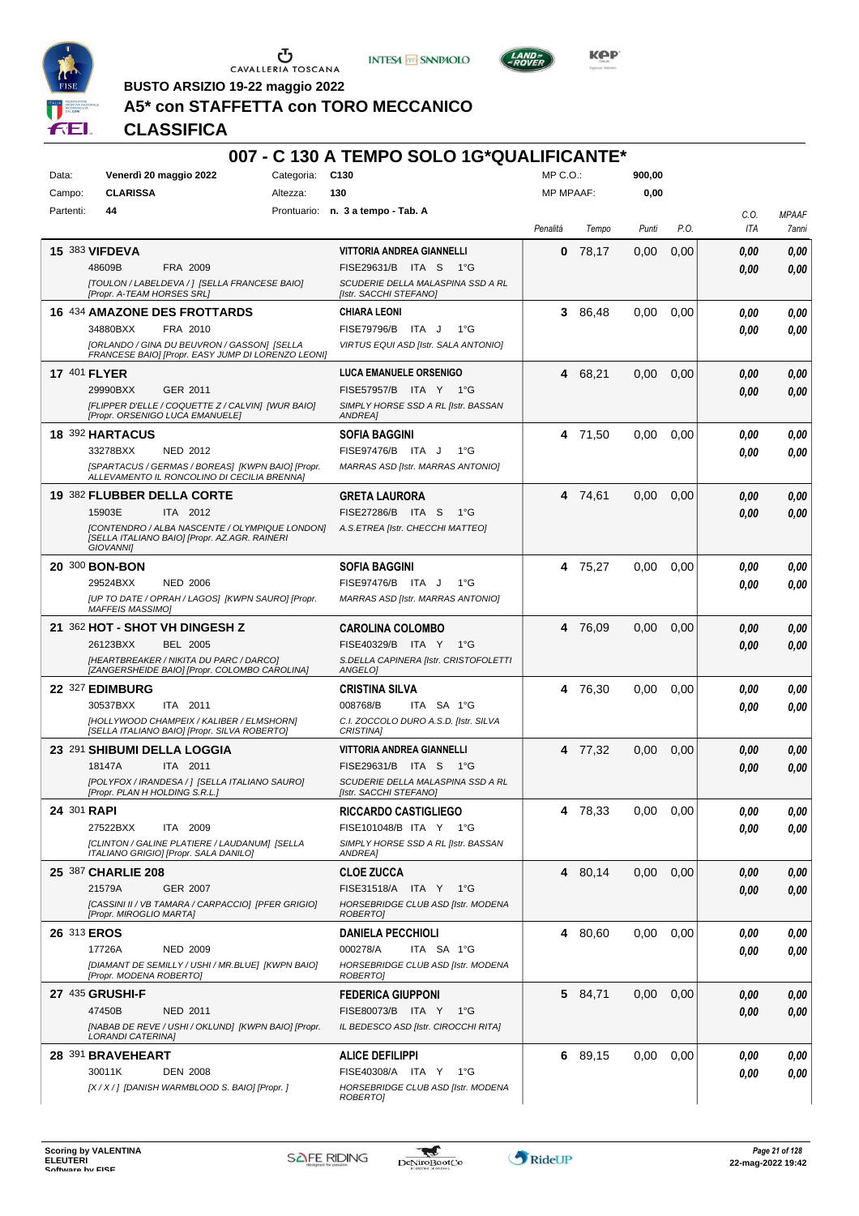





**Kep** 

**BUSTO ARSIZIO 19-22 maggio 2022**

# **A5\* con STAFFETTA con TORO MECCANICO**

|             |                                                                                                                     |                 | 007 - C 130 A TEMPO SOLO 1G*QUALIFICANTE*                   |                  |         |        |      |             |                       |
|-------------|---------------------------------------------------------------------------------------------------------------------|-----------------|-------------------------------------------------------------|------------------|---------|--------|------|-------------|-----------------------|
| Data:       | Venerdì 20 maggio 2022                                                                                              | Categoria: C130 |                                                             | MP C.O.:         |         | 900,00 |      |             |                       |
| Campo:      | <b>CLARISSA</b>                                                                                                     | Altezza:        | 130                                                         | <b>MP MPAAF:</b> |         | 0,00   |      |             |                       |
| Partenti:   | 44                                                                                                                  |                 | Prontuario: n. 3 a tempo - Tab. A                           | Penalità         | Tempo   | Punti  | P.O. | C.O.<br>ITA | <b>MPAAF</b><br>7anni |
|             | <b>15 383 VIFDEVA</b>                                                                                               |                 | VITTORIA ANDREA GIANNELLI                                   | 0                | 78,17   | 0,00   | 0,00 | 0.00        | 0,00                  |
|             | 48609B<br>FRA 2009                                                                                                  |                 | FISE29631/B ITA S 1°G                                       |                  |         |        |      | 0.00        | 0,00                  |
|             | [TOULON / LABELDEVA / ] [SELLA FRANCESE BAIO]<br>[Propr. A-TEAM HORSES SRL]                                         |                 | SCUDERIE DELLA MALASPINA SSD A RL<br>[Istr. SACCHI STEFANO] |                  |         |        |      |             |                       |
|             | <b>16 434 AMAZONE DES FROTTARDS</b>                                                                                 |                 | <b>CHIARA LEONI</b>                                         | 3                | 86,48   | 0.00   | 0,00 | 0.00        | 0,00                  |
|             | 34880BXX<br>FRA 2010                                                                                                |                 | FISE79796/B ITA J<br>$1^{\circ}G$                           |                  |         |        |      | 0.00        | 0.00                  |
|             | <b>[ORLANDO / GINA DU BEUVRON / GASSON] [SELLA</b><br>FRANCESE BAIO] [Propr. EASY JUMP DI LORENZO LEONI]            |                 | VIRTUS EQUI ASD [Istr. SALA ANTONIO]                        |                  |         |        |      |             |                       |
|             | <b>17 401 FLYER</b>                                                                                                 |                 | <b>LUCA EMANUELE ORSENIGO</b>                               | 4                | 68,21   | 0,00   | 0,00 | 0,00        | 0,00                  |
|             | 29990BXX<br>GER 2011                                                                                                |                 | FISE57957/B ITA Y 1°G                                       |                  |         |        |      | 0.00        | 0.00                  |
|             | [FLIPPER D'ELLE / COQUETTE Z / CALVIN] [WUR BAIO]<br>[Propr. ORSENIGO LUCA EMANUELE]                                |                 | SIMPLY HORSE SSD A RL [Istr. BASSAN<br><b>ANDREA1</b>       |                  |         |        |      |             |                       |
|             | 18 392 HARTACUS                                                                                                     |                 | <b>SOFIA BAGGINI</b>                                        |                  | 4 71,50 | 0,00   | 0,00 | 0.00        | 0,00                  |
|             | 33278BXX<br><b>NED 2012</b>                                                                                         |                 | FISE97476/B ITA J<br>$1^{\circ}G$                           |                  |         |        |      | 0.00        | 0,00                  |
|             | [SPARTACUS / GERMAS / BOREAS] [KWPN BAIO] [Propr.<br>ALLEVAMENTO IL RONCOLINO DI CECILIA BRENNA]                    |                 | MARRAS ASD [Istr. MARRAS ANTONIO]                           |                  |         |        |      |             |                       |
|             | 19 382 FLUBBER DELLA CORTE                                                                                          |                 | <b>GRETA LAURORA</b>                                        |                  | 4 74,61 | 0.00   | 0,00 | 0,00        | 0,00                  |
|             | 15903E<br>ITA 2012                                                                                                  |                 | FISE27286/B ITA S<br>1°G                                    |                  |         |        |      | 0.00        | 0,00                  |
|             | [CONTENDRO / ALBA NASCENTE / OLYMPIQUE LONDON]<br>[SELLA ITALIANO BAIO] [Propr. AZ.AGR. RAINERI<br><b>GIOVANNII</b> |                 | A.S.ETREA [Istr. CHECCHI MATTEO]                            |                  |         |        |      |             |                       |
|             | 20 300 BON-BON                                                                                                      |                 | <b>SOFIA BAGGINI</b>                                        |                  | 4 75,27 | 0,00   | 0,00 | 0.00        | 0,00                  |
|             | 29524BXX<br><b>NED 2006</b>                                                                                         |                 | FISE97476/B ITA J<br>$1^{\circ}G$                           |                  |         |        |      | 0.00        | 0.00                  |
|             | [UP TO DATE / OPRAH / LAGOS] [KWPN SAURO] [Propr.<br><b>MAFFEIS MASSIMO]</b>                                        |                 | MARRAS ASD [Istr. MARRAS ANTONIO]                           |                  |         |        |      |             |                       |
|             | 21 362 HOT - SHOT VH DINGESH Z                                                                                      |                 | <b>CAROLINA COLOMBO</b>                                     |                  | 4 76,09 | 0.00   | 0,00 | 0,00        | 0,00                  |
|             | 26123BXX<br><b>BEL 2005</b>                                                                                         |                 | FISE40329/B ITA Y<br>1°G                                    |                  |         |        |      | 0.00        | 0,00                  |
|             | [HEARTBREAKER / NIKITA DU PARC / DARCO]<br>[ZANGERSHEIDE BAIO] [Propr. COLOMBO CAROLINA]                            |                 | S.DELLA CAPINERA [Istr. CRISTOFOLETTI<br>ANGELO]            |                  |         |        |      |             |                       |
|             | 22 327 EDIMBURG                                                                                                     |                 | <b>CRISTINA SILVA</b>                                       |                  | 4 76,30 | 0.00   | 0,00 | 0.00        | 0,00                  |
|             | 30537BXX<br>ITA 2011                                                                                                |                 | 008768/B<br>ITA SA 1°G                                      |                  |         |        |      | 0.00        | 0.00                  |
|             | [HOLLYWOOD CHAMPEIX / KALIBER / ELMSHORN]<br>[SELLA ITALIANO BAIO] [Propr. SILVA ROBERTO]                           |                 | C.I. ZOCCOLO DURO A.S.D. [Istr. SILVA<br>CRISTINA]          |                  |         |        |      |             |                       |
|             | 23 291 SHIBUMI DELLA LOGGIA                                                                                         |                 | <b>VITTORIA ANDREA GIANNELLI</b>                            |                  | 4 77,32 | 0.00   | 0,00 | 0,00        | 0,00                  |
|             | 18147A<br>ITA 2011                                                                                                  |                 | FISE29631/B ITA S<br>1°G                                    |                  |         |        |      | 0.00        | 0,00                  |
|             | [POLYFOX / IRANDESA / ] [SELLA ITALIANO SAURO]<br>[Propr. PLAN H HOLDING S.R.L.]                                    |                 | SCUDERIE DELLA MALASPINA SSD A RL<br>[Istr. SACCHI STEFANO] |                  |         |        |      |             |                       |
| 24 301 RAPI |                                                                                                                     |                 | <b>RICCARDO CASTIGLIEGO</b>                                 |                  | 4 78,33 | 0,00   | 0.00 | 0.00        | 0,00                  |
|             | 27522BXX<br>ITA 2009                                                                                                |                 | FISE101048/B ITA Y 1°G                                      |                  |         |        |      | 0.00        | 0,00                  |
|             | <b>ICLINTON / GALINE PLATIERE / LAUDANUMI ISELLA</b><br>ITALIANO GRIGIO] [Propr. SALA DANILO]                       |                 | SIMPLY HORSE SSD A RL [Istr. BASSAN<br>ANDREA]              |                  |         |        |      |             |                       |
|             | 25 387 CHARLIE 208                                                                                                  |                 | <b>CLOE ZUCCA</b>                                           |                  | 4 80,14 | 0,00   | 0,00 | 0,00        | 0,00                  |
|             | 21579A<br>GER 2007                                                                                                  |                 | FISE31518/A ITA Y 1°G                                       |                  |         |        |      | 0.00        | 0,00                  |
|             | [CASSINI II / VB TAMARA / CARPACCIO] [PFER GRIGIO]<br>[Propr. MIROGLIO MARTA]                                       |                 | HORSEBRIDGE CLUB ASD [Istr. MODENA<br><b>ROBERTOI</b>       |                  |         |        |      |             |                       |
|             | 26 313 EROS                                                                                                         |                 | <b>DANIELA PECCHIOLI</b>                                    |                  | 4 80,60 | 0,00   | 0,00 | 0.00        | 0,00                  |
|             | 17726A<br><b>NED 2009</b>                                                                                           |                 | 000278/A<br>ITA SA 1°G                                      |                  |         |        |      | 0,00        | 0,00                  |
|             | [DIAMANT DE SEMILLY / USHI / MR.BLUE] [KWPN BAIO]<br>[Propr. MODENA ROBERTO]                                        |                 | HORSEBRIDGE CLUB ASD [Istr. MODENA<br>ROBERTO]              |                  |         |        |      |             |                       |
|             | 27 435 GRUSHI-F                                                                                                     |                 | <b>FEDERICA GIUPPONI</b>                                    |                  | 5 84,71 | 0,00   | 0,00 | 0,00        | 0,00                  |
|             | 47450B<br>NED 2011                                                                                                  |                 | FISE80073/B ITA Y 1°G                                       |                  |         |        |      | 0.00        | 0,00                  |
|             | [NABAB DE REVE / USHI / OKLUND] [KWPN BAIO] [Propr.<br><b>LORANDI CATERINA]</b>                                     |                 | IL BEDESCO ASD [Istr. CIROCCHI RITA]                        |                  |         |        |      |             |                       |
|             | 28 391 BRAVEHEART                                                                                                   |                 | <b>ALICE DEFILIPPI</b>                                      |                  | 6 89,15 | 0,00   | 0,00 | 0.00        | 0,00                  |
|             | 30011K<br><b>DEN 2008</b>                                                                                           |                 | FISE40308/A ITA Y 1°G                                       |                  |         |        |      | 0,00        | 0,00                  |
|             | [X / X / ] [DANISH WARMBLOOD S. BAIO] [Propr. ]                                                                     |                 | HORSEBRIDGE CLUB ASD [Istr. MODENA<br>ROBERTO]              |                  |         |        |      |             |                       |

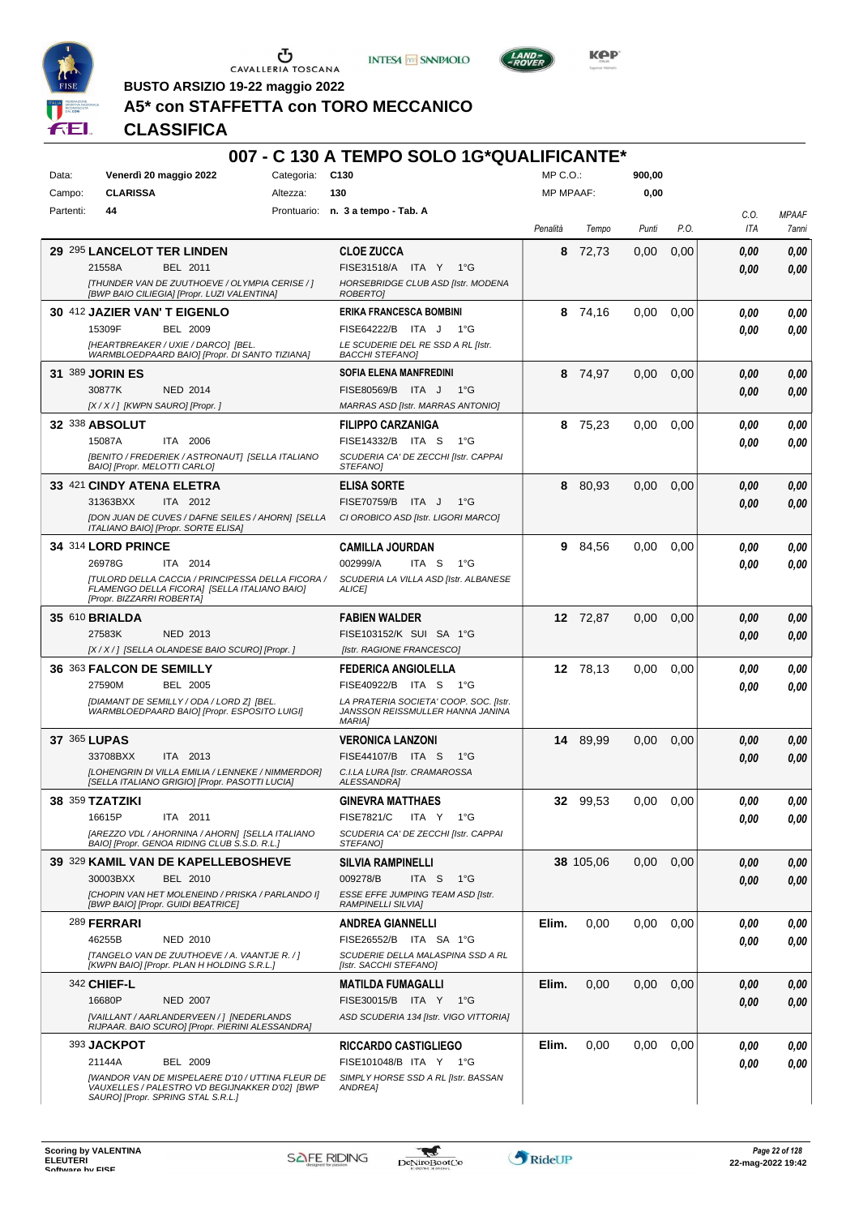





**Kep** 

**BUSTO ARSIZIO 19-22 maggio 2022**

# **A5\* con STAFFETTA con TORO MECCANICO**

|           |                                     |                                                                                                           |            | 007 - C 130 A TEMPO SOLO 1G*QUALIFICANTE*                          |                  |           |        |      |      |              |
|-----------|-------------------------------------|-----------------------------------------------------------------------------------------------------------|------------|--------------------------------------------------------------------|------------------|-----------|--------|------|------|--------------|
| Data:     | Venerdì 20 maggio 2022              |                                                                                                           | Categoria: | C <sub>130</sub>                                                   | MP C.O.:         |           | 900,00 |      |      |              |
| Campo:    | <b>CLARISSA</b>                     |                                                                                                           | Altezza:   | 130                                                                | <b>MP MPAAF:</b> |           | 0,00   |      |      |              |
| Partenti: | 44                                  |                                                                                                           |            | Prontuario: n. 3 a tempo - Tab. A                                  |                  |           |        |      | C.O. | <b>MPAAF</b> |
|           |                                     |                                                                                                           |            |                                                                    | Penalità         | Tempo     | Punti  | P.O. | ITA  | 7anni        |
|           | 29 295 LANCELOT TER LINDEN          |                                                                                                           |            | <b>CLOE ZUCCA</b>                                                  | 8                | 72.73     | 0,00   | 0,00 | 0,00 | 0,00         |
|           | 21558A                              | BEL 2011<br>[THUNDER VAN DE ZUUTHOEVE / OLYMPIA CERISE / ]                                                |            | FISE31518/A ITA Y<br>1°G<br>HORSEBRIDGE CLUB ASD [Istr. MODENA     |                  |           |        |      | 0.00 | 0,00         |
|           |                                     | [BWP BAIO CILIEGIA] [Propr. LUZI VALENTINA]                                                               |            | ROBERTO]                                                           |                  |           |        |      |      |              |
|           | 30 412 JAZIER VAN'T EIGENLO         |                                                                                                           |            | <b>ERIKA FRANCESCA BOMBINI</b>                                     | 8                | 74,16     | 0,00   | 0,00 | 0.00 | 0,00         |
|           | 15309F                              | <b>BEL 2009</b>                                                                                           |            | FISE64222/B ITA J<br>1°G                                           |                  |           |        |      | 0.00 | 0,00         |
|           | [HEARTBREAKER / UXIE / DARCO] [BEL. | WARMBLOEDPAARD BAIO] [Propr. DI SANTO TIZIANA]                                                            |            | LE SCUDERIE DEL RE SSD A RL [Istr.<br><b>BACCHI STEFANO]</b>       |                  |           |        |      |      |              |
|           | 31 389 JORIN ES                     |                                                                                                           |            | SOFIA ELENA MANFREDINI                                             | 8                | 74,97     | 0,00   | 0,00 | 0.00 | 0,00         |
|           | 30877K                              | <b>NED 2014</b>                                                                                           |            | FISE80569/B<br>ITA J<br>1°G                                        |                  |           |        |      | 0.00 | 0.00         |
|           | [X / X / ] [KWPN SAURO] [Propr. ]   |                                                                                                           |            | <b>MARRAS ASD [Istr. MARRAS ANTONIO]</b>                           |                  |           |        |      |      |              |
|           | <b>32 338 ABSOLUT</b>               |                                                                                                           |            | <b>FILIPPO CARZANIGA</b>                                           | 8                | 75,23     | 0.00   | 0,00 | 0,00 | 0,00         |
|           | 15087A                              | ITA 2006                                                                                                  |            | FISE14332/B ITA S<br>1°G                                           |                  |           |        |      | 0.00 | 0,00         |
|           | BAIO] [Propr. MELOTTI CARLO]        | [BENITO / FREDERIEK / ASTRONAUT] [SELLA ITALIANO                                                          |            | SCUDERIA CA' DE ZECCHI [Istr. CAPPAI<br>STEFANOI                   |                  |           |        |      |      |              |
|           | 33 421 CINDY ATENA ELETRA           |                                                                                                           |            | <b>ELISA SORTE</b>                                                 | 8                | 80,93     | 0,00   | 0,00 | 0,00 | 0,00         |
|           | 31363BXX                            | ITA 2012                                                                                                  |            | FISE70759/B ITA J<br>1°G                                           |                  |           |        |      | 0.00 | 0,00         |
|           | ITALIANO BAIO] [Propr. SORTE ELISA] | [DON JUAN DE CUVES / DAFNE SEILES / AHORN] [SELLA                                                         |            | CI OROBICO ASD [Istr. LIGORI MARCO]                                |                  |           |        |      |      |              |
|           | 34 314 LORD PRINCE                  |                                                                                                           |            | <b>CAMILLA JOURDAN</b>                                             | 9.               | 84,56     | 0,00   | 0,00 | 0.00 | 0,00         |
|           | 26978G                              | ITA 2014                                                                                                  |            | 002999/A<br>ITA S<br>$1^{\circ}G$                                  |                  |           |        |      | 0.00 | 0.00         |
|           |                                     | [TULORD DELLA CACCIA / PRINCIPESSA DELLA FICORA /                                                         |            | SCUDERIA LA VILLA ASD [Istr. ALBANESE                              |                  |           |        |      |      |              |
|           | [Propr. BIZZARRI ROBERTA]           | FLAMENGO DELLA FICORA] [SELLA ITALIANO BAIO]                                                              |            | ALICE]                                                             |                  |           |        |      |      |              |
|           | 35 610 BRIALDA                      |                                                                                                           |            | <b>FABIEN WALDER</b>                                               |                  | 12 72,87  | 0,00   | 0,00 | 0.00 | 0,00         |
|           | 27583K                              | NED 2013                                                                                                  |            | FISE103152/K SUI SA 1°G                                            |                  |           |        |      | 0,00 | 0,00         |
|           |                                     | [X / X / ] [SELLA OLANDESE BAIO SCURO] [Propr. ]                                                          |            | [Istr. RAGIONE FRANCESCO]                                          |                  |           |        |      |      |              |
|           | 36 363 FALCON DE SEMILLY            |                                                                                                           |            | <b>FEDERICA ANGIOLELLA</b>                                         |                  | 12 78,13  | 0,00   | 0,00 | 0.00 | 0,00         |
|           | 27590M                              | BEL 2005<br>[DIAMANT DE SEMILLY / ODA / LORD Z] [BEL.                                                     |            | FISE40922/B ITA S<br>1°G<br>LA PRATERIA SOCIETA' COOP. SOC. [Istr. |                  |           |        |      | 0.00 | 0.00         |
|           |                                     | WARMBLOEDPAARD BAIO] [Propr. ESPOSITO LUIGI]                                                              |            | JANSSON REISSMULLER HANNA JANINA<br><b>MARIA1</b>                  |                  |           |        |      |      |              |
|           | 37 365 LUPAS                        |                                                                                                           |            | <b>VERONICA LANZONI</b>                                            |                  | 14 89,99  | 0,00   | 0,00 | 0,00 | 0,00         |
|           | 33708BXX                            | ITA 2013                                                                                                  |            | FISE44107/B ITA S<br>$1^{\circ}G$                                  |                  |           |        |      | 0,00 | 0.00         |
|           |                                     | [LOHENGRIN DI VILLA EMILIA / LENNEKE / NIMMERDOR]<br>[SELLA ITALIANO GRIGIO] [Propr. PASOTTI LUCIA]       |            | C.I.LA LURA [Istr. CRAMAROSSA<br><b>ALESSANDRA1</b>                |                  |           |        |      |      |              |
|           | 38 359 TZATZIKI                     |                                                                                                           |            | <b>GINEVRA MATTHAES</b>                                            |                  | 32 99,53  | 0,00   | 0,00 | 0,00 | 0,00         |
|           | 16615P                              | ITA 2011                                                                                                  |            | <b>FISE7821/C</b><br>ITA Y<br>1°G                                  |                  |           |        |      | 0.00 | 0,00         |
|           |                                     | [AREZZO VDL / AHORNINA / AHORN] [SELLA ITALIANO                                                           |            | SCUDERIA CA' DE ZECCHI [Istr. CAPPAI                               |                  |           |        |      |      |              |
|           |                                     | BAIO] [Propr. GENOA RIDING CLUB S.S.D. R.L.]<br>39 329 KAMIL VAN DE KAPELLEBOSHEVE                        |            | STEFANO]                                                           |                  |           | 0,00   |      |      |              |
|           | 30003BXX                            | BEL 2010                                                                                                  |            | <b>SILVIA RAMPINELLI</b><br>ITA <sub>S</sub><br>009278/B<br>1°G    |                  | 38 105,06 |        | 0,00 | 0,00 | 0,00         |
|           |                                     | [CHOPIN VAN HET MOLENEIND / PRISKA / PARLANDO I]                                                          |            | ESSE EFFE JUMPING TEAM ASD [Istr.                                  |                  |           |        |      | 0.00 | 0,00         |
|           | [BWP BAIO] [Propr. GUIDI BEATRICE]  |                                                                                                           |            | <b>RAMPINELLI SILVIAI</b>                                          |                  |           |        |      |      |              |
|           | 289 FERRARI                         |                                                                                                           |            | <b>ANDREA GIANNELLI</b>                                            | Elim.            | 0,00      | 0,00   | 0,00 | 0.00 | 0,00         |
|           | 46255B                              | NED 2010<br>[TANGELO VAN DE ZUUTHOEVE / A. VAANTJE R. / ]                                                 |            | FISE26552/B ITA SA 1°G<br>SCUDERIE DELLA MALASPINA SSD A RL        |                  |           |        |      | 0.00 | 0,00         |
|           |                                     | [KWPN BAIO] [Propr. PLAN H HOLDING S.R.L.]                                                                |            | [Istr. SACCHI STEFANO]                                             |                  |           |        |      |      |              |
|           | 342 CHIEF-L                         |                                                                                                           |            | <b>MATILDA FUMAGALLI</b>                                           | Elim.            | 0,00      | 0,00   | 0,00 | 0.00 | 0,00         |
|           | 16680P                              | <b>NED 2007</b>                                                                                           |            | FISE30015/B ITA Y 1°G                                              |                  |           |        |      | 0.00 | 0.00         |
|           |                                     | [VAILLANT / AARLANDERVEEN / ] [NEDERLANDS<br>RIJPAAR. BAIO SCURO] [Propr. PIERINI ALESSANDRA]             |            | ASD SCUDERIA 134 [Istr. VIGO VITTORIA]                             |                  |           |        |      |      |              |
|           | 393 JACKPOT                         |                                                                                                           |            | <b>RICCARDO CASTIGLIEGO</b>                                        | Elim.            | 0,00      | 0,00   | 0.00 | 0.00 | 0,00         |
|           | 21144A                              | BEL 2009                                                                                                  |            | FISE101048/B ITA Y 1°G                                             |                  |           |        |      | 0.00 | 0,00         |
|           |                                     | <b>[WANDOR VAN DE MISPELAERE D'10 / UTTINA FLEUR DE</b><br>VAUXELLES / PALESTRO VD BEGIJNAKKER D'02] [BWP |            | SIMPLY HORSE SSD A RL [Istr. BASSAN<br>ANDREA]                     |                  |           |        |      |      |              |
|           | SAURO] [Propr. SPRING STAL S.R.L.]  |                                                                                                           |            |                                                                    |                  |           |        |      |      |              |

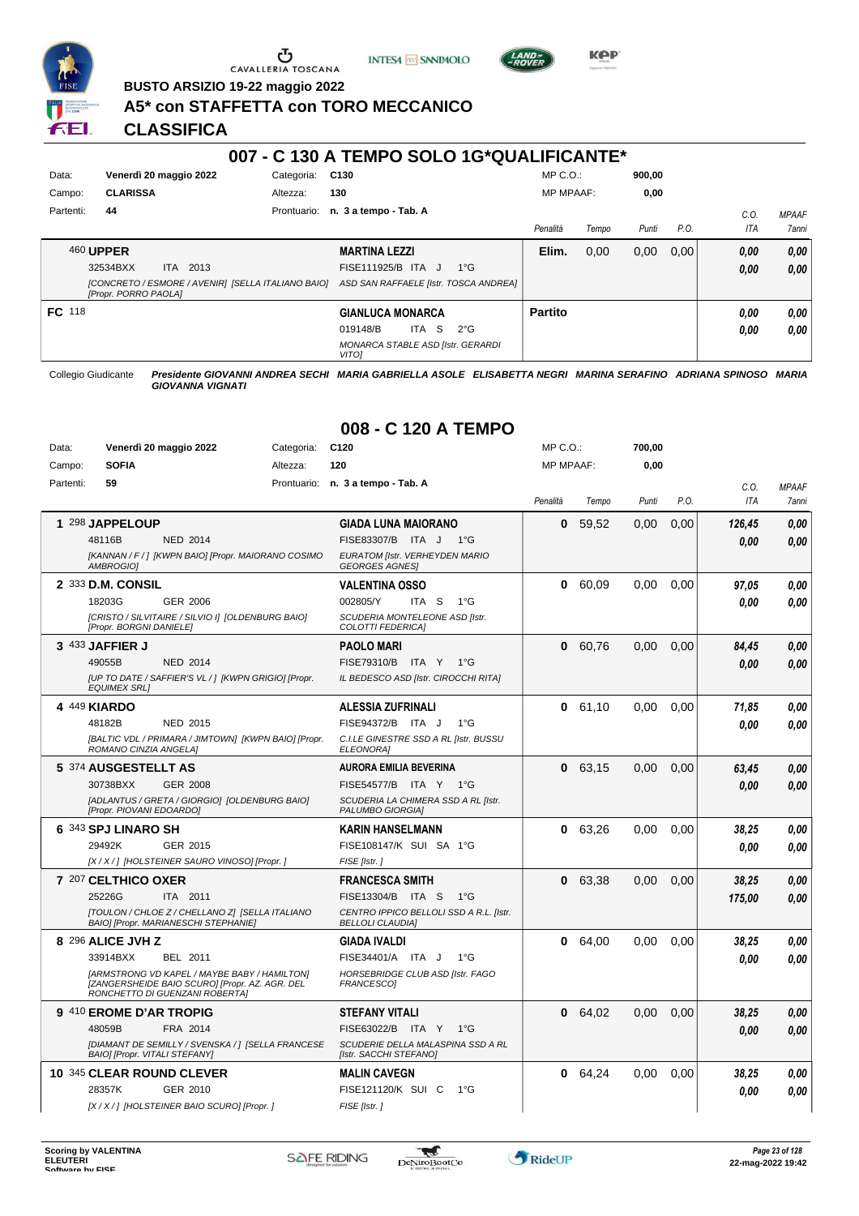

# $\sigma$  cavalleria toscana





**Kep** 

**BUSTO ARSIZIO 19-22 maggio 2022**

## **A5\* con STAFFETTA con TORO MECCANICO**

**CLASSIFICA**

|           |                                                                                   |             | 007 - C 130 A TEMPO SOLO 1G*QUALIFICANTE*                |               |                  |       |        |      |            |              |
|-----------|-----------------------------------------------------------------------------------|-------------|----------------------------------------------------------|---------------|------------------|-------|--------|------|------------|--------------|
| Data:     | Venerdì 20 maggio 2022                                                            | Categoria:  | C <sub>130</sub>                                         |               | $MP C. O.$ :     |       | 900.00 |      |            |              |
| Campo:    | <b>CLARISSA</b>                                                                   | Altezza:    | 130                                                      |               | <b>MP MPAAF:</b> |       | 0,00   |      |            |              |
| Partenti: | 44                                                                                | Prontuario: | n. 3 a tempo - Tab. A                                    |               |                  |       |        |      | C.0.       | <b>MPAAF</b> |
|           |                                                                                   |             |                                                          |               | Penalità         | Tempo | Punti  | P.O. | <b>ITA</b> | <b>7anni</b> |
|           | <b>460 UPPER</b>                                                                  |             | <b>MARTINA LEZZI</b>                                     |               | Elim.            | 0,00  | 0,00   | 0,00 | 0,00       | 0,00         |
|           | ITA 2013<br>32534BXX                                                              |             | FISE111925/B ITA J                                       | $1^{\circ}$ G |                  |       |        |      | 0,00       | 0,00         |
|           | [CONCRETO / ESMORE / AVENIR] [SELLA ITALIANO BAIO]<br><b>IPropr. PORRO PAOLAI</b> |             | ASD SAN RAFFAELE [Istr. TOSCA ANDREA]                    |               |                  |       |        |      |            |              |
| FC 118    |                                                                                   |             | <b>GIANLUCA MONARCA</b>                                  |               | <b>Partito</b>   |       |        |      | 0.00       | 0,00         |
|           |                                                                                   |             | S.<br>019148/B<br>ITA I                                  | $2^{\circ}G$  |                  |       |        |      | 0.00       | 0,00         |
|           |                                                                                   |             | <b>MONARCA STABLE ASD [Istr. GERARDI</b><br><b>VITOI</b> |               |                  |       |        |      |            |              |

Collegio Giudicante *Presidente GIOVANNI ANDREA SECHI MARIA GABRIELLA ASOLE ELISABETTA NEGRI MARINA SERAFINO ADRIANA SPINOSO MARIA GIOVANNA VIGNATI*

| Data:<br>Campo: | Venerdì 20 maggio 2022<br><b>SOFIA</b>                                                                                                                                        | Categoria:<br>Altezza:                               | C <sub>120</sub><br>120                                                                                                           | MP C.O.:<br><b>MP MPAAF:</b> |         | 700,00<br>0,00 |      |                    |                       |
|-----------------|-------------------------------------------------------------------------------------------------------------------------------------------------------------------------------|------------------------------------------------------|-----------------------------------------------------------------------------------------------------------------------------------|------------------------------|---------|----------------|------|--------------------|-----------------------|
| Partenti:       | 59                                                                                                                                                                            |                                                      | Prontuario: n. 3 a tempo - Tab. A                                                                                                 | Penalità                     | Tempo   | Punti          | P.O. | C.O.<br><b>ITA</b> | <b>MPAAF</b><br>7anni |
|                 | 1 298 JAPPELOUP<br>48116B<br><b>NED 2014</b><br>AMBROGIO]                                                                                                                     | [KANNAN / F / ] [KWPN BAIO] [Propr. MAIORANO COSIMO  | <b>GIADA LUNA MAIORANO</b><br>FISE83307/B ITA J 1°G<br>EURATOM [Istr. VERHEYDEN MARIO<br><b>GEORGES AGNES!</b>                    | 0                            | 59,52   | 0,00           | 0,00 | 126,45<br>0.00     | 0.00<br>0.00          |
|                 | 2 333 D.M. CONSIL<br>18203G<br>GER 2006<br>[CRISTO / SILVITAIRE / SILVIO I] [OLDENBURG BAIO]<br>[Propr. BORGNI DANIELE]                                                       |                                                      | <b>VALENTINA OSSO</b><br>002805/Y<br>ITA <sub>S</sub><br>$1^{\circ}G$<br>SCUDERIA MONTELEONE ASD [Istr.<br>COLOTTI FEDERICA]      | 0                            | 60,09   | 0,00           | 0,00 | 97.05<br>0.00      | 0.00<br>0.00          |
|                 | 3 433 JAFFIER J<br>49055B<br><b>NED 2014</b><br><b>EQUIMEX SRLI</b>                                                                                                           | [UP TO DATE / SAFFIER'S VL / ] [KWPN GRIGIO] [Propr. | <b>PAOLO MARI</b><br>FISE79310/B ITA Y<br>1°G<br>IL BEDESCO ASD [Istr. CIROCCHI RITA]                                             | $\bf{0}$                     | 60,76   | 0,00           | 0,00 | 84,45<br>0.00      | 0,00<br>0,00          |
|                 | 4 449 KIARDO<br>48182B<br><b>NED 2015</b><br>ROMANO CINZIA ANGELA]                                                                                                            | [BALTIC VDL / PRIMARA / JIMTOWN] [KWPN BAIO] [Propr. | <b>ALESSIA ZUFRINALI</b><br>FISE94372/B ITA J<br>$1^{\circ}G$<br>C.I.LE GINESTRE SSD A RL [Istr. BUSSU<br>ELEONORA]               |                              | 0 61,10 | 0,00           | 0,00 | 71,85<br>0.00      | 0,00<br>0.00          |
|                 | 5 374 AUSGESTELLT AS<br>30738BXX<br><b>GER 2008</b><br>[ADLANTUS / GRETA / GIORGIO] [OLDENBURG BAIO]<br>[Propr. PIOVANI EDOARDO]                                              |                                                      | <b>AURORA EMILIA BEVERINA</b><br>FISE54577/B ITA Y 1°G<br>SCUDERIA LA CHIMERA SSD A RL [Istr.<br>PALUMBO GIORGIA]                 | 0                            | 63.15   | 0.00           | 0.00 | 63,45<br>0.00      | 0.00<br>0.00          |
|                 | 6 343 SPJ LINARO SH<br>29492K<br>GER 2015<br>[X / X / ] [HOLSTEINER SAURO VINOSO] [Propr. ]                                                                                   |                                                      | <b>KARIN HANSELMANN</b><br>FISE108147/K SUI SA 1°G<br>FISE [Istr.]                                                                | 0                            | 63,26   | 0,00           | 0,00 | 38,25<br>0.00      | 0.00<br>0.00          |
|                 | 7 207 CELTHICO OXER<br>25226G<br>ITA 2011<br>[TOULON / CHLOE Z / CHELLANO Z] [SELLA ITALIANO<br>BAIO] [Propr. MARIANESCHI STEPHANIE]                                          |                                                      | <b>FRANCESCA SMITH</b><br>FISE13304/B ITA S<br>$1^{\circ}G$<br>CENTRO IPPICO BELLOLI SSD A R.L. [Istr.<br><b>BELLOLI CLAUDIA]</b> | 0                            | 63.38   | 0.00           | 0.00 | 38,25<br>175,00    | 0.00<br>0.00          |
|                 | 8 296 ALICE JVH Z<br>33914BXX<br>BEL 2011<br>[ARMSTRONG VD KAPEL / MAYBE BABY / HAMILTON]<br>[ZANGERSHEIDE BAIO SCURO] [Propr. AZ. AGR. DEL<br>RONCHETTO DI GUENZANI ROBERTA] |                                                      | <b>GIADA IVALDI</b><br>FISE34401/A ITA J<br>$1^{\circ}G$<br>HORSEBRIDGE CLUB ASD [Istr. FAGO<br>FRANCESCO1                        | 0                            | 64.00   | 0.00           | 0.00 | 38,25<br>0.00      | 0.00<br>0.00          |
|                 | 9 410 EROME D'AR TROPIG<br>48059B<br>FRA 2014<br><b>BAIO] [Propr. VITALI STEFANY]</b>                                                                                         | [DIAMANT DE SEMILLY / SVENSKA / 1 [SELLA FRANCESE    | <b>STEFANY VITALI</b><br>FISE63022/B ITA Y 1°G<br>SCUDERIE DELLA MALASPINA SSD A RL<br>[Istr. SACCHI STEFANO]                     | $\mathbf{0}$                 | 64,02   | 0,00           | 0,00 | 38,25<br>0.00      | 0,00<br>0.00          |
|                 | 10 345 CLEAR ROUND CLEVER<br>28357K<br>GER 2010<br>[X / X / ] [HOLSTEINER BAIO SCURO] [Propr. ]                                                                               |                                                      | <b>MALIN CAVEGN</b><br>FISE121120/K SUI C<br>$1^{\circ}G$<br>FISE [Istr.]                                                         | 0                            | 64,24   | 0,00           | 0,00 | 38,25<br>0.00      | 0,00<br>0.00          |

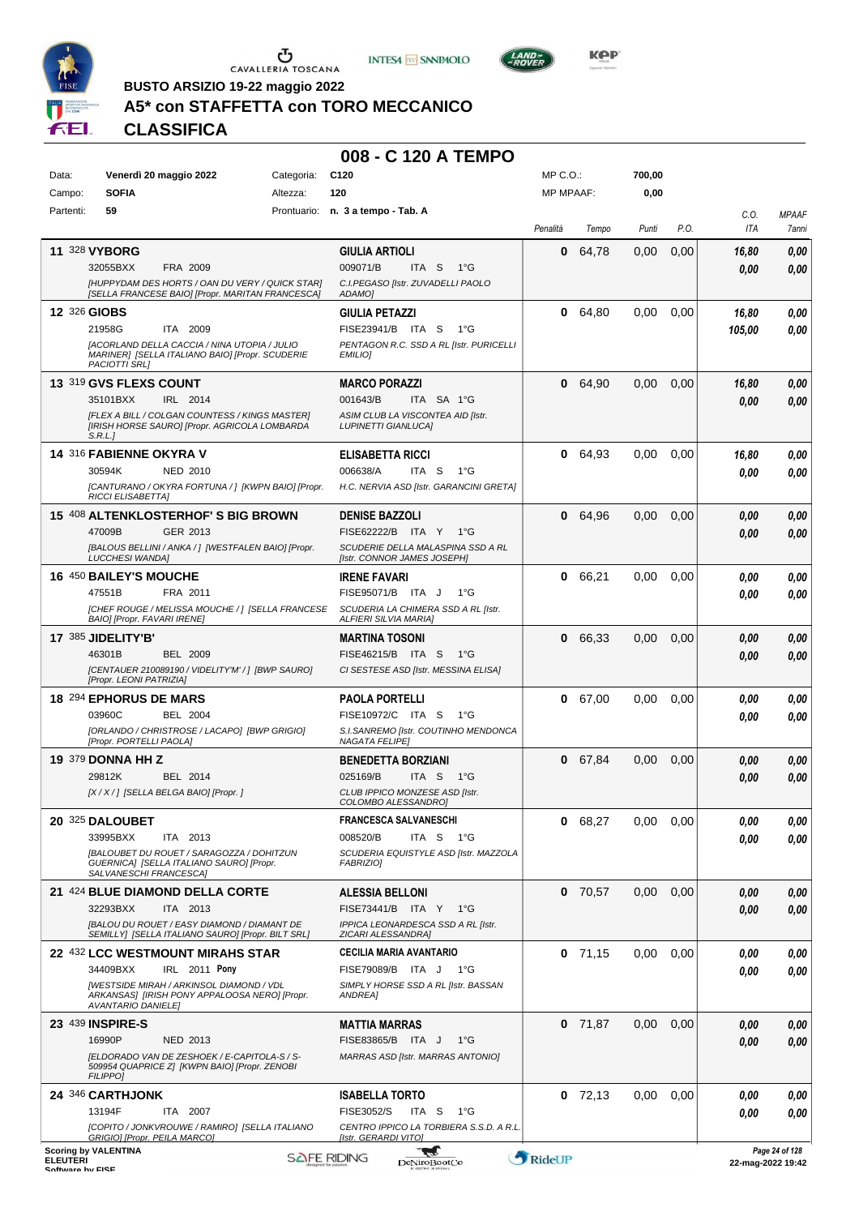

 $\sigma$  cavalleria toscana





**KOP** 

**BUSTO ARSIZIO 19-22 maggio 2022**

# **A5\* con STAFFETTA con TORO MECCANICO**

**CLASSIFICA**

| Data:                               | Venerdì 20 maggio 2022                                                                                                  | Categoria:         | C120                                                             | MP C.O.:         |           | 700,00 |      |                   |                       |
|-------------------------------------|-------------------------------------------------------------------------------------------------------------------------|--------------------|------------------------------------------------------------------|------------------|-----------|--------|------|-------------------|-----------------------|
| Campo:                              | <b>SOFIA</b>                                                                                                            | Altezza:           | 120                                                              | <b>MP MPAAF:</b> |           | 0,00   |      |                   |                       |
| Partenti:                           | 59                                                                                                                      |                    | Prontuario: n. 3 a tempo - Tab. A                                | Penalità         | Tempo     | Punti  | P.O. | C.0.<br>ITA       | <b>MPAAF</b><br>7anni |
|                                     | 11 328 VYBORG                                                                                                           |                    | <b>GIULIA ARTIOLI</b>                                            | 0                | 64,78     | 0,00   | 0,00 | 16,80             | 0,00                  |
|                                     | 32055BXX<br>FRA 2009                                                                                                    |                    | 009071/B<br>$1^{\circ}G$<br>ITA S                                |                  |           |        |      | 0.00              | 0,00                  |
|                                     | [HUPPYDAM DES HORTS / OAN DU VERY / QUICK STAR]<br>[SELLA FRANCESE BAIO] [Propr. MARITAN FRANCESCA]                     |                    | C.I.PEGASO [Istr. ZUVADELLI PAOLO<br>ADAMO]                      |                  |           |        |      |                   |                       |
|                                     | 12 326 GIOBS                                                                                                            |                    | <b>GIULIA PETAZZI</b>                                            | 0                | 64,80     | 0,00   | 0,00 | 16,80             | 0,00                  |
|                                     | 21958G<br>ITA 2009                                                                                                      |                    | FISE23941/B ITA S<br>1°G                                         |                  |           |        |      | 105,00            | 0,00                  |
|                                     | <b>[ACORLAND DELLA CACCIA / NINA UTOPIA / JULIO</b><br>MARINER] [SELLA ITALIANO BAIO] [Propr. SCUDERIE<br>PACIOTTI SRL] |                    | PENTAGON R.C. SSD A RL [Istr. PURICELLI<br>EMILIO]               |                  |           |        |      |                   |                       |
|                                     | 13 319 GVS FLEXS COUNT                                                                                                  |                    | <b>MARCO PORAZZI</b>                                             | 0                | 64,90     | 0,00   | 0,00 | 16,80             | 0,00                  |
|                                     | 35101BXX<br>IRL 2014                                                                                                    |                    | 001643/B<br>ITA SA 1°G                                           |                  |           |        |      | 0.00              | 0,00                  |
|                                     | [FLEX A BILL / COLGAN COUNTESS / KINGS MASTER]<br>[IRISH HORSE SAURO] [Propr. AGRICOLA LOMBARDA<br>S.R.L.               |                    | ASIM CLUB LA VISCONTEA AID [Istr.<br><b>LUPINETTI GIANLUCA]</b>  |                  |           |        |      |                   |                       |
|                                     | 14 316 FABIENNE OKYRA V                                                                                                 |                    | <b>ELISABETTA RICCI</b>                                          | 0                | 64,93     | 0.00   | 0,00 | 16,80             | 0,00                  |
|                                     | 30594K<br><b>NED 2010</b>                                                                                               |                    | 006638/A<br>ITA S<br>$1^{\circ}G$                                |                  |           |        |      | 0.00              | 0,00                  |
|                                     | [CANTURANO / OKYRA FORTUNA / ] [KWPN BAIO] [Propr.<br><b>RICCI ELISABETTA]</b>                                          |                    | H.C. NERVIA ASD [Istr. GARANCINI GRETA]                          |                  |           |        |      |                   |                       |
|                                     | 15 408 ALTENKLOSTERHOF'S BIG BROWN                                                                                      |                    | <b>DENISE BAZZOLI</b>                                            | 0                | 64,96     | 0,00   | 0,00 | 0,00              | 0,00                  |
|                                     | GER 2013<br>47009B                                                                                                      |                    | FISE62222/B ITA Y<br>1°G                                         |                  |           |        |      | 0,00              | 0,00                  |
|                                     | [BALOUS BELLINI / ANKA / ] [WESTFALEN BAIO] [Propr.<br><b>LUCCHESI WANDA]</b>                                           |                    | SCUDERIE DELLA MALASPINA SSD A RL<br>[Istr. CONNOR JAMES JOSEPH] |                  |           |        |      |                   |                       |
|                                     | <b>16 450 BAILEY'S MOUCHE</b>                                                                                           |                    | <b>IRENE FAVARI</b>                                              | 0                | 66,21     | 0.00   | 0,00 | 0.00              | 0,00                  |
|                                     | 47551B<br>FRA 2011                                                                                                      |                    | FISE95071/B ITA J<br>$1^{\circ}G$                                |                  |           |        |      | 0.00              | 0,00                  |
|                                     | [CHEF ROUGE / MELISSA MOUCHE / ] [SELLA FRANCESE<br>BAIO] [Propr. FAVARI IRENE]                                         |                    | SCUDERIA LA CHIMERA SSD A RL [Istr.<br>ALFIERI SILVIA MARIA]     |                  |           |        |      |                   |                       |
|                                     | 17 385 JIDELITY'B'                                                                                                      |                    | <b>MARTINA TOSONI</b>                                            | 0                | 66,33     | 0,00   | 0,00 | 0,00              | 0,00                  |
|                                     | 46301B<br><b>BEL 2009</b>                                                                                               |                    | FISE46215/B ITA S<br>1°G                                         |                  |           |        |      | 0,00              | 0,00                  |
|                                     | [CENTAUER 210089190 / VIDELITY'M' / ] [BWP SAURO]<br>[Propr. LEONI PATRIZIA]                                            |                    | CI SESTESE ASD [Istr. MESSINA ELISA]                             |                  |           |        |      |                   |                       |
|                                     | 18 294 EPHORUS DE MARS                                                                                                  |                    | <b>PAOLA PORTELLI</b>                                            | 0                | 67,00     | 0.00   | 0,00 | 0.00              | 0,00                  |
|                                     | 03960C<br><b>BEL 2004</b>                                                                                               |                    | FISE10972/C ITA S<br>− 1°G                                       |                  |           |        |      | 0.00              | 0.00                  |
|                                     | [ORLANDO / CHRISTROSE / LACAPO] [BWP GRIGIO]<br>[Propr. PORTELLI PAOLA]                                                 |                    | S.I.SANREMO [Istr. COUTINHO MENDONCA<br><b>NAGATA FELIPE)</b>    |                  |           |        |      |                   |                       |
|                                     | <b>19 379 DONNA HH Z</b>                                                                                                |                    | <b>BENEDETTA BORZIANI</b>                                        | 0                | 67,84     | 0,00   | 0,00 | 0,00              | 0,00                  |
|                                     | 29812K<br>BEL 2014                                                                                                      |                    | 025169/B<br>ITA S<br>1°G                                         |                  |           |        |      | 0.00              | 0,00                  |
|                                     | [X / X / ] [SELLA BELGA BAIO] [Propr. ]                                                                                 |                    | CLUB IPPICO MONZESE ASD [Istr.<br>COLOMBO ALESSANDRO]            |                  |           |        |      |                   |                       |
|                                     | 20 325 DALOUBET                                                                                                         |                    | FRANCESCA SALVANESCHI                                            | 0                | 68,27     | 0,00   | 0,00 | 0,00              | 0,00                  |
|                                     | 33995BXX<br>ITA 2013                                                                                                    |                    | 008520/B<br>ITA S<br>1°G                                         |                  |           |        |      | 0.00              | 0.00                  |
|                                     | <b>IBALOUBET DU ROUET / SARAGOZZA / DOHITZUN</b><br>GUERNICA] [SELLA ITALIANO SAURO] [Propr.                            |                    | SCUDERIA EQUISTYLE ASD [Istr. MAZZOLA<br><b>FABRIZIO]</b>        |                  |           |        |      |                   |                       |
|                                     | SALVANESCHI FRANCESCAJ                                                                                                  |                    |                                                                  |                  |           |        |      |                   |                       |
|                                     | 21 424 BLUE DIAMOND DELLA CORTE<br>ITA 2013                                                                             |                    | <b>ALESSIA BELLONI</b><br>FISE73441/B ITA Y 1°G                  |                  | $0$ 70,57 | 0,00   | 0,00 | 0,00              | 0,00                  |
|                                     | 32293BXX<br>[BALOU DU ROUET / EASY DIAMOND / DIAMANT DE                                                                 |                    | IPPICA LEONARDESCA SSD A RL [Istr.                               |                  |           |        |      | 0,00              | 0,00                  |
|                                     | SEMILLY] [SELLA ITALIANO SAURO] [Propr. BILT SRL]                                                                       |                    | ZICARI ALESSANDRA]                                               |                  |           |        |      |                   |                       |
|                                     | 22 432 LCC WESTMOUNT MIRAHS STAR                                                                                        |                    | <b>CECILIA MARIA AVANTARIO</b>                                   |                  | $0$ 71,15 | 0,00   | 0,00 | 0.00              | 0,00                  |
|                                     | 34409BXX<br>IRL 2011 Pony<br><b>IWESTSIDE MIRAH / ARKINSOL DIAMOND / VDL</b>                                            |                    | FISE79089/B ITA J 1°G<br>SIMPLY HORSE SSD A RL [Istr. BASSAN     |                  |           |        |      | 0.00              | 0,00                  |
|                                     | ARKANSAS] [IRISH PONY APPALOOSA NERO] [Propr.<br><b>AVANTARIO DANIELE]</b>                                              |                    | ANDREA]                                                          |                  |           |        |      |                   |                       |
|                                     | 23 439 INSPIRE-S                                                                                                        |                    | <b>MATTIA MARRAS</b>                                             |                  | $0$ 71,87 | 0,00   | 0,00 | 0,00              | 0,00                  |
|                                     | 16990P<br><b>NED 2013</b>                                                                                               |                    | FISE83865/B ITA J<br>1°G                                         |                  |           |        |      | 0,00              | 0,00                  |
|                                     | [ELDORADO VAN DE ZESHOEK / E-CAPITOLA-S / S-<br>509954 QUAPRICE Z] [KWPN BAIO] [Propr. ZENOBI                           |                    | MARRAS ASD [Istr. MARRAS ANTONIO]                                |                  |           |        |      |                   |                       |
|                                     | <b>FILIPPOI</b>                                                                                                         |                    |                                                                  |                  |           |        |      |                   |                       |
|                                     | 24 346 CARTHJONK                                                                                                        |                    | <b>ISABELLA TORTO</b><br>FISE3052/S<br>1°G                       |                  | $0$ 72,13 | 0,00   | 0,00 | 0.00              | 0,00                  |
|                                     | 13194F<br>ITA 2007<br>[COPITO / JONKVROUWE / RAMIRO] [SELLA ITALIANO                                                    |                    | ITA S<br>CENTRO IPPICO LA TORBIERA S.S.D. A R.L.                 |                  |           |        |      | 0.00              | 0.00                  |
|                                     | GRIGIO] [Propr. PEILA MARCO]<br><b>Scoring by VALENTINA</b>                                                             |                    | [Istr. GERARDI VITO]                                             |                  |           |        |      |                   | Page 24 of 128        |
| <b>ELEUTERI</b><br>Coffware by EICE |                                                                                                                         | <b>SAFE RIDING</b> | <b>DeNiroBootCo</b>                                              | RideUP           |           |        |      | 22-mag-2022 19:42 |                       |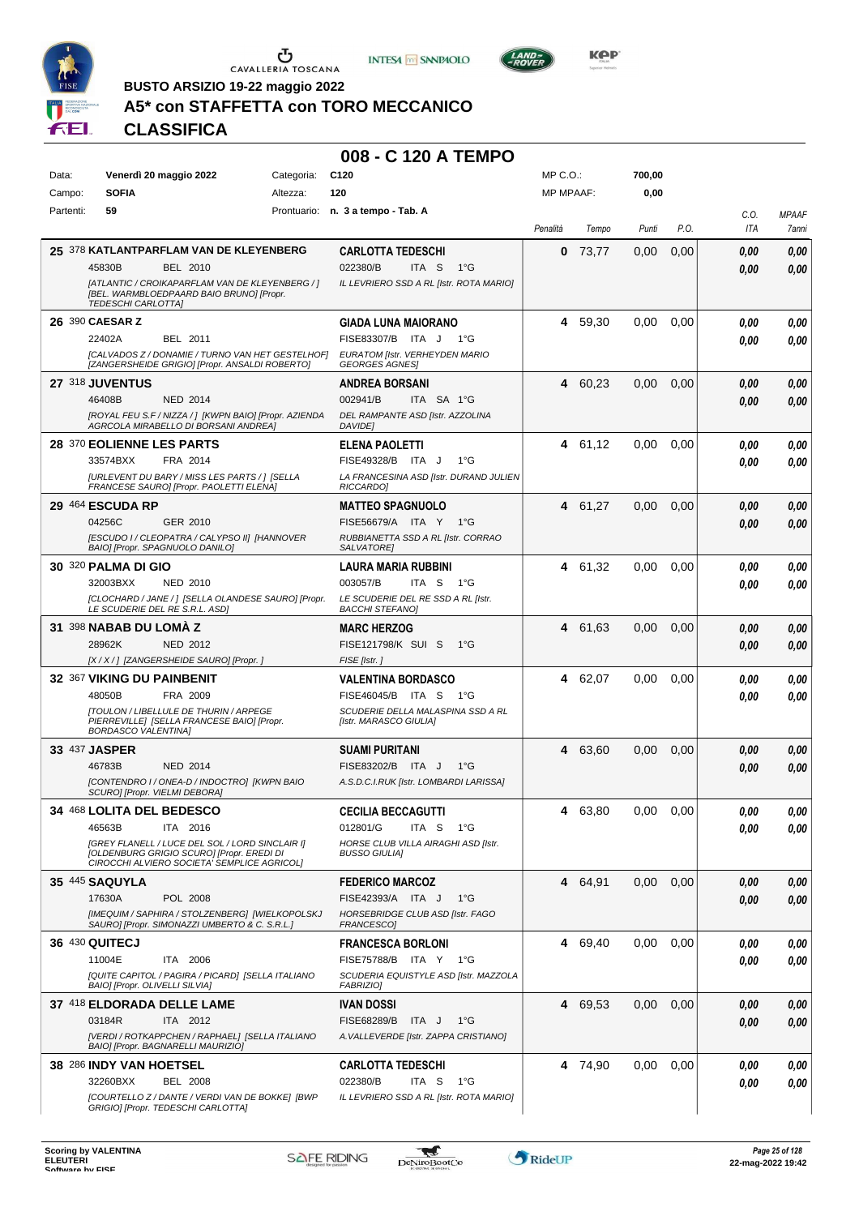





**BUSTO ARSIZIO 19-22 maggio 2022**

# **A5\* con STAFFETTA con TORO MECCANICO**

**CLASSIFICA**

| Data:     | Venerdì 20 maggio 2022                                                                                                    | Categoria: | C <sub>120</sub>                                            | $MP C. O.$ :     |         | 700,00 |      |      |              |
|-----------|---------------------------------------------------------------------------------------------------------------------------|------------|-------------------------------------------------------------|------------------|---------|--------|------|------|--------------|
| Campo:    | <b>SOFIA</b>                                                                                                              | Altezza:   | 120                                                         | <b>MP MPAAF:</b> |         | 0,00   |      |      |              |
| Partenti: | 59                                                                                                                        |            | Prontuario: n. 3 a tempo - Tab. A                           |                  |         |        |      | C.O. | <b>MPAAF</b> |
|           |                                                                                                                           |            |                                                             | Penalità         | Tempo   | Punti  | P.O. | ITA  | 7anni        |
|           | 25 378 KATLANTPARFLAM VAN DE KLEYENBERG                                                                                   |            | <b>CARLOTTA TEDESCHI</b>                                    | 0                | 73,77   | 0.00   | 0,00 | 0.00 | 0,00         |
|           | 45830B<br>BEL 2010                                                                                                        |            | 022380/B<br>ITA S<br>$1^{\circ}G$                           |                  |         |        |      | 0.00 | 0,00         |
|           | [ATLANTIC / CROIKAPARFLAM VAN DE KLEYENBERG / ]<br>[BEL. WARMBLOEDPAARD BAIO BRUNO] [Propr.<br><b>TEDESCHI CARLOTTA]</b>  |            | IL LEVRIERO SSD A RL [Istr. ROTA MARIO]                     |                  |         |        |      |      |              |
|           | 26 390 CAESAR Z                                                                                                           |            | <b>GIADA LUNA MAIORANO</b>                                  | 4                | 59,30   | 0.00   | 0.00 | 0.00 | 0,00         |
|           | 22402A<br>BEL 2011                                                                                                        |            | FISE83307/B ITA J<br>1°G                                    |                  |         |        |      | 0.00 | 0,00         |
|           | ICALVADOS Z / DONAMIE / TURNO VAN HET GESTELHOF]<br>[ZANGERSHEIDE GRIGIO] [Propr. ANSALDI ROBERTO]                        |            | EURATOM [Istr. VERHEYDEN MARIO<br><b>GEORGES AGNES</b>      |                  |         |        |      |      |              |
|           | 27 318 JUVENTUS                                                                                                           |            | ANDREA BORSANI                                              | 4                | 60,23   | 0,00   | 0,00 | 0,00 | 0,00         |
|           | 46408B<br><b>NED 2014</b>                                                                                                 |            | 002941/B<br>ITA SA 1°G                                      |                  |         |        |      | 0.00 | 0,00         |
|           | [ROYAL FEU S.F / NIZZA / ] [KWPN BAIO] [Propr. AZIENDA<br>AGRCOLA MIRABELLO DI BORSANI ANDREA]                            |            | DEL RAMPANTE ASD [Istr. AZZOLINA<br>DAVIDE]                 |                  |         |        |      |      |              |
|           | 28 370 EOLIENNE LES PARTS                                                                                                 |            | <b>ELENA PAOLETTI</b>                                       | 4                | 61,12   | 0,00   | 0.00 | 0.00 | 0,00         |
|           | 33574BXX<br>FRA 2014                                                                                                      |            | FISE49328/B ITA J<br>1°G                                    |                  |         |        |      | 0.00 | 0,00         |
|           | <b>JURLEVENT DU BARY / MISS LES PARTS / 1 [SELLA</b><br>FRANCESE SAURO] [Propr. PAOLETTI ELENA]                           |            | LA FRANCESINA ASD [Istr. DURAND JULIEN<br>RICCARDO]         |                  |         |        |      |      |              |
|           | <b>29 464 ESCUDA RP</b>                                                                                                   |            | <b>MATTEO SPAGNUOLO</b>                                     | 4                | 61,27   | 0,00   | 0,00 | 0,00 | 0,00         |
|           | 04256C<br>GER 2010                                                                                                        |            | FISE56679/A ITA Y<br>1°G                                    |                  |         |        |      | 0.00 | 0,00         |
|           | [ESCUDO I / CLEOPATRA / CALYPSO II] [HANNOVER<br>BAIO] [Propr. SPAGNUOLO DANILO]                                          |            | RUBBIANETTA SSD A RL [Istr. CORRAO<br>SALVATORE]            |                  |         |        |      |      |              |
|           | <b>30 320 PALMA DI GIO</b>                                                                                                |            | <b>LAURA MARIA RUBBINI</b>                                  | 4                | 61.32   | 0,00   | 0,00 | 0.00 | 0,00         |
|           | 32003BXX<br><b>NED 2010</b>                                                                                               |            | 003057/B<br>ITA S<br>1°G                                    |                  |         |        |      | 0.00 | 0,00         |
|           | [CLOCHARD / JANE / ] [SELLA OLANDESE SAURO] [Propr.<br>LE SCUDERIE DEL RE S.R.L. ASD]                                     |            | LE SCUDERIE DEL RE SSD A RL [Istr.<br>BACCHI STEFANO]       |                  |         |        |      |      |              |
|           | 31 398 NABAB DU LOMA Z                                                                                                    |            | <b>MARC HERZOG</b>                                          | 4                | 61,63   | 0,00   | 0,00 | 0,00 | 0,00         |
|           | 28962K<br>NED 2012                                                                                                        |            | FISE121798/K SUI S<br>1°G                                   |                  |         |        |      | 0,00 | 0,00         |
|           | [X / X / ] [ZANGERSHEIDE SAURO] [Propr.]                                                                                  |            | FISE [Istr.]                                                |                  |         |        |      |      |              |
|           | 32 367 VIKING DU PAINBENIT                                                                                                |            | <b>VALENTINA BORDASCO</b>                                   | 4                | 62,07   | 0,00   | 0.00 | 0.00 | 0,00         |
|           | 48050B<br>FRA 2009                                                                                                        |            | FISE46045/B ITA S<br>1°G                                    |                  |         |        |      | 0.00 | 0,00         |
|           | <b>ITOULON / LIBELLULE DE THURIN / ARPEGE</b><br>PIERREVILLE] [SELLA FRANCESE BAIO] [Propr.<br><b>BORDASCO VALENTINA]</b> |            | SCUDERIE DELLA MALASPINA SSD A RL<br>[Istr. MARASCO GIULIA] |                  |         |        |      |      |              |
|           | 33 437 JASPER                                                                                                             |            | <b>SUAMI PURITANI</b>                                       | 4                | 63,60   | 0.00   | 0,00 | 0,00 | 0,00         |
|           | 46783B<br><b>NED 2014</b>                                                                                                 |            | FISE83202/B ITA J<br>$1^{\circ}G$                           |                  |         |        |      | 0,00 | 0,00         |
|           | [CONTENDRO I / ONEA-D / INDOCTRO] [KWPN BAIO<br>SCURO] [Propr. VIELMI DEBORA]                                             |            | A.S.D.C.I.RUK [Istr. LOMBARDI LARISSA]                      |                  |         |        |      |      |              |
|           | 34 468 LOLITA DEL BEDESCO                                                                                                 |            | <b>CECILIA BECCAGUTTI</b>                                   | 4                | 63,80   | 0.00   | 0.00 | 0.00 | 0.00         |
|           | 46563B<br>ITA 2016                                                                                                        |            | 012801/G<br>ITA S<br>1°G                                    |                  |         |        |      | 0.00 | 0,00         |
|           | [GREY FLANELL / LUCE DEL SOL / LORD SINCLAIR I]<br>[OLDENBURG GRIGIO SCURO] [Propr. EREDI DI                              |            | HORSE CLUB VILLA AIRAGHI ASD [Istr.<br><b>BUSSO GIULIA]</b> |                  |         |        |      |      |              |
|           | CIROCCHI ALVIERO SOCIETA' SEMPLICE AGRICOLI                                                                               |            |                                                             |                  |         |        |      |      |              |
|           | <b>35 445 SAQUYLA</b>                                                                                                     |            | <b>FEDERICO MARCOZ</b>                                      | 4                | 64,91   | 0,00   | 0,00 | 0.00 | 0,00         |
|           | POL 2008<br>17630A                                                                                                        |            | FISE42393/A ITA J<br>1°G                                    |                  |         |        |      | 0.00 | 0,00         |
|           | [IMEQUIM / SAPHIRA / STOLZENBERG] [WIELKOPOLSKJ<br>SAURO] [Propr. SIMONAZZI UMBERTO & C. S.R.L.]                          |            | HORSEBRIDGE CLUB ASD [Istr. FAGO<br>FRANCESCO]              |                  |         |        |      |      |              |
|           | 36 430 QUITECJ                                                                                                            |            | <b>FRANCESCA BORLONI</b>                                    | 4                | 69,40   | 0,00   | 0.00 | 0.00 | 0,00         |
|           | 11004E<br>ITA 2006                                                                                                        |            | FISE75788/B ITA Y 1°G                                       |                  |         |        |      | 0.00 | 0,00         |
|           | <b>IQUITE CAPITOL / PAGIRA / PICARDI ISELLA ITALIANO</b><br>BAIO] [Propr. OLIVELLI SILVIA]                                |            | SCUDERIA EQUISTYLE ASD [Istr. MAZZOLA<br><b>FABRIZIO]</b>   |                  |         |        |      |      |              |
|           | 37 418 ELDORADA DELLE LAME                                                                                                |            | <b>IVAN DOSSI</b>                                           | 4                | 69,53   | 0,00   | 0,00 | 0,00 | 0,00         |
|           | 03184R<br>ITA 2012                                                                                                        |            | FISE68289/B<br>ITA J<br>1°G                                 |                  |         |        |      | 0,00 | 0,00         |
|           | [VERDI / ROTKAPPCHEN / RAPHAEL] [SELLA ITALIANO<br>BAIO] [Propr. BAGNARELLI MAURIZIO]                                     |            | A. VALLEVERDE [Istr. ZAPPA CRISTIANO]                       |                  |         |        |      |      |              |
|           | 38 286 INDY VAN HOETSEL                                                                                                   |            | <b>CARLOTTA TEDESCHI</b>                                    |                  | 4 74,90 | 0,00   | 0.00 | 0.00 | 0,00         |
|           | 32260BXX<br><b>BEL 2008</b>                                                                                               |            | 022380/B<br>ITA S<br>$1^{\circ}G$                           |                  |         |        |      | 0,00 | 0,00         |
|           | [COURTELLO Z / DANTE / VERDI VAN DE BOKKE] [BWP<br>GRIGIO] [Propr. TEDESCHI CARLOTTA]                                     |            | IL LEVRIERO SSD A RL [Istr. ROTA MARIO]                     |                  |         |        |      |      |              |

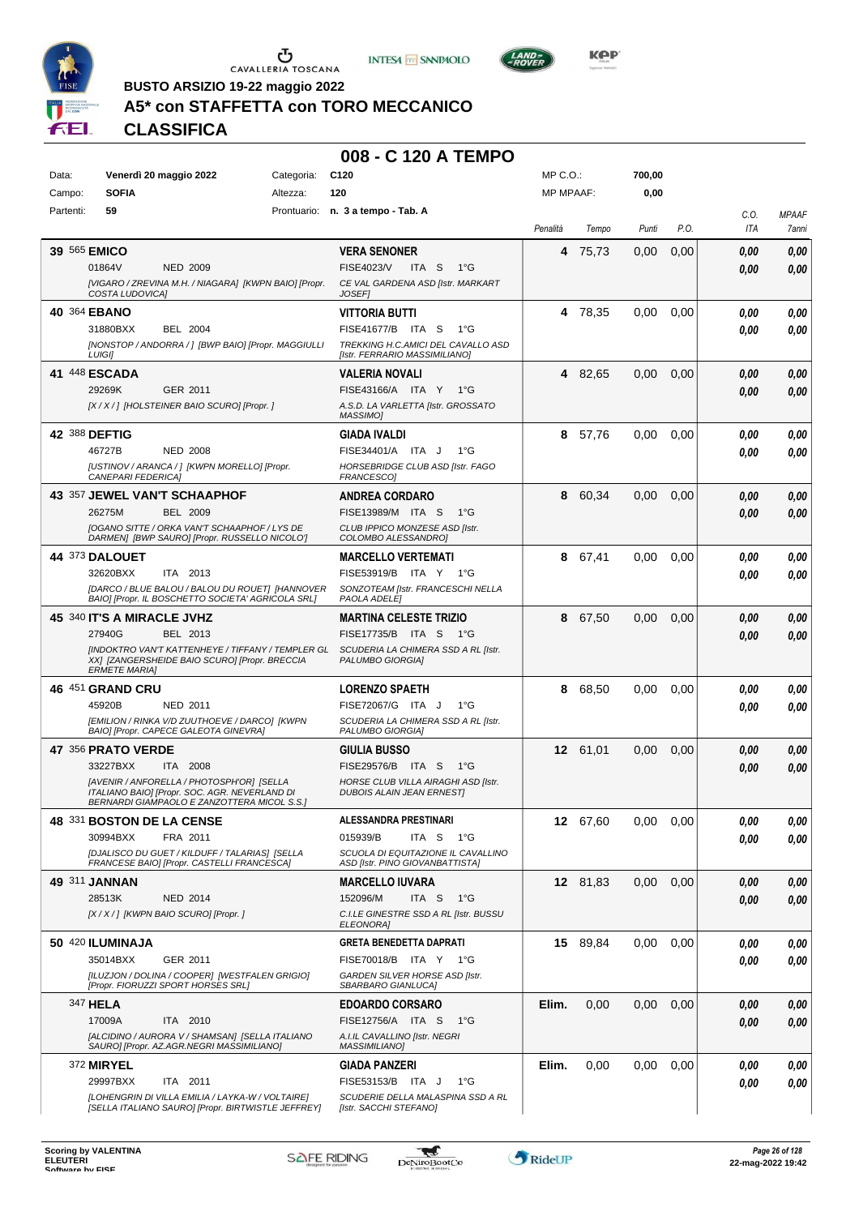





LAND-<br>BOVER

**BUSTO ARSIZIO 19-22 maggio 2022**

# **A5\* con STAFFETTA con TORO MECCANICO**

**CLASSIFICA**

| Data:     | Venerdì 20 maggio 2022                                                                                 | Categoria: | C <sub>120</sub>                                                           | MP C.O.:         |          | 700,00 |      |             |                       |
|-----------|--------------------------------------------------------------------------------------------------------|------------|----------------------------------------------------------------------------|------------------|----------|--------|------|-------------|-----------------------|
| Campo:    | <b>SOFIA</b>                                                                                           | Altezza:   | 120                                                                        | <b>MP MPAAF:</b> |          | 0,00   |      |             |                       |
| Partenti: | 59                                                                                                     |            | Prontuario: n. 3 a tempo - Tab. A                                          | Penalità         | Tempo    | Punti  | P.O. | C.O.<br>ITA | <b>MPAAF</b><br>7anni |
|           |                                                                                                        |            |                                                                            |                  |          |        |      |             |                       |
|           | 39 565 EMICO<br>01864V<br><b>NED 2009</b>                                                              |            | <b>VERA SENONER</b><br>FISE4023/V<br>ITA <sub>S</sub><br>$1^{\circ}G$      |                  | 4 75.73  | 0,00   | 0,00 | 0,00        | 0,00                  |
|           | [VIGARO / ZREVINA M.H. / NIAGARA] [KWPN BAIO] [Propr.                                                  |            | CE VAL GARDENA ASD [Istr. MARKART                                          |                  |          |        |      | 0,00        | 0,00                  |
|           | COSTA LUDOVICA]                                                                                        |            | <b>JOSEFI</b>                                                              |                  |          |        |      |             |                       |
|           | 40 364 EBANO                                                                                           |            | <b>VITTORIA BUTTI</b>                                                      |                  | 4 78,35  | 0.00   | 0,00 | 0.00        | 0,00                  |
|           | 31880BXX<br>BEL 2004                                                                                   |            | FISE41677/B ITA S<br>1°G                                                   |                  |          |        |      | 0.00        | 0.00                  |
|           | [NONSTOP / ANDORRA / ] [BWP BAIO] [Propr. MAGGIULLI<br><b>LUIGI]</b>                                   |            | TREKKING H.C.AMICI DEL CAVALLO ASD<br>[Istr. FERRARIO MASSIMILIANO]        |                  |          |        |      |             |                       |
|           | 41 448 ESCADA                                                                                          |            | <b>VALERIA NOVALI</b>                                                      |                  | 4 82,65  | 0,00   | 0,00 | 0,00        | 0,00                  |
|           | 29269K<br>GER 2011                                                                                     |            | FISE43166/A ITA Y<br>1°G                                                   |                  |          |        |      | 0,00        | 0,00                  |
|           | [X/X/] [HOLSTEINER BAIO SCURO] [Propr.]                                                                |            | A.S.D. LA VARLETTA [Istr. GROSSATO<br><b>MASSIMO1</b>                      |                  |          |        |      |             |                       |
|           | 42 388 DEFTIG                                                                                          |            | <b>GIADA IVALDI</b>                                                        | 8                | 57,76    | 0,00   | 0,00 | 0.00        | 0,00                  |
|           | 46727B<br><b>NED 2008</b>                                                                              |            | FISE34401/A ITA J<br>1°G                                                   |                  |          |        |      | 0.00        | 0.00                  |
|           | [USTINOV / ARANCA / ] [KWPN MORELLO] [Propr.<br>CANEPARI FEDERICA]                                     |            | HORSEBRIDGE CLUB ASD [Istr. FAGO<br>FRANCESCO]                             |                  |          |        |      |             |                       |
|           | 43 357 JEWEL VAN'T SCHAAPHOF                                                                           |            | <b>ANDREA CORDARO</b>                                                      | 8                | 60,34    | 0.00   | 0,00 | 0.00        | 0,00                  |
|           | 26275M<br><b>BEL 2009</b>                                                                              |            | FISE13989/M ITA S<br>1°G                                                   |                  |          |        |      | 0.00        | 0.00                  |
|           | [OGANO SITTE / ORKA VAN'T SCHAAPHOF / LYS DE<br>DARMEN] [BWP SAURO] [Propr. RUSSELLO NICOLO']          |            | CLUB IPPICO MONZESE ASD [Istr.<br>COLOMBO ALESSANDROI                      |                  |          |        |      |             |                       |
|           | <b>44 373 DALOUET</b>                                                                                  |            | <b>MARCELLO VERTEMATI</b>                                                  | 8                | 67,41    | 0.00   | 0,00 | 0.00        | 0,00                  |
|           | 32620BXX<br>ITA 2013                                                                                   |            | FISE53919/B ITA Y 1°G                                                      |                  |          |        |      | 0.00        | 0.00                  |
|           | [DARCO / BLUE BALOU / BALOU DU ROUET] [HANNOVER<br>BAIO] [Propr. IL BOSCHETTO SOCIETA' AGRICOLA SRL]   |            | SONZOTEAM [Istr. FRANCESCHI NELLA<br>PAOLA ADELE]                          |                  |          |        |      |             |                       |
|           | 45 340 IT'S A MIRACLE JVHZ                                                                             |            | <b>MARTINA CELESTE TRIZIO</b>                                              | 8                | 67,50    | 0.00   | 0,00 | 0.00        | 0,00                  |
|           | 27940G<br>BEL 2013                                                                                     |            | FISE17735/B ITA S<br>1°G                                                   |                  |          |        |      | 0.00        | 0.00                  |
|           | [INDOKTRO VAN'T KATTENHEYE / TIFFANY / TEMPLER GL                                                      |            | SCUDERIA LA CHIMERA SSD A RL [Istr.                                        |                  |          |        |      |             |                       |
|           | XX] [ZANGERSHEIDE BAIO SCURO] [Propr. BRECCIA<br><b>ERMETE MARIA]</b>                                  |            | PALUMBO GIORGIA]                                                           |                  |          |        |      |             |                       |
|           | 46 451 GRAND CRU                                                                                       |            | <b>LORENZO SPAETH</b>                                                      | 8                | 68,50    | 0.00   | 0,00 | 0.00        | 0,00                  |
|           | 45920B<br>NED 2011                                                                                     |            | FISE72067/G ITA J<br>1°G                                                   |                  |          |        |      | 0.00        | 0.00                  |
|           | [EMILION / RINKA V/D ZUUTHOEVE / DARCO] [KWPN<br>BAIO] [Propr. CAPECE GALEOTA GINEVRA]                 |            | SCUDERIA LA CHIMERA SSD A RL [Istr.<br>PALUMBO GIORGIA]                    |                  |          |        |      |             |                       |
|           | 47 356 PRATO VERDE                                                                                     |            | <b>GIULIA BUSSO</b>                                                        |                  | 12 61,01 | 0,00   | 0,00 | 0,00        | 0,00                  |
|           | 33227BXX<br>ITA 2008                                                                                   |            | FISE29576/B ITA S<br>1°G                                                   |                  |          |        |      | 0,00        | 0.00                  |
|           | [AVENIR / ANFORELLA / PHOTOSPH'OR] [SELLA<br>ITALIANO BAIOI [Propr. SOC. AGR. NEVERLAND DI             |            | HORSE CLUB VILLA AIRAGHI ASD [Istr.<br><b>DUBOIS ALAIN JEAN ERNESTI</b>    |                  |          |        |      |             |                       |
|           | BERNARDI GIAMPAOLO E ZANZOTTERA MICOL S.S.1                                                            |            |                                                                            |                  |          |        |      |             |                       |
|           | 48 331 BOSTON DE LA CENSE<br>30994BXX<br>FRA 2011                                                      |            | ALESSANDRA PRESTINARI<br>015939/B<br>ITA S                                 |                  | 12 67,60 | 0,00   | 0,00 | 0,00        | 0,00                  |
|           | [DJALISCO DU GUET / KILDUFF / TALARIAS] [SELLA                                                         |            | 1°G<br>SCUOLA DI EQUITAZIONE IL CAVALLINO                                  |                  |          |        |      | 0.00        | 0,00                  |
|           | FRANCESE BAIO] [Propr. CASTELLI FRANCESCA]                                                             |            | ASD [Istr. PINO GIOVANBATTISTA]                                            |                  |          |        |      |             |                       |
|           | 49 311 JANNAN                                                                                          |            | <b>MARCELLO IUVARA</b>                                                     |                  | 12 81,83 | 0,00   | 0,00 | 0.00        | 0,00                  |
|           | 28513K<br><b>NED 2014</b><br>[X / X / ] [KWPN BAIO SCURO] [Propr. ]                                    |            | 152096/M<br>ITA S<br>$1^{\circ}G$<br>C.I.LE GINESTRE SSD A RL [Istr. BUSSU |                  |          |        |      | 0,00        | 0,00                  |
|           |                                                                                                        |            | ELEONORA]                                                                  |                  |          |        |      |             |                       |
|           | 50 420 ILUMINAJA                                                                                       |            | <b>GRETA BENEDETTA DAPRATI</b>                                             |                  | 15 89,84 | 0,00   | 0,00 | 0.00        | 0,00                  |
|           | 35014BXX<br>GER 2011                                                                                   |            | FISE70018/B ITA Y 1°G                                                      |                  |          |        |      | 0.00        | 0,00                  |
|           | [ILUZJON / DOLINA / COOPER] [WESTFALEN GRIGIO]<br>[Propr. FIORUZZI SPORT HORSES SRL]                   |            | GARDEN SILVER HORSE ASD [Istr.<br>SBARBARO GIANLUCA]                       |                  |          |        |      |             |                       |
|           | 347 HELA                                                                                               |            | <b>EDOARDO CORSARO</b>                                                     | Elim.            | 0,00     | 0,00   | 0,00 | 0,00        | 0,00                  |
|           | ITA 2010<br>17009A                                                                                     |            | FISE12756/A ITA S<br>1°G                                                   |                  |          |        |      | 0.00        | 0,00                  |
|           | [ALCIDINO / AURORA V / SHAMSAN] [SELLA ITALIANO<br>SAURO] [Propr. AZ.AGR.NEGRI MASSIMILIANO]           |            | A.I.IL CAVALLINO [Istr. NEGRI<br><b>MASSIMILIANO]</b>                      |                  |          |        |      |             |                       |
|           | 372 <b>MIRYEL</b>                                                                                      |            | <b>GIADA PANZERI</b>                                                       | Elim.            | 0,00     | 0,00   | 0,00 | 0,00        | 0,00                  |
|           | 29997BXX<br>ITA 2011                                                                                   |            | FISE53153/B ITA J<br>$1^{\circ}G$                                          |                  |          |        |      | 0.00        | 0,00                  |
|           | [LOHENGRIN DI VILLA EMILIA / LAYKA-W / VOLTAIRE]<br>[SELLA ITALIANO SAURO] [Propr. BIRTWISTLE JEFFREY] |            | SCUDERIE DELLA MALASPINA SSD A RL<br>[Istr. SACCHI STEFANO]                |                  |          |        |      |             |                       |
|           |                                                                                                        |            |                                                                            |                  |          |        |      |             |                       |

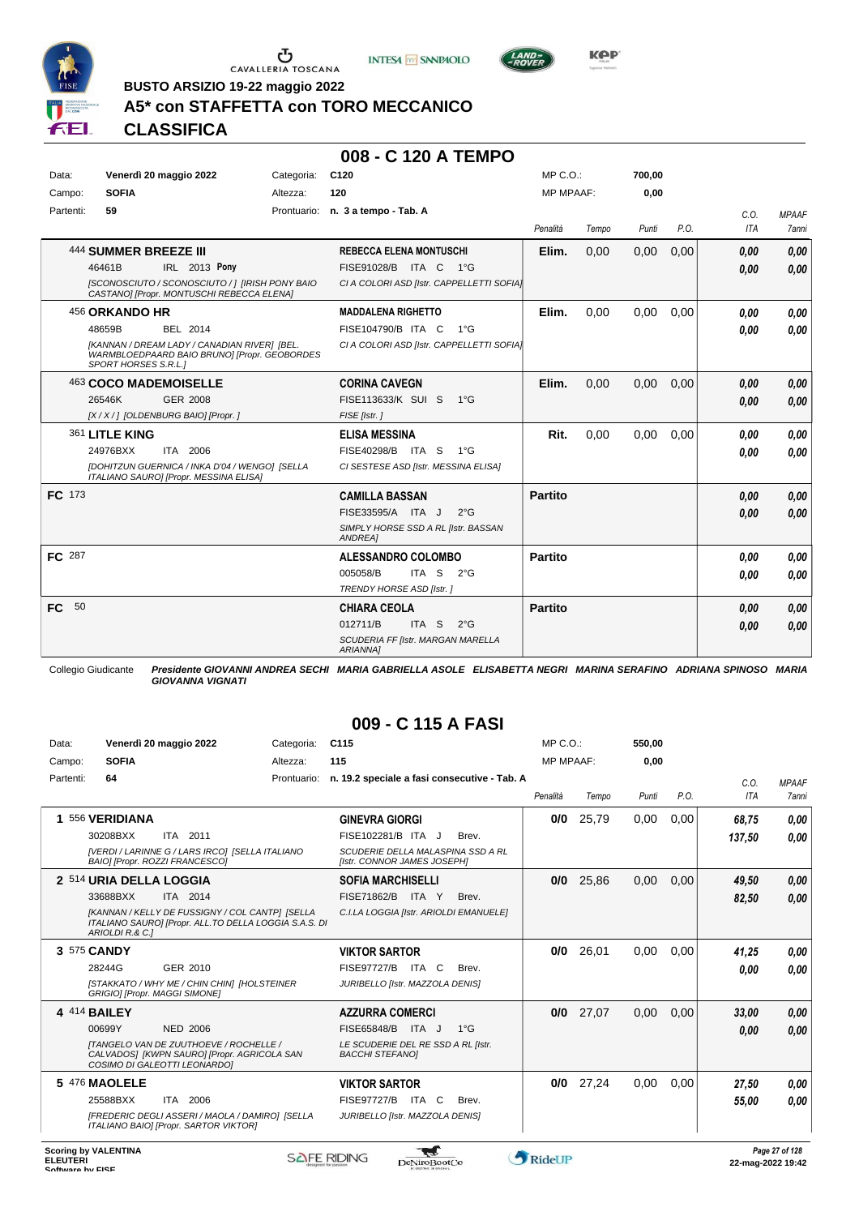





**BUSTO ARSIZIO 19-22 maggio 2022**

# **A5\* con STAFFETTA con TORO MECCANICO**

## **CLASSIFICA**

#### **008 - C 120 A TEMPO**

| Data:         |                              | Venerdì 20 maggio 2022                                                                       | Categoria: | C120                                                  | $MP C. O.$ :     |       | 700,00 |      |            |              |
|---------------|------------------------------|----------------------------------------------------------------------------------------------|------------|-------------------------------------------------------|------------------|-------|--------|------|------------|--------------|
| Campo:        | <b>SOFIA</b>                 |                                                                                              | Altezza:   | 120                                                   | <b>MP MPAAF:</b> |       | 0,00   |      |            |              |
| Partenti:     | 59                           |                                                                                              |            | Prontuario: n. 3 a tempo - Tab. A                     |                  |       |        |      | C.O.       | <b>MPAAF</b> |
|               |                              |                                                                                              |            |                                                       | Penalità         | Tempo | Punti  | P.O. | <b>ITA</b> | 7anni        |
|               | <b>444 SUMMER BREEZE III</b> |                                                                                              |            | <b>REBECCA ELENA MONTUSCHI</b>                        | Elim.            | 0,00  | 0,00   | 0,00 | 0,00       | 0,00         |
|               | 46461B                       | IRL 2013 Pony                                                                                |            | FISE91028/B ITA C 1°G                                 |                  |       |        |      | 0,00       | 0.00         |
|               |                              | [SCONOSCIUTO / SCONOSCIUTO / ] [IRISH PONY BAIO<br>CASTANO] [Propr. MONTUSCHI REBECCA ELENA] |            | CI A COLORI ASD [Istr. CAPPELLETTI SOFIA]             |                  |       |        |      |            |              |
|               | 456 ORKANDO HR               |                                                                                              |            | <b>MADDALENA RIGHETTO</b>                             | Elim.            | 0,00  | 0,00   | 0,00 | 0,00       | 0,00         |
|               | 48659B                       | <b>BEL 2014</b>                                                                              |            | FISE104790/B ITA C<br>1°G                             |                  |       |        |      | 0.00       | 0,00         |
|               | <b>SPORT HORSES S.R.L.1</b>  | [KANNAN / DREAM LADY / CANADIAN RIVER] [BEL.<br>WARMBLOEDPAARD BAIO BRUNO] [Propr. GEOBORDES |            | CI A COLORI ASD [Istr. CAPPELLETTI SOFIA]             |                  |       |        |      |            |              |
|               | 463 COCO MADEMOISELLE        |                                                                                              |            | <b>CORINA CAVEGN</b>                                  | Elim.            | 0,00  | 0,00   | 0,00 | 0,00       | 0,00         |
|               | 26546K                       | <b>GER 2008</b>                                                                              |            | FISE113633/K SUI S 1°G                                |                  |       |        |      | 0,00       | 0.00         |
|               |                              | [X / X / ] [OLDENBURG BAIO] [Propr. ]                                                        |            | FISE [Istr.]                                          |                  |       |        |      |            |              |
|               | 361 LITLE KING               |                                                                                              |            | <b>ELISA MESSINA</b>                                  | Rit.             | 0,00  | 0,00   | 0,00 | 0,00       | 0.00         |
|               | 24976BXX                     | ITA 2006                                                                                     |            | FISE40298/B ITA S 1°G                                 |                  |       |        |      | 0,00       | 0.00         |
|               |                              | [DOHITZUN GUERNICA / INKA D'04 / WENGO] [SELLA<br>ITALIANO SAURO] [Propr. MESSINA ELISA]     |            | CI SESTESE ASD [Istr. MESSINA ELISA]                  |                  |       |        |      |            |              |
| FC 173        |                              |                                                                                              |            | <b>CAMILLA BASSAN</b>                                 | <b>Partito</b>   |       |        |      | 0,00       | 0,00         |
|               |                              |                                                                                              |            | FISE33595/A ITA J<br>$2^{\circ}$ G                    |                  |       |        |      | 0,00       | 0,00         |
|               |                              |                                                                                              |            | SIMPLY HORSE SSD A RL [Istr. BASSAN<br><b>ANDREA1</b> |                  |       |        |      |            |              |
| <b>FC</b> 287 |                              |                                                                                              |            | <b>ALESSANDRO COLOMBO</b>                             | <b>Partito</b>   |       |        |      | 0,00       | 0,00         |
|               |                              |                                                                                              |            | 005058/B<br>ITA <sub>S</sub><br>$2^{\circ}$ G         |                  |       |        |      | 0,00       | 0.00         |
|               |                              |                                                                                              |            | TRENDY HORSE ASD [Istr.]                              |                  |       |        |      |            |              |
| 50<br>FC.     |                              |                                                                                              |            | <b>CHIARA CEOLA</b>                                   | <b>Partito</b>   |       |        |      | 0,00       | 0,00         |
|               |                              |                                                                                              |            | 012711/B<br>ITA S<br>$2^{\circ}$ G                    |                  |       |        |      | 0.00       | 0,00         |
|               |                              |                                                                                              |            | SCUDERIA FF [Istr. MARGAN MARELLA<br><b>ARIANNA1</b>  |                  |       |        |      |            |              |

Collegio Giudicante *Presidente GIOVANNI ANDREA SECHI MARIA GABRIELLA ASOLE ELISABETTA NEGRI MARINA SERAFINO ADRIANA SPINOSO MARIA GIOVANNA VIGNATI*

| Data:     | Venerdì 20 maggio 2022                                             |                                                                                                                      | Categoria:  | C <sub>115</sub>                                                                                                |                     |              | MP C.O.          |       | 550.00 |      |                 |                       |
|-----------|--------------------------------------------------------------------|----------------------------------------------------------------------------------------------------------------------|-------------|-----------------------------------------------------------------------------------------------------------------|---------------------|--------------|------------------|-------|--------|------|-----------------|-----------------------|
| Campo:    | <b>SOFIA</b>                                                       |                                                                                                                      | Altezza:    | 115                                                                                                             |                     |              | <b>MP MPAAF:</b> |       | 0,00   |      |                 |                       |
| Partenti: | 64                                                                 |                                                                                                                      | Prontuario: | n. 19.2 speciale a fasi consecutive - Tab. A                                                                    |                     |              | Penalità         | Tempo | Punti  | P.O. | C.0.<br>ITA     | <b>MPAAF</b><br>7anni |
|           | 556 VERIDIANA<br>30208BXX<br>BAIO] [Propr. ROZZI FRANCESCO]        | ITA 2011<br>[VERDI / LARINNE G / LARS IRCO] [SELLA ITALIANO                                                          |             | <b>GINEVRA GIORGI</b><br>FISE102281/B ITA J<br>SCUDERIE DELLA MALASPINA SSD A RL<br>[Istr. CONNOR JAMES JOSEPH] |                     | Brev.        | 0/0              | 25,79 | 0,00   | 0.00 | 68,75<br>137,50 | 0,00<br>0.00          |
|           | 2 514 URIA DELLA LOGGIA<br>33688BXX<br>ARIOLDI R.& C.]             | ITA 2014<br>[KANNAN / KELLY DE FUSSIGNY / COL CANTP] [SELLA<br>ITALIANO SAURO] [Propr. ALL.TO DELLA LOGGIA S.A.S. DI |             | <b>SOFIA MARCHISELLI</b><br>FISE71862/B<br>C.I.LA LOGGIA [Istr. ARIOLDI EMANUELE]                               | ITA Y               | Brev.        | 0/0              | 25,86 | 0.00   | 0.00 | 49,50<br>82,50  | 0,00<br>0.00          |
|           | 3 575 CANDY<br>28244G<br><b>GRIGIO] [Propr. MAGGI SIMONE]</b>      | GER 2010<br>[STAKKATO / WHY ME / CHIN CHIN] [HOLSTEINER                                                              |             | <b>VIKTOR SARTOR</b><br><b>FISE97727/B</b><br>JURIBELLO [Istr. MAZZOLA DENIS]                                   | ITA C               | Brev.        | 0/0              | 26.01 | 0.00   | 0.00 | 41,25<br>0.00   | 0,00<br>0.00          |
|           | 4 414 BAILEY<br>00699Y<br>COSIMO DI GALEOTTI LEONARDO]             | <b>NED 2006</b><br>ITANGELO VAN DE ZUUTHOEVE / ROCHELLE /<br>CALVADOS] [KWPN SAURO] [Propr. AGRICOLA SAN             |             | <b>AZZURRA COMERCI</b><br>FISE65848/B ITA J<br>LE SCUDERIE DEL RE SSD A RL [Istr.<br><b>BACCHI STEFANOI</b>     |                     | $1^{\circ}G$ | 0/0              | 27,07 | 0.00   | 0.00 | 33,00<br>0,00   | 0,00<br>0,00          |
|           | 5 476 MAOLELE<br>25588BXX<br>ITALIANO BAIO] [Propr. SARTOR VIKTOR] | ITA 2006<br>[FREDERIC DEGLI ASSERI / MAOLA / DAMIRO] [SELLA                                                          |             | <b>VIKTOR SARTOR</b><br><b>FISE97727/B</b><br>JURIBELLO [Istr. MAZZOLA DENIS]                                   | <sub>C</sub><br>ITA | Brev.        | 0/0              | 27,24 | 0,00   | 0,00 | 27,50<br>55.00  | 0.00<br>0.00          |

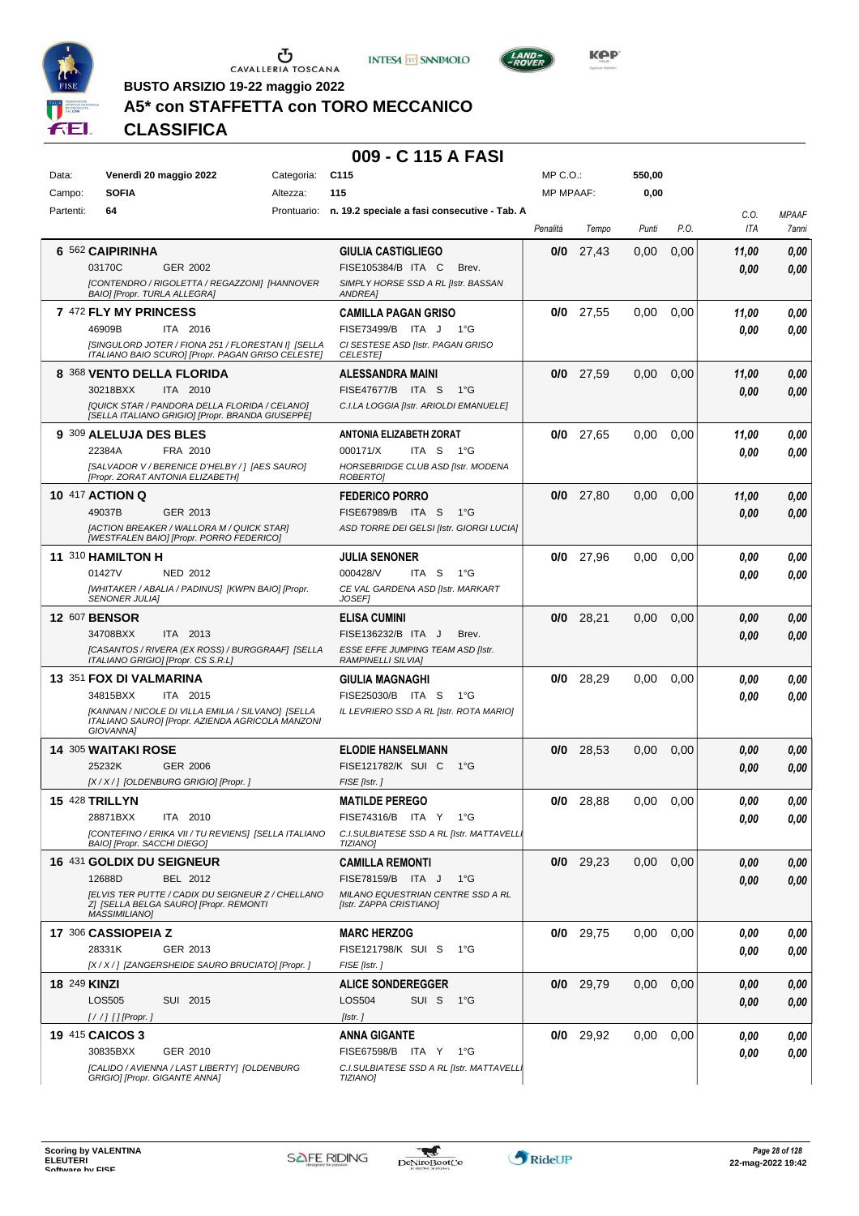





LAND-<br>- POVER

**BUSTO ARSIZIO 19-22 maggio 2022**

# **A5\* con STAFFETTA con TORO MECCANICO**

**CLASSIFICA**

| Data:               | Venerdì 20 maggio 2022                                                                                                                                                 | Categoria: | C <sub>115</sub>                                                                                                            | MP C.O.:         |             | 550,00 |      |               |                       |
|---------------------|------------------------------------------------------------------------------------------------------------------------------------------------------------------------|------------|-----------------------------------------------------------------------------------------------------------------------------|------------------|-------------|--------|------|---------------|-----------------------|
| Campo:              | <b>SOFIA</b>                                                                                                                                                           | Altezza:   | 115                                                                                                                         | <b>MP MPAAF:</b> |             | 0,00   |      |               |                       |
| Partenti:           | 64                                                                                                                                                                     |            | Prontuario: n. 19.2 speciale a fasi consecutive - Tab. A                                                                    | Penalità         | Tempo       | Punti  | P.O. | C.0.<br>ITA   | <b>MPAAF</b><br>7anni |
|                     | 6 562 CAIPIRINHA<br>03170C<br>GER 2002<br>[CONTENDRO / RIGOLETTA / REGAZZONI] [HANNOVER<br>BAIO] [Propr. TURLA ALLEGRA]                                                |            | <b>GIULIA CASTIGLIEGO</b><br>FISE105384/B ITA C<br>Brev.<br>SIMPLY HORSE SSD A RL [Istr. BASSAN<br>ANDREA]                  | 0/0              | 27,43       | 0,00   | 0,00 | 11,00<br>0.00 | 0,00<br>0,00          |
|                     | 7 472 FLY MY PRINCESS<br>ITA 2016<br>46909B<br>[SINGULORD JOTER / FIONA 251 / FLORESTAN I] [SELLA<br>ITALIANO BAIO SCUROI [Propr. PAGAN GRISO CELESTE]                 |            | <b>CAMILLA PAGAN GRISO</b><br>FISE73499/B ITA J<br>1°G<br>CI SESTESE ASD [Istr. PAGAN GRISO<br><b>CELESTE</b>               | 0/0              | 27,55       | 0.00   | 0,00 | 11,00<br>0.00 | 0,00<br>0,00          |
|                     | 8 368 VENTO DELLA FLORIDA<br>30218BXX<br>ITA 2010<br>[QUICK STAR / PANDORA DELLA FLORIDA / CELANO]<br>[SELLA ITALIANO GRIGIO] [Propr. BRANDA GIUSEPPE]                 |            | ALESSANDRA MAINI<br>FISE47677/B ITA S<br>1°G<br>C.I.LA LOGGIA [Istr. ARIOLDI EMANUELE]                                      |                  | $0/0$ 27,59 | 0,00   | 0,00 | 11,00<br>0,00 | 0,00<br>0,00          |
|                     | 9 309 ALELUJA DES BLES<br>22384A<br>FRA 2010<br>[SALVADOR V / BERENICE D'HELBY / ] [AES SAURO]<br>[Propr. ZORAT ANTONIA ELIZABETH]                                     |            | ANTONIA ELIZABETH ZORAT<br>000171/X<br>ITA S<br>1°G<br>HORSEBRIDGE CLUB ASD [Istr. MODENA<br>ROBERTO]                       |                  | $0/0$ 27,65 | 0.00   | 0,00 | 11,00<br>0.00 | 0,00<br>0,00          |
|                     | <b>10 417 ACTION Q</b><br>49037B<br>GER 2013<br>[ACTION BREAKER / WALLORA M / QUICK STAR]<br>[WESTFALEN BAIO] [Propr. PORRO FEDERICO]                                  |            | <b>FEDERICO PORRO</b><br><b>FISE67989/B</b><br>ITA S<br>1°G<br>ASD TORRE DEI GELSI [Istr. GIORGI LUCIA]                     | 0/0              | 27,80       | 0,00   | 0,00 | 11,00<br>0.00 | 0,00<br>0,00          |
|                     | 11 310 HAMILTON H<br>01427V<br><b>NED 2012</b><br>[WHITAKER / ABALIA / PADINUS] [KWPN BAIO] [Propr.<br>SENONER JULIA]                                                  |            | JULIA SENONER<br>000428/V<br>ITA S<br>1°G<br>CE VAL GARDENA ASD [Istr. MARKART<br><b>JOSEF1</b>                             | 0/0              | 27.96       | 0.00   | 0,00 | 0.00<br>0.00  | 0,00<br>0,00          |
|                     | <b>12 607 BENSOR</b><br>34708BXX<br>ITA 2013<br>[CASANTOS / RIVERA (EX ROSS) / BURGGRAAF] [SELLA<br>ITALIANO GRIGIO] [Propr. CS S.R.L]                                 |            | <b>ELISA CUMINI</b><br>FISE136232/B ITA J<br>Brev.<br><b>ESSE EFFE JUMPING TEAM ASD [Istr.</b><br><b>RAMPINELLI SILVIA]</b> | 0/0              | 28,21       | 0,00   | 0,00 | 0,00<br>0,00  | 0,00<br>0,00          |
|                     | 13 351 FOX DI VALMARINA<br>34815BXX<br>ITA 2015<br>[KANNAN / NICOLE DI VILLA EMILIA / SILVANO] [SELLA<br>ITALIANO SAURO] [Propr. AZIENDA AGRICOLA MANZONI<br>GIOVANNA] |            | GIULIA MAGNAGHI<br>FISE25030/B ITA S<br>1°G<br>IL LEVRIERO SSD A RL [Istr. ROTA MARIO]                                      | 0/0              | 28,29       | 0,00   | 0,00 | 0.00<br>0.00  | 0,00<br>0,00          |
|                     | <b>14 305 WAITAKI ROSE</b><br>25232K<br><b>GER 2006</b><br>[X / X / ] [OLDENBURG GRIGIO] [Propr. ]                                                                     |            | <b>ELODIE HANSELMANN</b><br>FISE121782/K SUI C<br>1°G<br>FISE [Istr.]                                                       | 0/0              | 28,53       | 0,00   | 0,00 | 0,00<br>0,00  | 0,00<br>0,00          |
|                     | 15 428 TRILLYN<br>ITA 2010<br>28871BXX<br>[CONTEFINO / ERIKA VII / TU REVIENS] [SELLA ITALIANO<br>BAIO] [Propr. SACCHI DIEGO]                                          |            | <b>MATILDE PEREGO</b><br>FISE74316/B ITA Y 1°G<br>C.I.SULBIATESE SSD A RL [Istr. MATTAVELL.<br><b>TIZIANO]</b>              | 0/0              | 28,88       | 0.00   | 0,00 | 0.00<br>0,00  | 0,00<br>0,00          |
|                     | 16 431 GOLDIX DU SEIGNEUR<br>BEL 2012<br>12688D<br>[ELVIS TER PUTTE / CADIX DU SEIGNEUR Z / CHELLANO<br>Z] [SELLA BELGA SAURO] [Propr. REMONTI<br><b>MASSIMILIANO]</b> |            | <b>CAMILLA REMONTI</b><br>FISE78159/B ITA J<br>1°G<br>MILANO EQUESTRIAN CENTRE SSD A RL<br>[Istr. ZAPPA CRISTIANO]          |                  | $0/0$ 29,23 | 0,00   | 0,00 | 0,00<br>0,00  | 0,00<br>0,00          |
|                     | 17 306 CASSIOPEIA Z<br>GER 2013<br>28331K<br>[X / X / ] [ZANGERSHEIDE SAURO BRUCIATO] [Propr. ]                                                                        |            | <b>MARC HERZOG</b><br>FISE121798/K SUI S<br>1°G<br>FISE [Istr.]                                                             |                  | $0/0$ 29,75 | 0,00   | 0,00 | 0.00<br>0.00  | 0,00<br>0,00          |
| <b>18 249 KINZI</b> | LOS505<br>SUI 2015<br>$[!//]$ [] [Propr.]                                                                                                                              |            | <b>ALICE SONDEREGGER</b><br>LOS504<br>SUI S<br>1°G<br>[Istr.]                                                               |                  | $0/0$ 29,79 | 0,00   | 0,00 | 0,00<br>0,00  | 0,00<br>0,00          |
|                     | <b>19 415 CAICOS 3</b><br>30835BXX<br>GER 2010<br>[CALIDO / AVIENNA / LAST LIBERTY] [OLDENBURG<br>GRIGIO] [Propr. GIGANTE ANNA]                                        |            | ANNA GIGANTE<br>FISE67598/B ITA Y 1°G<br>C.I.SULBIATESE SSD A RL [Istr. MATTAVELL]<br><b>TIZIANO]</b>                       |                  | $0/0$ 29,92 | 0,00   | 0,00 | 0.00<br>0.00  | 0,00<br>0,00          |

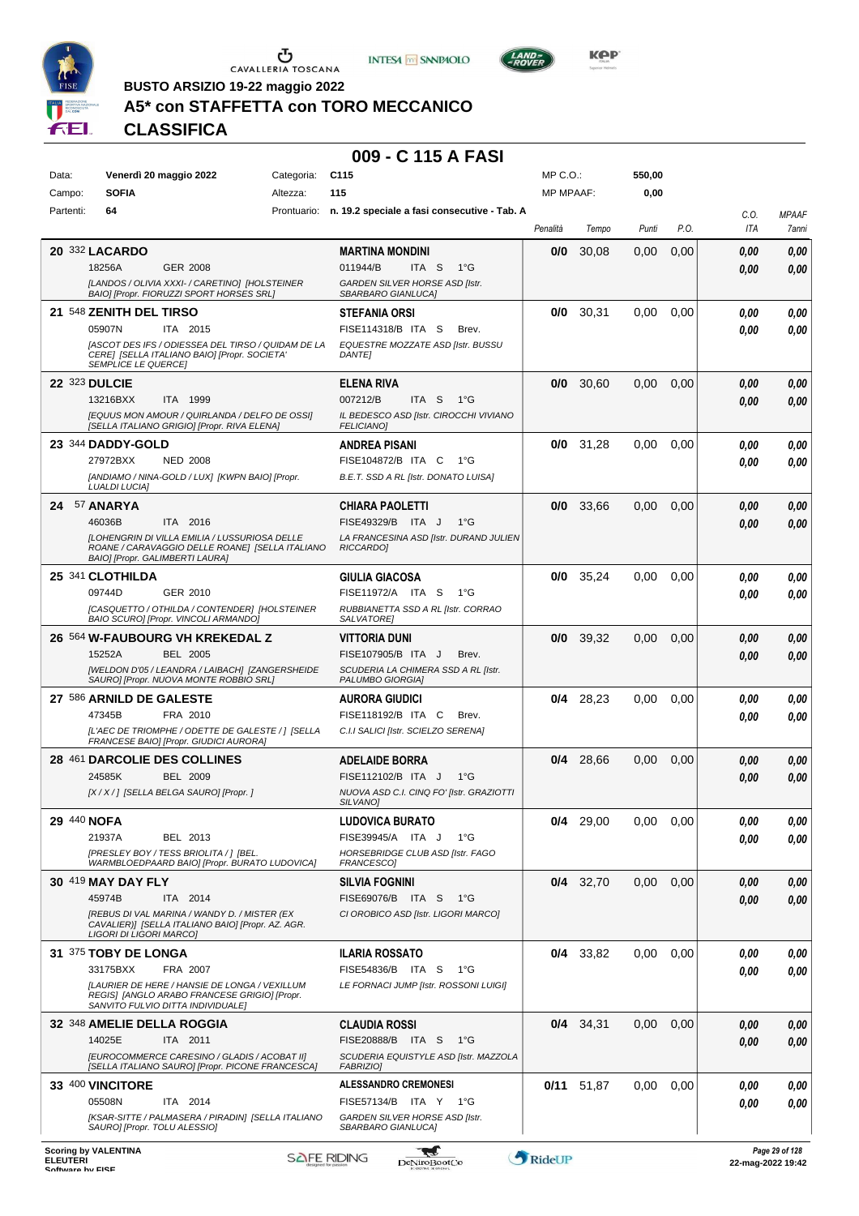





**Kep** 

**BUSTO ARSIZIO 19-22 maggio 2022**

# **A5\* con STAFFETTA con TORO MECCANICO**

**CLASSIFICA**

| Data:     | Venerdì 20 maggio 2022                                                                                                                                                             | Categoria: | C <sub>115</sub>                                                                                                          | $MP C. O.$ :     |              | 550,00 |      |                    |                       |
|-----------|------------------------------------------------------------------------------------------------------------------------------------------------------------------------------------|------------|---------------------------------------------------------------------------------------------------------------------------|------------------|--------------|--------|------|--------------------|-----------------------|
| Campo:    | <b>SOFIA</b>                                                                                                                                                                       | Altezza:   | 115                                                                                                                       | <b>MP MPAAF:</b> |              | 0,00   |      |                    |                       |
| Partenti: | 64                                                                                                                                                                                 |            | Prontuario: n. 19.2 speciale a fasi consecutive - Tab. A                                                                  | Penalità         | Tempo        | Punti  | P.O. | C.O.<br><b>ITA</b> | <b>MPAAF</b><br>7anni |
|           | <b>20 332 LACARDO</b><br>18256A<br><b>GER 2008</b><br>[LANDOS / OLIVIA XXXI- / CARETINO] [HOLSTEINER<br>BAIO] [Propr. FIORUZZI SPORT HORSES SRL]                                   |            | <b>MARTINA MONDINI</b><br>011944/B<br>ITA S<br>$1^{\circ}G$<br>GARDEN SILVER HORSE ASD [Istr.<br>SBARBARO GIANLUCA]       | 0/0              | 30,08        | 0,00   | 0,00 | 0.00<br>0.00       | 0,00<br>0,00          |
|           | 21 548 ZENITH DEL TIRSO<br>05907N<br>ITA 2015<br>[ASCOT DES IFS / ODIESSEA DEL TIRSO / QUIDAM DE LA<br>CERE] [SELLA ITALIANO BAIO] [Propr. SOCIETA'<br><b>SEMPLICE LE QUERCET</b>  |            | <b>STEFANIA ORSI</b><br>FISE114318/B ITA S<br>Brev.<br>EQUESTRE MOZZATE ASD [Istr. BUSSU<br><b>DANTEI</b>                 | 0/0              | 30,31        | 0,00   | 0,00 | 0.00<br>0.00       | 0,00<br>0,00          |
|           | <b>22 323 DULCIE</b><br>13216BXX<br>ITA 1999<br>[EQUUS MON AMOUR / QUIRLANDA / DELFO DE OSSI]<br>[SELLA ITALIANO GRIGIO] [Propr. RIVA ELENA]                                       |            | <b>ELENA RIVA</b><br>007212/B<br>ITA S<br>$1^{\circ}G$<br>IL BEDESCO ASD [Istr. CIROCCHI VIVIANO<br><b>FELICIANO]</b>     | 0/0              | 30,60        | 0,00   | 0,00 | 0.00<br>0.00       | 0,00<br>0,00          |
|           | 23 344 DADDY-GOLD<br>27972BXX<br><b>NED 2008</b><br>[ANDIAMO / NINA-GOLD / LUX] [KWPN BAIO] [Propr.<br><b>LUALDI LUCIA]</b>                                                        |            | <b>ANDREA PISANI</b><br>FISE104872/B ITA C<br>1°G<br>B.E.T. SSD A RL [Istr. DONATO LUISA]                                 | 0/0              | 31,28        | 0.00   | 0,00 | 0.00<br>0.00       | 0,00<br>0,00          |
|           | 24 57 ANARYA<br>46036B<br>ITA 2016<br>[LOHENGRIN DI VILLA EMILIA / LUSSURIOSA DELLE<br>ROANE / CARAVAGGIO DELLE ROANE] [SELLA ITALIANO<br>BAIO] [Propr. GALIMBERTI LAURA]          |            | <b>CHIARA PAOLETTI</b><br>FISE49329/B ITA J<br>$1^{\circ}G$<br>LA FRANCESINA ASD [Istr. DURAND JULIEN<br><b>RICCARDOI</b> | 0/0              | 33,66        | 0,00   | 0,00 | 0.00<br>0.00       | 0,00<br>0,00          |
|           | 25 341 CLOTHILDA<br>09744D<br>GER 2010<br>[CASQUETTO / OTHILDA / CONTENDER] [HOLSTEINER<br>BAIO SCURO] [Propr. VINCOLI ARMANDO]                                                    |            | <b>GIULIA GIACOSA</b><br>FISE11972/A ITA S<br>1°G<br>RUBBIANETTA SSD A RL [Istr. CORRAO<br>SALVATORE]                     | 0/0              | 35,24        | 0.00   | 0,00 | 0.00<br>0.00       | 0,00<br>0.00          |
|           | 26 564 W-FAUBOURG VH KREKEDAL Z<br><b>BEL 2005</b><br>15252A<br>[WELDON D'05 / LEANDRA / LAIBACH] [ZANGERSHEIDE<br>SAURO] [Propr. NUOVA MONTE ROBBIO SRL]                          |            | VITTORIA DUNI<br>FISE107905/B ITA J<br>Brev.<br>SCUDERIA LA CHIMERA SSD A RL [Istr.<br>PALUMBO GIORGIA]                   | 0/0              | 39,32        | 0,00   | 0,00 | 0.00<br>0.00       | 0,00<br>0.00          |
|           | 27 586 ARNILD DE GALESTE<br>47345B<br>FRA 2010<br>[L'AEC DE TRIOMPHE / ODETTE DE GALESTE / ] [SELLA<br>FRANCESE BAIO] [Propr. GIUDICI AURORA]                                      |            | AURORA GIUDICI<br>FISE118192/B ITA C<br>Brev.<br>C.I.I SALICI [Istr. SCIELZO SERENA]                                      | 0/4              | 28,23        | 0.00   | 0,00 | 0.00<br>0.00       | 0,00<br>0.00          |
|           | 28 461 DARCOLIE DES COLLINES<br>24585K<br><b>BEL 2009</b><br>[X / X / ] [SELLA BELGA SAURO] [Propr. ]                                                                              |            | <b>ADELAIDE BORRA</b><br>FISE112102/B ITA J<br>1°G<br>NUOVA ASD C.I. CINQ FO' [Istr. GRAZIOTTI<br>SILVANO]                | 0/4              | 28,66        | 0.00   | 0,00 | 0.00<br>0.00       | 0,00<br>0,00          |
|           | 29 440 NOFA<br>21937A<br>BEL 2013<br><b>IPRESLEY BOY / TESS BRIOLITA / 1 IBEL.</b><br>WARMBLOEDPAARD BAIO] [Propr. BURATO LUDOVICA]                                                |            | <b>LUDOVICA BURATO</b><br>FISE39945/A ITA J<br>1°G<br>HORSEBRIDGE CLUB ASD [Istr. FAGO<br>FRANCESCO]                      | 0/4              | 29,00        | 0,00   | 0,00 | 0,00<br>0.00       | 0,00<br>0.00          |
|           | 30 419 MAY DAY FLY<br>45974B<br>ITA 2014<br>[REBUS DI VAL MARINA / WANDY D. / MISTER (EX<br>CAVALIER)] [SELLA ITALIANO BAIO] [Propr. AZ. AGR.<br>LIGORI DI LIGORI MARCO]           |            | <b>SILVIA FOGNINI</b><br>FISE69076/B ITA S<br>− 1°G<br>CI OROBICO ASD [Istr. LIGORI MARCO]                                |                  | $0/4$ 32,70  | 0,00   | 0,00 | 0.00<br>0,00       | 0,00<br>0,00          |
|           | 31 375 TOBY DE LONGA<br>33175BXX<br>FRA 2007<br>[LAURIER DE HERE / HANSIE DE LONGA / VEXILLUM<br>REGIS] [ANGLO ARABO FRANCESE GRIGIO] [Propr.<br>SANVITO FULVIO DITTA INDIVIDUALE] |            | <b>ILARIA ROSSATO</b><br>FISE54836/B ITA S<br>− 1°G<br>LE FORNACI JUMP [Istr. ROSSONI LUIGI]                              |                  | $0/4$ 33,82  | 0,00   | 0,00 | 0.00<br>0.00       | 0,00<br>0,00          |
|           | 32 348 AMELIE DELLA ROGGIA<br>14025E<br>ITA 2011<br>[EUROCOMMERCE CARESINO / GLADIS / ACOBAT II]<br>[SELLA ITALIANO SAURO] [Propr. PICONE FRANCESCA]                               |            | <b>CLAUDIA ROSSI</b><br>FISE20888/B ITA S<br>1°G<br>SCUDERIA EQUISTYLE ASD [Istr. MAZZOLA<br><b>FABRIZIO]</b>             |                  | $0/4$ 34,31  | 0,00   | 0,00 | 0,00<br>0,00       | 0,00<br>0,00          |
|           | 33 400 VINCITORE<br>05508N<br>ITA 2014<br>[KSAR-SITTE / PALMASERA / PIRADIN] [SELLA ITALIANO<br>SAURO] [Propr. TOLU ALESSIO]                                                       |            | <b>ALESSANDRO CREMONESI</b><br>FISE57134/B ITA Y 1°G<br>GARDEN SILVER HORSE ASD [Istr.<br>SBARBARO GIANLUCA]              |                  | $0/11$ 51,87 | 0,00   | 0,00 | 0,00<br>0.00       | 0,00<br>0,00          |
|           | Scoring by VAI ENTINA                                                                                                                                                              |            |                                                                                                                           |                  |              |        |      |                    | <b>Dogo 20 of 128</b> |

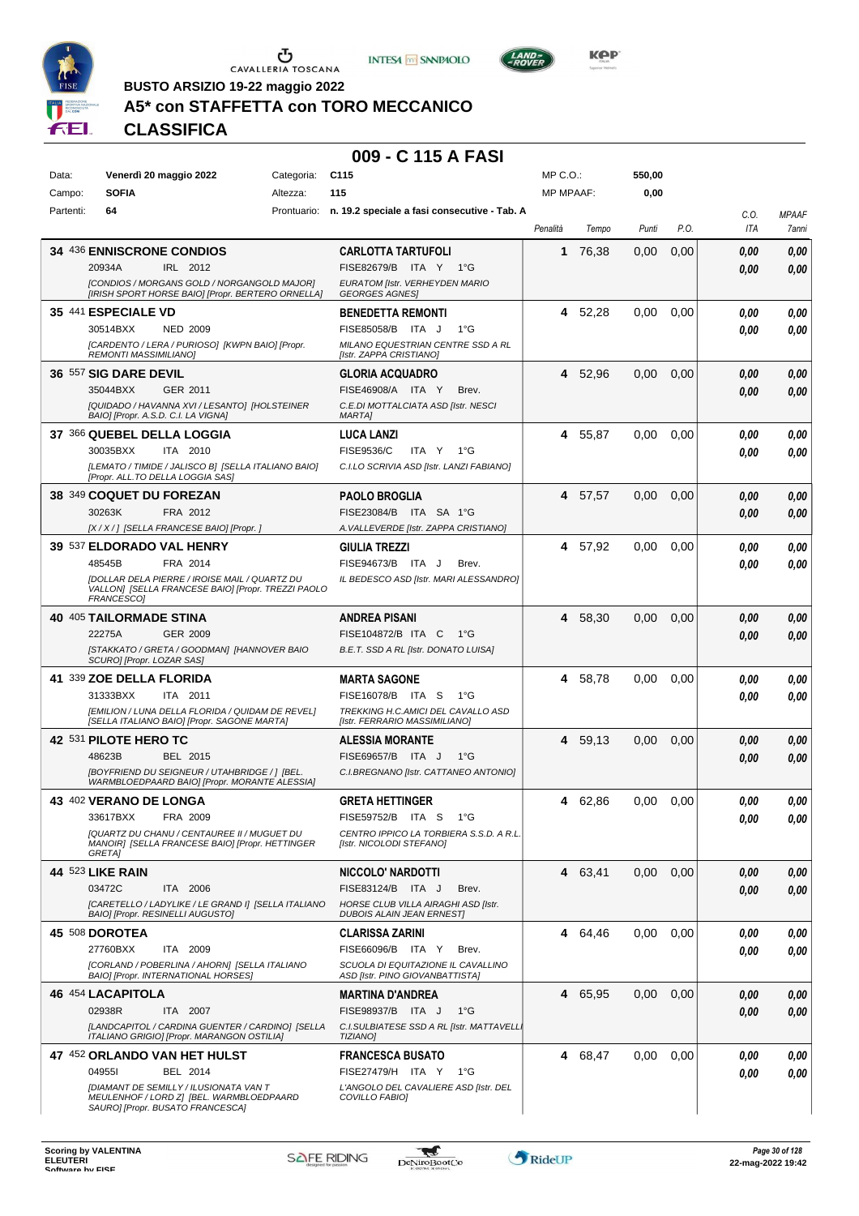





**Kep** 

**BUSTO ARSIZIO 19-22 maggio 2022**

# **A5\* con STAFFETTA con TORO MECCANICO**

**CLASSIFICA**

| Data:     | Venerdì 20 maggio 2022                                                                                                 | Categoria: | C <sub>115</sub>                                                    | MP C. O.         |         | 550,00 |      |      |              |
|-----------|------------------------------------------------------------------------------------------------------------------------|------------|---------------------------------------------------------------------|------------------|---------|--------|------|------|--------------|
| Campo:    | <b>SOFIA</b>                                                                                                           | Altezza:   | 115                                                                 | <b>MP MPAAF:</b> |         | 0,00   |      |      |              |
| Partenti: | 64                                                                                                                     |            | Prontuario: n. 19.2 speciale a fasi consecutive - Tab. A            |                  |         |        |      | C.0. | <b>MPAAF</b> |
|           |                                                                                                                        |            |                                                                     | Penalità         | Tempo   | Punti  | P.O. | ITA  | 7anni        |
|           | 34 436 ENNISCRONE CONDIOS                                                                                              |            | <b>CARLOTTA TARTUFOLI</b>                                           | 1                | 76,38   | 0,00   | 0,00 | 0,00 | 0,00         |
|           | IRL 2012<br>20934A                                                                                                     |            | FISE82679/B ITA Y 1°G                                               |                  |         |        |      | 0.00 | 0,00         |
|           | [CONDIOS / MORGANS GOLD / NORGANGOLD MAJOR]<br>[IRISH SPORT HORSE BAIO] [Propr. BERTERO ORNELLA]                       |            | EURATOM [Istr. VERHEYDEN MARIO<br><b>GEORGES AGNES</b>              |                  |         |        |      |      |              |
|           | 35 441 ESPECIALE VD                                                                                                    |            | <b>BENEDETTA REMONTI</b>                                            |                  | 4 52,28 | 0.00   | 0,00 | 0,00 | 0,00         |
|           | 30514BXX<br><b>NED 2009</b>                                                                                            |            | FISE85058/B ITA J<br>$1^{\circ}G$                                   |                  |         |        |      | 0,00 | 0,00         |
|           | [CARDENTO / LERA / PURIOSO] [KWPN BAIO] [Propr.                                                                        |            | MILANO EQUESTRIAN CENTRE SSD A RL                                   |                  |         |        |      |      |              |
|           | REMONTI MASSIMILIANO]                                                                                                  |            | [Istr. ZAPPA CRISTIANO]                                             |                  |         |        |      |      |              |
|           | 36 557 SIG DARE DEVIL                                                                                                  |            | <b>GLORIA ACQUADRO</b>                                              |                  | 4 52,96 | 0.00   | 0,00 | 0,00 | 0,00         |
|           | 35044BXX<br>GER 2011                                                                                                   |            | FISE46908/A ITA Y<br>Brev.                                          |                  |         |        |      | 0.00 | 0,00         |
|           | [QUIDADO / HAVANNA XVI / LESANTO] [HOLSTEINER<br>BAIO] [Propr. A.S.D. C.I. LA VIGNA]                                   |            | C.E.DI MOTTALCIATA ASD [Istr. NESCI<br><b>MARTA]</b>                |                  |         |        |      |      |              |
|           | 37 366 QUEBEL DELLA LOGGIA                                                                                             |            | <b>LUCA LANZI</b>                                                   |                  | 4 55,87 | 0.00   | 0,00 | 0,00 | 0,00         |
|           | 30035BXX<br>ITA 2010                                                                                                   |            | FISE9536/C<br>ITA Y<br>1°G                                          |                  |         |        |      | 0.00 | 0,00         |
|           | [LEMATO / TIMIDE / JALISCO B] [SELLA ITALIANO BAIO]<br>[Propr. ALL.TO DELLA LOGGIA SAS]                                |            | C.I.LO SCRIVIA ASD [Istr. LANZI FABIANO]                            |                  |         |        |      |      |              |
|           | 38 349 COQUET DU FOREZAN                                                                                               |            | <b>PAOLO BROGLIA</b>                                                |                  | 4 57.57 | 0,00   | 0,00 | 0.00 | 0,00         |
|           | 30263K<br>FRA 2012                                                                                                     |            | FISE23084/B ITA SA 1°G                                              |                  |         |        |      | 0.00 | 0,00         |
|           | [X / X / ] [SELLA FRANCESE BAIO] [Propr. ]                                                                             |            | A. VALLEVERDE [Istr. ZAPPA CRISTIANO]                               |                  |         |        |      |      |              |
|           | 39 537 ELDORADO VAL HENRY                                                                                              |            | <b>GIULIA TREZZI</b>                                                |                  | 4 57,92 | 0.00   | 0,00 | 0,00 | 0,00         |
|           | 48545B<br>FRA 2014                                                                                                     |            | FISE94673/B ITA J<br>Brev.                                          |                  |         |        |      | 0.00 | 0.00         |
|           | <b>IDOLLAR DELA PIERRE / IROISE MAIL / QUARTZ DU</b><br>VALLON] [SELLA FRANCESE BAIO] [Propr. TREZZI PAOLO             |            | IL BEDESCO ASD [Istr. MARI ALESSANDRO]                              |                  |         |        |      |      |              |
|           | FRANCESCO]                                                                                                             |            |                                                                     |                  |         |        |      |      |              |
|           | 40 405 TAILORMADE STINA                                                                                                |            | <b>ANDREA PISANI</b>                                                | 4                | 58,30   | 0,00   | 0,00 | 0.00 | 0,00         |
|           | 22275A<br><b>GER 2009</b>                                                                                              |            | FISE104872/B ITA C<br>1°G                                           |                  |         |        |      | 0.00 | 0,00         |
|           | [STAKKATO / GRETA / GOODMAN] [HANNOVER BAIO<br>SCURO] [Propr. LOZAR SAS]                                               |            | B.E.T. SSD A RL [Istr. DONATO LUISA]                                |                  |         |        |      |      |              |
|           | 41 339 ZOE DELLA FLORIDA                                                                                               |            | <b>MARTA SAGONE</b>                                                 | 4                | 58,78   | 0.00   | 0,00 | 0,00 | 0,00         |
|           | 31333BXX<br>ITA 2011                                                                                                   |            | FISE16078/B ITA S<br>$1^{\circ}G$                                   |                  |         |        |      | 0.00 | 0,00         |
|           | [EMILION / LUNA DELLA FLORIDA / QUIDAM DE REVEL]<br>[SELLA ITALIANO BAIO] [Propr. SAGONE MARTA]                        |            | TREKKING H.C.AMICI DEL CAVALLO ASD<br>[Istr. FERRARIO MASSIMILIANO] |                  |         |        |      |      |              |
|           | 42 531 PILOTE HERO TC                                                                                                  |            | <b>ALESSIA MORANTE</b>                                              |                  | 4 59.13 | 0,00   | 0,00 | 0,00 | 0,00         |
|           | 48623B<br>BEL 2015                                                                                                     |            | FISE69657/B ITA J<br>1°G                                            |                  |         |        |      | 0.00 | 0,00         |
|           | [BOYFRIEND DU SEIGNEUR / UTAHBRIDGE / ] [BEL.                                                                          |            | C.I.BREGNANO [Istr. CATTANEO ANTONIO]                               |                  |         |        |      |      |              |
|           | WARMBLOEDPAARD BAIO] [Propr. MORANTE ALESSIA]                                                                          |            |                                                                     |                  |         |        |      |      |              |
|           | 43 402 VERANO DE LONGA<br>33617BXX<br>FRA 2009                                                                         |            | <b>GRETA HETTINGER</b><br>FISE59752/B ITA S 1°G                     | 4                | 62,86   | 0.00   | 0,00 | 0.00 | 0,00         |
|           | [QUARTZ DU CHANU / CENTAUREE II / MUGUET DU                                                                            |            | CENTRO IPPICO LA TORBIERA S.S.D. A R.L.                             |                  |         |        |      | 0,00 | 0,00         |
|           | MANOIR] [SELLA FRANCESE BAIO] [Propr. HETTINGER<br><b>GRETAI</b>                                                       |            | [Istr. NICOLODI STEFANO]                                            |                  |         |        |      |      |              |
|           | <b>44 523 LIKE RAIN</b>                                                                                                |            | NICCOLO' NARDOTTI                                                   |                  | 4 63,41 | 0,00   | 0,00 | 0,00 | 0,00         |
|           | 03472C<br>ITA 2006                                                                                                     |            | FISE83124/B ITA J<br>Brev.                                          |                  |         |        |      | 0,00 | 0,00         |
|           | [CARETELLO / LADYLIKE / LE GRAND I] [SELLA ITALIANO                                                                    |            | HORSE CLUB VILLA AIRAGHI ASD [Istr.                                 |                  |         |        |      |      |              |
|           | BAIO] [Propr. RESINELLI AUGUSTO]                                                                                       |            | <b>DUBOIS ALAIN JEAN ERNEST]</b>                                    |                  |         |        |      |      |              |
|           | 45 508 DOROTEA<br>27760BXX<br>ITA 2009                                                                                 |            | <b>CLARISSA ZARINI</b><br>FISE66096/B ITA Y<br>Brev.                |                  | 4 64,46 | 0,00   | 0,00 | 0,00 | 0,00         |
|           | [CORLAND / POBERLINA / AHORN] [SELLA ITALIANO                                                                          |            | SCUOLA DI EQUITAZIONE IL CAVALLINO                                  |                  |         |        |      | 0,00 | 0,00         |
|           | BAIO] [Propr. INTERNATIONAL HORSES]                                                                                    |            | ASD [Istr. PINO GIOVANBATTISTA]                                     |                  |         |        |      |      |              |
|           | 46 454 LACAPITOLA                                                                                                      |            | <b>MARTINA D'ANDREA</b>                                             |                  | 4 65,95 | 0,00   | 0,00 | 0,00 | 0,00         |
|           | 02938R<br>ITA 2007                                                                                                     |            | FISE98937/B ITA J<br>$1^{\circ}G$                                   |                  |         |        |      | 0,00 | 0,00         |
|           | [LANDCAPITOL / CARDINA GUENTER / CARDINO] [SELLA<br>ITALIANO GRIGIO] [Propr. MARANGON OSTILIA]                         |            | C.I.SULBIATESE SSD A RL [Istr. MATTAVELL]<br>TIZIANO]               |                  |         |        |      |      |              |
|           | 47 452 ORLANDO VAN HET HULST                                                                                           |            | <b>FRANCESCA BUSATO</b>                                             |                  | 4 68,47 | 0,00   | 0,00 | 0,00 | 0,00         |
|           | 049551<br>BEL 2014                                                                                                     |            | FISE27479/H ITA Y<br>1°G                                            |                  |         |        |      | 0,00 | 0,00         |
|           | [DIAMANT DE SEMILLY / ILUSIONATA VAN T<br>MEULENHOF / LORD Z] [BEL. WARMBLOEDPAARD<br>SAURO] [Propr. BUSATO FRANCESCA] |            | L'ANGOLO DEL CAVALIERE ASD [Istr. DEL<br>COVILLO FABIO]             |                  |         |        |      |      |              |

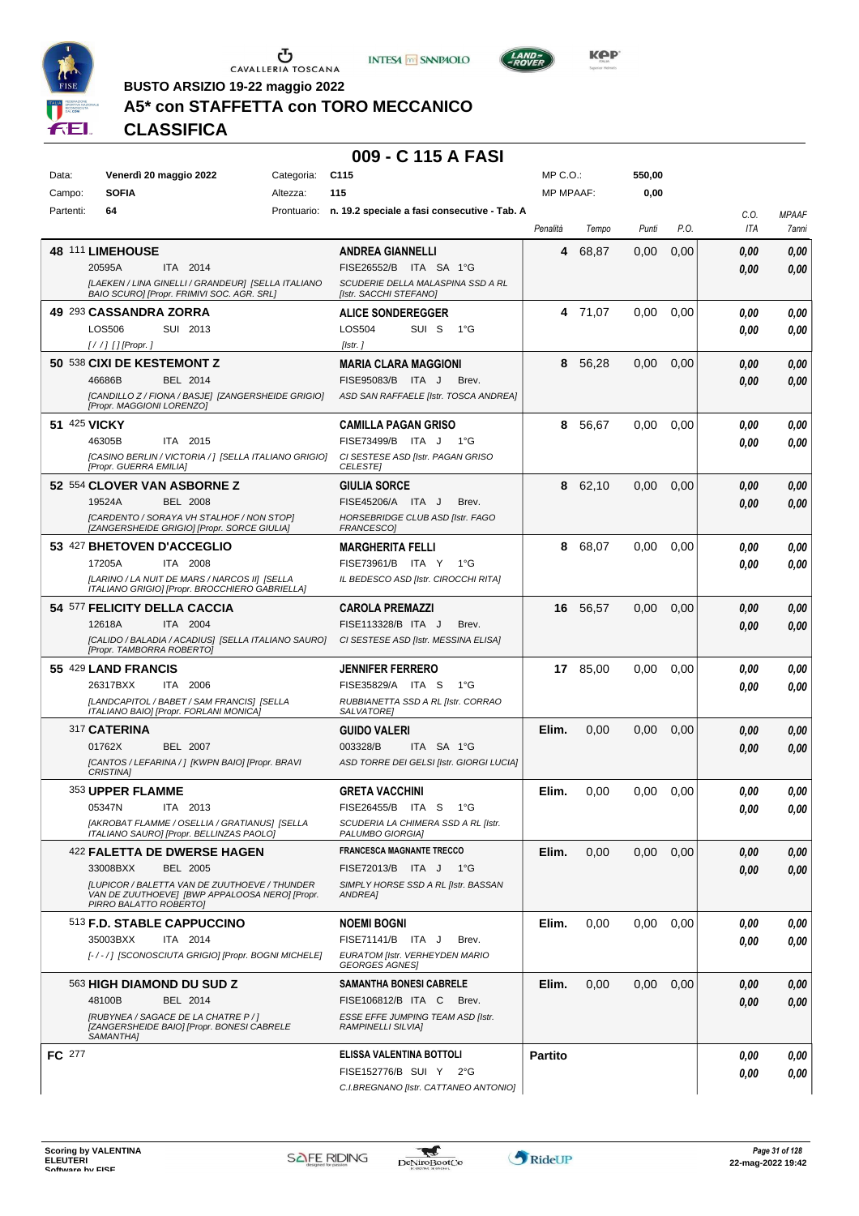





**BUSTO ARSIZIO 19-22 maggio 2022**

# **A5\* con STAFFETTA con TORO MECCANICO**

**CLASSIFICA**

| Data:         | Venerdì 20 maggio 2022                                                                                                                                                           | C <sub>115</sub><br>Categoria: |                                                                                                                              | MP C.O.:<br><b>MP MPAAF:</b> |          | 550,00<br>0,00 |      |              |                       |
|---------------|----------------------------------------------------------------------------------------------------------------------------------------------------------------------------------|--------------------------------|------------------------------------------------------------------------------------------------------------------------------|------------------------------|----------|----------------|------|--------------|-----------------------|
| Campo:        | <b>SOFIA</b>                                                                                                                                                                     | Altezza:<br>115                |                                                                                                                              |                              |          |                |      |              |                       |
| Partenti:     | 64                                                                                                                                                                               |                                | Prontuario: n. 19.2 speciale a fasi consecutive - Tab. A                                                                     | Penalità                     | Tempo    | Punti          | P.O. | C.O.<br>ITA  | <b>MPAAF</b><br>7anni |
|               | 48 111 LIMEHOUSE<br>20595A<br>ITA 2014<br>[LAEKEN / LINA GINELLI / GRANDEUR] [SELLA ITALIANO<br>BAIO SCURO] [Propr. FRIMIVI SOC. AGR. SRL]                                       |                                | <b>ANDREA GIANNELLI</b><br>FISE26552/B ITA SA 1°G<br>SCUDERIE DELLA MALASPINA SSD A RL<br>[Istr. SACCHI STEFANO]             | 4                            | 68,87    | 0,00           | 0,00 | 0.00<br>0.00 | 0,00<br>0,00          |
|               | 49 293 CASSANDRA ZORRA<br><b>LOS506</b><br>SUI 2013<br>$[!//]$ [] [Propr.]                                                                                                       |                                | <b>ALICE SONDEREGGER</b><br>SUI S<br>LOS504<br>$1^{\circ}G$<br>[Istr.]                                                       |                              | 4 71.07  | 0,00           | 0,00 | 0.00<br>0.00 | 0,00<br>0.00          |
|               | 50 538 CIXI DE KESTEMONT Z<br>46686B<br>BEL 2014<br>[CANDILLO Z / FIONA / BASJE] [ZANGERSHEIDE GRIGIO]<br>[Propr. MAGGIONI LORENZO]                                              |                                | <b>MARIA CLARA MAGGIONI</b><br>FISE95083/B ITA J<br>Brev.<br>ASD SAN RAFFAELE [Istr. TOSCA ANDREA]                           | 8                            | 56,28    | 0,00           | 0,00 | 0.00<br>0.00 | 0,00<br>0,00          |
| 51 425 VICKY  | 46305B<br>ITA 2015<br>[CASINO BERLIN / VICTORIA / ] [SELLA ITALIANO GRIGIO]<br>[Propr. GUERRA EMILIA]                                                                            |                                | <b>CAMILLA PAGAN GRISO</b><br>FISE73499/B ITA J<br>1°G<br>CI SESTESE ASD [Istr. PAGAN GRISO<br><b>CELESTE</b>                | 8                            | 56,67    | 0,00           | 0,00 | 0.00<br>0.00 | 0,00<br>0,00          |
|               | 52 554 CLOVER VAN ASBORNE Z<br>19524A<br><b>BEL 2008</b><br>[CARDENTO / SORAYA VH STALHOF / NON STOP]<br>[ZANGERSHEIDE GRIGIO] [Propr. SORCE GIULIA]                             |                                | <b>GIULIA SORCE</b><br>FISE45206/A ITA J<br>Brev.<br>HORSEBRIDGE CLUB ASD [Istr. FAGO<br><b>FRANCESCO</b>                    | 8                            | 62,10    | 0,00           | 0,00 | 0.00<br>0.00 | 0,00<br>0,00          |
|               | 53 427 BHETOVEN D'ACCEGLIO<br>17205A<br>ITA 2008<br>[LARINO / LA NUIT DE MARS / NARCOS II] [SELLA<br>ITALIANO GRIGIO] [Propr. BROCCHIERO GABRIELLA]                              |                                | <b>MARGHERITA FELLI</b><br>FISE73961/B ITA Y<br>1°G<br>IL BEDESCO ASD [Istr. CIROCCHI RITA]                                  | 8                            | 68,07    | 0,00           | 0,00 | 0.00<br>0.00 | 0,00<br>0.00          |
|               | 54 577 FELICITY DELLA CACCIA<br>ITA 2004<br>12618A<br>[CALIDO / BALADIA / ACADIUS] [SELLA ITALIANO SAURO]<br>[Propr. TAMBORRA ROBERTO]                                           |                                | <b>CAROLA PREMAZZI</b><br>FISE113328/B ITA J<br>Brev.<br>CI SESTESE ASD [Istr. MESSINA ELISA]                                | 16                           | 56,57    | 0,00           | 0,00 | 0.00<br>0.00 | 0,00<br>0.00          |
|               | 55 429 LAND FRANCIS<br>26317BXX<br>ITA 2006<br>[LANDCAPITOL / BABET / SAM FRANCIS] [SELLA<br>ITALIANO BAIO] [Propr. FORLANI MONICA]                                              |                                | <b>JENNIFER FERRERO</b><br>FISE35829/A ITA S<br>1°G<br>RUBBIANETTA SSD A RL [Istr. CORRAO<br>SALVATORE]                      |                              | 17 85,00 | 0,00           | 0,00 | 0.00<br>0.00 | 0,00<br>0.00          |
|               | 317 CATERINA<br>01762X<br>BEL 2007<br>[CANTOS / LEFARINA / ] [KWPN BAIO] [Propr. BRAVI<br><b>CRISTINA1</b>                                                                       |                                | <b>GUIDO VALERI</b><br>003328/B<br>ITA SA 1°G<br>ASD TORRE DEI GELSI [Istr. GIORGI LUCIA]                                    | Elim.                        | 0,00     | 0,00           | 0,00 | 0.00<br>0.00 | 0,00<br>0,00          |
|               | 353 UPPER FLAMME<br>05347N<br>ITA 2013<br>[AKROBAT FLAMME / OSELLIA / GRATIANUS] [SELLA<br>ITALIANO SAURO] [Propr. BELLINZAS PAOLO]                                              |                                | <b>GRETA VACCHINI</b><br>FISE26455/B ITA S<br>$1^{\circ}G$<br>SCUDERIA LA CHIMERA SSD A RL [Istr.<br>PALUMBO GIORGIA]        | Elim.                        | 0,00     | 0.00           | 0,00 | 0.00<br>0.00 | 0,00<br>0.00          |
|               | 422 FALETTA DE DWERSE HAGEN<br>33008BXX<br>BEL 2005<br>[LUPICOR / BALETTA VAN DE ZUUTHOEVE / THUNDER<br>VAN DE ZUUTHOEVE] [BWP APPALOOSA NERO] [Propr.<br>PIRRO BALATTO ROBERTO] |                                | <b>FRANCESCA MAGNANTE TRECCO</b><br>FISE72013/B ITA J<br>1°G<br>SIMPLY HORSE SSD A RL [Istr. BASSAN<br>ANDREA]               | Elim.                        | 0,00     | 0,00           | 0,00 | 0.00<br>0.00 | 0,00<br>0,00          |
|               | 513 F.D. STABLE CAPPUCCINO<br>35003BXX<br>ITA 2014<br>[-/-/] [SCONOSCIUTA GRIGIO] [Propr. BOGNI MICHELE]                                                                         |                                | <b>NOEMI BOGNI</b><br>FISE71141/B ITA J<br>Brev.<br>EURATOM [Istr. VERHEYDEN MARIO<br><b>GEORGES AGNES!</b>                  | Elim.                        | 0,00     | 0.00           | 0,00 | 0.00<br>0.00 | 0,00<br>0,00          |
|               | 563 HIGH DIAMOND DU SUD Z<br>BEL 2014<br>48100B<br>[RUBYNEA / SAGACE DE LA CHATRE P / ]<br>[ZANGERSHEIDE BAIO] [Propr. BONESI CABRELE<br>SAMANTHAI                               |                                | <b>SAMANTHA BONESI CABRELE</b><br>FISE106812/B ITA C Brev.<br>ESSE EFFE JUMPING TEAM ASD [Istr.<br><b>RAMPINELLI SILVIA]</b> | Elim.                        | 0,00     | 0,00           | 0,00 | 0.00<br>0.00 | 0,00<br>0,00          |
| <b>FC</b> 277 |                                                                                                                                                                                  |                                | ELISSA VALENTINA BOTTOLI<br>FISE152776/B SUI Y 2°G<br>C.I.BREGNANO [Istr. CATTANEO ANTONIO]                                  | <b>Partito</b>               |          |                |      | 0.00<br>0.00 | 0,00<br>0,00          |

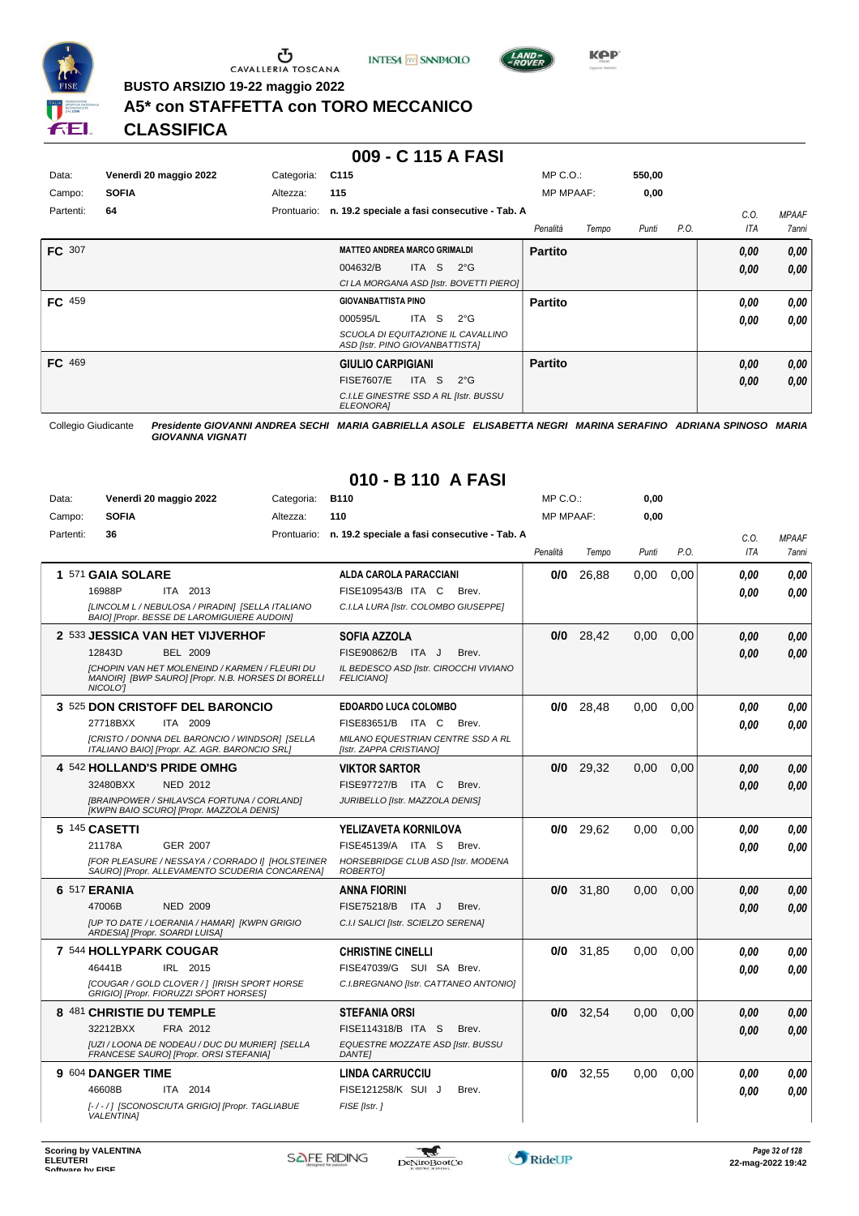

 $\sigma$  cavalleria toscana





**BUSTO ARSIZIO 19-22 maggio 2022**

# **A5\* con STAFFETTA con TORO MECCANICO**

**CLASSIFICA**

#### **009 - C 115 A FASI**

| Data:     | Venerdì 20 maggio 2022 | Categoria:  | C <sub>115</sub>                                                      | $MP C. O.$ :      | 550,00 |      |      |              |
|-----------|------------------------|-------------|-----------------------------------------------------------------------|-------------------|--------|------|------|--------------|
| Campo:    | <b>SOFIA</b>           | Altezza:    | 115                                                                   | <b>MP MPAAF:</b>  | 0,00   |      |      |              |
| Partenti: | 64                     | Prontuario: | n. 19.2 speciale a fasi consecutive - Tab. A                          |                   |        |      | C.0  | <b>MPAAF</b> |
|           |                        |             |                                                                       | Tempo<br>Penalità | Punti  | P.O. | ITA  | 7anni        |
| FC 307    |                        |             | <b>MATTEO ANDREA MARCO GRIMALDI</b>                                   | <b>Partito</b>    |        |      | 0,00 | 0,00         |
|           |                        |             | ITA S<br>004632/B<br>$2^{\circ}G$                                     |                   |        |      | 0,00 | 0.00         |
|           |                        |             | CI LA MORGANA ASD [Istr. BOVETTI PIERO]                               |                   |        |      |      |              |
| FC 459    |                        |             | <b>GIOVANBATTISTA PINO</b>                                            | <b>Partito</b>    |        |      | 0,00 | 0,00         |
|           |                        |             | ITA S<br>000595/L<br>$2^{\circ}$ G                                    |                   |        |      | 0,00 | 0,00         |
|           |                        |             | SCUOLA DI EQUITAZIONE IL CAVALLINO<br>ASD [Istr. PINO GIOVANBATTISTA] |                   |        |      |      |              |
| FC 469    |                        |             | <b>GIULIO CARPIGIANI</b>                                              | <b>Partito</b>    |        |      | 0,00 | 0,00         |
|           |                        |             | <b>FISE7607/E</b><br>ITA S<br>$2^{\circ}G$                            |                   |        |      | 0,00 | 0,00         |
|           |                        |             | C.I.LE GINESTRE SSD A RL [Istr. BUSSU<br>ELEONORA]                    |                   |        |      |      |              |

Collegio Giudicante *Presidente GIOVANNI ANDREA SECHI MARIA GABRIELLA ASOLE ELISABETTA NEGRI MARINA SERAFINO ADRIANA SPINOSO MARIA GIOVANNA VIGNATI*

# **010 - B 110 A FASI**

| Data:     |                                | Venerdì 20 maggio 2022                                                                                      | Categoria:  | <b>B110</b>                                                         | MP C.O.:         |       | 0,00  |      |                    |                       |
|-----------|--------------------------------|-------------------------------------------------------------------------------------------------------------|-------------|---------------------------------------------------------------------|------------------|-------|-------|------|--------------------|-----------------------|
| Campo:    | <b>SOFIA</b>                   |                                                                                                             | Altezza:    | 110                                                                 | <b>MP MPAAF:</b> |       | 0.00  |      |                    |                       |
| Partenti: | 36                             |                                                                                                             | Prontuario: | n. 19.2 speciale a fasi consecutive - Tab. A                        | Penalità         | Tempo | Punti | P.O. | C.O.<br><b>ITA</b> | <b>MPAAF</b><br>7anni |
|           | 1 571 GAIA SOLARE              |                                                                                                             |             | ALDA CAROLA PARACCIANI                                              | 0/0              | 26,88 | 0.00  | 0,00 | 0.00               | 0.00                  |
|           | 16988P                         | ITA 2013<br>[LINCOLM L / NEBULOSA / PIRADIN] [SELLA ITALIANO<br>BAIO] [Propr. BESSE DE LAROMIGUIERE AUDOIN] |             | FISE109543/B ITA C<br>Brev.<br>C.I.LA LURA [Istr. COLOMBO GIUSEPPE] |                  |       |       |      | 0.00               | 0.00                  |
|           |                                | 2 533 JESSICA VAN HET VIJVERHOF                                                                             |             | SOFIA AZZOLA                                                        | 0/0              | 28,42 | 0,00  | 0,00 | 0.00               | 0,00                  |
|           | 12843D                         | BEL 2009                                                                                                    |             | FISE90862/B ITA J<br>Brev.                                          |                  |       |       |      | 0.00               | 0.00                  |
|           | NICOLO'I                       | [CHOPIN VAN HET MOLENEIND / KARMEN / FLEURI DU<br>MANOIRI [BWP SAURO] [Propr. N.B. HORSES DI BORELLI        |             | IL BEDESCO ASD [Istr. CIROCCHI VIVIANO<br><b>FELICIANO1</b>         |                  |       |       |      |                    |                       |
|           |                                | 3 525 DON CRISTOFF DEL BARONCIO                                                                             |             | <b>EDOARDO LUCA COLOMBO</b>                                         | 0/0              | 28.48 | 0.00  | 0.00 | 0.00               | 0.00                  |
|           | 27718BXX                       | ITA 2009                                                                                                    |             | FISE83651/B ITA C<br>Brev.                                          |                  |       |       |      | 0.00               | 0.00                  |
|           |                                | [CRISTO / DONNA DEL BARONCIO / WINDSOR] [SELLA<br>ITALIANO BAIO] [Propr. AZ. AGR. BARONCIO SRL]             |             | MILANO EQUESTRIAN CENTRE SSD A RL<br>[Istr. ZAPPA CRISTIANO]        |                  |       |       |      |                    |                       |
|           |                                | 4 542 HOLLAND'S PRIDE OMHG                                                                                  |             | <b>VIKTOR SARTOR</b>                                                | 0/0              | 29,32 | 0,00  | 0.00 | 0.00               | 0.00                  |
|           | 32480BXX                       | <b>NED 2012</b>                                                                                             |             | FISE97727/B ITA C<br>Brev.                                          |                  |       |       |      | 0.00               | 0.00                  |
|           |                                | [BRAINPOWER / SHILAVSCA FORTUNA / CORLAND]<br>[KWPN BAIO SCURO] [Propr. MAZZOLA DENIS]                      |             | JURIBELLO [Istr. MAZZOLA DENIS]                                     |                  |       |       |      |                    |                       |
|           | 5 145 CASETTI                  |                                                                                                             |             | YELIZAVETA KORNILOVA                                                | 0/0              | 29,62 | 0,00  | 0,00 | 0.00               | 0.00                  |
|           | 21178A                         | <b>GER 2007</b>                                                                                             |             | FISE45139/A ITA S<br>Brev.                                          |                  |       |       |      | 0.00               | 0.00                  |
|           |                                | [FOR PLEASURE / NESSAYA / CORRADO I] [HOLSTEINER<br>SAURO] [Propr. ALLEVAMENTO SCUDERIA CONCARENA]          |             | HORSEBRIDGE CLUB ASD [Istr. MODENA<br><b>ROBERTOI</b>               |                  |       |       |      |                    |                       |
|           | 6 517 ERANIA                   |                                                                                                             |             | ANNA FIORINI                                                        | 0/0              | 31,80 | 0,00  | 0,00 | 0.00               | 0,00                  |
|           | 47006B                         | <b>NED 2009</b>                                                                                             |             | FISE75218/B ITA J<br>Brev.                                          |                  |       |       |      | 0,00               | 0,00                  |
|           | ARDESIA] [Propr. SOARDI LUISA] | [UP TO DATE / LOERANIA / HAMAR] [KWPN GRIGIO                                                                |             | C.I.I SALICI [Istr. SCIELZO SERENA]                                 |                  |       |       |      |                    |                       |
|           | 7 544 HOLLYPARK COUGAR         |                                                                                                             |             | <b>CHRISTINE CINELLI</b>                                            | 0/0              | 31,85 | 0,00  | 0,00 | 0.00               | 0.00                  |
|           | 46441B                         | IRL 2015                                                                                                    |             | FISE47039/G SUI SA Brev.                                            |                  |       |       |      | 0.00               | 0.00                  |
|           |                                | [COUGAR / GOLD CLOVER / ] [IRISH SPORT HORSE<br>GRIGIO] [Propr. FIORUZZI SPORT HORSES]                      |             | C.I.BREGNANO [Istr. CATTANEO ANTONIO]                               |                  |       |       |      |                    |                       |
|           | 8 481 CHRISTIE DU TEMPLE       |                                                                                                             |             | STEFANIA ORSI                                                       | 0/0              | 32,54 | 0,00  | 0.00 | 0.00               | 0.00                  |
|           | 32212BXX                       | FRA 2012                                                                                                    |             | FISE114318/B ITA S<br>Brev.                                         |                  |       |       |      | 0.00               | 0,00                  |
|           |                                | [UZI / LOONA DE NODEAU / DUC DU MURIER] [SELLA<br>FRANCESE SAURO] [Propr. ORSI STEFANIA]                    |             | EQUESTRE MOZZATE ASD [Istr. BUSSU<br><b>DANTEI</b>                  |                  |       |       |      |                    |                       |
|           | 9 604 DANGER TIME              |                                                                                                             |             | <b>LINDA CARRUCCIU</b>                                              | 0/0              | 32,55 | 0,00  | 0.00 | 0.00               | 0.00                  |
|           | 46608B                         | ITA 2014                                                                                                    |             | FISE121258/K SUI J<br>Brev.                                         |                  |       |       |      | 0.00               | 0.00                  |
|           | <b>VALENTINA1</b>              | [-/-/] [SCONOSCIUTA GRIGIO] [Propr. TAGLIABUE                                                               |             | FISE [Istr.]                                                        |                  |       |       |      |                    |                       |

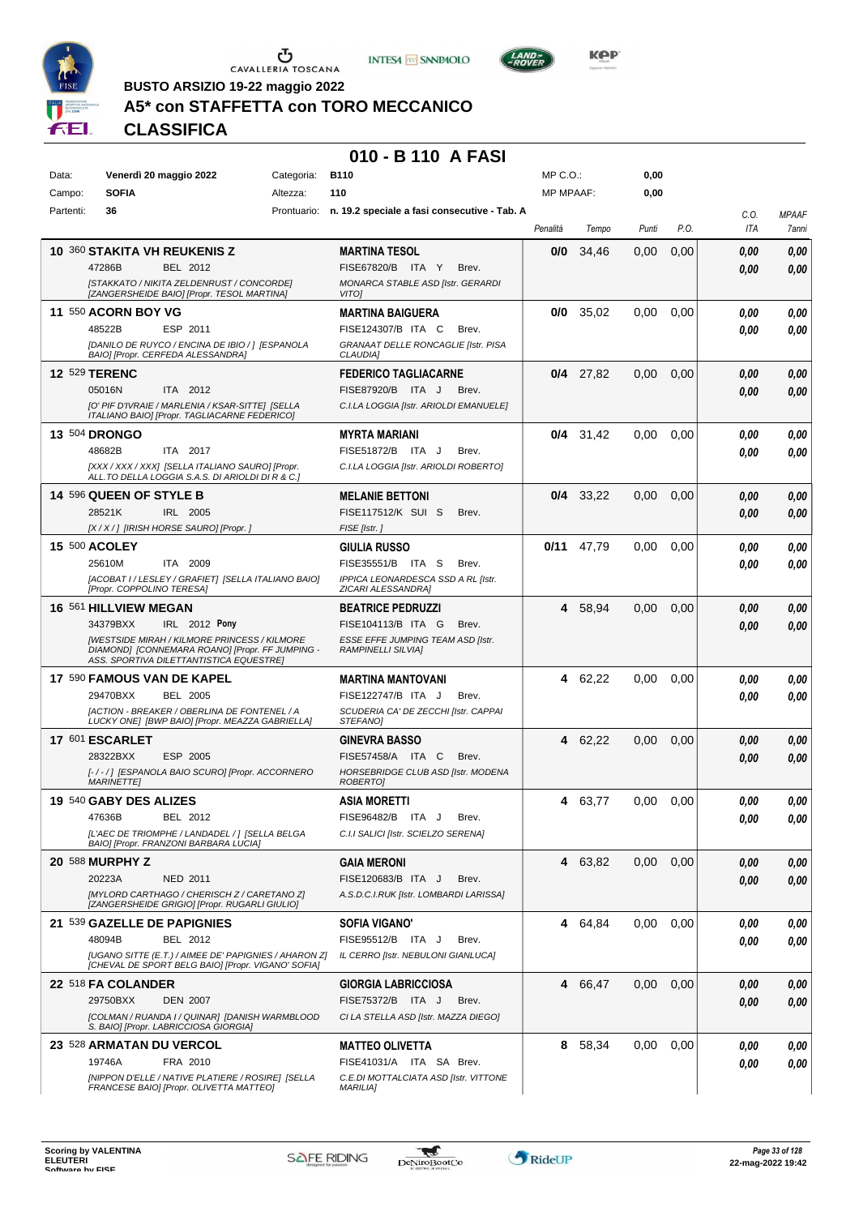





**Kep** 

**BUSTO ARSIZIO 19-22 maggio 2022**

# **A5\* con STAFFETTA con TORO MECCANICO**

**CLASSIFICA**

#### **010 - B 110 A FASI**

| Data:     | Venerdì 20 maggio 2022                                                                                 | B110<br>Categoria: |                                                                    | $MP C. O.$ :     |             | 0,00  |      |      |              |
|-----------|--------------------------------------------------------------------------------------------------------|--------------------|--------------------------------------------------------------------|------------------|-------------|-------|------|------|--------------|
| Campo:    | <b>SOFIA</b>                                                                                           | Altezza:           | 110                                                                | <b>MP MPAAF:</b> |             | 0,00  |      |      |              |
| Partenti: | 36                                                                                                     |                    | Prontuario: n. 19.2 speciale a fasi consecutive - Tab. A           |                  |             |       |      | C.O. | <b>MPAAF</b> |
|           |                                                                                                        |                    |                                                                    | Penalità         | Tempo       | Punti | P.O. | ITA  | 7anni        |
|           | 10 360 STAKITA VH REUKENIS Z                                                                           |                    | <b>MARTINA TESOL</b>                                               | 0/0              | 34,46       | 0,00  | 0,00 | 0.00 | 0,00         |
|           | 47286B<br>BEL 2012                                                                                     |                    | FISE67820/B ITA Y<br>Brev.                                         |                  |             |       |      | 0.00 | 0,00         |
|           | [STAKKATO / NIKITA ZELDENRUST / CONCORDE]<br>[ZANGERSHEIDE BAIO] [Propr. TESOL MARTINA]                |                    | MONARCA STABLE ASD [Istr. GERARDI<br>VITO]                         |                  |             |       |      |      |              |
|           | <b>11 550 ACORN BOY VG</b>                                                                             |                    | <b>MARTINA BAIGUERA</b>                                            | 0/0              | 35,02       | 0,00  | 0,00 | 0.00 | 0,00         |
|           | 48522B<br>ESP 2011                                                                                     |                    | FISE124307/B ITA C<br>Brev.                                        |                  |             |       |      |      |              |
|           | [DANILO DE RUYCO / ENCINA DE IBIO / ] [ESPANOLA                                                        |                    | GRANAAT DELLE RONCAGLIE [Istr. PISA                                |                  |             |       |      | 0.00 | 0,00         |
|           | BAIO] [Propr. CERFEDA ALESSANDRA]                                                                      |                    | <b>CLAUDIA]</b>                                                    |                  |             |       |      |      |              |
|           | <b>12 529 TERENC</b>                                                                                   |                    | <b>FEDERICO TAGLIACARNE</b>                                        |                  | $0/4$ 27,82 | 0,00  | 0,00 | 0,00 | 0,00         |
|           | ITA 2012<br>05016N                                                                                     |                    | FISE87920/B ITA J<br>Brev.                                         |                  |             |       |      | 0.00 | 0,00         |
|           | [O' PIF D'IVRAIE / MARLENIA / KSAR-SITTE] [SELLA<br>ITALIANO BAIO] [Propr. TAGLIACARNE FEDERICO]       |                    | C.I.LA LOGGIA [Istr. ARIOLDI EMANUELE]                             |                  |             |       |      |      |              |
|           | <b>13 504 DRONGO</b>                                                                                   |                    | <b>MYRTA MARIANI</b>                                               |                  | $0/4$ 31,42 | 0.00  | 0,00 | 0.00 | 0,00         |
|           | 48682B<br>ITA 2017                                                                                     |                    | FISE51872/B ITA J<br>Brev.                                         |                  |             |       |      | 0.00 | 0.00         |
|           | [XXX / XXX / XXX] [SELLA ITALIANO SAURO] [Propr.                                                       |                    | C.I.LA LOGGIA [Istr. ARIOLDI ROBERTO]                              |                  |             |       |      |      |              |
|           | ALL.TO DELLA LOGGIA S.A.S. DI ARIOLDI DI R & C.1                                                       |                    |                                                                    |                  |             |       |      |      |              |
|           | 14 596 QUEEN OF STYLE B<br>28521K<br>IRL 2005                                                          |                    | <b>MELANIE BETTONI</b><br>FISE117512/K SUI S<br>Brev.              |                  | $0/4$ 33,22 | 0,00  | 0,00 | 0,00 | 0,00         |
|           | [X / X / ] [IRISH HORSE SAURO] [Propr. ]                                                               |                    | FISE [Istr.]                                                       |                  |             |       |      | 0.00 | 0.00         |
|           | 15 500 ACOLEY                                                                                          |                    | <b>GIULIA RUSSO</b>                                                | 0/11             | 47,79       |       |      |      |              |
|           | ITA 2009<br>25610M                                                                                     |                    | FISE35551/B ITA S<br>Brev.                                         |                  |             | 0.00  | 0,00 | 0,00 | 0,00         |
|           | [ACOBAT I / LESLEY / GRAFIET] [SELLA ITALIANO BAIO]                                                    |                    | IPPICA LEONARDESCA SSD A RL [Istr.                                 |                  |             |       |      | 0,00 | 0.00         |
|           | [Propr. COPPOLINO TERESA]                                                                              |                    | ZICARI ALESSANDRA]                                                 |                  |             |       |      |      |              |
|           | 16 561 HILLVIEW MEGAN                                                                                  |                    | <b>BEATRICE PEDRUZZI</b>                                           | 4                | 58,94       | 0,00  | 0,00 | 0,00 | 0,00         |
|           | 34379BXX<br>IRL 2012 Pony                                                                              |                    | FISE104113/B ITA G<br>Brev.                                        |                  |             |       |      | 0.00 | 0,00         |
|           | <b>IWESTSIDE MIRAH / KILMORE PRINCESS / KILMORE</b><br>DIAMOND1 [CONNEMARA ROANO] [Propr. FF JUMPING - |                    | ESSE EFFE JUMPING TEAM ASD [Istr.<br><b>RAMPINELLI SILVIAI</b>     |                  |             |       |      |      |              |
|           | ASS. SPORTIVA DILETTANTISTICA EQUESTRE]                                                                |                    |                                                                    |                  |             |       |      |      |              |
|           | 17 590 FAMOUS VAN DE KAPEL                                                                             |                    | <b>MARTINA MANTOVANI</b>                                           | 4                | 62,22       | 0.00  | 0,00 | 0.00 | 0,00         |
|           | 29470BXX<br><b>BEL 2005</b>                                                                            |                    | FISE122747/B ITA J<br>Brev.                                        |                  |             |       |      | 0.00 | 0.00         |
|           | [ACTION - BREAKER / OBERLINA DE FONTENEL / A<br>LUCKY ONE] [BWP BAIO] [Propr. MEAZZA GABRIELLA]        |                    | SCUDERIA CA' DE ZECCHI [Istr. CAPPAI<br>STEFANO]                   |                  |             |       |      |      |              |
|           | 17 601 ESCARLET                                                                                        |                    | <b>GINEVRA BASSO</b>                                               | 4                | 62,22       | 0,00  | 0,00 | 0.00 | 0,00         |
|           | 28322BXX<br>ESP 2005                                                                                   |                    | FISE57458/A ITA C<br>Brev.                                         |                  |             |       |      | 0.00 | 0.00         |
|           | [-/-/] [ESPANOLA BAIO SCURO] [Propr. ACCORNERO                                                         |                    | HORSEBRIDGE CLUB ASD [Istr. MODENA                                 |                  |             |       |      |      |              |
|           | <b>MARINETTEI</b>                                                                                      |                    | ROBERTO]                                                           |                  |             |       |      |      |              |
|           | 19 540 GABY DES ALIZES                                                                                 |                    | ASIA MORETTI                                                       | 4                | 63,77       | 0.00  | 0,00 | 0.00 | 0.00         |
|           | 47636B<br>BEL 2012                                                                                     |                    | FISE96482/B ITA J<br>Brev.<br>C.I.I SALICI [Istr. SCIELZO SERENA]  |                  |             |       |      | 0,00 | 0,00         |
|           | [L'AEC DE TRIOMPHE / LANDADEL / ] [SELLA BELGA<br>BAIO] [Propr. FRANZONI BARBARA LUCIA]                |                    |                                                                    |                  |             |       |      |      |              |
|           | 20 588 MURPHY Z                                                                                        |                    | GAIA MERONI                                                        |                  | 4 63,82     | 0,00  | 0,00 | 0.00 | 0,00         |
|           | 20223A<br>NED 2011                                                                                     |                    | FISE120683/B ITA J<br>Brev.                                        |                  |             |       |      | 0.00 | 0,00         |
|           | [MYLORD CARTHAGO / CHERISCH Z / CARETANO Z]<br>[ZANGERSHEIDE GRIGIO] [Propr. RUGARLI GIULIO]           |                    | A.S.D.C.I.RUK [Istr. LOMBARDI LARISSA]                             |                  |             |       |      |      |              |
|           | 21 539 GAZELLE DE PAPIGNIES                                                                            |                    | SOFIA VIGANO'                                                      |                  | 4 64,84     | 0,00  | 0,00 | 0.00 | 0,00         |
|           | 48094B<br>BEL 2012                                                                                     |                    | FISE95512/B ITA J<br>Brev.                                         |                  |             |       |      | 0.00 | 0,00         |
|           | [UGANO SITTE (E.T.) / AIMEE DE' PAPIGNIES / AHARON Z]                                                  |                    | IL CERRO [Istr. NEBULONI GIANLUCA]                                 |                  |             |       |      |      |              |
|           | [CHEVAL DE SPORT BELG BAIO] [Propr. VIGANO' SOFIA]                                                     |                    |                                                                    |                  |             |       |      |      |              |
|           | 22 518 FA COLANDER                                                                                     |                    | <b>GIORGIA LABRICCIOSA</b>                                         |                  | 4 66,47     | 0,00  | 0,00 | 0.00 | 0,00         |
|           | 29750BXX<br><b>DEN 2007</b><br>[COLMAN / RUANDA I / QUINAR] [DANISH WARMBLOOD                          |                    | FISE75372/B ITA J<br>Brev.<br>CI LA STELLA ASD [Istr. MAZZA DIEGO] |                  |             |       |      | 0,00 | 0,00         |
|           | S. BAIO] [Propr. LABRICCIOSA GIORGIA]                                                                  |                    |                                                                    |                  |             |       |      |      |              |
|           | 23 528 ARMATAN DU VERCOL                                                                               |                    | <b>MATTEO OLIVETTA</b>                                             |                  | 8 58,34     | 0.00  | 0,00 | 0.00 | 0,00         |
|           | FRA 2010<br>19746A                                                                                     |                    | FISE41031/A ITA SA Brev.                                           |                  |             |       |      | 0.00 | 0,00         |
|           | [NIPPON D'ELLE / NATIVE PLATIERE / ROSIRE] [SELLA<br>FRANCESE BAIO] [Propr. OLIVETTA MATTEO]           |                    | C.E.DI MOTTALCIATA ASD [Istr. VITTONE<br><b>MARILIA]</b>           |                  |             |       |      |      |              |
|           |                                                                                                        |                    |                                                                    |                  |             |       |      |      |              |

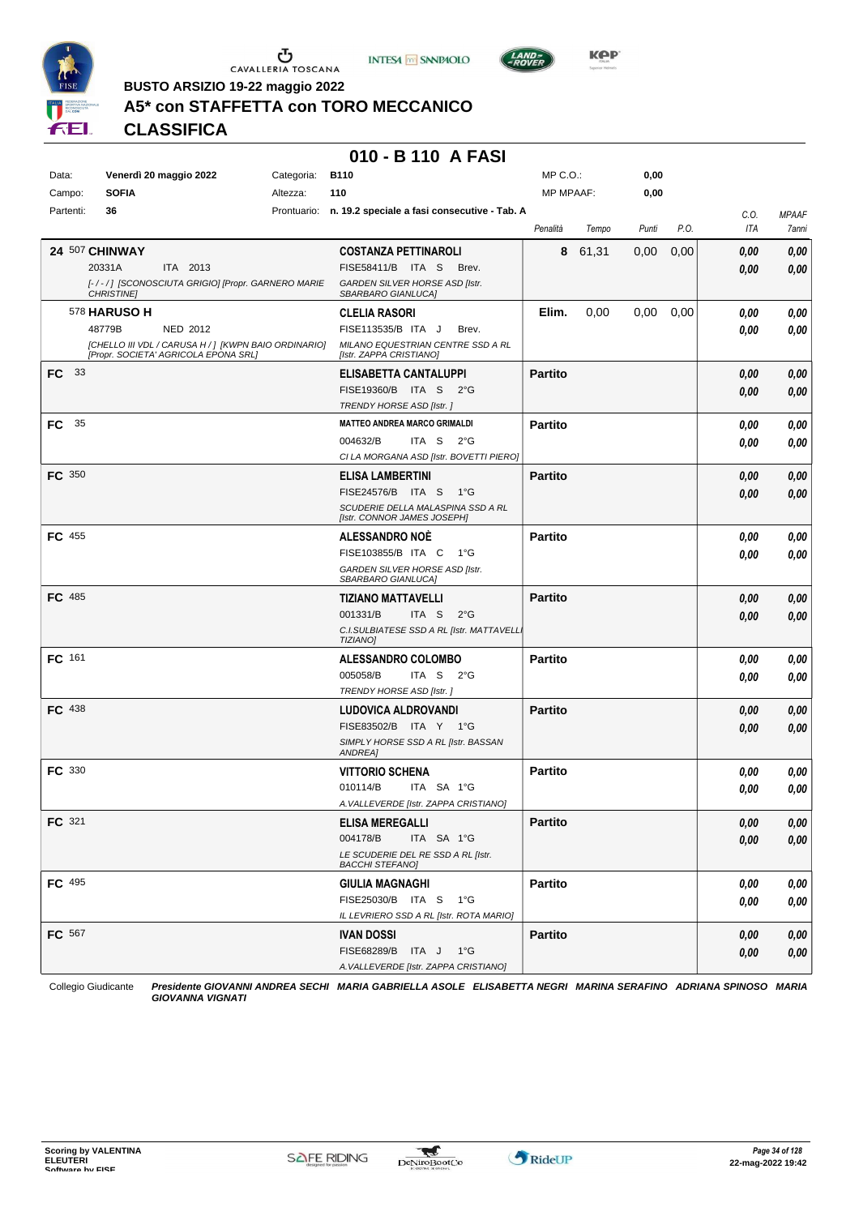





**KPP** 

**BUSTO ARSIZIO 19-22 maggio 2022**

## **A5\* con STAFFETTA con TORO MECCANICO**

**CLASSIFICA**

## **010 - B 110 A FASI**

| Data:            | Venerdì 20 maggio 2022 |                                                                                              | Categoria: | <b>B110</b>                                                  | MP C.O.:       |       | 0,00  |      |             |                       |
|------------------|------------------------|----------------------------------------------------------------------------------------------|------------|--------------------------------------------------------------|----------------|-------|-------|------|-------------|-----------------------|
| Campo:           | <b>SOFIA</b>           |                                                                                              | Altezza:   | 110                                                          | MP MPAAF:      |       | 0,00  |      |             |                       |
| Partenti:        | 36                     |                                                                                              |            | Prontuario: n. 19.2 speciale a fasi consecutive - Tab. A     |                |       |       |      |             |                       |
|                  |                        |                                                                                              |            |                                                              | Penalità       | Tempo | Punti | P.O. | C.O.<br>ITA | <b>MPAAF</b><br>7anni |
|                  | 24 507 CHINWAY         |                                                                                              |            | <b>COSTANZA PETTINAROLI</b>                                  | 8              | 61,31 | 0,00  | 0,00 | 0.00        | 0,00                  |
|                  | 20331A                 | ITA 2013                                                                                     |            | FISE58411/B ITA S<br>Brev.                                   |                |       |       |      | 0,00        | 0,00                  |
|                  |                        | [-/-/] [SCONOSCIUTA GRIGIO] [Propr. GARNERO MARIE                                            |            | GARDEN SILVER HORSE ASD [Istr.                               |                |       |       |      |             |                       |
|                  | <b>CHRISTINE</b>       |                                                                                              |            | SBARBARO GIANLUCA]                                           |                |       |       |      |             |                       |
|                  | <b>578 HARUSO H</b>    |                                                                                              |            | <b>CLELIA RASORI</b>                                         | Elim.          | 0,00  | 0,00  | 0,00 | 0.00        | 0,00                  |
|                  | 48779B                 | NED 2012                                                                                     |            | FISE113535/B ITA J<br>Brev.                                  |                |       |       |      | 0,00        | 0,00                  |
|                  |                        | [CHELLO III VDL / CARUSA H / ] [KWPN BAIO ORDINARIO]<br>[Propr. SOCIETA' AGRICOLA EPONA SRL] |            | MILANO EQUESTRIAN CENTRE SSD A RL<br>[Istr. ZAPPA CRISTIANO] |                |       |       |      |             |                       |
| FC <sup>33</sup> |                        |                                                                                              |            | ELISABETTA CANTALUPPI                                        | <b>Partito</b> |       |       |      | 0,00        | 0,00                  |
|                  |                        |                                                                                              |            | FISE19360/B ITA S 2°G                                        |                |       |       |      | 0,00        | 0,00                  |
|                  |                        |                                                                                              |            | TRENDY HORSE ASD [Istr.]                                     |                |       |       |      |             |                       |
| 35<br>FC .       |                        |                                                                                              |            | <b>MATTEO ANDREA MARCO GRIMALDI</b>                          | <b>Partito</b> |       |       |      | 0,00        | 0,00                  |
|                  |                        |                                                                                              |            | 004632/B<br>ITA S $2^{\circ}G$                               |                |       |       |      | 0,00        | 0,00                  |
|                  |                        |                                                                                              |            | CI LA MORGANA ASD [Istr. BOVETTI PIERO]                      |                |       |       |      |             |                       |
| <b>FC</b> 350    |                        |                                                                                              |            | <b>ELISA LAMBERTINI</b>                                      | <b>Partito</b> |       |       |      | 0,00        | 0,00                  |
|                  |                        |                                                                                              |            | FISE24576/B ITA S 1°G                                        |                |       |       |      | 0,00        | 0,00                  |
|                  |                        |                                                                                              |            | SCUDERIE DELLA MALASPINA SSD A RL                            |                |       |       |      |             |                       |
|                  |                        |                                                                                              |            | [Istr. CONNOR JAMES JOSEPH]                                  |                |       |       |      |             |                       |
| FC 455           |                        |                                                                                              |            | <b>ALESSANDRO NOE</b>                                        | <b>Partito</b> |       |       |      | 0.00        | 0,00                  |
|                  |                        |                                                                                              |            | FISE103855/B ITA C 1°G                                       |                |       |       |      | 0,00        | 0,00                  |
|                  |                        |                                                                                              |            | GARDEN SILVER HORSE ASD [Istr.<br>SBARBARO GIANLUCA]         |                |       |       |      |             |                       |
| <b>FC</b> 485    |                        |                                                                                              |            | <b>TIZIANO MATTAVELLI</b>                                    | <b>Partito</b> |       |       |      | 0,00        | 0,00                  |
|                  |                        |                                                                                              |            | 001331/B<br>ITA S<br>$2^{\circ}$ G                           |                |       |       |      | 0,00        | 0,00                  |
|                  |                        |                                                                                              |            | C.I.SULBIATESE SSD A RL [Istr. MATTAVELL.<br>TIZIANO]        |                |       |       |      |             |                       |
| FC 161           |                        |                                                                                              |            | <b>ALESSANDRO COLOMBO</b>                                    | <b>Partito</b> |       |       |      | 0,00        | 0,00                  |
|                  |                        |                                                                                              |            | 005058/B<br>ITA S<br>$2^{\circ}G$                            |                |       |       |      | 0,00        | 0,00                  |
|                  |                        |                                                                                              |            | TRENDY HORSE ASD [Istr.]                                     |                |       |       |      |             |                       |
| FC 438           |                        |                                                                                              |            | LUDOVICA ALDROVANDI                                          | <b>Partito</b> |       |       |      | 0,00        | 0,00                  |
|                  |                        |                                                                                              |            | FISE83502/B ITA Y 1°G                                        |                |       |       |      | 0,00        | 0,00                  |
|                  |                        |                                                                                              |            | SIMPLY HORSE SSD A RL [Istr. BASSAN                          |                |       |       |      |             |                       |
|                  |                        |                                                                                              |            | ANDREA]                                                      |                |       |       |      |             |                       |
| <b>FC</b> 330    |                        |                                                                                              |            | <b>VITTORIO SCHENA</b>                                       | <b>Partito</b> |       |       |      | 0,00        | 0,00                  |
|                  |                        |                                                                                              |            | 010114/B<br>ITA SA 1°G                                       |                |       |       |      | 0,00        | 0,00                  |
|                  |                        |                                                                                              |            | A. VALLEVERDE [Istr. ZAPPA CRISTIANO]                        |                |       |       |      |             |                       |
| FC 321           |                        |                                                                                              |            | <b>ELISA MEREGALLI</b>                                       | <b>Partito</b> |       |       |      | $0,\!00$    | 0,00                  |
|                  |                        |                                                                                              |            | 004178/B<br>ITA SA 1°G                                       |                |       |       |      | 0,00        | 0,00                  |
|                  |                        |                                                                                              |            | LE SCUDERIE DEL RE SSD A RL [Istr.<br><b>BACCHI STEFANO]</b> |                |       |       |      |             |                       |
| FC 495           |                        |                                                                                              |            | <b>GIULIA MAGNAGHI</b>                                       | <b>Partito</b> |       |       |      | 0,00        | 0,00                  |
|                  |                        |                                                                                              |            | FISE25030/B ITA S 1°G                                        |                |       |       |      | 0,00        | 0,00                  |
|                  |                        |                                                                                              |            | IL LEVRIERO SSD A RL [Istr. ROTA MARIO]                      |                |       |       |      |             |                       |
| <b>FC</b> 567    |                        |                                                                                              |            | <b>IVAN DOSSI</b>                                            | <b>Partito</b> |       |       |      | 0,00        | 0,00                  |
|                  |                        |                                                                                              |            | FISE68289/B ITA J 1°G                                        |                |       |       |      | 0,00        | 0,00                  |
|                  |                        |                                                                                              |            | A. VALLEVERDE [Istr. ZAPPA CRISTIANO]                        |                |       |       |      |             |                       |
|                  |                        |                                                                                              |            |                                                              |                |       |       |      |             |                       |

Collegio Giudicante *Presidente GIOVANNI ANDREA SECHI MARIA GABRIELLA ASOLE ELISABETTA NEGRI MARINA SERAFINO ADRIANA SPINOSO MARIA GIOVANNA VIGNATI*

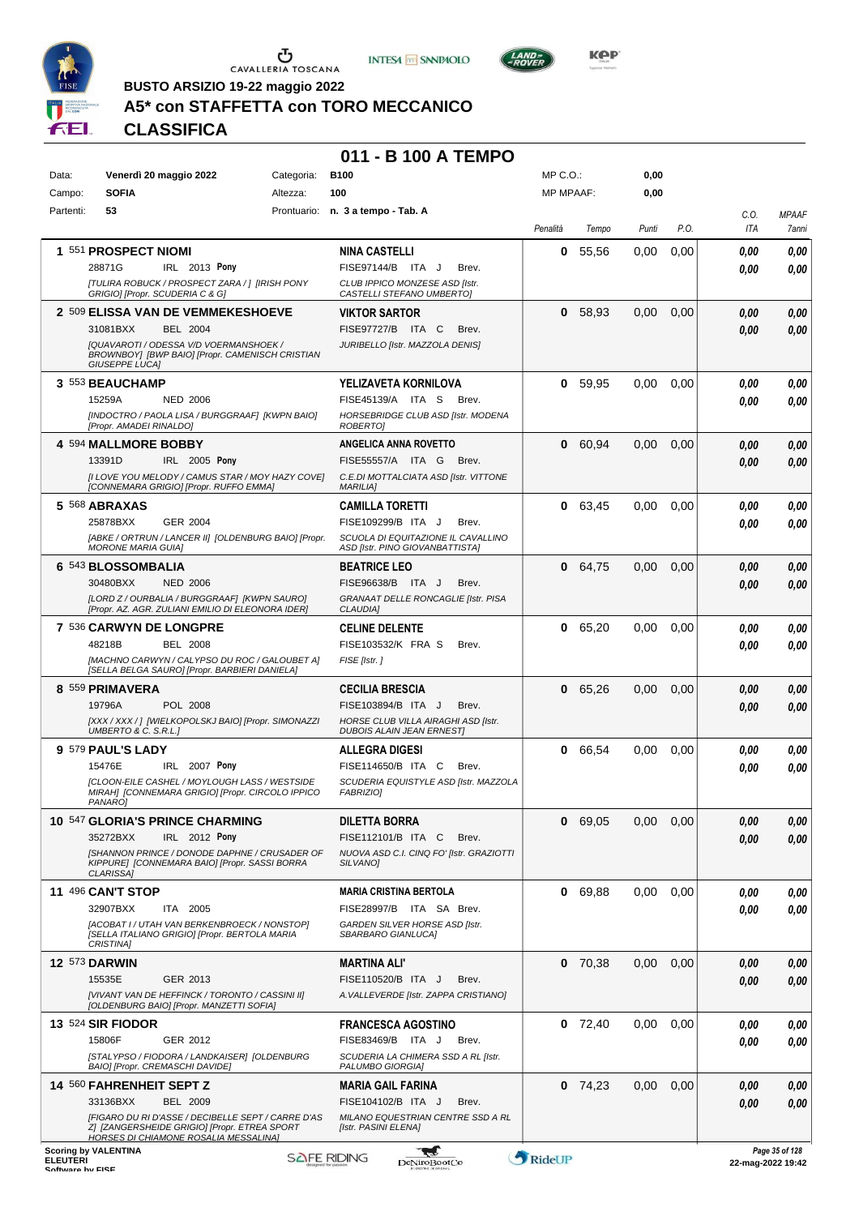





LAND-<br>-ROVER

**BUSTO ARSIZIO 19-22 maggio 2022**

# **A5\* con STAFFETTA con TORO MECCANICO**

**CLASSIFICA**

#### **011 - B 100 A TEMPO**

| Data:           | Venerdì 20 maggio 2022                                                                                                                             | Categoria: | <b>B100</b>                                                             | MP C.O.:<br><b>MP MPAAF:</b> |           | 0,00  |      |                    |                                        |
|-----------------|----------------------------------------------------------------------------------------------------------------------------------------------------|------------|-------------------------------------------------------------------------|------------------------------|-----------|-------|------|--------------------|----------------------------------------|
| Campo:          | <b>SOFIA</b><br>Altezza:                                                                                                                           |            | 100                                                                     |                              |           | 0,00  |      |                    |                                        |
| Partenti:       | 53                                                                                                                                                 |            | Prontuario: n. 3 a tempo - Tab. A                                       | Penalità                     | Tempo     | Punti | P.O. | C.O.<br><b>ITA</b> | <b>MPAAF</b><br>7anni                  |
|                 | 1 551 PROSPECT NIOMI                                                                                                                               |            | <b>NINA CASTELLI</b>                                                    | 0                            | 55.56     | 0.00  | 0,00 | 0,00               | 0,00                                   |
|                 | IRL 2013 Pony<br>28871G                                                                                                                            |            | FISE97144/B ITA J<br>Brev.                                              |                              |           |       |      | 0.00               | 0.00                                   |
|                 | [TULIRA ROBUCK / PROSPECT ZARA / ] [IRISH PONY<br>GRIGIO] [Propr. SCUDERIA C & G]                                                                  |            | CLUB IPPICO MONZESE ASD [Istr.<br>CASTELLI STEFANO UMBERTOJ             |                              |           |       |      |                    |                                        |
|                 | 2 509 ELISSA VAN DE VEMMEKESHOEVE                                                                                                                  |            | <b>VIKTOR SARTOR</b>                                                    | 0                            | 58,93     | 0,00  | 0,00 | 0.00               | 0,00                                   |
|                 | 31081BXX<br><b>BEL 2004</b>                                                                                                                        |            | FISE97727/B ITA C<br>Brev.                                              |                              |           |       |      | 0.00               | 0,00                                   |
|                 | [QUAVAROTI / ODESSA V/D VOERMANSHOEK /<br>BROWNBOY] [BWP BAIO] [Propr. CAMENISCH CRISTIAN<br><b>GIUSEPPE LUCAI</b>                                 |            | JURIBELLO [Istr. MAZZOLA DENIS]                                         |                              |           |       |      |                    |                                        |
|                 | 3 553 BEAUCHAMP                                                                                                                                    |            | YELIZAVETA KORNILOVA                                                    |                              | 0, 59, 95 | 0.00  | 0,00 | 0.00               | 0,00                                   |
|                 | 15259A<br><b>NED 2006</b>                                                                                                                          |            | FISE45139/A ITA S<br>Brev.                                              |                              |           |       |      | 0.00               | 0.00                                   |
|                 | [INDOCTRO / PAOLA LISA / BURGGRAAF] [KWPN BAIO]<br>[Propr. AMADEI RINALDO]                                                                         |            | HORSEBRIDGE CLUB ASD [Istr. MODENA<br>ROBERTO]                          |                              |           |       |      |                    |                                        |
|                 | 4 594 MALLMORE BOBBY                                                                                                                               |            | ANGELICA ANNA ROVETTO                                                   | 0                            | 60,94     | 0,00  | 0,00 | 0.00               | 0,00                                   |
|                 | 13391D<br>IRL 2005 Pony                                                                                                                            |            | FISE55557/A ITA G<br>Brev.                                              |                              |           |       |      | 0.00               | 0,00                                   |
|                 | II LOVE YOU MELODY / CAMUS STAR / MOY HAZY COVE]<br>[CONNEMARA GRIGIO] [Propr. RUFFO EMMA]                                                         |            | C.E.DI MOTTALCIATA ASD [Istr. VITTONE<br><b>MARILIA]</b>                |                              |           |       |      |                    |                                        |
|                 | 5 568 ABRAXAS                                                                                                                                      |            | CAMILLA TORETTI                                                         | 0                            | 63,45     | 0.00  | 0,00 | 0,00               | 0,00                                   |
|                 | 25878BXX<br>GER 2004                                                                                                                               |            | FISE109299/B ITA J<br>Brev.                                             |                              |           |       |      | 0.00               | 0,00                                   |
|                 | [ABKE / ORTRUN / LANCER II] [OLDENBURG BAIO] [Propr.<br><b>MORONE MARIA GUIA1</b>                                                                  |            | SCUOLA DI EQUITAZIONE IL CAVALLINO<br>ASD [Istr. PINO GIOVANBATTISTA]   |                              |           |       |      |                    |                                        |
|                 | 6 543 BLOSSOMBALIA                                                                                                                                 |            | <b>BEATRICE LEO</b>                                                     | 0                            | 64,75     | 0,00  | 0,00 | 0,00               | 0,00                                   |
|                 | 30480BXX<br><b>NED 2006</b>                                                                                                                        |            | FISE96638/B ITA J<br>Brev.                                              |                              |           |       |      | 0,00               | 0.00                                   |
|                 | [LORD Z / OURBALIA / BURGGRAAF] [KWPN SAURO]<br>[Propr. AZ. AGR. ZULIANI EMILIO DI ELEONORA IDER]                                                  |            | GRANAAT DELLE RONCAGLIE [Istr. PISA<br>CLAUDIA]                         |                              |           |       |      |                    |                                        |
|                 | 7 536 CARWYN DE LONGPRE                                                                                                                            |            | <b>CELINE DELENTE</b>                                                   | 0                            | 65,20     | 0,00  | 0,00 | 0,00               | 0,00                                   |
|                 | 48218B<br><b>BEL 2008</b>                                                                                                                          |            | FISE103532/K FRA S<br>Brev.                                             |                              |           |       |      | 0.00               | 0.00                                   |
|                 | [MACHNO CARWYN / CALYPSO DU ROC / GALOUBET A]<br>[SELLA BELGA SAURO] [Propr. BARBIERI DANIELA]                                                     |            | FISE [Istr.]                                                            |                              |           |       |      |                    |                                        |
|                 | 8 559 PRIMAVERA                                                                                                                                    |            | <b>CECILIA BRESCIA</b>                                                  | 0                            | 65,26     | 0,00  | 0,00 | 0.00               | 0,00                                   |
|                 | POL 2008<br>19796A                                                                                                                                 |            | FISE103894/B ITA J<br>Brev.                                             |                              |           |       |      | 0.00               | 0.00                                   |
|                 | [XXX / XXX / ] [WIELKOPOLSKJ BAIO] [Propr. SIMONAZZI<br>UMBERTO & C. S.R.L.]                                                                       |            | HORSE CLUB VILLA AIRAGHI ASD [Istr.<br><b>DUBOIS ALAIN JEAN ERNESTI</b> |                              |           |       |      |                    |                                        |
|                 | 9 579 PAUL'S LADY                                                                                                                                  |            | <b>ALLEGRA DIGESI</b>                                                   | 0                            | 66,54     | 0,00  | 0,00 | 0.00               | 0,00                                   |
|                 | 15476E<br>IRL 2007 Pony                                                                                                                            |            | FISE114650/B ITA C<br>Brev.                                             |                              |           |       |      | 0.00               | 0,00                                   |
|                 | ICLOON-EILE CASHEL / MOYLOUGH LASS / WESTSIDE<br>MIRAH] [CONNEMARA GRIGIO] [Propr. CIRCOLO IPPICO<br>PANARO1                                       |            | SCUDERIA EQUISTYLE ASD [Istr. MAZZOLA<br>FABRIZIO]                      |                              |           |       |      |                    |                                        |
|                 | 10 547 GLORIA'S PRINCE CHARMING                                                                                                                    |            | DILETTA BORRA                                                           |                              | 0 69,05   | 0,00  | 0,00 | 0,00               | 0,00                                   |
|                 | IRL 2012 Pony<br>35272BXX                                                                                                                          |            | FISE112101/B ITA C<br>Brev.                                             |                              |           |       |      | 0.00               | 0,00                                   |
|                 | [SHANNON PRINCE / DONODE DAPHNE / CRUSADER OF<br>KIPPURE] [CONNEMARA BAIO] [Propr. SASSI BORRA<br>CLARISSA]                                        |            | NUOVA ASD C.I. CINQ FO' [Istr. GRAZIOTTI<br>SILVANO]                    |                              |           |       |      |                    |                                        |
|                 | <b>11 496 CAN'T STOP</b>                                                                                                                           |            | <b>MARIA CRISTINA BERTOLA</b>                                           |                              | 0 69,88   | 0,00  | 0,00 | 0.00               | 0,00                                   |
|                 | ITA 2005<br>32907BXX                                                                                                                               |            | FISE28997/B ITA SA Brev.                                                |                              |           |       |      | 0.00               | 0,00                                   |
|                 | [ACOBAT I / UTAH VAN BERKENBROECK / NONSTOP]<br>[SELLA ITALIANO GRIGIO] [Propr. BERTOLA MARIA<br><b>CRISTINA1</b>                                  |            | GARDEN SILVER HORSE ASD [Istr.<br>SBARBARO GIANLUCA]                    |                              |           |       |      |                    |                                        |
|                 | <b>12 573 DARWIN</b>                                                                                                                               |            | <b>MARTINA ALI'</b>                                                     |                              | $0$ 70,38 | 0,00  | 0,00 | 0.00               | 0,00                                   |
|                 | 15535E<br>GER 2013                                                                                                                                 |            | FISE110520/B ITA J<br>Brev.                                             |                              |           |       |      | 0.00               | 0,00                                   |
|                 | [VIVANT VAN DE HEFFINCK / TORONTO / CASSINI II]<br>[OLDENBURG BAIO] [Propr. MANZETTI SOFIA]                                                        |            | A. VALLEVERDE [Istr. ZAPPA CRISTIANO]                                   |                              |           |       |      |                    |                                        |
|                 | <b>13 524 SIR FIODOR</b>                                                                                                                           |            | <b>FRANCESCA AGOSTINO</b>                                               |                              | $0$ 72,40 | 0,00  | 0,00 | 0.00               | 0,00                                   |
|                 | 15806F<br>GER 2012                                                                                                                                 |            | FISE83469/B ITA J<br>Brev.                                              |                              |           |       |      | 0.00               | 0.00                                   |
|                 | [STALYPSO / FIODORA / LANDKAISER] [OLDENBURG<br>BAIO] [Propr. CREMASCHI DAVIDE]                                                                    |            | SCUDERIA LA CHIMERA SSD A RL [Istr.<br>PALUMBO GIORGIA]                 |                              |           |       |      |                    |                                        |
|                 | 14 560 FAHRENHEIT SEPT Z                                                                                                                           |            | MARIA GAIL FARINA                                                       |                              | $0$ 74,23 | 0.00  | 0,00 | 0,00               | 0,00                                   |
|                 | 33136BXX<br>BEL 2009                                                                                                                               |            | FISE104102/B ITA J<br>Brev.                                             |                              |           |       |      | 0,00               | 0,00                                   |
|                 | [FIGARO DU RI D'ASSE / DECIBELLE SEPT / CARRE D'AS<br>Z] [ZANGERSHEIDE GRIGIO] [Propr. ETREA SPORT<br><b>HORSES DI CHIAMONE ROSALIA MESSALINA]</b> |            | MILANO EQUESTRIAN CENTRE SSD A RL<br>[Istr. PASINI ELENA]               |                              |           |       |      |                    |                                        |
| <b>ELEUTERI</b> | <b>Scoring by VALENTINA</b>                                                                                                                        |            | <b>SAFE RIDING</b><br>DeNiroBoot('o                                     | RideUP                       |           |       |      |                    | Page 35 of 128<br>$22$ -man-2022 19:42 |

*Page 35 of 128* ELEUTERI SOFTWARE SOFTWARE DENITOBOOTCO **DENITOBOOTCO DENITOBOOTCO 22-mag-2022 19:42**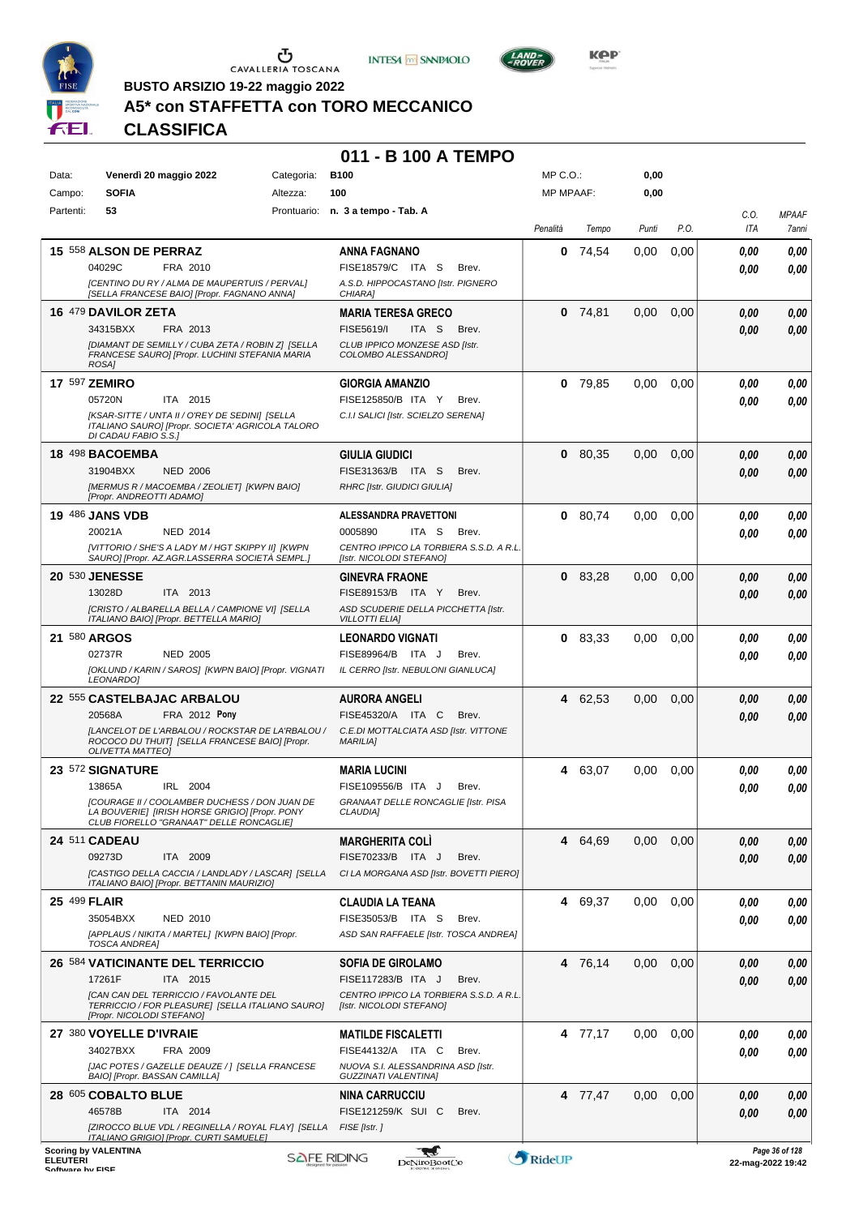





**KOP** 

**BUSTO ARSIZIO 19-22 maggio 2022**

# **A5\* con STAFFETTA con TORO MECCANICO**

**CLASSIFICA**

#### **011 - B 100 A TEMPO**

| Data:           | Venerdì 20 maggio 2022                                                                                                                      | <b>B100</b><br>Categoria: |                                                                     | 0,00<br>MP C. O.<br>0,00 |                  |       |      |             |                                        |
|-----------------|---------------------------------------------------------------------------------------------------------------------------------------------|---------------------------|---------------------------------------------------------------------|--------------------------|------------------|-------|------|-------------|----------------------------------------|
| Campo:          | <b>SOFIA</b><br>Altezza:                                                                                                                    |                           | 100                                                                 |                          | <b>MP MPAAF:</b> |       |      |             |                                        |
| Partenti:       | 53                                                                                                                                          |                           | Prontuario: n. 3 a tempo - Tab. A                                   | Penalità                 | Tempo            | Punti | P.O. | C.O.<br>ITA | <b>MPAAF</b><br>7anni                  |
|                 | 15 558 ALSON DE PERRAZ                                                                                                                      |                           | <b>ANNA FAGNANO</b>                                                 | 0                        | 74,54            | 0,00  | 0,00 | 0.00        | 0,00                                   |
|                 | 04029C<br>FRA 2010                                                                                                                          |                           | FISE18579/C ITA S<br>Brev.                                          |                          |                  |       |      | 0.00        | 0,00                                   |
|                 | [CENTINO DU RY / ALMA DE MAUPERTUIS / PERVAL]<br>[SELLA FRANCESE BAIO] [Propr. FAGNANO ANNA]                                                |                           | A.S.D. HIPPOCASTANO [Istr. PIGNERO<br>CHIARA]                       |                          |                  |       |      |             |                                        |
|                 | 16 479 DAVILOR ZETA                                                                                                                         |                           | <b>MARIA TERESA GRECO</b>                                           |                          | $0$ 74,81        | 0.00  | 0,00 | 0,00        | 0,00                                   |
|                 | 34315BXX<br>FRA 2013                                                                                                                        |                           | FISE5619/I<br>ITA <sub>S</sub><br>Brev.                             |                          |                  |       |      | 0.00        | 0,00                                   |
|                 | [DIAMANT DE SEMILLY / CUBA ZETA / ROBIN Z] [SELLA<br>FRANCESE SAUROI [Propr. LUCHINI STEFANIA MARIA<br>ROSA1                                |                           | CLUB IPPICO MONZESE ASD [Istr.<br>COLOMBO ALESSANDRO]               |                          |                  |       |      |             |                                        |
|                 | <b>17 597 ZEMIRO</b>                                                                                                                        |                           | <b>GIORGIA AMANZIO</b>                                              |                          | $0$ 79,85        | 0.00  | 0,00 | 0.00        | 0,00                                   |
|                 | 05720N<br>ITA 2015                                                                                                                          |                           | FISE125850/B ITA Y<br>Brev.                                         |                          |                  |       |      | 0.00        | 0.00                                   |
|                 | [KSAR-SITTE / UNTA II / O'REY DE SEDINI] [SELLA<br>ITALIANO SAURO] [Propr. SOCIETA' AGRICOLA TALORO<br>DI CADAU FABIO S.S.1                 |                           | C.I.I SALICI [Istr. SCIELZO SERENA]                                 |                          |                  |       |      |             |                                        |
|                 | 18 498 BACOEMBA                                                                                                                             |                           | <b>GIULIA GIUDICI</b>                                               |                          | 0 80,35          | 0.00  | 0,00 | 0,00        | 0,00                                   |
|                 | 31904BXX<br><b>NED 2006</b>                                                                                                                 |                           | FISE31363/B ITA S<br>Brev.                                          |                          |                  |       |      | 0.00        | 0,00                                   |
|                 | [MERMUS R / MACOEMBA / ZEOLIET] [KWPN BAIO]<br>[Propr. ANDREOTTI ADAMO]                                                                     |                           | <b>RHRC [Istr. GIUDICI GIULIA]</b>                                  |                          |                  |       |      |             |                                        |
|                 | <b>19 486 JANS VDB</b>                                                                                                                      |                           | <b>ALESSANDRA PRAVETTONI</b>                                        | 0                        | 80,74            | 0.00  | 0,00 | 0.00        | 0,00                                   |
|                 | 20021A<br><b>NED 2014</b>                                                                                                                   |                           | 0005890<br>ITA S<br>Brev.                                           |                          |                  |       |      | 0.00        | 0.00                                   |
|                 | [VITTORIO / SHE'S A LADY M / HGT SKIPPY II] [KWPN<br>SAURO] [Propr. AZ.AGR.LASSERRA SOCIETÀ SEMPL.]                                         |                           | CENTRO IPPICO LA TORBIERA S.S.D. A R.L.<br>[Istr. NICOLODI STEFANO] |                          |                  |       |      |             |                                        |
|                 | 20 530 JENESSE                                                                                                                              |                           | <b>GINEVRA FRAONE</b>                                               |                          | 083.28           | 0,00  | 0,00 | 0,00        | 0,00                                   |
|                 | 13028D<br>ITA 2013                                                                                                                          |                           | FISE89153/B ITA Y<br>Brev.                                          |                          |                  |       |      | 0.00        | 0,00                                   |
|                 | [CRISTO / ALBARELLA BELLA / CAMPIONE VI] [SELLA<br>ITALIANO BAIO] [Propr. BETTELLA MARIO]                                                   |                           | ASD SCUDERIE DELLA PICCHETTA [Istr.<br><b>VILLOTTI ELIA]</b>        |                          |                  |       |      |             |                                        |
|                 | 21 580 ARGOS                                                                                                                                |                           | <b>LEONARDO VIGNATI</b>                                             | 0                        | 83,33            | 0,00  | 0,00 | 0.00        | 0,00                                   |
|                 | 02737R<br><b>NED 2005</b>                                                                                                                   |                           | FISE89964/B ITA J<br>Brev.                                          |                          |                  |       |      | 0.00        | 0.00                                   |
|                 | [OKLUND / KARIN / SAROS] [KWPN BAIO] [Propr. VIGNATI<br>LEONARDO]                                                                           |                           | IL CERRO [Istr. NEBULONI GIANLUCA]                                  |                          |                  |       |      |             |                                        |
|                 | 22 555 CASTELBAJAC ARBALOU                                                                                                                  |                           | <b>AURORA ANGELI</b>                                                | 4                        | 62,53            | 0,00  | 0,00 | 0,00        | 0,00                                   |
|                 | <b>FRA 2012 Pony</b><br>20568A                                                                                                              |                           | FISE45320/A ITA C<br>Brev.                                          |                          |                  |       |      | 0.00        | 0.00                                   |
|                 | [LANCELOT DE L'ARBALOU / ROCKSTAR DE LA'RBALOU /<br>ROCOCO DU THUIT] [SELLA FRANCESE BAIO] [Propr.<br><b>OLIVETTA MATTEO]</b>               |                           | C.E.DI MOTTALCIATA ASD [Istr. VITTONE<br><b>MARILIA1</b>            |                          |                  |       |      |             |                                        |
|                 | 23 572 SIGNATURE                                                                                                                            |                           | <b>MARIA LUCINI</b>                                                 | 4                        | 63,07            | 0.00  | 0,00 | 0.00        | 0,00                                   |
|                 | 13865A<br>IRL 2004                                                                                                                          |                           | FISE109556/B ITA J<br>Brev.                                         |                          |                  |       |      | 0.00        | 0,00                                   |
|                 | [COURAGE II / COOLAMBER DUCHESS / DON JUAN DE<br>LA BOUVERIEI IIRISH HORSE GRIGIOI IPropr. PONY<br>CLUB FIORELLO "GRANAAT" DELLE RONCAGLIE] |                           | GRANAAT DELLE RONCAGLIE [Istr. PISA<br>CLAUDIA]                     |                          |                  |       |      |             |                                        |
|                 | <b>24 511 CADEAU</b>                                                                                                                        |                           | <b>MARGHERITA COLI</b>                                              |                          | 4 64,69          | 0.00  | 0,00 | 0,00        | 0,00                                   |
|                 | 09273D<br>ITA 2009                                                                                                                          |                           | FISE70233/B ITA J<br>Brev.                                          |                          |                  |       |      | 0.00        | 0,00                                   |
|                 | [CASTIGO DELLA CACCIA / LANDLADY / LASCAR] [SELLA<br>ITALIANO BAIO] [Propr. BETTANIN MAURIZIO]                                              |                           | CI LA MORGANA ASD [Istr. BOVETTI PIERO]                             |                          |                  |       |      |             |                                        |
|                 | 25 499 FLAIR                                                                                                                                |                           | <b>CLAUDIA LA TEANA</b>                                             |                          | 4 69,37          | 0.00  | 0,00 | 0.00        | 0,00                                   |
|                 | 35054BXX<br><b>NED 2010</b>                                                                                                                 |                           | FISE35053/B ITA S<br>Brev.                                          |                          |                  |       |      | 0.00        | 0.00                                   |
|                 | [APPLAUS / NIKITA / MARTEL] [KWPN BAIO] [Propr.<br><b>TOSCA ANDREA]</b>                                                                     |                           | ASD SAN RAFFAELE [Istr. TOSCA ANDREA]                               |                          |                  |       |      |             |                                        |
|                 | <b>26 584 VATICINANTE DEL TERRICCIO</b>                                                                                                     |                           | <b>SOFIA DE GIROLAMO</b>                                            |                          | 4 76,14          | 0,00  | 0,00 | 0.00        | 0,00                                   |
|                 | 17261F<br>ITA 2015                                                                                                                          |                           | FISE117283/B ITA J<br>Brev.                                         |                          |                  |       |      | 0.00        | 0,00                                   |
|                 | <b>[CAN CAN DEL TERRICCIO / FAVOLANTE DEL</b><br>TERRICCIO / FOR PLEASURE] [SELLA ITALIANO SAURO]<br>[Propr. NICOLODI STEFANO]              |                           | CENTRO IPPICO LA TORBIERA S.S.D. A R.L.<br>[Istr. NICOLODI STEFANO] |                          |                  |       |      |             |                                        |
|                 | 27 380 VOYELLE D'IVRAIE                                                                                                                     |                           | <b>MATILDE FISCALETTI</b>                                           |                          | 4 77,17          | 0.00  | 0,00 | 0.00        | 0,00                                   |
|                 | 34027BXX<br>FRA 2009                                                                                                                        |                           | FISE44132/A ITA C<br>Brev.                                          |                          |                  |       |      | 0.00        | 0.00                                   |
|                 | [JAC POTES / GAZELLE DEAUZE / ] [SELLA FRANCESE<br>BAIO] [Propr. BASSAN CAMILLA]                                                            |                           | NUOVA S.I. ALESSANDRINA ASD [Istr.<br><b>GUZZINATI VALENTINA]</b>   |                          |                  |       |      |             |                                        |
|                 | 28 605 COBALTO BLUE                                                                                                                         |                           | <b>NINA CARRUCCIU</b>                                               |                          | 4 77,47          | 0.00  | 0,00 | 0.00        | 0,00                                   |
|                 | 46578B<br>ITA 2014                                                                                                                          |                           | FISE121259/K SUI C<br>Brev.                                         |                          |                  |       |      | 0,00        | 0,00                                   |
|                 | [ZIROCCO BLUE VDL / REGINELLA / ROYAL FLAY] [SELLA FISE [Istr.]<br><b>ITALIANO GRIGIO] [Propr. CURTI SAMUELE]</b>                           |                           |                                                                     |                          |                  |       |      |             |                                        |
| <b>ELEUTERI</b> | <b>Scoring by VALENTINA</b>                                                                                                                 |                           | <b>SAFE RIDING</b><br>DeNiroBoot('o                                 | RideUP                   |                  |       |      |             | Page 36 of 128<br>$22$ -man-2022 19:42 |

ELEUTERI SOFTWARE SOFTWARE DENITOBOOTCO **DENITOBOOTCO DENITOBOOTCO 22-mag-2022 19:42**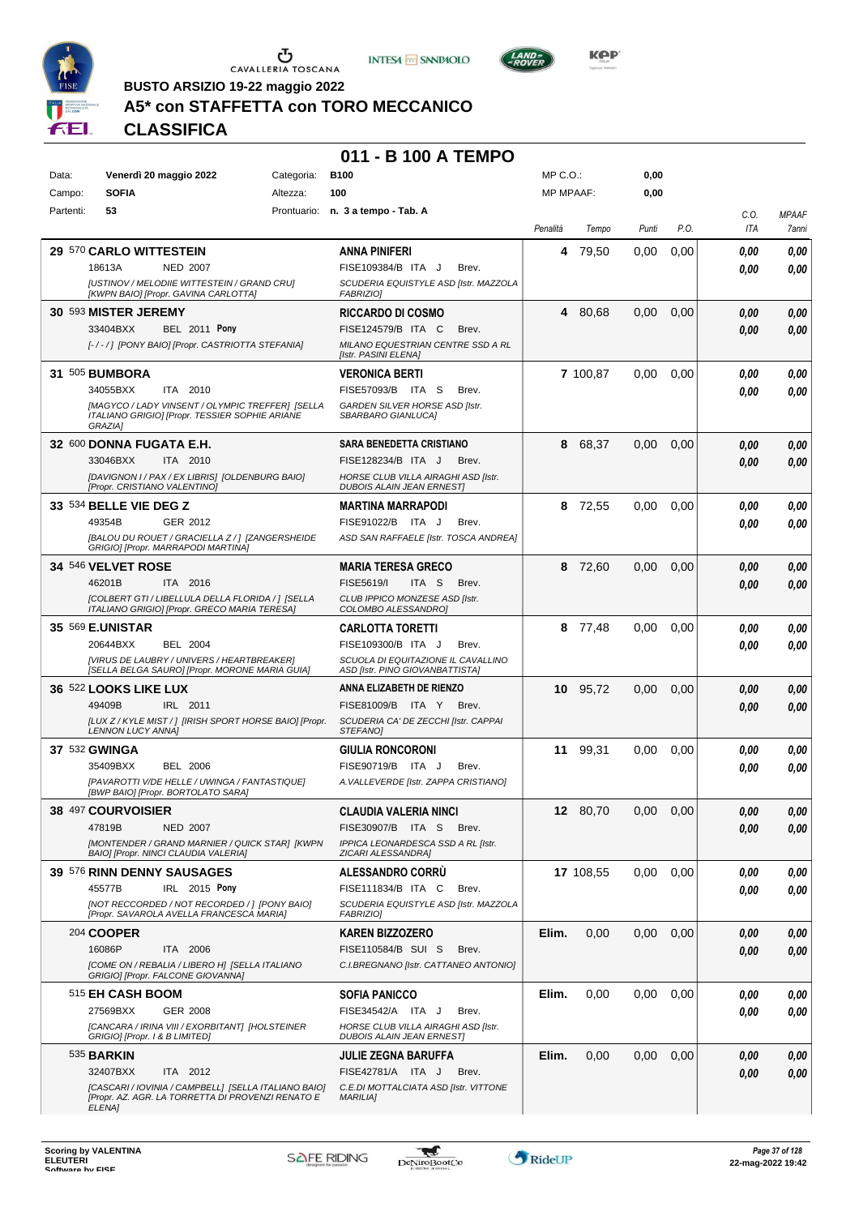





**Kep** 

## **A5\* con STAFFETTA con TORO MECCANICO**

**CLASSIFICA**

#### **011 - B 100 A TEMPO**

| Data:     | Venerdì 20 maggio 2022                                                                                        | Categoria: | <b>B100</b>                                                             | $MP C. O.$ :     |           | 0,00  |      |      |              |
|-----------|---------------------------------------------------------------------------------------------------------------|------------|-------------------------------------------------------------------------|------------------|-----------|-------|------|------|--------------|
| Campo:    | <b>SOFIA</b>                                                                                                  | Altezza:   | 100                                                                     | <b>MP MPAAF:</b> |           | 0,00  |      |      |              |
| Partenti: | 53                                                                                                            |            | Prontuario: n. 3 a tempo - Tab. A                                       |                  |           |       |      | C.0. | <b>MPAAF</b> |
|           |                                                                                                               |            |                                                                         | Penalità         | Tempo     | Punti | P.O. | ITA  | 7anni        |
|           | 29 570 CARLO WITTESTEIN                                                                                       |            | ANNA PINIFERI                                                           | 4                | 79,50     | 0.00  | 0,00 | 0.00 | 0,00         |
|           | 18613A<br><b>NED 2007</b>                                                                                     |            | FISE109384/B ITA J<br>Brev.                                             |                  |           |       |      | 0.00 | 0,00         |
|           | [USTINOV / MELODIIE WITTESTEIN / GRAND CRU]<br>[KWPN BAIO] [Propr. GAVINA CARLOTTA]                           |            | SCUDERIA EQUISTYLE ASD [Istr. MAZZOLA<br><b>FABRIZIO]</b>               |                  |           |       |      |      |              |
|           | 30 593 MISTER JEREMY                                                                                          |            | <b>RICCARDO DI COSMO</b>                                                | 4                | 80,68     | 0,00  | 0,00 | 0,00 | 0,00         |
|           | <b>BEL 2011 Pony</b><br>33404BXX                                                                              |            | FISE124579/B ITA C<br>Brev.                                             |                  |           |       |      | 0.00 | 0,00         |
|           | [-/-/] [PONY BAIO] [Propr. CASTRIOTTA STEFANIA]                                                               |            | MILANO EQUESTRIAN CENTRE SSD A RL<br>[Istr. PASINI ELENA]               |                  |           |       |      |      |              |
|           | 31 505 BUMBORA                                                                                                |            | <b>VERONICA BERTI</b>                                                   |                  | 7 100,87  | 0,00  | 0,00 | 0,00 | 0,00         |
|           | 34055BXX<br>ITA 2010                                                                                          |            | FISE57093/B ITA S<br>Brev.                                              |                  |           |       |      | 0.00 | 0,00         |
|           | [MAGYCO / LADY VINSENT / OLYMPIC TREFFER] [SELLA<br>ITALIANO GRIGIO] [Propr. TESSIER SOPHIE ARIANE<br>GRAZIA1 |            | GARDEN SILVER HORSE ASD [Istr.<br>SBARBARO GIANLUCA]                    |                  |           |       |      |      |              |
|           | 32 600 DONNA FUGATA E.H.                                                                                      |            | SARA BENEDETTA CRISTIANO                                                | 8                | 68,37     | 0,00  | 0,00 | 0,00 | 0,00         |
|           | 33046BXX<br>ITA 2010                                                                                          |            | FISE128234/B ITA J<br>Brev.                                             |                  |           |       |      | 0.00 | 0,00         |
|           | [DAVIGNON I / PAX / EX LIBRIS] [OLDENBURG BAIO]<br>[Propr. CRISTIANO VALENTINO]                               |            | HORSE CLUB VILLA AIRAGHI ASD [Istr.<br><b>DUBOIS ALAIN JEAN ERNESTI</b> |                  |           |       |      |      |              |
|           | 33 534 BELLE VIE DEG Z                                                                                        |            | MARTINA MARRAPODI                                                       |                  | 8 72,55   | 0.00  | 0,00 | 0.00 | 0,00         |
|           | 49354B<br>GER 2012                                                                                            |            | FISE91022/B ITA J<br>Brev.                                              |                  |           |       |      | 0.00 | 0,00         |
|           | [BALOU DU ROUET / GRACIELLA Z / ] [ZANGERSHEIDE<br>GRIGIO] [Propr. MARRAPODI MARTINA]                         |            | ASD SAN RAFFAELE [Istr. TOSCA ANDREA]                                   |                  |           |       |      |      |              |
|           | <b>34 546 VELVET ROSE</b>                                                                                     |            | MARIA TERESA GRECO                                                      | 8                | 72,60     | 0,00  | 0,00 | 0,00 | 0,00         |
|           | 46201B<br>ITA 2016                                                                                            |            | FISE5619/I<br>ITA S<br>Brev.                                            |                  |           |       |      | 0.00 | 0,00         |
|           | [COLBERT GTI / LIBELLULA DELLA FLORIDA / ] [SELLA<br>ITALIANO GRIGIO] [Propr. GRECO MARIA TERESA]             |            | CLUB IPPICO MONZESE ASD [Istr.<br>COLOMBO ALESSANDRO]                   |                  |           |       |      |      |              |
|           | 35 569 E.UNISTAR                                                                                              |            | CARLOTTA TORETTI                                                        | 8                | 77,48     | 0.00  | 0,00 | 0.00 | 0,00         |
|           | 20644BXX<br><b>BEL 2004</b>                                                                                   |            | FISE109300/B ITA J<br>Brev.                                             |                  |           |       |      | 0.00 | 0,00         |
|           | [VIRUS DE LAUBRY / UNIVERS / HEARTBREAKER]<br>[SELLA BELGA SAURO] [Propr. MORONE MARIA GUIA]                  |            | SCUOLA DI EQUITAZIONE IL CAVALLINO<br>ASD [Istr. PINO GIOVANBATTISTA]   |                  |           |       |      |      |              |
|           | <b>36 522 LOOKS LIKE LUX</b>                                                                                  |            | ANNA ELIZABETH DE RIENZO                                                | 10               | 95,72     | 0,00  | 0,00 | 0.00 | 0,00         |
|           | 49409B<br>IRL 2011                                                                                            |            | FISE81009/B ITA Y<br>Brev.                                              |                  |           |       |      | 0,00 | 0,00         |
|           | [LUX Z / KYLE MIST / ] [IRISH SPORT HORSE BAIO] [Propr.<br><b>LENNON LUCY ANNA]</b>                           |            | SCUDERIA CA' DE ZECCHI [Istr. CAPPAI<br>STEFANO]                        |                  |           |       |      |      |              |
|           | 37 532 GWINGA                                                                                                 |            | GIULIA RONCORONI                                                        | 11               | 99,31     | 0.00  | 0,00 | 0,00 | 0,00         |
|           | 35409BXX<br><b>BEL 2006</b>                                                                                   |            | FISE90719/B ITA J<br>Brev.                                              |                  |           |       |      | 0.00 | 0,00         |
|           | [PAVAROTTI V/DE HELLE / UWINGA / FANTASTIQUE]<br>[BWP BAIO] [Propr. BORTOLATO SARA]                           |            | A. VALLEVERDE [Istr. ZAPPA CRISTIANO]                                   |                  |           |       |      |      |              |
|           | 38 497 COURVOISIER                                                                                            |            | <b>CLAUDIA VALERIA NINCI</b>                                            |                  | 12 80,70  | 0.00  | 0.00 | 0.00 | 0.00         |
|           | 47819B<br><b>NED 2007</b>                                                                                     |            | FISE30907/B ITA S<br>Brev.                                              |                  |           |       |      | 0,00 | 0,00         |
|           | [MONTENDER / GRAND MARNIER / QUICK STAR] [KWPN<br>BAIO] [Propr. NINCI CLAUDIA VALERIA]                        |            | IPPICA LEONARDESCA SSD A RL [Istr.<br>ZICARI ALESSANDRA]                |                  |           |       |      |      |              |
|           | 39 576 RINN DENNY SAUSAGES                                                                                    |            | ALESSANDRO CORRU                                                        |                  | 17 108,55 | 0,00  | 0.00 | 0.00 | 0,00         |
|           | IRL 2015 Pony<br>45577B                                                                                       |            | FISE111834/B ITA C<br>Brev.                                             |                  |           |       |      | 0.00 | 0,00         |
|           | [NOT RECCORDED / NOT RECORDED / ] [PONY BAIO]<br>[Propr. SAVAROLA AVELLA FRANCESCA MARIA]                     |            | SCUDERIA EQUISTYLE ASD [Istr. MAZZOLA<br><b>FABRIZIO]</b>               |                  |           |       |      |      |              |
|           | 204 COOPER                                                                                                    |            | <b>KAREN BIZZOZERO</b>                                                  | Elim.            | 0,00      | 0,00  | 0,00 | 0,00 | 0,00         |
|           | 16086P<br>ITA 2006                                                                                            |            | FISE110584/B SUI S<br>Brev.                                             |                  |           |       |      | 0,00 | 0,00         |
|           | <b>[COME ON / REBALIA / LIBERO H] [SELLA ITALIANO</b><br>GRIGIO] [Propr. FALCONE GIOVANNA]                    |            | C.I.BREGNANO [Istr. CATTANEO ANTONIO]                                   |                  |           |       |      |      |              |
|           | 515 EH CASH BOOM                                                                                              |            | SOFIA PANICCO                                                           | Elim.            | 0,00      | 0,00  | 0,00 | 0.00 | 0,00         |
|           | 27569BXX<br>GER 2008                                                                                          |            | FISE34542/A ITA J<br>Brev.                                              |                  |           |       |      | 0.00 | 0,00         |
|           | [CANCARA / IRINA VIII / EXORBITANT] [HOLSTEINER<br>GRIGIO] [Propr. 1 & B LIMITED]                             |            | HORSE CLUB VILLA AIRAGHI ASD [Istr.<br><b>DUBOIS ALAIN JEAN ERNEST]</b> |                  |           |       |      |      |              |
|           | 535 <b>BARKIN</b>                                                                                             |            | JULIE ZEGNA BARUFFA                                                     | Elim.            | 0,00      | 0,00  | 0,00 | 0,00 | 0,00         |
|           | 32407BXX<br>ITA 2012                                                                                          |            | FISE42781/A ITA J<br>Brev.                                              |                  |           |       |      | 0.00 | 0,00         |
|           | [CASCARI / IOVINIA / CAMPBELL] [SELLA ITALIANO BAIO]<br>[Propr. AZ. AGR. LA TORRETTA DI PROVENZI RENATO E     |            | C.E.DI MOTTALCIATA ASD [Istr. VITTONE<br><b>MARILIA]</b>                |                  |           |       |      |      |              |
|           | ELENA]                                                                                                        |            |                                                                         |                  |           |       |      |      |              |

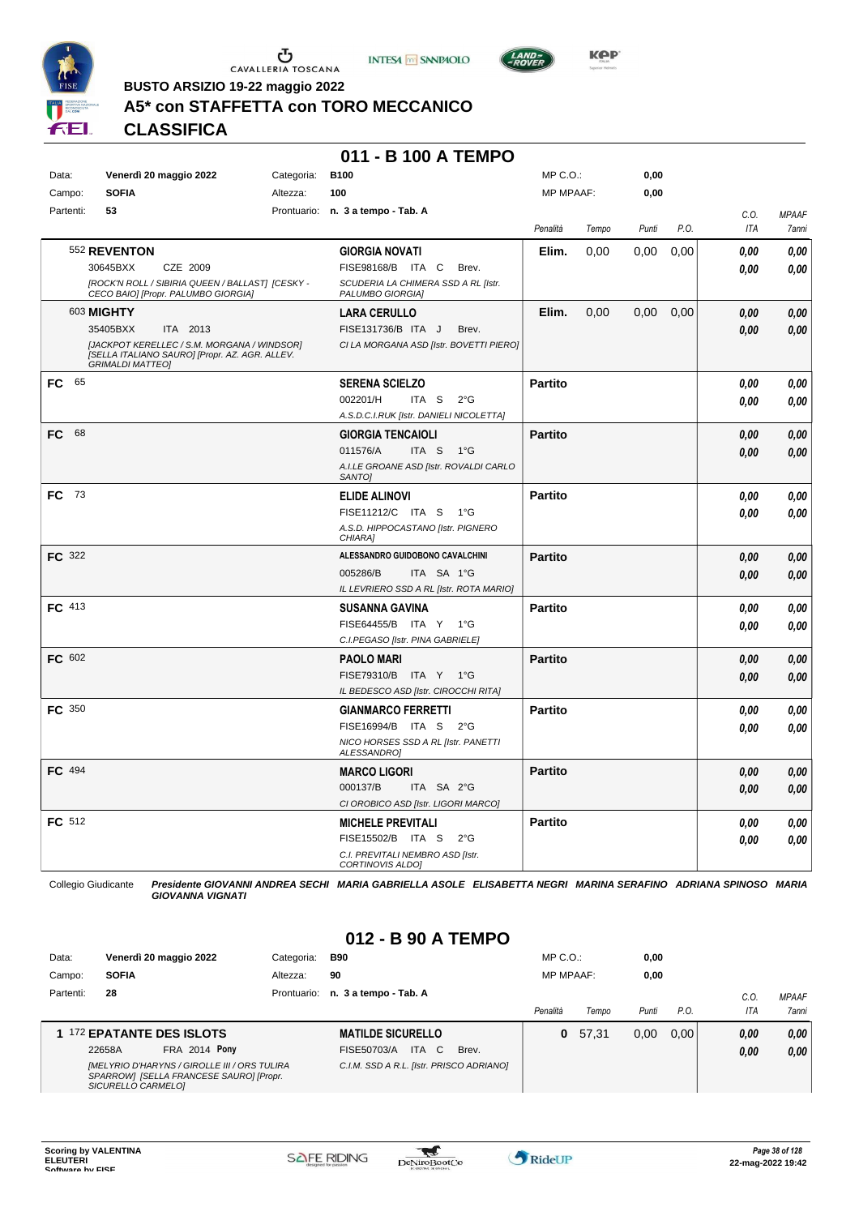





**BUSTO ARSIZIO 19-22 maggio 2022**

# **A5\* con STAFFETTA con TORO MECCANICO**

**CLASSIFICA**

#### **011 - B 100 A TEMPO**

| Data:     | Venerdì 20 maggio 2022                                                                                                   | Categoria: | <b>B100</b>                                             | MP C.O.:         |       | 0,00  |      |            |              |
|-----------|--------------------------------------------------------------------------------------------------------------------------|------------|---------------------------------------------------------|------------------|-------|-------|------|------------|--------------|
| Campo:    | <b>SOFIA</b>                                                                                                             | Altezza:   | 100                                                     | <b>MP MPAAF:</b> |       | 0,00  |      |            |              |
| Partenti: | 53                                                                                                                       |            | Prontuario: n. 3 a tempo - Tab. A                       |                  |       |       |      | C.O.       | <b>MPAAF</b> |
|           |                                                                                                                          |            |                                                         | Penalità         | Tempo | Punti | P.O. | <b>ITA</b> | 7anni        |
|           | 552 REVENTON                                                                                                             |            | <b>GIORGIA NOVATI</b>                                   | Elim.            | 0,00  | 0.00  | 0.00 | 0,00       | 0,00         |
|           | CZE 2009<br>30645BXX                                                                                                     |            | FISE98168/B ITA C Brev.                                 |                  |       |       |      | 0.00       | 0,00         |
|           | [ROCK'N ROLL / SIBIRIA QUEEN / BALLAST] [CESKY -<br>CECO BAIO] [Propr. PALUMBO GIORGIA]                                  |            | SCUDERIA LA CHIMERA SSD A RL [Istr.<br>PALUMBO GIORGIA] |                  |       |       |      |            |              |
|           | 603 <b>MIGHTY</b>                                                                                                        |            | <b>LARA CERULLO</b>                                     | Elim.            | 0,00  | 0,00  | 0,00 | 0,00       | 0,00         |
|           | 35405BXX<br>ITA 2013                                                                                                     |            | FISE131736/B ITA J<br>Brev.                             |                  |       |       |      | 0.00       | 0,00         |
|           | [JACKPOT KERELLEC / S.M. MORGANA / WINDSOR]<br>[SELLA ITALIANO SAURO] [Propr. AZ. AGR. ALLEV.<br><b>GRIMALDI MATTEO]</b> |            | CI LA MORGANA ASD [Istr. BOVETTI PIERO]                 |                  |       |       |      |            |              |
| FC 65     |                                                                                                                          |            | <b>SERENA SCIELZO</b>                                   | <b>Partito</b>   |       |       |      | 0,00       | 0,00         |
|           |                                                                                                                          |            | 002201/H<br>ITA S<br>$2^{\circ}$ G                      |                  |       |       |      | 0.00       | 0.00         |
|           |                                                                                                                          |            | A.S.D.C.I.RUK [Istr. DANIELI NICOLETTA]                 |                  |       |       |      |            |              |
| FC.<br>68 |                                                                                                                          |            | <b>GIORGIA TENCAIOLI</b>                                | <b>Partito</b>   |       |       |      | 0.00       | 0,00         |
|           |                                                                                                                          |            | 011576/A<br>ITA S<br>1°G                                |                  |       |       |      | 0,00       | 0.00         |
|           |                                                                                                                          |            | A.I.LE GROANE ASD [Istr. ROVALDI CARLO<br>SANTO]        |                  |       |       |      |            |              |
| FC 73     |                                                                                                                          |            | <b>ELIDE ALINOVI</b>                                    | <b>Partito</b>   |       |       |      | 0,00       | 0,00         |
|           |                                                                                                                          |            | FISE11212/C ITA S 1°G                                   |                  |       |       |      | 0.00       | 0.00         |
|           |                                                                                                                          |            | A.S.D. HIPPOCASTANO [Istr. PIGNERO<br>CHIARA]           |                  |       |       |      |            |              |
| FC 322    |                                                                                                                          |            | ALESSANDRO GUIDOBONO CAVALCHINI                         | <b>Partito</b>   |       |       |      | 0.00       | 0,00         |
|           |                                                                                                                          |            | 005286/B<br>ITA SA 1°G                                  |                  |       |       |      | 0.00       | 0.00         |
|           |                                                                                                                          |            | IL LEVRIERO SSD A RL [Istr. ROTA MARIO]                 |                  |       |       |      |            |              |
| FC 413    |                                                                                                                          |            | <b>SUSANNA GAVINA</b>                                   | <b>Partito</b>   |       |       |      | 0.00       | 0.00         |
|           |                                                                                                                          |            | FISE64455/B ITA Y 1°G                                   |                  |       |       |      | 0.00       | 0,00         |
|           |                                                                                                                          |            | C.I.PEGASO [Istr. PINA GABRIELE]                        |                  |       |       |      |            |              |
| FC 602    |                                                                                                                          |            | <b>PAOLO MARI</b>                                       | <b>Partito</b>   |       |       |      | 0.00       | 0,00         |
|           |                                                                                                                          |            | FISE79310/B ITA Y 1°G                                   |                  |       |       |      | 0.00       | 0,00         |
|           |                                                                                                                          |            | IL BEDESCO ASD [Istr. CIROCCHI RITA]                    |                  |       |       |      |            |              |
| FC 350    |                                                                                                                          |            | <b>GIANMARCO FERRETTI</b>                               | <b>Partito</b>   |       |       |      | 0.00       | 0,00         |
|           |                                                                                                                          |            | FISE16994/B ITA S 2°G                                   |                  |       |       |      | 0.00       | 0.00         |
|           |                                                                                                                          |            | NICO HORSES SSD A RL [Istr. PANETTI<br>ALESSANDRO]      |                  |       |       |      |            |              |
| FC 494    |                                                                                                                          |            | <b>MARCO LIGORI</b>                                     | <b>Partito</b>   |       |       |      | 0,00       | 0,00         |
|           |                                                                                                                          |            | 000137/B<br>ITA SA 2°G                                  |                  |       |       |      | 0,00       | 0,00         |
|           |                                                                                                                          |            | CI OROBICO ASD [Istr. LIGORI MARCO]                     |                  |       |       |      |            |              |
| FC 512    |                                                                                                                          |            | <b>MICHELE PREVITALI</b>                                | <b>Partito</b>   |       |       |      | 0,00       | 0,00         |
|           |                                                                                                                          |            | FISE15502/B ITA S<br>$2^{\circ}$ G                      |                  |       |       |      | 0.00       | 0,00         |
|           |                                                                                                                          |            | C.I. PREVITALI NEMBRO ASD [Istr.                        |                  |       |       |      |            |              |
|           |                                                                                                                          |            | CORTINOVIS ALDO]                                        |                  |       |       |      |            |              |

Collegio Giudicante *Presidente GIOVANNI ANDREA SECHI MARIA GABRIELLA ASOLE ELISABETTA NEGRI MARINA SERAFINO ADRIANA SPINOSO MARIA GIOVANNA VIGNATI*

# **012 - B 90 A TEMPO**

| Data:     | Venerdì 20 maggio 2022                                                                                        | Categoria:  | B90                                      | $MP C. O.$ :     |          | 0,00  |      |      |              |
|-----------|---------------------------------------------------------------------------------------------------------------|-------------|------------------------------------------|------------------|----------|-------|------|------|--------------|
| Campo:    | <b>SOFIA</b>                                                                                                  | Altezza:    | 90                                       | <b>MP MPAAF:</b> |          | 0,00  |      |      |              |
| Partenti: | 28                                                                                                            | Prontuario: | n. 3 a tempo - Tab. A                    |                  |          |       |      | C.O  | <b>MPAAF</b> |
|           |                                                                                                               |             |                                          | Penalità         | Tempo    | Punti | P.O. | ITA  | 7anni        |
|           | 1 172 EPATANTE DES ISLOTS                                                                                     |             | <b>MATILDE SICURELLO</b>                 |                  | 0, 57.31 | 0.00  | 0.00 | 0.00 | 0,00         |
|           | <b>FRA 2014 Pony</b><br>22658A                                                                                |             | ITA C<br>FISE50703/A<br>Brev.            |                  |          |       |      | 0,00 | 0,00         |
|           | [MELYRIO D'HARYNS / GIROLLE III / ORS TULIRA<br>SPARROWI [SELLA FRANCESE SAURO] [Propr.<br>SICURELLO CARMELO] |             | C.I.M. SSD A R.L. [Istr. PRISCO ADRIANO] |                  |          |       |      |      |              |

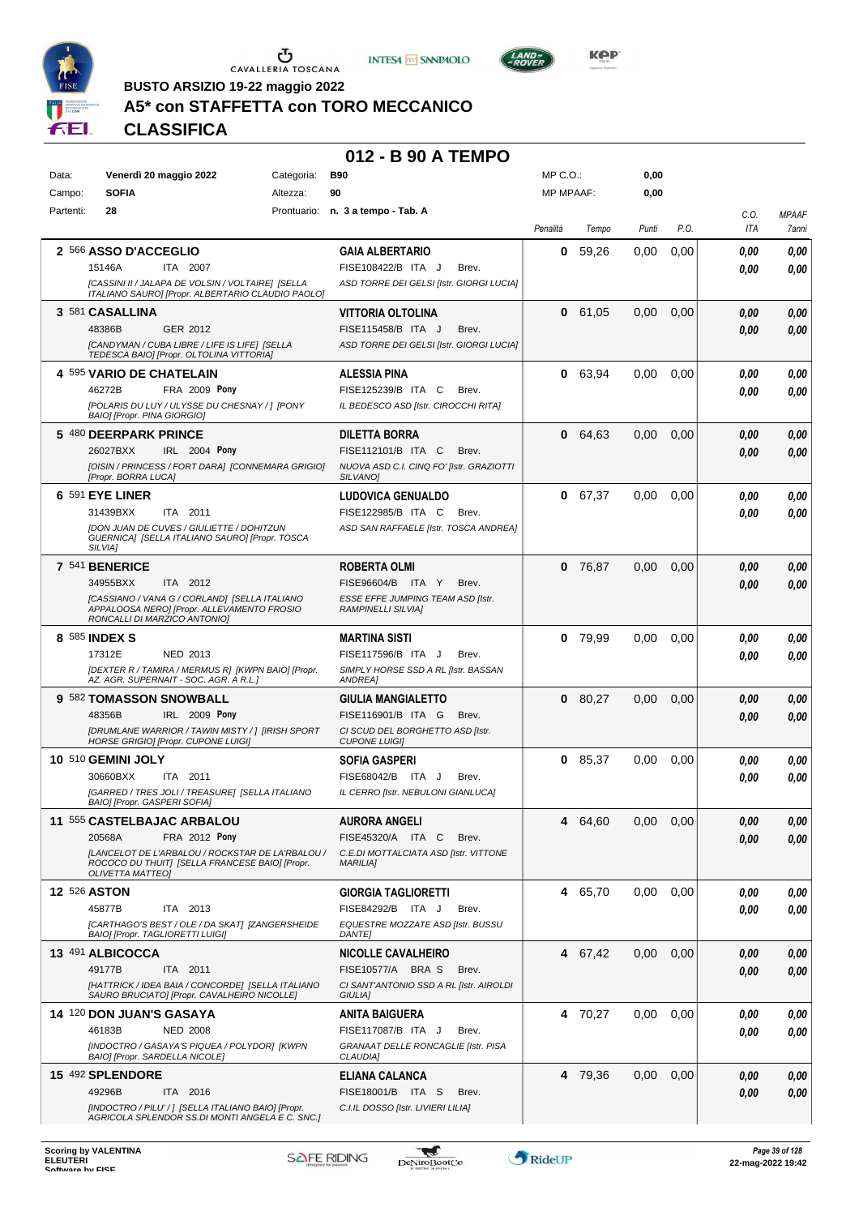





**Kep** 

**BUSTO ARSIZIO 19-22 maggio 2022**

# **A5\* con STAFFETTA con TORO MECCANICO**

**CLASSIFICA**

#### **012 - B 90 A TEMPO**

| <b>MP MPAAF:</b><br>Partenti:<br>28<br>Prontuario: n. 3 a tempo - Tab. A<br>C.O.<br><b>MPAAF</b><br>P.O.<br>Penalità<br>Tempo<br>Punti<br>ITA<br>7anni<br>2 566 ASSO D'ACCEGLIO<br>59,26<br><b>GAIA ALBERTARIO</b><br>0.00<br>0,00<br>0,00<br>0<br>0.00<br>FISE108422/B ITA J<br>15146A<br>ITA 2007<br>Brev.<br>0,00<br>0.00<br>[CASSINI II / JALAPA DE VOLSIN / VOLTAIRE] [SELLA<br>ASD TORRE DEI GELSI [Istr. GIORGI LUCIA]<br>ITALIANO SAURO] [Propr. ALBERTARIO CLAUDIO PAOLO]<br>3 581 CASALLINA<br>VITTORIA OLTOLINA<br>0 61,05<br>0,00<br>0,00<br>0,00<br>0.00<br>48386B<br>GER 2012<br>FISE115458/B ITA J<br>Brev.<br>0,00<br>0.00<br>[CANDYMAN / CUBA LIBRE / LIFE IS LIFE] [SELLA<br>ASD TORRE DEI GELSI [Istr. GIORGI LUCIA]<br>TEDESCA BAIO] [Propr. OLTOLINA VITTORIA]<br>4 595 VARIO DE CHATELAIN<br>0 63,94<br>ALESSIA PINA<br>0.00<br>0,00<br>0,00<br>0.00<br>46272B<br>FRA 2009 Pony<br>FISE125239/B ITA C<br>Brev.<br>0.00<br>0,00<br>[POLARIS DU LUY / ULYSSE DU CHESNAY / ] [PONY<br>IL BEDESCO ASD [Istr. CIROCCHI RITA]<br>BAIO] [Propr. PINA GIORGIO]<br>5 480 DEERPARK PRINCE<br><b>DILETTA BORRA</b><br>0,00<br>$\mathbf 0$<br>64,63<br>0,00<br>0,00<br>0.00<br>26027BXX<br>IRL 2004 Pony<br>FISE112101/B ITA C<br>Brev.<br>0.00<br>0,00<br>[OISIN / PRINCESS / FORT DARA] [CONNEMARA GRIGIO]<br>NUOVA ASD C.I. CINQ FO' [Istr. GRAZIOTTI<br>[Propr. BORRA LUCA]<br>SILVANO <sub>1</sub><br>6 591 EYE LINER<br>67,37<br><b>LUDOVICA GENUALDO</b><br>$\mathbf 0$<br>0,00<br>0,00<br>0,00<br>0.00<br>31439BXX<br>FISE122985/B ITA C<br>ITA 2011<br>Brev.<br>0.00<br>0.00<br><b>IDON JUAN DE CUVES / GIULIETTE / DOHITZUN</b><br>ASD SAN RAFFAELE [Istr. TOSCA ANDREA]<br>GUERNICA] [SELLA ITALIANO SAURO] [Propr. TOSCA<br>SILVIA1<br>7 541 BENERICE<br><b>ROBERTA OLMI</b><br>0,00<br>0<br>76,87<br>0,00<br>0,00<br>0.00<br>ITA 2012<br>34955BXX<br>FISE96604/B ITA Y<br>Brev.<br>0.00<br>0.00<br>[CASSIANO / VANA G / CORLAND] [SELLA ITALIANO<br>ESSE EFFE JUMPING TEAM ASD [Istr.<br>APPALOOSA NEROJ [Propr. ALLEVAMENTO FROSIO<br><b>RAMPINELLI SILVIA]</b><br>RONCALLI DI MARZICO ANTONIO]<br>8 585 INDEX S<br><b>MARTINA SISTI</b><br>$0$ 79,99<br>0,00<br>0,00<br>0,00<br>0.00<br>17312E<br>NED 2013<br>FISE117596/B ITA J<br>Brev.<br>0.00<br>0.00<br>[DEXTER R / TAMIRA / MERMUS R] [KWPN BAIO] [Propr.<br>SIMPLY HORSE SSD A RL [Istr. BASSAN<br>AZ. AGR. SUPERNAIT - SOC. AGR. A R.L.]<br>ANDREA]<br>9 582 TOMASSON SNOWBALL<br>0 80,27<br>0,00<br><b>GIULIA MANGIALETTO</b><br>0,00<br>0,00<br>0.00<br>IRL 2009 Pony<br>FISE116901/B ITA G<br>48356B<br>Brev.<br>0.00<br>0,00<br>[DRUMLANE WARRIOR / TAWIN MISTY / ] [IRISH SPORT<br>CI SCUD DEL BORGHETTO ASD [Istr.<br><b>HORSE GRIGIO] [Propr. CUPONE LUIGI]</b><br><b>CUPONE LUIGII</b><br>10 510 GEMINI JOLY<br><b>SOFIA GASPERI</b><br>85,37<br>0,00<br>0<br>0,00<br>0,00<br>0,00<br>FISE68042/B ITA J<br>30660BXX<br>ITA 2011<br>Brev.<br>0.00<br>0.00<br>[GARRED / TRES JOLI / TREASURE] [SELLA ITALIANO<br>IL CERRO [Istr. NEBULONI GIANLUCA]<br>BAIO] [Propr. GASPERI SOFIA]<br>11 555 CASTELBAJAC ARBALOU<br>0,00<br>64,60<br>0.00<br>0,00<br>AURORA ANGELI<br>4<br>0,00<br>20568A<br>FRA 2012 Pony<br>FISE45320/A ITA C<br>Brev.<br>0,00<br>0,00<br>ILANCELOT DE L'ARBALOU / ROCKSTAR DE LA'RBALOU /<br>C.E.DI MOTTALCIATA ASD [Istr. VITTONE<br>ROCOCO DU THUIT] [SELLA FRANCESE BAIO] [Propr.<br><b>MARILIA]</b><br><b>OLIVETTA MATTEO]</b><br><b>12 526 ASTON</b><br><b>GIORGIA TAGLIORETTI</b><br>4 65,70<br>0,00<br>0,00<br>0,00<br>0,00<br>45877B<br>ITA 2013<br>FISE84292/B ITA J<br>Brev.<br>0.00<br>0,00<br>[CARTHAGO'S BEST / OLE / DA SKAT] [ZANGERSHEIDE<br>EQUESTRE MOZZATE ASD [Istr. BUSSU<br>BAIO] [Propr. TAGLIORETTI LUIGI]<br><b>DANTE]</b><br>13 491 ALBICOCCA<br>4 67,42<br>0.00<br>0,00<br><b>NICOLLE CAVALHEIRO</b><br>0,00<br>0,00<br>49177B<br>ITA 2011<br>FISE10577/A BRA S<br>Brev.<br>0,00<br>0.00<br>[HATTRICK / IDEA BAIA / CONCORDE] [SELLA ITALIANO<br>CI SANT'ANTONIO SSD A RL [Istr. AIROLDI<br>SAURO BRUCIATO] [Propr. CAVALHEIRO NICOLLE]<br>GIULIA]<br>14 120 DON JUAN'S GASAYA<br>4 70,27<br>0,00<br>0.00<br>0,00<br>ANITA BAIGUERA<br>0,00<br>46183B<br><b>NED 2008</b><br>FISE117087/B ITA J<br>Brev.<br>0.00<br>0,00<br>[INDOCTRO / GASAYA'S PIQUEA / POLYDOR] [KWPN<br>GRANAAT DELLE RONCAGLIE [Istr. PISA<br>BAIO] [Propr. SARDELLA NICOLE]<br>CLAUDIA]<br>15 492 SPLENDORE<br>4 79,36<br>0,00<br>0,00<br><b>ELIANA CALANCA</b><br>0,00<br>0.00<br>49296B<br>ITA 2016<br>FISE18001/B ITA S<br>Brev.<br>0,00<br>0,00 | Data:  | Venerdì 20 maggio 2022                              | Categoria: | <b>B90</b>                         | MP C.O.: | 0,00 |  |  |
|----------------------------------------------------------------------------------------------------------------------------------------------------------------------------------------------------------------------------------------------------------------------------------------------------------------------------------------------------------------------------------------------------------------------------------------------------------------------------------------------------------------------------------------------------------------------------------------------------------------------------------------------------------------------------------------------------------------------------------------------------------------------------------------------------------------------------------------------------------------------------------------------------------------------------------------------------------------------------------------------------------------------------------------------------------------------------------------------------------------------------------------------------------------------------------------------------------------------------------------------------------------------------------------------------------------------------------------------------------------------------------------------------------------------------------------------------------------------------------------------------------------------------------------------------------------------------------------------------------------------------------------------------------------------------------------------------------------------------------------------------------------------------------------------------------------------------------------------------------------------------------------------------------------------------------------------------------------------------------------------------------------------------------------------------------------------------------------------------------------------------------------------------------------------------------------------------------------------------------------------------------------------------------------------------------------------------------------------------------------------------------------------------------------------------------------------------------------------------------------------------------------------------------------------------------------------------------------------------------------------------------------------------------------------------------------------------------------------------------------------------------------------------------------------------------------------------------------------------------------------------------------------------------------------------------------------------------------------------------------------------------------------------------------------------------------------------------------------------------------------------------------------------------------------------------------------------------------------------------------------------------------------------------------------------------------------------------------------------------------------------------------------------------------------------------------------------------------------------------------------------------------------------------------------------------------------------------------------------------------------------------------------------------------------------------------------------------------------------------------------------------------------------------------------------------------------------------------------------------------------------------------------------------------------------------------------------------------------------------------------------------------------------------------------------------------------------------------------------------------------------------------------------------------------------------------------------------------------------------------------------------------------------------------------------------------------------------------------------------------------------------------------------------------------------------------------------------------------------------------------------------------------------------------------------------------|--------|-----------------------------------------------------|------------|------------------------------------|----------|------|--|--|
|                                                                                                                                                                                                                                                                                                                                                                                                                                                                                                                                                                                                                                                                                                                                                                                                                                                                                                                                                                                                                                                                                                                                                                                                                                                                                                                                                                                                                                                                                                                                                                                                                                                                                                                                                                                                                                                                                                                                                                                                                                                                                                                                                                                                                                                                                                                                                                                                                                                                                                                                                                                                                                                                                                                                                                                                                                                                                                                                                                                                                                                                                                                                                                                                                                                                                                                                                                                                                                                                                                                                                                                                                                                                                                                                                                                                                                                                                                                                                                                                                                                                                                                                                                                                                                                                                                                                                                                                                                                                                                                                                                | Campo: | <b>SOFIA</b>                                        | Altezza:   | 90                                 |          | 0,00 |  |  |
|                                                                                                                                                                                                                                                                                                                                                                                                                                                                                                                                                                                                                                                                                                                                                                                                                                                                                                                                                                                                                                                                                                                                                                                                                                                                                                                                                                                                                                                                                                                                                                                                                                                                                                                                                                                                                                                                                                                                                                                                                                                                                                                                                                                                                                                                                                                                                                                                                                                                                                                                                                                                                                                                                                                                                                                                                                                                                                                                                                                                                                                                                                                                                                                                                                                                                                                                                                                                                                                                                                                                                                                                                                                                                                                                                                                                                                                                                                                                                                                                                                                                                                                                                                                                                                                                                                                                                                                                                                                                                                                                                                |        |                                                     |            |                                    |          |      |  |  |
|                                                                                                                                                                                                                                                                                                                                                                                                                                                                                                                                                                                                                                                                                                                                                                                                                                                                                                                                                                                                                                                                                                                                                                                                                                                                                                                                                                                                                                                                                                                                                                                                                                                                                                                                                                                                                                                                                                                                                                                                                                                                                                                                                                                                                                                                                                                                                                                                                                                                                                                                                                                                                                                                                                                                                                                                                                                                                                                                                                                                                                                                                                                                                                                                                                                                                                                                                                                                                                                                                                                                                                                                                                                                                                                                                                                                                                                                                                                                                                                                                                                                                                                                                                                                                                                                                                                                                                                                                                                                                                                                                                |        |                                                     |            |                                    |          |      |  |  |
|                                                                                                                                                                                                                                                                                                                                                                                                                                                                                                                                                                                                                                                                                                                                                                                                                                                                                                                                                                                                                                                                                                                                                                                                                                                                                                                                                                                                                                                                                                                                                                                                                                                                                                                                                                                                                                                                                                                                                                                                                                                                                                                                                                                                                                                                                                                                                                                                                                                                                                                                                                                                                                                                                                                                                                                                                                                                                                                                                                                                                                                                                                                                                                                                                                                                                                                                                                                                                                                                                                                                                                                                                                                                                                                                                                                                                                                                                                                                                                                                                                                                                                                                                                                                                                                                                                                                                                                                                                                                                                                                                                |        |                                                     |            |                                    |          |      |  |  |
|                                                                                                                                                                                                                                                                                                                                                                                                                                                                                                                                                                                                                                                                                                                                                                                                                                                                                                                                                                                                                                                                                                                                                                                                                                                                                                                                                                                                                                                                                                                                                                                                                                                                                                                                                                                                                                                                                                                                                                                                                                                                                                                                                                                                                                                                                                                                                                                                                                                                                                                                                                                                                                                                                                                                                                                                                                                                                                                                                                                                                                                                                                                                                                                                                                                                                                                                                                                                                                                                                                                                                                                                                                                                                                                                                                                                                                                                                                                                                                                                                                                                                                                                                                                                                                                                                                                                                                                                                                                                                                                                                                |        |                                                     |            |                                    |          |      |  |  |
|                                                                                                                                                                                                                                                                                                                                                                                                                                                                                                                                                                                                                                                                                                                                                                                                                                                                                                                                                                                                                                                                                                                                                                                                                                                                                                                                                                                                                                                                                                                                                                                                                                                                                                                                                                                                                                                                                                                                                                                                                                                                                                                                                                                                                                                                                                                                                                                                                                                                                                                                                                                                                                                                                                                                                                                                                                                                                                                                                                                                                                                                                                                                                                                                                                                                                                                                                                                                                                                                                                                                                                                                                                                                                                                                                                                                                                                                                                                                                                                                                                                                                                                                                                                                                                                                                                                                                                                                                                                                                                                                                                |        |                                                     |            |                                    |          |      |  |  |
|                                                                                                                                                                                                                                                                                                                                                                                                                                                                                                                                                                                                                                                                                                                                                                                                                                                                                                                                                                                                                                                                                                                                                                                                                                                                                                                                                                                                                                                                                                                                                                                                                                                                                                                                                                                                                                                                                                                                                                                                                                                                                                                                                                                                                                                                                                                                                                                                                                                                                                                                                                                                                                                                                                                                                                                                                                                                                                                                                                                                                                                                                                                                                                                                                                                                                                                                                                                                                                                                                                                                                                                                                                                                                                                                                                                                                                                                                                                                                                                                                                                                                                                                                                                                                                                                                                                                                                                                                                                                                                                                                                |        |                                                     |            |                                    |          |      |  |  |
|                                                                                                                                                                                                                                                                                                                                                                                                                                                                                                                                                                                                                                                                                                                                                                                                                                                                                                                                                                                                                                                                                                                                                                                                                                                                                                                                                                                                                                                                                                                                                                                                                                                                                                                                                                                                                                                                                                                                                                                                                                                                                                                                                                                                                                                                                                                                                                                                                                                                                                                                                                                                                                                                                                                                                                                                                                                                                                                                                                                                                                                                                                                                                                                                                                                                                                                                                                                                                                                                                                                                                                                                                                                                                                                                                                                                                                                                                                                                                                                                                                                                                                                                                                                                                                                                                                                                                                                                                                                                                                                                                                |        |                                                     |            |                                    |          |      |  |  |
|                                                                                                                                                                                                                                                                                                                                                                                                                                                                                                                                                                                                                                                                                                                                                                                                                                                                                                                                                                                                                                                                                                                                                                                                                                                                                                                                                                                                                                                                                                                                                                                                                                                                                                                                                                                                                                                                                                                                                                                                                                                                                                                                                                                                                                                                                                                                                                                                                                                                                                                                                                                                                                                                                                                                                                                                                                                                                                                                                                                                                                                                                                                                                                                                                                                                                                                                                                                                                                                                                                                                                                                                                                                                                                                                                                                                                                                                                                                                                                                                                                                                                                                                                                                                                                                                                                                                                                                                                                                                                                                                                                |        |                                                     |            |                                    |          |      |  |  |
|                                                                                                                                                                                                                                                                                                                                                                                                                                                                                                                                                                                                                                                                                                                                                                                                                                                                                                                                                                                                                                                                                                                                                                                                                                                                                                                                                                                                                                                                                                                                                                                                                                                                                                                                                                                                                                                                                                                                                                                                                                                                                                                                                                                                                                                                                                                                                                                                                                                                                                                                                                                                                                                                                                                                                                                                                                                                                                                                                                                                                                                                                                                                                                                                                                                                                                                                                                                                                                                                                                                                                                                                                                                                                                                                                                                                                                                                                                                                                                                                                                                                                                                                                                                                                                                                                                                                                                                                                                                                                                                                                                |        |                                                     |            |                                    |          |      |  |  |
|                                                                                                                                                                                                                                                                                                                                                                                                                                                                                                                                                                                                                                                                                                                                                                                                                                                                                                                                                                                                                                                                                                                                                                                                                                                                                                                                                                                                                                                                                                                                                                                                                                                                                                                                                                                                                                                                                                                                                                                                                                                                                                                                                                                                                                                                                                                                                                                                                                                                                                                                                                                                                                                                                                                                                                                                                                                                                                                                                                                                                                                                                                                                                                                                                                                                                                                                                                                                                                                                                                                                                                                                                                                                                                                                                                                                                                                                                                                                                                                                                                                                                                                                                                                                                                                                                                                                                                                                                                                                                                                                                                |        |                                                     |            |                                    |          |      |  |  |
|                                                                                                                                                                                                                                                                                                                                                                                                                                                                                                                                                                                                                                                                                                                                                                                                                                                                                                                                                                                                                                                                                                                                                                                                                                                                                                                                                                                                                                                                                                                                                                                                                                                                                                                                                                                                                                                                                                                                                                                                                                                                                                                                                                                                                                                                                                                                                                                                                                                                                                                                                                                                                                                                                                                                                                                                                                                                                                                                                                                                                                                                                                                                                                                                                                                                                                                                                                                                                                                                                                                                                                                                                                                                                                                                                                                                                                                                                                                                                                                                                                                                                                                                                                                                                                                                                                                                                                                                                                                                                                                                                                |        |                                                     |            |                                    |          |      |  |  |
|                                                                                                                                                                                                                                                                                                                                                                                                                                                                                                                                                                                                                                                                                                                                                                                                                                                                                                                                                                                                                                                                                                                                                                                                                                                                                                                                                                                                                                                                                                                                                                                                                                                                                                                                                                                                                                                                                                                                                                                                                                                                                                                                                                                                                                                                                                                                                                                                                                                                                                                                                                                                                                                                                                                                                                                                                                                                                                                                                                                                                                                                                                                                                                                                                                                                                                                                                                                                                                                                                                                                                                                                                                                                                                                                                                                                                                                                                                                                                                                                                                                                                                                                                                                                                                                                                                                                                                                                                                                                                                                                                                |        |                                                     |            |                                    |          |      |  |  |
|                                                                                                                                                                                                                                                                                                                                                                                                                                                                                                                                                                                                                                                                                                                                                                                                                                                                                                                                                                                                                                                                                                                                                                                                                                                                                                                                                                                                                                                                                                                                                                                                                                                                                                                                                                                                                                                                                                                                                                                                                                                                                                                                                                                                                                                                                                                                                                                                                                                                                                                                                                                                                                                                                                                                                                                                                                                                                                                                                                                                                                                                                                                                                                                                                                                                                                                                                                                                                                                                                                                                                                                                                                                                                                                                                                                                                                                                                                                                                                                                                                                                                                                                                                                                                                                                                                                                                                                                                                                                                                                                                                |        |                                                     |            |                                    |          |      |  |  |
|                                                                                                                                                                                                                                                                                                                                                                                                                                                                                                                                                                                                                                                                                                                                                                                                                                                                                                                                                                                                                                                                                                                                                                                                                                                                                                                                                                                                                                                                                                                                                                                                                                                                                                                                                                                                                                                                                                                                                                                                                                                                                                                                                                                                                                                                                                                                                                                                                                                                                                                                                                                                                                                                                                                                                                                                                                                                                                                                                                                                                                                                                                                                                                                                                                                                                                                                                                                                                                                                                                                                                                                                                                                                                                                                                                                                                                                                                                                                                                                                                                                                                                                                                                                                                                                                                                                                                                                                                                                                                                                                                                |        |                                                     |            |                                    |          |      |  |  |
|                                                                                                                                                                                                                                                                                                                                                                                                                                                                                                                                                                                                                                                                                                                                                                                                                                                                                                                                                                                                                                                                                                                                                                                                                                                                                                                                                                                                                                                                                                                                                                                                                                                                                                                                                                                                                                                                                                                                                                                                                                                                                                                                                                                                                                                                                                                                                                                                                                                                                                                                                                                                                                                                                                                                                                                                                                                                                                                                                                                                                                                                                                                                                                                                                                                                                                                                                                                                                                                                                                                                                                                                                                                                                                                                                                                                                                                                                                                                                                                                                                                                                                                                                                                                                                                                                                                                                                                                                                                                                                                                                                |        |                                                     |            |                                    |          |      |  |  |
|                                                                                                                                                                                                                                                                                                                                                                                                                                                                                                                                                                                                                                                                                                                                                                                                                                                                                                                                                                                                                                                                                                                                                                                                                                                                                                                                                                                                                                                                                                                                                                                                                                                                                                                                                                                                                                                                                                                                                                                                                                                                                                                                                                                                                                                                                                                                                                                                                                                                                                                                                                                                                                                                                                                                                                                                                                                                                                                                                                                                                                                                                                                                                                                                                                                                                                                                                                                                                                                                                                                                                                                                                                                                                                                                                                                                                                                                                                                                                                                                                                                                                                                                                                                                                                                                                                                                                                                                                                                                                                                                                                |        |                                                     |            |                                    |          |      |  |  |
|                                                                                                                                                                                                                                                                                                                                                                                                                                                                                                                                                                                                                                                                                                                                                                                                                                                                                                                                                                                                                                                                                                                                                                                                                                                                                                                                                                                                                                                                                                                                                                                                                                                                                                                                                                                                                                                                                                                                                                                                                                                                                                                                                                                                                                                                                                                                                                                                                                                                                                                                                                                                                                                                                                                                                                                                                                                                                                                                                                                                                                                                                                                                                                                                                                                                                                                                                                                                                                                                                                                                                                                                                                                                                                                                                                                                                                                                                                                                                                                                                                                                                                                                                                                                                                                                                                                                                                                                                                                                                                                                                                |        |                                                     |            |                                    |          |      |  |  |
|                                                                                                                                                                                                                                                                                                                                                                                                                                                                                                                                                                                                                                                                                                                                                                                                                                                                                                                                                                                                                                                                                                                                                                                                                                                                                                                                                                                                                                                                                                                                                                                                                                                                                                                                                                                                                                                                                                                                                                                                                                                                                                                                                                                                                                                                                                                                                                                                                                                                                                                                                                                                                                                                                                                                                                                                                                                                                                                                                                                                                                                                                                                                                                                                                                                                                                                                                                                                                                                                                                                                                                                                                                                                                                                                                                                                                                                                                                                                                                                                                                                                                                                                                                                                                                                                                                                                                                                                                                                                                                                                                                |        |                                                     |            |                                    |          |      |  |  |
|                                                                                                                                                                                                                                                                                                                                                                                                                                                                                                                                                                                                                                                                                                                                                                                                                                                                                                                                                                                                                                                                                                                                                                                                                                                                                                                                                                                                                                                                                                                                                                                                                                                                                                                                                                                                                                                                                                                                                                                                                                                                                                                                                                                                                                                                                                                                                                                                                                                                                                                                                                                                                                                                                                                                                                                                                                                                                                                                                                                                                                                                                                                                                                                                                                                                                                                                                                                                                                                                                                                                                                                                                                                                                                                                                                                                                                                                                                                                                                                                                                                                                                                                                                                                                                                                                                                                                                                                                                                                                                                                                                |        |                                                     |            |                                    |          |      |  |  |
|                                                                                                                                                                                                                                                                                                                                                                                                                                                                                                                                                                                                                                                                                                                                                                                                                                                                                                                                                                                                                                                                                                                                                                                                                                                                                                                                                                                                                                                                                                                                                                                                                                                                                                                                                                                                                                                                                                                                                                                                                                                                                                                                                                                                                                                                                                                                                                                                                                                                                                                                                                                                                                                                                                                                                                                                                                                                                                                                                                                                                                                                                                                                                                                                                                                                                                                                                                                                                                                                                                                                                                                                                                                                                                                                                                                                                                                                                                                                                                                                                                                                                                                                                                                                                                                                                                                                                                                                                                                                                                                                                                |        |                                                     |            |                                    |          |      |  |  |
|                                                                                                                                                                                                                                                                                                                                                                                                                                                                                                                                                                                                                                                                                                                                                                                                                                                                                                                                                                                                                                                                                                                                                                                                                                                                                                                                                                                                                                                                                                                                                                                                                                                                                                                                                                                                                                                                                                                                                                                                                                                                                                                                                                                                                                                                                                                                                                                                                                                                                                                                                                                                                                                                                                                                                                                                                                                                                                                                                                                                                                                                                                                                                                                                                                                                                                                                                                                                                                                                                                                                                                                                                                                                                                                                                                                                                                                                                                                                                                                                                                                                                                                                                                                                                                                                                                                                                                                                                                                                                                                                                                |        |                                                     |            |                                    |          |      |  |  |
|                                                                                                                                                                                                                                                                                                                                                                                                                                                                                                                                                                                                                                                                                                                                                                                                                                                                                                                                                                                                                                                                                                                                                                                                                                                                                                                                                                                                                                                                                                                                                                                                                                                                                                                                                                                                                                                                                                                                                                                                                                                                                                                                                                                                                                                                                                                                                                                                                                                                                                                                                                                                                                                                                                                                                                                                                                                                                                                                                                                                                                                                                                                                                                                                                                                                                                                                                                                                                                                                                                                                                                                                                                                                                                                                                                                                                                                                                                                                                                                                                                                                                                                                                                                                                                                                                                                                                                                                                                                                                                                                                                |        |                                                     |            |                                    |          |      |  |  |
|                                                                                                                                                                                                                                                                                                                                                                                                                                                                                                                                                                                                                                                                                                                                                                                                                                                                                                                                                                                                                                                                                                                                                                                                                                                                                                                                                                                                                                                                                                                                                                                                                                                                                                                                                                                                                                                                                                                                                                                                                                                                                                                                                                                                                                                                                                                                                                                                                                                                                                                                                                                                                                                                                                                                                                                                                                                                                                                                                                                                                                                                                                                                                                                                                                                                                                                                                                                                                                                                                                                                                                                                                                                                                                                                                                                                                                                                                                                                                                                                                                                                                                                                                                                                                                                                                                                                                                                                                                                                                                                                                                |        |                                                     |            |                                    |          |      |  |  |
|                                                                                                                                                                                                                                                                                                                                                                                                                                                                                                                                                                                                                                                                                                                                                                                                                                                                                                                                                                                                                                                                                                                                                                                                                                                                                                                                                                                                                                                                                                                                                                                                                                                                                                                                                                                                                                                                                                                                                                                                                                                                                                                                                                                                                                                                                                                                                                                                                                                                                                                                                                                                                                                                                                                                                                                                                                                                                                                                                                                                                                                                                                                                                                                                                                                                                                                                                                                                                                                                                                                                                                                                                                                                                                                                                                                                                                                                                                                                                                                                                                                                                                                                                                                                                                                                                                                                                                                                                                                                                                                                                                |        |                                                     |            |                                    |          |      |  |  |
|                                                                                                                                                                                                                                                                                                                                                                                                                                                                                                                                                                                                                                                                                                                                                                                                                                                                                                                                                                                                                                                                                                                                                                                                                                                                                                                                                                                                                                                                                                                                                                                                                                                                                                                                                                                                                                                                                                                                                                                                                                                                                                                                                                                                                                                                                                                                                                                                                                                                                                                                                                                                                                                                                                                                                                                                                                                                                                                                                                                                                                                                                                                                                                                                                                                                                                                                                                                                                                                                                                                                                                                                                                                                                                                                                                                                                                                                                                                                                                                                                                                                                                                                                                                                                                                                                                                                                                                                                                                                                                                                                                |        |                                                     |            |                                    |          |      |  |  |
|                                                                                                                                                                                                                                                                                                                                                                                                                                                                                                                                                                                                                                                                                                                                                                                                                                                                                                                                                                                                                                                                                                                                                                                                                                                                                                                                                                                                                                                                                                                                                                                                                                                                                                                                                                                                                                                                                                                                                                                                                                                                                                                                                                                                                                                                                                                                                                                                                                                                                                                                                                                                                                                                                                                                                                                                                                                                                                                                                                                                                                                                                                                                                                                                                                                                                                                                                                                                                                                                                                                                                                                                                                                                                                                                                                                                                                                                                                                                                                                                                                                                                                                                                                                                                                                                                                                                                                                                                                                                                                                                                                |        |                                                     |            |                                    |          |      |  |  |
|                                                                                                                                                                                                                                                                                                                                                                                                                                                                                                                                                                                                                                                                                                                                                                                                                                                                                                                                                                                                                                                                                                                                                                                                                                                                                                                                                                                                                                                                                                                                                                                                                                                                                                                                                                                                                                                                                                                                                                                                                                                                                                                                                                                                                                                                                                                                                                                                                                                                                                                                                                                                                                                                                                                                                                                                                                                                                                                                                                                                                                                                                                                                                                                                                                                                                                                                                                                                                                                                                                                                                                                                                                                                                                                                                                                                                                                                                                                                                                                                                                                                                                                                                                                                                                                                                                                                                                                                                                                                                                                                                                |        |                                                     |            |                                    |          |      |  |  |
|                                                                                                                                                                                                                                                                                                                                                                                                                                                                                                                                                                                                                                                                                                                                                                                                                                                                                                                                                                                                                                                                                                                                                                                                                                                                                                                                                                                                                                                                                                                                                                                                                                                                                                                                                                                                                                                                                                                                                                                                                                                                                                                                                                                                                                                                                                                                                                                                                                                                                                                                                                                                                                                                                                                                                                                                                                                                                                                                                                                                                                                                                                                                                                                                                                                                                                                                                                                                                                                                                                                                                                                                                                                                                                                                                                                                                                                                                                                                                                                                                                                                                                                                                                                                                                                                                                                                                                                                                                                                                                                                                                |        |                                                     |            |                                    |          |      |  |  |
|                                                                                                                                                                                                                                                                                                                                                                                                                                                                                                                                                                                                                                                                                                                                                                                                                                                                                                                                                                                                                                                                                                                                                                                                                                                                                                                                                                                                                                                                                                                                                                                                                                                                                                                                                                                                                                                                                                                                                                                                                                                                                                                                                                                                                                                                                                                                                                                                                                                                                                                                                                                                                                                                                                                                                                                                                                                                                                                                                                                                                                                                                                                                                                                                                                                                                                                                                                                                                                                                                                                                                                                                                                                                                                                                                                                                                                                                                                                                                                                                                                                                                                                                                                                                                                                                                                                                                                                                                                                                                                                                                                |        |                                                     |            |                                    |          |      |  |  |
|                                                                                                                                                                                                                                                                                                                                                                                                                                                                                                                                                                                                                                                                                                                                                                                                                                                                                                                                                                                                                                                                                                                                                                                                                                                                                                                                                                                                                                                                                                                                                                                                                                                                                                                                                                                                                                                                                                                                                                                                                                                                                                                                                                                                                                                                                                                                                                                                                                                                                                                                                                                                                                                                                                                                                                                                                                                                                                                                                                                                                                                                                                                                                                                                                                                                                                                                                                                                                                                                                                                                                                                                                                                                                                                                                                                                                                                                                                                                                                                                                                                                                                                                                                                                                                                                                                                                                                                                                                                                                                                                                                |        |                                                     |            |                                    |          |      |  |  |
|                                                                                                                                                                                                                                                                                                                                                                                                                                                                                                                                                                                                                                                                                                                                                                                                                                                                                                                                                                                                                                                                                                                                                                                                                                                                                                                                                                                                                                                                                                                                                                                                                                                                                                                                                                                                                                                                                                                                                                                                                                                                                                                                                                                                                                                                                                                                                                                                                                                                                                                                                                                                                                                                                                                                                                                                                                                                                                                                                                                                                                                                                                                                                                                                                                                                                                                                                                                                                                                                                                                                                                                                                                                                                                                                                                                                                                                                                                                                                                                                                                                                                                                                                                                                                                                                                                                                                                                                                                                                                                                                                                |        |                                                     |            |                                    |          |      |  |  |
|                                                                                                                                                                                                                                                                                                                                                                                                                                                                                                                                                                                                                                                                                                                                                                                                                                                                                                                                                                                                                                                                                                                                                                                                                                                                                                                                                                                                                                                                                                                                                                                                                                                                                                                                                                                                                                                                                                                                                                                                                                                                                                                                                                                                                                                                                                                                                                                                                                                                                                                                                                                                                                                                                                                                                                                                                                                                                                                                                                                                                                                                                                                                                                                                                                                                                                                                                                                                                                                                                                                                                                                                                                                                                                                                                                                                                                                                                                                                                                                                                                                                                                                                                                                                                                                                                                                                                                                                                                                                                                                                                                |        |                                                     |            |                                    |          |      |  |  |
|                                                                                                                                                                                                                                                                                                                                                                                                                                                                                                                                                                                                                                                                                                                                                                                                                                                                                                                                                                                                                                                                                                                                                                                                                                                                                                                                                                                                                                                                                                                                                                                                                                                                                                                                                                                                                                                                                                                                                                                                                                                                                                                                                                                                                                                                                                                                                                                                                                                                                                                                                                                                                                                                                                                                                                                                                                                                                                                                                                                                                                                                                                                                                                                                                                                                                                                                                                                                                                                                                                                                                                                                                                                                                                                                                                                                                                                                                                                                                                                                                                                                                                                                                                                                                                                                                                                                                                                                                                                                                                                                                                |        |                                                     |            |                                    |          |      |  |  |
|                                                                                                                                                                                                                                                                                                                                                                                                                                                                                                                                                                                                                                                                                                                                                                                                                                                                                                                                                                                                                                                                                                                                                                                                                                                                                                                                                                                                                                                                                                                                                                                                                                                                                                                                                                                                                                                                                                                                                                                                                                                                                                                                                                                                                                                                                                                                                                                                                                                                                                                                                                                                                                                                                                                                                                                                                                                                                                                                                                                                                                                                                                                                                                                                                                                                                                                                                                                                                                                                                                                                                                                                                                                                                                                                                                                                                                                                                                                                                                                                                                                                                                                                                                                                                                                                                                                                                                                                                                                                                                                                                                |        |                                                     |            |                                    |          |      |  |  |
|                                                                                                                                                                                                                                                                                                                                                                                                                                                                                                                                                                                                                                                                                                                                                                                                                                                                                                                                                                                                                                                                                                                                                                                                                                                                                                                                                                                                                                                                                                                                                                                                                                                                                                                                                                                                                                                                                                                                                                                                                                                                                                                                                                                                                                                                                                                                                                                                                                                                                                                                                                                                                                                                                                                                                                                                                                                                                                                                                                                                                                                                                                                                                                                                                                                                                                                                                                                                                                                                                                                                                                                                                                                                                                                                                                                                                                                                                                                                                                                                                                                                                                                                                                                                                                                                                                                                                                                                                                                                                                                                                                |        |                                                     |            |                                    |          |      |  |  |
|                                                                                                                                                                                                                                                                                                                                                                                                                                                                                                                                                                                                                                                                                                                                                                                                                                                                                                                                                                                                                                                                                                                                                                                                                                                                                                                                                                                                                                                                                                                                                                                                                                                                                                                                                                                                                                                                                                                                                                                                                                                                                                                                                                                                                                                                                                                                                                                                                                                                                                                                                                                                                                                                                                                                                                                                                                                                                                                                                                                                                                                                                                                                                                                                                                                                                                                                                                                                                                                                                                                                                                                                                                                                                                                                                                                                                                                                                                                                                                                                                                                                                                                                                                                                                                                                                                                                                                                                                                                                                                                                                                |        |                                                     |            |                                    |          |      |  |  |
|                                                                                                                                                                                                                                                                                                                                                                                                                                                                                                                                                                                                                                                                                                                                                                                                                                                                                                                                                                                                                                                                                                                                                                                                                                                                                                                                                                                                                                                                                                                                                                                                                                                                                                                                                                                                                                                                                                                                                                                                                                                                                                                                                                                                                                                                                                                                                                                                                                                                                                                                                                                                                                                                                                                                                                                                                                                                                                                                                                                                                                                                                                                                                                                                                                                                                                                                                                                                                                                                                                                                                                                                                                                                                                                                                                                                                                                                                                                                                                                                                                                                                                                                                                                                                                                                                                                                                                                                                                                                                                                                                                |        |                                                     |            |                                    |          |      |  |  |
|                                                                                                                                                                                                                                                                                                                                                                                                                                                                                                                                                                                                                                                                                                                                                                                                                                                                                                                                                                                                                                                                                                                                                                                                                                                                                                                                                                                                                                                                                                                                                                                                                                                                                                                                                                                                                                                                                                                                                                                                                                                                                                                                                                                                                                                                                                                                                                                                                                                                                                                                                                                                                                                                                                                                                                                                                                                                                                                                                                                                                                                                                                                                                                                                                                                                                                                                                                                                                                                                                                                                                                                                                                                                                                                                                                                                                                                                                                                                                                                                                                                                                                                                                                                                                                                                                                                                                                                                                                                                                                                                                                |        |                                                     |            |                                    |          |      |  |  |
|                                                                                                                                                                                                                                                                                                                                                                                                                                                                                                                                                                                                                                                                                                                                                                                                                                                                                                                                                                                                                                                                                                                                                                                                                                                                                                                                                                                                                                                                                                                                                                                                                                                                                                                                                                                                                                                                                                                                                                                                                                                                                                                                                                                                                                                                                                                                                                                                                                                                                                                                                                                                                                                                                                                                                                                                                                                                                                                                                                                                                                                                                                                                                                                                                                                                                                                                                                                                                                                                                                                                                                                                                                                                                                                                                                                                                                                                                                                                                                                                                                                                                                                                                                                                                                                                                                                                                                                                                                                                                                                                                                |        |                                                     |            |                                    |          |      |  |  |
|                                                                                                                                                                                                                                                                                                                                                                                                                                                                                                                                                                                                                                                                                                                                                                                                                                                                                                                                                                                                                                                                                                                                                                                                                                                                                                                                                                                                                                                                                                                                                                                                                                                                                                                                                                                                                                                                                                                                                                                                                                                                                                                                                                                                                                                                                                                                                                                                                                                                                                                                                                                                                                                                                                                                                                                                                                                                                                                                                                                                                                                                                                                                                                                                                                                                                                                                                                                                                                                                                                                                                                                                                                                                                                                                                                                                                                                                                                                                                                                                                                                                                                                                                                                                                                                                                                                                                                                                                                                                                                                                                                |        |                                                     |            |                                    |          |      |  |  |
|                                                                                                                                                                                                                                                                                                                                                                                                                                                                                                                                                                                                                                                                                                                                                                                                                                                                                                                                                                                                                                                                                                                                                                                                                                                                                                                                                                                                                                                                                                                                                                                                                                                                                                                                                                                                                                                                                                                                                                                                                                                                                                                                                                                                                                                                                                                                                                                                                                                                                                                                                                                                                                                                                                                                                                                                                                                                                                                                                                                                                                                                                                                                                                                                                                                                                                                                                                                                                                                                                                                                                                                                                                                                                                                                                                                                                                                                                                                                                                                                                                                                                                                                                                                                                                                                                                                                                                                                                                                                                                                                                                |        |                                                     |            |                                    |          |      |  |  |
|                                                                                                                                                                                                                                                                                                                                                                                                                                                                                                                                                                                                                                                                                                                                                                                                                                                                                                                                                                                                                                                                                                                                                                                                                                                                                                                                                                                                                                                                                                                                                                                                                                                                                                                                                                                                                                                                                                                                                                                                                                                                                                                                                                                                                                                                                                                                                                                                                                                                                                                                                                                                                                                                                                                                                                                                                                                                                                                                                                                                                                                                                                                                                                                                                                                                                                                                                                                                                                                                                                                                                                                                                                                                                                                                                                                                                                                                                                                                                                                                                                                                                                                                                                                                                                                                                                                                                                                                                                                                                                                                                                |        |                                                     |            |                                    |          |      |  |  |
|                                                                                                                                                                                                                                                                                                                                                                                                                                                                                                                                                                                                                                                                                                                                                                                                                                                                                                                                                                                                                                                                                                                                                                                                                                                                                                                                                                                                                                                                                                                                                                                                                                                                                                                                                                                                                                                                                                                                                                                                                                                                                                                                                                                                                                                                                                                                                                                                                                                                                                                                                                                                                                                                                                                                                                                                                                                                                                                                                                                                                                                                                                                                                                                                                                                                                                                                                                                                                                                                                                                                                                                                                                                                                                                                                                                                                                                                                                                                                                                                                                                                                                                                                                                                                                                                                                                                                                                                                                                                                                                                                                |        |                                                     |            |                                    |          |      |  |  |
|                                                                                                                                                                                                                                                                                                                                                                                                                                                                                                                                                                                                                                                                                                                                                                                                                                                                                                                                                                                                                                                                                                                                                                                                                                                                                                                                                                                                                                                                                                                                                                                                                                                                                                                                                                                                                                                                                                                                                                                                                                                                                                                                                                                                                                                                                                                                                                                                                                                                                                                                                                                                                                                                                                                                                                                                                                                                                                                                                                                                                                                                                                                                                                                                                                                                                                                                                                                                                                                                                                                                                                                                                                                                                                                                                                                                                                                                                                                                                                                                                                                                                                                                                                                                                                                                                                                                                                                                                                                                                                                                                                |        |                                                     |            |                                    |          |      |  |  |
|                                                                                                                                                                                                                                                                                                                                                                                                                                                                                                                                                                                                                                                                                                                                                                                                                                                                                                                                                                                                                                                                                                                                                                                                                                                                                                                                                                                                                                                                                                                                                                                                                                                                                                                                                                                                                                                                                                                                                                                                                                                                                                                                                                                                                                                                                                                                                                                                                                                                                                                                                                                                                                                                                                                                                                                                                                                                                                                                                                                                                                                                                                                                                                                                                                                                                                                                                                                                                                                                                                                                                                                                                                                                                                                                                                                                                                                                                                                                                                                                                                                                                                                                                                                                                                                                                                                                                                                                                                                                                                                                                                |        |                                                     |            |                                    |          |      |  |  |
| AGRICOLA SPLENDOR SS.DI MONTI ANGELA E C. SNC.]                                                                                                                                                                                                                                                                                                                                                                                                                                                                                                                                                                                                                                                                                                                                                                                                                                                                                                                                                                                                                                                                                                                                                                                                                                                                                                                                                                                                                                                                                                                                                                                                                                                                                                                                                                                                                                                                                                                                                                                                                                                                                                                                                                                                                                                                                                                                                                                                                                                                                                                                                                                                                                                                                                                                                                                                                                                                                                                                                                                                                                                                                                                                                                                                                                                                                                                                                                                                                                                                                                                                                                                                                                                                                                                                                                                                                                                                                                                                                                                                                                                                                                                                                                                                                                                                                                                                                                                                                                                                                                                |        | [INDOCTRO / PILU' / ] [SELLA ITALIANO BAIO] [Propr. |            | C.I.IL DOSSO [Istr. LIVIERI LILIA] |          |      |  |  |

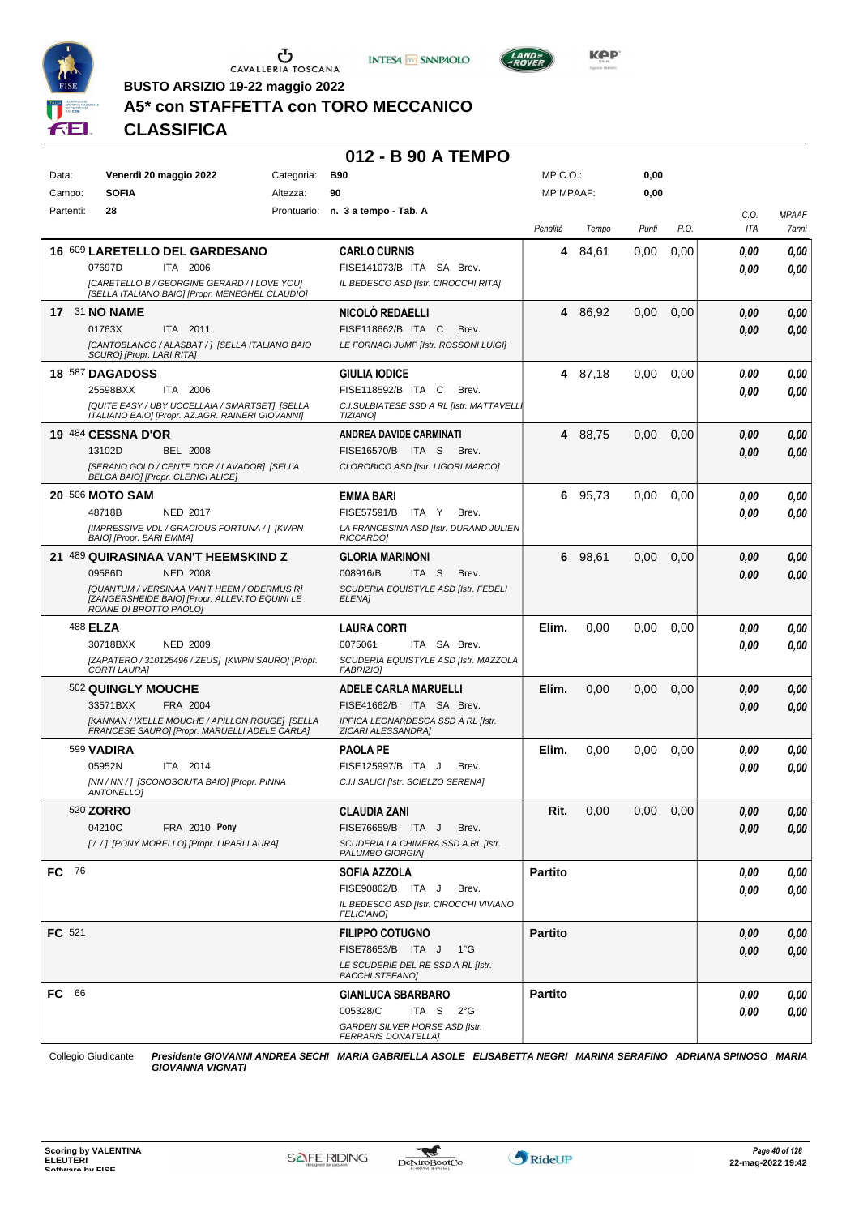





**BUSTO ARSIZIO 19-22 maggio 2022**

## **A5\* con STAFFETTA con TORO MECCANICO**

**CLASSIFICA**

#### **012 - B 90 A TEMPO**

| Data:        | Venerdì 20 maggio 2022                                                                                                                                                                      | Categoria: | <b>B90</b>                                                                                                          | MP C.O.:         |         | 0,00  |      |              |                       |
|--------------|---------------------------------------------------------------------------------------------------------------------------------------------------------------------------------------------|------------|---------------------------------------------------------------------------------------------------------------------|------------------|---------|-------|------|--------------|-----------------------|
| Campo:       | <b>SOFIA</b>                                                                                                                                                                                | Altezza:   | 90                                                                                                                  | <b>MP MPAAF:</b> |         | 0,00  |      |              |                       |
| Partenti:    | 28                                                                                                                                                                                          |            | Prontuario: n. 3 a tempo - Tab. A                                                                                   | Penalità         | Tempo   | Punti | P.O. | C.0.<br>ITA  | <b>MPAAF</b><br>7anni |
|              | 16 609 LARETELLO DEL GARDESANO<br>ITA 2006<br>07697D<br>[CARETELLO B / GEORGINE GERARD / I LOVE YOU]<br>[SELLA ITALIANO BAIO] [Propr. MENEGHEL CLAUDIO]                                     |            | <b>CARLO CURNIS</b><br>FISE141073/B ITA SA Brev.<br>IL BEDESCO ASD [Istr. CIROCCHI RITA]                            | 4                | 84,61   | 0.00  | 0,00 | 0,00<br>0.00 | 0,00<br>0,00          |
|              | <b>17 31 NO NAME</b><br>01763X<br>ITA 2011<br>[CANTOBLANCO / ALASBAT / ] [SELLA ITALIANO BAIO<br>SCURO] [Propr. LARI RITA]                                                                  |            | NICOLÒ REDAELLI<br>FISE118662/B ITA C<br>Brev.<br>LE FORNACI JUMP [Istr. ROSSONI LUIGI]                             |                  | 4 86,92 | 0,00  | 0,00 | 0,00<br>0.00 | 0,00<br>0,00          |
|              | <b>18 587 DAGADOSS</b><br>25598BXX<br>ITA 2006<br>[QUITE EASY / UBY UCCELLAIA / SMARTSET] [SELLA<br>ITALIANO BAIO] [Propr. AZ.AGR. RAINERI GIOVANNI]                                        |            | GIULIA IODICE<br>FISE118592/B ITA C<br>Brev.<br>C.I.SULBIATESE SSD A RL [Istr. MATTAVELL]<br><b>TIZIANO</b>         |                  | 4 87,18 | 0,00  | 0.00 | 0.00<br>0.00 | 0,00<br>0,00          |
|              | <b>19 484 CESSNA D'OR</b><br>13102D<br><b>BEL 2008</b><br>[SERANO GOLD / CENTE D'OR / LAVADOR] [SELLA<br>BELGA BAIO] [Propr. CLERICI ALICE]                                                 |            | <b>ANDREA DAVIDE CARMINATI</b><br>FISE16570/B ITA S<br>Brev.<br>CI OROBICO ASD [Istr. LIGORI MARCO]                 |                  | 4 88,75 | 0,00  | 0,00 | 0,00<br>0.00 | 0,00<br>0,00          |
|              | <b>20 506 MOTO SAM</b><br>48718B<br><b>NED 2017</b><br>[IMPRESSIVE VDL / GRACIOUS FORTUNA / ] [KWPN<br>BAIO] [Propr. BARI EMMA]                                                             |            | EMMA BARI<br>FISE57591/B<br>ITA Y<br>Brev.<br>LA FRANCESINA ASD [Istr. DURAND JULIEN<br>RICCARDO]                   | 6.               | 95.73   | 0,00  | 0.00 | 0.00<br>0.00 | 0,00<br>0,00          |
|              | 21 489 QUIRASINAA VAN'T HEEMSKIND Z<br>09586D<br><b>NED 2008</b><br>[QUANTUM / VERSINAA VAN'T HEEM / ODERMUS R]<br>[ZANGERSHEIDE BAIO] [Propr. ALLEV.TO EQUINI LE<br>ROANE DI BROTTO PAOLO] |            | <b>GLORIA MARINONI</b><br>008916/B<br>ITA S<br>Brev.<br>SCUDERIA EQUISTYLE ASD [Istr. FEDELI<br>ELENA]              | 6                | 98,61   | 0,00  | 0,00 | 0.00<br>0.00 | 0,00<br>0,00          |
|              | 488 <b>ELZA</b><br>30718BXX<br><b>NED 2009</b><br>[ZAPATERO / 310125496 / ZEUS] [KWPN SAURO] [Propr.<br>CORTI LAURA]                                                                        |            | <b>LAURA CORTI</b><br>0075061<br>ITA SA Brev.<br>SCUDERIA EQUISTYLE ASD [Istr. MAZZOLA<br><b>FABRIZIOI</b>          | Elim.            | 0,00    | 0,00  | 0,00 | 0.00<br>0,00 | 0,00<br>0,00          |
|              | 502 QUINGLY MOUCHE<br>33571BXX<br>FRA 2004<br>[KANNAN / IXELLE MOUCHE / APILLON ROUGE] [SELLA<br>FRANCESE SAURO] [Propr. MARUELLI ADELE CARLA]                                              |            | <b>ADELE CARLA MARUELLI</b><br>FISE41662/B ITA SA Brev.<br>IPPICA LEONARDESCA SSD A RL [Istr.<br>ZICARI ALESSANDRA] | Elim.            | 0,00    | 0,00  | 0,00 | 0,00<br>0,00 | 0,00<br>0,00          |
|              | 599 VADIRA<br>05952N<br>ITA 2014<br>[NN / NN / ] [SCONOSCIUTA BAIO] [Propr. PINNA<br>ANTONELLO]                                                                                             |            | PAOLA PE<br>FISE125997/B ITA J<br>Brev.<br>C.I.I SALICI [Istr. SCIELZO SERENA]                                      | Elim.            | 0,00    | 0,00  | 0,00 | 0,00<br>0.00 | 0,00<br>0,00          |
|              | 520 ZORRO<br>04210C<br>FRA 2010 Pony<br>[//] [PONY MORELLO] [Propr. LIPARI LAURA]                                                                                                           |            | CLAUDIA ZANI<br>FISE76659/B ITA J<br>Brev.<br>SCUDERIA LA CHIMERA SSD A RL [Istr.<br>PALUMBO GIORGIA]               | Rit.             | 0,00    | 0,00  | 0,00 | 0,00<br>0.00 | 0,00<br>0,00          |
| FC 76        |                                                                                                                                                                                             |            | SOFIA AZZOLA<br>FISE90862/B ITA J<br>Brev.<br>IL BEDESCO ASD [Istr. CIROCCHI VIVIANO<br><b>FELICIANO]</b>           | <b>Partito</b>   |         |       |      | 0.00<br>0.00 | 0,00<br>0,00          |
| FC 521       |                                                                                                                                                                                             |            | <b>FILIPPO COTUGNO</b><br>FISE78653/B ITA J 1°G<br>LE SCUDERIE DEL RE SSD A RL [Istr.<br>BACCHI STEFANO]            | <b>Partito</b>   |         |       |      | 0,00<br>0.00 | 0,00<br>0,00          |
| <b>FC</b> 66 |                                                                                                                                                                                             |            | GIANLUCA SBARBARO<br>005328/C<br>ITA S $2^{\circ}G$<br>GARDEN SILVER HORSE ASD [Istr.<br>FERRARIS DONATELLA]        | <b>Partito</b>   |         |       |      | 0.00<br>0.00 | 0,00<br>0,00          |

Collegio Giudicante *Presidente GIOVANNI ANDREA SECHI MARIA GABRIELLA ASOLE ELISABETTA NEGRI MARINA SERAFINO ADRIANA SPINOSO MARIA GIOVANNA VIGNATI*

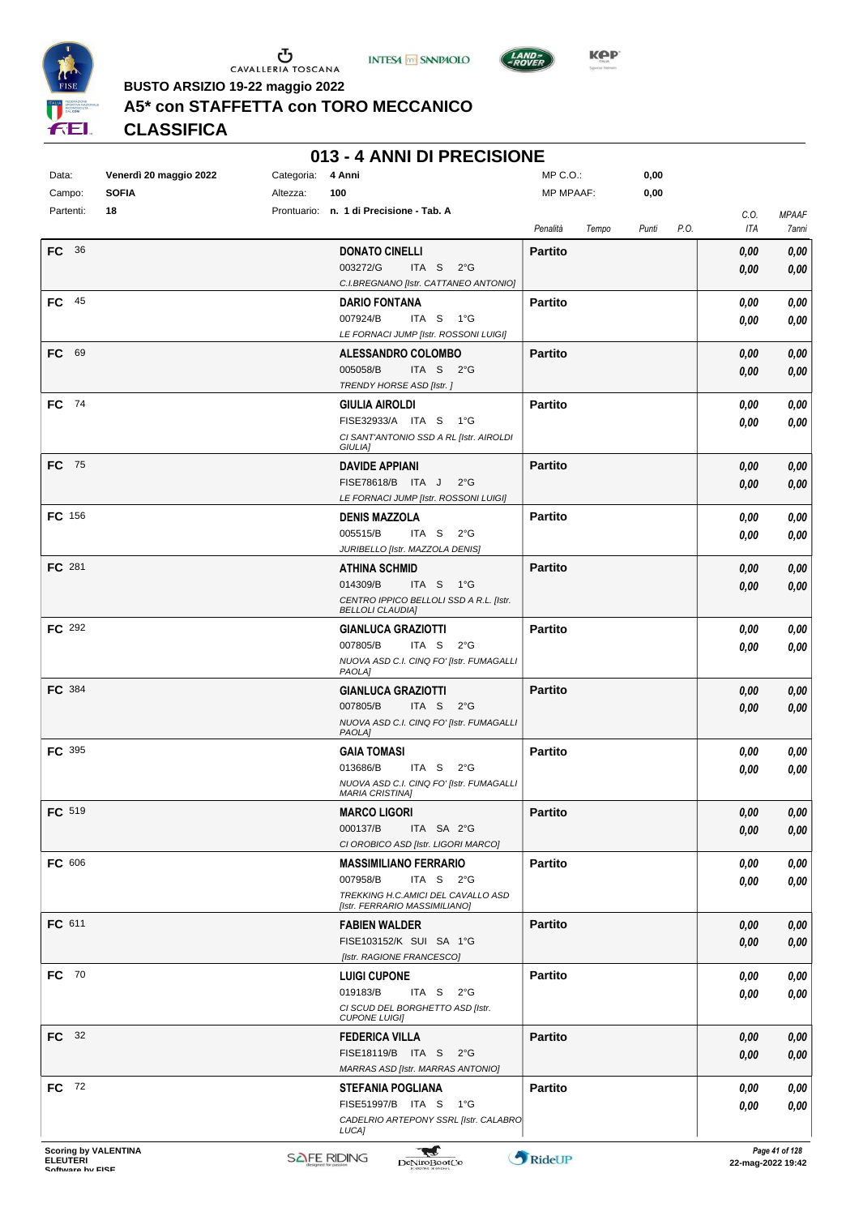





**KOP** 

**BUSTO ARSIZIO 19-22 maggio 2022**

# **A5\* con STAFFETTA con TORO MECCANICO**

**CLASSIFICA**

|  | 013 - 4 ANNI DI PRECISIONE |
|--|----------------------------|
|--|----------------------------|

| Data:<br>Campo:             | Venerdì 20 maggio 2022<br><b>SOFIA</b> | Categoria:<br>Altezza: | 4 Anni<br>100                                                               | MP C.O.:<br><b>MP MPAAF:</b> |       | 0,00<br>0,00 |      |              |                       |
|-----------------------------|----------------------------------------|------------------------|-----------------------------------------------------------------------------|------------------------------|-------|--------------|------|--------------|-----------------------|
| Partenti:                   | 18                                     |                        | Prontuario: n. 1 di Precisione - Tab. A                                     | Penalità                     | Tempo | Punti        | P.O. | C.O.<br>ITA  | <b>MPAAF</b><br>7anni |
| <b>FC</b> 36                |                                        |                        | <b>DONATO CINELLI</b>                                                       | <b>Partito</b>               |       |              |      | 0,00         | 0,00                  |
|                             |                                        |                        | 003272/G<br>ITA S<br>$2^{\circ}$ G                                          |                              |       |              |      | 0,00         | 0,00                  |
|                             |                                        |                        | C.I.BREGNANO [Istr. CATTANEO ANTONIO]                                       |                              |       |              |      |              |                       |
| $FC$ 45                     |                                        |                        | <b>DARIO FONTANA</b>                                                        | <b>Partito</b>               |       |              |      | 0,00         | 0,00                  |
|                             |                                        |                        | 007924/B<br>ITA S<br>1°G<br>LE FORNACI JUMP [Istr. ROSSONI LUIGI]           |                              |       |              |      | 0,00         | 0,00                  |
| FC 69                       |                                        |                        | ALESSANDRO COLOMBO                                                          | <b>Partito</b>               |       |              |      | 0,00         | 0,00                  |
|                             |                                        |                        | 005058/B<br>ITA S $2^{\circ}G$                                              |                              |       |              |      | 0,00         | 0,00                  |
| FC 74                       |                                        |                        | TRENDY HORSE ASD [Istr.]<br><b>GIULIA AIROLDI</b>                           | <b>Partito</b>               |       |              |      | 0,00         | 0,00                  |
|                             |                                        |                        | FISE32933/A ITA S 1°G                                                       |                              |       |              |      | 0,00         | 0,00                  |
|                             |                                        |                        | CI SANT'ANTONIO SSD A RL [Istr. AIROLDI<br>GIULIA]                          |                              |       |              |      |              |                       |
| FC 75                       |                                        |                        | <b>DAVIDE APPIANI</b>                                                       | <b>Partito</b>               |       |              |      | 0,00         | 0,00                  |
|                             |                                        |                        | FISE78618/B ITA J<br>$2^{\circ}$ G<br>LE FORNACI JUMP [Istr. ROSSONI LUIGI] |                              |       |              |      | 0,00         | 0,00                  |
| FC 156                      |                                        |                        | <b>DENIS MAZZOLA</b>                                                        | <b>Partito</b>               |       |              |      | 0,00         | 0,00                  |
|                             |                                        |                        | 005515/B<br>ITA S<br>$2^{\circ}$ G                                          |                              |       |              |      | 0,00         | 0,00                  |
|                             |                                        |                        | JURIBELLO [Istr. MAZZOLA DENIS]                                             |                              |       |              |      |              |                       |
| FC 281                      |                                        |                        | <b>ATHINA SCHMID</b>                                                        | <b>Partito</b>               |       |              |      | 0,00         | 0,00                  |
|                             |                                        |                        | 014309/B<br>ITA S 1°G<br>CENTRO IPPICO BELLOLI SSD A R.L. [Istr.            |                              |       |              |      | 0,00         | 0,00                  |
|                             |                                        |                        | <b>BELLOLI CLAUDIA]</b>                                                     |                              |       |              |      |              |                       |
| FC 292                      |                                        |                        | <b>GIANLUCA GRAZIOTTI</b>                                                   | <b>Partito</b>               |       |              |      | 0,00         | 0,00                  |
|                             |                                        |                        | 007805/B<br>ITA S<br>$2^{\circ}$ G                                          |                              |       |              |      | 0,00         | 0,00                  |
|                             |                                        |                        | NUOVA ASD C.I. CINQ FO' [Istr. FUMAGALLI<br><b>PAOLA]</b>                   |                              |       |              |      |              |                       |
| FC 384                      |                                        |                        | <b>GIANLUCA GRAZIOTTI</b>                                                   | <b>Partito</b>               |       |              |      | 0,00         | 0,00                  |
|                             |                                        |                        | 007805/B<br>ITA S<br>$2^{\circ}$ G                                          |                              |       |              |      | 0,00         | 0,00                  |
|                             |                                        |                        | NUOVA ASD C.I. CINQ FO' [Istr. FUMAGALLI<br><b>PAOLA]</b>                   |                              |       |              |      |              |                       |
| <b>FC</b> 395               |                                        |                        | <b>GAIA TOMASI</b>                                                          | <b>Partito</b>               |       |              |      | 0,00         | 0,00                  |
|                             |                                        |                        | 013686/B<br>ITA S<br>$2^{\circ}G$                                           |                              |       |              |      | 0,00         | 0,00                  |
|                             |                                        |                        | NUOVA ASD C.I. CINQ FO' [Istr. FUMAGALLI<br><b>MARIA CRISTINAI</b>          |                              |       |              |      |              |                       |
| FC 519                      |                                        |                        | <b>MARCO LIGORI</b>                                                         | Partito                      |       |              |      | $\it 0,00$   | $\pmb{0,\!00}$        |
|                             |                                        |                        | 000137/B<br>ITA SA 2°G                                                      |                              |       |              |      | 0,00         | 0,00                  |
|                             |                                        |                        | CI OROBICO ASD [Istr. LIGORI MARCO]                                         |                              |       |              |      |              |                       |
| FC 606                      |                                        |                        | <b>MASSIMILIANO FERRARIO</b>                                                | <b>Partito</b>               |       |              |      | 0,00         | 0,00                  |
|                             |                                        |                        | 007958/B<br>ITA S $2^{\circ}G$<br>TREKKING H.C.AMICI DEL CAVALLO ASD        |                              |       |              |      | 0.00         | 0,00                  |
|                             |                                        |                        | [Istr. FERRARIO MASSIMILIANO]                                               |                              |       |              |      |              |                       |
| FC 611                      |                                        |                        | <b>FABIEN WALDER</b>                                                        | <b>Partito</b>               |       |              |      | 0,00         | 0,00                  |
|                             |                                        |                        | FISE103152/K SUI SA 1°G                                                     |                              |       |              |      | 0,00         | 0,00                  |
|                             |                                        |                        | [Istr. RAGIONE FRANCESCO]                                                   |                              |       |              |      |              |                       |
| FC 70                       |                                        |                        | <b>LUIGI CUPONE</b><br>019183/B<br>ITA S $2^{\circ}G$                       | <b>Partito</b>               |       |              |      | 0,00<br>0,00 | 0,00<br>0,00          |
|                             |                                        |                        | CI SCUD DEL BORGHETTO ASD [Istr.                                            |                              |       |              |      |              |                       |
|                             |                                        |                        | <b>CUPONE LUIGI]</b>                                                        |                              |       |              |      |              |                       |
| FC 32                       |                                        |                        | <b>FEDERICA VILLA</b>                                                       | <b>Partito</b>               |       |              |      | 0,00         | 0,00                  |
|                             |                                        |                        | FISE18119/B ITA S 2°G<br>MARRAS ASD [Istr. MARRAS ANTONIO]                  |                              |       |              |      | 0,00         | 0,00                  |
| <b>FC</b> 72                |                                        |                        | <b>STEFANIA POGLIANA</b>                                                    | <b>Partito</b>               |       |              |      | 0,00         | 0,00                  |
|                             |                                        |                        | FISE51997/B ITA S 1°G                                                       |                              |       |              |      | 0,00         | 0,00                  |
|                             |                                        |                        | CADELRIO ARTEPONY SSRL [Istr. CALABRO                                       |                              |       |              |      |              |                       |
| <b>Scoring by VALENTINA</b> |                                        |                        | LUCA]<br><b>THE</b>                                                         |                              |       |              |      |              | Page 41 of 128        |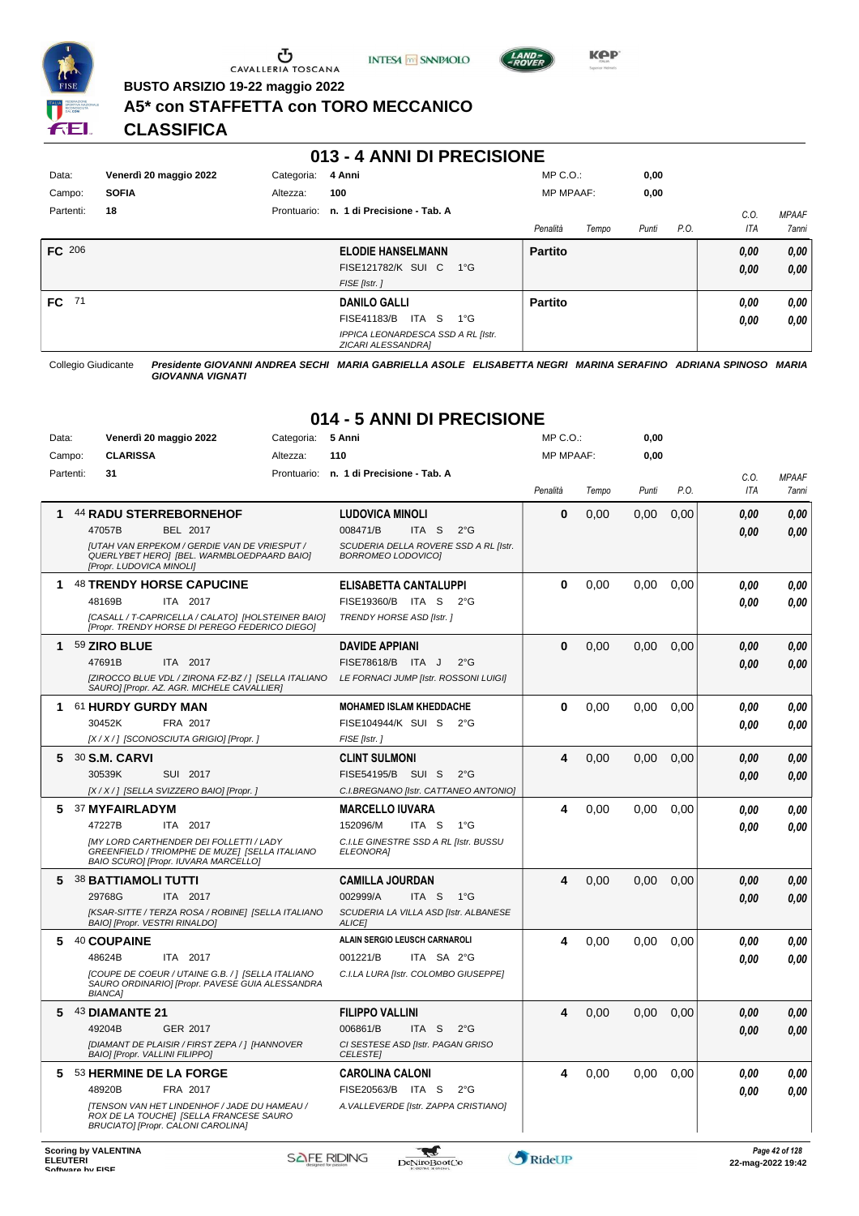

U CAVALLERIA TOSCANA





**Kep** 

**BUSTO ARSIZIO 19-22 maggio 2022**

#### **A5\* con STAFFETTA con TORO MECCANICO**

**CLASSIFICA**

#### **013 - 4 ANNI DI PRECISIONE**

| Data:        | Venerdì 20 maggio 2022 | Categoria: | 4 Anni                                                   | $MP C. O.$ :     |       | 0,00  |      |      |              |
|--------------|------------------------|------------|----------------------------------------------------------|------------------|-------|-------|------|------|--------------|
| Campo:       | <b>SOFIA</b>           | Altezza:   | 100                                                      | <b>MP MPAAF:</b> |       | 0,00  |      |      |              |
| Partenti:    | 18                     |            | Prontuario: n. 1 di Precisione - Tab. A                  |                  |       |       |      | C.0  | <b>MPAAF</b> |
|              |                        |            |                                                          | Penalità         | Tempo | Punti | P.O. | ITA  | 7anni        |
| FC 206       |                        |            | <b>ELODIE HANSELMANN</b>                                 | <b>Partito</b>   |       |       |      | 0,00 | 0,00         |
|              |                        |            | <b>FISE121782/K SUI C</b><br>1°G                         |                  |       |       |      | 0,00 | 0,00         |
|              |                        |            | FISE [Istr.]                                             |                  |       |       |      |      |              |
| <b>FC</b> 71 |                        |            | <b>DANILO GALLI</b>                                      | <b>Partito</b>   |       |       |      | 0,00 | 0,00         |
|              |                        |            | ITA S<br><b>FISE41183/B</b><br>1°G                       |                  |       |       |      | 0,00 | 0,00         |
|              |                        |            | IPPICA LEONARDESCA SSD A RL [Istr.<br>ZICARI ALESSANDRA] |                  |       |       |      |      |              |

Collegio Giudicante *Presidente GIOVANNI ANDREA SECHI MARIA GABRIELLA ASOLE ELISABETTA NEGRI MARINA SERAFINO ADRIANA SPINOSO MARIA GIOVANNA VIGNATI*

# **014 - 5 ANNI DI PRECISIONE**

| Data:     | Venerdì 20 maggio 2022<br>Categoria:                                                                                                 | 5 Anni                                                                     | MP C.O.:         |       | 0,00  |      |            |              |
|-----------|--------------------------------------------------------------------------------------------------------------------------------------|----------------------------------------------------------------------------|------------------|-------|-------|------|------------|--------------|
| Campo:    | <b>CLARISSA</b><br>Altezza:                                                                                                          | 110                                                                        | <b>MP MPAAF:</b> |       | 0,00  |      |            |              |
| Partenti: | 31<br>Prontuario:                                                                                                                    | n. 1 di Precisione - Tab. A                                                |                  |       |       |      | C.O.       | <b>MPAAF</b> |
|           |                                                                                                                                      |                                                                            | Penalità         | Tempo | Punti | P.O. | <b>ITA</b> | 7anni        |
| 1         | <b>44 RADU STERREBORNEHOF</b>                                                                                                        | <b>LUDOVICA MINOLI</b>                                                     | $\bf{0}$         | 0,00  | 0,00  | 0,00 | 0.00       | 0.00         |
|           | 47057B<br>BEL 2017                                                                                                                   | 008471/B<br>ITA <sub>S</sub><br>$2^{\circ}$ G                              |                  |       |       |      | 0.00       | 0.00         |
|           | <b>JUTAH VAN ERPEKOM / GERDIE VAN DE VRIESPUT /</b><br>QUERLYBET HEROI [BEL. WARMBLOEDPAARD BAIO]<br>[Propr. LUDOVICA MINOLI]        | SCUDERIA DELLA ROVERE SSD A RL [Istr.<br><b>BORROMEO LODOVICOI</b>         |                  |       |       |      |            |              |
| 1         | <b>48 TRENDY HORSE CAPUCINE</b>                                                                                                      | ELISABETTA CANTALUPPI                                                      | $\bf{0}$         | 0,00  | 0,00  | 0,00 | 0.00       | 0,00         |
|           | 48169B<br>ITA 2017                                                                                                                   | FISE19360/B<br>ITA S<br>$2^{\circ}$ G                                      |                  |       |       |      | 0.00       | 0.00         |
|           | [CASALL / T-CAPRICELLA / CALATO] [HOLSTEINER BAIO]<br>[Propr. TRENDY HORSE DI PEREGO FEDERICO DIEGO]                                 | <b>TRENDY HORSE ASD [Istr.]</b>                                            |                  |       |       |      |            |              |
| 1         | 59 ZIRO BLUE                                                                                                                         | <b>DAVIDE APPIANI</b>                                                      | $\bf{0}$         | 0,00  | 0.00  | 0.00 | 0.00       | 0,00         |
|           | 47691B<br>ITA 2017                                                                                                                   | FISE78618/B ITA J<br>$2^{\circ}$ G                                         |                  |       |       |      | 0.00       | 0.00         |
|           | [ZIROCCO BLUE VDL / ZIRONA FZ-BZ / ] [SELLA ITALIANO<br>SAURO] [Propr. AZ. AGR. MICHELE CAVALLIER]                                   | LE FORNACI JUMP [Istr. ROSSONI LUIGI]                                      |                  |       |       |      |            |              |
| 1         | 61 HURDY GURDY MAN                                                                                                                   | <b>MOHAMED ISLAM KHEDDACHE</b>                                             | 0                | 0,00  | 0.00  | 0.00 | 0.00       | 0.00         |
|           | 30452K<br>FRA 2017                                                                                                                   | FISE104944/K SUI S<br>$2^{\circ}G$                                         |                  |       |       |      | 0.00       | 0.00         |
|           | [X / X / ] [SCONOSCIUTA GRIGIO] [Propr. ]                                                                                            | FISE [Istr.]                                                               |                  |       |       |      |            |              |
| 5.        | 30 S.M. CARVI                                                                                                                        | <b>CLINT SULMONI</b>                                                       | 4                | 0,00  | 0.00  | 0.00 | 0.00       | 0.00         |
|           | 30539K<br>SUI 2017                                                                                                                   | FISE54195/B<br>SUI S<br>$2^{\circ}$ G                                      |                  |       |       |      | 0.00       | 0.00         |
|           | [X / X / ] [SELLA SVIZZERO BAIO] [Propr. ]                                                                                           | C.I.BREGNANO [Istr. CATTANEO ANTONIO]                                      |                  |       |       |      |            |              |
| 5         | <b>37 MYFAIRLADYM</b>                                                                                                                | <b>MARCELLO IUVARA</b>                                                     | 4                | 0,00  | 0.00  | 0.00 | 0,00       | 0,00         |
|           | 47227B<br>ITA 2017<br><b>[MY LORD CARTHENDER DEI FOLLETTI / LADY</b>                                                                 | 152096/M<br>ITA S<br>$1^{\circ}G$<br>C.I.LE GINESTRE SSD A RL [Istr. BUSSU |                  |       |       |      | 0.00       | 0.00         |
|           | GREENFIELD / TRIOMPHE DE MUZEI ISELLA ITALIANO<br>BAIO SCURO] [Propr. IUVARA MARCELLO]                                               | <b>ELEONORAI</b>                                                           |                  |       |       |      |            |              |
| 5         | <b>38 BATTIAMOLI TUTTI</b>                                                                                                           | <b>CAMILLA JOURDAN</b>                                                     | 4                | 0,00  | 0.00  | 0,00 | 0.00       | 0,00         |
|           | 29768G<br>ITA 2017                                                                                                                   | 002999/A<br>ITA S<br>1°G                                                   |                  |       |       |      | 0.00       | 0.00         |
|           | [KSAR-SITTE / TERZA ROSA / ROBINE] [SELLA ITALIANO<br>BAIO] [Propr. VESTRI RINALDO]                                                  | SCUDERIA LA VILLA ASD [Istr. ALBANESE<br><b>ALICEI</b>                     |                  |       |       |      |            |              |
| 5         | 40 COUPAINE                                                                                                                          | <b>ALAIN SERGIO LEUSCH CARNAROLI</b>                                       | 4                | 0,00  | 0,00  | 0,00 | 0.00       | 0,00         |
|           | 48624B<br>ITA 2017                                                                                                                   | 001221/B<br>ITA SA 2°G                                                     |                  |       |       |      | 0.00       | 0.00         |
|           | [COUPE DE COEUR / UTAINE G.B. /] [SELLA ITALIANO<br>SAURO ORDINARIO] [Propr. PAVESE GUIA ALESSANDRA<br><b>BIANCA1</b>                | C.I.LA LURA [Istr. COLOMBO GIUSEPPE]                                       |                  |       |       |      |            |              |
| 5         | 43 DIAMANTE 21                                                                                                                       | <b>FILIPPO VALLINI</b>                                                     | 4                | 0,00  | 0,00  | 0,00 | 0.00       | 0,00         |
|           | 49204B<br>GER 2017                                                                                                                   | 006861/B<br>ITA S<br>$2^{\circ}G$                                          |                  |       |       |      | 0.00       | 0.00         |
|           | [DIAMANT DE PLAISIR / FIRST ZEPA / ] [HANNOVER<br>BAIO] [Propr. VALLINI FILIPPO]                                                     | CI SESTESE ASD [Istr. PAGAN GRISO<br><b>CELESTEI</b>                       |                  |       |       |      |            |              |
| 5         | 53 HERMINE DE LA FORGE                                                                                                               | <b>CAROLINA CALONI</b>                                                     | 4                | 0,00  | 0.00  | 0,00 | 0.00       | 0,00         |
|           | 48920B<br>FRA 2017                                                                                                                   | FISE20563/B ITA S<br>$2^{\circ}$ G                                         |                  |       |       |      | 0.00       | 0.00         |
|           | <b>[TENSON VAN HET LINDENHOF / JADE DU HAMEAU /</b><br>ROX DE LA TOUCHE] [SELLA FRANCESE SAURO<br>BRUCIATO] [Propr. CALONI CAROLINA] | A. VALLEVERDE [Istr. ZAPPA CRISTIANO]                                      |                  |       |       |      |            |              |

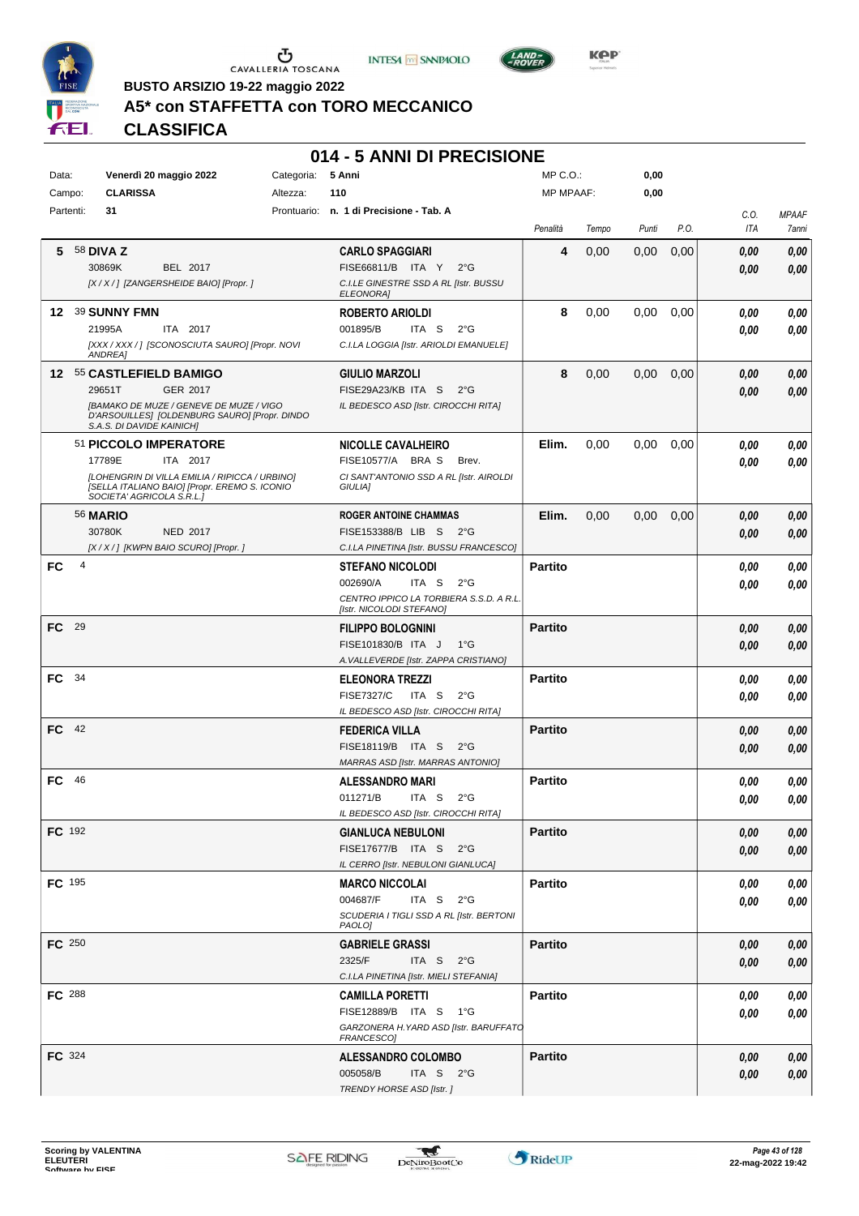





 $LAND =$ 

**BUSTO ARSIZIO 19-22 maggio 2022**

# **A5\* con STAFFETTA con TORO MECCANICO**

**CLASSIFICA**

|               |                |                                                                                                                              |            | 014 - 5 ANNI DI PRECISIONE                                 |                  |       |       |      |              |              |
|---------------|----------------|------------------------------------------------------------------------------------------------------------------------------|------------|------------------------------------------------------------|------------------|-------|-------|------|--------------|--------------|
| Data:         |                | Venerdì 20 maggio 2022                                                                                                       | Categoria: | 5 Anni                                                     | $MP C. O.$ :     |       | 0,00  |      |              |              |
| Campo:        |                | <b>CLARISSA</b>                                                                                                              | Altezza:   | 110                                                        | <b>MP MPAAF:</b> |       | 0,00  |      |              |              |
| Partenti:     |                | 31                                                                                                                           |            | Prontuario: n. 1 di Precisione - Tab. A                    |                  |       |       |      | C.O.         | <b>MPAAF</b> |
|               |                |                                                                                                                              |            |                                                            | Penalità         | Tempo | Punti | P.O. | ITA          | 7anni        |
| 5.            |                | 58 DIVA Z                                                                                                                    |            | <b>CARLO SPAGGIARI</b>                                     | 4                | 0,00  | 0,00  | 0,00 | 0,00         | 0,00         |
|               |                | 30869K<br>BEL 2017                                                                                                           |            | FISE66811/B ITA Y<br>$2^{\circ}G$                          |                  |       |       |      | 0,00         | 0,00         |
|               |                | [X / X / ] [ZANGERSHEIDE BAIO] [Propr. ]                                                                                     |            | C.I.LE GINESTRE SSD A RL [Istr. BUSSU<br><b>ELEONORAI</b>  |                  |       |       |      |              |              |
|               |                | 12 39 SUNNY FMN                                                                                                              |            | <b>ROBERTO ARIOLDI</b>                                     | 8                | 0,00  | 0,00  | 0,00 | 0,00         | 0,00         |
|               |                | 21995A<br>ITA 2017                                                                                                           |            | 001895/B<br>ITA S<br>$2^{\circ}G$                          |                  |       |       |      | 0,00         | 0,00         |
|               |                | [XXX / XXX / ] [SCONOSCIUTA SAURO] [Propr. NOVI<br>ANDREA]                                                                   |            | C.I.LA LOGGIA [Istr. ARIOLDI EMANUELE]                     |                  |       |       |      |              |              |
|               |                | 12 55 CASTLEFIELD BAMIGO                                                                                                     |            | <b>GIULIO MARZOLI</b>                                      | 8                | 0,00  | 0,00  | 0,00 | 0,00         | 0,00         |
|               |                | GER 2017<br>29651T                                                                                                           |            | FISE29A23/KB ITA S<br>$2^{\circ}$ G                        |                  |       |       |      | 0.00         | 0.00         |
|               |                | [BAMAKO DE MUZE / GENEVE DE MUZE / VIGO<br>D'ARSOUILLES] [OLDENBURG SAURO] [Propr. DINDO<br>S.A.S. DI DAVIDE KAINICH]        |            | IL BEDESCO ASD [Istr. CIROCCHI RITA]                       |                  |       |       |      |              |              |
|               |                | 51 PICCOLO IMPERATORE                                                                                                        |            | <b>NICOLLE CAVALHEIRO</b>                                  | Elim.            | 0,00  | 0,00  | 0,00 | 0,00         | 0,00         |
|               |                | 17789E<br>ITA 2017                                                                                                           |            | FISE10577/A BRAS<br>Brev.                                  |                  |       |       |      | 0.00         | 0.00         |
|               |                | [LOHENGRIN DI VILLA EMILIA / RIPICCA / URBINO]<br>[SELLA ITALIANO BAIO] [Propr. EREMO S. ICONIO<br>SOCIETA' AGRICOLA S.R.L.] |            | CI SANT'ANTONIO SSD A RL [Istr. AIROLDI<br>GIULIA]         |                  |       |       |      |              |              |
|               |                | <b>56 MARIO</b>                                                                                                              |            | <b>ROGER ANTOINE CHAMMAS</b>                               | Elim.            | 0,00  | 0,00  | 0,00 | 0,00         | 0,00         |
|               |                | 30780K<br><b>NED 2017</b>                                                                                                    |            | FISE153388/B LIB S<br>$2^{\circ}$ G                        |                  |       |       |      | 0,00         | 0,00         |
|               |                | [X / X / ] [KWPN BAIO SCURO] [Propr.]                                                                                        |            | C.I.LA PINETINA [Istr. BUSSU FRANCESCO]                    |                  |       |       |      |              |              |
| FC            | $\overline{4}$ |                                                                                                                              |            | <b>STEFANO NICOLODI</b>                                    | <b>Partito</b>   |       |       |      | 0,00         | 0,00         |
|               |                |                                                                                                                              |            | 002690/A<br>ITA S<br>$2^{\circ}G$                          |                  |       |       |      | 0,00         | 0.00         |
|               |                |                                                                                                                              |            | CENTRO IPPICO LA TORBIERA S.S.D. A R.L.                    |                  |       |       |      |              |              |
| FC.           | - 29           |                                                                                                                              |            | [Istr. NICOLODI STEFANO]                                   | <b>Partito</b>   |       |       |      |              |              |
|               |                |                                                                                                                              |            | <b>FILIPPO BOLOGNINI</b><br>FISE101830/B ITA J<br>1°G      |                  |       |       |      | 0,00<br>0,00 | 0,00<br>0,00 |
|               |                |                                                                                                                              |            | A. VALLEVERDE [Istr. ZAPPA CRISTIANO]                      |                  |       |       |      |              |              |
| FC.           | - 34           |                                                                                                                              |            | <b>ELEONORA TREZZI</b>                                     | <b>Partito</b>   |       |       |      | 0,00         | 0,00         |
|               |                |                                                                                                                              |            | <b>FISE7327/C</b><br>ITA S<br>$2^{\circ}$ G                |                  |       |       |      | 0,00         | 0.00         |
|               |                |                                                                                                                              |            | IL BEDESCO ASD [Istr. CIROCCHI RITA]                       |                  |       |       |      |              |              |
| FC 42         |                |                                                                                                                              |            | <b>FEDERICA VILLA</b>                                      | <b>Partito</b>   |       |       |      | 0,00         | 0,00         |
|               |                |                                                                                                                              |            | FISE18119/B ITA S<br>$2^{\circ}$ G                         |                  |       |       |      | 0,00         | 0.00         |
|               |                |                                                                                                                              |            | MARRAS ASD [Istr. MARRAS ANTONIO]                          |                  |       |       |      |              |              |
| FC            | 46             |                                                                                                                              |            | <b>ALESSANDRO MARI</b>                                     | <b>Partito</b>   |       |       |      | 0,00         | 0,00         |
|               |                |                                                                                                                              |            | 011271/B ITA S 2°G<br>IL BEDESCO ASD [Istr. CIROCCHI RITA] |                  |       |       |      | $\it 0,00$   | 0,00         |
| FC 192        |                |                                                                                                                              |            | <b>GIANLUCA NEBULONI</b>                                   | <b>Partito</b>   |       |       |      | 0,00         | 0,00         |
|               |                |                                                                                                                              |            | FISE17677/B ITA S<br>$2^{\circ}$ G                         |                  |       |       |      | 0,00         | 0,00         |
|               |                |                                                                                                                              |            | IL CERRO [Istr. NEBULONI GIANLUCA]                         |                  |       |       |      |              |              |
| FC 195        |                |                                                                                                                              |            | <b>MARCO NICCOLAI</b>                                      | <b>Partito</b>   |       |       |      | 0,00         | 0,00         |
|               |                |                                                                                                                              |            | 004687/F<br>ITA S<br>$2^{\circ}G$                          |                  |       |       |      | 0,00         | 0,00         |
|               |                |                                                                                                                              |            | SCUDERIA I TIGLI SSD A RL [Istr. BERTONI<br>PAOLO]         |                  |       |       |      |              |              |
| FC 250        |                |                                                                                                                              |            | <b>GABRIELE GRASSI</b>                                     | <b>Partito</b>   |       |       |      | 0,00         | 0,00         |
|               |                |                                                                                                                              |            | 2325/F<br>ITA S<br>$2^{\circ}G$                            |                  |       |       |      | 0,00         | 0,00         |
|               |                |                                                                                                                              |            | C.I.LA PINETINA [Istr. MIELI STEFANIA]                     |                  |       |       |      |              |              |
| FC 288        |                |                                                                                                                              |            | <b>CAMILLA PORETTI</b>                                     | <b>Partito</b>   |       |       |      | 0,00         | 0,00         |
|               |                |                                                                                                                              |            | FISE12889/B ITA S 1°G                                      |                  |       |       |      | 0,00         | 0,00         |
|               |                |                                                                                                                              |            | GARZONERA H. YARD ASD [Istr. BARUFFATO<br>FRANCESCO]       |                  |       |       |      |              |              |
| <b>FC</b> 324 |                |                                                                                                                              |            | <b>ALESSANDRO COLOMBO</b>                                  | <b>Partito</b>   |       |       |      | 0,00         | 0,00         |
|               |                |                                                                                                                              |            | 005058/B<br>ITA S $2^{\circ}G$                             |                  |       |       |      | 0,00         | 0,00         |
|               |                |                                                                                                                              |            | TRENDY HORSE ASD [Istr. ]                                  |                  |       |       |      |              |              |

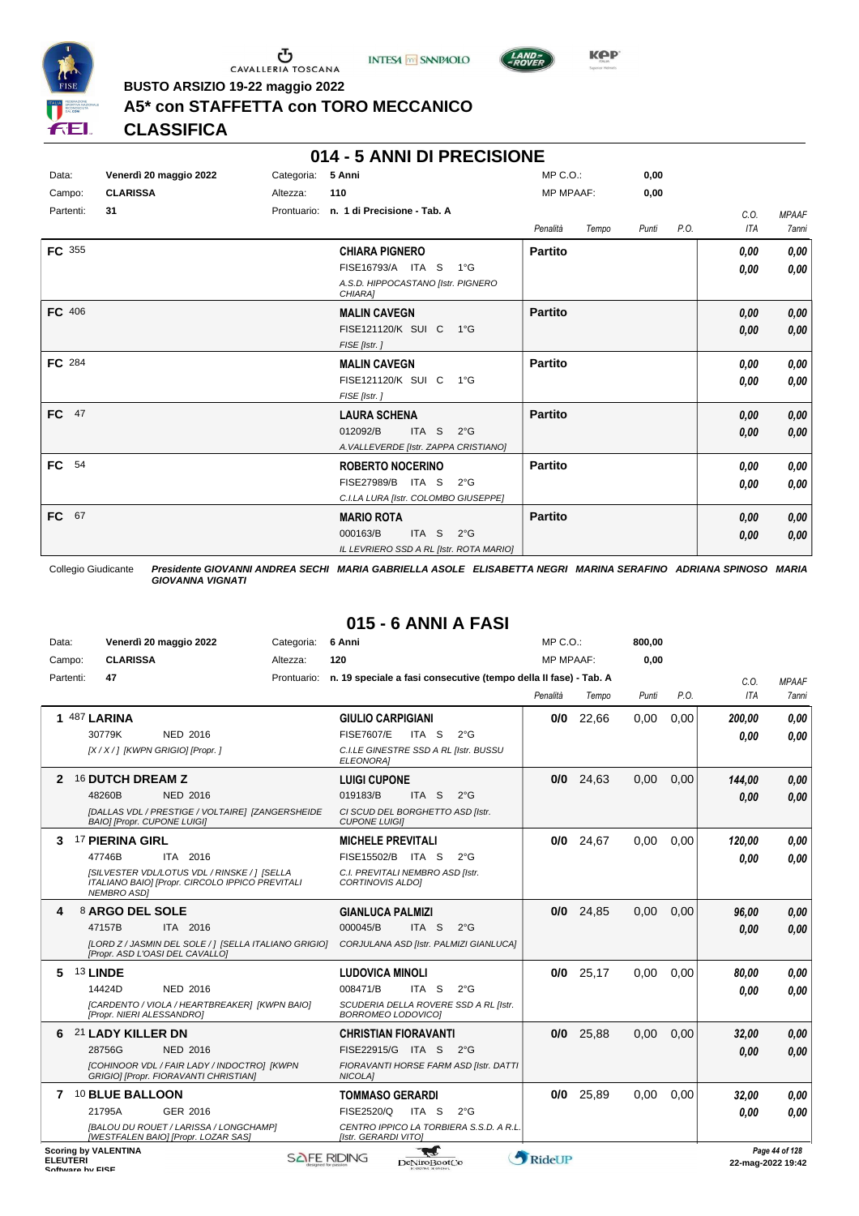





**Kep** 

**BUSTO ARSIZIO 19-22 maggio 2022**

#### **A5\* con STAFFETTA con TORO MECCANICO**

**CLASSIFICA**

#### **014 - 5 ANNI DI PRECISIONE**

| Data:           | Venerdì 20 maggio 2022 | Categoria:  | 5 Anni                                        | $MP C. O.$ :     |       | 0,00  |      |            |              |
|-----------------|------------------------|-------------|-----------------------------------------------|------------------|-------|-------|------|------------|--------------|
| Campo:          | <b>CLARISSA</b>        | Altezza:    | 110                                           | <b>MP MPAAF:</b> |       | 0,00  |      |            |              |
| Partenti:       | 31                     | Prontuario: | n. 1 di Precisione - Tab. A                   |                  |       |       |      | C.O.       | <b>MPAAF</b> |
|                 |                        |             |                                               | Penalità         | Tempo | Punti | P.O. | <b>ITA</b> | 7anni        |
| FC 355          |                        |             | <b>CHIARA PIGNERO</b>                         | <b>Partito</b>   |       |       |      | 0,00       | 0,00         |
|                 |                        |             | FISE16793/A ITA S<br>$1^{\circ}$ G            |                  |       |       |      | 0,00       | 0,00         |
|                 |                        |             | A.S.D. HIPPOCASTANO [Istr. PIGNERO<br>CHIARA1 |                  |       |       |      |            |              |
| FC 406          |                        |             | <b>MALIN CAVEGN</b>                           | <b>Partito</b>   |       |       |      | 0,00       | 0,00         |
|                 |                        |             | FISE121120/K SUI C<br>$1^{\circ}G$            |                  |       |       |      | 0,00       | 0,00         |
|                 |                        |             | FISE [Istr.]                                  |                  |       |       |      |            |              |
| FC 284          |                        |             | <b>MALIN CAVEGN</b>                           | <b>Partito</b>   |       |       |      | 0,00       | 0,00         |
|                 |                        |             | FISE121120/K SUI C<br>1°G                     |                  |       |       |      | 0,00       | 0,00         |
|                 |                        |             | FISE [Istr.]                                  |                  |       |       |      |            |              |
| FC 47           |                        |             | <b>LAURA SCHENA</b>                           | <b>Partito</b>   |       |       |      | 0,00       | 0,00         |
|                 |                        |             | ITA <sub>S</sub><br>012092/B<br>$2^{\circ}$ G |                  |       |       |      | 0,00       | 0,00         |
|                 |                        |             | A. VALLEVERDE [Istr. ZAPPA CRISTIANO]         |                  |       |       |      |            |              |
| FC<br>54        |                        |             | <b>ROBERTO NOCERINO</b>                       | <b>Partito</b>   |       |       |      | 0,00       | 0,00         |
|                 |                        |             | FISE27989/B ITA S<br>$2^{\circ}G$             |                  |       |       |      | 0,00       | 0,00         |
|                 |                        |             | C.I.LA LURA [Istr. COLOMBO GIUSEPPE]          |                  |       |       |      |            |              |
| 67<br><b>FC</b> |                        |             | <b>MARIO ROTA</b>                             | <b>Partito</b>   |       |       |      | 0,00       | 0,00         |
|                 |                        |             | ITA <sub>S</sub><br>000163/B<br>$2^{\circ}G$  |                  |       |       |      | 0,00       | 0,00         |
|                 |                        |             | IL LEVRIERO SSD A RL [Istr. ROTA MARIO]       |                  |       |       |      |            |              |

Collegio Giudicante *Presidente GIOVANNI ANDREA SECHI MARIA GABRIELLA ASOLE ELISABETTA NEGRI MARINA SERAFINO ADRIANA SPINOSO MARIA GIOVANNA VIGNATI*

# **015 - 6 ANNI A FASI**

| Data:     | Venerdì 20 maggio 2022                                                                                                | Categoria: | 6 Anni                                                                       | MP C.O.:         |       | 800,00 |      |            |              |
|-----------|-----------------------------------------------------------------------------------------------------------------------|------------|------------------------------------------------------------------------------|------------------|-------|--------|------|------------|--------------|
| Campo:    | <b>CLARISSA</b>                                                                                                       | Altezza:   | 120                                                                          | <b>MP MPAAF:</b> |       | 0.00   |      |            |              |
| Partenti: | 47                                                                                                                    |            | Prontuario: n. 19 speciale a fasi consecutive (tempo della Il fase) - Tab. A |                  |       |        |      | C.0.       | <b>MPAAF</b> |
|           |                                                                                                                       |            |                                                                              | Penalità         | Tempo | Punti  | P.O. | <b>ITA</b> | <b>7anni</b> |
|           | <b>1 487 LARINA</b>                                                                                                   |            | <b>GIULIO CARPIGIANI</b>                                                     | 0/0              | 22,66 | 0,00   | 0,00 | 200.00     | 0.00         |
|           | 30779K<br>NED 2016                                                                                                    |            | <b>FISE7607/E</b><br>ITA S<br>$2^{\circ}$ G                                  |                  |       |        |      | 0.00       | 0.00         |
|           | [X / X / ] [KWPN GRIGIO] [Propr. ]                                                                                    |            | C.I.LE GINESTRE SSD A RL [Istr. BUSSU<br><b>ELEONORAI</b>                    |                  |       |        |      |            |              |
| 2         | <b>16 DUTCH DREAM Z</b>                                                                                               |            | <b>LUIGI CUPONE</b>                                                          | 0/0              | 24,63 | 0,00   | 0,00 | 144,00     | 0,00         |
|           | 48260B<br><b>NED 2016</b>                                                                                             |            | ITA S<br>019183/B<br>$2^{\circ}$ G                                           |                  |       |        |      | 0.00       | 0.00         |
|           | [DALLAS VDL / PRESTIGE / VOLTAIRE] [ZANGERSHEIDE<br><b>BAIO] [Propr. CUPONE LUIGI]</b>                                |            | CI SCUD DEL BORGHETTO ASD [Istr.<br><b>CUPONE LUIGII</b>                     |                  |       |        |      |            |              |
| 3         | <b>17 PIERINA GIRL</b>                                                                                                |            | <b>MICHELE PREVITALI</b>                                                     | 0/0              | 24,67 | 0,00   | 0.00 | 120.00     | 0.00         |
|           | 47746B<br>ITA 2016                                                                                                    |            | FISE15502/B ITA S<br>$2^{\circ}$ G                                           |                  |       |        |      | 0.00       | 0,00         |
|           | [SILVESTER VDL/LOTUS VDL / RINSKE / ] [SELLA<br>ITALIANO BAIOI [Propr. CIRCOLO IPPICO PREVITALI<br><b>NEMBRO ASDI</b> |            | C.I. PREVITALI NEMBRO ASD Ilstr.<br><b>CORTINOVIS ALDOI</b>                  |                  |       |        |      |            |              |
|           |                                                                                                                       |            |                                                                              |                  |       |        |      |            |              |
| 4         | 8 ARGO DEL SOLE                                                                                                       |            | <b>GIANLUCA PALMIZI</b>                                                      | 0/0              | 24.85 | 0.00   | 0.00 | 96.00      | 0.00         |
|           | 47157B<br>ITA 2016                                                                                                    |            | 000045/B<br>ITA S<br>$2^{\circ}$ G                                           |                  |       |        |      | 0.00       | 0.00         |
|           | [LORD Z / JASMIN DEL SOLE / ] [SELLA ITALIANO GRIGIO]<br>[Propr. ASD L'OASI DEL CAVALLO]                              |            | CORJULANA ASD [Istr. PALMIZI GIANLUCA]                                       |                  |       |        |      |            |              |
| 5         | 13 LINDE                                                                                                              |            | <b>LUDOVICA MINOLI</b>                                                       | 0/0              | 25,17 | 0.00   | 0.00 | 80,00      | 0,00         |
|           | 14424D<br><b>NED 2016</b>                                                                                             |            | 008471/B<br>ITA S<br>$2^{\circ}G$                                            |                  |       |        |      | 0.00       | 0.00         |
|           | [CARDENTO / VIOLA / HEARTBREAKER] [KWPN BAIO]<br>[Propr. NIERI ALESSANDRO]                                            |            | SCUDERIA DELLA ROVERE SSD A RL [Istr.<br>BORROMEO LODOVICO]                  |                  |       |        |      |            |              |
| 6         | 21 LADY KILLER DN                                                                                                     |            | <b>CHRISTIAN FIORAVANTI</b>                                                  | 0/0              | 25,88 | 0,00   | 0,00 | 32,00      | 0,00         |
|           | 28756G<br><b>NED 2016</b>                                                                                             |            | FISE22915/G ITA S 2°G                                                        |                  |       |        |      | 0.00       | 0.00         |
|           | [COHINOOR VDL / FAIR LADY / INDOCTRO] [KWPN<br>GRIGIO] [Propr. FIORAVANTI CHRISTIAN]                                  |            | FIORAVANTI HORSE FARM ASD [Istr. DATTI<br>NICOLA]                            |                  |       |        |      |            |              |
|           | 7 10 BLUE BALLOON                                                                                                     |            | <b>TOMMASO GERARDI</b>                                                       | 0/0              | 25,89 | 0.00   | 0,00 | 32,00      | 0.00         |
|           | GER 2016<br>21795A                                                                                                    |            | FISE2520/Q<br>ITA S<br>$2^{\circ}$ G                                         |                  |       |        |      | 0.00       | 0.00         |
|           | [BALOU DU ROUET / LARISSA / LONGCHAMP]<br>[WESTFALEN BAIO] [Propr. LOZAR SAS]                                         |            | CENTRO IPPICO LA TORBIERA S.S.D. A R.L.<br>[Istr. GERARDI VITO]              |                  |       |        |      |            |              |

ELEUTERI SOFTWARE SOFTWARE DENITOBOOTCO **DENITOBOOTCO DENITOBOOTCO 22-mag-2022 19:42**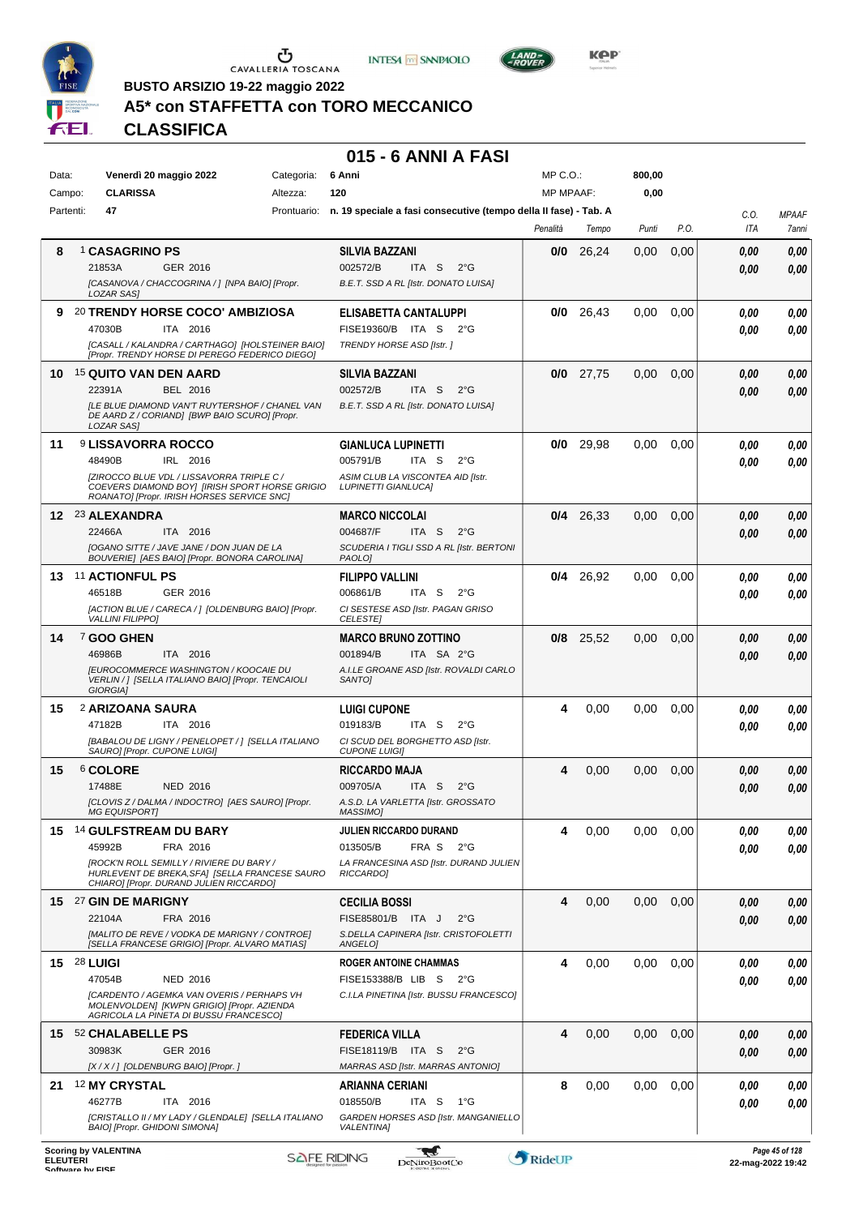





**KOP** 

**BUSTO ARSIZIO 19-22 maggio 2022**

## **A5\* con STAFFETTA con TORO MECCANICO**

**CLASSIFICA**

#### **015 - 6 ANNI A FASI**

| Data:           |                                  | Venerdì 20 maggio 2022                                                                                                                    | Categoria: | 6 Anni                                                                       | $MP C. O.$ :     |             | 800,00 |      |            |                                        |
|-----------------|----------------------------------|-------------------------------------------------------------------------------------------------------------------------------------------|------------|------------------------------------------------------------------------------|------------------|-------------|--------|------|------------|----------------------------------------|
| Campo:          | <b>CLARISSA</b>                  |                                                                                                                                           | Altezza:   | 120                                                                          | <b>MP MPAAF:</b> |             | 0,00   |      |            |                                        |
| Partenti:       | 47                               |                                                                                                                                           |            | Prontuario: n. 19 speciale a fasi consecutive (tempo della II fase) - Tab. A |                  |             |        |      | C.O.       | <b>MPAAF</b>                           |
|                 |                                  |                                                                                                                                           |            |                                                                              | Penalità         | Tempo       | Punti  | P.O. | <b>ITA</b> | 7anni                                  |
| 8               | 1 CASAGRINO PS                   |                                                                                                                                           |            | <b>SILVIA BAZZANI</b>                                                        | 0/0              | 26,24       | 0,00   | 0,00 | 0.00       | 0,00                                   |
|                 | 21853A                           | GER 2016                                                                                                                                  |            | 002572/B<br>ITA S<br>$2^{\circ}G$                                            |                  |             |        |      | 0.00       | 0,00                                   |
|                 | LOZAR SAS]                       | [CASANOVA / CHACCOGRINA / ] [NPA BAIO] [Propr.                                                                                            |            | B.E.T. SSD A RL [Istr. DONATO LUISA]                                         |                  |             |        |      |            |                                        |
| 9.              |                                  | 20 TRENDY HORSE COCO' AMBIZIOSA                                                                                                           |            | ELISABETTA CANTALUPPI                                                        | 0/0              | 26,43       | 0,00   | 0,00 | 0.00       | 0,00                                   |
|                 | 47030B                           | ITA 2016                                                                                                                                  |            | FISE19360/B ITA S<br>$2^{\circ}G$                                            |                  |             |        |      | 0.00       | 0,00                                   |
|                 |                                  | [CASALL / KALANDRA / CARTHAGO] [HOLSTEINER BAIO]<br>[Propr. TRENDY HORSE DI PEREGO FEDERICO DIEGO]                                        |            | TRENDY HORSE ASD [Istr.]                                                     |                  |             |        |      |            |                                        |
| 10              | <sup>15</sup> QUITO VAN DEN AARD |                                                                                                                                           |            | <b>SILVIA BAZZANI</b>                                                        |                  | $0/0$ 27,75 | 0,00   | 0,00 | 0.00       | 0,00                                   |
|                 | 22391A                           | BEL 2016                                                                                                                                  |            | 002572/B<br>ITA S<br>$2^{\circ}G$                                            |                  |             |        |      | 0.00       | 0,00                                   |
|                 | LOZAR SAS]                       | [LE BLUE DIAMOND VAN'T RUYTERSHOF / CHANEL VAN<br>DE AARD Z / CORIAND] [BWP BAIO SCURO] [Propr.                                           |            | B.E.T. SSD A RL [Istr. DONATO LUISA]                                         |                  |             |        |      |            |                                        |
| 11              | <b>9 LISSAVORRA ROCCO</b>        |                                                                                                                                           |            | <b>GIANLUCA LUPINETTI</b>                                                    |                  | $0/0$ 29,98 | 0,00   | 0,00 | 0.00       | 0,00                                   |
|                 | 48490B                           | IRL 2016                                                                                                                                  |            | 005791/B<br>ITA S<br>$2^{\circ}G$                                            |                  |             |        |      | 0.00       | 0,00                                   |
|                 |                                  | IZIROCCO BLUE VDL / LISSAVORRA TRIPLE C /<br>COEVERS DIAMOND BOY  [IRISH SPORT HORSE GRIGIO<br>ROANATO] [Propr. IRISH HORSES SERVICE SNC] |            | ASIM CLUB LA VISCONTEA AID [Istr.<br><b>LUPINETTI GIANLUCA]</b>              |                  |             |        |      |            |                                        |
|                 | 12 23 ALEXANDRA                  |                                                                                                                                           |            | <b>MARCO NICCOLAI</b>                                                        |                  | $0/4$ 26,33 | 0,00   | 0,00 | 0.00       | 0,00                                   |
|                 | 22466A                           | ITA 2016                                                                                                                                  |            | 004687/F<br>ITA S<br>$2^{\circ}G$                                            |                  |             |        |      | 0.00       | 0,00                                   |
|                 |                                  | [OGANO SITTE / JAVE JANE / DON JUAN DE LA<br>BOUVERIEJ [AES BAIO] [Propr. BONORA CAROLINA]                                                |            | SCUDERIA I TIGLI SSD A RL [Istr. BERTONI<br>PAOLO]                           |                  |             |        |      |            |                                        |
| 13.             | <b>11 ACTIONFUL PS</b>           |                                                                                                                                           |            | <b>FILIPPO VALLINI</b>                                                       |                  | $0/4$ 26,92 | 0,00   | 0,00 | 0.00       | 0,00                                   |
|                 | 46518B                           | GER 2016                                                                                                                                  |            | 006861/B<br>ITA S<br>$2^{\circ}G$                                            |                  |             |        |      | 0.00       | 0.00                                   |
|                 | <b>VALLINI FILIPPO]</b>          | [ACTION BLUE / CARECA / ] [OLDENBURG BAIO] [Propr.                                                                                        |            | CI SESTESE ASD [Istr. PAGAN GRISO<br><b>CELESTE</b>                          |                  |             |        |      |            |                                        |
| 14              | <sup>7</sup> GOO GHEN            |                                                                                                                                           |            | <b>MARCO BRUNO ZOTTINO</b>                                                   |                  | $0/8$ 25,52 | 0,00   | 0,00 | 0.00       | 0,00                                   |
|                 | 46986B                           | ITA 2016                                                                                                                                  |            | 001894/B<br>ITA SA 2°G                                                       |                  |             |        |      | 0.00       | 0,00                                   |
|                 | GIORGIA]                         | <b>JEUROCOMMERCE WASHINGTON / KOOCAIE DU</b><br>VERLIN / ] [SELLA ITALIANO BAIO] [Propr. TENCAIOLI                                        |            | A.I.LE GROANE ASD [Istr. ROVALDI CARLO<br>SANTO <sub>I</sub>                 |                  |             |        |      |            |                                        |
| 15              | 2 ARIZOANA SAURA                 |                                                                                                                                           |            | <b>LUIGI CUPONE</b>                                                          | 4                | 0,00        | 0.00   | 0,00 | 0.00       | 0,00                                   |
|                 | 47182B                           | ITA 2016                                                                                                                                  |            | 019183/B<br>ITA S<br>$2^{\circ}G$                                            |                  |             |        |      | 0.00       | 0,00                                   |
|                 | SAURO] [Propr. CUPONE LUIGI]     | [BABALOU DE LIGNY / PENELOPET / ] [SELLA ITALIANO                                                                                         |            | CI SCUD DEL BORGHETTO ASD [Istr.<br><b>CUPONE LUIGII</b>                     |                  |             |        |      |            |                                        |
| 15              | <sup>6</sup> COLORE              |                                                                                                                                           |            | <b>RICCARDO MAJA</b>                                                         | 4                | 0,00        | 0,00   | 0,00 | 0.00       | 0,00                                   |
|                 | 17488E                           | <b>NED 2016</b>                                                                                                                           |            | 009705/A<br>$2^{\circ}G$<br>ITA S                                            |                  |             |        |      | 0.00       | 0,00                                   |
|                 | MG EQUISPORT]                    | [CLOVIS Z / DALMA / INDOCTRO] [AES SAURO] [Propr.                                                                                         |            | A.S.D. LA VARLETTA [Istr. GROSSATO<br>MASSIMO]                               |                  |             |        |      |            |                                        |
| 15.             |                                  | 14 GULFSTREAM DU BARY                                                                                                                     |            | JULIEN RICCARDO DURAND                                                       | 4                | 0,00        | 0,00   | 0,00 | 0.00       | 0,00                                   |
|                 | 45992B                           | FRA 2016                                                                                                                                  |            | 013505/B<br>FRA S<br>$2^{\circ}$ G                                           |                  |             |        |      | 0.00       | 0,00                                   |
|                 |                                  | [ROCK'N ROLL SEMILLY / RIVIERE DU BARY /<br>HURLEVENT DE BREKA, SFA] [SELLA FRANCESE SAURO<br>CHIARO] [Propr. DURAND JULIEN RICCARDO]     |            | LA FRANCESINA ASD [Istr. DURAND JULIEN<br>RICCARDO]                          |                  |             |        |      |            |                                        |
|                 | 15 27 GIN DE MARIGNY             |                                                                                                                                           |            | <b>CECILIA BOSSI</b>                                                         | 4                | 0,00        | 0,00   | 0,00 | 0.00       | 0,00                                   |
|                 | 22104A                           | FRA 2016                                                                                                                                  |            | FISE85801/B ITA J<br>$2^{\circ}$ G                                           |                  |             |        |      | 0.00       | 0,00                                   |
|                 |                                  | [MALITO DE REVE / VODKA DE MARIGNY / CONTROE]<br>[SELLA FRANCESE GRIGIO] [Propr. ALVARO MATIAS]                                           |            | S.DELLA CAPINERA [Istr. CRISTOFOLETTI<br><b>ANGELOI</b>                      |                  |             |        |      |            |                                        |
|                 | <b>15 28 LUIGI</b>               |                                                                                                                                           |            | <b>ROGER ANTOINE CHAMMAS</b>                                                 | 4                | 0,00        | 0,00   | 0,00 | 0.00       | 0,00                                   |
|                 | 47054B                           | NED 2016                                                                                                                                  |            | FISE153388/B LIB S<br>$2^{\circ}$ G                                          |                  |             |        |      | 0.00       | 0,00                                   |
|                 |                                  | [CARDENTO / AGEMKA VAN OVERIS / PERHAPS VH<br>MOLENVOLDEN] [KWPN GRIGIO] [Propr. AZIENDA<br>AGRICOLA LA PINETA DI BUSSU FRANCESCO]        |            | C.I.LA PINETINA [Istr. BUSSU FRANCESCO]                                      |                  |             |        |      |            |                                        |
|                 | 15 52 CHALABELLE PS              |                                                                                                                                           |            | <b>FEDERICA VILLA</b>                                                        | 4                | 0,00        | 0,00   | 0,00 | 0.00       | 0,00                                   |
|                 | 30983K                           | GER 2016                                                                                                                                  |            | FISE18119/B ITA S<br>$2^{\circ}G$                                            |                  |             |        |      | 0.00       | 0.00                                   |
|                 |                                  | [X / X / ] [OLDENBURG BAIO] [Propr.]                                                                                                      |            | MARRAS ASD [Istr. MARRAS ANTONIO]                                            |                  |             |        |      |            |                                        |
|                 | 21 12 MY CRYSTAL                 |                                                                                                                                           |            | ARIANNA CERIANI                                                              | 8                | 0,00        | 0,00   | 0,00 | 0,00       | 0,00                                   |
|                 | 46277B                           | ITA 2016                                                                                                                                  |            | 018550/B<br>ITA S<br>1°G                                                     |                  |             |        |      | 0.00       | 0,00                                   |
|                 | BAIO] [Propr. GHIDONI SIMONA]    | [CRISTALLO II / MY LADY / GLENDALE] [SELLA ITALIANO                                                                                       |            | GARDEN HORSES ASD [Istr. MANGANIELLO<br><b>VALENTINA]</b>                    |                  |             |        |      |            |                                        |
| <b>ELEUTERI</b> | <b>Scoring by VALENTINA</b>      |                                                                                                                                           |            | <b>SAFE RIDING</b><br>DeNiroBootCo                                           | RideUP           |             |        |      |            | Page 45 of 128<br>$22$ -man-2022 19:42 |

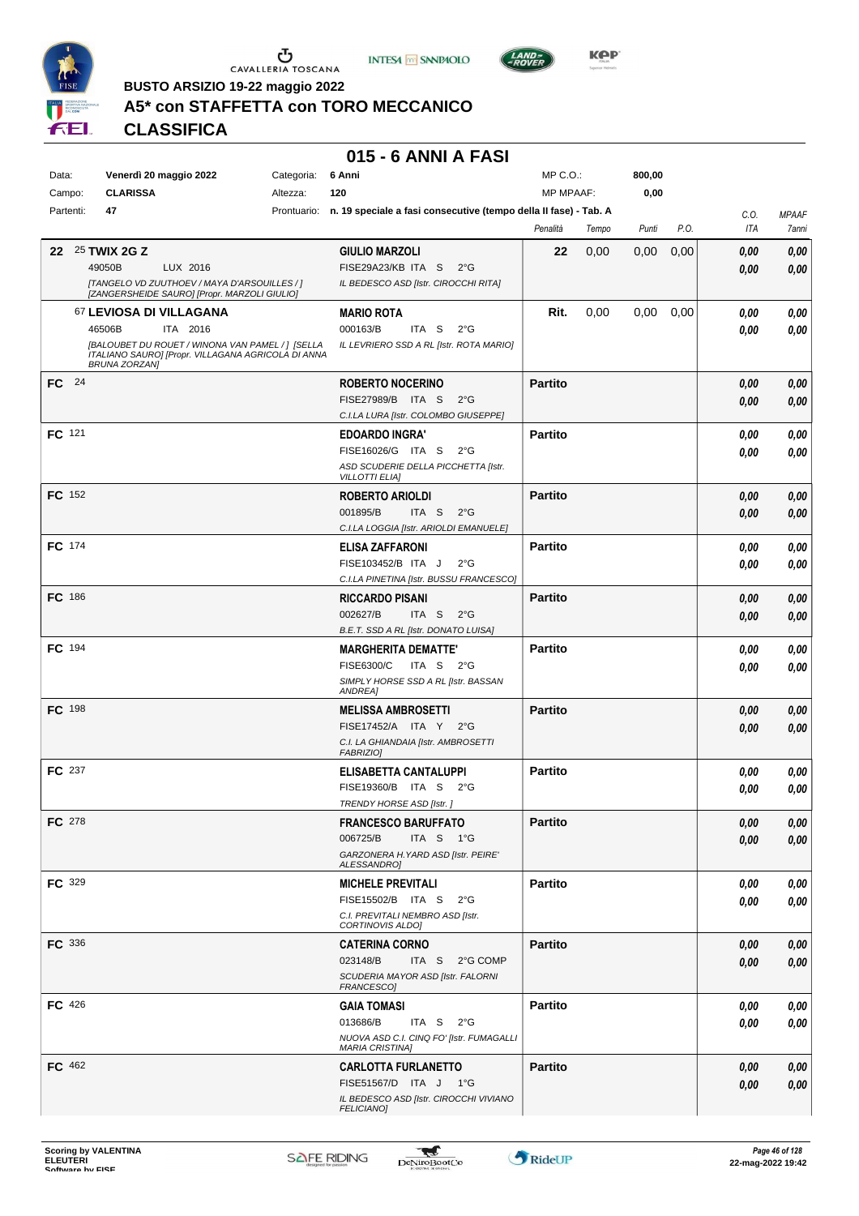





**Kep** 

**BUSTO ARSIZIO 19-22 maggio 2022**

# **A5\* con STAFFETTA con TORO MECCANICO**

**CLASSIFICA**

#### **015 - 6 ANNI A FASI**

| Data:         | Venerdì 20 maggio 2022                                                                       | Categoria: | 6 Anni                                                                       | MP C.O.:         |       | 800,00 |      |      |                     |
|---------------|----------------------------------------------------------------------------------------------|------------|------------------------------------------------------------------------------|------------------|-------|--------|------|------|---------------------|
| Campo:        | <b>CLARISSA</b>                                                                              | Altezza:   | 120                                                                          | <b>MP MPAAF:</b> |       | 0,00   |      |      |                     |
| Partenti:     | 47                                                                                           |            | Prontuario: n. 19 speciale a fasi consecutive (tempo della Il fase) - Tab. A |                  |       |        |      | C.O. | <b>MPAAF</b>        |
|               |                                                                                              |            |                                                                              | Penalità         | Tempo | Punti  | P.O. | ITA  | <i><b>7anni</b></i> |
|               |                                                                                              |            |                                                                              | 22               |       |        |      |      |                     |
|               | 22 25 TWIX 2G Z                                                                              |            | <b>GIULIO MARZOLI</b>                                                        |                  | 0,00  | 0,00   | 0,00 | 0,00 | 0,00                |
|               | 49050B<br>LUX 2016                                                                           |            | FISE29A23/KB ITA S<br>$2^{\circ}$ G                                          |                  |       |        |      | 0,00 | 0,00                |
|               | [TANGELO VD ZUUTHOEV / MAYA D'ARSOUILLES / ]<br>[ZANGERSHEIDE SAURO] [Propr. MARZOLI GIULIO] |            | IL BEDESCO ASD [Istr. CIROCCHI RITA]                                         |                  |       |        |      |      |                     |
|               | 67 LEVIOSA DI VILLAGANA                                                                      |            | <b>MARIO ROTA</b>                                                            | Rit.             | 0,00  | 0,00   | 0,00 | 0.00 | 0,00                |
|               | 46506B<br>ITA 2016                                                                           |            | 000163/B<br>ITA S<br>$2^{\circ}$ G                                           |                  |       |        |      | 0,00 | 0,00                |
|               | [BALOUBET DU ROUET / WINONA VAN PAMEL / ] [SELLA                                             |            | IL LEVRIERO SSD A RL [Istr. ROTA MARIO]                                      |                  |       |        |      |      |                     |
|               | ITALIANO SAURO] [Propr. VILLAGANA AGRICOLA DI ANNA<br><b>BRUNA ZORZAN]</b>                   |            |                                                                              |                  |       |        |      |      |                     |
| FC 24         |                                                                                              |            | <b>ROBERTO NOCERINO</b>                                                      | <b>Partito</b>   |       |        |      | 0,00 | 0,00                |
|               |                                                                                              |            | FISE27989/B ITA S<br>$2^{\circ}$ G                                           |                  |       |        |      |      |                     |
|               |                                                                                              |            | C.I.LA LURA [Istr. COLOMBO GIUSEPPE]                                         |                  |       |        |      | 0,00 | 0,00                |
|               |                                                                                              |            |                                                                              |                  |       |        |      |      |                     |
| FC 121        |                                                                                              |            | <b>EDOARDO INGRA'</b>                                                        | <b>Partito</b>   |       |        |      | 0.00 | 0,00                |
|               |                                                                                              |            | FISE16026/G ITA S 2°G<br>ASD SCUDERIE DELLA PICCHETTA [Istr.                 |                  |       |        |      | 0,00 | 0,00                |
|               |                                                                                              |            | <b>VILLOTTI ELIA]</b>                                                        |                  |       |        |      |      |                     |
| <b>FC</b> 152 |                                                                                              |            | <b>ROBERTO ARIOLDI</b>                                                       | <b>Partito</b>   |       |        |      | 0,00 | 0,00                |
|               |                                                                                              |            | 001895/B<br>ITA S 2°G                                                        |                  |       |        |      | 0,00 | 0,00                |
|               |                                                                                              |            | C.I.LA LOGGIA [Istr. ARIOLDI EMANUELE]                                       |                  |       |        |      |      |                     |
| FC 174        |                                                                                              |            | <b>ELISA ZAFFARONI</b>                                                       | <b>Partito</b>   |       |        |      | 0.00 | 0,00                |
|               |                                                                                              |            | FISE103452/B ITA J<br>$2^{\circ}$ G                                          |                  |       |        |      | 0.00 | 0,00                |
|               |                                                                                              |            | C.I.LA PINETINA [Istr. BUSSU FRANCESCO]                                      |                  |       |        |      |      |                     |
| <b>FC</b> 186 |                                                                                              |            | <b>RICCARDO PISANI</b>                                                       | <b>Partito</b>   |       |        |      | 0,00 | 0,00                |
|               |                                                                                              |            | 002627/B<br>ITA S<br>$2^{\circ}$ G                                           |                  |       |        |      | 0,00 | 0,00                |
|               |                                                                                              |            | B.E.T. SSD A RL [Istr. DONATO LUISA]                                         |                  |       |        |      |      |                     |
| FC 194        |                                                                                              |            | <b>MARGHERITA DEMATTE'</b>                                                   | <b>Partito</b>   |       |        |      | 0,00 | 0,00                |
|               |                                                                                              |            | FISE6300/C<br>ITA S $2^{\circ}$ G                                            |                  |       |        |      |      |                     |
|               |                                                                                              |            | SIMPLY HORSE SSD A RL [Istr. BASSAN                                          |                  |       |        |      | 0,00 | 0,00                |
|               |                                                                                              |            | ANDREA]                                                                      |                  |       |        |      |      |                     |
| <b>FC</b> 198 |                                                                                              |            | <b>MELISSA AMBROSETTI</b>                                                    | <b>Partito</b>   |       |        |      | 0,00 | 0,00                |
|               |                                                                                              |            | FISE17452/A ITA Y 2°G                                                        |                  |       |        |      | 0,00 | 0,00                |
|               |                                                                                              |            | C.I. LA GHIANDAIA [Istr. AMBROSETTI                                          |                  |       |        |      |      |                     |
|               |                                                                                              |            | <b>FABRIZIO]</b>                                                             |                  |       |        |      |      |                     |
| FC 237        |                                                                                              |            | ELISABETTA CANTALUPPI                                                        | <b>Partito</b>   |       |        |      | 0,00 | 0,00                |
|               |                                                                                              |            | FISE19360/B ITA S<br>$2^{\circ}$ G                                           |                  |       |        |      | 0,00 | 0,00                |
|               |                                                                                              |            | TRENDY HORSE ASD [Istr.]                                                     |                  |       |        |      |      |                     |
| FC 278        |                                                                                              |            | <b>FRANCESCO BARUFFATO</b>                                                   | <b>Partito</b>   |       |        |      | 0,00 | 0,00                |
|               |                                                                                              |            | 006725/B<br>ITA S $1^{\circ}$ G                                              |                  |       |        |      | 0,00 | 0,00                |
|               |                                                                                              |            | GARZONERA H. YARD ASD [Istr. PEIRE'<br>ALESSANDRO]                           |                  |       |        |      |      |                     |
| FC 329        |                                                                                              |            | <b>MICHELE PREVITALI</b>                                                     | <b>Partito</b>   |       |        |      | 0,00 | 0,00                |
|               |                                                                                              |            | FISE15502/B ITA S<br>$2^{\circ}$ G                                           |                  |       |        |      | 0,00 | 0,00                |
|               |                                                                                              |            | C.I. PREVITALI NEMBRO ASD [Istr.                                             |                  |       |        |      |      |                     |
|               |                                                                                              |            | CORTINOVIS ALDOJ                                                             |                  |       |        |      |      |                     |
| <b>FC</b> 336 |                                                                                              |            | <b>CATERINA CORNO</b>                                                        | <b>Partito</b>   |       |        |      | 0,00 | 0,00                |
|               |                                                                                              |            | 023148/B<br>ITA S 2°G COMP                                                   |                  |       |        |      | 0,00 | 0,00                |
|               |                                                                                              |            | SCUDERIA MAYOR ASD [Istr. FALORNI<br>FRANCESCO]                              |                  |       |        |      |      |                     |
| <b>FC</b> 426 |                                                                                              |            |                                                                              | <b>Partito</b>   |       |        |      |      |                     |
|               |                                                                                              |            | <b>GAIA TOMASI</b><br>013686/B<br>ITA S<br>$2^{\circ}$ G                     |                  |       |        |      | 0,00 | 0,00                |
|               |                                                                                              |            | NUOVA ASD C.I. CINQ FO' [Istr. FUMAGALLI                                     |                  |       |        |      | 0,00 | 0,00                |
|               |                                                                                              |            | <b>MARIA CRISTINA]</b>                                                       |                  |       |        |      |      |                     |
| FC 462        |                                                                                              |            | <b>CARLOTTA FURLANETTO</b>                                                   | <b>Partito</b>   |       |        |      | 0.00 | 0,00                |
|               |                                                                                              |            | FISE51567/D ITA J 1°G                                                        |                  |       |        |      | 0,00 | 0,00                |
|               |                                                                                              |            | IL BEDESCO ASD [Istr. CIROCCHI VIVIANO                                       |                  |       |        |      |      |                     |
|               |                                                                                              |            | <b>FELICIANO]</b>                                                            |                  |       |        |      |      |                     |

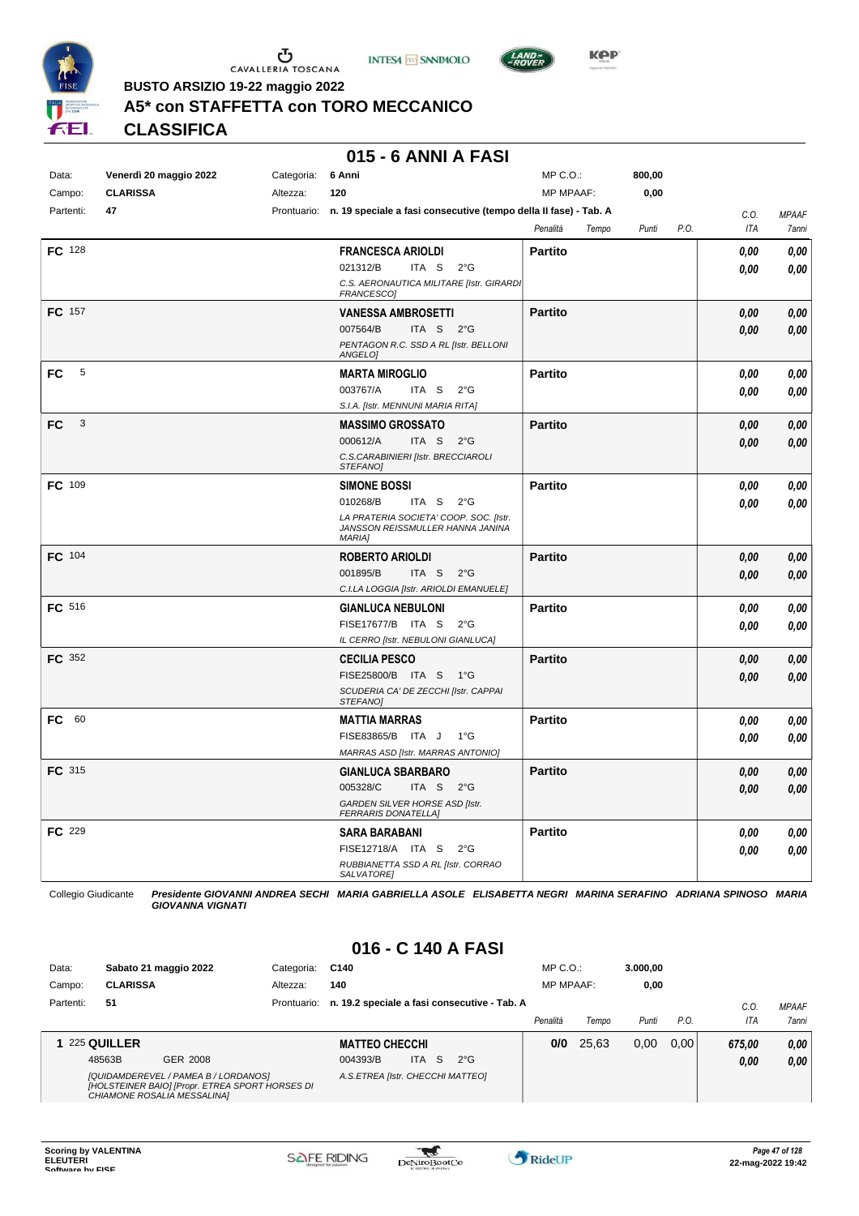

 $\mathop{\mathbf{U}}_{\mathop{\mathbf{CAVALLERIA}}}\mathop{\mathbf{Coxana}}$ 





**BUSTO ARSIZIO 19-22 maggio 2022**

## **A5\* con STAFFETTA con TORO MECCANICO**

**CLASSIFICA**

#### **015 - 6 ANNI A FASI**

| Data:         | Venerdì 20 maggio 2022 | Categoria: | 6 Anni                                                                                      | MP C.O.:          | 800,00 |             |              |
|---------------|------------------------|------------|---------------------------------------------------------------------------------------------|-------------------|--------|-------------|--------------|
| Campo:        | <b>CLARISSA</b>        | Altezza:   | 120                                                                                         | <b>MP MPAAF:</b>  | 0,00   |             |              |
| Partenti:     | 47                     |            | Prontuario: n. 19 speciale a fasi consecutive (tempo della II fase) - Tab. A                |                   |        | C.O.        | <b>MPAAF</b> |
|               |                        |            |                                                                                             | Penalità<br>Tempo | Punti  | P.O.<br>ITA | 7anni        |
| FC 128        |                        |            | <b>FRANCESCA ARIOLDI</b>                                                                    | <b>Partito</b>    |        | 0.00        | 0,00         |
|               |                        |            | 021312/B<br>ITA S<br>$2^{\circ}G$                                                           |                   |        | 0.00        | 0.00         |
|               |                        |            | C.S. AERONAUTICA MILITARE [Istr. GIRARDI<br>FRANCESCO]                                      |                   |        |             |              |
| FC 157        |                        |            | <b>VANESSA AMBROSETTI</b>                                                                   | <b>Partito</b>    |        | 0,00        | 0,00         |
|               |                        |            | 007564/B<br>ITA S<br>$2^{\circ}G$                                                           |                   |        | 0,00        | 0,00         |
|               |                        |            | PENTAGON R.C. SSD A RL [Istr. BELLONI<br>ANGELO]                                            |                   |        |             |              |
| 5<br>FC       |                        |            | <b>MARTA MIROGLIO</b>                                                                       | <b>Partito</b>    |        | 0.00        | 0,00         |
|               |                        |            | 003767/A<br>ITA S<br>$2^{\circ}G$                                                           |                   |        | 0.00        | 0.00         |
|               |                        |            | S.I.A. [Istr. MENNUNI MARIA RITA]                                                           |                   |        |             |              |
| 3<br>FC.      |                        |            | <b>MASSIMO GROSSATO</b>                                                                     | Partito           |        | 0,00        | 0,00         |
|               |                        |            | 000612/A<br>ITA <sub>S</sub><br>$2^{\circ}G$                                                |                   |        | 0,00        | 0,00         |
|               |                        |            | C.S.CARABINIERI [Istr. BRECCIAROLI<br><b>STEFANOI</b>                                       |                   |        |             |              |
| FC 109        |                        |            | <b>SIMONE BOSSI</b>                                                                         | <b>Partito</b>    |        | 0.00        | 0,00         |
|               |                        |            | 010268/B<br>ITA S<br>$2^{\circ}$ G                                                          |                   |        | 0.00        | 0,00         |
|               |                        |            | LA PRATERIA SOCIETA' COOP. SOC. [Istr.<br>JANSSON REISSMULLER HANNA JANINA<br><b>MARIA1</b> |                   |        |             |              |
| <b>FC</b> 104 |                        |            | <b>ROBERTO ARIOLDI</b>                                                                      | <b>Partito</b>    |        | 0.00        | 0,00         |
|               |                        |            | 001895/B<br>ITA S<br>$2^{\circ}$ G                                                          |                   |        | 0,00        | 0,00         |
|               |                        |            | C.I.LA LOGGIA [Istr. ARIOLDI EMANUELE]                                                      |                   |        |             |              |
| FC 516        |                        |            | <b>GIANLUCA NEBULONI</b>                                                                    | <b>Partito</b>    |        | 0,00        | 0,00         |
|               |                        |            | FISE17677/B ITA S<br>$2^{\circ}G$                                                           |                   |        | 0.00        | 0.00         |
|               |                        |            | IL CERRO [Istr. NEBULONI GIANLUCA]                                                          |                   |        |             |              |
| FC 352        |                        |            | <b>CECILIA PESCO</b>                                                                        | <b>Partito</b>    |        | 0,00        | 0,00         |
|               |                        |            | FISE25800/B ITA S 1°G                                                                       |                   |        | 0.00        | 0,00         |
|               |                        |            | SCUDERIA CA' DE ZECCHI [Istr. CAPPAI<br>STEFANO]                                            |                   |        |             |              |
| FC 60         |                        |            | <b>MATTIA MARRAS</b>                                                                        | <b>Partito</b>    |        | 0.00        | 0,00         |
|               |                        |            | FISE83865/B ITA J<br>$1^{\circ}G$                                                           |                   |        | 0,00        | 0,00         |
|               |                        |            | MARRAS ASD [Istr. MARRAS ANTONIO]                                                           |                   |        |             |              |
| FC 315        |                        |            | <b>GIANLUCA SBARBARO</b>                                                                    | <b>Partito</b>    |        | 0,00        | 0,00         |
|               |                        |            | 005328/C<br>ITA S 2°G                                                                       |                   |        | 0.00        | 0.00         |
|               |                        |            | GARDEN SILVER HORSE ASD [Istr.<br><b>FERRARIS DONATELLA]</b>                                |                   |        |             |              |
| FC 229        |                        |            | <b>SARA BARABANI</b>                                                                        | <b>Partito</b>    |        | 0,00        | 0,00         |
|               |                        |            | FISE12718/A ITA S 2°G                                                                       |                   |        | 0.00        | 0,00         |
|               |                        |            | RUBBIANETTA SSD A RL [Istr. CORRAO<br><b>SALVATOREI</b>                                     |                   |        |             |              |
|               |                        |            |                                                                                             |                   |        |             |              |

Collegio Giudicante *Presidente GIOVANNI ANDREA SECHI MARIA GABRIELLA ASOLE ELISABETTA NEGRI MARINA SERAFINO ADRIANA SPINOSO MARIA GIOVANNA VIGNATI*

| Data:     |                 | Sabato 21 maggio 2022                                                                                                  | Categoria:  | C140                             |            |    |                                              | $MP C. O.$ :     |       | 3.000.00 |      |        |                     |
|-----------|-----------------|------------------------------------------------------------------------------------------------------------------------|-------------|----------------------------------|------------|----|----------------------------------------------|------------------|-------|----------|------|--------|---------------------|
| Campo:    | <b>CLARISSA</b> |                                                                                                                        | Altezza:    | 140                              |            |    |                                              | <b>MP MPAAF:</b> |       | 0.00     |      |        |                     |
| Partenti: | 51              |                                                                                                                        | Prontuario: |                                  |            |    | n. 19.2 speciale a fasi consecutive - Tab. A |                  |       |          |      | C.O    | <b>MPAAF</b>        |
|           |                 |                                                                                                                        |             |                                  |            |    |                                              | Penalità         | Tempo | Punti    | P.O. | ITA    | <i><b>7anni</b></i> |
|           | 1 225 QUILLER   |                                                                                                                        |             | <b>MATTEO CHECCHI</b>            |            |    |                                              | 0/0              | 25,63 | 0,00     | 0.00 | 675.00 | 0,00                |
|           | 48563B          | GER 2008                                                                                                               |             | 004393/B                         | <b>ITA</b> | -S | $2^{\circ}G$                                 |                  |       |          |      | 0,00   | 0.00                |
|           |                 | [QUIDAMDEREVEL / PAMEA B / LORDANOS]<br>[HOLSTEINER BAIO] [Propr. ETREA SPORT HORSES DI<br>CHIAMONE ROSALIA MESSALINA] |             | A.S.ETREA [Istr. CHECCHI MATTEO] |            |    |                                              |                  |       |          |      |        |                     |

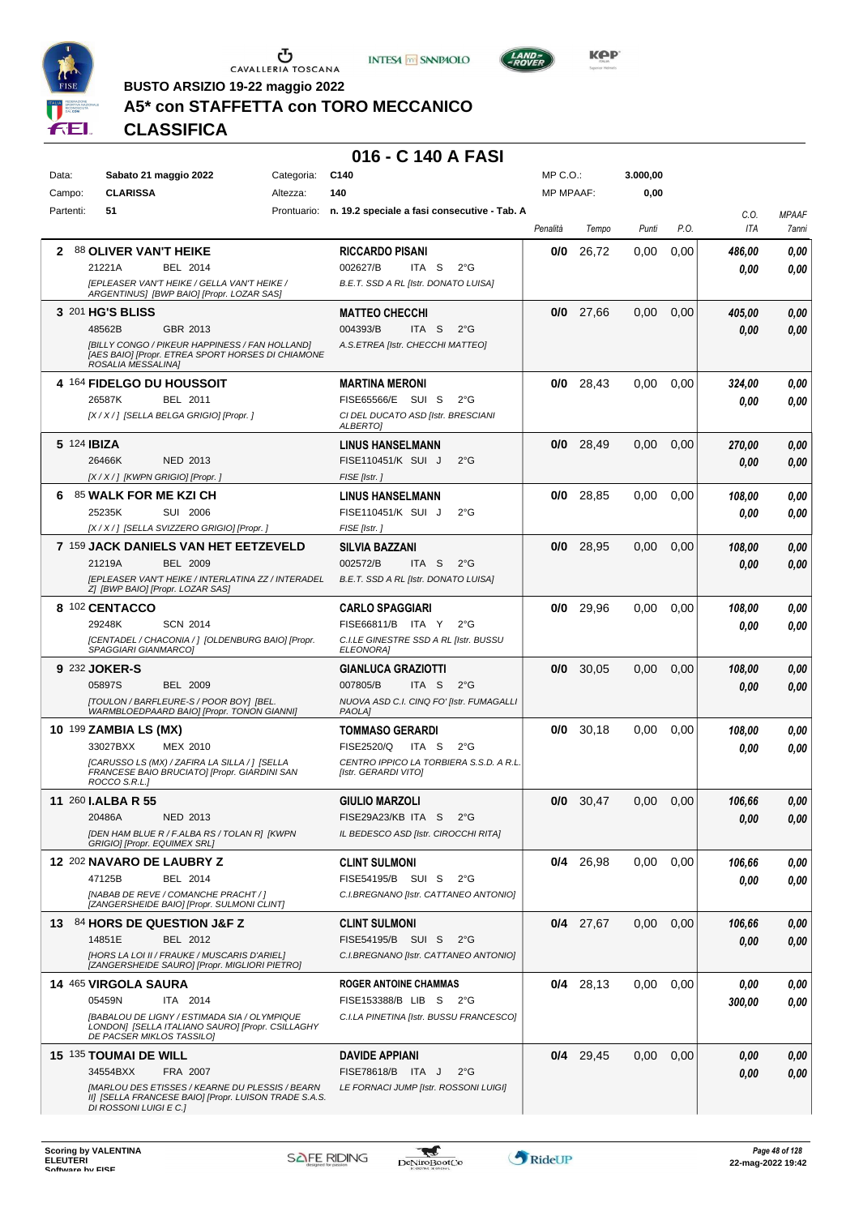





**Kep** 

**BUSTO ARSIZIO 19-22 maggio 2022**

# **A5\* con STAFFETTA con TORO MECCANICO**

**CLASSIFICA**

| Data:     | Sabato 21 maggio 2022                                                                                                              | Categoria: | C <sub>140</sub>                                         | MP C.O.:         |             | 3.000,00 |      |        |              |
|-----------|------------------------------------------------------------------------------------------------------------------------------------|------------|----------------------------------------------------------|------------------|-------------|----------|------|--------|--------------|
| Campo:    | <b>CLARISSA</b>                                                                                                                    | Altezza:   | 140                                                      | <b>MP MPAAF:</b> |             | 0,00     |      |        |              |
| Partenti: | 51                                                                                                                                 |            | Prontuario: n. 19.2 speciale a fasi consecutive - Tab. A |                  |             |          |      | C.0.   | <b>MPAAF</b> |
|           |                                                                                                                                    |            |                                                          | Penalità         | Tempo       | Punti    | P.O. | ITA    | 7anni        |
| 2         | 88 OLIVER VAN'T HEIKE                                                                                                              |            | <b>RICCARDO PISANI</b>                                   | 0/0              | 26,72       | 0.00     | 0,00 | 486,00 | 0,00         |
|           | 21221A<br>BEL 2014                                                                                                                 |            | 002627/B<br>ITA S<br>$2^{\circ}G$                        |                  |             |          |      | 0.00   | 0,00         |
|           | [EPLEASER VAN'T HEIKE / GELLA VAN'T HEIKE /<br>ARGENTINUS] [BWP BAIO] [Propr. LOZAR SAS]                                           |            | B.E.T. SSD A RL [Istr. DONATO LUISA]                     |                  |             |          |      |        |              |
|           | 3 201 HG'S BLISS                                                                                                                   |            | <b>MATTEO CHECCHI</b>                                    | 0/0              | 27,66       | 0.00     | 0,00 | 405,00 | 0,00         |
|           | 48562B<br>GBR 2013                                                                                                                 |            | 004393/B<br>ITA S<br>$2^{\circ}$ G                       |                  |             |          |      | 0.00   | 0,00         |
|           | [BILLY CONGO / PIKEUR HAPPINESS / FAN HOLLAND]<br>[AES BAIO] [Propr. ETREA SPORT HORSES DI CHIAMONE<br>ROSALIA MESSALINA]          |            | A.S.ETREA [Istr. CHECCHI MATTEO]                         |                  |             |          |      |        |              |
|           | 4 164 FIDELGO DU HOUSSOIT                                                                                                          |            | MARTINA MERONI                                           | 0/0              | 28,43       | 0,00     | 0.00 | 324,00 | 0,00         |
|           | 26587K<br>BEL 2011                                                                                                                 |            | FISE65566/E SUI S<br>$2^{\circ}$ G                       |                  |             |          |      | 0.00   | 0,00         |
|           | [X / X / ] [SELLA BELGA GRIGIO] [Propr. ]                                                                                          |            | CI DEL DUCATO ASD [Istr. BRESCIANI<br>ALBERTO]           |                  |             |          |      |        |              |
|           | 5 124 <b>IBIZA</b>                                                                                                                 |            | <b>LINUS HANSELMANN</b>                                  | 0/0              | 28,49       | 0,00     | 0,00 | 270,00 | 0,00         |
|           | 26466K<br>NED 2013                                                                                                                 |            | FISE110451/K SUI J<br>$2^{\circ}$ G                      |                  |             |          |      | 0,00   | 0,00         |
|           | [X / X / ] [KWPN GRIGIO] [Propr. ]                                                                                                 |            | FISE [Istr.]                                             |                  |             |          |      |        |              |
| 6.        | 85 WALK FOR ME KZI CH                                                                                                              |            | <b>LINUS HANSELMANN</b>                                  | 0/0              | 28.85       | 0.00     | 0,00 | 108,00 | 0,00         |
|           | 25235K<br>SUI 2006                                                                                                                 |            | FISE110451/K SUI J<br>$2^{\circ}$ G                      |                  |             |          |      | 0.00   | 0,00         |
|           | [X / X / ] [SELLA SVIZZERO GRIGIO] [Propr. ]                                                                                       |            | FISE [Istr.]                                             |                  |             |          |      |        |              |
|           | 7 159 JACK DANIELS VAN HET EETZEVELD                                                                                               |            | SILVIA BAZZANI                                           | 0/0              | 28,95       | 0,00     | 0,00 | 108,00 | 0,00         |
|           | 21219A<br><b>BEL 2009</b>                                                                                                          |            | 002572/B<br>ITA S<br>$2^{\circ}$ G                       |                  |             |          |      | 0,00   | 0,00         |
|           | [EPLEASER VAN'T HEIKE / INTERLATINA ZZ / INTERADEL<br>Z] [BWP BAIO] [Propr. LOZAR SAS]                                             |            | B.E.T. SSD A RL [Istr. DONATO LUISA]                     |                  |             |          |      |        |              |
|           | 8 102 CENTACCO                                                                                                                     |            | <b>CARLO SPAGGIARI</b>                                   | 0/0              | 29,96       | 0.00     | 0,00 | 108,00 | 0,00         |
|           | 29248K<br><b>SCN 2014</b>                                                                                                          |            | FISE66811/B ITA Y<br>$2^{\circ}$ G                       |                  |             |          |      | 0.00   | 0,00         |
|           | [CENTADEL / CHACONIA / ] [OLDENBURG BAIO] [Propr.<br>SPAGGIARI GIANMARCOJ                                                          |            | C.I.LE GINESTRE SSD A RL [Istr. BUSSU<br>ELEONORA]       |                  |             |          |      |        |              |
|           | 9 232 JOKER-S                                                                                                                      |            | <b>GIANLUCA GRAZIOTTI</b>                                | 0/0              | 30,05       | 0,00     | 0,00 | 108,00 | 0,00         |
|           | 05897S<br><b>BEL 2009</b>                                                                                                          |            | 007805/B<br>ITA S<br>$2^{\circ}$ G                       |                  |             |          |      | 0.00   | 0,00         |
|           | [TOULON / BARFLEURE-S / POOR BOY] [BEL.<br>WARMBLOEDPAARD BAIO] [Propr. TONON GIANNI]                                              |            | NUOVA ASD C.I. CINQ FO' [Istr. FUMAGALLI<br>PAOLA]       |                  |             |          |      |        |              |
|           | 10 199 ZAMBIA LS (MX)                                                                                                              |            | <b>TOMMASO GERARDI</b>                                   | 0/0              | 30,18       | 0,00     | 0.00 | 108,00 | 0,00         |
|           | 33027BXX<br>MEX 2010                                                                                                               |            | FISE2520/Q<br>ITA S<br>$2^{\circ}$ G                     |                  |             |          |      | 0.00   | 0,00         |
|           | [CARUSSO LS (MX) / ZAFIRA LA SILLA / ] [SELLA                                                                                      |            | CENTRO IPPICO LA TORBIERA S.S.D. A R.L                   |                  |             |          |      |        |              |
|           | FRANCESE BAIO BRUCIATO] [Propr. GIARDINI SAN<br>ROCCO S.R.L.]                                                                      |            | [Istr. GERARDI VITO]                                     |                  |             |          |      |        |              |
|           | 11 260 <b>I.ALBA R 55</b>                                                                                                          |            | GIULIO MARZOLI                                           | 0/0              | 30,47       | 0,00     | 0,00 | 106,66 | 0,00         |
|           | 20486A<br>NED 2013                                                                                                                 |            | FISE29A23/KB ITA S 2°G                                   |                  |             |          |      | 0,00   | 0,00         |
|           | [DEN HAM BLUE R / F.ALBA RS / TOLAN R] [KWPN<br>GRIGIO] [Propr. EQUIMEX SRL]                                                       |            | IL BEDESCO ASD [Istr. CIROCCHI RITA]                     |                  |             |          |      |        |              |
|           | 12 202 NAVARO DE LAUBRY Z                                                                                                          |            | <b>CLINT SULMONI</b>                                     |                  | $0/4$ 26,98 | 0,00     | 0,00 | 106,66 | 0,00         |
|           | BEL 2014<br>47125B                                                                                                                 |            | FISE54195/B SUI S<br>$2^{\circ}$ G                       |                  |             |          |      | 0.00   | 0,00         |
|           | [NABAB DE REVE / COMANCHE PRACHT / ]<br>[ZANGERSHEIDE BAIO] [Propr. SULMONI CLINT]                                                 |            | C.I.BREGNANO [Istr. CATTANEO ANTONIO]                    |                  |             |          |      |        |              |
|           | 13 84 HORS DE QUESTION J&F Z                                                                                                       |            | CLINT SULMONI                                            |                  | $0/4$ 27,67 | 0,00     | 0,00 | 106,66 | 0,00         |
|           | 14851E<br>BEL 2012                                                                                                                 |            | FISE54195/B SUI S 2°G                                    |                  |             |          |      | 0.00   | 0,00         |
|           | [HORS LA LOI II / FRAUKE / MUSCARIS D'ARIEL]<br>[ZANGERSHEIDE SAURO] [Propr. MIGLIORI PIETRO]                                      |            | C.I.BREGNANO [Istr. CATTANEO ANTONIO]                    |                  |             |          |      |        |              |
|           | 14 465 VIRGOLA SAURA                                                                                                               |            | <b>ROGER ANTOINE CHAMMAS</b>                             |                  | $0/4$ 28,13 | 0.00     | 0,00 | 0,00   | 0,00         |
|           | 05459N<br>ITA 2014                                                                                                                 |            | FISE153388/B LIB S<br>2°G                                |                  |             |          |      | 300,00 | 0,00         |
|           | [BABALOU DE LIGNY / ESTIMADA SIA / OLYMPIQUE<br>LONDON] [SELLA ITALIANO SAURO] [Propr. CSILLAGHY<br>DE PACSER MIKLOS TASSILOJ      |            | C.I.LA PINETINA [Istr. BUSSU FRANCESCO]                  |                  |             |          |      |        |              |
|           | 15 135 TOUMAI DE WILL                                                                                                              |            | DAVIDE APPIANI                                           |                  | $0/4$ 29,45 | 0,00     | 0,00 | 0,00   | 0,00         |
|           | 34554BXX<br>FRA 2007                                                                                                               |            | FISE78618/B ITA J<br>$2^{\circ}$ G                       |                  |             |          |      | 0.00   | 0,00         |
|           | [MARLOU DES ETISSES / KEARNE DU PLESSIS / BEARN<br>II] [SELLA FRANCESE BAIO] [Propr. LUISON TRADE S.A.S.<br>DI ROSSONI LUIGI E C.] |            | LE FORNACI JUMP [Istr. ROSSONI LUIGI]                    |                  |             |          |      |        |              |

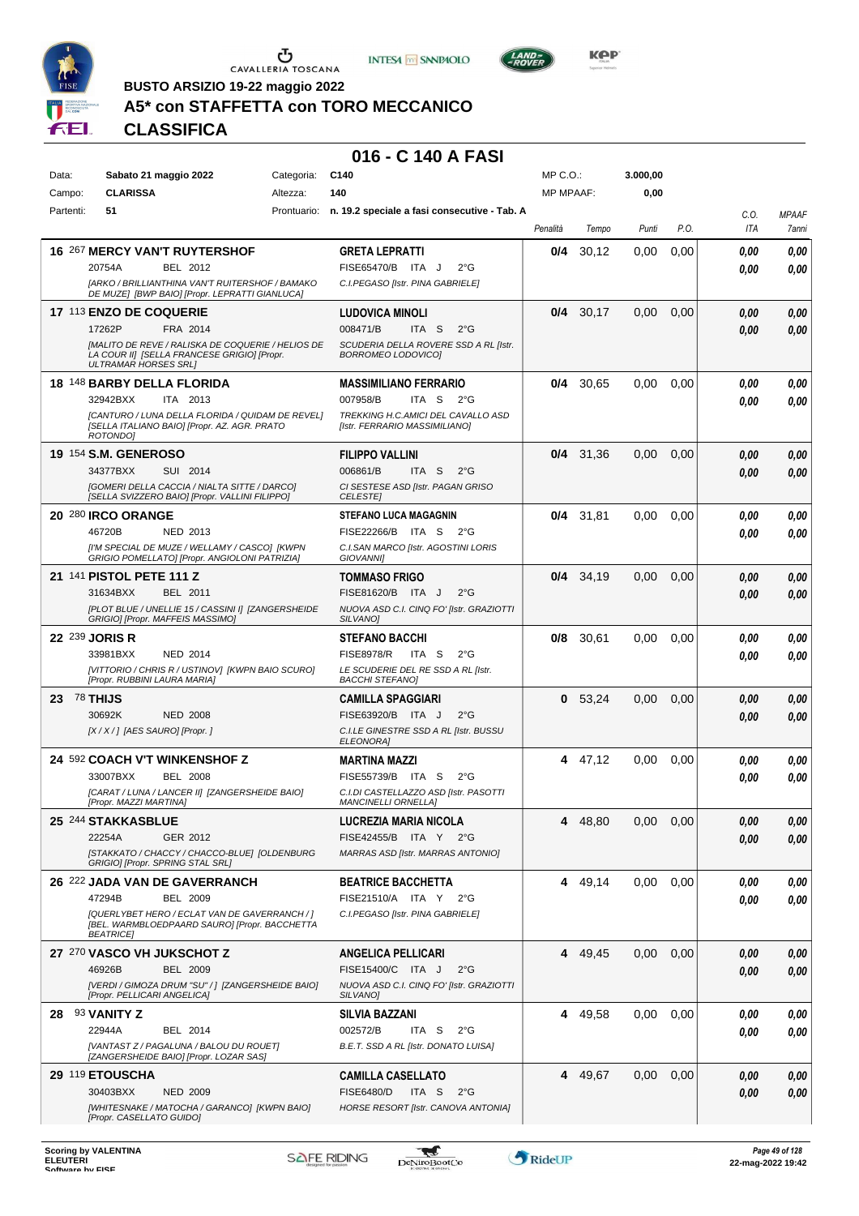

**BUSTO ARSIZIO 19-22 maggio 2022**





**Kep** 

**A5\* con STAFFETTA con TORO MECCANICO**

# **CLASSIFICA**

| Data:     |                 |                             | Sabato 21 maggio 2022                                                                             | Categoria: | C <sub>140</sub>                                                    | MP C.O.:         |         | 3.000,00 |      |                    |                       |
|-----------|-----------------|-----------------------------|---------------------------------------------------------------------------------------------------|------------|---------------------------------------------------------------------|------------------|---------|----------|------|--------------------|-----------------------|
| Campo:    | 51              | <b>CLARISSA</b>             |                                                                                                   | Altezza:   | 140                                                                 | <b>MP MPAAF:</b> |         | 0,00     |      |                    |                       |
| Partenti: |                 |                             |                                                                                                   |            | Prontuario: n. 19.2 speciale a fasi consecutive - Tab. A            | Penalità         | Tempo   | Punti    | P.O. | C.O.<br><b>ITA</b> | <b>MPAAF</b><br>7anni |
|           |                 |                             | <b>16 267 MERCY VAN'T RUYTERSHOF</b>                                                              |            | <b>GRETA LEPRATTI</b>                                               | 0/4              | 30,12   | 0.00     | 0,00 | 0.00               | 0,00                  |
|           | 20754A          |                             | BEL 2012                                                                                          |            | FISE65470/B ITA J<br>$2^{\circ}$ G                                  |                  |         |          |      | 0.00               | 0.00                  |
|           |                 |                             | [ARKO / BRILLIANTHINA VAN'T RUITERSHOF / BAMAKO<br>DE MUZE] [BWP BAIO] [Propr. LEPRATTI GIANLUCA] |            | C.I.PEGASO [Istr. PINA GABRIELE]                                    |                  |         |          |      |                    |                       |
|           |                 | 17 113 ENZO DE COQUERIE     |                                                                                                   |            | <b>LUDOVICA MINOLI</b>                                              | 0/4              | 30,17   | 0,00     | 0,00 | 0.00               | 0,00                  |
|           | 17262P          |                             | FRA 2014                                                                                          |            | 008471/B<br>ITA S<br>$2^{\circ}$ G                                  |                  |         |          |      | 0.00               | 0.00                  |
|           |                 | <b>ULTRAMAR HORSES SRL1</b> | [MALITO DE REVE / RALISKA DE COQUERIE / HELIOS DE<br>LA COUR II] [SELLA FRANCESE GRIGIO] [Propr.  |            | SCUDERIA DELLA ROVERE SSD A RL [Istr.<br>BORROMEO LODOVICO]         |                  |         |          |      |                    |                       |
|           |                 |                             | 18 148 BARBY DELLA FLORIDA                                                                        |            | <b>MASSIMILIANO FERRARIO</b>                                        | 0/4              | 30,65   | 0,00     | 0,00 | 0,00               | 0,00                  |
|           | 32942BXX        |                             | ITA 2013                                                                                          |            | 007958/B<br>ITA S<br>$2^{\circ}$ G                                  |                  |         |          |      | 0.00               | 0.00                  |
|           | ROTONDO1        |                             | [CANTURO / LUNA DELLA FLORIDA / QUIDAM DE REVEL]<br>[SELLA ITALIANO BAIO] [Propr. AZ. AGR. PRATO  |            | TREKKING H.C.AMICI DEL CAVALLO ASD<br>[Istr. FERRARIO MASSIMILIANO] |                  |         |          |      |                    |                       |
|           |                 | 19 154 S.M. GENEROSO        |                                                                                                   |            | <b>FILIPPO VALLINI</b>                                              | 0/4              | 31,36   | 0,00     | 0,00 | 0.00               | 0,00                  |
|           | 34377BXX        |                             | SUI 2014                                                                                          |            | 006861/B<br>ITA <sub>S</sub><br>$2^{\circ}$ G                       |                  |         |          |      | 0.00               | 0.00                  |
|           |                 |                             | [GOMERI DELLA CACCIA / NIALTA SITTE / DARCO]<br>[SELLA SVIZZERO BAIO] [Propr. VALLINI FILIPPO]    |            | CI SESTESE ASD [Istr. PAGAN GRISO<br><b>CELESTE</b>                 |                  |         |          |      |                    |                       |
|           |                 | 20 280 IRCO ORANGE          |                                                                                                   |            | <b>STEFANO LUCA MAGAGNIN</b>                                        | 0/4              | 31,81   | 0,00     | 0,00 | 0.00               | 0,00                  |
|           | 46720B          |                             | NED 2013                                                                                          |            | FISE22266/B ITA S<br>$2^{\circ}G$                                   |                  |         |          |      | 0.00               | 0.00                  |
|           |                 |                             | [I'M SPECIAL DE MUZE / WELLAMY / CASCO] [KWPN<br>GRIGIO POMELLATO] [Propr. ANGIOLONI PATRIZIA]    |            | C.I.SAN MARCO [Istr. AGOSTINI LORIS<br>GIOVANNI]                    |                  |         |          |      |                    |                       |
|           |                 | 21 141 PISTOL PETE 111 Z    |                                                                                                   |            | <b>TOMMASO FRIGO</b>                                                | 0/4              | 34,19   | 0,00     | 0,00 | 0.00               | 0,00                  |
|           | 31634BXX        |                             | BEL 2011                                                                                          |            | FISE81620/B ITA J<br>$2^{\circ}$ G                                  |                  |         |          |      | 0.00               | 0,00                  |
|           |                 |                             | [PLOT BLUE / UNELLIE 15 / CASSINI I] [ZANGERSHEIDE<br>GRIGIO] [Propr. MAFFEIS MASSIMO]            |            | NUOVA ASD C.I. CINQ FO' [Istr. GRAZIOTTI<br>SILVANO]                |                  |         |          |      |                    |                       |
|           | 22 239 JORIS R  |                             |                                                                                                   |            | <b>STEFANO BACCHI</b>                                               | 0/8              | 30,61   | 0,00     | 0,00 | 0.00               | 0,00                  |
|           | 33981BXX        |                             | NED 2014                                                                                          |            | <b>FISE8978/R</b><br>ITA S<br>$2^{\circ}$ G                         |                  |         |          |      | 0.00               | 0.00                  |
|           |                 |                             | [VITTORIO / CHRIS R / USTINOV] [KWPN BAIO SCURO]<br>[Propr. RUBBINI LAURA MARIA]                  |            | LE SCUDERIE DEL RE SSD A RL [Istr.<br><b>BACCHI STEFANO]</b>        |                  |         |          |      |                    |                       |
| 23        | 78 THIJS        |                             |                                                                                                   |            | <b>CAMILLA SPAGGIARI</b>                                            | 0                | 53,24   | 0,00     | 0,00 | 0.00               | 0,00                  |
|           | 30692K          |                             | <b>NED 2008</b>                                                                                   |            | FISE63920/B ITA J<br>$2^{\circ}$ G                                  |                  |         |          |      | 0,00               | 0,00                  |
|           |                 |                             | $[X/X']$ [AES SAURO] [Propr.]                                                                     |            | C.I.LE GINESTRE SSD A RL [Istr. BUSSU<br>ELEONORA]                  |                  |         |          |      |                    |                       |
|           |                 |                             | 24 592 COACH V'T WINKENSHOF Z                                                                     |            | <b>MARTINA MAZZI</b>                                                |                  | 4 47,12 | 0,00     | 0,00 | 0,00               | 0,00                  |
|           | 33007BXX        |                             | BEL 2008                                                                                          |            | FISE55739/B ITA S<br>$2^{\circ}$ G                                  |                  |         |          |      | 0,00               | 0,00                  |
|           |                 | [Propr. MAZZI MARTINA]      | [CARAT / LUNA / LANCER II] [ZANGERSHEIDE BAIO]                                                    |            | C.I.DI CASTELLAZZO ASD [Istr. PASOTTI<br><b>MANCINELLI ORNELLA]</b> |                  |         |          |      |                    |                       |
|           |                 | 25 244 STAKKASBLUE          |                                                                                                   |            | LUCREZIA MARIA NICOLA                                               | 4                | 48,80   | 0,00     | 0,00 | 0,00               | 0,00                  |
|           | 22254A          |                             | GER 2012                                                                                          |            | FISE42455/B ITA Y<br>$2^{\circ}G$                                   |                  |         |          |      | 0,00               | 0,00                  |
|           |                 |                             | [STAKKATO / CHACCY / CHACCO-BLUE] [OLDENBURG<br>GRIGIO] [Propr. SPRING STAL SRL]                  |            | MARRAS ASD [Istr. MARRAS ANTONIO]                                   |                  |         |          |      |                    |                       |
|           |                 |                             | 26 222 JADA VAN DE GAVERRANCH                                                                     |            | <b>BEATRICE BACCHETTA</b>                                           |                  | 4 49,14 | 0,00     | 0,00 | 0,00               | 0,00                  |
|           | 47294B          |                             | <b>BEL 2009</b>                                                                                   |            | FISE21510/A ITA Y 2°G                                               |                  |         |          |      | 0,00               | 0,00                  |
|           | <b>BEATRICE</b> |                             | [QUERLYBET HERO / ECLAT VAN DE GAVERRANCH / ]<br>[BEL. WARMBLOEDPAARD SAURO] [Propr. BACCHETTA    |            | C.I.PEGASO [Istr. PINA GABRIELE]                                    |                  |         |          |      |                    |                       |
|           |                 |                             | 27 270 VASCO VH JUKSCHOT Z                                                                        |            | <b>ANGELICA PELLICARI</b>                                           | 4                | 49,45   | 0,00     | 0,00 | 0,00               | 0,00                  |
|           | 46926B          |                             | <b>BEL 2009</b>                                                                                   |            | FISE15400/C ITA J<br>$2^{\circ}$ G                                  |                  |         |          |      | 0,00               | 0.00                  |
|           |                 |                             | [VERDI / GIMOZA DRUM "SU" / ] [ZANGERSHEIDE BAIO]<br>[Propr. PELLICARI ANGELICA]                  |            | NUOVA ASD C.I. CINQ FO' [Istr. GRAZIOTTI<br>SILVANOI                |                  |         |          |      |                    |                       |
|           | 28 93 VANITY Z  |                             |                                                                                                   |            | SILVIA BAZZANI                                                      |                  | 4 49,58 | 0,00     | 0,00 | 0,00               | 0,00                  |
|           | 22944A          |                             | BEL 2014                                                                                          |            | 002572/B<br>ITA S<br>$2^{\circ}$ G                                  |                  |         |          |      | 0.00               | 0.00                  |
|           |                 |                             | [VANTAST Z / PAGALUNA / BALOU DU ROUET]<br>[ZANGERSHEIDE BAIO] [Propr. LOZAR SAS]                 |            | B.E.T. SSD A RL [Istr. DONATO LUISA]                                |                  |         |          |      |                    |                       |
|           | 29 119 ETOUSCHA |                             |                                                                                                   |            | <b>CAMILLA CASELLATO</b>                                            | 4                | 49,67   | 0,00     | 0,00 | 0.00               | 0,00                  |
|           | 30403BXX        |                             | <b>NED 2009</b>                                                                                   |            | <b>FISE6480/D</b><br>ITA S<br>$2^{\circ}$ G                         |                  |         |          |      | 0,00               | 0,00                  |
|           |                 | [Propr. CASELLATO GUIDO]    | [WHITESNAKE / MATOCHA / GARANCO] [KWPN BAIO]                                                      |            | HORSE RESORT [Istr. CANOVA ANTONIA]                                 |                  |         |          |      |                    |                       |

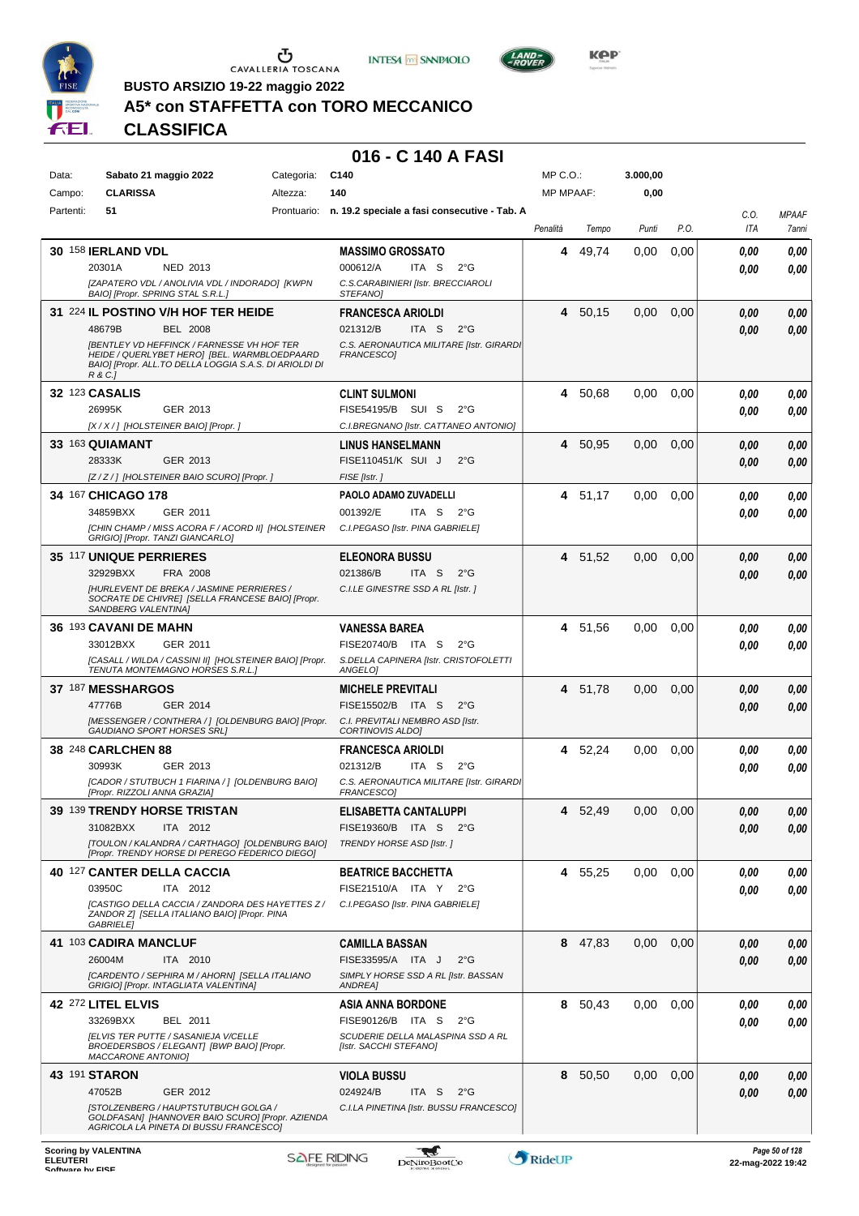





 $L$ AND

**BUSTO ARSIZIO 19-22 maggio 2022**

## **A5\* con STAFFETTA con TORO MECCANICO**

**CLASSIFICA**

| Data:     | Sabato 21 maggio 2022                                                                                                                                                  | Categoria: | C140                                                          | $MP C. O.$ :     |         | 3.000,00 |      |      |              |
|-----------|------------------------------------------------------------------------------------------------------------------------------------------------------------------------|------------|---------------------------------------------------------------|------------------|---------|----------|------|------|--------------|
| Campo:    | <b>CLARISSA</b>                                                                                                                                                        | Altezza:   | 140                                                           | <b>MP MPAAF:</b> |         | 0,00     |      |      |              |
| Partenti: | 51                                                                                                                                                                     |            | Prontuario: n. 19.2 speciale a fasi consecutive - Tab. A      |                  |         |          |      | C.O. | <b>MPAAF</b> |
|           |                                                                                                                                                                        |            |                                                               | Penalità         | Tempo   | Punti    | P.O. | ITA  | 7anni        |
|           | <b>30 158 IERLAND VDL</b>                                                                                                                                              |            | <b>MASSIMO GROSSATO</b>                                       | 4                | 49,74   | 0.00     | 0,00 | 0,00 | 0,00         |
|           | 20301A<br>NED 2013                                                                                                                                                     |            | 000612/A<br>ITA S<br>$2^{\circ}$ G                            |                  |         |          |      | 0.00 | 0,00         |
|           | [ZAPATERO VDL / ANOLIVIA VDL / INDORADO] [KWPN                                                                                                                         |            | C.S.CARABINIERI [Istr. BRECCIAROLI                            |                  |         |          |      |      |              |
|           | BAIO] [Propr. SPRING STAL S.R.L.]                                                                                                                                      |            | STEFANO]                                                      |                  |         |          |      |      |              |
|           | 31 224 IL POSTINO V/H HOF TER HEIDE                                                                                                                                    |            | <b>FRANCESCA ARIOLDI</b>                                      | 4                | 50,15   | 0.00     | 0,00 | 0,00 | 0,00         |
|           | 48679B<br><b>BEL 2008</b>                                                                                                                                              |            | ITA S<br>$2^{\circ}$ G<br>021312/B                            |                  |         |          |      | 0.00 | 0,00         |
|           | <b>IBENTLEY VD HEFFINCK / FARNESSE VH HOF TER</b><br>HEIDE / QUERLYBET HERO] [BEL. WARMBLOEDPAARD<br>BAIO] [Propr. ALL.TO DELLA LOGGIA S.A.S. DI ARIOLDI DI<br>R & C.] |            | C.S. AERONAUTICA MILITARE [Istr. GIRARDI<br>FRANCESCO1        |                  |         |          |      |      |              |
|           | 32 123 CASALIS                                                                                                                                                         |            | <b>CLINT SULMONI</b>                                          | 4                | 50,68   | 0,00     | 0,00 | 0.00 | 0,00         |
|           | 26995K<br>GER 2013                                                                                                                                                     |            | FISE54195/B SUI S<br>$2^{\circ}$ G                            |                  |         |          |      | 0,00 | 0,00         |
|           | [X / X / ] [HOLSTEINER BAIO] [Propr. ]                                                                                                                                 |            | C.I.BREGNANO [Istr. CATTANEO ANTONIO]                         |                  |         |          |      |      |              |
|           | 33 163 QUIAMANT                                                                                                                                                        |            | <b>LINUS HANSELMANN</b>                                       | 4                | 50,95   | 0,00     | 0,00 | 0.00 | 0,00         |
|           | 28333K<br>GER 2013                                                                                                                                                     |            | FISE110451/K SUI J<br>$2^{\circ}$ G                           |                  |         |          |      | 0.00 | 0,00         |
|           | [Z/Z/] [HOLSTEINER BAIO SCURO] [Propr.]                                                                                                                                |            | FISE [Istr.]                                                  |                  |         |          |      |      |              |
|           | 34 167 CHICAGO 178                                                                                                                                                     |            | PAOLO ADAMO ZUVADELLI                                         |                  | 4 51,17 | 0,00     | 0.00 | 0,00 | 0,00         |
|           | 34859BXX<br>GER 2011                                                                                                                                                   |            | 001392/E<br>ITA S<br>$2^{\circ}G$                             |                  |         |          |      | 0.00 | 0,00         |
|           | [CHIN CHAMP / MISS ACORA F / ACORD II] [HOLSTEINER                                                                                                                     |            | C.I.PEGASO [Istr. PINA GABRIELE]                              |                  |         |          |      |      |              |
|           | GRIGIO] [Propr. TANZI GIANCARLO]                                                                                                                                       |            |                                                               |                  |         |          |      |      |              |
|           | 35 117 UNIQUE PERRIERES                                                                                                                                                |            | <b>ELEONORA BUSSU</b>                                         | 4                | 51,52   | 0,00     | 0,00 | 0,00 | 0,00         |
|           | 32929BXX<br>FRA 2008                                                                                                                                                   |            | 021386/B<br>ITA S<br>$2^{\circ}$ G                            |                  |         |          |      | 0.00 | 0,00         |
|           | [HURLEVENT DE BREKA / JASMINE PERRIERES /<br>SOCRATE DE CHIVRE] [SELLA FRANCESE BAIO] [Propr.<br>SANDBERG VALENTINAJ                                                   |            | C.I.LE GINESTRE SSD A RL [Istr.]                              |                  |         |          |      |      |              |
|           | 36 193 CAVANI DE MAHN                                                                                                                                                  |            | VANESSA BAREA                                                 | 4                | 51,56   | 0,00     | 0.00 | 0.00 | 0,00         |
|           | GER 2011<br>33012BXX                                                                                                                                                   |            | FISE20740/B ITA S<br>$2^{\circ}$ G                            |                  |         |          |      | 0.00 | 0,00         |
|           | [CASALL / WILDA / CASSINI II] [HOLSTEINER BAIO] [Propr.<br>TENUTA MONTEMAGNO HORSES S.R.L.]                                                                            |            | S.DELLA CAPINERA [Istr. CRISTOFOLETTI<br>ANGELOI              |                  |         |          |      |      |              |
|           | 37 187 MESSHARGOS                                                                                                                                                      |            | <b>MICHELE PREVITALI</b>                                      | 4                | 51,78   | 0.00     | 0,00 | 0,00 | 0,00         |
|           | 47776B<br>GER 2014                                                                                                                                                     |            | FISE15502/B ITA S<br>$2^{\circ}$ G                            |                  |         |          |      | 0,00 | 0,00         |
|           | [MESSENGER / CONTHERA / ] [OLDENBURG BAIO] [Propr.                                                                                                                     |            | C.I. PREVITALI NEMBRO ASD [Istr.                              |                  |         |          |      |      |              |
|           | <b>GAUDIANO SPORT HORSES SRLI</b>                                                                                                                                      |            | CORTINOVIS ALDO]                                              |                  |         |          |      |      |              |
|           | 38 248 CARLCHEN 88                                                                                                                                                     |            | <b>FRANCESCA ARIOLDI</b>                                      | 4                | 52,24   | 0,00     | 0,00 | 0,00 | 0,00         |
|           | 30993K<br>GER 2013                                                                                                                                                     |            | 021312/B<br>ITA S<br>$2^{\circ}G$                             |                  |         |          |      | 0,00 | 0,00         |
|           | [CADOR / STUTBUCH 1 FIARINA / ] [OLDENBURG BAIO]<br>[Propr. RIZZOLI ANNA GRAZIA]                                                                                       |            | C.S. AERONAUTICA MILITARE [Istr. GIRARDI<br><b>FRANCESCO1</b> |                  |         |          |      |      |              |
|           | 39 139 TRENDY HORSE TRISTAN                                                                                                                                            |            | <b>ELISABETTA CANTALUPPI</b>                                  | 4                | 52,49   | 0,00     | 0.00 | 0.00 | 0.00         |
|           | 31082BXX<br>ITA 2012                                                                                                                                                   |            | FISE19360/B ITA S<br>$2^{\circ}$ G                            |                  |         |          |      | 0,00 | 0,00         |
|           | [TOULON / KALANDRA / CARTHAGO] [OLDENBURG BAIO]                                                                                                                        |            | TRENDY HORSE ASD [Istr.]                                      |                  |         |          |      |      |              |
|           | [Propr. TRENDY HORSE DI PEREGO FEDERICO DIEGO]                                                                                                                         |            |                                                               |                  |         |          |      |      |              |
|           | 40 127 CANTER DELLA CACCIA                                                                                                                                             |            | <b>BEATRICE BACCHETTA</b>                                     |                  | 4 55,25 | 0,00     | 0.00 | 0.00 | 0,00         |
|           | 03950C<br>ITA 2012                                                                                                                                                     |            | FISE21510/A ITA Y 2°G                                         |                  |         |          |      | 0.00 | 0,00         |
|           | ICASTIGO DELLA CACCIA / ZANDORA DES HAYETTES Z/<br>ZANDOR Z] [SELLA ITALIANO BAIO] [Propr. PINA                                                                        |            | C.I.PEGASO [Istr. PINA GABRIELE]                              |                  |         |          |      |      |              |
|           | <b>GABRIELE</b>                                                                                                                                                        |            |                                                               |                  |         |          |      |      |              |
|           | 41 103 CADIRA MANCLUF                                                                                                                                                  |            | <b>CAMILLA BASSAN</b>                                         | 8                | 47,83   | 0,00     | 0,00 | 0,00 | 0,00         |
|           | 26004M<br>ITA 2010                                                                                                                                                     |            | FISE33595/A ITA J<br>$2^{\circ}$ G                            |                  |         |          |      | 0,00 | 0,00         |
|           | [CARDENTO / SEPHIRA M / AHORN] [SELLA ITALIANO<br>GRIGIO] [Propr. INTAGLIATA VALENTINA]                                                                                |            | SIMPLY HORSE SSD A RL [Istr. BASSAN<br>ANDREA]                |                  |         |          |      |      |              |
|           | 42 272 LITEL ELVIS                                                                                                                                                     |            | <b>ASIA ANNA BORDONE</b>                                      | 8                | 50,43   | 0,00     | 0,00 | 0.00 | 0,00         |
|           | 33269BXX<br>BEL 2011                                                                                                                                                   |            | FISE90126/B ITA S<br>$2^{\circ}G$                             |                  |         |          |      | 0.00 | 0,00         |
|           | <b>JELVIS TER PUTTE / SASANIEJA V/CELLE</b>                                                                                                                            |            | SCUDERIE DELLA MALASPINA SSD A RL                             |                  |         |          |      |      |              |
|           | BROEDERSBOS / ELEGANT] [BWP BAIO] [Propr.<br>MACCARONE ANTONIO]                                                                                                        |            | [Istr. SACCHI STEFANO]                                        |                  |         |          |      |      |              |
|           | 43 191 STARON                                                                                                                                                          |            | <b>VIOLA BUSSU</b>                                            |                  | 8 50,50 | 0,00     | 0,00 | 0,00 | 0,00         |
|           | 47052B<br>GER 2012                                                                                                                                                     |            | 024924/B<br>ITA S<br>$2^{\circ}$ G                            |                  |         |          |      | 0,00 | 0,00         |
|           | <b>ISTOLZENBERG / HAUPTSTUTBUCH GOLGA /</b><br>GOLDFASAN] [HANNOVER BAIO SCURO] [Propr. AZIENDA                                                                        |            | C.I.LA PINETINA [Istr. BUSSU FRANCESCO]                       |                  |         |          |      |      |              |
|           | AGRICOLA LA PINETA DI BUSSU FRANCESCO]                                                                                                                                 |            |                                                               |                  |         |          |      |      |              |

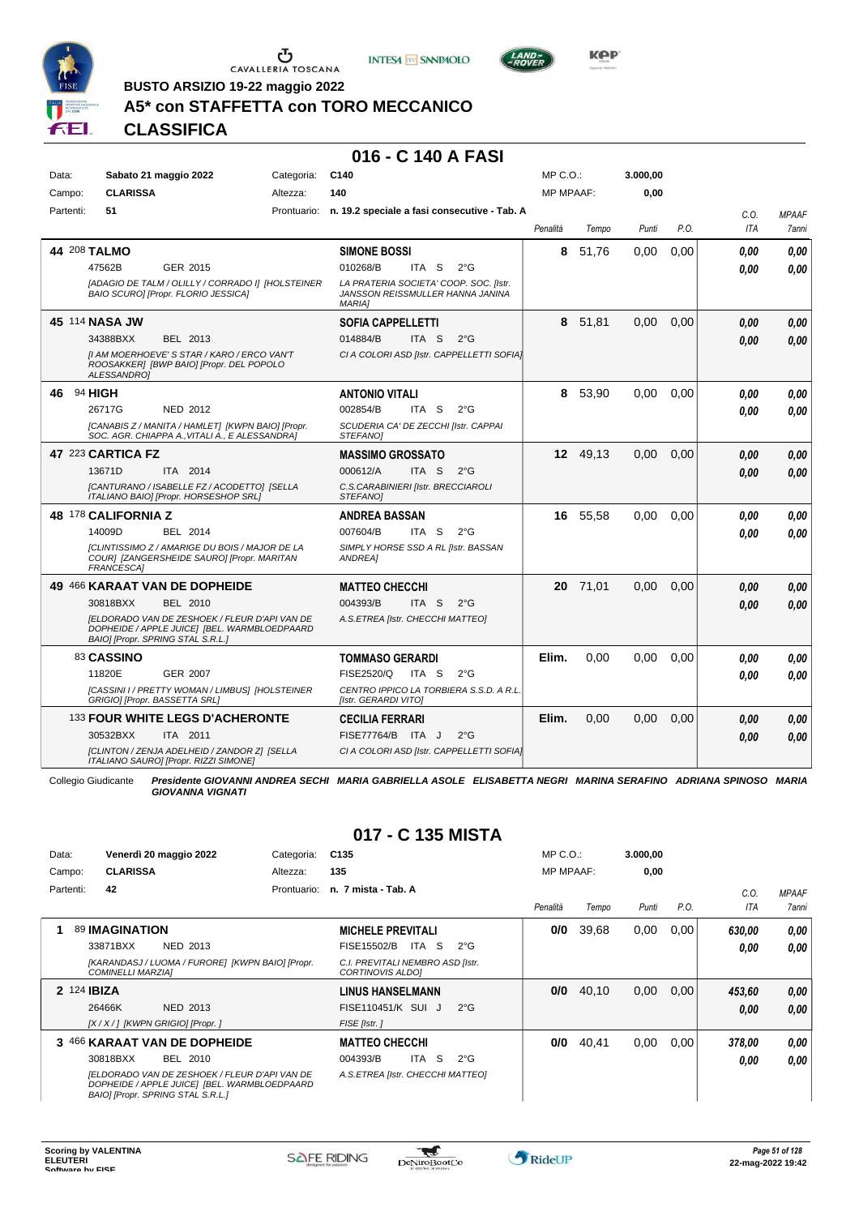

Ⴠ CAVALLERIA TOSCANA





**Kep** 

**BUSTO ARSIZIO 19-22 maggio 2022**

#### **A5\* con STAFFETTA con TORO MECCANICO**

**CLASSIFICA**

#### **016 - C 140 A FASI**

| Data:     | Sabato 21 maggio 2022                                                                                                              | Categoria: | C <sub>140</sub>                                                                            | $MP C. O.$ :     |          | 3.000,00 |      |      |              |
|-----------|------------------------------------------------------------------------------------------------------------------------------------|------------|---------------------------------------------------------------------------------------------|------------------|----------|----------|------|------|--------------|
| Campo:    | <b>CLARISSA</b>                                                                                                                    | Altezza:   | 140                                                                                         | <b>MP MPAAF:</b> |          | 0,00     |      |      |              |
| Partenti: | 51                                                                                                                                 |            | Prontuario: n. 19.2 speciale a fasi consecutive - Tab. A                                    |                  |          |          |      | C.O. | <b>MPAAF</b> |
|           |                                                                                                                                    |            |                                                                                             | Penalità         | Tempo    | Punti    | P.O. | ITA  | 7anni        |
|           | 44 208 TALMO                                                                                                                       |            | <b>SIMONE BOSSI</b>                                                                         | 8                | 51.76    | 0,00     | 0.00 | 0.00 | 0.00         |
|           | 47562B<br>GER 2015                                                                                                                 |            | ITA <sub>S</sub><br>010268/B<br>$2^{\circ}$ G                                               |                  |          |          |      | 0.00 | 0.00         |
|           | [ADAGIO DE TALM / OLILLY / CORRADO I] [HOLSTEINER<br><b>BAIO SCUROI [Propr. FLORIO JESSICA]</b>                                    |            | LA PRATERIA SOCIETA' COOP. SOC. [Istr.<br>JANSSON REISSMULLER HANNA JANINA<br><b>MARIA1</b> |                  |          |          |      |      |              |
|           | 45 114 NASA JW                                                                                                                     |            | <b>SOFIA CAPPELLETTI</b>                                                                    | 8                | 51.81    | 0.00     | 0.00 | 0,00 | 0.00         |
|           | 34388BXX<br>BEL 2013                                                                                                               |            | 014884/B<br>ITA <sub>S</sub><br>$2^{\circ}$ G                                               |                  |          |          |      | 0.00 | 0.00         |
|           | [I AM MOERHOEVE' S STAR / KARO / ERCO VAN'T<br>ROOSAKKER] [BWP BAIO] [Propr. DEL POPOLO<br>ALESSANDRO1                             |            | CI A COLORI ASD [Istr. CAPPELLETTI SOFIA]                                                   |                  |          |          |      |      |              |
| 46        | 94 HIGH                                                                                                                            |            | <b>ANTONIO VITALI</b>                                                                       | 8                | 53,90    | 0.00     | 0.00 | 0.00 | 0.00         |
|           | 26717G<br><b>NED 2012</b>                                                                                                          |            | 002854/B<br>$2^{\circ}$ G<br>ITA S                                                          |                  |          |          |      | 0.00 | 0.00         |
|           | [CANABIS Z / MANITA / HAMLET] [KWPN BAIO] [Propr.<br>SOC. AGR. CHIAPPA A., VITALI A., E ALESSANDRA]                                |            | SCUDERIA CA' DE ZECCHI [Istr. CAPPAI<br><b>STEFANOI</b>                                     |                  |          |          |      |      |              |
|           | 47 223 CARTICA FZ                                                                                                                  |            | <b>MASSIMO GROSSATO</b>                                                                     |                  | 12 49,13 | 0,00     | 0,00 | 0,00 | 0,00         |
|           | 13671D<br>ITA 2014                                                                                                                 |            | 000612/A<br>ITA <sub>S</sub><br>$2^{\circ}$ G                                               |                  |          |          |      | 0.00 | 0.00         |
|           | [CANTURANO / ISABELLE FZ / ACODETTO] [SELLA<br>ITALIANO BAIO] [Propr. HORSESHOP SRL]                                               |            | C.S.CARABINIERI [Istr. BRECCIAROLI<br>STEFANO]                                              |                  |          |          |      |      |              |
|           | 48 178 CALIFORNIA Z                                                                                                                |            | ANDREA BASSAN                                                                               |                  | 16 55.58 | 0.00     | 0.00 | 0.00 | 0.00         |
|           | 14009D<br>BEL 2014                                                                                                                 |            | 007604/B<br>ITA S<br>$2^{\circ}$ G                                                          |                  |          |          |      | 0.00 | 0.00         |
|           | [CLINTISSIMO Z / AMARIGE DU BOIS / MAJOR DE LA<br>COURI [ZANGERSHEIDE SAURO] [Propr. MARITAN<br>FRANCESCA1                         |            | SIMPLY HORSE SSD A RL [Istr. BASSAN<br>ANDREA]                                              |                  |          |          |      |      |              |
|           | 49 466 KARAAT VAN DE DOPHEIDE                                                                                                      |            | <b>MATTEO CHECCHI</b>                                                                       |                  | 20 71.01 | 0.00     | 0.00 | 0.00 | 0,00         |
|           | 30818BXX<br><b>BEL 2010</b>                                                                                                        |            | 004393/B<br>ITA <sub>S</sub><br>$2^{\circ}$ G                                               |                  |          |          |      | 0.00 | 0.00         |
|           | [ELDORADO VAN DE ZESHOEK / FLEUR D'API VAN DE<br>DOPHEIDE / APPLE JUICE] [BEL. WARMBLOEDPAARD<br>BAIO] [Propr. SPRING STAL S.R.L.] |            | A.S.ETREA [Istr. CHECCHI MATTEO]                                                            |                  |          |          |      |      |              |
|           | 83 CASSINO                                                                                                                         |            | <b>TOMMASO GERARDI</b>                                                                      | Elim.            | 0.00     | 0,00     | 0,00 | 0.00 | 0,00         |
|           | 11820E<br><b>GER 2007</b>                                                                                                          |            | FISE2520/Q<br>ITA S<br>$2^{\circ}$ G                                                        |                  |          |          |      | 0.00 | 0.00         |
|           | [CASSINI I / PRETTY WOMAN / LIMBUS] [HOLSTEINER<br>GRIGIO] [Propr. BASSETTA SRL]                                                   |            | CENTRO IPPICO LA TORBIERA S.S.D. A R.L.<br>[Istr. GERARDI VITO]                             |                  |          |          |      |      |              |
|           | <sup>133</sup> FOUR WHITE LEGS D'ACHERONTE                                                                                         |            | <b>CECILIA FERRARI</b>                                                                      | Elim.            | 0.00     | 0.00     | 0.00 | 0.00 | 0.00         |
|           | 30532BXX<br>ITA 2011                                                                                                               |            | FISE77764/B ITA J<br>$2^{\circ}$ G                                                          |                  |          |          |      | 0.00 | 0.00         |
|           | [CLINTON / ZENJA ADELHEID / ZANDOR Z] [SELLA<br>ITALIANO SAURO] [Propr. RIZZI SIMONE]                                              |            | CI A COLORI ASD [Istr. CAPPELLETTI SOFIA]                                                   |                  |          |          |      |      |              |

Collegio Giudicante *Presidente GIOVANNI ANDREA SECHI MARIA GABRIELLA ASOLE ELISABETTA NEGRI MARINA SERAFINO ADRIANA SPINOSO MARIA GIOVANNA VIGNATI*

# **017 - C 135 MISTA**

 $\cdot$   $\cdot$   $\cdot$   $\cdot$ 

**3.000,00**

| Data: |             |                   | Venerdì 20 maggio 2022                                                                                                             | Categoria:  | C <sub>135</sub>                                     |       |               | $MP C. O.$ :     |       | 3.000.00 |      |        |                     |
|-------|-------------|-------------------|------------------------------------------------------------------------------------------------------------------------------------|-------------|------------------------------------------------------|-------|---------------|------------------|-------|----------|------|--------|---------------------|
|       | Campo:      | <b>CLARISSA</b>   |                                                                                                                                    | Altezza:    | 135                                                  |       |               | <b>MP MPAAF:</b> |       | 0,00     |      |        |                     |
|       | Partenti:   | 42                |                                                                                                                                    | Prontuario: | n. 7 mista - Tab. A                                  |       |               |                  |       |          |      | C.0.   | <b>MPAAF</b>        |
|       |             |                   |                                                                                                                                    |             |                                                      |       |               | Penalità         | Tempo | Punti    | P.O. | ITA    | <i><b>7anni</b></i> |
|       |             | 89 IMAGINATION    |                                                                                                                                    |             | <b>MICHELE PREVITALI</b>                             |       |               | 0/0              | 39,68 | 0,00     | 0,00 | 630.00 | 0,00                |
|       |             | 33871BXX          | <b>NED 2013</b>                                                                                                                    |             | FISE15502/B                                          | ITA S | $2^{\circ}G$  |                  |       |          |      | 0.00   | 0.00                |
|       |             | COMINELLI MARZIA] | [KARANDASJ / LUOMA / FURORE] [KWPN BAIO] [Propr.                                                                                   |             | C.I. PREVITALI NEMBRO ASD [Istr.<br>CORTINOVIS ALDOI |       |               |                  |       |          |      |        |                     |
|       | 2 124 IBIZA |                   |                                                                                                                                    |             | <b>LINUS HANSELMANN</b>                              |       |               | 0/0              | 40,10 | 0,00     | 0,00 | 453,60 | 0,00                |
|       |             | 26466K            | NED 2013                                                                                                                           |             | FISE110451/K SUI J                                   |       | $2^{\circ}G$  |                  |       |          |      | 0.00   | 0.00                |
|       |             |                   | $[X/X/]$ [KWPN GRIGIO] [Propr. ]                                                                                                   |             | FISE [Istr.]                                         |       |               |                  |       |          |      |        |                     |
|       |             |                   | 3 466 KARAAT VAN DE DOPHEIDE                                                                                                       |             | <b>MATTEO CHECCHI</b>                                |       |               | 0/0              | 40,41 | 0.00     | 0,00 | 378.00 | 0,00                |
|       |             | 30818BXX          | BEL 2010                                                                                                                           |             | 004393/B                                             | ITA S | $2^{\circ}$ G |                  |       |          |      | 0.00   | 0.00                |
|       |             |                   | [ELDORADO VAN DE ZESHOEK / FLEUR D'API VAN DE<br>DOPHEIDE / APPLE JUICE] [BEL. WARMBLOEDPAARD<br>BAIO] [Propr. SPRING STAL S.R.L.] |             | A.S.ETREA [Istr. CHECCHI MATTEO]                     |       |               |                  |       |          |      |        |                     |

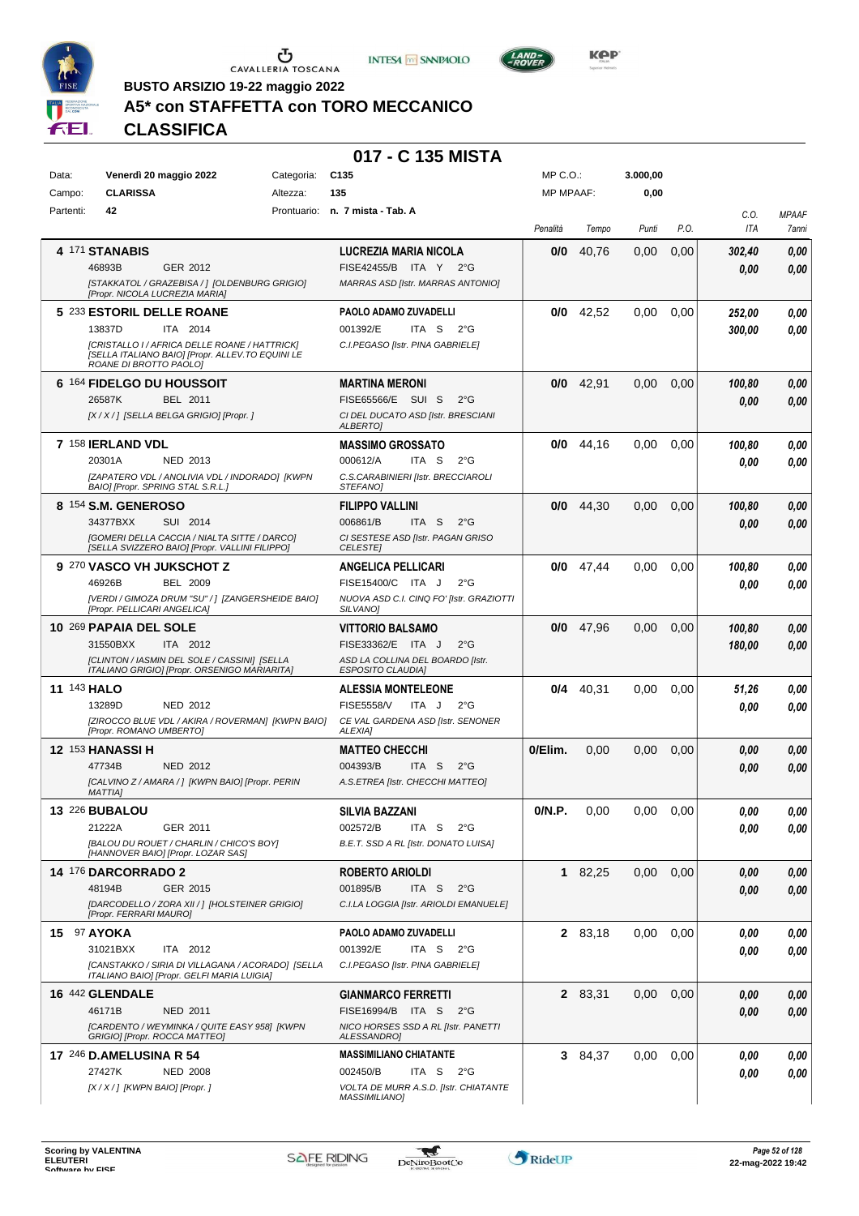





**BUSTO ARSIZIO 19-22 maggio 2022**

# **A5\* con STAFFETTA con TORO MECCANICO**

**CLASSIFICA**

# **017 - C 135 MISTA**

| Data:<br>Campo:    | Venerdì 20 maggio 2022<br><b>CLARISSA</b>                                                                                                                                      | Categoria:<br>Altezza: | C135<br>135                                                                                                                   | MP C.O.:<br><b>MP MPAAF:</b> |         | 3.000,00<br>0,00 |      |                  |                       |
|--------------------|--------------------------------------------------------------------------------------------------------------------------------------------------------------------------------|------------------------|-------------------------------------------------------------------------------------------------------------------------------|------------------------------|---------|------------------|------|------------------|-----------------------|
| Partenti:          | 42                                                                                                                                                                             |                        | Prontuario: n. 7 mista - Tab. A                                                                                               | Penalità                     | Tempo   | Punti            | P.O. | C.O.<br>ITA      | <b>MPAAF</b><br>7anni |
|                    | 4 171 STANABIS<br>46893B<br>GER 2012<br>[STAKKATOL / GRAZEBISA / ] [OLDENBURG GRIGIO]<br>[Propr. NICOLA LUCREZIA MARIA]                                                        |                        | LUCREZIA MARIA NICOLA<br>FISE42455/B ITA Y<br>2°G<br>MARRAS ASD [Istr. MARRAS ANTONIO]                                        | 0/0                          | 40,76   | 0,00             | 0,00 | 302,40<br>0.00   | 0,00<br>0,00          |
|                    | 5 233 ESTORIL DELLE ROANE<br>ITA 2014<br>13837D<br>[CRISTALLO I / AFRICA DELLE ROANE / HATTRICK]<br>[SELLA ITALIANO BAIO] [Propr. ALLEV.TO EQUINI LE<br>ROANE DI BROTTO PAOLOI |                        | PAOLO ADAMO ZUVADELLI<br>001392/E<br>ITA S<br>$2^{\circ}G$<br>C.I.PEGASO [Istr. PINA GABRIELE]                                | 0/0                          | 42,52   | 0.00             | 0,00 | 252,00<br>300,00 | 0,00<br>0,00          |
|                    | 6 164 FIDELGO DU HOUSSOIT<br>26587K<br>BEL 2011<br>[X / X / ] [SELLA BELGA GRIGIO] [Propr. ]                                                                                   |                        | <b>MARTINA MERONI</b><br>FISE65566/E SUI S<br>$2^{\circ}G$<br>CI DEL DUCATO ASD [Istr. BRESCIANI<br><b>ALBERTO]</b>           | 0/0                          | 42,91   | 0,00             | 0,00 | 100,80<br>0.00   | 0,00<br>0,00          |
|                    | 7 158 IERLAND VDL<br>20301A<br>NED 2013<br>[ZAPATERO VDL / ANOLIVIA VDL / INDORADO] [KWPN<br>BAIO] [Propr. SPRING STAL S.R.L.]                                                 |                        | <b>MASSIMO GROSSATO</b><br>000612/A<br>ITA S<br>$2^{\circ}$ G<br>C.S.CARABINIERI [Istr. BRECCIAROLI<br>STEFANO]               | 0/0                          | 44,16   | 0,00             | 0,00 | 100,80<br>0.00   | 0,00<br>0,00          |
|                    | 8 154 S.M. GENEROSO<br>34377BXX<br>SUI 2014<br>[GOMERI DELLA CACCIA / NIALTA SITTE / DARCO]<br>[SELLA SVIZZERO BAIO] [Propr. VALLINI FILIPPO]                                  |                        | <b>FILIPPO VALLINI</b><br>006861/B<br>ITA S<br>$2^{\circ}G$<br>CI SESTESE ASD [Istr. PAGAN GRISO<br><b>CELESTE</b>            | 0/0                          | 44,30   | 0,00             | 0,00 | 100,80<br>0.00   | 0,00<br>0,00          |
|                    | 9 270 VASCO VH JUKSCHOT Z<br>46926B<br><b>BEL 2009</b><br>[VERDI / GIMOZA DRUM "SU" / ] [ZANGERSHEIDE BAIO]<br>[Propr. PELLICARI ANGELICA]                                     |                        | <b>ANGELICA PELLICARI</b><br>FISE15400/C ITA J<br>$2^{\circ}$ G<br>NUOVA ASD C.I. CINQ FO' [Istr. GRAZIOTTI<br>SILVANO]       | 0/0                          | 47,44   | 0.00             | 0,00 | 100,80<br>0.00   | 0,00<br>0.00          |
|                    | 10 269 PAPAIA DEL SOLE<br>31550BXX<br>ITA 2012<br>[CLINTON / IASMIN DEL SOLE / CASSINI] [SELLA<br>ITALIANO GRIGIO] [Propr. ORSENIGO MARIARITA]                                 |                        | <b>VITTORIO BALSAMO</b><br>FISE33362/E ITA J<br>$2^{\circ}$ G<br>ASD LA COLLINA DEL BOARDO [Istr.<br><b>ESPOSITO CLAUDIA]</b> | 0/0                          | 47,96   | 0,00             | 0,00 | 100,80<br>180,00 | 0,00<br>0,00          |
| <b>11 143 HALO</b> | 13289D<br>NED 2012<br>[ZIROCCO BLUE VDL / AKIRA / ROVERMAN] [KWPN BAIO]<br>[Propr. ROMANO UMBERTO]                                                                             |                        | <b>ALESSIA MONTELEONE</b><br><b>FISE5558/V</b><br>ITA J<br>$2^{\circ}$ G<br>CE VAL GARDENA ASD [Istr. SENONER<br>ALEXIA]      | 0/4                          | 40,31   | 0.00             | 0,00 | 51,26<br>0.00    | 0,00<br>0,00          |
|                    | <b>12 153 HANASSI H</b><br>47734B<br><b>NED 2012</b><br>[CALVINO Z / AMARA / ] [KWPN BAIO] [Propr. PERIN<br><b>MATTIAI</b>                                                     |                        | <b>MATTEO CHECCHI</b><br>004393/B<br>ITA S<br>$2^{\circ}$ G<br>A.S.ETREA [Istr. CHECCHI MATTEO]                               | 0/Elim.                      | 0,00    | 0,00             | 0,00 | 0.00<br>0.00     | 0,00<br>0,00          |
|                    | 13 226 BUBALOU<br>21222A<br>GER 2011<br>[BALOU DU ROUET / CHARLIN / CHICO'S BOY]<br>[HANNOVER BAIO] [Propr. LOZAR SAS]                                                         |                        | <b>SILVIA BAZZANI</b><br>002572/B<br>ITA S<br>$2^{\circ}$ G<br>B.E.T. SSD A RL [Istr. DONATO LUISA]                           | 0/N.P.                       | 0,00    | $0,00$ $0,00$    |      | 0,00<br>0,00     | $\it 0,00$<br>0,00    |
|                    | <b>14 176 DARCORRADO 2</b><br>GER 2015<br>48194B<br>[DARCODELLO / ZORA XII / ] [HOLSTEINER GRIGIO]<br>[Propr. FERRARI MAURO]                                                   |                        | <b>ROBERTO ARIOLDI</b><br>001895/B<br>ITA S<br>$2^{\circ}G$<br>C.I.LA LOGGIA [Istr. ARIOLDI EMANUELE]                         |                              | 1 82,25 | 0,00             | 0,00 | 0,00<br>0,00     | 0,00<br>0,00          |
| 15 97 AYOKA        | 31021BXX<br>ITA 2012<br>[CANSTAKKO / SIRIA DI VILLAGANA / ACORADO] [SELLA<br>ITALIANO BAIO] [Propr. GELFI MARIA LUIGIA]                                                        |                        | PAOLO ADAMO ZUVADELLI<br>001392/E<br>ITA S $2^{\circ}G$<br>C.I.PEGASO [Istr. PINA GABRIELE]                                   |                              | 2 83,18 | 0,00             | 0,00 | 0,00<br>0.00     | 0,00<br>0,00          |
|                    | 16 442 GLENDALE<br>46171B<br>NED 2011<br>[CARDENTO / WEYMINKA / QUITE EASY 958] [KWPN<br>GRIGIO] [Propr. ROCCA MATTEO]                                                         |                        | <b>GIANMARCO FERRETTI</b><br>FISE16994/B ITA S<br>2°G<br>NICO HORSES SSD A RL [Istr. PANETTI<br>ALESSANDRO]                   |                              | 2 83,31 | 0,00             | 0,00 | 0,00<br>0.00     | 0,00<br>0,00          |
|                    | 17 246 D.AMELUSINA R 54<br>27427K<br><b>NED 2008</b><br>[X / X / ] [KWPN BAIO] [Propr. ]                                                                                       |                        | <b>MASSIMILIANO CHIATANTE</b><br>002450/B<br>ITA S<br>2°G<br>VOLTA DE MURR A.S.D. [Istr. CHIATANTE<br><b>MASSIMILIANO]</b>    |                              | 3 84,37 | 0,00             | 0,00 | 0.00<br>0,00     | 0,00<br>0,00          |

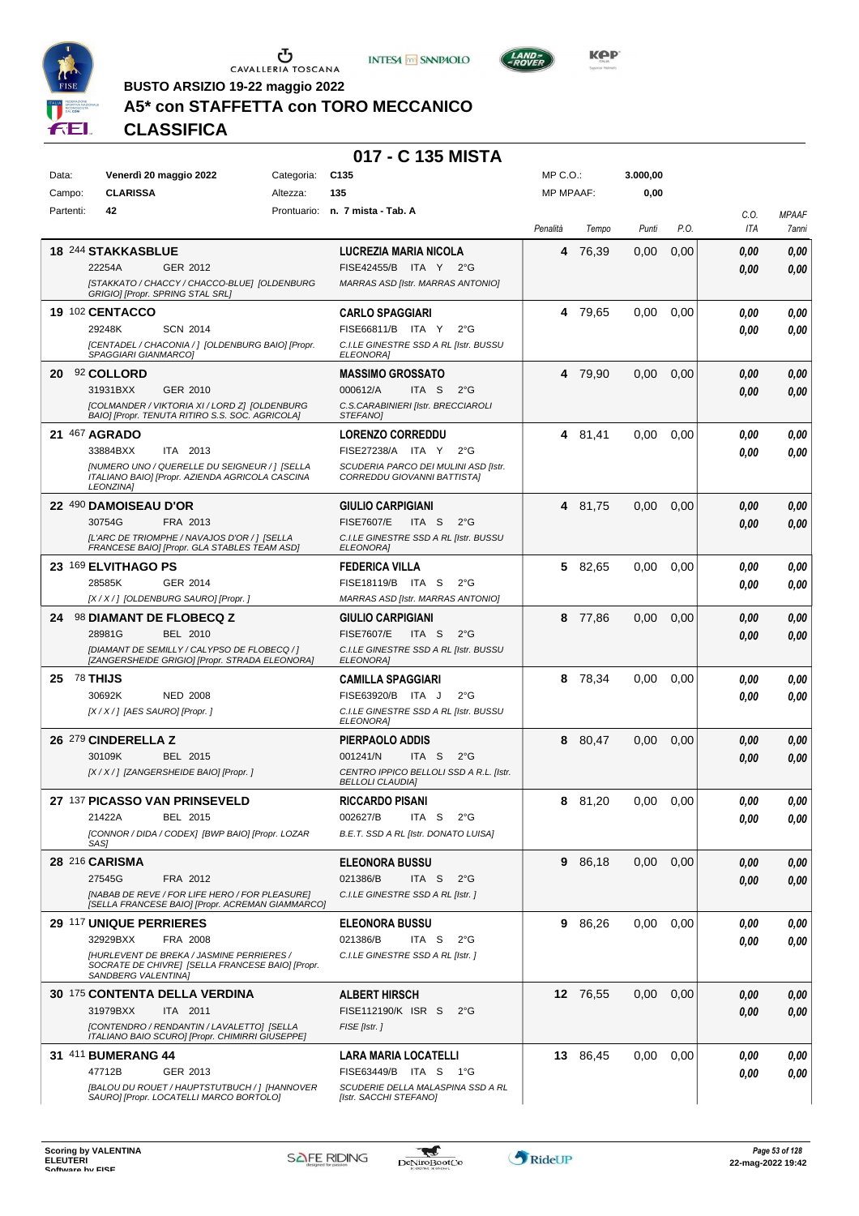





**BUSTO ARSIZIO 19-22 maggio 2022**

# **A5\* con STAFFETTA con TORO MECCANICO**

**CLASSIFICA**

#### **017 - C 135 MISTA**

| Data:           | Venerdì 20 maggio 2022<br>Categoria:                                                               | C <sub>135</sub>                                          | MP C. O.         |          | 3.000,00 |      |                |              |
|-----------------|----------------------------------------------------------------------------------------------------|-----------------------------------------------------------|------------------|----------|----------|------|----------------|--------------|
| Campo:          | <b>CLARISSA</b><br>Altezza:                                                                        | 135                                                       | <b>MP MPAAF:</b> |          | 0,00     |      |                |              |
| Partenti:       | 42                                                                                                 | Prontuario: n. 7 mista - Tab. A                           |                  |          |          |      | C.O.           | <b>MPAAF</b> |
|                 |                                                                                                    |                                                           | Penalità         | Tempo    | Punti    | P.O. | ITA            | 7anni        |
|                 |                                                                                                    |                                                           |                  |          |          |      |                |              |
|                 | 18 244 STAKKASBLUE                                                                                 | LUCREZIA MARIA NICOLA                                     | 4                | 76.39    | 0,00     | 0,00 | 0.00           | 0,00         |
|                 | 22254A<br>GER 2012                                                                                 | FISE42455/B ITA Y 2°G                                     |                  |          |          |      | 0,00           | 0,00         |
|                 | [STAKKATO / CHACCY / CHACCO-BLUE] [OLDENBURG<br>GRIGIO] [Propr. SPRING STAL SRL]                   | MARRAS ASD [Istr. MARRAS ANTONIO]                         |                  |          |          |      |                |              |
|                 |                                                                                                    |                                                           |                  |          |          |      |                |              |
|                 | 19 102 CENTACCO                                                                                    | <b>CARLO SPAGGIARI</b>                                    |                  | 4 79,65  | 0,00     | 0,00 | 0.00           | 0,00         |
|                 | 29248K<br><b>SCN 2014</b>                                                                          | FISE66811/B ITA Y<br>$2^{\circ}G$                         |                  |          |          |      | 0.00           | 0,00         |
|                 | [CENTADEL / CHACONIA / ] [OLDENBURG BAIO] [Propr.<br>SPAGGIARI GIANMARCOJ                          | C.I.LE GINESTRE SSD A RL [Istr. BUSSU<br><b>ELEONORAI</b> |                  |          |          |      |                |              |
| 20              | 92 COLLORD                                                                                         | <b>MASSIMO GROSSATO</b>                                   |                  | 4 79,90  | 0,00     | 0,00 | 0,00           | 0,00         |
|                 | GER 2010<br>31931BXX                                                                               | 000612/A<br>ITA S<br>$2^{\circ}$ G                        |                  |          |          |      |                |              |
|                 |                                                                                                    |                                                           |                  |          |          |      | 0,00           | 0,00         |
|                 | [COLMANDER / VIKTORIA XI / LORD Z] [OLDENBURG<br>BAIO] [Propr. TENUTA RITIRO S.S. SOC. AGRICOLA]   | C.S.CARABINIERI [Istr. BRECCIAROLI<br><b>STEFANOI</b>     |                  |          |          |      |                |              |
|                 | 21 467 AGRADO                                                                                      | <b>LORENZO CORREDDU</b>                                   | 4                | 81,41    | 0,00     | 0,00 | 0.00           | 0,00         |
|                 | 33884BXX<br>ITA 2013                                                                               | FISE27238/A ITA Y<br>$2^{\circ}G$                         |                  |          |          |      | 0.00           | 0,00         |
|                 | [NUMERO UNO / QUERELLE DU SEIGNEUR / ] [SELLA                                                      | SCUDERIA PARCO DEI MULINI ASD [Istr.                      |                  |          |          |      |                |              |
|                 | ITALIANO BAIO] [Propr. AZIENDA AGRICOLA CASCINA<br><b>LEONZINAI</b>                                | CORREDDU GIOVANNI BATTISTA]                               |                  |          |          |      |                |              |
|                 |                                                                                                    |                                                           |                  |          |          |      |                |              |
|                 | <b>22 490 DAMOISEAU D'OR</b>                                                                       | <b>GIULIO CARPIGIANI</b>                                  | 4                | 81,75    | 0,00     | 0,00 | 0.00           | 0,00         |
|                 | 30754G<br>FRA 2013                                                                                 | <b>FISE7607/E</b><br>ITA S<br>$2^{\circ}$ G               |                  |          |          |      | 0.00           | 0,00         |
|                 | [L'ARC DE TRIOMPHE / NAVAJOS D'OR / ] [SELLA<br>FRANCESE BAIO] [Propr. GLA STABLES TEAM ASD]       | C.I.LE GINESTRE SSD A RL [Istr. BUSSU<br><b>ELEONORA</b>  |                  |          |          |      |                |              |
|                 | 23 169 ELVITHAGO PS                                                                                | <b>FEDERICA VILLA</b>                                     | 5                | 82,65    | 0,00     | 0,00 | 0.00           | 0,00         |
|                 | 28585K<br>GER 2014                                                                                 | FISE18119/B ITA S<br>$2^{\circ}$ G                        |                  |          |          |      | 0.00           | $\it 0,00$   |
|                 | [X / X / ] [OLDENBURG SAURO] [Propr. ]                                                             | MARRAS ASD [Istr. MARRAS ANTONIO]                         |                  |          |          |      |                |              |
|                 |                                                                                                    |                                                           |                  |          |          |      |                |              |
| 24              | <b>98 DIAMANT DE FLOBECQ Z</b>                                                                     | <b>GIULIO CARPIGIANI</b>                                  |                  | 8 77,86  | 0,00     | 0,00 | 0,00           | 0,00         |
|                 | 28981G<br>BEL 2010                                                                                 | <b>FISE7607/E</b><br>ITA S<br>$2^{\circ}$ G               |                  |          |          |      | 0.00           | 0,00         |
|                 | [DIAMANT DE SEMILLY / CALYPSO DE FLOBECQ /]<br>[ZANGERSHEIDE GRIGIO] [Propr. STRADA ELEONORA]      | C.I.LE GINESTRE SSD A RL [Istr. BUSSU<br><b>ELEONORA</b>  |                  |          |          |      |                |              |
| $25$ $78$ THIJS |                                                                                                    | <b>CAMILLA SPAGGIARI</b>                                  | 8                | 78,34    | 0,00     | 0.00 | 0.00           | 0,00         |
|                 | 30692K<br><b>NED 2008</b>                                                                          | FISE63920/B ITA J<br>$2^{\circ}$ G                        |                  |          |          |      | 0.00           | 0,00         |
|                 | [X / X / ] [AES SAURO] [Propr. ]                                                                   | C.I.LE GINESTRE SSD A RL [Istr. BUSSU                     |                  |          |          |      |                |              |
|                 |                                                                                                    | <b>ELEONORA</b>                                           |                  |          |          |      |                |              |
|                 | 26 <sup>279</sup> CINDERELLA Z                                                                     | PIERPAOLO ADDIS                                           | 8                | 80,47    | 0,00     | 0,00 | 0.00           | 0,00         |
|                 | 30109K<br>BEL 2015                                                                                 | 001241/N<br>ITA S<br>$2^{\circ}$ G                        |                  |          |          |      | 0.00           | 0,00         |
|                 | [X / X / ] [ZANGERSHEIDE BAIO] [Propr. ]                                                           | CENTRO IPPICO BELLOLI SSD A R.L. [Istr.                   |                  |          |          |      |                |              |
|                 |                                                                                                    | <b>BELLOLI CLAUDIA]</b>                                   |                  |          |          |      |                |              |
|                 | 27 137 PICASSO VAN PRINSEVELD                                                                      | RICCARDO PISANI                                           | 8                | 81.20    | 0.00     | 0,00 | 0.00           | 0,00         |
|                 | 21422A<br>BEL 2015                                                                                 | 002627/B<br>$2^{\circ}$ G<br>ITA S                        |                  |          |          |      | $\pmb{0,\!00}$ | $\it 0,00$   |
|                 | [CONNOR / DIDA / CODEX] [BWP BAIO] [Propr. LOZAR<br>SAS1                                           | B.E.T. SSD A RL [Istr. DONATO LUISA]                      |                  |          |          |      |                |              |
|                 |                                                                                                    |                                                           |                  |          |          |      |                |              |
|                 | 28 216 CARISMA                                                                                     | <b>ELEONORA BUSSU</b>                                     |                  | 9 86,18  | 0,00     | 0,00 | 0,00           | 0,00         |
|                 | 27545G<br>FRA 2012                                                                                 | 021386/B<br>ITA S<br>$2^{\circ}G$                         |                  |          |          |      | 0,00           | 0,00         |
|                 | [NABAB DE REVE / FOR LIFE HERO / FOR PLEASURE]<br>[SELLA FRANCESE BAIO] [Propr. ACREMAN GIAMMARCO] | C.I.LE GINESTRE SSD A RL [Istr.]                          |                  |          |          |      |                |              |
|                 | 29 117 UNIQUE PERRIERES                                                                            | <b>ELEONORA BUSSU</b>                                     | 9                | 86,26    | 0,00     | 0,00 | 0,00           | 0,00         |
|                 | 32929BXX<br>FRA 2008                                                                               | 021386/B<br>ITA S<br>$2^{\circ}$ G                        |                  |          |          |      | 0,00           | 0,00         |
|                 | [HURLEVENT DE BREKA / JASMINE PERRIERES /                                                          | C.I.LE GINESTRE SSD A RL [Istr. ]                         |                  |          |          |      |                |              |
|                 | SOCRATE DE CHIVRE] [SELLA FRANCESE BAIO] [Propr.                                                   |                                                           |                  |          |          |      |                |              |
|                 | SANDBERG VALENTINA]                                                                                |                                                           |                  |          |          |      |                |              |
|                 | <b>30 175 CONTENTA DELLA VERDINA</b>                                                               | <b>ALBERT HIRSCH</b>                                      |                  | 12 76,55 | 0,00     | 0,00 | 0,00           | 0,00         |
|                 | 31979BXX<br>ITA 2011                                                                               | FISE112190/K ISR S<br>$2^{\circ}G$                        |                  |          |          |      | 0,00           | 0,00         |
|                 | [CONTENDRO / RENDANTIN / LAVALETTO] [SELLA<br>ITALIANO BAIO SCURO] [Propr. CHIMIRRI GIUSEPPE]      | FISE [Istr.]                                              |                  |          |          |      |                |              |
|                 | 31 411 BUMERANG 44                                                                                 | LARA MARIA LOCATELLI                                      |                  | 13 86,45 | 0,00     | 0,00 | 0.00           | 0,00         |
|                 | 47712B<br>GER 2013                                                                                 | FISE63449/B ITA S<br>− 1°G                                |                  |          |          |      |                |              |
|                 | [BALOU DU ROUET / HAUPTSTUTBUCH / ] [HANNOVER                                                      | SCUDERIE DELLA MALASPINA SSD A RL                         |                  |          |          |      | 0.00           | 0,00         |
|                 | SAURO] [Propr. LOCATELLI MARCO BORTOLO]                                                            | [Istr. SACCHI STEFANO]                                    |                  |          |          |      |                |              |
|                 |                                                                                                    |                                                           |                  |          |          |      |                |              |

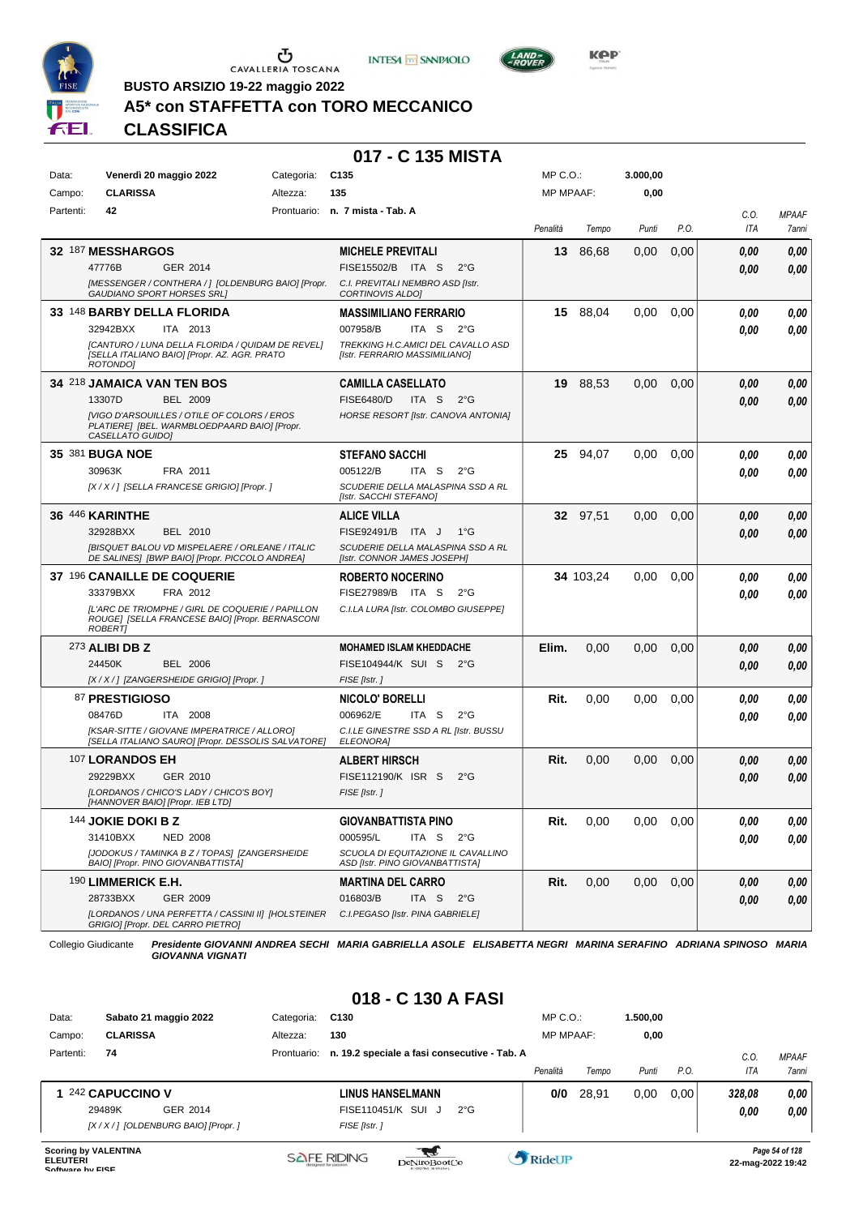

 $\sigma$  CAVALLERIA TOSCANA





**KPP** 

**BUSTO ARSIZIO 19-22 maggio 2022**

## **A5\* con STAFFETTA con TORO MECCANICO**

**CLASSIFICA**

#### **017 - C 135 MISTA**

| Data:     | Venerdì 20 maggio 2022                                                                                                | Categoria: | C <sub>135</sub>                                                        | MP C.O.:         |           | 3.000,00      |      |          |              |
|-----------|-----------------------------------------------------------------------------------------------------------------------|------------|-------------------------------------------------------------------------|------------------|-----------|---------------|------|----------|--------------|
| Campo:    | <b>CLARISSA</b>                                                                                                       | Altezza:   | 135                                                                     | <b>MP MPAAF:</b> |           | 0,00          |      |          |              |
| Partenti: | 42                                                                                                                    |            | Prontuario: n. 7 mista - Tab. A                                         |                  |           |               |      | C.O.     | <b>MPAAF</b> |
|           |                                                                                                                       |            |                                                                         | Penalità         | Tempo     | Punti         | P.O. | ITA      | 7anni        |
|           | 32 187 MESSHARGOS                                                                                                     |            | <b>MICHELE PREVITALI</b>                                                | 13               | 86,68     | 0,00          | 0,00 | 0.00     | 0,00         |
|           | 47776B<br>GER 2014                                                                                                    |            | FISE15502/B ITA S<br>$2^{\circ}$ G                                      |                  |           |               |      | 0,00     | 0,00         |
|           | [MESSENGER / CONTHERA / ] [OLDENBURG BAIO] [Propr.<br><b>GAUDIANO SPORT HORSES SRLI</b>                               |            | C.I. PREVITALI NEMBRO ASD [Istr.<br><b>CORTINOVIS ALDOI</b>             |                  |           |               |      |          |              |
|           | 33 148 BARBY DELLA FLORIDA                                                                                            |            | <b>MASSIMILIANO FERRARIO</b>                                            |                  | 15 88,04  | 0,00          | 0,00 | 0.00     | 0,00         |
|           | 32942BXX<br>ITA 2013                                                                                                  |            | 007958/B<br>ITA S<br>$2^{\circ}G$                                       |                  |           |               |      | 0.00     | 0,00         |
|           | [CANTURO / LUNA DELLA FLORIDA / QUIDAM DE REVEL]<br>[SELLA ITALIANO BAIO] [Propr. AZ. AGR. PRATO<br>ROTONDO]          |            | TREKKING H.C.AMICI DEL CAVALLO ASD<br>[Istr. FERRARIO MASSIMILIANO]     |                  |           |               |      |          |              |
|           | 34 218 JAMAICA VAN TEN BOS                                                                                            |            | <b>CAMILLA CASELLATO</b>                                                | 19               | 88,53     | 0,00          | 0,00 | 0.00     | 0,00         |
|           | 13307D<br><b>BEL 2009</b>                                                                                             |            | <b>FISE6480/D</b><br>ITA S<br>$2^{\circ}$ G                             |                  |           |               |      | 0.00     | 0,00         |
|           | [VIGO D'ARSOUILLES / OTILE OF COLORS / EROS<br>PLATIERE] [BEL. WARMBLOEDPAARD BAIO] [Propr.<br>CASELLATO GUIDO]       |            | HORSE RESORT [Istr. CANOVA ANTONIA]                                     |                  |           |               |      |          |              |
|           | 35 381 BUGA NOE                                                                                                       |            | <b>STEFANO SACCHI</b>                                                   |                  | 25 94,07  | 0,00          | 0,00 | 0,00     | 0,00         |
|           | 30963K<br>FRA 2011                                                                                                    |            | 005122/B<br>ITA S<br>$2^{\circ}$ G                                      |                  |           |               |      | 0,00     | 0,00         |
|           | [X / X / ] [SELLA FRANCESE GRIGIO] [Propr. ]                                                                          |            | SCUDERIE DELLA MALASPINA SSD A RL<br>[Istr. SACCHI STEFANO]             |                  |           |               |      |          |              |
|           | 36 446 KARINTHE                                                                                                       |            | <b>ALICE VILLA</b>                                                      |                  | 32 97.51  | 0,00          | 0,00 | 0,00     | 0,00         |
|           | 32928BXX<br><b>BEL 2010</b>                                                                                           |            | FISE92491/B ITA J<br>$1^{\circ}G$                                       |                  |           |               |      | 0.00     | 0,00         |
|           | [BISQUET BALOU VD MISPELAERE / ORLEANE / ITALIC<br>DE SALINES] [BWP BAIO] [Propr. PICCOLO ANDREA]                     |            | SCUDERIE DELLA MALASPINA SSD A RL<br><b>Ilstr. CONNOR JAMES JOSEPHI</b> |                  |           |               |      |          |              |
|           | 37 196 CANAILLE DE COQUERIE                                                                                           |            | <b>ROBERTO NOCERINO</b>                                                 |                  | 34 103,24 | 0,00          | 0,00 | 0,00     | 0,00         |
|           | 33379BXX<br>FRA 2012                                                                                                  |            | FISE27989/B ITA S<br>$2^{\circ}$ G                                      |                  |           |               |      | 0.00     | 0,00         |
|           | [L'ARC DE TRIOMPHE / GIRL DE COQUERIE / PAPILLON<br>ROUGE] [SELLA FRANCESE BAIO] [Propr. BERNASCONI<br><b>ROBERTI</b> |            | C.I.LA LURA [Istr. COLOMBO GIUSEPPE]                                    |                  |           |               |      |          |              |
|           | 273 ALIBI DB Z                                                                                                        |            | <b>MOHAMED ISLAM KHEDDACHE</b>                                          | Elim.            | 0,00      | 0,00          | 0,00 | 0,00     | 0,00         |
|           | 24450K<br><b>BEL 2006</b>                                                                                             |            | FISE104944/K SUI S<br>$2^{\circ}G$                                      |                  |           |               |      | 0.00     | 0,00         |
|           | [X / X / ] [ZANGERSHEIDE GRIGIO] [Propr. ]                                                                            |            | FISE [Istr.]                                                            |                  |           |               |      |          |              |
|           | 87 PRESTIGIOSO                                                                                                        |            | NICOLO' BORELLI                                                         | Rit.             | 0,00      | 0,00          | 0,00 | 0,00     | 0,00         |
|           | 08476D<br>ITA 2008                                                                                                    |            | 006962/E<br>ITA S<br>$2^{\circ}$ G                                      |                  |           |               |      | 0.00     | 0,00         |
|           | [KSAR-SITTE / GIOVANE IMPERATRICE / ALLORO]<br>[SELLA ITALIANO SAURO] [Propr. DESSOLIS SALVATORE]                     |            | C.I.LE GINESTRE SSD A RL [Istr. BUSSU<br><b>ELEONORA]</b>               |                  |           |               |      |          |              |
|           | 107 LORANDOS EH                                                                                                       |            | <b>ALBERT HIRSCH</b>                                                    | Rit.             | 0,00      | 0,00          | 0,00 | 0,00     | 0,00         |
|           | 29229BXX<br>GER 2010                                                                                                  |            | FISE112190/K ISR S<br>$2^{\circ}$ G                                     |                  |           |               |      | 0.00     | 0,00         |
|           | ILORDANOS / CHICO'S LADY / CHICO'S BOY]<br>[HANNOVER BAIO] [Propr. IEB LTD]                                           |            | FISE [Istr.]                                                            |                  |           |               |      |          |              |
|           | 144 JOKIE DOKI B Z                                                                                                    |            | <b>GIOVANBATTISTA PINO</b>                                              | Rit.             | 0,00      | $0,00$ $0,00$ |      | $0,\!00$ | 0,00         |
|           | 31410BXX<br><b>NED 2008</b>                                                                                           |            | 000595/L<br>ITA S $2^{\circ}$ G                                         |                  |           |               |      | 0.00     | 0,00         |
|           | [JODOKUS / TAMINKA B Z / TOPAS] [ZANGERSHEIDE<br>BAIO] [Propr. PINO GIOVANBATTISTA]                                   |            | SCUOLA DI EQUITAZIONE IL CAVALLINO<br>ASD [Istr. PINO GIOVANBATTISTA]   |                  |           |               |      |          |              |
|           | 190 LIMMERICK E.H.                                                                                                    |            | <b>MARTINA DEL CARRO</b>                                                | Rit.             | 0,00      | 0,00          | 0,00 | 0,00     | 0,00         |
|           | 28733BXX<br>GER 2009                                                                                                  |            | 016803/B<br>ITA S 2°G                                                   |                  |           |               |      | 0,00     | 0,00         |
|           | [LORDANOS / UNA PERFETTA / CASSINI II] [HOLSTEINER<br>GRIGIO] [Propr. DEL CARRO PIETRO]                               |            | C.I.PEGASO [Istr. PINA GABRIELE]                                        |                  |           |               |      |          |              |

Collegio Giudicante *Presidente GIOVANNI ANDREA SECHI MARIA GABRIELLA ASOLE ELISABETTA NEGRI MARINA SERAFINO ADRIANA SPINOSO MARIA GIOVANNA VIGNATI*

| Data:                                                              | Sabato 21 maggio 2022                 | Categoria:  | C <sub>130</sub>   |                                              | $MP C. O.$ :     |       | 1.500.00 |      |         |                                     |
|--------------------------------------------------------------------|---------------------------------------|-------------|--------------------|----------------------------------------------|------------------|-------|----------|------|---------|-------------------------------------|
| Campo:                                                             | <b>CLARISSA</b>                       | Altezza:    | 130                |                                              | <b>MP MPAAF:</b> |       | 0,00     |      |         |                                     |
| Partenti:                                                          | 74                                    | Prontuario: |                    | n. 19.2 speciale a fasi consecutive - Tab. A |                  |       |          |      | $C_{0}$ | <b>MPAAF</b>                        |
|                                                                    |                                       |             |                    |                                              | Penalità         | Tempo | Punti    | P.O. | ITA     | 7anni                               |
|                                                                    | 242 CAPUCCINO V                       |             |                    | <b>LINUS HANSELMANN</b>                      | 0/0              | 28,91 | 0.00     | 0.00 | 328,08  | 0,00                                |
|                                                                    | GER 2014<br>29489K                    |             |                    | FISE110451/K SUI J<br>$2^{\circ}G$           |                  |       |          |      | 0,00    | 0,00                                |
|                                                                    | [X / X / ] [OLDENBURG BAIO] [Propr. ] |             | FISE [Istr.]       |                                              |                  |       |          |      |         |                                     |
| <b>Scoring by VALENTINA</b><br><b>ELEUTERI</b><br>Coffware by EICE |                                       |             | <b>SAFE RIDING</b> | DeNiroBootCo<br><b>BIGHNYW, HEREBYI</b>      | RideUP           |       |          |      |         | Page 54 of 128<br>22-mag-2022 19:42 |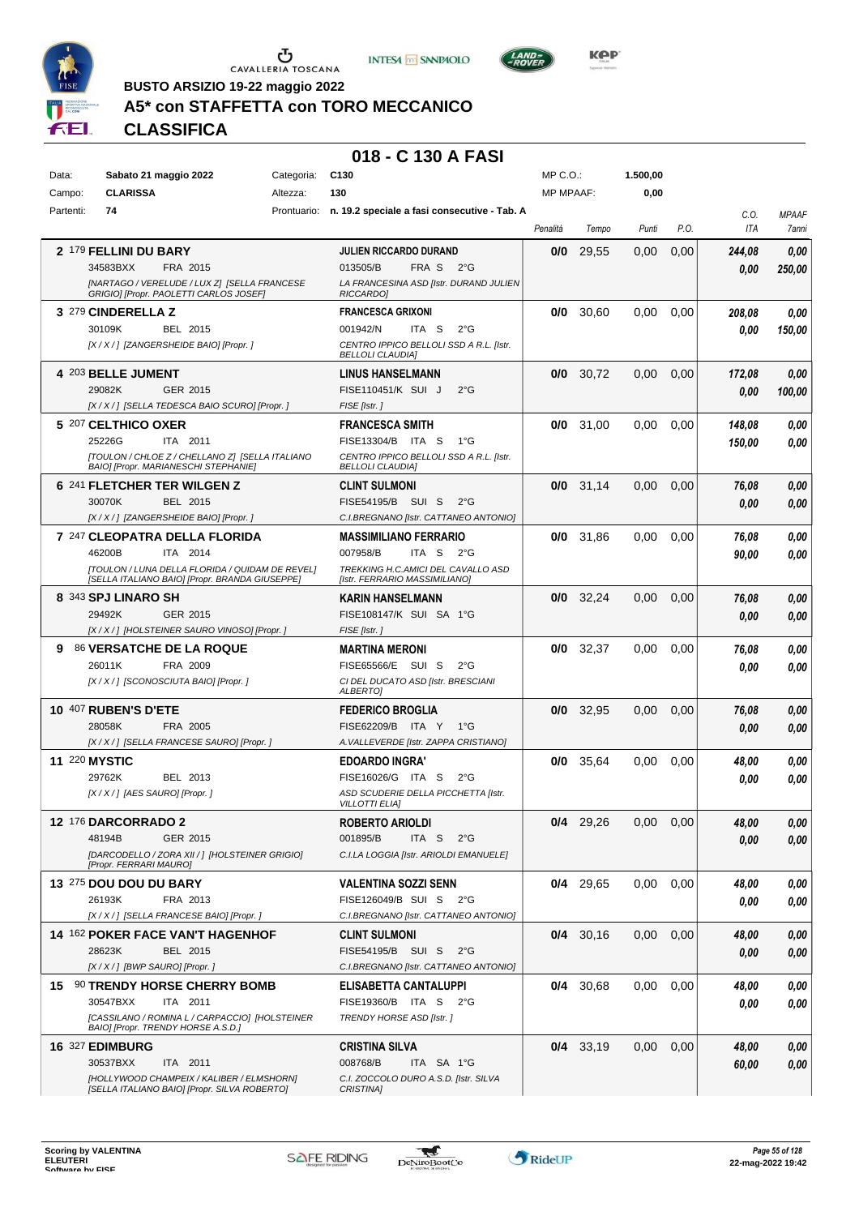





**Kep** 

**BUSTO ARSIZIO 19-22 maggio 2022**

## **A5\* con STAFFETTA con TORO MECCANICO**

**CLASSIFICA**

| Data:     | Sabato 21 maggio 2022                                                                     | Categoria: | C <sub>130</sub>                                                   | MP C.O.:         |             | 1.500,00 |      |        |              |
|-----------|-------------------------------------------------------------------------------------------|------------|--------------------------------------------------------------------|------------------|-------------|----------|------|--------|--------------|
| Campo:    | <b>CLARISSA</b>                                                                           | Altezza:   | 130                                                                | <b>MP MPAAF:</b> |             | 0,00     |      |        |              |
| Partenti: | 74                                                                                        |            | Prontuario: n. 19.2 speciale a fasi consecutive - Tab. A           |                  |             |          |      | C.0.   | <b>MPAAF</b> |
|           |                                                                                           |            |                                                                    | Penalità         | Tempo       | Punti    | P.O. | ITA    | 7anni        |
|           | 2 179 FELLINI DU BARY                                                                     |            | JULIEN RICCARDO DURAND                                             | 0/0              | 29,55       | 0,00     | 0,00 | 244,08 | 0,00         |
|           | 34583BXX<br>FRA 2015                                                                      |            | 013505/B<br>FRA S<br>$2^{\circ}G$                                  |                  |             |          |      |        |              |
|           | [NARTAGO / VERELUDE / LUX Z] [SELLA FRANCESE                                              |            | LA FRANCESINA ASD [Istr. DURAND JULIEN                             |                  |             |          |      | 0.00   | 250,00       |
|           | GRIGIO] [Propr. PAOLETTI CARLOS JOSEF]                                                    |            | RICCARDO]                                                          |                  |             |          |      |        |              |
|           | 3 279 CINDERELLA Z                                                                        |            | <b>FRANCESCA GRIXONI</b>                                           | 0/0              | 30,60       | 0,00     | 0,00 | 208,08 | 0,00         |
|           | BEL 2015<br>30109K                                                                        |            | 001942/N<br>ITA S<br>$2^{\circ}$ G                                 |                  |             |          |      | 0.00   | 150,00       |
|           | [X / X / ] [ZANGERSHEIDE BAIO] [Propr. ]                                                  |            | CENTRO IPPICO BELLOLI SSD A R.L. [Istr.                            |                  |             |          |      |        |              |
|           |                                                                                           |            | <b>BELLOLI CLAUDIA]</b>                                            |                  |             |          |      |        |              |
|           | 4 203 BELLE JUMENT                                                                        |            | <b>LINUS HANSELMANN</b>                                            | 0/0              | 30,72       | 0,00     | 0,00 | 172,08 | 0,00         |
|           | 29082K<br>GER 2015                                                                        |            | FISE110451/K SUI J<br>$2^{\circ}$ G                                |                  |             |          |      | 0.00   | 100,00       |
|           | [X / X / ] [SELLA TEDESCA BAIO SCURO] [Propr. ]                                           |            | FISE [Istr.]                                                       |                  |             |          |      |        |              |
|           | 5 207 CELTHICO OXER                                                                       |            | <b>FRANCESCA SMITH</b>                                             | 0/0              | 31,00       | 0.00     | 0,00 | 148,08 | 0,00         |
|           | 25226G<br>ITA 2011                                                                        |            | FISE13304/B ITA S<br>− 1°G                                         |                  |             |          |      | 150,00 | 0,00         |
|           | [TOULON / CHLOE Z / CHELLANO Z] [SELLA ITALIANO<br>BAIO] [Propr. MARIANESCHI STEPHANIE]   |            | CENTRO IPPICO BELLOLI SSD A R.L. [Istr.<br><b>BELLOLI CLAUDIA]</b> |                  |             |          |      |        |              |
|           | 6 241 FLETCHER TER WILGEN Z                                                               |            |                                                                    |                  | $0/0$ 31,14 | 0,00     |      |        |              |
|           | 30070K<br>BEL 2015                                                                        |            | <b>CLINT SULMONI</b><br>FISE54195/B SUI S<br>$2^{\circ}$ G         |                  |             |          | 0,00 | 76,08  | 0,00         |
|           | [X / X / ] [ZANGERSHEIDE BAIO] [Propr. ]                                                  |            | C.I.BREGNANO [Istr. CATTANEO ANTONIO]                              |                  |             |          |      | 0.00   | 0,00         |
|           |                                                                                           |            |                                                                    |                  |             |          |      |        |              |
|           | 7 247 CLEOPATRA DELLA FLORIDA<br>46200B<br>ITA 2014                                       |            | <b>MASSIMILIANO FERRARIO</b><br>007958/B<br>ITA S<br>$2^{\circ}$ G | 0/0              | 31,86       | 0,00     | 0,00 | 76,08  | 0,00         |
|           | [TOULON / LUNA DELLA FLORIDA / QUIDAM DE REVEL]                                           |            | TREKKING H.C.AMICI DEL CAVALLO ASD                                 |                  |             |          |      | 90,00  | 0,00         |
|           | [SELLA ITALIANO BAIO] [Propr. BRANDA GIUSEPPE]                                            |            | [Istr. FERRARIO MASSIMILIANO]                                      |                  |             |          |      |        |              |
|           | 8 343 SPJ LINARO SH                                                                       |            | KARIN HANSELMANN                                                   | 0/0              | 32,24       | 0,00     | 0,00 | 76,08  | 0,00         |
|           | 29492K<br>GER 2015                                                                        |            | FISE108147/K SUI SA 1°G                                            |                  |             |          |      | 0.00   | 0,00         |
|           | [X / X / ] [HOLSTEINER SAURO VINOSO] [Propr. ]                                            |            | FISE [Istr.]                                                       |                  |             |          |      |        |              |
| 9.        | 86 VERSATCHE DE LA ROQUE                                                                  |            | <b>MARTINA MERONI</b>                                              | 0/0              | 32,37       | 0,00     | 0,00 | 76,08  | 0,00         |
|           | FRA 2009<br>26011K                                                                        |            | FISE65566/E SUI S<br>$2^{\circ}G$                                  |                  |             |          |      | 0.00   | 0,00         |
|           | [X / X / ] [SCONOSCIUTA BAIO] [Propr. ]                                                   |            | CI DEL DUCATO ASD [Istr. BRESCIANI                                 |                  |             |          |      |        |              |
|           |                                                                                           |            | ALBERTO]                                                           |                  |             |          |      |        |              |
|           | <b>10 407 RUBEN'S D'ETE</b>                                                               |            | <b>FEDERICO BROGLIA</b>                                            | 0/0              | 32,95       | 0,00     | 0,00 | 76,08  | 0,00         |
|           | 28058K<br>FRA 2005                                                                        |            | FISE62209/B ITA Y<br>1°G                                           |                  |             |          |      | 0.00   | 0,00         |
|           | [X / X / ] [SELLA FRANCESE SAURO] [Propr. ]                                               |            | A. VALLEVERDE [Istr. ZAPPA CRISTIANO]                              |                  |             |          |      |        |              |
|           | <b>11 220 MYSTIC</b>                                                                      |            | EDOARDO INGRA'                                                     | 0/0              | 35,64       | 0,00     | 0,00 | 48,00  | 0,00         |
|           | 29762K<br>BEL 2013                                                                        |            | FISE16026/G ITA S<br>$2^{\circ}G$                                  |                  |             |          |      | 0.00   | 0,00         |
|           | [X / X / ] [AES SAURO] [Propr. ]                                                          |            | ASD SCUDERIE DELLA PICCHETTA [Istr.<br><b>VILLOTTI ELIAI</b>       |                  |             |          |      |        |              |
|           |                                                                                           |            |                                                                    |                  |             |          |      |        |              |
|           | <b>12 176 DARCORRADO 2</b><br>48194B                                                      |            | ROBERTO ARIOLDI<br>001895/B                                        |                  | $0/4$ 29,26 | 0,00     | 0,00 | 48,00  | 0,00         |
|           | GER 2015<br>[DARCODELLO / ZORA XII / ] [HOLSTEINER GRIGIO]                                |            | ITA S<br>$2^{\circ}$ G<br>C.I.LA LOGGIA [Istr. ARIOLDI EMANUELE]   |                  |             |          |      | 0.00   | 0,00         |
|           | [Propr. FERRARI MAURO]                                                                    |            |                                                                    |                  |             |          |      |        |              |
|           | 13 275 DOU DOU DU BARY                                                                    |            | <b>VALENTINA SOZZI SENN</b>                                        |                  | $0/4$ 29,65 | 0,00     | 0,00 | 48,00  | $\it 0,00$   |
|           | 26193K<br>FRA 2013                                                                        |            | FISE126049/B SUI S 2°G                                             |                  |             |          |      | 0.00   | 0,00         |
|           | [X / X / ] [SELLA FRANCESE BAIO] [Propr. ]                                                |            | C.I.BREGNANO [Istr. CATTANEO ANTONIO]                              |                  |             |          |      |        |              |
|           | <b>14 162 POKER FACE VAN'T HAGENHOF</b>                                                   |            | CLINT SULMONI                                                      |                  | $0/4$ 30,16 | 0,00     | 0,00 | 48,00  | 0,00         |
|           | 28623K<br>BEL 2015                                                                        |            | FISE54195/B SUI S<br>$2^{\circ}$ G                                 |                  |             |          |      | 0,00   | 0,00         |
|           | [X / X / ]  [BWP SAURO] [Propr. ]                                                         |            | C.I.BREGNANO [Istr. CATTANEO ANTONIO]                              |                  |             |          |      |        |              |
|           | 15 90 TRENDY HORSE CHERRY BOMB                                                            |            | ELISABETTA CANTALUPPI                                              |                  | 0/4 30,68   | 0,00     | 0,00 | 48,00  | 0,00         |
|           | 30547BXX<br>ITA 2011                                                                      |            | FISE19360/B ITA S 2°G                                              |                  |             |          |      | 0,00   | 0,00         |
|           | [CASSILANO / ROMINA L / CARPACCIO] [HOLSTEINER                                            |            | TRENDY HORSE ASD [Istr.]                                           |                  |             |          |      |        |              |
|           | BAIO] [Propr. TRENDY HORSE A.S.D.]                                                        |            |                                                                    |                  |             |          |      |        |              |
|           | 16 327 EDIMBURG                                                                           |            | CRISTINA SILVA                                                     |                  | $0/4$ 33,19 | 0,00     | 0,00 | 48,00  | 0,00         |
|           | 30537BXX<br>ITA 2011                                                                      |            | 008768/B<br>ITA SA 1°G                                             |                  |             |          |      | 60,00  | 0,00         |
|           | [HOLLYWOOD CHAMPEIX / KALIBER / ELMSHORN]<br>[SELLA ITALIANO BAIO] [Propr. SILVA ROBERTO] |            | C.I. ZOCCOLO DURO A.S.D. [Istr. SILVA<br>CRISTINA]                 |                  |             |          |      |        |              |
|           |                                                                                           |            |                                                                    |                  |             |          |      |        |              |

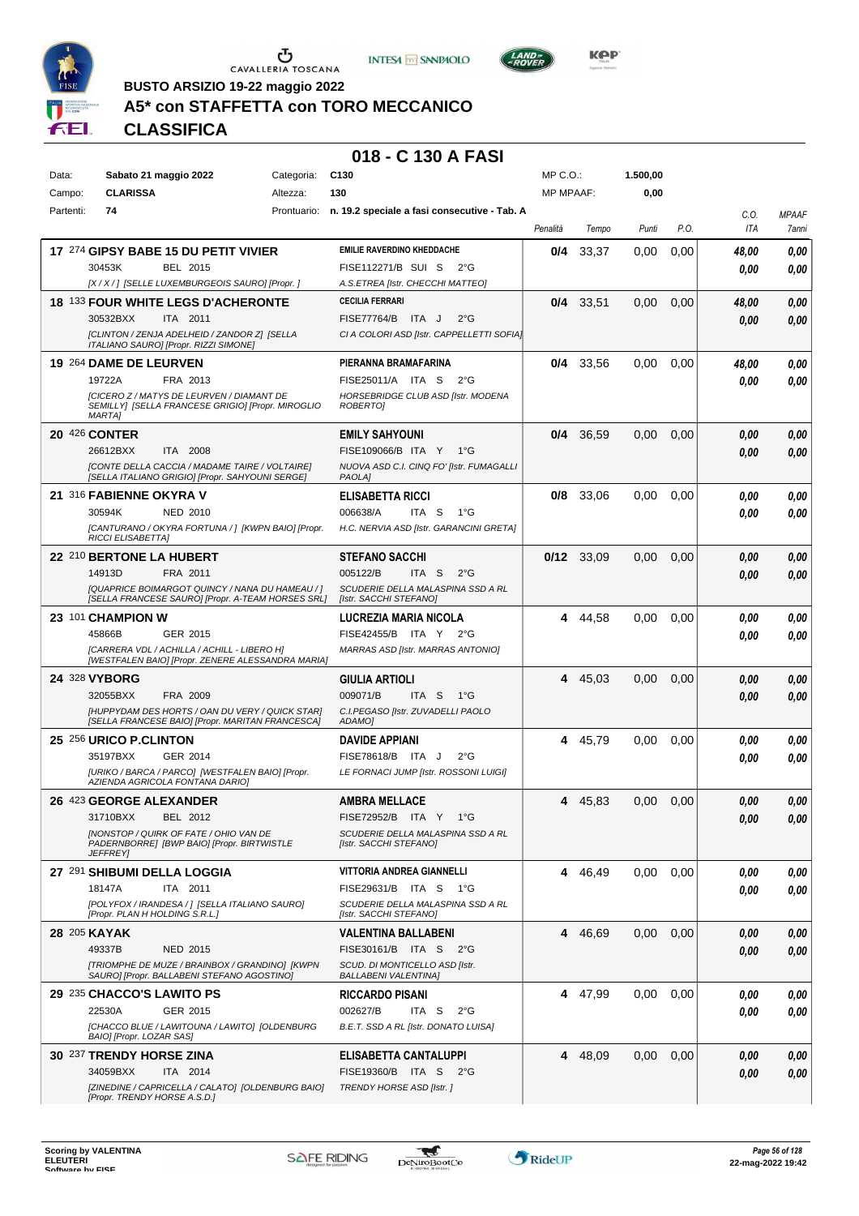





**Kep** 

**BUSTO ARSIZIO 19-22 maggio 2022**

## **A5\* con STAFFETTA con TORO MECCANICO**

**CLASSIFICA**

| Data:     | Sabato 21 maggio 2022                                                                                | Categoria: | C <sub>130</sub>                                                    | MP C.O.:         |              | 1.500,00 |      |       |                |
|-----------|------------------------------------------------------------------------------------------------------|------------|---------------------------------------------------------------------|------------------|--------------|----------|------|-------|----------------|
| Campo:    | <b>CLARISSA</b>                                                                                      | Altezza:   | 130                                                                 | <b>MP MPAAF:</b> |              | 0,00     |      |       |                |
| Partenti: | 74                                                                                                   |            | Prontuario: n. 19.2 speciale a fasi consecutive - Tab. A            |                  |              |          |      | C.0.  | <b>MPAAF</b>   |
|           |                                                                                                      |            |                                                                     | Penalità         | Tempo        | Punti    | P.O. | ITA   | 7anni          |
|           | 17 274 GIPSY BABE 15 DU PETIT VIVIER                                                                 |            | <b>EMILIE RAVERDINO KHEDDACHE</b>                                   | 0/4              | 33.37        | 0.00     | 0,00 | 48,00 | 0,00           |
|           | BEL 2015<br>30453K                                                                                   |            | FISE112271/B SUI S<br>$2^{\circ}$ G                                 |                  |              |          |      | 0.00  | 0,00           |
|           | [X / X / ] [SELLE LUXEMBURGEOIS SAURO] [Propr. ]                                                     |            | A.S.ETREA [Istr. CHECCHI MATTEO]                                    |                  |              |          |      |       |                |
|           | <b>18 133 FOUR WHITE LEGS D'ACHERONTE</b>                                                            |            | CECILIA FERRARI                                                     | 0/4              | 33,51        | 0,00     | 0,00 | 48,00 | 0,00           |
|           | 30532BXX<br>ITA 2011                                                                                 |            | $2^{\circ}$ G<br>FISE77764/B ITA J                                  |                  |              |          |      | 0.00  | 0,00           |
|           | [CLINTON / ZENJA ADELHEID / ZANDOR Z] [SELLA<br>ITALIANO SAURO] [Propr. RIZZI SIMONE]                |            | CI A COLORI ASD [Istr. CAPPELLETTI SOFIA]                           |                  |              |          |      |       |                |
|           | 19 264 DAME DE LEURVEN                                                                               |            | PIERANNA BRAMAFARINA                                                | 0/4              | 33,56        | 0,00     | 0,00 | 48,00 | 0,00           |
|           | 19722A<br>FRA 2013                                                                                   |            | FISE25011/A ITA S<br>$2^{\circ}$ G                                  |                  |              |          |      | 0.00  | 0,00           |
|           | [CICERO Z / MATYS DE LEURVEN / DIAMANT DE                                                            |            | HORSEBRIDGE CLUB ASD [Istr. MODENA                                  |                  |              |          |      |       |                |
|           | SEMILLY] [SELLA FRANCESE GRIGIO] [Propr. MIROGLIO<br><b>MARTA1</b>                                   |            | <b>ROBERTOI</b>                                                     |                  |              |          |      |       |                |
|           | <b>20 426 CONTER</b>                                                                                 |            | <b>EMILY SAHYOUNI</b>                                               | 0/4              | 36,59        | 0,00     | 0,00 | 0.00  | 0,00           |
|           | 26612BXX<br>ITA 2008                                                                                 |            | FISE109066/B ITA Y<br>1°G                                           |                  |              |          |      | 0.00  | 0,00           |
|           | <b>[CONTE DELLA CACCIA / MADAME TAIRE / VOLTAIRE]</b>                                                |            | NUOVA ASD C.I. CINQ FO' [Istr. FUMAGALLI                            |                  |              |          |      |       |                |
|           | [SELLA ITALIANO GRIGIO] [Propr. SAHYOUNI SERGE]                                                      |            | <b>PAOLAI</b>                                                       |                  |              |          |      |       |                |
|           | 21 316 FABIENNE OKYRA V                                                                              |            | <b>ELISABETTA RICCI</b>                                             | 0/8              | 33,06        | 0,00     | 0,00 | 0.00  | 0,00           |
|           | 30594K<br><b>NED 2010</b><br>[CANTURANO / OKYRA FORTUNA / ] [KWPN BAIO] [Propr.                      |            | 006638/A<br>ITA S<br>1°G<br>H.C. NERVIA ASD [Istr. GARANCINI GRETA] |                  |              |          |      | 0.00  | 0,00           |
|           | <b>RICCI ELISABETTA]</b>                                                                             |            |                                                                     |                  |              |          |      |       |                |
|           | 22 210 BERTONE LA HUBERT                                                                             |            | <b>STEFANO SACCHI</b>                                               |                  | $0/12$ 33,09 | 0,00     | 0,00 | 0.00  | 0,00           |
|           | 14913D<br>FRA 2011                                                                                   |            | 005122/B<br>ITA S<br>$2^{\circ}$ G                                  |                  |              |          |      | 0.00  | 0,00           |
|           | [QUAPRICE BOIMARGOT QUINCY / NANA DU HAMEAU / ]<br>[SELLA FRANCESE SAURO] [Propr. A-TEAM HORSES SRL] |            | SCUDERIE DELLA MALASPINA SSD A RL<br>[Istr. SACCHI STEFANO]         |                  |              |          |      |       |                |
|           | 23 101 CHAMPION W                                                                                    |            | LUCREZIA MARIA NICOLA                                               |                  | 4 44,58      | 0,00     | 0,00 | 0.00  | 0,00           |
|           | GER 2015<br>45866B                                                                                   |            | FISE42455/B ITA Y<br>$2^{\circ}G$                                   |                  |              |          |      | 0.00  | 0,00           |
|           | [CARRERA VDL / ACHILLA / ACHILL - LIBERO H]                                                          |            | MARRAS ASD [Istr. MARRAS ANTONIO]                                   |                  |              |          |      |       |                |
|           | [WESTFALEN BAIO] [Propr. ZENERE ALESSANDRA MARIA]                                                    |            |                                                                     |                  |              |          |      |       |                |
|           | 24 328 VYBORG                                                                                        |            | GIULIA ARTIOLI                                                      | 4                | 45,03        | 0,00     | 0,00 | 0,00  | 0,00           |
|           | FRA 2009<br>32055BXX                                                                                 |            | 009071/B<br>ITA S<br>1°G                                            |                  |              |          |      | 0.00  | 0,00           |
|           | [HUPPYDAM DES HORTS / OAN DU VERY / QUICK STAR]<br>[SELLA FRANCESE BAIO] [Propr. MARITAN FRANCESCA]  |            | C.I.PEGASO [Istr. ZUVADELLI PAOLO<br>ADAMO]                         |                  |              |          |      |       |                |
|           | 25 256 URICO P.CLINTON                                                                               |            | DAVIDE APPIANI                                                      | 4                | 45,79        | 0,00     | 0,00 | 0.00  | 0,00           |
|           | 35197BXX<br>GER 2014                                                                                 |            | FISE78618/B ITA J<br>$2^{\circ}$ G                                  |                  |              |          |      | 0.00  | 0,00           |
|           | [URIKO / BARCA / PARCO] [WESTFALEN BAIO] [Propr.<br>AZIENDA AGRICOLA FONTANA DARIO]                  |            | LE FORNACI JUMP [Istr. ROSSONI LUIGI]                               |                  |              |          |      |       |                |
|           | 26 423 GEORGE ALEXANDER                                                                              |            | <b>AMBRA MELLACE</b>                                                | 4                | 45,83        | 0,00     | 0,00 | 0.00  | 0,00           |
|           | 31710BXX BEL 2012                                                                                    |            | FISE72952/B ITA Y 1°G                                               |                  |              |          |      | 0,00  | $\pmb{0,\!00}$ |
|           | <b>INONSTOP / QUIRK OF FATE / OHIO VAN DE</b>                                                        |            | SCUDERIE DELLA MALASPINA SSD A RL                                   |                  |              |          |      |       |                |
|           | PADERNBORRE] [BWP BAIO] [Propr. BIRTWISTLE<br><b>JEFFREY</b>                                         |            | [Istr. SACCHI STEFANO]                                              |                  |              |          |      |       |                |
|           | 27 291 SHIBUMI DELLA LOGGIA                                                                          |            | VITTORIA ANDREA GIANNELLI                                           |                  | 4 46,49      | 0,00     | 0.00 | 0.00  | 0,00           |
|           | 18147A<br>ITA 2011                                                                                   |            | FISE29631/B ITA S<br>1°G                                            |                  |              |          |      | 0,00  | 0,00           |
|           | [POLYFOX / IRANDESA / ] [SELLA ITALIANO SAURO]                                                       |            | SCUDERIE DELLA MALASPINA SSD A RL                                   |                  |              |          |      |       |                |
|           | [Propr. PLAN H HOLDING S.R.L.]                                                                       |            | [Istr. SACCHI STEFANO]                                              |                  |              |          |      |       |                |
|           | 28 205 KAYAK                                                                                         |            | <b>VALENTINA BALLABENI</b>                                          |                  | 4 46,69      | 0,00     | 0,00 | 0,00  | 0,00           |
|           | 49337B<br><b>NED 2015</b><br>[TRIOMPHE DE MUZE / BRAINBOX / GRANDINO] [KWPN                          |            | FISE30161/B ITA S 2°G<br>SCUD. DI MONTICELLO ASD [Istr.             |                  |              |          |      | 0,00  | 0,00           |
|           | SAURO] [Propr. BALLABENI STEFANO AGOSTINO]                                                           |            | <b>BALLABENI VALENTINA]</b>                                         |                  |              |          |      |       |                |
|           | 29 235 CHACCO'S LAWITO PS                                                                            |            | RICCARDO PISANI                                                     |                  | 4 47,99      | 0,00     | 0,00 | 0.00  | 0,00           |
|           | 22530A<br>GER 2015                                                                                   |            | ITA S<br>002627/B<br>$2^{\circ}$ G                                  |                  |              |          |      | 0,00  | 0,00           |
|           | [CHACCO BLUE / LAWITOUNA / LAWITO] [OLDENBURG<br>BAIO] [Propr. LOZAR SAS]                            |            | B.E.T. SSD A RL [Istr. DONATO LUISA]                                |                  |              |          |      |       |                |
|           | 30 237 TRENDY HORSE ZINA                                                                             |            | ELISABETTA CANTALUPPI                                               |                  | 4 48,09      | 0,00     | 0,00 | 0,00  | 0,00           |
|           | 34059BXX<br>ITA 2014                                                                                 |            | FISE19360/B ITA S 2°G                                               |                  |              |          |      | 0,00  | 0,00           |
|           | [ZINEDINE / CAPRICELLA / CALATO] [OLDENBURG BAIO]<br>[Propr. TRENDY HORSE A.S.D.]                    |            | <b>TRENDY HORSE ASD [Istr. ]</b>                                    |                  |              |          |      |       |                |

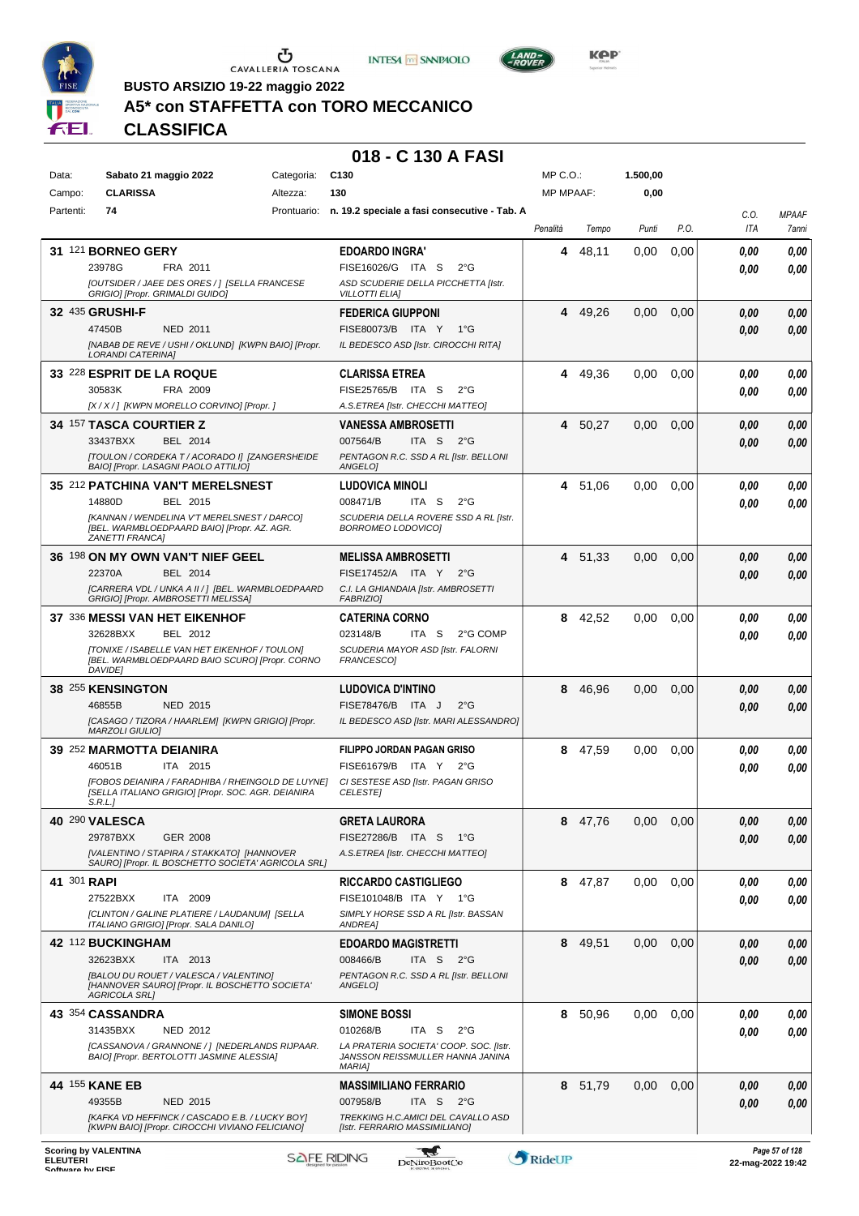





**Kep** 

**BUSTO ARSIZIO 19-22 maggio 2022**

# **A5\* con STAFFETTA con TORO MECCANICO**

**CLASSIFICA**

| Data:       | Sabato 21 maggio 2022                                                                                             | Categoria: | C <sub>130</sub>                                                            | $MP C. O.$ :     |         | 1.500,00 |      |              |                       |
|-------------|-------------------------------------------------------------------------------------------------------------------|------------|-----------------------------------------------------------------------------|------------------|---------|----------|------|--------------|-----------------------|
| Campo:      | <b>CLARISSA</b>                                                                                                   | Altezza:   | 130                                                                         | <b>MP MPAAF:</b> |         | 0,00     |      |              |                       |
| Partenti:   | 74                                                                                                                |            | Prontuario: n. 19.2 speciale a fasi consecutive - Tab. A                    | Penalità         | Tempo   | Punti    | P.O. | C.O.<br>ITA  | <b>MPAAF</b><br>7anni |
|             | 31 121 BORNEO GERY                                                                                                |            | <b>EDOARDO INGRA'</b>                                                       | 4                | 48,11   | 0.00     | 0,00 |              | 0,00                  |
|             | 23978G<br>FRA 2011                                                                                                |            | FISE16026/G ITA S<br>$2^{\circ}$ G                                          |                  |         |          |      | 0.00<br>0.00 | 0,00                  |
|             | [OUTSIDER / JAEE DES ORES / ] [SELLA FRANCESE<br>GRIGIO] [Propr. GRIMALDI GUIDO]                                  |            | ASD SCUDERIE DELLA PICCHETTA [Istr.<br><b>VILLOTTI ELIA]</b>                |                  |         |          |      |              |                       |
|             | 32 435 GRUSHI-F                                                                                                   |            | <b>FEDERICA GIUPPONI</b>                                                    | 4                | 49.26   | 0,00     | 0,00 | 0,00         | 0,00                  |
|             | 47450B<br><b>NED 2011</b>                                                                                         |            | FISE80073/B ITA Y<br>1°G                                                    |                  |         |          |      | 0.00         | 0,00                  |
|             | [NABAB DE REVE / USHI / OKLUND] [KWPN BAIO] [Propr.<br><b>LORANDI CATERINAI</b>                                   |            | IL BEDESCO ASD [Istr. CIROCCHI RITA]                                        |                  |         |          |      |              |                       |
|             | 33 228 ESPRIT DE LA ROQUE                                                                                         |            | <b>CLARISSA ETREA</b>                                                       | 4                | 49,36   | 0.00     | 0.00 | 0.00         | 0,00                  |
|             | 30583K<br>FRA 2009                                                                                                |            | FISE25765/B ITA S<br>$2^{\circ}G$                                           |                  |         |          |      | 0.00         | 0,00                  |
|             | [X / X / ] [KWPN MORELLO CORVINO] [Propr. ]                                                                       |            | A.S.ETREA [Istr. CHECCHI MATTEO]                                            |                  |         |          |      |              |                       |
|             | <b>34 157 TASCA COURTIER Z</b>                                                                                    |            | VANESSA AMBROSETTI                                                          | 4                | 50,27   | 0,00     | 0,00 | 0,00         | 0,00                  |
|             | 33437BXX<br>BEL 2014<br>[TOULON / CORDEKA T / ACORADO I] [ZANGERSHEIDE                                            |            | 007564/B<br>ITA S<br>$2^{\circ}G$<br>PENTAGON R.C. SSD A RL [Istr. BELLONI  |                  |         |          |      | 0,00         | 0,00                  |
|             | BAIO] [Propr. LASAGNI PAOLO ATTILIO]                                                                              |            | ANGELOI                                                                     |                  |         |          |      |              |                       |
|             | 35 212 PATCHINA VAN'T MERELSNEST                                                                                  |            | LUDOVICA MINOLI                                                             | 4                | 51,06   | 0.00     | 0.00 | 0.00         | 0,00                  |
|             | 14880D<br>BEL 2015<br>[KANNAN / WENDELINA V'T MERELSNEST / DARCO]                                                 |            | 008471/B<br>ITA S<br>$2^{\circ}$ G<br>SCUDERIA DELLA ROVERE SSD A RL [Istr. |                  |         |          |      | 0.00         | 0,00                  |
|             | [BEL. WARMBLOEDPAARD BAIO] [Propr. AZ. AGR.<br>ZANETTI FRANCA]                                                    |            | BORROMEO LODOVICOJ                                                          |                  |         |          |      |              |                       |
|             | 36 198 ON MY OWN VAN'T NIEF GEEL                                                                                  |            | <b>MELISSA AMBROSETTI</b>                                                   | 4                | 51,33   | 0,00     | 0,00 | 0,00         | 0,00                  |
|             | 22370A<br>BEL 2014                                                                                                |            | FISE17452/A ITA Y<br>$2^{\circ}G$                                           |                  |         |          |      | 0.00         | 0,00                  |
|             | [CARRERA VDL / UNKA A II / ] [BEL. WARMBLOEDPAARD<br>GRIGIO] [Propr. AMBROSETTI MELISSA]                          |            | C.I. LA GHIANDAIA [Istr. AMBROSETTI<br>FABRIZIO]                            |                  |         |          |      |              |                       |
|             | 37 336 MESSI VAN HET EIKENHOF                                                                                     |            | <b>CATERINA CORNO</b>                                                       | 8                | 42,52   | 0,00     | 0.00 | 0.00         | 0,00                  |
|             | 32628BXX<br>BEL 2012                                                                                              |            | 023148/B<br>ITA S<br>2°G COMP                                               |                  |         |          |      | 0.00         | 0.00                  |
|             | [TONIXE / ISABELLE VAN HET EIKENHOF / TOULON]<br>[BEL. WARMBLOEDPAARD BAIO SCURO] [Propr. CORNO<br><b>DAVIDEI</b> |            | SCUDERIA MAYOR ASD [Istr. FALORNI<br>FRANCESCO1                             |                  |         |          |      |              |                       |
|             | 38 255 KENSINGTON                                                                                                 |            | <b>LUDOVICA D'INTINO</b>                                                    | 8                | 46,96   | 0.00     | 0,00 | 0,00         | 0,00                  |
|             | 46855B<br><b>NED 2015</b>                                                                                         |            | $2^{\circ}$ G<br>FISE78476/B ITA J                                          |                  |         |          |      | 0,00         | 0,00                  |
|             | [CASAGO / TIZORA / HAARLEM] [KWPN GRIGIO] [Propr.<br>MARZOLI GIULIO]                                              |            | IL BEDESCO ASD [Istr. MARI ALESSANDRO]                                      |                  |         |          |      |              |                       |
|             | 39 252 MARMOTTA DEIANIRA                                                                                          |            | <b>FILIPPO JORDAN PAGAN GRISO</b>                                           | 8                | 47,59   | 0,00     | 0.00 | 0,00         | 0,00                  |
|             | 46051B<br>ITA 2015                                                                                                |            | FISE61679/B<br>ITA Y<br>$2^{\circ}G$                                        |                  |         |          |      | 0.00         | 0,00                  |
|             | [FOBOS DEIANIRA / FARADHIBA / RHEINGOLD DE LUYNE]<br>[SELLA ITALIANO GRIGIO] [Propr. SOC. AGR. DEIANIRA<br>S.R.L. |            | CI SESTESE ASD [Istr. PAGAN GRISO<br><b>CELESTE</b>                         |                  |         |          |      |              |                       |
|             | <b>40 290 VALESCA</b>                                                                                             |            | <b>GRETA LAURORA</b>                                                        | 8                | 47,76   | 0,00     | 0,00 | 0,00         | 0,00                  |
|             | 29787BXX<br><b>GER 2008</b>                                                                                       |            | FISE27286/B ITA S<br>1°G                                                    |                  |         |          |      | 0,00         | 0,00                  |
|             | [VALENTINO / STAPIRA / STAKKATO] [HANNOVER<br>SAURO] [Propr. IL BOSCHETTO SOCIETA' AGRICOLA SRL]                  |            | A.S.ETREA [Istr. CHECCHI MATTEO]                                            |                  |         |          |      |              |                       |
| 41 301 RAPI |                                                                                                                   |            | <b>RICCARDO CASTIGLIEGO</b>                                                 |                  | 8 47,87 | 0,00     | 0,00 | 0.00         | 0,00                  |
|             | 27522BXX<br>ITA 2009                                                                                              |            | FISE101048/B ITA Y 1°G                                                      |                  |         |          |      | 0.00         | 0,00                  |
|             | [CLINTON / GALINE PLATIERE / LAUDANUM] [SELLA<br>ITALIANO GRIGIO] [Propr. SALA DANILO]                            |            | SIMPLY HORSE SSD A RL [Istr. BASSAN<br>ANDREA]                              |                  |         |          |      |              |                       |
|             | 42 112 BUCKINGHAM                                                                                                 |            | <b>EDOARDO MAGISTRETTI</b>                                                  |                  | 8 49,51 | 0,00     | 0,00 | 0,00         | 0,00                  |
|             | 32623BXX<br>ITA 2013                                                                                              |            | ITA <sub>S</sub><br>008466/B<br>$2^{\circ}G$                                |                  |         |          |      | 0,00         | 0,00                  |
|             | [BALOU DU ROUET / VALESCA / VALENTINO]<br>[HANNOVER SAURO] [Propr. IL BOSCHETTO SOCIETA'<br><b>AGRICOLA SRL1</b>  |            | PENTAGON R.C. SSD A RL [Istr. BELLONI<br>ANGELO]                            |                  |         |          |      |              |                       |
|             | 43 354 CASSANDRA                                                                                                  |            | <b>SIMONE BOSSI</b>                                                         |                  | 8 50,96 | 0,00     | 0,00 | 0,00         | 0,00                  |
|             | 31435BXX<br>NED 2012                                                                                              |            | 010268/B<br>ITA S<br>$2^{\circ}$ G                                          |                  |         |          |      | 0.00         | 0,00                  |
|             | [CASSANOVA / GRANNONE / ] [NEDERLANDS RIJPAAR.<br>BAIO] [Propr. BERTOLOTTI JASMINE ALESSIA]                       |            | LA PRATERIA SOCIETA' COOP. SOC. [Istr.<br>JANSSON REISSMULLER HANNA JANINA  |                  |         |          |      |              |                       |
|             |                                                                                                                   |            | <b>MARIAI</b>                                                               |                  |         |          |      |              |                       |
|             | 44 155 KANE EB                                                                                                    |            | <b>MASSIMILIANO FERRARIO</b>                                                |                  | 8 51,79 | 0,00     | 0,00 | 0,00         | 0,00                  |
|             | 49355B<br><b>NED 2015</b>                                                                                         |            | 007958/B<br>ITA S 2°G                                                       |                  |         |          |      | 0.00         | 0,00                  |
|             | [KAFKA VD HEFFINCK / CASCADO E.B. / LUCKY BOY]<br>[KWPN BAIO] [Propr. CIROCCHI VIVIANO FELICIANO]                 |            | TREKKING H.C.AMICI DEL CAVALLO ASD<br>[Istr. FERRARIO MASSIMILIANO]         |                  |         |          |      |              |                       |
|             |                                                                                                                   |            |                                                                             |                  |         |          |      |              |                       |

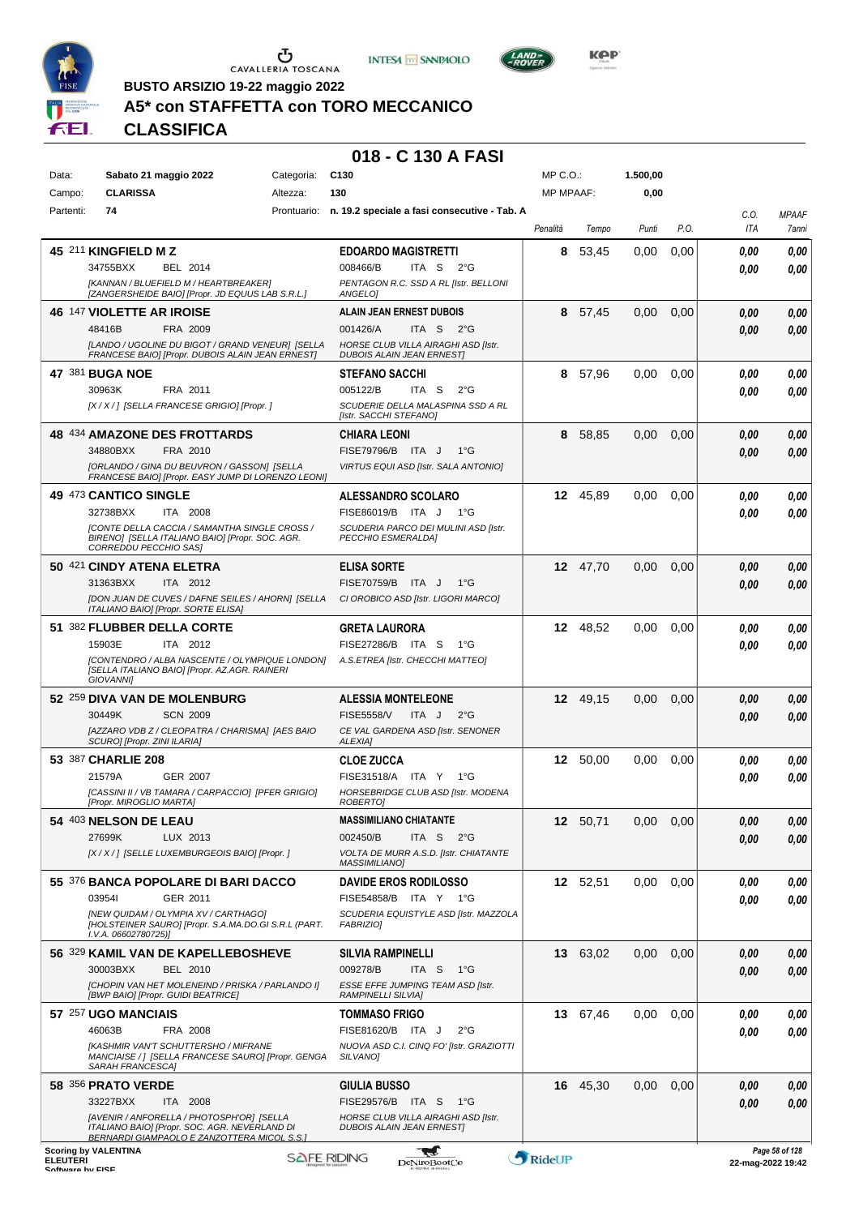





LAND<sub>7</sub>

**BUSTO ARSIZIO 19-22 maggio 2022**

# **A5\* con STAFFETTA con TORO MECCANICO**

**CLASSIFICA**

#### **018 - C 130 A FASI**

| Data:           | Sabato 21 maggio 2022                                                                        |                                                                                                   | Categoria: | C <sub>130</sub>                                                           | MP C.O.:         |          | 1.500,00 |      |                   |                |
|-----------------|----------------------------------------------------------------------------------------------|---------------------------------------------------------------------------------------------------|------------|----------------------------------------------------------------------------|------------------|----------|----------|------|-------------------|----------------|
| Campo:          | <b>CLARISSA</b>                                                                              |                                                                                                   | Altezza:   | 130                                                                        | <b>MP MPAAF:</b> |          | 0,00     |      |                   |                |
| Partenti:       | 74                                                                                           |                                                                                                   |            | Prontuario: n. 19.2 speciale a fasi consecutive - Tab. A                   |                  |          |          |      | C.O.              | <b>MPAAF</b>   |
|                 |                                                                                              |                                                                                                   |            |                                                                            | Penalità         | Tempo    | Punti    | P.O. | ITA               | 7anni          |
|                 | 45 211 KINGFIELD M Z                                                                         |                                                                                                   |            | <b>EDOARDO MAGISTRETTI</b>                                                 | 8                | 53,45    | 0.00     | 0,00 | 0.00              | 0,00           |
|                 | 34755BXX<br>[KANNAN / BLUEFIELD M / HEARTBREAKER]                                            | BEL 2014                                                                                          |            | ITA S<br>008466/B<br>$2^{\circ}G$<br>PENTAGON R.C. SSD A RL [Istr. BELLONI |                  |          |          |      | 0.00              | 0,00           |
|                 | [ZANGERSHEIDE BAIO] [Propr. JD EQUUS LAB S.R.L.]                                             |                                                                                                   |            | ANGELO]                                                                    |                  |          |          |      |                   |                |
|                 | <b>46 147 VIOLETTE AR IROISE</b>                                                             |                                                                                                   |            | <b>ALAIN JEAN ERNEST DUBOIS</b>                                            | 8                | 57,45    | 0,00     | 0,00 | 0,00              | 0,00           |
|                 | 48416B<br>[LANDO / UGOLINE DU BIGOT / GRAND VENEUR] [SELLA                                   | FRA 2009                                                                                          |            | 001426/A<br>ITA S<br>2°G<br>HORSE CLUB VILLA AIRAGHI ASD [Istr.            |                  |          |          |      | 0.00              | 0,00           |
|                 | FRANCESE BAIO] [Propr. DUBOIS ALAIN JEAN ERNEST]                                             |                                                                                                   |            | <b>DUBOIS ALAIN JEAN ERNEST]</b>                                           |                  |          |          |      |                   |                |
|                 | 47 381 BUGA NOE                                                                              |                                                                                                   |            | <b>STEFANO SACCHI</b>                                                      | 8                | 57,96    | 0,00     | 0,00 | 0.00              | 0,00           |
|                 | 30963K                                                                                       | FRA 2011                                                                                          |            | 005122/B<br>ITA S<br>$2^{\circ}$ G                                         |                  |          |          |      | 0.00              | 0.00           |
|                 | [X / X / ] [SELLA FRANCESE GRIGIO] [Propr. ]                                                 |                                                                                                   |            | SCUDERIE DELLA MALASPINA SSD A RL<br>[Istr. SACCHI STEFANO]                |                  |          |          |      |                   |                |
|                 | 48 434 AMAZONE DES FROTTARDS                                                                 |                                                                                                   |            | CHIARA LEONI                                                               | 8                | 58,85    | 0.00     | 0,00 | 0,00              | 0,00           |
|                 | 34880BXX                                                                                     | FRA 2010                                                                                          |            | FISE79796/B ITA J<br>$1^{\circ}G$                                          |                  |          |          |      | 0.00              | 0,00           |
|                 |                                                                                              | [ORLANDO / GINA DU BEUVRON / GASSON] [SELLA<br>FRANCESE BAIO] [Propr. EASY JUMP DI LORENZO LEONI] |            | VIRTUS EQUI ASD [Istr. SALA ANTONIO]                                       |                  |          |          |      |                   |                |
|                 | 49 473 CANTICO SINGLE                                                                        |                                                                                                   |            | <b>ALESSANDRO SCOLARO</b>                                                  |                  | 12 45.89 | 0,00     | 0.00 | 0.00              | 0,00           |
|                 | 32738BXX                                                                                     | ITA 2008                                                                                          |            | FISE86019/B ITA J<br>$1^{\circ}G$                                          |                  |          |          |      | 0.00              | 0,00           |
|                 |                                                                                              | [CONTE DELLA CACCIA / SAMANTHA SINGLE CROSS /<br>BIRENO] [SELLA ITALIANO BAIO] [Propr. SOC. AGR.  |            | SCUDERIA PARCO DEI MULINI ASD [Istr.<br>PECCHIO ESMERALDA]                 |                  |          |          |      |                   |                |
|                 | CORREDDU PECCHIO SAS]                                                                        |                                                                                                   |            |                                                                            |                  |          |          |      |                   |                |
|                 | 50 421 CINDY ATENA ELETRA<br>31363BXX                                                        | ITA 2012                                                                                          |            | <b>ELISA SORTE</b><br>FISE70759/B ITA J<br>$1^{\circ}G$                    | 12               | 47,70    | 0.00     | 0,00 | 0,00              | 0,00<br>0,00   |
|                 | [DON JUAN DE CUVES / DAFNE SEILES / AHORN] [SELLA                                            |                                                                                                   |            | CI OROBICO ASD [Istr. LIGORI MARCO]                                        |                  |          |          |      | 0,00              |                |
|                 | ITALIANO BAIO] [Propr. SORTE ELISA]                                                          |                                                                                                   |            |                                                                            |                  |          |          |      |                   |                |
|                 | 51 382 FLUBBER DELLA CORTE                                                                   |                                                                                                   |            | <b>GRETA LAURORA</b>                                                       | 12               | 48,52    | 0,00     | 0,00 | 0.00              | 0,00           |
|                 | 15903E<br>[CONTENDRO / ALBA NASCENTE / OLYMPIQUE LONDON]                                     | ITA 2012                                                                                          |            | FISE27286/B ITA S<br>1°G<br>A.S.ETREA [Istr. CHECCHI MATTEO]               |                  |          |          |      | 0.00              | 0,00           |
|                 | [SELLA ITALIANO BAIO] [Propr. AZ.AGR. RAINERI<br><b>GIOVANNII</b>                            |                                                                                                   |            |                                                                            |                  |          |          |      |                   |                |
|                 | 52 259 DIVA VAN DE MOLENBURG                                                                 |                                                                                                   |            | <b>ALESSIA MONTELEONE</b>                                                  |                  | 12 49,15 | 0,00     | 0,00 | 0,00              | 0,00           |
|                 | 30449K                                                                                       | <b>SCN 2009</b>                                                                                   |            | <b>FISE5558/V</b><br>ITA J<br>$2^{\circ}$ G                                |                  |          |          |      | 0,00              | 0,00           |
|                 | SCURO] [Propr. ZINI ILARIA]                                                                  | [AZZARO VDB Z / CLEOPATRA / CHARISMA] [AES BAIO                                                   |            | CE VAL GARDENA ASD [Istr. SENONER<br><b>ALEXIA]</b>                        |                  |          |          |      |                   |                |
|                 | 53 387 CHARLIE 208                                                                           |                                                                                                   |            | <b>CLOE ZUCCA</b>                                                          |                  | 12 50,00 | 0,00     | 0.00 | 0.00              | 0,00           |
|                 | 21579A                                                                                       | GER 2007                                                                                          |            | FISE31518/A ITA Y<br>1°G                                                   |                  |          |          |      | 0.00              | 0,00           |
|                 | [Propr. MIROGLIO MARTA]                                                                      | [CASSINI II / VB TAMARA / CARPACCIO] [PFER GRIGIO]                                                |            | HORSEBRIDGE CLUB ASD [Istr. MODENA<br><b>ROBERTOI</b>                      |                  |          |          |      |                   |                |
|                 | 54 403 NELSON DE LEAU                                                                        |                                                                                                   |            | <b>MASSIMILIANO CHIATANTE</b>                                              |                  | 12 50,71 | 0,00     | 0,00 | 0,00              | 0,00           |
|                 | 27699K                                                                                       | LUX 2013                                                                                          |            | 002450/B<br>ITA S<br>$2^{\circ}G$                                          |                  |          |          |      | 0.00              | 0,00           |
|                 | [X / X / ] [SELLE LUXEMBURGEOIS BAIO] [Propr. ]                                              |                                                                                                   |            | VOLTA DE MURR A.S.D. [Istr. CHIATANTE<br><b>MASSIMILIANO]</b>              |                  |          |          |      |                   |                |
|                 | 55 376 BANCA POPOLARE DI BARI DACCO                                                          |                                                                                                   |            | <b>DAVIDE EROS RODILOSSO</b>                                               |                  | 12 52,51 | 0,00     | 0,00 | 0,00              | 0,00           |
|                 | 039541                                                                                       | GER 2011                                                                                          |            | FISE54858/B ITA Y 1°G                                                      |                  |          |          |      | 0.00              | 0,00           |
|                 | [NEW QUIDAM / OLYMPIA XV / CARTHAGO]<br>[HOLSTEINER SAURO] [Propr. S.A.MA.DO.GI S.R.L (PART. |                                                                                                   |            | SCUDERIA EQUISTYLE ASD [Istr. MAZZOLA<br><b>FABRIZIO]</b>                  |                  |          |          |      |                   |                |
|                 | I.V.A. 06602780725)]                                                                         |                                                                                                   |            |                                                                            |                  |          |          |      |                   |                |
|                 | 56 329 KAMIL VAN DE KAPELLEBOSHEVE                                                           |                                                                                                   |            | <b>SILVIA RAMPINELLI</b>                                                   |                  | 13 63,02 | 0,00     | 0,00 | 0,00              | 0,00           |
|                 | 30003BXX                                                                                     | BEL 2010                                                                                          |            | 009278/B<br>ITA S<br>1°G                                                   |                  |          |          |      | 0.00              | 0,00           |
|                 | [CHOPIN VAN HET MOLENEIND / PRISKA / PARLANDO I]<br>[BWP BAIO] [Propr. GUIDI BEATRICE]       |                                                                                                   |            | ESSE EFFE JUMPING TEAM ASD [Istr.<br>RAMPINELLI SILVIA]                    |                  |          |          |      |                   |                |
|                 | 57 257 UGO MANCIAIS                                                                          |                                                                                                   |            | <b>TOMMASO FRIGO</b>                                                       |                  | 13 67,46 | 0,00     | 0,00 | 0.00              | 0,00           |
|                 | 46063B                                                                                       | FRA 2008                                                                                          |            | FISE81620/B ITA J<br>$2^{\circ}$ G                                         |                  |          |          |      | 0.00              | 0,00           |
|                 |                                                                                              | [KASHMIR VAN'T SCHUTTERSHO / MIFRANE<br>MANCIAISE / ] [SELLA FRANCESE SAURO] [Propr. GENGA        |            | NUOVA ASD C.I. CINQ FO' [Istr. GRAZIOTTI<br>SILVANO]                       |                  |          |          |      |                   |                |
|                 | SARAH FRANCESCA]                                                                             |                                                                                                   |            |                                                                            |                  |          |          |      |                   |                |
|                 | 58 356 PRATO VERDE<br>33227BXX                                                               | ITA 2008                                                                                          |            | <b>GIULIA BUSSO</b><br>FISE29576/B ITA S<br>1°G                            |                  | 16 45,30 | 0,00     | 0,00 | 0,00<br>0,00      | 0,00<br>0,00   |
|                 | [AVENIR / ANFORELLA / PHOTOSPH'OR] [SELLA                                                    |                                                                                                   |            | HORSE CLUB VILLA AIRAGHI ASD [Istr.                                        |                  |          |          |      |                   |                |
|                 | ITALIANO BAIO] [Propr. SOC. AGR. NEVERLAND DI                                                | BERNARDI GIAMPAOLO E ZANZOTTERA MICOL S.S.]                                                       |            | <b>DUBOIS ALAIN JEAN ERNESTI</b>                                           |                  |          |          |      |                   |                |
| <b>ELEUTERI</b> | <b>Scoring by VALENTINA</b>                                                                  |                                                                                                   |            | <b>SAFE RIDING</b><br><b>DeNiroBootCo</b>                                  | RideUP           |          |          |      | 22-mag-2022 19:42 | Page 58 of 128 |

ELEUTERI SOFTWARE SOFTWARE DENITOBOOTCO **DENITOBOOTCO DENITOBOOTCO 22-mag-2022 19:42**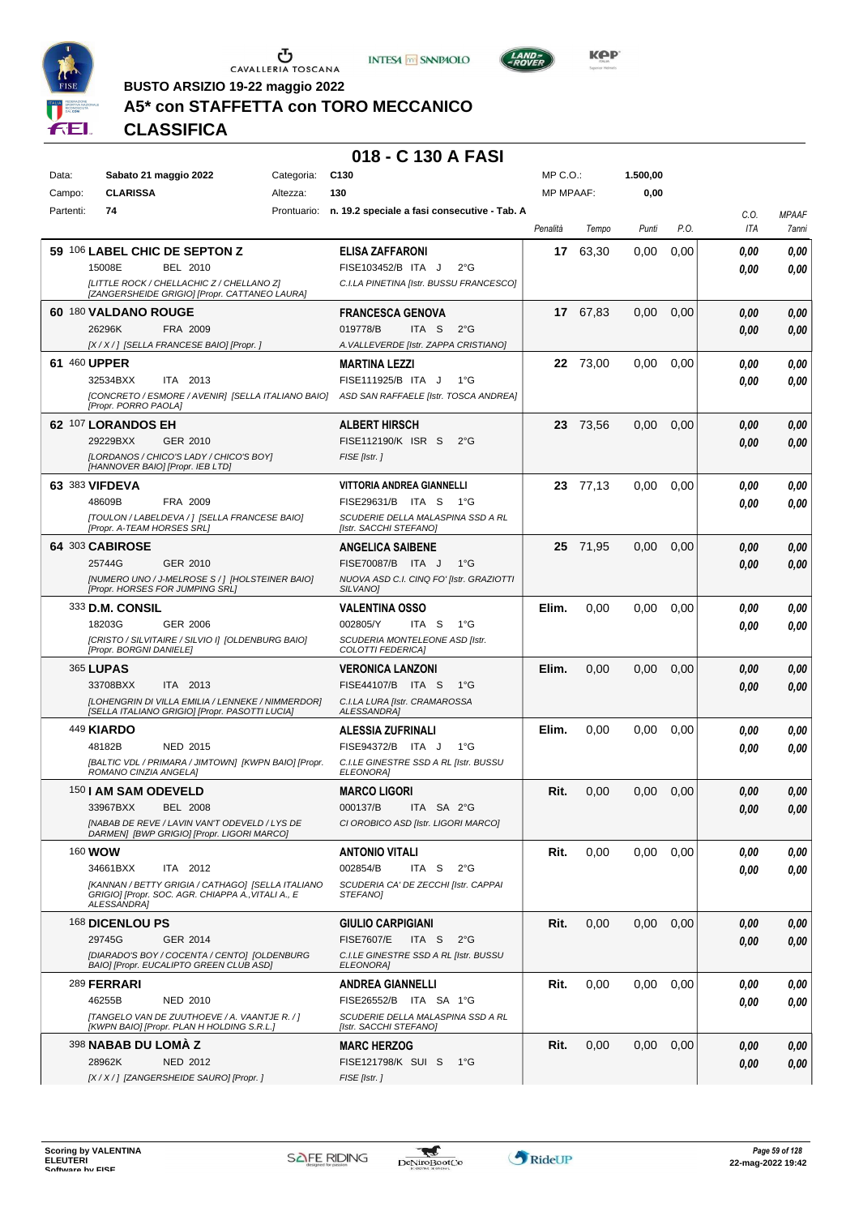





**Kep** 

**BUSTO ARSIZIO 19-22 maggio 2022**

# **A5\* con STAFFETTA con TORO MECCANICO**

**CLASSIFICA**

| Data:     |                            | Sabato 21 maggio 2022                                                                               | Categoria: | C <sub>130</sub>                                            | $MP C. O.$ :     |          | 1.500,00 |      |      |              |
|-----------|----------------------------|-----------------------------------------------------------------------------------------------------|------------|-------------------------------------------------------------|------------------|----------|----------|------|------|--------------|
| Campo:    | <b>CLARISSA</b>            |                                                                                                     | Altezza:   | 130                                                         | <b>MP MPAAF:</b> |          | 0,00     |      |      |              |
| Partenti: | 74                         |                                                                                                     |            | Prontuario: n. 19.2 speciale a fasi consecutive - Tab. A    |                  |          |          |      | C.O. | <b>MPAAF</b> |
|           |                            |                                                                                                     |            |                                                             | Penalità         | Tempo    | Punti    | P.O. | ITA  | 7anni        |
|           |                            | 59 106 LABEL CHIC DE SEPTON Z                                                                       |            | <b>ELISA ZAFFARONI</b>                                      | 17               | 63,30    | 0.00     | 0,00 |      |              |
|           | 15008E                     | BEL 2010                                                                                            |            | FISE103452/B ITA J<br>$2^{\circ}$ G                         |                  |          |          |      | 0.00 | 0,00         |
|           |                            |                                                                                                     |            |                                                             |                  |          |          |      | 0.00 | 0,00         |
|           |                            | [LITTLE ROCK / CHELLACHIC Z / CHELLANO Z]<br>[ZANGERSHEIDE GRIGIO] [Propr. CATTANEO LAURA]          |            | C.I.LA PINETINA [Istr. BUSSU FRANCESCO]                     |                  |          |          |      |      |              |
|           | 60 180 VALDANO ROUGE       |                                                                                                     |            | <b>FRANCESCA GENOVA</b>                                     |                  | 17 67.83 | 0,00     | 0,00 | 0.00 | 0,00         |
|           | 26296K                     | FRA 2009                                                                                            |            | 019778/B<br>ITA <sub>S</sub><br>$2^{\circ}$ G               |                  |          |          |      | 0.00 | 0,00         |
|           |                            | [X / X / ] [SELLA FRANCESE BAIO] [Propr. ]                                                          |            | A. VALLEVERDE [Istr. ZAPPA CRISTIANO]                       |                  |          |          |      |      |              |
|           | 61 460 UPPER               |                                                                                                     |            | <b>MARTINA LEZZI</b>                                        | 22               | 73,00    | 0.00     | 0,00 | 0.00 | 0,00         |
|           | 32534BXX                   | ITA 2013                                                                                            |            | FISE111925/B ITA J<br>$1^{\circ}G$                          |                  |          |          |      | 0.00 | 0.00         |
|           |                            | [CONCRETO / ESMORE / AVENIR] [SELLA ITALIANO BAIO]                                                  |            | ASD SAN RAFFAELE [Istr. TOSCA ANDREA]                       |                  |          |          |      |      |              |
|           | [Propr. PORRO PAOLA]       |                                                                                                     |            |                                                             |                  |          |          |      |      |              |
|           | 62 107 LORANDOS EH         |                                                                                                     |            | <b>ALBERT HIRSCH</b>                                        | 23               | 73,56    | 0,00     | 0,00 | 0.00 | 0,00         |
|           | 29229BXX                   | GER 2010                                                                                            |            | FISE112190/K ISR S<br>$2^{\circ}$ G                         |                  |          |          |      | 0.00 | 0,00         |
|           |                            | ILORDANOS / CHICO'S LADY / CHICO'S BOY]                                                             |            | FISE [Istr.]                                                |                  |          |          |      |      |              |
|           |                            | [HANNOVER BAIO] [Propr. IEB LTD]                                                                    |            |                                                             |                  |          |          |      |      |              |
|           | 63 383 VIFDEVA             |                                                                                                     |            | VITTORIA ANDREA GIANNELLI                                   |                  | 23 77,13 | 0.00     | 0,00 | 0.00 | 0,00         |
|           | 48609B                     | FRA 2009                                                                                            |            | FISE29631/B ITA S<br>1°G                                    |                  |          |          |      | 0.00 | 0.00         |
|           | [Propr. A-TEAM HORSES SRL] | [TOULON / LABELDEVA / ] [SELLA FRANCESE BAIO]                                                       |            | SCUDERIE DELLA MALASPINA SSD A RL<br>[Istr. SACCHI STEFANO] |                  |          |          |      |      |              |
|           | 64 303 CABIROSE            |                                                                                                     |            | <b>ANGELICA SAIBENE</b>                                     |                  | 25 71,95 | 0,00     | 0,00 | 0.00 | 0,00         |
|           | 25744G                     | GER 2010                                                                                            |            | FISE70087/B ITA J<br>$1^{\circ}G$                           |                  |          |          |      | 0.00 | 0,00         |
|           |                            | INUMERO UNO / J-MELROSE S / 1 IHOLSTEINER BAIO]                                                     |            | NUOVA ASD C.I. CINQ FO' [Istr. GRAZIOTTI                    |                  |          |          |      |      |              |
|           |                            | [Propr. HORSES FOR JUMPING SRL]                                                                     |            | SILVANO]                                                    |                  |          |          |      |      |              |
|           | 333 D.M. CONSIL            |                                                                                                     |            | <b>VALENTINA OSSO</b>                                       | Elim.            | 0,00     | 0,00     | 0,00 | 0.00 | 0,00         |
|           | 18203G                     | <b>GER 2006</b>                                                                                     |            | 002805/Y<br>ITA S<br>1°G                                    |                  |          |          |      | 0.00 | 0.00         |
|           |                            | [CRISTO / SILVITAIRE / SILVIO I] [OLDENBURG BAIO]                                                   |            | SCUDERIA MONTELEONE ASD [Istr.                              |                  |          |          |      |      |              |
|           | [Propr. BORGNI DANIELE]    |                                                                                                     |            | COLOTTI FEDERICA]                                           |                  |          |          |      |      |              |
|           | 365 LUPAS                  |                                                                                                     |            | <b>VERONICA LANZONI</b>                                     | Elim.            | 0,00     | 0,00     | 0,00 | 0.00 | 0,00         |
|           | 33708BXX                   | ITA 2013                                                                                            |            | FISE44107/B ITA S<br>$1^{\circ}G$                           |                  |          |          |      | 0.00 | 0,00         |
|           |                            | [LOHENGRIN DI VILLA EMILIA / LENNEKE / NIMMERDOR]<br>[SELLA ITALIANO GRIGIO] [Propr. PASOTTI LUCIA] |            | C.I.LA LURA [Istr. CRAMAROSSA<br><b>ALESSANDRA]</b>         |                  |          |          |      |      |              |
|           | 449 <b>KIARDO</b>          |                                                                                                     |            | <b>ALESSIA ZUFRINALI</b>                                    | Elim.            | 0,00     | 0.00     | 0,00 | 0.00 | 0,00         |
|           | 48182B                     | <b>NED 2015</b>                                                                                     |            | FISE94372/B ITA J<br>1°G                                    |                  |          |          |      | 0.00 | 0.00         |
|           |                            | [BALTIC VDL / PRIMARA / JIMTOWN] [KWPN BAIO] [Propr.                                                |            | C.I.LE GINESTRE SSD A RL [Istr. BUSSU                       |                  |          |          |      |      |              |
|           | ROMANO CINZIA ANGELA]      |                                                                                                     |            | ELEONORA]                                                   |                  |          |          |      |      |              |
|           | 150   AM SAM ODEVELD       |                                                                                                     |            | <b>MARCO LIGORI</b>                                         | Rit.             | 0,00     | 0,00     | 0,00 | 0.00 | 0,00         |
|           | 33967BXX                   | <b>BEL 2008</b>                                                                                     |            | 000137/B<br>ITA SA 2°G                                      |                  |          |          |      | 0.00 | 0.00         |
|           |                            | [NABAB DE REVE / LAVIN VAN'T ODEVELD / LYS DE<br>DARMEN] [BWP GRIGIO] [Propr. LIGORI MARCO]         |            | CI OROBICO ASD [Istr. LIGORI MARCO]                         |                  |          |          |      |      |              |
|           |                            |                                                                                                     |            |                                                             |                  |          |          |      |      |              |
|           | 160 <b>WOW</b>             |                                                                                                     |            | <b>ANTONIO VITALI</b>                                       | Rit.             | 0,00     | 0.00     | 0,00 | 0.00 | 0,00         |
|           | 34661BXX                   | ITA 2012<br>[KANNAN / BETTY GRIGIA / CATHAGO] [SELLA ITALIANO                                       |            | 002854/B<br>ITA S<br>$2^{\circ}$ G                          |                  |          |          |      | 0.00 | 0.00         |
|           | <b>ALESSANDRA1</b>         | GRIGIO] [Propr. SOC. AGR. CHIAPPA A., VITALI A., E                                                  |            | SCUDERIA CA' DE ZECCHI [Istr. CAPPAI<br>STEFANO]            |                  |          |          |      |      |              |
|           | 168 DICENLOU PS            |                                                                                                     |            | <b>GIULIO CARPIGIANI</b>                                    | Rit.             | 0,00     | 0,00     | 0,00 | 0.00 | 0,00         |
|           | 29745G                     | GER 2014                                                                                            |            | <b>FISE7607/E</b><br>ITA S<br>$2^{\circ}G$                  |                  |          |          |      | 0.00 | 0,00         |
|           |                            | [DIARADO'S BOY / COCENTA / CENTO] [OLDENBURG<br>BAIO] [Propr. EUCALIPTO GREEN CLUB ASD]             |            | C.I.LE GINESTRE SSD A RL [Istr. BUSSU<br>ELEONORA]          |                  |          |          |      |      |              |
|           | 289 FERRARI                |                                                                                                     |            | <b>ANDREA GIANNELLI</b>                                     | Rit.             | 0,00     | 0,00     | 0,00 | 0.00 | 0,00         |
|           | 46255B                     | NED 2010                                                                                            |            | FISE26552/B ITA SA 1°G                                      |                  |          |          |      | 0.00 | 0,00         |
|           |                            | [TANGELO VAN DE ZUUTHOEVE / A. VAANTJE R. / ]                                                       |            | SCUDERIE DELLA MALASPINA SSD A RL                           |                  |          |          |      |      |              |
|           |                            | [KWPN BAIO] [Propr. PLAN H HOLDING S.R.L.]                                                          |            | [Istr. SACCHI STEFANO]                                      |                  |          |          |      |      |              |
|           | 398 NABAB DU LOMA Z        |                                                                                                     |            | <b>MARC HERZOG</b>                                          | Rit.             | 0,00     | 0,00     | 0,00 | 0.00 | 0,00         |
|           | 28962K                     | <b>NED 2012</b>                                                                                     |            | FISE121798/K SUI S<br>1°G                                   |                  |          |          |      | 0.00 | 0,00         |
|           |                            | [X / X / ] [ZANGERSHEIDE SAURO] [Propr. ]                                                           |            | FISE [Istr.]                                                |                  |          |          |      |      |              |

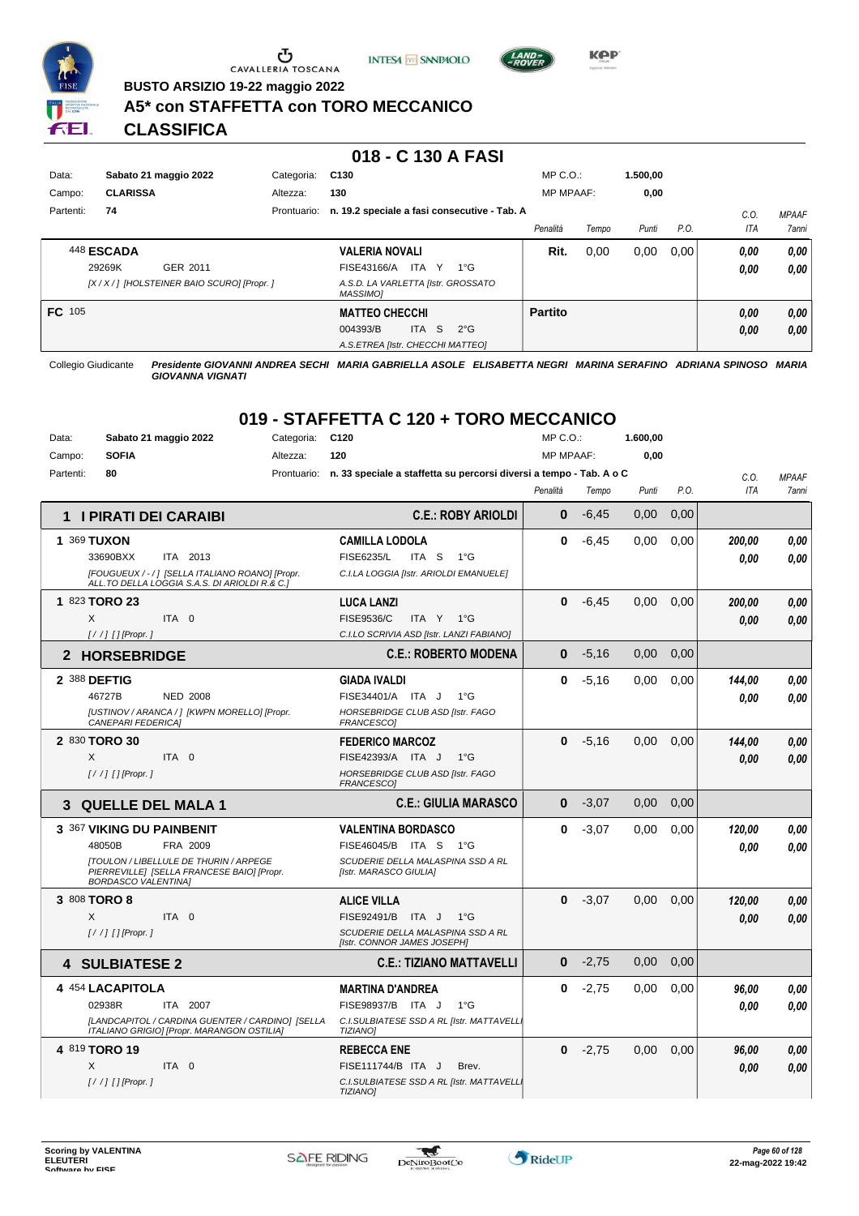





**BUSTO ARSIZIO 19-22 maggio 2022**

#### **A5\* con STAFFETTA con TORO MECCANICO**

**CLASSIFICA**

#### **018 - C 130 A FASI**

| Data:     | Sabato 21 maggio 2022                        | Categoria:  | C <sub>130</sub>                               | $MP C. O.$ :     |       | 1.500.00 |      |      |              |
|-----------|----------------------------------------------|-------------|------------------------------------------------|------------------|-------|----------|------|------|--------------|
| Campo:    | <b>CLARISSA</b>                              | Altezza:    | 130                                            | <b>MP MPAAF:</b> |       | 0,00     |      |      |              |
| Partenti: | 74                                           | Prontuario: | n. 19.2 speciale a fasi consecutive - Tab. A   |                  |       |          |      | C.0  | <b>MPAAF</b> |
|           |                                              |             |                                                | Penalità         | Tempo | Punti    | P.O. | ITA  | 7anni        |
|           | 448 ESCADA                                   |             | <b>VALERIA NOVALI</b>                          | Rit.             | 0,00  | 0,00     | 0,00 | 0.00 | 0,00         |
|           | 29269K<br>GER 2011                           |             | ITA Y<br>FISE43166/A<br>$1^{\circ}G$           |                  |       |          |      | 0,00 | 0.00         |
|           | [X / X / ] [HOLSTEINER BAIO SCURO] [Propr. ] |             | A.S.D. LA VARLETTA [Istr. GROSSATO<br>MASSIMO] |                  |       |          |      |      |              |
| FC 105    |                                              |             | <b>MATTEO CHECCHI</b>                          | <b>Partito</b>   |       |          |      | 0,00 | 0,00         |
|           |                                              |             | -S<br>004393/B<br><b>ITA</b><br>$2^{\circ}$ G  |                  |       |          |      | 0,00 | 0,00         |
|           |                                              |             | A.S.ETREA [Istr. CHECCHI MATTEO]               |                  |       |          |      |      |              |

Collegio Giudicante *Presidente GIOVANNI ANDREA SECHI MARIA GABRIELLA ASOLE ELISABETTA NEGRI MARINA SERAFINO ADRIANA SPINOSO MARIA GIOVANNA VIGNATI*

| Data:         | Sabato 21 maggio 2022                                                                                                     | Categoria:  | C <sub>120</sub>                                                    | MP C.O.:         |         | 1.600,00 |      |            |              |
|---------------|---------------------------------------------------------------------------------------------------------------------------|-------------|---------------------------------------------------------------------|------------------|---------|----------|------|------------|--------------|
| Campo:        | <b>SOFIA</b>                                                                                                              | Altezza:    | 120                                                                 | <b>MP MPAAF:</b> |         | 0,00     |      |            |              |
| Partenti:     | 80                                                                                                                        | Prontuario: | n. 33 speciale a staffetta su percorsi diversi a tempo - Tab. A o C |                  |         |          |      | C.0.       | <b>MPAAF</b> |
|               |                                                                                                                           |             |                                                                     | Penalità         | Tempo   | Punti    | P.O. | <b>ITA</b> | <b>7anni</b> |
|               | 1 I PIRATI DEI CARAIBI                                                                                                    |             | <b>C.E.: ROBY ARIOLDI</b>                                           | 0                | $-6,45$ | 0.00     | 0.00 |            |              |
| 1 369 TUXON   |                                                                                                                           |             | <b>CAMILLA LODOLA</b>                                               | $\bf{0}$         | $-6,45$ | 0.00     | 0.00 | 200,00     | 0.00         |
|               | 33690BXX<br>ITA 2013                                                                                                      |             | <b>FISE6235/L</b><br>ITA S<br>$1^{\circ}G$                          |                  |         |          |      | 0.00       | 0,00         |
|               | [FOUGUEUX / - / ] [SELLA ITALIANO ROANO] [Propr.<br>ALL.TO DELLA LOGGIA S.A.S. DI ARIOLDI R.& C.]                         |             | C.I.LA LOGGIA [Istr. ARIOLDI EMANUELE]                              |                  |         |          |      |            |              |
| 1 823 TORO 23 |                                                                                                                           |             | <b>LUCA LANZI</b>                                                   | 0                | $-6,45$ | 0,00     | 0.00 | 200,00     | 0,00         |
| X             | ITA 0                                                                                                                     |             | FISE9536/C<br>ITA Y<br>$1^{\circ}G$                                 |                  |         |          |      | 0.00       | 0.00         |
|               | $[!//]$ [] [Propr.]                                                                                                       |             | C.I.LO SCRIVIA ASD [Istr. LANZI FABIANO]                            |                  |         |          |      |            |              |
|               | 2 HORSEBRIDGE                                                                                                             |             | <b>C.E.: ROBERTO MODENA</b>                                         | 0                | $-5,16$ | 0,00     | 0,00 |            |              |
| 2 388 DEFTIG  |                                                                                                                           |             | <b>GIADA IVALDI</b>                                                 | 0                | $-5,16$ | 0,00     | 0,00 | 144,00     | 0,00         |
|               | 46727B<br><b>NED 2008</b>                                                                                                 |             | FISE34401/A ITA J<br>$1^{\circ}G$                                   |                  |         |          |      | 0.00       | 0.00         |
|               | [USTINOV / ARANCA / 1 [KWPN MORELLO] [Propr.<br><b>CANEPARI FEDERICAI</b>                                                 |             | HORSEBRIDGE CLUB ASD [Istr. FAGO<br><b>FRANCESCO1</b>               |                  |         |          |      |            |              |
|               | 2 830 TORO 30                                                                                                             |             | <b>FEDERICO MARCOZ</b>                                              | $\bf{0}$         | $-5.16$ | 0.00     | 0.00 | 144,00     | 0,00         |
| X             | ITA 0                                                                                                                     |             | FISE42393/A ITA J<br>$1^{\circ}G$                                   |                  |         |          |      | 0.00       | 0.00         |
|               | $[!//]$ [] [Propr.]                                                                                                       |             | HORSEBRIDGE CLUB ASD [Istr. FAGO<br>FRANCESCO1                      |                  |         |          |      |            |              |
| 3             | <b>QUELLE DEL MALA 1</b>                                                                                                  |             | <b>C.E.: GIULIA MARASCO</b>                                         | $\bf{0}$         | $-3,07$ | 0,00     | 0,00 |            |              |
|               | 3 367 VIKING DU PAINBENIT                                                                                                 |             | <b>VALENTINA BORDASCO</b>                                           | $\bf{0}$         | $-3,07$ | 0,00     | 0,00 | 120,00     | 0,00         |
|               | 48050B<br>FRA 2009                                                                                                        |             | FISE46045/B ITA S 1°G                                               |                  |         |          |      | 0.00       | 0.00         |
|               | <b>[TOULON / LIBELLULE DE THURIN / ARPEGE</b><br>PIERREVILLEJ [SELLA FRANCESE BAIO] [Propr.<br><b>BORDASCO VALENTINAI</b> |             | SCUDERIE DELLA MALASPINA SSD A RL<br>[Istr. MARASCO GIULIA]         |                  |         |          |      |            |              |
| 3 808 TORO 8  |                                                                                                                           |             | <b>ALICE VILLA</b>                                                  | 0                | $-3,07$ | 0,00     | 0,00 | 120,00     | 0,00         |
| X             | ITA 0                                                                                                                     |             | FISE92491/B ITA J<br>$1^{\circ}$ G                                  |                  |         |          |      | 0.00       | 0.00         |
|               | $[!//]$ [] [Propr.]                                                                                                       |             | SCUDERIE DELLA MALASPINA SSD A RL<br>[Istr. CONNOR JAMES JOSEPH]    |                  |         |          |      |            |              |
| 4             | <b>SULBIATESE 2</b>                                                                                                       |             | <b>C.E.: TIZIANO MATTAVELLI</b>                                     | $\bf{0}$         | $-2.75$ | 0.00     | 0.00 |            |              |
|               | 4 454 LACAPITOLA                                                                                                          |             | <b>MARTINA D'ANDREA</b>                                             | $\bf{0}$         | $-2.75$ | 0.00     | 0.00 | 96,00      | 0.00         |
|               | 02938R<br>ITA 2007                                                                                                        |             | FISE98937/B ITA J<br>$1^{\circ}G$                                   |                  |         |          |      | 0.00       | 0.00         |
|               | [LANDCAPITOL / CARDINA GUENTER / CARDINO] [SELLA<br>ITALIANO GRIGIO] [Propr. MARANGON OSTILIA]                            |             | C.I.SULBIATESE SSD A RL [Istr. MATTAVELL<br><b>TIZIANOI</b>         |                  |         |          |      |            |              |
|               | 4 819 TORO 19                                                                                                             |             | <b>REBECCA ENE</b>                                                  | $\bf{0}$         | $-2,75$ | 0.00     | 0,00 | 96,00      | 0,00         |
| X             | ITA 0                                                                                                                     |             | FISE111744/B ITA J<br>Brev.                                         |                  |         |          |      | 0.00       | 0.00         |
|               | $[!//]$ [] [Propr.]                                                                                                       |             | C.I.SULBIATESE SSD A RL [Istr. MATTAVELL<br><b>TIZIANO1</b>         |                  |         |          |      |            |              |

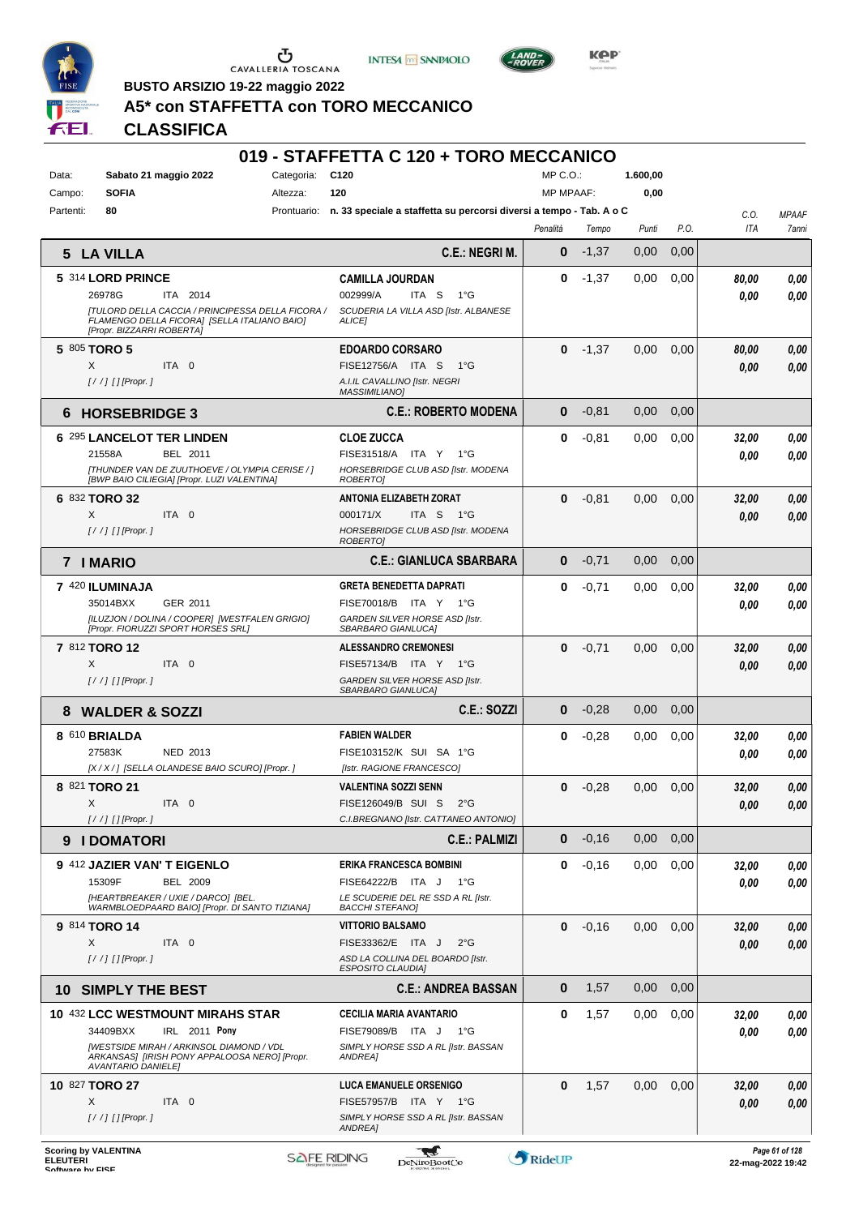





**Kep** 

**BUSTO ARSIZIO 19-22 maggio 2022 A5\* con STAFFETTA con TORO MECCANICO**

# **CLASSIFICA**

| Data:<br>Campo: | Sabato 21 maggio 2022<br><b>SOFIA</b>                                                                                                 | C <sub>120</sub><br>Categoria:<br>120<br>Altezza:                                  | MP C.O.:<br><b>MP MPAAF:</b> |         | 1.600,00<br>0,00 |      |       |              |
|-----------------|---------------------------------------------------------------------------------------------------------------------------------------|------------------------------------------------------------------------------------|------------------------------|---------|------------------|------|-------|--------------|
| Partenti:       | 80                                                                                                                                    | n. 33 speciale a staffetta su percorsi diversi a tempo - Tab. A o C<br>Prontuario: |                              |         |                  |      | C.O.  | <b>MPAAF</b> |
|                 |                                                                                                                                       |                                                                                    | Penalità                     | Tempo   | Punti            | P.O. | ITA   | 7anni        |
| 5               | <b>LA VILLA</b>                                                                                                                       | C.E.: NEGRI M.                                                                     | 0                            | $-1,37$ | 0,00             | 0,00 |       |              |
|                 | 5 314 LORD PRINCE                                                                                                                     | <b>CAMILLA JOURDAN</b>                                                             | 0                            | $-1,37$ | 0.00             | 0,00 | 80,00 | 0,00         |
|                 | 26978G<br>ITA 2014                                                                                                                    | 002999/A<br>ITA <sub>S</sub><br>$1^{\circ}G$                                       |                              |         |                  |      | 0.00  | 0.00         |
|                 | <b>[TULORD DELLA CACCIA / PRINCIPESSA DELLA FICORA /</b><br>FLAMENGO DELLA FICORA] [SELLA ITALIANO BAIO]<br>[Propr. BIZZARRI ROBERTA] | SCUDERIA LA VILLA ASD [Istr. ALBANESE<br><b>ALICEI</b>                             |                              |         |                  |      |       |              |
|                 | 5 805 TORO 5                                                                                                                          | <b>EDOARDO CORSARO</b>                                                             | $\bf{0}$                     | $-1,37$ | 0,00             | 0,00 | 80,00 | 0,00         |
|                 | ITA 0<br>X<br>$[!//]$ [] [Propr.]                                                                                                     | FISE12756/A ITA S<br>1°G<br>A.I.IL CAVALLINO [Istr. NEGRI                          |                              |         |                  |      | 0.00  | 0.00         |
|                 |                                                                                                                                       | <b>MASSIMILIANO)</b>                                                               |                              |         |                  |      |       |              |
| 6               | <b>HORSEBRIDGE 3</b>                                                                                                                  | <b>C.E.: ROBERTO MODENA</b>                                                        | $\bf{0}$                     | $-0.81$ | 0,00             | 0,00 |       |              |
|                 | 6 295 LANCELOT TER LINDEN                                                                                                             | <b>CLOE ZUCCA</b>                                                                  | 0                            | $-0.81$ | 0,00             | 0,00 | 32,00 | 0,00         |
|                 | 21558A<br>BEL 2011                                                                                                                    | FISE31518/A ITA Y 1°G                                                              |                              |         |                  |      | 0.00  | 0.00         |
|                 | [THUNDER VAN DE ZUUTHOEVE / OLYMPIA CERISE / ]<br>[BWP BAIO CILIEGIA] [Propr. LUZI VALENTINA]                                         | HORSEBRIDGE CLUB ASD [Istr. MODENA<br>ROBERTO]                                     |                              |         |                  |      |       |              |
|                 | 6 832 TORO 32                                                                                                                         | <b>ANTONIA ELIZABETH ZORAT</b>                                                     | $\bf{0}$                     | $-0.81$ | 0,00             | 0,00 | 32,00 | 0,00         |
|                 | X<br>ITA 0                                                                                                                            | 000171/X<br>ITA S<br>− 1°G<br>HORSEBRIDGE CLUB ASD [Istr. MODENA                   |                              |         |                  |      | 0.00  | 0.00         |
|                 | $[!//]$ [] [Propr.]                                                                                                                   | <b>ROBERTOI</b>                                                                    |                              |         |                  |      |       |              |
|                 | <b>7 I MARIO</b>                                                                                                                      | <b>C.E.: GIANLUCA SBARBARA</b>                                                     | $\bf{0}$                     | $-0,71$ | 0,00             | 0,00 |       |              |
|                 | 7 420 ILUMINAJA                                                                                                                       | <b>GRETA BENEDETTA DAPRATI</b>                                                     | 0                            | $-0,71$ | 0,00             | 0,00 | 32,00 | 0,00         |
|                 | 35014BXX<br>GER 2011                                                                                                                  | FISE70018/B ITA Y 1°G                                                              |                              |         |                  |      | 0.00  | 0.00         |
|                 | [ILUZJON / DOLINA / COOPER] [WESTFALEN GRIGIO]<br>[Propr. FIORUZZI SPORT HORSES SRL]                                                  | GARDEN SILVER HORSE ASD [Istr.<br>SBARBARO GIANLUCA]                               |                              |         |                  |      |       |              |
|                 | 7 812 TORO 12                                                                                                                         | <b>ALESSANDRO CREMONESI</b>                                                        | $\bf{0}$                     | $-0,71$ | 0,00             | 0,00 | 32,00 | 0,00         |
|                 | X<br>ITA 0                                                                                                                            | FISE57134/B ITA Y 1°G                                                              |                              |         |                  |      | 0.00  | 0.00         |
|                 | $[!//]$ [] [Propr.]                                                                                                                   | GARDEN SILVER HORSE ASD [Istr.<br>SBARBARO GIANLUCA]                               |                              |         |                  |      |       |              |
| 8               | <b>WALDER &amp; SOZZI</b>                                                                                                             | <b>C.E.: SOZZI</b>                                                                 | $\bf{0}$                     | $-0,28$ | 0,00             | 0,00 |       |              |
|                 | 8 610 BRIALDA                                                                                                                         | <b>FABIEN WALDER</b>                                                               | 0                            | $-0,28$ | 0,00             | 0,00 | 32,00 | 0,00         |
|                 | 27583K<br>NED 2013<br>[X / X / ] [SELLA OLANDESE BAIO SCURO] [Propr. ]                                                                | FISE103152/K SUI SA 1°G<br>[Istr. RAGIONE FRANCESCO]                               |                              |         |                  |      | 0.00  | 0,00         |
|                 | 8 821 TORO 21                                                                                                                         | VALENTINA SOZZI SENN                                                               | 0                            | $-0,28$ | 0,00             | 0,00 | 32,00 | 0,00         |
|                 | Χ<br>ITA 0                                                                                                                            | FISE126049/B SUI S<br>$2^{\circ}$ G                                                |                              |         |                  |      | 0.00  | 0.00         |
|                 | $[!//]$ [] [Propr.]                                                                                                                   | C.I.BREGNANO [Istr. CATTANEO ANTONIO]                                              |                              |         |                  |      |       |              |
| 9               | <b>I DOMATORI</b>                                                                                                                     | <b>C.E.: PALMIZI</b>                                                               | $\bf{0}$                     | $-0,16$ | 0,00             | 0,00 |       |              |
|                 | 9 412 JAZIER VAN'T EIGENLO                                                                                                            | ERIKA FRANCESCA BOMBINI                                                            | 0                            | $-0,16$ | 0,00             | 0,00 | 32,00 | 0,00         |
|                 | 15309F<br><b>BEL 2009</b><br>[HEARTBREAKER / UXIE / DARCO] [BEL.                                                                      | FISE64222/B ITA J<br>− 1°G<br>LE SCUDERIE DEL RE SSD A RL [Istr.                   |                              |         |                  |      | 0.00  | 0.00         |
|                 | WARMBLOEDPAARD BAIO] [Propr. DI SANTO TIZIANA]                                                                                        | <b>BACCHI STEFANOI</b>                                                             |                              |         |                  |      |       |              |
|                 | 9 814 TORO 14                                                                                                                         | <b>VITTORIO BALSAMO</b>                                                            | $\bf{0}$                     | $-0,16$ | 0,00             | 0,00 | 32,00 | 0,00         |
|                 | X<br>ITA 0<br>$[!//]$ [] [Propr.]                                                                                                     | FISE33362/E ITA J<br>$2^{\circ}$ G<br>ASD LA COLLINA DEL BOARDO [Istr.             |                              |         |                  |      | 0,00  | 0.00         |
|                 |                                                                                                                                       | <b>ESPOSITO CLAUDIAI</b>                                                           |                              |         |                  |      |       |              |
|                 | <b>10 SIMPLY THE BEST</b>                                                                                                             | <b>C.E.: ANDREA BASSAN</b>                                                         | $\bf{0}$                     | 1,57    | 0,00             | 0,00 |       |              |
|                 | 10 432 LCC WESTMOUNT MIRAHS STAR                                                                                                      | CECILIA MARIA AVANTARIO                                                            | 0                            | 1,57    | 0,00             | 0,00 | 32,00 | 0,00         |
|                 | 34409BXX<br>IRL 2011 Pony<br>[WESTSIDE MIRAH / ARKINSOL DIAMOND / VDL                                                                 | FISE79089/B ITA J 1°G<br>SIMPLY HORSE SSD A RL [Istr. BASSAN                       |                              |         |                  |      | 0.00  | 0,00         |
|                 | ARKANSAS] [IRISH PONY APPALOOSA NERO] [Propr.<br><b>AVANTARIO DANIELE]</b>                                                            | ANDREA]                                                                            |                              |         |                  |      |       |              |
|                 | 10 827 TORO 27                                                                                                                        | <b>LUCA EMANUELE ORSENIGO</b>                                                      | $\bf{0}$                     | 1,57    | 0,00             | 0,00 | 32,00 | 0,00         |
|                 | X<br>ITA 0<br>[/ /] [] [Propr. ]                                                                                                      | FISE57957/B ITA Y 1°G<br>SIMPLY HORSE SSD A RL [Istr. BASSAN                       |                              |         |                  |      | 0.00  | 0.00         |
|                 |                                                                                                                                       | <b>ANDREA]</b>                                                                     |                              |         |                  |      |       |              |

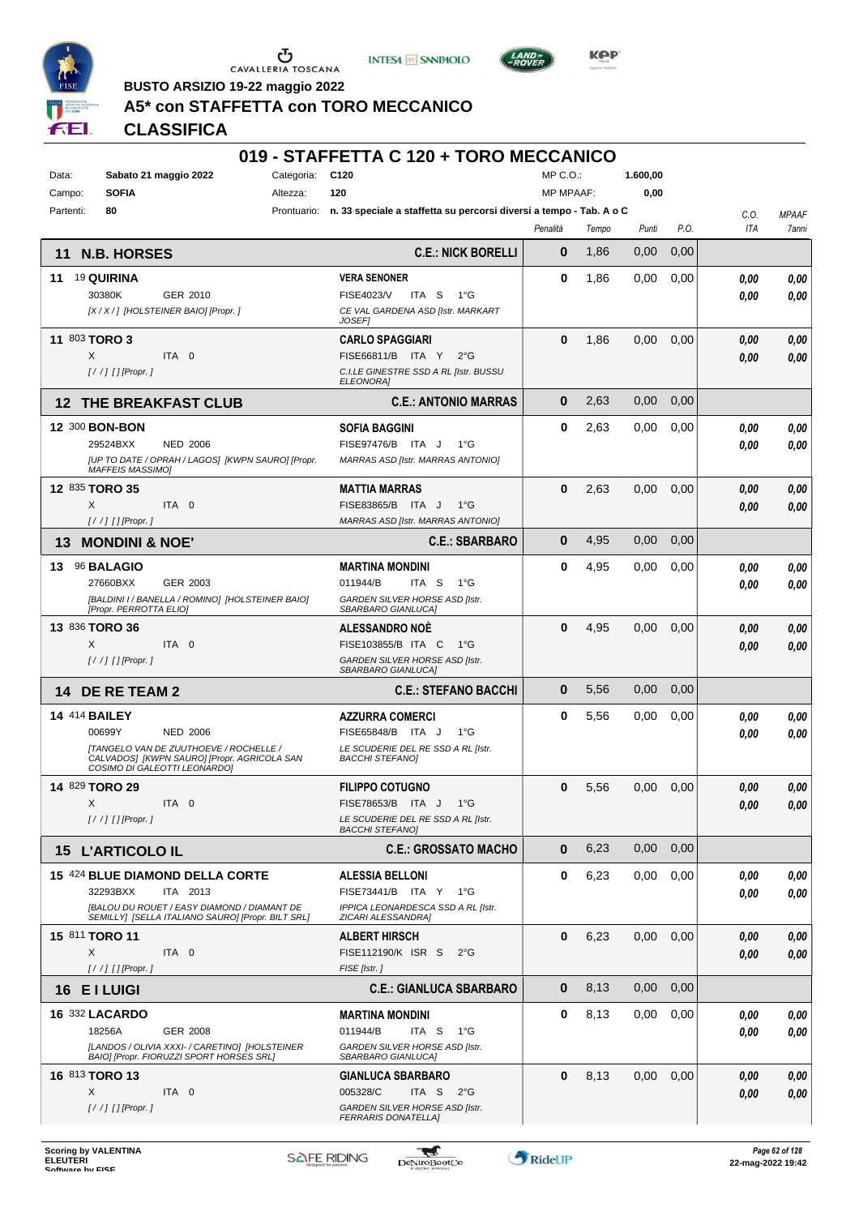





**Kep** 

**BUSTO ARSIZIO 19-22 maggio 2022**

# **A5\* con STAFFETTA con TORO MECCANICO**

## **CLASSIFICA**

| Sabato 21 maggio 2022<br>Data:                                                               | Categoria: C120 |                                                                                 | MP C.O.:         |       | 1.600,00 |      |      |              |
|----------------------------------------------------------------------------------------------|-----------------|---------------------------------------------------------------------------------|------------------|-------|----------|------|------|--------------|
| <b>SOFIA</b><br>Campo:                                                                       | Altezza:        | 120                                                                             | <b>MP MPAAF:</b> |       | 0,00     |      |      |              |
| 80<br>Partenti:                                                                              |                 | Prontuario: n. 33 speciale a staffetta su percorsi diversi a tempo - Tab. A o C |                  |       |          |      | C.O. | <b>MPAAF</b> |
|                                                                                              |                 |                                                                                 | Penalità         | Tempo | Punti    | P.O. | ITA  | 7anni        |
| <b>N.B. HORSES</b><br>11                                                                     |                 | <b>C.E.: NICK BORELLI</b>                                                       | $\bf{0}$         | 1,86  | 0,00     | 0,00 |      |              |
| 19 QUIRINA<br>11                                                                             |                 | <b>VERA SENONER</b>                                                             | $\bf{0}$         | 1,86  | 0,00     | 0,00 | 0.00 | 0,00         |
| 30380K<br>GER 2010                                                                           |                 | <b>FISE4023/V</b><br>ITA S<br>1°G                                               |                  |       |          |      | 0.00 | 0.00         |
| [X / X / ] [HOLSTEINER BAIO] [Propr. ]                                                       |                 | CE VAL GARDENA ASD [Istr. MARKART<br><b>JOSEF</b>                               |                  |       |          |      |      |              |
| 11 803 TORO 3                                                                                |                 | <b>CARLO SPAGGIARI</b>                                                          | $\bf{0}$         | 1,86  | 0,00     | 0,00 | 0.00 | 0,00         |
| ITA 0<br>X                                                                                   |                 | FISE66811/B ITA Y<br>$2^{\circ}$ G                                              |                  |       |          |      | 0.00 | 0,00         |
| $1/$ / $1$ $1$ [Propr. 1                                                                     |                 | C.I.LE GINESTRE SSD A RL [Istr. BUSSU<br>ELEONORA]                              |                  |       |          |      |      |              |
| <b>12 THE BREAKFAST CLUB</b>                                                                 |                 | <b>C.E.: ANTONIO MARRAS</b>                                                     | $\bf{0}$         | 2,63  | 0,00     | 0,00 |      |              |
| 12 300 BON-BON                                                                               |                 | <b>SOFIA BAGGINI</b>                                                            | $\bf{0}$         | 2,63  | 0,00     | 0,00 | 0.00 | 0,00         |
| 29524BXX<br><b>NED 2006</b>                                                                  |                 | FISE97476/B ITA J<br>$1^{\circ}G$                                               |                  |       |          |      | 0.00 | 0.00         |
| [UP TO DATE / OPRAH / LAGOS] [KWPN SAURO] [Propr.<br><b>MAFFEIS MASSIMOI</b>                 |                 | MARRAS ASD [Istr. MARRAS ANTONIO]                                               |                  |       |          |      |      |              |
| 12 835 TORO 35                                                                               |                 | <b>MATTIA MARRAS</b>                                                            | $\bf{0}$         | 2,63  | 0,00     | 0,00 | 0.00 | 0,00         |
| X<br>ITA 0                                                                                   |                 | FISE83865/B ITA J<br>1°G                                                        |                  |       |          |      | 0.00 | 0,00         |
| $[!//]$ [] [Propr.]                                                                          |                 | MARRAS ASD [Istr. MARRAS ANTONIO]                                               |                  |       |          |      |      |              |
| 13<br><b>MONDINI &amp; NOE'</b>                                                              |                 | <b>C.E.: SBARBARO</b>                                                           | $\bf{0}$         | 4,95  | 0,00     | 0,00 |      |              |
| 13 96 BALAGIO                                                                                |                 | <b>MARTINA MONDINI</b>                                                          | $\bf{0}$         | 4,95  | 0,00     | 0,00 | 0.00 | 0,00         |
| 27660BXX<br>GER 2003                                                                         |                 | 011944/B<br>ITA S<br>$1^{\circ}G$<br>GARDEN SILVER HORSE ASD [Istr.             |                  |       |          |      | 0.00 | 0.00         |
| [BALDINI I / BANELLA / ROMINO] [HOLSTEINER BAIO]<br>[Propr. PERROTTA ELIO]                   |                 | SBARBARO GIANLUCA]                                                              |                  |       |          |      |      |              |
| 13 836 TORO 36                                                                               |                 | <b>ALESSANDRO NOE</b>                                                           | $\bf{0}$         | 4,95  | 0,00     | 0,00 | 0.00 | 0,00         |
| X<br>ITA 0                                                                                   |                 | FISE103855/B ITA C<br>1°G                                                       |                  |       |          |      | 0.00 | 0,00         |
| [/ /] [] [Propr. ]                                                                           |                 | GARDEN SILVER HORSE ASD [Istr.<br>SBARBARO GIANLUCA]                            |                  |       |          |      |      |              |
| 14 DE RE TEAM 2                                                                              |                 | <b>C.E.: STEFANO BACCHI</b>                                                     | $\bf{0}$         | 5,56  | 0,00     | 0,00 |      |              |
| <b>14 414 BAILEY</b>                                                                         |                 | <b>AZZURRA COMERCI</b>                                                          | $\bf{0}$         | 5,56  | 0,00     | 0,00 | 0.00 | 0,00         |
| 00699Y<br><b>NED 2006</b>                                                                    |                 | FISE65848/B ITA J<br>$1^{\circ}G$                                               |                  |       |          |      | 0.00 | 0.00         |
| <b>[TANGELO VAN DE ZUUTHOEVE / ROCHELLE /</b><br>CALVADOS] [KWPN SAURO] [Propr. AGRICOLA SAN |                 | LE SCUDERIE DEL RE SSD A RL [Istr.<br><b>BACCHI STEFANO]</b>                    |                  |       |          |      |      |              |
| COSIMO DI GALEOTTI LEONARDO]                                                                 |                 |                                                                                 |                  |       |          |      |      |              |
| 14 829 TORO 29                                                                               |                 | <b>FILIPPO COTUGNO</b><br>FISE78653/B ITA J<br>$1^{\circ}$ G                    | $\bf{0}$         | 5,56  | 0,00     | 0,00 | 0.00 | 0,00         |
| X<br>ITA 0<br>$[!//]$ [] [Propr.]                                                            |                 | LE SCUDERIE DEL RE SSD A RL [Istr.                                              |                  |       |          |      | 0.00 | 0.00         |
|                                                                                              |                 | <b>BACCHI STEFANOI</b>                                                          |                  |       |          |      |      |              |
| <b>15 L'ARTICOLO IL</b>                                                                      |                 | <b>C.E.: GROSSATO MACHO</b>                                                     | $\bf{0}$         | 6,23  | 0,00     | 0,00 |      |              |
| 15 424 BLUE DIAMOND DELLA CORTE                                                              |                 | <b>ALESSIA BELLONI</b>                                                          | $\bf{0}$         | 6,23  | 0,00     | 0,00 | 0.00 | 0,00         |
| 32293BXX<br>ITA 2013<br>[BALOU DU ROUET / EASY DIAMOND / DIAMANT DE                          |                 | FISE73441/B ITA Y 1°G<br>IPPICA LEONARDESCA SSD A RL [Istr.                     |                  |       |          |      | 0.00 | 0.00         |
| SEMILLY] [SELLA ITALIANO SAURO] [Propr. BILT SRL]                                            |                 | ZICARI ALESSANDRA]                                                              |                  |       |          |      |      |              |
| 15 811 TORO 11                                                                               |                 | <b>ALBERT HIRSCH</b>                                                            | $\bf{0}$         | 6,23  | 0,00     | 0,00 | 0.00 | 0,00         |
| X<br>ITA 0                                                                                   |                 | FISE112190/K ISR S<br>$2^{\circ}$ G                                             |                  |       |          |      | 0.00 | 0.00         |
| $[!//]$ [] [Propr.]                                                                          |                 | FISE [Istr.]                                                                    | $\bf{0}$         |       | 0,00     |      |      |              |
| 16 EI LUIGI                                                                                  |                 | <b>C.E.: GIANLUCA SBARBARO</b>                                                  |                  | 8,13  |          | 0,00 |      |              |
| <b>16 332 LACARDO</b>                                                                        |                 | <b>MARTINA MONDINI</b>                                                          | 0                | 8.13  | 0,00     | 0,00 | 0.00 | 0,00         |
| 18256A<br>GER 2008<br>[LANDOS / OLIVIA XXXI- / CARETINO] [HOLSTEINER                         |                 | 011944/B<br>ITA S 1°G<br>GARDEN SILVER HORSE ASD [Istr.                         |                  |       |          |      | 0.00 | 0,00         |
| BAIO] [Propr. FIORUZZI SPORT HORSES SRL]                                                     |                 | SBARBARO GIANLUCA]                                                              |                  |       |          |      |      |              |
| 16 813 TORO 13                                                                               |                 | <b>GIANLUCA SBARBARO</b>                                                        | $\bf{0}$         | 8,13  | 0,00     | 0,00 | 0,00 | 0,00         |
| ITA 0<br>X                                                                                   |                 | 005328/C<br>ITA S<br>$2^{\circ}$ G                                              |                  |       |          |      | 0,00 | 0,00         |
| [//] [] [Propr. ]                                                                            |                 | GARDEN SILVER HORSE ASD [Istr.<br><b>FERRARIS DONATELLA]</b>                    |                  |       |          |      |      |              |
|                                                                                              |                 |                                                                                 |                  |       |          |      |      |              |

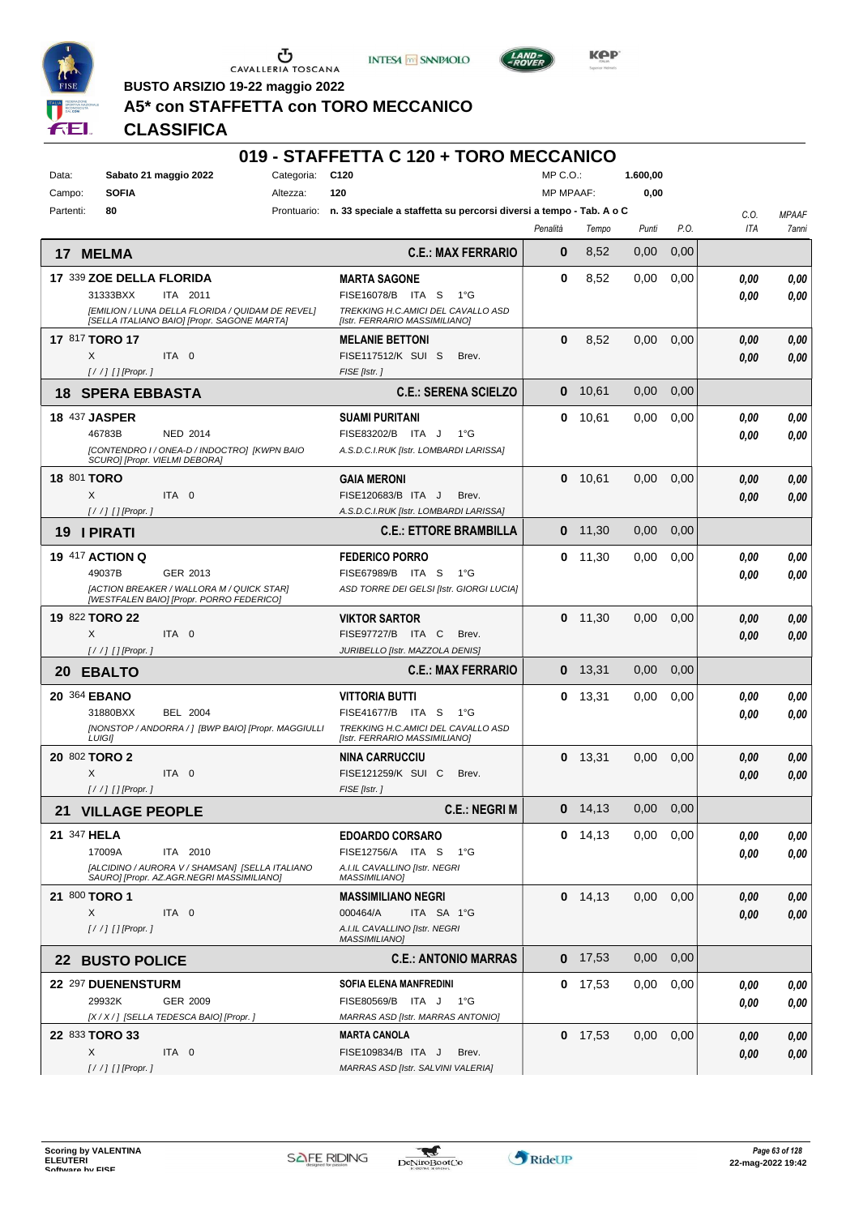





**BUSTO ARSIZIO 19-22 maggio 2022**

## **A5\* con STAFFETTA con TORO MECCANICO**

## **CLASSIFICA**

| Data:              | Sabato 21 maggio 2022         |                                                                                                 | Categoria: | C120                                                                            | MP C.O.:         |           | 1.600,00      |      |      |              |
|--------------------|-------------------------------|-------------------------------------------------------------------------------------------------|------------|---------------------------------------------------------------------------------|------------------|-----------|---------------|------|------|--------------|
| Campo:             | <b>SOFIA</b>                  |                                                                                                 | Altezza:   | 120                                                                             | <b>MP MPAAF:</b> |           | 0,00          |      |      |              |
| Partenti:          | 80                            |                                                                                                 |            | Prontuario: n. 33 speciale a staffetta su percorsi diversi a tempo - Tab. A o C |                  |           |               |      | C.O. | <b>MPAAF</b> |
|                    |                               |                                                                                                 |            |                                                                                 | Penalità         | Tempo     | Punti         | P.O. | ITA  | 7anni        |
| 17                 | <b>MELMA</b>                  |                                                                                                 |            | <b>C.E.: MAX FERRARIO</b>                                                       | $\bf{0}$         | 8,52      | 0,00          | 0,00 |      |              |
|                    | 17 339 ZOE DELLA FLORIDA      |                                                                                                 |            | <b>MARTA SAGONE</b>                                                             | 0                | 8,52      | 0,00          | 0,00 | 0.00 | 0,00         |
|                    | 31333BXX                      | ITA 2011                                                                                        |            | FISE16078/B ITA S<br>$1^{\circ}G$                                               |                  |           |               |      | 0.00 | 0,00         |
|                    |                               | [EMILION / LUNA DELLA FLORIDA / QUIDAM DE REVEL]<br>[SELLA ITALIANO BAIO] [Propr. SAGONE MARTA] |            | TREKKING H.C.AMICI DEL CAVALLO ASD<br>[Istr. FERRARIO MASSIMILIANO]             |                  |           |               |      |      |              |
|                    | 17 817 TORO 17                |                                                                                                 |            | <b>MELANIE BETTONI</b>                                                          | $\bf{0}$         | 8,52      | 0,00          | 0,00 | 0,00 | 0,00         |
|                    | X                             | ITA 0                                                                                           |            | FISE117512/K SUI S<br>Brev.                                                     |                  |           |               |      | 0,00 | 0,00         |
|                    | [/ /] [] [Propr.]             |                                                                                                 |            | FISE [Istr.]                                                                    |                  |           |               |      |      |              |
| 18                 | <b>SPERA EBBASTA</b>          |                                                                                                 |            | <b>C.E.: SERENA SCIELZO</b>                                                     | $\bf{0}$         | 10,61     | 0,00          | 0,00 |      |              |
|                    | <b>18 437 JASPER</b>          |                                                                                                 |            | <b>SUAMI PURITANI</b>                                                           | 0                | 10,61     | 0,00          | 0,00 | 0.00 | 0,00         |
|                    | 46783B                        | <b>NED 2014</b>                                                                                 |            | FISE83202/B ITA J<br>$1^{\circ}G$                                               |                  |           |               |      | 0.00 | 0,00         |
|                    | SCURO] [Propr. VIELMI DEBORA] | [CONTENDRO I / ONEA-D / INDOCTRO] [KWPN BAIO                                                    |            | A.S.D.C.I.RUK [Istr. LOMBARDI LARISSA]                                          |                  |           |               |      |      |              |
| <b>18 801 TORO</b> |                               |                                                                                                 |            | <b>GAIA MERONI</b>                                                              | 0                | 10,61     | 0.00          | 0,00 | 0,00 | 0,00         |
|                    | X                             | ITA 0                                                                                           |            | FISE120683/B ITA J<br>Brev.                                                     |                  |           |               |      | 0.00 | 0.00         |
|                    | $[!//]$ [] [Propr.]           |                                                                                                 |            | A.S.D.C.I.RUK [Istr. LOMBARDI LARISSA]                                          |                  |           |               |      |      |              |
| 19                 | <b>I PIRATI</b>               |                                                                                                 |            | <b>C.E.: ETTORE BRAMBILLA</b>                                                   | 0                | 11,30     | 0,00          | 0,00 |      |              |
|                    | <b>19 417 ACTION Q</b>        |                                                                                                 |            | <b>FEDERICO PORRO</b>                                                           | 0                | 11,30     | 0,00          | 0.00 | 0,00 | 0,00         |
|                    | 49037B                        | GER 2013                                                                                        |            | FISE67989/B ITA S<br>$1^{\circ}$ G                                              |                  |           |               |      | 0.00 | 0,00         |
|                    |                               | [ACTION BREAKER / WALLORA M / QUICK STAR]<br>[WESTFALEN BAIO] [Propr. PORRO FEDERICO]           |            | ASD TORRE DEI GELSI [Istr. GIORGI LUCIA]                                        |                  |           |               |      |      |              |
|                    | 19 822 TORO 22                |                                                                                                 |            | <b>VIKTOR SARTOR</b>                                                            |                  | $0$ 11,30 | 0,00          | 0,00 | 0,00 | 0,00         |
|                    | X                             | ITA 0                                                                                           |            | FISE97727/B ITA C<br>Brev.                                                      |                  |           |               |      | 0.00 | 0.00         |
|                    | $[!//]$ [] [Propr.]           |                                                                                                 |            | JURIBELLO [Istr. MAZZOLA DENIS]                                                 |                  |           |               |      |      |              |
| 20                 | <b>EBALTO</b>                 |                                                                                                 |            | <b>C.E.: MAX FERRARIO</b>                                                       | $\bf{0}$         | 13,31     | 0.00          | 0,00 |      |              |
|                    | 20 364 EBANO                  |                                                                                                 |            | <b>VITTORIA BUTTI</b>                                                           | 0                | 13,31     | 0,00          | 0,00 | 0.00 | 0,00         |
|                    | 31880BXX                      | BEL 2004                                                                                        |            | <b>FISE41677/B</b><br>ITA S<br>$1^{\circ}G$                                     |                  |           |               |      | 0.00 | 0,00         |
|                    | <b>LUIGII</b>                 | [NONSTOP / ANDORRA / ] [BWP BAIO] [Propr. MAGGIULLI                                             |            | TREKKING H.C.AMICI DEL CAVALLO ASD<br>[Istr. FERRARIO MASSIMILIANO]             |                  |           |               |      |      |              |
|                    | 20 802 TORO 2                 |                                                                                                 |            | <b>NINA CARRUCCIU</b>                                                           | 0                | 13,31     | 0,00          | 0,00 | 0,00 | 0,00         |
|                    | X                             | ITA 0                                                                                           |            | FISE121259/K SUI C<br>Brev.                                                     |                  |           |               |      | 0.00 | 0.00         |
|                    | [/ /] [] [Propr. ]            |                                                                                                 |            | FISE [Istr.]                                                                    |                  |           |               |      |      |              |
|                    | <b>21 VILLAGE PEOPLE</b>      |                                                                                                 |            | <b>C.E.: NEGRIM</b>                                                             |                  | 0 14,13   | $0,00$ $0,00$ |      |      |              |
| 21 347 HELA        |                               |                                                                                                 |            | <b>EDOARDO CORSARO</b>                                                          |                  | $0$ 14,13 | 0,00          | 0,00 | 0.00 | 0,00         |
|                    | 17009A                        | ITA 2010                                                                                        |            | FISE12756/A ITA S<br>1°G                                                        |                  |           |               |      | 0.00 | 0,00         |
|                    |                               | [ALCIDINO / AURORA V / SHAMSAN] [SELLA ITALIANO<br>SAURO] [Propr. AZ.AGR.NEGRI MASSIMILIANO]    |            | A.I.IL CAVALLINO [Istr. NEGRI<br><b>MASSIMILIANO]</b>                           |                  |           |               |      |      |              |
|                    | 21 800 TORO 1                 |                                                                                                 |            | <b>MASSIMILIANO NEGRI</b>                                                       |                  | $0$ 14,13 | 0,00          | 0,00 | 0,00 | 0,00         |
|                    | X                             | ITA 0                                                                                           |            | 000464/A<br>ITA SA 1°G                                                          |                  |           |               |      | 0,00 | 0,00         |
|                    | [/ /] [] [Propr. ]            |                                                                                                 |            | A.I.IL CAVALLINO [Istr. NEGRI<br><b>MASSIMILIANO]</b>                           |                  |           |               |      |      |              |
|                    | <b>22 BUSTO POLICE</b>        |                                                                                                 |            | <b>C.E.: ANTONIO MARRAS</b>                                                     |                  | $0$ 17,53 | 0,00          | 0,00 |      |              |
|                    | 22 297 DUENENSTURM            |                                                                                                 |            | SOFIA ELENA MANFREDINI                                                          |                  | $0$ 17,53 | 0,00          | 0,00 | 0,00 | 0,00         |
|                    | 29932K                        | GER 2009                                                                                        |            | FISE80569/B ITA J 1°G                                                           |                  |           |               |      | 0,00 | 0,00         |
|                    |                               | [X / X / ] [SELLA TEDESCA BAIO] [Propr. ]                                                       |            | MARRAS ASD [Istr. MARRAS ANTONIO]                                               |                  |           |               |      |      |              |
|                    | 22 833 TORO 33                |                                                                                                 |            | <b>MARTA CANOLA</b>                                                             |                  | $0$ 17,53 | 0,00          | 0,00 | 0,00 | 0,00         |
|                    | X                             | ITA 0                                                                                           |            | FISE109834/B ITA J<br>Brev.                                                     |                  |           |               |      | 0,00 | 0,00         |
|                    | [/ /] [] [Propr. ]            |                                                                                                 |            | MARRAS ASD [Istr. SALVINI VALERIA]                                              |                  |           |               |      |      |              |

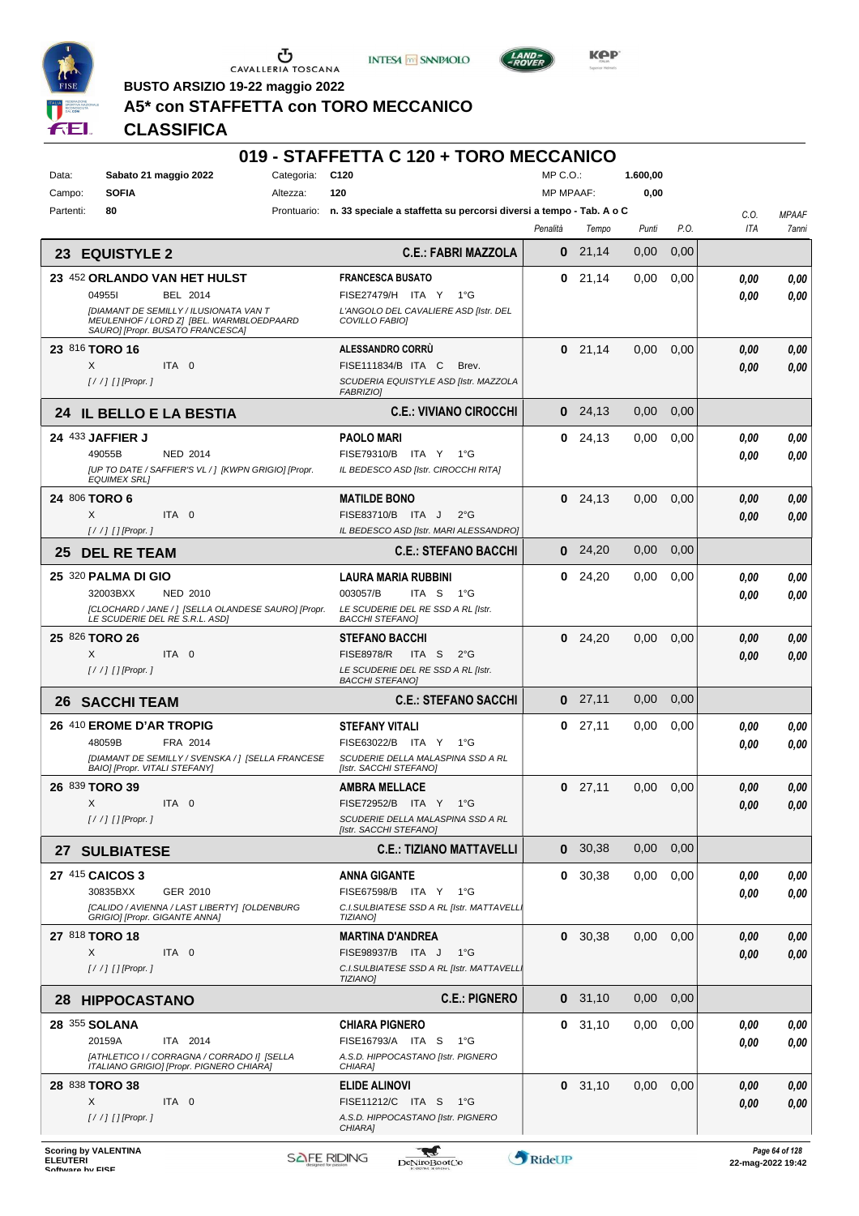





**BUSTO ARSIZIO 19-22 maggio 2022**

# **A5\* con STAFFETTA con TORO MECCANICO**

# **CLASSIFICA**

| Data:<br>Sabato 21 maggio 2022<br><b>SOFIA</b><br>Campo:                                                               | C <sub>120</sub><br>Categoria:<br>120<br>Altezza:                                  | MP C.O.:<br><b>MP MPAAF:</b> |           | 1.600,00<br>0,00 |      |              |              |
|------------------------------------------------------------------------------------------------------------------------|------------------------------------------------------------------------------------|------------------------------|-----------|------------------|------|--------------|--------------|
| 80<br>Partenti:                                                                                                        | n. 33 speciale a staffetta su percorsi diversi a tempo - Tab. A o C<br>Prontuario: |                              |           |                  |      | C.O.         | <b>MPAAF</b> |
|                                                                                                                        |                                                                                    | Penalità                     | Tempo     | Punti            | P.O. | ITA          | 7anni        |
| <b>EQUISTYLE 2</b><br>23                                                                                               | <b>C.E.: FABRI MAZZOLA</b>                                                         | 0                            | 21,14     | 0,00             | 0,00 |              |              |
| 23 452 ORLANDO VAN HET HULST<br><b>BEL 2014</b><br>049551                                                              | <b>FRANCESCA BUSATO</b><br>FISE27479/H ITA Y<br>1°G                                | 0                            | 21,14     | 0,00             | 0,00 | 0,00<br>0.00 | 0,00<br>0.00 |
| [DIAMANT DE SEMILLY / ILUSIONATA VAN T<br>MEULENHOF / LORD Z] [BEL. WARMBLOEDPAARD<br>SAURO] [Propr. BUSATO FRANCESCA] | L'ANGOLO DEL CAVALIERE ASD [Istr. DEL<br>COVILLO FABIOI                            |                              |           |                  |      |              |              |
| 23 816 TORO 16                                                                                                         | ALESSANDRO CORRÙ                                                                   |                              | $0$ 21,14 | 0,00             | 0,00 | 0.00         | 0,00         |
| ITA 0<br>X<br>$[!//]$ [] [Propr.]                                                                                      | FISE111834/B ITA C<br>Brev.<br>SCUDERIA EQUISTYLE ASD [Istr. MAZZOLA               |                              |           |                  |      | 0.00         | 0,00         |
|                                                                                                                        | <b>FABRIZIOI</b>                                                                   |                              |           |                  |      |              |              |
| 24 IL BELLO E LA BESTIA                                                                                                | <b>C.E.: VIVIANO CIROCCHI</b>                                                      | $\bf{0}$                     | 24,13     | 0,00             | 0,00 |              |              |
| 24 433 JAFFIER J                                                                                                       | <b>PAOLO MARI</b>                                                                  | 0                            | 24,13     | 0,00             | 0,00 | 0.00         | 0,00         |
| 49055B<br><b>NED 2014</b><br>[UP TO DATE / SAFFIER'S VL / ] [KWPN GRIGIO] [Propr.                                      | FISE79310/B ITA Y 1°G<br>IL BEDESCO ASD [Istr. CIROCCHI RITA]                      |                              |           |                  |      | 0.00         | 0.00         |
| <b>EQUIMEX SRLI</b>                                                                                                    |                                                                                    |                              |           |                  |      |              |              |
| 24 806 TORO 6<br>X<br>ITA 0                                                                                            | <b>MATILDE BONO</b><br>FISE83710/B ITA J<br>$2^{\circ}$ G                          | 0                            | 24.13     | 0,00             | 0,00 | 0.00<br>0.00 | 0,00<br>0.00 |
|                                                                                                                        | IL BEDESCO ASD [Istr. MARI ALESSANDRO]                                             |                              |           |                  |      |              |              |
| <b>DEL RE TEAM</b><br>25                                                                                               | <b>C.E.: STEFANO BACCHI</b>                                                        | $\bf{0}$                     | 24.20     | 0,00             | 0,00 |              |              |
| 25 320 PALMA DI GIO                                                                                                    | <b>LAURA MARIA RUBBINI</b>                                                         | 0                            | 24,20     | 0,00             | 0,00 | 0.00         | 0,00         |
| 32003BXX<br><b>NED 2010</b>                                                                                            | 003057/B<br>ITA S 1°G                                                              |                              |           |                  |      | 0.00         | 0,00         |
| [CLOCHARD / JANE / ] [SELLA OLANDESE SAURO] [Propr.<br>LE SCUDERIE DEL RE S.R.L. ASDI                                  | LE SCUDERIE DEL RE SSD A RL [Istr.<br><b>BACCHI STEFANOI</b>                       |                              |           |                  |      |              |              |
| 25 826 TORO 26                                                                                                         | <b>STEFANO BACCHI</b>                                                              | 0                            | 24,20     | 0,00             | 0,00 | 0,00         | 0,00         |
| X<br>ITA 0<br>$[!//]$ [] [Propr.]                                                                                      | <b>FISE8978/R</b><br>ITA S<br>$2^{\circ}$ G<br>LE SCUDERIE DEL RE SSD A RL [Istr.  |                              |           |                  |      | 0.00         | 0.00         |
|                                                                                                                        | <b>BACCHI STEFANOI</b>                                                             | 0                            | 27,11     | 0,00             | 0,00 |              |              |
| <b>SACCHI TEAM</b><br>26                                                                                               | <b>C.E.: STEFANO SACCHI</b>                                                        |                              |           |                  |      |              |              |
| 26 410 EROME D'AR TROPIG<br>48059B<br>FRA 2014                                                                         | <b>STEFANY VITALI</b><br>FISE63022/B ITA Y 1°G                                     | 0                            | 27,11     | 0,00             | 0,00 | 0,00<br>0.00 | 0,00<br>0.00 |
| [DIAMANT DE SEMILLY / SVENSKA / 1 [SELLA FRANCESE<br>BAIO] [Propr. VITALI STEFANY]                                     | SCUDERIE DELLA MALASPINA SSD A RL<br>[Istr. SACCHI STEFANO]                        |                              |           |                  |      |              |              |
| 26 839 TORO 39                                                                                                         | <b>AMBRA MELLACE</b>                                                               | 0                            | 27,11     | 0,00             | 0,00 | 0.00         | 0,00         |
| X<br>ITA 0                                                                                                             | <b>FISE72952/B</b><br>ITA Y<br>1°G                                                 |                              |           |                  |      | 0.00         | 0.00         |
| $[!//]$ [] [Propr.]                                                                                                    | SCUDERIE DELLA MALASPINA SSD A RL<br>[Istr. SACCHI STEFANO]                        |                              |           |                  |      |              |              |
| 27 SULBIATESE                                                                                                          | <b>C.E.: TIZIANO MATTAVELLI</b>                                                    | $\bf{0}$                     | 30,38     | 0,00             | 0,00 |              |              |
| 27 415 CAICOS 3                                                                                                        | <b>ANNA GIGANTE</b>                                                                |                              | 0, 30, 38 | 0,00             | 0,00 | 0.00         | 0,00         |
| 30835BXX<br>GER 2010                                                                                                   | FISE67598/B ITA Y 1°G                                                              |                              |           |                  |      | 0,00         | 0.00         |
| [CALIDO / AVIENNA / LAST LIBERTY] [OLDENBURG<br>GRIGIO] [Propr. GIGANTE ANNA]                                          | C.I.SULBIATESE SSD A RL [Istr. MATTAVELL]<br><b>TIZIANO]</b>                       |                              |           |                  |      |              |              |
| 27 818 TORO 18                                                                                                         | <b>MARTINA D'ANDREA</b>                                                            |                              | 0, 30, 38 | 0,00             | 0,00 | 0.00         | 0,00         |
| X<br>ITA 0<br>$[!//]$ [] [Propr.]                                                                                      | FISE98937/B ITA J<br>1°G<br>C.I.SULBIATESE SSD A RL [Istr. MATTAVELLI              |                              |           |                  |      | 0,00         | 0,00         |
|                                                                                                                        | <b>TIZIANOI</b>                                                                    |                              |           |                  |      |              |              |
| <b>HIPPOCASTANO</b><br>28                                                                                              | <b>C.E.: PIGNERO</b>                                                               |                              | 0, 31, 10 | 0,00             | 0,00 |              |              |
| 28 355 SOLANA<br>20159A<br>ITA 2014                                                                                    | <b>CHIARA PIGNERO</b><br>FISE16793/A ITA S<br>1°G                                  |                              | 0, 31, 10 | 0,00             | 0,00 | 0.00         | 0,00         |
| [ATHLETICO I / CORRAGNA / CORRADO I] [SELLA                                                                            | A.S.D. HIPPOCASTANO [Istr. PIGNERO                                                 |                              |           |                  |      | 0.00         | 0.00         |
| ITALIANO GRIGIO] [Propr. PIGNERO CHIARA]<br>28 838 TORO 38                                                             | CHIARA]                                                                            |                              | 0, 31, 10 | 0,00             | 0,00 |              |              |
| X<br>ITA 0                                                                                                             | ELIDE ALINOVI<br>FISE11212/C ITA S 1°G                                             |                              |           |                  |      | 0.00<br>0.00 | 0,00<br>0.00 |
| $[!//]$ [] [Propr.]                                                                                                    | A.S.D. HIPPOCASTANO [Istr. PIGNERO<br>CHIARA]                                      |                              |           |                  |      |              |              |
|                                                                                                                        |                                                                                    |                              |           |                  |      |              |              |

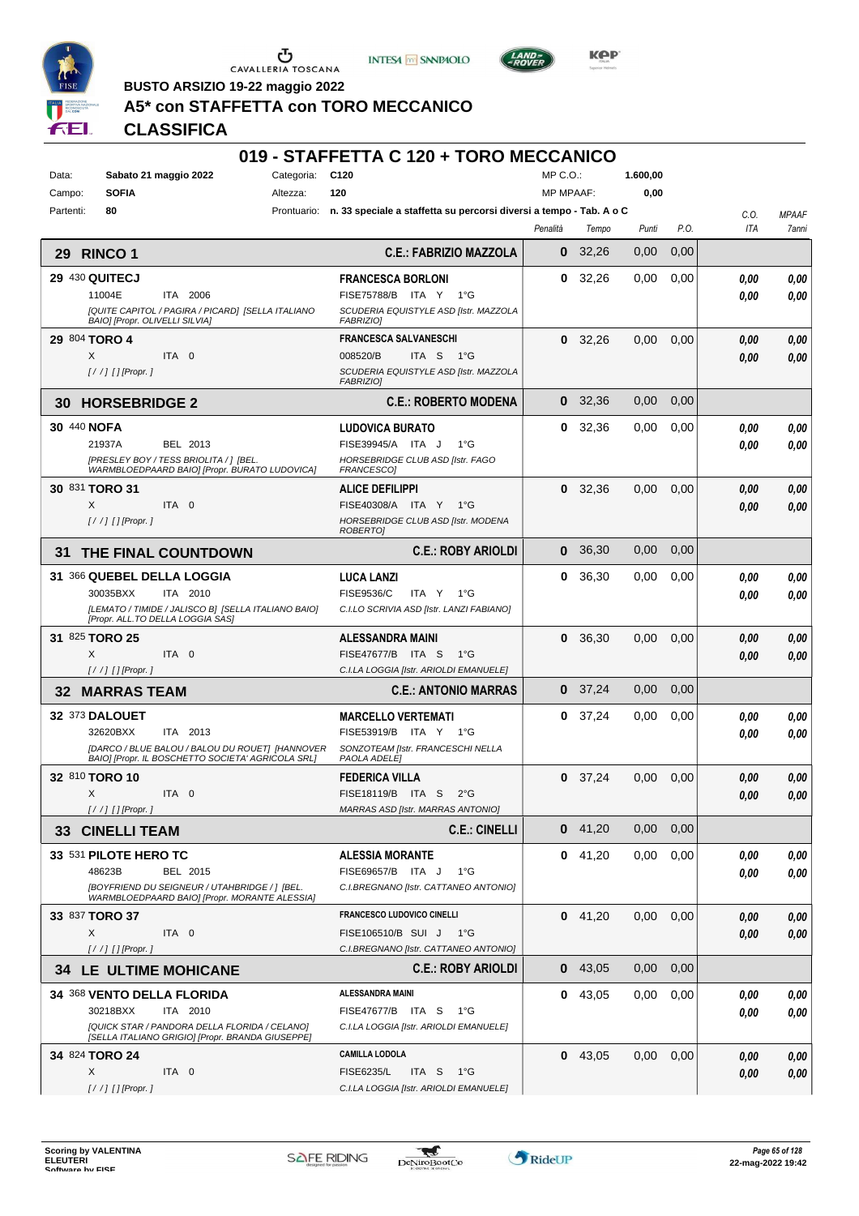





**Kep** 

**BUSTO ARSIZIO 19-22 maggio 2022**

# **A5\* con STAFFETTA con TORO MECCANICO**

## **CLASSIFICA**

| Data:<br>Campo: | Sabato 21 maggio 2022<br><b>SOFIA</b>                                                                | Categoria:<br>Altezza: | C <sub>120</sub><br>120                                                         | MP C.O.:<br><b>MP MPAAF:</b> |           | 1.600,00<br>0,00 |      |             |                       |
|-----------------|------------------------------------------------------------------------------------------------------|------------------------|---------------------------------------------------------------------------------|------------------------------|-----------|------------------|------|-------------|-----------------------|
| Partenti:       | 80                                                                                                   |                        | Prontuario: n. 33 speciale a staffetta su percorsi diversi a tempo - Tab. A o C |                              |           |                  |      |             |                       |
|                 |                                                                                                      |                        |                                                                                 | Penalità                     | Tempo     | Punti            | P.O. | C.O.<br>ITA | <b>MPAAF</b><br>7anni |
| 29 -            | <b>RINCO 1</b>                                                                                       |                        | <b>C.E.: FABRIZIO MAZZOLA</b>                                                   | $\bf{0}$                     | 32,26     | 0,00             | 0,00 |             |                       |
|                 | <b>29 430 QUITECJ</b>                                                                                |                        | <b>FRANCESCA BORLONI</b>                                                        | 0                            | 32,26     | 0,00             | 0,00 | 0.00        | 0,00                  |
|                 | 11004E<br>ITA 2006                                                                                   |                        | FISE75788/B ITA Y 1°G                                                           |                              |           |                  |      | 0.00        | 0,00                  |
|                 | [QUITE CAPITOL / PAGIRA / PICARD] [SELLA ITALIANO<br><b>BAIOI [Propr. OLIVELLI SILVIA]</b>           |                        | SCUDERIA EQUISTYLE ASD [Istr. MAZZOLA<br>FABRIZIO]                              |                              |           |                  |      |             |                       |
|                 | 29 804 TORO 4                                                                                        |                        | <b>FRANCESCA SALVANESCHI</b>                                                    |                              | $0$ 32,26 | 0,00             | 0,00 | 0.00        | 0,00                  |
|                 | ITA 0<br>X                                                                                           |                        | 008520/B<br>ITA <sub>S</sub><br>$1^{\circ}G$                                    |                              |           |                  |      | 0,00        | 0,00                  |
|                 | [/ /] [] [Propr. ]                                                                                   |                        | SCUDERIA EQUISTYLE ASD [Istr. MAZZOLA<br><b>FABRIZIOI</b>                       |                              |           |                  |      |             |                       |
| 30              | <b>HORSEBRIDGE 2</b>                                                                                 |                        | <b>C.E.: ROBERTO MODENA</b>                                                     | $\mathbf{0}$                 | 32,36     | 0,00             | 0,00 |             |                       |
| 30 440 NOFA     |                                                                                                      |                        | <b>LUDOVICA BURATO</b>                                                          | 0                            | 32,36     | 0,00             | 0,00 | 0.00        | 0,00                  |
|                 | 21937A<br>BEL 2013                                                                                   |                        | FISE39945/A ITA J<br>$1^{\circ}$ G                                              |                              |           |                  |      | 0.00        | 0.00                  |
|                 | [PRESLEY BOY / TESS BRIOLITA / ] [BEL.<br>WARMBLOEDPAARD BAIO] [Propr. BURATO LUDOVICA]              |                        | HORSEBRIDGE CLUB ASD [Istr. FAGO<br>FRANCESCO]                                  |                              |           |                  |      |             |                       |
|                 | 30 831 TORO 31                                                                                       |                        | <b>ALICE DEFILIPPI</b>                                                          | 0                            | 32,36     | 0,00             | 0,00 | 0.00        | 0,00                  |
|                 | X<br>ITA 0                                                                                           |                        | FISE40308/A ITA Y 1°G                                                           |                              |           |                  |      | 0.00        | 0.00                  |
|                 | $[!//]$ [] [Propr.]                                                                                  |                        | HORSEBRIDGE CLUB ASD [Istr. MODENA<br><b>ROBERTOI</b>                           |                              |           |                  |      |             |                       |
| 31              | THE FINAL COUNTDOWN                                                                                  |                        | <b>C.E.: ROBY ARIOLDI</b>                                                       | $\bf{0}$                     | 36,30     | 0,00             | 0,00 |             |                       |
|                 | 31 366 QUEBEL DELLA LOGGIA                                                                           |                        | <b>LUCA LANZI</b>                                                               | 0                            | 36.30     | 0,00             | 0,00 | 0,00        | 0,00                  |
|                 | 30035BXX<br>ITA 2010                                                                                 |                        | FISE9536/C<br>ITA Y<br>1°G                                                      |                              |           |                  |      | 0.00        | 0,00                  |
|                 | [LEMATO / TIMIDE / JALISCO B] [SELLA ITALIANO BAIO]<br>[Propr. ALL.TO DELLA LOGGIA SAS]              |                        | C.I.LO SCRIVIA ASD [Istr. LANZI FABIANO]                                        |                              |           |                  |      |             |                       |
|                 | 31 825 TORO 25                                                                                       |                        | ALESSANDRA MAINI                                                                |                              | 0, 36, 30 | 0,00             | 0,00 | 0,00        | 0,00                  |
|                 | X<br>ITA 0                                                                                           |                        | FISE47677/B ITA S<br>$1^{\circ}G$                                               |                              |           |                  |      | 0,00        | 0,00                  |
| 32              | $[!//]$ [] [Propr.]<br><b>MARRAS TEAM</b>                                                            |                        | C.I.LA LOGGIA [Istr. ARIOLDI EMANUELE]<br><b>C.E.: ANTONIO MARRAS</b>           |                              | $0$ 37,24 | 0,00             | 0,00 |             |                       |
|                 | 32 373 DALOUET                                                                                       |                        | <b>MARCELLO VERTEMATI</b>                                                       | 0                            | 37,24     | 0,00             | 0,00 | 0,00        | 0,00                  |
|                 | 32620BXX<br>ITA 2013                                                                                 |                        | FISE53919/B ITA Y 1°G                                                           |                              |           |                  |      | 0.00        | 0.00                  |
|                 | [DARCO / BLUE BALOU / BALOU DU ROUET] [HANNOVER<br>BAIO] [Propr. IL BOSCHETTO SOCIETA' AGRICOLA SRL] |                        | SONZOTEAM [Istr. FRANCESCHI NELLA<br>PAOLA ADELE]                               |                              |           |                  |      |             |                       |
|                 | 32 810 TORO 10                                                                                       |                        | <b>FEDERICA VILLA</b>                                                           |                              | $0$ 37,24 | 0,00             | 0,00 | 0,00        | 0,00                  |
|                 | X<br>ITA 0                                                                                           |                        | FISE18119/B ITA S<br>$2^{\circ}$ G                                              |                              |           |                  |      | 0.00        | 0.00                  |
|                 | $[!//]$ [] [Propr.]                                                                                  |                        | MARRAS ASD [Istr. MARRAS ANTONIO]                                               |                              |           |                  |      |             |                       |
|                 | <b>33 CINELLI TEAM</b>                                                                               |                        | <b>C.E.: CINELLI</b>                                                            |                              | $0$ 41,20 | 0,00             | 0,00 |             |                       |
|                 | 33 531 PILOTE HERO TC                                                                                |                        | <b>ALESSIA MORANTE</b>                                                          |                              | $0$ 41,20 | 0,00             | 0,00 | 0,00        | 0,00                  |
|                 | 48623B<br>BEL 2015                                                                                   |                        | FISE69657/B ITA J<br>$1^{\circ}G$                                               |                              |           |                  |      | 0,00        | 0,00                  |
|                 | [BOYFRIEND DU SEIGNEUR / UTAHBRIDGE / ] [BEL.<br>WARMBLOEDPAARD BAIO] [Propr. MORANTE ALESSIA]       |                        | C.I.BREGNANO [Istr. CATTANEO ANTONIO]                                           |                              |           |                  |      |             |                       |
|                 | 33 837 TORO 37                                                                                       |                        | <b>FRANCESCO LUDOVICO CINELLI</b>                                               |                              | $0$ 41,20 | 0,00             | 0,00 | 0,00        | 0,00                  |
|                 | X<br>ITA 0                                                                                           |                        | FISE106510/B SUI J 1°G                                                          |                              |           |                  |      | 0,00        | 0,00                  |
|                 | $[!//]$ [] [Propr.]                                                                                  |                        | C.I.BREGNANO [Istr. CATTANEO ANTONIO]                                           |                              |           |                  |      |             |                       |
|                 | <b>34 LE ULTIME MOHICANE</b>                                                                         |                        | <b>C.E.: ROBY ARIOLDI</b>                                                       |                              | $0$ 43,05 | 0,00             | 0,00 |             |                       |
|                 | 34 368 VENTO DELLA FLORIDA                                                                           |                        | <b>ALESSANDRA MAINI</b>                                                         |                              | 0.43,05   | 0,00             | 0,00 | 0,00        | 0,00                  |
|                 | 30218BXX<br>ITA 2010<br>[QUICK STAR / PANDORA DELLA FLORIDA / CELANO]                                |                        | FISE47677/B ITA S<br>1°G<br>C.I.LA LOGGIA [Istr. ARIOLDI EMANUELE]              |                              |           |                  |      | 0,00        | 0.00                  |
|                 | [SELLA ITALIANO GRIGIO] [Propr. BRANDA GIUSEPPE]                                                     |                        |                                                                                 |                              |           |                  |      |             |                       |
|                 | 34 824 TORO 24                                                                                       |                        | <b>CAMILLA LODOLA</b>                                                           |                              | $0$ 43,05 | 0,00             | 0,00 | 0,00        | 0,00                  |
|                 | X<br>ITA 0<br>[/ /] [] [Propr. ]                                                                     |                        | <b>FISE6235/L</b><br>ITA S<br>− 1°G<br>C.I.LA LOGGIA [Istr. ARIOLDI EMANUELE]   |                              |           |                  |      | 0,00        | 0,00                  |
|                 |                                                                                                      |                        |                                                                                 |                              |           |                  |      |             |                       |

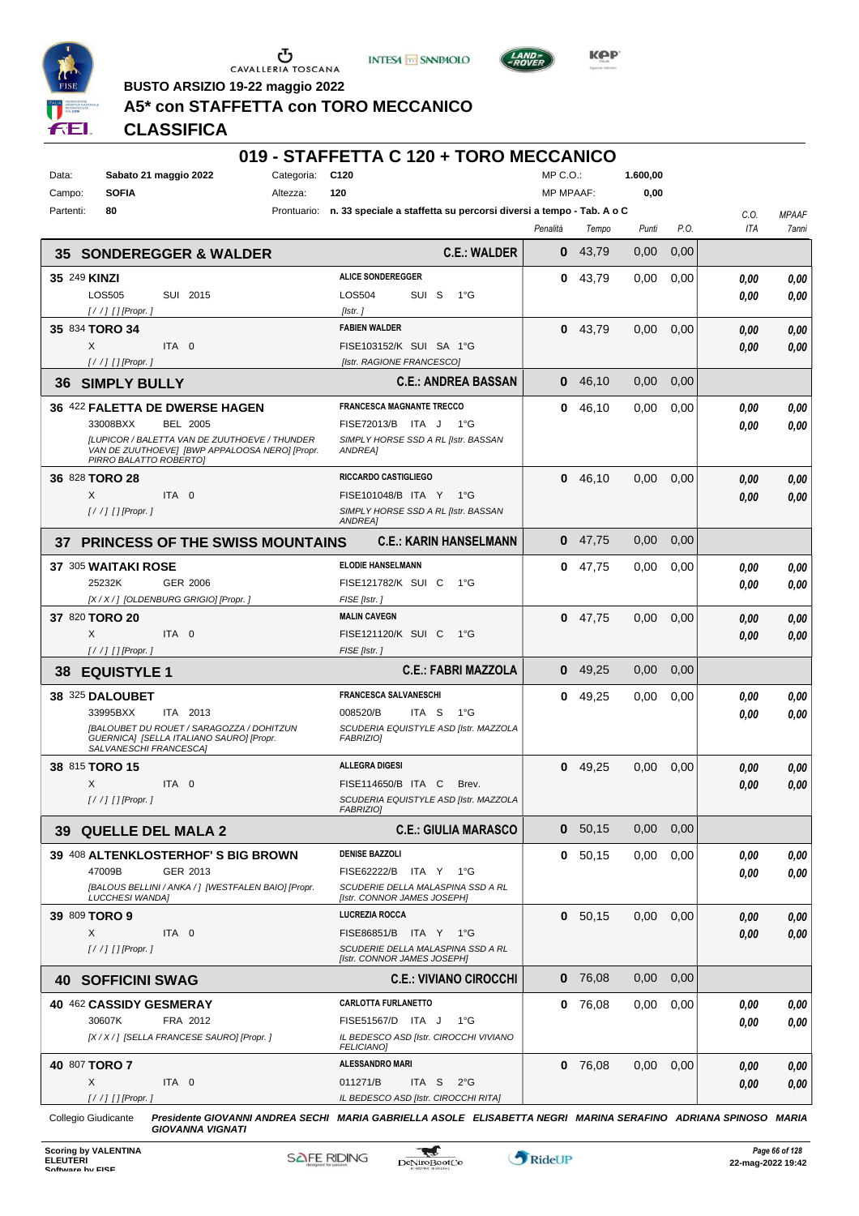





**Kep** 

**BUSTO ARSIZIO 19-22 maggio 2022**

#### **A5\* con STAFFETTA con TORO MECCANICO**

## **CLASSIFICA**

## **019 - STAFFETTA C 120 + TORO MECCANICO**

| Data:                     | Sabato 21 maggio 2022                                                                 | Categoria: | C120                                                                            | MP C.O.:         |           | 1.600,00 |      |                    |                       |
|---------------------------|---------------------------------------------------------------------------------------|------------|---------------------------------------------------------------------------------|------------------|-----------|----------|------|--------------------|-----------------------|
| <b>SOFIA</b><br>Campo:    |                                                                                       | Altezza:   | 120                                                                             | <b>MP MPAAF:</b> |           | 0,00     |      |                    |                       |
| 80<br>Partenti:           |                                                                                       |            | Prontuario: n. 33 speciale a staffetta su percorsi diversi a tempo - Tab. A o C | Penalità         | Tempo     | Punti    | P.O. | C.O.<br><b>ITA</b> | <b>MPAAF</b><br>7anni |
| 35                        | <b>SONDEREGGER &amp; WALDER</b>                                                       |            | <b>C.E.: WALDER</b>                                                             | 0                | 43.79     | 0,00     | 0,00 |                    |                       |
| 35 249 KINZI              |                                                                                       |            | <b>ALICE SONDEREGGER</b>                                                        | 0                | 43,79     | 0,00     | 0,00 | 0.00               | 0,00                  |
| LOS505                    | SUI 2015                                                                              |            | <b>LOS504</b><br>SUI S<br>− 1°G                                                 |                  |           |          |      | 0.00               | 0.00                  |
| $1/$ / $1$ $1$ [Propr. 1  |                                                                                       |            | [Istr.]                                                                         |                  |           |          |      |                    |                       |
| 35 834 TORO 34            |                                                                                       |            | <b>FABIEN WALDER</b>                                                            |                  | 0.43,79   | 0,00     | 0,00 | 0.00               | 0,00                  |
| X                         | ITA 0                                                                                 |            | FISE103152/K SUI SA 1°G                                                         |                  |           |          |      | 0.00               | 0,00                  |
| $[!//]$ [] [Propr.]       |                                                                                       |            | [Istr. RAGIONE FRANCESCO]<br><b>C.E.: ANDREA BASSAN</b>                         | 0                | 46,10     | 0,00     | 0,00 |                    |                       |
| <b>SIMPLY BULLY</b><br>36 | 36 422 FALETTA DE DWERSE HAGEN                                                        |            | <b>FRANCESCA MAGNANTE TRECCO</b>                                                | 0                | 46,10     | 0,00     | 0,00 |                    |                       |
| 33008BXX                  | <b>BEL 2005</b>                                                                       |            | FISE72013/B ITA J 1°G                                                           |                  |           |          |      | 0.00<br>0.00       | 0,00<br>0,00          |
|                           | [LUPICOR / BALETTA VAN DE ZUUTHOEVE / THUNDER                                         |            | SIMPLY HORSE SSD A RL [Istr. BASSAN                                             |                  |           |          |      |                    |                       |
|                           | VAN DE ZUUTHOEVE] [BWP APPALOOSA NERO] [Propr.<br>PIRRO BALATTO ROBERTOJ              |            | <b>ANDREA1</b>                                                                  |                  |           |          |      |                    |                       |
| 36 828 TORO 28            |                                                                                       |            | RICCARDO CASTIGLIEGO                                                            | 0                | 46,10     | 0,00     | 0,00 | 0.00               | 0,00                  |
| X                         | ITA 0                                                                                 |            | FISE101048/B ITA Y 1°G                                                          |                  |           |          |      | 0,00               | 0,00                  |
| $1/$ / $1$ $1$ [Propr. 1  |                                                                                       |            | SIMPLY HORSE SSD A RL [Istr. BASSAN<br>ANDREA]                                  |                  |           |          |      |                    |                       |
| 37                        | <b>PRINCESS OF THE SWISS MOUNTAINS</b>                                                |            | <b>C.E.: KARIN HANSELMANN</b>                                                   | $\bf{0}$         | 47.75     | 0,00     | 0,00 |                    |                       |
| 37 305 WAITAKI ROSE       |                                                                                       |            | <b>ELODIE HANSELMANN</b>                                                        |                  | $0$ 47,75 | 0,00     | 0,00 | 0.00               | 0,00                  |
| 25232K                    | <b>GER 2006</b>                                                                       |            | FISE121782/K SUI C<br>$1^{\circ}G$                                              |                  |           |          |      | 0.00               | 0.00                  |
|                           | [X / X / ] [OLDENBURG GRIGIO] [Propr. ]                                               |            | FISE [Istr.]                                                                    |                  |           |          |      |                    |                       |
| 37 820 TORO 20            |                                                                                       |            | <b>MALIN CAVEGN</b>                                                             |                  | $0$ 47,75 | 0,00     | 0,00 | 0,00               | 0,00                  |
| X                         | ITA 0                                                                                 |            | FISE121120/K SUI C<br>$1^{\circ}G$                                              |                  |           |          |      | 0.00               | 0,00                  |
| $[!//]$ [] [Propr.]       |                                                                                       |            |                                                                                 |                  |           |          |      |                    |                       |
|                           |                                                                                       |            | FISE [Istr.]                                                                    |                  |           |          |      |                    |                       |
| 38<br><b>EQUISTYLE 1</b>  |                                                                                       |            | <b>C.E.: FABRI MAZZOLA</b>                                                      | 0                | 49,25     | 0,00     | 0,00 |                    |                       |
| 38 325 DALOUBET           |                                                                                       |            | <b>FRANCESCA SALVANESCHI</b>                                                    | 0                | 49,25     | 0,00     | 0,00 | 0,00               | 0,00                  |
| 33995BXX                  | ITA 2013                                                                              |            | 008520/B<br>ITA S<br>1°G                                                        |                  |           |          |      | 0.00               | 0,00                  |
|                           | [BALOUBET DU ROUET / SARAGOZZA / DOHITZUN<br>GUERNICA] [SELLA ITALIANO SAURO] [Propr. |            | SCUDERIA EQUISTYLE ASD [Istr. MAZZOLA<br>FABRIZIO]                              |                  |           |          |      |                    |                       |
|                           | SALVANESCHI FRANCESCA]                                                                |            |                                                                                 |                  |           |          |      |                    |                       |
| 38 815 TORO 15            |                                                                                       |            | <b>ALLEGRA DIGESI</b>                                                           | 0                | 49,25     | 0,00     | 0,00 | 0.00               | 0,00                  |
| X                         | ITA 0                                                                                 |            | FISE114650/B ITA C<br>Brev.                                                     |                  |           |          |      | 0.00               | 0,00                  |
| [/ /] [] [Propr. ]        |                                                                                       |            | SCUDERIA EQUISTYLE ASD [Istr. MAZZOLA<br><i><b>FABRIZIO]</b></i>                |                  |           |          |      |                    |                       |
|                           | <b>39 QUELLE DEL MALA 2</b>                                                           |            | <b>C.E.: GIULIA MARASCO</b>                                                     | 0                | 50,15     | 0,00     | 0,00 |                    |                       |
|                           | 39 408 ALTENKLOSTERHOF'S BIG BROWN                                                    |            | <b>DENISE BAZZOLI</b>                                                           |                  | 0, 50, 15 | 0,00     | 0,00 | 0,00               | 0,00                  |
| 47009B                    | GER 2013                                                                              |            | FISE62222/B ITA Y 1°G                                                           |                  |           |          |      | 0,00               | 0,00                  |
| <b>LUCCHESI WANDAI</b>    | [BALOUS BELLINI / ANKA / ] [WESTFALEN BAIO] [Propr.                                   |            | SCUDERIE DELLA MALASPINA SSD A RL<br>[Istr. CONNOR JAMES JOSEPH]                |                  |           |          |      |                    |                       |
| 39 809 TORO 9             |                                                                                       |            | <b>LUCREZIA ROCCA</b>                                                           |                  |           | 0,00     | 0,00 |                    |                       |
| X                         | ITA 0                                                                                 |            | FISE86851/B ITA Y 1°G                                                           |                  | 0 50,15   |          |      | 0,00<br>0,00       | 0,00                  |
| $[!//]$ [] [Propr.]       |                                                                                       |            | SCUDERIE DELLA MALASPINA SSD A RL<br>[Istr. CONNOR JAMES JOSEPH]                |                  |           |          |      |                    | 0,00                  |
| <b>40 SOFFICINI SWAG</b>  |                                                                                       |            | <b>C.E.: VIVIANO CIROCCHI</b>                                                   |                  | 0, 76, 08 | 0,00     | 0,00 |                    |                       |
| 40 462 CASSIDY GESMERAY   |                                                                                       |            | <b>CARLOTTA FURLANETTO</b>                                                      |                  | 0, 76, 08 | 0,00     | 0,00 | 0.00               | 0,00                  |
| 30607K                    | FRA 2012                                                                              |            | FISE51567/D ITA J<br>1°G                                                        |                  |           |          |      | 0,00               | 0,00                  |
|                           | [X / X / ] [SELLA FRANCESE SAURO] [Propr. ]                                           |            | IL BEDESCO ASD [Istr. CIROCCHI VIVIANO<br><b>FELICIANO]</b>                     |                  |           |          |      |                    |                       |
| 40 807 TORO 7             |                                                                                       |            | <b>ALESSANDRO MARI</b>                                                          |                  | 0, 76, 08 | 0,00     | 0,00 | 0,00               | 0,00                  |
| X                         | ITA 0                                                                                 |            | 011271/B<br>ITA S $2^{\circ}G$                                                  |                  |           |          |      | 0,00               | 0,00                  |
| $[!//]$ [] [Propr.]       |                                                                                       |            | IL BEDESCO ASD [Istr. CIROCCHI RITA]                                            |                  |           |          |      |                    |                       |

**Scoring by VALENTINA**<br>
ELEUTERI Page 66 of 128<br>
Software hy Elecute 22-mag-2022 19:42<br>
Software hy Elecute 22-mag-2022 19:42

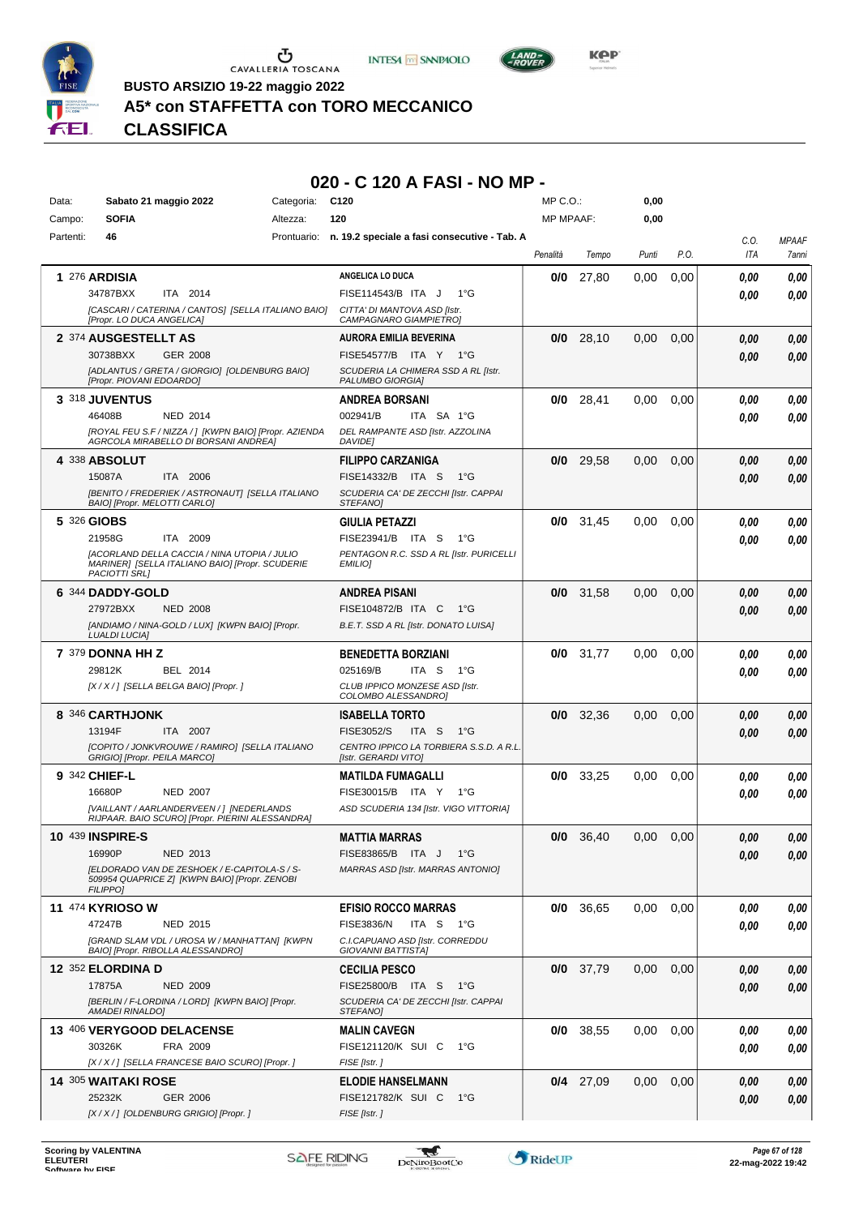





**BUSTO ARSIZIO 19-22 maggio 2022**

#### **A5\* con STAFFETTA con TORO MECCANICO**

*Presidente GIOVANNI ANDREA SECHI MARIA GABRIELLA ASOLE ELISABETTA NEGRI MARINA SERAFINO ADRIANA SPINOSO MARIA GIOVANNA VIGNATI* **CLASSIFICA**

#### **020 - C 120 A FASI - NO MP -**

| <b>SOFIA</b><br>120<br><b>MP MPAAF:</b><br>0,00<br>Campo:<br>Altezza:<br>Partenti:<br>46<br>Prontuario:<br>n. 19.2 speciale a fasi consecutive - Tab. A<br><b>MPAAF</b><br>C.O.<br>P.O.<br>ITA<br>Penalità<br>Tempo<br>Punti<br>7anni<br>ANGELICA LO DUCA<br><b>1 276 ARDISIA</b><br>0/0<br>27,80<br>0.00<br>0,00<br>0,00<br>0,00<br>ITA 2014<br>34787BXX<br>FISE114543/B ITA J<br>1°G<br>0,00<br>0.00<br>[CASCARI / CATERINA / CANTOS] [SELLA ITALIANO BAIO]<br>CITTA' DI MANTOVA ASD [Istr.<br>[Propr. LO DUCA ANGELICA]<br>CAMPAGNARO GIAMPIETROI<br>2 374 AUSGESTELLT AS<br><b>AURORA EMILIA BEVERINA</b><br>28,10<br>0,00<br>0/0<br>0,00<br>0,00<br>0.00<br>30738BXX<br>GER 2008<br>FISE54577/B ITA Y 1°G<br>0,00<br>0.00<br>[ADLANTUS / GRETA / GIORGIO] [OLDENBURG BAIO]<br>SCUDERIA LA CHIMERA SSD A RL [Istr.<br>[Propr. PIOVANI EDOARDO]<br>PALUMBO GIORGIAI<br>$\,$ 3 $^{318}$ JUVENTUS<br>28,41<br>0/0<br>0,00<br>0,00<br><b>ANDREA BORSANI</b><br>0.00<br>0,00<br>46408B<br>002941/B<br>NED 2014<br>ITA SA 1°G<br>0.00<br>0.00<br>[ROYAL FEU S.F / NIZZA / ] [KWPN BAIO] [Propr. AZIENDA<br>DEL RAMPANTE ASD [Istr. AZZOLINA<br>AGRCOLA MIRABELLO DI BORSANI ANDREA]<br><b>DAVIDE</b><br>4 338 ABSOLUT<br><b>FILIPPO CARZANIGA</b><br>29,58<br>0/0<br>0,00<br>0,00<br>0.00<br>0,00<br>15087A<br>ITA 2006<br>FISE14332/B ITA S<br>$1^{\circ}G$<br>0.00<br>0.00<br>[BENITO / FREDERIEK / ASTRONAUT] [SELLA ITALIANO<br>SCUDERIA CA' DE ZECCHI [Istr. CAPPAI<br>BAIO] [Propr. MELOTTI CARLO]<br>STEFANO]<br>5 326 GIOBS<br><b>GIULIA PETAZZI</b><br>$0/0$ 31,45<br>0,00<br>0.00<br>0,00<br>0,00<br>21958G<br>FISE23941/B ITA S<br>ITA 2009<br>1°G<br>0.00<br>0.00<br>[ACORLAND DELLA CACCIA / NINA UTOPIA / JULIO<br>PENTAGON R.C. SSD A RL [Istr. PURICELLI<br>MARINER] [SELLA ITALIANO BAIO] [Propr. SCUDERIE<br><b>EMILIO1</b><br>PACIOTTI SRL]<br>6 344 DADDY-GOLD<br><b>ANDREA PISANI</b><br>$0/0$ 31,58<br>0,00<br>0,00<br>0.00<br>0,00<br>27972BXX<br>FISE104872/B ITA C<br><b>NED 2008</b><br>1°G<br>0,00<br>0.00<br>[ANDIAMO / NINA-GOLD / LUX] [KWPN BAIO] [Propr.<br>B.E.T. SSD A RL [Istr. DONATO LUISA]<br><b>LUALDI LUCIA]</b><br>7 379 DONNA HH Z<br><b>BENEDETTA BORZIANI</b><br>$0/0$ 31,77<br>0,00<br>0,00<br>0,00<br>0.00<br>025169/B<br>29812K<br>BEL 2014<br>ITA S<br>1°G<br>0.00<br>0.00<br>[X / X / ] [SELLA BELGA BAIO] [Propr. ]<br>CLUB IPPICO MONZESE ASD [Istr.<br>COLOMBO ALESSANDROJ<br>$0/0$ 32,36<br>8 346 CARTHJONK<br>0,00<br>0,00<br>0,00<br>0,00<br><b>ISABELLA TORTO</b><br>13194F<br>ITA 2007<br><b>FISE3052/S</b><br>ITA S<br>$1^{\circ}G$<br>0,00<br>0.00<br>CENTRO IPPICO LA TORBIERA S.S.D. A R.L.<br>[COPITO / JONKVROUWE / RAMIRO] [SELLA ITALIANO<br>GRIGIO] [Propr. PEILA MARCO]<br>[Istr. GERARDI VITO]<br>9 342 CHIEF-L<br>33,25<br>0/0<br>0,00<br>0,00<br>0,00<br><b>MATILDA FUMAGALLI</b><br>0,00<br>16680P<br><b>NED 2007</b><br>FISE30015/B ITA Y<br>1°G<br>0.00<br>0.00<br>[VAILLANT / AARLANDERVEEN / ] [NEDERLANDS<br>ASD SCUDERIA 134 [Istr. VIGO VITTORIA]<br>RIJPAAR. BAIO SCUROI [Propr. PIERINI ALESSANDRA]<br>10 439 INSPIRE-S<br>$0/0$ 36,40<br>0,00<br>0,00<br>0.00<br><b>MATTIA MARRAS</b><br>0.00<br>16990P<br>NED 2013<br>FISE83865/B ITA J 1°G<br>0.00<br>0,00<br>[ELDORADO VAN DE ZESHOEK / E-CAPITOLA-S / S-<br><b>MARRAS ASD [Istr. MARRAS ANTONIO]</b><br>509954 QUAPRICE Z] [KWPN BAIO] [Propr. ZENOBI<br><b>FILIPPO]</b><br><b>11 474 KYRIOSO W</b><br>$0/0$ 36,65<br>0,00<br>0,00<br>0,00<br><b>EFISIO ROCCO MARRAS</b><br>0.00<br>47247B<br><b>NED 2015</b><br>FISE3836/N<br>ITA S 1°G<br>0.00<br>0.00<br>[GRAND SLAM VDL / UROSA W / MANHATTAN] [KWPN<br>C.I.CAPUANO ASD [Istr. CORREDDU<br>BAIO] [Propr. RIBOLLA ALESSANDRO]<br>GIOVANNI BATTISTAJ<br>12 352 ELORDINA D<br>$0/0$ 37,79<br>0,00<br>0,00<br><b>CECILIA PESCO</b><br>0.00<br>0,00<br>17875A<br>FISE25800/B ITA S 1°G<br><b>NED 2009</b><br>0.00<br>0.00<br>[BERLIN / F-LORDINA / LORD] [KWPN BAIO] [Propr.<br>SCUDERIA CA' DE ZECCHI [Istr. CAPPAI<br>AMADEI RINALDO]<br>STEFANO]<br>13 406 VERYGOOD DELACENSE<br>$0/0$ 38,55<br>0,00<br>0,00<br>0,00<br><b>MALIN CAVEGN</b><br>0,00<br>30326K<br>FRA 2009<br>FISE121120/K SUI C<br>1°G<br>0,00<br>0,00<br>[X / X / ] [SELLA FRANCESE BAIO SCURO] [Propr. ]<br>FISE [Istr. ]<br><b>14 305 WAITAKI ROSE</b><br>$0/4$ 27,09<br>0,00<br>0,00<br><b>ELODIE HANSELMANN</b><br>0.00<br>0,00<br>25232K<br><b>GER 2006</b><br>FISE121782/K SUI C 1°G<br>0,00<br>0,00<br>[X / X / ] [OLDENBURG GRIGIO] [Propr. ]<br>FISE [Istr.] | Data: | Sabato 21 maggio 2022 | Categoria: | C <sub>120</sub> | MP C. O. | 0,00 |  |  |
|-----------------------------------------------------------------------------------------------------------------------------------------------------------------------------------------------------------------------------------------------------------------------------------------------------------------------------------------------------------------------------------------------------------------------------------------------------------------------------------------------------------------------------------------------------------------------------------------------------------------------------------------------------------------------------------------------------------------------------------------------------------------------------------------------------------------------------------------------------------------------------------------------------------------------------------------------------------------------------------------------------------------------------------------------------------------------------------------------------------------------------------------------------------------------------------------------------------------------------------------------------------------------------------------------------------------------------------------------------------------------------------------------------------------------------------------------------------------------------------------------------------------------------------------------------------------------------------------------------------------------------------------------------------------------------------------------------------------------------------------------------------------------------------------------------------------------------------------------------------------------------------------------------------------------------------------------------------------------------------------------------------------------------------------------------------------------------------------------------------------------------------------------------------------------------------------------------------------------------------------------------------------------------------------------------------------------------------------------------------------------------------------------------------------------------------------------------------------------------------------------------------------------------------------------------------------------------------------------------------------------------------------------------------------------------------------------------------------------------------------------------------------------------------------------------------------------------------------------------------------------------------------------------------------------------------------------------------------------------------------------------------------------------------------------------------------------------------------------------------------------------------------------------------------------------------------------------------------------------------------------------------------------------------------------------------------------------------------------------------------------------------------------------------------------------------------------------------------------------------------------------------------------------------------------------------------------------------------------------------------------------------------------------------------------------------------------------------------------------------------------------------------------------------------------------------------------------------------------------------------------------------------------------------------------------------------------------------------------------------------------------------------------------------------------------------------------------------------------------------------------------------------------------------------------------------------------------------------------------------------------------------------------------------------------------------------------------------------------------------------------------------------------------------------------------------------------------------------------------------------------------------------------------|-------|-----------------------|------------|------------------|----------|------|--|--|
|                                                                                                                                                                                                                                                                                                                                                                                                                                                                                                                                                                                                                                                                                                                                                                                                                                                                                                                                                                                                                                                                                                                                                                                                                                                                                                                                                                                                                                                                                                                                                                                                                                                                                                                                                                                                                                                                                                                                                                                                                                                                                                                                                                                                                                                                                                                                                                                                                                                                                                                                                                                                                                                                                                                                                                                                                                                                                                                                                                                                                                                                                                                                                                                                                                                                                                                                                                                                                                                                                                                                                                                                                                                                                                                                                                                                                                                                                                                                                                                                                                                                                                                                                                                                                                                                                                                                                                                                                                                                                                                             |       |                       |            |                  |          |      |  |  |
|                                                                                                                                                                                                                                                                                                                                                                                                                                                                                                                                                                                                                                                                                                                                                                                                                                                                                                                                                                                                                                                                                                                                                                                                                                                                                                                                                                                                                                                                                                                                                                                                                                                                                                                                                                                                                                                                                                                                                                                                                                                                                                                                                                                                                                                                                                                                                                                                                                                                                                                                                                                                                                                                                                                                                                                                                                                                                                                                                                                                                                                                                                                                                                                                                                                                                                                                                                                                                                                                                                                                                                                                                                                                                                                                                                                                                                                                                                                                                                                                                                                                                                                                                                                                                                                                                                                                                                                                                                                                                                                             |       |                       |            |                  |          |      |  |  |
|                                                                                                                                                                                                                                                                                                                                                                                                                                                                                                                                                                                                                                                                                                                                                                                                                                                                                                                                                                                                                                                                                                                                                                                                                                                                                                                                                                                                                                                                                                                                                                                                                                                                                                                                                                                                                                                                                                                                                                                                                                                                                                                                                                                                                                                                                                                                                                                                                                                                                                                                                                                                                                                                                                                                                                                                                                                                                                                                                                                                                                                                                                                                                                                                                                                                                                                                                                                                                                                                                                                                                                                                                                                                                                                                                                                                                                                                                                                                                                                                                                                                                                                                                                                                                                                                                                                                                                                                                                                                                                                             |       |                       |            |                  |          |      |  |  |
|                                                                                                                                                                                                                                                                                                                                                                                                                                                                                                                                                                                                                                                                                                                                                                                                                                                                                                                                                                                                                                                                                                                                                                                                                                                                                                                                                                                                                                                                                                                                                                                                                                                                                                                                                                                                                                                                                                                                                                                                                                                                                                                                                                                                                                                                                                                                                                                                                                                                                                                                                                                                                                                                                                                                                                                                                                                                                                                                                                                                                                                                                                                                                                                                                                                                                                                                                                                                                                                                                                                                                                                                                                                                                                                                                                                                                                                                                                                                                                                                                                                                                                                                                                                                                                                                                                                                                                                                                                                                                                                             |       |                       |            |                  |          |      |  |  |
|                                                                                                                                                                                                                                                                                                                                                                                                                                                                                                                                                                                                                                                                                                                                                                                                                                                                                                                                                                                                                                                                                                                                                                                                                                                                                                                                                                                                                                                                                                                                                                                                                                                                                                                                                                                                                                                                                                                                                                                                                                                                                                                                                                                                                                                                                                                                                                                                                                                                                                                                                                                                                                                                                                                                                                                                                                                                                                                                                                                                                                                                                                                                                                                                                                                                                                                                                                                                                                                                                                                                                                                                                                                                                                                                                                                                                                                                                                                                                                                                                                                                                                                                                                                                                                                                                                                                                                                                                                                                                                                             |       |                       |            |                  |          |      |  |  |
|                                                                                                                                                                                                                                                                                                                                                                                                                                                                                                                                                                                                                                                                                                                                                                                                                                                                                                                                                                                                                                                                                                                                                                                                                                                                                                                                                                                                                                                                                                                                                                                                                                                                                                                                                                                                                                                                                                                                                                                                                                                                                                                                                                                                                                                                                                                                                                                                                                                                                                                                                                                                                                                                                                                                                                                                                                                                                                                                                                                                                                                                                                                                                                                                                                                                                                                                                                                                                                                                                                                                                                                                                                                                                                                                                                                                                                                                                                                                                                                                                                                                                                                                                                                                                                                                                                                                                                                                                                                                                                                             |       |                       |            |                  |          |      |  |  |
|                                                                                                                                                                                                                                                                                                                                                                                                                                                                                                                                                                                                                                                                                                                                                                                                                                                                                                                                                                                                                                                                                                                                                                                                                                                                                                                                                                                                                                                                                                                                                                                                                                                                                                                                                                                                                                                                                                                                                                                                                                                                                                                                                                                                                                                                                                                                                                                                                                                                                                                                                                                                                                                                                                                                                                                                                                                                                                                                                                                                                                                                                                                                                                                                                                                                                                                                                                                                                                                                                                                                                                                                                                                                                                                                                                                                                                                                                                                                                                                                                                                                                                                                                                                                                                                                                                                                                                                                                                                                                                                             |       |                       |            |                  |          |      |  |  |
|                                                                                                                                                                                                                                                                                                                                                                                                                                                                                                                                                                                                                                                                                                                                                                                                                                                                                                                                                                                                                                                                                                                                                                                                                                                                                                                                                                                                                                                                                                                                                                                                                                                                                                                                                                                                                                                                                                                                                                                                                                                                                                                                                                                                                                                                                                                                                                                                                                                                                                                                                                                                                                                                                                                                                                                                                                                                                                                                                                                                                                                                                                                                                                                                                                                                                                                                                                                                                                                                                                                                                                                                                                                                                                                                                                                                                                                                                                                                                                                                                                                                                                                                                                                                                                                                                                                                                                                                                                                                                                                             |       |                       |            |                  |          |      |  |  |
|                                                                                                                                                                                                                                                                                                                                                                                                                                                                                                                                                                                                                                                                                                                                                                                                                                                                                                                                                                                                                                                                                                                                                                                                                                                                                                                                                                                                                                                                                                                                                                                                                                                                                                                                                                                                                                                                                                                                                                                                                                                                                                                                                                                                                                                                                                                                                                                                                                                                                                                                                                                                                                                                                                                                                                                                                                                                                                                                                                                                                                                                                                                                                                                                                                                                                                                                                                                                                                                                                                                                                                                                                                                                                                                                                                                                                                                                                                                                                                                                                                                                                                                                                                                                                                                                                                                                                                                                                                                                                                                             |       |                       |            |                  |          |      |  |  |
|                                                                                                                                                                                                                                                                                                                                                                                                                                                                                                                                                                                                                                                                                                                                                                                                                                                                                                                                                                                                                                                                                                                                                                                                                                                                                                                                                                                                                                                                                                                                                                                                                                                                                                                                                                                                                                                                                                                                                                                                                                                                                                                                                                                                                                                                                                                                                                                                                                                                                                                                                                                                                                                                                                                                                                                                                                                                                                                                                                                                                                                                                                                                                                                                                                                                                                                                                                                                                                                                                                                                                                                                                                                                                                                                                                                                                                                                                                                                                                                                                                                                                                                                                                                                                                                                                                                                                                                                                                                                                                                             |       |                       |            |                  |          |      |  |  |
|                                                                                                                                                                                                                                                                                                                                                                                                                                                                                                                                                                                                                                                                                                                                                                                                                                                                                                                                                                                                                                                                                                                                                                                                                                                                                                                                                                                                                                                                                                                                                                                                                                                                                                                                                                                                                                                                                                                                                                                                                                                                                                                                                                                                                                                                                                                                                                                                                                                                                                                                                                                                                                                                                                                                                                                                                                                                                                                                                                                                                                                                                                                                                                                                                                                                                                                                                                                                                                                                                                                                                                                                                                                                                                                                                                                                                                                                                                                                                                                                                                                                                                                                                                                                                                                                                                                                                                                                                                                                                                                             |       |                       |            |                  |          |      |  |  |
|                                                                                                                                                                                                                                                                                                                                                                                                                                                                                                                                                                                                                                                                                                                                                                                                                                                                                                                                                                                                                                                                                                                                                                                                                                                                                                                                                                                                                                                                                                                                                                                                                                                                                                                                                                                                                                                                                                                                                                                                                                                                                                                                                                                                                                                                                                                                                                                                                                                                                                                                                                                                                                                                                                                                                                                                                                                                                                                                                                                                                                                                                                                                                                                                                                                                                                                                                                                                                                                                                                                                                                                                                                                                                                                                                                                                                                                                                                                                                                                                                                                                                                                                                                                                                                                                                                                                                                                                                                                                                                                             |       |                       |            |                  |          |      |  |  |
|                                                                                                                                                                                                                                                                                                                                                                                                                                                                                                                                                                                                                                                                                                                                                                                                                                                                                                                                                                                                                                                                                                                                                                                                                                                                                                                                                                                                                                                                                                                                                                                                                                                                                                                                                                                                                                                                                                                                                                                                                                                                                                                                                                                                                                                                                                                                                                                                                                                                                                                                                                                                                                                                                                                                                                                                                                                                                                                                                                                                                                                                                                                                                                                                                                                                                                                                                                                                                                                                                                                                                                                                                                                                                                                                                                                                                                                                                                                                                                                                                                                                                                                                                                                                                                                                                                                                                                                                                                                                                                                             |       |                       |            |                  |          |      |  |  |
|                                                                                                                                                                                                                                                                                                                                                                                                                                                                                                                                                                                                                                                                                                                                                                                                                                                                                                                                                                                                                                                                                                                                                                                                                                                                                                                                                                                                                                                                                                                                                                                                                                                                                                                                                                                                                                                                                                                                                                                                                                                                                                                                                                                                                                                                                                                                                                                                                                                                                                                                                                                                                                                                                                                                                                                                                                                                                                                                                                                                                                                                                                                                                                                                                                                                                                                                                                                                                                                                                                                                                                                                                                                                                                                                                                                                                                                                                                                                                                                                                                                                                                                                                                                                                                                                                                                                                                                                                                                                                                                             |       |                       |            |                  |          |      |  |  |
|                                                                                                                                                                                                                                                                                                                                                                                                                                                                                                                                                                                                                                                                                                                                                                                                                                                                                                                                                                                                                                                                                                                                                                                                                                                                                                                                                                                                                                                                                                                                                                                                                                                                                                                                                                                                                                                                                                                                                                                                                                                                                                                                                                                                                                                                                                                                                                                                                                                                                                                                                                                                                                                                                                                                                                                                                                                                                                                                                                                                                                                                                                                                                                                                                                                                                                                                                                                                                                                                                                                                                                                                                                                                                                                                                                                                                                                                                                                                                                                                                                                                                                                                                                                                                                                                                                                                                                                                                                                                                                                             |       |                       |            |                  |          |      |  |  |
|                                                                                                                                                                                                                                                                                                                                                                                                                                                                                                                                                                                                                                                                                                                                                                                                                                                                                                                                                                                                                                                                                                                                                                                                                                                                                                                                                                                                                                                                                                                                                                                                                                                                                                                                                                                                                                                                                                                                                                                                                                                                                                                                                                                                                                                                                                                                                                                                                                                                                                                                                                                                                                                                                                                                                                                                                                                                                                                                                                                                                                                                                                                                                                                                                                                                                                                                                                                                                                                                                                                                                                                                                                                                                                                                                                                                                                                                                                                                                                                                                                                                                                                                                                                                                                                                                                                                                                                                                                                                                                                             |       |                       |            |                  |          |      |  |  |
|                                                                                                                                                                                                                                                                                                                                                                                                                                                                                                                                                                                                                                                                                                                                                                                                                                                                                                                                                                                                                                                                                                                                                                                                                                                                                                                                                                                                                                                                                                                                                                                                                                                                                                                                                                                                                                                                                                                                                                                                                                                                                                                                                                                                                                                                                                                                                                                                                                                                                                                                                                                                                                                                                                                                                                                                                                                                                                                                                                                                                                                                                                                                                                                                                                                                                                                                                                                                                                                                                                                                                                                                                                                                                                                                                                                                                                                                                                                                                                                                                                                                                                                                                                                                                                                                                                                                                                                                                                                                                                                             |       |                       |            |                  |          |      |  |  |
|                                                                                                                                                                                                                                                                                                                                                                                                                                                                                                                                                                                                                                                                                                                                                                                                                                                                                                                                                                                                                                                                                                                                                                                                                                                                                                                                                                                                                                                                                                                                                                                                                                                                                                                                                                                                                                                                                                                                                                                                                                                                                                                                                                                                                                                                                                                                                                                                                                                                                                                                                                                                                                                                                                                                                                                                                                                                                                                                                                                                                                                                                                                                                                                                                                                                                                                                                                                                                                                                                                                                                                                                                                                                                                                                                                                                                                                                                                                                                                                                                                                                                                                                                                                                                                                                                                                                                                                                                                                                                                                             |       |                       |            |                  |          |      |  |  |
|                                                                                                                                                                                                                                                                                                                                                                                                                                                                                                                                                                                                                                                                                                                                                                                                                                                                                                                                                                                                                                                                                                                                                                                                                                                                                                                                                                                                                                                                                                                                                                                                                                                                                                                                                                                                                                                                                                                                                                                                                                                                                                                                                                                                                                                                                                                                                                                                                                                                                                                                                                                                                                                                                                                                                                                                                                                                                                                                                                                                                                                                                                                                                                                                                                                                                                                                                                                                                                                                                                                                                                                                                                                                                                                                                                                                                                                                                                                                                                                                                                                                                                                                                                                                                                                                                                                                                                                                                                                                                                                             |       |                       |            |                  |          |      |  |  |
|                                                                                                                                                                                                                                                                                                                                                                                                                                                                                                                                                                                                                                                                                                                                                                                                                                                                                                                                                                                                                                                                                                                                                                                                                                                                                                                                                                                                                                                                                                                                                                                                                                                                                                                                                                                                                                                                                                                                                                                                                                                                                                                                                                                                                                                                                                                                                                                                                                                                                                                                                                                                                                                                                                                                                                                                                                                                                                                                                                                                                                                                                                                                                                                                                                                                                                                                                                                                                                                                                                                                                                                                                                                                                                                                                                                                                                                                                                                                                                                                                                                                                                                                                                                                                                                                                                                                                                                                                                                                                                                             |       |                       |            |                  |          |      |  |  |
|                                                                                                                                                                                                                                                                                                                                                                                                                                                                                                                                                                                                                                                                                                                                                                                                                                                                                                                                                                                                                                                                                                                                                                                                                                                                                                                                                                                                                                                                                                                                                                                                                                                                                                                                                                                                                                                                                                                                                                                                                                                                                                                                                                                                                                                                                                                                                                                                                                                                                                                                                                                                                                                                                                                                                                                                                                                                                                                                                                                                                                                                                                                                                                                                                                                                                                                                                                                                                                                                                                                                                                                                                                                                                                                                                                                                                                                                                                                                                                                                                                                                                                                                                                                                                                                                                                                                                                                                                                                                                                                             |       |                       |            |                  |          |      |  |  |
|                                                                                                                                                                                                                                                                                                                                                                                                                                                                                                                                                                                                                                                                                                                                                                                                                                                                                                                                                                                                                                                                                                                                                                                                                                                                                                                                                                                                                                                                                                                                                                                                                                                                                                                                                                                                                                                                                                                                                                                                                                                                                                                                                                                                                                                                                                                                                                                                                                                                                                                                                                                                                                                                                                                                                                                                                                                                                                                                                                                                                                                                                                                                                                                                                                                                                                                                                                                                                                                                                                                                                                                                                                                                                                                                                                                                                                                                                                                                                                                                                                                                                                                                                                                                                                                                                                                                                                                                                                                                                                                             |       |                       |            |                  |          |      |  |  |
|                                                                                                                                                                                                                                                                                                                                                                                                                                                                                                                                                                                                                                                                                                                                                                                                                                                                                                                                                                                                                                                                                                                                                                                                                                                                                                                                                                                                                                                                                                                                                                                                                                                                                                                                                                                                                                                                                                                                                                                                                                                                                                                                                                                                                                                                                                                                                                                                                                                                                                                                                                                                                                                                                                                                                                                                                                                                                                                                                                                                                                                                                                                                                                                                                                                                                                                                                                                                                                                                                                                                                                                                                                                                                                                                                                                                                                                                                                                                                                                                                                                                                                                                                                                                                                                                                                                                                                                                                                                                                                                             |       |                       |            |                  |          |      |  |  |
|                                                                                                                                                                                                                                                                                                                                                                                                                                                                                                                                                                                                                                                                                                                                                                                                                                                                                                                                                                                                                                                                                                                                                                                                                                                                                                                                                                                                                                                                                                                                                                                                                                                                                                                                                                                                                                                                                                                                                                                                                                                                                                                                                                                                                                                                                                                                                                                                                                                                                                                                                                                                                                                                                                                                                                                                                                                                                                                                                                                                                                                                                                                                                                                                                                                                                                                                                                                                                                                                                                                                                                                                                                                                                                                                                                                                                                                                                                                                                                                                                                                                                                                                                                                                                                                                                                                                                                                                                                                                                                                             |       |                       |            |                  |          |      |  |  |
|                                                                                                                                                                                                                                                                                                                                                                                                                                                                                                                                                                                                                                                                                                                                                                                                                                                                                                                                                                                                                                                                                                                                                                                                                                                                                                                                                                                                                                                                                                                                                                                                                                                                                                                                                                                                                                                                                                                                                                                                                                                                                                                                                                                                                                                                                                                                                                                                                                                                                                                                                                                                                                                                                                                                                                                                                                                                                                                                                                                                                                                                                                                                                                                                                                                                                                                                                                                                                                                                                                                                                                                                                                                                                                                                                                                                                                                                                                                                                                                                                                                                                                                                                                                                                                                                                                                                                                                                                                                                                                                             |       |                       |            |                  |          |      |  |  |
|                                                                                                                                                                                                                                                                                                                                                                                                                                                                                                                                                                                                                                                                                                                                                                                                                                                                                                                                                                                                                                                                                                                                                                                                                                                                                                                                                                                                                                                                                                                                                                                                                                                                                                                                                                                                                                                                                                                                                                                                                                                                                                                                                                                                                                                                                                                                                                                                                                                                                                                                                                                                                                                                                                                                                                                                                                                                                                                                                                                                                                                                                                                                                                                                                                                                                                                                                                                                                                                                                                                                                                                                                                                                                                                                                                                                                                                                                                                                                                                                                                                                                                                                                                                                                                                                                                                                                                                                                                                                                                                             |       |                       |            |                  |          |      |  |  |
|                                                                                                                                                                                                                                                                                                                                                                                                                                                                                                                                                                                                                                                                                                                                                                                                                                                                                                                                                                                                                                                                                                                                                                                                                                                                                                                                                                                                                                                                                                                                                                                                                                                                                                                                                                                                                                                                                                                                                                                                                                                                                                                                                                                                                                                                                                                                                                                                                                                                                                                                                                                                                                                                                                                                                                                                                                                                                                                                                                                                                                                                                                                                                                                                                                                                                                                                                                                                                                                                                                                                                                                                                                                                                                                                                                                                                                                                                                                                                                                                                                                                                                                                                                                                                                                                                                                                                                                                                                                                                                                             |       |                       |            |                  |          |      |  |  |
|                                                                                                                                                                                                                                                                                                                                                                                                                                                                                                                                                                                                                                                                                                                                                                                                                                                                                                                                                                                                                                                                                                                                                                                                                                                                                                                                                                                                                                                                                                                                                                                                                                                                                                                                                                                                                                                                                                                                                                                                                                                                                                                                                                                                                                                                                                                                                                                                                                                                                                                                                                                                                                                                                                                                                                                                                                                                                                                                                                                                                                                                                                                                                                                                                                                                                                                                                                                                                                                                                                                                                                                                                                                                                                                                                                                                                                                                                                                                                                                                                                                                                                                                                                                                                                                                                                                                                                                                                                                                                                                             |       |                       |            |                  |          |      |  |  |
|                                                                                                                                                                                                                                                                                                                                                                                                                                                                                                                                                                                                                                                                                                                                                                                                                                                                                                                                                                                                                                                                                                                                                                                                                                                                                                                                                                                                                                                                                                                                                                                                                                                                                                                                                                                                                                                                                                                                                                                                                                                                                                                                                                                                                                                                                                                                                                                                                                                                                                                                                                                                                                                                                                                                                                                                                                                                                                                                                                                                                                                                                                                                                                                                                                                                                                                                                                                                                                                                                                                                                                                                                                                                                                                                                                                                                                                                                                                                                                                                                                                                                                                                                                                                                                                                                                                                                                                                                                                                                                                             |       |                       |            |                  |          |      |  |  |
|                                                                                                                                                                                                                                                                                                                                                                                                                                                                                                                                                                                                                                                                                                                                                                                                                                                                                                                                                                                                                                                                                                                                                                                                                                                                                                                                                                                                                                                                                                                                                                                                                                                                                                                                                                                                                                                                                                                                                                                                                                                                                                                                                                                                                                                                                                                                                                                                                                                                                                                                                                                                                                                                                                                                                                                                                                                                                                                                                                                                                                                                                                                                                                                                                                                                                                                                                                                                                                                                                                                                                                                                                                                                                                                                                                                                                                                                                                                                                                                                                                                                                                                                                                                                                                                                                                                                                                                                                                                                                                                             |       |                       |            |                  |          |      |  |  |
|                                                                                                                                                                                                                                                                                                                                                                                                                                                                                                                                                                                                                                                                                                                                                                                                                                                                                                                                                                                                                                                                                                                                                                                                                                                                                                                                                                                                                                                                                                                                                                                                                                                                                                                                                                                                                                                                                                                                                                                                                                                                                                                                                                                                                                                                                                                                                                                                                                                                                                                                                                                                                                                                                                                                                                                                                                                                                                                                                                                                                                                                                                                                                                                                                                                                                                                                                                                                                                                                                                                                                                                                                                                                                                                                                                                                                                                                                                                                                                                                                                                                                                                                                                                                                                                                                                                                                                                                                                                                                                                             |       |                       |            |                  |          |      |  |  |
|                                                                                                                                                                                                                                                                                                                                                                                                                                                                                                                                                                                                                                                                                                                                                                                                                                                                                                                                                                                                                                                                                                                                                                                                                                                                                                                                                                                                                                                                                                                                                                                                                                                                                                                                                                                                                                                                                                                                                                                                                                                                                                                                                                                                                                                                                                                                                                                                                                                                                                                                                                                                                                                                                                                                                                                                                                                                                                                                                                                                                                                                                                                                                                                                                                                                                                                                                                                                                                                                                                                                                                                                                                                                                                                                                                                                                                                                                                                                                                                                                                                                                                                                                                                                                                                                                                                                                                                                                                                                                                                             |       |                       |            |                  |          |      |  |  |
|                                                                                                                                                                                                                                                                                                                                                                                                                                                                                                                                                                                                                                                                                                                                                                                                                                                                                                                                                                                                                                                                                                                                                                                                                                                                                                                                                                                                                                                                                                                                                                                                                                                                                                                                                                                                                                                                                                                                                                                                                                                                                                                                                                                                                                                                                                                                                                                                                                                                                                                                                                                                                                                                                                                                                                                                                                                                                                                                                                                                                                                                                                                                                                                                                                                                                                                                                                                                                                                                                                                                                                                                                                                                                                                                                                                                                                                                                                                                                                                                                                                                                                                                                                                                                                                                                                                                                                                                                                                                                                                             |       |                       |            |                  |          |      |  |  |
|                                                                                                                                                                                                                                                                                                                                                                                                                                                                                                                                                                                                                                                                                                                                                                                                                                                                                                                                                                                                                                                                                                                                                                                                                                                                                                                                                                                                                                                                                                                                                                                                                                                                                                                                                                                                                                                                                                                                                                                                                                                                                                                                                                                                                                                                                                                                                                                                                                                                                                                                                                                                                                                                                                                                                                                                                                                                                                                                                                                                                                                                                                                                                                                                                                                                                                                                                                                                                                                                                                                                                                                                                                                                                                                                                                                                                                                                                                                                                                                                                                                                                                                                                                                                                                                                                                                                                                                                                                                                                                                             |       |                       |            |                  |          |      |  |  |
|                                                                                                                                                                                                                                                                                                                                                                                                                                                                                                                                                                                                                                                                                                                                                                                                                                                                                                                                                                                                                                                                                                                                                                                                                                                                                                                                                                                                                                                                                                                                                                                                                                                                                                                                                                                                                                                                                                                                                                                                                                                                                                                                                                                                                                                                                                                                                                                                                                                                                                                                                                                                                                                                                                                                                                                                                                                                                                                                                                                                                                                                                                                                                                                                                                                                                                                                                                                                                                                                                                                                                                                                                                                                                                                                                                                                                                                                                                                                                                                                                                                                                                                                                                                                                                                                                                                                                                                                                                                                                                                             |       |                       |            |                  |          |      |  |  |
|                                                                                                                                                                                                                                                                                                                                                                                                                                                                                                                                                                                                                                                                                                                                                                                                                                                                                                                                                                                                                                                                                                                                                                                                                                                                                                                                                                                                                                                                                                                                                                                                                                                                                                                                                                                                                                                                                                                                                                                                                                                                                                                                                                                                                                                                                                                                                                                                                                                                                                                                                                                                                                                                                                                                                                                                                                                                                                                                                                                                                                                                                                                                                                                                                                                                                                                                                                                                                                                                                                                                                                                                                                                                                                                                                                                                                                                                                                                                                                                                                                                                                                                                                                                                                                                                                                                                                                                                                                                                                                                             |       |                       |            |                  |          |      |  |  |
|                                                                                                                                                                                                                                                                                                                                                                                                                                                                                                                                                                                                                                                                                                                                                                                                                                                                                                                                                                                                                                                                                                                                                                                                                                                                                                                                                                                                                                                                                                                                                                                                                                                                                                                                                                                                                                                                                                                                                                                                                                                                                                                                                                                                                                                                                                                                                                                                                                                                                                                                                                                                                                                                                                                                                                                                                                                                                                                                                                                                                                                                                                                                                                                                                                                                                                                                                                                                                                                                                                                                                                                                                                                                                                                                                                                                                                                                                                                                                                                                                                                                                                                                                                                                                                                                                                                                                                                                                                                                                                                             |       |                       |            |                  |          |      |  |  |
|                                                                                                                                                                                                                                                                                                                                                                                                                                                                                                                                                                                                                                                                                                                                                                                                                                                                                                                                                                                                                                                                                                                                                                                                                                                                                                                                                                                                                                                                                                                                                                                                                                                                                                                                                                                                                                                                                                                                                                                                                                                                                                                                                                                                                                                                                                                                                                                                                                                                                                                                                                                                                                                                                                                                                                                                                                                                                                                                                                                                                                                                                                                                                                                                                                                                                                                                                                                                                                                                                                                                                                                                                                                                                                                                                                                                                                                                                                                                                                                                                                                                                                                                                                                                                                                                                                                                                                                                                                                                                                                             |       |                       |            |                  |          |      |  |  |
|                                                                                                                                                                                                                                                                                                                                                                                                                                                                                                                                                                                                                                                                                                                                                                                                                                                                                                                                                                                                                                                                                                                                                                                                                                                                                                                                                                                                                                                                                                                                                                                                                                                                                                                                                                                                                                                                                                                                                                                                                                                                                                                                                                                                                                                                                                                                                                                                                                                                                                                                                                                                                                                                                                                                                                                                                                                                                                                                                                                                                                                                                                                                                                                                                                                                                                                                                                                                                                                                                                                                                                                                                                                                                                                                                                                                                                                                                                                                                                                                                                                                                                                                                                                                                                                                                                                                                                                                                                                                                                                             |       |                       |            |                  |          |      |  |  |
|                                                                                                                                                                                                                                                                                                                                                                                                                                                                                                                                                                                                                                                                                                                                                                                                                                                                                                                                                                                                                                                                                                                                                                                                                                                                                                                                                                                                                                                                                                                                                                                                                                                                                                                                                                                                                                                                                                                                                                                                                                                                                                                                                                                                                                                                                                                                                                                                                                                                                                                                                                                                                                                                                                                                                                                                                                                                                                                                                                                                                                                                                                                                                                                                                                                                                                                                                                                                                                                                                                                                                                                                                                                                                                                                                                                                                                                                                                                                                                                                                                                                                                                                                                                                                                                                                                                                                                                                                                                                                                                             |       |                       |            |                  |          |      |  |  |
|                                                                                                                                                                                                                                                                                                                                                                                                                                                                                                                                                                                                                                                                                                                                                                                                                                                                                                                                                                                                                                                                                                                                                                                                                                                                                                                                                                                                                                                                                                                                                                                                                                                                                                                                                                                                                                                                                                                                                                                                                                                                                                                                                                                                                                                                                                                                                                                                                                                                                                                                                                                                                                                                                                                                                                                                                                                                                                                                                                                                                                                                                                                                                                                                                                                                                                                                                                                                                                                                                                                                                                                                                                                                                                                                                                                                                                                                                                                                                                                                                                                                                                                                                                                                                                                                                                                                                                                                                                                                                                                             |       |                       |            |                  |          |      |  |  |
|                                                                                                                                                                                                                                                                                                                                                                                                                                                                                                                                                                                                                                                                                                                                                                                                                                                                                                                                                                                                                                                                                                                                                                                                                                                                                                                                                                                                                                                                                                                                                                                                                                                                                                                                                                                                                                                                                                                                                                                                                                                                                                                                                                                                                                                                                                                                                                                                                                                                                                                                                                                                                                                                                                                                                                                                                                                                                                                                                                                                                                                                                                                                                                                                                                                                                                                                                                                                                                                                                                                                                                                                                                                                                                                                                                                                                                                                                                                                                                                                                                                                                                                                                                                                                                                                                                                                                                                                                                                                                                                             |       |                       |            |                  |          |      |  |  |
|                                                                                                                                                                                                                                                                                                                                                                                                                                                                                                                                                                                                                                                                                                                                                                                                                                                                                                                                                                                                                                                                                                                                                                                                                                                                                                                                                                                                                                                                                                                                                                                                                                                                                                                                                                                                                                                                                                                                                                                                                                                                                                                                                                                                                                                                                                                                                                                                                                                                                                                                                                                                                                                                                                                                                                                                                                                                                                                                                                                                                                                                                                                                                                                                                                                                                                                                                                                                                                                                                                                                                                                                                                                                                                                                                                                                                                                                                                                                                                                                                                                                                                                                                                                                                                                                                                                                                                                                                                                                                                                             |       |                       |            |                  |          |      |  |  |
|                                                                                                                                                                                                                                                                                                                                                                                                                                                                                                                                                                                                                                                                                                                                                                                                                                                                                                                                                                                                                                                                                                                                                                                                                                                                                                                                                                                                                                                                                                                                                                                                                                                                                                                                                                                                                                                                                                                                                                                                                                                                                                                                                                                                                                                                                                                                                                                                                                                                                                                                                                                                                                                                                                                                                                                                                                                                                                                                                                                                                                                                                                                                                                                                                                                                                                                                                                                                                                                                                                                                                                                                                                                                                                                                                                                                                                                                                                                                                                                                                                                                                                                                                                                                                                                                                                                                                                                                                                                                                                                             |       |                       |            |                  |          |      |  |  |
|                                                                                                                                                                                                                                                                                                                                                                                                                                                                                                                                                                                                                                                                                                                                                                                                                                                                                                                                                                                                                                                                                                                                                                                                                                                                                                                                                                                                                                                                                                                                                                                                                                                                                                                                                                                                                                                                                                                                                                                                                                                                                                                                                                                                                                                                                                                                                                                                                                                                                                                                                                                                                                                                                                                                                                                                                                                                                                                                                                                                                                                                                                                                                                                                                                                                                                                                                                                                                                                                                                                                                                                                                                                                                                                                                                                                                                                                                                                                                                                                                                                                                                                                                                                                                                                                                                                                                                                                                                                                                                                             |       |                       |            |                  |          |      |  |  |
|                                                                                                                                                                                                                                                                                                                                                                                                                                                                                                                                                                                                                                                                                                                                                                                                                                                                                                                                                                                                                                                                                                                                                                                                                                                                                                                                                                                                                                                                                                                                                                                                                                                                                                                                                                                                                                                                                                                                                                                                                                                                                                                                                                                                                                                                                                                                                                                                                                                                                                                                                                                                                                                                                                                                                                                                                                                                                                                                                                                                                                                                                                                                                                                                                                                                                                                                                                                                                                                                                                                                                                                                                                                                                                                                                                                                                                                                                                                                                                                                                                                                                                                                                                                                                                                                                                                                                                                                                                                                                                                             |       |                       |            |                  |          |      |  |  |
|                                                                                                                                                                                                                                                                                                                                                                                                                                                                                                                                                                                                                                                                                                                                                                                                                                                                                                                                                                                                                                                                                                                                                                                                                                                                                                                                                                                                                                                                                                                                                                                                                                                                                                                                                                                                                                                                                                                                                                                                                                                                                                                                                                                                                                                                                                                                                                                                                                                                                                                                                                                                                                                                                                                                                                                                                                                                                                                                                                                                                                                                                                                                                                                                                                                                                                                                                                                                                                                                                                                                                                                                                                                                                                                                                                                                                                                                                                                                                                                                                                                                                                                                                                                                                                                                                                                                                                                                                                                                                                                             |       |                       |            |                  |          |      |  |  |

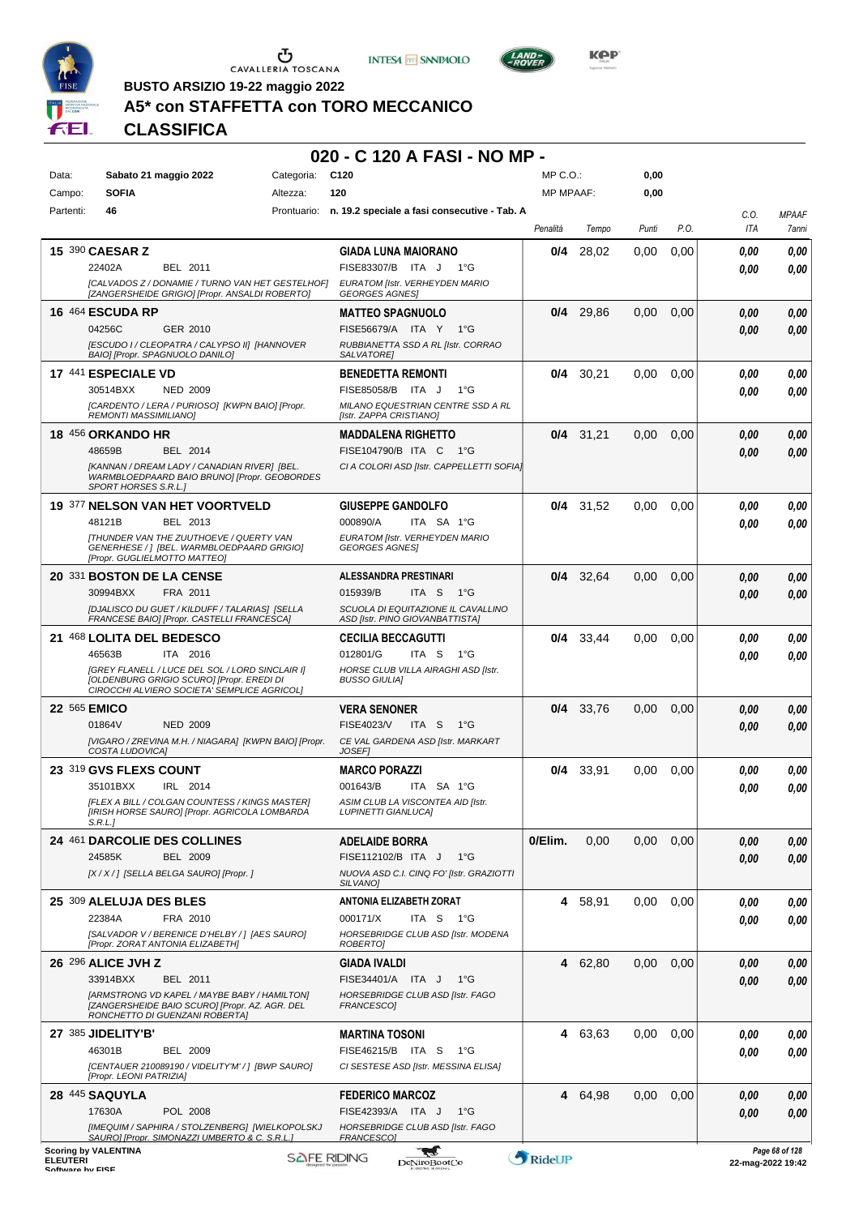

 $\sigma$  cavalleria toscana





**KOP** 

**BUSTO ARSIZIO 19-22 maggio 2022**

# **A5\* con STAFFETTA con TORO MECCANICO**

# **CLASSIFICA**

# **020 - C 120 A FASI - NO MP -**

| Data:                               | Sabato 21 maggio 2022                                                                                                                       | Categoria:         | C <sub>120</sub>                                                      | MP C.O.:         |         | 0,00  |      |                   |                       |
|-------------------------------------|---------------------------------------------------------------------------------------------------------------------------------------------|--------------------|-----------------------------------------------------------------------|------------------|---------|-------|------|-------------------|-----------------------|
| Campo:                              | <b>SOFIA</b>                                                                                                                                | Altezza:           | 120                                                                   | <b>MP MPAAF:</b> |         | 0,00  |      |                   |                       |
| Partenti:                           | 46                                                                                                                                          | Prontuario:        | n. 19.2 speciale a fasi consecutive - Tab. A                          | Penalità         | Tempo   | Punti | P.O. | C.O.<br>ITA       | <b>MPAAF</b><br>7anni |
|                                     | 15 390 CAESAR Z                                                                                                                             |                    | GIADA LUNA MAIORANO                                                   | 0/4              | 28.02   | 0.00  | 0,00 | 0,00              | 0,00                  |
|                                     | BEL 2011<br>22402A                                                                                                                          |                    | FISE83307/B ITA J<br>1°G                                              |                  |         |       |      | 0,00              | 0,00                  |
|                                     | [CALVADOS Z / DONAMIE / TURNO VAN HET GESTELHOF]<br>[ZANGERSHEIDE GRIGIO] [Propr. ANSALDI ROBERTO]                                          |                    | EURATOM [Istr. VERHEYDEN MARIO<br><b>GEORGES AGNES!</b>               |                  |         |       |      |                   |                       |
|                                     | <b>16 464 ESCUDA RP</b>                                                                                                                     |                    | <b>MATTEO SPAGNUOLO</b>                                               | 0/4              | 29,86   | 0,00  | 0,00 | 0.00              | 0,00                  |
|                                     | 04256C<br>GER 2010                                                                                                                          |                    | FISE56679/A ITA Y<br>$1^{\circ}G$                                     |                  |         |       |      | 0.00              | 0,00                  |
|                                     | <b>IESCUDO I / CLEOPATRA / CALYPSO II] [HANNOVER</b><br>BAIO] [Propr. SPAGNUOLO DANILO]                                                     |                    | RUBBIANETTA SSD A RL [Istr. CORRAO<br>SALVATORE]                      |                  |         |       |      |                   |                       |
|                                     | 17 441 ESPECIALE VD                                                                                                                         |                    | <b>BENEDETTA REMONTI</b>                                              | 0/4              | 30,21   | 0,00  | 0,00 | 0.00              | 0,00                  |
|                                     | 30514BXX<br><b>NED 2009</b>                                                                                                                 |                    | FISE85058/B ITA J<br>1°G                                              |                  |         |       |      | 0.00              | 0,00                  |
|                                     | [CARDENTO / LERA / PURIOSO] [KWPN BAIO] [Propr.<br><b>REMONTI MASSIMILIANO]</b>                                                             |                    | MILANO EQUESTRIAN CENTRE SSD A RL<br>[Istr. ZAPPA CRISTIANO]          |                  |         |       |      |                   |                       |
|                                     | 18 456 ORKANDO HR                                                                                                                           |                    | <b>MADDALENA RIGHETTO</b>                                             | 0/4              | 31,21   | 0,00  | 0,00 | 0.00              | 0,00                  |
|                                     | 48659B<br>BEL 2014                                                                                                                          |                    | FISE104790/B ITA C<br>1°G                                             |                  |         |       |      | 0.00              | 0,00                  |
|                                     | [KANNAN / DREAM LADY / CANADIAN RIVER] [BEL.<br>WARMBLOEDPAARD BAIO BRUNO] [Propr. GEOBORDES<br>SPORT HORSES S.R.L.]                        |                    | CI A COLORI ASD [Istr. CAPPELLETTI SOFIA]                             |                  |         |       |      |                   |                       |
|                                     | 19 377 NELSON VAN HET VOORTVELD                                                                                                             |                    | <b>GIUSEPPE GANDOLFO</b>                                              | 0/4              | 31,52   | 0,00  | 0,00 | 0.00              | 0,00                  |
|                                     | 48121B<br>BEL 2013                                                                                                                          |                    | 000890/A<br>ITA SA 1°G                                                |                  |         |       |      | 0.00              | 0,00                  |
|                                     | <b>ITHUNDER VAN THE ZUUTHOEVE / QUERTY VAN</b><br>GENERHESE /   [BEL. WARMBLOEDPAARD GRIGIO]<br>[Propr. GUGLIELMOTTO MATTEO]                |                    | EURATOM [Istr. VERHEYDEN MARIO<br><b>GEORGES AGNES</b>                |                  |         |       |      |                   |                       |
|                                     | 20 331 BOSTON DE LA CENSE                                                                                                                   |                    | ALESSANDRA PRESTINARI                                                 | 0/4              | 32,64   | 0,00  | 0,00 | 0,00              | 0,00                  |
|                                     | 30994BXX<br>FRA 2011                                                                                                                        |                    | 015939/B<br>ITA S<br>$1^{\circ}G$                                     |                  |         |       |      | 0.00              | 0,00                  |
|                                     | [DJALISCO DU GUET / KILDUFF / TALARIAS] [SELLA<br>FRANCESE BAIO] [Propr. CASTELLI FRANCESCA]                                                |                    | SCUOLA DI EQUITAZIONE IL CAVALLINO<br>ASD [Istr. PINO GIOVANBATTISTA] |                  |         |       |      |                   |                       |
|                                     | 21 468 LOLITA DEL BEDESCO                                                                                                                   |                    | <b>CECILIA BECCAGUTTI</b>                                             | 0/4              | 33,44   | 0,00  | 0,00 | 0.00              | 0,00                  |
|                                     | 46563B<br>ITA 2016                                                                                                                          |                    | 012801/G<br>ITA S<br>1°G                                              |                  |         |       |      | 0.00              | 0,00                  |
|                                     | [GREY FLANELL / LUCE DEL SOL / LORD SINCLAIR I]<br>[OLDENBURG GRIGIO SCURO] [Propr. EREDI DI<br>CIROCCHI ALVIERO SOCIETA' SEMPLICE AGRICOL] |                    | HORSE CLUB VILLA AIRAGHI ASD [Istr.<br><b>BUSSO GIULIAI</b>           |                  |         |       |      |                   |                       |
|                                     | 22 565 EMICO                                                                                                                                |                    | <b>VERA SENONER</b>                                                   | 0/4              | 33,76   | 0,00  | 0,00 | 0.00              | 0,00                  |
|                                     | 01864V<br><b>NED 2009</b>                                                                                                                   |                    | FISE4023/V<br>ITA S<br>1°G                                            |                  |         |       |      | 0.00              | 0.00                  |
|                                     | [VIGARO / ZREVINA M.H. / NIAGARA] [KWPN BAIO] [Propr.<br>COSTA LUDOVICA]                                                                    |                    | CE VAL GARDENA ASD [Istr. MARKART<br><b>JOSEF1</b>                    |                  |         |       |      |                   |                       |
|                                     | 23 319 GVS FLEXS COUNT                                                                                                                      |                    | <b>MARCO PORAZZI</b>                                                  | 0/4              | 33,91   | 0,00  | 0.00 | 0.00              | 0,00                  |
|                                     | 35101BXX<br>IRL 2014                                                                                                                        |                    | 001643/B<br>ITA SA 1°G                                                |                  |         |       |      | 0.00              | 0.00                  |
|                                     | <b>IFLEX A BILL / COLGAN COUNTESS / KINGS MASTERI</b><br>[IRISH HORSE SAURO] [Propr. AGRICOLA LOMBARDA<br>S.R.L.]                           |                    | ASIM CLUB LA VISCONTEA AID [Istr.<br><b>LUPINETTI GIANLUCA]</b>       |                  |         |       |      |                   |                       |
|                                     | 24 461 DARCOLIE DES COLLINES                                                                                                                |                    | <b>ADELAIDE BORRA</b>                                                 | 0/Elim.          | 0,00    | 0,00  | 0,00 | 0.00              | 0,00                  |
|                                     | 24585K<br>BEL 2009                                                                                                                          |                    | FISE112102/B ITA J<br>$1^{\circ}G$                                    |                  |         |       |      | 0,00              | 0,00                  |
|                                     | [X / X / ] [SELLA BELGA SAURO] [Propr. ]                                                                                                    |                    | NUOVA ASD C.I. CINQ FO' [Istr. GRAZIOTTI<br>SILVANO]                  |                  |         |       |      |                   |                       |
|                                     | 25 309 ALELUJA DES BLES                                                                                                                     |                    | ANTONIA ELIZABETH ZORAT                                               | 4                | 58,91   | 0,00  | 0,00 | 0.00              | 0,00                  |
|                                     | FRA 2010<br>22384A                                                                                                                          |                    | 000171/X<br>ITA S<br>1°G                                              |                  |         |       |      | 0.00              | 0,00                  |
|                                     | [SALVADOR V / BERENICE D'HELBY / ] [AES SAURO]<br>[Propr. ZORAT ANTONIA ELIZABETH]                                                          |                    | HORSEBRIDGE CLUB ASD [Istr. MODENA<br>ROBERTO]                        |                  |         |       |      |                   |                       |
|                                     | 26 296 ALICE JVH Z                                                                                                                          |                    | <b>GIADA IVALDI</b>                                                   |                  | 4 62.80 | 0,00  | 0,00 | 0.00              | 0,00                  |
|                                     | 33914BXX<br>BEL 2011                                                                                                                        |                    | FISE34401/A ITA J<br>1°G                                              |                  |         |       |      | 0,00              | 0,00                  |
|                                     | [ARMSTRONG VD KAPEL / MAYBE BABY / HAMILTON]<br>[ZANGERSHEIDE BAIO SCURO] [Propr. AZ. AGR. DEL<br>RONCHETTO DI GUENZANI ROBERTA]            |                    | HORSEBRIDGE CLUB ASD [Istr. FAGO<br>FRANCESCO]                        |                  |         |       |      |                   |                       |
|                                     | 27 385 JIDELITY'B'                                                                                                                          |                    | <b>MARTINA TOSONI</b>                                                 | 4                | 63,63   | 0,00  | 0,00 | 0.00              | 0,00                  |
|                                     | 46301B<br>BEL 2009                                                                                                                          |                    | FISE46215/B ITA S<br>$1^{\circ}G$                                     |                  |         |       |      | 0.00              | 0,00                  |
|                                     | [CENTAUER 210089190 / VIDELITY'M' / ] [BWP SAURO]<br>[Propr. LEONI PATRIZIA]                                                                |                    | CI SESTESE ASD [Istr. MESSINA ELISA]                                  |                  |         |       |      |                   |                       |
|                                     | 28 445 SAQUYLA                                                                                                                              |                    | <b>FEDERICO MARCOZ</b>                                                | 4                | 64,98   | 0,00  | 0,00 | 0,00              | 0,00                  |
|                                     | 17630A<br>POL 2008                                                                                                                          |                    | FISE42393/A ITA J<br>$1^{\circ}G$                                     |                  |         |       |      | 0,00              | 0,00                  |
|                                     | [IMEQUIM / SAPHIRA / STOLZENBERG] [WIELKOPOLSKJ<br>SAURO] [Propr. SIMONAZZI UMBERTO & C. S.R.L.]                                            |                    | HORSEBRIDGE CLUB ASD [Istr. FAGO<br>FRANCESCO1                        |                  |         |       |      |                   |                       |
| <b>ELEUTERI</b><br>Coffware by EICE | <b>Scoring by VALENTINA</b>                                                                                                                 | <b>SAFE RIDING</b> | <b>DeNiroBootCo</b>                                                   | RideUP           |         |       |      | 22-mag-2022 19:42 | Page 68 of 128        |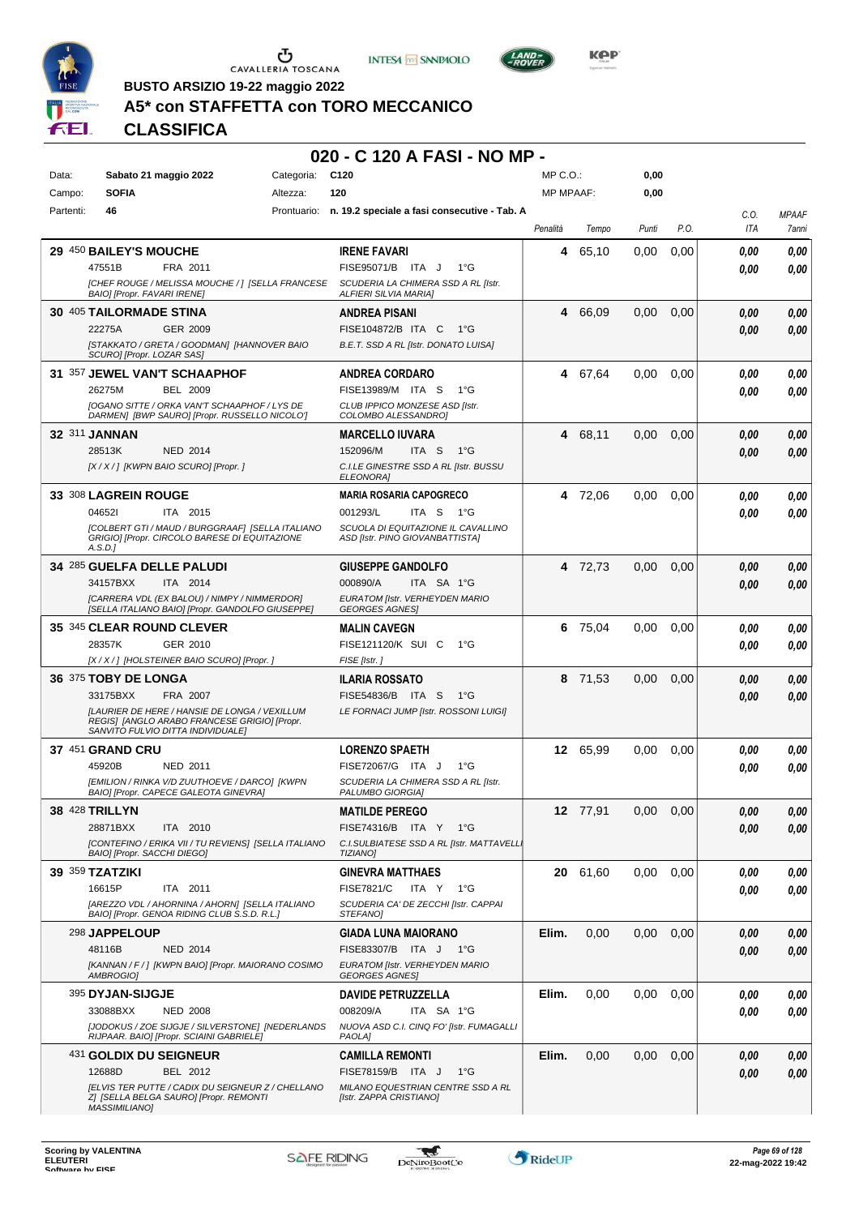

Ⴠ CAVALLERIA TOSCANA





**BUSTO ARSIZIO 19-22 maggio 2022**

|           |                                                 |                                                                                                                                    |            | 020 - C 120 A FASI - NO MP -                                          |                  |          |       |               |      |              |
|-----------|-------------------------------------------------|------------------------------------------------------------------------------------------------------------------------------------|------------|-----------------------------------------------------------------------|------------------|----------|-------|---------------|------|--------------|
| Data:     |                                                 | Sabato 21 maggio 2022                                                                                                              | Categoria: | C120                                                                  | $MP C. O.$ :     |          | 0,00  |               |      |              |
| Campo:    | <b>SOFIA</b>                                    |                                                                                                                                    | Altezza:   | 120                                                                   | <b>MP MPAAF:</b> |          | 0,00  |               |      |              |
| Partenti: | 46                                              |                                                                                                                                    |            | Prontuario: n. 19.2 speciale a fasi consecutive - Tab. A              |                  |          |       |               | C.O. | <b>MPAAF</b> |
|           |                                                 |                                                                                                                                    |            |                                                                       | Penalità         | Tempo    | Punti | P.O.          | ITA  | 7ann         |
|           | 29 450 BAILEY'S MOUCHE                          |                                                                                                                                    |            | <b>IRENE FAVARI</b>                                                   |                  | 4 65,10  | 0,00  | 0,00          | 0.00 | 0.00         |
|           | 47551B                                          | FRA 2011                                                                                                                           |            | FISE95071/B ITA J 1°G                                                 |                  |          |       |               | 0.00 | 0.00         |
|           | <b>BAIOI [Propr. FAVARI IRENE]</b>              | [CHEF ROUGE / MELISSA MOUCHE / ] [SELLA FRANCESE                                                                                   |            | SCUDERIA LA CHIMERA SSD A RL [Istr.<br><b>ALFIERI SILVIA MARIA]</b>   |                  |          |       |               |      |              |
|           | 30 405 TAILORMADE STINA                         |                                                                                                                                    |            | <b>ANDREA PISANI</b>                                                  |                  | 4 66,09  | 0,00  | 0,00          | 0.00 | 0.00         |
|           | 22275A                                          | GER 2009                                                                                                                           |            | FISE104872/B ITA C<br>− 1°G                                           |                  |          |       |               | 0,00 | 0.00         |
|           | SCURO] [Propr. LOZAR SAS]                       | [STAKKATO / GRETA / GOODMAN] [HANNOVER BAIO                                                                                        |            | B.E.T. SSD A RL [Istr. DONATO LUISA]                                  |                  |          |       |               |      |              |
|           |                                                 | 31 357 JEWEL VAN'T SCHAAPHOF                                                                                                       |            | <b>ANDREA CORDARO</b>                                                 |                  | 4 67,64  | 0.00  | 0.00          | 0.00 | 0.00         |
|           | 26275M                                          | <b>BEL 2009</b>                                                                                                                    |            | FISE13989/M ITA S 1°G                                                 |                  |          |       |               | 0.00 | 0.00         |
|           |                                                 | <b>[OGANO SITTE / ORKA VAN'T SCHAAPHOF / LYS DE</b><br>DARMEN] [BWP SAURO] [Propr. RUSSELLO NICOLO']                               |            | CLUB IPPICO MONZESE ASD [Istr.<br>COLOMBO ALESSANDROI                 |                  |          |       |               |      |              |
|           | 32 311 JANNAN                                   |                                                                                                                                    |            | <b>MARCELLO IUVARA</b>                                                |                  | 4 68,11  | 0,00  | 0.00          | 0,00 | 0.00         |
|           | 28513K                                          | <b>NED 2014</b>                                                                                                                    |            | 152096/M<br>ITA <sub>S</sub><br>− 1°G                                 |                  |          |       |               | 0.00 | 0,00         |
|           |                                                 | [X / X / ] [KWPN BAIO SCURO] [Propr. ]                                                                                             |            | C.I.LE GINESTRE SSD A RL [Istr. BUSSU<br>ELEONORA]                    |                  |          |       |               |      |              |
|           | 33 308 LAGREIN ROUGE                            |                                                                                                                                    |            | <b>MARIA ROSARIA CAPOGRECO</b>                                        |                  | 4 72,06  | 0.00  | 0.00          | 0.00 | 0.00         |
|           | 046521                                          | ITA 2015                                                                                                                           |            | 001293/L<br>ITA S 1°G                                                 |                  |          |       |               | 0.00 | 0.00         |
|           | A.S.D.1                                         | [COLBERT GTI / MAUD / BURGGRAAF] [SELLA ITALIANO<br>GRIGIO] [Propr. CIRCOLO BARESE DI EQUITAZIONE                                  |            | SCUOLA DI EQUITAZIONE IL CAVALLINO<br>ASD [Istr. PINO GIOVANBATTISTA] |                  |          |       |               |      |              |
|           |                                                 | 34 285 GUELFA DELLE PALUDI                                                                                                         |            | <b>GIUSEPPE GANDOLFO</b>                                              |                  | 4 72,73  | 0.00  | 0,00          | 0,00 | 0.00         |
|           | 34157BXX                                        | ITA 2014                                                                                                                           |            | 000890/A<br>ITA SA 1°G                                                |                  |          |       |               | 0.00 | 0.00         |
|           |                                                 | [CARRERA VDL (EX BALOU) / NIMPY / NIMMERDOR]<br>[SELLA ITALIANO BAIO] [Propr. GANDOLFO GIUSEPPE]                                   |            | EURATOM [Istr. VERHEYDEN MARIO<br><b>GEORGES AGNES</b>                |                  |          |       |               |      |              |
|           |                                                 | 35 345 CLEAR ROUND CLEVER                                                                                                          |            | <b>MALIN CAVEGN</b>                                                   |                  | 6 75,04  | 0,00  | 0.00          | 0,00 | 0.00         |
|           | 28357K                                          | GER 2010                                                                                                                           |            | FISE121120/K SUI C 1°G                                                |                  |          |       |               | 0.00 | 0.00         |
|           |                                                 | [X / X / ] [HOLSTEINER BAIO SCURO] [Propr.]                                                                                        |            | FISE [Istr.]                                                          |                  |          |       |               |      |              |
|           | 36 375 TOBY DE LONGA                            |                                                                                                                                    |            | <b>ILARIA ROSSATO</b>                                                 |                  | 8 71,53  | 0.00  | 0,00          | 0,00 | 0,00         |
|           | 33175BXX                                        | FRA 2007                                                                                                                           |            | FISE54836/B ITA S 1°G                                                 |                  |          |       |               | 0.00 | 0.00         |
|           |                                                 | [LAURIER DE HERE / HANSIE DE LONGA / VEXILLUM<br>REGIS] [ANGLO ARABO FRANCESE GRIGIO] [Propr.<br>SANVITO FULVIO DITTA INDIVIDUALE] |            | LE FORNACI JUMP [Istr. ROSSONI LUIGI]                                 |                  |          |       |               |      |              |
|           | <b>37 451 GRAND CRU</b>                         |                                                                                                                                    |            | <b>LORENZO SPAETH</b>                                                 |                  | 12 65,99 |       | $0,00$ $0,00$ | 0,00 | 0,00         |
|           | 45920B                                          | NED 2011                                                                                                                           |            | FISE72067/G ITA J 1°G                                                 |                  |          |       |               | 0.00 | 0.00         |
|           |                                                 | [EMILION / RINKA V/D ZUUTHOEVE / DARCO] [KWPN<br>BAIO] [Propr. CAPECE GALEOTA GINEVRA]                                             |            | SCUDERIA LA CHIMERA SSD A RL [Istr.<br>PALUMBO GIORGIA]               |                  |          |       |               |      |              |
|           | <b>38 428 TRILLYN</b>                           |                                                                                                                                    |            | <b>MATILDE PEREGO</b>                                                 |                  | 12 77,91 | 0,00  | 0,00          | 0,00 | 0,00         |
|           | 28871BXX                                        | ITA 2010                                                                                                                           |            | FISE74316/B ITA Y 1°G                                                 |                  |          |       |               | 0,00 | 0,00         |
|           | BAIO] [Propr. SACCHI DIEGO]                     | [CONTEFINO / ERIKA VII / TU REVIENS] [SELLA ITALIANO                                                                               |            | C.I.SULBIATESE SSD A RL [Istr. MATTAVELL.<br><b>TIZIANO)</b>          |                  |          |       |               |      |              |
|           | <b>39 359 TZATZIKI</b>                          |                                                                                                                                    |            | <b>GINEVRA MATTHAES</b>                                               |                  | 20 61,60 | 0,00  | 0,00          | 0,00 | 0,00         |
|           | 16615P                                          | ITA 2011                                                                                                                           |            | <b>FISE7821/C</b><br>ITA Y 1°G                                        |                  |          |       |               | 0,00 | 0,00         |
|           |                                                 |                                                                                                                                    |            | SCUDERIA CA' DE ZECCHI [Istr. CAPPAI                                  |                  |          |       |               |      |              |
|           | [AREZZO VDL / AHORNINA / AHORN] [SELLA ITALIANO | BAIO] [Propr. GENOA RIDING CLUB S.S.D. R.L.]                                                                                       |            | STEFANO]                                                              |                  |          |       |               |      |              |
|           | 298 JAPPELOUP                                   |                                                                                                                                    |            | <b>GIADA LUNA MAIORANO</b>                                            | Elim.            | 0,00     | 0,00  | 0,00          | 0,00 | 0,00         |
|           | 48116B                                          | <b>NED 2014</b>                                                                                                                    |            | FISE83307/B ITA J 1°G                                                 |                  |          |       |               | 0,00 | 0,00         |

395 **DYJAN-SIJGJE**

431 **GOLDIX DU SEIGNEUR**

NED 2008

BEL 2012

*Z] [SELLA BELGA SAURO] [Propr. REMONTI MASSIMILIANO]*

*[JODOKUS / ZOE SIJGJE / SILVERSTONE] [NEDERLANDS RIJPAAR. BAIO] [Propr. SCIAINI GABRIELE]*

*[ELVIS TER PUTTE / CADIX DU SEIGNEUR Z / CHELLANO*



**DAVIDE PETRUZZELLA**

**CAMILLA REMONTI**

*[Istr. ZAPPA CRISTIANO]*

*PAOLA]*

*NUOVA ASD C.I. CINQ FO' [Istr. FUMAGALLI*

*MILANO EQUESTRIAN CENTRE SSD A RL*

ITA SA 1°G

33088BXX 008209/A *0,00*

12688D BEL 2012 FISE78159/B ITA J 1°G | <mark> 0,00 0,00</mark>

**Elim.** 0,00 0,00 0,00 *0,00*

**Elim.** 0,00 0,00 0,00 *0,00*

*0,00*

*0,00*

*0,00*

*0,00*

*0,00*

*0,00*

*0,00*

*0,00*

*0,00*

*0,00*

*0,00*

*0,00*

*0,00*

*0,00*

*0,00*

*0,00*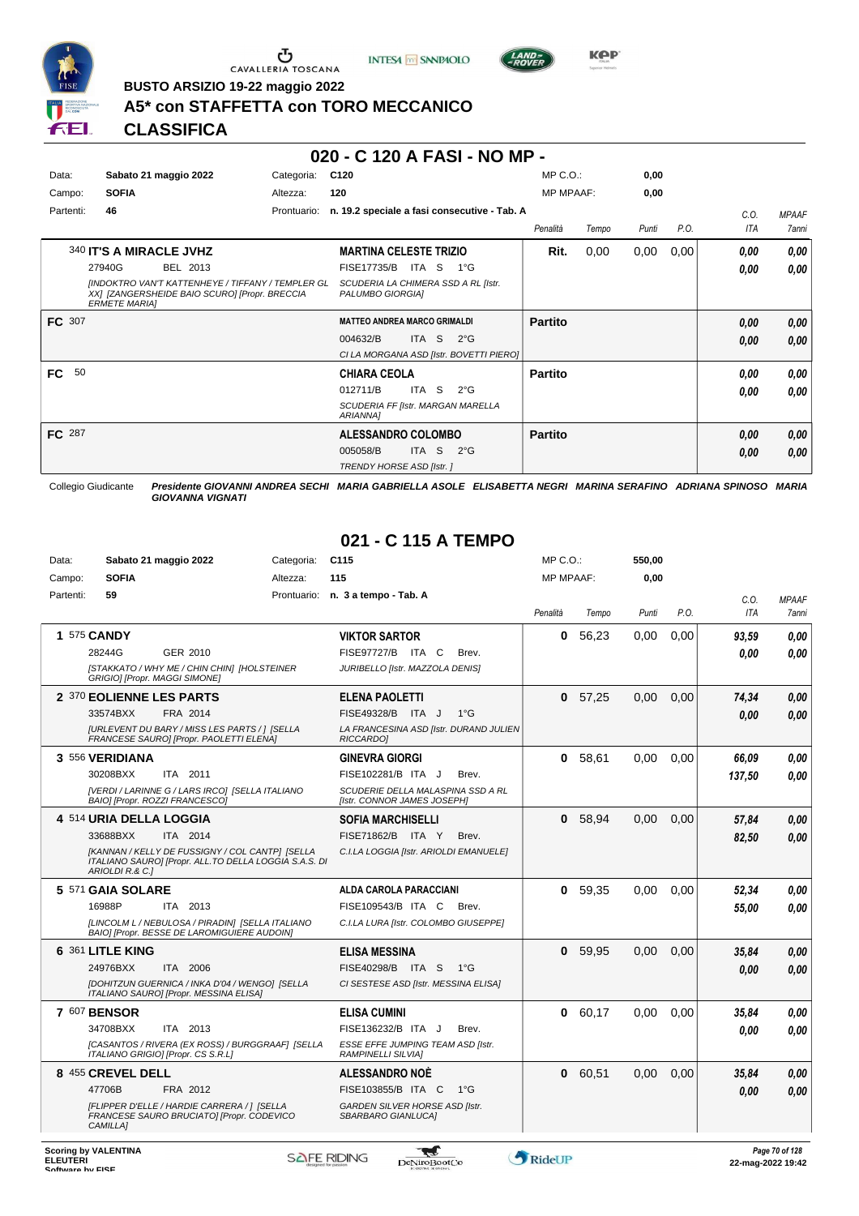





**Kep** 

**BUSTO ARSIZIO 19-22 maggio 2022**

# **A5\* con STAFFETTA con TORO MECCANICO**

**CLASSIFICA**

#### **020 - C 120 A FASI - NO MP -**

| Data:<br>Campo: | Sabato 21 maggio 2022<br><b>SOFIA</b>                                                                                                                                              | Categoria:<br>Altezza: | C <sub>120</sub><br>120                                                                                                        | $MP C. O.$ :<br><b>MP MPAAF:</b> |       | 0,00<br>0,00 |      |              |                       |
|-----------------|------------------------------------------------------------------------------------------------------------------------------------------------------------------------------------|------------------------|--------------------------------------------------------------------------------------------------------------------------------|----------------------------------|-------|--------------|------|--------------|-----------------------|
| Partenti:       | 46                                                                                                                                                                                 | Prontuario:            | n. 19.2 speciale a fasi consecutive - Tab. A                                                                                   | Penalità                         | Tempo | Punti        | P.O. | C.O.<br>ITA  | <b>MPAAF</b><br>7anni |
|                 | 340 IT'S A MIRACLE JVHZ<br>27940G<br>BEL 2013<br><b>IINDOKTRO VAN'T KATTENHEYE / TIFFANY / TEMPLER GL</b><br>XX] [ZANGERSHEIDE BAIO SCURO] [Propr. BRECCIA<br><b>ERMETE MARIA1</b> |                        | <b>MARTINA CELESTE TRIZIO</b><br><b>FISE17735/B</b><br>ITA S<br>1°G<br>SCUDERIA LA CHIMERA SSD A RL [Istr.<br>PALUMBO GIORGIA] | Rit.                             | 0,00  | 0,00         | 0,00 | 0.00<br>0,00 | 0,00<br>0,00          |
| FC 307          |                                                                                                                                                                                    |                        | <b>MATTEO ANDREA MARCO GRIMALDI</b><br>004632/B<br>ITA S<br>$2^{\circ}G$<br>CI LA MORGANA ASD [Istr. BOVETTI PIERO]            | <b>Partito</b>                   |       |              |      | 0,00<br>0,00 | 0,00<br>0,00          |
| <b>FC</b><br>50 |                                                                                                                                                                                    |                        | <b>CHIARA CEOLA</b><br>012711/B<br>ITA S<br>$2^{\circ}G$<br>SCUDERIA FF [Istr. MARGAN MARELLA<br>ARIANNA]                      | <b>Partito</b>                   |       |              |      | 0.00<br>0,00 | 0,00<br>0,00          |
| FC 287          |                                                                                                                                                                                    |                        | <b>ALESSANDRO COLOMBO</b><br>ITA S<br>005058/B<br>$2^{\circ}$ G<br>TRENDY HORSE ASD [Istr.]                                    | <b>Partito</b>                   |       |              |      | 0,00<br>0,00 | 0,00<br>0,00          |

Collegio Giudicante *Presidente GIOVANNI ANDREA SECHI MARIA GABRIELLA ASOLE ELISABETTA NEGRI MARINA SERAFINO ADRIANA SPINOSO MARIA GIOVANNA VIGNATI*

# **021 - C 115 A TEMPO**

| Data:     | Sabato 21 maggio 2022                                                                                                       | Categoria: | C <sub>115</sub>                                                 | $MP C. O.$ :     |         | 550,00 |      |        |              |
|-----------|-----------------------------------------------------------------------------------------------------------------------------|------------|------------------------------------------------------------------|------------------|---------|--------|------|--------|--------------|
| Campo:    | <b>SOFIA</b>                                                                                                                | Altezza:   | 115                                                              | <b>MP MPAAF:</b> |         | 0,00   |      |        |              |
| Partenti: | 59                                                                                                                          |            | Prontuario: n. 3 a tempo - Tab. A                                |                  |         |        |      | C.O.   | <b>MPAAF</b> |
|           |                                                                                                                             |            |                                                                  | Penalità         | Tempo   | Punti  | P.O. | ITA    | 7anni        |
|           | 1 575 CANDY                                                                                                                 |            | <b>VIKTOR SARTOR</b>                                             | $\mathbf{0}$     | 56.23   | 0,00   | 0.00 | 93,59  | 0.00         |
|           | 28244G<br>GER 2010                                                                                                          |            | FISE97727/B ITA C<br>Brev.                                       |                  |         |        |      | 0.00   | 0.00         |
|           | [STAKKATO / WHY ME / CHIN CHIN] [HOLSTEINER<br>GRIGIO] [Propr. MAGGI SIMONE]                                                |            | JURIBELLO [Istr. MAZZOLA DENIS]                                  |                  |         |        |      |        |              |
|           | 2 370 EOLIENNE LES PARTS                                                                                                    |            | <b>ELENA PAOLETTI</b>                                            | $\mathbf{0}$     | 57,25   | 0,00   | 0,00 | 74,34  | 0.00         |
|           | 33574BXX<br>FRA 2014                                                                                                        |            | FISE49328/B ITA J<br>$1^{\circ}$ G                               |                  |         |        |      | 0.00   | 0,00         |
|           | [URLEVENT DU BARY / MISS LES PARTS / ] [SELLA<br>FRANCESE SAURO] [Propr. PAOLETTI ELENA]                                    |            | LA FRANCESINA ASD [Istr. DURAND JULIEN<br>RICCARDO1              |                  |         |        |      |        |              |
|           | 3 556 VERIDIANA                                                                                                             |            | <b>GINEVRA GIORGI</b>                                            | 0                | 58,61   | 0.00   | 0.00 | 66,09  | 0.00         |
|           | 30208BXX<br>ITA 2011                                                                                                        |            | FISE102281/B ITA J<br>Brev.                                      |                  |         |        |      | 137.50 | 0.00         |
|           | [VERDI / LARINNE G / LARS IRCO] [SELLA ITALIANO<br>BAIO] [Propr. ROZZI FRANCESCO]                                           |            | SCUDERIE DELLA MALASPINA SSD A RL<br>[Istr. CONNOR JAMES JOSEPH] |                  |         |        |      |        |              |
|           | 4 514 URIA DELLA LOGGIA                                                                                                     |            | <b>SOFIA MARCHISELLI</b>                                         |                  | 0 58,94 | 0,00   | 0,00 | 57,84  | 0.00         |
|           | 33688BXX<br>ITA 2014                                                                                                        |            | FISE71862/B ITA Y<br>Brev.                                       |                  |         |        |      | 82,50  | 0,00         |
|           | [KANNAN / KELLY DE FUSSIGNY / COL CANTP] [SELLA<br>ITALIANO SAURO] [Propr. ALL.TO DELLA LOGGIA S.A.S. DI<br>ARIOLDI R.& C.] |            | C.I.LA LOGGIA [Istr. ARIOLDI EMANUELE]                           |                  |         |        |      |        |              |
|           | 5 571 GAIA SOLARE                                                                                                           |            | <b>ALDA CAROLA PARACCIANI</b>                                    | 0                | 59,35   | 0,00   | 0.00 | 52,34  | 0.00         |
|           | 16988P<br>ITA 2013                                                                                                          |            | FISE109543/B ITA C<br>Brev.                                      |                  |         |        |      | 55,00  | 0.00         |
|           | [LINCOLM L / NEBULOSA / PIRADIN] [SELLA ITALIANO<br><b>BAIOI [Propr. BESSE DE LAROMIGUIERE AUDOIN]</b>                      |            | C.I.LA LURA [Istr. COLOMBO GIUSEPPE]                             |                  |         |        |      |        |              |
|           | 6 361 LITLE KING                                                                                                            |            | ELISA MESSINA                                                    | 0                | 59,95   | 0,00   | 0,00 | 35,84  | 0.00         |
|           | 24976BXX<br>ITA 2006                                                                                                        |            | FISE40298/B ITA S<br>$1^{\circ}G$                                |                  |         |        |      | 0.00   | 0.00         |
|           | [DOHITZUN GUERNICA / INKA D'04 / WENGO] [SELLA<br>ITALIANO SAURO] [Propr. MESSINA ELISA]                                    |            | CI SESTESE ASD [Istr. MESSINA ELISA]                             |                  |         |        |      |        |              |
|           | <b>7 607 BENSOR</b>                                                                                                         |            | <b>ELISA CUMINI</b>                                              | 0                | 60,17   | 0,00   | 0.00 | 35,84  | 0.00         |
|           | 34708BXX<br>ITA 2013                                                                                                        |            | FISE136232/B ITA J<br>Brev.                                      |                  |         |        |      | 0.00   | 0.00         |
|           | [CASANTOS / RIVERA (EX ROSS) / BURGGRAAF] [SELLA<br>ITALIANO GRIGIO] [Propr. CS S.R.L]                                      |            | ESSE EFFE JUMPING TEAM ASD [Istr.<br><b>RAMPINELLI SILVIAI</b>   |                  |         |        |      |        |              |
|           | 8 455 CREVEL DELL                                                                                                           |            | ALESSANDRO NOÈ                                                   | 0                | 60,51   | 0,00   | 0.00 | 35,84  | 0.00         |
|           | 47706B<br>FRA 2012                                                                                                          |            | FISE103855/B ITA C<br>$1^{\circ}G$                               |                  |         |        |      | 0.00   | 0.00         |
|           | [FLIPPER D'ELLE / HARDIE CARRERA / 1 [SELLA<br>FRANCESE SAURO BRUCIATO] [Propr. CODEVICO<br>CAMILLA]                        |            | GARDEN SILVER HORSE ASD [Istr.<br>SBARBARO GIANLUCA]             |                  |         |        |      |        |              |
|           |                                                                                                                             |            |                                                                  |                  |         |        |      |        |              |

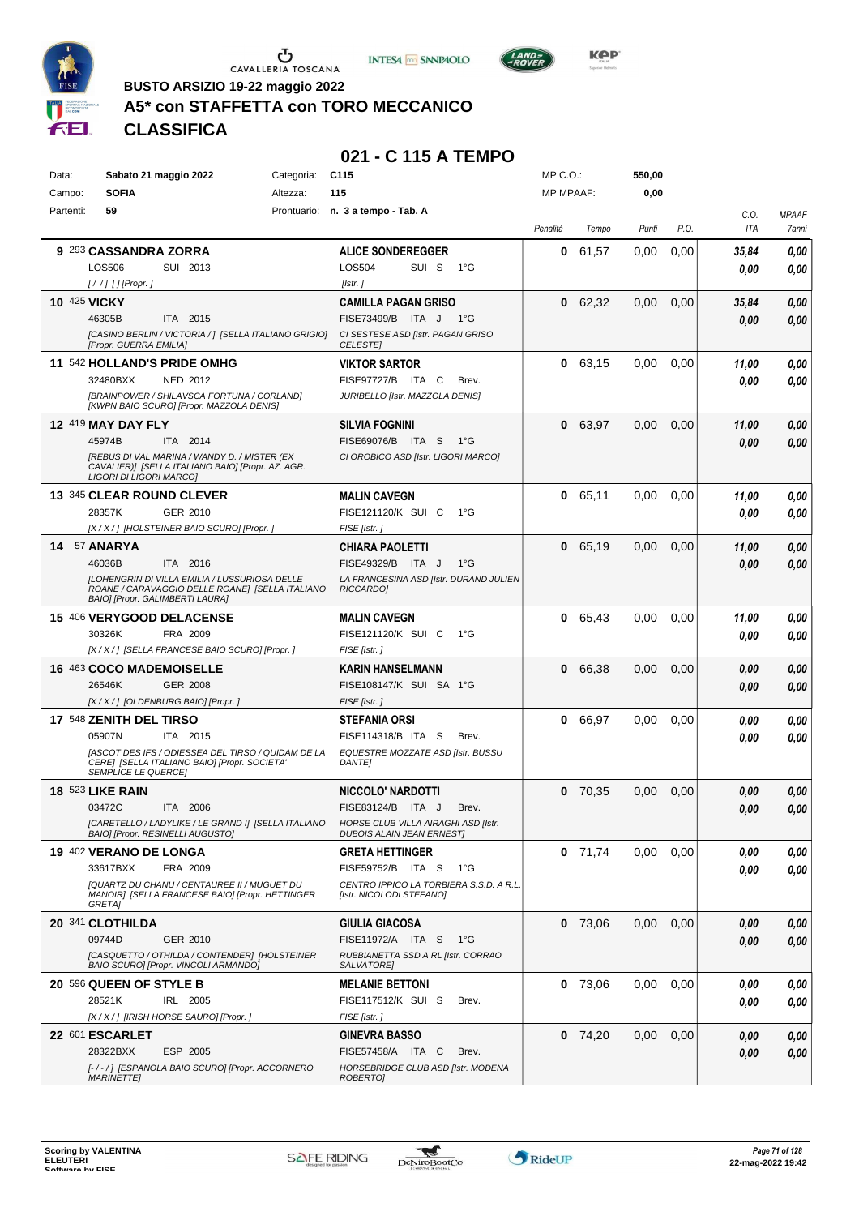





**Kep** 

**BUSTO ARSIZIO 19-22 maggio 2022**

## **A5\* con STAFFETTA con TORO MECCANICO**

**CLASSIFICA**

#### **021 - C 115 A TEMPO**

| Data:        | Sabato 21 maggio 2022                                                                                                                                                             | Categoria: | C <sub>115</sub>                                                                                                                  | $MP C. O.$ :     |           | 550,00   |      |               |                       |
|--------------|-----------------------------------------------------------------------------------------------------------------------------------------------------------------------------------|------------|-----------------------------------------------------------------------------------------------------------------------------------|------------------|-----------|----------|------|---------------|-----------------------|
| Campo:       | <b>SOFIA</b>                                                                                                                                                                      | Altezza:   | 115                                                                                                                               | <b>MP MPAAF:</b> |           | 0,00     |      |               |                       |
| Partenti:    | 59                                                                                                                                                                                |            | Prontuario: n. 3 a tempo - Tab. A                                                                                                 | Penalità         | Tempo     | Punti    | P.O. | C.0.<br>ITA   | <b>MPAAF</b><br>7anni |
|              | 9 293 CASSANDRA ZORRA<br>LOS506<br>SUI 2013<br>$[!//]$ [] [Propr.]                                                                                                                |            | <b>ALICE SONDEREGGER</b><br><b>LOS504</b><br>SUI S<br>1°G<br>[Istr.]                                                              | 0                | 61,57     | 0.00     | 0,00 | 35,84<br>0.00 | 0.00<br>0.00          |
| 10 425 VICKY | 46305B<br>ITA 2015<br>[CASINO BERLIN / VICTORIA / ] [SELLA ITALIANO GRIGIO]<br>[Propr. GUERRA EMILIA]                                                                             |            | <b>CAMILLA PAGAN GRISO</b><br>FISE73499/B ITA J<br>1°G<br>CI SESTESE ASD [Istr. PAGAN GRISO<br><b>CELESTE</b>                     |                  | 0 62,32   | 0,00     | 0,00 | 35,84<br>0.00 | 0,00<br>0,00          |
|              | 11 542 HOLLAND'S PRIDE OMHG<br>32480BXX<br><b>NED 2012</b><br>[BRAINPOWER / SHILAVSCA FORTUNA / CORLAND]<br>[KWPN BAIO SCURO] [Propr. MAZZOLA DENIS]                              |            | <b>VIKTOR SARTOR</b><br>FISE97727/B ITA C<br>Brev.<br>JURIBELLO [Istr. MAZZOLA DENIS]                                             |                  | 0 63.15   | 0.00     | 0,00 | 11,00<br>0.00 | 0,00<br>0.00          |
|              | <b>12 419 MAY DAY FLY</b><br>45974B<br>ITA 2014<br>[REBUS DI VAL MARINA / WANDY D. / MISTER (EX<br>CAVALIER)] [SELLA ITALIANO BAIO] [Propr. AZ. AGR.<br>LIGORI DI LIGORI MARCO]   |            | <b>SILVIA FOGNINI</b><br>FISE69076/B ITA S<br>1°G<br>CI OROBICO ASD [Istr. LIGORI MARCO]                                          | $\mathbf 0$      | 63,97     | 0,00     | 0,00 | 11,00<br>0.00 | 0,00<br>0,00          |
|              | 13 345 CLEAR ROUND CLEVER<br>28357K<br>GER 2010<br>[X / X / ] [HOLSTEINER BAIO SCURO] [Propr. ]                                                                                   |            | <b>MALIN CAVEGN</b><br>FISE121120/K SUI C<br>1°G<br>FISE [Istr.]                                                                  | $\mathbf 0$      | 65,11     | 0.00     | 0,00 | 11,00<br>0.00 | 0,00<br>0.00          |
|              | 14 57 ANARYA<br>46036B<br>ITA 2016<br><b>ILOHENGRIN DI VILLA EMILIA / LUSSURIOSA DELLE</b><br>ROANE / CARAVAGGIO DELLE ROANE] [SELLA ITALIANO<br>BAIO] [Propr. GALIMBERTI LAURA]  |            | <b>CHIARA PAOLETTI</b><br>FISE49329/B<br>$1^{\circ}G$<br>ITA J<br>LA FRANCESINA ASD [Istr. DURAND JULIEN<br>RICCARDO]             | $\mathbf 0$      | 65,19     | 0,00     | 0,00 | 11.00<br>0.00 | 0,00<br>0,00          |
|              | 15 406 VERYGOOD DELACENSE<br>30326K<br>FRA 2009<br>[X / X / ] [SELLA FRANCESE BAIO SCURO] [Propr. ]                                                                               |            | <b>MALIN CAVEGN</b><br>FISE121120/K SUI C<br>− 1°G<br>FISE [Istr.]                                                                | $\mathbf{0}$     | 65,43     | 0,00     | 0,00 | 11,00<br>0.00 | 0,00<br>0.00          |
|              | <b>16 463 COCO MADEMOISELLE</b><br>26546K<br>GER 2008<br>[X / X / ] [OLDENBURG BAIO] [Propr. ]                                                                                    |            | <b>KARIN HANSELMANN</b><br>FISE108147/K SUI SA 1°G<br>FISE [Istr.]                                                                | 0                | 66,38     | 0,00     | 0,00 | 0.00<br>0.00  | 0,00<br>0,00          |
|              | 17 548 ZENITH DEL TIRSO<br>05907N<br>ITA 2015<br>IASCOT DES IFS / ODIESSEA DEL TIRSO / QUIDAM DE LA<br>CERE] [SELLA ITALIANO BAIO] [Propr. SOCIETA'<br><b>SEMPLICE LE QUERCE]</b> |            | STEFANIA ORSI<br>FISE114318/B ITA S<br>Brev.<br>EQUESTRE MOZZATE ASD [Istr. BUSSU<br><b>DANTE]</b>                                | 0                | 66,97     | 0,00     | 0,00 | 0.00<br>0.00  | 0,00<br>0,00          |
|              | <b>18 523 LIKE RAIN</b><br>03472C<br>ITA 2006<br>[CARETELLO / LADYLIKE / LE GRAND I] [SELLA ITALIANO<br>BAIO] [Propr. RESINELLI AUGUSTO]                                          |            | <b>NICCOLO' NARDOTTI</b><br>FISE83124/B ITA J<br>Brev.<br>HORSE CLUB VILLA AIRAGHI ASD [Istr.<br><b>DUBOIS ALAIN JEAN ERNEST]</b> | $\mathbf 0$      | 70,35     | 0,00     | 0,00 | 0.00<br>0.00  | 0,00<br>0.00          |
|              | 19 402 VERANO DE LONGA<br>33617BXX<br>FRA 2009<br>[QUARTZ DU CHANU / CENTAUREE II / MUGUET DU<br>MANOIR] [SELLA FRANCESE BAIO] [Propr. HETTINGER<br><b>GRETAI</b>                 |            | <b>GRETA HETTINGER</b><br>FISE59752/B ITA S<br>1°G<br>CENTRO IPPICO LA TORBIERA S.S.D. A R.L.<br>[Istr. NICOLODI STEFANO]         |                  | $0$ 71,74 | $0.00\,$ | 0,00 | 0.00<br>0.00  | 0,00<br>0,00          |
|              | 20 341 CLOTHILDA<br>GER 2010<br>09744D<br>[CASQUETTO / OTHILDA / CONTENDER] [HOLSTEINER<br>BAIO SCURO] [Propr. VINCOLI ARMANDO]                                                   |            | GIULIA GIACOSA<br>FISE11972/A ITA S<br>− 1°G<br>RUBBIANETTA SSD A RL [Istr. CORRAO<br>SALVATORE]                                  |                  | 0, 73,06  | 0,00     | 0,00 | 0.00<br>0.00  | 0,00<br>0,00          |
|              | 20 596 QUEEN OF STYLE B<br>28521K<br>IRL 2005<br>[X / X / ] [IRISH HORSE SAURO] [Propr. ]                                                                                         |            | <b>MELANIE BETTONI</b><br>FISE117512/K SUI S<br>Brev.<br>FISE [Istr.]                                                             |                  | 0, 73,06  | 0,00     | 0,00 | 0,00<br>0.00  | 0,00<br>0.00          |
|              | <b>22 601 ESCARLET</b><br>28322BXX<br>ESP 2005<br>[-/-/] [ESPANOLA BAIO SCURO] [Propr. ACCORNERO<br><b>MARINETTE]</b>                                                             |            | <b>GINEVRA BASSO</b><br>FISE57458/A ITA C<br>Brev.<br>HORSEBRIDGE CLUB ASD [Istr. MODENA<br>ROBERTO]                              |                  | $0$ 74,20 | 0,00     | 0,00 | 0,00<br>0.00  | 0,00<br>0,00          |

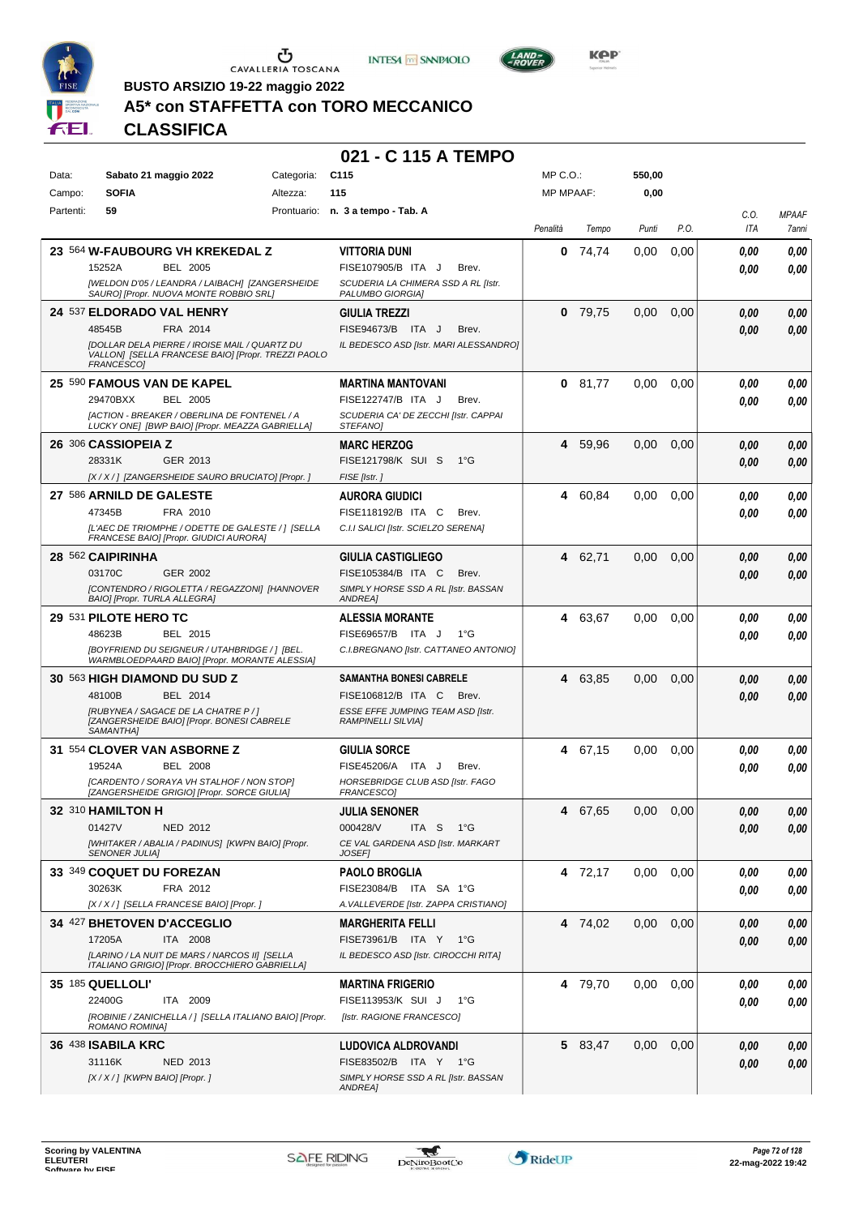





**BUSTO ARSIZIO 19-22 maggio 2022**

## **A5\* con STAFFETTA con TORO MECCANICO**

**CLASSIFICA**

#### **021 - C 115 A TEMPO**

| <b>SOFIA</b><br>115<br><b>MP MPAAF:</b><br>0,00<br>Campo:<br>Altezza:<br>Partenti:<br>59<br>Prontuario: n. 3 a tempo - Tab. A<br>C.O.<br><b>MPAAF</b><br>P.O.<br>ITA<br>Penalità<br>Punti<br>Tempo<br>7anni<br>23 564 W-FAUBOURG VH KREKEDAL Z<br><b>VITTORIA DUNI</b><br>74,74<br>0.00<br>0,00<br>0,00<br>0<br>0,00<br>15252A<br><b>BEL 2005</b><br>FISE107905/B ITA J<br>Brev.<br>0,00<br>0,00<br>[WELDON D'05 / LEANDRA / LAIBACH] [ZANGERSHEIDE<br>SCUDERIA LA CHIMERA SSD A RL [Istr.<br>SAURO] [Propr. NUOVA MONTE ROBBIO SRL]<br>PALUMBO GIORGIA]<br>24 537 ELDORADO VAL HENRY<br>0<br>79.75<br>0,00<br>0,00<br>0,00<br><b>GIULIA TREZZI</b><br>0,00<br>48545B<br>FRA 2014<br>FISE94673/B ITA J<br>Brev.<br>0.00<br>0,00<br><b>IDOLLAR DELA PIERRE / IROISE MAIL / QUARTZ DU</b><br>IL BEDESCO ASD [Istr. MARI ALESSANDRO]<br>VALLON] [SELLA FRANCESE BAIO] [Propr. TREZZI PAOLO<br>FRANCESCO]<br>81,77<br><b>25 590 FAMOUS VAN DE KAPEL</b><br>0.00<br>0.00<br>0,00<br><b>MARTINA MANTOVANI</b><br>0<br>0.00<br>29470BXX<br><b>BEL 2005</b><br>FISE122747/B ITA J<br>Brev.<br>0,00<br>0,00<br>[ACTION - BREAKER / OBERLINA DE FONTENEL / A<br>SCUDERIA CA' DE ZECCHI [Istr. CAPPAI<br>LUCKY ONE] [BWP BAIO] [Propr. MEAZZA GABRIELLA]<br>STEFANO]<br>26 306 CASSIOPEIA Z<br><b>MARC HERZOG</b><br>59,96<br>0,00<br>0,00<br>0,00<br>4<br>0,00<br>28331K<br>GER 2013<br>FISE121798/K SUI S<br>$1^{\circ}G$<br>0,00<br>0,00<br>[X / X / ] [ZANGERSHEIDE SAURO BRUCIATO] [Propr. ]<br>FISE [Istr.]<br>27 586 ARNILD DE GALESTE<br>60,84<br>0,00<br>0,00<br><b>AURORA GIUDICI</b><br>4<br>0,00<br>0,00<br>47345B<br>FISE118192/B ITA C<br>FRA 2010<br>Brev.<br>0.00<br>0.00<br>[L'AEC DE TRIOMPHE / ODETTE DE GALESTE / ] [SELLA<br>C.I.I SALICI [Istr. SCIELZO SERENA]<br>FRANCESE BAIO] [Propr. GIUDICI AURORA]<br>28 562 CAIPIRINHA<br>GIULIA CASTIGLIEGO<br>62,71<br>0,00<br>0,00<br>4<br>0,00<br>0,00<br>03170C<br>FISE105384/B ITA C<br>GER 2002<br>Brev.<br>0,00<br>0,00<br>[CONTENDRO / RIGOLETTA / REGAZZONI] [HANNOVER<br>SIMPLY HORSE SSD A RL [Istr. BASSAN<br>BAIO] [Propr. TURLA ALLEGRA]<br>ANDREA]<br>29 531 PILOTE HERO TC<br>63,67<br>0.00<br>0.00<br>0,00<br><b>ALESSIA MORANTE</b><br>4<br>0.00<br>48623B<br>FISE69657/B ITA J<br>$1^{\circ}G$<br>BEL 2015<br>0.00<br>0.00<br>[BOYFRIEND DU SEIGNEUR / UTAHBRIDGE / ] [BEL.<br>C.I.BREGNANO [Istr. CATTANEO ANTONIO]<br>WARMBLOEDPAARD BAIO] [Propr. MORANTE ALESSIA]<br>30 563 HIGH DIAMOND DU SUD Z<br><b>SAMANTHA BONESI CABRELE</b><br>63,85<br>0,00<br>0,00<br>0,00<br>4<br>0,00<br>48100B<br>BEL 2014<br>FISE106812/B ITA C<br>Brev.<br>0.00<br>0,00<br>[RUBYNEA / SAGACE DE LA CHATRE P / ]<br>ESSE EFFE JUMPING TEAM ASD [Istr.<br>[ZANGERSHEIDE BAIO] [Propr. BONESI CABRELE<br><b>RAMPINELLI SILVIA]</b><br>SAMANTHA]<br>31 554 CLOVER VAN ASBORNE Z<br>67,15<br><b>GIULIA SORCE</b><br>4<br>0.00<br>0.00<br>0.00<br>0,00<br>19524A<br><b>BEL 2008</b><br>FISE45206/A ITA J<br>Brev.<br>0.00<br>0,00<br>[CARDENTO / SORAYA VH STALHOF / NON STOP]<br>HORSEBRIDGE CLUB ASD [Istr. FAGO<br>[ZANGERSHEIDE GRIGIO] [Propr. SORCE GIULIA]<br>FRANCESCO]<br><b>32 310 HAMILTON H</b><br><b>JULIA SENONER</b><br>67,65<br>0,00<br>0,00<br>$\pmb{0,\!00}$<br>0,00<br>4<br>01427V<br>NED 2012<br>000428/V<br>ITA <sub>S</sub><br>— 1°G<br>0,00<br>0,00<br>[WHITAKER / ABALIA / PADINUS] [KWPN BAIO] [Propr.<br>CE VAL GARDENA ASD [Istr. MARKART<br><b>SENONER JULIA]</b><br>JOSEF1<br>33 349 COQUET DU FOREZAN<br><b>PAOLO BROGLIA</b><br>4 72,17<br>0,00<br>0,00<br>0.00<br>0.00<br>30263K<br>FRA 2012<br>FISE23084/B ITA SA 1°G<br>0.00<br>0,00<br>[X / X / ] [SELLA FRANCESE BAIO] [Propr. ]<br>A. VALLEVERDE [Istr. ZAPPA CRISTIANO]<br>0,00<br>34 427 BHETOVEN D'ACCEGLIO<br><b>MARGHERITA FELLI</b><br>4 74,02<br>0,00<br>0,00<br>0,00<br>ITA 2008<br>FISE73961/B ITA Y 1°G<br>17205A<br>0,00<br>0,00<br>[LARINO / LA NUIT DE MARS / NARCOS II] [SELLA<br>IL BEDESCO ASD [Istr. CIROCCHI RITA]<br>ITALIANO GRIGIO] [Propr. BROCCHIERO GABRIELLA]<br>35 185 QUELLOLI'<br>4 79,70<br>0,00<br>0,00<br><b>MARTINA FRIGERIO</b><br>0.00<br>0,00<br>ITA 2009<br>FISE113953/K SUI J<br>22400G<br>1°G<br>0,00<br>0,00<br>[ROBINIE / ZANICHELLA / ] [SELLA ITALIANO BAIO] [Propr.<br>[Istr. RAGIONE FRANCESCO]<br>ROMANO ROMINA]<br>36 438 ISABILA KRC<br><b>LUDOVICA ALDROVANDI</b><br>5 83,47<br>0,00<br>0,00<br>0,00<br>0,00<br>31116K<br>NED 2013<br>FISE83502/B ITA Y 1°G<br>0,00<br>0,00 | Data: | Sabato 21 maggio 2022            | Categoria: | C <sub>115</sub>                    | MP C. O. | 550,00 |  |  |
|----------------------------------------------------------------------------------------------------------------------------------------------------------------------------------------------------------------------------------------------------------------------------------------------------------------------------------------------------------------------------------------------------------------------------------------------------------------------------------------------------------------------------------------------------------------------------------------------------------------------------------------------------------------------------------------------------------------------------------------------------------------------------------------------------------------------------------------------------------------------------------------------------------------------------------------------------------------------------------------------------------------------------------------------------------------------------------------------------------------------------------------------------------------------------------------------------------------------------------------------------------------------------------------------------------------------------------------------------------------------------------------------------------------------------------------------------------------------------------------------------------------------------------------------------------------------------------------------------------------------------------------------------------------------------------------------------------------------------------------------------------------------------------------------------------------------------------------------------------------------------------------------------------------------------------------------------------------------------------------------------------------------------------------------------------------------------------------------------------------------------------------------------------------------------------------------------------------------------------------------------------------------------------------------------------------------------------------------------------------------------------------------------------------------------------------------------------------------------------------------------------------------------------------------------------------------------------------------------------------------------------------------------------------------------------------------------------------------------------------------------------------------------------------------------------------------------------------------------------------------------------------------------------------------------------------------------------------------------------------------------------------------------------------------------------------------------------------------------------------------------------------------------------------------------------------------------------------------------------------------------------------------------------------------------------------------------------------------------------------------------------------------------------------------------------------------------------------------------------------------------------------------------------------------------------------------------------------------------------------------------------------------------------------------------------------------------------------------------------------------------------------------------------------------------------------------------------------------------------------------------------------------------------------------------------------------------------------------------------------------------------------------------------------------------------------------------------------------------------------------------------------------------------------------------------------------------------------------------------------------------------------------------------------------------------------------------------------------------------------------------------------------------------------------------------------------------------------------|-------|----------------------------------|------------|-------------------------------------|----------|--------|--|--|
|                                                                                                                                                                                                                                                                                                                                                                                                                                                                                                                                                                                                                                                                                                                                                                                                                                                                                                                                                                                                                                                                                                                                                                                                                                                                                                                                                                                                                                                                                                                                                                                                                                                                                                                                                                                                                                                                                                                                                                                                                                                                                                                                                                                                                                                                                                                                                                                                                                                                                                                                                                                                                                                                                                                                                                                                                                                                                                                                                                                                                                                                                                                                                                                                                                                                                                                                                                                                                                                                                                                                                                                                                                                                                                                                                                                                                                                                                                                                                                                                                                                                                                                                                                                                                                                                                                                                                                                                                                                                      |       |                                  |            |                                     |          |        |  |  |
|                                                                                                                                                                                                                                                                                                                                                                                                                                                                                                                                                                                                                                                                                                                                                                                                                                                                                                                                                                                                                                                                                                                                                                                                                                                                                                                                                                                                                                                                                                                                                                                                                                                                                                                                                                                                                                                                                                                                                                                                                                                                                                                                                                                                                                                                                                                                                                                                                                                                                                                                                                                                                                                                                                                                                                                                                                                                                                                                                                                                                                                                                                                                                                                                                                                                                                                                                                                                                                                                                                                                                                                                                                                                                                                                                                                                                                                                                                                                                                                                                                                                                                                                                                                                                                                                                                                                                                                                                                                                      |       |                                  |            |                                     |          |        |  |  |
|                                                                                                                                                                                                                                                                                                                                                                                                                                                                                                                                                                                                                                                                                                                                                                                                                                                                                                                                                                                                                                                                                                                                                                                                                                                                                                                                                                                                                                                                                                                                                                                                                                                                                                                                                                                                                                                                                                                                                                                                                                                                                                                                                                                                                                                                                                                                                                                                                                                                                                                                                                                                                                                                                                                                                                                                                                                                                                                                                                                                                                                                                                                                                                                                                                                                                                                                                                                                                                                                                                                                                                                                                                                                                                                                                                                                                                                                                                                                                                                                                                                                                                                                                                                                                                                                                                                                                                                                                                                                      |       |                                  |            |                                     |          |        |  |  |
|                                                                                                                                                                                                                                                                                                                                                                                                                                                                                                                                                                                                                                                                                                                                                                                                                                                                                                                                                                                                                                                                                                                                                                                                                                                                                                                                                                                                                                                                                                                                                                                                                                                                                                                                                                                                                                                                                                                                                                                                                                                                                                                                                                                                                                                                                                                                                                                                                                                                                                                                                                                                                                                                                                                                                                                                                                                                                                                                                                                                                                                                                                                                                                                                                                                                                                                                                                                                                                                                                                                                                                                                                                                                                                                                                                                                                                                                                                                                                                                                                                                                                                                                                                                                                                                                                                                                                                                                                                                                      |       |                                  |            |                                     |          |        |  |  |
|                                                                                                                                                                                                                                                                                                                                                                                                                                                                                                                                                                                                                                                                                                                                                                                                                                                                                                                                                                                                                                                                                                                                                                                                                                                                                                                                                                                                                                                                                                                                                                                                                                                                                                                                                                                                                                                                                                                                                                                                                                                                                                                                                                                                                                                                                                                                                                                                                                                                                                                                                                                                                                                                                                                                                                                                                                                                                                                                                                                                                                                                                                                                                                                                                                                                                                                                                                                                                                                                                                                                                                                                                                                                                                                                                                                                                                                                                                                                                                                                                                                                                                                                                                                                                                                                                                                                                                                                                                                                      |       |                                  |            |                                     |          |        |  |  |
|                                                                                                                                                                                                                                                                                                                                                                                                                                                                                                                                                                                                                                                                                                                                                                                                                                                                                                                                                                                                                                                                                                                                                                                                                                                                                                                                                                                                                                                                                                                                                                                                                                                                                                                                                                                                                                                                                                                                                                                                                                                                                                                                                                                                                                                                                                                                                                                                                                                                                                                                                                                                                                                                                                                                                                                                                                                                                                                                                                                                                                                                                                                                                                                                                                                                                                                                                                                                                                                                                                                                                                                                                                                                                                                                                                                                                                                                                                                                                                                                                                                                                                                                                                                                                                                                                                                                                                                                                                                                      |       |                                  |            |                                     |          |        |  |  |
|                                                                                                                                                                                                                                                                                                                                                                                                                                                                                                                                                                                                                                                                                                                                                                                                                                                                                                                                                                                                                                                                                                                                                                                                                                                                                                                                                                                                                                                                                                                                                                                                                                                                                                                                                                                                                                                                                                                                                                                                                                                                                                                                                                                                                                                                                                                                                                                                                                                                                                                                                                                                                                                                                                                                                                                                                                                                                                                                                                                                                                                                                                                                                                                                                                                                                                                                                                                                                                                                                                                                                                                                                                                                                                                                                                                                                                                                                                                                                                                                                                                                                                                                                                                                                                                                                                                                                                                                                                                                      |       |                                  |            |                                     |          |        |  |  |
|                                                                                                                                                                                                                                                                                                                                                                                                                                                                                                                                                                                                                                                                                                                                                                                                                                                                                                                                                                                                                                                                                                                                                                                                                                                                                                                                                                                                                                                                                                                                                                                                                                                                                                                                                                                                                                                                                                                                                                                                                                                                                                                                                                                                                                                                                                                                                                                                                                                                                                                                                                                                                                                                                                                                                                                                                                                                                                                                                                                                                                                                                                                                                                                                                                                                                                                                                                                                                                                                                                                                                                                                                                                                                                                                                                                                                                                                                                                                                                                                                                                                                                                                                                                                                                                                                                                                                                                                                                                                      |       |                                  |            |                                     |          |        |  |  |
|                                                                                                                                                                                                                                                                                                                                                                                                                                                                                                                                                                                                                                                                                                                                                                                                                                                                                                                                                                                                                                                                                                                                                                                                                                                                                                                                                                                                                                                                                                                                                                                                                                                                                                                                                                                                                                                                                                                                                                                                                                                                                                                                                                                                                                                                                                                                                                                                                                                                                                                                                                                                                                                                                                                                                                                                                                                                                                                                                                                                                                                                                                                                                                                                                                                                                                                                                                                                                                                                                                                                                                                                                                                                                                                                                                                                                                                                                                                                                                                                                                                                                                                                                                                                                                                                                                                                                                                                                                                                      |       |                                  |            |                                     |          |        |  |  |
|                                                                                                                                                                                                                                                                                                                                                                                                                                                                                                                                                                                                                                                                                                                                                                                                                                                                                                                                                                                                                                                                                                                                                                                                                                                                                                                                                                                                                                                                                                                                                                                                                                                                                                                                                                                                                                                                                                                                                                                                                                                                                                                                                                                                                                                                                                                                                                                                                                                                                                                                                                                                                                                                                                                                                                                                                                                                                                                                                                                                                                                                                                                                                                                                                                                                                                                                                                                                                                                                                                                                                                                                                                                                                                                                                                                                                                                                                                                                                                                                                                                                                                                                                                                                                                                                                                                                                                                                                                                                      |       |                                  |            |                                     |          |        |  |  |
|                                                                                                                                                                                                                                                                                                                                                                                                                                                                                                                                                                                                                                                                                                                                                                                                                                                                                                                                                                                                                                                                                                                                                                                                                                                                                                                                                                                                                                                                                                                                                                                                                                                                                                                                                                                                                                                                                                                                                                                                                                                                                                                                                                                                                                                                                                                                                                                                                                                                                                                                                                                                                                                                                                                                                                                                                                                                                                                                                                                                                                                                                                                                                                                                                                                                                                                                                                                                                                                                                                                                                                                                                                                                                                                                                                                                                                                                                                                                                                                                                                                                                                                                                                                                                                                                                                                                                                                                                                                                      |       |                                  |            |                                     |          |        |  |  |
|                                                                                                                                                                                                                                                                                                                                                                                                                                                                                                                                                                                                                                                                                                                                                                                                                                                                                                                                                                                                                                                                                                                                                                                                                                                                                                                                                                                                                                                                                                                                                                                                                                                                                                                                                                                                                                                                                                                                                                                                                                                                                                                                                                                                                                                                                                                                                                                                                                                                                                                                                                                                                                                                                                                                                                                                                                                                                                                                                                                                                                                                                                                                                                                                                                                                                                                                                                                                                                                                                                                                                                                                                                                                                                                                                                                                                                                                                                                                                                                                                                                                                                                                                                                                                                                                                                                                                                                                                                                                      |       |                                  |            |                                     |          |        |  |  |
|                                                                                                                                                                                                                                                                                                                                                                                                                                                                                                                                                                                                                                                                                                                                                                                                                                                                                                                                                                                                                                                                                                                                                                                                                                                                                                                                                                                                                                                                                                                                                                                                                                                                                                                                                                                                                                                                                                                                                                                                                                                                                                                                                                                                                                                                                                                                                                                                                                                                                                                                                                                                                                                                                                                                                                                                                                                                                                                                                                                                                                                                                                                                                                                                                                                                                                                                                                                                                                                                                                                                                                                                                                                                                                                                                                                                                                                                                                                                                                                                                                                                                                                                                                                                                                                                                                                                                                                                                                                                      |       |                                  |            |                                     |          |        |  |  |
|                                                                                                                                                                                                                                                                                                                                                                                                                                                                                                                                                                                                                                                                                                                                                                                                                                                                                                                                                                                                                                                                                                                                                                                                                                                                                                                                                                                                                                                                                                                                                                                                                                                                                                                                                                                                                                                                                                                                                                                                                                                                                                                                                                                                                                                                                                                                                                                                                                                                                                                                                                                                                                                                                                                                                                                                                                                                                                                                                                                                                                                                                                                                                                                                                                                                                                                                                                                                                                                                                                                                                                                                                                                                                                                                                                                                                                                                                                                                                                                                                                                                                                                                                                                                                                                                                                                                                                                                                                                                      |       |                                  |            |                                     |          |        |  |  |
|                                                                                                                                                                                                                                                                                                                                                                                                                                                                                                                                                                                                                                                                                                                                                                                                                                                                                                                                                                                                                                                                                                                                                                                                                                                                                                                                                                                                                                                                                                                                                                                                                                                                                                                                                                                                                                                                                                                                                                                                                                                                                                                                                                                                                                                                                                                                                                                                                                                                                                                                                                                                                                                                                                                                                                                                                                                                                                                                                                                                                                                                                                                                                                                                                                                                                                                                                                                                                                                                                                                                                                                                                                                                                                                                                                                                                                                                                                                                                                                                                                                                                                                                                                                                                                                                                                                                                                                                                                                                      |       |                                  |            |                                     |          |        |  |  |
|                                                                                                                                                                                                                                                                                                                                                                                                                                                                                                                                                                                                                                                                                                                                                                                                                                                                                                                                                                                                                                                                                                                                                                                                                                                                                                                                                                                                                                                                                                                                                                                                                                                                                                                                                                                                                                                                                                                                                                                                                                                                                                                                                                                                                                                                                                                                                                                                                                                                                                                                                                                                                                                                                                                                                                                                                                                                                                                                                                                                                                                                                                                                                                                                                                                                                                                                                                                                                                                                                                                                                                                                                                                                                                                                                                                                                                                                                                                                                                                                                                                                                                                                                                                                                                                                                                                                                                                                                                                                      |       |                                  |            |                                     |          |        |  |  |
|                                                                                                                                                                                                                                                                                                                                                                                                                                                                                                                                                                                                                                                                                                                                                                                                                                                                                                                                                                                                                                                                                                                                                                                                                                                                                                                                                                                                                                                                                                                                                                                                                                                                                                                                                                                                                                                                                                                                                                                                                                                                                                                                                                                                                                                                                                                                                                                                                                                                                                                                                                                                                                                                                                                                                                                                                                                                                                                                                                                                                                                                                                                                                                                                                                                                                                                                                                                                                                                                                                                                                                                                                                                                                                                                                                                                                                                                                                                                                                                                                                                                                                                                                                                                                                                                                                                                                                                                                                                                      |       |                                  |            |                                     |          |        |  |  |
|                                                                                                                                                                                                                                                                                                                                                                                                                                                                                                                                                                                                                                                                                                                                                                                                                                                                                                                                                                                                                                                                                                                                                                                                                                                                                                                                                                                                                                                                                                                                                                                                                                                                                                                                                                                                                                                                                                                                                                                                                                                                                                                                                                                                                                                                                                                                                                                                                                                                                                                                                                                                                                                                                                                                                                                                                                                                                                                                                                                                                                                                                                                                                                                                                                                                                                                                                                                                                                                                                                                                                                                                                                                                                                                                                                                                                                                                                                                                                                                                                                                                                                                                                                                                                                                                                                                                                                                                                                                                      |       |                                  |            |                                     |          |        |  |  |
|                                                                                                                                                                                                                                                                                                                                                                                                                                                                                                                                                                                                                                                                                                                                                                                                                                                                                                                                                                                                                                                                                                                                                                                                                                                                                                                                                                                                                                                                                                                                                                                                                                                                                                                                                                                                                                                                                                                                                                                                                                                                                                                                                                                                                                                                                                                                                                                                                                                                                                                                                                                                                                                                                                                                                                                                                                                                                                                                                                                                                                                                                                                                                                                                                                                                                                                                                                                                                                                                                                                                                                                                                                                                                                                                                                                                                                                                                                                                                                                                                                                                                                                                                                                                                                                                                                                                                                                                                                                                      |       |                                  |            |                                     |          |        |  |  |
|                                                                                                                                                                                                                                                                                                                                                                                                                                                                                                                                                                                                                                                                                                                                                                                                                                                                                                                                                                                                                                                                                                                                                                                                                                                                                                                                                                                                                                                                                                                                                                                                                                                                                                                                                                                                                                                                                                                                                                                                                                                                                                                                                                                                                                                                                                                                                                                                                                                                                                                                                                                                                                                                                                                                                                                                                                                                                                                                                                                                                                                                                                                                                                                                                                                                                                                                                                                                                                                                                                                                                                                                                                                                                                                                                                                                                                                                                                                                                                                                                                                                                                                                                                                                                                                                                                                                                                                                                                                                      |       |                                  |            |                                     |          |        |  |  |
|                                                                                                                                                                                                                                                                                                                                                                                                                                                                                                                                                                                                                                                                                                                                                                                                                                                                                                                                                                                                                                                                                                                                                                                                                                                                                                                                                                                                                                                                                                                                                                                                                                                                                                                                                                                                                                                                                                                                                                                                                                                                                                                                                                                                                                                                                                                                                                                                                                                                                                                                                                                                                                                                                                                                                                                                                                                                                                                                                                                                                                                                                                                                                                                                                                                                                                                                                                                                                                                                                                                                                                                                                                                                                                                                                                                                                                                                                                                                                                                                                                                                                                                                                                                                                                                                                                                                                                                                                                                                      |       |                                  |            |                                     |          |        |  |  |
|                                                                                                                                                                                                                                                                                                                                                                                                                                                                                                                                                                                                                                                                                                                                                                                                                                                                                                                                                                                                                                                                                                                                                                                                                                                                                                                                                                                                                                                                                                                                                                                                                                                                                                                                                                                                                                                                                                                                                                                                                                                                                                                                                                                                                                                                                                                                                                                                                                                                                                                                                                                                                                                                                                                                                                                                                                                                                                                                                                                                                                                                                                                                                                                                                                                                                                                                                                                                                                                                                                                                                                                                                                                                                                                                                                                                                                                                                                                                                                                                                                                                                                                                                                                                                                                                                                                                                                                                                                                                      |       |                                  |            |                                     |          |        |  |  |
|                                                                                                                                                                                                                                                                                                                                                                                                                                                                                                                                                                                                                                                                                                                                                                                                                                                                                                                                                                                                                                                                                                                                                                                                                                                                                                                                                                                                                                                                                                                                                                                                                                                                                                                                                                                                                                                                                                                                                                                                                                                                                                                                                                                                                                                                                                                                                                                                                                                                                                                                                                                                                                                                                                                                                                                                                                                                                                                                                                                                                                                                                                                                                                                                                                                                                                                                                                                                                                                                                                                                                                                                                                                                                                                                                                                                                                                                                                                                                                                                                                                                                                                                                                                                                                                                                                                                                                                                                                                                      |       |                                  |            |                                     |          |        |  |  |
|                                                                                                                                                                                                                                                                                                                                                                                                                                                                                                                                                                                                                                                                                                                                                                                                                                                                                                                                                                                                                                                                                                                                                                                                                                                                                                                                                                                                                                                                                                                                                                                                                                                                                                                                                                                                                                                                                                                                                                                                                                                                                                                                                                                                                                                                                                                                                                                                                                                                                                                                                                                                                                                                                                                                                                                                                                                                                                                                                                                                                                                                                                                                                                                                                                                                                                                                                                                                                                                                                                                                                                                                                                                                                                                                                                                                                                                                                                                                                                                                                                                                                                                                                                                                                                                                                                                                                                                                                                                                      |       |                                  |            |                                     |          |        |  |  |
|                                                                                                                                                                                                                                                                                                                                                                                                                                                                                                                                                                                                                                                                                                                                                                                                                                                                                                                                                                                                                                                                                                                                                                                                                                                                                                                                                                                                                                                                                                                                                                                                                                                                                                                                                                                                                                                                                                                                                                                                                                                                                                                                                                                                                                                                                                                                                                                                                                                                                                                                                                                                                                                                                                                                                                                                                                                                                                                                                                                                                                                                                                                                                                                                                                                                                                                                                                                                                                                                                                                                                                                                                                                                                                                                                                                                                                                                                                                                                                                                                                                                                                                                                                                                                                                                                                                                                                                                                                                                      |       |                                  |            |                                     |          |        |  |  |
|                                                                                                                                                                                                                                                                                                                                                                                                                                                                                                                                                                                                                                                                                                                                                                                                                                                                                                                                                                                                                                                                                                                                                                                                                                                                                                                                                                                                                                                                                                                                                                                                                                                                                                                                                                                                                                                                                                                                                                                                                                                                                                                                                                                                                                                                                                                                                                                                                                                                                                                                                                                                                                                                                                                                                                                                                                                                                                                                                                                                                                                                                                                                                                                                                                                                                                                                                                                                                                                                                                                                                                                                                                                                                                                                                                                                                                                                                                                                                                                                                                                                                                                                                                                                                                                                                                                                                                                                                                                                      |       |                                  |            |                                     |          |        |  |  |
|                                                                                                                                                                                                                                                                                                                                                                                                                                                                                                                                                                                                                                                                                                                                                                                                                                                                                                                                                                                                                                                                                                                                                                                                                                                                                                                                                                                                                                                                                                                                                                                                                                                                                                                                                                                                                                                                                                                                                                                                                                                                                                                                                                                                                                                                                                                                                                                                                                                                                                                                                                                                                                                                                                                                                                                                                                                                                                                                                                                                                                                                                                                                                                                                                                                                                                                                                                                                                                                                                                                                                                                                                                                                                                                                                                                                                                                                                                                                                                                                                                                                                                                                                                                                                                                                                                                                                                                                                                                                      |       |                                  |            |                                     |          |        |  |  |
|                                                                                                                                                                                                                                                                                                                                                                                                                                                                                                                                                                                                                                                                                                                                                                                                                                                                                                                                                                                                                                                                                                                                                                                                                                                                                                                                                                                                                                                                                                                                                                                                                                                                                                                                                                                                                                                                                                                                                                                                                                                                                                                                                                                                                                                                                                                                                                                                                                                                                                                                                                                                                                                                                                                                                                                                                                                                                                                                                                                                                                                                                                                                                                                                                                                                                                                                                                                                                                                                                                                                                                                                                                                                                                                                                                                                                                                                                                                                                                                                                                                                                                                                                                                                                                                                                                                                                                                                                                                                      |       |                                  |            |                                     |          |        |  |  |
|                                                                                                                                                                                                                                                                                                                                                                                                                                                                                                                                                                                                                                                                                                                                                                                                                                                                                                                                                                                                                                                                                                                                                                                                                                                                                                                                                                                                                                                                                                                                                                                                                                                                                                                                                                                                                                                                                                                                                                                                                                                                                                                                                                                                                                                                                                                                                                                                                                                                                                                                                                                                                                                                                                                                                                                                                                                                                                                                                                                                                                                                                                                                                                                                                                                                                                                                                                                                                                                                                                                                                                                                                                                                                                                                                                                                                                                                                                                                                                                                                                                                                                                                                                                                                                                                                                                                                                                                                                                                      |       |                                  |            |                                     |          |        |  |  |
|                                                                                                                                                                                                                                                                                                                                                                                                                                                                                                                                                                                                                                                                                                                                                                                                                                                                                                                                                                                                                                                                                                                                                                                                                                                                                                                                                                                                                                                                                                                                                                                                                                                                                                                                                                                                                                                                                                                                                                                                                                                                                                                                                                                                                                                                                                                                                                                                                                                                                                                                                                                                                                                                                                                                                                                                                                                                                                                                                                                                                                                                                                                                                                                                                                                                                                                                                                                                                                                                                                                                                                                                                                                                                                                                                                                                                                                                                                                                                                                                                                                                                                                                                                                                                                                                                                                                                                                                                                                                      |       |                                  |            |                                     |          |        |  |  |
|                                                                                                                                                                                                                                                                                                                                                                                                                                                                                                                                                                                                                                                                                                                                                                                                                                                                                                                                                                                                                                                                                                                                                                                                                                                                                                                                                                                                                                                                                                                                                                                                                                                                                                                                                                                                                                                                                                                                                                                                                                                                                                                                                                                                                                                                                                                                                                                                                                                                                                                                                                                                                                                                                                                                                                                                                                                                                                                                                                                                                                                                                                                                                                                                                                                                                                                                                                                                                                                                                                                                                                                                                                                                                                                                                                                                                                                                                                                                                                                                                                                                                                                                                                                                                                                                                                                                                                                                                                                                      |       |                                  |            |                                     |          |        |  |  |
|                                                                                                                                                                                                                                                                                                                                                                                                                                                                                                                                                                                                                                                                                                                                                                                                                                                                                                                                                                                                                                                                                                                                                                                                                                                                                                                                                                                                                                                                                                                                                                                                                                                                                                                                                                                                                                                                                                                                                                                                                                                                                                                                                                                                                                                                                                                                                                                                                                                                                                                                                                                                                                                                                                                                                                                                                                                                                                                                                                                                                                                                                                                                                                                                                                                                                                                                                                                                                                                                                                                                                                                                                                                                                                                                                                                                                                                                                                                                                                                                                                                                                                                                                                                                                                                                                                                                                                                                                                                                      |       |                                  |            |                                     |          |        |  |  |
|                                                                                                                                                                                                                                                                                                                                                                                                                                                                                                                                                                                                                                                                                                                                                                                                                                                                                                                                                                                                                                                                                                                                                                                                                                                                                                                                                                                                                                                                                                                                                                                                                                                                                                                                                                                                                                                                                                                                                                                                                                                                                                                                                                                                                                                                                                                                                                                                                                                                                                                                                                                                                                                                                                                                                                                                                                                                                                                                                                                                                                                                                                                                                                                                                                                                                                                                                                                                                                                                                                                                                                                                                                                                                                                                                                                                                                                                                                                                                                                                                                                                                                                                                                                                                                                                                                                                                                                                                                                                      |       |                                  |            |                                     |          |        |  |  |
|                                                                                                                                                                                                                                                                                                                                                                                                                                                                                                                                                                                                                                                                                                                                                                                                                                                                                                                                                                                                                                                                                                                                                                                                                                                                                                                                                                                                                                                                                                                                                                                                                                                                                                                                                                                                                                                                                                                                                                                                                                                                                                                                                                                                                                                                                                                                                                                                                                                                                                                                                                                                                                                                                                                                                                                                                                                                                                                                                                                                                                                                                                                                                                                                                                                                                                                                                                                                                                                                                                                                                                                                                                                                                                                                                                                                                                                                                                                                                                                                                                                                                                                                                                                                                                                                                                                                                                                                                                                                      |       |                                  |            |                                     |          |        |  |  |
|                                                                                                                                                                                                                                                                                                                                                                                                                                                                                                                                                                                                                                                                                                                                                                                                                                                                                                                                                                                                                                                                                                                                                                                                                                                                                                                                                                                                                                                                                                                                                                                                                                                                                                                                                                                                                                                                                                                                                                                                                                                                                                                                                                                                                                                                                                                                                                                                                                                                                                                                                                                                                                                                                                                                                                                                                                                                                                                                                                                                                                                                                                                                                                                                                                                                                                                                                                                                                                                                                                                                                                                                                                                                                                                                                                                                                                                                                                                                                                                                                                                                                                                                                                                                                                                                                                                                                                                                                                                                      |       |                                  |            |                                     |          |        |  |  |
|                                                                                                                                                                                                                                                                                                                                                                                                                                                                                                                                                                                                                                                                                                                                                                                                                                                                                                                                                                                                                                                                                                                                                                                                                                                                                                                                                                                                                                                                                                                                                                                                                                                                                                                                                                                                                                                                                                                                                                                                                                                                                                                                                                                                                                                                                                                                                                                                                                                                                                                                                                                                                                                                                                                                                                                                                                                                                                                                                                                                                                                                                                                                                                                                                                                                                                                                                                                                                                                                                                                                                                                                                                                                                                                                                                                                                                                                                                                                                                                                                                                                                                                                                                                                                                                                                                                                                                                                                                                                      |       |                                  |            |                                     |          |        |  |  |
|                                                                                                                                                                                                                                                                                                                                                                                                                                                                                                                                                                                                                                                                                                                                                                                                                                                                                                                                                                                                                                                                                                                                                                                                                                                                                                                                                                                                                                                                                                                                                                                                                                                                                                                                                                                                                                                                                                                                                                                                                                                                                                                                                                                                                                                                                                                                                                                                                                                                                                                                                                                                                                                                                                                                                                                                                                                                                                                                                                                                                                                                                                                                                                                                                                                                                                                                                                                                                                                                                                                                                                                                                                                                                                                                                                                                                                                                                                                                                                                                                                                                                                                                                                                                                                                                                                                                                                                                                                                                      |       |                                  |            |                                     |          |        |  |  |
|                                                                                                                                                                                                                                                                                                                                                                                                                                                                                                                                                                                                                                                                                                                                                                                                                                                                                                                                                                                                                                                                                                                                                                                                                                                                                                                                                                                                                                                                                                                                                                                                                                                                                                                                                                                                                                                                                                                                                                                                                                                                                                                                                                                                                                                                                                                                                                                                                                                                                                                                                                                                                                                                                                                                                                                                                                                                                                                                                                                                                                                                                                                                                                                                                                                                                                                                                                                                                                                                                                                                                                                                                                                                                                                                                                                                                                                                                                                                                                                                                                                                                                                                                                                                                                                                                                                                                                                                                                                                      |       |                                  |            |                                     |          |        |  |  |
|                                                                                                                                                                                                                                                                                                                                                                                                                                                                                                                                                                                                                                                                                                                                                                                                                                                                                                                                                                                                                                                                                                                                                                                                                                                                                                                                                                                                                                                                                                                                                                                                                                                                                                                                                                                                                                                                                                                                                                                                                                                                                                                                                                                                                                                                                                                                                                                                                                                                                                                                                                                                                                                                                                                                                                                                                                                                                                                                                                                                                                                                                                                                                                                                                                                                                                                                                                                                                                                                                                                                                                                                                                                                                                                                                                                                                                                                                                                                                                                                                                                                                                                                                                                                                                                                                                                                                                                                                                                                      |       |                                  |            |                                     |          |        |  |  |
|                                                                                                                                                                                                                                                                                                                                                                                                                                                                                                                                                                                                                                                                                                                                                                                                                                                                                                                                                                                                                                                                                                                                                                                                                                                                                                                                                                                                                                                                                                                                                                                                                                                                                                                                                                                                                                                                                                                                                                                                                                                                                                                                                                                                                                                                                                                                                                                                                                                                                                                                                                                                                                                                                                                                                                                                                                                                                                                                                                                                                                                                                                                                                                                                                                                                                                                                                                                                                                                                                                                                                                                                                                                                                                                                                                                                                                                                                                                                                                                                                                                                                                                                                                                                                                                                                                                                                                                                                                                                      |       |                                  |            |                                     |          |        |  |  |
|                                                                                                                                                                                                                                                                                                                                                                                                                                                                                                                                                                                                                                                                                                                                                                                                                                                                                                                                                                                                                                                                                                                                                                                                                                                                                                                                                                                                                                                                                                                                                                                                                                                                                                                                                                                                                                                                                                                                                                                                                                                                                                                                                                                                                                                                                                                                                                                                                                                                                                                                                                                                                                                                                                                                                                                                                                                                                                                                                                                                                                                                                                                                                                                                                                                                                                                                                                                                                                                                                                                                                                                                                                                                                                                                                                                                                                                                                                                                                                                                                                                                                                                                                                                                                                                                                                                                                                                                                                                                      |       |                                  |            |                                     |          |        |  |  |
|                                                                                                                                                                                                                                                                                                                                                                                                                                                                                                                                                                                                                                                                                                                                                                                                                                                                                                                                                                                                                                                                                                                                                                                                                                                                                                                                                                                                                                                                                                                                                                                                                                                                                                                                                                                                                                                                                                                                                                                                                                                                                                                                                                                                                                                                                                                                                                                                                                                                                                                                                                                                                                                                                                                                                                                                                                                                                                                                                                                                                                                                                                                                                                                                                                                                                                                                                                                                                                                                                                                                                                                                                                                                                                                                                                                                                                                                                                                                                                                                                                                                                                                                                                                                                                                                                                                                                                                                                                                                      |       |                                  |            |                                     |          |        |  |  |
|                                                                                                                                                                                                                                                                                                                                                                                                                                                                                                                                                                                                                                                                                                                                                                                                                                                                                                                                                                                                                                                                                                                                                                                                                                                                                                                                                                                                                                                                                                                                                                                                                                                                                                                                                                                                                                                                                                                                                                                                                                                                                                                                                                                                                                                                                                                                                                                                                                                                                                                                                                                                                                                                                                                                                                                                                                                                                                                                                                                                                                                                                                                                                                                                                                                                                                                                                                                                                                                                                                                                                                                                                                                                                                                                                                                                                                                                                                                                                                                                                                                                                                                                                                                                                                                                                                                                                                                                                                                                      |       |                                  |            |                                     |          |        |  |  |
|                                                                                                                                                                                                                                                                                                                                                                                                                                                                                                                                                                                                                                                                                                                                                                                                                                                                                                                                                                                                                                                                                                                                                                                                                                                                                                                                                                                                                                                                                                                                                                                                                                                                                                                                                                                                                                                                                                                                                                                                                                                                                                                                                                                                                                                                                                                                                                                                                                                                                                                                                                                                                                                                                                                                                                                                                                                                                                                                                                                                                                                                                                                                                                                                                                                                                                                                                                                                                                                                                                                                                                                                                                                                                                                                                                                                                                                                                                                                                                                                                                                                                                                                                                                                                                                                                                                                                                                                                                                                      |       |                                  |            |                                     |          |        |  |  |
|                                                                                                                                                                                                                                                                                                                                                                                                                                                                                                                                                                                                                                                                                                                                                                                                                                                                                                                                                                                                                                                                                                                                                                                                                                                                                                                                                                                                                                                                                                                                                                                                                                                                                                                                                                                                                                                                                                                                                                                                                                                                                                                                                                                                                                                                                                                                                                                                                                                                                                                                                                                                                                                                                                                                                                                                                                                                                                                                                                                                                                                                                                                                                                                                                                                                                                                                                                                                                                                                                                                                                                                                                                                                                                                                                                                                                                                                                                                                                                                                                                                                                                                                                                                                                                                                                                                                                                                                                                                                      |       |                                  |            |                                     |          |        |  |  |
| ANDREA]                                                                                                                                                                                                                                                                                                                                                                                                                                                                                                                                                                                                                                                                                                                                                                                                                                                                                                                                                                                                                                                                                                                                                                                                                                                                                                                                                                                                                                                                                                                                                                                                                                                                                                                                                                                                                                                                                                                                                                                                                                                                                                                                                                                                                                                                                                                                                                                                                                                                                                                                                                                                                                                                                                                                                                                                                                                                                                                                                                                                                                                                                                                                                                                                                                                                                                                                                                                                                                                                                                                                                                                                                                                                                                                                                                                                                                                                                                                                                                                                                                                                                                                                                                                                                                                                                                                                                                                                                                                              |       | [X / X / ] [KWPN BAIO] [Propr. ] |            | SIMPLY HORSE SSD A RL [Istr. BASSAN |          |        |  |  |

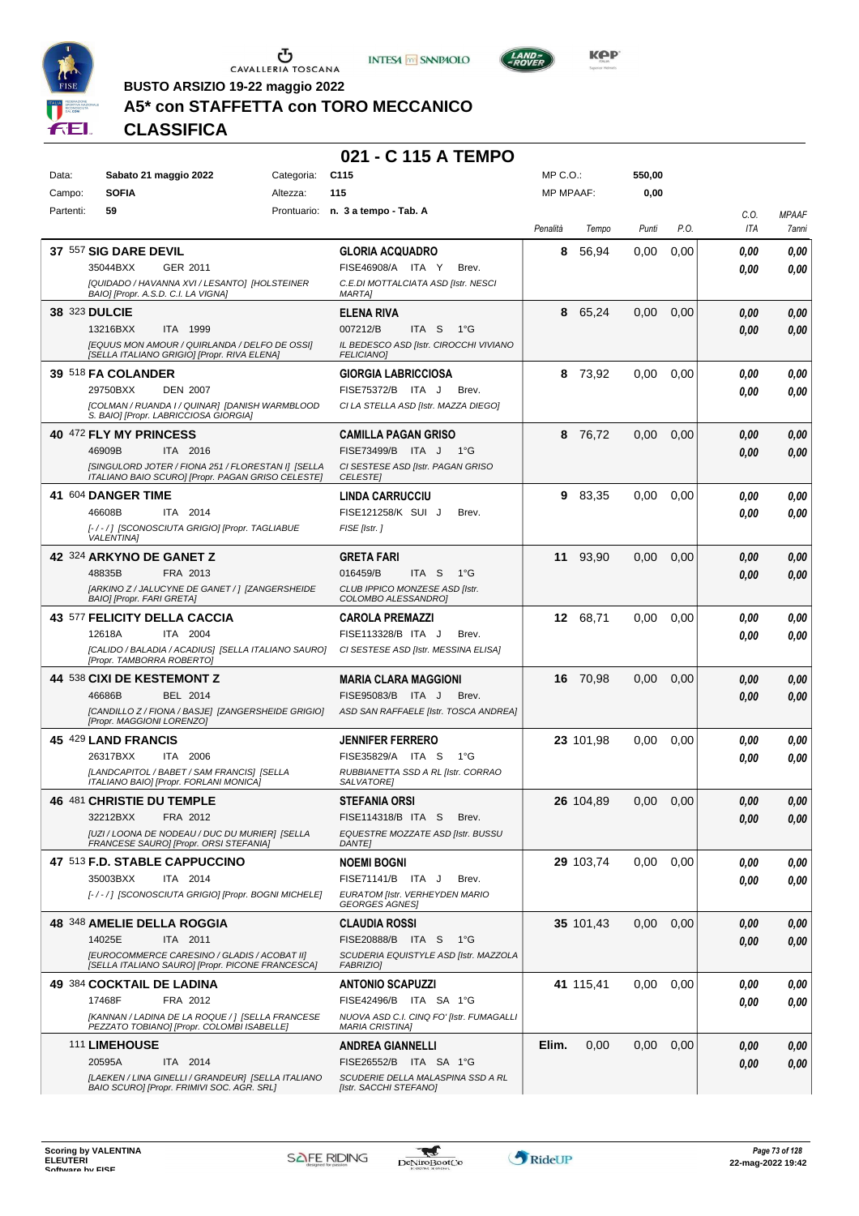





**Kep** 

**BUSTO ARSIZIO 19-22 maggio 2022**

## **A5\* con STAFFETTA con TORO MECCANICO**

**CLASSIFICA**

### **021 - C 115 A TEMPO**

| Data:         | Sabato 21 maggio 2022                                                                            | Categoria: | C <sub>115</sub>                                           | MP C.O.:         |           | 550,00 |      |            |              |
|---------------|--------------------------------------------------------------------------------------------------|------------|------------------------------------------------------------|------------------|-----------|--------|------|------------|--------------|
| Campo:        | <b>SOFIA</b>                                                                                     | Altezza:   | 115                                                        | <b>MP MPAAF:</b> |           | 0,00   |      |            |              |
| Partenti:     | 59                                                                                               |            | Prontuario: n. 3 a tempo - Tab. A                          |                  |           |        |      | C.0.       | <b>MPAAF</b> |
|               |                                                                                                  |            |                                                            | Penalità         | Tempo     | Punti  | P.O. | ITA        | 7anni        |
|               |                                                                                                  |            |                                                            |                  |           |        |      |            |              |
|               | <b>37 557 SIG DARE DEVIL</b>                                                                     |            | <b>GLORIA ACQUADRO</b>                                     | 8                | 56,94     | 0.00   | 0,00 | 0.00       | 0,00         |
|               | 35044BXX<br>GER 2011                                                                             |            | FISE46908/A ITA Y<br>Brev.                                 |                  |           |        |      | 0.00       | 0,00         |
|               | [QUIDADO / HAVANNA XVI / LESANTO] [HOLSTEINER<br>BAIO] [Propr. A.S.D. C.I. LA VIGNA]             |            | C.E.DI MOTTALCIATA ASD [Istr. NESCI<br><b>MARTAI</b>       |                  |           |        |      |            |              |
|               |                                                                                                  |            |                                                            |                  |           |        |      |            |              |
| 38 323 DULCIE |                                                                                                  |            | <b>ELENA RIVA</b>                                          | 8                | 65,24     | 0,00   | 0,00 | 0.00       | 0,00         |
|               | 13216BXX<br>ITA 1999                                                                             |            | 007212/B<br>ITA <sub>S</sub><br>1°G                        |                  |           |        |      | 0.00       | 0,00         |
|               | [EQUUS MON AMOUR / QUIRLANDA / DELFO DE OSSI]<br>[SELLA ITALIANO GRIGIO] [Propr. RIVA ELENA]     |            | IL BEDESCO ASD [Istr. CIROCCHI VIVIANO<br><b>FELICIANO</b> |                  |           |        |      |            |              |
|               | 39 518 FA COLANDER                                                                               |            | <b>GIORGIA LABRICCIOSA</b>                                 | 8                | 73,92     | 0,00   | 0,00 | 0.00       | 0,00         |
|               | 29750BXX<br><b>DEN 2007</b>                                                                      |            | FISE75372/B ITA J<br>Brev.                                 |                  |           |        |      |            |              |
|               | [COLMAN / RUANDA I / QUINAR] [DANISH WARMBLOOD                                                   |            | CI LA STELLA ASD [Istr. MAZZA DIEGO]                       |                  |           |        |      | 0.00       | 0,00         |
|               | S. BAIO] [Propr. LABRICCIOSA GIORGIA]                                                            |            |                                                            |                  |           |        |      |            |              |
|               | 40 472 FLY MY PRINCESS                                                                           |            | <b>CAMILLA PAGAN GRISO</b>                                 | 8                | 76,72     | 0,00   | 0,00 | 0.00       | 0,00         |
|               | 46909B<br>ITA 2016                                                                               |            | FISE73499/B ITA J<br>$1^{\circ}$ G                         |                  |           |        |      | 0.00       | 0,00         |
|               | [SINGULORD JOTER / FIONA 251 / FLORESTAN I] [SELLA                                               |            | CI SESTESE ASD [Istr. PAGAN GRISO                          |                  |           |        |      |            |              |
|               | ITALIANO BAIO SCURO] [Propr. PAGAN GRISO CELESTE]                                                |            | <b>CELESTEI</b>                                            |                  |           |        |      |            |              |
|               | 41 604 DANGER TIME                                                                               |            | <b>LINDA CARRUCCIU</b>                                     | 9                | 83,35     | 0,00   | 0,00 | 0.00       | 0,00         |
|               | 46608B<br>ITA 2014                                                                               |            | FISE121258/K SUI J<br>Brev.                                |                  |           |        |      | 0.00       | 0,00         |
|               | [-/-/] [SCONOSCIUTA GRIGIO] [Propr. TAGLIABUE                                                    |            | FISE [Istr.]                                               |                  |           |        |      |            |              |
|               | <b>VALENTINA1</b>                                                                                |            |                                                            |                  |           |        |      |            |              |
|               | 42 324 ARKYNO DE GANET Z                                                                         |            | <b>GRETA FARI</b>                                          | 11               | 93.90     | 0,00   | 0,00 | 0,00       | 0,00         |
|               | 48835B<br>FRA 2013                                                                               |            | 016459/B<br>ITA S<br>$1^{\circ}G$                          |                  |           |        |      | 0.00       | 0,00         |
|               | [ARKINO Z / JALUCYNE DE GANET / ] [ZANGERSHEIDE<br><b>BAIO] [Propr. FARI GRETA]</b>              |            | CLUB IPPICO MONZESE ASD [Istr.<br>COLOMBO ALESSANDRO]      |                  |           |        |      |            |              |
|               | 43 577 FELICITY DELLA CACCIA                                                                     |            | <b>CAROLA PREMAZZI</b>                                     |                  | 12 68,71  | 0,00   | 0,00 | 0.00       | 0,00         |
|               | 12618A<br>ITA 2004                                                                               |            | FISE113328/B ITA J<br>Brev.                                |                  |           |        |      |            |              |
|               | [CALIDO / BALADIA / ACADIUS] [SELLA ITALIANO SAURO]                                              |            | CI SESTESE ASD [Istr. MESSINA ELISA]                       |                  |           |        |      | 0.00       | 0,00         |
|               | [Propr. TAMBORRA ROBERTO]                                                                        |            |                                                            |                  |           |        |      |            |              |
|               | <b>44 538 CIXI DE KESTEMONT Z</b>                                                                |            | <b>MARIA CLARA MAGGIONI</b>                                |                  | 16 70,98  | 0,00   | 0,00 | 0,00       | 0,00         |
|               | BEL 2014<br>46686B                                                                               |            | FISE95083/B ITA J<br>Brev.                                 |                  |           |        |      | 0.00       | 0,00         |
|               | [CANDILLO Z / FIONA / BASJE] [ZANGERSHEIDE GRIGIO]                                               |            | ASD SAN RAFFAELE [Istr. TOSCA ANDREA]                      |                  |           |        |      |            |              |
|               | [Propr. MAGGIONI LORENZO]                                                                        |            |                                                            |                  |           |        |      |            |              |
|               | 45 429 LAND FRANCIS                                                                              |            | <b>JENNIFER FERRERO</b>                                    |                  | 23 101,98 | 0.00   | 0,00 | 0.00       | 0,00         |
|               | 26317BXX<br>ITA 2006                                                                             |            | FISE35829/A ITA S<br>$1^{\circ}G$                          |                  |           |        |      | 0.00       | 0.00         |
|               | [LANDCAPITOL / BABET / SAM FRANCIS] [SELLA<br>ITALIANO BAIO] [Propr. FORLANI MONICA]             |            | RUBBIANETTA SSD A RL [Istr. CORRAO<br><b>SALVATOREI</b>    |                  |           |        |      |            |              |
|               | 46 481 CHRISTIE DU TEMPLE                                                                        |            | <b>STEFANIA ORSI</b>                                       |                  | 26 104,89 | 0.00   | 0,00 | 0,00       | 0,00         |
|               | 32212BXX FRA 2012                                                                                |            | FISE114318/B ITA S Brev.                                   |                  |           |        |      |            |              |
|               | [UZI / LOONA DE NODEAU / DUC DU MURIER] [SELLA                                                   |            | EQUESTRE MOZZATE ASD [Istr. BUSSU                          |                  |           |        |      | $\it 0,00$ | 0,00         |
|               | FRANCESE SAURO] [Propr. ORSI STEFANIA]                                                           |            | <b>DANTE]</b>                                              |                  |           |        |      |            |              |
|               | 47 513 F.D. STABLE CAPPUCCINO                                                                    |            | <b>NOEMI BOGNI</b>                                         |                  | 29 103,74 | 0.00   | 0.00 | 0.00       | 0,00         |
|               | 35003BXX<br>ITA 2014                                                                             |            | FISE71141/B ITA J<br>Brev.                                 |                  |           |        |      | 0.00       | 0.00         |
|               | [-/-/] [SCONOSCIUTA GRIGIO] [Propr. BOGNI MICHELE]                                               |            | EURATOM [Istr. VERHEYDEN MARIO                             |                  |           |        |      |            |              |
|               |                                                                                                  |            | <b>GEORGES AGNES]</b>                                      |                  |           |        |      |            |              |
|               | 48 348 AMELIE DELLA ROGGIA                                                                       |            | <b>CLAUDIA ROSSI</b>                                       |                  | 35 101,43 | 0,00   | 0,00 | 0.00       | 0,00         |
|               | 14025E<br>ITA 2011                                                                               |            | FISE20888/B ITA S<br>− 1°G                                 |                  |           |        |      | 0,00       | 0,00         |
|               | [EUROCOMMERCE CARESINO / GLADIS / ACOBAT II]<br>[SELLA ITALIANO SAURO] [Propr. PICONE FRANCESCA] |            | SCUDERIA EQUISTYLE ASD [Istr. MAZZOLA<br><b>FABRIZIO]</b>  |                  |           |        |      |            |              |
|               | 49 384 COCKTAIL DE LADINA                                                                        |            |                                                            |                  | 41 115,41 | 0,00   |      |            |              |
|               | 17468F<br>FRA 2012                                                                               |            | <b>ANTONIO SCAPUZZI</b><br>FISE42496/B ITA SA 1°G          |                  |           |        | 0,00 | 0.00       | 0,00         |
|               | [KANNAN / LADINA DE LA ROQUE / ] [SELLA FRANCESE                                                 |            | NUOVA ASD C.I. CINQ FO' [Istr. FUMAGALLI                   |                  |           |        |      | 0.00       | 0,00         |
|               | PEZZATO TOBIANO] [Propr. COLOMBI ISABELLE]                                                       |            | <b>MARIA CRISTINA]</b>                                     |                  |           |        |      |            |              |
|               | 111 LIMEHOUSE                                                                                    |            | <b>ANDREA GIANNELLI</b>                                    | Elim.            | 0,00      | 0,00   | 0,00 | 0.00       | 0,00         |
|               | 20595A<br>ITA 2014                                                                               |            | FISE26552/B ITA SA 1°G                                     |                  |           |        |      | 0,00       | 0,00         |
|               | [LAEKEN / LINA GINELLI / GRANDEUR] [SELLA ITALIANO                                               |            | SCUDERIE DELLA MALASPINA SSD A RL                          |                  |           |        |      |            |              |
|               | BAIO SCURO] [Propr. FRIMIVI SOC. AGR. SRL]                                                       |            | [Istr. SACCHI STEFANO]                                     |                  |           |        |      |            |              |

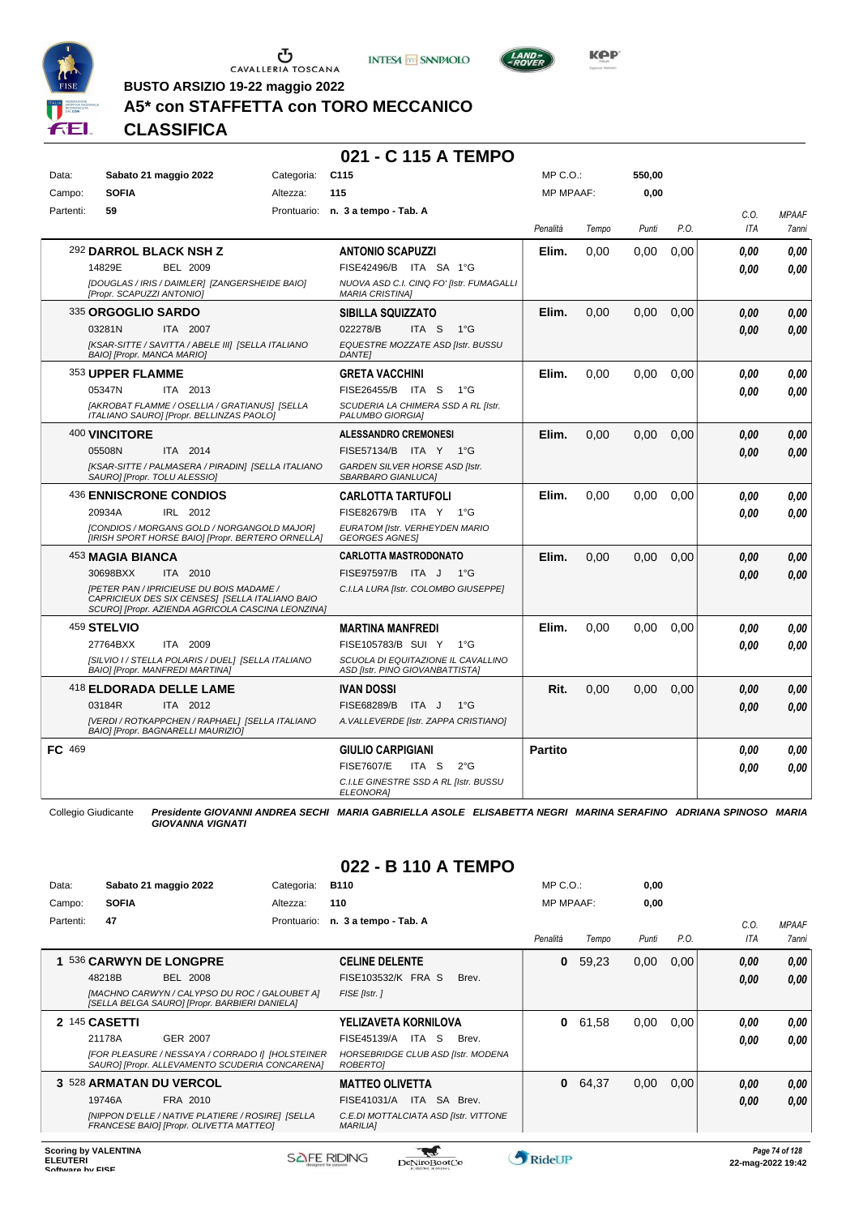





**BUSTO ARSIZIO 19-22 maggio 2022**

## **A5\* con STAFFETTA con TORO MECCANICO**

### **CLASSIFICA**

### **021 - C 115 A TEMPO**

| Data:     | Sabato 21 maggio 2022                                                                                                                                   | Categoria: | C <sub>115</sub>                                                      | MP C.O.:         |       | 550,00 |      |            |              |
|-----------|---------------------------------------------------------------------------------------------------------------------------------------------------------|------------|-----------------------------------------------------------------------|------------------|-------|--------|------|------------|--------------|
| Campo:    | <b>SOFIA</b>                                                                                                                                            | Altezza:   | 115                                                                   | <b>MP MPAAF:</b> |       | 0,00   |      |            |              |
| Partenti: | 59                                                                                                                                                      |            | Prontuario: n. 3 a tempo - Tab. A                                     |                  |       |        |      | C.O.       | <b>MPAAF</b> |
|           |                                                                                                                                                         |            |                                                                       | Penalità         | Tempo | Punti  | P.O. | <b>ITA</b> | 7anni        |
|           | 292 DARROL BLACK NSH Z                                                                                                                                  |            | <b>ANTONIO SCAPUZZI</b>                                               | Elim.            | 0.00  | 0,00   | 0.00 | 0.00       | 0,00         |
|           | 14829E<br><b>BEL 2009</b>                                                                                                                               |            | FISE42496/B ITA SA 1°G                                                |                  |       |        |      | 0.00       | 0.00         |
|           | [DOUGLAS / IRIS / DAIMLER] [ZANGERSHEIDE BAIO]<br>[Propr. SCAPUZZI ANTONIO]                                                                             |            | NUOVA ASD C.I. CINQ FO' [Istr. FUMAGALLI<br><b>MARIA CRISTINAI</b>    |                  |       |        |      |            |              |
|           | <sup>335</sup> ORGOGLIO SARDO                                                                                                                           |            | <b>SIBILLA SQUIZZATO</b>                                              | Elim.            | 0.00  | 0.00   | 0.00 | 0.00       | 0.00         |
|           | 03281N<br>ITA 2007                                                                                                                                      |            | 022278/B<br>ITA S<br>$1^{\circ}G$                                     |                  |       |        |      | 0.00       | 0,00         |
|           | [KSAR-SITTE / SAVITTA / ABELE III] [SELLA ITALIANO<br><b>BAIOI [Propr. MANCA MARIO]</b>                                                                 |            | EQUESTRE MOZZATE ASD [Istr. BUSSU<br><b>DANTEI</b>                    |                  |       |        |      |            |              |
|           | 353 UPPER FLAMME                                                                                                                                        |            | <b>GRETA VACCHINI</b>                                                 | Elim.            | 0,00  | 0,00   | 0,00 | 0.00       | 0.00         |
|           | 05347N<br>ITA 2013                                                                                                                                      |            | FISE26455/B ITA S<br>$1^{\circ}G$                                     |                  |       |        |      | 0.00       | 0,00         |
|           | [AKROBAT FLAMME / OSELLIA / GRATIANUS] [SELLA<br>ITALIANO SAURO] [Propr. BELLINZAS PAOLO]                                                               |            | SCUDERIA LA CHIMERA SSD A RL [Istr.<br>PALUMBO GIORGIA]               |                  |       |        |      |            |              |
|           | 400 VINCITORE                                                                                                                                           |            | <b>ALESSANDRO CREMONESI</b>                                           | Elim.            | 0.00  | 0,00   | 0,00 | 0.00       | 0,00         |
|           | ITA 2014<br>05508N                                                                                                                                      |            | FISE57134/B ITA Y 1°G                                                 |                  |       |        |      | 0.00       | 0,00         |
|           | [KSAR-SITTE / PALMASERA / PIRADIN] [SELLA ITALIANO<br>SAURO] [Propr. TOLU ALESSIO]                                                                      |            | GARDEN SILVER HORSE ASD [Istr.<br>SBARBARO GIANLUCAI                  |                  |       |        |      |            |              |
|           | 436 ENNISCRONE CONDIOS                                                                                                                                  |            | <b>CARLOTTA TARTUFOLI</b>                                             | Elim.            | 0.00  | 0,00   | 0,00 | 0.00       | 0,00         |
|           | 20934A<br>IRL 2012                                                                                                                                      |            | FISE82679/B ITA Y<br>$1^{\circ}G$                                     |                  |       |        |      | 0.00       | 0.00         |
|           | [CONDIOS / MORGANS GOLD / NORGANGOLD MAJOR]<br>[IRISH SPORT HORSE BAIO] [Propr. BERTERO ORNELLA]                                                        |            | EURATOM [Istr. VERHEYDEN MARIO<br><b>GEORGES AGNES!</b>               |                  |       |        |      |            |              |
|           | <sup>453</sup> MAGIA BIANCA                                                                                                                             |            | <b>CARLOTTA MASTRODONATO</b>                                          | Elim.            | 0.00  | 0.00   | 0.00 | 0.00       | 0,00         |
|           | 30698BXX<br>ITA 2010                                                                                                                                    |            | FISE97597/B ITA J<br>$1^{\circ}G$                                     |                  |       |        |      | 0,00       | 0,00         |
|           | <b>IPETER PAN / IPRICIEUSE DU BOIS MADAME /</b><br>CAPRICIEUX DES SIX CENSES] [SELLA ITALIANO BAIO<br>SCURO] [Propr. AZIENDA AGRICOLA CASCINA LEONZINA] |            | C.I.LA LURA [Istr. COLOMBO GIUSEPPE]                                  |                  |       |        |      |            |              |
|           | <sup>459</sup> STELVIO                                                                                                                                  |            | <b>MARTINA MANFREDI</b>                                               | Elim.            | 0.00  | 0.00   | 0.00 | 0.00       | 0.00         |
|           | 27764BXX<br>ITA 2009                                                                                                                                    |            | FISE105783/B SUI Y<br>$1^{\circ}$ G                                   |                  |       |        |      | 0.00       | 0,00         |
|           | [SILVIO I / STELLA POLARIS / DUEL] [SELLA ITALIANO<br>BAIO] [Propr. MANFREDI MARTINA]                                                                   |            | SCUOLA DI EQUITAZIONE IL CAVALLINO<br>ASD [Istr. PINO GIOVANBATTISTA] |                  |       |        |      |            |              |
|           | 418 ELDORADA DELLE LAME                                                                                                                                 |            | <b>IVAN DOSSI</b>                                                     | Rit.             | 0,00  | 0,00   | 0,00 | 0.00       | 0,00         |
|           | 03184R<br>ITA 2012                                                                                                                                      |            | FISE68289/B<br>ITA J<br>$1^{\circ}$ G                                 |                  |       |        |      | 0.00       | 0,00         |
|           | [VERDI / ROTKAPPCHEN / RAPHAEL] [SELLA ITALIANO<br>BAIO] [Propr. BAGNARELLI MAURIZIO]                                                                   |            | A. VALLEVERDE [Istr. ZAPPA CRISTIANO]                                 |                  |       |        |      |            |              |
| FC 469    |                                                                                                                                                         |            | <b>GIULIO CARPIGIANI</b>                                              | <b>Partito</b>   |       |        |      | 0.00       | 0,00         |
|           |                                                                                                                                                         |            | <b>FISE7607/E</b><br>ITA S<br>$2^{\circ}$ G                           |                  |       |        |      | 0.00       | 0,00         |
|           |                                                                                                                                                         |            | C.I.LE GINESTRE SSD A RL [Istr. BUSSU<br>ELEONORA]                    |                  |       |        |      |            |              |

Collegio Giudicante *Presidente GIOVANNI ANDREA SECHI MARIA GABRIELLA ASOLE ELISABETTA NEGRI MARINA SERAFINO ADRIANA SPINOSO MARIA GIOVANNA VIGNATI*

| Data:     | Sabato 21 maggio 2022                                                                              | Categoria:  | <b>B110</b>                                              |                    | MP C. O.         |       | 0,00  |      |            |              |
|-----------|----------------------------------------------------------------------------------------------------|-------------|----------------------------------------------------------|--------------------|------------------|-------|-------|------|------------|--------------|
| Campo:    | <b>SOFIA</b>                                                                                       | Altezza:    | 110                                                      |                    | <b>MP MPAAF:</b> |       | 0,00  |      |            |              |
| Partenti: | 47                                                                                                 | Prontuario: | n. 3 a tempo - Tab. A                                    |                    |                  |       |       |      | C.0.       | <b>MPAAF</b> |
|           |                                                                                                    |             |                                                          |                    | Penalità         | Tempo | Punti | P.O. | <b>ITA</b> | <b>7anni</b> |
|           | 536 CARWYN DE LONGPRE                                                                              |             | <b>CELINE DELENTE</b>                                    |                    | 0                | 59,23 | 0,00  | 0,00 | 0,00       | 0.00         |
|           | 48218B<br><b>BEL 2008</b>                                                                          |             | FISE103532/K FRA S                                       | Brev.              |                  |       |       |      | 0,00       | 0.00         |
|           | [MACHNO CARWYN / CALYPSO DU ROC / GALOUBET A]<br>[SELLA BELGA SAURO] [Propr. BARBIERI DANIELA]     |             | FISE [Istr.]                                             |                    |                  |       |       |      |            |              |
|           | 2 145 CASETTI                                                                                      |             | YELIZAVETA KORNILOVA                                     |                    | 0                | 61,58 | 0,00  | 0.00 | 0,00       | 0,00         |
|           | 21178A<br>GER 2007                                                                                 |             | FISE45139/A<br>ITA S                                     | Brev.              |                  |       |       |      | 0,00       | 0.00         |
|           | [FOR PLEASURE / NESSAYA / CORRADO I] [HOLSTEINER<br>SAURO] [Propr. ALLEVAMENTO SCUDERIA CONCARENA] |             | HORSEBRIDGE CLUB ASD [Istr. MODENA<br>ROBERTO]           |                    |                  |       |       |      |            |              |
|           | 3 528 ARMATAN DU VERCOL                                                                            |             | <b>MATTEO OLIVETTA</b>                                   |                    | 0                | 64,37 | 0,00  | 0,00 | 0,00       | 0,00         |
|           | 19746A<br>FRA 2010                                                                                 |             | ITA<br>FISE41031/A                                       | <b>SA</b><br>Brev. |                  |       |       |      | 0,00       | 0,00         |
|           | [NIPPON D'ELLE / NATIVE PLATIERE / ROSIRE] [SELLA<br>FRANCESE BAIO] [Propr. OLIVETTA MATTEO]       |             | C.E.DI MOTTALCIATA ASD [Istr. VITTONE<br><b>MARILIAI</b> |                    |                  |       |       |      |            |              |
|           |                                                                                                    |             |                                                          |                    |                  |       |       |      |            |              |

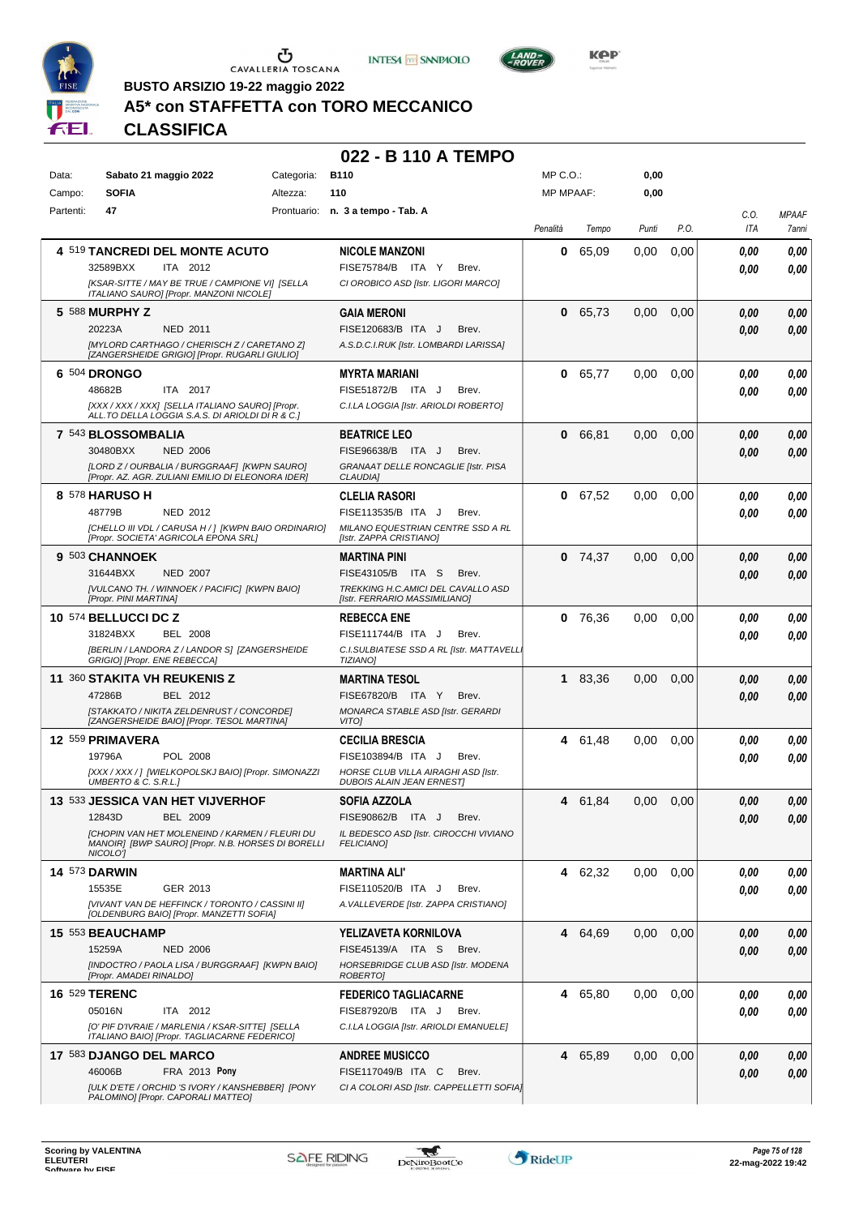





**BUSTO ARSIZIO 19-22 maggio 2022**

## **A5\* con STAFFETTA con TORO MECCANICO**

**CLASSIFICA**

| Data:     | Sabato 21 maggio 2022                                                                                                   | Categoria: | <b>B110</b>                                                            | $MP C. O.$ :     |           | 0,00  |      |                    |                       |
|-----------|-------------------------------------------------------------------------------------------------------------------------|------------|------------------------------------------------------------------------|------------------|-----------|-------|------|--------------------|-----------------------|
| Campo:    | <b>SOFIA</b>                                                                                                            | Altezza:   | 110                                                                    | <b>MP MPAAF:</b> |           | 0,00  |      |                    |                       |
| Partenti: | 47                                                                                                                      |            | Prontuario: n. 3 a tempo - Tab. A                                      | Penalità         | Tempo     | Punti | P.O. | C.0.<br><b>ITA</b> | <b>MPAAF</b><br>7anni |
|           | 4 519 TANCREDI DEL MONTE ACUTO                                                                                          |            | <b>NICOLE MANZONI</b>                                                  | 0                | 65,09     | 0.00  | 0,00 | 0.00               | 0,00                  |
|           | 32589BXX<br>ITA 2012                                                                                                    |            | FISE75784/B ITA Y<br>Brev.                                             |                  |           |       |      | 0.00               | 0,00                  |
|           | [KSAR-SITTE / MAY BE TRUE / CAMPIONE VI] [SELLA<br>ITALIANO SAURO] [Propr. MANZONI NICOLE]                              |            | CI OROBICO ASD [Istr. LIGORI MARCO]                                    |                  |           |       |      |                    |                       |
|           | 5 588 MURPHY Z                                                                                                          |            | <b>GAIA MERONI</b>                                                     | $\mathbf{0}$     | 65,73     | 0,00  | 0,00 | 0.00               | 0,00                  |
|           | 20223A<br>NED 2011                                                                                                      |            | FISE120683/B ITA J<br>Brev.                                            |                  |           |       |      | 0.00               | 0,00                  |
|           | [MYLORD CARTHAGO / CHERISCH Z / CARETANO Z]<br>[ZANGERSHEIDE GRIGIO] [Propr. RUGARLI GIULIO]                            |            | A.S.D.C.I.RUK [Istr. LOMBARDI LARISSA]                                 |                  |           |       |      |                    |                       |
|           | 6 504 DRONGO                                                                                                            |            | <b>MYRTA MARIANI</b>                                                   |                  | 0 65,77   | 0,00  | 0,00 | 0.00               | 0,00                  |
|           | 48682B<br>ITA 2017                                                                                                      |            | FISE51872/B ITA J<br>Brev.                                             |                  |           |       |      | 0.00               | 0,00                  |
|           | [XXX / XXX / XXX] [SELLA ITALIANO SAURO] [Propr.<br>ALL.TO DELLA LOGGIA S.A.S. DI ARIOLDI DI R & C.]                    |            | C.I.LA LOGGIA [Istr. ARIOLDI ROBERTO]                                  |                  |           |       |      |                    |                       |
|           | 7 543 BLOSSOMBALIA                                                                                                      |            | <b>BEATRICE LEO</b>                                                    | $\mathbf 0$      | 66,81     | 0,00  | 0,00 | 0.00               | 0,00                  |
|           | 30480BXX<br><b>NED 2006</b>                                                                                             |            | FISE96638/B ITA J<br>Brev.                                             |                  |           |       |      | 0.00               | 0,00                  |
|           | [LORD Z / OURBALIA / BURGGRAAF] [KWPN SAURO]<br>[Propr. AZ. AGR. ZULIANI EMILIO DI ELEONORA IDER]                       |            | <b>GRANAAT DELLE RONCAGLIE [Istr. PISA</b><br><b>CLAUDIA1</b>          |                  |           |       |      |                    |                       |
|           | 8 578 HARUSO H                                                                                                          |            | <b>CLELIA RASORI</b>                                                   |                  | 0 67,52   | 0,00  | 0,00 | 0.00               | 0,00                  |
|           | 48779B<br>NED 2012                                                                                                      |            | FISE113535/B ITA J<br>Brev.                                            |                  |           |       |      | 0.00               | 0.00                  |
|           | [CHELLO III VDL / CARUSA H / 1 [KWPN BAIO ORDINARIO]<br>[Propr. SOCIETA' AGRICOLA EPONA SRL]                            |            | MILANO EQUESTRIAN CENTRE SSD A RL<br>[Istr. ZAPPA CRISTIANO]           |                  |           |       |      |                    |                       |
|           | 9 503 CHANNOEK                                                                                                          |            | MARTINA PINI                                                           |                  | $0$ 74,37 | 0,00  | 0,00 | 0,00               | 0,00                  |
|           | 31644BXX<br><b>NED 2007</b>                                                                                             |            | FISE43105/B ITA S<br>Brev.                                             |                  |           |       |      | 0.00               | 0,00                  |
|           | [VULCANO TH. / WINNOEK / PACIFIC] [KWPN BAIO]<br>[Propr. PINI MARTINA]                                                  |            | TREKKING H.C.AMICI DEL CAVALLO ASD<br>[Istr. FERRARIO MASSIMILIANO]    |                  |           |       |      |                    |                       |
|           | 10 574 BELLUCCI DC Z                                                                                                    |            | <b>REBECCA ENE</b>                                                     | 0                | 76,36     | 0,00  | 0,00 | 0.00               | 0,00                  |
|           | 31824BXX<br><b>BEL 2008</b>                                                                                             |            | FISE111744/B ITA J<br>Brev.                                            |                  |           |       |      | 0.00               | 0.00                  |
|           | [BERLIN / LANDORA Z / LANDOR S] [ZANGERSHEIDE<br>GRIGIO] [Propr. ENE REBECCA]                                           |            | C.I.SULBIATESE SSD A RL [Istr. MATTAVELL.<br><b>TIZIANO</b>            |                  |           |       |      |                    |                       |
|           | 11 360 STAKITA VH REUKENIS Z                                                                                            |            | <b>MARTINA TESOL</b>                                                   | 1                | 83,36     | 0,00  | 0,00 | 0.00               | 0,00                  |
|           | 47286B<br>BEL 2012                                                                                                      |            | FISE67820/B ITA Y<br>Brev.                                             |                  |           |       |      | 0.00               | 0.00                  |
|           | [STAKKATO / NIKITA ZELDENRUST / CONCORDE]<br>[ZANGERSHEIDE BAIO] [Propr. TESOL MARTINA]                                 |            | MONARCA STABLE ASD [Istr. GERARDI<br><b>VITOI</b>                      |                  |           |       |      |                    |                       |
|           | 12 559 PRIMAVERA                                                                                                        |            | <b>CECILIA BRESCIA</b>                                                 | 4                | 61,48     | 0,00  | 0,00 | 0.00               | 0,00                  |
|           | 19796A<br>POL 2008                                                                                                      |            | FISE103894/B ITA J<br>Brev.                                            |                  |           |       |      | 0.00               | 0.00                  |
|           | [XXX / XXX /] [WIELKOPOLSKJ BAIO] [Propr. SIMONAZZI<br>UMBERTO & C. S.R.L.]                                             |            | HORSE CLUB VILLA AIRAGHI ASD [Istr.<br><b>DUBOIS ALAIN JEAN ERNEST</b> |                  |           |       |      |                    |                       |
|           | 13 533 JESSICA VAN HET VIJVERHOF                                                                                        |            | SOFIA AZZOLA                                                           | 4                | 61,84     | 0,00  | 0,00 | 0.00               | 0,00                  |
|           | 12843D<br>BEL 2009                                                                                                      |            | FISE90862/B ITA J<br>Brev.                                             |                  |           |       |      | 0,00               | 0,00                  |
|           | <b>[CHOPIN VAN HET MOLENEIND / KARMEN / FLEURI DU</b><br>MANOIRI [BWP SAURO] [Propr. N.B. HORSES DI BORELLI<br>NICOLO'I |            | IL BEDESCO ASD [Istr. CIROCCHI VIVIANO<br><b>FELICIANO1</b>            |                  |           |       |      |                    |                       |
|           | <b>14 573 DARWIN</b>                                                                                                    |            | <b>MARTINA ALI'</b>                                                    |                  | 4 62,32   | 0,00  | 0,00 | 0.00               | 0,00                  |
|           | 15535E<br>GER 2013                                                                                                      |            | FISE110520/B ITA J<br>Brev.                                            |                  |           |       |      | 0.00               | 0,00                  |
|           | [VIVANT VAN DE HEFFINCK / TORONTO / CASSINI II]<br>[OLDENBURG BAIO] [Propr. MANZETTI SOFIA]                             |            | A. VALLEVERDE [Istr. ZAPPA CRISTIANO]                                  |                  |           |       |      |                    |                       |
|           | 15 553 BEAUCHAMP                                                                                                        |            | YELIZAVETA KORNILOVA                                                   |                  | 4 64,69   | 0,00  | 0,00 | 0.00               | 0,00                  |
|           | 15259A<br><b>NED 2006</b>                                                                                               |            | FISE45139/A ITA S Brev.                                                |                  |           |       |      | 0.00               | 0,00                  |
|           | [INDOCTRO / PAOLA LISA / BURGGRAAF] [KWPN BAIO]<br>[Propr. AMADEI RINALDO]                                              |            | HORSEBRIDGE CLUB ASD [Istr. MODENA<br><b>ROBERTOI</b>                  |                  |           |       |      |                    |                       |
|           | <b>16 529 TERENC</b>                                                                                                    |            | <b>FEDERICO TAGLIACARNE</b>                                            |                  | 4 65,80   | 0.00  | 0,00 | 0.00               | 0,00                  |
|           | 05016N<br>ITA 2012                                                                                                      |            | FISE87920/B ITA J<br>Brev.                                             |                  |           |       |      | 0.00               | 0,00                  |
|           | [O' PIF D'IVRAIE / MARLENIA / KSAR-SITTE] [SELLA<br>ITALIANO BAIO] [Propr. TAGLIACARNE FEDERICO]                        |            | C.I.LA LOGGIA [Istr. ARIOLDI EMANUELE]                                 |                  |           |       |      |                    |                       |
|           | 17 583 DJANGO DEL MARCO                                                                                                 |            | <b>ANDREE MUSICCO</b>                                                  |                  | 4 65,89   | 0,00  | 0,00 | 0,00               | 0,00                  |
|           | 46006B<br><b>FRA 2013 Pony</b>                                                                                          |            | FISE117049/B ITA C<br>Brev.                                            |                  |           |       |      | 0.00               | 0,00                  |
|           | [ULK D'ETE / ORCHID 'S IVORY / KANSHEBBER] [PONY<br>PALOMINO] [Propr. CAPORALI MATTEO]                                  |            | CI A COLORI ASD [Istr. CAPPELLETTI SOFIA]                              |                  |           |       |      |                    |                       |

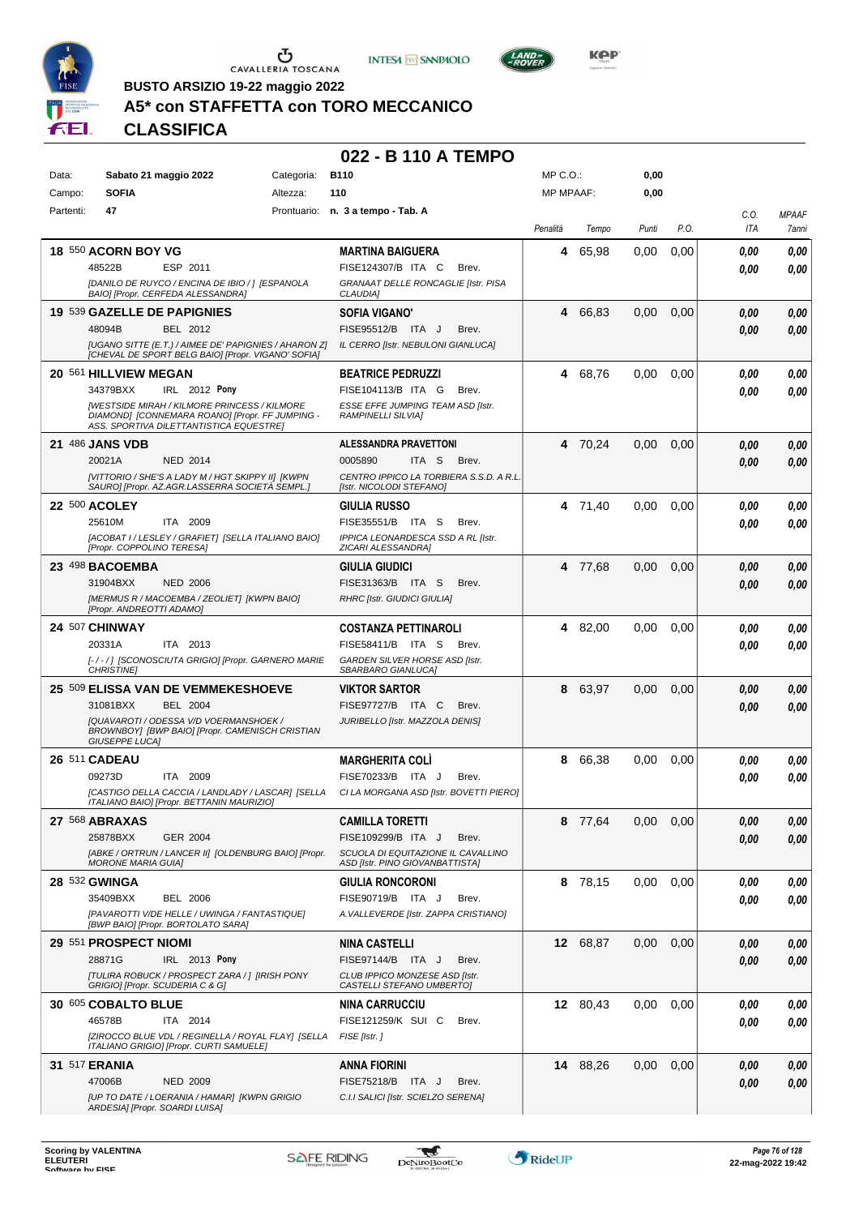





**BUSTO ARSIZIO 19-22 maggio 2022**

## **A5\* con STAFFETTA con TORO MECCANICO**

**CLASSIFICA**

| Data:     | Sabato 21 maggio 2022                                                                          | Categoria: | <b>B110</b>                                                           | $MP C. O.$ :     |          | 0,00  |               |      |                     |
|-----------|------------------------------------------------------------------------------------------------|------------|-----------------------------------------------------------------------|------------------|----------|-------|---------------|------|---------------------|
| Campo:    | <b>SOFIA</b>                                                                                   | Altezza:   | 110                                                                   | <b>MP MPAAF:</b> |          | 0,00  |               |      |                     |
| Partenti: | 47                                                                                             |            | Prontuario: n. 3 a tempo - Tab. A                                     |                  |          |       |               | C.O. | <b>MPAAF</b>        |
|           |                                                                                                |            |                                                                       | Penalità         | Tempo    | Punti | P.O.          | ITA  | <i><b>7anni</b></i> |
|           | <b>18 550 ACORN BOY VG</b>                                                                     |            | <b>MARTINA BAIGUERA</b>                                               | 4                | 65,98    | 0.00  | 0,00          | 0.00 | 0,00                |
|           | 48522B<br>ESP 2011                                                                             |            | FISE124307/B ITA C<br>Brev.                                           |                  |          |       |               | 0.00 | 0,00                |
|           | [DANILO DE RUYCO / ENCINA DE IBIO / ] [ESPANOLA<br>BAIO] [Propr. CERFEDA ALESSANDRA]           |            | GRANAAT DELLE RONCAGLIE [Istr. PISA<br>CLAUDIA]                       |                  |          |       |               |      |                     |
|           | 19 539 GAZELLE DE PAPIGNIES                                                                    |            | <b>SOFIA VIGANO'</b>                                                  | 4                | 66,83    | 0,00  | 0,00          | 0.00 | 0,00                |
|           | 48094B<br>BEL 2012                                                                             |            | FISE95512/B ITA J<br>Brev.                                            |                  |          |       |               | 0.00 | 0,00                |
|           | [UGANO SITTE (E.T.) / AIMEE DE' PAPIGNIES / AHARON Z]                                          |            | IL CERRO [Istr. NEBULONI GIANLUCA]                                    |                  |          |       |               |      |                     |
|           | [CHEVAL DE SPORT BELG BAIO] [Propr. VIGANO' SOFIA]                                             |            | <b>BEATRICE PEDRUZZI</b>                                              |                  | 4 68,76  |       |               |      |                     |
|           | 20 561 HILLVIEW MEGAN<br>34379BXX<br>IRL 2012 Pony                                             |            | FISE104113/B ITA G<br>Brev.                                           |                  |          | 0.00  | 0,00          | 0,00 | 0,00                |
|           | <b>IWESTSIDE MIRAH / KILMORE PRINCESS / KILMORE</b>                                            |            | ESSE EFFE JUMPING TEAM ASD [Istr.                                     |                  |          |       |               | 0.00 | 0,00                |
|           | DIAMOND] [CONNEMARA ROANO] [Propr. FF JUMPING -<br>ASS. SPORTIVA DILETTANTISTICA EQUESTREI     |            | <b>RAMPINELLI SILVIA]</b>                                             |                  |          |       |               |      |                     |
|           | <b>21 486 JANS VDB</b>                                                                         |            | <b>ALESSANDRA PRAVETTONI</b>                                          |                  | 4 70,24  | 0.00  | 0,00          | 0.00 | 0,00                |
|           | 20021A<br><b>NED 2014</b>                                                                      |            | ITA S<br>0005890<br>Brev.                                             |                  |          |       |               | 0.00 | 0,00                |
|           | [VITTORIO / SHE'S A LADY M / HGT SKIPPY II] [KWPN                                              |            | CENTRO IPPICO LA TORBIERA S.S.D. A R.L.                               |                  |          |       |               |      |                     |
|           | SAURO] [Propr. AZ.AGR.LASSERRA SOCIETÀ SEMPL.]                                                 |            | [Istr. NICOLODI STEFANO]                                              |                  |          |       |               |      |                     |
|           | 22 500 ACOLEY                                                                                  |            | <b>GIULIA RUSSO</b>                                                   |                  | 4 71,40  | 0.00  | 0,00          | 0.00 | 0,00                |
|           | ITA 2009<br>25610M                                                                             |            | FISE35551/B ITA S<br>Brev.                                            |                  |          |       |               | 0.00 | 0.00                |
|           | [ACOBAT I / LESLEY / GRAFIET] [SELLA ITALIANO BAIO]<br>[Propr. COPPOLINO TERESA]               |            | IPPICA LEONARDESCA SSD A RL [Istr.<br>ZICARI ALESSANDRA]              |                  |          |       |               |      |                     |
|           | 23 498 BACOEMBA                                                                                |            | GIULIA GIUDICI                                                        |                  | 4 77.68  | 0,00  | 0,00          | 0.00 | 0,00                |
|           | 31904BXX<br><b>NED 2006</b>                                                                    |            | FISE31363/B ITA S<br>Brev.                                            |                  |          |       |               | 0.00 | 0,00                |
|           | [MERMUS R / MACOEMBA / ZEOLIET] [KWPN BAIO]                                                    |            | <b>RHRC [Istr. GIUDICI GIULIA]</b>                                    |                  |          |       |               |      |                     |
|           | [Propr. ANDREOTTI ADAMO]                                                                       |            |                                                                       |                  |          |       |               |      |                     |
|           | 24 507 CHINWAY<br>ITA 2013<br>20331A                                                           |            | <b>COSTANZA PETTINAROLI</b><br>FISE58411/B ITA S<br>Brev.             |                  | 4 82,00  | 0.00  | 0,00          | 0.00 | 0,00                |
|           | [-/-/] [SCONOSCIUTA GRIGIO] [Propr. GARNERO MARIE                                              |            | GARDEN SILVER HORSE ASD [Istr.                                        |                  |          |       |               | 0.00 | 0.00                |
|           | <b>CHRISTINE</b>                                                                               |            | SBARBARO GIANLUCA]                                                    |                  |          |       |               |      |                     |
|           | 25 509 ELISSA VAN DE VEMMEKESHOEVE                                                             |            | <b>VIKTOR SARTOR</b>                                                  | 8                | 63,97    | 0,00  | 0,00          | 0.00 | 0,00                |
|           | 31081BXX<br><b>BEL 2004</b>                                                                    |            | FISE97727/B ITA C<br>Brev.                                            |                  |          |       |               | 0.00 | 0,00                |
|           | [QUAVAROTI / ODESSA V/D VOERMANSHOEK /<br>BROWNBOY] [BWP BAIO] [Propr. CAMENISCH CRISTIAN      |            | JURIBELLO [Istr. MAZZOLA DENIS]                                       |                  |          |       |               |      |                     |
|           | <b>GIUSEPPE LUCA]</b>                                                                          |            |                                                                       |                  |          |       |               |      |                     |
|           | 26 511 CADEAU                                                                                  |            | <b>MARGHERITA COLI</b>                                                | 8                | 66,38    | 0.00  | 0,00          | 0.00 | 0,00                |
|           | 09273D<br>ITA 2009                                                                             |            | FISE70233/B<br>ITA J<br>Brev.                                         |                  |          |       |               | 0.00 | 0.00                |
|           | [CASTIGO DELLA CACCIA / LANDLADY / LASCAR] [SELLA<br>ITALIANO BAIO] [Propr. BETTANIN MAURIZIO] |            | CI LA MORGANA ASD [Istr. BOVETTI PIERO]                               |                  |          |       |               |      |                     |
|           | 27 568 ABRAXAS                                                                                 |            | <b>CAMILLA TORETTI</b>                                                |                  | 8 77,64  |       | $0,00$ $0,00$ | 0,00 | 0,00                |
|           | 25878BXX<br>GER 2004                                                                           |            | FISE109299/B ITA J<br>Brev.                                           |                  |          |       |               | 0.00 | 0,00                |
|           | [ABKE / ORTRUN / LANCER II] [OLDENBURG BAIO] [Propr.<br><b>MORONE MARIA GUIA]</b>              |            | SCUOLA DI EQUITAZIONE IL CAVALLINO<br>ASD [Istr. PINO GIOVANBATTISTA] |                  |          |       |               |      |                     |
|           | 28 532 GWINGA                                                                                  |            | <b>GIULIA RONCORONI</b>                                               |                  | 8 78,15  | 0.00  | 0,00          | 0.00 | 0,00                |
|           | <b>BEL 2006</b><br>35409BXX                                                                    |            | FISE90719/B ITA J<br>Brev.                                            |                  |          |       |               | 0.00 | 0,00                |
|           | [PAVAROTTI V/DE HELLE / UWINGA / FANTASTIQUE]                                                  |            | A. VALLEVERDE [Istr. ZAPPA CRISTIANO]                                 |                  |          |       |               |      |                     |
|           | [BWP BAIO] [Propr. BORTOLATO SARA]                                                             |            |                                                                       |                  |          |       |               |      |                     |
|           | 29 551 PROSPECT NIOMI                                                                          |            | <b>NINA CASTELLI</b>                                                  |                  | 12 68,87 | 0,00  | 0,00          | 0.00 | 0,00                |
|           | 28871G<br>IRL 2013 Pony<br><b>[TULIRA ROBUCK / PROSPECT ZARA / 1 [IRISH PONY</b>               |            | FISE97144/B ITA J<br>Brev.<br>CLUB IPPICO MONZESE ASD [Istr.          |                  |          |       |               | 0.00 | 0,00                |
|           | GRIGIO] [Propr. SCUDERIA C & G]                                                                |            | CASTELLI STEFANO UMBERTOJ                                             |                  |          |       |               |      |                     |
|           | 30 605 COBALTO BLUE                                                                            |            | <b>NINA CARRUCCIU</b>                                                 |                  | 12 80,43 | 0.00  | 0,00          | 0.00 | 0,00                |
|           | 46578B<br>ITA 2014                                                                             |            | FISE121259/K SUI C<br>Brev.                                           |                  |          |       |               | 0.00 | 0,00                |
|           | [ZIROCCO BLUE VDL / REGINELLA / ROYAL FLAY] [SELLA<br>ITALIANO GRIGIO] [Propr. CURTI SAMUELE]  |            | FISE [Istr.]                                                          |                  |          |       |               |      |                     |
|           | <b>31 517 ERANIA</b>                                                                           |            | <b>ANNA FIORINI</b>                                                   |                  | 14 88,26 | 0.00  | 0,00          | 0,00 | 0,00                |
|           | 47006B<br><b>NED 2009</b>                                                                      |            | FISE75218/B ITA J<br>Brev.                                            |                  |          |       |               | 0,00 | 0,00                |
|           | [UP TO DATE / LOERANIA / HAMAR] [KWPN GRIGIO<br>ARDESIA] [Propr. SOARDI LUISA]                 |            | C.I.I SALICI [Istr. SCIELZO SERENA]                                   |                  |          |       |               |      |                     |

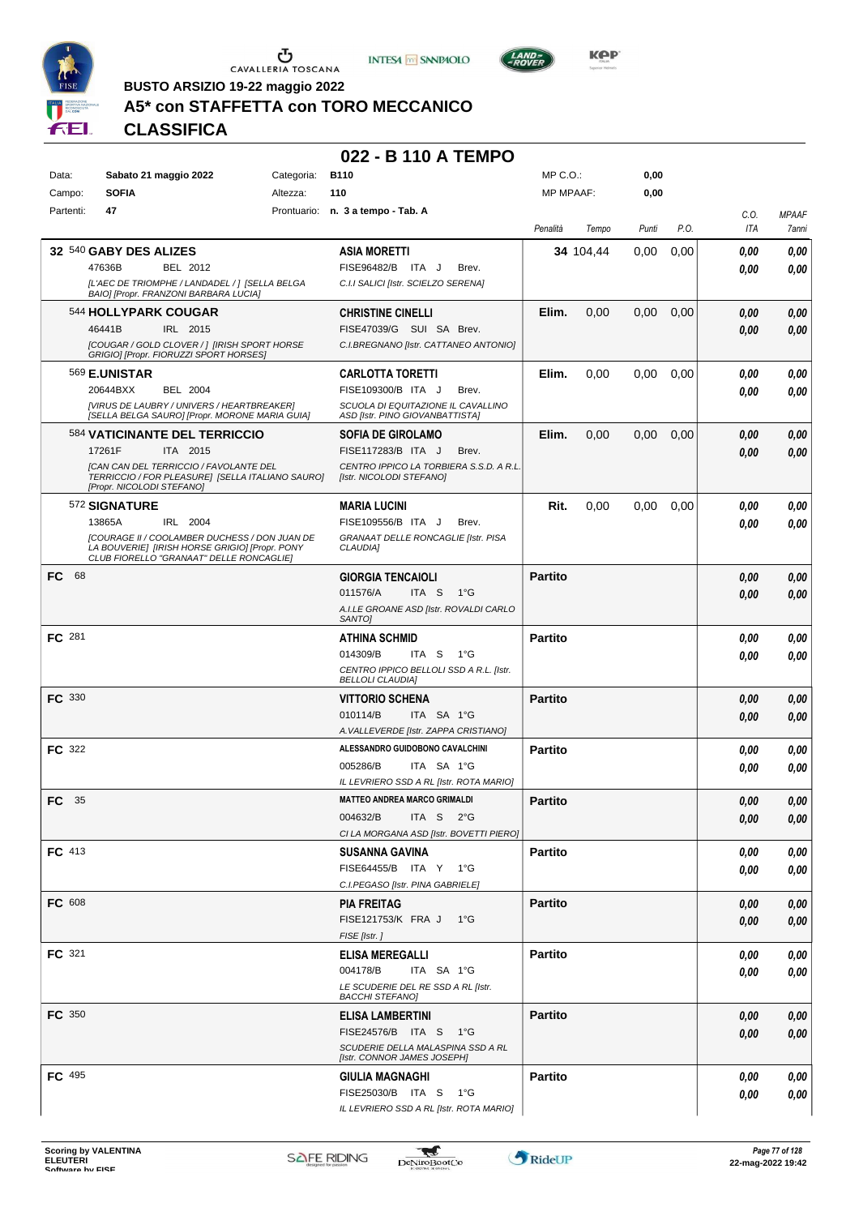





**Kep** 

**BUSTO ARSIZIO 19-22 maggio 2022**

## **A5\* con STAFFETTA con TORO MECCANICO**

**CLASSIFICA**

| Data:         | Sabato 21 maggio 2022                                                                                                                              | Categoria: | <b>B110</b>                                                           | MP C.O.:         |           | 0,00  |      |      |              |
|---------------|----------------------------------------------------------------------------------------------------------------------------------------------------|------------|-----------------------------------------------------------------------|------------------|-----------|-------|------|------|--------------|
| Campo:        | <b>SOFIA</b>                                                                                                                                       | Altezza:   | 110                                                                   | <b>MP MPAAF:</b> |           | 0,00  |      |      |              |
| Partenti:     | 47                                                                                                                                                 |            | Prontuario: n. 3 a tempo - Tab. A                                     |                  |           |       |      | C.O. | <b>MPAAF</b> |
|               |                                                                                                                                                    |            |                                                                       | Penalità         | Tempo     | Punti | P.O. | ITA  | 7anni        |
|               | 32 540 GABY DES ALIZES                                                                                                                             |            | <b>ASIA MORETTI</b>                                                   |                  | 34 104,44 | 0,00  | 0,00 | 0.00 | 0,00         |
|               | 47636B<br>BEL 2012                                                                                                                                 |            | FISE96482/B ITA J<br>Brev.                                            |                  |           |       |      | 0.00 | 0,00         |
|               | [L'AEC DE TRIOMPHE / LANDADEL / ] [SELLA BELGA                                                                                                     |            | C.I.I SALICI [Istr. SCIELZO SERENA]                                   |                  |           |       |      |      |              |
|               | BAIO] [Propr. FRANZONI BARBARA LUCIA]                                                                                                              |            |                                                                       |                  |           |       |      |      |              |
|               | 544 HOLLYPARK COUGAR                                                                                                                               |            | <b>CHRISTINE CINELLI</b>                                              | Elim.            | 0,00      | 0,00  | 0,00 | 0.00 | 0,00         |
|               | 46441B<br>IRL 2015                                                                                                                                 |            | FISE47039/G SUI SA Brev.                                              |                  |           |       |      | 0.00 | 0,00         |
|               | [COUGAR / GOLD CLOVER / ] [IRISH SPORT HORSE<br>GRIGIO] [Propr. FIORUZZI SPORT HORSES]                                                             |            | C.I.BREGNANO [Istr. CATTANEO ANTONIO]                                 |                  |           |       |      |      |              |
|               | <sup>569</sup> E.UNISTAR                                                                                                                           |            | <b>CARLOTTA TORETTI</b>                                               | Elim.            | 0,00      | 0,00  | 0,00 | 0.00 | 0,00         |
|               | 20644BXX<br>BEL 2004                                                                                                                               |            | FISE109300/B ITA J<br>Brev.                                           |                  |           |       |      | 0.00 | 0,00         |
|               | [VIRUS DE LAUBRY / UNIVERS / HEARTBREAKER]<br>[SELLA BELGA SAURO] [Propr. MORONE MARIA GUIA]                                                       |            | SCUOLA DI EQUITAZIONE IL CAVALLINO<br>ASD [Istr. PINO GIOVANBATTISTA] |                  |           |       |      |      |              |
|               | 584 VATICINANTE DEL TERRICCIO                                                                                                                      |            | <b>SOFIA DE GIROLAMO</b>                                              | Elim.            | 0,00      | 0,00  | 0,00 | 0.00 | 0,00         |
|               | 17261F<br>ITA 2015                                                                                                                                 |            | FISE117283/B ITA J<br>Brev.                                           |                  |           |       |      | 0,00 | 0,00         |
|               | [CAN CAN DEL TERRICCIO / FAVOLANTE DEL                                                                                                             |            | CENTRO IPPICO LA TORBIERA S.S.D. A R.L.                               |                  |           |       |      |      |              |
|               | TERRICCIO / FOR PLEASURE] [SELLA ITALIANO SAURO]<br>[Propr. NICOLODI STEFANO]                                                                      |            | [Istr. NICOLODI STEFANO]                                              |                  |           |       |      |      |              |
|               | 572 SIGNATURE                                                                                                                                      |            | <b>MARIA LUCINI</b>                                                   | Rit.             | 0,00      | 0.00  | 0,00 | 0,00 | 0,00         |
|               | 13865A<br>IRL 2004                                                                                                                                 |            | FISE109556/B ITA J<br>Brev.                                           |                  |           |       |      | 0.00 | 0,00         |
|               | <b>ICOURAGE II / COOLAMBER DUCHESS / DON JUAN DE</b><br>LA BOUVERIE] [IRISH HORSE GRIGIO] [Propr. PONY<br>CLUB FIORELLO "GRANAAT" DELLE RONCAGLIE] |            | GRANAAT DELLE RONCAGLIE [Istr. PISA<br>CLAUDIA]                       |                  |           |       |      |      |              |
| 68<br>FC.     |                                                                                                                                                    |            | <b>GIORGIA TENCAIOLI</b>                                              | <b>Partito</b>   |           |       |      | 0,00 | 0,00         |
|               |                                                                                                                                                    |            | 011576/A<br>ITA S<br>1°G                                              |                  |           |       |      | 0.00 | 0,00         |
|               |                                                                                                                                                    |            | A.I.LE GROANE ASD [Istr. ROVALDI CARLO<br>SANTO]                      |                  |           |       |      |      |              |
| FC 281        |                                                                                                                                                    |            | <b>ATHINA SCHMID</b>                                                  | <b>Partito</b>   |           |       |      | 0.00 | 0,00         |
|               |                                                                                                                                                    |            | 014309/B<br>ITA S<br>1°G                                              |                  |           |       |      | 0.00 | 0,00         |
|               |                                                                                                                                                    |            | CENTRO IPPICO BELLOLI SSD A R.L. [Istr.<br><b>BELLOLI CLAUDIA]</b>    |                  |           |       |      |      |              |
| <b>FC</b> 330 |                                                                                                                                                    |            | <b>VITTORIO SCHENA</b>                                                | <b>Partito</b>   |           |       |      | 0,00 | 0,00         |
|               |                                                                                                                                                    |            | ITA SA 1°G<br>010114/B                                                |                  |           |       |      | 0,00 | 0,00         |
|               |                                                                                                                                                    |            | A. VALLEVERDE [Istr. ZAPPA CRISTIANO]                                 |                  |           |       |      |      |              |
| <b>FC</b> 322 |                                                                                                                                                    |            | ALESSANDRO GUIDOBONO CAVALCHINI                                       | <b>Partito</b>   |           |       |      | 0.00 | 0,00         |
|               |                                                                                                                                                    |            | ITA SA 1°G<br>005286/B                                                |                  |           |       |      | 0.00 | 0.00         |
|               |                                                                                                                                                    |            | IL LEVRIERO SSD A RL [Istr. ROTA MARIO]                               |                  |           |       |      |      |              |
| - 35<br>FC    |                                                                                                                                                    |            | <b>MATTEO ANDREA MARCO GRIMALDI</b>                                   | <b>Partito</b>   |           |       |      | 0,00 | 0,00         |
|               |                                                                                                                                                    |            | 004632/B ITA S 2°G                                                    |                  |           |       |      | 0,00 | 0,00         |
|               |                                                                                                                                                    |            | CI LA MORGANA ASD [Istr. BOVETTI PIERO]                               |                  |           |       |      |      |              |
| FC 413        |                                                                                                                                                    |            | <b>SUSANNA GAVINA</b>                                                 | <b>Partito</b>   |           |       |      | 0,00 | 0,00         |
|               |                                                                                                                                                    |            | FISE64455/B ITA Y 1°G                                                 |                  |           |       |      | 0.00 | 0,00         |
|               |                                                                                                                                                    |            | C.I.PEGASO [Istr. PINA GABRIELE]                                      |                  |           |       |      |      |              |
| FC 608        |                                                                                                                                                    |            | <b>PIA FREITAG</b>                                                    | <b>Partito</b>   |           |       |      | 0,00 | 0,00         |
|               |                                                                                                                                                    |            | FISE121753/K FRA J 1°G                                                |                  |           |       |      | 0.00 | 0,00         |
|               |                                                                                                                                                    |            | FISE [Istr.]                                                          |                  |           |       |      |      |              |
| FC 321        |                                                                                                                                                    |            | <b>ELISA MEREGALLI</b>                                                | <b>Partito</b>   |           |       |      | 0,00 | 0,00         |
|               |                                                                                                                                                    |            | 004178/B<br>ITA SA 1°G                                                |                  |           |       |      | 0.00 | 0,00         |
|               |                                                                                                                                                    |            | LE SCUDERIE DEL RE SSD A RL [Istr.<br><b>BACCHI STEFANO]</b>          |                  |           |       |      |      |              |
| FC 350        |                                                                                                                                                    |            | ELISA LAMBERTINI                                                      | <b>Partito</b>   |           |       |      | 0,00 | 0,00         |
|               |                                                                                                                                                    |            | FISE24576/B ITA S 1°G                                                 |                  |           |       |      | 0.00 | 0,00         |
|               |                                                                                                                                                    |            | SCUDERIE DELLA MALASPINA SSD A RL<br>[Istr. CONNOR JAMES JOSEPH]      |                  |           |       |      |      |              |
| FC 495        |                                                                                                                                                    |            | <b>GIULIA MAGNAGHI</b>                                                | <b>Partito</b>   |           |       |      | 0.00 | 0,00         |
|               |                                                                                                                                                    |            | FISE25030/B ITA S 1°G                                                 |                  |           |       |      |      |              |
|               |                                                                                                                                                    |            | IL LEVRIERO SSD A RL [Istr. ROTA MARIO]                               |                  |           |       |      | 0,00 | 0,00         |

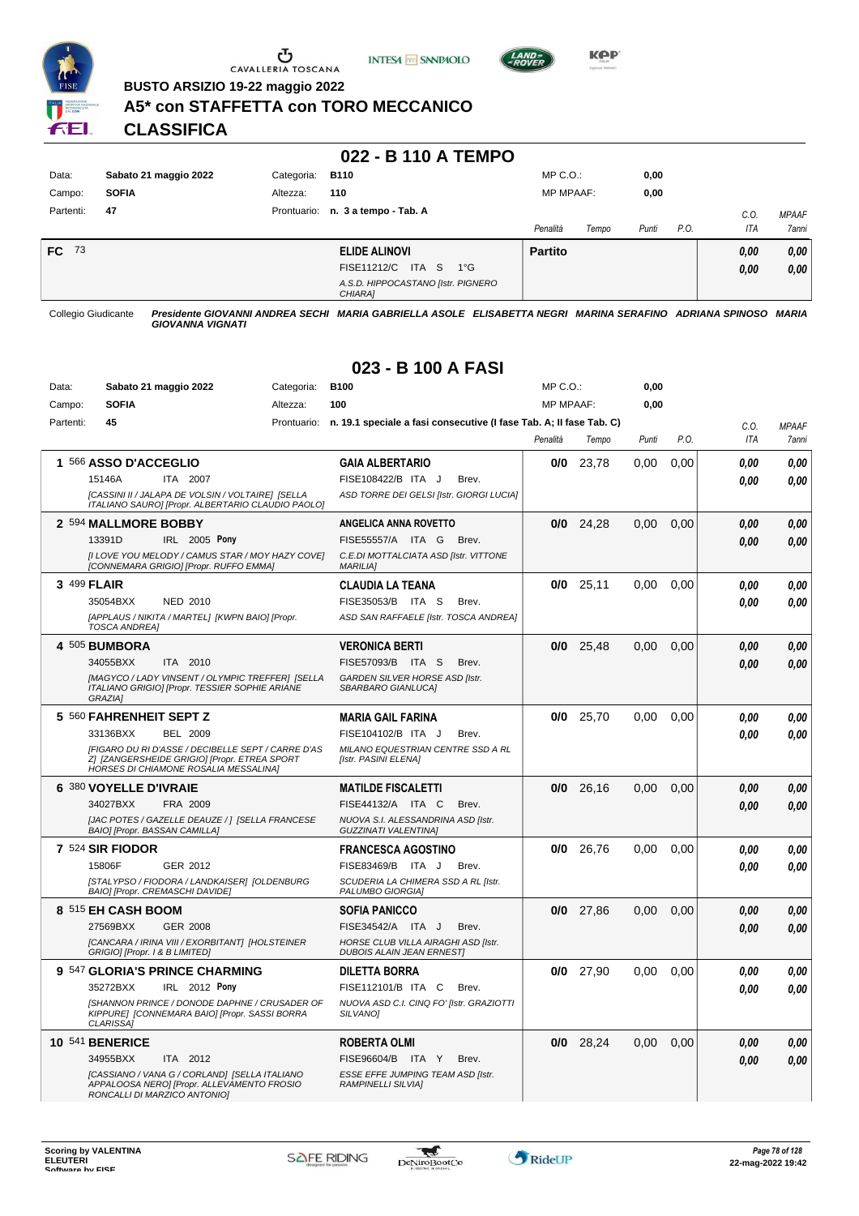

Ⴠ CAVALLERIA TOSCANA





**Kep** 

**BUSTO ARSIZIO 19-22 maggio 2022**

#### **A5\* con STAFFETTA con TORO MECCANICO**

**CLASSIFICA**

#### **022 - B 110 A TEMPO**

| Data:        | Sabato 21 maggio 2022 | Categoria:  | <b>B110</b>                                   | $MP C. O.$ :     |       | 0,00  |      |            |              |
|--------------|-----------------------|-------------|-----------------------------------------------|------------------|-------|-------|------|------------|--------------|
| Campo:       | <b>SOFIA</b>          | Altezza:    | 110                                           | <b>MP MPAAF:</b> |       | 0,00  |      |            |              |
| Partenti:    | 47                    | Prontuario: | n. 3 a tempo - Tab. A                         |                  |       |       |      | C.0        | <b>MPAAF</b> |
|              |                       |             |                                               | Penalità         | Tempo | Punti | P.O. | <b>ITA</b> | 7anni        |
| <b>FC</b> 73 |                       |             | ELIDE ALINOVI                                 | <b>Partito</b>   |       |       |      | 0,00       | 0,00         |
|              |                       |             | ITA S<br>FISE11212/C<br>$1^{\circ}G$          |                  |       |       |      | 0,00       | 0,00         |
|              |                       |             | A.S.D. HIPPOCASTANO [Istr. PIGNERO<br>CHIARA1 |                  |       |       |      |            |              |

Collegio Giudicante *Presidente GIOVANNI ANDREA SECHI MARIA GABRIELLA ASOLE ELISABETTA NEGRI MARINA SERAFINO ADRIANA SPINOSO MARIA GIOVANNA VIGNATI*

### **023 - B 100 A FASI**

| Data:     | Sabato 21 maggio 2022                                                                                                                       | Categoria: | <b>B100</b>                                                                     | MP C.O.:  |             | 0,00  |      |      |              |
|-----------|---------------------------------------------------------------------------------------------------------------------------------------------|------------|---------------------------------------------------------------------------------|-----------|-------------|-------|------|------|--------------|
| Campo:    | <b>SOFIA</b>                                                                                                                                | Altezza:   | 100                                                                             | MP MPAAF: |             | 0,00  |      |      |              |
| Partenti: | 45                                                                                                                                          |            | Prontuario: n. 19.1 speciale a fasi consecutive (I fase Tab. A; II fase Tab. C) |           |             |       |      | C.0. | <b>MPAAF</b> |
|           |                                                                                                                                             |            |                                                                                 | Penalità  | Tempo       | Punti | P.O. | ITA  | 7anni        |
|           | 1 566 ASSO D'ACCEGLIO                                                                                                                       |            | <b>GAIA ALBERTARIO</b>                                                          | 0/0       | 23,78       | 0,00  | 0,00 | 0.00 | 0,00         |
|           | 15146A<br>ITA 2007                                                                                                                          |            | FISE108422/B ITA J<br>Brev.                                                     |           |             |       |      | 0.00 | 0.00         |
|           | [CASSINI II / JALAPA DE VOLSIN / VOLTAIRE] [SELLA<br>ITALIANO SAURO] [Propr. ALBERTARIO CLAUDIO PAOLO]                                      |            | ASD TORRE DEI GELSI [Istr. GIORGI LUCIA]                                        |           |             |       |      |      |              |
|           | 2 594 MALLMORE BOBBY                                                                                                                        |            | ANGELICA ANNA ROVETTO                                                           |           | $0/0$ 24,28 | 0.00  | 0.00 | 0.00 | 0,00         |
|           | 13391D<br>IRL 2005 Pony                                                                                                                     |            | FISE55557/A ITA G<br>Brev.                                                      |           |             |       |      | 0.00 | 0.00         |
|           | [I LOVE YOU MELODY / CAMUS STAR / MOY HAZY COVE]<br>[CONNEMARA GRIGIO] [Propr. RUFFO EMMA]                                                  |            | C.E.DI MOTTALCIATA ASD [Istr. VITTONE<br><b>MARILIA1</b>                        |           |             |       |      |      |              |
|           | 3 499 FLAIR                                                                                                                                 |            | <b>CLAUDIA LA TEANA</b>                                                         |           | $0/0$ 25,11 | 0,00  | 0,00 | 0.00 | 0.00         |
|           | 35054BXX<br><b>NED 2010</b>                                                                                                                 |            | FISE35053/B ITA S<br>Brev.                                                      |           |             |       |      | 0,00 | 0,00         |
|           | [APPLAUS / NIKITA / MARTEL] [KWPN BAIO] [Propr.<br><b>TOSCA ANDREA]</b>                                                                     |            | ASD SAN RAFFAELE [Istr. TOSCA ANDREA]                                           |           |             |       |      |      |              |
|           | 4 505 BUMBORA                                                                                                                               |            | <b>VERONICA BERTI</b>                                                           | 0/0       | 25,48       | 0.00  | 0,00 | 0.00 | 0,00         |
|           | 34055BXX<br>ITA 2010                                                                                                                        |            | FISE57093/B ITA S<br>Brev.                                                      |           |             |       |      | 0.00 | 0.00         |
|           | [MAGYCO / LADY VINSENT / OLYMPIC TREFFER] [SELLA<br>ITALIANO GRIGIO] [Propr. TESSIER SOPHIE ARIANE<br><b>GRAZIA1</b>                        |            | GARDEN SILVER HORSE ASD [Istr.<br>SBARBARO GIANLUCA]                            |           |             |       |      |      |              |
|           | 5 560 FAHRENHEIT SEPT Z                                                                                                                     |            | <b>MARIA GAIL FARINA</b>                                                        | 0/0       | 25,70       | 0.00  | 0.00 | 0.00 | 0,00         |
|           | 33136BXX<br><b>BEL 2009</b>                                                                                                                 |            | FISE104102/B ITA J<br>Brev.                                                     |           |             |       |      | 0.00 | 0.00         |
|           | [FIGARO DU RI D'ASSE / DECIBELLE SEPT / CARRE D'AS<br>Z] [ZANGERSHEIDE GRIGIO] [Propr. ETREA SPORT<br>HORSES DI CHIAMONE ROSALIA MESSALINA] |            | MILANO EQUESTRIAN CENTRE SSD A RL<br>[Istr. PASINI ELENA]                       |           |             |       |      |      |              |
|           | 6 380 VOYELLE D'IVRAIE                                                                                                                      |            | <b>MATILDE FISCALETTI</b>                                                       |           | $0/0$ 26,16 | 0,00  | 0,00 | 0.00 | 0,00         |
|           | 34027BXX<br>FRA 2009                                                                                                                        |            | FISE44132/A ITA C<br>Brev.                                                      |           |             |       |      | 0.00 | 0.00         |
|           | JJAC POTES / GAZELLE DEAUZE / 1 [SELLA FRANCESE<br>BAIO] [Propr. BASSAN CAMILLA]                                                            |            | NUOVA S.I. ALESSANDRINA ASD [Istr.<br><b>GUZZINATI VALENTINA)</b>               |           |             |       |      |      |              |
|           | 7 524 SIR FIODOR                                                                                                                            |            | <b>FRANCESCA AGOSTINO</b>                                                       | 0/0       | 26.76       | 0.00  | 0.00 | 0,00 | 0,00         |
|           | 15806F<br>GER 2012                                                                                                                          |            | FISE83469/B ITA J<br>Brev.                                                      |           |             |       |      | 0.00 | 0.00         |
|           | [STALYPSO / FIODORA / LANDKAISER] [OLDENBURG<br>BAIO] [Propr. CREMASCHI DAVIDE]                                                             |            | SCUDERIA LA CHIMERA SSD A RL [Istr.<br>PALUMBO GIORGIAI                         |           |             |       |      |      |              |
|           | 8 515 EH CASH BOOM                                                                                                                          |            | <b>SOFIA PANICCO</b>                                                            | 0/0       | 27,86       | 0.00  | 0,00 | 0.00 | 0.00         |
|           | 27569BXX<br><b>GER 2008</b>                                                                                                                 |            | FISE34542/A ITA J<br>Brev.                                                      |           |             |       |      | 0.00 | 0.00         |
|           | [CANCARA / IRINA VIII / EXORBITANT] [HOLSTEINER<br>GRIGIO] [Propr. 1 & B LIMITED]                                                           |            | HORSE CLUB VILLA AIRAGHI ASD [Istr.<br><b>DUBOIS ALAIN JEAN ERNESTI</b>         |           |             |       |      |      |              |
|           | 9 547 GLORIA'S PRINCE CHARMING                                                                                                              |            | <b>DILETTA BORRA</b>                                                            |           | $0/0$ 27,90 | 0,00  | 0,00 | 0.00 | 0,00         |
|           | 35272BXX<br>IRL 2012 Pony                                                                                                                   |            | FISE112101/B ITA C<br>Brev.                                                     |           |             |       |      | 0.00 | 0,00         |
|           | [SHANNON PRINCE / DONODE DAPHNE / CRUSADER OF<br>KIPPURE] [CONNEMARA BAIO] [Propr. SASSI BORRA<br>CLARISSA]                                 |            | NUOVA ASD C.I. CINQ FO' [Istr. GRAZIOTTI<br>SILVANO <sub>1</sub>                |           |             |       |      |      |              |
|           | <b>10 541 BENERICE</b>                                                                                                                      |            | <b>ROBERTA OLMI</b>                                                             | 0/0       | 28,24       | 0.00  | 0.00 | 0.00 | 0.00         |
|           | ITA 2012<br>34955BXX                                                                                                                        |            | FISE96604/B ITA Y<br>Brev.                                                      |           |             |       |      | 0.00 | 0,00         |
|           | [CASSIANO / VANA G / CORLAND] [SELLA ITALIANO<br>APPALOOSA NERO] [Propr. ALLEVAMENTO FROSIO<br>RONCALLI DI MARZICO ANTONIO]                 |            | ESSE EFFE JUMPING TEAM ASD [Istr.<br>RAMPINELLI SILVIA]                         |           |             |       |      |      |              |

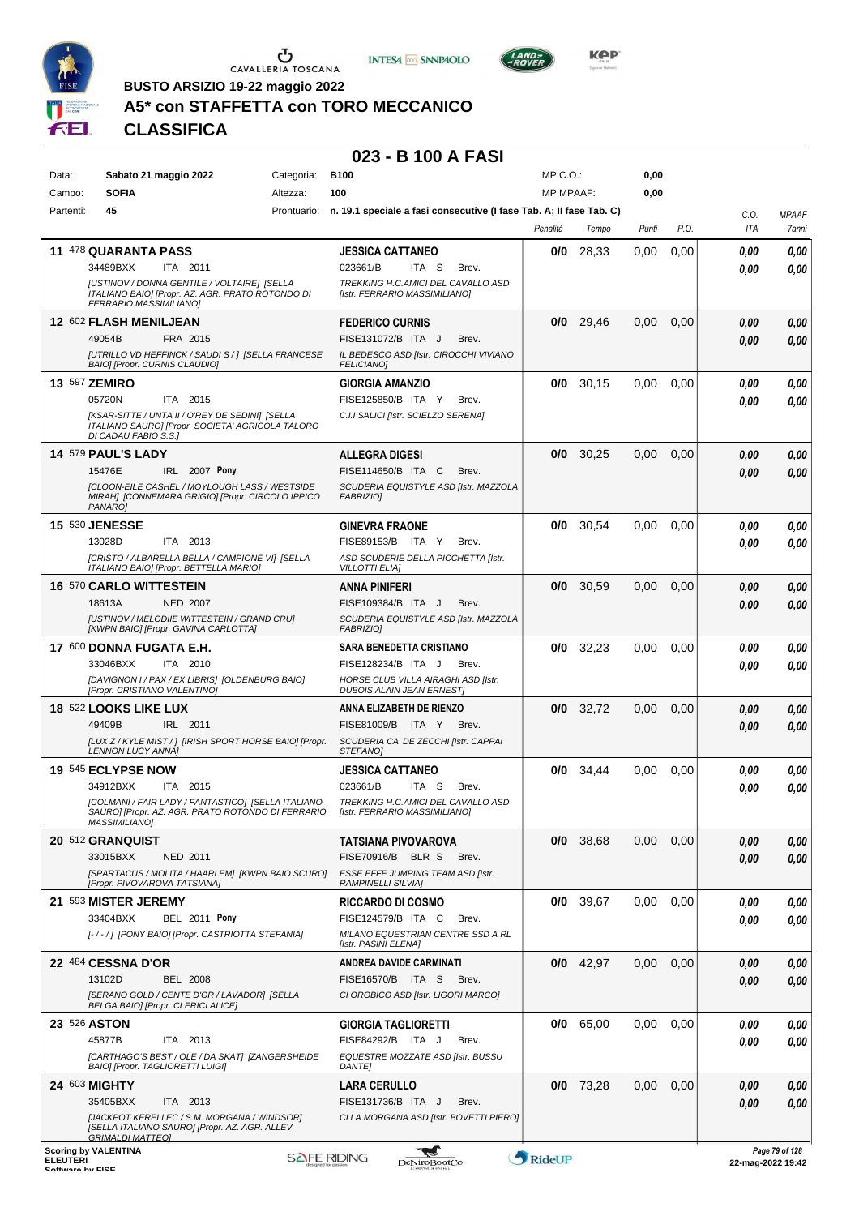





**KOP** 

**BUSTO ARSIZIO 19-22 maggio 2022**

## **A5\* con STAFFETTA con TORO MECCANICO**

**CLASSIFICA**

### **023 - B 100 A FASI**

| Data:           | Sabato 21 maggio 2022                                                                                   | Categoria: | <b>B100</b>                                                                     | MP C. O.         |             | 0,00  |      |              |                                        |
|-----------------|---------------------------------------------------------------------------------------------------------|------------|---------------------------------------------------------------------------------|------------------|-------------|-------|------|--------------|----------------------------------------|
| Campo:          | <b>SOFIA</b>                                                                                            | Altezza:   | 100                                                                             | <b>MP MPAAF:</b> |             | 0,00  |      |              |                                        |
| Partenti:       | 45                                                                                                      |            | Prontuario: n. 19.1 speciale a fasi consecutive (I fase Tab. A; II fase Tab. C) | Penalità         | Tempo       | Punti | P.O. | C.O.<br>ITA  | <b>MPAAF</b><br>7anni                  |
|                 |                                                                                                         |            |                                                                                 |                  |             |       |      |              |                                        |
|                 | 11 478 QUARANTA PASS                                                                                    |            | <b>JESSICA CATTANEO</b>                                                         | 0/0              | 28,33       | 0.00  | 0,00 | 0.00         | 0,00                                   |
|                 | 34489BXX<br>ITA 2011<br>[USTINOV / DONNA GENTILE / VOLTAIRE] [SELLA                                     |            | 023661/B<br>ITA S<br>Brev.<br>TREKKING H.C.AMICI DEL CAVALLO ASD                |                  |             |       |      | 0.00         | 0.00                                   |
|                 | ITALIANO BAIO] [Propr. AZ. AGR. PRATO ROTONDO DI<br>FERRARIO MASSIMILIANO]                              |            | [Istr. FERRARIO MASSIMILIANO]                                                   |                  |             |       |      |              |                                        |
|                 | 12 602 FLASH MENILJEAN                                                                                  |            | <b>FEDERICO CURNIS</b>                                                          | 0/0              | 29,46       | 0,00  | 0,00 | 0.00         | 0,00                                   |
|                 | 49054B<br>FRA 2015                                                                                      |            | FISE131072/B ITA J<br>Brev.                                                     |                  |             |       |      | 0.00         | 0,00                                   |
|                 | [UTRILLO VD HEFFINCK / SAUDI S / ] [SELLA FRANCESE<br>BAIO] [Propr. CURNIS CLAUDIO]                     |            | IL BEDESCO ASD [Istr. CIROCCHI VIVIANO<br><b>FELICIANO1</b>                     |                  |             |       |      |              |                                        |
|                 | 13 597 ZEMIRO                                                                                           |            | <b>GIORGIA AMANZIO</b>                                                          | 0/0              | 30,15       | 0,00  | 0,00 | 0.00         | 0,00                                   |
|                 | 05720N<br>ITA 2015                                                                                      |            | FISE125850/B ITA Y<br>Brev.                                                     |                  |             |       |      | 0.00         | 0.00                                   |
|                 | [KSAR-SITTE / UNTA II / O'REY DE SEDINI] [SELLA<br>ITALIANO SAUROJ [Propr. SOCIETA' AGRICOLA TALORO     |            | C.I.I SALICI [Istr. SCIELZO SERENA]                                             |                  |             |       |      |              |                                        |
|                 | DI CADAU FABIO S.S.]                                                                                    |            |                                                                                 |                  |             |       |      |              |                                        |
|                 | <b>14 579 PAUL'S LADY</b>                                                                               |            | ALLEGRA DIGESI                                                                  | 0/0              | 30,25       | 0,00  | 0,00 | 0.00         | 0,00                                   |
|                 | IRL 2007 Pony<br>15476E<br><b>[CLOON-EILE CASHEL / MOYLOUGH LASS / WESTSIDE</b>                         |            | FISE114650/B ITA C<br>Brev.<br>SCUDERIA EQUISTYLE ASD [Istr. MAZZOLA            |                  |             |       |      | 0.00         | 0,00                                   |
|                 | MIRAH] [CONNEMARA GRIGIO] [Propr. CIRCOLO IPPICO<br>PANARO1                                             |            | FABRIZIO1                                                                       |                  |             |       |      |              |                                        |
|                 | <b>15 530 JENESSE</b>                                                                                   |            | <b>GINEVRA FRAONE</b>                                                           | 0/0              | 30,54       | 0.00  | 0,00 | 0.00         | 0,00                                   |
|                 | 13028D<br>ITA 2013                                                                                      |            | FISE89153/B ITA Y<br>Brev.                                                      |                  |             |       |      | 0.00         | 0.00                                   |
|                 | [CRISTO / ALBARELLA BELLA / CAMPIONE VI] [SELLA<br>ITALIANO BAIO] [Propr. BETTELLA MARIO]               |            | ASD SCUDERIE DELLA PICCHETTA [Istr.<br><b>VILLOTTI ELIAI</b>                    |                  |             |       |      |              |                                        |
|                 | <b>16 570 CARLO WITTESTEIN</b>                                                                          |            | <b>ANNA PINIFERI</b>                                                            | 0/0              | 30,59       | 0.00  | 0.00 | 0.00         | 0,00                                   |
|                 | <b>NED 2007</b><br>18613A                                                                               |            | FISE109384/B ITA J<br>Brev.                                                     |                  |             |       |      | 0.00         | 0,00                                   |
|                 | [USTINOV / MELODIIE WITTESTEIN / GRAND CRU]                                                             |            | SCUDERIA EQUISTYLE ASD [Istr. MAZZOLA                                           |                  |             |       |      |              |                                        |
|                 | [KWPN BAIO] [Propr. GAVINA CARLOTTA]                                                                    |            | FABRIZIO]                                                                       |                  |             |       |      |              |                                        |
|                 | 17 600 DONNA FUGATA E.H.<br>33046BXX<br>ITA 2010                                                        |            | <b>SARA BENEDETTA CRISTIANO</b><br>FISE128234/B ITA J<br>Brev.                  | 0/0              | 32,23       | 0,00  | 0,00 | 0.00         | 0,00                                   |
|                 | [DAVIGNON I / PAX / EX LIBRIS] [OLDENBURG BAIO]                                                         |            | HORSE CLUB VILLA AIRAGHI ASD [Istr.                                             |                  |             |       |      | 0.00         | 0,00                                   |
|                 | [Propr. CRISTIANO VALENTINO]                                                                            |            | <b>DUBOIS ALAIN JEAN ERNEST</b>                                                 |                  |             |       |      |              |                                        |
|                 | 18 522 LOOKS LIKE LUX                                                                                   |            | ANNA ELIZABETH DE RIENZO                                                        |                  | $0/0$ 32,72 | 0,00  | 0,00 | 0.00         | 0,00                                   |
|                 | 49409B<br>IRL 2011                                                                                      |            | FISE81009/B ITA Y<br>Brev.                                                      |                  |             |       |      | 0.00         | 0,00                                   |
|                 | [LUX Z / KYLE MIST / ] [IRISH SPORT HORSE BAIO] [Propr.<br><b>LENNON LUCY ANNA]</b>                     |            | SCUDERIA CA' DE ZECCHI [Istr. CAPPAI<br><b>STEFANOI</b>                         |                  |             |       |      |              |                                        |
|                 | 19 545 ECLYPSE NOW                                                                                      |            | <b>JESSICA CATTANEO</b>                                                         | 0/0              | 34,44       | 0.00  | 0,00 | 0.00         | 0,00                                   |
|                 | 34912BXX<br>ITA<br>2015                                                                                 |            | 023661/B<br>ITA S<br>Brev.                                                      |                  |             |       |      | 0.00         | 0.00                                   |
|                 | [COLMANI / FAIR LADY / FANTASTICO] [SELLA ITALIANO<br>SAURO] [Propr. AZ. AGR. PRATO ROTONDO DI FERRARIO |            | TREKKING H.C.AMICI DEL CAVALLO ASD<br>[Istr. FERRARIO MASSIMILIANO]             |                  |             |       |      |              |                                        |
|                 | <i>MASSIMILIANO]</i>                                                                                    |            |                                                                                 |                  |             |       |      |              |                                        |
|                 | 20 512 GRANQUIST<br>33015BXX<br><b>NED 2011</b>                                                         |            | TATSIANA PIVOVAROVA<br>FISE70916/B BLR S<br>Brev.                               |                  | 0/0 38,68   | 0.00  | 0,00 | 0,00<br>0,00 | 0,00<br>0,00                           |
|                 | [SPARTACUS / MOLITA / HAARLEM] [KWPN BAIO SCURO]                                                        |            | ESSE EFFE JUMPING TEAM ASD [Istr.                                               |                  |             |       |      |              |                                        |
|                 | [Propr. PIVOVAROVA TATSIANA]                                                                            |            | <b>RAMPINELLI SILVIAI</b>                                                       |                  |             |       |      |              |                                        |
|                 | 21 593 MISTER JEREMY                                                                                    |            | <b>RICCARDO DI COSMO</b>                                                        |                  | $0/0$ 39,67 | 0,00  | 0,00 | 0.00         | 0,00                                   |
|                 | 33404BXX<br><b>BEL 2011 Pony</b><br>[-/-/] [PONY BAIO] [Propr. CASTRIOTTA STEFANIA]                     |            | FISE124579/B ITA C<br>Brev.<br>MILANO EQUESTRIAN CENTRE SSD A RL                |                  |             |       |      | 0.00         | 0.00                                   |
|                 |                                                                                                         |            | [Istr. PASINI ELENA]                                                            |                  |             |       |      |              |                                        |
|                 | 22 484 CESSNA D'OR                                                                                      |            | <b>ANDREA DAVIDE CARMINATI</b>                                                  | 0/0              | 42,97       | 0,00  | 0,00 | 0.00         | 0,00                                   |
|                 | 13102D<br><b>BEL 2008</b>                                                                               |            | FISE16570/B ITA S<br>Brev.                                                      |                  |             |       |      | 0.00         | 0,00                                   |
|                 | [SERANO GOLD / CENTE D'OR / LAVADOR] [SELLA<br>BELGA BAIO] [Propr. CLERICI ALICE]                       |            | CI OROBICO ASD [Istr. LIGORI MARCO]                                             |                  |             |       |      |              |                                        |
|                 | 23 526 ASTON                                                                                            |            | <b>GIORGIA TAGLIORETTI</b>                                                      |                  | $0/0$ 65,00 | 0,00  | 0,00 | 0.00         | 0,00                                   |
|                 | 45877B<br>ITA 2013                                                                                      |            | FISE84292/B ITA J<br>Brev.                                                      |                  |             |       |      | 0.00         | 0.00                                   |
|                 | [CARTHAGO'S BEST / OLE / DA SKAT] [ZANGERSHEIDE<br>BAIO] [Propr. TAGLIORETTI LUIGI]                     |            | EQUESTRE MOZZATE ASD [Istr. BUSSU<br><b>DANTE]</b>                              |                  |             |       |      |              |                                        |
|                 | 24 603 MIGHTY                                                                                           |            | LARA CERULLO                                                                    |                  | $0/0$ 73,28 | 0.00  | 0,00 | 0.00         | 0,00                                   |
|                 | 35405BXX<br>ITA 2013                                                                                    |            | FISE131736/B ITA J<br>Brev.                                                     |                  |             |       |      | 0.00         | 0,00                                   |
|                 | [JACKPOT KERELLEC / S.M. MORGANA / WINDSOR]<br>[SELLA ITALIANO SAURO] [Propr. AZ. AGR. ALLEV.           |            | CI LA MORGANA ASD [Istr. BOVETTI PIERO]                                         |                  |             |       |      |              |                                        |
|                 | <b>GRIMALDI MATTEO]</b>                                                                                 |            |                                                                                 |                  |             |       |      |              |                                        |
| <b>ELEUTERI</b> | <b>Scoring by VALENTINA</b>                                                                             |            | <b>SAFE RIDING</b><br>DeNiroBootCo                                              | RideUP           |             |       |      |              | Page 79 of 128<br>$22$ -man-2022 19:42 |

ELEUTERI SOFTWARE SOFTWARE DENITOBOOTCO **DENITOBOOTCO DENITOBOOTCO 22-mag-2022 19:42** 

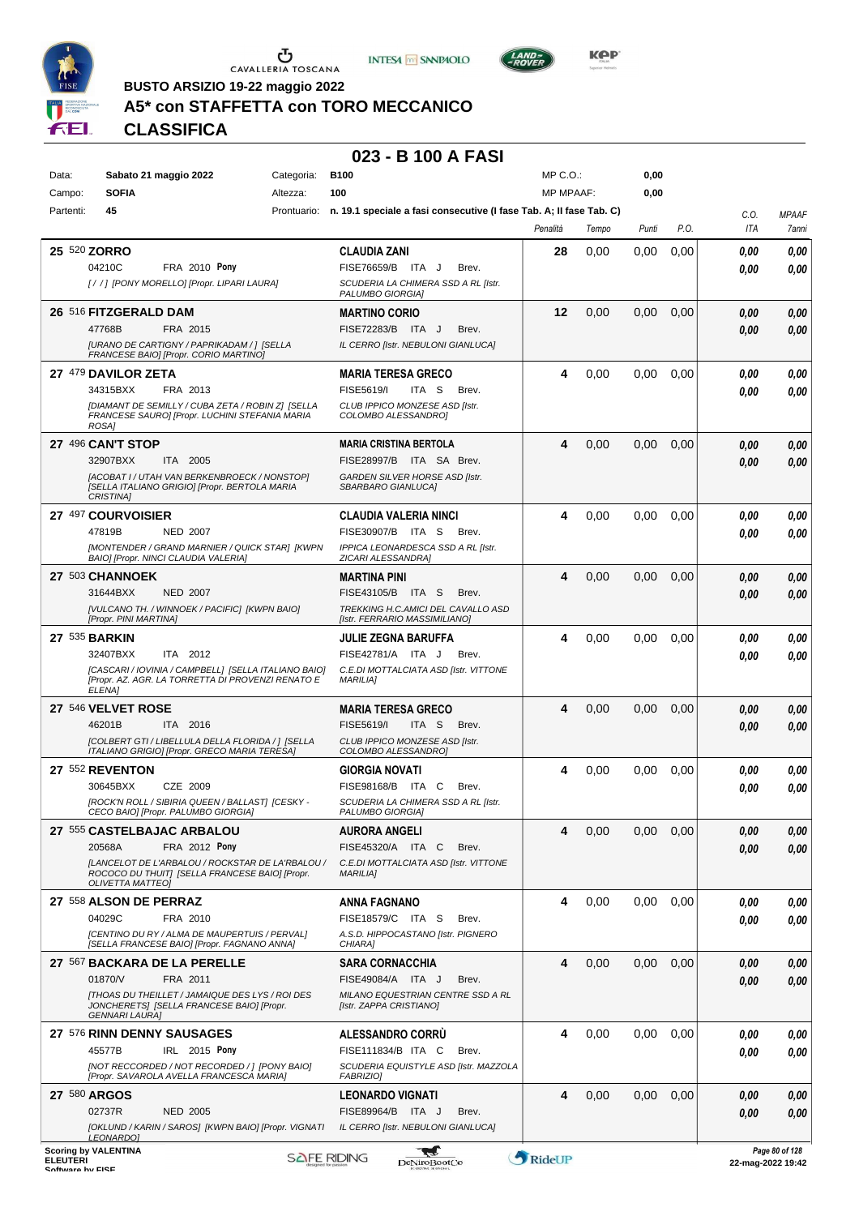





**KOP** 

**BUSTO ARSIZIO 19-22 maggio 2022**

## **A5\* con STAFFETTA con TORO MECCANICO**

**CLASSIFICA**

### **023 - B 100 A FASI**

| Data:<br>Campo:                                | Sabato 21 maggio 2022<br><b>SOFIA</b>                                                               | Categoria:<br>Altezza: | <b>B100</b><br>100                                                              | MP C.O.:<br><b>MP MPAAF:</b> |       | 0,00<br>0,00 |      |                    |                                        |
|------------------------------------------------|-----------------------------------------------------------------------------------------------------|------------------------|---------------------------------------------------------------------------------|------------------------------|-------|--------------|------|--------------------|----------------------------------------|
| Partenti:                                      | 45                                                                                                  |                        | Prontuario: n. 19.1 speciale a fasi consecutive (I fase Tab. A: II fase Tab. C) |                              |       |              |      |                    |                                        |
|                                                |                                                                                                     |                        |                                                                                 | Penalità                     | Tempo | Punti        | P.O. | C.O.<br><b>ITA</b> | <b>MPAAF</b><br>7anni                  |
|                                                |                                                                                                     |                        |                                                                                 |                              |       |              |      |                    |                                        |
| 25 520 ZORRO                                   |                                                                                                     |                        | <b>CLAUDIA ZANI</b><br>FISE76659/B ITA J                                        | 28                           | 0,00  | 0,00         | 0,00 | 0.00               | 0,00                                   |
|                                                | 04210C<br>FRA 2010 Pony<br>[/ /] [PONY MORELLO] [Propr. LIPARI LAURA]                               |                        | Brev.<br>SCUDERIA LA CHIMERA SSD A RL [Istr.                                    |                              |       |              |      | 0.00               | 0.00                                   |
|                                                |                                                                                                     |                        | PALUMBO GIORGIA]                                                                |                              |       |              |      |                    |                                        |
|                                                | 26 516 FITZGERALD DAM                                                                               |                        | <b>MARTINO CORIO</b>                                                            | 12                           | 0,00  | 0,00         | 0,00 | 0.00               | 0,00                                   |
|                                                | 47768B<br>FRA 2015                                                                                  |                        | FISE72283/B ITA J<br>Brev.                                                      |                              |       |              |      | 0.00               | 0,00                                   |
|                                                | [URANO DE CARTIGNY / PAPRIKADAM / ] [SELLA<br>FRANCESE BAIO] [Propr. CORIO MARTINO]                 |                        | IL CERRO [Istr. NEBULONI GIANLUCA]                                              |                              |       |              |      |                    |                                        |
|                                                | 27 479 DAVILOR ZETA                                                                                 |                        | <b>MARIA TERESA GRECO</b>                                                       | 4                            | 0,00  | 0,00         | 0,00 | 0.00               | 0,00                                   |
|                                                | 34315BXX<br>FRA 2013                                                                                |                        | FISE5619/I<br>ITA S<br>Brev.                                                    |                              |       |              |      | 0.00               | 0.00                                   |
|                                                | [DIAMANT DE SEMILLY / CUBA ZETA / ROBIN Z] [SELLA                                                   |                        | CLUB IPPICO MONZESE ASD [Istr.                                                  |                              |       |              |      |                    |                                        |
|                                                | FRANCESE SAURO] [Propr. LUCHINI STEFANIA MARIA<br>ROSA]                                             |                        | COLOMBO ALESSANDRO]                                                             |                              |       |              |      |                    |                                        |
|                                                | <b>27 496 CAN'T STOP</b>                                                                            |                        | <b>MARIA CRISTINA BERTOLA</b>                                                   | 4                            | 0,00  | 0,00         | 0,00 | 0.00               | 0,00                                   |
|                                                | 32907BXX<br>ITA 2005                                                                                |                        | FISE28997/B ITA SA Brev.                                                        |                              |       |              |      | 0.00               | 0.00                                   |
|                                                | [ACOBAT I / UTAH VAN BERKENBROECK / NONSTOP]                                                        |                        | GARDEN SILVER HORSE ASD [Istr.                                                  |                              |       |              |      |                    |                                        |
|                                                | [SELLA ITALIANO GRIGIO] [Propr. BERTOLA MARIA<br><b>CRISTINA1</b>                                   |                        | SBARBARO GIANLUCA]                                                              |                              |       |              |      |                    |                                        |
|                                                | 27 497 COURVOISIER                                                                                  |                        | <b>CLAUDIA VALERIA NINCI</b>                                                    | 4                            | 0,00  | 0,00         | 0,00 | 0.00               | 0,00                                   |
|                                                | 47819B<br><b>NED 2007</b>                                                                           |                        | FISE30907/B ITA S<br>Brev.                                                      |                              |       |              |      | 0.00               | 0.00                                   |
|                                                | [MONTENDER / GRAND MARNIER / QUICK STAR] [KWPN                                                      |                        | IPPICA LEONARDESCA SSD A RL [Istr.                                              |                              |       |              |      |                    |                                        |
|                                                | BAIO] [Propr. NINCI CLAUDIA VALERIA]                                                                |                        | ZICARI ALESSANDRA]                                                              |                              |       |              |      |                    |                                        |
|                                                | 27 503 CHANNOEK                                                                                     |                        | <b>MARTINA PINI</b>                                                             | 4                            | 0,00  | 0,00         | 0,00 | 0.00               | 0,00                                   |
|                                                | 31644BXX<br><b>NED 2007</b>                                                                         |                        | FISE43105/B ITA S<br>Brev.                                                      |                              |       |              |      | 0.00               | 0,00                                   |
|                                                | IVULCANO TH. / WINNOEK / PACIFIC] [KWPN BAIO]<br>[Propr. PINI MARTINA]                              |                        | TREKKING H.C.AMICI DEL CAVALLO ASD<br>[Istr. FERRARIO MASSIMILIANO]             |                              |       |              |      |                    |                                        |
| 27 535 BARKIN                                  |                                                                                                     |                        | JULIE ZEGNA BARUFFA                                                             | 4                            | 0,00  | 0,00         | 0,00 | 0.00               | 0.00                                   |
|                                                | 32407BXX<br>ITA 2012                                                                                |                        | FISE42781/A ITA J<br>Brev.                                                      |                              |       |              |      | 0.00               | 0.00                                   |
|                                                | [CASCARI / IOVINIA / CAMPBELL] [SELLA ITALIANO BAIO]                                                |                        | C.E.DI MOTTALCIATA ASD [Istr. VITTONE                                           |                              |       |              |      |                    |                                        |
|                                                | [Propr. AZ. AGR. LA TORRETTA DI PROVENZI RENATO E<br>ELENA]                                         |                        | <b>MARILIA1</b>                                                                 |                              |       |              |      |                    |                                        |
|                                                | 27 546 VELVET ROSE                                                                                  |                        | <b>MARIA TERESA GRECO</b>                                                       | 4                            | 0,00  | 0,00         | 0,00 | 0,00               | 0,00                                   |
|                                                | 46201B<br>ITA 2016                                                                                  |                        | FISE5619/I<br>ITA S<br>Brev.                                                    |                              |       |              |      | 0.00               | 0.00                                   |
|                                                | [COLBERT GTI / LIBELLULA DELLA FLORIDA / ] [SELLA<br>ITALIANO GRIGIO] [Propr. GRECO MARIA TERESA]   |                        | CLUB IPPICO MONZESE ASD [Istr.<br>COLOMBO ALESSANDRO]                           |                              |       |              |      |                    |                                        |
|                                                | 27 552 REVENTON                                                                                     |                        | <b>GIORGIA NOVATI</b>                                                           | 4                            | 0,00  | 0.00         | 0,00 |                    |                                        |
|                                                | 30645BXX<br>CZE 2009                                                                                |                        | FISE98168/B ITA C<br>Brev.                                                      |                              |       |              |      | 0.00<br>0.00       | 0,00<br>0.00                           |
|                                                | [ROCK'N ROLL / SIBIRIA QUEEN / BALLAST] [CESKY -                                                    |                        | SCUDERIA LA CHIMERA SSD A RL [Istr.                                             |                              |       |              |      |                    |                                        |
|                                                | CECO BAIO] [Propr. PALUMBO GIORGIA]                                                                 |                        | PALUMBO GIORGIA]                                                                |                              |       |              |      |                    |                                        |
|                                                | 27 555 CASTELBAJAC ARBALOU                                                                          |                        | <b>AURORA ANGELI</b>                                                            | 4                            | 0,00  | 0,00         | 0,00 | 0,00               | 0,00                                   |
|                                                | 20568A<br>FRA 2012 Pony                                                                             |                        | FISE45320/A ITA C<br>Brev.                                                      |                              |       |              |      | 0.00               | 0.00                                   |
|                                                | [LANCELOT DE L'ARBALOU / ROCKSTAR DE LA'RBALOU /<br>ROCOCO DU THUIT] [SELLA FRANCESE BAIO] [Propr.  |                        | C.E.DI MOTTALCIATA ASD [Istr. VITTONE<br><b>MARILIAI</b>                        |                              |       |              |      |                    |                                        |
|                                                | <b>OLIVETTA MATTEOJ</b>                                                                             |                        |                                                                                 |                              |       |              |      |                    |                                        |
|                                                | 27 558 ALSON DE PERRAZ                                                                              |                        | ANNA FAGNANO                                                                    | 4                            | 0,00  | 0,00         | 0,00 | 0.00               | 0,00                                   |
|                                                | 04029C<br>FRA 2010                                                                                  |                        | FISE18579/C ITA S<br>Brev.                                                      |                              |       |              |      | 0,00               | 0.00                                   |
|                                                | <b>ICENTINO DU RY / ALMA DE MAUPERTUIS / PERVAL]</b><br>[SELLA FRANCESE BAIO] [Propr. FAGNANO ANNA] |                        | A.S.D. HIPPOCASTANO [Istr. PIGNERO<br>CHIARA]                                   |                              |       |              |      |                    |                                        |
|                                                | 27 567 BACKARA DE LA PERELLE                                                                        |                        | <b>SARA CORNACCHIA</b>                                                          | 4                            | 0,00  | 0,00         | 0,00 | 0,00               | 0,00                                   |
|                                                | FRA 2011<br>01870/V                                                                                 |                        | FISE49084/A ITA J<br>Brev.                                                      |                              |       |              |      | 0,00               | 0,00                                   |
|                                                | [THOAS DU THEILLET / JAMAIQUE DES LYS / ROI DES                                                     |                        | MILANO EQUESTRIAN CENTRE SSD A RL                                               |                              |       |              |      |                    |                                        |
|                                                | JONCHERETS] [SELLA FRANCESE BAIO] [Propr.<br><b>GENNARI LAURA]</b>                                  |                        | [Istr. ZAPPA CRISTIANO]                                                         |                              |       |              |      |                    |                                        |
|                                                | 27 576 RINN DENNY SAUSAGES                                                                          |                        | <b>ALESSANDRO CORRU</b>                                                         | 4                            | 0,00  | 0,00         | 0,00 | 0.00               | 0,00                                   |
|                                                | 45577B<br>IRL 2015 Pony                                                                             |                        | FISE111834/B ITA C<br>Brev.                                                     |                              |       |              |      | 0.00               | 0.00                                   |
|                                                | [NOT RECCORDED / NOT RECORDED / ] [PONY BAIO]<br>[Propr. SAVAROLA AVELLA FRANCESCA MARIA]           |                        | SCUDERIA EQUISTYLE ASD [Istr. MAZZOLA<br>FABRIZIO]                              |                              |       |              |      |                    |                                        |
| 27 580 ARGOS                                   |                                                                                                     |                        | <b>LEONARDO VIGNATI</b>                                                         | 4                            | 0,00  | 0,00         | 0,00 | 0.00               |                                        |
|                                                | 02737R<br><b>NED 2005</b>                                                                           |                        | FISE89964/B<br>ITA J<br>Brev.                                                   |                              |       |              |      | 0.00               | 0,00<br>0,00                           |
|                                                | [OKLUND / KARIN / SAROS] [KWPN BAIO] [Propr. VIGNATI                                                |                        | IL CERRO [Istr. NEBULONI GIANLUCA]                                              |                              |       |              |      |                    |                                        |
|                                                | <b>LEONARDO]</b>                                                                                    |                        |                                                                                 |                              |       |              |      |                    |                                        |
| <b>Scoring by VALENTINA</b><br><b>ELEUTERI</b> |                                                                                                     |                        | <b>SAFE RIDING</b><br>DeNiroBoot('o                                             | RideUP                       |       |              |      |                    | Page 80 of 128<br>$22$ -man-2022 19:42 |

ELEUTERI SOFTWARE SOFTWARE DENITOBOOTCO **DENITOBOOTCO DENITOBOOTCO 22-mag-2022 19:42** 

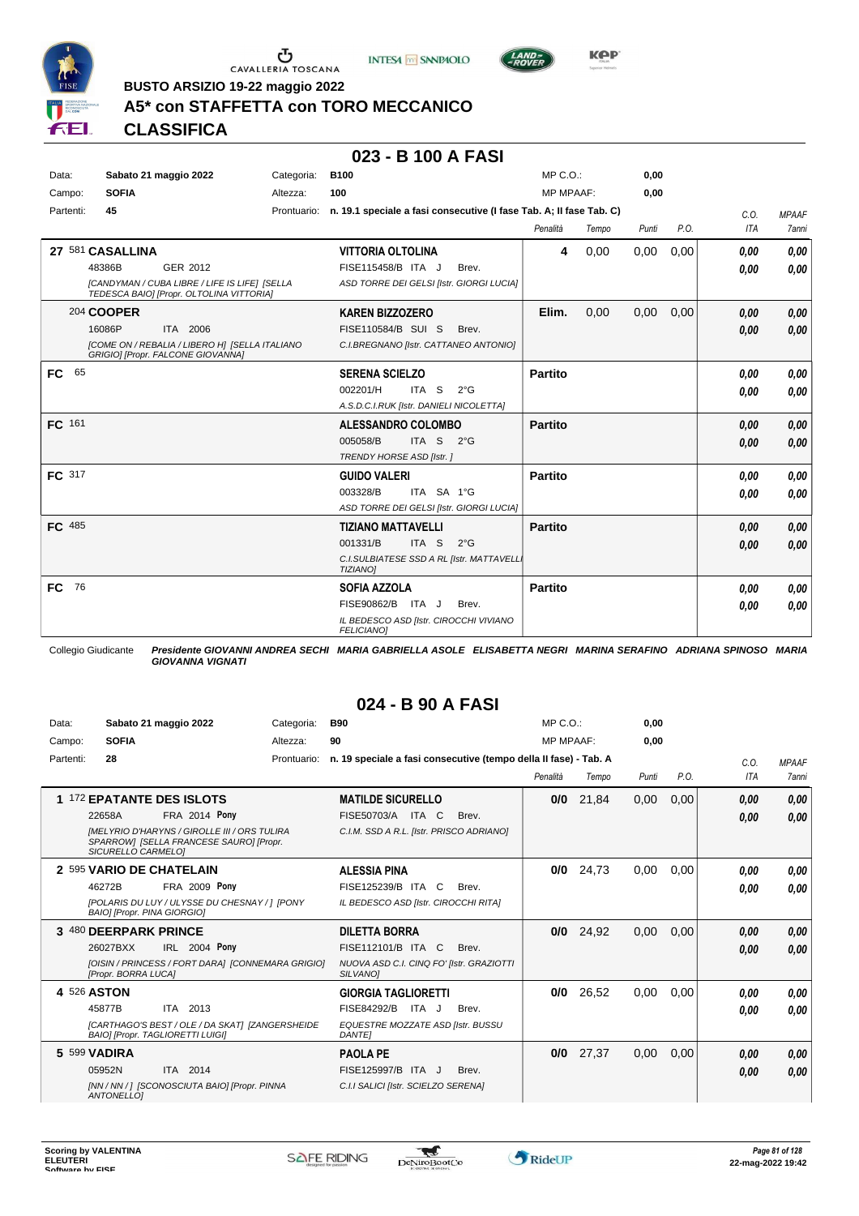





**Kep** 

**BUSTO ARSIZIO 19-22 maggio 2022**

## **A5\* con STAFFETTA con TORO MECCANICO**

**CLASSIFICA**

### **023 - B 100 A FASI**

| Data:     | Sabato 21 maggio 2022                                                                      | Categoria:  | <b>B100</b>                                                         | MP C. O.         |       | 0,00  |      |            |              |
|-----------|--------------------------------------------------------------------------------------------|-------------|---------------------------------------------------------------------|------------------|-------|-------|------|------------|--------------|
| Campo:    | <b>SOFIA</b>                                                                               | Altezza:    | 100                                                                 | <b>MP MPAAF:</b> |       | 0,00  |      |            |              |
| Partenti: | 45                                                                                         | Prontuario: | n. 19.1 speciale a fasi consecutive (I fase Tab. A; Il fase Tab. C) |                  |       |       |      | C.O.       | <b>MPAAF</b> |
|           |                                                                                            |             |                                                                     | Penalità         | Tempo | Punti | P.O. | <b>ITA</b> | <b>7anni</b> |
|           | 27 581 CASALLINA                                                                           |             | <b>VITTORIA OLTOLINA</b>                                            | 4                | 0,00  | 0,00  | 0,00 | 0.00       | 0,00         |
|           | GER 2012<br>48386B                                                                         |             | FISE115458/B ITA J<br>Brev.                                         |                  |       |       |      | 0.00       | 0.00         |
|           | [CANDYMAN / CUBA LIBRE / LIFE IS LIFE] [SELLA<br>TEDESCA BAIO] [Propr. OLTOLINA VITTORIA]  |             | ASD TORRE DEI GELSI [Istr. GIORGI LUCIA]                            |                  |       |       |      |            |              |
|           | 204 COOPER                                                                                 |             | <b>KAREN BIZZOZERO</b>                                              | Elim.            | 0,00  | 0,00  | 0,00 | 0,00       | 0.00         |
|           | ITA 2006<br>16086P                                                                         |             | FISE110584/B SUI S<br>Brev.                                         |                  |       |       |      | 0.00       | 0.00         |
|           | <b>[COME ON / REBALIA / LIBERO H] [SELLA ITALIANO</b><br>GRIGIO] [Propr. FALCONE GIOVANNA] |             | C.I.BREGNANO [Istr. CATTANEO ANTONIO]                               |                  |       |       |      |            |              |
| 65<br>FC. |                                                                                            |             | <b>SERENA SCIELZO</b>                                               | <b>Partito</b>   |       |       |      | 0.00       | 0.00         |
|           |                                                                                            |             | 002201/H<br>ITA S<br>$2^{\circ}$ G                                  |                  |       |       |      | 0.00       | 0.00         |
|           |                                                                                            |             | A.S.D.C.I.RUK [Istr. DANIELI NICOLETTA]                             |                  |       |       |      |            |              |
| FC 161    |                                                                                            |             | <b>ALESSANDRO COLOMBO</b>                                           | <b>Partito</b>   |       |       |      | 0,00       | 0.00         |
|           |                                                                                            |             | ITA S<br>005058/B<br>$2^{\circ}G$                                   |                  |       |       |      | 0.00       | 0,00         |
|           |                                                                                            |             | TRENDY HORSE ASD [Istr.]                                            |                  |       |       |      |            |              |
| FC 317    |                                                                                            |             | <b>GUIDO VALERI</b>                                                 | <b>Partito</b>   |       |       |      | 0.00       | 0.00         |
|           |                                                                                            |             | 003328/B<br>ITA SA 1°G                                              |                  |       |       |      | 0.00       | 0,00         |
|           |                                                                                            |             | ASD TORRE DEI GELSI [Istr. GIORGI LUCIA]                            |                  |       |       |      |            |              |
| FC 485    |                                                                                            |             | <b>TIZIANO MATTAVELLI</b>                                           | <b>Partito</b>   |       |       |      | 0.00       | 0,00         |
|           |                                                                                            |             | 001331/B<br>ITA <sub>S</sub><br>$2^{\circ}$ G                       |                  |       |       |      | 0.00       | 0,00         |
|           |                                                                                            |             | C.I.SULBIATESE SSD A RL [Istr. MATTAVELL]<br><b>TIZIANOI</b>        |                  |       |       |      |            |              |
| 76<br>FC  |                                                                                            |             | SOFIA AZZOLA                                                        | <b>Partito</b>   |       |       |      | 0.00       | 0,00         |
|           |                                                                                            |             | FISE90862/B ITA J<br>Brev.                                          |                  |       |       |      | 0.00       | 0.00         |
|           |                                                                                            |             | IL BEDESCO ASD [Istr. CIROCCHI VIVIANO<br><b>FELICIANO1</b>         |                  |       |       |      |            |              |

Collegio Giudicante *Presidente GIOVANNI ANDREA SECHI MARIA GABRIELLA ASOLE ELISABETTA NEGRI MARINA SERAFINO ADRIANA SPINOSO MARIA GIOVANNA VIGNATI*

## **024 - B 90 A FASI**

| Data:     | Sabato 21 maggio 2022                                                                                                | Categoria:  | <b>B90</b>                                                       | MP C.O.          |       | 0,00  |      |      |              |
|-----------|----------------------------------------------------------------------------------------------------------------------|-------------|------------------------------------------------------------------|------------------|-------|-------|------|------|--------------|
| Campo:    | <b>SOFIA</b>                                                                                                         | Altezza:    | 90                                                               | <b>MP MPAAF:</b> |       | 0,00  |      |      |              |
| Partenti: | 28                                                                                                                   | Prontuario: | n. 19 speciale a fasi consecutive (tempo della II fase) - Tab. A |                  |       |       |      | C.O. | <b>MPAAF</b> |
|           |                                                                                                                      |             |                                                                  | Penalità         | Tempo | Punti | P.O. | ITA  | <b>7anni</b> |
|           | 1 172 EPATANTE DES ISLOTS                                                                                            |             | <b>MATILDE SICURELLO</b>                                         | 0/0              | 21,84 | 0,00  | 0,00 | 0.00 | 0,00         |
|           | 22658A<br><b>FRA 2014 Pony</b>                                                                                       |             | FISE50703/A ITA C<br>Brev.                                       |                  |       |       |      | 0,00 | 0,00         |
|           | <b>IMELYRIO D'HARYNS / GIROLLE III / ORS TULIRA</b><br>SPARROWI [SELLA FRANCESE SAURO] [Propr.<br>SICURELLO CARMELOI |             | C.I.M. SSD A R.L. [Istr. PRISCO ADRIANO]                         |                  |       |       |      |      |              |
|           | 2 595 VARIO DE CHATELAIN                                                                                             |             | <b>ALESSIA PINA</b>                                              | 0/0              | 24,73 | 0,00  | 0.00 | 0.00 | 0,00         |
|           | 46272B<br><b>FRA 2009 Pony</b>                                                                                       |             | FISE125239/B ITA C<br>Brev.                                      |                  |       |       |      | 0,00 | 0,00         |
|           | [POLARIS DU LUY / ULYSSE DU CHESNAY / ] [PONY<br>BAIO] [Propr. PINA GIORGIO]                                         |             | IL BEDESCO ASD [Istr. CIROCCHI RITA]                             |                  |       |       |      |      |              |
|           | 3 480 DEERPARK PRINCE                                                                                                |             | <b>DILETTA BORRA</b>                                             | 0/0              | 24,92 | 0,00  | 0,00 | 0,00 | 0,00         |
|           | 26027BXX<br>IRL 2004 Pony                                                                                            |             | FISE112101/B ITA C<br>Brev.                                      |                  |       |       |      | 0,00 | 0,00         |
|           | [OISIN / PRINCESS / FORT DARA] [CONNEMARA GRIGIO]<br>[Propr. BORRA LUCA]                                             |             | NUOVA ASD C.I. CINQ FO' [Istr. GRAZIOTTI<br>SILVANO]             |                  |       |       |      |      |              |
|           | 4 526 ASTON                                                                                                          |             | <b>GIORGIA TAGLIORETTI</b>                                       | 0/0              | 26,52 | 0,00  | 0,00 | 0,00 | 0,00         |
|           | ITA 2013<br>45877B                                                                                                   |             | FISE84292/B<br>ITA J<br>Brev.                                    |                  |       |       |      | 0.00 | 0,00         |
|           | [CARTHAGO'S BEST / OLE / DA SKAT] [ZANGERSHEIDE<br>BAIO] [Propr. TAGLIORETTI LUIGI]                                  |             | EQUESTRE MOZZATE ASD [Istr. BUSSU<br><b>DANTEI</b>               |                  |       |       |      |      |              |
|           | 5 599 VADIRA                                                                                                         |             | <b>PAOLA PE</b>                                                  | 0/0              | 27,37 | 0,00  | 0,00 | 0,00 | 0,00         |
|           | 05952N<br>ITA 2014                                                                                                   |             | FISE125997/B ITA J<br>Brev.                                      |                  |       |       |      | 0,00 | 0,00         |
|           | [NN / NN / ] [SCONOSCIUTA BAIO] [Propr. PINNA<br>ANTONELLOI                                                          |             | C.I.I SALICI [Istr. SCIELZO SERENA]                              |                  |       |       |      |      |              |

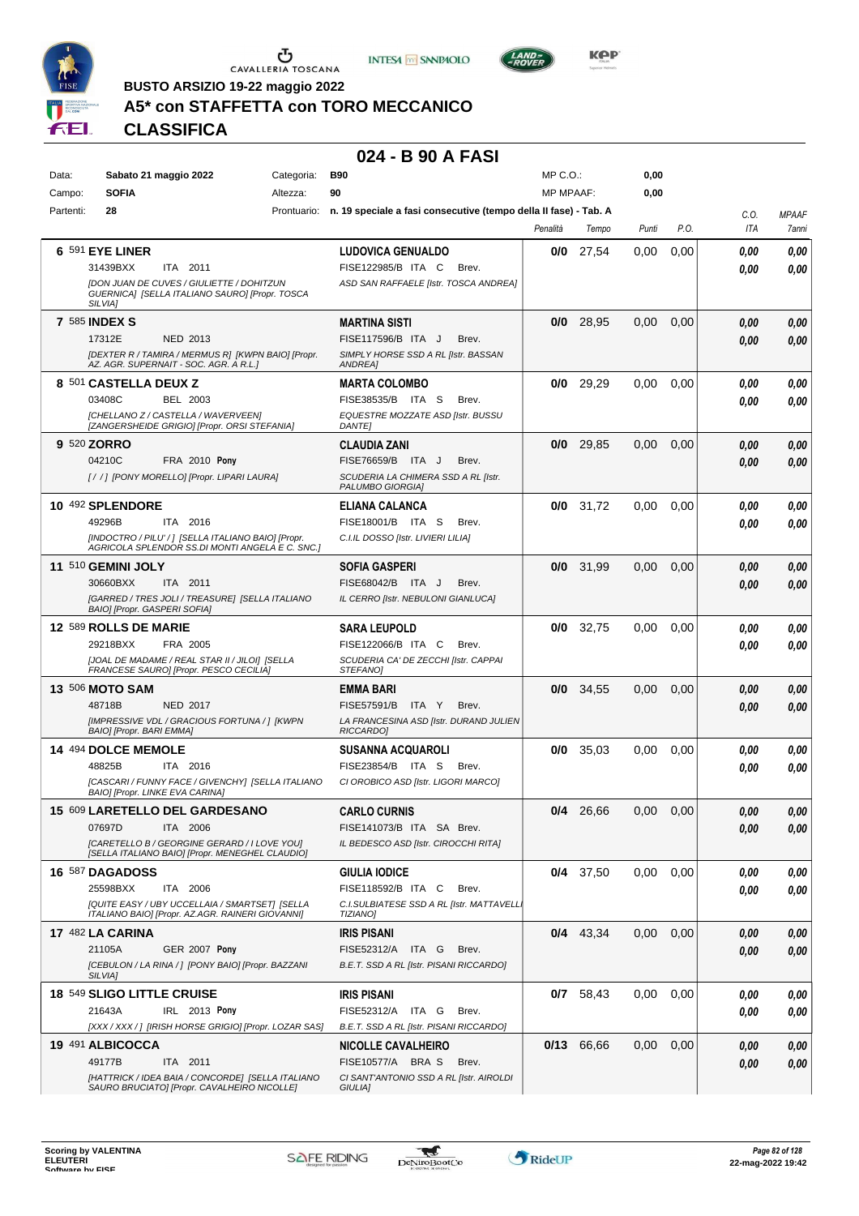





**Kep** 

**BUSTO ARSIZIO 19-22 maggio 2022**

## **A5\* con STAFFETTA con TORO MECCANICO**

### **CLASSIFICA**

### **024 - B 90 A FASI**

| Data:     | Sabato 21 maggio 2022                                                                                                | Categoria: | <b>B90</b>                                                                   | $MP C. O.$ :     |             | 0,00  |      |      |                     |
|-----------|----------------------------------------------------------------------------------------------------------------------|------------|------------------------------------------------------------------------------|------------------|-------------|-------|------|------|---------------------|
| Campo:    | <b>SOFIA</b>                                                                                                         | Altezza:   | 90                                                                           | <b>MP MPAAF:</b> |             | 0,00  |      |      |                     |
| Partenti: | 28                                                                                                                   |            | Prontuario: n. 19 speciale a fasi consecutive (tempo della II fase) - Tab. A |                  |             |       |      | C.O. | <b>MPAAF</b>        |
|           |                                                                                                                      |            |                                                                              | Penalità         | Tempo       | Punti | P.O. | ITA  | <i><b>7anni</b></i> |
|           | <b>6 591 EYE LINER</b>                                                                                               |            | <b>LUDOVICA GENUALDO</b>                                                     | 0/0              | 27,54       | 0.00  | 0,00 | 0.00 | 0,00                |
|           | 31439BXX<br>ITA 2011                                                                                                 |            | FISE122985/B ITA C<br>Brev.                                                  |                  |             |       |      | 0.00 | 0,00                |
|           | <b>[DON JUAN DE CUVES / GIULIETTE / DOHITZUN</b><br>GUERNICA] [SELLA ITALIANO SAURO] [Propr. TOSCA<br><b>SILVIAI</b> |            | ASD SAN RAFFAELE [Istr. TOSCA ANDREA]                                        |                  |             |       |      |      |                     |
|           | <b>7 585 INDEX S</b>                                                                                                 |            | <b>MARTINA SISTI</b>                                                         | 0/0              | 28,95       | 0,00  | 0,00 | 0,00 | 0,00                |
|           | 17312E<br>NED 2013                                                                                                   |            | FISE117596/B ITA J<br>Brev.                                                  |                  |             |       |      | 0.00 | 0,00                |
|           | [DEXTER R / TAMIRA / MERMUS R] [KWPN BAIO] [Propr.<br>AZ. AGR. SUPERNAIT - SOC. AGR. A R.L.]                         |            | SIMPLY HORSE SSD A RL [Istr. BASSAN<br>ANDREA]                               |                  |             |       |      |      |                     |
|           | 8 501 CASTELLA DEUX Z                                                                                                |            | <b>MARTA COLOMBO</b>                                                         | 0/0              | 29,29       | 0.00  | 0,00 | 0,00 | 0,00                |
|           | 03408C<br>BEL 2003                                                                                                   |            | FISE38535/B ITA S<br>Brev.                                                   |                  |             |       |      | 0.00 | 0,00                |
|           | [CHELLANO Z / CASTELLA / WAVERVEEN]<br>[ZANGERSHEIDE GRIGIO] [Propr. ORSI STEFANIA]                                  |            | EQUESTRE MOZZATE ASD [Istr. BUSSU<br><b>DANTE</b>                            |                  |             |       |      |      |                     |
|           | 9 520 ZORRO                                                                                                          |            | <b>CLAUDIA ZANI</b>                                                          | 0/0              | 29,85       | 0.00  | 0,00 | 0.00 | 0,00                |
|           | 04210C<br><b>FRA 2010 Pony</b>                                                                                       |            | FISE76659/B ITA J<br>Brev.                                                   |                  |             |       |      | 0.00 | 0,00                |
|           | [//] [PONY MORELLO] [Propr. LIPARI LAURA]                                                                            |            | SCUDERIA LA CHIMERA SSD A RL [Istr.<br>PALUMBO GIORGIAI                      |                  |             |       |      |      |                     |
|           | 10 492 SPLENDORE                                                                                                     |            | ELIANA CALANCA                                                               | 0/0              | 31.72       | 0.00  | 0,00 | 0.00 | 0,00                |
|           | 49296B<br>ITA 2016                                                                                                   |            | FISE18001/B ITA S<br>Brev.                                                   |                  |             |       |      | 0.00 | 0.00                |
|           | [INDOCTRO / PILU' / ] [SELLA ITALIANO BAIO] [Propr.<br>AGRICOLA SPLENDOR SS.DI MONTI ANGELA E C. SNC.]               |            | C.I.IL DOSSO [Istr. LIVIERI LILIA]                                           |                  |             |       |      |      |                     |
|           | 11 510 GEMINI JOLY                                                                                                   |            | <b>SOFIA GASPERI</b>                                                         | 0/0              | 31,99       | 0,00  | 0,00 | 0.00 | 0,00                |
|           | 30660BXX<br>ITA 2011                                                                                                 |            | FISE68042/B ITA J<br>Brev.                                                   |                  |             |       |      | 0.00 | 0.00                |
|           | [GARRED / TRES JOLI / TREASURE] [SELLA ITALIANO<br>BAIO] [Propr. GASPERI SOFIA]                                      |            | IL CERRO [Istr. NEBULONI GIANLUCA]                                           |                  |             |       |      |      |                     |
|           | 12 589 ROLLS DE MARIE                                                                                                |            | <b>SARA LEUPOLD</b>                                                          | 0/0              | 32,75       | 0.00  | 0,00 | 0.00 | 0,00                |
|           | 29218BXX<br>FRA 2005                                                                                                 |            | FISE122066/B ITA C<br>Brev.                                                  |                  |             |       |      | 0.00 | 0.00                |
|           | [JOAL DE MADAME / REAL STAR II / JILOI] [SELLA<br>FRANCESE SAURO] [Propr. PESCO CECILIA]                             |            | SCUDERIA CA' DE ZECCHI [Istr. CAPPAI<br>STEFANO]                             |                  |             |       |      |      |                     |
|           | <b>13 506 MOTO SAM</b>                                                                                               |            | EMMA BARI                                                                    | 0/0              | 34,55       | 0,00  | 0,00 | 0.00 | 0,00                |
|           | 48718B<br>NED 2017                                                                                                   |            | <b>FISE57591/B</b><br>ITA Y<br>Brev.                                         |                  |             |       |      | 0.00 | 0,00                |
|           | [IMPRESSIVE VDL / GRACIOUS FORTUNA / ] [KWPN<br>BAIO] [Propr. BARI EMMA]                                             |            | LA FRANCESINA ASD [Istr. DURAND JULIEN<br>RICCARDO]                          |                  |             |       |      |      |                     |
|           | 14 494 DOLCE MEMOLE                                                                                                  |            | SUSANNA ACQUAROLI                                                            | 0/0              | 35,03       | 0.00  | 0,00 | 0.00 | 0,00                |
|           | ITA 2016<br>48825B                                                                                                   |            | FISE23854/B ITA S<br>Brev.                                                   |                  |             |       |      | 0.00 | 0,00                |
|           | [CASCARI / FUNNY FACE / GIVENCHY] [SELLA ITALIANO<br><b>BAIOI [Propr. LINKE EVA CARINA]</b>                          |            | CI OROBICO ASD [Istr. LIGORI MARCO]                                          |                  |             |       |      |      |                     |
|           | 15 609 LARETELLO DEL GARDESANO                                                                                       |            | <b>CARLO CURNIS</b>                                                          |                  | $0/4$ 26,66 | 0.00  | 0.00 | 0.00 | 0.00                |
|           | 07697D<br>ITA 2006                                                                                                   |            | FISE141073/B ITA SA Brev.                                                    |                  |             |       |      | 0,00 | 0,00                |
|           | [CARETELLO B / GEORGINE GERARD / I LOVE YOU]<br>[SELLA ITALIANO BAIO] [Propr. MENEGHEL CLAUDIO]                      |            | IL BEDESCO ASD [Istr. CIROCCHI RITA]                                         |                  |             |       |      |      |                     |
|           | 16 587 DAGADOSS                                                                                                      |            | <b>GIULIA IODICE</b>                                                         |                  | $0/4$ 37,50 | 0.00  | 0,00 | 0.00 | 0,00                |
|           | 25598BXX<br>ITA 2006                                                                                                 |            | FISE118592/B ITA C<br>Brev.                                                  |                  |             |       |      | 0.00 | 0,00                |
|           | [QUITE EASY / UBY UCCELLAIA / SMARTSET] [SELLA<br>ITALIANO BAIO] [Propr. AZ.AGR. RAINERI GIOVANNI]                   |            | C.I.SULBIATESE SSD A RL [Istr. MATTAVELL.<br><b>TIZIANO]</b>                 |                  |             |       |      |      |                     |
|           | <b>17 482 LA CARINA</b>                                                                                              |            | <b>IRIS PISANI</b>                                                           |                  | $0/4$ 43,34 | 0.00  | 0,00 | 0.00 | 0,00                |
|           | <b>GER 2007 Pony</b><br>21105A                                                                                       |            | FISE52312/A ITA G<br>Brev.                                                   |                  |             |       |      | 0.00 | 0,00                |
|           | [CEBULON / LA RINA / ] [PONY BAIO] [Propr. BAZZANI<br>SILVIA]                                                        |            | B.E.T. SSD A RL [Istr. PISANI RICCARDO]                                      |                  |             |       |      |      |                     |
|           | 18 549 SLIGO LITTLE CRUISE                                                                                           |            | IRIS PISANI                                                                  |                  | 0/7 58,43   | 0,00  | 0,00 | 0.00 | 0,00                |
|           | 21643A<br>IRL 2013 Pony                                                                                              |            | FISE52312/A ITA G<br>Brev.                                                   |                  |             |       |      | 0.00 | 0,00                |
|           | [XXX / XXX /] [IRISH HORSE GRIGIO] [Propr. LOZAR SAS]                                                                |            | B.E.T. SSD A RL [Istr. PISANI RICCARDO]                                      |                  |             |       |      |      |                     |
|           | 19 491 ALBICOCCA                                                                                                     |            | <b>NICOLLE CAVALHEIRO</b>                                                    |                  | 0/13 66,66  | 0.00  | 0,00 | 0.00 | 0,00                |
|           | 49177B<br>ITA 2011                                                                                                   |            | FISE10577/A BRA S<br>Brev.                                                   |                  |             |       |      | 0,00 | 0,00                |
|           | [HATTRICK / IDEA BAIA / CONCORDE] [SELLA ITALIANO<br>SAURO BRUCIATO] [Propr. CAVALHEIRO NICOLLE]                     |            | CI SANT'ANTONIO SSD A RL [Istr. AIROLDI<br>GIULIA]                           |                  |             |       |      |      |                     |

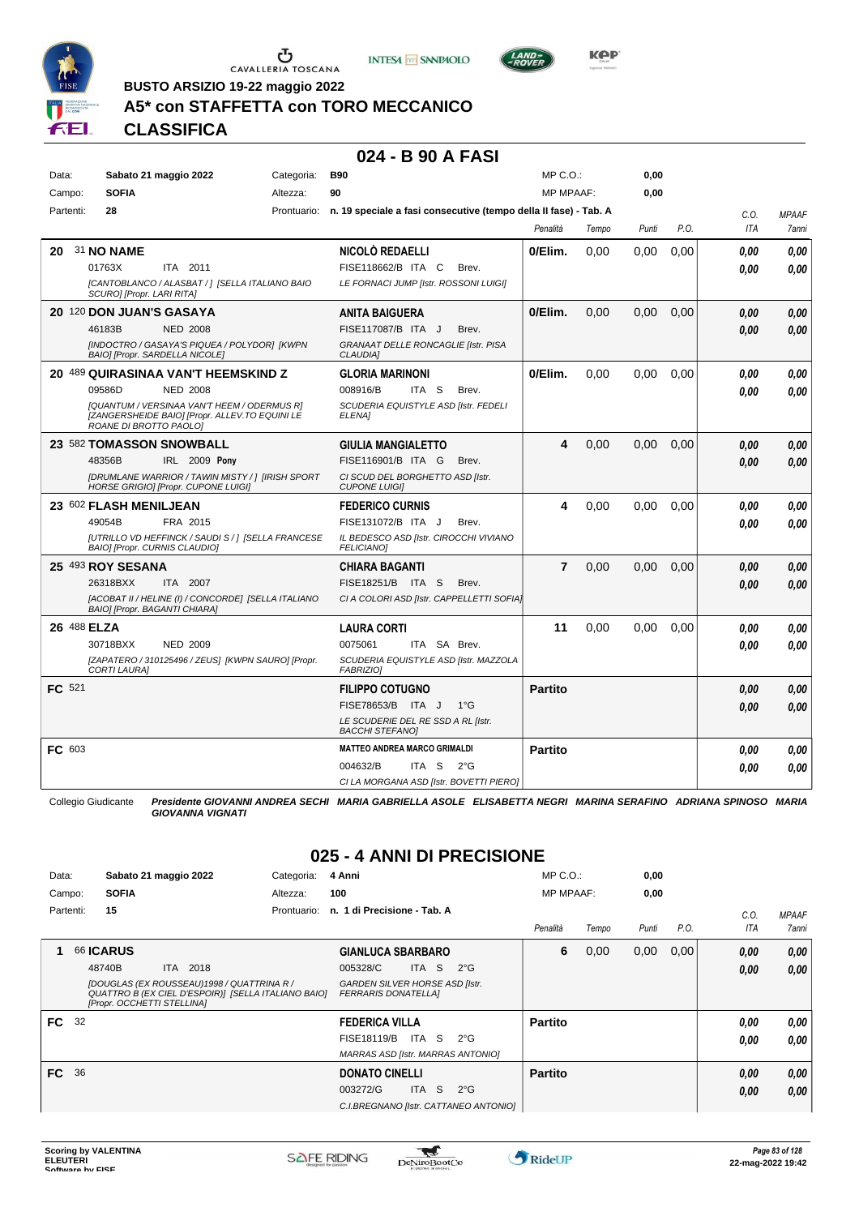

 $\sigma$  cavalleria toscana





**BUSTO ARSIZIO 19-22 maggio 2022**

## **A5\* con STAFFETTA con TORO MECCANICO**

## **CLASSIFICA**

#### **024 - B 90 A FASI**

| Data:       |                                      | Sabato 21 maggio 2022                                                                                | Categoria: | <b>B90</b>                                                                   |              |                                           | MP C.O.:         |       | 0,00  |      |      |              |
|-------------|--------------------------------------|------------------------------------------------------------------------------------------------------|------------|------------------------------------------------------------------------------|--------------|-------------------------------------------|------------------|-------|-------|------|------|--------------|
| Campo:      | <b>SOFIA</b>                         |                                                                                                      | Altezza:   | 90                                                                           |              |                                           | <b>MP MPAAF:</b> |       | 0.00  |      |      |              |
| Partenti:   | 28                                   |                                                                                                      |            | Prontuario: n. 19 speciale a fasi consecutive (tempo della II fase) - Tab. A |              |                                           |                  |       |       |      | C.O. | <b>MPAAF</b> |
|             |                                      |                                                                                                      |            |                                                                              |              |                                           | Penalità         | Tempo | Punti | P.O. | ITA  | 7anni        |
| 20          | 31 NO NAME                           |                                                                                                      |            | NICOLÒ REDAELLI                                                              |              |                                           | 0/Elim.          | 0.00  | 0,00  | 0.00 | 0.00 | 0.00         |
|             | 01763X                               | ITA 2011                                                                                             |            | FISE118662/B ITA C                                                           |              | Brev.                                     |                  |       |       |      | 0.00 | 0.00         |
|             | SCURO] [Propr. LARI RITA]            | [CANTOBLANCO / ALASBAT / ] [SELLA ITALIANO BAIO                                                      |            | LE FORNACI JUMP [Istr. ROSSONI LUIGI]                                        |              |                                           |                  |       |       |      |      |              |
|             | 20 120 DON JUAN'S GASAYA             |                                                                                                      |            | <b>ANITA BAIGUERA</b>                                                        |              |                                           | 0/Elim.          | 0,00  | 0,00  | 0,00 | 0.00 | 0,00         |
|             | 46183B                               | <b>NED 2008</b>                                                                                      |            | FISE117087/B ITA J                                                           |              | Brev.                                     |                  |       |       |      | 0.00 | 0,00         |
|             | BAIO] [Propr. SARDELLA NICOLE]       | [INDOCTRO / GASAYA'S PIQUEA / POLYDOR] [KWPN                                                         |            | GRANAAT DELLE RONCAGLIE [Istr. PISA<br><b>CLAUDIA1</b>                       |              |                                           |                  |       |       |      |      |              |
|             |                                      | 20 489 QUIRASINAA VAN'T HEEMSKIND Z                                                                  |            | <b>GLORIA MARINONI</b>                                                       |              |                                           | 0/Elim.          | 0.00  | 0.00  | 0.00 | 0.00 | 0,00         |
|             | 09586D                               | <b>NED 2008</b>                                                                                      |            | 008916/B                                                                     | ITA S        | Brev.                                     |                  |       |       |      | 0.00 | 0.00         |
|             | ROANE DI BROTTO PAOLOI               | [QUANTUM / VERSINAA VAN'T HEEM / ODERMUS R]<br><b>IZANGERSHEIDE BAIOI IPropr. ALLEV.TO EQUINI LE</b> |            | SCUDERIA EQUISTYLE ASD [Istr. FEDELI<br>ELENA]                               |              |                                           |                  |       |       |      |      |              |
|             |                                      | 23 582 TOMASSON SNOWBALL                                                                             |            | <b>GIULIA MANGIALETTO</b>                                                    |              |                                           | 4                | 0,00  | 0.00  | 0.00 | 0,00 | 0,00         |
|             | 48356B                               | IRL 2009 Pony                                                                                        |            | FISE116901/B ITA G                                                           |              | Brev.                                     |                  |       |       |      | 0.00 | 0.00         |
|             |                                      | <b>IDRUMLANE WARRIOR / TAWIN MISTY / 1 JIRISH SPORT</b><br>HORSE GRIGIO] [Propr. CUPONE LUIGI]       |            | CI SCUD DEL BORGHETTO ASD [Istr.<br><b>CUPONE LUIGII</b>                     |              |                                           |                  |       |       |      |      |              |
|             | 23 602 FLASH MENILJEAN               |                                                                                                      |            | <b>FEDERICO CURNIS</b>                                                       |              |                                           | 4                | 0.00  | 0.00  | 0.00 | 0.00 | 0.00         |
|             | 49054B                               | FRA 2015                                                                                             |            | FISE131072/B ITA J                                                           |              | Brev.                                     |                  |       |       |      | 0.00 | 0.00         |
|             | BAIO] [Propr. CURNIS CLAUDIO]        | [UTRILLO VD HEFFINCK / SAUDI S / 1 [SELLA FRANCESE                                                   |            | IL BEDESCO ASD [Istr. CIROCCHI VIVIANO<br><b>FELICIANO1</b>                  |              |                                           |                  |       |       |      |      |              |
|             | 25 493 ROY SESANA                    |                                                                                                      |            | <b>CHIARA BAGANTI</b>                                                        |              |                                           | $\overline{7}$   | 0,00  | 0,00  | 0,00 | 0,00 | 0,00         |
|             | 26318BXX                             | ITA 2007                                                                                             |            | FISE18251/B ITA S                                                            |              | Brev.                                     |                  |       |       |      | 0.00 | 0,00         |
|             | <b>BAIOI [Propr. BAGANTI CHIARA]</b> | [ACOBAT II / HELINE (I) / CONCORDE] [SELLA ITALIANO                                                  |            |                                                                              |              | CI A COLORI ASD [Istr. CAPPELLETTI SOFIA] |                  |       |       |      |      |              |
| 26 488 ELZA |                                      |                                                                                                      |            | <b>LAURA CORTI</b>                                                           |              |                                           | 11               | 0.00  | 0.00  | 0.00 | 0.00 | 0,00         |
|             | 30718BXX                             | <b>NED 2009</b>                                                                                      |            | 0075061                                                                      | ITA SA Brev. |                                           |                  |       |       |      | 0.00 | 0,00         |
|             | <b>CORTI LAURAI</b>                  | [ZAPATERO / 310125496 / ZEUS] [KWPN SAURO] [Propr.                                                   |            | SCUDERIA EQUISTYLE ASD [Istr. MAZZOLA<br><b>FABRIZIOI</b>                    |              |                                           |                  |       |       |      |      |              |
| FC 521      |                                      |                                                                                                      |            | <b>FILIPPO COTUGNO</b>                                                       |              |                                           | <b>Partito</b>   |       |       |      | 0,00 | 0,00         |
|             |                                      |                                                                                                      |            | FISE78653/B ITA J                                                            |              | $1^{\circ}$ G                             |                  |       |       |      | 0.00 | 0.00         |
|             |                                      |                                                                                                      |            | LE SCUDERIE DEL RE SSD A RL [Istr.<br><b>BACCHI STEFANO]</b>                 |              |                                           |                  |       |       |      |      |              |
| FC 603      |                                      |                                                                                                      |            | <b>MATTEO ANDREA MARCO GRIMALDI</b>                                          |              |                                           | <b>Partito</b>   |       |       |      | 0.00 | 0.00         |
|             |                                      |                                                                                                      |            | 004632/B                                                                     | ITA S        | $2^{\circ}$ G                             |                  |       |       |      | 0.00 | 0.00         |
|             |                                      |                                                                                                      |            | CI LA MORGANA ASD [Istr. BOVETTI PIERO]                                      |              |                                           |                  |       |       |      |      |              |

Collegio Giudicante *Presidente GIOVANNI ANDREA SECHI MARIA GABRIELLA ASOLE ELISABETTA NEGRI MARINA SERAFINO ADRIANA SPINOSO MARIA GIOVANNA VIGNATI*

## **025 - 4 ANNI DI PRECISIONE**

| Data:     |    | Sabato 21 maggio 2022                                                                                                           | Categoria:  | 4 Anni                                                              |       |                                       | $MP C. O.$ :     |       | 0,00  |      |      |              |
|-----------|----|---------------------------------------------------------------------------------------------------------------------------------|-------------|---------------------------------------------------------------------|-------|---------------------------------------|------------------|-------|-------|------|------|--------------|
| Campo:    |    | <b>SOFIA</b>                                                                                                                    | Altezza:    | 100                                                                 |       |                                       | <b>MP MPAAF:</b> |       | 0,00  |      |      |              |
| Partenti: |    | 15                                                                                                                              | Prontuario: | n. 1 di Precisione - Tab. A                                         |       |                                       |                  |       |       |      | C.0. | <b>MPAAF</b> |
|           |    |                                                                                                                                 |             |                                                                     |       |                                       | Penalità         | Tempo | Punti | P.O. | ITA  | 7anni        |
|           |    | <b>66 ICARUS</b>                                                                                                                |             | <b>GIANLUCA SBARBARO</b>                                            |       |                                       | 6                | 0,00  | 0,00  | 0,00 | 0,00 | 0,00         |
|           |    | 48740B<br><b>ITA</b><br>2018                                                                                                    |             | 005328/C                                                            | ITA S | $2^{\circ}G$                          |                  |       |       |      | 0,00 | 0,00         |
|           |    | [DOUGLAS (EX ROUSSEAU)1998 / QUATTRINA R /<br>QUATTRO B (EX CIEL D'ESPOIR)] [SELLA ITALIANO BAIO]<br>[Propr. OCCHETTI STELLINA] |             | <b>GARDEN SILVER HORSE ASD [Istr.</b><br><b>FERRARIS DONATELLAI</b> |       |                                       |                  |       |       |      |      |              |
| FC        | 32 |                                                                                                                                 |             | <b>FEDERICA VILLA</b>                                               |       |                                       | <b>Partito</b>   |       |       |      | 0.00 | 0,00         |
|           |    |                                                                                                                                 |             | FISE18119/B                                                         | ITA S | $2^{\circ}G$                          |                  |       |       |      | 0,00 | 0.00         |
|           |    |                                                                                                                                 |             | <b>MARRAS ASD [Istr. MARRAS ANTONIO]</b>                            |       |                                       |                  |       |       |      |      |              |
| FC 36     |    |                                                                                                                                 |             | <b>DONATO CINELLI</b>                                               |       |                                       | <b>Partito</b>   |       |       |      | 0,00 | 0,00         |
|           |    |                                                                                                                                 |             | 003272/G                                                            | ITA S | $2^{\circ}$ G                         |                  |       |       |      | 0,00 | 0.00         |
|           |    |                                                                                                                                 |             |                                                                     |       | C.I.BREGNANO [Istr. CATTANEO ANTONIO] |                  |       |       |      |      |              |

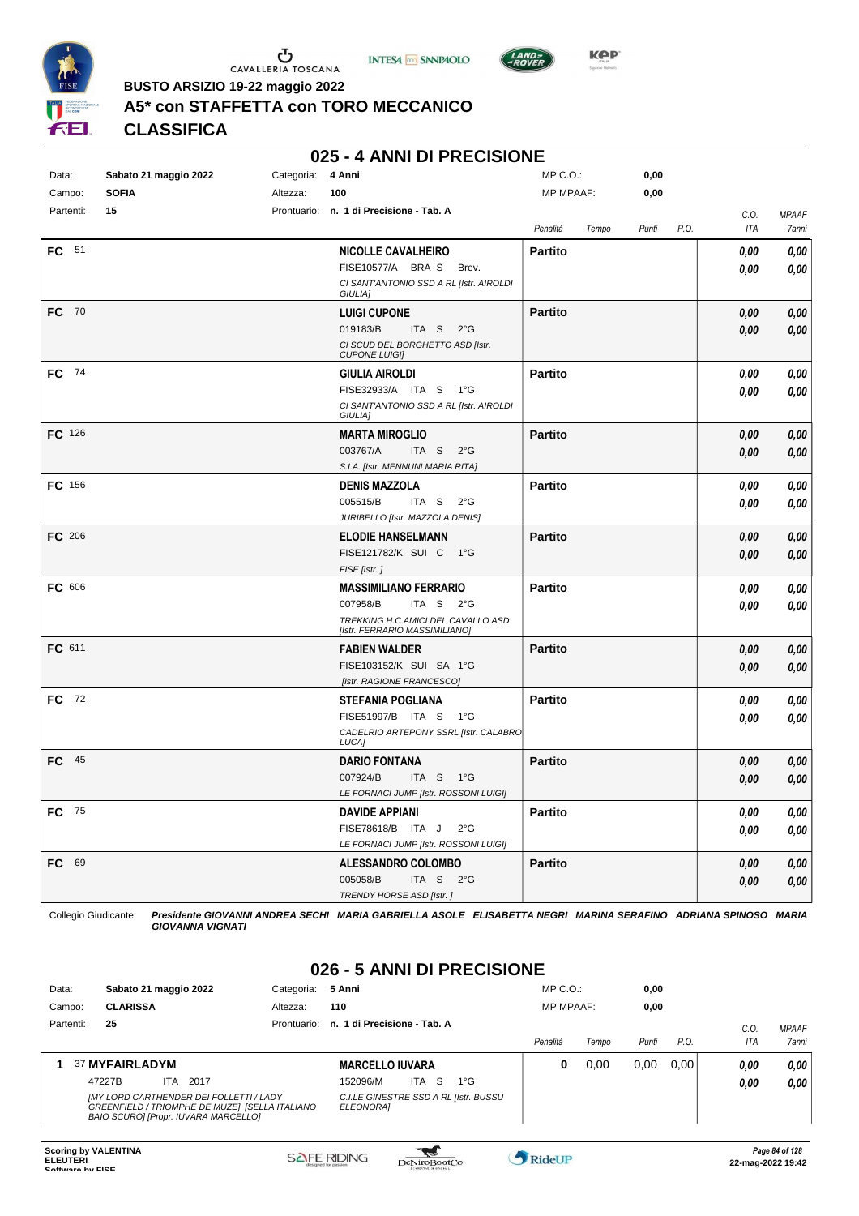





**BUSTO ARSIZIO 19-22 maggio 2022**

## **A5\* con STAFFETTA con TORO MECCANICO**

**CLASSIFICA**

#### **025 - 4 ANNI DI PRECISIONE**

| Data:         | Sabato 21 maggio 2022 | Categoria: | 4 Anni                                                              | $MP C. O.$ :     |       |       |      |                    |                       |
|---------------|-----------------------|------------|---------------------------------------------------------------------|------------------|-------|-------|------|--------------------|-----------------------|
| Campo:        | <b>SOFIA</b>          | Altezza:   | 100                                                                 | <b>MP MPAAF:</b> |       | 0,00  |      |                    |                       |
| Partenti:     | 15                    |            | Prontuario: n. 1 di Precisione - Tab. A                             | Penalità         | Tempo | Punti | P.O. | C.O.<br><b>ITA</b> | <b>MPAAF</b><br>7anni |
| FC 51         |                       |            | <b>NICOLLE CAVALHEIRO</b>                                           | <b>Partito</b>   |       |       |      | 0,00               | 0,00                  |
|               |                       |            | FISE10577/A BRAS<br>Brev.                                           |                  |       |       |      | 0,00               | 0,00                  |
|               |                       |            | CI SANT'ANTONIO SSD A RL [Istr. AIROLDI<br>GIULIA]                  |                  |       |       |      |                    |                       |
| FC 70         |                       |            | <b>LUIGI CUPONE</b>                                                 | <b>Partito</b>   |       |       |      | 0.00               | 0,00                  |
|               |                       |            | 019183/B<br>ITA S $2^{\circ}G$                                      |                  |       |       |      | 0.00               | 0,00                  |
|               |                       |            | CI SCUD DEL BORGHETTO ASD [Istr.<br><b>CUPONE LUIGII</b>            |                  |       |       |      |                    |                       |
| FC 74         |                       |            | <b>GIULIA AIROLDI</b>                                               | <b>Partito</b>   |       |       |      | 0,00               | 0,00                  |
|               |                       |            | FISE32933/A ITA S<br>1°G                                            |                  |       |       |      | 0,00               | 0,00                  |
|               |                       |            | CI SANT'ANTONIO SSD A RL [Istr. AIROLDI<br>GIULIA]                  |                  |       |       |      |                    |                       |
| FC 126        |                       |            | <b>MARTA MIROGLIO</b>                                               | <b>Partito</b>   |       |       |      | 0,00               | 0,00                  |
|               |                       |            | 003767/A<br>ITA S<br>$2^{\circ}$ G                                  |                  |       |       |      | 0,00               | 0,00                  |
|               |                       |            | S.I.A. [Istr. MENNUNI MARIA RITA]                                   |                  |       |       |      |                    |                       |
| <b>FC</b> 156 |                       |            | <b>DENIS MAZZOLA</b><br>005515/B                                    | <b>Partito</b>   |       |       |      | 0,00               | 0.00                  |
|               |                       |            | ITA S<br>$2^{\circ}$ G<br>JURIBELLO [Istr. MAZZOLA DENIS]           |                  |       |       |      | 0,00               | 0.00                  |
| <b>FC</b> 206 |                       |            | <b>ELODIE HANSELMANN</b>                                            | <b>Partito</b>   |       |       |      | 0,00               | 0,00                  |
|               |                       |            | FISE121782/K SUI C 1°G                                              |                  |       |       |      | 0,00               | 0,00                  |
|               |                       |            | FISE [Istr.]                                                        |                  |       |       |      |                    |                       |
| FC 606        |                       |            | <b>MASSIMILIANO FERRARIO</b>                                        | <b>Partito</b>   |       |       |      | 0,00               | 0,00                  |
|               |                       |            | 007958/B<br>ITA S 2°G                                               |                  |       |       |      | 0,00               | 0,00                  |
|               |                       |            | TREKKING H.C.AMICI DEL CAVALLO ASD<br>[Istr. FERRARIO MASSIMILIANO] |                  |       |       |      |                    |                       |
| FC 611        |                       |            | <b>FABIEN WALDER</b>                                                | <b>Partito</b>   |       |       |      | 0,00               | 0,00                  |
|               |                       |            | FISE103152/K SUI SA 1°G                                             |                  |       |       |      | 0,00               | 0,00                  |
|               |                       |            | [Istr. RAGIONE FRANCESCO]                                           |                  |       |       |      |                    |                       |
| <b>FC</b> 72  |                       |            | <b>STEFANIA POGLIANA</b>                                            | <b>Partito</b>   |       |       |      | 0,00               | 0,00                  |
|               |                       |            | FISE51997/B ITA S<br>1°G                                            |                  |       |       |      | 0.00               | 0.00                  |
|               |                       |            | CADELRIO ARTEPONY SSRL [Istr. CALABRO<br>LUCA]                      |                  |       |       |      |                    |                       |
| $FC$ 45       |                       |            | <b>DARIO FONTANA</b>                                                | <b>Partito</b>   |       |       |      | 0,00               | 0.00                  |
|               |                       |            | 007924/B<br>ITA S<br>$1^{\circ}G$                                   |                  |       |       |      | 0.00               | 0.00                  |
|               |                       |            | LE FORNACI JUMP [Istr. ROSSONI LUIGI]                               |                  |       |       |      |                    |                       |
| <b>FC</b> 75  |                       |            | <b>DAVIDE APPIANI</b><br>FISE78618/B ITA J<br>$2^{\circ}$ G         | <b>Partito</b>   |       |       |      | 0,00               | 0,00                  |
|               |                       |            | LE FORNACI JUMP [Istr. ROSSONI LUIGI]                               |                  |       |       |      | 0,00               | 0.00                  |
| 69<br>FC .    |                       |            | <b>ALESSANDRO COLOMBO</b>                                           | <b>Partito</b>   |       |       |      | 0,00               | 0,00                  |
|               |                       |            | 005058/B<br>ITA <sub>S</sub><br>$2^{\circ}G$                        |                  |       |       |      | 0,00               | 0,00                  |
|               |                       |            | TRENDY HORSE ASD [Istr.]                                            |                  |       |       |      |                    |                       |

Collegio Giudicante *Presidente GIOVANNI ANDREA SECHI MARIA GABRIELLA ASOLE ELISABETTA NEGRI MARINA SERAFINO ADRIANA SPINOSO MARIA GIOVANNA VIGNATI*

## **026 - 5 ANNI DI PRECISIONE**

| Data: |                           |                       | Sabato 21 maggio 2022                                                                  | Categoria:                                     | 5 Anni                 |                    |                                       | $MP C. O.$ : |       | 0,00    |                |      |              |
|-------|---------------------------|-----------------------|----------------------------------------------------------------------------------------|------------------------------------------------|------------------------|--------------------|---------------------------------------|--------------|-------|---------|----------------|------|--------------|
|       | <b>CLARISSA</b><br>Campo: |                       | Altezza:                                                                               | 110                                            |                        | <b>MP MPAAF:</b>   | 0.00                                  |              |       |         |                |      |              |
|       | 25<br>Partenti:           |                       | Prontuario:                                                                            | n. 1 di Precisione - Tab. A                    |                        |                    |                                       |              |       | $C_{0}$ | <b>MPAAF</b>   |      |              |
|       |                           |                       |                                                                                        |                                                |                        |                    |                                       | Penalità     | Tempo | Punti   | $P_{\cdot}$ O. | ITA  | <b>7anni</b> |
|       |                           | <b>37 MYFAIRLADYM</b> |                                                                                        |                                                | <b>MARCELLO IUVARA</b> |                    |                                       | 0            | 0,00  | 0.00    | 0.00           | 0.00 | 0.00         |
|       |                           | 47227B                | 2017<br>ITA.                                                                           |                                                | 152096/M               | <b>ITA</b><br>. SI | $1^{\circ}G$                          |              |       |         |                | 0.00 | 0.00         |
|       |                           |                       | <b>IMY LORD CARTHENDER DEI FOLLETTI / LADY</b><br>BAIO SCURO] [Propr. IUVARA MARCELLO] | GREENFIELD / TRIOMPHE DE MUZE] [SELLA ITALIANO | <b>ELEONORAI</b>       |                    | C.I.LE GINESTRE SSD A RL [Istr. BUSSU |              |       |         |                |      |              |

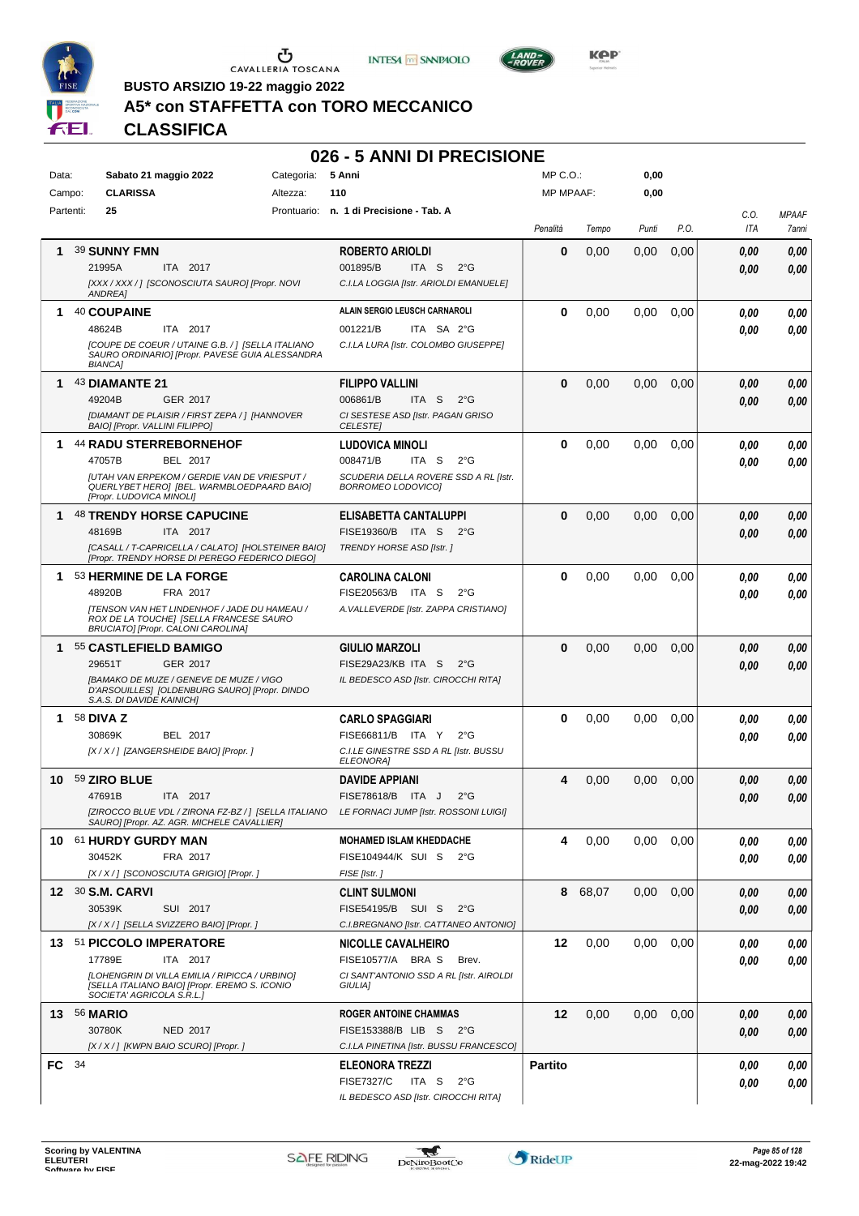





**Kep** 

**BUSTO ARSIZIO 19-22 maggio 2022**

## **A5\* con STAFFETTA con TORO MECCANICO**

| Data:  | Sabato 21 maggio 2022                                                         | 5 Anni<br>Categoria:                                                                       | MP C.O.:         |       | 0,00  |      |            |              |
|--------|-------------------------------------------------------------------------------|--------------------------------------------------------------------------------------------|------------------|-------|-------|------|------------|--------------|
| Campo: | <b>CLARISSA</b><br>Altezza:                                                   | 110                                                                                        | <b>MP MPAAF:</b> |       | 0,00  |      |            |              |
|        | 25<br>Partenti:                                                               | Prontuario: n. 1 di Precisione - Tab. A                                                    |                  |       |       |      | C.O.       | <b>MPAAF</b> |
|        |                                                                               |                                                                                            | Penalità         | Tempo | Punti | P.O. | <b>ITA</b> | 7anni        |
| 1      | 39 SUNNY FMN                                                                  | ROBERTO ARIOLDI                                                                            | 0                | 0,00  | 0.00  | 0,00 | 0.00       | 0,00         |
|        | 21995A<br>ITA 2017                                                            | 001895/B<br>ITA S<br>$2^{\circ}$ G                                                         |                  |       |       |      |            |              |
|        | [XXX / XXX / ] [SCONOSCIUTA SAURO] [Propr. NOVI                               | C.I.LA LOGGIA [Istr. ARIOLDI EMANUELE]                                                     |                  |       |       |      | 0.00       | 0,00         |
|        | ANDREA]                                                                       |                                                                                            |                  |       |       |      |            |              |
| 1      | 40 COUPAINE                                                                   | ALAIN SERGIO LEUSCH CARNAROLI                                                              | 0                | 0,00  | 0,00  | 0,00 | 0.00       | 0,00         |
|        | 48624B<br>ITA 2017                                                            | 001221/B<br>ITA SA 2°G                                                                     |                  |       |       |      | 0.00       | 0,00         |
|        | [COUPE DE COEUR / UTAINE G.B. / ] [SELLA ITALIANO                             | C.I.LA LURA [Istr. COLOMBO GIUSEPPE]                                                       |                  |       |       |      |            |              |
|        | SAURO ORDINARIO] [Propr. PAVESE GUIA ALESSANDRA<br><b>BIANCA]</b>             |                                                                                            |                  |       |       |      |            |              |
| 1.     | 43 DIAMANTE 21                                                                | <b>FILIPPO VALLINI</b>                                                                     | $\bf{0}$         | 0,00  | 0,00  | 0,00 | 0.00       | 0,00         |
|        | 49204B<br>GER 2017                                                            | 006861/B<br>ITA S<br>$2^{\circ}$ G                                                         |                  |       |       |      | 0.00       | 0,00         |
|        | [DIAMANT DE PLAISIR / FIRST ZEPA / ] [HANNOVER                                | CI SESTESE ASD [Istr. PAGAN GRISO                                                          |                  |       |       |      |            |              |
|        | BAIO] [Propr. VALLINI FILIPPO]                                                | <b>CELESTE</b>                                                                             |                  |       |       |      |            |              |
| 1.     | <b>44 RADU STERREBORNEHOF</b>                                                 | <b>LUDOVICA MINOLI</b>                                                                     | 0                | 0,00  | 0,00  | 0,00 | 0.00       | 0,00         |
|        | BEL 2017<br>47057B                                                            | 008471/B<br>ITA S<br>$2^{\circ}$ G                                                         |                  |       |       |      | 0.00       | 0,00         |
|        | <b>JUTAH VAN ERPEKOM / GERDIE VAN DE VRIESPUT /</b>                           | SCUDERIA DELLA ROVERE SSD A RL [Istr.                                                      |                  |       |       |      |            |              |
|        | QUERLYBET HEROJ [BEL. WARMBLOEDPAARD BAIO]<br>[Propr. LUDOVICA MINOLI]        | BORROMEO LODOVICO]                                                                         |                  |       |       |      |            |              |
| 1      | <b>48 TRENDY HORSE CAPUCINE</b>                                               | <b>ELISABETTA CANTALUPPI</b>                                                               | $\bf{0}$         | 0,00  | 0,00  | 0,00 | 0.00       | 0,00         |
|        | 48169B<br>ITA 2017                                                            | FISE19360/B ITA S<br>$2^{\circ}$ G                                                         |                  |       |       |      | 0.00       | 0,00         |
|        | [CASALL / T-CAPRICELLA / CALATO] [HOLSTEINER BAIO]                            | TRENDY HORSE ASD [Istr.]                                                                   |                  |       |       |      |            |              |
|        | [Propr. TRENDY HORSE DI PEREGO FEDERICO DIEGO]                                |                                                                                            |                  |       |       |      |            |              |
| 1.     | 53 HERMINE DE LA FORGE                                                        | <b>CAROLINA CALONI</b>                                                                     | 0                | 0,00  | 0,00  | 0.00 | 0.00       | 0,00         |
|        | 48920B<br>FRA 2017                                                            | FISE20563/B ITA S<br>$2^{\circ}$ G                                                         |                  |       |       |      | 0.00       | 0,00         |
|        | [TENSON VAN HET LINDENHOF / JADE DU HAMEAU /                                  | A. VALLEVERDE [Istr. ZAPPA CRISTIANO]                                                      |                  |       |       |      |            |              |
|        | ROX DE LA TOUCHE] [SELLA FRANCESE SAURO<br>BRUCIATO] [Propr. CALONI CAROLINA] |                                                                                            |                  |       |       |      |            |              |
| 1      | 55 CASTLEFIELD BAMIGO                                                         | <b>GIULIO MARZOLI</b>                                                                      | $\bf{0}$         | 0,00  | 0,00  | 0,00 | 0.00       | 0,00         |
|        | 29651T<br><b>GER 2017</b>                                                     | FISE29A23/KB ITA S<br>$2^{\circ}$ G                                                        |                  |       |       |      | 0.00       | 0,00         |
|        | [BAMAKO DE MUZE / GENEVE DE MUZE / VIGO                                       | IL BEDESCO ASD [Istr. CIROCCHI RITA]                                                       |                  |       |       |      |            |              |
|        | D'ARSOUILLES] [OLDENBURG SAURO] [Propr. DINDO<br>S.A.S. DI DAVIDE KAINICH]    |                                                                                            |                  |       |       |      |            |              |
| 1.     | 58 DIVA Z                                                                     | <b>CARLO SPAGGIARI</b>                                                                     | 0                | 0,00  | 0,00  |      |            | 0,00         |
|        | 30869K<br>BEL 2017                                                            | FISE66811/B ITA Y<br>$2^{\circ}G$                                                          |                  |       |       | 0.00 | 0.00       |              |
|        | [X / X / ] [ZANGERSHEIDE BAIO] [Propr. ]                                      | C.I.LE GINESTRE SSD A RL [Istr. BUSSU                                                      |                  |       |       |      | 0.00       | 0.00         |
|        |                                                                               | ELEONORA]                                                                                  |                  |       |       |      |            |              |
| 10     | 59 ZIRO BLUE                                                                  | <b>DAVIDE APPIANI</b>                                                                      | 4                | 0,00  | 0,00  | 0,00 | 0,00       | 0,00         |
|        | ITA 2017<br>47691B                                                            | <b>FISE78618/B</b><br>ITA J<br>$2^{\circ}$ G                                               |                  |       |       |      | 0.00       | 0,00         |
|        |                                                                               | [ZIROCCO BLUE VDL / ZIRONA FZ-BZ / ] [SELLA ITALIANO LE FORNACI JUMP [Istr. ROSSONI LUIGI] |                  |       |       |      |            |              |
|        | SAURO] [Propr. AZ. AGR. MICHELE CAVALLIER]                                    |                                                                                            |                  |       |       |      |            |              |
|        | 10 61 HURDY GURDY MAN                                                         | <b>MOHAMED ISLAM KHEDDACHE</b>                                                             | 4                | 0,00  | 0,00  | 0.00 | 0,00       | 0,00         |
|        | 30452K<br>FRA 2017                                                            | FISE104944/K SUI S 2°G                                                                     |                  |       |       |      | 0,00       | 0,00         |
|        | [X / X / ] [SCONOSCIUTA GRIGIO] [Propr. ]                                     | FISE [Istr. ]                                                                              |                  |       |       |      |            |              |
|        | 12 30 S.M. CARVI                                                              | <b>CLINT SULMONI</b>                                                                       | 8                | 68,07 | 0,00  | 0,00 | 0,00       | 0,00         |
|        | 30539K<br>SUI 2017                                                            | FISE54195/B SUI S<br>$2^{\circ}G$                                                          |                  |       |       |      | 0,00       | 0,00         |
|        | [X / X / ] [SELLA SVIZZERO BAIO] [Propr. ]                                    | C.I.BREGNANO [Istr. CATTANEO ANTONIO]                                                      |                  |       |       |      |            |              |
|        | 13 51 PICCOLO IMPERATORE                                                      | <b>NICOLLE CAVALHEIRO</b>                                                                  | 12               | 0,00  | 0,00  | 0,00 | 0.00       | 0,00         |
|        | 17789E<br>ITA 2017                                                            | FISE10577/A BRA S<br>Brev.                                                                 |                  |       |       |      | 0.00       | 0,00         |
|        | [LOHENGRIN DI VILLA EMILIA / RIPICCA / URBINO]                                | CI SANT'ANTONIO SSD A RL [Istr. AIROLDI                                                    |                  |       |       |      |            |              |
|        | [SELLA ITALIANO BAIO] [Propr. EREMO S. ICONIO<br>SOCIETA' AGRICOLA S.R.L.]    | GIULIA]                                                                                    |                  |       |       |      |            |              |
|        | <b>13 56 MARIO</b>                                                            | <b>ROGER ANTOINE CHAMMAS</b>                                                               | 12               | 0,00  | 0,00  | 0,00 | 0,00       | 0,00         |
|        | 30780K<br>NED 2017                                                            | FISE153388/B LIB S 2°G                                                                     |                  |       |       |      | 0,00       | 0,00         |
|        | [X / X / ] [KWPN BAIO SCURO] [Propr. ]                                        | C.I.LA PINETINA [Istr. BUSSU FRANCESCO]                                                    |                  |       |       |      |            |              |
| FC 34  |                                                                               | <b>ELEONORA TREZZI</b>                                                                     | <b>Partito</b>   |       |       |      | 0.00       | 0,00         |
|        |                                                                               | <b>FISE7327/C</b><br>ITA S<br>$2^{\circ}$ G                                                |                  |       |       |      | 0,00       | 0,00         |
|        |                                                                               | IL BEDESCO ASD [Istr. CIROCCHI RITA]                                                       |                  |       |       |      |            |              |
|        |                                                                               |                                                                                            |                  |       |       |      |            |              |

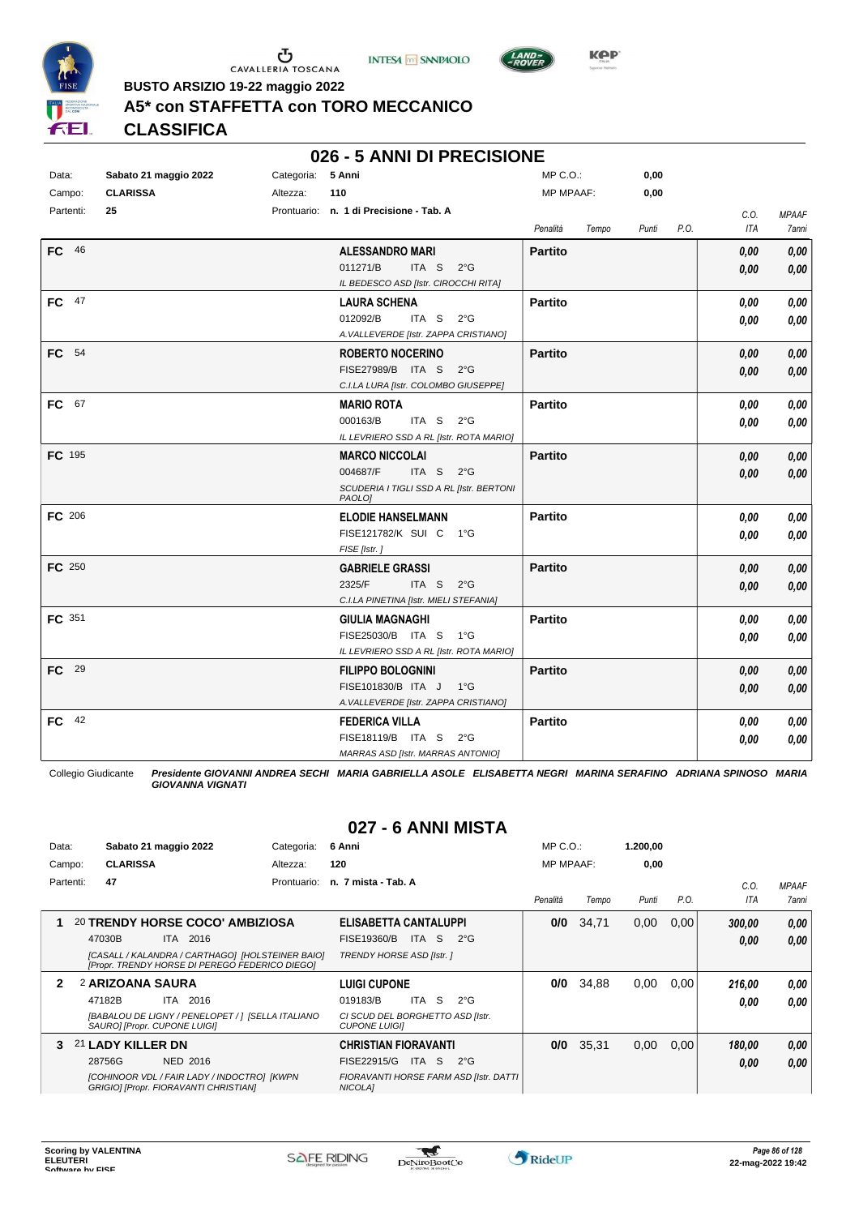

 $\sigma$  cavalleria toscana





**Kep** 

**BUSTO ARSIZIO 19-22 maggio 2022**

## **A5\* con STAFFETTA con TORO MECCANICO**

**CLASSIFICA**

#### **026 - 5 ANNI DI PRECISIONE**

| Data:     | Sabato 21 maggio 2022 | Categoria: 5 Anni |                                                    | $MP C. O.$ :     |       | 0,00  |      |      |                     |
|-----------|-----------------------|-------------------|----------------------------------------------------|------------------|-------|-------|------|------|---------------------|
| Campo:    | <b>CLARISSA</b>       | Altezza:          | 110                                                | <b>MP MPAAF:</b> |       | 0,00  |      |      |                     |
| Partenti: | 25                    |                   | Prontuario: n. 1 di Precisione - Tab. A            |                  |       |       |      | C.O. | <b>MPAAF</b>        |
|           |                       |                   |                                                    | Penalità         | Tempo | Punti | P.O. | ITA  | <i><b>7anni</b></i> |
| FC 46     |                       |                   | <b>ALESSANDRO MARI</b>                             | <b>Partito</b>   |       |       |      | 0,00 | 0,00                |
|           |                       |                   | 011271/B<br>ITA S $2^{\circ}G$                     |                  |       |       |      | 0.00 | 0,00                |
|           |                       |                   | IL BEDESCO ASD [Istr. CIROCCHI RITA]               |                  |       |       |      |      |                     |
| FC 47     |                       |                   | <b>LAURA SCHENA</b>                                | <b>Partito</b>   |       |       |      | 0,00 | 0,00                |
|           |                       |                   | 012092/B<br>ITA S $2^{\circ}G$                     |                  |       |       |      | 0.00 | 0,00                |
|           |                       |                   | A. VALLEVERDE [Istr. ZAPPA CRISTIANO]              |                  |       |       |      |      |                     |
| FC 54     |                       |                   | <b>ROBERTO NOCERINO</b>                            | <b>Partito</b>   |       |       |      | 0,00 | 0,00                |
|           |                       |                   | FISE27989/B ITA S 2°G                              |                  |       |       |      | 0.00 | 0,00                |
|           |                       |                   | C.I.LA LURA [Istr. COLOMBO GIUSEPPE]               |                  |       |       |      |      |                     |
| FC 67     |                       |                   | <b>MARIO ROTA</b>                                  | <b>Partito</b>   |       |       |      | 0.00 | 0,00                |
|           |                       |                   | 000163/B<br>ITA S $2^{\circ}G$                     |                  |       |       |      | 0,00 | 0,00                |
|           |                       |                   | IL LEVRIERO SSD A RL [Istr. ROTA MARIO]            |                  |       |       |      |      |                     |
| FC 195    |                       |                   | <b>MARCO NICCOLAI</b>                              | <b>Partito</b>   |       |       |      | 0,00 | 0,00                |
|           |                       |                   | 004687/F<br>ITA S $2^{\circ}G$                     |                  |       |       |      | 0,00 | 0,00                |
|           |                       |                   | SCUDERIA I TIGLI SSD A RL [Istr. BERTONI<br>PAOLO] |                  |       |       |      |      |                     |
| FC 206    |                       |                   | <b>ELODIE HANSELMANN</b>                           | <b>Partito</b>   |       |       |      | 0.00 | 0,00                |
|           |                       |                   | FISE121782/K SUI C 1°G                             |                  |       |       |      | 0.00 | 0,00                |
|           |                       |                   | FISE [Istr.]                                       |                  |       |       |      |      |                     |
| FC 250    |                       |                   | <b>GABRIELE GRASSI</b>                             | <b>Partito</b>   |       |       |      | 0,00 | 0,00                |
|           |                       |                   | 2325/F<br>ITA S 2°G                                |                  |       |       |      | 0.00 | 0,00                |
|           |                       |                   | C.I.LA PINETINA [Istr. MIELI STEFANIA]             |                  |       |       |      |      |                     |
| FC 351    |                       |                   | <b>GIULIA MAGNAGHI</b>                             | <b>Partito</b>   |       |       |      | 0,00 | 0,00                |
|           |                       |                   | FISE25030/B ITA S 1°G                              |                  |       |       |      | 0.00 | 0,00                |
|           |                       |                   | IL LEVRIERO SSD A RL [Istr. ROTA MARIO]            |                  |       |       |      |      |                     |
| FC 29     |                       |                   | <b>FILIPPO BOLOGNINI</b>                           | <b>Partito</b>   |       |       |      | 0.00 | 0,00                |
|           |                       |                   | FISE101830/B ITA J<br>− 1°G                        |                  |       |       |      | 0.00 | 0,00                |
|           |                       |                   | A. VALLEVERDE [Istr. ZAPPA CRISTIANO]              |                  |       |       |      |      |                     |
| FC 42     |                       |                   | <b>FEDERICA VILLA</b>                              | <b>Partito</b>   |       |       |      | 0,00 | 0,00                |
|           |                       |                   | FISE18119/B ITA S<br>$2^{\circ}$ G                 |                  |       |       |      | 0.00 | 0,00                |
|           |                       |                   | MARRAS ASD [Istr. MARRAS ANTONIO]                  |                  |       |       |      |      |                     |

Collegio Giudicante *Presidente GIOVANNI ANDREA SECHI MARIA GABRIELLA ASOLE ELISABETTA NEGRI MARINA SERAFINO ADRIANA SPINOSO MARIA GIOVANNA VIGNATI*

## **027 - 6 ANNI MISTA**

| Data:  |           |                   | Sabato 21 maggio 2022                 | Categoria:                                                                                         | 6 Anni                                                   | $MP C. O.$ :     |       | 1.200,00 |      |        |              |
|--------|-----------|-------------------|---------------------------------------|----------------------------------------------------------------------------------------------------|----------------------------------------------------------|------------------|-------|----------|------|--------|--------------|
| Campo: |           | <b>CLARISSA</b>   |                                       | Altezza:                                                                                           | 120                                                      | <b>MP MPAAF:</b> |       | 0,00     |      |        |              |
|        | Partenti: | 47                |                                       | Prontuario:                                                                                        | n. 7 mista - Tab. A                                      |                  |       |          |      | C.0    | <b>MPAAF</b> |
|        |           |                   |                                       |                                                                                                    |                                                          | Penalità         | Tempo | Punti    | P.O. | ITA    | 7anni        |
|        |           |                   |                                       | 20 TRENDY HORSE COCO' AMBIZIOSA                                                                    | <b>ELISABETTA CANTALUPPI</b>                             | 0/0              | 34,71 | 0,00     | 0,00 | 300.00 | 0,00         |
|        |           | 47030B            | ITA 2016                              |                                                                                                    | ITA S<br>$2^{\circ}G$<br>FISE19360/B                     |                  |       |          |      | 0.00   | 0.00         |
|        |           |                   |                                       | [CASALL / KALANDRA / CARTHAGO] [HOLSTEINER BAIO]<br>[Propr. TRENDY HORSE DI PEREGO FEDERICO DIEGO] | TRENDY HORSE ASD [Istr. ]                                |                  |       |          |      |        |              |
| 2      |           | 2 ARIZOANA SAURA  |                                       |                                                                                                    | LUIGI CUPONE                                             | 0/0              | 34,88 | 0,00     | 0.00 | 216,00 | 0,00         |
|        |           | 47182B            | ITA 2016                              |                                                                                                    | <b>ITA</b><br>-S<br>019183/B<br>$2^{\circ}G$             |                  |       |          |      | 0.00   | 0,00         |
|        |           |                   | SAUROI [Propr. CUPONE LUIGI]          | [BABALOU DE LIGNY / PENELOPET / ] [SELLA ITALIANO                                                  | CI SCUD DEL BORGHETTO ASD [Istr.<br><b>CUPONE LUIGII</b> |                  |       |          |      |        |              |
| з.     |           | 21 LADY KILLER DN |                                       |                                                                                                    | <b>CHRISTIAN FIORAVANTI</b>                              | 0/0              | 35,31 | 0,00     | 0,00 | 180.00 | 0.00         |
|        |           | 28756G            | NED 2016                              |                                                                                                    | FISE22915/G<br>ITA S<br>$2^{\circ}G$                     |                  |       |          |      | 0,00   | 0,00         |
|        |           |                   | GRIGIO] [Propr. FIORAVANTI CHRISTIAN] | [COHINOOR VDL / FAIR LADY / INDOCTRO] [KWPN                                                        | FIORAVANTI HORSE FARM ASD [Istr. DATTI<br>NICOLA]        |                  |       |          |      |        |              |

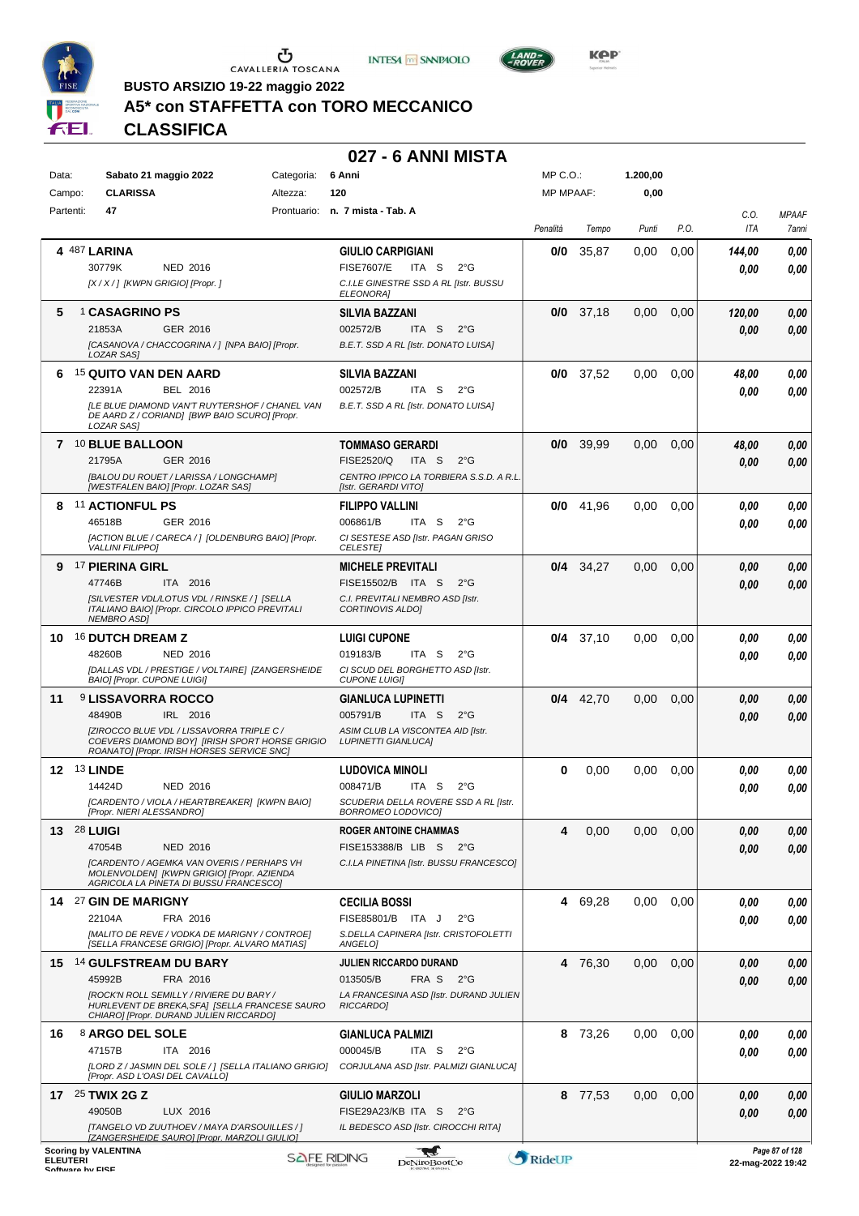

 $\mathop{\mathbf{U}}_{\mathop{\mathbf{CAVALLERIA}}}\mathop{\mathbf{Coxana}}$ 





**BUSTO ARSIZIO 19-22 maggio 2022**

## **A5\* con STAFFETTA con TORO MECCANICO**

| Data:           | Sabato 21 maggio 2022<br>Categoria:                                                                                                                                                                     | 6 Anni                                                                                                                                        | MP C.O.:         |             | 1.200,00 |      |                |                                     |
|-----------------|---------------------------------------------------------------------------------------------------------------------------------------------------------------------------------------------------------|-----------------------------------------------------------------------------------------------------------------------------------------------|------------------|-------------|----------|------|----------------|-------------------------------------|
| Campo:          | <b>CLARISSA</b><br>Altezza:                                                                                                                                                                             | 120                                                                                                                                           | <b>MP MPAAF:</b> |             | 0,00     |      |                |                                     |
| Partenti:       | 47                                                                                                                                                                                                      | Prontuario: n. 7 mista - Tab. A                                                                                                               | Penalità         | Tempo       | Punti    | P.O. | C.O.<br>ITA    | <b>MPAAF</b><br>7anni               |
|                 | 4 487 LARINA<br>30779K<br><b>NED 2016</b><br>[X / X / ] [KWPN GRIGIO] [Propr. ]                                                                                                                         | <b>GIULIO CARPIGIANI</b><br><b>FISE7607/E</b><br>ITA S<br>$2^{\circ}$ G<br>C.I.LE GINESTRE SSD A RL [Istr. BUSSU<br>ELEONORA]                 | 0/0              | 35,87       | 0,00     | 0,00 | 144,00<br>0.00 | 0,00<br>0.00                        |
| 5               | <sup>1</sup> CASAGRINO PS<br>21853A<br>GER 2016<br>[CASANOVA / CHACCOGRINA / ] [NPA BAIO] [Propr.<br>LOZAR SAS]                                                                                         | <b>SILVIA BAZZANI</b><br>002572/B<br>ITA <sub>S</sub><br>$2^{\circ}$ G<br>B.E.T. SSD A RL [Istr. DONATO LUISA]                                |                  | $0/0$ 37,18 | 0,00     | 0,00 | 120,00<br>0.00 | 0,00<br>0,00                        |
| 6               | 15 QUITO VAN DEN AARD<br>22391A<br>BEL 2016<br>[LE BLUE DIAMOND VAN'T RUYTERSHOF / CHANEL VAN<br>DE AARD Z / CORIAND] [BWP BAIO SCURO] [Propr.<br>LOZAR SAS]                                            | <b>SILVIA BAZZANI</b><br>002572/B<br>ITA S<br>$2^{\circ}$ G<br>B.E.T. SSD A RL [Istr. DONATO LUISA]                                           |                  | $0/0$ 37,52 | 0.00     | 0,00 | 48,00<br>0.00  | 0,00<br>0.00                        |
|                 | 7 10 BLUE BALLOON<br>21795A<br>GER 2016<br><b>IBALOU DU ROUET / LARISSA / LONGCHAMPI</b><br>[WESTFALEN BAIO] [Propr. LOZAR SAS]                                                                         | <b>TOMMASO GERARDI</b><br><b>FISE2520/Q</b><br>ITA S<br>$2^{\circ}$ G<br>CENTRO IPPICO LA TORBIERA S.S.D. A R.L.<br>[Istr. GERARDI VITO]      |                  | $0/0$ 39,99 | 0,00     | 0,00 | 48.00<br>0.00  | 0,00<br>0.00                        |
|                 | 8 11 ACTIONFUL PS<br>46518B<br>GER 2016<br>[ACTION BLUE / CARECA / ] [OLDENBURG BAIO] [Propr.<br><b>VALLINI FILIPPOI</b>                                                                                | <b>FILIPPO VALLINI</b><br>006861/B<br>ITA S<br>$2^{\circ}$ G<br>CI SESTESE ASD [Istr. PAGAN GRISO<br><b>CELESTE</b>                           | 0/0              | 41,96       | 0.00     | 0,00 | 0.00<br>0.00   | 0,00<br>0.00                        |
| 9               | <sup>17</sup> PIERINA GIRL<br>ITA 2016<br>47746B<br>[SILVESTER VDL/LOTUS VDL / RINSKE / ] [SELLA<br>ITALIANO BAIO] [Propr. CIRCOLO IPPICO PREVITALI<br><b>NEMBRO ASDI</b>                               | <b>MICHELE PREVITALI</b><br>FISE15502/B ITA S<br>$2^{\circ}$ G<br>C.I. PREVITALI NEMBRO ASD [Istr.<br><b>CORTINOVIS ALDOI</b>                 |                  | $0/4$ 34,27 | 0.00     | 0.00 | 0.00<br>0.00   | 0,00<br>0.00                        |
| 10.             | <b>16 DUTCH DREAM Z</b><br>48260B<br><b>NED 2016</b><br>[DALLAS VDL / PRESTIGE / VOLTAIRE] [ZANGERSHEIDE<br><b>BAIO] [Propr. CUPONE LUIGI]</b>                                                          | <b>LUIGI CUPONE</b><br>019183/B<br>ITA S<br>$2^{\circ}$ G<br>CI SCUD DEL BORGHETTO ASD [Istr.<br><b>CUPONE LUIGII</b>                         |                  | $0/4$ 37,10 | 0,00     | 0,00 | 0.00<br>0.00   | 0,00<br>0.00                        |
| 11              | <sup>9</sup> LISSAVORRA ROCCO<br>48490B<br>IRL 2016<br><b>[ZIROCCO BLUE VDL / LISSAVORRA TRIPLE C /</b><br>COEVERS DIAMOND BOY  [IRISH SPORT HORSE GRIGIO<br>ROANATOI [Propr. IRISH HORSES SERVICE SNC] | <b>GIANLUCA LUPINETTI</b><br>ITA <sub>S</sub><br>005791/B<br>$2^{\circ}$ G<br>ASIM CLUB LA VISCONTEA AID [Istr.<br><b>LUPINETTI GIANLUCAI</b> |                  | $0/4$ 42,70 | 0,00     | 0,00 | 0,00<br>0.00   | 0,00<br>0.00                        |
|                 | <b>12 <sup>13</sup> LINDE</b><br>14424D<br>NED 2016<br>[CARDENTO / VIOLA / HEARTBREAKER] [KWPN BAIO]<br>[Propr. NIERI ALESSANDRO]                                                                       | <b>LUDOVICA MINOLI</b><br>008471/B<br>$2^{\circ}$ G<br>ITA S<br>SCUDERIA DELLA ROVERE SSD A RL [Istr.<br>BORROMEO LODOVICOJ                   | 0                | 0,00        | 0,00     | 0,00 | 0.00<br>0.00   | 0,00<br>0.00                        |
|                 | 13 28 LUIGI<br>47054B<br><b>NED 2016</b><br>[CARDENTO / AGEMKA VAN OVERIS / PERHAPS VH<br>MOLENVOLDENI [KWPN GRIGIO] [Propr. AZIENDA<br>AGRICOLA LA PINETA DI BUSSU FRANCESCO]                          | <b>ROGER ANTOINE CHAMMAS</b><br>FISE153388/B LIB S 2°G<br>C.I.LA PINETINA [Istr. BUSSU FRANCESCO]                                             | 4                | 0,00        | 0,00     | 0,00 | 0,00<br>0.00   | 0,00<br>0,00                        |
|                 | 14 27 GIN DE MARIGNY<br>22104A<br>FRA 2016<br>[MALITO DE REVE / VODKA DE MARIGNY / CONTROE]<br>[SELLA FRANCESE GRIGIO] [Propr. ALVARO MATIAS]                                                           | <b>CECILIA BOSSI</b><br>FISE85801/B ITA J<br>$2^{\circ}$ G<br>S.DELLA CAPINERA [Istr. CRISTOFOLETTI<br>ANGELOI                                |                  | 4 69,28     | 0.00     | 0,00 | 0.00<br>0.00   | 0,00<br>0.00                        |
|                 | 15 14 GULFSTREAM DU BARY<br>45992B<br>FRA 2016<br>[ROCK'N ROLL SEMILLY / RIVIERE DU BARY /<br>HURLEVENT DE BREKA, SFA] [SELLA FRANCESE SAURO<br>CHIARO] [Propr. DURAND JULIEN RICCARDO]                 | <b>JULIEN RICCARDO DURAND</b><br>FRA S<br>013505/B<br>$2^{\circ}G$<br>LA FRANCESINA ASD [Istr. DURAND JULIEN<br>RICCARDO]                     | 4                | 76,30       | 0,00     | 0,00 | 0,00<br>0,00   | 0,00<br>0,00                        |
| 16              | 8 ARGO DEL SOLE<br>47157B<br>ITA 2016<br>[LORD Z / JASMIN DEL SOLE / ] [SELLA ITALIANO GRIGIO]<br>[Propr. ASD L'OASI DEL CAVALLO]                                                                       | <b>GIANLUCA PALMIZI</b><br>000045/B<br>ITA S<br>$2^{\circ}$ G<br>CORJULANA ASD [Istr. PALMIZI GIANLUCA]                                       |                  | 8 73,26     | $0.00\,$ | 0,00 | 0,00<br>0.00   | 0,00<br>0.00                        |
|                 | 17 25 TWIX 2G Z<br>49050B<br>LUX 2016<br>[TANGELO VD ZUUTHOEV / MAYA D'ARSOUILLES / ]<br>[ZANGERSHEIDE SAURO] [Propr. MARZOLI GIULIO]                                                                   | <b>GIULIO MARZOLI</b><br>FISE29A23/KB ITA S<br>$2^{\circ}G$<br>IL BEDESCO ASD [Istr. CIROCCHI RITA]                                           | 8                | 77,53       | 0,00     | 0,00 | 0.00<br>0.00   | 0,00<br>0,00                        |
| <b>ELEUTERI</b> | <b>Scoring by VALENTINA</b><br>Coffware by EICE                                                                                                                                                         | <b>SAFE RIDING</b><br><b>DeNiroBootCo</b>                                                                                                     | RideUP           |             |          |      |                | Page 87 of 128<br>22-mag-2022 19:42 |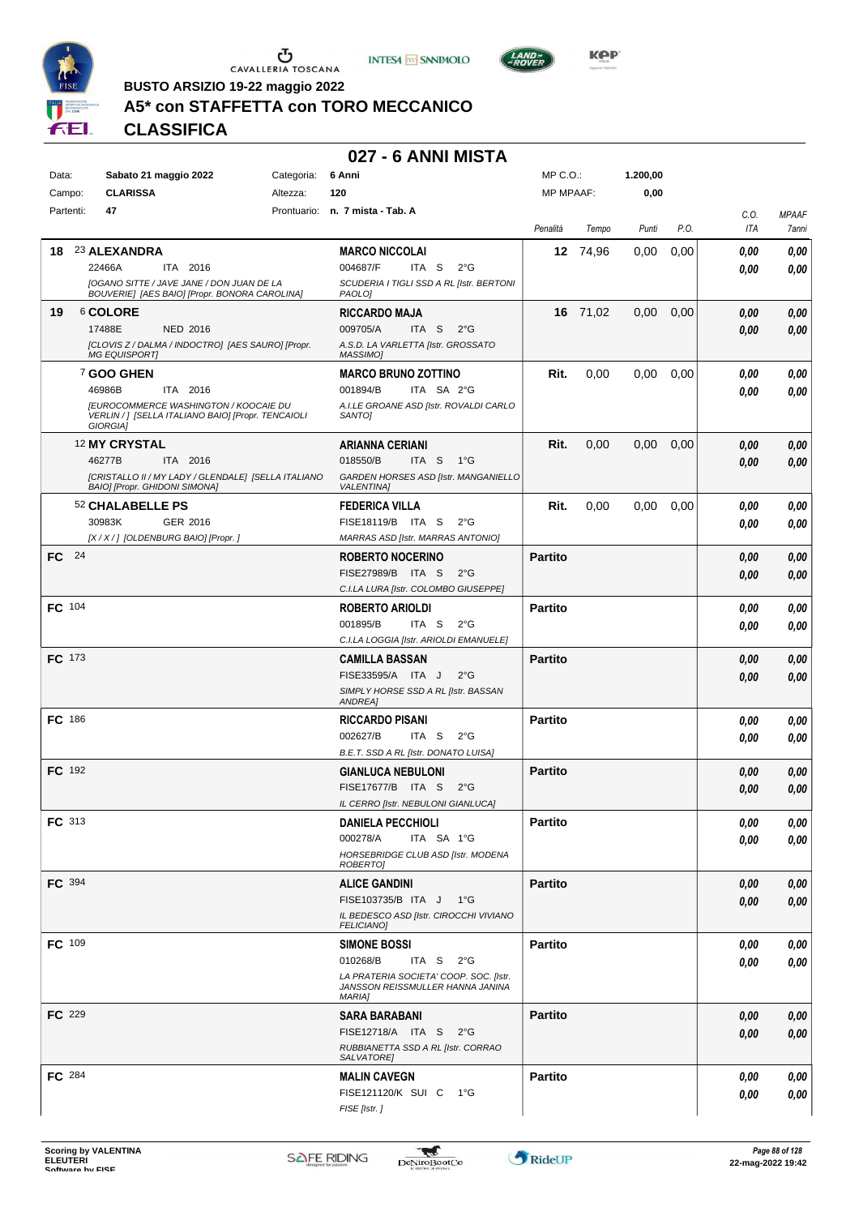





**Kep** 

**BUSTO ARSIZIO 19-22 maggio 2022**

## **A5\* con STAFFETTA con TORO MECCANICO**

**CLASSIFICA**

#### **027 - 6 ANNI MISTA**

| Data:         | Sabato 21 maggio 2022         |                                                                                                    | Categoria: | 6 Anni                                                    | $MP C. O.$ :     |          | 1.200,00 |      |      |              |
|---------------|-------------------------------|----------------------------------------------------------------------------------------------------|------------|-----------------------------------------------------------|------------------|----------|----------|------|------|--------------|
| Campo:        | <b>CLARISSA</b>               |                                                                                                    | Altezza:   | 120                                                       | <b>MP MPAAF:</b> |          | 0,00     |      |      |              |
| Partenti:     | 47                            |                                                                                                    |            | Prontuario: n. 7 mista - Tab. A                           |                  |          |          |      | C.O. | <b>MPAAF</b> |
|               |                               |                                                                                                    |            |                                                           | Penalità         | Tempo    | Punti    | P.O. | ITA  | 7anni        |
| 18.           | 23 ALEXANDRA                  |                                                                                                    |            | <b>MARCO NICCOLAI</b>                                     |                  | 12 74,96 | 0,00     | 0,00 | 0,00 | 0,00         |
|               | 22466A                        | ITA 2016                                                                                           |            | 004687/F<br>ITA S<br>$2^{\circ}$ G                        |                  |          |          |      | 0,00 | 0,00         |
|               |                               | [OGANO SITTE / JAVE JANE / DON JUAN DE LA<br>BOUVERIE] [AES BAIO] [Propr. BONORA CAROLINA]         |            | SCUDERIA I TIGLI SSD A RL [Istr. BERTONI<br>PAOLO]        |                  |          |          |      |      |              |
| 19            | 6 COLORE                      |                                                                                                    |            | <b>RICCARDO MAJA</b>                                      |                  | 16 71,02 | 0,00     | 0,00 | 0,00 | 0,00         |
|               | 17488E                        | NED 2016                                                                                           |            | 009705/A<br>ITA S<br>$2^{\circ}G$                         |                  |          |          |      | 0,00 | 0,00         |
|               | <b>MG EQUISPORT]</b>          | [CLOVIS Z / DALMA / INDOCTRO] [AES SAURO] [Propr.                                                  |            | A.S.D. LA VARLETTA [Istr. GROSSATO<br>MASSIMO]            |                  |          |          |      |      |              |
|               | 7 GOO GHEN                    |                                                                                                    |            | <b>MARCO BRUNO ZOTTINO</b>                                | Rit.             | 0,00     | 0,00     | 0,00 | 0.00 | 0,00         |
|               | 46986B                        | ITA 2016                                                                                           |            | 001894/B<br>ITA SA 2°G                                    |                  |          |          |      | 0.00 | 0,00         |
|               | GIORGIA]                      | <b>IEUROCOMMERCE WASHINGTON / KOOCAIE DU</b><br>VERLIN / ] [SELLA ITALIANO BAIO] [Propr. TENCAIOLI |            | A.I.LE GROANE ASD [Istr. ROVALDI CARLO<br>SANTO]          |                  |          |          |      |      |              |
|               | <sup>12</sup> MY CRYSTAL      |                                                                                                    |            | <b>ARIANNA CERIANI</b>                                    | Rit.             | 0,00     | 0,00     | 0,00 | 0,00 | 0,00         |
|               | 46277B                        | ITA 2016                                                                                           |            | 018550/B<br>ITA S 1°G                                     |                  |          |          |      | 0,00 | 0,00         |
|               | BAIO] [Propr. GHIDONI SIMONA] | [CRISTALLO II / MY LADY / GLENDALE] [SELLA ITALIANO                                                |            | GARDEN HORSES ASD [Istr. MANGANIELLO<br><b>VALENTINA</b>  |                  |          |          |      |      |              |
|               | 52 CHALABELLE PS              |                                                                                                    |            | <b>FEDERICA VILLA</b>                                     | Rit.             | 0,00     | 0,00     | 0,00 | 0.00 | 0,00         |
|               | 30983K                        | GER 2016                                                                                           |            | FISE18119/B ITA S<br>$2^{\circ}$ G                        |                  |          |          |      | 0,00 | 0,00         |
|               |                               | [X / X / ] [OLDENBURG BAIO] [Propr. ]                                                              |            | MARRAS ASD [Istr. MARRAS ANTONIO]                         |                  |          |          |      |      |              |
| FC 24         |                               |                                                                                                    |            | <b>ROBERTO NOCERINO</b>                                   | <b>Partito</b>   |          |          |      | 0,00 | 0,00         |
|               |                               |                                                                                                    |            | FISE27989/B ITA S<br>$2^{\circ}$ G                        |                  |          |          |      | 0,00 | 0,00         |
|               |                               |                                                                                                    |            | C.I.LA LURA [Istr. COLOMBO GIUSEPPE]                      |                  |          |          |      |      |              |
| FC 104        |                               |                                                                                                    |            | <b>ROBERTO ARIOLDI</b>                                    | <b>Partito</b>   |          |          |      | 0,00 | $\it 0,00$   |
|               |                               |                                                                                                    |            | 001895/B<br>ITA S<br>$2^{\circ}$ G                        |                  |          |          |      | 0.00 | 0,00         |
|               |                               |                                                                                                    |            | C.I.LA LOGGIA [Istr. ARIOLDI EMANUELE]                    |                  |          |          |      |      |              |
| <b>FC</b> 173 |                               |                                                                                                    |            | <b>CAMILLA BASSAN</b>                                     | <b>Partito</b>   |          |          |      | 0,00 | 0,00         |
|               |                               |                                                                                                    |            | FISE33595/A ITA J<br>$2^{\circ}$ G                        |                  |          |          |      | 0,00 | 0,00         |
|               |                               |                                                                                                    |            | SIMPLY HORSE SSD A RL [Istr. BASSAN<br>ANDREA]            |                  |          |          |      |      |              |
| FC 186        |                               |                                                                                                    |            | <b>RICCARDO PISANI</b>                                    | <b>Partito</b>   |          |          |      | 0.00 | 0,00         |
|               |                               |                                                                                                    |            | 002627/B<br>ITA S<br>$2^{\circ}$ G                        |                  |          |          |      | 0.00 | 0,00         |
|               |                               |                                                                                                    |            | B.E.T. SSD A RL [Istr. DONATO LUISA]                      |                  |          |          |      |      |              |
| <b>FC</b> 192 |                               |                                                                                                    |            | <b>GIANLUCA NEBULONI</b>                                  | <b>Partito</b>   |          |          |      | 0,00 | 0,00         |
|               |                               |                                                                                                    |            | FISE17677/B ITA S<br>$2^{\circ}$ G                        |                  |          |          |      | 0,00 | 0,00         |
|               |                               |                                                                                                    |            | IL CERRO [Istr. NEBULONI GIANLUCA]                        |                  |          |          |      |      |              |
| FC 313        |                               |                                                                                                    |            | <b>UANIELA PECCHIOLI</b>                                  | <b>Partito</b>   |          |          |      | 0,00 | 0,00         |
|               |                               |                                                                                                    |            | 000278/A<br>ITA SA 1°G                                    |                  |          |          |      | 0,00 | 0,00         |
|               |                               |                                                                                                    |            | HORSEBRIDGE CLUB ASD [Istr. MODENA<br>ROBERTO]            |                  |          |          |      |      |              |
| FC 394        |                               |                                                                                                    |            | <b>ALICE GANDINI</b>                                      | <b>Partito</b>   |          |          |      | 0,00 | 0,00         |
|               |                               |                                                                                                    |            | FISE103735/B ITA J 1°G                                    |                  |          |          |      | 0,00 | 0,00         |
|               |                               |                                                                                                    |            | IL BEDESCO ASD [Istr. CIROCCHI VIVIANO                    |                  |          |          |      |      |              |
|               |                               |                                                                                                    |            | <b>FELICIANO]</b>                                         |                  |          |          |      |      |              |
| <b>FC</b> 109 |                               |                                                                                                    |            | <b>SIMONE BOSSI</b><br>010268/B<br>ITA S<br>$2^{\circ}$ G | <b>Partito</b>   |          |          |      | 0,00 | 0,00         |
|               |                               |                                                                                                    |            | LA PRATERIA SOCIETA' COOP. SOC. [Istr.                    |                  |          |          |      | 0,00 | 0,00         |
|               |                               |                                                                                                    |            | JANSSON REISSMULLER HANNA JANINA<br><b>MARIA]</b>         |                  |          |          |      |      |              |
| <b>FC</b> 229 |                               |                                                                                                    |            | <b>SARA BARABANI</b>                                      | <b>Partito</b>   |          |          |      | 0,00 | 0,00         |
|               |                               |                                                                                                    |            | FISE12718/A ITA S 2°G                                     |                  |          |          |      | 0,00 | 0,00         |
|               |                               |                                                                                                    |            | RUBBIANETTA SSD A RL [Istr. CORRAO<br>SALVATORE]          |                  |          |          |      |      |              |
| <b>FC</b> 284 |                               |                                                                                                    |            | <b>MALIN CAVEGN</b>                                       | <b>Partito</b>   |          |          |      | 0,00 | 0,00         |
|               |                               |                                                                                                    |            | FISE121120/K SUI C 1°G                                    |                  |          |          |      | 0.00 | 0,00         |
|               |                               |                                                                                                    |            | FISE [Istr.]                                              |                  |          |          |      |      |              |
|               |                               |                                                                                                    |            |                                                           |                  |          |          |      |      |              |

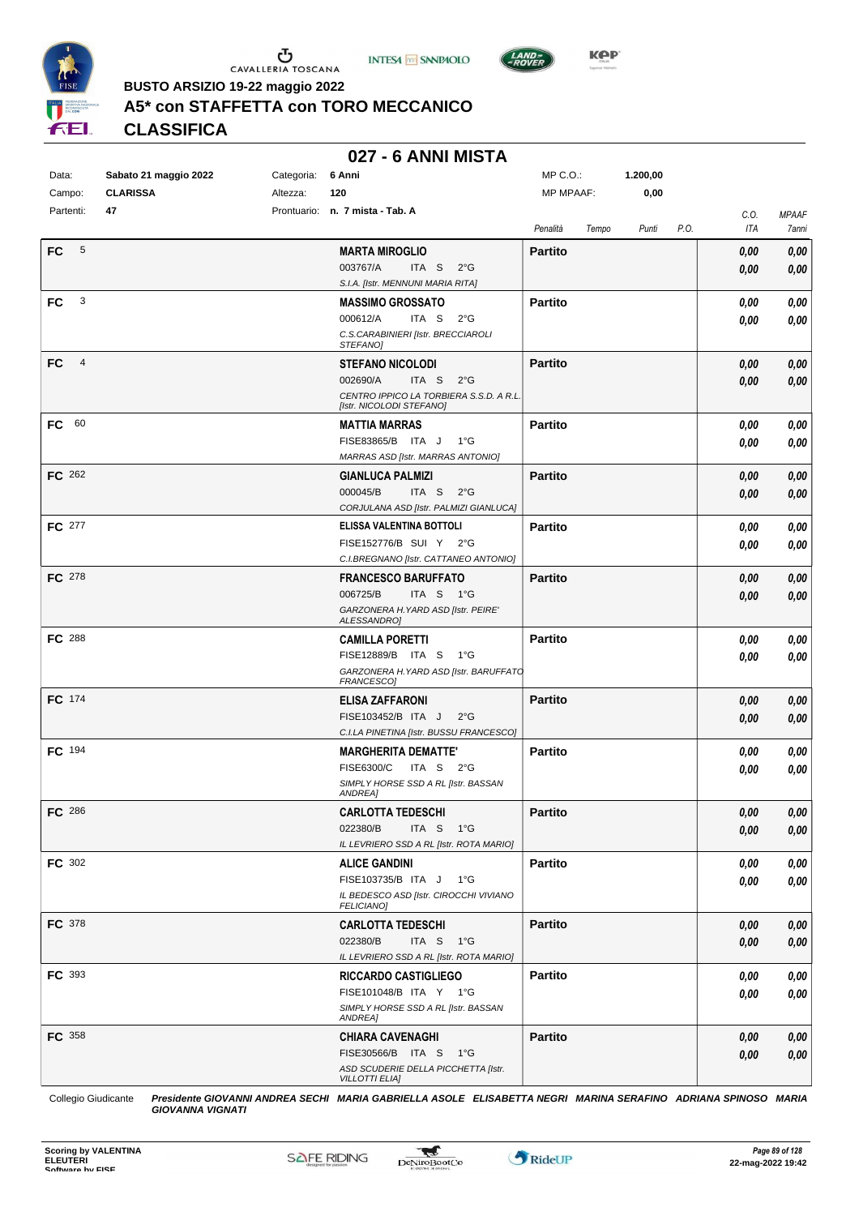





**Kep** 

 $MDCO.$ 

**BUSTO ARSIZIO 19-22 maggio 2022**

## **A5\* con STAFFETTA con TORO MECCANICO**

**CLASSIFICA**

### **027 - 6 ANNI MISTA**

| Data:                 | Sabato 21 maggio 2022 | Categoria: | 6 Anni                                                                 | MP C.O.:         |       | 1.200,00 |      |      |              |
|-----------------------|-----------------------|------------|------------------------------------------------------------------------|------------------|-------|----------|------|------|--------------|
| Campo:                | <b>CLARISSA</b>       | Altezza:   | 120                                                                    | <b>MP MPAAF:</b> |       | 0,00     |      |      |              |
| Partenti:             | 47                    |            | Prontuario: n. 7 mista - Tab. A                                        |                  |       |          |      | C.O. | <b>MPAAF</b> |
|                       |                       |            |                                                                        | Penalità         | Tempo | Punti    | P.O. | ITA  | 7anni        |
| FC.<br>5              |                       |            | <b>MARTA MIROGLIO</b>                                                  | <b>Partito</b>   |       |          |      | 0,00 | 0,00         |
|                       |                       |            | 003767/A<br>ITA S<br>$2^{\circ}$ G                                     |                  |       |          |      | 0,00 | 0,00         |
|                       |                       |            | S.I.A. [Istr. MENNUNI MARIA RITA]                                      |                  |       |          |      |      |              |
| 3<br>FC               |                       |            | <b>MASSIMO GROSSATO</b>                                                | <b>Partito</b>   |       |          |      | 0,00 | 0,00         |
|                       |                       |            | 000612/A<br>ITA S<br>2°G                                               |                  |       |          |      | 0,00 | 0,00         |
|                       |                       |            | C.S.CARABINIERI [Istr. BRECCIAROLI<br>STEFANOJ                         |                  |       |          |      |      |              |
| FC.<br>$\overline{4}$ |                       |            | <b>STEFANO NICOLODI</b>                                                | <b>Partito</b>   |       |          |      | 0,00 | 0,00         |
|                       |                       |            | 002690/A<br>ITA S $2^{\circ}G$                                         |                  |       |          |      | 0,00 | 0,00         |
|                       |                       |            | CENTRO IPPICO LA TORBIERA S.S.D. A R.L.                                |                  |       |          |      |      |              |
|                       |                       |            | [Istr. NICOLODI STEFANO]                                               |                  |       |          |      |      |              |
| FC 60                 |                       |            | <b>MATTIA MARRAS</b>                                                   | Partito          |       |          |      | 0,00 | 0,00         |
|                       |                       |            | FISE83865/B ITA J<br>− 1°G<br><b>MARRAS ASD [Istr. MARRAS ANTONIO]</b> |                  |       |          |      | 0,00 | 0,00         |
| FC 262                |                       |            | <b>GIANLUCA PALMIZI</b>                                                | <b>Partito</b>   |       |          |      | 0,00 | 0,00         |
|                       |                       |            | 000045/B<br>ITA S $2^{\circ}G$                                         |                  |       |          |      | 0,00 | 0,00         |
|                       |                       |            | CORJULANA ASD [Istr. PALMIZI GIANLUCA]                                 |                  |       |          |      |      |              |
| FC 277                |                       |            | ELISSA VALENTINA BOTTOLI                                               | <b>Partito</b>   |       |          |      | 0,00 | 0,00         |
|                       |                       |            | FISE152776/B SUI Y 2°G                                                 |                  |       |          |      | 0,00 | 0,00         |
|                       |                       |            | C.I.BREGNANO [Istr. CATTANEO ANTONIO]                                  |                  |       |          |      |      |              |
| FC 278                |                       |            | <b>FRANCESCO BARUFFATO</b>                                             | <b>Partito</b>   |       |          |      | 0,00 | 0,00         |
|                       |                       |            | 006725/B<br>ITA S $1^{\circ}$ G                                        |                  |       |          |      | 0,00 | 0,00         |
|                       |                       |            | GARZONERA H. YARD ASD [Istr. PEIRE'<br>ALESSANDRO]                     |                  |       |          |      |      |              |
| <b>FC</b> 288         |                       |            | <b>CAMILLA PORETTI</b>                                                 | Partito          |       |          |      | 0,00 | 0,00         |
|                       |                       |            | FISE12889/B ITA S 1°G                                                  |                  |       |          |      | 0,00 | 0,00         |
|                       |                       |            | GARZONERA H. YARD ASD [Istr. BARUFFATO<br>FRANCESCO]                   |                  |       |          |      |      |              |
| FC 174                |                       |            | <b>ELISA ZAFFARONI</b>                                                 | <b>Partito</b>   |       |          |      | 0,00 | 0,00         |
|                       |                       |            | FISE103452/B ITA J<br>$2^{\circ}$ G                                    |                  |       |          |      | 0,00 | 0,00         |
|                       |                       |            | C.I.LA PINETINA [Istr. BUSSU FRANCESCO]                                |                  |       |          |      |      |              |
| FC 194                |                       |            | <b>MARGHERITA DEMATTE'</b>                                             | <b>Partito</b>   |       |          |      | 0,00 | 0,00         |
|                       |                       |            | FISE6300/C<br>ITA S $2^{\circ}G$                                       |                  |       |          |      | 0.00 | 0,00         |
|                       |                       |            | SIMPLY HORSE SSD A RL [Istr. BASSAN<br>ANDREA]                         |                  |       |          |      |      |              |
| <b>FC</b> 286         |                       |            | <b>CARLOTTA TEDESCHI</b>                                               | Partito          |       |          |      | 0,00 | $\it 0,00$   |
|                       |                       |            | 022380/B<br>ITA S $1^{\circ}$ G                                        |                  |       |          |      | 0,00 | 0,00         |
|                       |                       |            | IL LEVRIERO SSD A RL [Istr. ROTA MARIO]                                |                  |       |          |      |      |              |
| <b>FC</b> 302         |                       |            | <b>ALICE GANDINI</b>                                                   | <b>Partito</b>   |       |          |      | 0,00 | 0,00         |
|                       |                       |            | FISE103735/B ITA J 1°G                                                 |                  |       |          |      | 0,00 | 0,00         |
|                       |                       |            | IL BEDESCO ASD [Istr. CIROCCHI VIVIANO<br>FELICIANO]                   |                  |       |          |      |      |              |
| FC 378                |                       |            | <b>CARLOTTA TEDESCHI</b>                                               | <b>Partito</b>   |       |          |      | 0,00 | 0,00         |
|                       |                       |            | 022380/B<br>ITA S 1°G                                                  |                  |       |          |      | 0,00 | 0,00         |
|                       |                       |            | IL LEVRIERO SSD A RL [Istr. ROTA MARIO]                                |                  |       |          |      |      |              |
| FC 393                |                       |            | <b>RICCARDO CASTIGLIEGO</b>                                            | <b>Partito</b>   |       |          |      | 0,00 | 0,00         |
|                       |                       |            | FISE101048/B ITA Y 1°G                                                 |                  |       |          |      | 0,00 | 0,00         |
|                       |                       |            | SIMPLY HORSE SSD A RL [Istr. BASSAN<br>ANDREA]                         |                  |       |          |      |      |              |
| <b>FC</b> 358         |                       |            | <b>CHIARA CAVENAGHI</b>                                                | <b>Partito</b>   |       |          |      | 0,00 | 0,00         |
|                       |                       |            | FISE30566/B ITA S 1°G                                                  |                  |       |          |      | 0,00 | 0,00         |
|                       |                       |            | ASD SCUDERIE DELLA PICCHETTA [Istr.                                    |                  |       |          |      |      |              |
|                       |                       |            | <b>VILLOTTI ELIA]</b>                                                  |                  |       |          |      |      |              |

Collegio Giudicante *Presidente GIOVANNI ANDREA SECHI MARIA GABRIELLA ASOLE ELISABETTA NEGRI MARINA SERAFINO ADRIANA SPINOSO MARIA GIOVANNA VIGNATI*

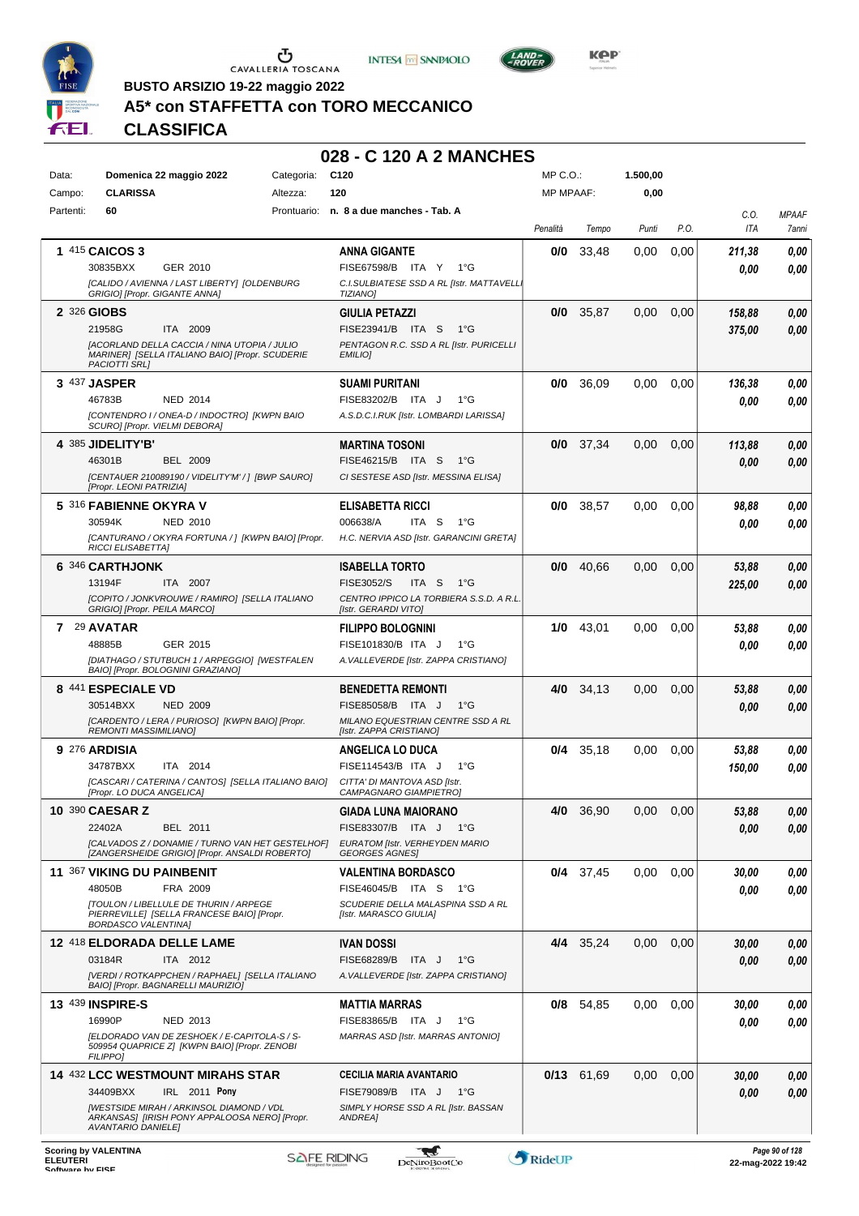





 $L$ AND<sub>=</sub>

**BUSTO ARSIZIO 19-22 maggio 2022**

### **A5\* con STAFFETTA con TORO MECCANICO**

**CLASSIFICA**

| Data:     | Domenica 22 maggio 2022                                                                                                   | Categoria:  | C <sub>120</sub>                                                | MP C. O.         |             | 1.500,00 |      |             |                       |
|-----------|---------------------------------------------------------------------------------------------------------------------------|-------------|-----------------------------------------------------------------|------------------|-------------|----------|------|-------------|-----------------------|
| Campo:    | <b>CLARISSA</b>                                                                                                           | Altezza:    | 120                                                             | <b>MP MPAAF:</b> |             | 0,00     |      |             |                       |
| Partenti: | 60                                                                                                                        | Prontuario: | n. 8 a due manches - Tab. A                                     | Penalità         | Tempo       | Punti    | P.O. | C.O.<br>ITA | <b>MPAAF</b><br>7anni |
|           | <b>1 415 CAICOS 3</b>                                                                                                     |             | <b>ANNA GIGANTE</b>                                             | 0/0              | 33,48       | 0.00     | 0,00 | 211,38      | 0,00                  |
|           | GER 2010<br>30835BXX                                                                                                      |             | FISE67598/B ITA Y<br>1°G                                        |                  |             |          |      | 0.00        | 0,00                  |
|           | [CALIDO / AVIENNA / LAST LIBERTY] [OLDENBURG<br>GRIGIO] [Propr. GIGANTE ANNA]                                             |             | C.I.SULBIATESE SSD A RL [Istr. MATTAVELL<br><b>TIZIANO]</b>     |                  |             |          |      |             |                       |
|           | 2 326 GIOBS                                                                                                               |             | <b>GIULIA PETAZZI</b>                                           | 0/0              | 35,87       | 0,00     | 0,00 | 158,88      | 0,00                  |
|           | 21958G<br>ITA 2009                                                                                                        |             | FISE23941/B ITA S<br>1°G                                        |                  |             |          |      | 375,00      | 0,00                  |
|           | [ACORLAND DELLA CACCIA / NINA UTOPIA / JULIO<br>MARINER] [SELLA ITALIANO BAIO] [Propr. SCUDERIE<br><b>PACIOTTI SRLI</b>   |             | PENTAGON R.C. SSD A RL [Istr. PURICELLI<br><b>EMILIO]</b>       |                  |             |          |      |             |                       |
|           | 3 437 JASPER                                                                                                              |             | <b>SUAMI PURITANI</b>                                           | 0/0              | 36,09       | 0,00     | 0,00 | 136,38      | 0,00                  |
|           | 46783B<br><b>NED 2014</b>                                                                                                 |             | FISE83202/B ITA J<br>$1^{\circ}G$                               |                  |             |          |      | 0.00        | 0,00                  |
|           | [CONTENDRO I / ONEA-D / INDOCTRO] [KWPN BAIO<br>SCURO] [Propr. VIELMI DEBORA]                                             |             | A.S.D.C.I.RUK [Istr. LOMBARDI LARISSA]                          |                  |             |          |      |             |                       |
|           | 4 385 JIDELITY'B'                                                                                                         |             | <b>MARTINA TOSONI</b>                                           | 0/0              | 37,34       | 0,00     | 0,00 | 113,88      | 0,00                  |
|           | 46301B<br><b>BEL 2009</b>                                                                                                 |             | FISE46215/B ITA S<br>$1^{\circ}G$                               |                  |             |          |      | 0,00        | 0,00                  |
|           | [CENTAUER 210089190 / VIDELITY'M' /] [BWP SAURO]<br>[Propr. LEONI PATRIZIA]                                               |             | CI SESTESE ASD [Istr. MESSINA ELISA]                            |                  |             |          |      |             |                       |
|           | 5 316 FABIENNE OKYRA V                                                                                                    |             | <b>ELISABETTA RICCI</b>                                         | 0/0              | 38.57       | 0.00     | 0.00 | 98,88       | 0,00                  |
|           | 30594K<br><b>NED 2010</b>                                                                                                 |             | 006638/A<br>ITA S<br>$1^{\circ}G$                               |                  |             |          |      | 0.00        | 0,00                  |
|           | [CANTURANO / OKYRA FORTUNA / ] [KWPN BAIO] [Propr.<br><b>RICCI ELISABETTAI</b>                                            |             | H.C. NERVIA ASD [Istr. GARANCINI GRETA]                         |                  |             |          |      |             |                       |
|           | 6 346 CARTHJONK                                                                                                           |             | <b>ISABELLA TORTO</b>                                           | 0/0              | 40,66       | 0,00     | 0,00 | 53,88       | 0,00                  |
|           | 13194F<br>ITA 2007                                                                                                        |             | FISE3052/S<br>ITA S<br>1°G                                      |                  |             |          |      | 225,00      | 0,00                  |
|           | [COPITO / JONKVROUWE / RAMIRO] [SELLA ITALIANO<br>GRIGIO] [Propr. PEILA MARCO]                                            |             | CENTRO IPPICO LA TORBIERA S.S.D. A R.L.<br>[Istr. GERARDI VITO] |                  |             |          |      |             |                       |
|           | 7 29 AVATAR                                                                                                               |             | <b>FILIPPO BOLOGNINI</b>                                        | 1/0              | 43,01       | 0,00     | 0,00 | 53,88       | 0,00                  |
|           | GER 2015<br>48885B                                                                                                        |             | $1^{\circ}G$<br>FISE101830/B ITA J                              |                  |             |          |      | 0.00        | 0,00                  |
|           | [DIATHAGO / STUTBUCH 1 / ARPEGGIO] [WESTFALEN<br>BAIO] [Propr. BOLOGNINI GRAZIANO]                                        |             | A. VALLEVERDE [Istr. ZAPPA CRISTIANO]                           |                  |             |          |      |             |                       |
|           | <b>8 441 ESPECIALE VD</b>                                                                                                 |             | BENEDETTA REMONTI                                               | 4/0              | 34,13       | 0,00     | 0,00 | 53,88       | 0,00                  |
|           | 30514BXX<br><b>NED 2009</b>                                                                                               |             | FISE85058/B ITA J<br>$1^{\circ}G$                               |                  |             |          |      | 0,00        | 0,00                  |
|           | [CARDENTO / LERA / PURIOSO] [KWPN BAIO] [Propr.<br><b>REMONTI MASSIMILIANO]</b>                                           |             | MILANO EQUESTRIAN CENTRE SSD A RL<br>[Istr. ZAPPA CRISTIANO]    |                  |             |          |      |             |                       |
|           | <b>9 276 ARDISIA</b>                                                                                                      |             | ANGELICA LO DUCA                                                | 0/4              | 35,18       | 0.00     | 0,00 | 53,88       | 0,00                  |
|           | 34787BXX<br>ITA 2014                                                                                                      |             | FISE114543/B ITA J<br>$1^{\circ}G$                              |                  |             |          |      | 150,00      | 0,00                  |
|           | [CASCARI / CATERINA / CANTOS] [SELLA ITALIANO BAIO]<br>[Propr. LO DUCA ANGELICA]                                          |             | CITTA' DI MANTOVA ASD [Istr.<br>CAMPAGNARO GIAMPIETROI          |                  |             |          |      |             |                       |
|           | 10 390 CAESAR Z                                                                                                           |             | <b>GIADA LUNA MAIORANO</b>                                      | 4/0              | 36,90       | 0,00     | 0,00 | 53.88       | 0.00                  |
|           | BEL 2011<br>22402A                                                                                                        |             | FISE83307/B ITA J 1°G                                           |                  |             |          |      | 0,00        | 0,00                  |
|           | [CALVADOS Z / DONAMIE / TURNO VAN HET GESTELHOF]<br>[ZANGERSHEIDE GRIGIO] [Propr. ANSALDI ROBERTO]                        |             | EURATOM [Istr. VERHEYDEN MARIO<br><b>GEORGES AGNES</b>          |                  |             |          |      |             |                       |
|           | 11 367 VIKING DU PAINBENIT                                                                                                |             | <b>VALENTINA BORDASCO</b>                                       |                  | $0/4$ 37.45 | 0,00     | 0.00 | 30,00       | 0,00                  |
|           | 48050B<br>FRA 2009                                                                                                        |             | FISE46045/B ITA S 1°G                                           |                  |             |          |      | 0.00        | 0,00                  |
|           | <b>[TOULON / LIBELLULE DE THURIN / ARPEGE</b><br>PIERREVILLE] [SELLA FRANCESE BAIO] [Propr.<br><b>BORDASCO VALENTINA]</b> |             | SCUDERIE DELLA MALASPINA SSD A RL<br>[Istr. MARASCO GIULIA]     |                  |             |          |      |             |                       |
|           | 12 418 ELDORADA DELLE LAME                                                                                                |             | <b>IVAN DOSSI</b>                                               |                  | 4/4 35.24   | 0,00     | 0,00 | 30,00       | 0,00                  |
|           | 03184R<br>ITA 2012                                                                                                        |             | FISE68289/B ITA J<br>1°G                                        |                  |             |          |      | 0,00        | 0,00                  |
|           | [VERDI / ROTKAPPCHEN / RAPHAEL] [SELLA ITALIANO<br>BAIO] [Propr. BAGNARELLI MAURIZIO]                                     |             | A. VALLEVERDE [Istr. ZAPPA CRISTIANO]                           |                  |             |          |      |             |                       |
|           | <b>13 439 INSPIRE-S</b>                                                                                                   |             | <b>MATTIA MARRAS</b>                                            |                  | $0/8$ 54,85 | 0.00     | 0.00 | 30,00       | 0,00                  |
|           | 16990P<br>NED 2013                                                                                                        |             | FISE83865/B ITA J<br>1°G                                        |                  |             |          |      | 0,00        | 0,00                  |
|           | [ELDORADO VAN DE ZESHOEK / E-CAPITOLA-S / S-<br>509954 QUAPRICE Z] [KWPN BAIO] [Propr. ZENOBI<br><b>FILIPPO]</b>          |             | MARRAS ASD [Istr. MARRAS ANTONIO]                               |                  |             |          |      |             |                       |
|           | <b>14 432 LCC WESTMOUNT MIRAHS STAR</b>                                                                                   |             | <b>CECILIA MARIA AVANTARIO</b>                                  |                  | 0/13 61,69  | 0.00     | 0,00 | 30,00       | 0,00                  |
|           | IRL 2011 Pony<br>34409BXX                                                                                                 |             | FISE79089/B ITA J 1°G                                           |                  |             |          |      | 0.00        | 0,00                  |
|           | [WESTSIDE MIRAH / ARKINSOL DIAMOND / VDL<br>ARKANSAS] [IRISH PONY APPALOOSA NERO] [Propr.<br><b>AVANTARIO DANIELEI</b>    |             | SIMPLY HORSE SSD A RL [Istr. BASSAN<br>ANDREA]                  |                  |             |          |      |             |                       |
|           |                                                                                                                           |             |                                                                 |                  |             |          |      |             |                       |

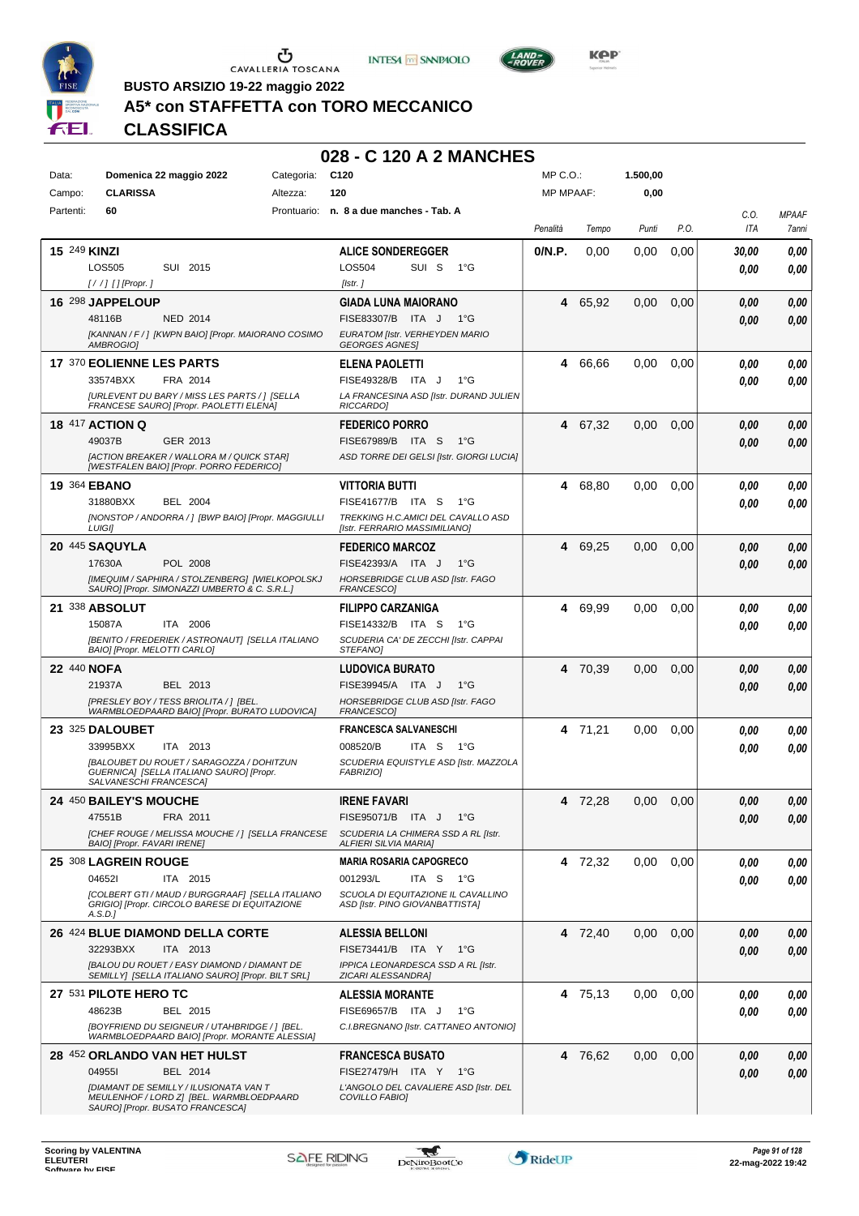





**BUSTO ARSIZIO 19-22 maggio 2022**

## **A5\* con STAFFETTA con TORO MECCANICO**

**CLASSIFICA**

| Data:     | Domenica 22 maggio 2022                                                                                 | Categoria:  | C <sub>120</sub>                                                             | MP C.O.:         |         | 1.500,00 |      |              |                       |
|-----------|---------------------------------------------------------------------------------------------------------|-------------|------------------------------------------------------------------------------|------------------|---------|----------|------|--------------|-----------------------|
| Campo:    | <b>CLARISSA</b>                                                                                         | Altezza:    | 120                                                                          | <b>MP MPAAF:</b> |         | 0,00     |      |              |                       |
| Partenti: | 60                                                                                                      | Prontuario: | n. 8 a due manches - Tab. A                                                  | Penalità         | Tempo   | Punti    | P.O. | C.O.<br>ITA  | <b>MPAAF</b><br>7anni |
|           | <b>15 249 KINZI</b>                                                                                     |             | <b>ALICE SONDEREGGER</b>                                                     | 0/N.P.           | 0.00    | 0.00     | 0,00 | 30,00        | 0,00                  |
|           | <b>LOS505</b><br>SUI 2015                                                                               |             | <b>LOS504</b><br>SUI S<br>$1^{\circ}G$                                       |                  |         |          |      | 0.00         | 0,00                  |
|           | [//] [] [Propr. ]                                                                                       |             | [Istr.]                                                                      |                  |         |          |      |              |                       |
|           | 16 298 JAPPELOUP                                                                                        |             | <b>GIADA LUNA MAIORANO</b><br>FISE83307/B ITA J<br>1°G                       | 4                | 65,92   | 0,00     | 0,00 | 0,00         | 0,00                  |
|           | 48116B<br><b>NED 2014</b><br>[KANNAN / F / ] [KWPN BAIO] [Propr. MAIORANO COSIMO                        |             | EURATOM [Istr. VERHEYDEN MARIO                                               |                  |         |          |      | 0.00         | 0,00                  |
|           | AMBROGIO]                                                                                               |             | <b>GEORGES AGNES</b>                                                         |                  |         |          |      |              |                       |
|           | 17 370 EOLIENNE LES PARTS                                                                               |             | <b>ELENA PAOLETTI</b>                                                        | 4                | 66,66   | 0,00     | 0,00 | 0,00         | 0,00                  |
|           | 33574BXX<br>FRA 2014<br><b>IURLEVENT DU BARY / MISS LES PARTS / 1 [SELLA</b>                            |             | FISE49328/B ITA J<br>$1^{\circ}G$                                            |                  |         |          |      | 0.00         | 0,00                  |
|           | FRANCESE SAURO] [Propr. PAOLETTI ELENA]                                                                 |             | LA FRANCESINA ASD [Istr. DURAND JULIEN<br>RICCARDO]                          |                  |         |          |      |              |                       |
|           | <b>18 417 ACTION Q</b>                                                                                  |             | <b>FEDERICO PORRO</b>                                                        | 4                | 67,32   | 0,00     | 0,00 | 0.00         | 0,00                  |
|           | 49037B<br>GER 2013                                                                                      |             | FISE67989/B ITA S<br>$1^{\circ}G$                                            |                  |         |          |      | 0.00         | 0,00                  |
|           | [ACTION BREAKER / WALLORA M / QUICK STAR]<br>[WESTFALEN BAIO] [Propr. PORRO FEDERICO]                   |             | ASD TORRE DEI GELSI [Istr. GIORGI LUCIA]                                     |                  |         |          |      |              |                       |
|           | 19 364 EBANO                                                                                            |             | <b>VITTORIA BUTTI</b>                                                        | 4                | 68,80   | 0,00     | 0.00 | 0.00         | 0,00                  |
|           | 31880BXX<br><b>BEL 2004</b>                                                                             |             | FISE41677/B ITA S<br>1°G                                                     |                  |         |          |      | 0.00         | 0,00                  |
|           | [NONSTOP / ANDORRA / ] [BWP BAIO] [Propr. MAGGIULLI<br><b>LUIGII</b>                                    |             | TREKKING H.C.AMICI DEL CAVALLO ASD<br>[Istr. FERRARIO MASSIMILIANO]          |                  |         |          |      |              |                       |
|           | 20 445 SAQUYLA                                                                                          |             | <b>FEDERICO MARCOZ</b>                                                       | 4                | 69,25   | 0,00     | 0,00 | 0,00         | 0,00                  |
|           | 17630A<br>POL 2008                                                                                      |             | FISE42393/A ITA J<br>$1^{\circ}G$                                            |                  |         |          |      | 0.00         | 0,00                  |
|           | [IMEQUIM / SAPHIRA / STOLZENBERG] [WIELKOPOLSKJ<br>SAURO] [Propr. SIMONAZZI UMBERTO & C. S.R.L.]        |             | HORSEBRIDGE CLUB ASD [Istr. FAGO<br>FRANCESCO]                               |                  |         |          |      |              |                       |
|           | 21 338 ABSOLUT                                                                                          |             | <b>FILIPPO CARZANIGA</b>                                                     | 4                | 69,99   | 0,00     | 0,00 | 0,00         | 0,00                  |
|           | 15087A<br>ITA 2006                                                                                      |             | FISE14332/B ITA S<br>$1^{\circ}G$                                            |                  |         |          |      | 0.00         | 0.00                  |
|           | [BENITO / FREDERIEK / ASTRONAUT] [SELLA ITALIANO                                                        |             | SCUDERIA CA' DE ZECCHI [Istr. CAPPAI                                         |                  |         |          |      |              |                       |
|           | BAIO] [Propr. MELOTTI CARLO]                                                                            |             | STEFANO]                                                                     |                  |         |          |      |              |                       |
|           | 22 440 NOFA<br>21937A<br>BEL 2013                                                                       |             | <b>LUDOVICA BURATO</b><br>FISE39945/A ITA J<br>$1^{\circ}$ G                 | 4                | 70,39   | 0,00     | 0,00 | 0,00         | 0,00                  |
|           | [PRESLEY BOY / TESS BRIOLITA / ] [BEL.                                                                  |             | HORSEBRIDGE CLUB ASD [Istr. FAGO                                             |                  |         |          |      | 0,00         | 0,00                  |
|           | WARMBLOEDPAARD BAIO] [Propr. BURATO LUDOVICA]                                                           |             | FRANCESCO]                                                                   |                  |         |          |      |              |                       |
|           | 23 325 DALOUBET                                                                                         |             | <b>FRANCESCA SALVANESCHI</b>                                                 |                  | 4 71,21 | 0,00     | 0,00 | 0,00         | 0,00                  |
|           | 33995BXX<br>ITA 2013<br>[BALOUBET DU ROUET / SARAGOZZA / DOHITZUN                                       |             | ITA <sub>S</sub><br>008520/B<br>1°G<br>SCUDERIA EQUISTYLE ASD [Istr. MAZZOLA |                  |         |          |      | 0.00         | 0,00                  |
|           | GUERNICA] [SELLA ITALIANO SAURO] [Propr.<br>SALVANESCHI FRANCESCA]                                      |             | <b>FABRIZIOI</b>                                                             |                  |         |          |      |              |                       |
|           | <b>24 450 BAILEY'S MOUCHE</b>                                                                           |             | <b>IRENE FAVARI</b>                                                          |                  | 4 72,28 | 0,00     | 0,00 | 0,00         | 0,00                  |
|           | 47551B FRA 2011                                                                                         |             | FISE95071/B ITA J 1°G                                                        |                  |         |          |      | $\it 0,00$   | 0,00                  |
|           | [CHEF ROUGE / MELISSA MOUCHE / ] [SELLA FRANCESE                                                        |             | SCUDERIA LA CHIMERA SSD A RL [Istr.                                          |                  |         |          |      |              |                       |
|           | BAIO] [Propr. FAVARI IRENE]                                                                             |             | <b>ALFIERI SILVIA MARIA]</b>                                                 |                  |         |          |      |              |                       |
|           | 25 308 LAGREIN ROUGE<br>046521<br>ITA 2015                                                              |             | <b>MARIA ROSARIA CAPOGRECO</b><br>001293/L<br>ITA S 1°G                      |                  | 4 72,32 | 0.00     | 0,00 | 0,00         | 0,00                  |
|           | [COLBERT GTI / MAUD / BURGGRAAF] [SELLA ITALIANO                                                        |             | SCUOLA DI EQUITAZIONE IL CAVALLINO                                           |                  |         |          |      | 0,00         | 0,00                  |
|           | GRIGIO] [Propr. CIRCOLO BARESE DI EQUITAZIONE<br>A.S.D.                                                 |             | ASD [Istr. PINO GIOVANBATTISTA]                                              |                  |         |          |      |              |                       |
|           | 26 424 BLUE DIAMOND DELLA CORTE                                                                         |             | <b>ALESSIA BELLONI</b>                                                       |                  | 4 72,40 | 0,00     | 0,00 | 0,00         | 0,00                  |
|           | 32293BXX<br>ITA 2013                                                                                    |             | FISE73441/B ITA Y 1°G                                                        |                  |         |          |      | 0,00         | 0,00                  |
|           | <b>[BALOU DU ROUET / EASY DIAMOND / DIAMANT DE</b><br>SEMILLY] [SELLA ITALIANO SAURO] [Propr. BILT SRL] |             | IPPICA LEONARDESCA SSD A RL [Istr.<br>ZICARI ALESSANDRA]                     |                  |         |          |      |              |                       |
|           | 27 531 PILOTE HERO TC                                                                                   |             | <b>ALESSIA MORANTE</b>                                                       |                  | 4 75,13 | 0,00     | 0,00 | 0.00         | 0,00                  |
|           | 48623B<br>BEL 2015                                                                                      |             | FISE69657/B ITA J<br>1°G                                                     |                  |         |          |      | 0,00         | 0,00                  |
|           | [BOYFRIEND DU SEIGNEUR / UTAHBRIDGE / ] [BEL.                                                           |             | C.I.BREGNANO [Istr. CATTANEO ANTONIO]                                        |                  |         |          |      |              |                       |
|           | WARMBLOEDPAARD BAIO] [Propr. MORANTE ALESSIA]                                                           |             |                                                                              |                  |         |          |      |              |                       |
|           | 28 452 ORLANDO VAN HET HULST<br>049551<br>BEL 2014                                                      |             | <b>FRANCESCA BUSATO</b><br>FISE27479/H ITA Y 1°G                             |                  | 4 76,62 | 0,00     | 0,00 | 0,00<br>0,00 | 0,00<br>0,00          |
|           | [DIAMANT DE SEMILLY / ILUSIONATA VAN T                                                                  |             | L'ANGOLO DEL CAVALIERE ASD [Istr. DEL                                        |                  |         |          |      |              |                       |
|           | MEULENHOF / LORD Z] [BEL. WARMBLOEDPAARD<br>SAURO] [Propr. BUSATO FRANCESCA]                            |             | COVILLO FABIO]                                                               |                  |         |          |      |              |                       |

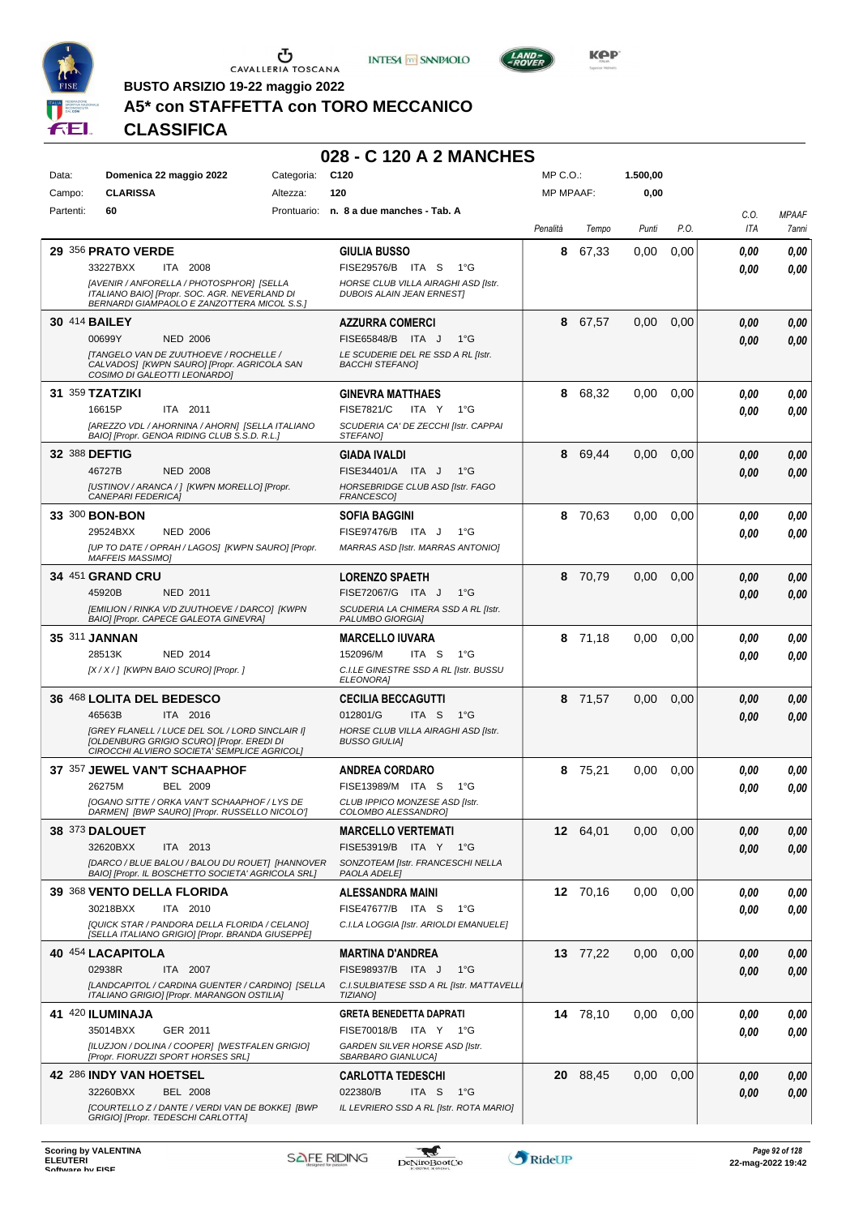





**Kep** 

**BUSTO ARSIZIO 19-22 maggio 2022**

## **A5\* con STAFFETTA con TORO MECCANICO**

## **CLASSIFICA**

| Data:     | Domenica 22 maggio 2022                                                                                                                   | Categoria: | C <sub>120</sub>                                                        | MP C.O.:         |          | 1.500,00 |      |      |              |
|-----------|-------------------------------------------------------------------------------------------------------------------------------------------|------------|-------------------------------------------------------------------------|------------------|----------|----------|------|------|--------------|
| Campo:    | <b>CLARISSA</b>                                                                                                                           | Altezza:   | 120                                                                     | <b>MP MPAAF:</b> |          | 0,00     |      |      |              |
| Partenti: | 60                                                                                                                                        |            | Prontuario: n. 8 a due manches - Tab. A                                 |                  |          |          |      | C.0. | <b>MPAAF</b> |
|           |                                                                                                                                           |            |                                                                         | Penalità         | Tempo    | Punti    | P.O. | ITA  | 7anni        |
|           |                                                                                                                                           |            |                                                                         |                  |          |          |      |      |              |
|           | 29 356 PRATO VERDE                                                                                                                        |            | <b>GIULIA BUSSO</b>                                                     | 8                | 67,33    | 0.00     | 0,00 | 0.00 | 0,00         |
|           | 33227BXX<br>ITA 2008                                                                                                                      |            | FISE29576/B ITA S<br>$1^{\circ}G$                                       |                  |          |          |      | 0.00 | 0,00         |
|           | [AVENIR / ANFORELLA / PHOTOSPH'OR] [SELLA<br>ITALIANO BAIO] [Propr. SOC. AGR. NEVERLAND DI<br>BERNARDI GIAMPAOLO E ZANZOTTERA MICOL S.S.] |            | HORSE CLUB VILLA AIRAGHI ASD [Istr.<br><b>DUBOIS ALAIN JEAN ERNEST]</b> |                  |          |          |      |      |              |
|           | 30 414 BAILEY                                                                                                                             |            | <b>AZZURRA COMERCI</b>                                                  | 8                | 67,57    | 0,00     | 0,00 | 0.00 | 0,00         |
|           | 00699Y<br><b>NED 2006</b>                                                                                                                 |            | FISE65848/B ITA J<br>$1^{\circ}$ G                                      |                  |          |          |      | 0,00 | 0,00         |
|           | <b>[TANGELO VAN DE ZUUTHOEVE / ROCHELLE /</b><br>CALVADOS] [KWPN SAURO] [Propr. AGRICOLA SAN<br>COSIMO DI GALEOTTI LEONARDO]              |            | LE SCUDERIE DEL RE SSD A RL IIstr.<br><b>BACCHI STEFANOI</b>            |                  |          |          |      |      |              |
|           | 31 359 TZATZIKI                                                                                                                           |            | <b>GINEVRA MATTHAES</b>                                                 | 8                | 68,32    | 0,00     | 0,00 | 0.00 | 0,00         |
|           | 16615P<br>ITA 2011                                                                                                                        |            | <b>FISE7821/C</b><br>ITA Y<br>$1^{\circ}G$                              |                  |          |          |      | 0.00 | 0,00         |
|           | [AREZZO VDL / AHORNINA / AHORN] [SELLA ITALIANO                                                                                           |            | SCUDERIA CA' DE ZECCHI [Istr. CAPPAI                                    |                  |          |          |      |      |              |
|           | BAIO] [Propr. GENOA RIDING CLUB S.S.D. R.L.]                                                                                              |            | STEFANO]                                                                |                  |          |          |      |      |              |
|           | 32 388 DEFTIG                                                                                                                             |            | GIADA IVALDI                                                            | 8                | 69,44    | 0,00     | 0,00 | 0,00 | 0,00         |
|           | 46727B<br><b>NED 2008</b>                                                                                                                 |            | FISE34401/A ITA J<br>$1^{\circ}G$                                       |                  |          |          |      | 0,00 | 0,00         |
|           | [USTINOV / ARANCA / ] [KWPN MORELLO] [Propr.<br>CANEPARI FEDERICA]                                                                        |            | HORSEBRIDGE CLUB ASD [Istr. FAGO                                        |                  |          |          |      |      |              |
|           |                                                                                                                                           |            | FRANCESCO]                                                              |                  |          |          |      |      |              |
|           | 33 300 BON-BON                                                                                                                            |            | <b>SOFIA BAGGINI</b>                                                    | 8                | 70,63    | 0,00     | 0,00 | 0.00 | 0,00         |
|           | 29524BXX<br><b>NED 2006</b>                                                                                                               |            | FISE97476/B ITA J<br>$1^{\circ}G$                                       |                  |          |          |      | 0.00 | 0,00         |
|           | [UP TO DATE / OPRAH / LAGOS] [KWPN SAURO] [Propr.<br><b>MAFFEIS MASSIMO]</b>                                                              |            | MARRAS ASD [Istr. MARRAS ANTONIO]                                       |                  |          |          |      |      |              |
|           | 34 451 GRAND CRU                                                                                                                          |            | <b>LORENZO SPAETH</b>                                                   |                  | 8 70,79  | 0.00     | 0,00 | 0,00 | 0,00         |
|           | 45920B<br><b>NED 2011</b>                                                                                                                 |            | FISE72067/G ITA J<br>$1^{\circ}$ G                                      |                  |          |          |      | 0.00 | 0.00         |
|           | [EMILION / RINKA V/D ZUUTHOEVE / DARCO] [KWPN                                                                                             |            | SCUDERIA LA CHIMERA SSD A RL [Istr.                                     |                  |          |          |      |      |              |
|           | BAIO] [Propr. CAPECE GALEOTA GINEVRA]                                                                                                     |            | PALUMBO GIORGIA]                                                        |                  |          |          |      |      |              |
|           | 35 311 JANNAN                                                                                                                             |            | <b>MARCELLO IUVARA</b>                                                  | 8                | 71,18    | 0.00     | 0,00 | 0.00 | 0,00         |
|           | 28513K<br><b>NED 2014</b>                                                                                                                 |            | 152096/M<br>ITA S<br>1°G                                                |                  |          |          |      | 0.00 | 0.00         |
|           | [X / X / ] [KWPN BAIO SCURO] [Propr. ]                                                                                                    |            | C.I.LE GINESTRE SSD A RL [Istr. BUSSU<br><b>ELEONORA]</b>               |                  |          |          |      |      |              |
|           | 36 468 LOLITA DEL BEDESCO                                                                                                                 |            | <b>CECILIA BECCAGUTTI</b>                                               | 8                | 71,57    | 0,00     | 0,00 | 0.00 | 0,00         |
|           | 46563B<br>ITA 2016                                                                                                                        |            | 012801/G<br>ITA S<br>1°G                                                |                  |          |          |      | 0.00 | 0.00         |
|           | [GREY FLANELL / LUCE DEL SOL / LORD SINCLAIR I]                                                                                           |            | HORSE CLUB VILLA AIRAGHI ASD [Istr.                                     |                  |          |          |      |      |              |
|           | [OLDENBURG GRIGIO SCURO] [Propr. EREDI DI<br>CIROCCHI ALVIERO SOCIETA' SEMPLICE AGRICOL]                                                  |            | <b>BUSSO GIULIA]</b>                                                    |                  |          |          |      |      |              |
|           |                                                                                                                                           |            |                                                                         |                  |          |          |      |      |              |
|           | 37 357 JEWEL VAN'T SCHAAPHOF<br><b>BEL 2009</b><br>26275M                                                                                 |            | <b>ANDREA CORDARO</b><br>FISE13989/M ITA S<br>$1^{\circ}G$              | 8                | 75,21    | 0.00     | 0,00 | 0.00 | 0,00         |
|           | [OGANO SITTE / ORKA VAN'T SCHAAPHOF / LYS DE                                                                                              |            | CLUB IPPICO MONZESE ASD [Istr.                                          |                  |          |          |      | 0.00 | 0.00         |
|           | DARMEN] [BWP SAURO] [Propr. RUSSELLO NICOLO']                                                                                             |            | COLOMBO ALESSANDRO]                                                     |                  |          |          |      |      |              |
|           | <b>38 373 DALOUET</b>                                                                                                                     |            | <b>MARCELLO VERTEMATI</b>                                               |                  | 12 64,01 | 0,00     | 0,00 | 0,00 | 0,00         |
|           | 32620BXX<br>ITA 2013                                                                                                                      |            | FISE53919/B ITA Y 1°G                                                   |                  |          |          |      | 0.00 | 0,00         |
|           | [DARCO / BLUE BALOU / BALOU DU ROUET] [HANNOVER                                                                                           |            | SONZOTEAM [Istr. FRANCESCHI NELLA                                       |                  |          |          |      |      |              |
|           | BAIO] [Propr. IL BOSCHETTO SOCIETA' AGRICOLA SRL]                                                                                         |            | PAOLA ADELE]                                                            |                  |          |          |      |      |              |
|           | 39 368 VENTO DELLA FLORIDA                                                                                                                |            | <b>ALESSANDRA MAINI</b>                                                 |                  | 12 70,16 | 0,00     | 0,00 | 0.00 | 0,00         |
|           | 30218BXX<br>ITA 2010                                                                                                                      |            | FISE47677/B ITA S<br>1°G                                                |                  |          |          |      | 0.00 | 0,00         |
|           | [QUICK STAR / PANDORA DELLA FLORIDA / CELANO]<br>[SELLA ITALIANO GRIGIO] [Propr. BRANDA GIUSEPPE]                                         |            | C.I.LA LOGGIA [Istr. ARIOLDI EMANUELE]                                  |                  |          |          |      |      |              |
|           | 40 454 LACAPITOLA                                                                                                                         |            | <b>MARTINA D'ANDREA</b>                                                 |                  | 13 77,22 | 0,00     | 0,00 | 0,00 | 0,00         |
|           | 02938R<br>ITA 2007                                                                                                                        |            | FISE98937/B ITA J<br>$1^{\circ}$ G                                      |                  |          |          |      | 0,00 | 0,00         |
|           | [LANDCAPITOL / CARDINA GUENTER / CARDINO] [SELLA                                                                                          |            | C.I.SULBIATESE SSD A RL [Istr. MATTAVELL.                               |                  |          |          |      |      |              |
|           | ITALIANO GRIGIO] [Propr. MARANGON OSTILIA]                                                                                                |            | <b>TIZIANOI</b>                                                         |                  |          |          |      |      |              |
|           | 41 420 ILUMINAJA                                                                                                                          |            | <b>GRETA BENEDETTA DAPRATI</b>                                          |                  | 14 78,10 | 0,00     | 0,00 | 0.00 | 0,00         |
|           | 35014BXX<br>GER 2011                                                                                                                      |            | FISE70018/B ITA Y 1°G                                                   |                  |          |          |      | 0.00 | 0,00         |
|           | [ILUZJON / DOLINA / COOPER] [WESTFALEN GRIGIO]<br>[Propr. FIORUZZI SPORT HORSES SRL]                                                      |            | GARDEN SILVER HORSE ASD [Istr.<br>SBARBARO GIANLUCA]                    |                  |          |          |      |      |              |
|           | 42 286 INDY VAN HOETSEL                                                                                                                   |            | <b>CARLOTTA TEDESCHI</b>                                                |                  | 20 88,45 | 0,00     | 0,00 | 0,00 | 0,00         |
|           | 32260BXX<br><b>BEL 2008</b>                                                                                                               |            | 022380/B<br>ITA S<br>1°G                                                |                  |          |          |      |      |              |
|           | [COURTELLO Z / DANTE / VERDI VAN DE BOKKE] [BWP                                                                                           |            | IL LEVRIERO SSD A RL [Istr. ROTA MARIO]                                 |                  |          |          |      | 0.00 | 0,00         |
|           | GRIGIO] [Propr. TEDESCHI CARLOTTA]                                                                                                        |            |                                                                         |                  |          |          |      |      |              |

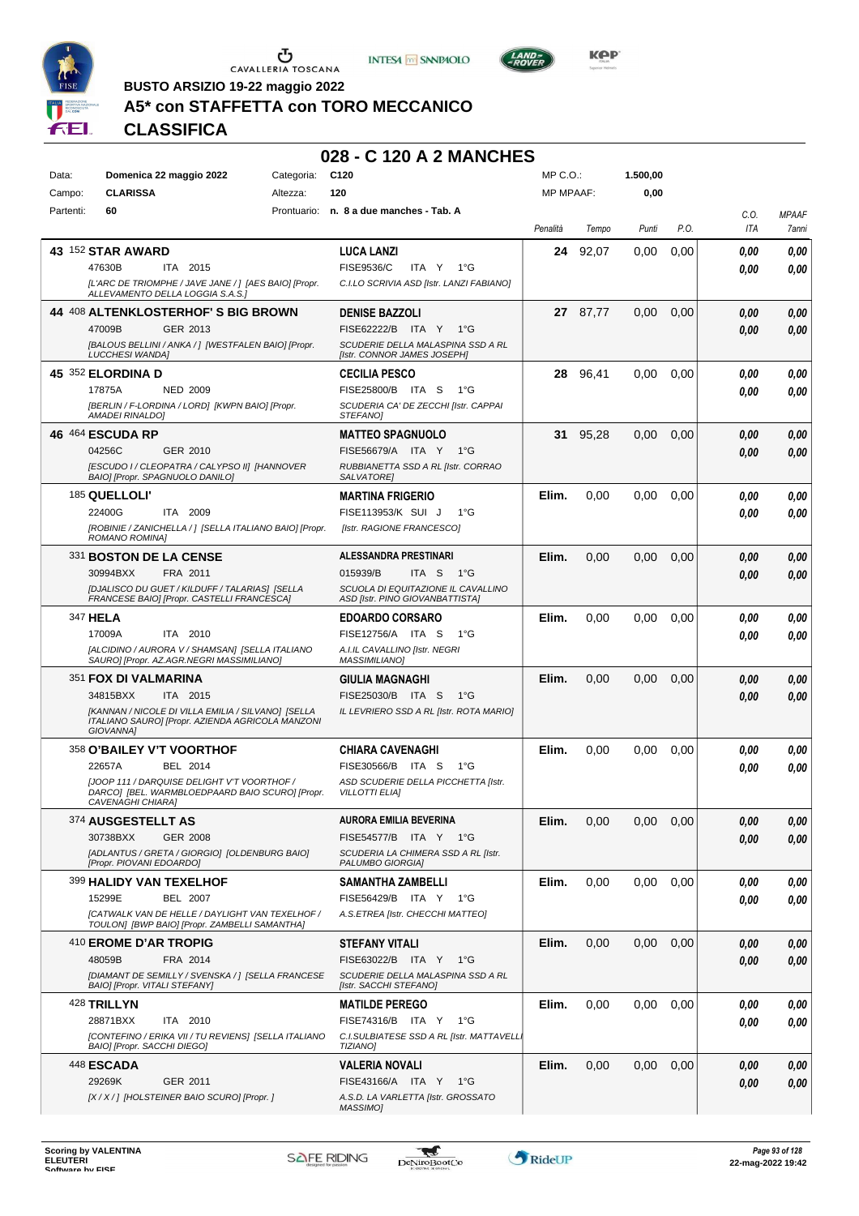





**Kep** 

**BUSTO ARSIZIO 19-22 maggio 2022**

### **A5\* con STAFFETTA con TORO MECCANICO**

**CLASSIFICA**

| Data:     | Domenica 22 maggio 2022                                                                          | Categoria:  | C <sub>120</sub>                                                      | $MP C. O.$ :     |          | 1.500,00 |      |      |              |
|-----------|--------------------------------------------------------------------------------------------------|-------------|-----------------------------------------------------------------------|------------------|----------|----------|------|------|--------------|
| Campo:    | <b>CLARISSA</b>                                                                                  | Altezza:    | 120                                                                   | <b>MP MPAAF:</b> |          | 0,00     |      |      |              |
| Partenti: | 60                                                                                               | Prontuario: | n. 8 a due manches - Tab. A                                           |                  |          |          |      | C.O. | <b>MPAAF</b> |
|           |                                                                                                  |             |                                                                       | Penalità         | Tempo    | Punti    | P.O. | ITA  | 7anni        |
|           | 43 152 STAR AWARD                                                                                |             | <b>LUCA LANZI</b>                                                     | 24               | 92,07    | 0.00     | 0,00 |      |              |
|           | ITA 2015<br>47630B                                                                               |             | <b>FISE9536/C</b><br>ITA Y 1°G                                        |                  |          |          |      | 0.00 | 0,00         |
|           |                                                                                                  |             |                                                                       |                  |          |          |      | 0.00 | 0,00         |
|           | [L'ARC DE TRIOMPHE / JAVE JANE / ] [AES BAIO] [Propr.<br>ALLEVAMENTO DELLA LOGGIA S.A.S.]        |             | C.I.LO SCRIVIA ASD [Istr. LANZI FABIANO]                              |                  |          |          |      |      |              |
|           | 44 408 ALTENKLOSTERHOF'S BIG BROWN                                                               |             | <b>DENISE BAZZOLI</b>                                                 |                  | 27 87.77 | 0,00     | 0,00 | 0,00 | 0,00         |
|           | 47009B<br>GER 2013                                                                               |             | FISE62222/B ITA Y 1°G                                                 |                  |          |          |      | 0,00 | 0,00         |
|           | [BALOUS BELLINI / ANKA / ] [WESTFALEN BAIO] [Propr.                                              |             | SCUDERIE DELLA MALASPINA SSD A RL                                     |                  |          |          |      |      |              |
|           | <b>LUCCHESI WANDA]</b>                                                                           |             | [Istr. CONNOR JAMES JOSEPH]                                           |                  |          |          |      |      |              |
|           | 45 352 ELORDINA D                                                                                |             | <b>CECILIA PESCO</b>                                                  | 28               | 96,41    | 0,00     | 0,00 | 0.00 | 0,00         |
|           | 17875A<br><b>NED 2009</b>                                                                        |             | FISE25800/B ITA S<br>1°G                                              |                  |          |          |      | 0.00 | 0,00         |
|           | [BERLIN / F-LORDINA / LORD] [KWPN BAIO] [Propr.<br>AMADEI RINALDO]                               |             | SCUDERIA CA' DE ZECCHI [Istr. CAPPAI<br>STEFANO]                      |                  |          |          |      |      |              |
|           | 46 464 ESCUDA RP                                                                                 |             | <b>MATTEO SPAGNUOLO</b>                                               | 31               | 95,28    | 0,00     | 0,00 | 0,00 | 0,00         |
|           | 04256C<br>GER 2010                                                                               |             | FISE56679/A ITA Y<br>− 1°G                                            |                  |          |          |      |      |              |
|           | [ESCUDO I / CLEOPATRA / CALYPSO II] [HANNOVER                                                    |             | RUBBIANETTA SSD A RL [Istr. CORRAO                                    |                  |          |          |      | 0.00 | 0,00         |
|           | BAIO] [Propr. SPAGNUOLO DANILO]                                                                  |             | SALVATORE]                                                            |                  |          |          |      |      |              |
|           | 185 QUELLOLI'                                                                                    |             | <b>MARTINA FRIGERIO</b>                                               | Elim.            | 0,00     | 0,00     | 0,00 | 0.00 | 0,00         |
|           | 22400G<br>ITA 2009                                                                               |             | FISE113953/K SUI J<br>1°G                                             |                  |          |          |      | 0.00 | 0,00         |
|           | [ROBINIE / ZANICHELLA / ] [SELLA ITALIANO BAIO] [Propr.                                          |             | [Istr. RAGIONE FRANCESCO]                                             |                  |          |          |      |      |              |
|           | ROMANO ROMINA]                                                                                   |             |                                                                       |                  |          |          |      |      |              |
|           | 331 BOSTON DE LA CENSE                                                                           |             | <b>ALESSANDRA PRESTINARI</b>                                          | Elim.            | 0,00     | 0,00     | 0,00 | 0,00 | 0,00         |
|           | 30994BXX<br>FRA 2011                                                                             |             | 015939/B<br>ITA <sub>S</sub><br>− 1°G                                 |                  |          |          |      | 0.00 | 0,00         |
|           | [DJALISCO DU GUET / KILDUFF / TALARIAS] [SELLA<br>FRANCESE BAIO] [Propr. CASTELLI FRANCESCA]     |             | SCUOLA DI EQUITAZIONE IL CAVALLINO<br>ASD [Istr. PINO GIOVANBATTISTA] |                  |          |          |      |      |              |
|           | 347 HELA                                                                                         |             | <b>EDOARDO CORSARO</b>                                                | Elim.            | 0,00     | 0,00     | 0,00 | 0.00 | 0,00         |
|           | 17009A<br>ITA 2010                                                                               |             | FISE12756/A ITA S<br>1°G                                              |                  |          |          |      | 0.00 | 0,00         |
|           | [ALCIDINO / AURORA V / SHAMSAN] [SELLA ITALIANO                                                  |             | A.I.IL CAVALLINO [Istr. NEGRI                                         |                  |          |          |      |      |              |
|           | SAURO] [Propr. AZ.AGR.NEGRI MASSIMILIANO]                                                        |             | <b>MASSIMILIANO]</b>                                                  |                  |          |          |      |      |              |
|           | 351 FOX DI VALMARINA                                                                             |             | <b>GIULIA MAGNAGHI</b>                                                | Elim.            | 0,00     | 0,00     | 0,00 | 0,00 | 0,00         |
|           | ITA 2015<br>34815BXX                                                                             |             | FISE25030/B ITA S<br>$1^{\circ}G$                                     |                  |          |          |      | 0.00 | 0,00         |
|           | [KANNAN / NICOLE DI VILLA EMILIA / SILVANO] [SELLA                                               |             | IL LEVRIERO SSD A RL [Istr. ROTA MARIO]                               |                  |          |          |      |      |              |
|           | ITALIANO SAURO] [Propr. AZIENDA AGRICOLA MANZONI<br>GIOVANNA]                                    |             |                                                                       |                  |          |          |      |      |              |
|           | <b>358 O'BAILEY V'T VOORTHOF</b>                                                                 |             | <b>CHIARA CAVENAGHI</b>                                               | Elim.            | 0,00     | 0,00     | 0.00 | 0.00 | 0,00         |
|           | 22657A<br>BEL 2014                                                                               |             | FISE30566/B ITA S<br>1°G                                              |                  |          |          |      | 0.00 | 0.00         |
|           | [JOOP 111 / DARQUISE DELIGHT V'T VOORTHOF /                                                      |             | ASD SCUDERIE DELLA PICCHETTA [Istr.                                   |                  |          |          |      |      |              |
|           | DARCO] [BEL. WARMBLOEDPAARD BAIO SCURO] [Propr.<br>CAVENAGHI CHIARA]                             |             | <b>VILLOTTI ELIA]</b>                                                 |                  |          |          |      |      |              |
|           | 374 AUSGESTELLT AS                                                                               |             | <b>AURORA EMILIA BEVERINA</b>                                         | Elim.            | 0,00     | 0,00     | 0,00 | 0,00 | 0,00         |
|           | 30738BXX<br>GER 2008                                                                             |             | FISE54577/B ITA Y 1°G                                                 |                  |          |          |      | 0.00 | 0,00         |
|           | [ADLANTUS / GRETA / GIORGIO] [OLDENBURG BAIO]                                                    |             | SCUDERIA LA CHIMERA SSD A RL [Istr.                                   |                  |          |          |      |      |              |
|           | [Propr. PIOVANI EDOARDO]                                                                         |             | PALUMBO GIORGIA]                                                      |                  |          |          |      |      |              |
|           | 399 HALIDY VAN TEXELHOF                                                                          |             | <b>SAMANTHA ZAMBELLI</b>                                              | Elim.            | 0,00     | 0,00     | 0,00 | 0.00 | 0,00         |
|           | 15299E<br><b>BEL 2007</b>                                                                        |             | FISE56429/B ITA Y 1°G                                                 |                  |          |          |      | 0.00 | 0,00         |
|           | [CATWALK VAN DE HELLE / DAYLIGHT VAN TEXELHOF /<br>TOULON] [BWP BAIO] [Propr. ZAMBELLI SAMANTHA] |             | A.S.ETREA [Istr. CHECCHI MATTEO]                                      |                  |          |          |      |      |              |
|           |                                                                                                  |             |                                                                       |                  |          |          |      |      |              |
|           | 410 EROME D'AR TROPIG<br>48059B<br>FRA 2014                                                      |             | <b>STEFANY VITALI</b><br>FISE63022/B ITA Y 1°G                        | Elim.            | 0,00     | 0,00     | 0,00 | 0.00 | 0,00         |
|           | [DIAMANT DE SEMILLY / SVENSKA / 1 [SELLA FRANCESE                                                |             | SCUDERIE DELLA MALASPINA SSD A RL                                     |                  |          |          |      | 0,00 | 0,00         |
|           | BAIO] [Propr. VITALI STEFANY]                                                                    |             | [Istr. SACCHI STEFANO]                                                |                  |          |          |      |      |              |
|           | 428 TRILLYN                                                                                      |             | <b>MATILDE PEREGO</b>                                                 | Elim.            | 0,00     | 0,00     | 0,00 | 0.00 | 0,00         |
|           | 28871BXX<br>ITA 2010                                                                             |             | FISE74316/B ITA Y 1°G                                                 |                  |          |          |      | 0.00 | 0,00         |
|           | [CONTEFINO / ERIKA VII / TU REVIENS] [SELLA ITALIANO                                             |             | C.I.SULBIATESE SSD A RL [Istr. MATTAVELL.                             |                  |          |          |      |      |              |
|           | BAIO] [Propr. SACCHI DIEGO]                                                                      |             | <b>TIZIANO]</b>                                                       |                  |          |          |      |      |              |
|           | 448 ESCADA                                                                                       |             | VALERIA NOVALI                                                        | Elim.            | 0,00     | 0,00     | 0,00 | 0,00 | 0,00         |
|           | 29269K<br>GER 2011                                                                               |             | FISE43166/A ITA Y 1°G                                                 |                  |          |          |      | 0,00 | 0,00         |
|           | [X / X / ] [HOLSTEINER BAIO SCURO] [Propr. ]                                                     |             | A.S.D. LA VARLETTA [Istr. GROSSATO<br>MASSIMO]                        |                  |          |          |      |      |              |
|           |                                                                                                  |             |                                                                       |                  |          |          |      |      |              |

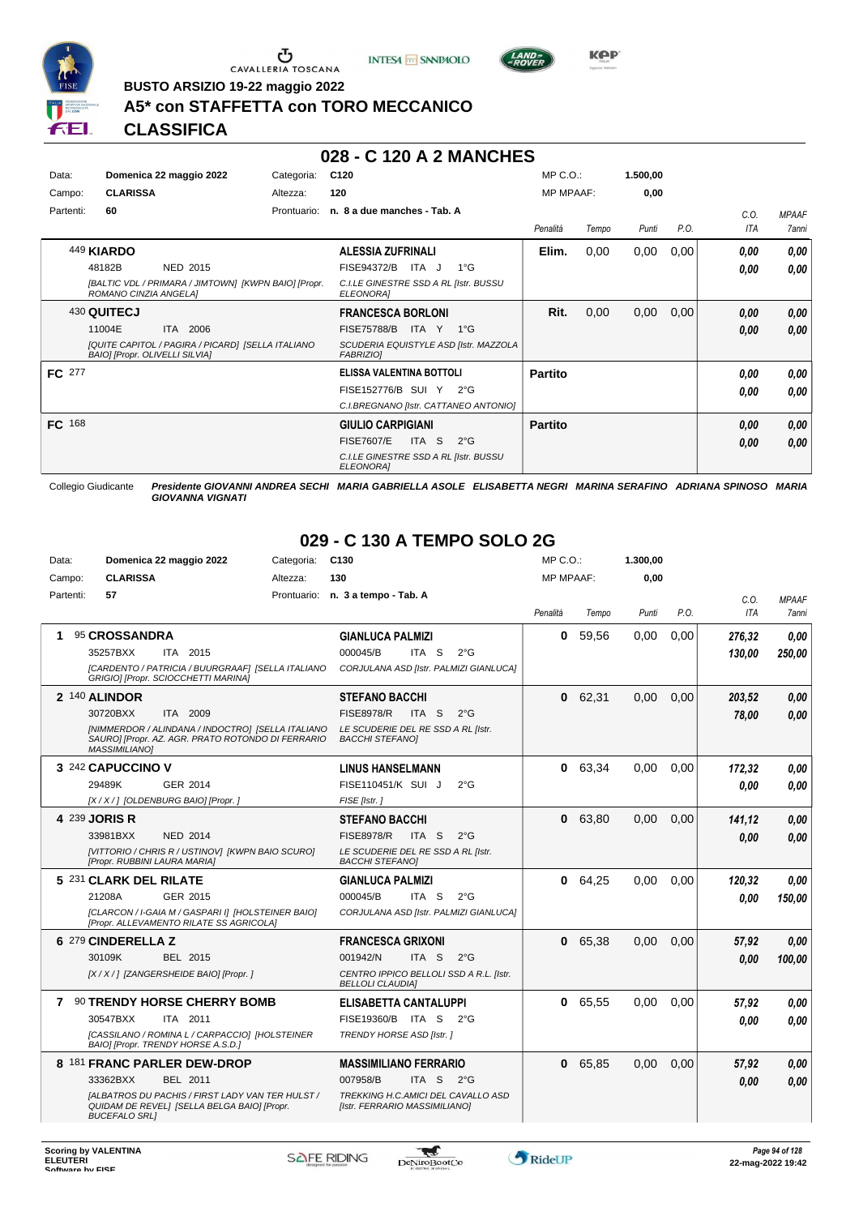





**BUSTO ARSIZIO 19-22 maggio 2022**

## **A5\* con STAFFETTA con TORO MECCANICO**

**CLASSIFICA**

#### **028 - C 120 A 2 MANCHES**

| Data:<br>Campo: | Domenica 22 maggio 2022<br><b>CLARISSA</b>                                                                               | Categoria:<br>Altezza: | C <sub>120</sub><br>120                                                                                                                         | $MP C. O.$ :<br><b>MP MPAAF:</b> |       | 1.500,00<br>0,00 |      |                    |                              |
|-----------------|--------------------------------------------------------------------------------------------------------------------------|------------------------|-------------------------------------------------------------------------------------------------------------------------------------------------|----------------------------------|-------|------------------|------|--------------------|------------------------------|
| Partenti:       | 60                                                                                                                       | Prontuario:            | n. 8 a due manches - Tab. A                                                                                                                     | Penalità                         | Tempo | Punti            | P.O. | C.O.<br><b>ITA</b> | <b>MPAAF</b><br><b>7anni</b> |
|                 | 449 KIARDO<br>NED 2015<br>48182B<br>[BALTIC VDL / PRIMARA / JIMTOWN] [KWPN BAIO] [Propr.<br>ROMANO CINZIA ANGELA]        |                        | <b>ALESSIA ZUFRINALI</b><br>$1^{\circ}G$<br>FISE94372/B<br>ITA J<br>C.I.LE GINESTRE SSD A RL [Istr. BUSSU<br>ELEONORA]                          | Elim.                            | 0,00  | 0,00             | 0,00 | 0.00<br>0.00       | 0,00<br>0.00                 |
|                 | 430 QUITECJ<br>11004E<br>ITA 2006<br>[QUITE CAPITOL / PAGIRA / PICARD] [SELLA ITALIANO<br>BAIO] [Propr. OLIVELLI SILVIA] |                        | <b>FRANCESCA BORLONI</b><br><b>FISE75788/B</b><br>$1^{\circ}G$<br>ITA Y<br>SCUDERIA EQUISTYLE ASD [Istr. MAZZOLA<br><b>FABRIZIOI</b>            | Rit.                             | 0,00  | 0,00             | 0,00 | 0,00<br>0.00       | 0,00<br>0.00                 |
| <b>FC</b> 277   |                                                                                                                          |                        | ELISSA VALENTINA BOTTOLI<br>FISE152776/B SUI Y<br>$2^{\circ}G$<br>C.I.BREGNANO [Istr. CATTANEO ANTONIO]                                         | <b>Partito</b>                   |       |                  |      | 0,00<br>0.00       | 0,00<br>0.00                 |
| FC 168          |                                                                                                                          |                        | <b>GIULIO CARPIGIANI</b><br>ITA <sub>S</sub><br><b>FISE7607/E</b><br>$2^{\circ}$ G<br>C.I.LE GINESTRE SSD A RL [Istr. BUSSU<br><b>ELEONORAI</b> | <b>Partito</b>                   |       |                  |      | 0.00<br>0.00       | 0,00<br>0.00                 |

Collegio Giudicante *Presidente GIOVANNI ANDREA SECHI MARIA GABRIELLA ASOLE ELISABETTA NEGRI MARINA SERAFINO ADRIANA SPINOSO MARIA GIOVANNA VIGNATI*

## **029 - C 130 A TEMPO SOLO 2G**

| Data:     | Domenica 22 maggio 2022                                                                                                        | Categoria:  | C <sub>130</sub>                                                    | $MP C. O.$ :     |       | 1.300.00 |      |            |              |
|-----------|--------------------------------------------------------------------------------------------------------------------------------|-------------|---------------------------------------------------------------------|------------------|-------|----------|------|------------|--------------|
| Campo:    | <b>CLARISSA</b>                                                                                                                | Altezza:    | 130                                                                 | <b>MP MPAAF:</b> |       | 0.00     |      |            |              |
| Partenti: | 57                                                                                                                             | Prontuario: | n. 3 a tempo - Tab. A                                               |                  |       |          |      | C.O.       | <b>MPAAF</b> |
|           |                                                                                                                                |             |                                                                     | Penalità         | Tempo | Punti    | P.O. | <b>ITA</b> | <b>7anni</b> |
| 1         | 95 CROSSANDRA                                                                                                                  |             | <b>GIANLUCA PALMIZI</b>                                             | 0                | 59.56 | 0.00     | 0.00 | 276,32     | 0.00         |
|           | 35257BXX<br>ITA 2015                                                                                                           |             | 000045/B<br>ITA S<br>$2^{\circ}$ G                                  |                  |       |          |      | 130,00     | 250,00       |
|           | [CARDENTO / PATRICIA / BUURGRAAF] [SELLA ITALIANO<br>GRIGIO] [Propr. SCIOCCHETTI MARINA]                                       |             | CORJULANA ASD [Istr. PALMIZI GIANLUCA]                              |                  |       |          |      |            |              |
|           | 2 140 ALINDOR                                                                                                                  |             | <b>STEFANO BACCHI</b>                                               | 0                | 62.31 | 0.00     | 0.00 | 203,52     | 0,00         |
|           | 30720BXX<br>ITA 2009                                                                                                           |             | <b>FISE8978/R</b><br>ITA S<br>$2^{\circ}$ G                         |                  |       |          |      | 78,00      | 0,00         |
|           | [NIMMERDOR / ALINDANA / INDOCTRO] [SELLA ITALIANO<br>SAURO] [Propr. AZ. AGR. PRATO ROTONDO DI FERRARIO<br><b>MASSIMILIANO1</b> |             | LE SCUDERIE DEL RE SSD A RL [Istr.<br><b>BACCHI STEFANOI</b>        |                  |       |          |      |            |              |
|           | 3 242 CAPUCCINO V                                                                                                              |             | <b>LINUS HANSELMANN</b>                                             | 0                | 63,34 | 0.00     | 0.00 | 172,32     | 0.00         |
|           | 29489K<br>GER 2014                                                                                                             |             | FISE110451/K SUI J<br>$2^{\circ}$ G                                 |                  |       |          |      | 0.00       | 0.00         |
|           | [X / X / ] [OLDENBURG BAIO] [Propr. ]                                                                                          |             | FISE [Istr.]                                                        |                  |       |          |      |            |              |
|           | 4 239 JORIS R                                                                                                                  |             | <b>STEFANO BACCHI</b>                                               | $\mathbf{0}$     | 63.80 | 0.00     | 0.00 | 141,12     | 0.00         |
|           | <b>NED 2014</b><br>33981BXX                                                                                                    |             | <b>FISE8978/R</b><br>ITA S<br>$2^{\circ}$ G                         |                  |       |          |      | 0.00       | 0,00         |
|           | [VITTORIO / CHRIS R / USTINOV] [KWPN BAIO SCURO]<br>[Propr. RUBBINI LAURA MARIA]                                               |             | LE SCUDERIE DEL RE SSD A RL [Istr.<br><b>BACCHI STEFANOI</b>        |                  |       |          |      |            |              |
|           | 5 231 CLARK DEL RILATE                                                                                                         |             | <b>GIANLUCA PALMIZI</b>                                             | $\mathbf 0$      | 64.25 | 0.00     | 0.00 | 120,32     | 0.00         |
|           | GER 2015<br>21208A                                                                                                             |             | 000045/B<br>ITA <sub>S</sub><br>$2^{\circ}$ G                       |                  |       |          |      | 0.00       | 150,00       |
|           | [CLARCON / I-GAIA M / GASPARI I] [HOLSTEINER BAIO]<br>[Propr. ALLEVAMENTO RILATE SS AGRICOLA]                                  |             | CORJULANA ASD [Istr. PALMIZI GIANLUCA]                              |                  |       |          |      |            |              |
|           | 6 279 CINDERELLA Z                                                                                                             |             | <b>FRANCESCA GRIXONI</b>                                            | $\mathbf{0}$     | 65.38 | 0.00     | 0.00 | 57,92      | 0.00         |
|           | 30109K<br>BEL 2015                                                                                                             |             | 001942/N<br>ITA <sub>S</sub><br>$2^{\circ}$ G                       |                  |       |          |      | 0.00       | 100,00       |
|           | [X / X / ] [ZANGERSHEIDE BAIO] [Propr. ]                                                                                       |             | CENTRO IPPICO BELLOLI SSD A R.L. [Istr.<br><b>BELLOLI CLAUDIAI</b>  |                  |       |          |      |            |              |
| 7         | <b>90 TRENDY HORSE CHERRY BOMB</b>                                                                                             |             | ELISABETTA CANTALUPPI                                               | 0                | 65,55 | 0.00     | 0.00 | 57,92      | 0.00         |
|           | 30547BXX<br>ITA 2011                                                                                                           |             | FISE19360/B<br>ITA S<br>$2^{\circ}$ G                               |                  |       |          |      | 0.00       | 0.00         |
|           | [CASSILANO / ROMINA L / CARPACCIO] [HOLSTEINER<br>BAIO] [Propr. TRENDY HORSE A.S.D.]                                           |             | TRENDY HORSE ASD [Istr.]                                            |                  |       |          |      |            |              |
|           | 8 181 FRANC PARLER DEW-DROP                                                                                                    |             | <b>MASSIMILIANO FERRARIO</b>                                        | $\mathbf{0}$     | 65,85 | 0.00     | 0,00 | 57,92      | 0.00         |
|           | 33362BXX<br><b>BEL 2011</b>                                                                                                    |             | 007958/B<br>ITA <sub>S</sub><br>$2^{\circ}$ G                       |                  |       |          |      | 0.00       | 0,00         |
|           | <b>IALBATROS DU PACHIS / FIRST LADY VAN TER HULST /</b><br>QUIDAM DE REVEL] [SELLA BELGA BAIO] [Propr.<br><b>BUCEFALO SRL1</b> |             | TREKKING H.C.AMICI DEL CAVALLO ASD<br>[Istr. FERRARIO MASSIMILIANO] |                  |       |          |      |            |              |

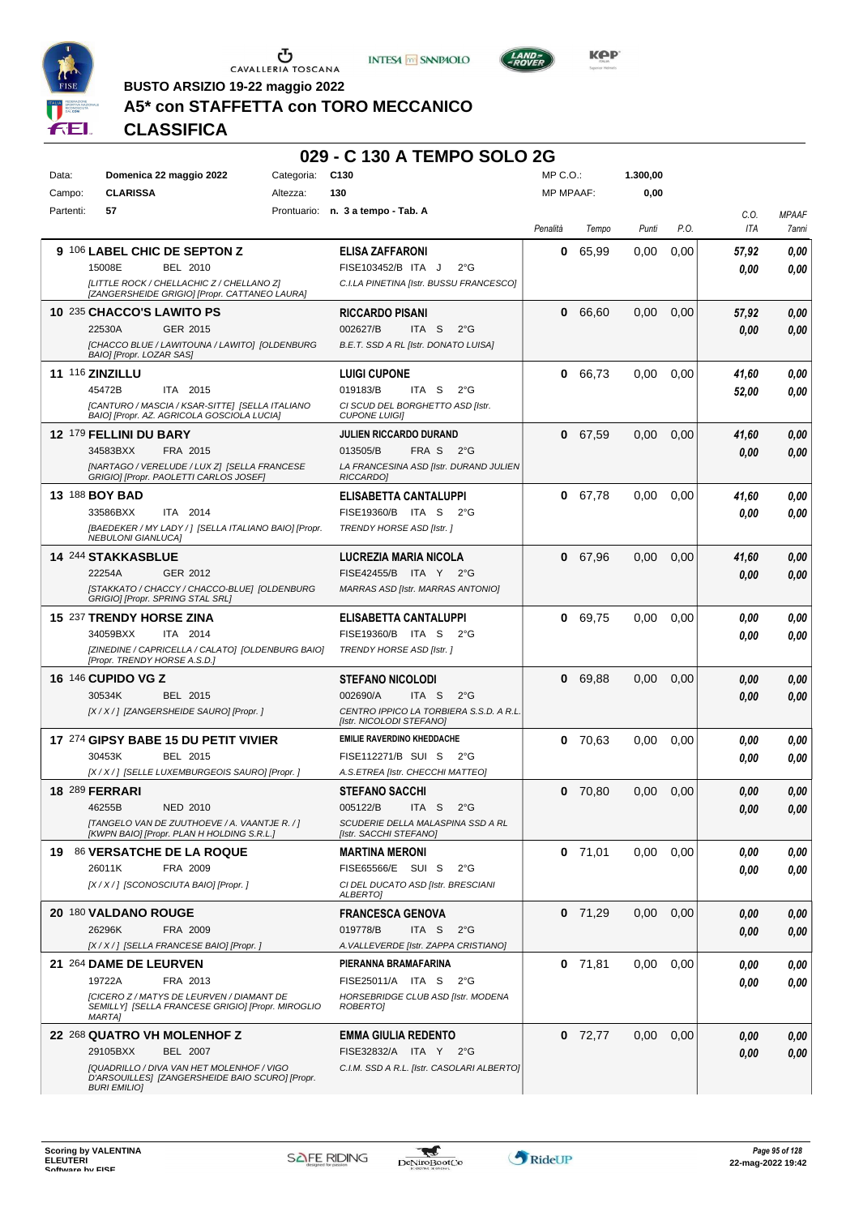

Ⴠ CAVALLERIA TOSCANA





 $L$ AND<sub>7</sub>

**BUSTO ARSIZIO 19-22 maggio 2022**

### **A5\* con STAFFETTA con TORO MECCANICO**

|                                                                                               | 029 - C 130 A TEMPO SOLO 2G                                         |                  |           |                   |      |            |              |
|-----------------------------------------------------------------------------------------------|---------------------------------------------------------------------|------------------|-----------|-------------------|------|------------|--------------|
| Categoria: C130<br>Data:<br>Domenica 22 maggio 2022                                           |                                                                     | $MP C. O.$ :     |           | 1.300,00          |      |            |              |
| <b>CLARISSA</b><br>Campo:<br>Altezza:                                                         | 130                                                                 | <b>MP MPAAF:</b> |           | 0,00              |      |            |              |
| 57<br>Partenti:                                                                               | Prontuario: n. 3 a tempo - Tab. A                                   |                  |           |                   |      | C.O.       | <b>MPAAF</b> |
|                                                                                               |                                                                     | Penalità         | Tempo     | Punti             | P.O. | <b>ITA</b> | 7anni        |
| 9 106 LABEL CHIC DE SEPTON Z                                                                  | ELISA ZAFFARONI                                                     | 0                | 65,99     | 0.00              | 0,00 | 57,92      | 0.00         |
| 15008E<br>BEL 2010                                                                            | FISE103452/B ITA J<br>$2^{\circ}$ G                                 |                  |           |                   |      | 0.00       | 0.00         |
| [LITTLE ROCK / CHELLACHIC Z / CHELLANO Z]<br>[ZANGERSHEIDE GRIGIO] [Propr. CATTANEO LAURA]    | C.I.LA PINETINA [Istr. BUSSU FRANCESCO]                             |                  |           |                   |      |            |              |
| 10 235 CHACCO'S LAWITO PS                                                                     | <b>RICCARDO PISANI</b>                                              |                  | 0 66,60   | 0,00              | 0,00 | 57,92      | 0,00         |
| 22530A<br>GER 2015                                                                            | 002627/B<br>ITA S $2^{\circ}G$                                      |                  |           |                   |      | 0.00       | 0.00         |
| [CHACCO BLUE / LAWITOUNA / LAWITO] [OLDENBURG<br>BAIO] [Propr. LOZAR SAS]                     | B.E.T. SSD A RL [Istr. DONATO LUISA]                                |                  |           |                   |      |            |              |
| <b>11 116 ZINZILLU</b>                                                                        | <b>LUIGI CUPONE</b>                                                 |                  | 0 66,73   | 0.00              | 0,00 | 41,60      | 0,00         |
| 45472B<br>ITA 2015                                                                            | 019183/B<br>ITA S $2^{\circ}G$                                      |                  |           |                   |      | 52,00      | 0.00         |
| [CANTURO / MASCIA / KSAR-SITTE] [SELLA ITALIANO<br>BAIO] [Propr. AZ. AGRICOLA GOSCIOLA LUCIA] | CI SCUD DEL BORGHETTO ASD [Istr.<br><b>CUPONE LUIGII</b>            |                  |           |                   |      |            |              |
| 12 179 FELLINI DU BARY                                                                        | JULIEN RICCARDO DURAND                                              |                  | 0 67,59   | 0.00              | 0,00 | 41,60      | 0,00         |
| 34583BXX<br>FRA 2015                                                                          | 013505/B<br>FRA S 2°G                                               |                  |           |                   |      | 0.00       | 0.00         |
| [NARTAGO / VERELUDE / LUX Z] [SELLA FRANCESE<br>GRIGIO] [Propr. PAOLETTI CARLOS JOSEF]        | LA FRANCESINA ASD [Istr. DURAND JULIEN<br>RICCARDO]                 |                  |           |                   |      |            |              |
| 13 188 BOY BAD                                                                                | ELISABETTA CANTALUPPI                                               |                  | 0 67,78   | 0.00              | 0.00 | 41,60      | 0.00         |
| 33586BXX<br>ITA 2014                                                                          | FISE19360/B ITA S 2°G                                               |                  |           |                   |      | 0.00       | 0.00         |
| [BAEDEKER / MY LADY / ] [SELLA ITALIANO BAIO] [Propr.<br><b>NEBULONI GIANLUCAI</b>            | TRENDY HORSE ASD [Istr. ]                                           |                  |           |                   |      |            |              |
| 14 244 STAKKASBLUE                                                                            | LUCREZIA MARIA NICOLA                                               |                  | 0 67,96   | 0,00              | 0,00 | 41,60      | 0.00         |
| 22254A<br>GER 2012                                                                            | FISE42455/B ITA Y 2°G                                               |                  |           |                   |      | 0.00       | 0.00         |
| [STAKKATO / CHACCY / CHACCO-BLUE] [OLDENBURG<br>GRIGIO] [Propr. SPRING STAL SRL]              | MARRAS ASD [Istr. MARRAS ANTONIO]                                   |                  |           |                   |      |            |              |
| 15 237 TRENDY HORSE ZINA                                                                      | ELISABETTA CANTALUPPI                                               | $\mathbf{0}$     | 69,75     | 0.00              | 0,00 | 0,00       | 0.00         |
| 34059BXX<br>ITA 2014                                                                          | FISE19360/B ITA S 2°G                                               |                  |           |                   |      | 0.00       | 0.00         |
| [ZINEDINE / CAPRICELLA / CALATO] [OLDENBURG BAIO]<br>[Propr. TRENDY HORSE A.S.D.]             | TRENDY HORSE ASD [Istr. ]                                           |                  |           |                   |      |            |              |
| 16 146 CUPIDO VG Z                                                                            | <b>STEFANO NICOLODI</b>                                             | $\mathbf{0}$     | 69,88     | 0.00              | 0,00 | 0,00       | 0.00         |
| 30534K<br>BEL 2015                                                                            | 002690/A<br>ITA S 2°G                                               |                  |           |                   |      | 0,00       | 0,00         |
| [X / X / ] [ZANGERSHEIDE SAURO] [Propr. ]                                                     | CENTRO IPPICO LA TORBIERA S.S.D. A R.L.<br>[Istr. NICOLODI STEFANO] |                  |           |                   |      |            |              |
| 17 274 GIPSY BABE 15 DU PETIT VIVIER                                                          | <b>EMILIE RAVERDINO KHEDDACHE</b>                                   |                  | 0, 70, 63 | 0.00              | 0,00 | 0.00       | 0,00         |
| 30453K<br>BEL 2015                                                                            | FISE112271/B SUI S 2°G                                              |                  |           |                   |      | 0,00       | 0,00         |
| [X / X / ] [SELLE LUXEMBURGEOIS SAURO] [Propr. ]                                              | A.S.ETREA [Istr. CHECCHI MATTEO]                                    |                  |           |                   |      |            |              |
| <b>18 289 FERRARI</b>                                                                         | <b>STEFANO SACCHI</b>                                               |                  | $0$ 70,80 | 0.00              | 0,00 | 0,00       | 0,00         |
| 46255B<br>NED 2010                                                                            | 005122/B<br>ITA S $2^{\circ}G$                                      |                  |           |                   |      | 0,00       | 0,00         |
| [TANGELO VAN DE ZUUTHOEVE / A. VAANTJE R. / ]<br>[KWPN BAIO] [Propr. PLAN H HOLDING S.R.L.]   | SCUDERIE DELLA MALASPINA SSD A RL<br>[Istr. SACCHI STEFANO]         |                  |           |                   |      |            |              |
| 19 86 VERSATCHE DE LA ROQUE                                                                   | <b>MARTINA MERONI</b>                                               |                  | $0$ 71,01 | 0.00              | 0,00 | 0,00       | 0,00         |
| 26011K<br>FRA 2009                                                                            | FISE65566/E SUI S 2°G                                               |                  |           |                   |      | 0,00       | 0,00         |
| [X / X / ] [SCONOSCIUTA BAIO] [Propr. ]                                                       | CI DEL DUCATO ASD [Istr. BRESCIANI<br>ALBERTO]                      |                  |           |                   |      |            |              |
| 20 180 VALDANO ROUGE                                                                          | <b>FRANCESCA GENOVA</b>                                             |                  | $0$ 71,29 | $0.00 \quad 0.00$ |      | 0,00       | 0,00         |
| 26296K<br>FRA 2009                                                                            | 019778/B<br>ITA S $2^{\circ}G$                                      |                  |           |                   |      | 0,00       | 0,00         |
| [X / X / ] [SELLA FRANCESE BAIO] [Propr. ]                                                    | A. VALLEVERDE [Istr. ZAPPA CRISTIANO]                               |                  |           |                   |      |            |              |
| 21 264 DAME DE LEURVEN                                                                        | PIERANNA BRAMAFARINA                                                |                  | $0$ 71,81 | 0.00              | 0,00 | 0,00       | 0,00         |
| 19722A<br>FRA 2013                                                                            | FISE25011/A ITA S 2°G                                               |                  |           |                   |      | 0,00       | 0,00         |

# **22** 268 **QUATRO VH MOLENHOF Z**

*MARTA]*

BEL 2007 **EMMA GIULIA REDENTO** *[QUADRILLO / DIVA VAN HET MOLENHOF / VIGO D'ARSOUILLES] [ZANGERSHEIDE BAIO SCURO] [Propr. BURI EMILIO] C.I.M. SSD A R.L. [Istr. CASOLARI ALBERTO]* 29105BXX BEL 2007 FISE32832/A ITA Y 2°G **0,00 0,00** 

*[CICERO Z / MATYS DE LEURVEN / DIAMANT DE SEMILLY] [SELLA FRANCESE GRIGIO] [Propr. MIROGLIO*



*HORSEBRIDGE CLUB ASD [Istr. MODENA*

*ROBERTO]*

*0,00*

**0** 72,77 0,00 0,00 *0,00*

*0,00*

*0,00*

*0,00*

*0,00*

*0,00*

*0,00*

*0,00*

*0,00*

*0,00*

*0,00*

*0,00*

*0,00*

*0,00*

*0,00*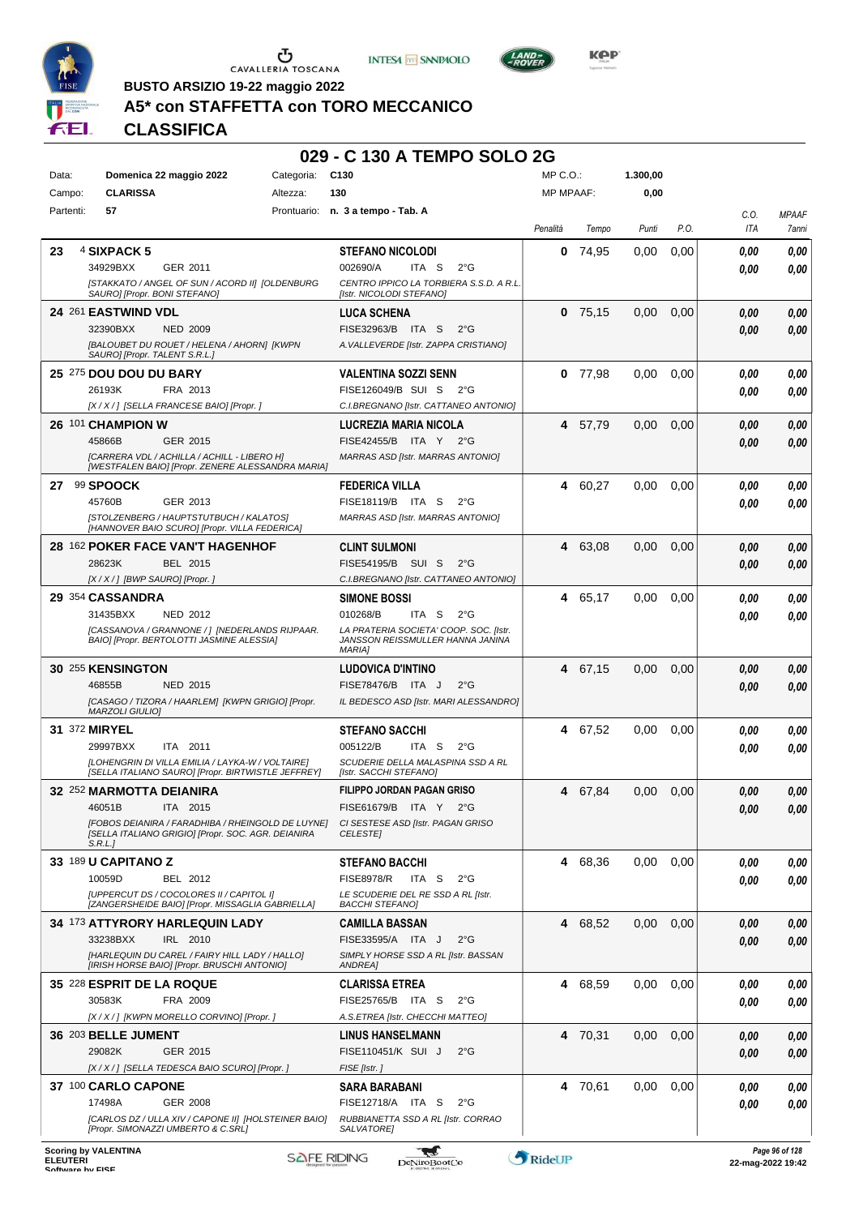

Ⴠ CAVALLERIA TOSCANA





**Kep** 

**BUSTO ARSIZIO 19-22 maggio 2022**

## **A5\* con STAFFETTA con TORO MECCANICO**

|           |                                                                                                                                                                      |            | 029 - C 130 A TEMPO SOLO 2G                                                                                                                             |                  |           |          |               |              |                      |
|-----------|----------------------------------------------------------------------------------------------------------------------------------------------------------------------|------------|---------------------------------------------------------------------------------------------------------------------------------------------------------|------------------|-----------|----------|---------------|--------------|----------------------|
| Data:     | Domenica 22 maggio 2022                                                                                                                                              | Categoria: | C <sub>130</sub>                                                                                                                                        | $MP C. O.$ :     |           | 1.300,00 |               |              |                      |
| Campo:    | <b>CLARISSA</b>                                                                                                                                                      | Altezza:   | 130                                                                                                                                                     | <b>MP MPAAF:</b> |           | 0,00     |               |              |                      |
| Partenti: | 57                                                                                                                                                                   |            | Prontuario: n. 3 a tempo - Tab. A                                                                                                                       | Penalità         | Tempo     | Punti    | P.O.          | C.O.<br>ITA  | <b>MPAAF</b><br>7ann |
| 23        | 4 SIXPACK 5<br>34929BXX<br>GER 2011<br>[STAKKATO / ANGEL OF SUN / ACORD II] [OLDENBURG<br>SAURO] [Propr. BONI STEFANO]                                               |            | <b>STEFANO NICOLODI</b><br>002690/A<br>ITA S<br>$2^{\circ}G$<br>CENTRO IPPICO LA TORBIERA S.S.D. A R.L.<br>[Istr. NICOLODI STEFANO]                     | 0                | 74,95     | 0,00     | 0,00          | 0.00<br>0.00 | 0.00<br>0.00         |
|           | 24 261 EASTWIND VDL<br>32390BXX<br><b>NED 2009</b><br>[BALOUBET DU ROUET / HELENA / AHORN] [KWPN<br>SAURO] [Propr. TALENT S.R.L.]                                    |            | <b>LUCA SCHENA</b><br>FISE32963/B ITA S<br>$2^{\circ}G$<br>A. VALLEVERDE [Istr. ZAPPA CRISTIANO]                                                        |                  | $0$ 75,15 | 0,00     | 0,00          | 0.00<br>0,00 | 0.00<br>0.00         |
|           | 25 275 DOU DOU DU BARY<br>26193K<br>FRA 2013<br>[X / X / ] [SELLA FRANCESE BAIO] [Propr. ]                                                                           |            | <b>VALENTINA SOZZI SENN</b><br>FISE126049/B SUI S<br>$2^{\circ}G$<br>C.I.BREGNANO [Istr. CATTANEO ANTONIO]                                              |                  | $0$ 77,98 | 0,00     | 0,00          | 0,00<br>0.00 | 0.00<br>0.00         |
|           | 26 101 CHAMPION W<br>45866B<br>GER 2015<br>[CARRERA VDL / ACHILLA / ACHILL - LIBERO H]<br>[WESTFALEN BAIO] [Propr. ZENERE ALESSANDRA MARIA]                          |            | LUCREZIA MARIA NICOLA<br>FISE42455/B ITA Y 2°G<br>MARRAS ASD [Istr. MARRAS ANTONIO]                                                                     | 4                | 57.79     | 0,00     | 0,00          | 0,00<br>0,00 | 0.00<br>0.00         |
| 27        | 99 SPOOCK<br>45760B<br>GER 2013<br>[STOLZENBERG / HAUPTSTUTBUCH / KALATOS]<br>[HANNOVER BAIO SCURO] [Propr. VILLA FEDERICA]                                          |            | <b>FEDERICA VILLA</b><br>FISE18119/B ITA S<br>$2^{\circ}G$<br><b>MARRAS ASD [Istr. MARRAS ANTONIO]</b>                                                  | 4                | 60,27     | 0.00     | 0,00          | 0.00<br>0.00 | 0.00<br>0.00         |
|           | <b>28 162 POKER FACE VAN'T HAGENHOF</b><br>28623K<br>BEL 2015<br>[X / X / ] [BWP SAURO] [Propr. ]                                                                    |            | <b>CLINT SULMONI</b><br>FISE54195/B SUI S<br>$2^{\circ}G$<br>C.I.BREGNANO [Istr. CATTANEO ANTONIO]                                                      |                  | 4 63,08   | 0,00     | 0,00          | 0,00<br>0,00 | 0.00<br>0.00         |
|           | 29 354 CASSANDRA<br>31435BXX<br><b>NED 2012</b><br>[CASSANOVA / GRANNONE / ] [NEDERLANDS RIJPAAR.<br>BAIO] [Propr. BERTOLOTTI JASMINE ALESSIA]                       |            | <b>SIMONE BOSSI</b><br>010268/B<br>ITA S<br>$2^{\circ}G$<br>LA PRATERIA SOCIETA' COOP. SOC. [Istr.<br>JANSSON REISSMULLER HANNA JANINA<br><b>MARIAI</b> | 4                | 65,17     | 0.00     | 0,00          | 0,00<br>0.00 | 0.00<br>0.00         |
|           | 30 255 KENSINGTON<br>46855B<br><b>NED 2015</b><br>[CASAGO / TIZORA / HAARLEM] [KWPN GRIGIO] [Propr.<br>MARZOLI GIULIO]                                               |            | <b>LUDOVICA D'INTINO</b><br>FISE78476/B ITA J<br>$2^{\circ}$ G<br>IL BEDESCO ASD [Istr. MARI ALESSANDRO]                                                |                  | 4 67,15   | 0.00     | 0,00          | 0,00<br>0,00 | 0.00<br>0.00         |
|           | 31 372 MIRYEL<br>29997BXX<br>ITA 2011<br>[LOHENGRIN DI VILLA EMILIA / LAYKA-W / VOLTAIRE]<br>[SELLA ITALIANO SAURO] [Propr. BIRTWISTLE JEFFREY]                      |            | <b>STEFANO SACCHI</b><br>005122/B<br>ITA <sub>S</sub><br>$2^{\circ}G$<br>SCUDERIE DELLA MALASPINA SSD A RL<br>[Istr. SACCHI STEFANO]                    |                  | 4 67,52   | 0,00     | 0,00          | 0.00<br>0.00 | 0.00<br>0.00         |
|           | 32 252 MARMOTTA DEIANIRA<br>46051B<br>ITA 2015<br>[FOBOS DEIANIRA / FARADHIBA / RHEINGOLD DE LUYNE]<br>[SELLA ITALIANO GRIGIO] [Propr. SOC. AGR. DEIANIRA<br>S.R.L.1 |            | <b>FILIPPO JORDAN PAGAN GRISO</b><br>FISE61679/B ITA Y 2°G<br>CI SESTESE ASD [Istr. PAGAN GRISO<br><b>CELESTEI</b>                                      |                  | 4 67,84   | 0,00     | 0,00          | 0,00<br>0,00 | 0.00<br>0,00         |
|           | 33 189 U CAPITANO Z<br>10059D<br>BEL 2012<br>[UPPERCUT DS / COCOLORES II / CAPITOL I]<br>[ZANGERSHEIDE BAIO] [Propr. MISSAGLIA GABRIELLA]                            |            | <b>STEFANO BACCHI</b><br><b>FISE8978/R</b><br>ITA S<br>$2^{\circ}G$<br>LE SCUDERIE DEL RE SSD A RL [Istr.<br><b>BACCHI STEFANO]</b>                     |                  | 4 68,36   | 0,00     | 0,00          | 0,00<br>0.00 | 0.00<br>0.00         |
|           | <b>34 173 ATTYRORY HARLEQUIN LADY</b><br>33238BXX<br>IRL 2010<br>[HARLEQUIN DU CAREL / FAIRY HILL LADY / HALLO]<br>[IRISH HORSE BAIO] [Propr. BRUSCHI ANTONIO]       |            | <b>CAMILLA BASSAN</b><br>FISE33595/A ITA J<br>$2^{\circ}$ G<br>SIMPLY HORSE SSD A RL [Istr. BASSAN<br>ANDREA]                                           |                  | 4 68,52   | 0,00     | 0.00          | 0,00<br>0,00 | 0.00<br>0.00         |
|           | 35 228 ESPRIT DE LA ROQUE<br>30583K<br>FRA 2009<br>[X / X / ] [KWPN MORELLO CORVINO] [Propr. ]                                                                       |            | <b>CLARISSA ETREA</b><br>FISE25765/B ITA S<br>$2^{\circ}G$<br>A.S.ETREA [Istr. CHECCHI MATTEO]                                                          |                  | 4 68.59   | $0.00\,$ | 0,00          | 0,00<br>0.00 | 0.00<br>0.00         |
|           | <b>36 203 BELLE JUMENT</b><br>29082K<br>GER 2015<br>[X / X / ] [SELLA TEDESCA BAIO SCURO] [Propr. ]                                                                  |            | <b>LINUS HANSELMANN</b><br>FISE110451/K SUI J<br>$2^{\circ}$ G<br>FISE [Istr.]                                                                          |                  | 4 70,31   | 0,00     | 0,00          | 0,00<br>0,00 | 0,00<br>0.00         |
|           | 37 100 CARLO CAPONE                                                                                                                                                  |            | <b>SARA BARABANI</b>                                                                                                                                    |                  | 4 70,61   |          | $0,00$ $0,00$ | 0,00         | 0,00                 |

GER 2008

FISE12718/A ITA S 2°G

17498A FISE12718/A *0,00*

*[CARLOS DZ / ULLA XIV / CAPONE II] [HOLSTEINER BAIO] [Propr. SIMONAZZI UMBERTO & C.SRL] RUBBIANETTA SSD A RL [Istr. CORRAO SALVATORE]*



*0,00*

*MPAAF 7anni*

*0,00*

*0,00*

*0,00*

*0,00*

*0,00*

*0,00*

*0,00*

*0,00*

*0,00*

*0,00*

*0,00*

*0,00*

*0,00*

*0,00*

*0,00*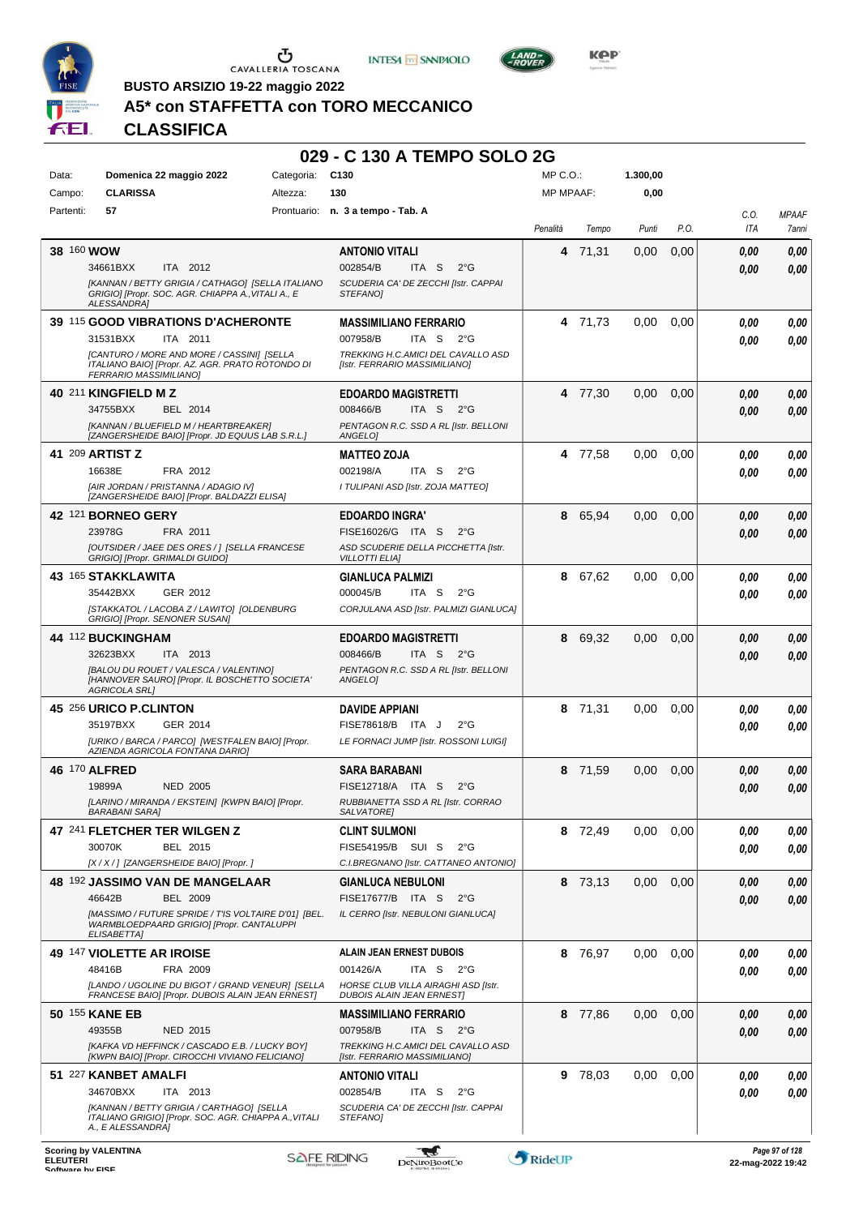





 $L$ AND<sub>=</sub>

**BUSTO ARSIZIO 19-22 maggio 2022**

### **A5\* con STAFFETTA con TORO MECCANICO**

|           |                                                                                                                               |            | 029 - C 130 A TEMPO SOLO 2G                                                                  |                  |         |          |      |             |                       |
|-----------|-------------------------------------------------------------------------------------------------------------------------------|------------|----------------------------------------------------------------------------------------------|------------------|---------|----------|------|-------------|-----------------------|
| Data:     | Domenica 22 maggio 2022                                                                                                       | Categoria: | C <sub>130</sub>                                                                             | MP C.O.:         |         | 1.300,00 |      |             |                       |
| Campo:    | <b>CLARISSA</b>                                                                                                               | Altezza:   | 130                                                                                          | <b>MP MPAAF:</b> |         | 0,00     |      |             |                       |
| Partenti: | 57                                                                                                                            |            | Prontuario: n. 3 a tempo - Tab. A                                                            | Penalità         | Tempo   | Punti    | P.O. | C.O.<br>ITA | <b>MPAAF</b><br>7anni |
|           | 38 160 WOW                                                                                                                    |            | <b>ANTONIO VITALI</b>                                                                        | 4                | 71,31   | 0,00     | 0,00 | 0.00        | 0.00                  |
|           | ITA 2012<br>34661BXX                                                                                                          |            | 002854/B<br>ITA S<br>$2^{\circ}G$                                                            |                  |         |          |      | 0,00        | 0.00                  |
|           | [KANNAN / BETTY GRIGIA / CATHAGO] [SELLA ITALIANO<br>GRIGIO] [Propr. SOC. AGR. CHIAPPA A., VITALI A., E<br><b>ALESSANDRA1</b> |            | SCUDERIA CA' DE ZECCHI [Istr. CAPPAI<br><b>STEFANOI</b>                                      |                  |         |          |      |             |                       |
|           | 39 115 GOOD VIBRATIONS D'ACHERONTE                                                                                            |            | <b>MASSIMILIANO FERRARIO</b>                                                                 |                  | 4 71,73 | 0,00     | 0,00 | 0.00        | 0.00                  |
|           | 31531BXX<br>ITA 2011                                                                                                          |            | 007958/B<br>ITA S<br>$2^{\circ}G$                                                            |                  |         |          |      | 0.00        | 0.00                  |
|           | [CANTURO / MORE AND MORE / CASSINI] [SELLA<br>ITALIANO BAIO] [Propr. AZ. AGR. PRATO ROTONDO DI<br>FERRARIO MASSIMILIANO]      |            | TREKKING H.C.AMICI DEL CAVALLO ASD<br>[Istr. FERRARIO MASSIMILIANO]                          |                  |         |          |      |             |                       |
|           | 40 211 KINGFIELD M Z                                                                                                          |            | <b>EDOARDO MAGISTRETTI</b>                                                                   |                  | 4 77,30 | 0,00     | 0,00 | 0,00        | 0.00                  |
|           | 34755BXX<br>BEL 2014<br>[KANNAN / BLUEFIELD M / HEARTBREAKER]<br>[ZANGERSHEIDE BAIO] [Propr. JD EQUUS LAB S.R.L.]             |            | 008466/B<br>ITA S<br>$2^{\circ}G$<br>PENTAGON R.C. SSD A RL [Istr. BELLONI<br><b>ANGELOI</b> |                  |         |          |      | 0,00        | 0.00                  |
|           | 41 209 ARTIST Z                                                                                                               |            | <b>MATTEO ZOJA</b>                                                                           |                  | 4 77,58 | 0.00     | 0.00 | 0.00        | 0.00                  |
|           | 16638E<br>FRA 2012                                                                                                            |            | ITA S<br>$2^{\circ}$ G<br>002198/A                                                           |                  |         |          |      | 0.00        | 0.00                  |
|           | [AIR JORDAN / PRISTANNA / ADAGIO IV]<br>[ZANGERSHEIDE BAIO] [Propr. BALDAZZI ELISA]                                           |            | I TULIPANI ASD [Istr. ZOJA MATTEO]                                                           |                  |         |          |      |             |                       |
|           | <b>42 121 BORNEO GERY</b>                                                                                                     |            | <b>EDOARDO INGRA'</b>                                                                        | 8                | 65,94   | 0.00     | 0,00 | 0,00        | 0.00                  |
|           | 23978G<br>FRA 2011                                                                                                            |            | FISE16026/G ITA S<br>$2^{\circ}G$                                                            |                  |         |          |      | 0.00        | 0.00                  |
|           | [OUTSIDER / JAEE DES ORES / ] [SELLA FRANCESE<br>GRIGIO] [Propr. GRIMALDI GUIDO]                                              |            | ASD SCUDERIE DELLA PICCHETTA [Istr.<br><b>VILLOTTI ELIAI</b>                                 |                  |         |          |      |             |                       |
|           | 43 165 STAKKLAWITA                                                                                                            |            | <b>GIANLUCA PALMIZI</b>                                                                      |                  | 8 67,62 | 0,00     | 0.00 | 0.00        | 0.00                  |
|           | GER 2012<br>35442BXX                                                                                                          |            | 000045/B<br>ITA S<br>$2^{\circ}G$                                                            |                  |         |          |      | 0.00        | 0.00                  |
|           | [STAKKATOL / LACOBA Z / LAWITO] [OLDENBURG<br>GRIGIO] [Propr. SENONER SUSAN]                                                  |            | CORJULANA ASD [Istr. PALMIZI GIANLUCA]                                                       |                  |         |          |      |             |                       |
|           | 44 112 BUCKINGHAM                                                                                                             |            | <b>EDOARDO MAGISTRETTI</b>                                                                   |                  | 8 69,32 | 0.00     | 0,00 | 0,00        | 0.00                  |
|           | 32623BXX<br>ITA 2013<br>[BALOU DU ROUET / VALESCA / VALENTINO]                                                                |            | 008466/B<br>ITA S<br>$2^{\circ}G$<br>PENTAGON R.C. SSD A RL [Istr. BELLONI                   |                  |         |          |      | 0.00        | 0.00                  |
|           | [HANNOVER SAURO] [Propr. IL BOSCHETTO SOCIETA'<br><b>AGRICOLA SRL1</b>                                                        |            | ANGELO]                                                                                      |                  |         |          |      |             |                       |
|           | 45 256 URICO P.CLINTON                                                                                                        |            | <b>DAVIDE APPIANI</b>                                                                        |                  | 8 71,31 | 0,00     | 0,00 | 0.00        | 0.00                  |
|           | 35197BXX<br>GER 2014                                                                                                          |            | FISE78618/B ITA J<br>$2^{\circ}G$                                                            |                  |         |          |      | 0.00        | 0.00                  |
|           | [URIKO / BARCA / PARCO] [WESTFALEN BAIO] [Propr.<br>AZIENDA AGRICOLA FONTANA DARIO]                                           |            | LE FORNACI JUMP [Istr. ROSSONI LUIGI]                                                        |                  |         |          |      |             |                       |
|           | 46 170 ALFRED                                                                                                                 |            | SARA BARABANI                                                                                |                  | 8 71,59 | 0,00     | 0,00 | 0,00        | 0.00                  |
|           | 19899A<br><b>NED 2005</b>                                                                                                     |            | FISE12718/A ITA S<br>$2^{\circ}$ G                                                           |                  |         |          |      | 0.00        | 0.00                  |
|           | [LARINO / MIRANDA / EKSTEIN] [KWPN BAIO] [Propr.<br><b>BARABANI SARA]</b>                                                     |            | RUBBIANETTA SSD A RL [Istr. CORRAO<br>SALVATORE]                                             |                  |         |          |      |             |                       |
|           | 47 241 FLETCHER TER WILGEN Z                                                                                                  |            | <b>CLINT SULMONI</b>                                                                         |                  | 8 72,49 | 0.00     | 0,00 | 0,00        | 0.00                  |
|           | 30070K<br>BEL 2015                                                                                                            |            | FISE54195/B SUI S<br>$2^{\circ}$ G                                                           |                  |         |          |      | 0.00        | 0.00                  |
|           | [X / X / ] [ZANGERSHEIDE BAIO] [Propr. ]                                                                                      |            | C.I.BREGNANO [Istr. CATTANEO ANTONIO]                                                        |                  |         |          |      |             |                       |
|           | 48 192 JASSIMO VAN DE MANGELAAR                                                                                               |            | <b>GIANLUCA NEBULONI</b>                                                                     |                  | 8 73,13 | 0,00     | 0,00 | 0,00        | 0.00                  |
|           | 46642B<br><b>BEL 2009</b><br>[MASSIMO / FUTURE SPRIDE / TIS VOLTAIRE D'01] [BEL.                                              |            | FISE17677/B ITA S<br>$2^{\circ}$ G<br>IL CERRO [Istr. NEBULONI GIANLUCA]                     |                  |         |          |      | 0.00        | 0.00                  |
|           | WARMBLOEDPAARD GRIGIO] [Propr. CANTALUPPI<br><b>ELISABETTAI</b>                                                               |            |                                                                                              |                  |         |          |      |             |                       |
|           | <b>49 147 VIOLETTE AR IROISE</b>                                                                                              |            | <b>ALAIN JEAN ERNEST DUBOIS</b>                                                              |                  | 8 76,97 | 0.00     | 0.00 | 0,00        | 0,00                  |
|           | 48416B<br>FRA 2009                                                                                                            |            | ITA S $2^{\circ}G$<br>001426/A                                                               |                  |         |          |      | 0.00        | 0.00                  |
|           | [LANDO / UGOLINE DU BIGOT / GRAND VENEUR] [SELLA<br>FRANCESE BAIO] [Propr. DUBOIS ALAIN JEAN ERNEST]                          |            | HORSE CLUB VILLA AIRAGHI ASD [Istr.<br><b>DUBOIS ALAIN JEAN ERNEST]</b>                      |                  |         |          |      |             |                       |
|           | 50 155 KANE EB                                                                                                                |            | <b>MASSIMILIANO FERRARIO</b>                                                                 |                  | 8 77,86 | 0,00     | 0,00 | 0,00        | 0,00                  |
|           | NED 2015<br>49355B                                                                                                            |            | 007958/B<br>ITA S $2^{\circ}G$                                                               |                  |         |          |      | 0.00        | 0,00                  |
|           | [KAFKA VD HEFFINCK / CASCADO E.B. / LUCKY BOY]<br>[KWPN BAIO] [Propr. CIROCCHI VIVIANO FELICIANO]                             |            | TREKKING H.C.AMICI DEL CAVALLO ASD<br>[Istr. FERRARIO MASSIMILIANO]                          |                  |         |          |      |             |                       |
|           | 51 227 KANBET AMALFI                                                                                                          |            | <b>ANTONIO VITALI</b>                                                                        |                  | 9 78,03 | 0.00     | 0,00 | 0.00        | 0,00                  |
|           | 34670BXX<br>ITA 2013                                                                                                          |            | 002854/B<br>ITA S<br>$2^{\circ}$ G                                                           |                  |         |          |      | 0.00        | 0,00                  |
|           | [KANNAN / BETTY GRIGIA / CARTHAGO] [SELLA<br>ITALIANO GRIGIO] [Propr. SOC. AGR. CHIAPPA A., VITALI<br>A., E ALESSANDRA]       |            | SCUDERIA CA' DE ZECCHI [Istr. CAPPAI<br>STEFANO]                                             |                  |         |          |      |             |                       |
|           |                                                                                                                               |            |                                                                                              |                  |         |          |      |             |                       |

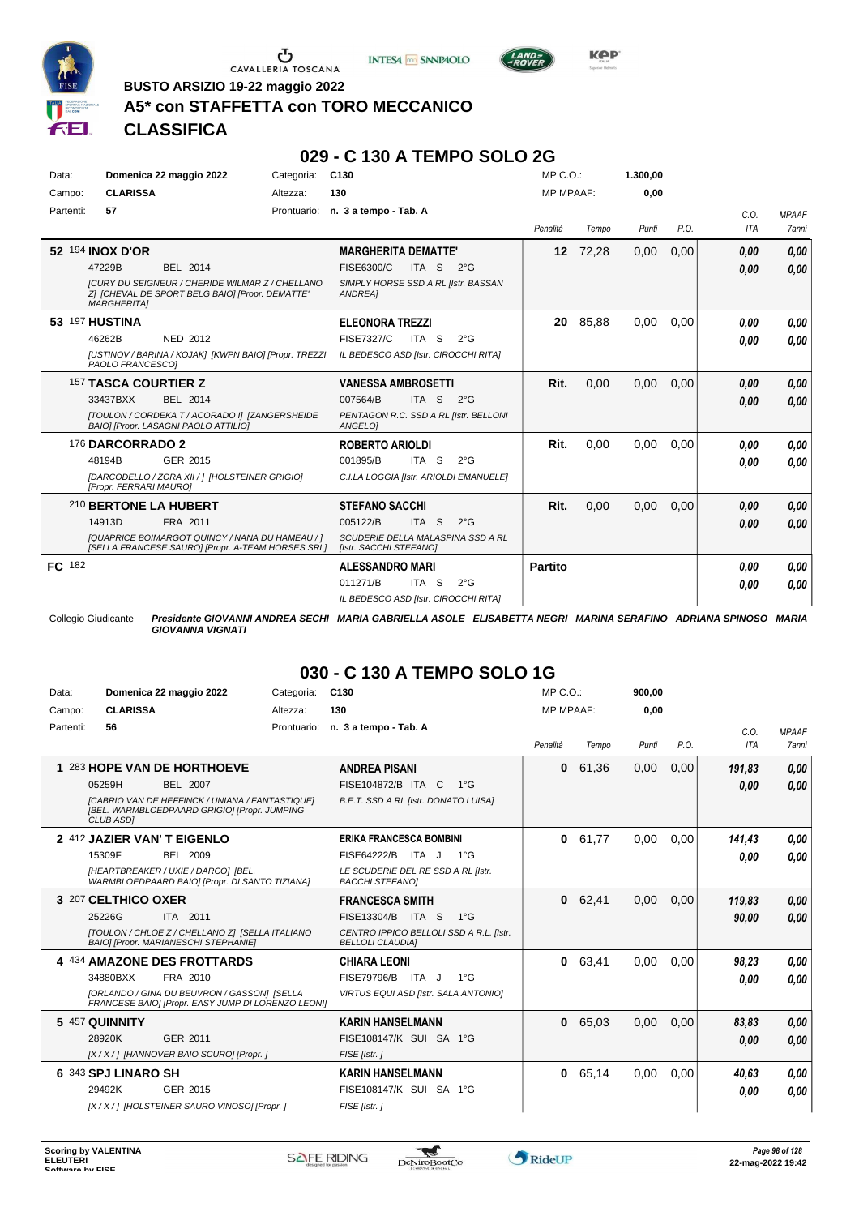





**BUSTO ARSIZIO 19-22 maggio 2022**

## **A5\* con STAFFETTA con TORO MECCANICO**

## **CLASSIFICA**

#### **029 - C 130 A TEMPO SOLO 2G**

| Data:     | Domenica 22 maggio 2022                                                                                                                                                   | Categoria:  | C <sub>130</sub>                                                                                                           | $MP C. O.$ :     |          | 1.300.00 |      |                    |                              |
|-----------|---------------------------------------------------------------------------------------------------------------------------------------------------------------------------|-------------|----------------------------------------------------------------------------------------------------------------------------|------------------|----------|----------|------|--------------------|------------------------------|
| Campo:    | <b>CLARISSA</b>                                                                                                                                                           | Altezza:    | 130                                                                                                                        | <b>MP MPAAF:</b> |          | 0.00     |      |                    |                              |
| Partenti: | 57                                                                                                                                                                        | Prontuario: | n. 3 a tempo - Tab. A                                                                                                      | Penalità         | Tempo    | Punti    | P.O. | C.0.<br><b>ITA</b> | <b>MPAAF</b><br><b>7anni</b> |
|           | 52 194 INOX D'OR<br><b>BEL 2014</b><br>47229B<br>[CURY DU SEIGNEUR / CHERIDE WILMAR Z / CHELLANO<br>Z] [CHEVAL DE SPORT BELG BAIO] [Propr. DEMATTE'<br><b>MARGHERITAI</b> |             | <b>MARGHERITA DEMATTE'</b><br>FISE6300/C<br>ITA S<br>$2^{\circ}$ G<br>SIMPLY HORSE SSD A RL [Istr. BASSAN<br>ANDREA]       |                  | 12 72,28 | 0,00     | 0,00 | 0.00<br>0.00       | 0,00<br>0,00                 |
|           | <b>53 197 HUSTINA</b><br>46262B<br>NED 2012<br>[USTINOV / BARINA / KOJAK] [KWPN BAIO] [Propr. TREZZI<br>PAOLO FRANCESCOI                                                  |             | <b>ELEONORA TREZZI</b><br><b>FISE7327/C</b><br>ITA S<br>$2^{\circ}$ G<br>IL BEDESCO ASD [Istr. CIROCCHI RITA]              | 20               | 85,88    | 0,00     | 0,00 | 0.00<br>0.00       | 0.00<br>0.00                 |
|           | <b>157 TASCA COURTIER Z</b><br>33437BXX<br>BEL 2014<br>[TOULON / CORDEKA T / ACORADO I] [ZANGERSHEIDE<br>BAIO] [Propr. LASAGNI PAOLO ATTILIO]                             |             | <b>VANESSA AMBROSETTI</b><br>007564/B<br>ITA S<br>$2^{\circ}G$<br>PENTAGON R.C. SSD A RL [Istr. BELLONI<br>ANGELOI         | Rit.             | 0.00     | 0.00     | 0.00 | 0,00<br>0.00       | 0,00<br>0,00                 |
|           | 176 DARCORRADO 2<br>48194B<br>GER 2015<br>[DARCODELLO / ZORA XII / 1 [HOLSTEINER GRIGIO]<br>[Propr. FERRARI MAURO]                                                        |             | <b>ROBERTO ARIOLDI</b><br>ITA S<br>001895/B<br>$2^{\circ}$ G<br>C.I.LA LOGGIA [Istr. ARIOLDI EMANUELE]                     | Rit.             | 0,00     | 0,00     | 0,00 | 0.00<br>0.00       | 0.00<br>0.00                 |
|           | 210 BERTONE LA HUBERT<br>FRA 2011<br>14913D<br><b>IQUAPRICE BOIMARGOT QUINCY / NANA DU HAMEAU / 1</b><br>[SELLA FRANCESE SAURO] [Propr. A-TEAM HORSES SRL]                |             | <b>STEFANO SACCHI</b><br>005122/B<br>ITA S<br>$2^{\circ}$ G<br>SCUDERIE DELLA MALASPINA SSD A RL<br>[Istr. SACCHI STEFANO] | Rit.             | 0.00     | 0.00     | 0,00 | 0.00<br>0.00       | 0.00<br>0,00                 |
| FC 182    |                                                                                                                                                                           |             | <b>ALESSANDRO MARI</b><br>011271/B<br>ITA <sub>S</sub><br>$2^{\circ}G$<br>IL BEDESCO ASD [Istr. CIROCCHI RITA]             | <b>Partito</b>   |          |          |      | 0.00<br>0.00       | 0.00<br>0.00                 |

Collegio Giudicante *Presidente GIOVANNI ANDREA SECHI MARIA GABRIELLA ASOLE ELISABETTA NEGRI MARINA SERAFINO ADRIANA SPINOSO MARIA GIOVANNA VIGNATI*

## **030 - C 130 A TEMPO SOLO 1G**

| Data:     | Domenica 22 maggio 2022                                                                                                    | Categoria:  | C <sub>130</sub>                                                   | $MP C. O.$ :     |       | 900.00 |      |        |              |
|-----------|----------------------------------------------------------------------------------------------------------------------------|-------------|--------------------------------------------------------------------|------------------|-------|--------|------|--------|--------------|
| Campo:    | <b>CLARISSA</b>                                                                                                            | Altezza:    | 130                                                                | <b>MP MPAAF:</b> |       | 0,00   |      |        |              |
| Partenti: | 56                                                                                                                         | Prontuario: | n. 3 a tempo - Tab. A                                              |                  |       |        |      | C.0.   | <b>MPAAF</b> |
|           |                                                                                                                            |             |                                                                    | Penalità         | Tempo | Punti  | P.O. | ITA    | <b>7anni</b> |
|           | 1 283 HOPE VAN DE HORTHOEVE                                                                                                |             | <b>ANDREA PISANI</b>                                               | 0                | 61,36 | 0,00   | 0,00 | 191,83 | 0,00         |
|           | 05259H<br><b>BEL 2007</b>                                                                                                  |             | FISE104872/B ITA C<br>$1^{\circ}G$                                 |                  |       |        |      | 0.00   | 0.00         |
|           | <b>ICABRIO VAN DE HEFFINCK / UNIANA / FANTASTIQUEI</b><br>[BEL. WARMBLOEDPAARD GRIGIO] [Propr. JUMPING<br><b>CLUB ASDI</b> |             | B.E.T. SSD A RL [Istr. DONATO LUISA]                               |                  |       |        |      |        |              |
|           | 2 412 JAZIER VAN'T EIGENLO                                                                                                 |             | <b>ERIKA FRANCESCA BOMBINI</b>                                     | $\bf{0}$         | 61,77 | 0,00   | 0.00 | 141.43 | 0.00         |
|           | 15309F<br>BEL 2009                                                                                                         |             | FISE64222/B ITA J<br>$1^{\circ}G$                                  |                  |       |        |      | 0.00   | 0.00         |
|           | [HEARTBREAKER / UXIE / DARCO] [BEL.<br>WARMBLOEDPAARD BAIO] [Propr. DI SANTO TIZIANA]                                      |             | LE SCUDERIE DEL RE SSD A RL [Istr.<br><b>BACCHI STEFANOI</b>       |                  |       |        |      |        |              |
|           | 3 207 CELTHICO OXER                                                                                                        |             | <b>FRANCESCA SMITH</b>                                             | 0                | 62,41 | 0,00   | 0,00 | 119,83 | 0,00         |
|           | 25226G<br>ITA 2011                                                                                                         |             | FISE13304/B<br>ITA S<br>$1^{\circ}G$                               |                  |       |        |      | 90.00  | 0.00         |
|           | ITOULON / CHLOE Z / CHELLANO Z] [SELLA ITALIANO<br><b>BAIOI [Propr. MARIANESCHI STEPHANIE]</b>                             |             | CENTRO IPPICO BELLOLI SSD A R.L. [Istr.<br><b>BELLOLI CLAUDIAI</b> |                  |       |        |      |        |              |
|           | 4 434 AMAZONE DES FROTTARDS                                                                                                |             | <b>CHIARA LEONI</b>                                                | 0                | 63,41 | 0,00   | 0,00 | 98.23  | 0.00         |
|           | 34880BXX<br>FRA 2010                                                                                                       |             | FISE79796/B<br>ITA J<br>$1^{\circ}G$                               |                  |       |        |      | 0.00   | 0.00         |
|           | [ORLANDO / GINA DU BEUVRON / GASSON] [SELLA<br>FRANCESE BAIO] [Propr. EASY JUMP DI LORENZO LEONI]                          |             | VIRTUS EQUI ASD [Istr. SALA ANTONIO]                               |                  |       |        |      |        |              |
|           | 5 457 QUINNITY                                                                                                             |             | <b>KARIN HANSELMANN</b>                                            | $\mathbf{0}$     | 65,03 | 0,00   | 0,00 | 83.83  | 0,00         |
|           | 28920K<br>GER 2011                                                                                                         |             | FISE108147/K SUI SA 1°G                                            |                  |       |        |      | 0,00   | 0,00         |
|           | [X / X / ] [HANNOVER BAIO SCURO] [Propr. ]                                                                                 |             | FISE [Istr.]                                                       |                  |       |        |      |        |              |
|           | 6 343 SPJ LINARO SH                                                                                                        |             | <b>KARIN HANSELMANN</b>                                            | 0                | 65,14 | 0,00   | 0,00 | 40,63  | 0.00         |
|           | 29492K<br>GER 2015                                                                                                         |             | FISE108147/K SUI SA 1°G                                            |                  |       |        |      | 0.00   | 0,00         |
|           | [X / X / ] [HOLSTEINER SAURO VINOSO] [Propr. ]                                                                             |             | FISE [Istr.]                                                       |                  |       |        |      |        |              |

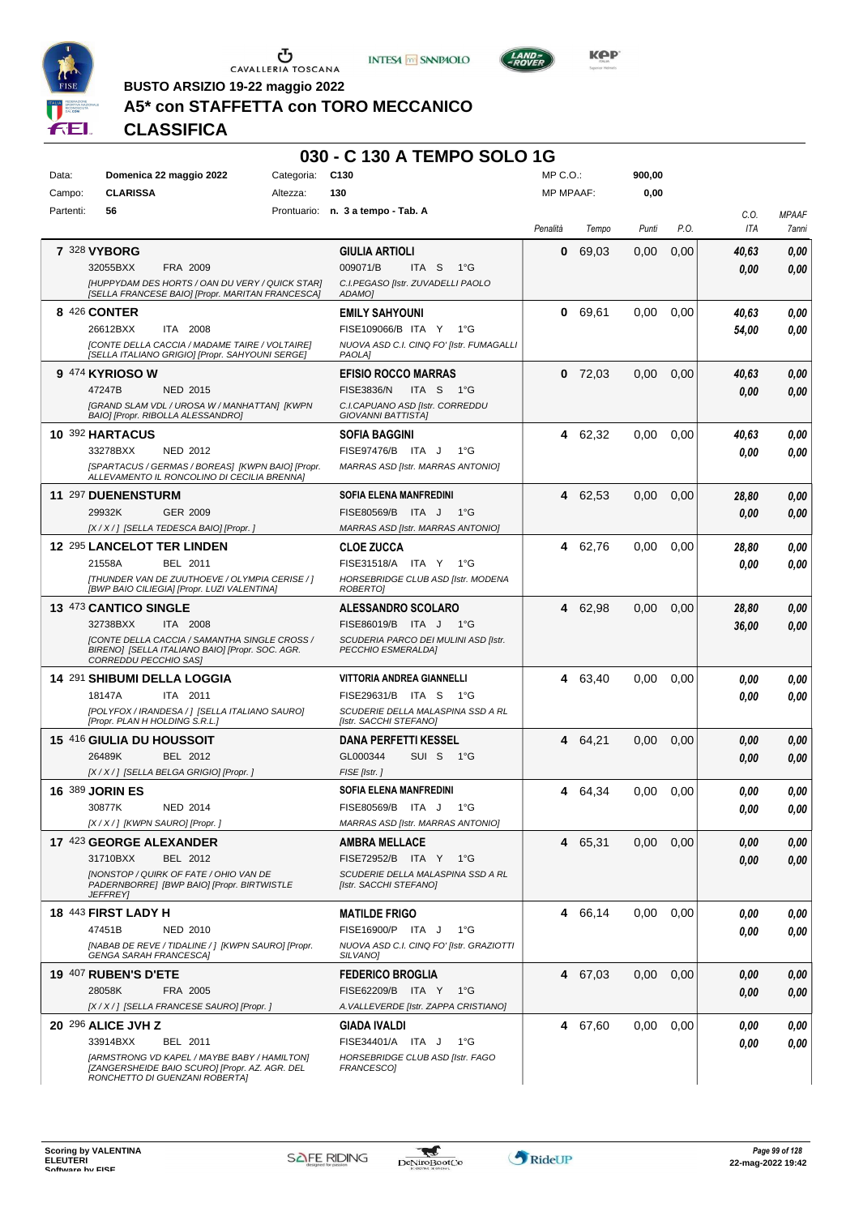





**Kep** 

**BUSTO ARSIZIO 19-22 maggio 2022**

## **A5\* con STAFFETTA con TORO MECCANICO**

**CLASSIFICA**

#### **030 - C 130 A TEMPO SOLO 1G**

| Data:     | Domenica 22 maggio 2022                                                                             | Categoria: | C <sub>130</sub>                                            | MP C.O.:         |           | 900,00 |      |       |              |
|-----------|-----------------------------------------------------------------------------------------------------|------------|-------------------------------------------------------------|------------------|-----------|--------|------|-------|--------------|
| Campo:    | <b>CLARISSA</b>                                                                                     | Altezza:   | 130                                                         | <b>MP MPAAF:</b> |           | 0,00   |      |       |              |
| Partenti: | 56                                                                                                  |            | Prontuario: n. 3 a tempo - Tab. A                           |                  |           |        |      | C.0.  | <b>MPAAF</b> |
|           |                                                                                                     |            |                                                             | Penalità         | Tempo     | Punti  | P.O. | ITA   | 7anni        |
|           |                                                                                                     |            |                                                             |                  |           |        |      |       |              |
|           | 7 328 VYBORG                                                                                        |            | <b>GIULIA ARTIOLI</b>                                       | 0                | 69.03     | 0,00   | 0,00 | 40,63 | 0,00         |
|           | 32055BXX<br>FRA 2009                                                                                |            | 009071/B<br>ITA S<br>$1^{\circ}G$                           |                  |           |        |      | 0.00  | 0,00         |
|           | [HUPPYDAM DES HORTS / OAN DU VERY / QUICK STAR]<br>ISELLA FRANCESE BAIO] [Propr. MARITAN FRANCESCA] |            | C.I.PEGASO [Istr. ZUVADELLI PAOLO<br>ADAMO]                 |                  |           |        |      |       |              |
|           |                                                                                                     |            |                                                             |                  |           |        |      |       |              |
|           | 8 426 CONTER                                                                                        |            | <b>EMILY SAHYOUNI</b>                                       | 0                | 69,61     | 0,00   | 0,00 | 40,63 | 0,00         |
|           | 26612BXX<br>ITA 2008                                                                                |            | FISE109066/B ITA Y<br>$1^{\circ}G$                          |                  |           |        |      | 54,00 | 0.00         |
|           | [CONTE DELLA CACCIA / MADAME TAIRE / VOLTAIRE]<br>[SELLA ITALIANO GRIGIO] [Propr. SAHYOUNI SERGE]   |            | NUOVA ASD C.I. CINQ FO' [Istr. FUMAGALLI<br><b>PAOLAI</b>   |                  |           |        |      |       |              |
|           | 9 474 KYRIOSO W                                                                                     |            | <b>EFISIO ROCCO MARRAS</b>                                  |                  | $0$ 72,03 | 0,00   | 0,00 | 40,63 | 0,00         |
|           | 47247B<br><b>NED 2015</b>                                                                           |            | ITA S<br><b>FISE3836/N</b><br>− 1°G                         |                  |           |        |      | 0.00  | 0,00         |
|           | [GRAND SLAM VDL / UROSA W / MANHATTAN] [KWPN                                                        |            | C.I.CAPUANO ASD [Istr. CORREDDU                             |                  |           |        |      |       |              |
|           | BAIO] [Propr. RIBOLLA ALESSANDRO]                                                                   |            | GIOVANNI BATTISTA]                                          |                  |           |        |      |       |              |
|           | 10 392 HARTACUS                                                                                     |            | <b>SOFIA BAGGINI</b>                                        | 4                | 62,32     | 0,00   | 0,00 | 40,63 | 0,00         |
|           | 33278BXX<br><b>NED 2012</b>                                                                         |            | FISE97476/B ITA J<br>$1^{\circ}G$                           |                  |           |        |      | 0.00  | 0,00         |
|           | [SPARTACUS / GERMAS / BOREAS] [KWPN BAIO] [Propr.<br>ALLEVAMENTO IL RONCOLINO DI CECILIA BRENNA]    |            | MARRAS ASD [Istr. MARRAS ANTONIO]                           |                  |           |        |      |       |              |
|           |                                                                                                     |            |                                                             |                  |           |        |      |       |              |
|           | 11 297 DUENENSTURM                                                                                  |            | <b>SOFIA ELENA MANFREDINI</b>                               | 4                | 62,53     | 0,00   | 0,00 | 28,80 | 0,00         |
|           | 29932K<br>GER 2009                                                                                  |            | FISE80569/B ITA J<br>1°G                                    |                  |           |        |      | 0.00  | 0,00         |
|           | [X / X / ] [SELLA TEDESCA BAIO] [Propr. ]                                                           |            | MARRAS ASD [Istr. MARRAS ANTONIO]                           |                  |           |        |      |       |              |
|           | <b>12 295 LANCELOT TER LINDEN</b>                                                                   |            | <b>CLOE ZUCCA</b>                                           | 4                | 62,76     | 0,00   | 0,00 | 28,80 | 0,00         |
|           | 21558A<br>BEL 2011                                                                                  |            | FISE31518/A ITA Y<br>1°G                                    |                  |           |        |      | 0.00  | 0,00         |
|           | [THUNDER VAN DE ZUUTHOEVE / OLYMPIA CERISE / ]<br>[BWP BAIO CILIEGIA] [Propr. LUZI VALENTINA]       |            | HORSEBRIDGE CLUB ASD [Istr. MODENA<br>ROBERTO]              |                  |           |        |      |       |              |
|           |                                                                                                     |            |                                                             |                  |           |        |      |       |              |
|           | 13 473 CANTICO SINGLE                                                                               |            | <b>ALESSANDRO SCOLARO</b>                                   | 4                | 62,98     | 0,00   | 0,00 | 28,80 | 0,00         |
|           | 32738BXX<br>ITA 2008<br><b>[CONTE DELLA CACCIA / SAMANTHA SINGLE CROSS /</b>                        |            | FISE86019/B ITA J 1°G                                       |                  |           |        |      | 36,00 | 0,00         |
|           | BIRENO] [SELLA ITALIANO BAIO] [Propr. SOC. AGR.                                                     |            | SCUDERIA PARCO DEI MULINI ASD [Istr.<br>PECCHIO ESMERALDA]  |                  |           |        |      |       |              |
|           | CORREDDU PECCHIO SAS]                                                                               |            |                                                             |                  |           |        |      |       |              |
|           | 14 291 SHIBUMI DELLA LOGGIA                                                                         |            | VITTORIA ANDREA GIANNELLI                                   | 4                | 63,40     | 0.00   | 0,00 | 0.00  | 0,00         |
|           | 18147A<br>ITA 2011                                                                                  |            | FISE29631/B ITA S<br>1°G                                    |                  |           |        |      | 0.00  | 0.00         |
|           | [POLYFOX / IRANDESA / ] [SELLA ITALIANO SAURO]<br>[Propr. PLAN H HOLDING S.R.L.]                    |            | SCUDERIE DELLA MALASPINA SSD A RL<br>[Istr. SACCHI STEFANO] |                  |           |        |      |       |              |
|           | 15 416 GIULIA DU HOUSSOIT                                                                           |            | <b>DANA PERFETTI KESSEL</b>                                 | 4                | 64,21     | 0,00   | 0,00 | 0,00  | 0,00         |
|           | 26489K<br>BEL 2012                                                                                  |            | GL000344<br>SUI S<br>$1^{\circ}G$                           |                  |           |        |      |       |              |
|           | [X / X / ] [SELLA BELGA GRIGIO] [Propr. ]                                                           |            | FISE [Istr.]                                                |                  |           |        |      | 0,00  | 0,00         |
|           | <b>16 389 JORIN ES</b>                                                                              |            | <b>SOFIA ELENA MANFREDINI</b>                               | 4                | 64,34     | 0.00   | 0,00 | 0.00  | 0,00         |
|           | 30877K<br><b>NED 2014</b>                                                                           |            | FISE80569/B ITA J<br>1°G                                    |                  |           |        |      |       |              |
|           |                                                                                                     |            |                                                             |                  |           |        |      | 0.00  | 0.00         |
|           | [X / X / ] [KWPN SAURO] [Propr.                                                                     |            | MARRAS ASD [Istr. MARRAS ANTONIO]                           |                  |           |        |      |       |              |
|           | 17 423 GEORGE ALEXANDER<br>31710BXX<br>BEL 2012                                                     |            | <b>AMBRA MELLACE</b><br>FISE72952/B ITA Y 1°G               |                  | 4 65,31   | 0.00   | 0,00 | 0,00  | 0,00         |
|           |                                                                                                     |            |                                                             |                  |           |        |      | 0.00  | 0,00         |
|           | [NONSTOP / QUIRK OF FATE / OHIO VAN DE<br>PADERNBORRE] [BWP BAIO] [Propr. BIRTWISTLE                |            | SCUDERIE DELLA MALASPINA SSD A RL<br>[Istr. SACCHI STEFANO] |                  |           |        |      |       |              |
|           | <b>JEFFREY</b>                                                                                      |            |                                                             |                  |           |        |      |       |              |
|           | 18 443 FIRST LADY H                                                                                 |            | <b>MATILDE FRIGO</b>                                        |                  | 4 66,14   | 0,00   | 0,00 | 0.00  | 0,00         |
|           | 47451B<br><b>NED 2010</b>                                                                           |            | FISE16900/P ITA J<br>$1^{\circ}G$                           |                  |           |        |      | 0.00  | 0,00         |
|           | [NABAB DE REVE / TIDALINE / 1 [KWPN SAURO] [Propr.<br><b>GENGA SARAH FRANCESCA]</b>                 |            | NUOVA ASD C.I. CINQ FO' [Istr. GRAZIOTTI<br>SILVANO]        |                  |           |        |      |       |              |
|           | 19 407 RUBEN'S D'ETE                                                                                |            | <b>FEDERICO BROGLIA</b>                                     |                  | 4 67,03   | 0,00   | 0,00 | 0.00  | 0,00         |
|           | 28058K<br>FRA 2005                                                                                  |            | FISE62209/B ITA Y<br>$1^{\circ}G$                           |                  |           |        |      | 0,00  | 0,00         |
|           | [X / X / ] [SELLA FRANCESE SAURO] [Propr. ]                                                         |            | A. VALLEVERDE [Istr. ZAPPA CRISTIANO]                       |                  |           |        |      |       |              |
|           | 20 296 ALICE JVH Z                                                                                  |            | <b>GIADA IVALDI</b>                                         |                  | 4 67,60   | 0,00   | 0,00 | 0.00  | 0,00         |
|           | 33914BXX<br>BEL 2011                                                                                |            | FISE34401/A ITA J<br>1°G                                    |                  |           |        |      |       | 0,00         |
|           | [ARMSTRONG VD KAPEL / MAYBE BABY / HAMILTON]                                                        |            | HORSEBRIDGE CLUB ASD [Istr. FAGO                            |                  |           |        |      | 0.00  |              |
|           | [ZANGERSHEIDE BAIO SCURO] [Propr. AZ. AGR. DEL<br>RONCHETTO DI GUENZANI ROBERTA]                    |            | FRANCESCO]                                                  |                  |           |        |      |       |              |

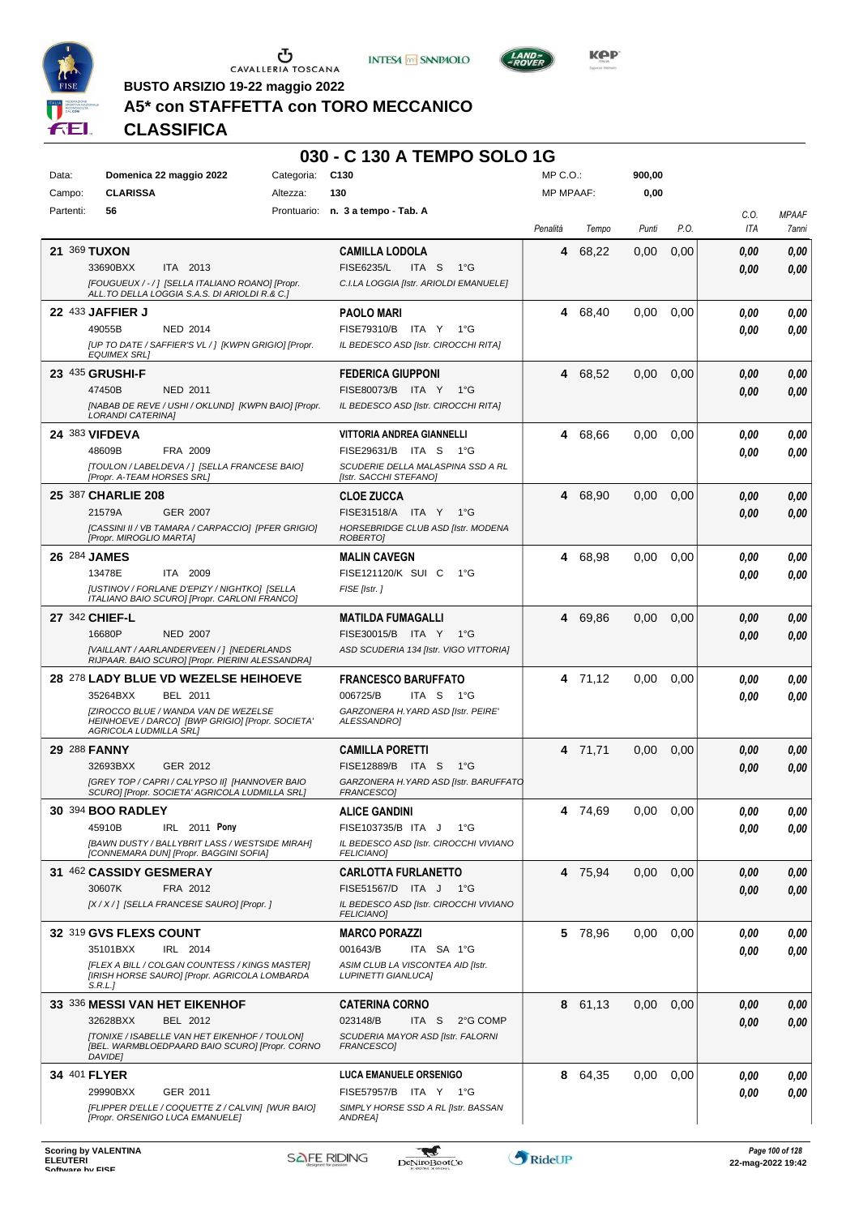





**Kep** 

## **A5\* con STAFFETTA con TORO MECCANICO**

|                |                                                                                                            |                 | 030 - C 130 A TEMPO SOLO 1G                                                  |                  |         |        |      |              |                       |
|----------------|------------------------------------------------------------------------------------------------------------|-----------------|------------------------------------------------------------------------------|------------------|---------|--------|------|--------------|-----------------------|
| Data:          | Domenica 22 maggio 2022                                                                                    | Categoria: C130 |                                                                              | MP C.O.:         |         | 900,00 |      |              |                       |
| Campo:         | <b>CLARISSA</b>                                                                                            | Altezza:        | 130                                                                          | <b>MP MPAAF:</b> |         | 0,00   |      |              |                       |
| Partenti:      | 56                                                                                                         |                 | Prontuario: n. 3 a tempo - Tab. A                                            | Penalità         | Tempo   | Punti  | P.O. | C.O.<br>ITA  | <b>MPAAF</b><br>7anni |
| 21 369 TUXON   |                                                                                                            |                 | <b>CAMILLA LODOLA</b>                                                        | 4                | 68,22   | 0,00   | 0,00 | 0.00         | 0,00                  |
|                | 33690BXX<br>ITA 2013                                                                                       |                 | <b>FISE6235/L</b><br>ITA S<br>$1^{\circ}G$                                   |                  |         |        |      | 0.00         | 0.00                  |
|                | [FOUGUEUX / - / ] [SELLA ITALIANO ROANO] [Propr.<br>ALL.TO DELLA LOGGIA S.A.S. DI ARIOLDI R.& C.]          |                 | C.I.LA LOGGIA [Istr. ARIOLDI EMANUELE]                                       |                  |         |        |      |              |                       |
|                | 22 433 JAFFIER J                                                                                           |                 | <b>PAOLO MARI</b>                                                            | 4                | 68,40   | 0,00   | 0,00 | 0.00         | 0,00                  |
|                | 49055B<br><b>NED 2014</b><br>[UP TO DATE / SAFFIER'S VL / ] [KWPN GRIGIO] [Propr.<br><b>EQUIMEX SRLI</b>   |                 | FISE79310/B ITA Y 1°G<br>IL BEDESCO ASD [Istr. CIROCCHI RITA]                |                  |         |        |      | 0.00         | 0.00                  |
|                | 23 435 GRUSHI-F                                                                                            |                 | <b>FEDERICA GIUPPONI</b>                                                     | 4                | 68,52   | 0,00   | 0,00 | 0.00         | 0,00                  |
|                | 47450B<br><b>NED 2011</b>                                                                                  |                 | FISE80073/B ITA Y 1°G                                                        |                  |         |        |      | 0.00         | 0,00                  |
|                | [NABAB DE REVE / USHI / OKLUND] [KWPN BAIO] [Propr.<br><b>LORANDI CATERINA]</b>                            |                 | IL BEDESCO ASD [Istr. CIROCCHI RITA]                                         |                  |         |        |      |              |                       |
|                | 24 383 VIFDEVA                                                                                             |                 | <b>VITTORIA ANDREA GIANNELLI</b>                                             | 4                | 68,66   | 0,00   | 0,00 | 0.00         | 0,00                  |
|                | 48609B<br>FRA 2009<br>[TOULON / LABELDEVA / 1 [SELLA FRANCESE BAIO]                                        |                 | FISE29631/B ITA S 1°G<br>SCUDERIE DELLA MALASPINA SSD A RL                   |                  |         |        |      | 0.00         | 0,00                  |
|                | <b>IPropr. A-TEAM HORSES SRLI</b>                                                                          |                 | [Istr. SACCHI STEFANO]                                                       |                  |         |        |      |              |                       |
|                | 25 387 CHARLIE 208<br>21579A<br><b>GER 2007</b>                                                            |                 | <b>CLOE ZUCCA</b>                                                            | 4                | 68,90   | 0,00   | 0,00 | 0.00         | 0,00                  |
|                | [CASSINI II / VB TAMARA / CARPACCIO] [PFER GRIGIO]                                                         |                 | FISE31518/A ITA Y 1°G<br>HORSEBRIDGE CLUB ASD [Istr. MODENA                  |                  |         |        |      | 0.00         | 0,00                  |
| 26 284 JAMES   | [Propr. MIROGLIO MARTA]                                                                                    |                 | <b>ROBERTOI</b><br><b>MALIN CAVEGN</b>                                       | 4                | 68,98   | 0,00   | 0,00 | 0.00         | 0,00                  |
|                | 13478E<br>ITA 2009                                                                                         |                 | FISE121120/K SUI C<br>$1^{\circ}G$                                           |                  |         |        |      | 0.00         | 0,00                  |
|                | [USTINOV / FORLANE D'EPIZY / NIGHTKO] [SELLA<br>ITALIANO BAIO SCURO] [Propr. CARLONI FRANCO]               |                 | FISE [Istr.]                                                                 |                  |         |        |      |              |                       |
| 27 342 CHIEF-L |                                                                                                            |                 | <b>MATILDA FUMAGALLI</b>                                                     |                  | 4 69,86 | 0,00   | 0,00 | 0.00         | 0,00                  |
|                | 16680P<br><b>NED 2007</b>                                                                                  |                 | FISE30015/B ITA Y 1°G                                                        |                  |         |        |      | 0.00         | 0.00                  |
|                | [VAILLANT / AARLANDERVEEN / ] [NEDERLANDS<br>RIJPAAR. BAIO SCURO] [Propr. PIERINI ALESSANDRA]              |                 | ASD SCUDERIA 134 [Istr. VIGO VITTORIA]                                       |                  |         |        |      |              |                       |
|                | 28 278 LADY BLUE VD WEZELSE HEIHOEVE                                                                       |                 | <b>FRANCESCO BARUFFATO</b>                                                   |                  | 4 71,12 | 0,00   | 0,00 | 0.00         | 0,00                  |
|                | 35264BXX<br>BEL 2011<br>[ZIROCCO BLUE / WANDA VAN DE WEZELSE                                               |                 | 006725/B<br>ITA S<br>1°G<br>GARZONERA H. YARD ASD [Istr. PEIRE'              |                  |         |        |      | 0.00         | 0.00                  |
|                | HEINHOEVE / DARCO] [BWP GRIGIO] [Propr. SOCIETA'<br>AGRICOLA LUDMILLA SRL]                                 |                 | ALESSANDRO]                                                                  |                  |         |        |      |              |                       |
| 29 288 FANNY   |                                                                                                            |                 | <b>CAMILLA PORETTI</b>                                                       | 4                | 71,71   | 0,00   | 0,00 | 0,00         | 0,00                  |
|                | 32693BXX<br>GER 2012<br>[GREY TOP / CAPRI / CALYPSO II] [HANNOVER BAIO                                     |                 | <b>FISE12889/B</b><br>ITA S<br>1°G<br>GARZONERA H. YARD ASD [Istr. BARUFFATO |                  |         |        |      | 0.00         | 0.00                  |
|                | SCUROJ ĮPropr. SOCIETA' AGRICOLA LUDMILLA SRLJ                                                             |                 | <b>FRANCESCOJ</b>                                                            |                  |         |        |      |              |                       |
|                | 30 394 BOO RADLEY<br>45910B<br>IRL 2011 Pony                                                               |                 | <b>ALICE GANDINI</b><br>FISE103735/B ITA J<br>1°G                            |                  | 4 74,69 | 0.00   | 0,00 | 0.00         | 0,00                  |
|                | [BAWN DUSTY / BALLYBRIT LASS / WESTSIDE MIRAH]                                                             |                 | IL BEDESCO ASD [Istr. CIROCCHI VIVIANO                                       |                  |         |        |      | 0.00         | 0,00                  |
|                | [CONNEMARA DUN] [Propr. BAGGINI SOFIA]<br>31 462 CASSIDY GESMERAY                                          |                 | <b>FELICIANO]</b>                                                            |                  |         |        |      |              |                       |
|                | 30607K<br>FRA 2012                                                                                         |                 | <b>CARLOTTA FURLANETTO</b><br>FISE51567/D ITA J 1°G                          |                  | 4 75,94 | 0,00   | 0,00 | 0.00<br>0.00 | 0,00<br>0,00          |
|                | [X / X / ] [SELLA FRANCESE SAURO] [Propr. ]                                                                |                 | IL BEDESCO ASD [Istr. CIROCCHI VIVIANO<br><b>FELICIANO]</b>                  |                  |         |        |      |              |                       |
|                | 32 319 GVS FLEXS COUNT                                                                                     |                 | <b>MARCO PORAZZI</b>                                                         |                  | 5 78,96 | 0,00   | 0,00 | 0.00         | 0,00                  |
|                | IRL 2014<br>35101BXX                                                                                       |                 | 001643/B<br>ITA SA 1°G                                                       |                  |         |        |      | 0.00         | 0,00                  |
|                | [FLEX A BILL / COLGAN COUNTESS / KINGS MASTER]<br>[IRISH HORSE SAURO] [Propr. AGRICOLA LOMBARDA<br>S.R.L.  |                 | ASIM CLUB LA VISCONTEA AID [Istr.<br><b>LUPINETTI GIANLUCAI</b>              |                  |         |        |      |              |                       |
|                | 33 336 MESSI VAN HET EIKENHOF                                                                              |                 | <b>CATERINA CORNO</b>                                                        |                  | 8 61,13 | 0,00   | 0,00 | 0.00         | 0,00                  |
|                | 32628BXX<br>BEL 2012                                                                                       |                 | 023148/B<br>ITA S<br>2°G COMP                                                |                  |         |        |      | 0.00         | 0,00                  |
|                | [TONIXE / ISABELLE VAN HET EIKENHOF / TOULON]<br>[BEL. WARMBLOEDPAARD BAIO SCURO] [Propr. CORNO<br>DAVIDE] |                 | SCUDERIA MAYOR ASD [Istr. FALORNI<br>FRANCESCO]                              |                  |         |        |      |              |                       |
| 34 401 FLYER   |                                                                                                            |                 | <b>LUCA EMANUELE ORSENIGO</b>                                                |                  | 8 64,35 | 0,00   | 0,00 | 0.00         | 0,00                  |
|                | GER 2011<br>29990BXX<br>[FLIPPER D'ELLE / COQUETTE Z / CALVIN] [WUR BAIO]                                  |                 | FISE57957/B ITA Y 1°G<br>SIMPLY HORSE SSD A RL [Istr. BASSAN                 |                  |         |        |      | 0.00         | 0,00                  |
|                | [Propr. ORSENIGO LUCA EMANUELE]                                                                            |                 | ANDREA]                                                                      |                  |         |        |      |              |                       |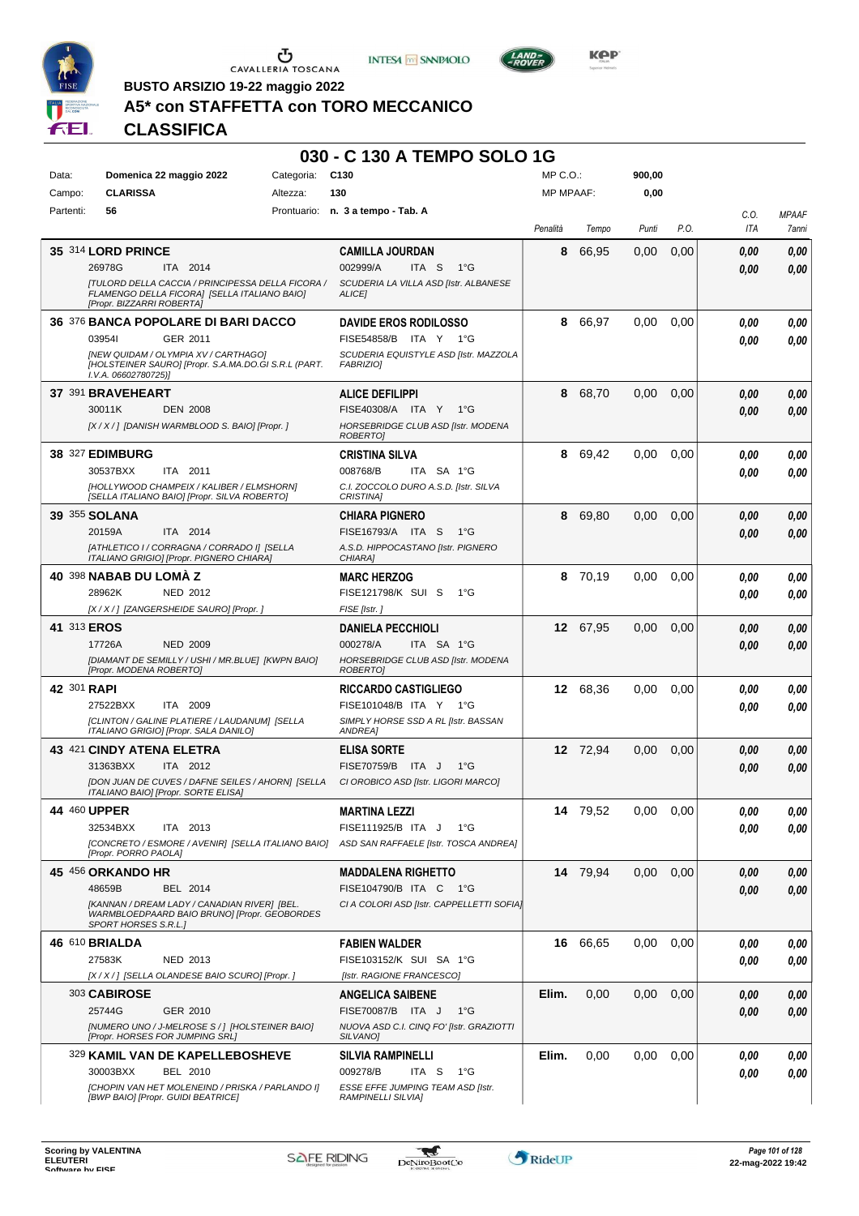





**Kep** 

**BUSTO ARSIZIO 19-22 maggio 2022**

## **A5\* con STAFFETTA con TORO MECCANICO**

|           |                                                                                                                                       |            | 030 - C 130 A TEMPO SOLO 1G                                                              |                  |          |        |      |      |              |
|-----------|---------------------------------------------------------------------------------------------------------------------------------------|------------|------------------------------------------------------------------------------------------|------------------|----------|--------|------|------|--------------|
| Data:     | Domenica 22 maggio 2022                                                                                                               | Categoria: | C <sub>130</sub>                                                                         | $MP C. O.$ :     |          | 900,00 |      |      |              |
| Campo:    | <b>CLARISSA</b>                                                                                                                       | Altezza:   | 130                                                                                      | <b>MP MPAAF:</b> |          | 0,00   |      |      |              |
| Partenti: | 56                                                                                                                                    |            | Prontuario: n. 3 a tempo - Tab. A                                                        |                  |          |        |      | C.O. | <b>MPAAF</b> |
|           |                                                                                                                                       |            |                                                                                          | Penalità         | Tempo    | Punti  | P.O. | ITA  | 7anni        |
|           | 35 314 LORD PRINCE                                                                                                                    |            | <b>CAMILLA JOURDAN</b>                                                                   | 8                | 66,95    | 0,00   | 0,00 | 0.00 | 0,00         |
|           | 26978G<br>ITA 2014                                                                                                                    |            | 002999/A<br>ITA <sub>S</sub><br>$1^{\circ}G$                                             |                  |          |        |      | 0.00 | 0,00         |
|           | <b>[TULORD DELLA CACCIA / PRINCIPESSA DELLA FICORA /</b><br>FLAMENGO DELLA FICORA] [SELLA ITALIANO BAIO]<br>[Propr. BIZZARRI ROBERTA] |            | SCUDERIA LA VILLA ASD [Istr. ALBANESE<br><b>ALICEI</b>                                   |                  |          |        |      |      |              |
|           | 36 376 BANCA POPOLARE DI BARI DACCO                                                                                                   |            | <b>DAVIDE EROS RODILOSSO</b>                                                             | 8                | 66,97    | 0,00   | 0,00 | 0.00 | 0,00         |
|           | 039541<br>GER 2011                                                                                                                    |            | FISE54858/B ITA Y 1°G                                                                    |                  |          |        |      | 0.00 | 0,00         |
|           | <b>INEW QUIDAM / OLYMPIA XV / CARTHAGOI</b><br>[HOLSTEINER SAURO] [Propr. S.A.MA.DO.GI S.R.L (PART.<br>I.V.A. 06602780725)]           |            | SCUDERIA EQUISTYLE ASD [Istr. MAZZOLA<br><b>FABRIZIOI</b>                                |                  |          |        |      |      |              |
|           | 37 391 BRAVEHEART                                                                                                                     |            | <b>ALICE DEFILIPPI</b>                                                                   | 8                | 68,70    | 0.00   | 0,00 | 0,00 | 0,00         |
|           | 30011K<br><b>DEN 2008</b>                                                                                                             |            | FISE40308/A ITA Y<br>$1^{\circ}G$                                                        |                  |          |        |      | 0.00 | 0,00         |
|           | [X / X / ] [DANISH WARMBLOOD S. BAIO] [Propr. ]                                                                                       |            | HORSEBRIDGE CLUB ASD [Istr. MODENA<br><b>ROBERTOI</b>                                    |                  |          |        |      |      |              |
|           | <b>38 327 EDIMBURG</b>                                                                                                                |            | <b>CRISTINA SILVA</b>                                                                    | 8.               | 69,42    | 0.00   | 0,00 | 0.00 | 0,00         |
|           | 30537BXX<br>ITA 2011                                                                                                                  |            | 008768/B<br>ITA SA 1°G                                                                   |                  |          |        |      | 0.00 | 0,00         |
|           | [HOLLYWOOD CHAMPEIX / KALIBER / ELMSHORN]<br>[SELLA ITALIANO BAIO] [Propr. SILVA ROBERTO]                                             |            | C.I. ZOCCOLO DURO A.S.D. [Istr. SILVA<br><b>CRISTINA1</b>                                |                  |          |        |      |      |              |
|           | 39 355 SOLANA                                                                                                                         |            | <b>CHIARA PIGNERO</b>                                                                    | 8                | 69,80    | 0.00   | 0.00 | 0,00 | 0,00         |
|           | 20159A<br>ITA 2014                                                                                                                    |            | FISE16793/A ITA S<br>$1^{\circ}G$                                                        |                  |          |        |      | 0.00 | 0,00         |
|           | [ATHLETICO I / CORRAGNA / CORRADO I] [SELLA<br>ITALIANO GRIGIO] [Propr. PIGNERO CHIARA]                                               |            | A.S.D. HIPPOCASTANO [Istr. PIGNERO<br>CHIARA]                                            |                  |          |        |      |      |              |
|           | 40 398 NABAB DU LOMA Z                                                                                                                |            | <b>MARC HERZOG</b>                                                                       | 8                | 70.19    | 0.00   | 0,00 | 0,00 | 0,00         |
|           | 28962K<br>NED 2012                                                                                                                    |            | FISE121798/K SUI S<br>$1^{\circ}G$                                                       |                  |          |        |      | 0.00 | 0.00         |
|           | [X / X / ] [ZANGERSHEIDE SAURO] [Propr. ]                                                                                             |            | FISE [Istr.]                                                                             |                  |          |        |      |      |              |
|           | 41 313 EROS                                                                                                                           |            | <b>DANIELA PECCHIOLI</b>                                                                 |                  | 12 67,95 | 0,00   | 0.00 | 0,00 | 0,00         |
|           | 17726A<br><b>NED 2009</b>                                                                                                             |            | 000278/A<br>ITA SA 1°G                                                                   |                  |          |        |      | 0.00 | 0,00         |
|           | [DIAMANT DE SEMILLY / USHI / MR.BLUE] [KWPN BAIO]<br>[Propr. MODENA ROBERTO]                                                          |            | HORSEBRIDGE CLUB ASD [Istr. MODENA<br><b>ROBERTOI</b>                                    |                  |          |        |      |      |              |
|           | 42 301 RAPI                                                                                                                           |            | <b>RICCARDO CASTIGLIEGO</b>                                                              |                  | 12 68,36 | 0.00   | 0,00 | 0,00 | 0,00         |
|           | 27522BXX<br>ITA 2009                                                                                                                  |            | FISE101048/B ITA Y 1°G                                                                   |                  |          |        |      | 0.00 | 0.00         |
|           | [CLINTON / GALINE PLATIERE / LAUDANUM] [SELLA<br>ITALIANO GRIGIO] [Propr. SALA DANILO]                                                |            | SIMPLY HORSE SSD A RL [Istr. BASSAN<br>ANDREA]                                           |                  |          |        |      |      |              |
|           | 43 421 CINDY ATENA ELETRA                                                                                                             |            | <b>ELISA SORTE</b>                                                                       |                  | 12 72,94 | 0,00   | 0,00 | 0,00 | 0,00         |
|           | 31363BXX<br>ITA 2012                                                                                                                  |            | <b>FISE70759/B</b><br>ITA J<br>$1^{\circ}G$                                              |                  |          |        |      | 0.00 | 0,00         |
|           | [DON JUAN DE CUVES / DAFNE SEILES / AHORN] [SELLA<br>ITALIANO BAIO] [Propr. SORTE ELISA]                                              |            | CI OROBICO ASD [Istr. LIGORI MARCO]                                                      |                  |          |        |      |      |              |
|           | 44 460 UPPER                                                                                                                          |            | <b>MARTINA LEZZI</b>                                                                     |                  | 14 79,52 | 0.00   | 0.00 | 0,00 | 0,00         |
|           | 32534BXX<br>ITA 2013                                                                                                                  |            | FISE111925/B ITA J<br>$1^{\circ}G$                                                       |                  |          |        |      | 0.00 | 0.00         |
|           | [Propr. PORRO PAOLA]                                                                                                                  |            | [CONCRETO / ESMORE / AVENIR] [SELLA ITALIANO BAIO] ASD SAN RAFFAELE [Istr. TOSCA ANDREA] |                  |          |        |      |      |              |
|           | 45 456 ORKANDO HR                                                                                                                     |            | <b>MADDALENA RIGHETTO</b>                                                                |                  | 14 79,94 | 0.00   | 0,00 | 0,00 | 0,00         |
|           | 48659B<br>BEL 2014                                                                                                                    |            | FISE104790/B ITA C<br>− 1°G                                                              |                  |          |        |      | 0.00 | 0.00         |
|           | [KANNAN / DREAM LADY / CANADIAN RIVER] [BEL.<br>WARMBLOEDPAARD BAIO BRUNO] [Propr. GEOBORDES<br>SPORT HORSES S.R.L.]                  |            | CI A COLORI ASD [Istr. CAPPELLETTI SOFIA]                                                |                  |          |        |      |      |              |
|           | 46 610 BRIALDA                                                                                                                        |            | <b>FABIEN WALDER</b>                                                                     |                  | 16 66,65 | 0.00   | 0,00 | 0.00 | 0,00         |
|           | 27583K<br>NED 2013                                                                                                                    |            | FISE103152/K SUI SA 1°G                                                                  |                  |          |        |      | 0.00 | 0,00         |
|           | [X / X / ] [SELLA OLANDESE BAIO SCURO] [Propr. ]                                                                                      |            | [Istr. RAGIONE FRANCESCO]                                                                |                  |          |        |      |      |              |
|           | 303 CABIROSE                                                                                                                          |            | <b>ANGELICA SAIBENE</b>                                                                  | Elim.            | 0,00     | 0.00   | 0,00 | 0,00 | 0,00         |
|           | 25744G<br>GER 2010                                                                                                                    |            | FISE70087/B ITA J<br>$1^{\circ}G$                                                        |                  |          |        |      | 0.00 | 0.00         |
|           | [NUMERO UNO / J-MELROSE S / ] [HOLSTEINER BAIO]<br>[Propr. HORSES FOR JUMPING SRL]                                                    |            | NUOVA ASD C.I. CINQ FO' [Istr. GRAZIOTTI<br>SILVANO]                                     |                  |          |        |      |      |              |
|           | 329 KAMIL VAN DE KAPELLEBOSHEVE                                                                                                       |            | <b>SILVIA RAMPINELLI</b>                                                                 | Elim.            | 0,00     | 0.00   | 0,00 | 0.00 | 0,00         |
|           | 30003BXX<br>BEL 2010                                                                                                                  |            | 009278/B<br>ITA S<br>1°G                                                                 |                  |          |        |      | 0.00 | 0,00         |
|           | [CHOPIN VAN HET MOLENEIND / PRISKA / PARLANDO I]<br>[BWP BAIO] [Propr. GUIDI BEATRICE]                                                |            | ESSE EFFE JUMPING TEAM ASD [Istr.<br>RAMPINELLI SILVIA]                                  |                  |          |        |      |      |              |

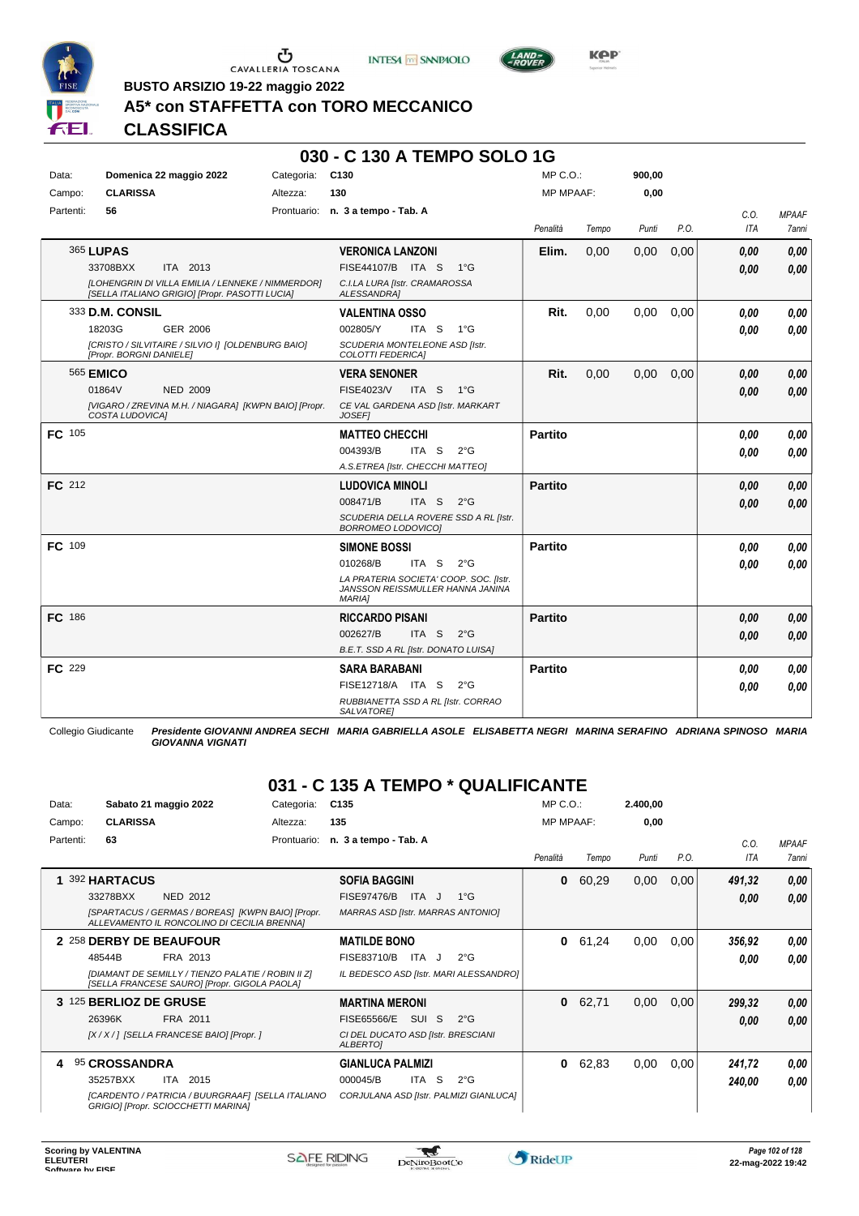

Ⴠ CAVALLERIA TOSCANA





**BUSTO ARSIZIO 19-22 maggio 2022**

#### **A5\* con STAFFETTA con TORO MECCANICO**

## **CLASSIFICA**

#### **030 - C 130 A TEMPO SOLO 1G**

| Data:     | Domenica 22 maggio 2022                                                                             | Categoria: | C <sub>130</sub>                                                                            | $MP C. O.$ :     |       | 900,00 |      |            |              |
|-----------|-----------------------------------------------------------------------------------------------------|------------|---------------------------------------------------------------------------------------------|------------------|-------|--------|------|------------|--------------|
| Campo:    | <b>CLARISSA</b>                                                                                     | Altezza:   | 130                                                                                         | <b>MP MPAAF:</b> |       | 0,00   |      |            |              |
| Partenti: | 56                                                                                                  |            | Prontuario: n. 3 a tempo - Tab. A                                                           |                  |       |        |      | C.O.       | <b>MPAAF</b> |
|           |                                                                                                     |            |                                                                                             | Penalità         | Tempo | Punti  | P.O. | <b>ITA</b> | 7anni        |
|           | <b>365 LUPAS</b>                                                                                    |            | <b>VERONICA LANZONI</b>                                                                     | Elim.            | 0.00  | 0,00   | 0,00 | 0.00       | 0,00         |
|           | ITA 2013<br>33708BXX                                                                                |            | FISE44107/B ITA S<br>$1^{\circ}G$                                                           |                  |       |        |      | 0.00       | 0,00         |
|           | [LOHENGRIN DI VILLA EMILIA / LENNEKE / NIMMERDOR]<br>[SELLA ITALIANO GRIGIO] [Propr. PASOTTI LUCIA] |            | C.I.LA LURA [Istr. CRAMAROSSA<br>ALESSANDRA]                                                |                  |       |        |      |            |              |
|           | 333 D.M. CONSIL                                                                                     |            | <b>VALENTINA OSSO</b>                                                                       | Rit.             | 0,00  | 0,00   | 0,00 | 0.00       | 0,00         |
|           | 18203G<br><b>GER 2006</b>                                                                           |            | 002805/Y<br>ITA S<br>$1^{\circ}G$                                                           |                  |       |        |      | 0.00       | 0.00         |
|           | [CRISTO / SILVITAIRE / SILVIO I] [OLDENBURG BAIO]<br>[Propr. BORGNI DANIELE]                        |            | SCUDERIA MONTELEONE ASD [Istr.<br>COLOTTI FEDERICA]                                         |                  |       |        |      |            |              |
|           | 565 <b>EMICO</b>                                                                                    |            | <b>VERA SENONER</b>                                                                         | Rit.             | 0,00  | 0,00   | 0,00 | 0.00       | 0,00         |
|           | 01864V<br><b>NED 2009</b>                                                                           |            | FISE4023/V<br>ITA S<br>$1^{\circ}G$                                                         |                  |       |        |      | 0.00       | 0,00         |
|           | [VIGARO / ZREVINA M.H. / NIAGARA] [KWPN BAIO] [Propr.<br>COSTA LUDOVICAI                            |            | CE VAL GARDENA ASD [Istr. MARKART<br><b>JOSEF1</b>                                          |                  |       |        |      |            |              |
| FC 105    |                                                                                                     |            | <b>MATTEO CHECCHI</b>                                                                       | Partito          |       |        |      | 0.00       | 0,00         |
|           |                                                                                                     |            | 004393/B<br>ITA S<br>$2^{\circ}G$                                                           |                  |       |        |      | 0.00       | 0.00         |
|           |                                                                                                     |            | A.S.ETREA [Istr. CHECCHI MATTEO]                                                            |                  |       |        |      |            |              |
| FC 212    |                                                                                                     |            | <b>LUDOVICA MINOLI</b>                                                                      | <b>Partito</b>   |       |        |      | 0.00       | 0,00         |
|           |                                                                                                     |            | 008471/B<br>ITA S<br>$2^{\circ}$ G                                                          |                  |       |        |      | 0.00       | 0.00         |
|           |                                                                                                     |            | SCUDERIA DELLA ROVERE SSD A RL [Istr.<br><b>BORROMEO LODOVICO]</b>                          |                  |       |        |      |            |              |
| FC 109    |                                                                                                     |            | <b>SIMONE BOSSI</b>                                                                         | <b>Partito</b>   |       |        |      | 0.00       | 0,00         |
|           |                                                                                                     |            | 010268/B<br>ITA S<br>$2^{\circ}G$                                                           |                  |       |        |      | 0.00       | 0.00         |
|           |                                                                                                     |            | LA PRATERIA SOCIETA' COOP. SOC. [Istr.<br>JANSSON REISSMULLER HANNA JANINA<br><b>MARIAI</b> |                  |       |        |      |            |              |
| FC 186    |                                                                                                     |            | <b>RICCARDO PISANI</b>                                                                      | <b>Partito</b>   |       |        |      | 0.00       | 0,00         |
|           |                                                                                                     |            | ITA S<br>002627/B<br>$2^{\circ}G$                                                           |                  |       |        |      | 0.00       | 0.00         |
|           |                                                                                                     |            | B.E.T. SSD A RL [Istr. DONATO LUISA]                                                        |                  |       |        |      |            |              |
| FC 229    |                                                                                                     |            | <b>SARA BARABANI</b>                                                                        | <b>Partito</b>   |       |        |      | 0.00       | 0,00         |
|           |                                                                                                     |            | FISE12718/A ITA S<br>$2^{\circ}G$                                                           |                  |       |        |      | 0.00       | 0,00         |
|           |                                                                                                     |            | RUBBIANETTA SSD A RL [Istr. CORRAO<br><b>SALVATOREI</b>                                     |                  |       |        |      |            |              |

Collegio Giudicante *Presidente GIOVANNI ANDREA SECHI MARIA GABRIELLA ASOLE ELISABETTA NEGRI MARINA SERAFINO ADRIANA SPINOSO MARIA GIOVANNA VIGNATI*

## **031 - C 135 A TEMPO \* QUALIFICANTE**

| Data:     | Sabato 21 maggio 2022                                                                              | Categoria:  | C <sub>135</sub>                                      |               | $MP C. O.$ :     |       | 2.400,00 |      |        |              |
|-----------|----------------------------------------------------------------------------------------------------|-------------|-------------------------------------------------------|---------------|------------------|-------|----------|------|--------|--------------|
| Campo:    | <b>CLARISSA</b>                                                                                    | Altezza:    | 135                                                   |               | <b>MP MPAAF:</b> |       | 0,00     |      |        |              |
| Partenti: | 63                                                                                                 | Prontuario: | n. 3 a tempo - Tab. A                                 |               |                  |       |          |      | C.0.   | <b>MPAAF</b> |
|           |                                                                                                    |             |                                                       |               | Penalità         | Tempo | Punti    | P.O. | ITA    | 7anni        |
|           | <b>392 HARTACUS</b>                                                                                |             | <b>SOFIA BAGGINI</b>                                  |               | 0                | 60,29 | 0,00     | 0,00 | 491,32 | 0,00         |
|           | 33278BXX<br>NED 2012                                                                               |             | <b>FISE97476/B</b><br>ITA J                           | $1^{\circ}G$  |                  |       |          |      | 0,00   | 0,00         |
|           | [SPARTACUS / GERMAS / BOREAS] [KWPN BAIO] [Propr.<br>ALLEVAMENTO IL RONCOLINO DI CECILIA BRENNA]   |             | <b>MARRAS ASD [Istr. MARRAS ANTONIO]</b>              |               |                  |       |          |      |        |              |
|           | 2 258 DERBY DE BEAUFOUR                                                                            |             | <b>MATILDE BONO</b>                                   |               | 0                | 61,24 | 0,00     | 0,00 | 356,92 | 0,00         |
|           | 48544B<br>FRA 2013                                                                                 |             | FISE83710/B<br>ITA J                                  | $2^{\circ}$ G |                  |       |          |      | 0.00   | 0.00         |
|           | [DIAMANT DE SEMILLY / TIENZO PALATIE / ROBIN II Z]<br>[SELLA FRANCESE SAURO] [Propr. GIGOLA PAOLA] |             | IL BEDESCO ASD [Istr. MARI ALESSANDRO]                |               |                  |       |          |      |        |              |
|           | 3 125 BERLIOZ DE GRUSE                                                                             |             | <b>MARTINA MERONI</b>                                 |               | 0                | 62,71 | 0,00     | 0,00 | 299,32 | 0,00         |
|           | 26396K<br>FRA 2011                                                                                 |             | FISE65566/E<br>SUI S                                  | $2^{\circ}$ G |                  |       |          |      | 0.00   | 0,00         |
|           | [X / X / ] [SELLA FRANCESE BAIO] [Propr. ]                                                         |             | CI DEL DUCATO ASD [Istr. BRESCIANI<br><b>ALBERTOI</b> |               |                  |       |          |      |        |              |
| 4         | 95 CROSSANDRA                                                                                      |             | <b>GIANLUCA PALMIZI</b>                               |               | 0                | 62,83 | 0,00     | 0,00 | 241,72 | 0,00         |
|           | 35257BXX<br>ITA 2015                                                                               |             | ITA<br>S<br>000045/B                                  | $2^{\circ}G$  |                  |       |          |      | 240,00 | 0,00         |
|           | [CARDENTO / PATRICIA / BUURGRAAF] [SELLA ITALIANO<br>GRIGIO] [Propr. SCIOCCHETTI MARINA]           |             | CORJULANA ASD [Istr. PALMIZI GIANLUCA]                |               |                  |       |          |      |        |              |

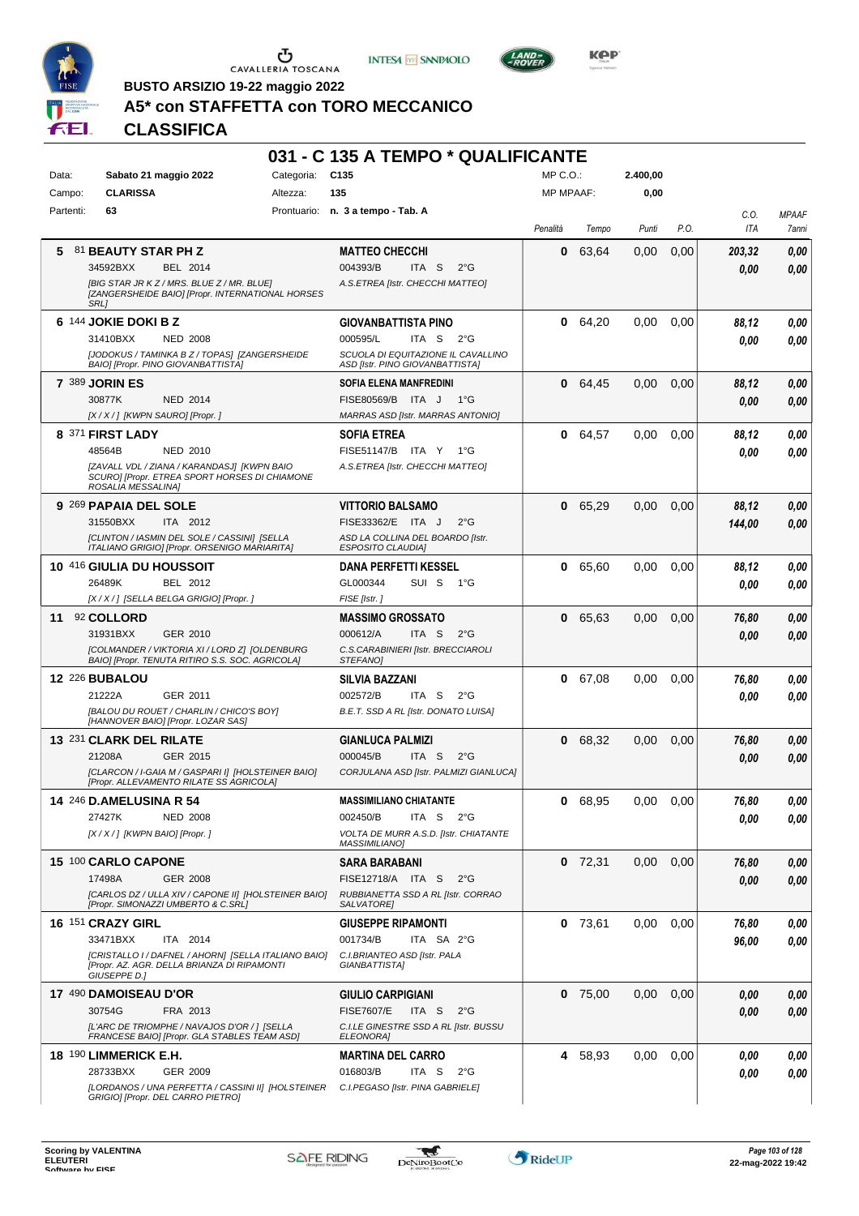





**Kep** 

**BUSTO ARSIZIO 19-22 maggio 2022 A5\* con STAFFETTA con TORO MECCANICO**

|           |                                  |                                                                                                     |            | 031 - C 135 A TEMPO * QUALIFICANTE                                    |                  |           |               |      |        |                     |
|-----------|----------------------------------|-----------------------------------------------------------------------------------------------------|------------|-----------------------------------------------------------------------|------------------|-----------|---------------|------|--------|---------------------|
| Data:     | Sabato 21 maggio 2022            |                                                                                                     | Categoria: | C <sub>135</sub>                                                      | $MP C. O.$ :     |           | 2.400.00      |      |        |                     |
| Campo:    | <b>CLARISSA</b>                  |                                                                                                     | Altezza:   | 135                                                                   | <b>MP MPAAF:</b> |           | 0,00          |      |        |                     |
| Partenti: | 63                               |                                                                                                     |            | Prontuario: n. 3 a tempo - Tab. A                                     |                  |           |               |      | C.O.   | <b>MPAAF</b>        |
|           |                                  |                                                                                                     |            |                                                                       | Penalità         | Tempo     | Punti         | P.O. | ITA    | <i><b>7anni</b></i> |
| 5         | 81 BEAUTY STAR PH Z              |                                                                                                     |            | <b>MATTEO CHECCHI</b>                                                 | 0                | 63,64     | 0,00          | 0,00 | 203,32 | 0,00                |
|           | 34592BXX                         | BEL 2014                                                                                            |            | 004393/B<br>ITA S<br>$2^{\circ}$ G                                    |                  |           |               |      | 0.00   | 0,00                |
|           |                                  | [BIG STAR JR K Z / MRS. BLUE Z / MR. BLUE]                                                          |            | A.S.ETREA [Istr. CHECCHI MATTEO]                                      |                  |           |               |      |        |                     |
|           | <b>SRL1</b>                      | [ZANGERSHEIDE BAIO] [Propr. INTERNATIONAL HORSES                                                    |            |                                                                       |                  |           |               |      |        |                     |
|           | 6 144 JOKIE DOKI B Z             |                                                                                                     |            | <b>GIOVANBATTISTA PINO</b>                                            | 0                | 64,20     | 0,00          | 0,00 | 88,12  | 0,00                |
|           | 31410BXX                         | <b>NED 2008</b>                                                                                     |            | 000595/L<br>ITA S<br>$2^{\circ}G$                                     |                  |           |               |      | 0.00   | 0.00                |
|           |                                  | [JODOKUS / TAMINKA B Z / TOPAS] [ZANGERSHEIDE<br>BAIO] [Propr. PINO GIOVANBATTISTA]                 |            | SCUOLA DI EQUITAZIONE IL CAVALLINO<br>ASD [Istr. PINO GIOVANBATTISTA] |                  |           |               |      |        |                     |
|           | <b>7 389 JORIN ES</b>            |                                                                                                     |            | <b>SOFIA ELENA MANFREDINI</b>                                         | 0                | 64,45     | 0,00          | 0,00 | 88,12  | 0,00                |
|           | 30877K                           | <b>NED 2014</b>                                                                                     |            | FISE80569/B ITA J<br>1°G                                              |                  |           |               |      | 0.00   | 0,00                |
|           | [X / X / ] [KWPN SAURO] [Propr.] |                                                                                                     |            | MARRAS ASD [Istr. MARRAS ANTONIO]                                     |                  |           |               |      |        |                     |
|           | 8 371 FIRST LADY                 |                                                                                                     |            | <b>SOFIA ETREA</b>                                                    | 0                | 64,57     | 0,00          | 0,00 | 88.12  | 0,00                |
|           | 48564B                           | NED 2010                                                                                            |            | FISE51147/B ITA Y<br>1°G                                              |                  |           |               |      | 0.00   | 0.00                |
|           |                                  | [ZAVALL VDL / ZIANA / KARANDASJ] [KWPN BAIO                                                         |            | A.S.ETREA [Istr. CHECCHI MATTEO]                                      |                  |           |               |      |        |                     |
|           | ROSALIA MESSALINA]               | SCURO] [Propr. ETREA SPORT HORSES DI CHIAMONE                                                       |            |                                                                       |                  |           |               |      |        |                     |
|           | 9 269 PAPAIA DEL SOLE            |                                                                                                     |            | <b>VITTORIO BALSAMO</b>                                               | 0                | 65,29     | 0.00          | 0,00 | 88,12  | 0,00                |
|           | 31550BXX                         | ITA 2012                                                                                            |            | FISE33362/E ITA J<br>$2^{\circ}$ G                                    |                  |           |               |      | 144,00 | 0.00                |
|           |                                  | [CLINTON / IASMIN DEL SOLE / CASSINI] [SELLA<br>ITALIANO GRIGIO] [Propr. ORSENIGO MARIARITA]        |            | ASD LA COLLINA DEL BOARDO [Istr.<br><b>ESPOSITO CLAUDIAI</b>          |                  |           |               |      |        |                     |
|           | 10 416 GIULIA DU HOUSSOIT        |                                                                                                     |            | <b>DANA PERFETTI KESSEL</b>                                           | 0                | 65,60     | 0,00          | 0,00 | 88,12  | 0,00                |
|           | 26489K                           | BEL 2012                                                                                            |            | GL000344<br>SUI S<br>1°G                                              |                  |           |               |      | 0.00   | 0,00                |
|           |                                  | [X / X / ] [SELLA BELGA GRIGIO] [Propr. ]                                                           |            | FISE [Istr.]                                                          |                  |           |               |      |        |                     |
|           | 11 92 COLLORD                    |                                                                                                     |            | <b>MASSIMO GROSSATO</b>                                               | 0                | 65,63     | 0,00          | 0,00 | 76,80  | 0,00                |
|           | 31931BXX                         | GER 2010                                                                                            |            | 000612/A<br>ITA <sub>S</sub><br>$2^{\circ}G$                          |                  |           |               |      | 0.00   | 0.00                |
|           |                                  | [COLMANDER / VIKTORIA XI / LORD Z] [OLDENBURG<br>BAIO] [Propr. TENUTA RITIRO S.S. SOC. AGRICOLA]    |            | C.S.CARABINIERI [Istr. BRECCIAROLI<br>STEFANO]                        |                  |           |               |      |        |                     |
|           | <b>12 226 BUBALOU</b>            |                                                                                                     |            | <b>SILVIA BAZZANI</b>                                                 | 0                | 67,08     | 0.00          | 0,00 | 76,80  | 0,00                |
|           | 21222A                           | GER 2011                                                                                            |            | 002572/B<br>ITA S<br>$2^{\circ}G$                                     |                  |           |               |      | 0.00   | 0.00                |
|           |                                  | [BALOU DU ROUET / CHARLIN / CHICO'S BOY]<br>[HANNOVER BAIO] [Propr. LOZAR SAS]                      |            | B.E.T. SSD A RL [Istr. DONATO LUISA]                                  |                  |           |               |      |        |                     |
|           | 13 231 CLARK DEL RILATE          |                                                                                                     |            | <b>GIANLUCA PALMIZI</b>                                               | 0                | 68,32     | 0,00          | 0,00 | 76,80  | 0,00                |
|           | 21208A                           | GER 2015                                                                                            |            | 000045/B<br>ITA <sub>S</sub><br>$2^{\circ}$ G                         |                  |           |               |      | 0.00   | 0.00                |
|           |                                  | [CLARCON / I-GAIA M / GASPARI I] [HOLSTEINER BAIO]<br>[Propr. ALLEVAMENTO RILATE SS AGRICOLA]       |            | CORJULANA ASD [Istr. PALMIZI GIANLUCA]                                |                  |           |               |      |        |                     |
|           | 14 246 D.AMELUSINA R 54          |                                                                                                     |            | <b>MASSIMILIANO CHIATANTE</b>                                         | 0                | 68,95     | $0,00$ $0,00$ |      | 76,80  | 0,00                |
|           | 27427K                           | <b>NED 2008</b>                                                                                     |            | 002450/B<br>ITA S<br>$2^{\circ}$ G                                    |                  |           |               |      | 0.00   | 0,00                |
|           | [X / X / ] [KWPN BAIO] [Propr. ] |                                                                                                     |            | VOLTA DE MURR A.S.D. [Istr. CHIATANTE                                 |                  |           |               |      |        |                     |
|           |                                  |                                                                                                     |            | <b>MASSIMILIANO]</b>                                                  |                  |           |               |      |        |                     |
|           | 15 100 CARLO CAPONE              |                                                                                                     |            | <b>SARA BARABANI</b>                                                  |                  | $0$ 72,31 | 0,00          | 0,00 | 76,80  | 0,00                |
|           | 17498A                           | GER 2008                                                                                            |            | FISE12718/A ITA S<br>$2^{\circ}$ G                                    |                  |           |               |      | 0.00   | 0,00                |
|           |                                  | [CARLOS DZ / ULLA XIV / CAPONE II] [HOLSTEINER BAIO]<br>[Propr. SIMONAZZI UMBERTO & C.SRL]          |            | RUBBIANETTA SSD A RL [Istr. CORRAO<br>SALVATORE]                      |                  |           |               |      |        |                     |
|           | 16 151 CRAZY GIRL                |                                                                                                     |            | <b>GIUSEPPE RIPAMONTI</b>                                             |                  | $0$ 73,61 | 0.00          | 0.00 | 76,80  | 0,00                |
|           | 33471BXX                         | ITA 2014                                                                                            |            | 001734/B<br>ITA SA 2°G                                                |                  |           |               |      | 96,00  | 0,00                |
|           |                                  | [CRISTALLO I / DAFNEL / AHORN] [SELLA ITALIANO BAIO]<br>[Propr. AZ. AGR. DELLA BRIANZA DI RIPAMONTI |            | C.I.BRIANTEO ASD [Istr. PALA<br>GIANBATTISTA]                         |                  |           |               |      |        |                     |
|           | GIUSEPPE D.]                     |                                                                                                     |            |                                                                       |                  |           |               |      |        |                     |
|           | 17 490 DAMOISEAU D'OR            |                                                                                                     |            | <b>GIULIO CARPIGIANI</b>                                              |                  | $0$ 75,00 | 0,00          | 0,00 | 0,00   | 0,00                |
|           | 30754G                           | FRA 2013                                                                                            |            | <b>FISE7607/E</b><br>ITA S<br>$2^{\circ}$ G                           |                  |           |               |      | 0.00   | 0,00                |
|           |                                  | [L'ARC DE TRIOMPHE / NAVAJOS D'OR / ] [SELLA<br>FRANCESE BAIO] [Propr. GLA STABLES TEAM ASD]        |            | C.I.LE GINESTRE SSD A RL [Istr. BUSSU<br>ELEONORA]                    |                  |           |               |      |        |                     |
|           | <b>18 190 LIMMERICK E.H.</b>     |                                                                                                     |            | <b>MARTINA DEL CARRO</b>                                              |                  | 4 58,93   | 0,00          | 0,00 | 0.00   | 0,00                |
|           | 28733BXX                         | GER 2009                                                                                            |            | 016803/B<br>ITA S<br>$2^{\circ}$ G                                    |                  |           |               |      | 0.00   | 0,00                |
|           |                                  | [LORDANOS / UNA PERFETTA / CASSINI II] [HOLSTEINER<br>GRIGIO] [Propr. DEL CARRO PIETRO]             |            | C.I.PEGASO [Istr. PINA GABRIELE]                                      |                  |           |               |      |        |                     |

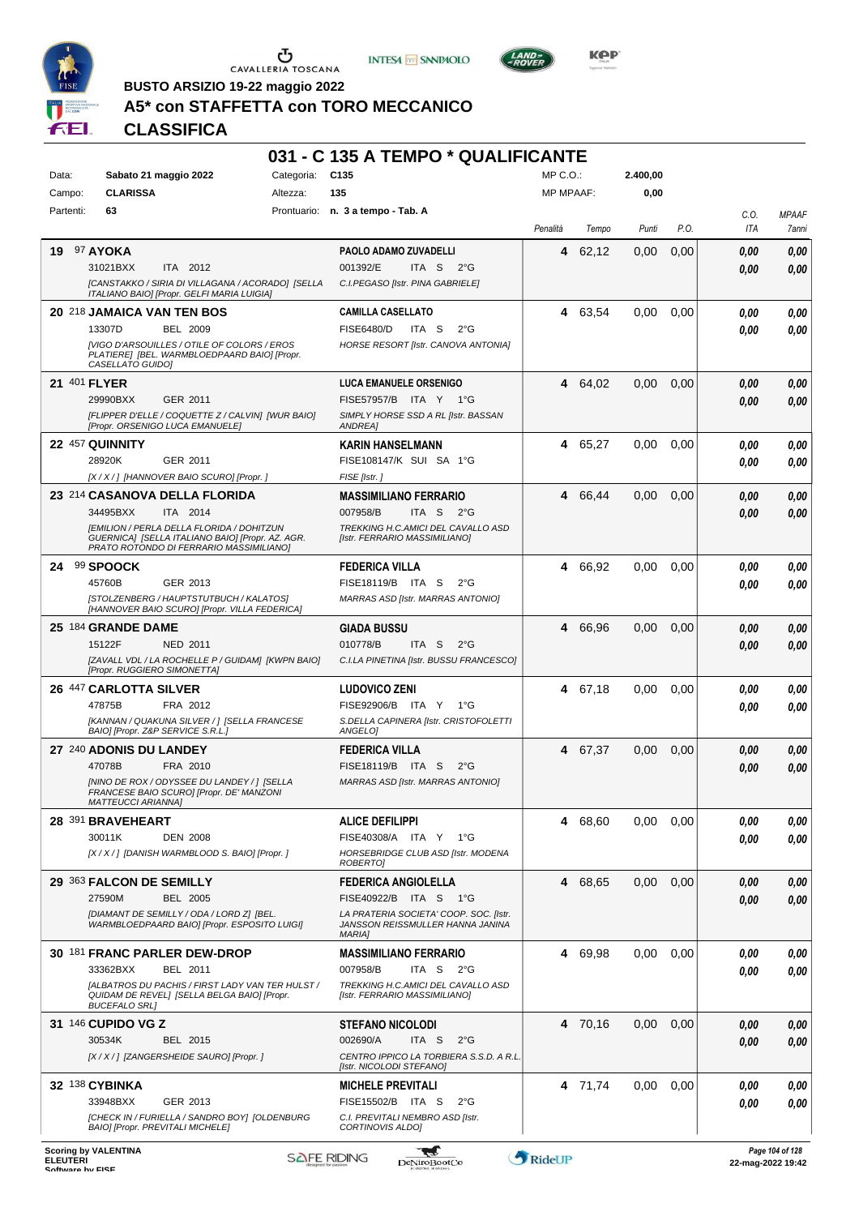





**KOP** 

**BUSTO ARSIZIO 19-22 maggio 2022**

## **A5\* con STAFFETTA con TORO MECCANICO**

| Data:               | Sabato 21 maggio 2022                                                                                                                                                                             | Categoria:         | 031 - C 135 A TEMPO * QUALIFICANTE<br>C <sub>135</sub>                                                                                               | $MP C. O.$ :     |         | 2.400,00 |      |                      |                       |
|---------------------|---------------------------------------------------------------------------------------------------------------------------------------------------------------------------------------------------|--------------------|------------------------------------------------------------------------------------------------------------------------------------------------------|------------------|---------|----------|------|----------------------|-----------------------|
| Campo:              | <b>CLARISSA</b>                                                                                                                                                                                   | Altezza:           | 135                                                                                                                                                  | <b>MP MPAAF:</b> |         | 0,00     |      |                      |                       |
| Partenti:           | 63                                                                                                                                                                                                |                    | Prontuario: n. 3 a tempo - Tab. A                                                                                                                    | Penalità         | Tempo   | Punti    | P.O. | C.O.<br>ITA          | <b>MPAAF</b><br>7anni |
|                     | <b>19 97 AYOKA</b><br>31021BXX<br>ITA 2012<br>[CANSTAKKO / SIRIA DI VILLAGANA / ACORADO] [SELLA<br>ITALIANO BAIO] [Propr. GELFI MARIA LUIGIA]                                                     |                    | PAOLO ADAMO ZUVADELLI<br>001392/E<br>ITA S<br>$2^{\circ}$ G<br>C.I.PEGASO [Istr. PINA GABRIELE]                                                      |                  | 4 62,12 | 0,00     | 0,00 | 0,00<br>0.00         | 0,00<br>0.00          |
|                     | 20 218 JAMAICA VAN TEN BOS<br>13307D<br><b>BEL 2009</b><br><b>IVIGO D'ARSOUILLES / OTILE OF COLORS / EROS</b><br>PLATIERE] [BEL. WARMBLOEDPAARD BAIO] [Propr.<br>CASELLATO GUIDO]                 |                    | <b>CAMILLA CASELLATO</b><br><b>FISE6480/D</b><br>ITA S<br>$2^{\circ}$ G<br>HORSE RESORT [Istr. CANOVA ANTONIA]                                       |                  | 4 63,54 | 0,00     | 0.00 | 0,00<br>0.00         | 0,00<br>0.00          |
| <b>21 401 FLYER</b> | 29990BXX<br>GER 2011<br>[FLIPPER D'ELLE / COQUETTE Z / CALVIN] [WUR BAIO]<br>[Propr. ORSENIGO LUCA EMANUELE]                                                                                      |                    | <b>LUCA EMANUELE ORSENIGO</b><br>FISE57957/B ITA Y 1°G<br>SIMPLY HORSE SSD A RL [Istr. BASSAN<br><b>ANDREA]</b>                                      |                  | 4 64,02 | 0,00     | 0.00 | 0,00<br>0.00         | 0,00<br>0,00          |
|                     | 22 457 QUINNITY<br>28920K<br>GER 2011<br>[X / X / ] [HANNOVER BAIO SCURO] [Propr. ]                                                                                                               |                    | <b>KARIN HANSELMANN</b><br>FISE108147/K SUI SA 1°G<br>FISE [Istr.]                                                                                   |                  | 4 65,27 | 0,00     | 0.00 | 0.00<br>0.00         | 0.00<br>0.00          |
|                     | 23 214 CASANOVA DELLA FLORIDA<br>34495BXX<br>ITA 2014<br>[EMILION / PERLA DELLA FLORIDA / DOHITZUN<br>GUERNICA] [SELLA ITALIANO BAIO] [Propr. AZ. AGR.<br>PRATO ROTONDO DI FERRARIO MASSIMILIANO] |                    | <b>MASSIMILIANO FERRARIO</b><br>007958/B<br>ITA <sub>S</sub><br>$2^{\circ}$ G<br>TREKKING H.C.AMICI DEL CAVALLO ASD<br>[Istr. FERRARIO MASSIMILIANO] |                  | 4 66,44 | 0,00     | 0,00 | 0,00<br>0.00         | 0,00<br>0,00          |
|                     | 24 99 SPOOCK<br>45760B<br>GER 2013<br>[STOLZENBERG / HAUPTSTUTBUCH / KALATOS]<br>[HANNOVER BAIO SCURO] [Propr. VILLA FEDERICA]                                                                    |                    | FEDERICA VILLA<br>FISE18119/B ITA S<br>$2^{\circ}G$<br>MARRAS ASD [Istr. MARRAS ANTONIO]                                                             |                  | 4 66.92 | 0,00     | 0,00 | 0.00<br>0,00         | 0.00<br>0.00          |
|                     | 25 184 GRANDE DAME<br>15122F<br><b>NED 2011</b><br>[ZAVALL VDL / LA ROCHELLE P / GUIDAM] [KWPN BAIO]<br>[Propr. RUGGIERO SIMONETTA]                                                               |                    | <b>GIADA BUSSU</b><br>010778/B<br>ITA S<br>$2^{\circ}$ G<br>C.I.LA PINETINA [Istr. BUSSU FRANCESCO]                                                  |                  | 4 66,96 | 0,00     | 0,00 | 0,00<br>0,00         | 0,00<br>0.00          |
|                     | 26 447 CARLOTTA SILVER<br>47875B<br>FRA 2012<br>[KANNAN / QUAKUNA SILVER / ] [SELLA FRANCESE<br>BAIO] [Propr. Z&P SERVICE S.R.L.]                                                                 |                    | <b>LUDOVICO ZENI</b><br>FISE92906/B ITA Y<br>1°G<br>S.DELLA CAPINERA [Istr. CRISTOFOLETTI<br>ANGELO]                                                 |                  | 4 67,18 | 0.00     | 0,00 | 0,00<br>0.00         | 0,00<br>0.00          |
|                     | 27 240 ADONIS DU LANDEY<br>47078B<br>FRA 2010<br>[NINO DE ROX / ODYSSEE DU LANDEY / ] [SELLA<br>FRANCESE BAIO SCURO] [Propr. DE' MANZONI<br><b>MATTEUCCI ARIANNA]</b>                             |                    | FEDERICA VILLA<br>FISE18119/B ITA S<br>$2^{\circ}$ G<br>MARRAS ASD [Istr. MARRAS ANTONIO]                                                            |                  | 4 67,37 | 0,00     | 0,00 | 0,00<br>0.00         | 0,00<br>0.00          |
|                     | 28 391 BRAVEHEART<br><b>DEN 2008</b><br>30011K<br>[X / X / ] [DANISH WARMBLOOD S. BAIO] [Propr. ]                                                                                                 |                    | <b>ALICE DEFILIPPI</b><br>FISE40308/A ITA Y 1°G<br>HORSEBRIDGE CLUB ASD [Istr. MODENA<br>ROBERTO]                                                    |                  | 4 68,60 | 0,00     | 0,00 | 0,00<br>0.00         | 0,00<br>0.00          |
|                     | 29 363 FALCON DE SEMILLY<br>27590M<br>BEL 2005<br>IDIAMANT DE SEMILLY / ODA / LORD ZI IBEL.<br>WARMBLOEDPAARD BAIO] [Propr. ESPOSITO LUIGI]                                                       |                    | <b>FEDERICA ANGIOLELLA</b><br>FISE40922/B ITA S 1°G<br>LA PRATERIA SOCIETA' COOP. SOC. [Istr.<br>JANSSON REISSMULLER HANNA JANINA<br><b>MARIA1</b>   | 4                | 68,65   | 0,00     | 0,00 | 0,00<br>0.00         | 0,00<br>0.00          |
|                     | 30 181 FRANC PARLER DEW-DROP<br>33362BXX<br>BEL 2011<br>[ALBATROS DU PACHIS / FIRST LADY VAN TER HULST /<br>QUIDAM DE REVEL] [SELLA BELGA BAIO] [Propr.<br><b>BUCEFALO SRL1</b>                   |                    | <b>MASSIMILIANO FERRARIO</b><br>007958/B<br>ITA S<br>$2^{\circ}$ G<br>TREKKING H.C.AMICI DEL CAVALLO ASD<br>[Istr. FERRARIO MASSIMILIANO]            |                  | 4 69,98 | 0,00     | 0,00 | 0,00<br>0.00         | 0,00<br>0.00          |
|                     | <b>31 146 CUPIDO VG Z</b><br>30534K<br>BEL 2015<br>[X / X / ] [ZANGERSHEIDE SAURO] [Propr. ]                                                                                                      |                    | <b>STEFANO NICOLODI</b><br>002690/A<br>ITA S<br>$2^{\circ}$ G<br>CENTRO IPPICO LA TORBIERA S.S.D. A R.L.<br>[Istr. NICOLODI STEFANO]                 |                  | 4 70,16 | 0,00     | 0.00 | 0,00<br>0.00         | 0,00<br>0,00          |
|                     | 32 138 CYBINKA<br>33948BXX<br>GER 2013<br>[CHECK IN / FURIELLA / SANDRO BOY] [OLDENBURG<br>BAIO] [Propr. PREVITALI MICHELE]                                                                       |                    | <b>MICHELE PREVITALI</b><br>FISE15502/B ITA S<br>$2^{\circ}$ G<br>C.I. PREVITALI NEMBRO ASD [Istr.<br>CORTINOVIS ALDO]                               |                  | 4 71,74 | 0,00     | 0.00 | 0,00<br>0.00         | 0,00<br>0.00          |
| <b>ELEUTERI</b>     | <b>Scoring by VALENTINA</b>                                                                                                                                                                       | <b>SAFE RIDING</b> | DeNiroBoot('o                                                                                                                                        | RideUP           |         |          |      | $22$ -man-2022 19:42 | Page 104 of 128       |

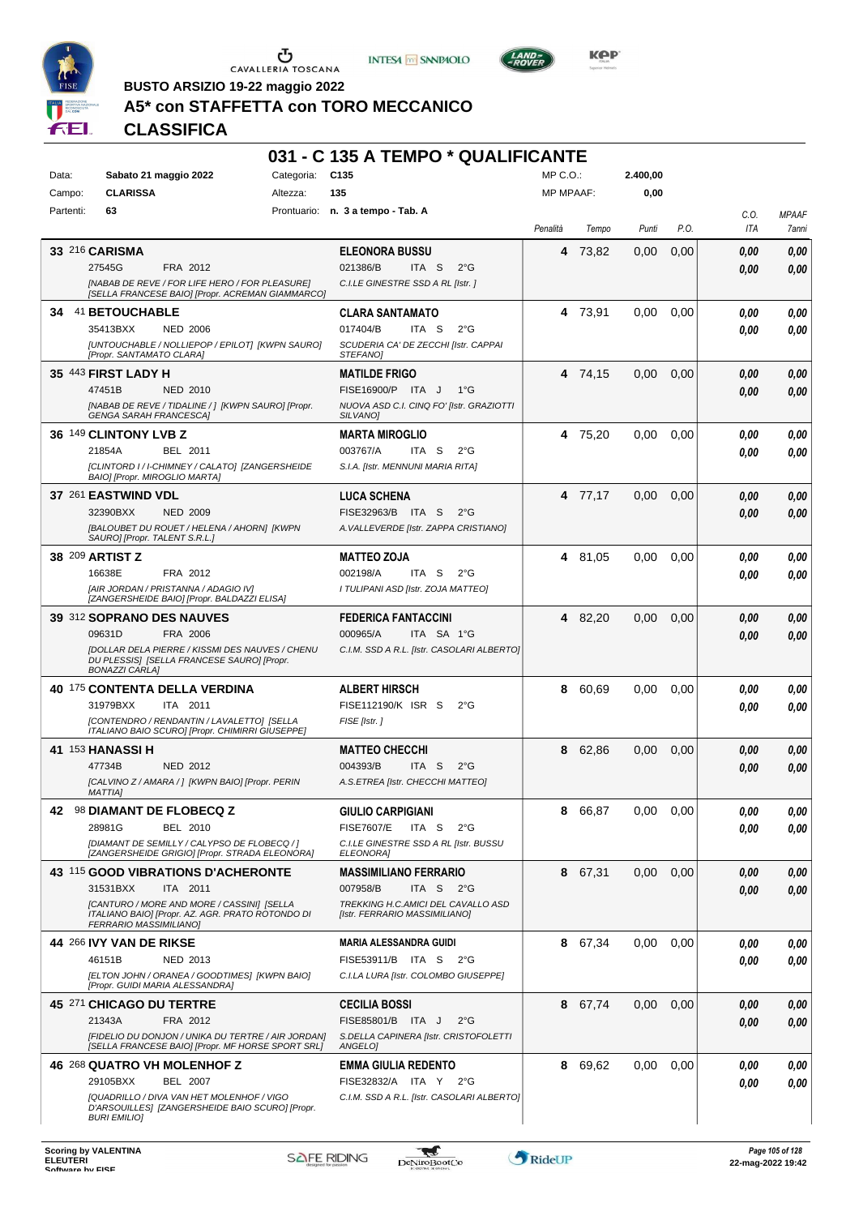





**Kep** 

**BUSTO ARSIZIO 19-22 maggio 2022**

## **A5\* con STAFFETTA con TORO MECCANICO**

|           |                                                                                                         |            | 031 - C 135 A TEMPO * QUALIFICANTE                                        |                  |         |          |      |      |              |
|-----------|---------------------------------------------------------------------------------------------------------|------------|---------------------------------------------------------------------------|------------------|---------|----------|------|------|--------------|
| Data:     | Sabato 21 maggio 2022                                                                                   | Categoria: | C <sub>135</sub>                                                          | $MP C. O.$ :     |         | 2.400.00 |      |      |              |
| Campo:    | <b>CLARISSA</b>                                                                                         | Altezza:   | 135                                                                       | <b>MP MPAAF:</b> |         | 0,00     |      |      |              |
| Partenti: | 63                                                                                                      |            | Prontuario: n. 3 a tempo - Tab. A                                         |                  |         |          |      | C.O. | <b>MPAAF</b> |
|           |                                                                                                         |            |                                                                           | Penalità         | Tempo   | Punti    | P.O. | ITA  | 7anni        |
|           | 33 216 CARISMA                                                                                          |            | <b>ELEONORA BUSSU</b>                                                     | 4                | 73,82   | 0,00     | 0,00 | 0.00 | 0,00         |
|           | 27545G<br>FRA 2012                                                                                      |            | 021386/B<br>ITA S<br>$2^{\circ}$ G                                        |                  |         |          |      | 0.00 | 0,00         |
|           | [NABAB DE REVE / FOR LIFE HERO / FOR PLEASURE]                                                          |            | C.I.LE GINESTRE SSD A RL [Istr.]                                          |                  |         |          |      |      |              |
|           | [SELLA FRANCESE BAIO] [Propr. ACREMAN GIAMMARCO]                                                        |            |                                                                           |                  |         |          |      |      |              |
|           | 34 41 BETOUCHABLE                                                                                       |            | <b>CLARA SANTAMATO</b>                                                    |                  | 4 73.91 | 0.00     | 0,00 | 0.00 | 0,00         |
|           | 35413BXX<br><b>NED 2006</b>                                                                             |            | 017404/B<br>ITA <sub>S</sub><br>$2^{\circ}G$                              |                  |         |          |      | 0.00 | 0.00         |
|           | [UNTOUCHABLE / NOLLIEPOP / EPILOT] [KWPN SAURO]<br>[Propr. SANTAMATO CLARA]                             |            | SCUDERIA CA' DE ZECCHI [Istr. CAPPAI<br>STEFANO]                          |                  |         |          |      |      |              |
|           | 35 443 FIRST LADY H                                                                                     |            | <b>MATILDE FRIGO</b>                                                      |                  | 4 74,15 | 0.00     | 0,00 | 0.00 | 0,00         |
|           | 47451B<br><b>NED 2010</b>                                                                               |            | FISE16900/P ITA J<br>1°G                                                  |                  |         |          |      | 0.00 | 0.00         |
|           | [NABAB DE REVE / TIDALINE / ] [KWPN SAURO] [Propr.                                                      |            | NUOVA ASD C.I. CINQ FO' [Istr. GRAZIOTTI                                  |                  |         |          |      |      |              |
|           | <b>GENGA SARAH FRANCESCA]</b>                                                                           |            | <b>SILVANOI</b>                                                           |                  |         |          |      |      |              |
|           | 36 149 CLINTONY LVB Z                                                                                   |            | <b>MARTA MIROGLIO</b>                                                     |                  | 4 75,20 | 0,00     | 0.00 | 0.00 | 0,00         |
|           | 21854A<br>BEL 2011                                                                                      |            | 003767/A<br>ITA S<br>$2^{\circ}G$                                         |                  |         |          |      | 0.00 | 0.00         |
|           | [CLINTORD I / I-CHIMNEY / CALATO] [ZANGERSHEIDE<br>BAIO] [Propr. MIROGLIO MARTA]                        |            | S.I.A. [Istr. MENNUNI MARIA RITA]                                         |                  |         |          |      |      |              |
|           | 37 261 EASTWIND VDL                                                                                     |            | <b>LUCA SCHENA</b>                                                        |                  | 4 77,17 | 0.00     | 0.00 | 0.00 | 0,00         |
|           | 32390BXX<br><b>NED 2009</b>                                                                             |            | FISE32963/B ITA S<br>$2^{\circ}G$                                         |                  |         |          |      | 0.00 | 0.00         |
|           | [BALOUBET DU ROUET / HELENA / AHORN] [KWPN                                                              |            | A. VALLEVERDE [Istr. ZAPPA CRISTIANO]                                     |                  |         |          |      |      |              |
|           | SAUROJ [Propr. TALENT S.R.L.]                                                                           |            |                                                                           |                  |         |          |      |      |              |
|           | 38 209 ARTIST Z                                                                                         |            | <b>MATTEO ZOJA</b>                                                        |                  | 4 81,05 | 0.00     | 0,00 | 0.00 | 0,00         |
|           | 16638E<br>FRA 2012                                                                                      |            | 002198/A<br>ITA S<br>$2^{\circ}G$                                         |                  |         |          |      | 0.00 | 0.00         |
|           | [AIR JORDAN / PRISTANNA / ADAGIO IV]<br>[ZANGERSHEIDE BAIO] [Propr. BALDAZZI ELISA]                     |            | I TULIPANI ASD [Istr. ZOJA MATTEO]                                        |                  |         |          |      |      |              |
|           | 39 312 SOPRANO DES NAUVES                                                                               |            | <b>FEDERICA FANTACCINI</b>                                                |                  | 4 82,20 | 0,00     | 0,00 | 0.00 | 0,00         |
|           | 09631D<br>FRA 2006                                                                                      |            | 000965/A<br>ITA SA 1°G                                                    |                  |         |          |      | 0.00 | 0.00         |
|           | [DOLLAR DELA PIERRE / KISSMI DES NAUVES / CHENU                                                         |            | C.I.M. SSD A R.L. [Istr. CASOLARI ALBERTO]                                |                  |         |          |      |      |              |
|           | DU PLESSIS] [SELLA FRANCESE SAURO] [Propr.<br><b>BONAZZI CARLA]</b>                                     |            |                                                                           |                  |         |          |      |      |              |
|           | 40 175 CONTENTA DELLA VERDINA                                                                           |            | <b>ALBERT HIRSCH</b>                                                      | 8                | 60,69   | 0,00     | 0,00 | 0.00 | 0,00         |
|           | 31979BXX<br>ITA 2011                                                                                    |            | FISE112190/K ISR S<br>$2^{\circ}$ G                                       |                  |         |          |      | 0.00 | 0.00         |
|           | [CONTENDRO / RENDANTIN / LAVALETTO] [SELLA                                                              |            | FISE [Istr.]                                                              |                  |         |          |      |      |              |
|           | ITALIANO BAIO SCURO] [Propr. CHIMIRRI GIUSEPPE]                                                         |            |                                                                           |                  |         |          |      |      |              |
|           | 41 153 HANASSI H                                                                                        |            | <b>MATTEO CHECCHI</b>                                                     | 8                | 62,86   | 0.00     | 0,00 | 0.00 | 0,00         |
|           | 47734B<br><b>NED 2012</b>                                                                               |            | 004393/B<br>ITA S<br>$2^{\circ}G$                                         |                  |         |          |      | 0.00 | 0.00         |
|           | [CALVINO Z / AMARA / ] [KWPN BAIO] [Propr. PERIN<br><b>MATTIAI</b>                                      |            | A.S.ETREA [Istr. CHECCHI MATTEO]                                          |                  |         |          |      |      |              |
| 42        | 98 DIAMANT DE FLOBECQ Z                                                                                 |            | <b>GIULIO CARPIGIANI</b>                                                  | 8                | 66,87   | 0,00     | 0,00 | 0,00 | 0,00         |
|           | 28981G<br>BEL 2010                                                                                      |            | <b>FISE7607/E</b><br>ITA S<br>$2^{\circ}$ G                               |                  |         |          |      | 0.00 | 0,00         |
|           | [DIAMANT DE SEMILLY / CALYPSO DE FLOBECQ / ]                                                            |            | C.I.LE GINESTRE SSD A RL [Istr. BUSSU                                     |                  |         |          |      |      |              |
|           | [ZANGERSHEIDE GRIGIO] [Propr. STRADA ELEONORA]                                                          |            | <b>ELEONORA]</b>                                                          |                  |         |          |      |      |              |
|           | 43 115 GOOD VIBRATIONS D'ACHERONTE                                                                      |            | <b>MASSIMILIANO FERRARIO</b>                                              | 8                | 67,31   | 0,00     | 0.00 | 0,00 | 0,00         |
|           | 31531BXX<br>ITA 2011<br>[CANTURO / MORE AND MORE / CASSINI] [SELLA                                      |            | 007958/B<br>ITA S 2°G<br>TREKKING H.C.AMICI DEL CAVALLO ASD               |                  |         |          |      | 0,00 | 0,00         |
|           | ITALIANO BAIO] [Propr. AZ. AGR. PRATO ROTONDO DI                                                        |            | [Istr. FERRARIO MASSIMILIANO]                                             |                  |         |          |      |      |              |
|           | FERRARIO MASSIMILIANO]                                                                                  |            |                                                                           |                  |         |          |      |      |              |
|           | 44 266 IVY VAN DE RIKSE                                                                                 |            | <b>MARIA ALESSANDRA GUIDI</b>                                             | 8                | 67,34   | 0.00     | 0,00 | 0,00 | 0,00         |
|           | NED 2013<br>46151B<br>[ELTON JOHN / ORANEA / GOODTIMES] [KWPN BAIO]                                     |            | FISE53911/B ITA S<br>$2^{\circ}G$<br>C.I.LA LURA [Istr. COLOMBO GIUSEPPE] |                  |         |          |      | 0,00 | 0,00         |
|           | [Propr. GUIDI MARIA ALESSANDRA]                                                                         |            |                                                                           |                  |         |          |      |      |              |
|           | 45 271 CHICAGO DU TERTRE                                                                                |            | <b>CECILIA BOSSI</b>                                                      |                  | 8 67,74 | 0.00     | 0,00 | 0,00 | 0,00         |
|           | 21343A<br>FRA 2012                                                                                      |            | FISE85801/B ITA J<br>$2^{\circ}$ G                                        |                  |         |          |      | 0,00 | 0,00         |
|           | [FIDELIO DU DONJON / UNIKA DU TERTRE / AIR JORDAN]<br>[SELLA FRANCESE BAIO] [Propr. MF HORSE SPORT SRL] |            | S.DELLA CAPINERA [Istr. CRISTOFOLETTI<br>ANGELO]                          |                  |         |          |      |      |              |
|           |                                                                                                         |            |                                                                           |                  |         |          |      |      |              |
|           | 46 268 QUATRO VH MOLENHOF Z<br>BEL 2007<br>29105BXX                                                     |            | <b>EMMA GIULIA REDENTO</b><br>FISE32832/A ITA Y<br>$2^{\circ}G$           |                  | 8 69,62 | 0.00     | 0,00 | 0,00 | 0,00         |
|           | [QUADRILLO / DIVA VAN HET MOLENHOF / VIGO                                                               |            | C.I.M. SSD A R.L. [Istr. CASOLARI ALBERTO]                                |                  |         |          |      | 0.00 | 0,00         |
|           | D'ARSOUILLES] [ZANGERSHEIDE BAIO SCURO] [Propr.                                                         |            |                                                                           |                  |         |          |      |      |              |
|           | <b>BURI EMILIO]</b>                                                                                     |            |                                                                           |                  |         |          |      |      |              |

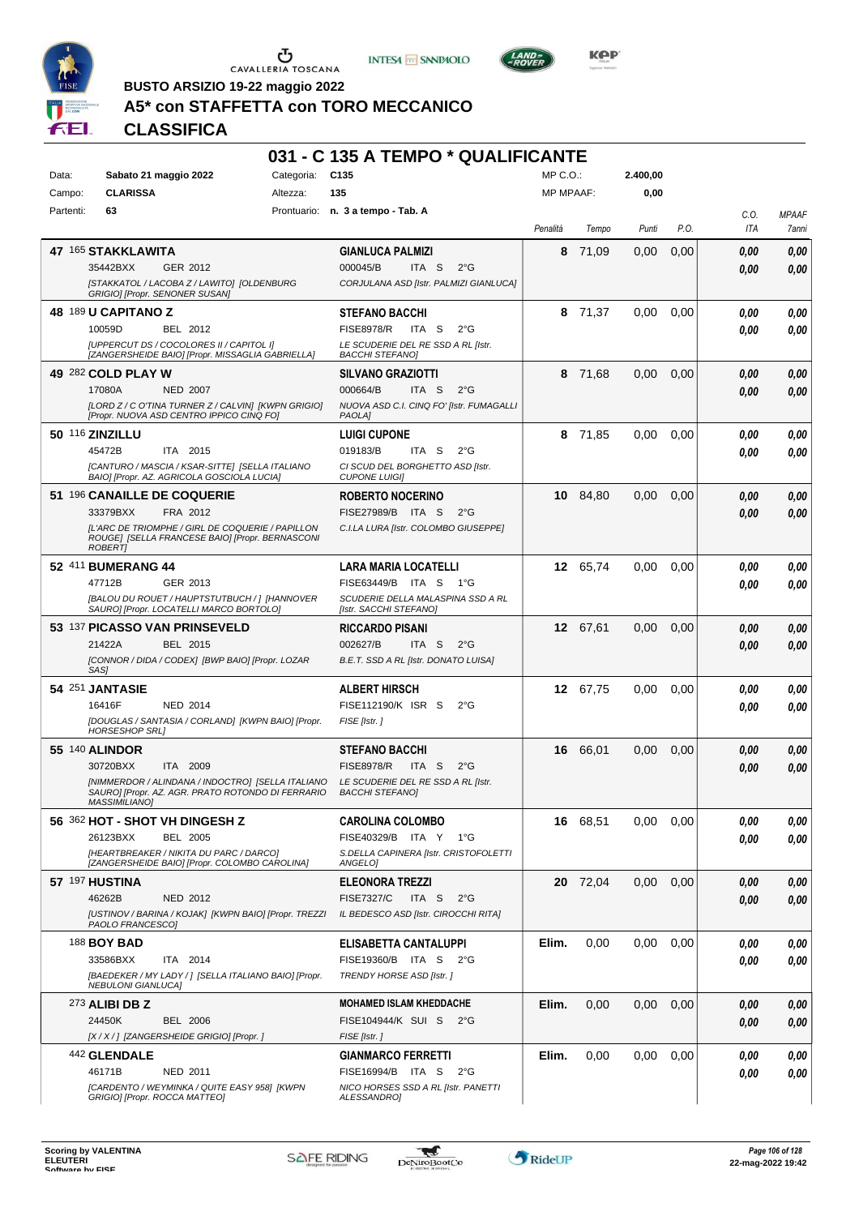





**Kep** 

**BUSTO ARSIZIO 19-22 maggio 2022**

## **A5\* con STAFFETTA con TORO MECCANICO**

|           |                                                                                                                                |            | 031 - C 135 A TEMPO * QUALIFICANTE                              |                  |          |          |      |                    |                       |
|-----------|--------------------------------------------------------------------------------------------------------------------------------|------------|-----------------------------------------------------------------|------------------|----------|----------|------|--------------------|-----------------------|
| Data:     | Sabato 21 maggio 2022                                                                                                          | Categoria: | C <sub>135</sub>                                                | $MP C. O.$ :     |          | 2.400,00 |      |                    |                       |
| Campo:    | <b>CLARISSA</b>                                                                                                                | Altezza:   | 135                                                             | <b>MP MPAAF:</b> |          | 0,00     |      |                    |                       |
| Partenti: | 63                                                                                                                             |            | Prontuario: n. 3 a tempo - Tab. A                               | Penalità         | Tempo    | Punti    | P.O. | C.O.<br><b>ITA</b> | <b>MPAAF</b><br>7anni |
|           | 47 165 STAKKLAWITA                                                                                                             |            | <b>GIANLUCA PALMIZI</b>                                         | 8                | 71,09    | 0,00     | 0,00 | 0.00               | 0.00                  |
|           | 35442BXX<br>GER 2012                                                                                                           |            | 000045/B<br>ITA S<br>$2^{\circ}G$                               |                  |          |          |      | 0.00               | 0,00                  |
|           | ISTAKKATOL / LACOBA Z / LAWITO] [OLDENBURG<br>GRIGIO] [Propr. SENONER SUSAN]                                                   |            | CORJULANA ASD [Istr. PALMIZI GIANLUCA]                          |                  |          |          |      |                    |                       |
|           | 48 189 U CAPITANO Z                                                                                                            |            | <b>STEFANO BACCHI</b>                                           |                  | 8 71,37  | 0.00     | 0,00 | 0.00               | 0.00                  |
|           | BEL 2012<br>10059D                                                                                                             |            | <b>FISE8978/R</b><br>ITA S<br>$2^{\circ}$ G                     |                  |          |          |      | 0.00               | 0.00                  |
|           | [UPPERCUT DS / COCOLORES II / CAPITOL I]<br>[ZANGERSHEIDE BAIO] [Propr. MISSAGLIA GABRIELLA]                                   |            | LE SCUDERIE DEL RE SSD A RL [Istr.<br><b>BACCHI STEFANO]</b>    |                  |          |          |      |                    |                       |
|           | 49 282 COLD PLAY W                                                                                                             |            | <b>SILVANO GRAZIOTTI</b>                                        |                  | 8 71,68  | 0,00     | 0,00 | 0.00               | 0,00                  |
|           | 17080A<br><b>NED 2007</b>                                                                                                      |            | 000664/B<br>ITA <sub>S</sub><br>$2^{\circ}G$                    |                  |          |          |      | 0.00               | 0.00                  |
|           | [LORD Z / C O'TINA TURNER Z / CALVIN] [KWPN GRIGIO]<br>[Propr. NUOVA ASD CENTRO IPPICO CINQ FO]                                |            | NUOVA ASD C.I. CINQ FO' [Istr. FUMAGALLI<br>PAOLA]              |                  |          |          |      |                    |                       |
|           | 50 116 ZINZILLU                                                                                                                |            | <b>LUIGI CUPONE</b>                                             |                  | 8 71,85  | 0,00     | 0,00 | 0.00               | 0.00                  |
|           | ITA 2015<br>45472B                                                                                                             |            | 019183/B<br>ITA S<br>$2^{\circ}G$                               |                  |          |          |      | 0.00               | 0.00                  |
|           | [CANTURO / MASCIA / KSAR-SITTE] [SELLA ITALIANO<br>BAIO] [Propr. AZ. AGRICOLA GOSCIOLA LUCIA]                                  |            | CI SCUD DEL BORGHETTO ASD [Istr.<br><b>CUPONE LUIGII</b>        |                  |          |          |      |                    |                       |
|           | 51 196 CANAILLE DE COQUERIE                                                                                                    |            | <b>ROBERTO NOCERINO</b>                                         |                  | 10 84,80 | 0,00     | 0,00 | 0,00               | 0,00                  |
|           | 33379BXX<br>FRA 2012                                                                                                           |            | <b>FISE27989/B</b><br>ITA S<br>$2^{\circ}G$                     |                  |          |          |      | 0.00               | 0,00                  |
|           | IL'ARC DE TRIOMPHE / GIRL DE COQUERIE / PAPILLON<br>ROUGE] [SELLA FRANCESE BAIO] [Propr. BERNASCONI<br><b>ROBERTI</b>          |            | C.I.LA LURA [Istr. COLOMBO GIUSEPPE]                            |                  |          |          |      |                    |                       |
|           | 52 411 BUMERANG 44                                                                                                             |            | <b>LARA MARIA LOCATELLI</b>                                     |                  | 12 65,74 | 0,00     | 0,00 | 0.00               | 0,00                  |
|           | 47712B<br>GER 2013                                                                                                             |            | FISE63449/B ITA S 1°G                                           |                  |          |          |      | 0.00               | 0.00                  |
|           | [BALOU DU ROUET / HAUPTSTUTBUCH / ] [HANNOVER<br>SAURO] [Propr. LOCATELLI MARCO BORTOLO]                                       |            | SCUDERIE DELLA MALASPINA SSD A RL<br>[Istr. SACCHI STEFANO]     |                  |          |          |      |                    |                       |
|           | 53 137 PICASSO VAN PRINSEVELD                                                                                                  |            | <b>RICCARDO PISANI</b>                                          | 12               | 67,61    | 0,00     | 0,00 | 0.00               | 0,00                  |
|           | BEL 2015<br>21422A                                                                                                             |            | 002627/B<br>ITA S<br>$2^{\circ}$ G                              |                  |          |          |      | 0.00               | 0.00                  |
|           | [CONNOR / DIDA / CODEX] [BWP BAIO] [Propr. LOZAR<br>SAS]                                                                       |            | B.E.T. SSD A RL [Istr. DONATO LUISA]                            |                  |          |          |      |                    |                       |
|           | 54 251 JANTASIE                                                                                                                |            | <b>ALBERT HIRSCH</b>                                            | 12               | 67,75    | 0,00     | 0,00 | 0.00               | 0,00                  |
|           | 16416F<br><b>NED 2014</b>                                                                                                      |            | FISE112190/K ISR S<br>$2^{\circ}$ G                             |                  |          |          |      | 0.00               | 0.00                  |
|           | [DOUGLAS / SANTASIA / CORLAND] [KWPN BAIO] [Propr.<br><b>HORSESHOP SRL1</b>                                                    |            | FISE [Istr.]                                                    |                  |          |          |      |                    |                       |
|           | 55 140 ALINDOR                                                                                                                 |            | <b>STEFANO BACCHI</b>                                           | 16               | 66,01    | 0,00     | 0,00 | 0,00               | 0,00                  |
|           | 30720BXX<br>ITA 2009                                                                                                           |            | <b>FISE8978/R</b><br>ITA <sub>S</sub><br>$2^{\circ}$ G          |                  |          |          |      | 0.00               | 0.00                  |
|           | [NIMMERDOR / ALINDANA / INDOCTRO] [SELLA ITALIANO<br>SAURO] [Propr. AZ. AGR. PRATO ROTONDO DI FERRARIO<br><b>MASSIMILIANO]</b> |            | LE SCUDERIE DEL RE SSD A RL [Istr.<br><b>BACCHI STEFANO]</b>    |                  |          |          |      |                    |                       |
|           | 56 362 HOT - SHOT VH DINGESH Z                                                                                                 |            | <b>CAROLINA COLOMBO</b>                                         |                  | 16 68,51 | 0,00     | 0,00 | 0,00               | 0,00                  |
|           | 26123BXX<br><b>BEL 2005</b>                                                                                                    |            | FISE40329/B ITA Y<br>1°G                                        |                  |          |          |      | 0.00               | 0,00                  |
|           | [HEARTBREAKER / NIKITA DU PARC / DARCO]<br>[ZANGERSHEIDE BAIO] [Propr. COLOMBO CAROLINA]                                       |            | S.DELLA CAPINERA [Istr. CRISTOFOLETTI<br>ANGELOI                |                  |          |          |      |                    |                       |
|           | <b>57 197 HUSTINA</b>                                                                                                          |            | <b>ELEONORA TREZZI</b>                                          |                  | 20 72,04 | 0,00     | 0,00 | 0.00               | 0,00                  |
|           | 46262B<br>NED 2012                                                                                                             |            | <b>FISE7327/C</b><br>ITA S<br>$2^{\circ}$ G                     |                  |          |          |      | 0.00               | 0,00                  |
|           | [USTINOV / BARINA / KOJAK] [KWPN BAIO] [Propr. TREZZI<br>PAOLO FRANCESCO]                                                      |            | IL BEDESCO ASD [Istr. CIROCCHI RITA]                            |                  |          |          |      |                    |                       |
|           | 188 <b>BOY BAD</b>                                                                                                             |            | ELISABETTA CANTALUPPI                                           | Elim.            | 0,00     | 0,00     | 0,00 | 0,00               | 0,00                  |
|           | 33586BXX<br>ITA 2014                                                                                                           |            | FISE19360/B ITA S<br>$2^{\circ}G$                               |                  |          |          |      | 0.00               | 0.00                  |
|           | [BAEDEKER / MY LADY / ] [SELLA ITALIANO BAIO] [Propr.<br><b>NEBULONI GIANLUCA]</b>                                             |            | TRENDY HORSE ASD [Istr. ]                                       |                  |          |          |      |                    |                       |
|           | $273$ ALIBI DB Z                                                                                                               |            | <b>MOHAMED ISLAM KHEDDACHE</b>                                  | Elim.            | 0,00     | 0,00     | 0,00 | 0,00               | 0,00                  |
|           | 24450K<br>BEL 2006                                                                                                             |            | FISE104944/K SUI S<br>$2^{\circ}G$                              |                  |          |          |      | 0,00               | 0,00                  |
|           | [X / X / ] [ZANGERSHEIDE GRIGIO] [Propr. ]                                                                                     |            | FISE [Istr.]                                                    |                  |          |          |      |                    |                       |
|           | 442 GLENDALE<br>46171B<br>NED 2011                                                                                             |            | <b>GIANMARCO FERRETTI</b><br>FISE16994/B ITA S<br>$2^{\circ}$ G | Elim.            | 0,00     | 0,00     | 0,00 | 0.00               | 0,00                  |
|           | ICARDENTO / WEYMINKA / QUITE EASY 958] [KWPN                                                                                   |            | NICO HORSES SSD A RL [Istr. PANETTI                             |                  |          |          |      | 0.00               | 0,00                  |
|           | GRIGIO] [Propr. ROCCA MATTEO]                                                                                                  |            | ALESSANDRO]                                                     |                  |          |          |      |                    |                       |

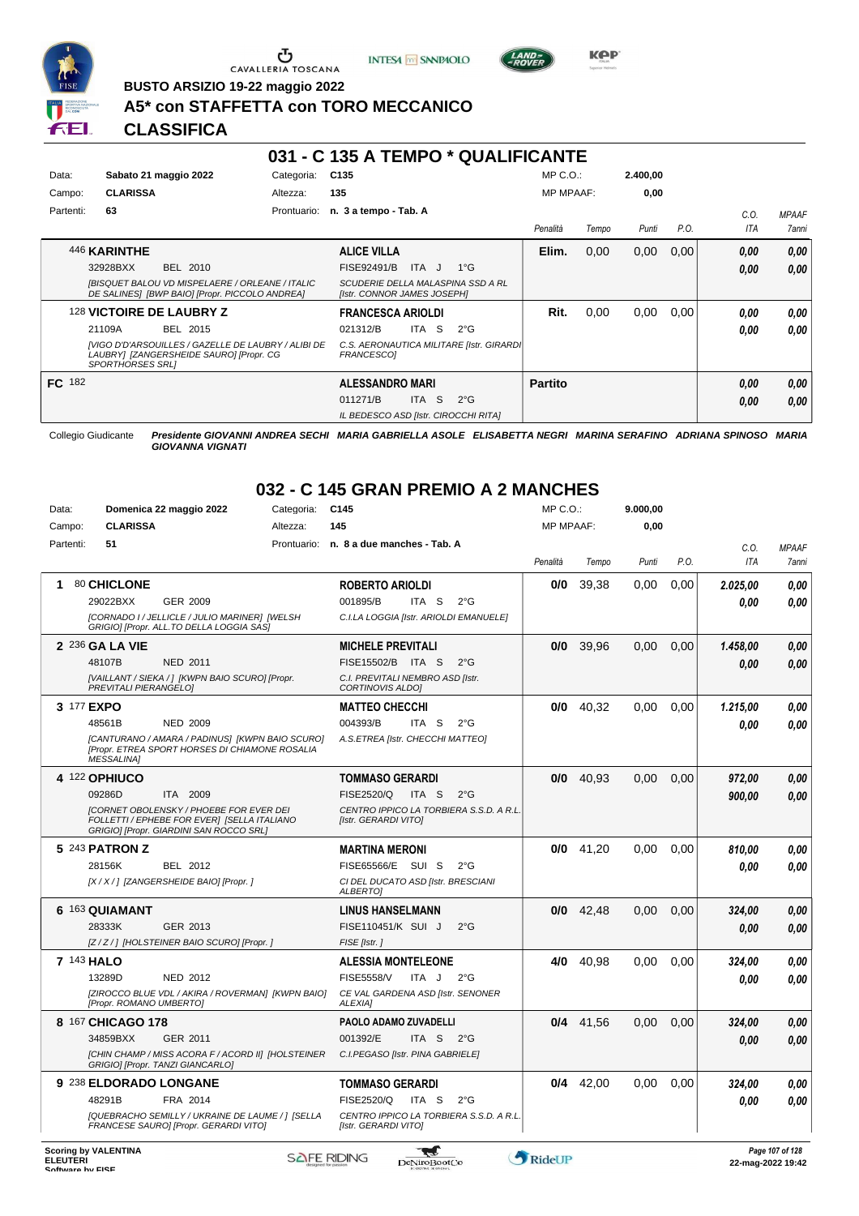





*LAND -*<br>POVER

**BUSTO ARSIZIO 19-22 maggio 2022**

## **A5\* con STAFFETTA con TORO MECCANICO**

### **CLASSIFICA**

|           |                         |                                                                                                   |             |                                      |                     | 031 - C 135 A TEMPO * QUALIFICANTE       |                  |       |          |      |            |              |
|-----------|-------------------------|---------------------------------------------------------------------------------------------------|-------------|--------------------------------------|---------------------|------------------------------------------|------------------|-------|----------|------|------------|--------------|
| Data:     |                         | Sabato 21 maggio 2022                                                                             | Categoria:  | C135                                 |                     |                                          | $MP C. O.$ :     |       | 2.400,00 |      |            |              |
| Campo:    | <b>CLARISSA</b>         |                                                                                                   | Altezza:    | 135                                  |                     |                                          | <b>MP MPAAF:</b> |       | 0,00     |      |            |              |
| Partenti: | 63                      |                                                                                                   | Prontuario: | n. 3 a tempo - Tab. A                |                     |                                          |                  |       |          |      | C.O.       | <b>MPAAF</b> |
|           |                         |                                                                                                   |             |                                      |                     |                                          | Penalità         | Tempo | Punti    | P.O. | <b>ITA</b> | 7anni        |
|           | 446 KARINTHE            |                                                                                                   |             | <b>ALICE VILLA</b>                   |                     |                                          | Elim.            | 0,00  | 0,00     | 0,00 | 0,00       | 0,00         |
|           | 32928BXX                | BEL 2010                                                                                          |             | <b>FISE92491/B</b>                   | ITA J               | $1^{\circ}G$                             |                  |       |          |      | 0,00       | 0,00         |
|           |                         | [BISQUET BALOU VD MISPELAERE / ORLEANE / ITALIC<br>DE SALINES] [BWP BAIO] [Propr. PICCOLO ANDREA] |             | [Istr. CONNOR JAMES JOSEPH]          |                     | SCUDERIE DELLA MALASPINA SSD A RL        |                  |       |          |      |            |              |
|           |                         | 128 VICTOIRE DE LAUBRY Z                                                                          |             | <b>FRANCESCA ARIOLDI</b>             |                     |                                          | Rit.             | 0,00  | 0.00     | 0.00 | 0,00       | 0,00         |
|           | 21109A                  | BEL 2015                                                                                          |             | 021312/B                             | ITA S               | $2^{\circ}$ G                            |                  |       |          |      | 0.00       | 0.00         |
|           | <b>SPORTHORSES SRLI</b> | [VIGO D'D'ARSOUILLES / GAZELLE DE LAUBRY / ALIBI DE<br>LAUBRY] [ZANGERSHEIDE SAURO] [Propr. CG    |             | FRANCESCO1                           |                     | C.S. AERONAUTICA MILITARE [Istr. GIRARDI |                  |       |          |      |            |              |
| FC 182    |                         |                                                                                                   |             | <b>ALESSANDRO MARI</b>               |                     |                                          | <b>Partito</b>   |       |          |      | 0,00       | 0,00         |
|           |                         |                                                                                                   |             | 011271/B                             | ITA<br><sub>S</sub> | $2^{\circ}$ G                            |                  |       |          |      | 0.00       | 0,00         |
|           |                         |                                                                                                   |             | IL BEDESCO ASD [Istr. CIROCCHI RITA] |                     |                                          |                  |       |          |      |            |              |

Collegio Giudicante *Presidente GIOVANNI ANDREA SECHI MARIA GABRIELLA ASOLE ELISABETTA NEGRI MARINA SERAFINO ADRIANA SPINOSO MARIA GIOVANNA VIGNATI*

## **032 - C 145 GRAN PREMIO A 2 MANCHES**

| Data:                               | Domenica 22 maggio 2022                                                                                                                  | Categoria:  | C145                                                            | MP C. O.         |             | 9.000,00 |      |                   |                 |
|-------------------------------------|------------------------------------------------------------------------------------------------------------------------------------------|-------------|-----------------------------------------------------------------|------------------|-------------|----------|------|-------------------|-----------------|
| Campo:                              | <b>CLARISSA</b>                                                                                                                          | Altezza:    | 145                                                             | <b>MP MPAAF:</b> |             | 0,00     |      |                   |                 |
| Partenti:                           | 51                                                                                                                                       | Prontuario: | n. 8 a due manches - Tab. A                                     |                  |             |          |      | C.O.              | <b>MPAAF</b>    |
|                                     |                                                                                                                                          |             |                                                                 | Penalità         | Tempo       | Punti    | P.O. | <b>ITA</b>        | 7anni           |
| 1                                   | 80 CHICLONE                                                                                                                              |             | <b>ROBERTO ARIOLDI</b>                                          | 0/0              | 39,38       | 0,00     | 0.00 | 2.025,00          | 0.00            |
|                                     | 29022BXX<br>GER 2009                                                                                                                     |             | 001895/B<br>ITA <sub>S</sub><br>$2^{\circ}$ G                   |                  |             |          |      | 0.00              | 0,00            |
|                                     | [CORNADO I / JELLICLE / JULIO MARINER] [WELSH<br>GRIGIO] [Propr. ALL.TO DELLA LOGGIA SAS]                                                |             | C.I.LA LOGGIA [Istr. ARIOLDI EMANUELE]                          |                  |             |          |      |                   |                 |
|                                     | 2 236 GA LA VIE                                                                                                                          |             | <b>MICHELE PREVITALI</b>                                        | 0/0              | 39.96       | 0.00     | 0.00 | 1.458,00          | 0,00            |
|                                     | <b>NED 2011</b><br>48107B                                                                                                                |             | FISE15502/B ITA S<br>$2^{\circ}$ G                              |                  |             |          |      | 0,00              | 0.00            |
|                                     | [VAILLANT / SIEKA / ] [KWPN BAIO SCURO] [Propr.<br>PREVITALI PIERANGELOJ                                                                 |             | C.I. PREVITALI NEMBRO ASD [Istr.<br><b>CORTINOVIS ALDOI</b>     |                  |             |          |      |                   |                 |
| 3 177 EXPO                          |                                                                                                                                          |             | <b>MATTEO CHECCHI</b>                                           | 0/0              | 40.32       | 0.00     | 0.00 | 1.215,00          | 0.00            |
|                                     | 48561B<br><b>NED 2009</b>                                                                                                                |             | 004393/B<br>ITA S<br>$2^{\circ}$ G                              |                  |             |          |      | 0.00              | 0.00            |
|                                     | [CANTURANO / AMARA / PADINUS] [KWPN BAIO SCURO]<br>[Propr. ETREA SPORT HORSES DI CHIAMONE ROSALIA<br><b>MESSALINA1</b>                   |             | A.S.ETREA [Istr. CHECCHI MATTEO]                                |                  |             |          |      |                   |                 |
|                                     | 4 122 OPHIUCO                                                                                                                            |             | <b>TOMMASO GERARDI</b>                                          | 0/0              | 40.93       | 0.00     | 0.00 | 972,00            | 0,00            |
|                                     | 09286D<br>ITA 2009                                                                                                                       |             | FISE2520/Q<br>ITA S<br>$2^{\circ}G$                             |                  |             |          |      | 900,00            | 0.00            |
|                                     | <b>ICORNET OBOLENSKY / PHOEBE FOR EVER DEI</b><br>FOLLETTI / EPHEBE FOR EVER] [SELLA ITALIANO<br>GRIGIO] [Propr. GIARDINI SAN ROCCO SRL] |             | CENTRO IPPICO LA TORBIERA S.S.D. A R.L.<br>[Istr. GERARDI VITO] |                  |             |          |      |                   |                 |
|                                     | 5 243 PATRON Z                                                                                                                           |             | <b>MARTINA MERONI</b>                                           | 0/0              | 41,20       | 0,00     | 0,00 | 810.00            | 0.00            |
|                                     | 28156K<br>BEL 2012                                                                                                                       |             | FISE65566/E SUI S<br>$2^{\circ}$ G                              |                  |             |          |      | 0.00              | 0.00            |
|                                     | [X / X / ] [ZANGERSHEIDE BAIO] [Propr. ]                                                                                                 |             | CI DEL DUCATO ASD [Istr. BRESCIANI<br><b>ALBERTOI</b>           |                  |             |          |      |                   |                 |
|                                     | 6 163 QUIAMANT                                                                                                                           |             | <b>LINUS HANSELMANN</b>                                         | 0/0              | 42,48       | 0,00     | 0,00 | 324,00            | 0,00            |
|                                     | 28333K<br>GER 2013                                                                                                                       |             | FISE110451/K SUI J<br>$2^{\circ}$ G                             |                  |             |          |      | 0.00              | 0.00            |
|                                     | [Z/Z/] [HOLSTEINER BAIO SCURO] [Propr.]                                                                                                  |             | FISE [Istr.]                                                    |                  |             |          |      |                   |                 |
|                                     | 7 143 HALO                                                                                                                               |             | <b>ALESSIA MONTELEONE</b>                                       | 4/0              | 40.98       | 0,00     | 0.00 | 324,00            | 0.00            |
|                                     | 13289D<br>NED 2012                                                                                                                       |             | <b>FISE5558/V</b><br>ITA J<br>$2^{\circ}$ G                     |                  |             |          |      | 0.00              | 0.00            |
|                                     | [ZIROCCO BLUE VDL / AKIRA / ROVERMAN] [KWPN BAIO]<br>[Propr. ROMANO UMBERTO]                                                             |             | CE VAL GARDENA ASD [Istr. SENONER<br><b>ALEXIA1</b>             |                  |             |          |      |                   |                 |
|                                     | 8 167 CHICAGO 178                                                                                                                        |             | <b>PAOLO ADAMO ZUVADELLI</b>                                    |                  | $0/4$ 41.56 | 0.00     | 0.00 | 324,00            | 0,00            |
|                                     | 34859BXX<br>GER 2011                                                                                                                     |             | 001392/E<br>ITA <sub>S</sub><br>$2^{\circ}$ G                   |                  |             |          |      | 0,00              | 0.00            |
|                                     | [CHIN CHAMP / MISS ACORA F / ACORD II] [HOLSTEINER]<br>GRIGIO] [Propr. TANZI GIANCARLO]                                                  |             | C.I.PEGASO [Istr. PINA GABRIELE]                                |                  |             |          |      |                   |                 |
|                                     | 9 238 ELDORADO LONGANE                                                                                                                   |             | <b>TOMMASO GERARDI</b>                                          | 0/4              | 42,00       | 0.00     | 0.00 | 324,00            | 0.00            |
|                                     | 48291B<br>FRA 2014                                                                                                                       |             | FISE2520/Q<br>ITA S<br>$2^{\circ}$ G                            |                  |             |          |      | 0.00              | 0.00            |
|                                     | [QUEBRACHO SEMILLY / UKRAINE DE LAUME / ] [SELLA<br>FRANCESE SAURO] [Propr. GERARDI VITO]                                                |             | CENTRO IPPICO LA TORBIERA S.S.D. A R.L.<br>[Istr. GERARDI VITO] |                  |             |          |      |                   |                 |
| <b>ELEUTERI</b><br>Coffware by EICE | <b>Scoring by VALENTINA</b>                                                                                                              |             | <b>SAFE RIDING</b><br>DeNiroBootCo                              | RideUP           |             |          |      | 22-mag-2022 19:42 | Page 107 of 128 |

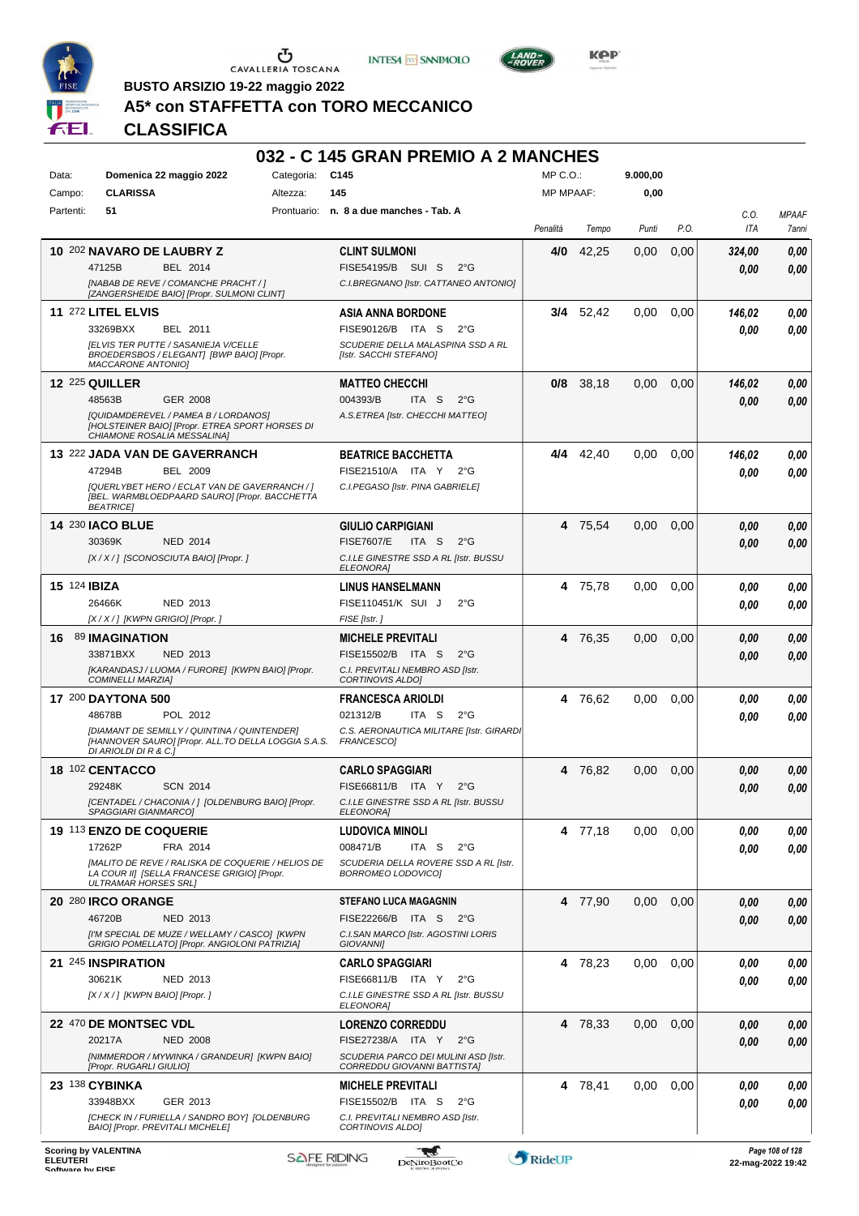





 $L$ AND<sub>7</sub>

**BUSTO ARSIZIO 19-22 maggio 2022**

## **A5\* con STAFFETTA con TORO MECCANICO**

|                     |                                                                                                                        |            | 032 - C 145 GRAN PREMIO A 2 MANCHES                                                      |                  |           |          |      |              |              |
|---------------------|------------------------------------------------------------------------------------------------------------------------|------------|------------------------------------------------------------------------------------------|------------------|-----------|----------|------|--------------|--------------|
| Data:               | Domenica 22 maggio 2022                                                                                                | Categoria: | C145                                                                                     | MP C.O.:         |           | 9.000,00 |      |              |              |
| Campo:              | <b>CLARISSA</b>                                                                                                        | Altezza:   | 145                                                                                      | <b>MP MPAAF:</b> |           | 0,00     |      |              |              |
| Partenti:           | 51                                                                                                                     |            | Prontuario: n. 8 a due manches - Tab. A                                                  |                  |           |          |      | C.O.         | <b>MPAAF</b> |
|                     |                                                                                                                        |            |                                                                                          | Penalità         | Tempo     | Punti    | P.O. | <b>ITA</b>   | 7anni        |
|                     | 10 202 NAVARO DE LAUBRY Z                                                                                              |            | <b>CLINT SULMONI</b>                                                                     | 4/0              | 42,25     | 0,00     | 0,00 | 324,00       | 0,00         |
|                     | 47125B<br><b>BEL 2014</b>                                                                                              |            | FISE54195/B SUI S<br>$2^{\circ}G$                                                        |                  |           |          |      | 0.00         | 0,00         |
|                     | [NABAB DE REVE / COMANCHE PRACHT / ]<br>[ZANGERSHEIDE BAIO] [Propr. SULMONI CLINT]                                     |            | C.I.BREGNANO [Istr. CATTANEO ANTONIO]                                                    |                  |           |          |      |              |              |
|                     | 11 272 LITEL ELVIS                                                                                                     |            | <b>ASIA ANNA BORDONE</b>                                                                 |                  | 3/4 52,42 | 0,00     | 0,00 | 146,02       | 0,00         |
|                     | 33269BXX<br>BEL 2011                                                                                                   |            | FISE90126/B ITA S<br>$2^{\circ}G$                                                        |                  |           |          |      | 0.00         | 0.00         |
|                     | <b>IELVIS TER PUTTE / SASANIEJA V/CELLE</b><br>BROEDERSBOS / ELEGANT] [BWP BAIO] [Propr.<br><b>MACCARONE ANTONIO1</b>  |            | SCUDERIE DELLA MALASPINA SSD A RL<br>[Istr. SACCHI STEFANO]                              |                  |           |          |      |              |              |
|                     | <b>12 225 QUILLER</b>                                                                                                  |            | <b>MATTEO CHECCHI</b>                                                                    | 0/8              | 38,18     | 0,00     | 0,00 | 146,02       | 0,00         |
|                     | 48563B<br><b>GER 2008</b>                                                                                              |            | 004393/B<br>ITA S<br>$2^{\circ}G$                                                        |                  |           |          |      | 0,00         | 0,00         |
|                     | [QUIDAMDEREVEL / PAMEA B / LORDANOS]<br>[HOLSTEINER BAIO] [Propr. ETREA SPORT HORSES DI<br>CHIAMONE ROSALIA MESSALINA] |            | A.S.ETREA [Istr. CHECCHI MATTEO]                                                         |                  |           |          |      |              |              |
|                     | 13 222 JADA VAN DE GAVERRANCH                                                                                          |            | <b>BEATRICE BACCHETTA</b>                                                                |                  | 4/4 42,40 | 0,00     | 0,00 | 146,02       | 0,00         |
|                     | BEL 2009<br>47294B                                                                                                     |            | FISE21510/A ITA Y<br>$2^{\circ}$ G                                                       |                  |           |          |      | 0.00         | 0.00         |
|                     | [QUERLYBET HERO / ECLAT VAN DE GAVERRANCH / ]<br>[BEL. WARMBLOEDPAARD SAURO] [Propr. BACCHETTA<br><b>BEATRICE</b>      |            | C.I.PEGASO [Istr. PINA GABRIELE]                                                         |                  |           |          |      |              |              |
|                     | <b>14 230 IACO BLUE</b>                                                                                                |            | <b>GIULIO CARPIGIANI</b>                                                                 |                  | 4 75,54   | 0,00     | 0,00 | 0,00         | 0,00         |
|                     | 30369K<br><b>NED 2014</b>                                                                                              |            | FISE7607/E<br>ITA S<br>$2^{\circ}$ G                                                     |                  |           |          |      | 0,00         | 0,00         |
|                     | [X / X / ] [SCONOSCIUTA BAIO] [Propr.]                                                                                 |            | C.I.LE GINESTRE SSD A RL [Istr. BUSSU<br><b>ELEONORA]</b>                                |                  |           |          |      |              |              |
| 15 124 <b>IBIZA</b> |                                                                                                                        |            | <b>LINUS HANSELMANN</b>                                                                  |                  | 4 75,78   | 0,00     | 0,00 | 0.00         | 0,00         |
|                     | NED 2013<br>26466K                                                                                                     |            | FISE110451/K SUI J<br>$2^{\circ}$ G                                                      |                  |           |          |      | 0.00         | 0,00         |
|                     | $[X/X']$ [KWPN GRIGIO] [Propr. ]                                                                                       |            | FISE [Istr.]                                                                             |                  |           |          |      |              |              |
| 16                  | <b>89 IMAGINATION</b><br>33871BXX<br>NED 2013                                                                          |            | <b>MICHELE PREVITALI</b><br>FISE15502/B ITA S<br>$2^{\circ}$ G                           |                  | 4 76,35   | 0,00     | 0,00 | 0,00         | 0,00<br>0.00 |
|                     | [KARANDASJ / LUOMA / FURORE] [KWPN BAIO] [Propr.                                                                       |            | C.I. PREVITALI NEMBRO ASD [Istr.                                                         |                  |           |          |      | 0,00         |              |
|                     | COMINELLI MARZIA]                                                                                                      |            | CORTINOVIS ALDO]                                                                         |                  |           |          |      |              |              |
|                     | <b>17 200 DAYTONA 500</b>                                                                                              |            | <b>FRANCESCA ARIOLDI</b>                                                                 |                  | 4 76,62   | 0,00     | 0,00 | 0.00         | 0,00         |
|                     | 48678B<br>POL 2012<br>[DIAMANT DE SEMILLY / QUINTINA / QUINTENDER]                                                     |            | 021312/B<br>ITA <sub>S</sub><br>$2^{\circ}G$<br>C.S. AERONAUTICA MILITARE [Istr. GIRARDI |                  |           |          |      | 0.00         | 0.00         |
|                     | [HANNOVER SAURO] [Propr. ALL.TO DELLA LOGGIA S.A.S.<br>DI ARIOLDI DI R & C.]                                           |            | FRANCESCO]                                                                               |                  |           |          |      |              |              |
|                     | 18 102 CENTACCO                                                                                                        |            | <b>CARLO SPAGGIARI</b>                                                                   |                  | 4 76,82   | 0,00     | 0,00 | 0,00         | 0,00         |
|                     | 29248K<br><b>SCN 2014</b>                                                                                              |            | FISE66811/B ITA Y<br>$2^{\circ}$ G                                                       |                  |           |          |      | 0,00         | $\it 0,00$   |
|                     | [CENTADEL / CHACONIA / ] [OLDENBURG BAIO] [Propr.                                                                      |            | C.I.LE GINESTRE SSD A RL [Istr. BUSSU                                                    |                  |           |          |      |              |              |
|                     | SPAGGIARI GIANMARCO]                                                                                                   |            | <b>ELEONORA</b>                                                                          |                  |           |          |      |              |              |
|                     | 19 113 ENZO DE COQUERIE<br>17262P<br>FRA 2014                                                                          |            | <b>LUDOVICA MINOLI</b><br>008471/B<br>ITA S<br>$2^{\circ}G$                              |                  | 4 77,18   | 0,00     | 0,00 | 0,00         | 0,00         |
|                     | [MALITO DE REVE / RALISKA DE COQUERIE / HELIOS DE                                                                      |            | SCUDERIA DELLA ROVERE SSD A RL [Istr.                                                    |                  |           |          |      | 0,00         | 0,00         |
|                     | LA COUR III [SELLA FRANCESE GRIGIO] [Propr.<br><b>ULTRAMAR HORSES SRL1</b>                                             |            | BORROMEO LODOVICO]                                                                       |                  |           |          |      |              |              |
|                     | 20 280 IRCO ORANGE                                                                                                     |            | <b>STEFANO LUCA MAGAGNIN</b>                                                             |                  | 4 77,90   | 0,00     | 0,00 | 0,00         | 0,00         |
|                     | 46720B<br>NED 2013                                                                                                     |            | FISE22266/B ITA S<br>$2^{\circ}$ G                                                       |                  |           |          |      | 0,00         | 0,00         |
|                     | [I'M SPECIAL DE MUZE / WELLAMY / CASCO] [KWPN<br>GRIGIO POMELLATO] [Propr. ANGIOLONI PATRIZIA]                         |            | C.I.SAN MARCO [Istr. AGOSTINI LORIS                                                      |                  |           |          |      |              |              |
|                     | 21 245 INSPIRATION                                                                                                     |            | <b>GIOVANNII</b><br><b>CARLO SPAGGIARI</b>                                               |                  | 4 78,23   | 0,00     | 0,00 |              |              |
|                     | 30621K<br>NED 2013                                                                                                     |            | FISE66811/B ITA Y<br>$2^{\circ}$ G                                                       |                  |           |          |      | 0,00<br>0.00 | 0,00<br>0,00 |
|                     | $[X/X']$ [KWPN BAIO] [Propr.]                                                                                          |            | C.I.LE GINESTRE SSD A RL [Istr. BUSSU                                                    |                  |           |          |      |              |              |
|                     |                                                                                                                        |            | <b>ELEONORA</b>                                                                          |                  |           |          |      |              |              |
|                     | 22 470 DE MONTSEC VDL<br>20217A<br><b>NED 2008</b>                                                                     |            | <b>LORENZO CORREDDU</b><br>FISE27238/A ITA Y<br>$2^{\circ}G$                             |                  | 4 78,33   | 0,00     | 0,00 | 0,00<br>0,00 | 0,00<br>0,00 |
|                     | [NIMMERDOR / MYWINKA / GRANDEUR] [KWPN BAIO]<br>[Propr. RUGARLI GIULIO]                                                |            | SCUDERIA PARCO DEI MULINI ASD [Istr.<br>CORREDDU GIOVANNI BATTISTA]                      |                  |           |          |      |              |              |
|                     | 23 138 CYBINKA                                                                                                         |            | <b>MICHELE PREVITALI</b>                                                                 |                  | 4 78,41   | 0.00     | 0,00 | 0,00         | 0,00         |
|                     | 33948BXX<br>GER 2013                                                                                                   |            | FISE15502/B ITA S<br>$2^{\circ}$ G                                                       |                  |           |          |      | 0,00         | 0,00         |
|                     | [CHECK IN / FURIELLA / SANDRO BOY] [OLDENBURG                                                                          |            | C.I. PREVITALI NEMBRO ASD [Istr.                                                         |                  |           |          |      |              |              |
|                     | BAIO] [Propr. PREVITALI MICHELE]                                                                                       |            | CORTINOVIS ALDO]                                                                         |                  |           |          |      |              |              |

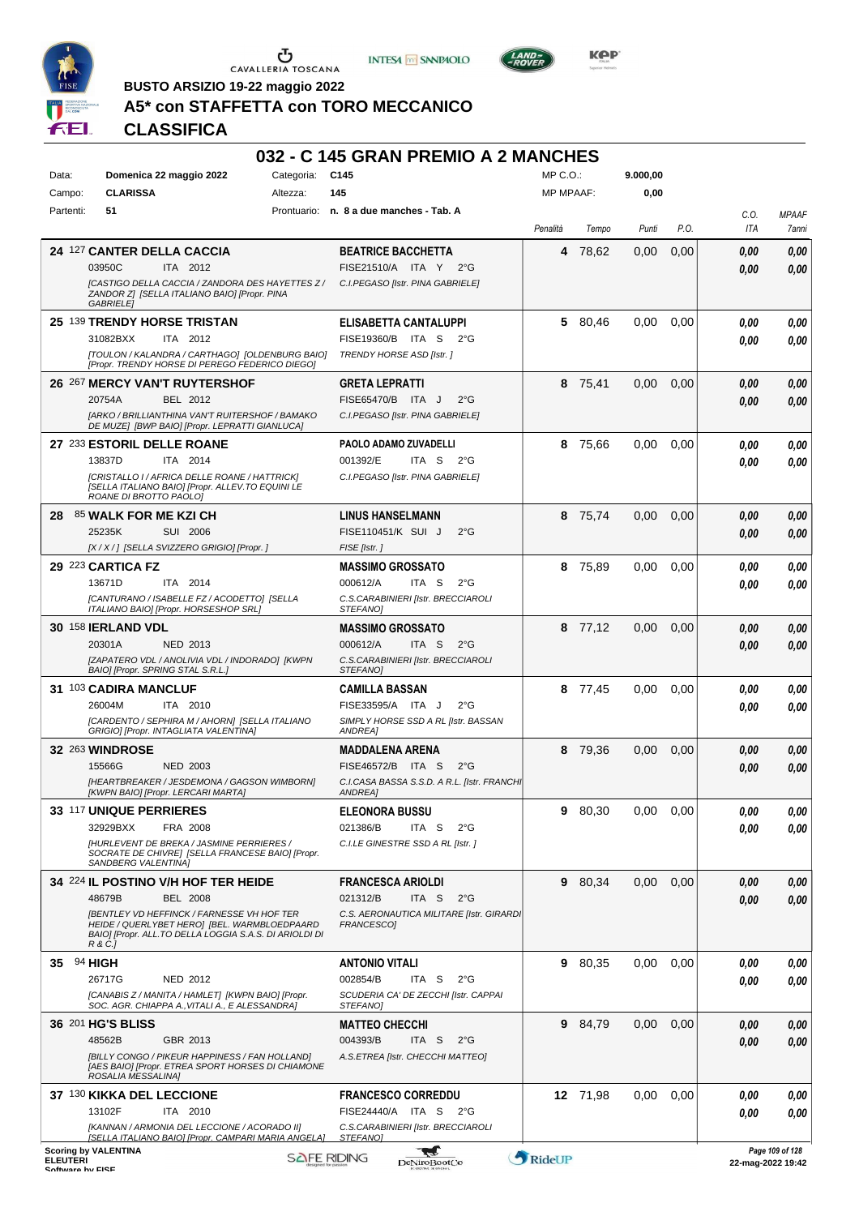

CAVALLERIA TOSCANA

**INTESA** M SANPAOLO



KOP

**BUSTO ARSIZIO 19-22 maggio 2022**

## **A5\* con STAFFETTA con TORO MECCANICO**

## **CLASSIFICA**

#### **032 - C 145 GRAN PREMIO A 2 MANCHES**  $MP \cap \bigcap$ **9.000,00** Data: **Domenica 22 maggio 2022** Categoria: C145 Campo: **CLARISSA** Altezza: **145** MP MPAAF: **0,00** Partenti: **51** Prontuario: **n. 8 a due manches - Tab. A** *C.O. MPAAF Penalità Tempo Punti P.O. ITA 7anni* **24** 127 **CANTER DELLA CACCIA BEATRICE BACCHETTA 4** 78,62 0,00 0,00 *0,00 0,00* ITA 2012 03950C ITA 2012 FISE21510/A ITA Y 2°G <mark>0,00 0,00</mark> *0,00 [CASTIGO DELLA CACCIA / ZANDORA DES HAYETTES Z / C.I.PEGASO [Istr. PINA GABRIELE] ZANDOR Z] [SELLA ITALIANO BAIO] [Propr. PINA GABRIELE]* **25** 139 **TRENDY HORSE TRISTAN ELISABETTA CANTALUPPI 5** 80,46 0,00 0,00 *0,00 0,00* ITA 2012 31082BXX ITA 2012 FISE19360/B ITA S 2°G **0,00 0,00** *0,00 [TOULON / KALANDRA / CARTHAGO] [OLDENBURG BAIO] TRENDY HORSE ASD [Istr. ] [Propr. TRENDY HORSE DI PEREGO FEDERICO DIEGO]* **26** 267 **MERCY VAN'T RUYTERSHOF GRETA LEPRATTI 8** 75,41 0,00 0,00 *0,00 0,00* BEL 2012 ITA J 2°G 20754A FISE65470/B *0,00 0,00 C.I.PEGASO [Istr. PINA GABRIELE] [ARKO / BRILLIANTHINA VAN'T RUITERSHOF / BAMAKO DE MUZE] [BWP BAIO] [Propr. LEPRATTI GIANLUCA]* **27** 233 **ESTORIL DELLE ROANE PAOLO ADAMO ZUVADELLI 8** 75,66 0,00 0,00 *0,00 0,00* ITA 2014 ITA S 2°G 13837D ITA 2014 001392/E ITA S 2°G <mark> 0,00 0,00</mark> *0,00 [CRISTALLO I / AFRICA DELLE ROANE / HATTRICK] C.I.PEGASO [Istr. PINA GABRIELE] [SELLA ITALIANO BAIO] [Propr. ALLEV.TO EQUINI LE ROANE DI BROTTO PAOLO]* **28** 85 **WALK FOR ME KZI CH LINUS HANSELMANN 8** 75,74 0,00 0,00 *0,00 0,00* SUI 2006 25235K SUI 2006 FISE110451/K SUI J 2°G <mark>0,00 0,00</mark> *0,00 [X / X / ] [SELLA SVIZZERO GRIGIO] [Propr. ] FISE [Istr. ]* **29** 223 **CARTICA FZ MASSIMO GROSSATO 8** 75,89 0,00 0,00 *0,00 0,00* ITA 2014 ITA S 2°G *0,00* 13671D ITA 2014 000612/A ITA S 2°G <mark> 0,00 0,00</mark> *C.S.CARABINIERI [Istr. BRECCIAROLI [CANTURANO / ISABELLE FZ / ACODETTO] [SELLA ITALIANO BAIO] [Propr. HORSESHOP SRL] STEFANO]* **30** 158 **IERLAND VDL MASSIMO GROSSATO 8** 77,12 0,00 0,00 *0,00 0,00* NED 2013 ITA S 2°G 20301A 000612/A *0,00 0,00 [ZAPATERO VDL / ANOLIVIA VDL / INDORADO] [KWPN C.S.CARABINIERI [Istr. BRECCIAROLI BAIO] [Propr. SPRING STAL S.R.L.] STEFANO]* **31** 103 **CADIRA MANCLUF CAMILLA BASSAN 8** 77,45 0,00 0,00 *0,00 0,00* ITA 2010 26004M ITA 2010 FISE33595/A ITA J 2°G <mark>0,00 0,00</mark> *0,00 [CARDENTO / SEPHIRA M / AHORN] [SELLA ITALIANO SIMPLY HORSE SSD A RL [Istr. BASSAN GRIGIO] [Propr. INTAGLIATA VALENTINA] ANDREA]* **32** 263 **WINDROSE MADDALENA ARENA 8** 79,36 0,00 0,00 *0,00 0,00* NED 2003 ITA S 2°G 15566G FISE46572/B *0,00 0,00 [HEARTBREAKER / JESDEMONA / GAGSON WIMBORN] C.I.CASA BASSA S.S.D. A R.L. [Istr. FRANCHI [KWPN BAIO] [Propr. LERCARI MARTA] ANDREA]* **33** 117 **UNIQUE PERRIERES ELEONORA BUSSU 9** 80,30 0,00 0,00 *0,00 0,00* FRA 2008 ITA S 2°G 32929BXX FRA 2008 021386/B ITA S 2°G <mark> *0,00 0,00*</mark> *0,00 [HURLEVENT DE BREKA / JASMINE PERRIERES / C.I.LE GINESTRE SSD A RL [Istr. ] SOCRATE DE CHIVRE] [SELLA FRANCESE BAIO] [Propr. SANDBERG VALENTINA]* **34** 224 **IL POSTINO V/H HOF TER HEIDE FRANCESCA ARIOLDI 9** 80,34 0,00 0,00 *0,00 0,00* BEL 2008 ITA S 2°G 48679B 021312/B *0,00 0,00 [BENTLEY VD HEFFINCK / FARNESSE VH HOF TER C.S. AERONAUTICA MILITARE [Istr. GIRARDI FRANCESCO] HEIDE / QUERLYBET HERO] [BEL. WARMBLOEDPAARD BAIO] [Propr. ALL.TO DELLA LOGGIA S.A.S. DI ARIOLDI DI R & C.]* **35** 94 **HIGH ANTONIO VITALI 9** 80,35 0,00 0,00 *0,00 0,00* NED 2012 ITA S 2°G 26717G 002854/B *0,00 0,00 SCUDERIA CA' DE ZECCHI [Istr. CAPPAI [CANABIS Z / MANITA / HAMLET] [KWPN BAIO] [Propr. SOC. AGR. CHIAPPA A.,VITALI A., E ALESSANDRA] STEFANO]* **36** 201 **HG'S BLISS MATTEO CHECCHI 9** 84,79 0,00 0,00 *0,00 0,00* GBR 2013 ITA S 2°G *0,00* 48562B GBR 2013 004393/B ITA S 2°G | <mark> 0,00 0,00</mark> *A.S.ETREA [Istr. CHECCHI MATTEO] [BILLY CONGO / PIKEUR HAPPINESS / FAN HOLLAND] [AES BAIO] [Propr. ETREA SPORT HORSES DI CHIAMONE ROSALIA MESSALINA]* **37** 130 **KIKKA DEL LECCIONE FRANCESCO CORREDDU 12** 71,98 0,00 0,00 *0,00 0,00* ITA 2010 13102F ITA 2010 FISE24440/A ITA S 2°G <mark>0,00 0,00</mark> *0,00 [KANNAN / ARMONIA DEL LECCIONE / ACORADO II] C.S.CARABINIERI [Istr. BRECCIAROLI [SELLA ITALIANO BAIO] [Propr. CAMPARI MARIA ANGELA] STEFANO]* **Scoring by VALENTINA** -gaf *Page 109 of 128* **ELEUTERI**<br>Software by FISE

ELEUTERI SOFTWARE SOFTWARE DENITOBOOTCO **DENITOBOOTCO DENITOBOOTCO 22-mag-2022 19:42**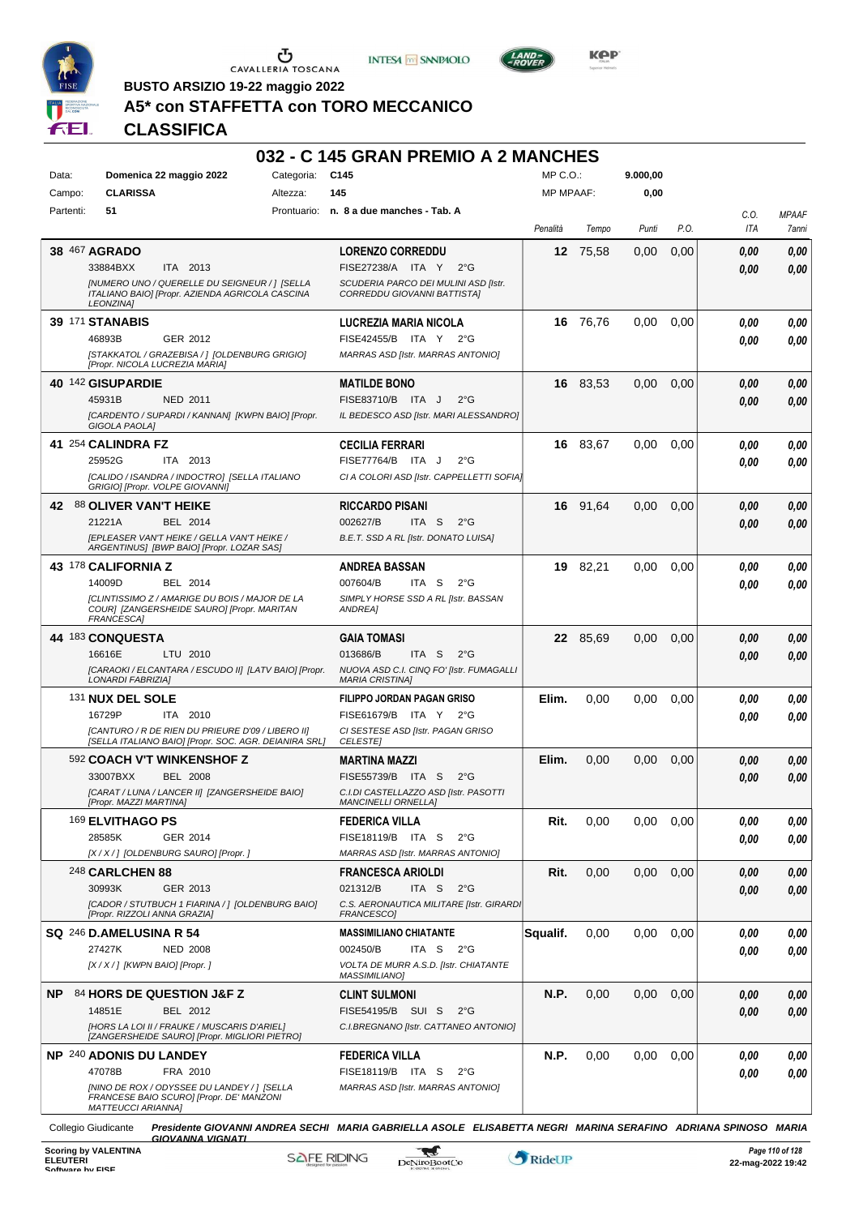

CAVALLERIA TOSCANA

**INTESA M SANPAOLO** 



KOP

**BUSTO ARSIZIO 19-22 maggio 2022**

#### **A5\* con STAFFETTA con TORO MECCANICO**

## **CLASSIFICA**

#### **032 - C 145 GRAN PREMIO A 2 MANCHES** Data: **Domenica 22 maggio 2022** Categoria: C145 Prontuario: **n. 8 a due manches - Tab. A** Campo: **CLARISSA** Partenti: **51** Altezza: **145**  $MP \cap \bigcap$ MP MPAAF: **9.000,00 0,00** *Penalità Tempo Punti P.O. C.O. ITA MPAAF 7anni* **38** 467 **AGRADO** ITA 2013 **LORENZO CORREDDU** *[NUMERO UNO / QUERELLE DU SEIGNEUR / ] [SELLA ITALIANO BAIO] [Propr. AZIENDA AGRICOLA CASCINA LEONZINA] SCUDERIA PARCO DEI MULINI ASD [Istr. CORREDDU GIOVANNI BATTISTA]* 33884BXX ITA 2013 FISE27238/A ITA Y 2°G **0,00 0,00 12** 75,58 0,00 0,00 *0,00 0,00 0,00* **39** 171 **STANABIS** GER 2012 **LUCREZIA MARIA NICOLA** *[STAKKATOL / GRAZEBISA / ] [OLDENBURG GRIGIO] [Propr. NICOLA LUCREZIA MARIA] MARRAS ASD [Istr. MARRAS ANTONIO]* 46893B GER\_2012 FISE42455/B ITA Y 2°G **0,00 0,00 16** 76,76 0,00 0,00 *0,00 0,00 0,00* **40** 142 **GISUPARDIE** NED 2011 **MATILDE BONO** *[CARDENTO / SUPARDI / KANNAN] [KWPN BAIO] [Propr. GIGOLA PAOLA] IL BEDESCO ASD [Istr. MARI ALESSANDRO]* 45931B NED 2011 FISE83710/B ITA J 2°G **0,00 0,00 16** 83,53 0,00 0,00 *0,00 0,00 0,00* **41** 254 **CALINDRA FZ** ITA 2013 **CECILIA FERRARI** *[CALIDO / ISANDRA / INDOCTRO] [SELLA ITALIANO GRIGIO] [Propr. VOLPE GIOVANNI] CI A COLORI ASD [Istr. CAPPELLETTI SOFIA]* 25952G ITA 2013 FISE77764/B ITA J 2°G **0,00 0,00 16** 83,67 0,00 0,00 *0,00 0,00 0,00* **42** 88 **OLIVER VAN'T HEIKE** BEL 2014 **RICCARDO PISANI** *[EPLEASER VAN'T HEIKE / GELLA VAN'T HEIKE / ARGENTINUS] [BWP BAIO] [Propr. LOZAR SAS] B.E.T. SSD A RL [Istr. DONATO LUISA]* ITA S 2°G **16** 91,64 0,00 0,00 *0,00 0,00 0,00* 21221A BEL 2014 002627/B ITA S 2°G <mark> 0,00 0,00</mark> **43** 178 **CALIFORNIA Z** BEL 2014 **ANDREA BASSAN** *[CLINTISSIMO Z / AMARIGE DU BOIS / MAJOR DE LA COUR] [ZANGERSHEIDE SAURO] [Propr. MARITAN FRANCESCA] SIMPLY HORSE SSD A RL [Istr. BASSAN ANDREA]* ITA S 2°G **19** 82,21 0,00 0,00 *0,00 0,00 0,00* 14009D BEL 2014 007604/B ITA S 2°G <mark>0 ,00 0,00</mark> **44** 183 **CONQUESTA** LTU 2010 **GAIA TOMASI** *[CARAOKI / ELCANTARA / ESCUDO II] [LATV BAIO] [Propr. LONARDI FABRIZIA] NUOVA ASD C.I. CINQ FO' [Istr. FUMAGALLI MARIA CRISTINA]* ITA S 2°G **22** 85,69 0,00 0,00 *0,00 0,00 0,00* 16616E LTU 2010 013686/B ITA S 2°G <mark> *0,00 0,00*</mark> 131 **NUX DEL SOLE** ITA 2010 **FILIPPO JORDAN PAGAN GRISO** *[CANTURO / R DE RIEN DU PRIEURE D'09 / LIBERO II] [SELLA ITALIANO BAIO] [Propr. SOC. AGR. DEIANIRA SRL] CI SESTESE ASD [Istr. PAGAN GRISO CELESTE]* 16729P ITA 2010 FISE61679/B ITA Y 2°G <mark>0,00 0,00</mark> **Elim.** 0,00 0,00 0,00 *0,00 0,00 0,00* 592 **COACH V'T WINKENSHOF Z** BEL 2008 **MARTINA MAZZI** *[CARAT / LUNA / LANCER II] [ZANGERSHEIDE BAIO] [Propr. MAZZI MARTINA] C.I.DI CASTELLAZZO ASD [Istr. PASOTTI MANCINELLI ORNELLA]* 33007BXX BEL 2008 FISE55739/B ITA S 2°G **0,00 0,00 Elim.** 0,00 0,00 0,00 *0,00 0,00 0,00* 169 **ELVITHAGO PS** GER 2014 **FEDERICA VILLA** *[X / X / ] [OLDENBURG SAURO] [Propr. ] MARRAS ASD [Istr. MARRAS ANTONIO]* ITA S 2°G 28585K FISE18119/B *0,00* **Rit.** 0,00 0,00 0,00 *0,00 0,00 0,00* 248 **CARLCHEN 88** GER 2013 **FRANCESCA ARIOLDI** *[CADOR / STUTBUCH 1 FIARINA / ] [OLDENBURG BAIO] [Propr. RIZZOLI ANNA GRAZIA]* **C.S. AERONAUTICA MILITARE [Istr. GIRARD** *FRANCESCO]* ITA S 2°G **Rit.** 0,00 0,00 0,00 *0,00 0,00 0,00* 30993K GER\_2013 021312/B ITA S 2°G *0,00 0,00* **SQ** 246 **D.AMELUSINA R 54** NED 2008 **MASSIMILIANO CHIATANTE** *[X / X / ] [KWPN BAIO] [Propr. ] VOLTA DE MURR A.S.D. [Istr. CHIATANTE MASSIMILIANO]* ITA S 2°G **Squalif.** 0,00 0,00 0,00 *0,00 0,00 0,00* 27427K 002450/B *0,00* **NP** 84 **HORS DE QUESTION J&F Z** BEL 2012 **CLINT SULMONI** *[HORS LA LOI II / FRAUKE / MUSCARIS D'ARIEL] [ZANGERSHEIDE SAURO] [Propr. MIGLIORI PIETRO] C.I.BREGNANO [Istr. CATTANEO ANTONIO]* 14851E BEL 2012 FISE54195/B SUI S 2°G **0,00 0,00 N.P.** 0,00 0,00 0,00 *0,00 0,00 0,00* **NP** 240 **ADONIS DU LANDEY** FRA 2010 **FEDERICA VILLA** *[NINO DE ROX / ODYSSEE DU LANDEY / ] [SELLA FRANCESE BAIO SCURO] [Propr. DE' MANZONI MATTEUCCI ARIANNA] MARRAS ASD [Istr. MARRAS ANTONIO]* 47078B FRA 2010 FISE18119/B ITA S 2°G **0,00 0,00 N.P.** 0,00 0,00 0,00 *0,00 0,00 0,00* Collegio Giudicante *Presidente GIOVANNI ANDREA SECHI MARIA GABRIELLA ASOLE ELISABETTA NEGRI MARINA SERAFINO ADRIANA SPINOSO MARIA*

*GIOVANNA VIGNATI*

-gaf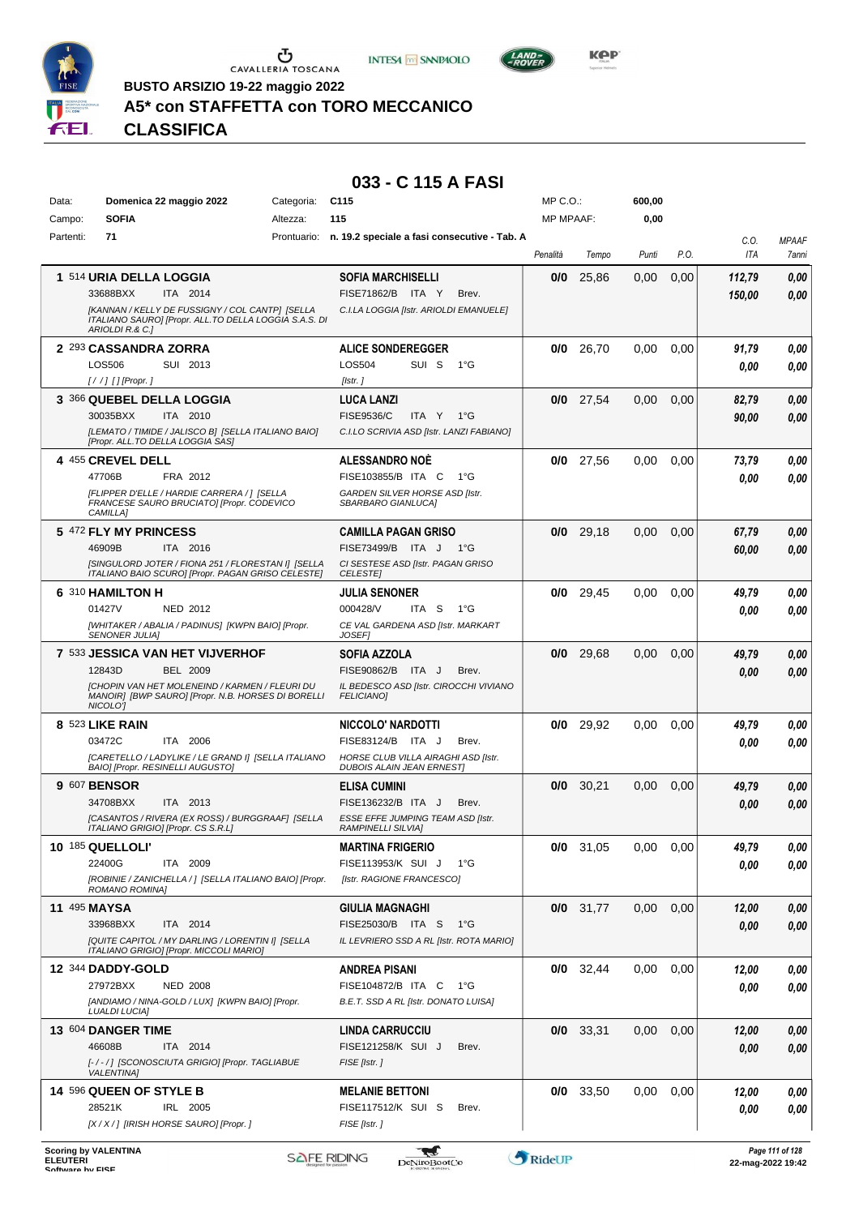





**BUSTO ARSIZIO 19-22 maggio 2022**

## **A5\* con STAFFETTA con TORO MECCANICO**

# *Presidente GIOVANNI ANDREA SECHI MARIA GABRIELLA ASOLE ELISABETTA NEGRI MARINA SERAFINO ADRIANA SPINOSO MARIA GIOVANNA VIGNATI* **CLASSIFICA**

| Data:     | Domenica 22 maggio 2022                                                                                                     | Categoria: | C <sub>115</sub>                                                        | MP C.O.:         |             | 600,00        |      |             |                       |
|-----------|-----------------------------------------------------------------------------------------------------------------------------|------------|-------------------------------------------------------------------------|------------------|-------------|---------------|------|-------------|-----------------------|
| Campo:    | <b>SOFIA</b>                                                                                                                | Altezza:   | 115                                                                     | <b>MP MPAAF:</b> |             | 0,00          |      |             |                       |
| Partenti: | 71                                                                                                                          |            | Prontuario: n. 19.2 speciale a fasi consecutive - Tab. A                | Penalità         | Tempo       | Punti         | P.O. | C.O.<br>ITA | <b>MPAAF</b><br>7anni |
|           | 1 514 URIA DELLA LOGGIA                                                                                                     |            | <b>SOFIA MARCHISELLI</b>                                                | 0/0              | 25,86       | 0,00          | 0,00 | 112,79      | 0,00                  |
|           | 33688BXX<br>ITA 2014                                                                                                        |            | FISE71862/B ITA Y<br>Brev.                                              |                  |             |               |      | 150,00      | 0.00                  |
|           | [KANNAN / KELLY DE FUSSIGNY / COL CANTP] [SELLA<br>ITALIANO SAURO] [Propr. ALL.TO DELLA LOGGIA S.A.S. DI<br>ARIOLDI R.& C.] |            | C.I.LA LOGGIA [Istr. ARIOLDI EMANUELE]                                  |                  |             |               |      |             |                       |
|           | 2 293 CASSANDRA ZORRA                                                                                                       |            | <b>ALICE SONDEREGGER</b>                                                |                  | $0/0$ 26,70 | 0,00          | 0,00 | 91,79       | 0,00                  |
|           | LOS506<br>SUI 2013                                                                                                          |            | LOS504<br>SUI S<br>1°G                                                  |                  |             |               |      | 0.00        | 0.00                  |
|           | [/ /] [] [Propr. ]                                                                                                          |            | [Istr.]                                                                 |                  |             |               |      |             |                       |
|           | 3 366 QUEBEL DELLA LOGGIA                                                                                                   |            | <b>LUCA LANZI</b>                                                       |                  | $0/0$ 27,54 | 0,00          | 0,00 | 82,79       | 0,00                  |
|           | 30035BXX<br>ITA 2010                                                                                                        |            | <b>FISE9536/C</b><br>ITA Y<br>1°G                                       |                  |             |               |      | 90,00       | 0,00                  |
|           | [LEMATO / TIMIDE / JALISCO B] [SELLA ITALIANO BAIO]<br>[Propr. ALL.TO DELLA LOGGIA SAS]                                     |            | C.I.LO SCRIVIA ASD [Istr. LANZI FABIANO]                                |                  |             |               |      |             |                       |
|           | 4 455 CREVEL DELL                                                                                                           |            | <b>ALESSANDRO NOE</b>                                                   |                  | $0/0$ 27,56 | 0,00          | 0,00 | 73,79       | 0,00                  |
|           | 47706B<br>FRA 2012                                                                                                          |            | FISE103855/B ITA C<br>$1^{\circ}G$                                      |                  |             |               |      | 0.00        | 0.00                  |
|           | [FLIPPER D'ELLE / HARDIE CARRERA / ] [SELLA<br>FRANCESE SAURO BRUCIATO] [Propr. CODEVICO<br>CAMILLA]                        |            | GARDEN SILVER HORSE ASD [Istr.<br>SBARBARO GIANLUCA]                    |                  |             |               |      |             |                       |
|           | 5 472 FLY MY PRINCESS                                                                                                       |            | <b>CAMILLA PAGAN GRISO</b>                                              |                  | $0/0$ 29,18 | 0.00          | 0,00 | 67,79       | 0,00                  |
|           | 46909B<br>ITA 2016                                                                                                          |            | FISE73499/B ITA J 1°G                                                   |                  |             |               |      | 60,00       | 0,00                  |
|           | [SINGULORD JOTER / FIONA 251 / FLORESTAN I] [SELLA<br>ITALIANO BAIO SCURO] [Propr. PAGAN GRISO CELESTE]                     |            | CI SESTESE ASD [Istr. PAGAN GRISO<br><b>CELESTE</b>                     |                  |             |               |      |             |                       |
|           | 6 310 HAMILTON H                                                                                                            |            | JULIA SENONER                                                           | 0/0              | 29,45       | 0,00          | 0,00 | 49,79       | 0,00                  |
|           | 01427V<br><b>NED 2012</b>                                                                                                   |            | 000428/V<br>ITA S<br>$1^{\circ}G$                                       |                  |             |               |      | 0.00        | 0.00                  |
|           | [WHITAKER / ABALIA / PADINUS] [KWPN BAIO] [Propr.<br><b>SENONER JULIA]</b>                                                  |            | CE VAL GARDENA ASD [Istr. MARKART<br><b>JOSEF1</b>                      |                  |             |               |      |             |                       |
|           | 7 533 JESSICA VAN HET VIJVERHOF                                                                                             |            | SOFIA AZZOLA                                                            |                  | $0/0$ 29,68 | 0,00          | 0,00 | 49,79       | 0,00                  |
|           | 12843D<br>BEL 2009                                                                                                          |            | FISE90862/B ITA J<br>Brev.                                              |                  |             |               |      | 0.00        | 0.00                  |
|           | <b>[CHOPIN VAN HET MOLENEIND / KARMEN / FLEURI DU</b><br>MANOIR] [BWP SAURO] [Propr. N.B. HORSES DI BORELLI<br>NICOLO'I     |            | IL BEDESCO ASD [Istr. CIROCCHI VIVIANO<br><b>FELICIANO]</b>             |                  |             |               |      |             |                       |
|           | 8 523 LIKE RAIN                                                                                                             |            | NICCOLO' NARDOTTI                                                       |                  | $0/0$ 29,92 | 0,00          | 0.00 | 49,79       | 0,00                  |
|           | 03472C<br>ITA 2006                                                                                                          |            | FISE83124/B ITA J<br>Brev.                                              |                  |             |               |      | 0.00        | 0.00                  |
|           | [CARETELLO / LADYLIKE / LE GRAND I] [SELLA ITALIANO<br>BAIO] [Propr. RESINELLI AUGUSTO]                                     |            | HORSE CLUB VILLA AIRAGHI ASD [Istr.<br><b>DUBOIS ALAIN JEAN ERNESTI</b> |                  |             |               |      |             |                       |
|           | 9 607 BENSOR                                                                                                                |            | <b>ELISA CUMINI</b>                                                     |                  | $0/0$ 30,21 | 0,00          | 0,00 | 49,79       | 0,00                  |
|           | 34708BXX<br>ITA 2013                                                                                                        |            | FISE136232/B ITA J<br>Brev.                                             |                  |             |               |      | 0.00        | 0.00                  |
|           | [CASANTOS / RIVERA (EX ROSS) / BURGGRAAF] [SELLA<br>ITALIANO GRIGIO] [Propr. CS S.R.L]                                      |            | ESSE EFFE JUMPING TEAM ASD [Istr.<br><b>RAMPINELLI SILVIAI</b>          |                  |             |               |      |             |                       |
|           | 10 185 QUELLOLI'                                                                                                            |            | <b>MARTINA FRIGERIO</b>                                                 |                  | $0/0$ 31,05 | $0,00$ $0,00$ |      | 49,79       | 0,00                  |
|           | 22400G<br>ITA 2009                                                                                                          |            | FISE113953/K SUI J<br>1°G                                               |                  |             |               |      | 0,00        | 0,00                  |
|           | [ROBINIE / ZANICHELLA / ] [SELLA ITALIANO BAIO] [Propr.                                                                     |            | [Istr. RAGIONE FRANCESCO]                                               |                  |             |               |      |             |                       |
|           | ROMANO ROMINA]<br><b>11 495 MAYSA</b>                                                                                       |            | <b>GIULIA MAGNAGHI</b>                                                  |                  | $0/0$ 31,77 | 0,00          | 0,00 | 12,00       | 0,00                  |
|           | 33968BXX<br>ITA 2014                                                                                                        |            | FISE25030/B ITA S<br>1°G                                                |                  |             |               |      | 0,00        | 0,00                  |
|           | [QUITE CAPITOL / MY DARLING / LORENTIN I] [SELLA                                                                            |            | IL LEVRIERO SSD A RL [Istr. ROTA MARIO]                                 |                  |             |               |      |             |                       |
|           | ITALIANO GRIGIO] [Propr. MICCOLI MARIO]                                                                                     |            |                                                                         |                  |             |               |      |             |                       |
|           | <b>12 344 DADDY-GOLD</b><br>27972BXX<br><b>NED 2008</b>                                                                     |            | ANDREA PISANI<br>FISE104872/B ITA C<br>− 1°G                            |                  | $0/0$ 32,44 | 0,00          | 0.00 | 12,00       | 0,00                  |
|           | [ANDIAMO / NINA-GOLD / LUX] [KWPN BAIO] [Propr.                                                                             |            | B.E.T. SSD A RL [Istr. DONATO LUISA]                                    |                  |             |               |      | 0,00        | 0,00                  |
|           | <b>LUALDI LUCIA]</b>                                                                                                        |            |                                                                         |                  |             |               |      |             |                       |
|           | 13 604 DANGER TIME                                                                                                          |            | <b>LINDA CARRUCCIU</b>                                                  |                  | $0/0$ 33,31 | 0,00          | 0,00 | 12,00       | 0,00                  |
|           | 46608B<br>ITA 2014                                                                                                          |            | FISE121258/K SUI J<br>Brev.                                             |                  |             |               |      | 0,00        | 0,00                  |
|           | [-/-/] [SCONOSCIUTA GRIGIO] [Propr. TAGLIABUE<br><b>VALENTINA]</b>                                                          |            | FISE [Istr.]                                                            |                  |             |               |      |             |                       |
|           | 14 596 QUEEN OF STYLE B                                                                                                     |            | <b>MELANIE BETTONI</b>                                                  |                  | $0/0$ 33,50 | 0,00          | 0,00 | 12,00       | 0,00                  |
|           | 28521K<br>IRL 2005                                                                                                          |            | FISE117512/K SUI S<br>Brev.                                             |                  |             |               |      | 0,00        | 0,00                  |
|           | [X / X / ] [IRISH HORSE SAURO] [Propr. ]                                                                                    |            | FISE [Istr. ]                                                           |                  |             |               |      |             |                       |
|           |                                                                                                                             |            |                                                                         |                  |             |               |      |             |                       |

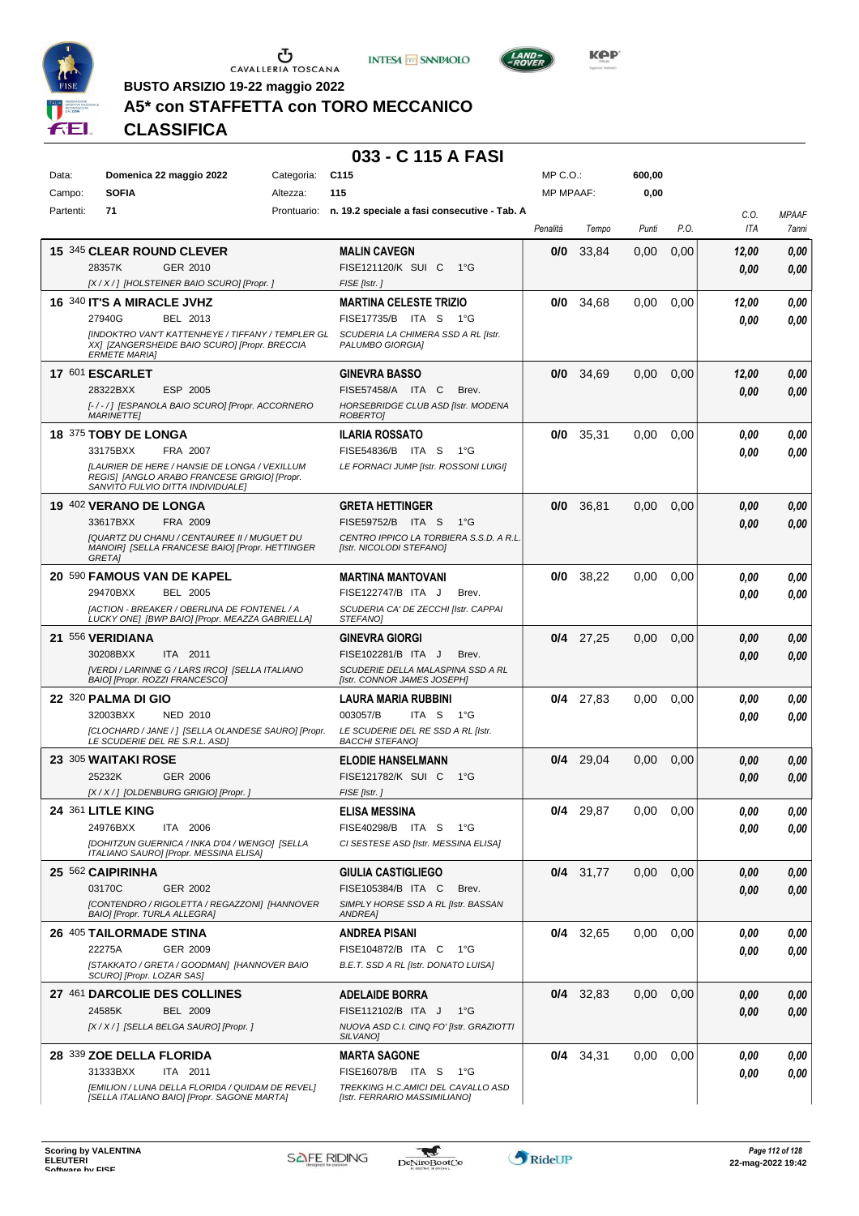





**BUSTO ARSIZIO 19-22 maggio 2022**

## **A5\* con STAFFETTA con TORO MECCANICO**

**CLASSIFICA**

| Data:     | Domenica 22 maggio 2022                                                                                                                   | Categoria:  | C <sub>115</sub>                                                    | MP C. O.         |             | 600,00 |      |             |                       |
|-----------|-------------------------------------------------------------------------------------------------------------------------------------------|-------------|---------------------------------------------------------------------|------------------|-------------|--------|------|-------------|-----------------------|
| Campo:    | <b>SOFIA</b>                                                                                                                              | Altezza:    | 115                                                                 | <b>MP MPAAF:</b> |             | 0,00   |      |             |                       |
| Partenti: | 71                                                                                                                                        | Prontuario: | n. 19.2 speciale a fasi consecutive - Tab. A                        | Penalità         | Tempo       | Punti  | P.O. | C.O.<br>ITA | <b>MPAAF</b><br>7anni |
|           | 15 345 CLEAR ROUND CLEVER                                                                                                                 |             | <b>MALIN CAVEGN</b>                                                 | 0/0              | 33.84       | 0,00   | 0,00 | 12,00       | 0,00                  |
|           | 28357K<br>GER 2010                                                                                                                        |             | FISE121120/K SUI C<br>1°G                                           |                  |             |        |      | 0,00        | 0,00                  |
|           | [X/X/] [HOLSTEINER BAIO SCURO] [Propr.]                                                                                                   |             | FISE [Istr.]                                                        |                  |             |        |      |             |                       |
|           | 16 340 IT'S A MIRACLE JVHZ                                                                                                                |             | <b>MARTINA CELESTE TRIZIO</b>                                       | 0/0              | 34,68       | 0,00   | 0,00 | 12,00       | 0,00                  |
|           | 27940G<br>BEL 2013                                                                                                                        |             | FISE17735/B ITA S<br>1°G                                            |                  |             |        |      | 0.00        | 0,00                  |
|           | [INDOKTRO VAN'T KATTENHEYE / TIFFANY / TEMPLER GL<br>XX] [ZANGERSHEIDE BAIO SCURO] [Propr. BRECCIA<br><b>ERMETE MARIA1</b>                |             | SCUDERIA LA CHIMERA SSD A RL [Istr.<br>PALUMBO GIORGIA]             |                  |             |        |      |             |                       |
|           | 17 601 ESCARLET                                                                                                                           |             | <b>GINEVRA BASSO</b>                                                | 0/0              | 34,69       | 0,00   | 0,00 | 12,00       | 0,00                  |
|           | 28322BXX<br>ESP 2005                                                                                                                      |             | FISE57458/A ITA C<br>Brev.                                          |                  |             |        |      | 0.00        | 0,00                  |
|           | [-/-/] [ESPANOLA BAIO SCURO] [Propr. ACCORNERO<br><b>MARINETTEI</b>                                                                       |             | HORSEBRIDGE CLUB ASD [Istr. MODENA<br>ROBERTO]                      |                  |             |        |      |             |                       |
|           | 18 375 TOBY DE LONGA                                                                                                                      |             | <b>ILARIA ROSSATO</b>                                               | 0/0              | 35,31       | 0.00   | 0,00 | 0.00        | 0,00                  |
|           | FRA 2007<br>33175BXX                                                                                                                      |             | FISE54836/B ITA S<br>1°G                                            |                  |             |        |      | 0.00        | 0,00                  |
|           | <b>ILAURIER DE HERE / HANSIE DE LONGA / VEXILLUM</b><br>REGIS] [ANGLO ARABO FRANCESE GRIGIO] [Propr.<br>SANVITO FULVIO DITTA INDIVIDUALE] |             | LE FORNACI JUMP [Istr. ROSSONI LUIGI]                               |                  |             |        |      |             |                       |
|           | 19 402 VERANO DE LONGA                                                                                                                    |             | <b>GRETA HETTINGER</b>                                              | 0/0              | 36,81       | 0,00   | 0,00 | 0.00        | 0,00                  |
|           | 33617BXX<br>FRA 2009                                                                                                                      |             | FISE59752/B ITA S<br>1°G                                            |                  |             |        |      | 0.00        | 0,00                  |
|           | <b>[QUARTZ DU CHANU / CENTAUREE II / MUGUET DU</b><br>MANOIR] [SELLA FRANCESE BAIO] [Propr. HETTINGER<br><b>GRETAI</b>                    |             | CENTRO IPPICO LA TORBIERA S.S.D. A R.L.<br>[Istr. NICOLODI STEFANO] |                  |             |        |      |             |                       |
|           | 20 590 FAMOUS VAN DE KAPEL                                                                                                                |             | <b>MARTINA MANTOVANI</b>                                            | 0/0              | 38,22       | 0.00   | 0,00 | 0.00        | 0,00                  |
|           | 29470BXX<br><b>BEL 2005</b>                                                                                                               |             | FISE122747/B ITA J<br>Brev.                                         |                  |             |        |      | 0.00        | 0.00                  |
|           | [ACTION - BREAKER / OBERLINA DE FONTENEL / A<br>LUCKY ONE] [BWP BAIO] [Propr. MEAZZA GABRIELLA]                                           |             | SCUDERIA CA' DE ZECCHI [Istr. CAPPAI<br>STEFANO]                    |                  |             |        |      |             |                       |
|           | 21 556 VERIDIANA                                                                                                                          |             | <b>GINEVRA GIORGI</b>                                               | 0/4              | 27,25       | 0,00   | 0,00 | 0,00        | 0,00                  |
|           | 30208BXX<br>ITA 2011                                                                                                                      |             | FISE102281/B ITA J<br>Brev.                                         |                  |             |        |      | 0.00        | 0,00                  |
|           | [VERDI / LARINNE G / LARS IRCO] [SELLA ITALIANO<br>BAIO] [Propr. ROZZI FRANCESCO]                                                         |             | SCUDERIE DELLA MALASPINA SSD A RL<br>[Istr. CONNOR JAMES JOSEPH]    |                  |             |        |      |             |                       |
|           | 22 320 PALMA DI GIO                                                                                                                       |             | LAURA MARIA RUBBINI                                                 |                  | $0/4$ 27,83 | 0,00   | 0,00 | 0.00        | 0,00                  |
|           | 32003BXX<br><b>NED 2010</b>                                                                                                               |             | 003057/B<br>ITA S<br>1°G                                            |                  |             |        |      | 0.00        | 0,00                  |
|           | [CLOCHARD / JANE / ] [SELLA OLANDESE SAURO] [Propr.<br>LE SCUDERIE DEL RE S.R.L. ASD]                                                     |             | LE SCUDERIE DEL RE SSD A RL [Istr.<br><b>BACCHI STEFANO]</b>        |                  |             |        |      |             |                       |
|           | 23 305 WAITAKI ROSE                                                                                                                       |             | <b>ELODIE HANSELMANN</b>                                            | 0/4              | 29,04       | 0,00   | 0,00 | 0,00        | 0,00                  |
|           | 25232K<br><b>GER 2006</b>                                                                                                                 |             | FISE121782/K SUI C<br>1°G                                           |                  |             |        |      | 0,00        | 0,00                  |
|           | [X / X / ] [OLDENBURG GRIGIO] [Propr. ]                                                                                                   |             | FISE [Istr.]                                                        |                  |             |        |      |             |                       |
|           | 24 361 LITLE KING<br>24976BXX<br>ITA 2006                                                                                                 |             | <b>ELISA MESSINA</b><br>FISE40298/B ITA S<br>1°G                    | 0/4              | 29,87       | 0.00   | 0.00 | 0.00        | 0.00                  |
|           | [DOHITZUN GUERNICA / INKA D'04 / WENGO] [SELLA                                                                                            |             | CI SESTESE ASD [Istr. MESSINA ELISA]                                |                  |             |        |      | 0,00        | 0,00                  |
|           | ITALIANO SAURO] [Propr. MESSINA ELISA]                                                                                                    |             |                                                                     |                  |             |        |      |             |                       |
|           | 25 562 CAIPIRINHA                                                                                                                         |             | <b>GIULIA CASTIGLIEGO</b>                                           |                  | $0/4$ 31,77 | 0,00   | 0,00 | 0.00        | 0,00                  |
|           | 03170C<br>GER 2002<br>[CONTENDRO / RIGOLETTA / REGAZZONI] [HANNOVER                                                                       |             | FISE105384/B ITA C<br>Brev.<br>SIMPLY HORSE SSD A RL [Istr. BASSAN  |                  |             |        |      | 0,00        | 0,00                  |
|           | BAIO] [Propr. TURLA ALLEGRA]                                                                                                              |             | ANDREA]                                                             |                  |             |        |      |             |                       |
|           | 26 405 TAILORMADE STINA                                                                                                                   |             | <b>ANDREA PISANI</b>                                                |                  | $0/4$ 32,65 | 0,00   | 0,00 | 0.00        | 0,00                  |
|           | 22275A<br>GER 2009                                                                                                                        |             | FISE104872/B ITA C<br>1°G                                           |                  |             |        |      | 0.00        | 0,00                  |
|           | [STAKKATO / GRETA / GOODMAN] [HANNOVER BAIO<br>SCURO] [Propr. LOZAR SAS]                                                                  |             | B.E.T. SSD A RL [Istr. DONATO LUISA]                                |                  |             |        |      |             |                       |
|           | 27 461 DARCOLIE DES COLLINES                                                                                                              |             | <b>ADELAIDE BORRA</b>                                               |                  | $0/4$ 32,83 | 0,00   | 0,00 | 0.00        | 0,00                  |
|           | 24585K<br><b>BEL 2009</b>                                                                                                                 |             | FISE112102/B ITA J<br>$1^{\circ}G$                                  |                  |             |        |      | 0,00        | 0,00                  |
|           | [X / X / ] [SELLA BELGA SAURO] [Propr. ]                                                                                                  |             | NUOVA ASD C.I. CINQ FO' [Istr. GRAZIOTTI<br>SILVANO]                |                  |             |        |      |             |                       |
|           | 28 339 ZOE DELLA FLORIDA                                                                                                                  |             | <b>MARTA SAGONE</b>                                                 |                  | $0/4$ 34,31 | 0,00   | 0,00 | 0.00        | 0,00                  |
|           | 31333BXX<br>ITA 2011                                                                                                                      |             | FISE16078/B ITA S<br>1°G                                            |                  |             |        |      | 0.00        | 0,00                  |
|           | [EMILION / LUNA DELLA FLORIDA / QUIDAM DE REVEL]<br>[SELLA ITALIANO BAIO] [Propr. SAGONE MARTA]                                           |             | TREKKING H.C.AMICI DEL CAVALLO ASD<br>[Istr. FERRARIO MASSIMILIANO] |                  |             |        |      |             |                       |

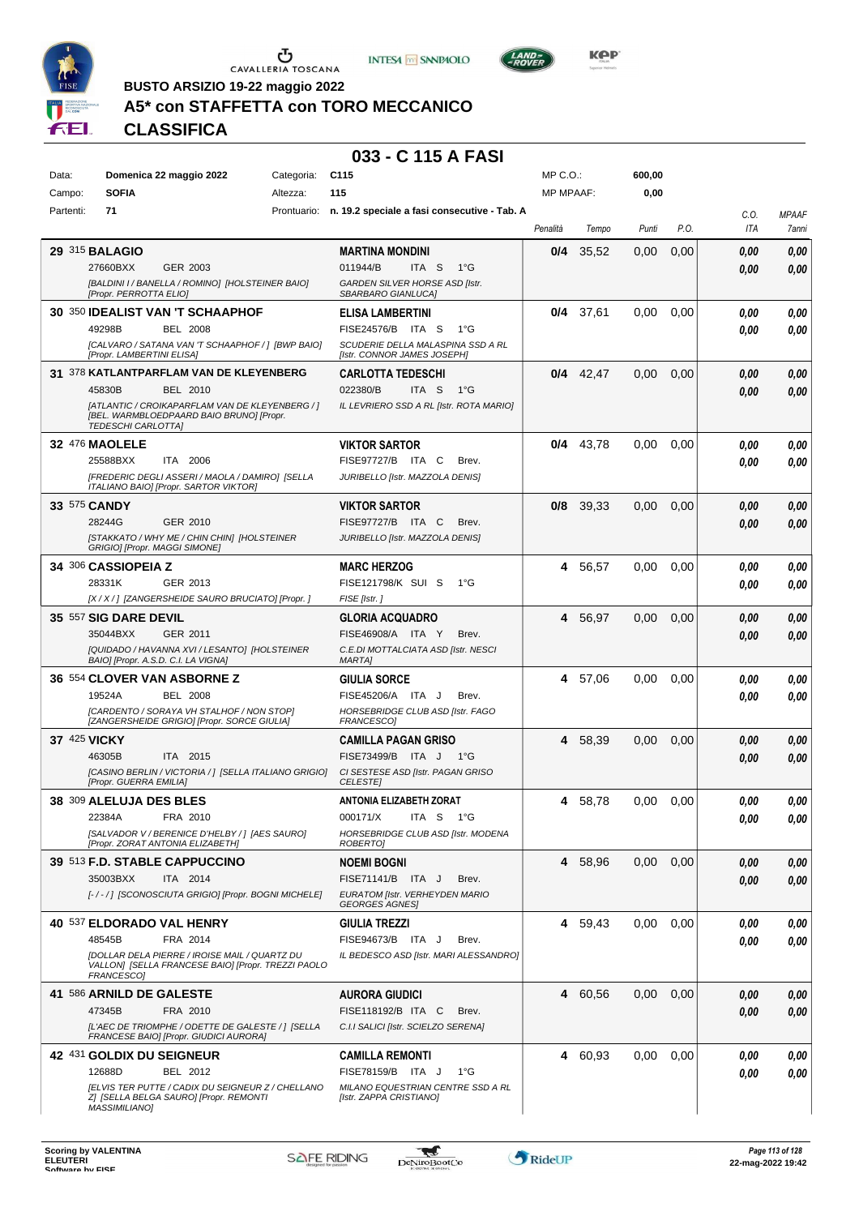





**BUSTO ARSIZIO 19-22 maggio 2022**

## **A5\* con STAFFETTA con TORO MECCANICO**

**CLASSIFICA**

| Data:        | Domenica 22 maggio 2022                                                                                           | Categoria: | C <sub>115</sub>                                              | $MP C. O.$ :     |             | 600,00 |      |              |              |
|--------------|-------------------------------------------------------------------------------------------------------------------|------------|---------------------------------------------------------------|------------------|-------------|--------|------|--------------|--------------|
| Campo:       | <b>SOFIA</b>                                                                                                      | Altezza:   | 115                                                           | <b>MP MPAAF:</b> |             | 0,00   |      |              |              |
| Partenti:    | 71                                                                                                                |            | Prontuario: n. 19.2 speciale a fasi consecutive - Tab. A      |                  |             |        |      | C.0.         | <b>MPAAF</b> |
|              |                                                                                                                   |            |                                                               | Penalità         | Tempo       | Punti  | P.O. | ITA          | 7anni        |
|              | <b>29 315 BALAGIO</b>                                                                                             |            | <b>MARTINA MONDINI</b>                                        | 0/4              | 35.52       | 0,00   | 0,00 | 0.00         | 0,00         |
|              | 27660BXX<br>GER 2003                                                                                              |            | 011944/B<br>ITA <sub>S</sub><br>$1^{\circ}G$                  |                  |             |        |      | 0.00         | 0,00         |
|              | [BALDINI I / BANELLA / ROMINO] [HOLSTEINER BAIO]<br>[Propr. PERROTTA ELIO]                                        |            | GARDEN SILVER HORSE ASD [Istr.<br>SBARBARO GIANLUCAI          |                  |             |        |      |              |              |
|              | 30 350 IDEALIST VAN 'T SCHAAPHOF                                                                                  |            | <b>ELISA LAMBERTINI</b>                                       | 0/4              |             | 0,00   | 0.00 |              |              |
|              | 49298B<br><b>BEL 2008</b>                                                                                         |            | FISE24576/B ITA S<br>1°G                                      |                  | 37,61       |        |      | 0,00<br>0.00 | 0,00<br>0,00 |
|              | [CALVARO / SATANA VAN 'T SCHAAPHOF / ] [BWP BAIO]                                                                 |            | SCUDERIE DELLA MALASPINA SSD A RL                             |                  |             |        |      |              |              |
|              | [Propr. LAMBERTINI ELISA]                                                                                         |            | [Istr. CONNOR JAMES JOSEPH]                                   |                  |             |        |      |              |              |
|              | 31 378 KATLANTPARFLAM VAN DE KLEYENBERG                                                                           |            | <b>CARLOTTA TEDESCHI</b>                                      |                  | $0/4$ 42,47 | 0,00   | 0,00 | 0,00         | 0,00         |
|              | 45830B<br>BEL 2010                                                                                                |            | 022380/B<br>ITA S<br>1°G                                      |                  |             |        |      | 0.00         | 0,00         |
|              | [ATLANTIC / CROIKAPARFLAM VAN DE KLEYENBERG / ]<br>[BEL. WARMBLOEDPAARD BAIO BRUNO] [Propr.<br>TEDESCHI CARLOTTA] |            | IL LEVRIERO SSD A RL [Istr. ROTA MARIO]                       |                  |             |        |      |              |              |
|              | <b>32 476 MAOLELE</b>                                                                                             |            | <b>VIKTOR SARTOR</b>                                          | 0/4              | 43.78       | 0,00   | 0,00 | 0.00         | 0,00         |
|              | 25588BXX<br>ITA 2006                                                                                              |            | FISE97727/B ITA C<br>Brev.                                    |                  |             |        |      | 0.00         | 0,00         |
|              | [FREDERIC DEGLI ASSERI / MAOLA / DAMIRO] [SELLA<br>ITALIANO BAIO] [Propr. SARTOR VIKTOR]                          |            | JURIBELLO [Istr. MAZZOLA DENIS]                               |                  |             |        |      |              |              |
|              | 33 575 CANDY                                                                                                      |            | <b>VIKTOR SARTOR</b>                                          | 0/8              | 39,33       | 0,00   | 0,00 | 0,00         | 0,00         |
|              | 28244G<br>GER 2010                                                                                                |            | FISE97727/B ITA C<br>Brev.                                    |                  |             |        |      | 0.00         | 0,00         |
|              | [STAKKATO / WHY ME / CHIN CHIN] [HOLSTEINER<br>GRIGIO] [Propr. MAGGI SIMONE]                                      |            | JURIBELLO [Istr. MAZZOLA DENIS]                               |                  |             |        |      |              |              |
|              | 34 306 CASSIOPEIA Z                                                                                               |            | <b>MARC HERZOG</b>                                            | 4                | 56,57       | 0,00   | 0,00 | 0.00         | 0,00         |
|              | 28331K<br>GER 2013                                                                                                |            | FISE121798/K SUI S<br>1°G                                     |                  |             |        |      | 0.00         | 0.00         |
|              | [X / X / ] [ZANGERSHEIDE SAURO BRUCIATO] [Propr. ]                                                                |            | FISE [Istr.]                                                  |                  |             |        |      |              |              |
|              | 35 557 SIG DARE DEVIL                                                                                             |            | <b>GLORIA ACQUADRO</b>                                        | 4                | 56,97       | 0.00   | 0,00 | 0.00         | 0,00         |
|              | 35044BXX<br>GER 2011                                                                                              |            | FISE46908/A ITA Y<br>Brev.                                    |                  |             |        |      | 0.00         | 0,00         |
|              | [QUIDADO / HAVANNA XVI / LESANTO] [HOLSTEINER<br>BAIO] [Propr. A.S.D. C.I. LA VIGNA]                              |            | C.E.DI MOTTALCIATA ASD [Istr. NESCI<br><b>MARTAI</b>          |                  |             |        |      |              |              |
|              | 36 554 CLOVER VAN ASBORNE Z                                                                                       |            | GIULIA SORCE                                                  | 4                | 57,06       | 0,00   | 0,00 | 0.00         | 0,00         |
|              | <b>BEL 2008</b><br>19524A                                                                                         |            | FISE45206/A ITA J<br>Brev.                                    |                  |             |        |      | 0.00         | 0.00         |
|              | [CARDENTO / SORAYA VH STALHOF / NON STOP]                                                                         |            | HORSEBRIDGE CLUB ASD [Istr. FAGO                              |                  |             |        |      |              |              |
|              | [ZANGERSHEIDE GRIGIO] [Propr. SORCE GIULIA]                                                                       |            | FRANCESCO]                                                    |                  |             |        |      |              |              |
| 37 425 VICKY |                                                                                                                   |            | CAMILLA PAGAN GRISO                                           | 4                | 58,39       | 0,00   | 0,00 | 0,00         | 0,00         |
|              | 46305B<br>ITA 2015<br>[CASINO BERLIN / VICTORIA / 1 [SELLA ITALIANO GRIGIO]                                       |            | FISE73499/B ITA J<br>1°G<br>CI SESTESE ASD [Istr. PAGAN GRISO |                  |             |        |      | 0.00         | 0.00         |
|              | [Propr. GUERRA EMILIA]                                                                                            |            | <b>CELESTE</b>                                                |                  |             |        |      |              |              |
|              | 38 309 ALELUJA DES BLES                                                                                           |            | <b>ANTONIA ELIZABETH ZORAT</b>                                | 4                | 58,78       | 0.00   | 0,00 | 0.00         | 0,00         |
|              | 22384A<br>FRA 2010                                                                                                |            | 000171/X<br>ITA S<br>1°G                                      |                  |             |        |      | 0,00         | 0,00         |
|              | [SALVADOR V / BERENICE D'HELBY / ] [AES SAURO]<br>[Propr. ZORAT ANTONIA ELIZABETH]                                |            | <b>HORSEBRIDGE CLUB ASD [Istr. MODENA</b><br><i>ROBERTOI</i>  |                  |             |        |      |              |              |
|              | 39 513 F.D. STABLE CAPPUCCINO                                                                                     |            | NOEMI BOGNI                                                   |                  | 4 58,96     | 0,00   | 0,00 | 0,00         | 0,00         |
|              | 35003BXX<br>ITA 2014                                                                                              |            | FISE71141/B ITA J<br>Brev.                                    |                  |             |        |      | 0,00         | 0,00         |
|              | [-/-/] [SCONOSCIUTA GRIGIO] [Propr. BOGNI MICHELE]                                                                |            | EURATOM [Istr. VERHEYDEN MARIO<br><b>GEORGES AGNES</b>        |                  |             |        |      |              |              |
|              | 40 537 ELDORADO VAL HENRY                                                                                         |            | GIULIA TREZZI                                                 |                  | 4 59,43     | 0,00   | 0,00 | 0.00         | 0,00         |
|              | 48545B<br>FRA 2014                                                                                                |            | FISE94673/B ITA J<br>Brev.                                    |                  |             |        |      | 0,00         | 0,00         |
|              | [DOLLAR DELA PIERRE / IROISE MAIL / QUARTZ DU                                                                     |            | IL BEDESCO ASD [Istr. MARI ALESSANDRO]                        |                  |             |        |      |              |              |
|              | VALLON] [SELLA FRANCESE BAIO] [Propr. TREZZI PAOLO<br>FRANCESCO]                                                  |            |                                                               |                  |             |        |      |              |              |
|              | 41 586 ARNILD DE GALESTE                                                                                          |            | <b>AURORA GIUDICI</b>                                         | 4                | 60,56       | 0,00   | 0,00 | 0,00         | 0,00         |
|              | 47345B<br>FRA 2010                                                                                                |            | FISE118192/B ITA C<br>Brev.                                   |                  |             |        |      | 0,00         | 0,00         |
|              | [L'AEC DE TRIOMPHE / ODETTE DE GALESTE / ] [SELLA<br>FRANCESE BAIO] [Propr. GIUDICI AURORA]                       |            | C.I.I SALICI [Istr. SCIELZO SERENA]                           |                  |             |        |      |              |              |
|              | 42 431 GOLDIX DU SEIGNEUR                                                                                         |            | CAMILLA REMONTI                                               | 4                | 60,93       | 0.00   | 0,00 | 0.00         | 0,00         |
|              | 12688D<br>BEL 2012                                                                                                |            | FISE78159/B ITA J<br>1°G                                      |                  |             |        |      | 0.00         | 0,00         |
|              | [ELVIS TER PUTTE / CADIX DU SEIGNEUR Z / CHELLANO                                                                 |            | MILANO EQUESTRIAN CENTRE SSD A RL                             |                  |             |        |      |              |              |
|              | Z] [SELLA BELGA SAURO] [Propr. REMONTI<br><b>MASSIMILIANO]</b>                                                    |            | [Istr. ZAPPA CRISTIANO]                                       |                  |             |        |      |              |              |

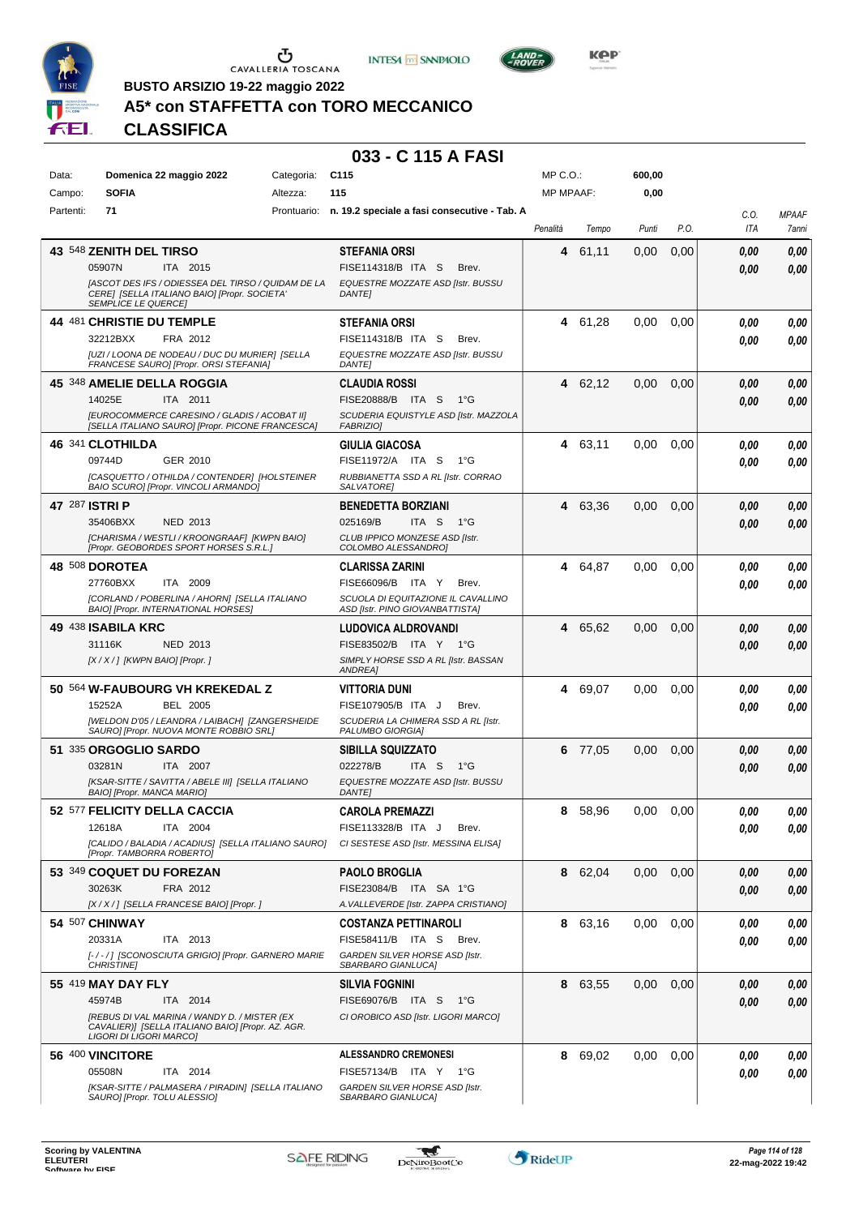





**BUSTO ARSIZIO 19-22 maggio 2022**

## **A5\* con STAFFETTA con TORO MECCANICO**

**CLASSIFICA**

| Data:     | Domenica 22 maggio 2022                                                                                                          | Categoria: | C <sub>115</sub>                                          | MP C.O.:         |         | 600,00 |      |      |              |
|-----------|----------------------------------------------------------------------------------------------------------------------------------|------------|-----------------------------------------------------------|------------------|---------|--------|------|------|--------------|
| Campo:    | <b>SOFIA</b>                                                                                                                     | Altezza:   | 115                                                       | <b>MP MPAAF:</b> |         | 0,00   |      |      |              |
| Partenti: | 71                                                                                                                               |            | Prontuario: n. 19.2 speciale a fasi consecutive - Tab. A  |                  |         |        |      | C.O. | <b>MPAAF</b> |
|           |                                                                                                                                  |            |                                                           | Penalità         | Tempo   | Punti  | P.O. | ITA  | 7anni        |
|           | 43 548 ZENITH DEL TIRSO                                                                                                          |            | <b>STEFANIA ORSI</b>                                      | 4                | 61,11   | 0,00   | 0,00 | 0,00 | 0,00         |
|           | ITA 2015<br>05907N                                                                                                               |            | FISE114318/B ITA S<br>Brev.                               |                  |         |        |      | 0,00 | 0,00         |
|           | [ASCOT DES IFS / ODIESSEA DEL TIRSO / QUIDAM DE LA<br>CERE] [SELLA ITALIANO BAIO] [Propr. SOCIETA'<br><b>SEMPLICE LE QUERCE]</b> |            | EQUESTRE MOZZATE ASD [Istr. BUSSU<br><b>DANTE]</b>        |                  |         |        |      |      |              |
|           | 44 481 CHRISTIE DU TEMPLE                                                                                                        |            | <b>STEFANIA ORSI</b>                                      | 4                | 61,28   | 0,00   | 0,00 | 0.00 | 0,00         |
|           | 32212BXX<br>FRA 2012                                                                                                             |            | FISE114318/B ITA S<br>Brev.                               |                  |         |        |      | 0.00 | 0.00         |
|           | [UZI / LOONA DE NODEAU / DUC DU MURIER] [SELLA<br>FRANCESE SAURO] [Propr. ORSI STEFANIA]                                         |            | EQUESTRE MOZZATE ASD [Istr. BUSSU<br><b>DANTE]</b>        |                  |         |        |      |      |              |
|           | 45 348 AMELIE DELLA ROGGIA                                                                                                       |            | <b>CLAUDIA ROSSI</b>                                      | 4                | 62,12   | 0,00   | 0,00 | 0,00 | 0,00         |
|           | 14025E<br>ITA 2011                                                                                                               |            | FISE20888/B ITA S<br>1°G                                  |                  |         |        |      | 0.00 | 0,00         |
|           | [EUROCOMMERCE CARESINO / GLADIS / ACOBAT II]<br>[SELLA ITALIANO SAURO] [Propr. PICONE FRANCESCA]                                 |            | SCUDERIA EQUISTYLE ASD [Istr. MAZZOLA<br><b>FABRIZIO]</b> |                  |         |        |      |      |              |
|           | 46 341 CLOTHILDA                                                                                                                 |            | <b>GIULIA GIACOSA</b>                                     | 4                | 63,11   | 0.00   | 0,00 | 0.00 | 0,00         |
|           | 09744D<br>GER 2010                                                                                                               |            | FISE11972/A ITA S<br>1°G                                  |                  |         |        |      | 0.00 | 0.00         |
|           | ICASQUETTO / OTHILDA / CONTENDER] [HOLSTEINER<br>BAIO SCURO] [Propr. VINCOLI ARMANDO]                                            |            | RUBBIANETTA SSD A RL [Istr. CORRAO<br>SALVATORE]          |                  |         |        |      |      |              |
|           | 47 287 ISTRI P                                                                                                                   |            | <b>BENEDETTA BORZIANI</b>                                 | 4                | 63,36   | 0,00   | 0,00 | 0,00 | 0,00         |
|           | 35406BXX<br><b>NED 2013</b>                                                                                                      |            | 025169/B<br>ITA S<br>1°G                                  |                  |         |        |      | 0.00 | 0,00         |
|           | [CHARISMA / WESTLI / KROONGRAAF] [KWPN BAIO]<br>[Propr. GEOBORDES SPORT HORSES S.R.L.]                                           |            | CLUB IPPICO MONZESE ASD [Istr.<br>COLOMBO ALESSANDRO]     |                  |         |        |      |      |              |
|           | 48 508 DOROTEA                                                                                                                   |            | <b>CLARISSA ZARINI</b>                                    | 4                | 64.87   | 0,00   | 0,00 | 0.00 | 0,00         |
|           | 27760BXX<br>ITA 2009                                                                                                             |            | FISE66096/B ITA Y<br>Brev.                                |                  |         |        |      | 0.00 | 0.00         |
|           | [CORLAND / POBERLINA / AHORN] [SELLA ITALIANO                                                                                    |            | SCUOLA DI EQUITAZIONE IL CAVALLINO                        |                  |         |        |      |      |              |
|           | BAIO] [Propr. INTERNATIONAL HORSES]                                                                                              |            | ASD [Istr. PINO GIOVANBATTISTA]                           |                  |         |        |      |      |              |
|           | 49 438 ISABILA KRC<br>31116K<br>NED 2013                                                                                         |            | LUDOVICA ALDROVANDI<br>FISE83502/B ITA Y 1°G              | 4                | 65,62   | 0,00   | 0,00 | 0,00 | 0,00         |
|           | [X / X / ] [KWPN BAIO] [Propr. ]                                                                                                 |            | SIMPLY HORSE SSD A RL [Istr. BASSAN                       |                  |         |        |      | 0.00 | 0,00         |
|           |                                                                                                                                  |            | ANDREA]                                                   |                  |         |        |      |      |              |
|           | 50 564 W-FAUBOURG VH KREKEDAL Z                                                                                                  |            | <b>VITTORIA DUNI</b>                                      | 4                | 69,07   | 0,00   | 0,00 | 0.00 | 0,00         |
|           | 15252A<br><b>BEL 2005</b>                                                                                                        |            | FISE107905/B ITA J<br>Brev.                               |                  |         |        |      | 0.00 | 0.00         |
|           | [WELDON D'05 / LEANDRA / LAIBACH] [ZANGERSHEIDE<br>SAURO] [Propr. NUOVA MONTE ROBBIO SRL]                                        |            | SCUDERIA LA CHIMERA SSD A RL [Istr.<br>PALUMBO GIORGIA]   |                  |         |        |      |      |              |
|           | 51 335 ORGOGLIO SARDO                                                                                                            |            | <b>SIBILLA SQUIZZATO</b>                                  | 6                | 77,05   | 0,00   | 0,00 | 0,00 | 0,00         |
|           | 03281N<br>ITA 2007                                                                                                               |            | 022278/B<br>ITA S<br>1°G                                  |                  |         |        |      | 0,00 | 0,00         |
|           | [KSAR-SITTE / SAVITTA / ABELE III] [SELLA ITALIANO<br>BAIO] [Propr. MANCA MARIO]                                                 |            | EQUESTRE MOZZATE ASD [Istr. BUSSU<br><b>DANTE]</b>        |                  |         |        |      |      |              |
|           | 52 577 FELICITY DELLA CACCIA                                                                                                     |            | <b>CAROLA PREMAZZI</b>                                    | 8                | 58,96   | 0,00   | 0,00 | 0,00 | 0,00         |
|           | 12618A<br>ITA 2004                                                                                                               |            | FISE113328/B ITA J<br>Brev.                               |                  |         |        |      | 0.00 | 0,00         |
|           | [CALIDO / BALADIA / ACADIUS] [SELLA ITALIANO SAURO]<br>[Propr. TAMBORRA ROBERTO]                                                 |            | CI SESTESE ASD [Istr. MESSINA ELISA]                      |                  |         |        |      |      |              |
|           | 53 349 COQUET DU FOREZAN                                                                                                         |            | <b>PAOLO BROGLIA</b>                                      |                  | 8 62.04 | 0,00   | 0,00 | 0,00 | 0,00         |
|           | 30263K<br>FRA 2012                                                                                                               |            | FISE23084/B ITA SA 1°G                                    |                  |         |        |      | 0,00 | 0,00         |
|           | [X / X / ] [SELLA FRANCESE BAIO] [Propr. ]                                                                                       |            | A. VALLEVERDE [Istr. ZAPPA CRISTIANO]                     |                  |         |        |      |      |              |
|           | 54 507 CHINWAY                                                                                                                   |            | <b>COSTANZA PETTINAROLI</b>                               | 8                | 63,16   | 0.00   | 0,00 | 0.00 | 0,00         |
|           | 20331A<br>ITA 2013                                                                                                               |            | FISE58411/B ITA S<br>Brev.                                |                  |         |        |      | 0.00 | 0,00         |
|           | [-/-/] [SCONOSCIUTA GRIGIO] [Propr. GARNERO MARIE<br><b>CHRISTINE</b>                                                            |            | GARDEN SILVER HORSE ASD [Istr.<br>SBARBARO GIANLUCAJ      |                  |         |        |      |      |              |
|           | 55 419 MAY DAY FLY                                                                                                               |            | <b>SILVIA FOGNINI</b>                                     | 8                | 63,55   | 0.00   | 0,00 | 0,00 | 0,00         |
|           | 45974B<br>ITA 2014                                                                                                               |            | FISE69076/B ITA S<br>— 1°G                                |                  |         |        |      | 0,00 | 0,00         |
|           | [REBUS DI VAL MARINA / WANDY D. / MISTER (EX<br>CAVALIER)] [SELLA ITALIANO BAIO] [Propr. AZ. AGR.<br>LIGORI DI LIGORI MARCO]     |            | CI OROBICO ASD [Istr. LIGORI MARCO]                       |                  |         |        |      |      |              |
|           | 56 400 VINCITORE                                                                                                                 |            | <b>ALESSANDRO CREMONESI</b>                               | 8                | 69,02   | 0,00   | 0,00 | 0.00 | 0,00         |
|           | 05508N<br>ITA 2014                                                                                                               |            | FISE57134/B ITA Y 1°G                                     |                  |         |        |      | 0,00 | 0,00         |
|           | [KSAR-SITTE / PALMASERA / PIRADIN] [SELLA ITALIANO                                                                               |            | GARDEN SILVER HORSE ASD [Istr.                            |                  |         |        |      |      |              |
|           | SAURO] [Propr. TOLU ALESSIO]                                                                                                     |            | SBARBARO GIANLUCA]                                        |                  |         |        |      |      |              |

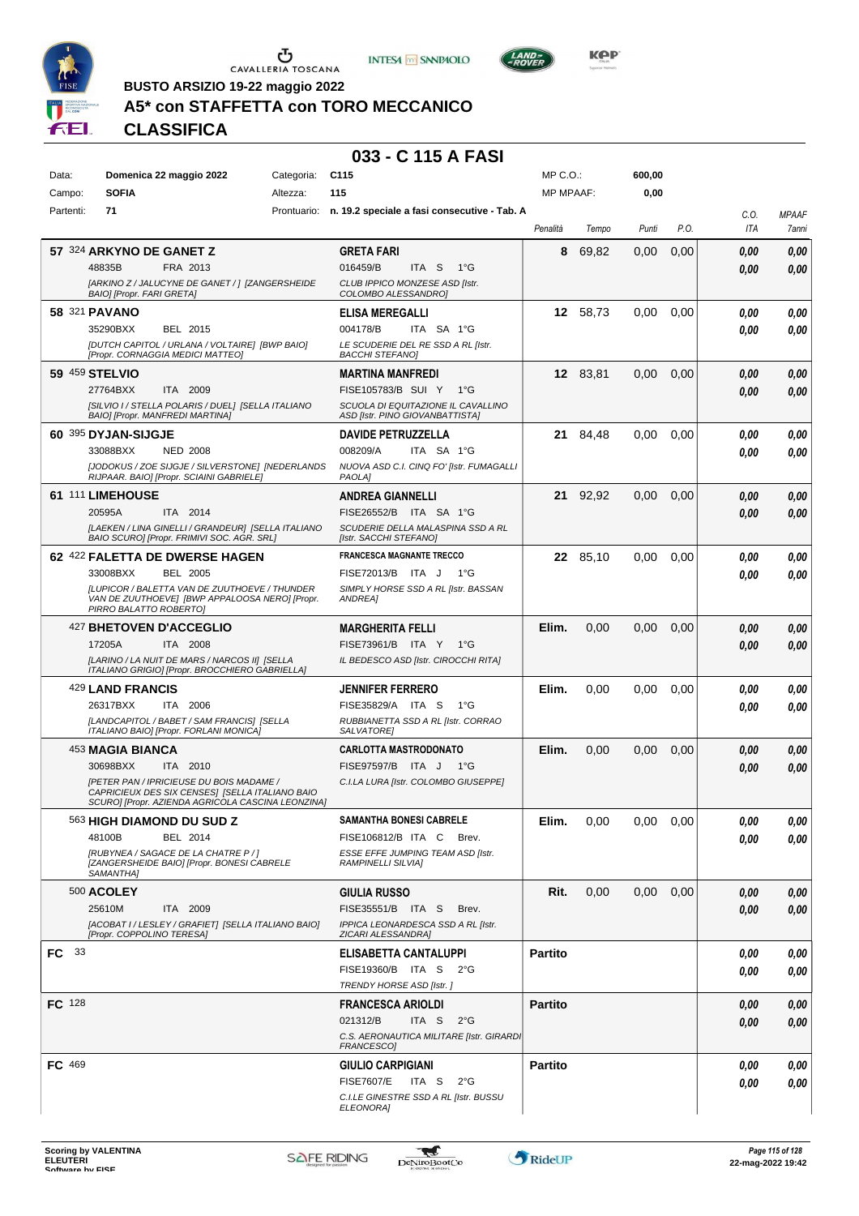





**Kep** 

**BUSTO ARSIZIO 19-22 maggio 2022**

## **A5\* con STAFFETTA con TORO MECCANICO**

**CLASSIFICA**

| Data:     | Domenica 22 maggio 2022                                                                          | Categoria: | C <sub>115</sub>                                                | MP C. O.         |          | 600,00 |      |      |              |
|-----------|--------------------------------------------------------------------------------------------------|------------|-----------------------------------------------------------------|------------------|----------|--------|------|------|--------------|
| Campo:    | <b>SOFIA</b>                                                                                     | Altezza:   | 115                                                             | <b>MP MPAAF:</b> |          | 0,00   |      |      |              |
| Partenti: | 71                                                                                               |            | Prontuario: n. 19.2 speciale a fasi consecutive - Tab. A        |                  |          |        |      | C.O. | <b>MPAAF</b> |
|           |                                                                                                  |            |                                                                 | Penalità         | Tempo    | Punti  | P.O. | ITA  | 7anni        |
|           | 57 324 ARKYNO DE GANET Z                                                                         |            | <b>GRETA FARI</b>                                               | 8                | 69,82    | 0,00   | 0,00 | 0.00 | 0,00         |
|           | 48835B<br>FRA 2013                                                                               |            | 016459/B<br>ITA <sub>S</sub><br>$1^{\circ}G$                    |                  |          |        |      | 0.00 | 0,00         |
|           | [ARKINO Z / JALUCYNE DE GANET / ] [ZANGERSHEIDE<br>BAIO] [Propr. FARI GRETA]                     |            | CLUB IPPICO MONZESE ASD [Istr.<br>COLOMBO ALESSANDRO]           |                  |          |        |      |      |              |
|           | 58 321 PAVANO                                                                                    |            | <b>ELISA MEREGALLI</b>                                          | 12               | 58,73    | 0,00   | 0,00 | 0.00 | 0,00         |
|           | 35290BXX<br>BEL 2015                                                                             |            | 004178/B<br>ITA SA 1°G                                          |                  |          |        |      | 0.00 | 0.00         |
|           | [DUTCH CAPITOL / URLANA / VOLTAIRE] [BWP BAIO]                                                   |            | LE SCUDERIE DEL RE SSD A RL [Istr.                              |                  |          |        |      |      |              |
|           | [Propr. CORNAGGIA MEDICI MATTEO]                                                                 |            | <b>BACCHI STEFANO]</b>                                          |                  |          |        |      |      |              |
|           | 59 459 STELVIO                                                                                   |            | <b>MARTINA MANFREDI</b>                                         |                  | 12 83.81 | 0,00   | 0,00 | 0,00 | 0,00         |
|           | 27764BXX<br>ITA 2009<br>[SILVIO I / STELLA POLARIS / DUEL] [SELLA ITALIANO                       |            | FISE105783/B SUI Y<br>1°G<br>SCUOLA DI EQUITAZIONE IL CAVALLINO |                  |          |        |      | 0,00 | 0,00         |
|           | BAIO] [Propr. MANFREDI MARTINA]                                                                  |            | ASD [Istr. PINO GIOVANBATTISTA]                                 |                  |          |        |      |      |              |
|           | 60 395 DYJAN-SIJGJE                                                                              |            | <b>DAVIDE PETRUZZELLA</b>                                       |                  | 21 84,48 | 0,00   | 0,00 | 0.00 | 0,00         |
|           | 33088BXX<br><b>NED 2008</b>                                                                      |            | 008209/A<br>ITA SA 1°G                                          |                  |          |        |      | 0.00 | 0.00         |
|           | [JODOKUS / ZOE SIJGJE / SILVERSTONE] [NEDERLANDS<br>RIJPAAR. BAIO] [Propr. SCIAINI GABRIELE]     |            | NUOVA ASD C.I. CINQ FO' [Istr. FUMAGALLI<br>PAOLA]              |                  |          |        |      |      |              |
|           | 61 111 LIMEHOUSE                                                                                 |            | <b>ANDREA GIANNELLI</b>                                         |                  | 21 92,92 | 0,00   | 0,00 | 0,00 | 0,00         |
|           | 20595A<br>ITA 2014                                                                               |            | FISE26552/B ITA SA 1°G                                          |                  |          |        |      | 0.00 | 0,00         |
|           | [LAEKEN / LINA GINELLI / GRANDEUR] [SELLA ITALIANO<br>BAIO SCURO] [Propr. FRIMIVI SOC. AGR. SRL] |            | SCUDERIE DELLA MALASPINA SSD A RL<br>[Istr. SACCHI STEFANO]     |                  |          |        |      |      |              |
|           | 62 422 FALETTA DE DWERSE HAGEN                                                                   |            | <b>FRANCESCA MAGNANTE TRECCO</b>                                |                  | 22 85,10 | 0,00   | 0,00 | 0.00 | 0,00         |
|           | BEL 2005<br>33008BXX                                                                             |            | FISE72013/B ITA J<br>1°G                                        |                  |          |        |      | 0.00 | 0,00         |
|           | <b>ILUPICOR / BALETTA VAN DE ZUUTHOEVE / THUNDER</b>                                             |            | SIMPLY HORSE SSD A RL [Istr. BASSAN                             |                  |          |        |      |      |              |
|           | VAN DE ZUUTHOEVE] [BWP APPALOOSA NERO] [Propr.<br>PIRRO BALATTO ROBERTO]                         |            | ANDREA]                                                         |                  |          |        |      |      |              |
|           | 427 BHETOVEN D'ACCEGLIO                                                                          |            | <b>MARGHERITA FELLI</b>                                         | Elim.            | 0,00     | 0.00   | 0,00 | 0.00 | 0,00         |
|           | ITA 2008<br>17205A                                                                               |            | FISE73961/B ITA Y<br>1°G                                        |                  |          |        |      | 0.00 | 0.00         |
|           | [LARINO / LA NUIT DE MARS / NARCOS II] [SELLA<br>ITALIANO GRIGIO] [Propr. BROCCHIERO GABRIELLA]  |            | IL BEDESCO ASD [Istr. CIROCCHI RITA]                            |                  |          |        |      |      |              |
|           | 429 LAND FRANCIS                                                                                 |            | <b>JENNIFER FERRERO</b>                                         | Elim.            | 0,00     | 0.00   | 0,00 | 0.00 | 0,00         |
|           | 26317BXX<br>ITA 2006                                                                             |            | FISE35829/A ITA S<br>1°G                                        |                  |          |        |      |      | 0.00         |
|           | [LANDCAPITOL / BABET / SAM FRANCIS] [SELLA                                                       |            | RUBBIANETTA SSD A RL [Istr. CORRAO                              |                  |          |        |      | 0.00 |              |
|           | ITALIANO BAIO] [Propr. FORLANI MONICA]                                                           |            | SALVATORE]                                                      |                  |          |        |      |      |              |
|           | 453 MAGIA BIANCA                                                                                 |            | <b>CARLOTTA MASTRODONATO</b>                                    | Elim.            | 0,00     | 0.00   | 0,00 | 0,00 | 0,00         |
|           | 30698BXX<br>ITA 2010                                                                             |            | FISE97597/B ITA J<br>1°G                                        |                  |          |        |      | 0.00 | 0,00         |
|           | [PETER PAN / IPRICIEUSE DU BOIS MADAME /<br>CAPRICIEUX DES SIX CENSES] [SELLA ITALIANO BAIO      |            | C.I.LA LURA [Istr. COLOMBO GIUSEPPE]                            |                  |          |        |      |      |              |
|           | SCURO] [Propr. AZIENDA AGRICOLA CASCINA LEONZINA]                                                |            |                                                                 |                  |          |        |      |      |              |
|           | 563 HIGH DIAMOND DU SUD Z                                                                        |            | SAMANTHA BONESI CABRELE                                         | Elim.            | 0,00     | 0,00   | 0,00 | 0,00 | 0,00         |
|           | BEL 2014<br>48100B                                                                               |            | FISE106812/B ITA C<br>Brev.                                     |                  |          |        |      | 0.00 | 0,00         |
|           | IRUBYNEA / SAGACE DE LA CHATRE P / ]<br>[ZANGERSHEIDE BAIO] [Propr. BONESI CABRELE<br>SAMANTHA]  |            | ESSE EFFE JUMPING TEAM ASD [Istr.<br>RAMPINELLI SILVIA]         |                  |          |        |      |      |              |
|           | 500 ACOLEY                                                                                       |            | <b>GIULIA RUSSO</b>                                             | Rit.             | 0,00     | 0,00   | 0,00 | 0.00 | 0,00         |
|           | 25610M<br>ITA 2009                                                                               |            | FISE35551/B ITA S<br>Brev.                                      |                  |          |        |      | 0.00 | 0,00         |
|           | [ACOBAT I / LESLEY / GRAFIET] [SELLA ITALIANO BAIO]<br>[Propr. COPPOLINO TERESA]                 |            | IPPICA LEONARDESCA SSD A RL [Istr.                              |                  |          |        |      |      |              |
| FC 33     |                                                                                                  |            | ZICARI ALESSANDRA]<br>ELISABETTA CANTALUPPI                     | <b>Partito</b>   |          |        |      | 0.00 | 0,00         |
|           |                                                                                                  |            | FISE19360/B ITA S 2°G                                           |                  |          |        |      | 0.00 | 0,00         |
|           |                                                                                                  |            | TRENDY HORSE ASD [Istr.]                                        |                  |          |        |      |      |              |
| FC 128    |                                                                                                  |            | <b>FRANCESCA ARIOLDI</b>                                        | <b>Partito</b>   |          |        |      | 0,00 | 0,00         |
|           |                                                                                                  |            | 021312/B<br>ITA S<br>$2^{\circ}$ G                              |                  |          |        |      | 0,00 | 0,00         |
|           |                                                                                                  |            | C.S. AERONAUTICA MILITARE [Istr. GIRARDI<br>FRANCESCO]          |                  |          |        |      |      |              |
| FC 469    |                                                                                                  |            | <b>GIULIO CARPIGIANI</b>                                        | <b>Partito</b>   |          |        |      | 0.00 | 0,00         |
|           |                                                                                                  |            | <b>FISE7607/E</b><br>ITA S<br>$2^{\circ}G$                      |                  |          |        |      | 0.00 | 0,00         |
|           |                                                                                                  |            | C.I.LE GINESTRE SSD A RL [Istr. BUSSU                           |                  |          |        |      |      |              |
|           |                                                                                                  |            | ELEONORA]                                                       |                  |          |        |      |      |              |

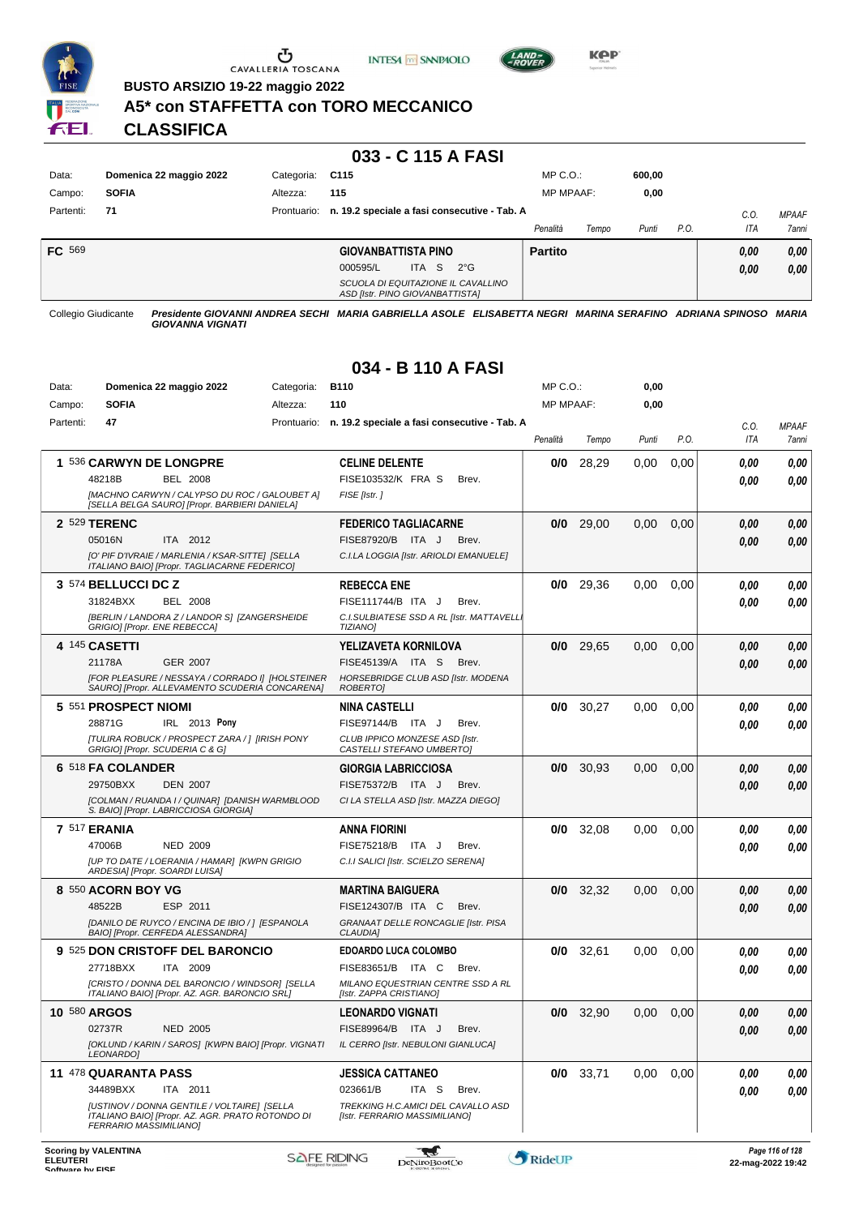

Ⴠ CAVALLERIA TOSCANA





**BUSTO ARSIZIO 19-22 maggio 2022**

#### **A5\* con STAFFETTA con TORO MECCANICO**

**CLASSIFICA**

#### **033 - C 115 A FASI**

| Data:     | Domenica 22 maggio 2022 | Categoria:  | C115                                                                  | $MP C. O.$ :     |       | 600.00 |      |      |              |
|-----------|-------------------------|-------------|-----------------------------------------------------------------------|------------------|-------|--------|------|------|--------------|
| Campo:    | <b>SOFIA</b>            | Altezza:    | 115                                                                   | <b>MP MPAAF:</b> |       | 0,00   |      |      |              |
| Partenti: | 71                      | Prontuario: | n. 19.2 speciale a fasi consecutive - Tab. A                          |                  |       |        |      | C.0  | <b>MPAAF</b> |
|           |                         |             |                                                                       | Penalità         | Tempo | Punti  | P.O. | ITA  | 7anni        |
| FC 569    |                         |             | <b>GIOVANBATTISTA PINO</b>                                            | <b>Partito</b>   |       |        |      | 0,00 | 0,00         |
|           |                         |             | 000595/L<br>ITA S<br>$2^{\circ}G$                                     |                  |       |        |      | 0,00 | 0,00         |
|           |                         |             | SCUOLA DI EQUITAZIONE IL CAVALLINO<br>ASD [Istr. PINO GIOVANBATTISTA] |                  |       |        |      |      |              |

Collegio Giudicante *Presidente GIOVANNI ANDREA SECHI MARIA GABRIELLA ASOLE ELISABETTA NEGRI MARINA SERAFINO ADRIANA SPINOSO MARIA GIOVANNA VIGNATI*

## **034 - B 110 A FASI**

| Data:     | Domenica 22 maggio 2022                                                                                                   | Categoria:  | <b>B110</b>                                                         | MP C.O.:         |             | 0,00  |      |            |       |
|-----------|---------------------------------------------------------------------------------------------------------------------------|-------------|---------------------------------------------------------------------|------------------|-------------|-------|------|------------|-------|
| Campo:    | <b>SOFIA</b>                                                                                                              | Altezza:    | 110                                                                 | <b>MP MPAAF:</b> |             | 0,00  |      |            |       |
| Partenti: | 47                                                                                                                        | Prontuario: | n. 19.2 speciale a fasi consecutive - Tab. A                        |                  |             |       |      | C.O.       | MPAAF |
|           |                                                                                                                           |             |                                                                     | Penalità         | Tempo       | Punti | P.O. | <b>ITA</b> | 7anni |
|           | 1 536 CARWYN DE LONGPRE                                                                                                   |             | <b>CELINE DELENTE</b>                                               | 0/0              | 28,29       | 0,00  | 0,00 | 0.00       | 0,00  |
|           | 48218B<br><b>BEL 2008</b>                                                                                                 |             | FISE103532/K FRA S<br>Brev.                                         |                  |             |       |      | 0.00       | 0.00  |
|           | [MACHNO CARWYN / CALYPSO DU ROC / GALOUBET A]<br>[SELLA BELGA SAURO] [Propr. BARBIERI DANIELA]                            |             | FISE [Istr.]                                                        |                  |             |       |      |            |       |
|           | 2 529 TERENC                                                                                                              |             | <b>FEDERICO TAGLIACARNE</b>                                         | 0/0              | 29,00       | 0,00  | 0,00 | 0.00       | 0,00  |
|           | 05016N<br>ITA 2012                                                                                                        |             | FISE87920/B ITA J<br>Brev.                                          |                  |             |       |      | 0.00       | 0,00  |
|           | [O' PIF D'IVRAIE / MARLENIA / KSAR-SITTE] [SELLA<br>ITALIANO BAIO] [Propr. TAGLIACARNE FEDERICO]                          |             | C.I.LA LOGGIA [Istr. ARIOLDI EMANUELE]                              |                  |             |       |      |            |       |
|           | 3 574 BELLUCCI DC Z                                                                                                       |             | <b>REBECCA ENE</b>                                                  | 0/0              | 29,36       | 0,00  | 0,00 | 0.00       | 0,00  |
|           | 31824BXX<br><b>BEL 2008</b>                                                                                               |             | FISE111744/B ITA J<br>Brev.                                         |                  |             |       |      | 0.00       | 0,00  |
|           | [BERLIN / LANDORA Z / LANDOR S] [ZANGERSHEIDE<br>GRIGIO] [Propr. ENE REBECCA]                                             |             | C.I.SULBIATESE SSD A RL [Istr. MATTAVELL<br><b>TIZIANO]</b>         |                  |             |       |      |            |       |
|           | 4 145 CASETTI                                                                                                             |             | YELIZAVETA KORNILOVA                                                | 0/0              | 29,65       | 0,00  | 0,00 | 0.00       | 0,00  |
|           | 21178A<br><b>GER 2007</b>                                                                                                 |             | FISE45139/A ITA S<br>Brev.                                          |                  |             |       |      | 0.00       | 0,00  |
|           | [FOR PLEASURE / NESSAYA / CORRADO I] [HOLSTEINER<br>SAURO] [Propr. ALLEVAMENTO SCUDERIA CONCARENA]                        |             | HORSEBRIDGE CLUB ASD [Istr. MODENA<br>ROBERTO]                      |                  |             |       |      |            |       |
|           | 5 551 PROSPECT NIOMI                                                                                                      |             | <b>NINA CASTELLI</b>                                                | 0/0              | 30,27       | 0,00  | 0.00 | 0,00       | 0,00  |
|           | 28871G<br>IRL 2013 Pony                                                                                                   |             | FISE97144/B ITA J<br>Brev.                                          |                  |             |       |      | 0.00       | 0,00  |
|           | <b>ITULIRA ROBUCK / PROSPECT ZARA / 1 [IRISH PONY</b><br>GRIGIO] [Propr. SCUDERIA C & G]                                  |             | CLUB IPPICO MONZESE ASD [Istr.<br>CASTELLI STEFANO UMBERTOJ         |                  |             |       |      |            |       |
|           | 6 518 FA COLANDER                                                                                                         |             | <b>GIORGIA LABRICCIOSA</b>                                          | 0/0              | 30,93       | 0,00  | 0,00 | 0.00       | 0,00  |
|           | 29750BXX<br><b>DEN 2007</b>                                                                                               |             | FISE75372/B ITA J<br>Brev.                                          |                  |             |       |      | 0.00       | 0,00  |
|           | [COLMAN / RUANDA I / QUINAR] [DANISH WARMBLOOD<br>S. BAIO] [Propr. LABRICCIOSA GIORGIA]                                   |             | CI LA STELLA ASD [Istr. MAZZA DIEGO]                                |                  |             |       |      |            |       |
|           | <b>7 517 ERANIA</b>                                                                                                       |             | ANNA FIORINI                                                        | 0/0              | 32,08       | 0,00  | 0.00 | 0.00       | 0,00  |
|           | 47006B<br><b>NED 2009</b>                                                                                                 |             | FISE75218/B ITA J<br>Brev.                                          |                  |             |       |      | 0.00       | 0,00  |
|           | [UP TO DATE / LOERANIA / HAMAR] [KWPN GRIGIO<br>ARDESIA] [Propr. SOARDI LUISA]                                            |             | C.I.I SALICI [Istr. SCIELZO SERENA]                                 |                  |             |       |      |            |       |
|           | 8 550 ACORN BOY VG                                                                                                        |             | <b>MARTINA BAIGUERA</b>                                             | 0/0              | 32,32       | 0,00  | 0,00 | 0.00       | 0,00  |
|           | 48522B<br>ESP 2011                                                                                                        |             | FISE124307/B ITA C<br>Brev.                                         |                  |             |       |      | 0.00       | 0,00  |
|           | [DANILO DE RUYCO / ENCINA DE IBIO / ] [ESPANOLA<br>BAIO] [Propr. CERFEDA ALESSANDRA]                                      |             | GRANAAT DELLE RONCAGLIE [Istr. PISA<br>CLAUDIA]                     |                  |             |       |      |            |       |
|           | 9 525 DON CRISTOFF DEL BARONCIO                                                                                           |             | <b>EDOARDO LUCA COLOMBO</b>                                         | 0/0              | 32,61       | 0,00  | 0.00 | 0,00       | 0,00  |
|           | 27718BXX<br>ITA 2009                                                                                                      |             | FISE83651/B ITA C<br>Brev.                                          |                  |             |       |      | 0.00       | 0.00  |
|           | [CRISTO / DONNA DEL BARONCIO / WINDSOR] [SELLA<br>ITALIANO BAIO] [Propr. AZ. AGR. BARONCIO SRL]                           |             | MILANO EQUESTRIAN CENTRE SSD A RL<br>[Istr. ZAPPA CRISTIANO]        |                  |             |       |      |            |       |
|           | 10 580 ARGOS                                                                                                              |             | <b>LEONARDO VIGNATI</b>                                             | 0/0              | 32,90       | 0,00  | 0,00 | 0.00       | 0,00  |
|           | 02737R<br><b>NED 2005</b>                                                                                                 |             | FISE89964/B ITA J<br>Brev.                                          |                  |             |       |      | $\it 0,00$ | 0,00  |
|           | [OKLUND / KARIN / SAROS] [KWPN BAIO] [Propr. VIGNATI<br>LEONARDO]                                                         |             | IL CERRO [Istr. NEBULONI GIANLUCA]                                  |                  |             |       |      |            |       |
|           | 11 478 QUARANTA PASS                                                                                                      |             | <b>JESSICA CATTANEO</b>                                             |                  | $0/0$ 33,71 | 0,00  | 0,00 | 0,00       | 0,00  |
|           | 34489BXX<br>ITA 2011                                                                                                      |             | 023661/B<br>ITA <sub>S</sub><br>Brev.                               |                  |             |       |      | 0,00       | 0,00  |
|           | [USTINOV / DONNA GENTILE / VOLTAIRE] [SELLA<br>ITALIANO BAIO] [Propr. AZ. AGR. PRATO ROTONDO DI<br>FERRARIO MASSIMILIANO] |             | TREKKING H.C.AMICI DEL CAVALLO ASD<br>[Istr. FERRARIO MASSIMILIANO] |                  |             |       |      |            |       |

 $\mathbf{r}$ 

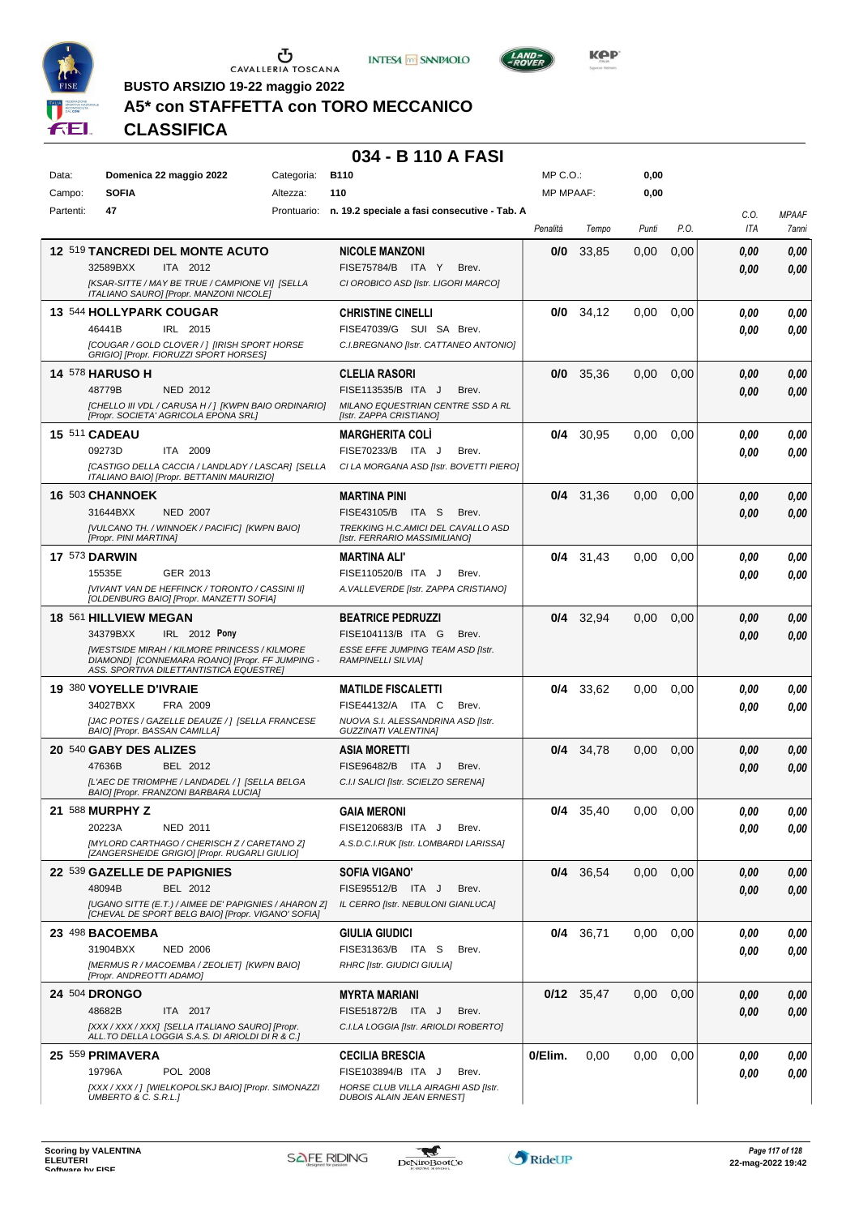





**Kep** 

**BUSTO ARSIZIO 19-22 maggio 2022**

## **A5\* con STAFFETTA con TORO MECCANICO**

**CLASSIFICA**

## **034 - B 110 A FASI**

| Data:     | Domenica 22 maggio 2022                                                                      | Categoria:  | <b>B110</b>                                                  | $MP C. O.$ :     |              | 0,00  |      |      |              |
|-----------|----------------------------------------------------------------------------------------------|-------------|--------------------------------------------------------------|------------------|--------------|-------|------|------|--------------|
| Campo:    | <b>SOFIA</b>                                                                                 | Altezza:    | 110                                                          | <b>MP MPAAF:</b> |              | 0,00  |      |      |              |
| Partenti: | 47                                                                                           | Prontuario: | n. 19.2 speciale a fasi consecutive - Tab. A                 |                  |              |       |      | C.0. | <b>MPAAF</b> |
|           |                                                                                              |             |                                                              | Penalità         | Tempo        | Punti | P.O. | ITA  | 7anni        |
|           | <b>12 519 TANCREDI DEL MONTE ACUTO</b>                                                       |             | <b>NICOLE MANZONI</b>                                        | 0/0              | 33,85        | 0,00  | 0,00 | 0.00 | 0,00         |
|           | 32589BXX<br>ITA 2012                                                                         |             | FISE75784/B ITA Y<br>Brev.                                   |                  |              |       |      | 0.00 | 0,00         |
|           | [KSAR-SITTE / MAY BE TRUE / CAMPIONE VI] [SELLA                                              |             | CI OROBICO ASD [Istr. LIGORI MARCO]                          |                  |              |       |      |      |              |
|           | ITALIANO SAURO] [Propr. MANZONI NICOLE]                                                      |             |                                                              |                  |              |       |      |      |              |
|           | 13 544 HOLLYPARK COUGAR                                                                      |             | <b>CHRISTINE CINELLI</b>                                     |                  | $0/0$ 34,12  | 0.00  | 0,00 | 0.00 | 0,00         |
|           | 46441B<br>IRL 2015                                                                           |             | FISE47039/G SUI SA Brev.                                     |                  |              |       |      | 0.00 | 0,00         |
|           | [COUGAR / GOLD CLOVER / ] [IRISH SPORT HORSE                                                 |             | C.I.BREGNANO [Istr. CATTANEO ANTONIO]                        |                  |              |       |      |      |              |
|           | GRIGIO] [Propr. FIORUZZI SPORT HORSES]                                                       |             |                                                              |                  |              |       |      |      |              |
|           | <b>14 578 HARUSO H</b>                                                                       |             | CLELIA RASORI                                                | 0/0              | 35.36        | 0,00  | 0,00 | 0.00 | 0,00         |
|           | 48779B<br>NED 2012                                                                           |             | FISE113535/B ITA J<br>Brev.                                  |                  |              |       |      | 0.00 | 0,00         |
|           | [CHELLO III VDL / CARUSA H / ] [KWPN BAIO ORDINARIO]<br>[Propr. SOCIETA' AGRICOLA EPONA SRL] |             | MILANO EQUESTRIAN CENTRE SSD A RL<br>[Istr. ZAPPA CRISTIANO] |                  |              |       |      |      |              |
|           | 15 511 CADEAU                                                                                |             | <b>MARGHERITA COLI</b>                                       | 0/4              | 30,95        | 0,00  | 0,00 | 0.00 | 0,00         |
|           | 09273D<br>ITA 2009                                                                           |             | FISE70233/B ITA J<br>Brev.                                   |                  |              |       |      | 0.00 | 0,00         |
|           | [CASTIGO DELLA CACCIA / LANDLADY / LASCAR] [SELLA                                            |             | CI LA MORGANA ASD [Istr. BOVETTI PIERO]                      |                  |              |       |      |      |              |
|           | ITALIANO BAIO] [Propr. BETTANIN MAURIZIO]                                                    |             |                                                              |                  |              |       |      |      |              |
|           | 16 503 CHANNOEK                                                                              |             | MARTINA PINI                                                 |                  | $0/4$ 31,36  | 0,00  | 0,00 | 0.00 | 0,00         |
|           | 31644BXX<br><b>NED 2007</b>                                                                  |             | FISE43105/B ITA S<br>Brev.                                   |                  |              |       |      | 0.00 | 0,00         |
|           | [VULCANO TH. / WINNOEK / PACIFIC] [KWPN BAIO]                                                |             | TREKKING H.C.AMICI DEL CAVALLO ASD                           |                  |              |       |      |      |              |
|           | [Propr. PINI MARTINA]                                                                        |             | [Istr. FERRARIO MASSIMILIANO]                                |                  |              |       |      |      |              |
|           | <b>17 573 DARWIN</b>                                                                         |             | <b>MARTINA ALI'</b>                                          |                  | $0/4$ 31,43  | 0.00  | 0,00 | 0.00 | 0,00         |
|           | 15535E<br>GER 2013                                                                           |             | FISE110520/B ITA J<br>Brev.                                  |                  |              |       |      | 0.00 | 0,00         |
|           | [VIVANT VAN DE HEFFINCK / TORONTO / CASSINI II]<br>[OLDENBURG BAIO] [Propr. MANZETTI SOFIA]  |             | A. VALLEVERDE [Istr. ZAPPA CRISTIANO]                        |                  |              |       |      |      |              |
|           | 18 561 HILLVIEW MEGAN                                                                        |             | <b>BEATRICE PEDRUZZI</b>                                     |                  | $0/4$ 32,94  | 0,00  | 0,00 | 0.00 | 0,00         |
|           | 34379BXX<br>IRL 2012 Pony                                                                    |             | FISE104113/B ITA G<br>Brev.                                  |                  |              |       |      | 0.00 | 0,00         |
|           | <b>[WESTSIDE MIRAH / KILMORE PRINCESS / KILMORE</b>                                          |             | ESSE EFFE JUMPING TEAM ASD [Istr.                            |                  |              |       |      |      |              |
|           | DIAMOND] [CONNEMARA ROANO] [Propr. FF JUMPING -<br>ASS. SPORTIVA DILETTANTISTICA EQUESTRE]   |             | <b>RAMPINELLI SILVIAI</b>                                    |                  |              |       |      |      |              |
|           | 19 380 VOYELLE D'IVRAIE                                                                      |             | <b>MATILDE FISCALETTI</b>                                    |                  | $0/4$ 33,62  | 0.00  | 0,00 | 0.00 | 0,00         |
|           | 34027BXX<br>FRA 2009                                                                         |             | FISE44132/A ITA C<br>Brev.                                   |                  |              |       |      | 0.00 | 0.00         |
|           | [JAC POTES / GAZELLE DEAUZE / ] [SELLA FRANCESE                                              |             | NUOVA S.I. ALESSANDRINA ASD [Istr.                           |                  |              |       |      |      |              |
|           | BAIO] [Propr. BASSAN CAMILLA]                                                                |             | <b>GUZZINATI VALENTINAI</b>                                  |                  |              |       |      |      |              |
|           | 20 540 GABY DES ALIZES                                                                       |             | ASIA MORETTI                                                 | 0/4              | 34,78        | 0,00  | 0,00 | 0.00 | 0,00         |
|           | BEL 2012<br>47636B                                                                           |             | FISE96482/B ITA J<br>Brev.                                   |                  |              |       |      | 0.00 | 0,00         |
|           | [L'AEC DE TRIOMPHE / LANDADEL / ] [SELLA BELGA<br>BAIO] [Propr. FRANZONI BARBARA LUCIA]      |             | C.I.I SALICI [Istr. SCIELZO SERENA]                          |                  |              |       |      |      |              |
|           | 21 588 MURPHY Z                                                                              |             | <b>GAIA MERONI</b>                                           | 0/4              | 35,40        | 0.00  | 0.00 | 0.00 | 0,00         |
|           | 20223A<br>NED 2011                                                                           |             | FISE120683/B ITA J<br>Brev.                                  |                  |              |       |      | 0,00 | 0,00         |
|           | [MYLORD CARTHAGO / CHERISCH Z / CARETANO Z]                                                  |             | A.S.D.C.I.RUK [Istr. LOMBARDI LARISSA]                       |                  |              |       |      |      |              |
|           | [ZANGERSHEIDE GRIGIO] [Propr. RUGARLI GIULIO]                                                |             |                                                              |                  |              |       |      |      |              |
|           | 22 539 GAZELLE DE PAPIGNIES                                                                  |             | <b>SOFIA VIGANO'</b>                                         |                  | 0/4 36,54    | 0,00  | 0,00 | 0.00 | 0,00         |
|           | 48094B<br>BEL 2012                                                                           |             | FISE95512/B ITA J<br>Brev.                                   |                  |              |       |      | 0,00 | 0,00         |
|           | [UGANO SITTE (E.T.) / AIMEE DE' PAPIGNIES / AHARON Z]                                        |             | IL CERRO [Istr. NEBULONI GIANLUCA]                           |                  |              |       |      |      |              |
|           | [CHEVAL DE SPORT BELG BAIO] [Propr. VIGANO' SOFIA]                                           |             |                                                              |                  |              |       |      |      |              |
|           | 23 498 BACOEMBA                                                                              |             | GIULIA GIUDICI                                               |                  | $0/4$ 36,71  | 0,00  | 0,00 | 0.00 | 0,00         |
|           | 31904BXX<br><b>NED 2006</b>                                                                  |             | FISE31363/B ITA S<br>Brev.                                   |                  |              |       |      | 0,00 | 0,00         |
|           | [MERMUS R / MACOEMBA / ZEOLIET] [KWPN BAIO]<br>[Propr. ANDREOTTI ADAMO]                      |             | RHRC [Istr. GIUDICI GIULIA]                                  |                  |              |       |      |      |              |
|           | 24 504 DRONGO                                                                                |             | MYRTA MARIANI                                                |                  | $0/12$ 35,47 | 0,00  | 0,00 | 0.00 | 0,00         |
|           | 48682B<br>ITA 2017                                                                           |             | FISE51872/B ITA J<br>Brev.                                   |                  |              |       |      | 0,00 | 0,00         |
|           | [XXX / XXX / XXX] [SELLA ITALIANO SAURO] [Propr.                                             |             | C.I.LA LOGGIA [Istr. ARIOLDI ROBERTO]                        |                  |              |       |      |      |              |
|           | ALL.TO DELLA LOGGIA S.A.S. DI ARIOLDI DI R & C.]                                             |             |                                                              |                  |              |       |      |      |              |
|           | 25 559 PRIMAVERA                                                                             |             | <b>CECILIA BRESCIA</b>                                       | 0/Elim.          | 0,00         | 0,00  | 0,00 | 0.00 | 0,00         |
|           | 19796A<br>POL 2008                                                                           |             | FISE103894/B ITA J<br>Brev.                                  |                  |              |       |      | 0,00 | 0,00         |
|           | [XXX / XXX /] [WIELKOPOLSKJ BAIO] [Propr. SIMONAZZI                                          |             | HORSE CLUB VILLA AIRAGHI ASD [Istr.                          |                  |              |       |      |      |              |
|           | UMBERTO & C. S.R.L.]                                                                         |             | <b>DUBOIS ALAIN JEAN ERNESTI</b>                             |                  |              |       |      |      |              |

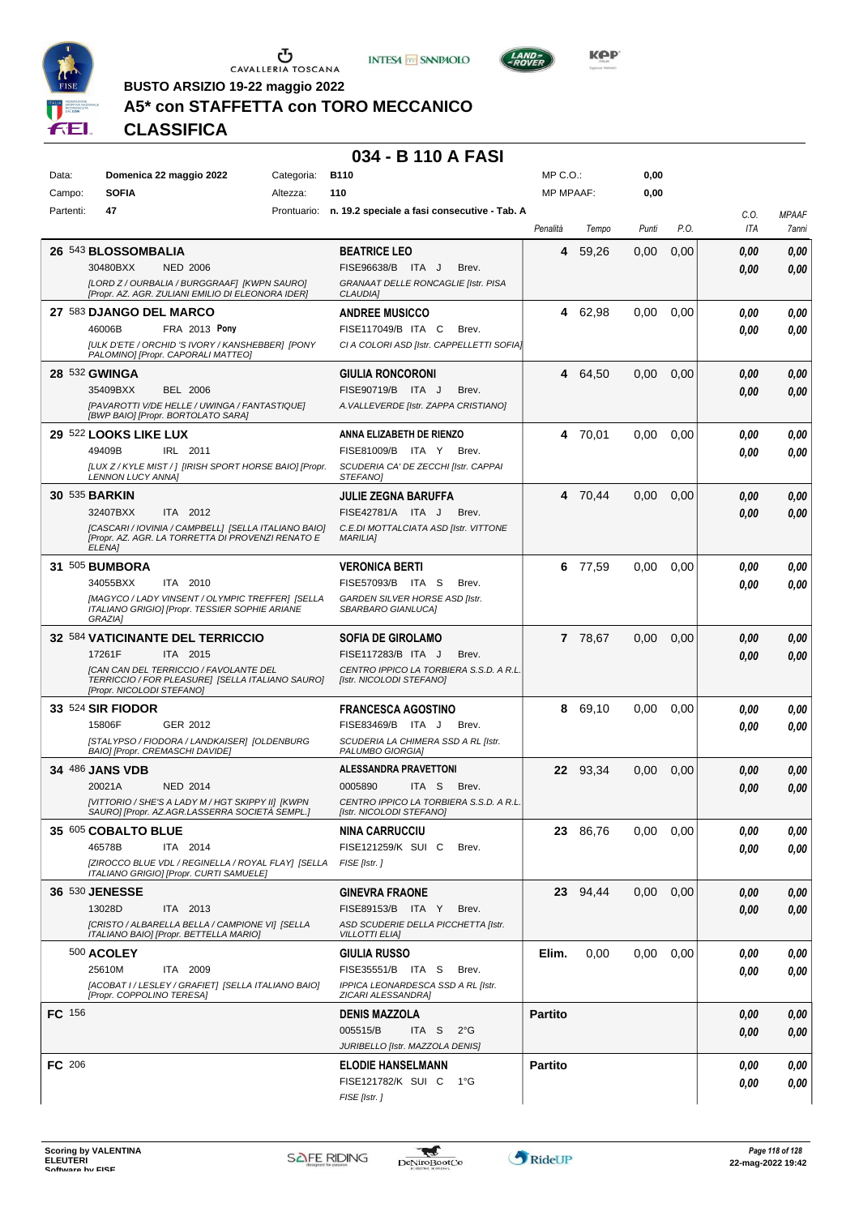





**Kep** 

**BUSTO ARSIZIO 19-22 maggio 2022**

## **A5\* con STAFFETTA con TORO MECCANICO**

**CLASSIFICA**

### **034 - B 110 A FASI**

| Data:         | Domenica 22 maggio 2022                                                                             | Categoria:  | <b>B110</b>                                                         | MP C. O.         |          | 0,00  |      |      |              |
|---------------|-----------------------------------------------------------------------------------------------------|-------------|---------------------------------------------------------------------|------------------|----------|-------|------|------|--------------|
| Campo:        | <b>SOFIA</b>                                                                                        | Altezza:    | 110                                                                 | <b>MP MPAAF:</b> |          | 0,00  |      |      |              |
| Partenti:     | 47                                                                                                  | Prontuario: | n. 19.2 speciale a fasi consecutive - Tab. A                        |                  |          |       |      | C.O. | <b>MPAAF</b> |
|               |                                                                                                     |             |                                                                     | Penalità         | Tempo    | Punti | P.O. | ITA  | 7anni        |
|               |                                                                                                     |             |                                                                     |                  |          |       |      |      |              |
|               | 26 543 BLOSSOMBALIA                                                                                 |             | <b>BEATRICE LEO</b>                                                 | 4                | 59,26    | 0.00  | 0,00 | 0.00 | 0,00         |
|               | 30480BXX<br><b>NED 2006</b>                                                                         |             | FISE96638/B ITA J<br>Brev.                                          |                  |          |       |      | 0.00 | 0,00         |
|               | [LORD Z / OURBALIA / BURGGRAAF] [KWPN SAURO]                                                        |             | GRANAAT DELLE RONCAGLIE [Istr. PISA                                 |                  |          |       |      |      |              |
|               | [Propr. AZ. AGR. ZULIANI EMILIO DI ELEONORA IDER]                                                   |             | CLAUDIA]                                                            |                  |          |       |      |      |              |
|               | 27 583 DJANGO DEL MARCO                                                                             |             | <b>ANDREE MUSICCO</b>                                               | 4                | 62,98    | 0,00  | 0,00 | 0.00 | 0,00         |
|               | 46006B<br>FRA 2013 Pony                                                                             |             | FISE117049/B ITA C<br>Brev.                                         |                  |          |       |      | 0.00 | 0,00         |
|               | [ULK D'ETE / ORCHID 'S IVORY / KANSHEBBER] [PONY                                                    |             | CI A COLORI ASD [Istr. CAPPELLETTI SOFIA]                           |                  |          |       |      |      |              |
|               | PALOMINO] [Propr. CAPORALI MATTEO]                                                                  |             |                                                                     |                  |          |       |      |      |              |
|               | 28 532 GWINGA                                                                                       |             | GIULIA RONCORONI                                                    | 4                | 64,50    | 0.00  | 0,00 | 0,00 | 0,00         |
|               | 35409BXX<br><b>BEL 2006</b>                                                                         |             | FISE90719/B ITA J<br>Brev.                                          |                  |          |       |      | 0.00 | 0,00         |
|               | [PAVAROTTI V/DE HELLE / UWINGA / FANTASTIQUE]                                                       |             | A. VALLEVERDE [Istr. ZAPPA CRISTIANO]                               |                  |          |       |      |      |              |
|               | [BWP BAIO] [Propr. BORTOLATO SARA]                                                                  |             |                                                                     |                  |          |       |      |      |              |
|               | 29 522 LOOKS LIKE LUX                                                                               |             | ANNA ELIZABETH DE RIENZO                                            | 4                | 70,01    | 0,00  | 0,00 | 0.00 | 0,00         |
|               | 49409B<br>IRL 2011                                                                                  |             | FISE81009/B ITA Y<br>Brev.                                          |                  |          |       |      | 0.00 | 0,00         |
|               | [LUX Z / KYLE MIST / ] [IRISH SPORT HORSE BAIO] [Propr.                                             |             | SCUDERIA CA' DE ZECCHI [Istr. CAPPAI                                |                  |          |       |      |      |              |
|               | LENNON LUCY ANNA]                                                                                   |             | STEFANO]                                                            |                  |          |       |      |      |              |
|               | <b>30 535 BARKIN</b>                                                                                |             | JULIE ZEGNA BARUFFA                                                 | 4                | 70,44    | 0,00  | 0,00 | 0,00 | 0,00         |
|               | ITA 2012<br>32407BXX                                                                                |             | FISE42781/A ITA J<br>Brev.                                          |                  |          |       |      | 0.00 | 0,00         |
|               | [CASCARI / IOVINIA / CAMPBELL] [SELLA ITALIANO BAIO]                                                |             | C.E.DI MOTTALCIATA ASD [Istr. VITTONE                               |                  |          |       |      |      |              |
|               | [Propr. AZ. AGR. LA TORRETTA DI PROVENZI RENATO E                                                   |             | <b>MARILIA]</b>                                                     |                  |          |       |      |      |              |
|               | ELENA]                                                                                              |             |                                                                     |                  |          |       |      |      |              |
|               | 31 505 BUMBORA                                                                                      |             | <b>VERONICA BERTI</b>                                               | 6                | 77,59    | 0,00  | 0,00 | 0.00 | 0,00         |
|               | 34055BXX<br>ITA 2010                                                                                |             | FISE57093/B ITA S<br>Brev.                                          |                  |          |       |      | 0.00 | 0.00         |
|               | [MAGYCO / LADY VINSENT / OLYMPIC TREFFER] [SELLA                                                    |             | GARDEN SILVER HORSE ASD [Istr.                                      |                  |          |       |      |      |              |
|               | ITALIANO GRIGIO] [Propr. TESSIER SOPHIE ARIANE<br>GRAZIA1                                           |             | SBARBARO GIANLUCA]                                                  |                  |          |       |      |      |              |
|               |                                                                                                     |             |                                                                     |                  |          |       |      |      |              |
|               | 32 584 VATICINANTE DEL TERRICCIO                                                                    |             | <b>SOFIA DE GIROLAMO</b>                                            |                  | 7 78,67  | 0,00  | 0,00 | 0,00 | 0,00         |
|               | ITA 2015<br>17261F                                                                                  |             | FISE117283/B ITA J<br>Brev.                                         |                  |          |       |      | 0.00 | 0,00         |
|               | [CAN CAN DEL TERRICCIO / FAVOLANTE DEL                                                              |             | CENTRO IPPICO LA TORBIERA S.S.D. A R.L.                             |                  |          |       |      |      |              |
|               | TERRICCIO / FOR PLEASURE] [SELLA ITALIANO SAURO]<br>[Propr. NICOLODI STEFANO]                       |             | [Istr. NICOLODI STEFANO]                                            |                  |          |       |      |      |              |
|               | 33 524 SIR FIODOR                                                                                   |             | <b>FRANCESCA AGOSTINO</b>                                           | 8                | 69,10    | 0,00  | 0.00 | 0.00 | 0,00         |
|               | 15806F<br>GER 2012                                                                                  |             | FISE83469/B ITA J<br>Brev.                                          |                  |          |       |      |      |              |
|               | [STALYPSO / FIODORA / LANDKAISER] [OLDENBURG                                                        |             | SCUDERIA LA CHIMERA SSD A RL [Istr.                                 |                  |          |       |      | 0.00 | 0.00         |
|               | <b>BAIOI [Propr. CREMASCHI DAVIDE]</b>                                                              |             | PALUMBO GIORGIA]                                                    |                  |          |       |      |      |              |
|               | 34 486 JANS VDB                                                                                     |             | <b>ALESSANDRA PRAVETTONI</b>                                        |                  | 22 93,34 | 0,00  | 0,00 | 0,00 | 0,00         |
|               | 20021A<br><b>NED 2014</b>                                                                           |             | 0005890<br>ITA S<br>Brev.                                           |                  |          |       |      |      |              |
|               |                                                                                                     |             |                                                                     |                  |          |       |      | 0.00 | 0,00         |
|               | [VITTORIO / SHE'S A LADY M / HGT SKIPPY II] [KWPN<br>SAURO] [Propr. AZ.AGR.LASSERRA SOCIETA SEMPL.] |             | CENTRO IPPICO LA TORBIERA S.S.D. A R.L.<br>[Istr. NICOLODI STEFANO] |                  |          |       |      |      |              |
|               | 35 605 COBALTO BLUE                                                                                 |             | <b>NINA CARRUCCIU</b>                                               |                  | 23 86,76 | 0,00  | 0,00 | 0,00 | 0,00         |
|               | ITA 2014                                                                                            |             |                                                                     |                  |          |       |      |      |              |
|               | 46578B                                                                                              |             | FISE121259/K SUI C<br>Brev.                                         |                  |          |       |      | 0.00 | 0,00         |
|               | [ZIROCCO BLUE VDL / REGINELLA / ROYAL FLAY] [SELLA<br>ITALIANO GRIGIO] [Propr. CURTI SAMUELE]       |             | FISE [Istr.]                                                        |                  |          |       |      |      |              |
|               | 36 530 JENESSE                                                                                      |             | <b>GINEVRA FRAONE</b>                                               |                  | 23 94.44 | 0,00  | 0,00 | 0,00 | 0,00         |
|               |                                                                                                     |             |                                                                     |                  |          |       |      |      |              |
|               | 13028D<br>ITA 2013                                                                                  |             | FISE89153/B ITA Y<br>Brev.                                          |                  |          |       |      | 0,00 | 0,00         |
|               | [CRISTO / ALBARELLA BELLA / CAMPIONE VI] [SELLA<br>ITALIANO BAIO] [Propr. BETTELLA MARIO]           |             | ASD SCUDERIE DELLA PICCHETTA [Istr.<br><b>VILLOTTI ELIA]</b>        |                  |          |       |      |      |              |
|               | 500 ACOLEY                                                                                          |             |                                                                     | Elim.            | 0,00     | 0,00  | 0,00 |      |              |
|               |                                                                                                     |             | <b>GIULIA RUSSO</b>                                                 |                  |          |       |      | 0,00 | 0,00         |
|               | ITA 2009<br>25610M                                                                                  |             | FISE35551/B ITA S<br>Brev.                                          |                  |          |       |      | 0,00 | 0,00         |
|               | [ACOBAT I / LESLEY / GRAFIET] [SELLA ITALIANO BAIO]<br>[Propr. COPPOLINO TERESA]                    |             | IPPICA LEONARDESCA SSD A RL [Istr.<br>ZICARI ALESSANDRA]            |                  |          |       |      |      |              |
|               |                                                                                                     |             |                                                                     | <b>Partito</b>   |          |       |      |      |              |
| <b>FC</b> 156 |                                                                                                     |             | <b>DENIS MAZZOLA</b>                                                |                  |          |       |      | 0,00 | 0,00         |
|               |                                                                                                     |             | 005515/B<br>ITA S<br>$2^{\circ}$ G                                  |                  |          |       |      | 0,00 | 0,00         |
|               |                                                                                                     |             | JURIBELLO [Istr. MAZZOLA DENIS]                                     |                  |          |       |      |      |              |
| FC 206        |                                                                                                     |             | <b>ELODIE HANSELMANN</b>                                            | <b>Partito</b>   |          |       |      | 0.00 | 0,00         |
|               |                                                                                                     |             | FISE121782/K SUI C 1°G                                              |                  |          |       |      | 0,00 | 0,00         |
|               |                                                                                                     |             | FISE [Istr.]                                                        |                  |          |       |      |      |              |
|               |                                                                                                     |             |                                                                     |                  |          |       |      |      |              |

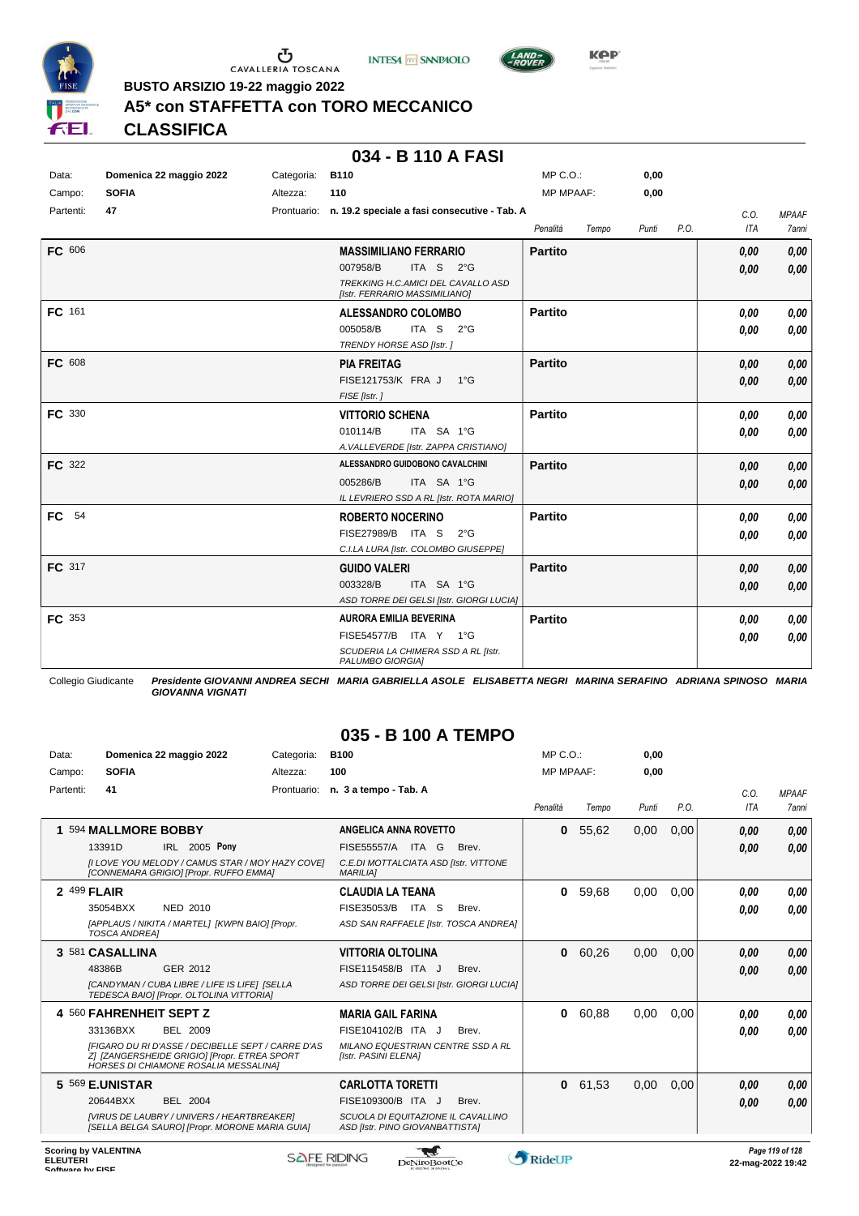





**Kep** 

**BUSTO ARSIZIO 19-22 maggio 2022**

## **A5\* con STAFFETTA con TORO MECCANICO**

**CLASSIFICA**

## **034 - B 110 A FASI**

| Data:            | Domenica 22 maggio 2022 | Categoria: | <b>B110</b>                                                                                                                                                                       | MP C. O.                         |       | 0,00  |      |                      |                       |
|------------------|-------------------------|------------|-----------------------------------------------------------------------------------------------------------------------------------------------------------------------------------|----------------------------------|-------|-------|------|----------------------|-----------------------|
| Campo:           | <b>SOFIA</b>            | Altezza:   | 110                                                                                                                                                                               | <b>MP MPAAF:</b>                 |       | 0,00  |      |                      |                       |
| Partenti:        | 47                      |            | Prontuario: n. 19.2 speciale a fasi consecutive - Tab. A                                                                                                                          | Penalità                         | Tempo | Punti | P.O. | C.O.<br><b>ITA</b>   | <b>MPAAF</b><br>7anni |
| FC 606<br>FC 161 |                         |            | <b>MASSIMILIANO FERRARIO</b><br>007958/B<br>ITA <sub>S</sub><br>$2^{\circ}$ G<br>TREKKING H.C.AMICI DEL CAVALLO ASD<br>[Istr. FERRARIO MASSIMILIANO]<br><b>ALESSANDRO COLOMBO</b> | <b>Partito</b><br><b>Partito</b> |       |       |      | 0,00<br>0,00<br>0,00 | 0,00<br>0,00<br>0,00  |
|                  |                         |            | 005058/B<br>ITA S<br>$2^{\circ}$ G<br>TRENDY HORSE ASD [Istr.]                                                                                                                    |                                  |       |       |      | 0.00                 | 0,00                  |
| FC 608           |                         |            | <b>PIA FREITAG</b><br>FISE121753/K FRA J 1°G<br>FISE [Istr.]                                                                                                                      | <b>Partito</b>                   |       |       |      | 0,00<br>0.00         | 0,00<br>0,00          |
| FC 330           |                         |            | <b>VITTORIO SCHENA</b><br>010114/B<br>ITA SA 1°G<br>A. VALLEVERDE [Istr. ZAPPA CRISTIANO]                                                                                         | <b>Partito</b>                   |       |       |      | 0,00<br>0.00         | 0,00<br>0.00          |
| FC 322           |                         |            | ALESSANDRO GUIDOBONO CAVALCHINI<br>005286/B<br>ITA SA 1°G<br>IL LEVRIERO SSD A RL [Istr. ROTA MARIO]                                                                              | <b>Partito</b>                   |       |       |      | 0,00<br>0.00         | 0,00<br>0,00          |
| FC 54            |                         |            | <b>ROBERTO NOCERINO</b><br>FISE27989/B ITA S<br>$2^{\circ}$ G<br>C.I.LA LURA [Istr. COLOMBO GIUSEPPE]                                                                             | <b>Partito</b>                   |       |       |      | 0.00<br>0,00         | 0,00<br>0.00          |
| FC 317           |                         |            | <b>GUIDO VALERI</b><br>003328/B<br>ITA SA 1°G<br>ASD TORRE DEI GELSI [Istr. GIORGI LUCIA]                                                                                         | <b>Partito</b>                   |       |       |      | 0,00<br>0,00         | 0,00<br>0,00          |
| FC 353           |                         |            | <b>AURORA EMILIA BEVERINA</b><br>FISE54577/B ITA Y 1°G<br>SCUDERIA LA CHIMERA SSD A RL [Istr.<br>PALUMBO GIORGIA]                                                                 | <b>Partito</b>                   |       |       |      | 0.00<br>0,00         | 0,00<br>0.00          |

Collegio Giudicante *Presidente GIOVANNI ANDREA SECHI MARIA GABRIELLA ASOLE ELISABETTA NEGRI MARINA SERAFINO ADRIANA SPINOSO MARIA GIOVANNA VIGNATI*

## **035 - B 100 A TEMPO**

| Data:     | Domenica 22 maggio 2022                                                                                                                            | Categoria:  | <b>B100</b>                                                           | MP C.O.          |       | 0,00  |      |            |              |
|-----------|----------------------------------------------------------------------------------------------------------------------------------------------------|-------------|-----------------------------------------------------------------------|------------------|-------|-------|------|------------|--------------|
| Campo:    | <b>SOFIA</b>                                                                                                                                       | Altezza:    | 100                                                                   | <b>MP MPAAF:</b> |       | 0.00  |      |            |              |
| Partenti: | 41                                                                                                                                                 | Prontuario: | n. 3 a tempo - Tab. A                                                 |                  |       |       |      | C.0.       | <b>MPAAF</b> |
|           |                                                                                                                                                    |             |                                                                       | Penalità         | Tempo | Punti | P.O. | <b>ITA</b> | <b>7anni</b> |
|           | 594 MALLMORE BOBBY                                                                                                                                 |             | ANGELICA ANNA ROVETTO                                                 | $\bf{0}$         | 55,62 | 0,00  | 0,00 | 0,00       | 0,00         |
|           | 13391D<br>IRL 2005 Pony                                                                                                                            |             | FISE55557/A ITA G<br>Brev.                                            |                  |       |       |      | 0,00       | 0,00         |
|           | [I LOVE YOU MELODY / CAMUS STAR / MOY HAZY COVE]<br>[CONNEMARA GRIGIO] [Propr. RUFFO EMMA]                                                         |             | C.E.DI MOTTALCIATA ASD [Istr. VITTONE<br><b>MARILIAI</b>              |                  |       |       |      |            |              |
|           | 2 499 FLAIR                                                                                                                                        |             | <b>CLAUDIA LA TEANA</b>                                               | $\bf{0}$         | 59,68 | 0.00  | 0.00 | 0,00       | 0,00         |
|           | NED 2010<br>35054BXX                                                                                                                               |             | FISE35053/B<br>ITA S<br>Brev.                                         |                  |       |       |      | 0.00       | 0.00         |
|           | [APPLAUS / NIKITA / MARTEL] [KWPN BAIO] [Propr.<br><b>TOSCA ANDREA1</b>                                                                            |             | ASD SAN RAFFAELE [Istr. TOSCA ANDREA]                                 |                  |       |       |      |            |              |
|           | 3 581 CASALLINA                                                                                                                                    |             | <b>VITTORIA OLTOLINA</b>                                              | 0                | 60,26 | 0,00  | 0,00 | 0.00       | 0,00         |
|           | 48386B<br>GER 2012                                                                                                                                 |             | FISE115458/B ITA J<br>Brev.                                           |                  |       |       |      | 0,00       | 0,00         |
|           | [CANDYMAN / CUBA LIBRE / LIFE IS LIFE] [SELLA<br>TEDESCA BAIO  [Propr. OLTOLINA VITTORIA]                                                          |             | ASD TORRE DEI GELSI [Istr. GIORGI LUCIA]                              |                  |       |       |      |            |              |
|           | 4 560 FAHRENHEIT SEPT Z                                                                                                                            |             | <b>MARIA GAIL FARINA</b>                                              | 0                | 60,88 | 0,00  | 0.00 | 0,00       | 0,00         |
|           | BEL 2009<br>33136BXX                                                                                                                               |             | FISE104102/B ITA J<br>Brev.                                           |                  |       |       |      | 0,00       | 0.00         |
|           | [FIGARO DU RI D'ASSE / DECIBELLE SEPT / CARRE D'AS<br>ZI IZANGERSHEIDE GRIGIOI [Propr. ETREA SPORT<br><b>HORSES DI CHIAMONE ROSALIA MESSALINA]</b> |             | MILANO EQUESTRIAN CENTRE SSD A RL<br>[Istr. PASINI ELENA]             |                  |       |       |      |            |              |
|           | 5 569 E.UNISTAR                                                                                                                                    |             | <b>CARLOTTA TORETTI</b>                                               | $\mathbf{0}$     | 61,53 | 0.00  | 0,00 | 0,00       | 0,00         |
|           | <b>BEL 2004</b><br>20644BXX                                                                                                                        |             | FISE109300/B ITA J<br>Brev.                                           |                  |       |       |      | 0.00       | 0,00         |
|           | [VIRUS DE LAUBRY / UNIVERS / HEARTBREAKER]<br>[SELLA BELGA SAURO] [Propr. MORONE MARIA GUIA]                                                       |             | SCUOLA DI EQUITAZIONE IL CAVALLINO<br>ASD [Istr. PINO GIOVANBATTISTA] |                  |       |       |      |            |              |
|           |                                                                                                                                                    |             |                                                                       |                  |       |       |      |            |              |

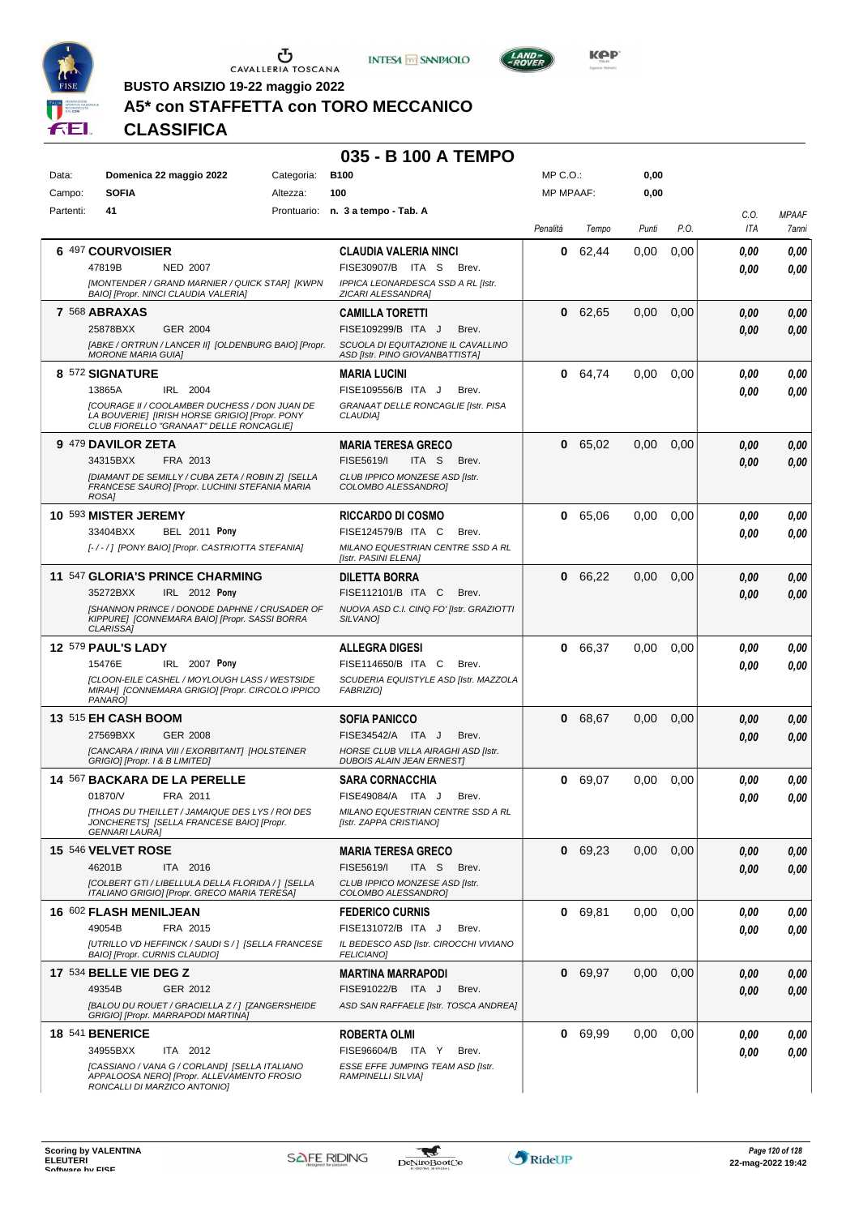





**BUSTO ARSIZIO 19-22 maggio 2022**

## **A5\* con STAFFETTA con TORO MECCANICO**

**CLASSIFICA**

## **035 - B 100 A TEMPO**

| Data:     | Domenica 22 maggio 2022                                                                                                                                                              | Categoria: | <b>B100</b>                                                                                                                    | MP C.O.:         |         | 0,00              |      |              |                       |
|-----------|--------------------------------------------------------------------------------------------------------------------------------------------------------------------------------------|------------|--------------------------------------------------------------------------------------------------------------------------------|------------------|---------|-------------------|------|--------------|-----------------------|
| Campo:    | <b>SOFIA</b>                                                                                                                                                                         | Altezza:   | 100                                                                                                                            | <b>MP MPAAF:</b> |         | 0,00              |      |              |                       |
| Partenti: | 41                                                                                                                                                                                   |            | Prontuario: n. 3 a tempo - Tab. A                                                                                              | Penalità         | Tempo   | Punti             | P.O. | C.O.<br>ITA  | <b>MPAAF</b><br>7anni |
|           | 6 497 COURVOISIER<br>47819B<br><b>NED 2007</b><br>[MONTENDER / GRAND MARNIER / QUICK STAR] [KWPN<br>BAIO] [Propr. NINCI CLAUDIA VALERIA]                                             |            | <b>CLAUDIA VALERIA NINCI</b><br>FISE30907/B ITA S<br>Brev.<br>IPPICA LEONARDESCA SSD A RL [Istr.<br>ZICARI ALESSANDRA]         | 0                | 62,44   | 0,00              | 0,00 | 0.00<br>0.00 | 0,00<br>0,00          |
|           | 7 568 ABRAXAS<br>25878BXX<br><b>GER 2004</b><br>[ABKE / ORTRUN / LANCER II] [OLDENBURG BAIO] [Propr.<br><b>MORONE MARIA GUIA]</b>                                                    |            | <b>CAMILLA TORETTI</b><br>FISE109299/B ITA J<br>Brev.<br>SCUOLA DI EQUITAZIONE IL CAVALLINO<br>ASD [Istr. PINO GIOVANBATTISTA] | 0                | 62,65   | 0,00              | 0,00 | 0,00<br>0.00 | 0,00<br>0,00          |
|           | 8 572 SIGNATURE<br>13865A<br>IRL 2004<br>[COURAGE II / COOLAMBER DUCHESS / DON JUAN DE<br>LA BOUVERIE] [IRISH HORSE GRIGIO] [Propr. PONY<br>CLUB FIORELLO "GRANAAT" DELLE RONCAGLIE] |            | <b>MARIA LUCINI</b><br>FISE109556/B ITA J<br>Brev.<br>GRANAAT DELLE RONCAGLIE [Istr. PISA<br>CLAUDIA]                          | 0                | 64,74   | 0,00              | 0,00 | 0,00<br>0.00 | 0,00<br>0.00          |
|           | 9 479 DAVILOR ZETA<br>34315BXX<br>FRA 2013<br><b>IDIAMANT DE SEMILLY / CUBA ZETA / ROBIN ZI ISELLA</b><br>FRANCESE SAUROI (Propr. LUCHINI STEFANIA MARIA<br>ROSA]                    |            | <b>MARIA TERESA GRECO</b><br>FISE5619/I<br>ITA <sub>S</sub><br>Brev.<br>CLUB IPPICO MONZESE ASD IIstr.<br>COLOMBO ALESSANDRO]  | 0                | 65,02   | 0,00              | 0,00 | 0.00<br>0.00 | 0,00<br>0.00          |
|           | 10 593 MISTER JEREMY<br>33404BXX<br><b>BEL 2011 Pony</b><br>[-/-/] [PONY BAIO] [Propr. CASTRIOTTA STEFANIA]                                                                          |            | <b>RICCARDO DI COSMO</b><br>FISE124579/B ITA C<br>Brev.<br>MILANO EQUESTRIAN CENTRE SSD A RL<br>[Istr. PASINI ELENA]           | 0                | 65,06   | 0.00              | 0,00 | 0.00<br>0.00 | 0,00<br>0.00          |
|           | 11 547 GLORIA'S PRINCE CHARMING<br>35272BXX<br>IRL 2012 Pony<br>[SHANNON PRINCE / DONODE DAPHNE / CRUSADER OF<br>KIPPURE] [CONNEMARA BAIO] [Propr. SASSI BORRA<br>CLARISSA]          |            | DILETTA BORRA<br>FISE112101/B ITA C<br>Brev.<br>NUOVA ASD C.I. CINQ FO' [Istr. GRAZIOTTI<br>SILVANO]                           | 0                | 66,22   | 0,00              | 0,00 | 0.00<br>0.00 | 0,00<br>0,00          |
|           | 12 579 PAUL'S LADY<br>15476E<br>IRL 2007 Pony<br><b>[CLOON-EILE CASHEL / MOYLOUGH LASS / WESTSIDE</b><br>MIRAH] [CONNEMARA GRIGIO] [Propr. CIRCOLO IPPICO<br>PANARO1                 |            | ALLEGRA DIGESI<br>FISE114650/B ITA C<br>Brev.<br>SCUDERIA EQUISTYLE ASD [Istr. MAZZOLA<br><b>FABRIZIOI</b>                     | 0                | 66,37   | 0.00              | 0.00 | 0.00<br>0.00 | 0,00<br>0.00          |
|           | 13 515 EH CASH BOOM<br>27569BXX<br><b>GER 2008</b><br>[CANCARA / IRINA VIII / EXORBITANT] [HOLSTEINER<br>GRIGIO] [Propr. 1 & B LIMITED]                                              |            | <b>SOFIA PANICCO</b><br>FISE34542/A ITA J<br>Brev.<br>HORSE CLUB VILLA AIRAGHI ASD [Istr.<br><b>DUBOIS ALAIN JEAN ERNESTI</b>  | 0                | 68,67   | 0.00              | 0,00 | 0.00<br>0.00 | 0,00<br>0,00          |
|           | 14 567 BACKARA DE LA PERELLE<br>FRA 2011<br>01870/V<br><b>ITHOAS DU THEILLET / JAMAIQUE DES LYS / ROI DES</b><br>JONCHERETS] [SELLA FRANCESE BAIO] [Propr.<br><b>GENNARI LAURA]</b>  |            | <b>SARA CORNACCHIA</b><br>FISE49084/A ITA J<br>Brev.<br>MILANO EQUESTRIAN CENTRE SSD A RL<br>[Istr. ZAPPA CRISTIANO]           | 0                | 69,07   | 0,00              | 0,00 | 0,00<br>0.00 | 0,00<br>0.00          |
|           | 15 546 VELVET ROSE<br>ITA 2016<br>46201B<br>[COLBERT GTI / LIBELLULA DELLA FLORIDA / ] [SELLA<br>ITALIANO GRIGIO] [Propr. GRECO MARIA TERESA]                                        |            | <b>MARIA TERESA GRECO</b><br>FISE5619/I<br>ITA S<br>Brev.<br>CLUB IPPICO MONZESE ASD [Istr.<br>COLOMBO ALESSANDROJ             |                  | 0 69,23 | 0,00              | 0,00 | 0,00<br>0,00 | 0,00<br>0,00          |
|           | 16 602 FLASH MENILJEAN<br>49054B<br>FRA 2015<br>[UTRILLO VD HEFFINCK / SAUDI S / 1 [SELLA FRANCESE<br>BAIO] [Propr. CURNIS CLAUDIO]                                                  |            | <b>FEDERICO CURNIS</b><br>FISE131072/B ITA J<br>Brev.<br>IL BEDESCO ASD [Istr. CIROCCHI VIVIANO<br><b>FELICIANO1</b>           |                  | 0 69,81 | 0,00              | 0,00 | 0.00<br>0.00 | 0,00<br>0,00          |
|           | 17 534 BELLE VIE DEG Z<br>49354B<br>GER 2012<br>[BALOU DU ROUET / GRACIELLA Z / ] [ZANGERSHEIDE<br>GRIGIO] [Propr. MARRAPODI MARTINA]                                                |            | <b>MARTINA MARRAPODI</b><br>FISE91022/B ITA J<br>Brev.<br>ASD SAN RAFFAELE [Istr. TOSCA ANDREA]                                |                  | 0 69,97 | 0.00 <sub>1</sub> | 0,00 | 0.00<br>0.00 | 0,00<br>0,00          |
|           | 18 541 BENERICE<br>34955BXX<br>ITA 2012<br>[CASSIANO / VANA G / CORLAND] [SELLA ITALIANO<br>APPALOOSA NERO] [Propr. ALLEVAMENTO FROSIO<br>RONCALLI DI MARZICO ANTONIO]               |            | <b>ROBERTA OLMI</b><br>FISE96604/B ITA Y<br>Brev.<br>ESSE EFFE JUMPING TEAM ASD [Istr.<br><b>RAMPINELLI SILVIA]</b>            |                  | 0 69,99 | 0,00              | 0,00 | 0.00<br>0.00 | 0,00<br>0,00          |

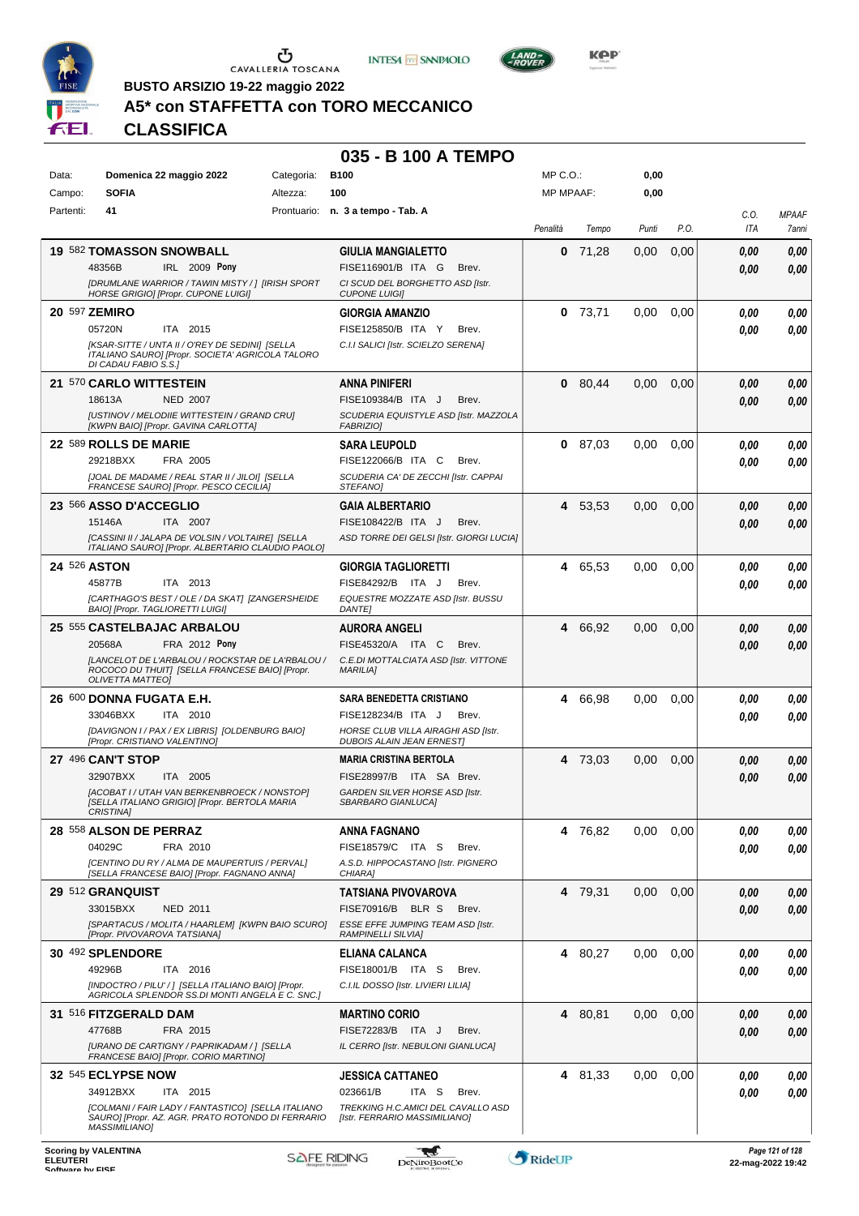





**Kep** 

**BUSTO ARSIZIO 19-22 maggio 2022**

## **A5\* con STAFFETTA con TORO MECCANICO**

**CLASSIFICA**

### **035 - B 100 A TEMPO**

| Data:     | Domenica 22 maggio 2022                                                                                                         | Categoria: | <b>B100</b>                                                             | $MP C. O.$ :     |         | 0,00  |      |             |                       |
|-----------|---------------------------------------------------------------------------------------------------------------------------------|------------|-------------------------------------------------------------------------|------------------|---------|-------|------|-------------|-----------------------|
| Campo:    | <b>SOFIA</b>                                                                                                                    | Altezza:   | 100                                                                     | <b>MP MPAAF:</b> |         | 0,00  |      |             |                       |
| Partenti: | 41                                                                                                                              |            | Prontuario: n. 3 a tempo - Tab. A                                       | Penalità         | Tempo   | Punti | P.O. | C.0.<br>ITA | <b>MPAAF</b><br>7anni |
|           | <b>19 582 TOMASSON SNOWBALL</b>                                                                                                 |            | <b>GIULIA MANGIALETTO</b>                                               | 0                | 71,28   | 0,00  | 0,00 | 0,00        | 0,00                  |
|           | 48356B<br>IRL 2009 Pony                                                                                                         |            | FISE116901/B ITA G<br>Brev.                                             |                  |         |       |      | 0,00        | 0,00                  |
|           | [DRUMLANE WARRIOR / TAWIN MISTY / ] [IRISH SPORT<br><b>HORSE GRIGIO] [Propr. CUPONE LUIGI]</b>                                  |            | CI SCUD DEL BORGHETTO ASD [Istr.<br><b>CUPONE LUIGII</b>                |                  |         |       |      |             |                       |
|           | 20 597 ZEMIRO                                                                                                                   |            | <b>GIORGIA AMANZIO</b>                                                  | 0                | 73,71   | 0,00  | 0,00 | 0.00        | 0,00                  |
|           | 05720N<br>ITA 2015                                                                                                              |            | FISE125850/B ITA Y<br>Brev.                                             |                  |         |       |      | 0.00        | 0,00                  |
|           | [KSAR-SITTE / UNTA II / O'REY DE SEDINI] [SELLA<br>ITALIANO SAURO] [Propr. SOCIETA' AGRICOLA TALORO<br>DI CADAU FABIO S.S.]     |            | C.I.I SALICI [Istr. SCIELZO SERENA]                                     |                  |         |       |      |             |                       |
|           | 21 570 CARLO WITTESTEIN                                                                                                         |            | <b>ANNA PINIFERI</b>                                                    | $\mathbf 0$      | 80,44   | 0.00  | 0,00 | 0.00        | 0,00                  |
|           | 18613A<br><b>NED 2007</b>                                                                                                       |            | FISE109384/B ITA J<br>Brev.                                             |                  |         |       |      | 0.00        | 0,00                  |
|           | [USTINOV / MELODIIE WITTESTEIN / GRAND CRU]<br>[KWPN BAIO] [Propr. GAVINA CARLOTTA]                                             |            | SCUDERIA EQUISTYLE ASD [Istr. MAZZOLA<br><b>FABRIZIO)</b>               |                  |         |       |      |             |                       |
|           | 22 589 ROLLS DE MARIE                                                                                                           |            | <b>SARA LEUPOLD</b>                                                     |                  | 0 87,03 | 0,00  | 0,00 | 0.00        | 0,00                  |
|           | 29218BXX<br>FRA 2005                                                                                                            |            | FISE122066/B ITA C<br>Brev.                                             |                  |         |       |      | 0.00        | 0.00                  |
|           | [JOAL DE MADAME / REAL STAR II / JILOI] [SELLA<br>FRANCESE SAUROI [Propr. PESCO CECILIA]                                        |            | SCUDERIA CA' DE ZECCHI [Istr. CAPPAI<br><b>STEFANOI</b>                 |                  |         |       |      |             |                       |
|           | 23 566 ASSO D'ACCEGLIO                                                                                                          |            | <b>GAIA ALBERTARIO</b>                                                  | 4                | 53,53   | 0.00  | 0,00 | 0,00        | 0,00                  |
|           | ITA 2007<br>15146A                                                                                                              |            | FISE108422/B ITA J<br>Brev.                                             |                  |         |       |      | 0.00        | 0.00                  |
|           | [CASSINI II / JALAPA DE VOLSIN / VOLTAIRE] [SELLA<br>ITALIANO SAURO] [Propr. ALBERTARIO CLAUDIO PAOLO]                          |            | ASD TORRE DEI GELSI [Istr. GIORGI LUCIA]                                |                  |         |       |      |             |                       |
|           | 24 526 ASTON                                                                                                                    |            | <b>GIORGIA TAGLIORETTI</b>                                              | 4                | 65,53   | 0.00  | 0,00 | 0.00        | 0,00                  |
|           | 45877B<br>ITA 2013                                                                                                              |            | FISE84292/B ITA J<br>Brev.                                              |                  |         |       |      | 0.00        | 0.00                  |
|           | [CARTHAGO'S BEST / OLE / DA SKAT] [ZANGERSHEIDE<br>BAIO] [Propr. TAGLIORETTI LUIGI]                                             |            | EQUESTRE MOZZATE ASD [Istr. BUSSU<br><b>DANTE]</b>                      |                  |         |       |      |             |                       |
|           | 25 555 CASTELBAJAC ARBALOU                                                                                                      |            | <b>AURORA ANGELI</b>                                                    | 4                | 66,92   | 0,00  | 0,00 | 0,00        | 0,00                  |
|           | 20568A<br>FRA 2012 Pony                                                                                                         |            | FISE45320/A ITA C<br>Brev.                                              |                  |         |       |      | 0.00        | 0,00                  |
|           | [LANCELOT DE L'ARBALOU / ROCKSTAR DE LA'RBALOU /<br>ROCOCO DU THUIT] [SELLA FRANCESE BAIO] [Propr.<br><b>OLIVETTA MATTEO]</b>   |            | C.E.DI MOTTALCIATA ASD [Istr. VITTONE<br><b>MARILIA]</b>                |                  |         |       |      |             |                       |
|           | 26 600 DONNA FUGATA E.H.                                                                                                        |            | <b>SARA BENEDETTA CRISTIANO</b>                                         | 4                | 66,98   | 0,00  | 0,00 | 0.00        | 0,00                  |
|           | 33046BXX<br>ITA 2010                                                                                                            |            | FISE128234/B ITA J<br>Brev.                                             |                  |         |       |      | 0.00        | 0.00                  |
|           | [DAVIGNON I / PAX / EX LIBRIS] [OLDENBURG BAIO]<br>[Propr. CRISTIANO VALENTINO]                                                 |            | HORSE CLUB VILLA AIRAGHI ASD [Istr.<br><b>DUBOIS ALAIN JEAN ERNESTI</b> |                  |         |       |      |             |                       |
|           | 27 496 CAN'T STOP                                                                                                               |            | <b>MARIA CRISTINA BERTOLA</b>                                           |                  | 4 73,03 | 0,00  | 0,00 | 0,00        | 0,00                  |
|           | 32907BXX<br>ITA 2005                                                                                                            |            | FISE28997/B ITA SA Brev.                                                |                  |         |       |      | 0.00        | 0,00                  |
|           | [ACOBAT I / UTAH VAN BERKENBROECK / NONSTOP]<br>[SELLA ITALIANO GRIGIO] [Propr. BERTOLA MARIA                                   |            | GARDEN SILVER HORSE ASD [Istr.<br>SBARBARO GIANLUCA]                    |                  |         |       |      |             |                       |
|           | CRISTINA]<br><b>28 558 ALSON DE PERRAZ</b>                                                                                      |            | <b>ANNA FAGNANO</b>                                                     | 4                | 76,82   | 0,00  | 0,00 | 0.00        | 0,00                  |
|           | 04029C<br>FRA 2010                                                                                                              |            | FISE18579/C ITA S<br>Brev.                                              |                  |         |       |      | 0.00        | 0,00                  |
|           | <b>ICENTINO DU RY / ALMA DE MAUPERTUIS / PERVAL]</b><br>[SELLA FRANCESE BAIO] [Propr. FAGNANO ANNA]                             |            | A.S.D. HIPPOCASTANO [Istr. PIGNERO<br>CHIARA]                           |                  |         |       |      |             |                       |
|           | 29 512 GRANQUIST                                                                                                                |            | TATSIANA PIVOVAROVA                                                     |                  | 4 79,31 | 0,00  | 0,00 | 0.00        | 0,00                  |
|           | 33015BXX<br><b>NED 2011</b>                                                                                                     |            | FISE70916/B BLR S<br>Brev.                                              |                  |         |       |      | 0,00        | 0,00                  |
|           | [SPARTACUS / MOLITA / HAARLEM] [KWPN BAIO SCURO]<br>[Propr. PIVOVAROVA TATSIANA]                                                |            | ESSE EFFE JUMPING TEAM ASD [Istr.<br><b>RAMPINELLI SILVIA]</b>          |                  |         |       |      |             |                       |
|           | 30 492 SPLENDORE                                                                                                                |            | <b>ELIANA CALANCA</b>                                                   |                  | 4 80,27 | 0,00  | 0,00 | 0.00        | 0,00                  |
|           | 49296B<br>ITA 2016                                                                                                              |            | FISE18001/B ITA S<br>Brev.                                              |                  |         |       |      | 0.00        | 0,00                  |
|           | [INDOCTRO / PILU' / ] [SELLA ITALIANO BAIO] [Propr.<br>AGRICOLA SPLENDOR SS.DI MONTI ANGELA E C. SNC.]                          |            | C.I.IL DOSSO [Istr. LIVIERI LILIA]                                      |                  |         |       |      |             |                       |
|           | 31 516 FITZGERALD DAM                                                                                                           |            | <b>MARTINO CORIO</b>                                                    |                  | 4 80,81 | 0,00  | 0,00 | 0.00        | 0,00                  |
|           | 47768B<br>FRA 2015                                                                                                              |            | FISE72283/B ITA J<br>Brev.                                              |                  |         |       |      | 0,00        | 0,00                  |
|           | [URANO DE CARTIGNY / PAPRIKADAM / ] [SELLA<br>FRANCESE BAIO] [Propr. CORIO MARTINO]                                             |            | IL CERRO [Istr. NEBULONI GIANLUCA]                                      |                  |         |       |      |             |                       |
|           | 32 545 ECLYPSE NOW                                                                                                              |            | <b>JESSICA CATTANEO</b>                                                 |                  | 4 81,33 | 0,00  | 0,00 | 0.00        | 0,00                  |
|           | 34912BXX<br>ITA 2015                                                                                                            |            | 023661/B<br>ITA S<br>Brev.                                              |                  |         |       |      | 0.00        | 0,00                  |
|           | [COLMANI / FAIR LADY / FANTASTICO] [SELLA ITALIANO<br>SAURO] [Propr. AZ. AGR. PRATO ROTONDO DI FERRARIO<br><b>MASSIMILIANO1</b> |            | TREKKING H.C.AMICI DEL CAVALLO ASD<br>[Istr. FERRARIO MASSIMILIANO]     |                  |         |       |      |             |                       |
|           | Cooring by VALENTINA                                                                                                            |            |                                                                         |                  |         |       |      |             | $121 - 5120$          |

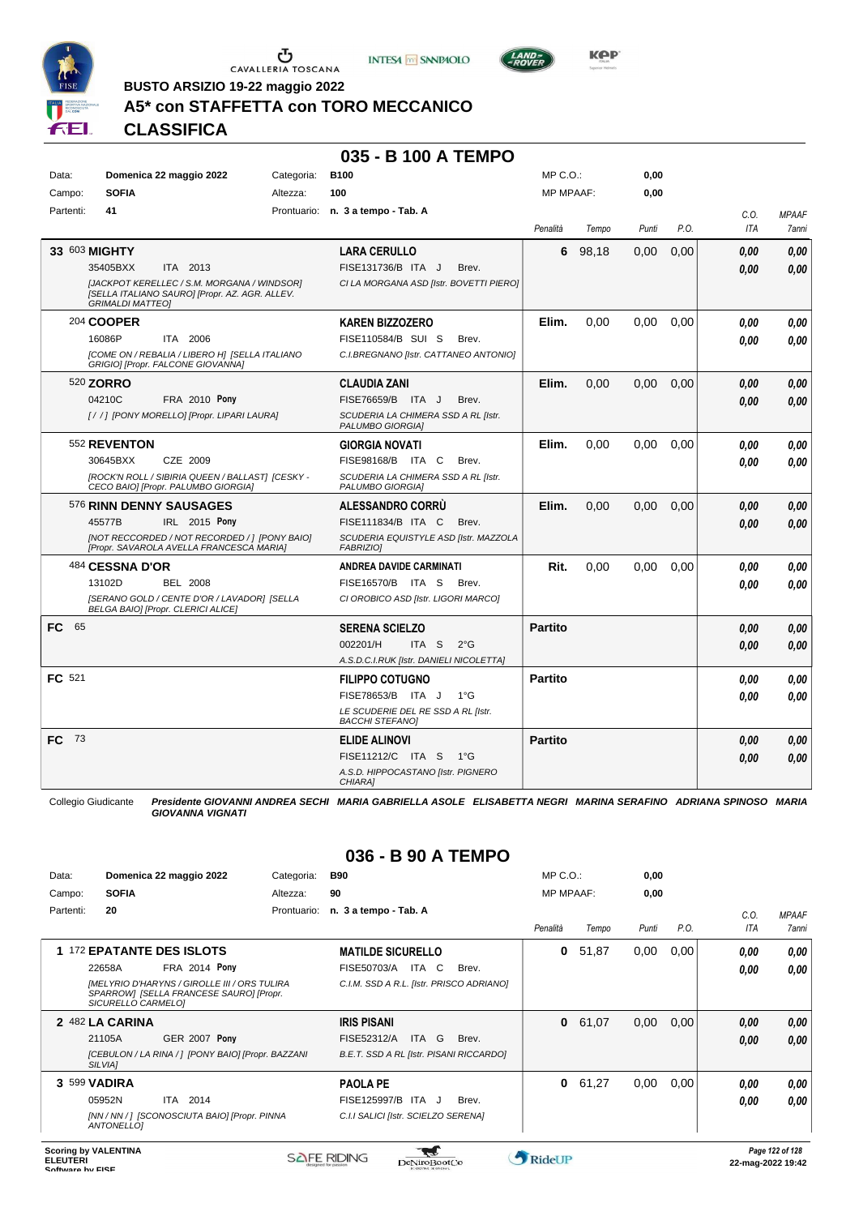





**BUSTO ARSIZIO 19-22 maggio 2022**

## **A5\* con STAFFETTA con TORO MECCANICO**

**CLASSIFICA**

#### **035 - B 100 A TEMPO**

| Data:       |                         | Domenica 22 maggio 2022                                                                       | Categoria: | <b>B100</b>                                                  | MP C.O.:         |         | 0,00     |      |      |              |
|-------------|-------------------------|-----------------------------------------------------------------------------------------------|------------|--------------------------------------------------------------|------------------|---------|----------|------|------|--------------|
| Campo:      | <b>SOFIA</b>            |                                                                                               | Altezza:   | 100                                                          | <b>MP MPAAF:</b> |         | 0,00     |      |      |              |
| Partenti:   | 41                      |                                                                                               |            | Prontuario: n. 3 a tempo - Tab. A                            |                  |         |          |      | C.O. | <b>MPAAF</b> |
|             |                         |                                                                                               |            |                                                              | Penalità         | Tempo   | Punti    | P.O. | ITA  | 7anni        |
|             | 33 603 MIGHTY           |                                                                                               |            | <b>LARA CERULLO</b>                                          |                  | 6 98,18 | 0,00     | 0,00 | 0.00 | 0,00         |
|             | 35405BXX                | ITA 2013                                                                                      |            | FISE131736/B ITA J<br>Brev.                                  |                  |         |          |      | 0.00 | 0,00         |
|             | <b>GRIMALDI MATTEO1</b> | [JACKPOT KERELLEC / S.M. MORGANA / WINDSOR]<br>[SELLA ITALIANO SAURO] [Propr. AZ. AGR. ALLEV. |            | CI LA MORGANA ASD [Istr. BOVETTI PIERO]                      |                  |         |          |      |      |              |
|             | 204 COOPER              |                                                                                               |            | <b>KAREN BIZZOZERO</b>                                       | Elim.            | 0,00    | 0,00     | 0,00 | 0.00 | 0.00         |
|             | 16086P                  | ITA 2006                                                                                      |            | FISE110584/B SUI S<br>Brev.                                  |                  |         |          |      | 0.00 | 0.00         |
|             |                         | [COME ON / REBALIA / LIBERO H] [SELLA ITALIANO<br>GRIGIO] [Propr. FALCONE GIOVANNA]           |            | C.I.BREGNANO [Istr. CATTANEO ANTONIO]                        |                  |         |          |      |      |              |
|             | 520 <b>ZORRO</b>        |                                                                                               |            | <b>CLAUDIA ZANI</b>                                          | Elim.            | 0.00    | 0,00     | 0,00 | 0.00 | 0,00         |
|             | 04210C                  | FRA 2010 Pony                                                                                 |            | FISE76659/B ITA J<br>Brev.                                   |                  |         |          |      | 0.00 | 0.00         |
|             |                         | [//] [PONY MORELLO] [Propr. LIPARI LAURA]                                                     |            | SCUDERIA LA CHIMERA SSD A RL [Istr.<br>PALUMBO GIORGIA]      |                  |         |          |      |      |              |
|             | 552 REVENTON            |                                                                                               |            | <b>GIORGIA NOVATI</b>                                        | Elim.            | 0,00    | 0,00     | 0,00 | 0.00 | 0.00         |
|             | 30645BXX                | CZE 2009                                                                                      |            | FISE98168/B ITA C<br>Brev.                                   |                  |         |          |      | 0.00 | 0.00         |
|             |                         | [ROCK'N ROLL / SIBIRIA QUEEN / BALLAST] [CESKY -<br>CECO BAIO] [Propr. PALUMBO GIORGIA]       |            | SCUDERIA LA CHIMERA SSD A RL [Istr.<br>PALUMBO GIORGIA]      |                  |         |          |      |      |              |
|             |                         | 576 RINN DENNY SAUSAGES                                                                       |            | <b>ALESSANDRO CORRU</b>                                      | Elim.            | 0,00    | 0,00     | 0,00 | 0.00 | 0,00         |
|             | 45577B                  | IRL 2015 Pony                                                                                 |            | FISE111834/B ITA C<br>Brev.                                  |                  |         |          |      | 0.00 | 0.00         |
|             |                         | [NOT RECCORDED / NOT RECORDED / ] [PONY BAIO]<br>[Propr. SAVAROLA AVELLA FRANCESCA MARIA]     |            | SCUDERIA EQUISTYLE ASD [Istr. MAZZOLA<br><b>FABRIZIOI</b>    |                  |         |          |      |      |              |
|             | 484 CESSNA D'OR         |                                                                                               |            | ANDREA DAVIDE CARMINATI                                      | Rit.             | 0,00    | $0.00\,$ | 0,00 | 0.00 | 0.00         |
|             | 13102D                  | <b>BEL 2008</b>                                                                               |            | FISE16570/B ITA S<br>Brev.                                   |                  |         |          |      | 0.00 | 0.00         |
|             |                         | [SERANO GOLD / CENTE D'OR / LAVADOR] [SELLA<br>BELGA BAIO] [Propr. CLERICI ALICE]             |            | CI OROBICO ASD [Istr. LIGORI MARCO]                          |                  |         |          |      |      |              |
| FC.<br>65   |                         |                                                                                               |            | <b>SERENA SCIELZO</b>                                        | <b>Partito</b>   |         |          |      | 0.00 | 0,00         |
|             |                         |                                                                                               |            | ITA S<br>002201/H<br>$2^{\circ}G$                            |                  |         |          |      | 0.00 | 0.00         |
|             |                         |                                                                                               |            | A.S.D.C.I.RUK [Istr. DANIELI NICOLETTA]                      |                  |         |          |      |      |              |
| FC 521      |                         |                                                                                               |            | <b>FILIPPO COTUGNO</b>                                       | <b>Partito</b>   |         |          |      | 0.00 | 0,00         |
|             |                         |                                                                                               |            | FISE78653/B ITA J<br>$1^{\circ}G$                            |                  |         |          |      | 0,00 | 0.00         |
|             |                         |                                                                                               |            | LE SCUDERIE DEL RE SSD A RL [Istr.<br><b>BACCHI STEFANO]</b> |                  |         |          |      |      |              |
| - 73<br>FC. |                         |                                                                                               |            | <b>ELIDE ALINOVI</b>                                         | <b>Partito</b>   |         |          |      | 0.00 | 0,00         |
|             |                         |                                                                                               |            | FISE11212/C ITA S 1°G                                        |                  |         |          |      | 0,00 | 0,00         |
|             |                         |                                                                                               |            | A.S.D. HIPPOCASTANO [Istr. PIGNERO<br>CHIARA]                |                  |         |          |      |      |              |

Collegio Giudicante *Presidente GIOVANNI ANDREA SECHI MARIA GABRIELLA ASOLE ELISABETTA NEGRI MARINA SERAFINO ADRIANA SPINOSO MARIA GIOVANNA VIGNATI*

## **036 - B 90 A TEMPO**

| Data:     |                    | Domenica 22 maggio 2022                                                                 | Categoria:  | <b>B90</b>                               | $MP C. O.$ :     |       | 0,00  |      |      |              |
|-----------|--------------------|-----------------------------------------------------------------------------------------|-------------|------------------------------------------|------------------|-------|-------|------|------|--------------|
| Campo:    | <b>SOFIA</b>       |                                                                                         | Altezza:    | 90                                       | <b>MP MPAAF:</b> |       | 0,00  |      |      |              |
| Partenti: | 20                 |                                                                                         | Prontuario: | n. 3 a tempo - Tab. A                    |                  |       |       |      | C.0. | <b>MPAAF</b> |
|           |                    |                                                                                         |             |                                          | Penalità         | Tempo | Punti | P.O. | ITA  | 7anni        |
|           |                    | 1 172 EPATANTE DES ISLOTS                                                               |             | <b>MATILDE SICURELLO</b>                 | 0                | 51,87 | 0,00  | 0,00 | 0,00 | 0,00         |
|           | 22658A             | <b>FRA 2014 Pony</b>                                                                    |             | ITA C<br>FISE50703/A<br>Brev.            |                  |       |       |      | 0,00 | 0.00         |
|           | SICURELLO CARMELO] | [MELYRIO D'HARYNS / GIROLLE III / ORS TULIRA<br>SPARROWI [SELLA FRANCESE SAURO] [Propr. |             | C.I.M. SSD A R.L. [Istr. PRISCO ADRIANO] |                  |       |       |      |      |              |
|           | 2 482 LA CARINA    |                                                                                         |             | <b>IRIS PISANI</b>                       | $\mathbf{0}$     | 61,07 | 0,00  | 0,00 | 0,00 | 0,00         |
|           | 21105A             | <b>GER 2007 Pony</b>                                                                    |             | FISE52312/A<br><b>ITA</b><br>G<br>Brev.  |                  |       |       |      | 0,00 | 0.00         |
|           | <b>SILVIAI</b>     | [CEBULON / LA RINA / ] [PONY BAIO] [Propr. BAZZANI                                      |             | B.E.T. SSD A RL [Istr. PISANI RICCARDO]  |                  |       |       |      |      |              |
|           | 3 599 VADIRA       |                                                                                         |             | <b>PAOLA PE</b>                          | $\bf{0}$         | 61,27 | 0,00  | 0,00 | 0.00 | 0,00         |
|           | 05952N             | 2014<br>ITA                                                                             |             | FISE125997/B ITA J<br>Brev.              |                  |       |       |      | 0.00 | 0.00         |
|           | ANTONELLO]         | [NN / NN / ] [SCONOSCIUTA BAIO] [Propr. PINNA                                           |             | C.I.I SALICI [Istr. SCIELZO SERENA]      |                  |       |       |      |      |              |

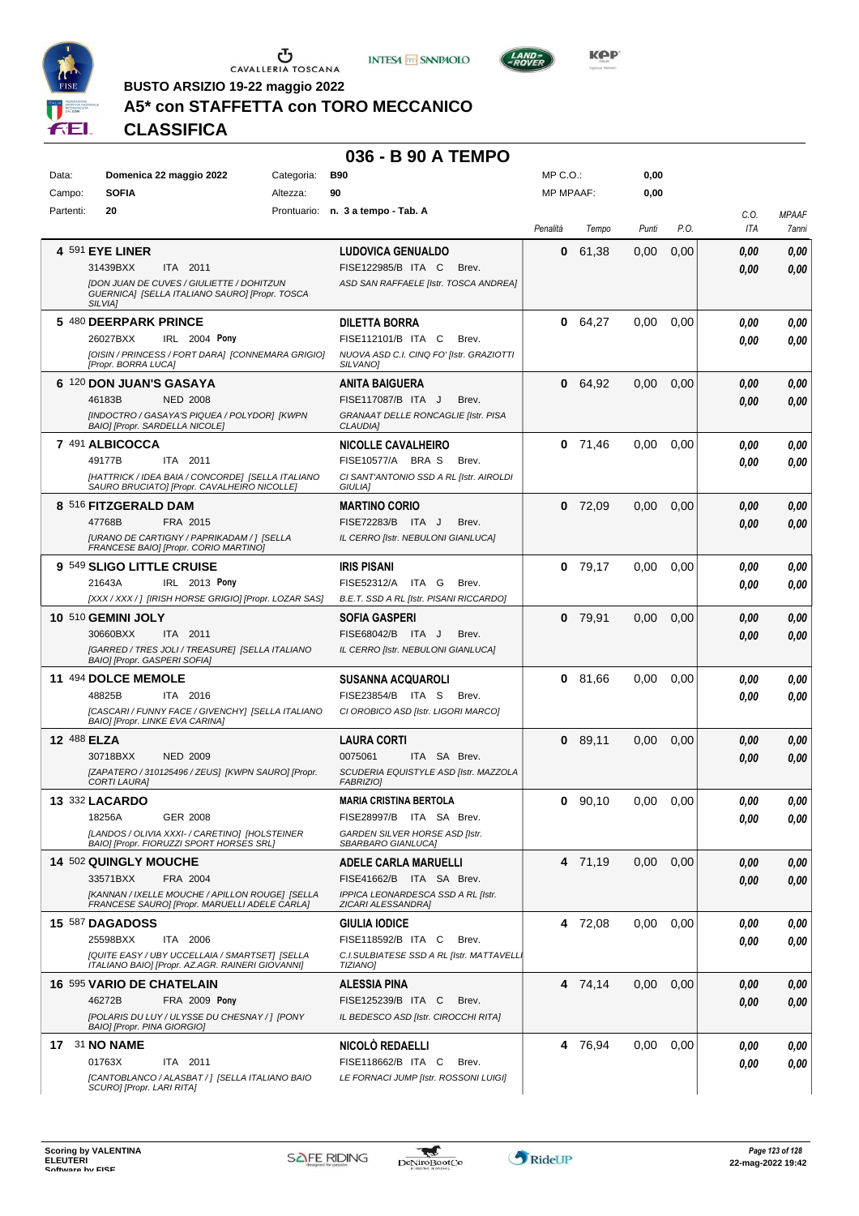





**BUSTO ARSIZIO 19-22 maggio 2022**

## **A5\* con STAFFETTA con TORO MECCANICO**

**CLASSIFICA**

#### **036 - B 90 A TEMPO**

| Data:       | Domenica 22 maggio 2022                                                                                                                                  | Categoria: | <b>B90</b>                                                                                                          | $MP C. O.$ :     |           | 0,00  |      |              |                       |
|-------------|----------------------------------------------------------------------------------------------------------------------------------------------------------|------------|---------------------------------------------------------------------------------------------------------------------|------------------|-----------|-------|------|--------------|-----------------------|
| Campo:      | <b>SOFIA</b>                                                                                                                                             | Altezza:   | 90                                                                                                                  | <b>MP MPAAF:</b> |           | 0,00  |      |              |                       |
| Partenti:   | 20                                                                                                                                                       |            | Prontuario: n. 3 a tempo - Tab. A                                                                                   | Penalità         | Tempo     | Punti | P.O. | C.O.<br>ITA  | <b>MPAAF</b><br>7anni |
|             | <b>4 591 EYE LINER</b><br>31439BXX<br>ITA 2011<br>[DON JUAN DE CUVES / GIULIETTE / DOHITZUN<br>GUERNICA] [SELLA ITALIANO SAURO] [Propr. TOSCA<br>SILVIA1 |            | <b>LUDOVICA GENUALDO</b><br>FISE122985/B ITA C<br>Brev.<br>ASD SAN RAFFAELE [Istr. TOSCA ANDREA]                    | 0                | 61,38     | 0,00  | 0,00 | 0.00<br>0.00 | 0,00<br>0,00          |
|             | 5 480 DEERPARK PRINCE<br>26027BXX<br>IRL 2004 Pony<br>[OISIN / PRINCESS / FORT DARA] [CONNEMARA GRIGIO]<br>[Propr. BORRA LUCA]                           |            | DILETTA BORRA<br>FISE112101/B ITA C<br>Brev.<br>NUOVA ASD C.I. CINQ FO' [Istr. GRAZIOTTI<br>SILVANO <sub>1</sub>    |                  | 0 64,27   | 0,00  | 0,00 | 0.00<br>0.00 | 0,00<br>0.00          |
|             | 6 120 DON JUAN'S GASAYA<br>46183B<br><b>NED 2008</b><br>[INDOCTRO / GASAYA'S PIQUEA / POLYDOR] [KWPN<br>BAIO] [Propr. SARDELLA NICOLE]                   |            | ANITA BAIGUERA<br>FISE117087/B ITA J<br>Brev.<br>GRANAAT DELLE RONCAGLIE [Istr. PISA<br><b>CLAUDIA]</b>             |                  | 0 64.92   | 0,00  | 0,00 | 0.00<br>0.00 | 0,00<br>0,00          |
|             | 7 491 ALBICOCCA<br>49177B<br>ITA 2011<br>[HATTRICK / IDEA BAIA / CONCORDE] [SELLA ITALIANO<br>SAURO BRUCIATO] [Propr. CAVALHEIRO NICOLLE]                |            | <b>NICOLLE CAVALHEIRO</b><br>FISE10577/A BRA S<br>Brev.<br>CI SANT'ANTONIO SSD A RL [Istr. AIROLDI<br>GIULIA]       |                  | $0$ 71,46 | 0,00  | 0,00 | 0.00<br>0.00 | 0,00<br>0.00          |
|             | 8 516 FITZGERALD DAM<br>FRA 2015<br>47768B<br><b>IURANO DE CARTIGNY / PAPRIKADAM / 1 [SELLA</b><br>FRANCESE BAIO] [Propr. CORIO MARTINO]                 |            | <b>MARTINO CORIO</b><br>FISE72283/B ITA J<br>Brev.<br>IL CERRO [Istr. NEBULONI GIANLUCA]                            |                  | $0$ 72,09 | 0,00  | 0,00 | 0.00<br>0.00 | 0,00<br>0,00          |
|             | 9 549 SLIGO LITTLE CRUISE<br>21643A<br>IRL 2013 Pony<br>[XXX / XXX /] [IRISH HORSE GRIGIO] [Propr. LOZAR SAS]                                            |            | <b>IRIS PISANI</b><br>FISE52312/A<br>ITA G<br>Brev.<br>B.E.T. SSD A RL [Istr. PISANI RICCARDO]                      |                  | $0$ 79,17 | 0,00  | 0,00 | 0.00<br>0.00 | 0,00<br>0.00          |
|             | 10 510 GEMINI JOLY<br>30660BXX<br>ITA 2011<br>[GARRED / TRES JOLI / TREASURE] [SELLA ITALIANO<br>BAIO] [Propr. GASPERI SOFIA]                            |            | <b>SOFIA GASPERI</b><br>FISE68042/B<br>ITA J<br>Brev.<br>IL CERRO [Istr. NEBULONI GIANLUCA]                         | 0                | 79,91     | 0,00  | 0,00 | 0.00<br>0.00 | 0,00<br>0.00          |
|             | 11 494 DOLCE MEMOLE<br>48825B<br>ITA 2016<br>ICASCARI / FUNNY FACE / GIVENCHY] [SELLA ITALIANO<br>BAIO] [Propr. LINKE EVA CARINA]                        |            | <b>SUSANNA ACQUAROLI</b><br>FISE23854/B ITA S<br>Brev.<br>CI OROBICO ASD [Istr. LIGORI MARCO]                       | 0                | 81,66     | 0,00  | 0,00 | 0.00<br>0.00 | 0,00<br>0.00          |
| 12 488 ELZA | 30718BXX<br><b>NED 2009</b><br>[ZAPATERO / 310125496 / ZEUS] [KWPN SAURO] [Propr.<br><b>CORTI LAURA]</b>                                                 |            | LAURA CORTI<br>0075061<br>ITA SA Brev.<br>SCUDERIA EQUISTYLE ASD [Istr. MAZZOLA<br><b>FABRIZIO]</b>                 |                  | 0 89,11   | 0,00  | 0,00 | 0.00<br>0.00 | 0,00<br>0,00          |
|             | 13 332 LACARDO<br>18256A<br>GER 2008<br>[LANDOS / OLIVIA XXXI- / CARETINO] [HOLSTEINER<br>BAIO] [Propr. FIORUZZI SPORT HORSES SRL]                       |            | <b>MARIA CRISTINA BERTOLA</b><br>FISE28997/B ITA SA Brev.<br>GARDEN SILVER HORSE ASD [Istr.<br>SBARBARO GIANLUCA]   |                  | $0$ 90,10 | 0,00  | 0,00 | 0.00<br>0,00 | 0.00<br>0,00          |
|             | 14 502 QUINGLY MOUCHE<br>33571BXX<br>FRA 2004<br>[KANNAN / IXELLE MOUCHE / APILLON ROUGE] [SELLA<br>FRANCESE SAURO] [Propr. MARUELLI ADELE CARLA]        |            | ADELE CARLA MARUELLI<br>FISE41662/B ITA SA Brev.<br>IPPICA LEONARDESCA SSD A RL [Istr.<br>ZICARI ALESSANDRA]        |                  | 4 71,19   | 0,00  | 0,00 | 0.00<br>0.00 | 0,00<br>0,00          |
|             | <b>15 587 DAGADOSS</b><br>25598BXX<br>ITA 2006<br>[QUITE EASY / UBY UCCELLAIA / SMARTSET] [SELLA<br>ITALIANO BAIO] [Propr. AZ.AGR. RAINERI GIOVANNI]     |            | <b>GIULIA IODICE</b><br>FISE118592/B ITA C<br>Brev.<br>C.I.SULBIATESE SSD A RL [Istr. MATTAVELLI<br><b>TIZIANO]</b> |                  | 4 72.08   | 0.00  | 0.00 | 0.00<br>0.00 | 0,00<br>0,00          |
|             | 16 595 VARIO DE CHATELAIN<br>FRA 2009 Pony<br>46272B<br>[POLARIS DU LUY / ULYSSE DU CHESNAY / ] [PONY<br>BAIO] [Propr. PINA GIORGIO]                     |            | ALESSIA PINA<br>FISE125239/B ITA C<br>Brev.<br>IL BEDESCO ASD [Istr. CIROCCHI RITA]                                 |                  | 4 74,14   | 0,00  | 0,00 | 0.00<br>0.00 | 0,00<br>0,00          |
|             | <b>17 31 NO NAME</b><br>01763X<br>ITA 2011<br>[CANTOBLANCO / ALASBAT / ] [SELLA ITALIANO BAIO<br>SCURO] [Propr. LARI RITA]                               |            | NICOLÒ REDAELLI<br>FISE118662/B ITA C<br>Brev.<br>LE FORNACI JUMP [Istr. ROSSONI LUIGI]                             |                  | 4 76,94   | 0,00  | 0,00 | 0.00<br>0.00 | 0,00<br>0,00          |

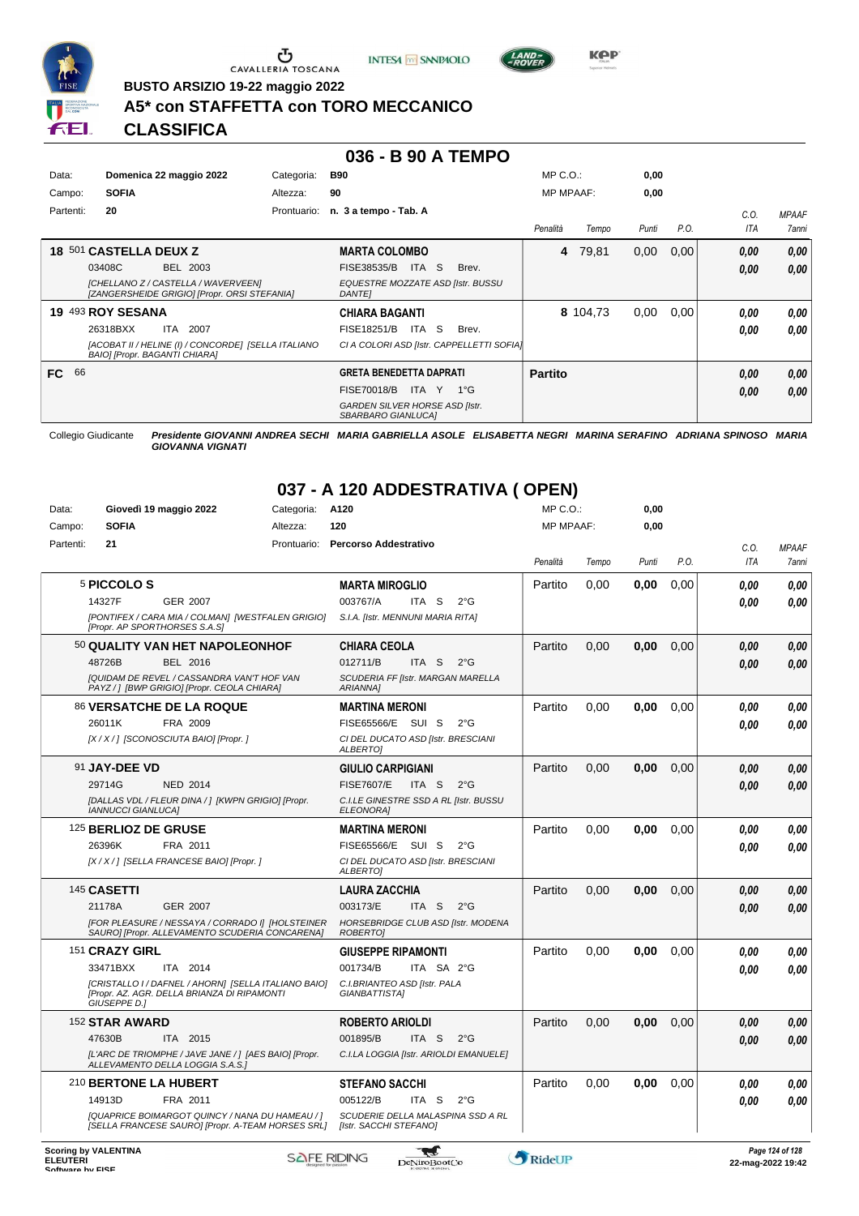

 $\sigma$  cavalleria toscana





**Kep** 

**BUSTO ARSIZIO 19-22 maggio 2022**

## **A5\* con STAFFETTA con TORO MECCANICO**

**CLASSIFICA**

#### **036 - B 90 A TEMPO**

| Data:     | Domenica 22 maggio 2022                                                              | Categoria:  | <b>B90</b>                                                  | $MP C. O.$ :     |          | 0,00  |      |      |                     |
|-----------|--------------------------------------------------------------------------------------|-------------|-------------------------------------------------------------|------------------|----------|-------|------|------|---------------------|
| Campo:    | <b>SOFIA</b>                                                                         | Altezza:    | 90                                                          | <b>MP MPAAF:</b> |          | 0,00  |      |      |                     |
| Partenti: | 20                                                                                   | Prontuario: | n. 3 a tempo - Tab. A                                       |                  |          |       |      | C.0. | <b>MPAAF</b>        |
|           |                                                                                      |             |                                                             | Penalità         | Tempo    | Punti | P.O. | ITA  | <i><b>7anni</b></i> |
|           | 18 501 CASTELLA DEUX Z                                                               |             | <b>MARTA COLOMBO</b>                                        | 4                | 79,81    | 0,00  | 0,00 | 0,00 | 0.00                |
|           | 03408C<br>BEL 2003                                                                   |             | ITA S<br>FISE38535/B<br>Brev.                               |                  |          |       |      | 0,00 | 0.00                |
|           | [CHELLANO Z / CASTELLA / WAVERVEEN]<br>[ZANGERSHEIDE GRIGIO] [Propr. ORSI STEFANIA]  |             | EQUESTRE MOZZATE ASD [Istr. BUSSU<br><b>DANTEI</b>          |                  |          |       |      |      |                     |
|           | 19 493 ROY SESANA                                                                    |             | <b>CHIARA BAGANTI</b>                                       |                  | 8 104,73 | 0,00  | 0,00 | 0.00 | 0.00                |
|           | 26318BXX<br>ITA 2007                                                                 |             | ITA S<br>FISE18251/B<br>Brev.                               |                  |          |       |      | 0,00 | 0.00                |
|           | [ACOBAT II / HELINE (I) / CONCORDE] [SELLA ITALIANO<br>BAIO] [Propr. BAGANTI CHIARA] |             | CI A COLORI ASD [Istr. CAPPELLETTI SOFIA]                   |                  |          |       |      |      |                     |
| 66<br>FC. |                                                                                      |             | <b>GRETA BENEDETTA DAPRATI</b>                              | <b>Partito</b>   |          |       |      | 0,00 | 0,00                |
|           |                                                                                      |             | <b>FISE70018/B</b><br>ITA Y<br>1°G                          |                  |          |       |      | 0,00 | 0.00                |
|           |                                                                                      |             | <b>GARDEN SILVER HORSE ASD [Istr.</b><br>SBARBARO GIANLUCAI |                  |          |       |      |      |                     |

Collegio Giudicante *Presidente GIOVANNI ANDREA SECHI MARIA GABRIELLA ASOLE ELISABETTA NEGRI MARINA SERAFINO ADRIANA SPINOSO MARIA GIOVANNA VIGNATI*

# **037 - A 120 ADDESTRATIVA ( OPEN)**

| Data:     | Giovedì 19 maggio 2022                                                                                              | Categoria:  | A120                                                        | $MP C. O.$ :     |       | 0,00  |      |      |              |
|-----------|---------------------------------------------------------------------------------------------------------------------|-------------|-------------------------------------------------------------|------------------|-------|-------|------|------|--------------|
| Campo:    | <b>SOFIA</b>                                                                                                        | Altezza:    | 120                                                         | <b>MP MPAAF:</b> |       | 0,00  |      |      |              |
| Partenti: | 21                                                                                                                  | Prontuario: | <b>Percorso Addestrativo</b>                                |                  |       |       |      | C.O. | <b>MPAAF</b> |
|           |                                                                                                                     |             |                                                             | Penalità         | Tempo | Punti | P.O. | ITA  | 7anni        |
|           | 5 PICCOLO S                                                                                                         |             | <b>MARTA MIROGLIO</b>                                       | Partito          | 0.00  | 0.00  | 0.00 | 0.00 | 0.00         |
|           | 14327F<br><b>GER 2007</b>                                                                                           |             | 003767/A<br>$2^{\circ}$ G<br>ITA S                          |                  |       |       |      | 0.00 | 0.00         |
|           | [PONTIFEX / CARA MIA / COLMAN] [WESTFALEN GRIGIO]<br>[Propr. AP SPORTHORSES S.A.S]                                  |             | S.I.A. [Istr. MENNUNI MARIA RITA]                           |                  |       |       |      |      |              |
|           | 50 QUALITY VAN HET NAPOLEONHOF                                                                                      |             | CHIARA CEOLA                                                | Partito          | 0.00  | 0.00  | 0.00 | 0.00 | 0.00         |
|           | 48726B<br>BEL 2016                                                                                                  |             | 012711/B<br>ITA <sub>S</sub><br>$2^{\circ}$ G               |                  |       |       |      | 0,00 | 0,00         |
|           | <b>IQUIDAM DE REVEL / CASSANDRA VAN'T HOF VAN</b><br>PAYZ / ] [BWP GRIGIO] [Propr. CEOLA CHIARA]                    |             | SCUDERIA FF [Istr. MARGAN MARELLA<br>ARIANNA1               |                  |       |       |      |      |              |
|           | <b>86 VERSATCHE DE LA ROQUE</b>                                                                                     |             | <b>MARTINA MERONI</b>                                       | Partito          | 0,00  | 0,00  | 0,00 | 0.00 | 0,00         |
|           | FRA 2009<br>26011K                                                                                                  |             | FISE65566/E SUI S<br>$2^{\circ}$ G                          |                  |       |       |      | 0.00 | 0.00         |
|           | [X / X / ] [SCONOSCIUTA BAIO] [Propr. ]                                                                             |             | CI DEL DUCATO ASD [Istr. BRESCIANI<br><b>ALBERTOI</b>       |                  |       |       |      |      |              |
|           | 91 JAY-DEE VD                                                                                                       |             | <b>GIULIO CARPIGIANI</b>                                    | Partito          | 0,00  | 0,00  | 0.00 | 0,00 | 0,00         |
|           | 29714G<br><b>NED 2014</b>                                                                                           |             | <b>FISE7607/E</b><br>ITA S<br>$2^{\circ}$ G                 |                  |       |       |      | 0.00 | 0.00         |
|           | [DALLAS VDL / FLEUR DINA / ] [KWPN GRIGIO] [Propr.<br><b>IANNUCCI GIANLUCA]</b>                                     |             | C.I.LE GINESTRE SSD A RL [Istr. BUSSU<br>ELEONORA]          |                  |       |       |      |      |              |
|           | 125 BERLIOZ DE GRUSE                                                                                                |             | <b>MARTINA MERONI</b>                                       | Partito          | 0,00  | 0,00  | 0,00 | 0.00 | 0.00         |
|           | 26396K<br>FRA 2011                                                                                                  |             | FISE65566/E SUI S<br>$2^{\circ}$ G                          |                  |       |       |      | 0.00 | 0.00         |
|           | [X / X / ] [SELLA FRANCESE BAIO] [Propr. ]                                                                          |             | CI DEL DUCATO ASD [Istr. BRESCIANI<br><b>ALBERTOI</b>       |                  |       |       |      |      |              |
|           | 145 CASETTI                                                                                                         |             | <b>LAURA ZACCHIA</b>                                        | Partito          | 0.00  | 0.00  | 0.00 | 0.00 | 0.00         |
|           | 21178A<br><b>GER 2007</b>                                                                                           |             | 003173/E<br>ITA S<br>$2^{\circ}$ G                          |                  |       |       |      | 0,00 | 0,00         |
|           | [FOR PLEASURE / NESSAYA / CORRADO I] [HOLSTEINER<br>SAURO] [Propr. ALLEVAMENTO SCUDERIA CONCARENA]                  |             | HORSEBRIDGE CLUB ASD [Istr. MODENA<br><b>ROBERTOI</b>       |                  |       |       |      |      |              |
|           | 151 CRAZY GIRL                                                                                                      |             | <b>GIUSEPPE RIPAMONTI</b>                                   | Partito          | 0.00  | 0.00  | 0.00 | 0.00 | 0.00         |
|           | 33471BXX<br>ITA 2014                                                                                                |             | 001734/B<br>ITA SA 2°G                                      |                  |       |       |      | 0.00 | 0,00         |
|           | [CRISTALLO I / DAFNEL / AHORN] [SELLA ITALIANO BAIO]<br>[Propr. AZ. AGR. DELLA BRIANZA DI RIPAMONTI<br>GIUSEPPE D.1 |             | C.I.BRIANTEO ASD [Istr. PALA<br>GIANBATTISTA]               |                  |       |       |      |      |              |
|           | 152 STAR AWARD                                                                                                      |             | <b>ROBERTO ARIOLDI</b>                                      | Partito          | 0.00  | 0,00  | 0,00 | 0.00 | 0,00         |
|           | ITA 2015<br>47630B                                                                                                  |             | 001895/B<br>ITA S<br>$2^{\circ}$ G                          |                  |       |       |      | 0.00 | 0.00         |
|           | [L'ARC DE TRIOMPHE / JAVE JANE / ] [AES BAIO] [Propr.<br>ALLEVAMENTO DELLA LOGGIA S.A.S.]                           |             | C.I.LA LOGGIA [Istr. ARIOLDI EMANUELE]                      |                  |       |       |      |      |              |
|           | 210 BERTONE LA HUBERT                                                                                               |             | <b>STEFANO SACCHI</b>                                       | Partito          | 0.00  | 0.00  | 0.00 | 0.00 | 0.00         |
|           | 14913D<br>FRA 2011                                                                                                  |             | 005122/B<br>ITA S<br>$2^{\circ}$ G                          |                  |       |       |      | 0,00 | 0.00         |
|           | [QUAPRICE BOIMARGOT QUINCY / NANA DU HAMEAU / ]<br>[SELLA FRANCESE SAURO] [Propr. A-TEAM HORSES SRL]                |             | SCUDERIE DELLA MALASPINA SSD A RL<br>[Istr. SACCHI STEFANO] |                  |       |       |      |      |              |
|           |                                                                                                                     |             |                                                             |                  |       |       |      |      |              |

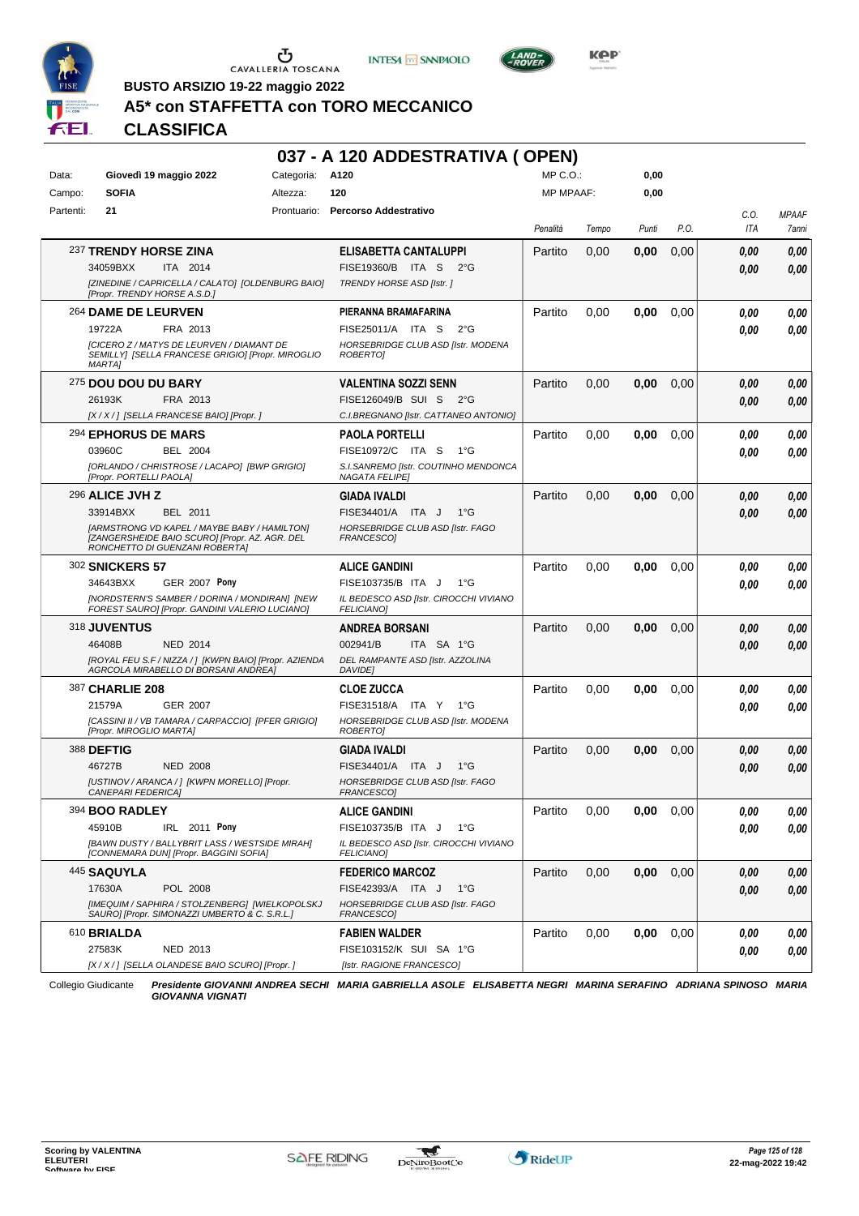





**Kep** 

**BUSTO ARSIZIO 19-22 maggio 2022**

## **A5\* con STAFFETTA con TORO MECCANICO**

## **CLASSIFICA**

| 037 - A 120 ADDESTRATIVA (OPEN) |                                  |                                                                                                                                  |                 |                                                               |                  |       |       |      |             |                       |
|---------------------------------|----------------------------------|----------------------------------------------------------------------------------------------------------------------------------|-----------------|---------------------------------------------------------------|------------------|-------|-------|------|-------------|-----------------------|
| Data:                           |                                  | Giovedì 19 maggio 2022                                                                                                           | Categoria: A120 |                                                               | MP C.O.:         |       | 0,00  |      |             |                       |
| Campo:                          | <b>SOFIA</b>                     |                                                                                                                                  | Altezza:        | 120                                                           | <b>MP MPAAF:</b> |       | 0,00  |      |             |                       |
| Partenti:                       | 21                               |                                                                                                                                  |                 | Prontuario: Percorso Addestrativo                             | Penalità         | Tempo | Punti | P.O. | C.O.<br>ITA | <b>MPAAF</b><br>7anni |
|                                 |                                  |                                                                                                                                  |                 |                                                               |                  |       |       |      |             |                       |
|                                 | 237 TRENDY HORSE ZINA            |                                                                                                                                  |                 | ELISABETTA CANTALUPPI                                         | Partito          | 0.00  | 0,00  | 0,00 | 0.00        | 0,00                  |
|                                 | 34059BXX                         | <b>ITA 2014</b><br>[ZINEDINE / CAPRICELLA / CALATO] [OLDENBURG BAIO]                                                             |                 | FISE19360/B ITA S<br>$2^{\circ}G$<br>TRENDY HORSE ASD [Istr.] |                  |       |       |      | 0.00        | 0,00                  |
|                                 | [Propr. TRENDY HORSE A.S.D.]     |                                                                                                                                  |                 |                                                               |                  |       |       |      |             |                       |
|                                 | 264 DAME DE LEURVEN              |                                                                                                                                  |                 | PIERANNA BRAMAFARINA                                          | Partito          | 0.00  | 0,00  | 0,00 | 0.00        | 0,00                  |
|                                 | 19722A                           | FRA 2013                                                                                                                         |                 | FISE25011/A ITA S<br>$2^{\circ}$ G                            |                  |       |       |      | 0.00        | 0.00                  |
|                                 | <b>MARTA1</b>                    | [CICERO Z / MATYS DE LEURVEN / DIAMANT DE<br>SEMILLY] [SELLA FRANCESE GRIGIO] [Propr. MIROGLIO                                   |                 | HORSEBRIDGE CLUB ASD [Istr. MODENA<br>ROBERTO]                |                  |       |       |      |             |                       |
|                                 | 275 DOU DOU DU BARY              |                                                                                                                                  |                 | <b>VALENTINA SOZZI SENN</b>                                   | Partito          | 0.00  | 0,00  | 0,00 | 0.00        | 0,00                  |
|                                 | 26193K                           | FRA 2013                                                                                                                         |                 | FISE126049/B SUI S 2°G                                        |                  |       |       |      | 0.00        | 0,00                  |
|                                 |                                  | [X / X / ] [SELLA FRANCESE BAIO] [Propr. ]                                                                                       |                 | C.I.BREGNANO [Istr. CATTANEO ANTONIO]                         |                  |       |       |      |             |                       |
|                                 | 294 EPHORUS DE MARS              |                                                                                                                                  |                 | <b>PAOLA PORTELLI</b>                                         | Partito          | 0,00  | 0,00  | 0,00 | 0.00        | 0,00                  |
|                                 | 03960C                           | BEL 2004                                                                                                                         |                 | FISE10972/C ITA S<br>$1^{\circ}G$                             |                  |       |       |      | 0.00        | 0.00                  |
|                                 | [Propr. PORTELLI PAOLA]          | [ORLANDO / CHRISTROSE / LACAPO] [BWP GRIGIO]                                                                                     |                 | S.I.SANREMO [Istr. COUTINHO MENDONCA<br><b>NAGATA FELIPE]</b> |                  |       |       |      |             |                       |
|                                 | 296 ALICE JVH Z                  |                                                                                                                                  |                 | <b>GIADA IVALDI</b>                                           | Partito          | 0,00  | 0,00  | 0,00 | 0.00        | 0,00                  |
|                                 | 33914BXX                         | BEL 2011                                                                                                                         |                 | FISE34401/A ITA J<br>$1^{\circ}G$                             |                  |       |       |      | 0.00        | 0,00                  |
|                                 |                                  | [ARMSTRONG VD KAPEL / MAYBE BABY / HAMILTON]<br>[ZANGERSHEIDE BAIO SCURO] [Propr. AZ. AGR. DEL<br>RONCHETTO DI GUENZANI ROBERTA] |                 | HORSEBRIDGE CLUB ASD [Istr. FAGO<br><b>FRANCESCOI</b>         |                  |       |       |      |             |                       |
|                                 | <b>302 SNICKERS 57</b>           |                                                                                                                                  |                 | <b>ALICE GANDINI</b>                                          | Partito          | 0,00  | 0,00  | 0,00 | 0.00        | 0,00                  |
|                                 | 34643BXX                         | <b>GER 2007 Pony</b>                                                                                                             |                 | FISE103735/B ITA J<br>$1^{\circ}G$                            |                  |       |       |      | 0.00        | 0.00                  |
|                                 |                                  | [NORDSTERN'S SAMBER / DORINA / MONDIRAN] [NEW<br>FOREST SAURO] [Propr. GANDINI VALERIO LUCIANO]                                  |                 | IL BEDESCO ASD [Istr. CIROCCHI VIVIANO<br>FELICIANO]          |                  |       |       |      |             |                       |
|                                 | 318 JUVENTUS                     |                                                                                                                                  |                 | <b>ANDREA BORSANI</b>                                         | Partito          | 0.00  | 0,00  | 0,00 | 0.00        | 0,00                  |
|                                 | 46408B                           | <b>NED 2014</b>                                                                                                                  |                 | 002941/B<br>ITA SA 1°G                                        |                  |       |       |      | 0.00        | 0,00                  |
|                                 |                                  | [ROYAL FEU S.F / NIZZA / ] [KWPN BAIO] [Propr. AZIENDA<br>AGRCOLA MIRABELLO DI BORSANI ANDREA]                                   |                 | DEL RAMPANTE ASD [Istr. AZZOLINA<br>DAVIDE]                   |                  |       |       |      |             |                       |
|                                 | 387 CHARLIE 208                  |                                                                                                                                  |                 | <b>CLOE ZUCCA</b>                                             | Partito          | 0.00  | 0,00  | 0,00 | 0.00        | 0,00                  |
|                                 | 21579A                           | <b>GER 2007</b>                                                                                                                  |                 | FISE31518/A ITA Y<br>1°G                                      |                  |       |       |      | 0.00        | 0.00                  |
|                                 | [Propr. MIROGLIO MARTA]          | [CASSINI II / VB TAMARA / CARPACCIO] [PFER GRIGIO]                                                                               |                 | HORSEBRIDGE CLUB ASD [Istr. MODENA<br><b>ROBERTOJ</b>         |                  |       |       |      |             |                       |
|                                 | <b>388 DEFTIG</b>                |                                                                                                                                  |                 | <b>GIADA IVALDI</b>                                           | Partito          | 0,00  | 0,00  | 0,00 | 0.00        | 0,00                  |
|                                 | 46727B                           | <b>NED 2008</b>                                                                                                                  |                 | FISE34401/A ITA J<br>$1^{\circ}G$                             |                  |       |       |      | 0.00        | 0,00                  |
|                                 | <i><b>CANEPARI FEDERICAI</b></i> | [USTINOV / ARANCA / ] [KWPN MORELLO] [Propr.                                                                                     |                 | HORSEBRIDGE CLUB ASD [Istr. FAGO<br>FRANCESCOJ                |                  |       |       |      |             |                       |
|                                 | 394 BOO RADLEY                   |                                                                                                                                  |                 | <b>ALICE GANDINI</b>                                          | Partito          | 0,00  | 0,00  | 0,00 | 0,00        | 0,00                  |
|                                 | 45910B                           | IRL 2011 Pony                                                                                                                    |                 | FISE103735/B ITA J<br>1°G                                     |                  |       |       |      | 0,00        | 0.00                  |
|                                 |                                  | [BAWN DUSTY / BALLYBRIT LASS / WESTSIDE MIRAH]<br>[CONNEMARA DUN] [Propr. BAGGINI SOFIA]                                         |                 | IL BEDESCO ASD [Istr. CIROCCHI VIVIANO<br><b>FELICIANO]</b>   |                  |       |       |      |             |                       |
|                                 | 445 SAQUYLA                      |                                                                                                                                  |                 | <b>FEDERICO MARCOZ</b>                                        | Partito          | 0,00  | 0,00  | 0,00 | 0,00        | 0,00                  |
|                                 | 17630A                           | POL 2008                                                                                                                         |                 | FISE42393/A ITA J<br>$1^{\circ}$ G                            |                  |       |       |      | 0,00        | 0,00                  |
|                                 |                                  | [IMEQUIM / SAPHIRA / STOLZENBERG] [WIELKOPOLSKJ<br>SAURO] [Propr. SIMONAZZI UMBERTO & C. S.R.L.]                                 |                 | HORSEBRIDGE CLUB ASD [Istr. FAGO<br>FRANCESCO]                |                  |       |       |      |             |                       |
|                                 | 610 BRIALDA                      |                                                                                                                                  |                 | <b>FABIEN WALDER</b>                                          | Partito          | 0,00  | 0,00  | 0,00 | 0.00        | 0,00                  |
|                                 | 27583K                           | NED 2013                                                                                                                         |                 | FISE103152/K SUI SA 1°G                                       |                  |       |       |      | 0,00        | 0,00                  |
|                                 |                                  | [X / X / ] [SELLA OLANDESE BAIO SCURO] [Propr. ]                                                                                 |                 | [Istr. RAGIONE FRANCESCO]                                     |                  |       |       |      |             |                       |

Collegio Giudicante *Presidente GIOVANNI ANDREA SECHI MARIA GABRIELLA ASOLE ELISABETTA NEGRI MARINA SERAFINO ADRIANA SPINOSO MARIA GIOVANNA VIGNATI*

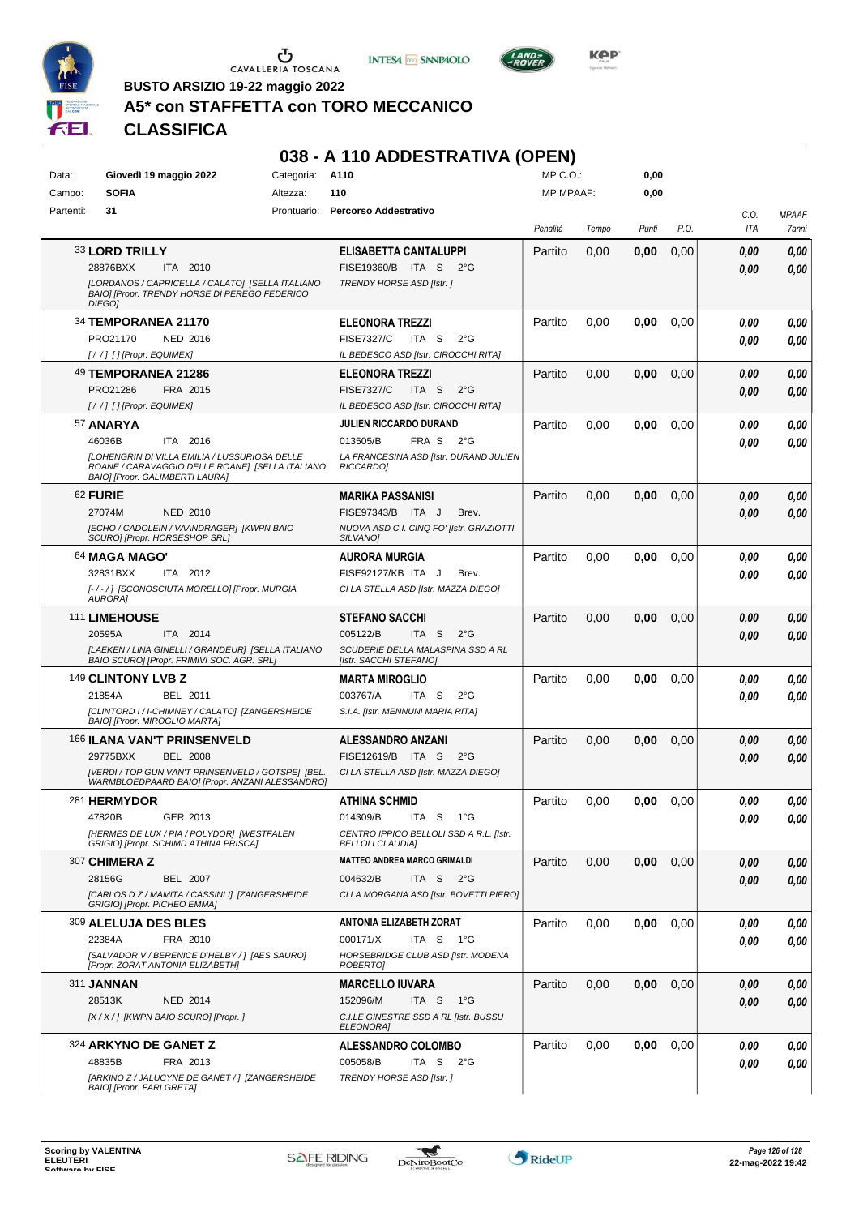





**BUSTO ARSIZIO 19-22 maggio 2022**

# **A5\* con STAFFETTA con TORO MECCANICO**

## **CLASSIFICA**

|           |                                                                                                                    |                 | 038 - A 110 ADDESTRATIVA (OPEN)                                             |                  |       |       |      |              |              |
|-----------|--------------------------------------------------------------------------------------------------------------------|-----------------|-----------------------------------------------------------------------------|------------------|-------|-------|------|--------------|--------------|
| Data:     | Giovedì 19 maggio 2022                                                                                             | Categoria: A110 |                                                                             | $MP C. O.$ :     |       | 0,00  |      |              |              |
| Campo:    | <b>SOFIA</b>                                                                                                       | Altezza:        | 110                                                                         | <b>MP MPAAF:</b> |       | 0,00  |      |              |              |
| Partenti: | 31                                                                                                                 |                 | Prontuario: Percorso Addestrativo                                           |                  |       |       |      | C.O.         | <b>MPAAF</b> |
|           |                                                                                                                    |                 |                                                                             | Penalità         | Tempo | Punti | P.O. | ITA          | 7anni        |
|           | 33 LORD TRILLY                                                                                                     |                 | ELISABETTA CANTALUPPI                                                       | Partito          | 0,00  | 0.00  | 0,00 | 0.00         | 0,00         |
|           | 28876BXX<br>ITA 2010                                                                                               |                 | FISE19360/B ITA S<br>$2^{\circ}G$                                           |                  |       |       |      | 0.00         | 0,00         |
|           | [LORDANOS / CAPRICELLA / CALATO] [SELLA ITALIANO<br>BAIO] [Propr. TRENDY HORSE DI PEREGO FEDERICO<br><b>DIEGOI</b> |                 | TRENDY HORSE ASD [Istr.]                                                    |                  |       |       |      |              |              |
|           | 34 TEMPORANEA 21170                                                                                                |                 | <b>ELEONORA TREZZI</b>                                                      | Partito          | 0,00  | 0,00  | 0.00 | 0.00         | 0,00         |
|           | PRO21170<br><b>NED 2016</b>                                                                                        |                 | ITA <sub>S</sub><br><b>FISE7327/C</b><br>$2^{\circ}$ G                      |                  |       |       |      | 0.00         | 0,00         |
|           | [/ /] [] [Propr. EQUIMEX]                                                                                          |                 | IL BEDESCO ASD [Istr. CIROCCHI RITA]                                        |                  |       |       |      |              |              |
|           | 49 TEMPORANEA 21286                                                                                                |                 | <b>ELEONORA TREZZI</b>                                                      | Partito          | 0,00  | 0,00  | 0,00 | 0,00         | 0,00         |
|           | PRO21286<br>FRA 2015                                                                                               |                 | <b>FISE7327/C</b><br>ITA S<br>$2^{\circ}$ G                                 |                  |       |       |      | 0.00         | 0,00         |
|           | [//] [] [Propr. EQUIMEX]                                                                                           |                 | IL BEDESCO ASD [Istr. CIROCCHI RITA]                                        |                  |       |       |      |              |              |
|           | 57 ANARYA                                                                                                          |                 | <b>JULIEN RICCARDO DURAND</b>                                               | Partito          | 0,00  | 0,00  | 0,00 | 0.00         | 0,00         |
|           | 46036B<br>ITA 2016<br>[LOHENGRIN DI VILLA EMILIA / LUSSURIOSA DELLE                                                |                 | 013505/B<br>FRA S<br>$2^{\circ}G$<br>LA FRANCESINA ASD [Istr. DURAND JULIEN |                  |       |       |      | 0.00         | 0,00         |
|           | ROANE / CARAVAGGIO DELLE ROANE] [SELLA ITALIANO<br>BAIO] [Propr. GALIMBERTI LAURA]                                 |                 | <b>RICCARDOI</b>                                                            |                  |       |       |      |              |              |
|           | 62 FURIE                                                                                                           |                 | <b>MARIKA PASSANISI</b>                                                     | Partito          | 0,00  | 0,00  | 0,00 | 0.00         | 0,00         |
|           | 27074M<br><b>NED 2010</b>                                                                                          |                 | FISE97343/B ITA J<br>Brev.                                                  |                  |       |       |      | 0.00         | 0,00         |
|           | [ECHO / CADOLEIN / VAANDRAGER] [KWPN BAIO<br>SCURO] [Propr. HORSESHOP SRL]                                         |                 | NUOVA ASD C.I. CINQ FO' [Istr. GRAZIOTTI<br><b>SILVANOI</b>                 |                  |       |       |      |              |              |
|           | 64 MAGA MAGO'                                                                                                      |                 | <b>AURORA MURGIA</b>                                                        | Partito          | 0,00  | 0,00  | 0.00 | 0,00         | 0,00         |
|           | 32831BXX<br>ITA 2012                                                                                               |                 | FISE92127/KB ITA J<br>Brev.                                                 |                  |       |       |      | 0.00         | 0,00         |
|           | [-/-/] [SCONOSCIUTA MORELLO] [Propr. MURGIA<br><b>AURORAI</b>                                                      |                 | CI LA STELLA ASD [Istr. MAZZA DIEGO]                                        |                  |       |       |      |              |              |
|           | 111 LIMEHOUSE                                                                                                      |                 | <b>STEFANO SACCHI</b>                                                       | Partito          | 0,00  | 0,00  | 0,00 |              |              |
|           | 20595A<br>ITA 2014                                                                                                 |                 | 005122/B<br>ITA S<br>$2^{\circ}$ G                                          |                  |       |       |      | 0,00<br>0.00 | 0,00<br>0,00 |
|           | [LAEKEN / LINA GINELLI / GRANDEUR] [SELLA ITALIANO                                                                 |                 | SCUDERIE DELLA MALASPINA SSD A RL                                           |                  |       |       |      |              |              |
|           | BAIO SCURO] [Propr. FRIMIVI SOC. AGR. SRL]                                                                         |                 | [Istr. SACCHI STEFANO]                                                      |                  |       |       |      |              |              |
|           | 149 CLINTONY LVB Z                                                                                                 |                 | <b>MARTA MIROGLIO</b>                                                       | Partito          | 0,00  | 0,00  | 0.00 | 0.00         | 0,00         |
|           | 21854A<br>BEL 2011                                                                                                 |                 | 003767/A<br>ITA S<br>$2^{\circ}$ G                                          |                  |       |       |      | 0.00         | 0,00         |
|           | [CLINTORD I / I-CHIMNEY / CALATO] [ZANGERSHEIDE<br>BAIO] [Propr. MIROGLIO MARTA]                                   |                 | S.I.A. [Istr. MENNUNI MARIA RITA]                                           |                  |       |       |      |              |              |
|           | 166 ILANA VAN'T PRINSENVELD                                                                                        |                 | <b>ALESSANDRO ANZANI</b>                                                    | Partito          | 0,00  | 0,00  | 0,00 | 0,00         | 0,00         |
|           | 29775BXX<br><b>BEL 2008</b>                                                                                        |                 | FISE12619/B ITA S<br>$2^{\circ}G$                                           |                  |       |       |      | 0.00         | 0,00         |
|           | [VERDI / TOP GUN VAN'T PRINSENVELD / GOTSPE] [BEL.<br>WARMBLOEDPAARD BAIO] [Propr. ANZANI ALESSANDRO]              |                 | CI LA STELLA ASD [Istr. MAZZA DIEGO]                                        |                  |       |       |      |              |              |
|           | 281 HERMYDOR                                                                                                       |                 | <b>ATHINA SCHMID</b>                                                        | Partito          | 0,00  | 0,00  | 0,00 | 0,00         | 0,00         |
|           | 47820B<br>GER 2013                                                                                                 |                 | 014309/B<br>ITA S<br>1°G                                                    |                  |       |       |      | 0.00         | 0,00         |
|           | [HERMES DE LUX / PIA / POLYDOR] [WESTFALEN<br>GRIGIO] [Propr. SCHIMD ATHINA PRISCA]                                |                 | CENTRO IPPICO BELLOLI SSD A R.L. [Istr.<br><b>BELLOLI CLAUDIA]</b>          |                  |       |       |      |              |              |
|           | 307 CHIMERA Z                                                                                                      |                 | <b>MATTEO ANDREA MARCO GRIMALDI</b>                                         | Partito          | 0,00  | 0,00  | 0,00 | 0,00         | 0,00         |
|           | 28156G<br>BEL 2007                                                                                                 |                 | 004632/B<br>ITA S $2^{\circ}G$                                              |                  |       |       |      | 0.00         | 0,00         |
|           | [CARLOS D Z / MAMITA / CASSINI I] [ZANGERSHEIDE<br>GRIGIO] [Propr. PICHEO EMMA]                                    |                 | CI LA MORGANA ASD [Istr. BOVETTI PIERO]                                     |                  |       |       |      |              |              |
|           | 309 ALELUJA DES BLES                                                                                               |                 | ANTONIA ELIZABETH ZORAT                                                     | Partito          | 0,00  | 0,00  | 0,00 | 0.00         | 0,00         |
|           | 22384A<br>FRA 2010                                                                                                 |                 | 000171/X<br>ITA <sub>S</sub><br>1°G                                         |                  |       |       |      | 0.00         | 0,00         |
|           | [SALVADOR V / BERENICE D'HELBY / ] [AES SAURO]<br>[Propr. ZORAT ANTONIA ELIZABETH]                                 |                 | HORSEBRIDGE CLUB ASD [Istr. MODENA<br><b>ROBERTOI</b>                       |                  |       |       |      |              |              |
|           | 311 <b>JANNAN</b>                                                                                                  |                 | <b>MARCELLO IUVARA</b>                                                      | Partito          | 0,00  | 0,00  | 0,00 | 0,00         | 0,00         |
|           | 28513K<br><b>NED 2014</b>                                                                                          |                 | 152096/M<br>ITA S<br>1°G                                                    |                  |       |       |      | 0,00         | 0,00         |
|           | [X / X / ] [KWPN BAIO SCURO] [Propr. ]                                                                             |                 | C.I.LE GINESTRE SSD A RL [Istr. BUSSU<br>ELEONORA]                          |                  |       |       |      |              |              |
|           | 324 ARKYNO DE GANET Z                                                                                              |                 | <b>ALESSANDRO COLOMBO</b>                                                   | Partito          | 0,00  | 0,00  | 0,00 | 0.00         | 0,00         |
|           | 48835B<br>FRA 2013                                                                                                 |                 | ITA S 2°G<br>005058/B                                                       |                  |       |       |      | 0,00         | 0,00         |
|           | [ARKINO Z / JALUCYNE DE GANET / ] [ZANGERSHEIDE<br>BAIO] [Propr. FARI GRETA]                                       |                 | TRENDY HORSE ASD [Istr.]                                                    |                  |       |       |      |              |              |

$$
\overline{\text{ot}}_{\text{co}} \qquad \qquad \bigg(
$$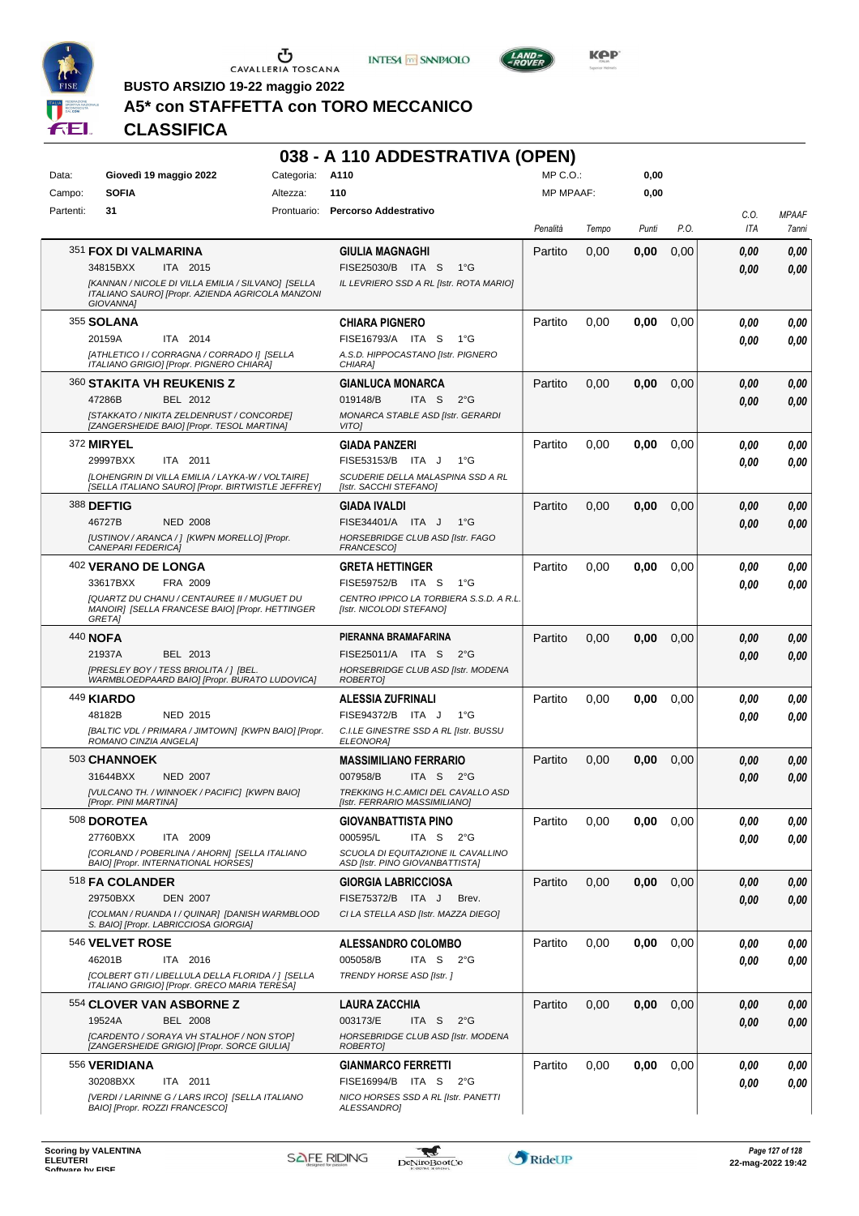





**Kep** 

**BUSTO ARSIZIO 19-22 maggio 2022**

## **A5\* con STAFFETTA con TORO MECCANICO**

## **CLASSIFICA**

|           |                                                                                                                            |            | 038 - A 110 ADDESTRATIVA (OPEN)                                       |                  |       |       |      |             |                       |
|-----------|----------------------------------------------------------------------------------------------------------------------------|------------|-----------------------------------------------------------------------|------------------|-------|-------|------|-------------|-----------------------|
| Data:     | Giovedì 19 maggio 2022                                                                                                     | Categoria: | A110                                                                  | MP C.O.:         |       | 0,00  |      |             |                       |
| Campo:    | <b>SOFIA</b>                                                                                                               | Altezza:   | 110                                                                   | <b>MP MPAAF:</b> |       | 0,00  |      |             |                       |
| Partenti: | 31                                                                                                                         |            | Prontuario: Percorso Addestrativo                                     | Penalità         | Tempo | Punti | P.O. | C.O.<br>ITA | <b>MPAAF</b><br>7anni |
|           | 351 <b>FOX DI VALMARINA</b>                                                                                                |            | <b>GIULIA MAGNAGHI</b>                                                | Partito          | 0,00  | 0,00  | 0,00 | 0.00        | 0,00                  |
|           | 34815BXX<br>ITA 2015                                                                                                       |            | FISE25030/B ITA S<br>$1^{\circ}G$                                     |                  |       |       |      | 0.00        | 0,00                  |
|           | [KANNAN / NICOLE DI VILLA EMILIA / SILVANO] [SELLA<br>ITALIANO SAURO] [Propr. AZIENDA AGRICOLA MANZONI<br><b>GIOVANNAI</b> |            | IL LEVRIERO SSD A RL [Istr. ROTA MARIO]                               |                  |       |       |      |             |                       |
|           | 355 SOLANA                                                                                                                 |            | <b>CHIARA PIGNERO</b>                                                 | Partito          | 0,00  | 0,00  | 0,00 | 0.00        | 0,00                  |
|           | ITA 2014<br>20159A                                                                                                         |            | FISE16793/A ITA S<br>$1^{\circ}G$                                     |                  |       |       |      | 0.00        | 0,00                  |
|           | [ATHLETICO I / CORRAGNA / CORRADO I] [SELLA<br>ITALIANO GRIGIO] [Propr. PIGNERO CHIARA]                                    |            | A.S.D. HIPPOCASTANO [Istr. PIGNERO<br>CHIARA1                         |                  |       |       |      |             |                       |
|           | 360 STAKITA VH REUKENIS Z                                                                                                  |            | <b>GIANLUCA MONARCA</b>                                               | Partito          | 0,00  | 0,00  | 0,00 | 0,00        | 0,00                  |
|           | 47286B<br>BEL 2012                                                                                                         |            | ITA <sub>S</sub><br>019148/B<br>$2^{\circ}$ G                         |                  |       |       |      | 0,00        | 0,00                  |
|           | [STAKKATO / NIKITA ZELDENRUST / CONCORDE]<br>[ZANGERSHEIDE BAIO] [Propr. TESOL MARTINA]                                    |            | MONARCA STABLE ASD [Istr. GERARDI<br>VITO]                            |                  |       |       |      |             |                       |
|           | 372 MIRYEL                                                                                                                 |            | GIADA PANZERI                                                         | Partito          | 0,00  | 0,00  | 0,00 | 0.00        | 0,00                  |
|           | 29997BXX<br>ITA 2011                                                                                                       |            | FISE53153/B ITA J<br>1°G                                              |                  |       |       |      | 0.00        | 0,00                  |
|           | [LOHENGRIN DI VILLA EMILIA / LAYKA-W / VOLTAIRE]<br>[SELLA ITALIANO SAURO] [Propr. BIRTWISTLE JEFFREY]                     |            | SCUDERIE DELLA MALASPINA SSD A RL<br>[Istr. SACCHI STEFANO]           |                  |       |       |      |             |                       |
|           | <b>388 DEFTIG</b>                                                                                                          |            | <b>GIADA IVALDI</b>                                                   | Partito          | 0,00  | 0,00  | 0,00 | 0,00        | 0,00                  |
|           | 46727B<br><b>NED 2008</b>                                                                                                  |            | FISE34401/A ITA J<br>1°G                                              |                  |       |       |      | 0,00        | 0,00                  |
|           | [USTINOV / ARANCA / ] [KWPN MORELLO] [Propr.<br><b>CANEPARI FEDERICA]</b>                                                  |            | HORSEBRIDGE CLUB ASD [Istr. FAGO<br>FRANCESCO]                        |                  |       |       |      |             |                       |
|           | <sup>402</sup> VERANO DE LONGA                                                                                             |            | <b>GRETA HETTINGER</b>                                                | Partito          | 0,00  | 0,00  | 0,00 | 0.00        | 0,00                  |
|           | 33617BXX<br>FRA 2009                                                                                                       |            | FISE59752/B ITA S<br>1°G                                              |                  |       |       |      | 0.00        | 0.00                  |
|           | [QUARTZ DU CHANU / CENTAUREE II / MUGUET DU                                                                                |            | CENTRO IPPICO LA TORBIERA S.S.D. A R.L.                               |                  |       |       |      |             |                       |
|           | MANOIR] [SELLA FRANCESE BAIO] [Propr. HETTINGER<br>GRETA]                                                                  |            | [Istr. NICOLODI STEFANO]                                              |                  |       |       |      |             |                       |
|           | 440 NOFA                                                                                                                   |            | PIERANNA BRAMAFARINA                                                  | Partito          | 0,00  | 0,00  | 0,00 | 0,00        | 0,00                  |
|           | 21937A<br>BEL 2013                                                                                                         |            | FISE25011/A ITA S<br>$2^{\circ}$ G                                    |                  |       |       |      | 0.00        | 0,00                  |
|           | [PRESLEY BOY / TESS BRIOLITA / ] [BEL.<br>WARMBLOEDPAARD BAIO] [Propr. BURATO LUDOVICA]                                    |            | HORSEBRIDGE CLUB ASD [Istr. MODENA<br>ROBERTO]                        |                  |       |       |      |             |                       |
|           | <b>449 KIARDO</b>                                                                                                          |            | <b>ALESSIA ZUFRINALI</b>                                              | Partito          | 0,00  | 0,00  | 0,00 | 0.00        | 0,00                  |
|           | 48182B<br><b>NED 2015</b>                                                                                                  |            | FISE94372/B ITA J<br>1°G                                              |                  |       |       |      | 0.00        | 0.00                  |
|           | [BALTIC VDL / PRIMARA / JIMTOWN] [KWPN BAIO] [Propr.<br>ROMANO CINZIA ANGELA]                                              |            | C.I.LE GINESTRE SSD A RL [Istr. BUSSU<br><b>ELEONORAI</b>             |                  |       |       |      |             |                       |
|           | 503 CHANNOEK                                                                                                               |            | <b>MASSIMILIANO FERRARIO</b>                                          | Partito          | 0,00  | 0,00  | 0,00 | 0,00        | 0,00                  |
|           | 31644BXX<br>NED 2007                                                                                                       |            | ITA S 2°G<br>007958/B                                                 |                  |       |       |      | 0.00        | 0,00                  |
|           | [VULCANO TH. / WINNOEK / PACIFIC] [KWPN BAIO]<br>[Propr. PINI MARTINA]                                                     |            | TREKKING H.C.AMICI DEL CAVALLO ASD<br>[Istr. FERRARIO MASSIMILIANO]   |                  |       |       |      |             |                       |
|           | 508 DOROTEA                                                                                                                |            | <b>GIOVANBATTISTA PINO</b>                                            | Partito          | 0,00  | 0,00  | 0,00 | 0.00        | 0,00                  |
|           | ITA 2009<br>27760BXX                                                                                                       |            | 000595/L<br>ITA S<br>$2^{\circ}G$                                     |                  |       |       |      | 0.00        | 0,00                  |
|           | [CORLAND / POBERLINA / AHORN] [SELLA ITALIANO<br>BAIO] [Propr. INTERNATIONAL HORSES]                                       |            | SCUOLA DI EQUITAZIONE IL CAVALLINO<br>ASD [Istr. PINO GIOVANBATTISTA] |                  |       |       |      |             |                       |
|           | 518 FA COLANDER                                                                                                            |            | <b>GIORGIA LABRICCIOSA</b>                                            | Partito          | 0,00  | 0,00  | 0,00 | 0.00        | 0,00                  |
|           | 29750BXX<br><b>DEN 2007</b>                                                                                                |            | FISE75372/B ITA J<br>Brev.                                            |                  |       |       |      | 0,00        | 0,00                  |
|           | [COLMAN / RUANDA I / QUINAR] [DANISH WARMBLOOD<br>S. BAIO] [Propr. LABRICCIOSA GIORGIA]                                    |            | CI LA STELLA ASD [Istr. MAZZA DIEGO]                                  |                  |       |       |      |             |                       |
|           | 546 VELVET ROSE                                                                                                            |            | <b>ALESSANDRO COLOMBO</b>                                             | Partito          | 0,00  | 0,00  | 0,00 | 0.00        | 0,00                  |
|           | 46201B<br>ITA 2016                                                                                                         |            | 005058/B<br>ITA S<br>2°G                                              |                  |       |       |      | 0.00        | 0,00                  |
|           | [COLBERT GTI / LIBELLULA DELLA FLORIDA / ] [SELLA<br>ITALIANO GRIGIO] [Propr. GRECO MARIA TERESA]                          |            | TRENDY HORSE ASD [Istr.]                                              |                  |       |       |      |             |                       |
|           | <b>554 CLOVER VAN ASBORNE Z</b>                                                                                            |            | LAURA ZACCHIA                                                         | Partito          | 0,00  | 0,00  | 0,00 | 0.00        | 0,00                  |
|           | 19524A<br><b>BEL 2008</b>                                                                                                  |            | 003173/E<br>$2^{\circ}$ G<br>ITA S                                    |                  |       |       |      | 0,00        | 0,00                  |
|           | [CARDENTO / SORAYA VH STALHOF / NON STOP]<br>[ZANGERSHEIDE GRIGIO] [Propr. SORCE GIULIA]                                   |            | HORSEBRIDGE CLUB ASD [Istr. MODENA<br>ROBERTO]                        |                  |       |       |      |             |                       |
|           | 556 VERIDIANA                                                                                                              |            | <b>GIANMARCO FERRETTI</b>                                             | Partito          | 0,00  | 0,00  | 0,00 | 0.00        | 0,00                  |
|           | 30208BXX<br>ITA 2011                                                                                                       |            | FISE16994/B ITA S<br>$2^{\circ}G$                                     |                  |       |       |      | 0.00        | 0,00                  |
|           | [VERDI / LARINNE G / LARS IRCO] [SELLA ITALIANO<br>BAIO] [Propr. ROZZI FRANCESCO]                                          |            | NICO HORSES SSD A RL [Istr. PANETTI<br>ALESSANDRO]                    |                  |       |       |      |             |                       |